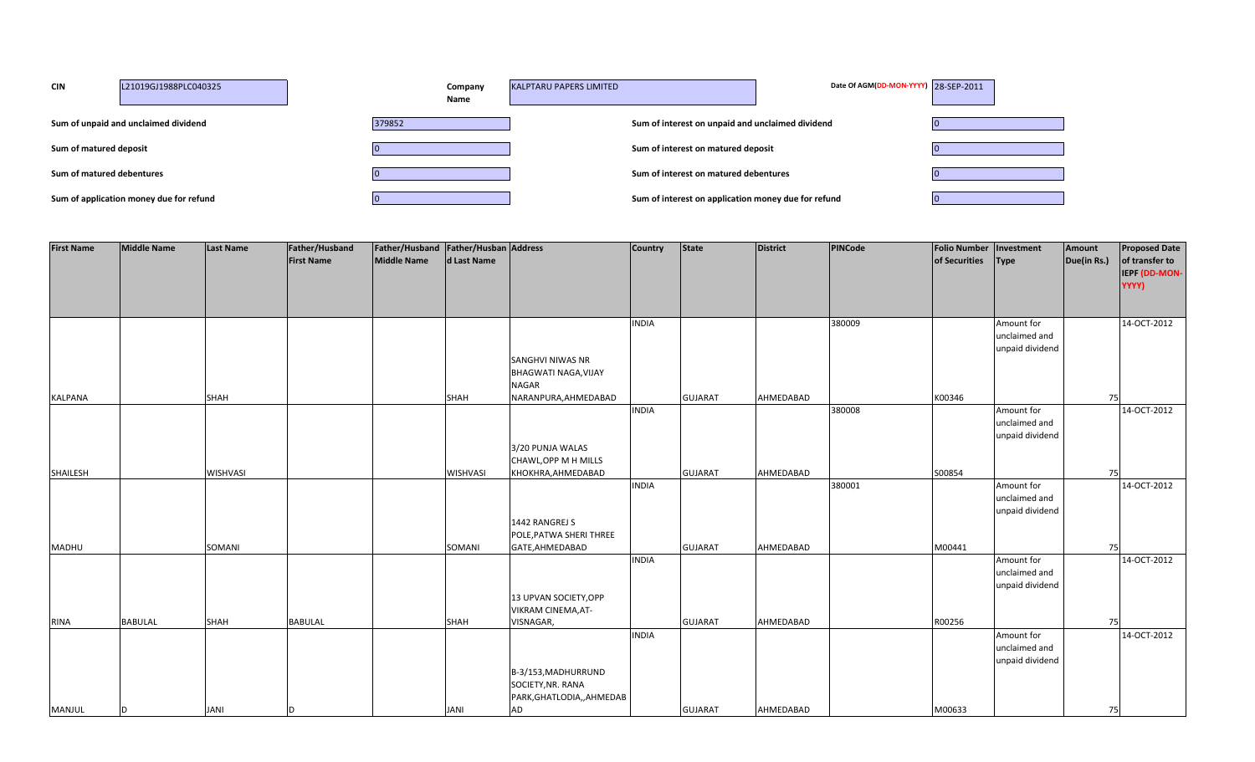| <b>CIN</b>                | L21019GJ1988PLC040325                   | Company<br>Name | <b>KALPTARU PAPERS LIMITED</b>                      | Date Of AGM(DD-MON-YYYY) 28-SEP-2011 |  |
|---------------------------|-----------------------------------------|-----------------|-----------------------------------------------------|--------------------------------------|--|
|                           | Sum of unpaid and unclaimed dividend    | 379852          | Sum of interest on unpaid and unclaimed dividend    |                                      |  |
| Sum of matured deposit    |                                         |                 | Sum of interest on matured deposit                  |                                      |  |
| Sum of matured debentures |                                         |                 | Sum of interest on matured debentures               |                                      |  |
|                           | Sum of application money due for refund |                 | Sum of interest on application money due for refund |                                      |  |

| <b>First Name</b> | <b>Middle Name</b> | Last Name       | Father/Husband    | Father/Husband   Father/Husban   Address |             |                                                                 | <b>Country</b> | State          | <b>District</b> | PINCode | <b>Folio Number</b> | Investment                                     | Amount      | <b>Proposed Date</b>                     |
|-------------------|--------------------|-----------------|-------------------|------------------------------------------|-------------|-----------------------------------------------------------------|----------------|----------------|-----------------|---------|---------------------|------------------------------------------------|-------------|------------------------------------------|
|                   |                    |                 | <b>First Name</b> | Middle Name                              | d Last Name |                                                                 |                |                |                 |         | of Securities       | <b>Type</b>                                    | Due(in Rs.) | of transfer to<br>IEPF (DD-MON-<br>YYYY) |
|                   |                    |                 |                   |                                          |             |                                                                 |                |                |                 |         |                     |                                                |             |                                          |
|                   |                    |                 |                   |                                          |             |                                                                 | <b>INDIA</b>   |                |                 | 380009  |                     | Amount for<br>unclaimed and<br>unpaid dividend |             | 14-OCT-2012                              |
|                   |                    |                 |                   |                                          |             | SANGHVI NIWAS NR<br><b>BHAGWATI NAGA, VIJAY</b><br><b>NAGAR</b> |                |                |                 |         |                     |                                                |             |                                          |
| <b>KALPANA</b>    |                    | <b>SHAH</b>     |                   |                                          | SHAH        | NARANPURA, AHMEDABAD                                            |                | <b>GUJARAT</b> | AHMEDABAD       |         | K00346              |                                                | 75          |                                          |
|                   |                    |                 |                   |                                          |             |                                                                 | <b>INDIA</b>   |                |                 | 380008  |                     | Amount for<br>unclaimed and<br>unpaid dividend |             | 14-OCT-2012                              |
|                   |                    |                 |                   |                                          |             | 3/20 PUNJA WALAS                                                |                |                |                 |         |                     |                                                |             |                                          |
| SHAILESH          |                    | <b>WISHVASI</b> |                   |                                          | WISHVASI    | CHAWL, OPP M H MILLS<br>KHOKHRA, AHMEDABAD                      |                | <b>GUJARAT</b> | AHMEDABAD       |         | S00854              |                                                | 75          |                                          |
|                   |                    |                 |                   |                                          |             |                                                                 | <b>INDIA</b>   |                |                 | 380001  |                     | Amount for<br>unclaimed and                    |             | 14-OCT-2012                              |
|                   |                    |                 |                   |                                          |             |                                                                 |                |                |                 |         |                     | unpaid dividend                                |             |                                          |
|                   |                    |                 |                   |                                          |             | 1442 RANGREJ S<br>POLE, PATWA SHERI THREE                       |                |                |                 |         |                     |                                                |             |                                          |
| <b>MADHU</b>      |                    | <b>SOMANI</b>   |                   |                                          | SOMANI      | GATE, AHMEDABAD                                                 |                | <b>GUJARAT</b> | AHMEDABAD       |         | M00441              |                                                | 75          |                                          |
|                   |                    |                 |                   |                                          |             |                                                                 | <b>INDIA</b>   |                |                 |         |                     | Amount for                                     |             | 14-OCT-2012                              |
|                   |                    |                 |                   |                                          |             |                                                                 |                |                |                 |         |                     | unclaimed and<br>unpaid dividend               |             |                                          |
|                   |                    |                 |                   |                                          |             | 13 UPVAN SOCIETY, OPP<br>VIKRAM CINEMA, AT-                     |                |                |                 |         |                     |                                                |             |                                          |
| <b>RINA</b>       | <b>BABULAL</b>     | <b>SHAH</b>     | <b>BABULAL</b>    |                                          | <b>SHAH</b> | VISNAGAR,                                                       | <b>INDIA</b>   | <b>GUJARAT</b> | AHMEDABAD       |         | R00256              | Amount for                                     | 75          | 14-OCT-2012                              |
|                   |                    |                 |                   |                                          |             |                                                                 |                |                |                 |         |                     | unclaimed and                                  |             |                                          |
|                   |                    |                 |                   |                                          |             | B-3/153, MADHURRUND<br>SOCIETY, NR. RANA                        |                |                |                 |         |                     | unpaid dividend                                |             |                                          |
| <b>MANJUL</b>     |                    | <b>JANI</b>     |                   |                                          | <b>JANI</b> | PARK, GHATLODIA,, AHMEDAB<br><b>AD</b>                          |                | <b>GUJARAT</b> | AHMEDABAD       |         | M00633              |                                                | 75          |                                          |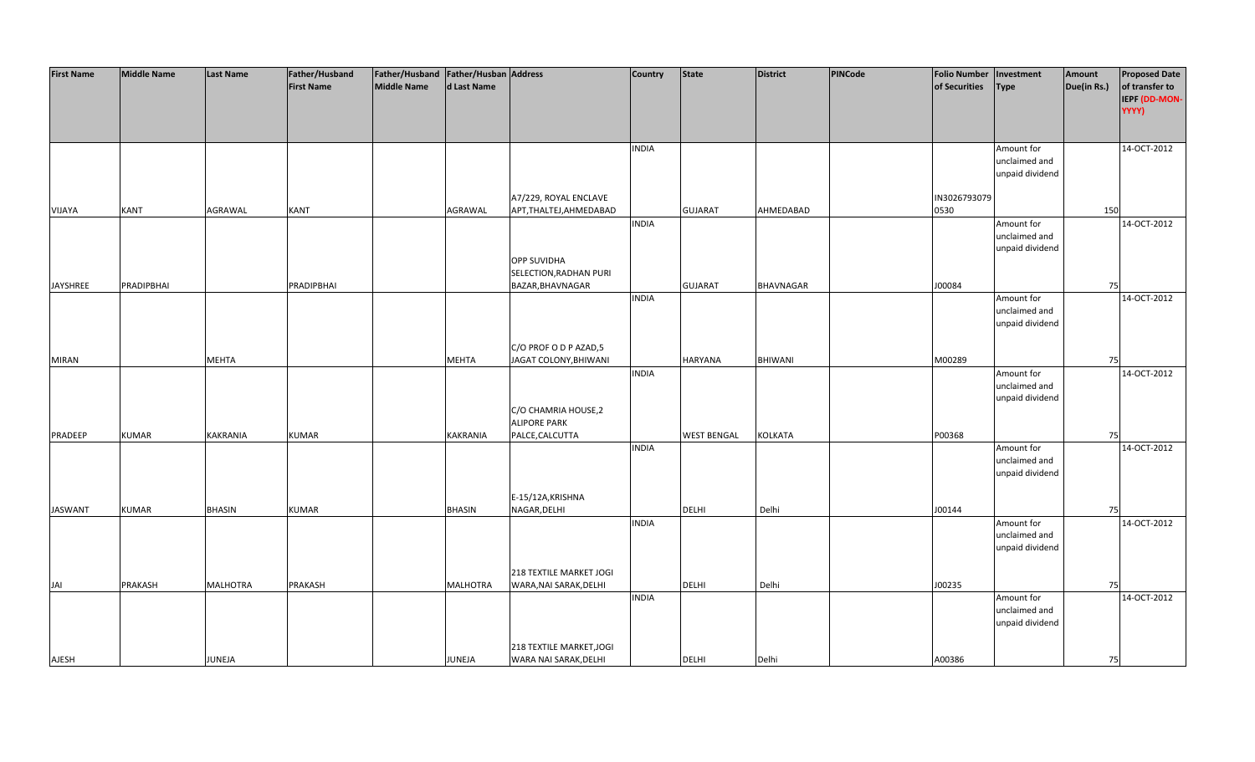| <b>First Name</b> | <b>Middle Name</b> | <b>Last Name</b> | Father/Husband    | Father/Husband Father/Husban Address |                 |                          | <b>Country</b> | <b>State</b>       | <b>District</b> | PINCode | <b>Folio Number</b> | Investment      | Amount      | <b>Proposed Date</b> |
|-------------------|--------------------|------------------|-------------------|--------------------------------------|-----------------|--------------------------|----------------|--------------------|-----------------|---------|---------------------|-----------------|-------------|----------------------|
|                   |                    |                  | <b>First Name</b> | <b>Middle Name</b>                   | d Last Name     |                          |                |                    |                 |         | of Securities       | <b>Type</b>     | Due(in Rs.) | of transfer to       |
|                   |                    |                  |                   |                                      |                 |                          |                |                    |                 |         |                     |                 |             | IEPF (DD-MON-        |
|                   |                    |                  |                   |                                      |                 |                          |                |                    |                 |         |                     |                 |             | YYYY)                |
|                   |                    |                  |                   |                                      |                 |                          |                |                    |                 |         |                     |                 |             |                      |
|                   |                    |                  |                   |                                      |                 |                          |                |                    |                 |         |                     |                 |             |                      |
|                   |                    |                  |                   |                                      |                 |                          | <b>INDIA</b>   |                    |                 |         |                     | Amount for      |             | 14-OCT-2012          |
|                   |                    |                  |                   |                                      |                 |                          |                |                    |                 |         |                     | unclaimed and   |             |                      |
|                   |                    |                  |                   |                                      |                 |                          |                |                    |                 |         |                     | unpaid dividend |             |                      |
|                   |                    |                  |                   |                                      |                 |                          |                |                    |                 |         |                     |                 |             |                      |
|                   |                    |                  |                   |                                      |                 | A7/229, ROYAL ENCLAVE    |                |                    |                 |         | IN3026793079        |                 |             |                      |
| VIJAYA            | <b>KANT</b>        | AGRAWAL          | <b>KANT</b>       |                                      | AGRAWAL         | APT, THALTEJ, AHMEDABAD  |                | <b>GUJARAT</b>     | AHMEDABAD       |         | 0530                |                 | 150         |                      |
|                   |                    |                  |                   |                                      |                 |                          | <b>INDIA</b>   |                    |                 |         |                     | Amount for      |             | 14-OCT-2012          |
|                   |                    |                  |                   |                                      |                 |                          |                |                    |                 |         |                     | unclaimed and   |             |                      |
|                   |                    |                  |                   |                                      |                 |                          |                |                    |                 |         |                     | unpaid dividend |             |                      |
|                   |                    |                  |                   |                                      |                 | <b>OPP SUVIDHA</b>       |                |                    |                 |         |                     |                 |             |                      |
|                   |                    |                  |                   |                                      |                 | SELECTION, RADHAN PURI   |                |                    |                 |         |                     |                 |             |                      |
| JAYSHREE          | PRADIPBHAI         |                  | PRADIPBHAI        |                                      |                 | BAZAR, BHAVNAGAR         |                | <b>GUJARAT</b>     | BHAVNAGAR       |         | J00084              |                 | 75          |                      |
|                   |                    |                  |                   |                                      |                 |                          | <b>INDIA</b>   |                    |                 |         |                     | Amount for      |             | 14-OCT-2012          |
|                   |                    |                  |                   |                                      |                 |                          |                |                    |                 |         |                     | unclaimed and   |             |                      |
|                   |                    |                  |                   |                                      |                 |                          |                |                    |                 |         |                     | unpaid dividend |             |                      |
|                   |                    |                  |                   |                                      |                 |                          |                |                    |                 |         |                     |                 |             |                      |
|                   |                    |                  |                   |                                      |                 | C/O PROF O D P AZAD,5    |                |                    |                 |         |                     |                 |             |                      |
| <b>MIRAN</b>      |                    | <b>MEHTA</b>     |                   |                                      | <b>MEHTA</b>    | JAGAT COLONY, BHIWANI    |                | <b>HARYANA</b>     | BHIWANI         |         | M00289              |                 | 75          |                      |
|                   |                    |                  |                   |                                      |                 |                          | <b>INDIA</b>   |                    |                 |         |                     | Amount for      |             | 14-OCT-2012          |
|                   |                    |                  |                   |                                      |                 |                          |                |                    |                 |         |                     | unclaimed and   |             |                      |
|                   |                    |                  |                   |                                      |                 |                          |                |                    |                 |         |                     | unpaid dividend |             |                      |
|                   |                    |                  |                   |                                      |                 | C/O CHAMRIA HOUSE, 2     |                |                    |                 |         |                     |                 |             |                      |
|                   |                    |                  |                   |                                      |                 | <b>ALIPORE PARK</b>      |                |                    |                 |         |                     |                 |             |                      |
| PRADEEP           | <b>KUMAR</b>       | <b>KAKRANIA</b>  | <b>KUMAR</b>      |                                      | KAKRANIA        | PALCE, CALCUTTA          |                | <b>WEST BENGAL</b> | KOLKATA         |         | P00368              |                 | 75          |                      |
|                   |                    |                  |                   |                                      |                 |                          | <b>INDIA</b>   |                    |                 |         |                     | Amount for      |             | 14-OCT-2012          |
|                   |                    |                  |                   |                                      |                 |                          |                |                    |                 |         |                     | unclaimed and   |             |                      |
|                   |                    |                  |                   |                                      |                 |                          |                |                    |                 |         |                     | unpaid dividend |             |                      |
|                   |                    |                  |                   |                                      |                 |                          |                |                    |                 |         |                     |                 |             |                      |
|                   |                    |                  |                   |                                      |                 | E-15/12A, KRISHNA        |                |                    |                 |         |                     |                 |             |                      |
| <b>JASWANT</b>    | <b>KUMAR</b>       | <b>BHASIN</b>    | <b>KUMAR</b>      |                                      | <b>BHASIN</b>   | NAGAR, DELHI             |                | <b>DELHI</b>       | Delhi           |         | J00144              |                 | 75          |                      |
|                   |                    |                  |                   |                                      |                 |                          | <b>INDIA</b>   |                    |                 |         |                     | Amount for      |             | 14-OCT-2012          |
|                   |                    |                  |                   |                                      |                 |                          |                |                    |                 |         |                     | unclaimed and   |             |                      |
|                   |                    |                  |                   |                                      |                 |                          |                |                    |                 |         |                     | unpaid dividend |             |                      |
|                   |                    |                  |                   |                                      |                 |                          |                |                    |                 |         |                     |                 |             |                      |
|                   |                    |                  |                   |                                      |                 | 218 TEXTILE MARKET JOGI  |                |                    |                 |         |                     |                 |             |                      |
| JAI               | PRAKASH            | <b>MALHOTRA</b>  | PRAKASH           |                                      | <b>MALHOTRA</b> | WARA, NAI SARAK, DELHI   |                | <b>DELHI</b>       | Delhi           |         | J00235              |                 | 75          |                      |
|                   |                    |                  |                   |                                      |                 |                          | <b>INDIA</b>   |                    |                 |         |                     | Amount for      |             | 14-OCT-2012          |
|                   |                    |                  |                   |                                      |                 |                          |                |                    |                 |         |                     | unclaimed and   |             |                      |
|                   |                    |                  |                   |                                      |                 |                          |                |                    |                 |         |                     | unpaid dividend |             |                      |
|                   |                    |                  |                   |                                      |                 |                          |                |                    |                 |         |                     |                 |             |                      |
|                   |                    |                  |                   |                                      |                 | 218 TEXTILE MARKET, JOGI |                |                    |                 |         |                     |                 |             |                      |
| AJESH             |                    | JUNEJA           |                   |                                      | <b>JUNEJA</b>   | WARA NAI SARAK, DELHI    |                | <b>DELHI</b>       | Delhi           |         | A00386              |                 | 75          |                      |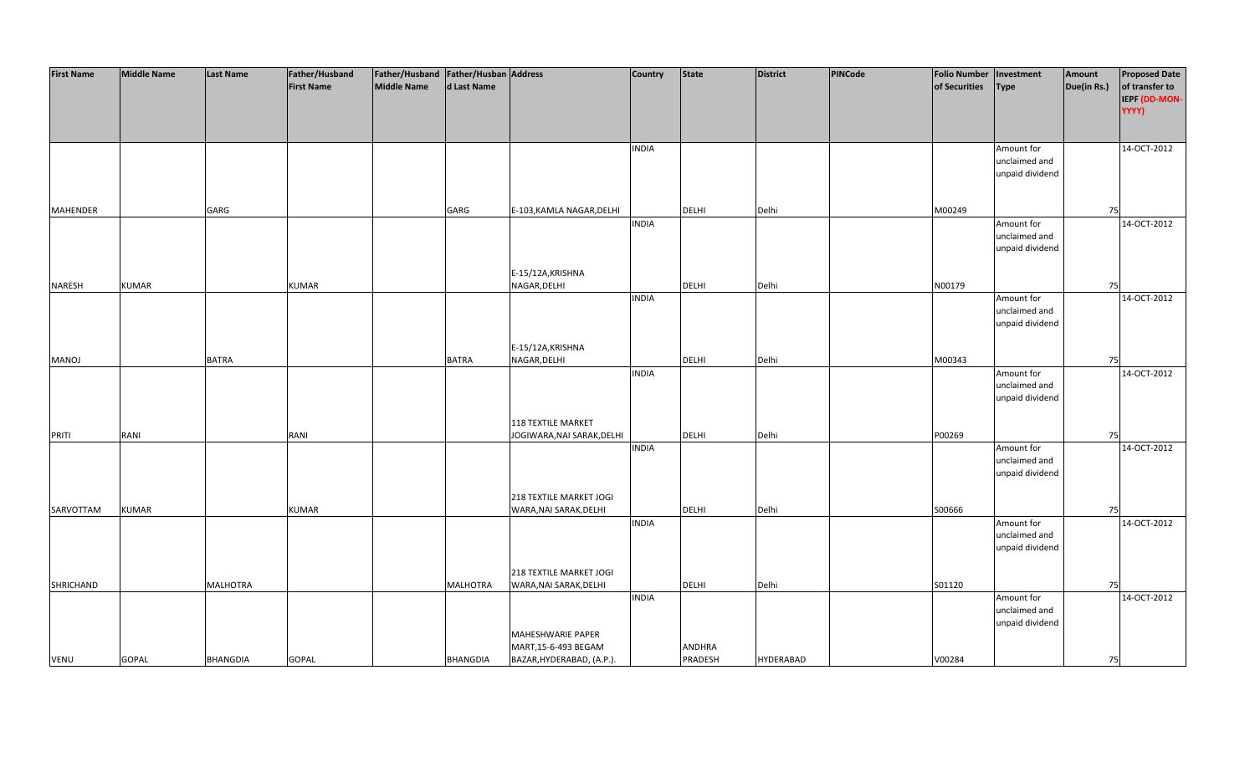| <b>First Name</b> | <b>Middle Name</b> | <b>Last Name</b> | Father/Husband    | Father/Husband Father/Husban Address |                 |                            | <b>Country</b> | <b>State</b> | <b>District</b>  | PINCode | <b>Folio Number</b> | Investment      | Amount      | <b>Proposed Date</b> |
|-------------------|--------------------|------------------|-------------------|--------------------------------------|-----------------|----------------------------|----------------|--------------|------------------|---------|---------------------|-----------------|-------------|----------------------|
|                   |                    |                  | <b>First Name</b> | <b>Middle Name</b>                   | d Last Name     |                            |                |              |                  |         | of Securities       | <b>Type</b>     | Due(in Rs.) | of transfer to       |
|                   |                    |                  |                   |                                      |                 |                            |                |              |                  |         |                     |                 |             | IEPF (DD-MON-        |
|                   |                    |                  |                   |                                      |                 |                            |                |              |                  |         |                     |                 |             | YYYY)                |
|                   |                    |                  |                   |                                      |                 |                            |                |              |                  |         |                     |                 |             |                      |
|                   |                    |                  |                   |                                      |                 |                            |                |              |                  |         |                     |                 |             |                      |
|                   |                    |                  |                   |                                      |                 |                            | <b>INDIA</b>   |              |                  |         |                     | Amount for      |             | 14-OCT-2012          |
|                   |                    |                  |                   |                                      |                 |                            |                |              |                  |         |                     | unclaimed and   |             |                      |
|                   |                    |                  |                   |                                      |                 |                            |                |              |                  |         |                     | unpaid dividend |             |                      |
|                   |                    |                  |                   |                                      |                 |                            |                |              |                  |         |                     |                 |             |                      |
|                   |                    |                  |                   |                                      |                 |                            |                |              |                  |         |                     |                 |             |                      |
| <b>MAHENDER</b>   |                    | GARG             |                   |                                      | GARG            | E-103, KAMLA NAGAR, DELHI  |                | <b>DELHI</b> | Delhi            |         | M00249              |                 | 75          |                      |
|                   |                    |                  |                   |                                      |                 |                            | <b>INDIA</b>   |              |                  |         |                     | Amount for      |             | 14-OCT-2012          |
|                   |                    |                  |                   |                                      |                 |                            |                |              |                  |         |                     | unclaimed and   |             |                      |
|                   |                    |                  |                   |                                      |                 |                            |                |              |                  |         |                     | unpaid dividend |             |                      |
|                   |                    |                  |                   |                                      |                 |                            |                |              |                  |         |                     |                 |             |                      |
|                   |                    |                  |                   |                                      |                 | E-15/12A, KRISHNA          |                |              |                  |         |                     |                 |             |                      |
| <b>NARESH</b>     | <b>KUMAR</b>       |                  | <b>KUMAR</b>      |                                      |                 | NAGAR, DELHI               |                | <b>DELHI</b> | Delhi            |         | N00179              |                 | 75          |                      |
|                   |                    |                  |                   |                                      |                 |                            | <b>INDIA</b>   |              |                  |         |                     | Amount for      |             | 14-OCT-2012          |
|                   |                    |                  |                   |                                      |                 |                            |                |              |                  |         |                     | unclaimed and   |             |                      |
|                   |                    |                  |                   |                                      |                 |                            |                |              |                  |         |                     | unpaid dividend |             |                      |
|                   |                    |                  |                   |                                      |                 |                            |                |              |                  |         |                     |                 |             |                      |
|                   |                    |                  |                   |                                      |                 | E-15/12A, KRISHNA          |                |              |                  |         |                     |                 |             |                      |
| <b>MANOJ</b>      |                    | <b>BATRA</b>     |                   |                                      | <b>BATRA</b>    | NAGAR, DELHI               |                | DELHI        | Delhi            |         | M00343              |                 | 75          |                      |
|                   |                    |                  |                   |                                      |                 |                            | <b>INDIA</b>   |              |                  |         |                     | Amount for      |             | 14-OCT-2012          |
|                   |                    |                  |                   |                                      |                 |                            |                |              |                  |         |                     | unclaimed and   |             |                      |
|                   |                    |                  |                   |                                      |                 |                            |                |              |                  |         |                     | unpaid dividend |             |                      |
|                   |                    |                  |                   |                                      |                 |                            |                |              |                  |         |                     |                 |             |                      |
|                   |                    |                  |                   |                                      |                 | <b>118 TEXTILE MARKET</b>  |                |              |                  |         |                     |                 |             |                      |
| PRITI             | RANI               |                  | RANI              |                                      |                 | JOGIWARA, NAI SARAK, DELHI |                | DELHI        | Delhi            |         | P00269              |                 | 75          |                      |
|                   |                    |                  |                   |                                      |                 |                            | <b>INDIA</b>   |              |                  |         |                     | Amount for      |             | 14-OCT-2012          |
|                   |                    |                  |                   |                                      |                 |                            |                |              |                  |         |                     | unclaimed and   |             |                      |
|                   |                    |                  |                   |                                      |                 |                            |                |              |                  |         |                     | unpaid dividend |             |                      |
|                   |                    |                  |                   |                                      |                 |                            |                |              |                  |         |                     |                 |             |                      |
|                   |                    |                  |                   |                                      |                 | 218 TEXTILE MARKET JOGI    |                |              |                  |         |                     |                 |             |                      |
| SARVOTTAM         | <b>KUMAR</b>       |                  | <b>KUMAR</b>      |                                      |                 | WARA, NAI SARAK, DELHI     | <b>INDIA</b>   | DELHI        | Delhi            |         | S00666              | Amount for      | 75          | 14-OCT-2012          |
|                   |                    |                  |                   |                                      |                 |                            |                |              |                  |         |                     | unclaimed and   |             |                      |
|                   |                    |                  |                   |                                      |                 |                            |                |              |                  |         |                     | unpaid dividend |             |                      |
|                   |                    |                  |                   |                                      |                 |                            |                |              |                  |         |                     |                 |             |                      |
|                   |                    |                  |                   |                                      |                 | 218 TEXTILE MARKET JOGI    |                |              |                  |         |                     |                 |             |                      |
| SHRICHAND         |                    | <b>MALHOTRA</b>  |                   |                                      | <b>MALHOTRA</b> | WARA, NAI SARAK, DELHI     |                | <b>DELHI</b> | Delhi            |         | S01120              |                 | 75          |                      |
|                   |                    |                  |                   |                                      |                 |                            | <b>INDIA</b>   |              |                  |         |                     | Amount for      |             | 14-OCT-2012          |
|                   |                    |                  |                   |                                      |                 |                            |                |              |                  |         |                     | unclaimed and   |             |                      |
|                   |                    |                  |                   |                                      |                 |                            |                |              |                  |         |                     | unpaid dividend |             |                      |
|                   |                    |                  |                   |                                      |                 | MAHESHWARIE PAPER          |                |              |                  |         |                     |                 |             |                      |
|                   |                    |                  |                   |                                      |                 | MART, 15-6-493 BEGAM       |                | ANDHRA       |                  |         |                     |                 |             |                      |
| <b>VENU</b>       | <b>GOPAL</b>       | <b>BHANGDIA</b>  | <b>GOPAL</b>      |                                      | <b>BHANGDIA</b> | BAZAR, HYDERABAD, (A.P.).  |                | PRADESH      | <b>HYDERABAD</b> |         | V00284              |                 | 75          |                      |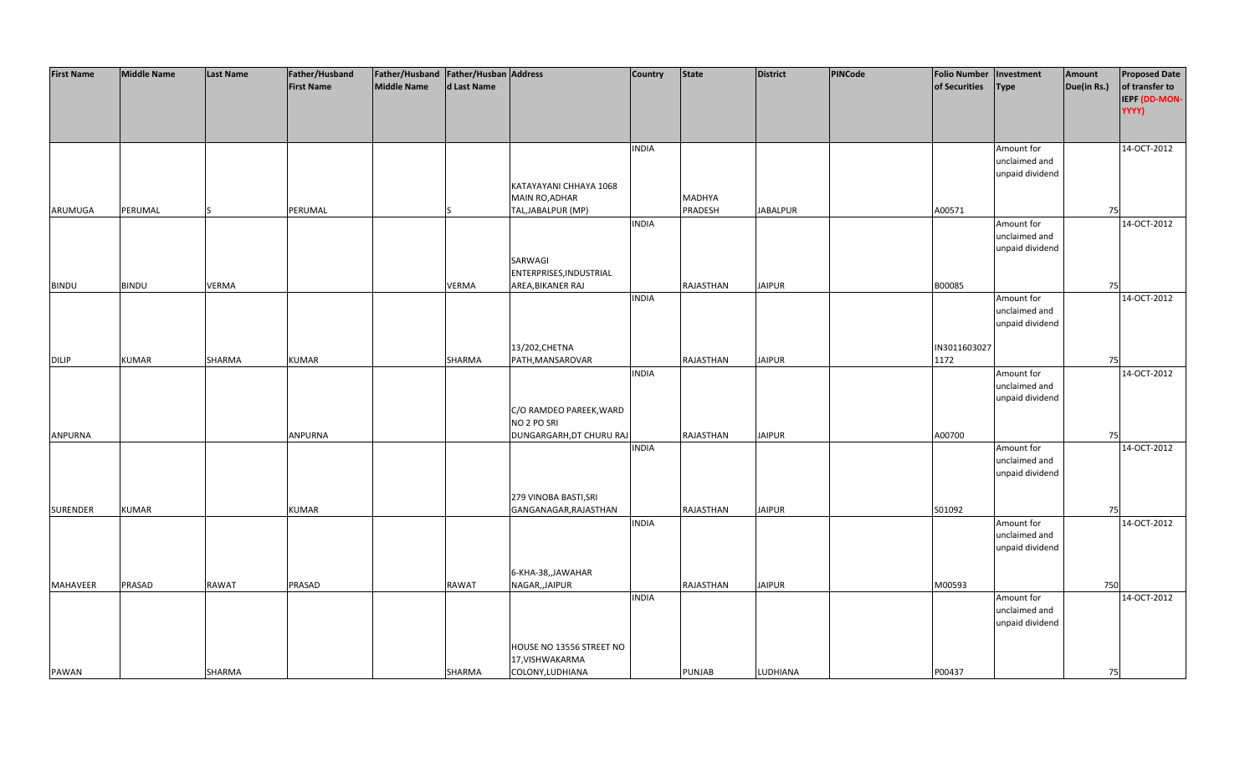| <b>First Name</b> | <b>Middle Name</b> | <b>Last Name</b> | Father/Husband    | Father/Husband Father/Husban Address |             |                                              | <b>Country</b> | State         | <b>District</b> | PINCode | <b>Folio Number</b> | Investment                                     | Amount      | <b>Proposed Date</b>                     |
|-------------------|--------------------|------------------|-------------------|--------------------------------------|-------------|----------------------------------------------|----------------|---------------|-----------------|---------|---------------------|------------------------------------------------|-------------|------------------------------------------|
|                   |                    |                  | <b>First Name</b> | <b>Middle Name</b>                   | d Last Name |                                              |                |               |                 |         | of Securities       | <b>Type</b>                                    | Due(in Rs.) | of transfer to<br>IEPF (DD-MON-<br>YYYY) |
|                   |                    |                  |                   |                                      |             |                                              | <b>INDIA</b>   |               |                 |         |                     | Amount for<br>unclaimed and<br>unpaid dividend |             | 14-OCT-2012                              |
|                   |                    |                  |                   |                                      |             | KATAYAYANI CHHAYA 1068<br>MAIN RO, ADHAR     |                | MADHYA        |                 |         |                     |                                                |             |                                          |
| ARUMUGA           | PERUMAL            |                  | PERUMAL           |                                      |             | TAL, JABALPUR (MP)                           |                | PRADESH       | <b>JABALPUR</b> |         | A00571              |                                                | 75          |                                          |
|                   |                    |                  |                   |                                      |             | SARWAGI                                      | <b>INDIA</b>   |               |                 |         |                     | Amount for<br>unclaimed and<br>unpaid dividend |             | 14-OCT-2012                              |
| <b>BINDU</b>      | <b>BINDU</b>       | <b>VERMA</b>     |                   |                                      | VERMA       | ENTERPRISES, INDUSTRIAL<br>AREA, BIKANER RAJ |                | RAJASTHAN     | <b>JAIPUR</b>   |         | B00085              |                                                | 75          |                                          |
|                   |                    |                  |                   |                                      |             |                                              | <b>INDIA</b>   |               |                 |         |                     | Amount for                                     |             | 14-OCT-2012                              |
|                   |                    |                  |                   |                                      |             |                                              |                |               |                 |         |                     | unclaimed and<br>unpaid dividend               |             |                                          |
|                   |                    |                  |                   |                                      |             | 13/202, CHETNA                               |                |               |                 |         | IN3011603027        |                                                |             |                                          |
| <b>DILIP</b>      | <b>KUMAR</b>       | SHARMA           | <b>KUMAR</b>      |                                      | SHARMA      | PATH, MANSAROVAR                             |                | RAJASTHAN     | <b>JAIPUR</b>   |         | 1172                |                                                | 75          |                                          |
|                   |                    |                  |                   |                                      |             |                                              | <b>INDIA</b>   |               |                 |         |                     | Amount for<br>unclaimed and                    |             | 14-OCT-2012                              |
|                   |                    |                  |                   |                                      |             | C/O RAMDEO PAREEK, WARD<br>NO 2 PO SRI       |                |               |                 |         |                     | unpaid dividend                                |             |                                          |
| <b>ANPURNA</b>    |                    |                  | ANPURNA           |                                      |             | DUNGARGARH, DT CHURU RAJ                     |                | RAJASTHAN     | <b>JAIPUR</b>   |         | A00700              |                                                | 75          |                                          |
|                   |                    |                  |                   |                                      |             |                                              | <b>INDIA</b>   |               |                 |         |                     | Amount for<br>unclaimed and<br>unpaid dividend |             | 14-OCT-2012                              |
|                   |                    |                  |                   |                                      |             | 279 VINOBA BASTI, SRI                        |                |               |                 |         |                     |                                                |             |                                          |
| <b>SURENDER</b>   | <b>KUMAR</b>       |                  | <b>KUMAR</b>      |                                      |             | GANGANAGAR, RAJASTHAN                        |                | RAJASTHAN     | <b>JAIPUR</b>   |         | S01092              |                                                | 75          |                                          |
|                   |                    |                  |                   |                                      |             |                                              | <b>INDIA</b>   |               |                 |         |                     | Amount for<br>unclaimed and                    |             | 14-OCT-2012                              |
|                   |                    |                  |                   |                                      |             |                                              |                |               |                 |         |                     | unpaid dividend                                |             |                                          |
|                   |                    |                  |                   |                                      |             | 6-KHA-38,,JAWAHAR                            |                |               |                 |         |                     |                                                |             |                                          |
| MAHAVEER          | PRASAD             | <b>RAWAT</b>     | PRASAD            |                                      | RAWAT       | NAGAR,, JAIPUR                               |                | RAJASTHAN     | <b>JAIPUR</b>   |         | M00593              |                                                | 750         |                                          |
|                   |                    |                  |                   |                                      |             |                                              | <b>INDIA</b>   |               |                 |         |                     | Amount for<br>unclaimed and                    |             | 14-OCT-2012                              |
|                   |                    |                  |                   |                                      |             |                                              |                |               |                 |         |                     | unpaid dividend                                |             |                                          |
|                   |                    |                  |                   |                                      |             | HOUSE NO 13556 STREET NO<br>17, VISHWAKARMA  |                |               |                 |         |                     |                                                |             |                                          |
| PAWAN             |                    | <b>SHARMA</b>    |                   |                                      | SHARMA      | COLONY, LUDHIANA                             |                | <b>PUNJAB</b> | LUDHIANA        |         | P00437              |                                                | 75          |                                          |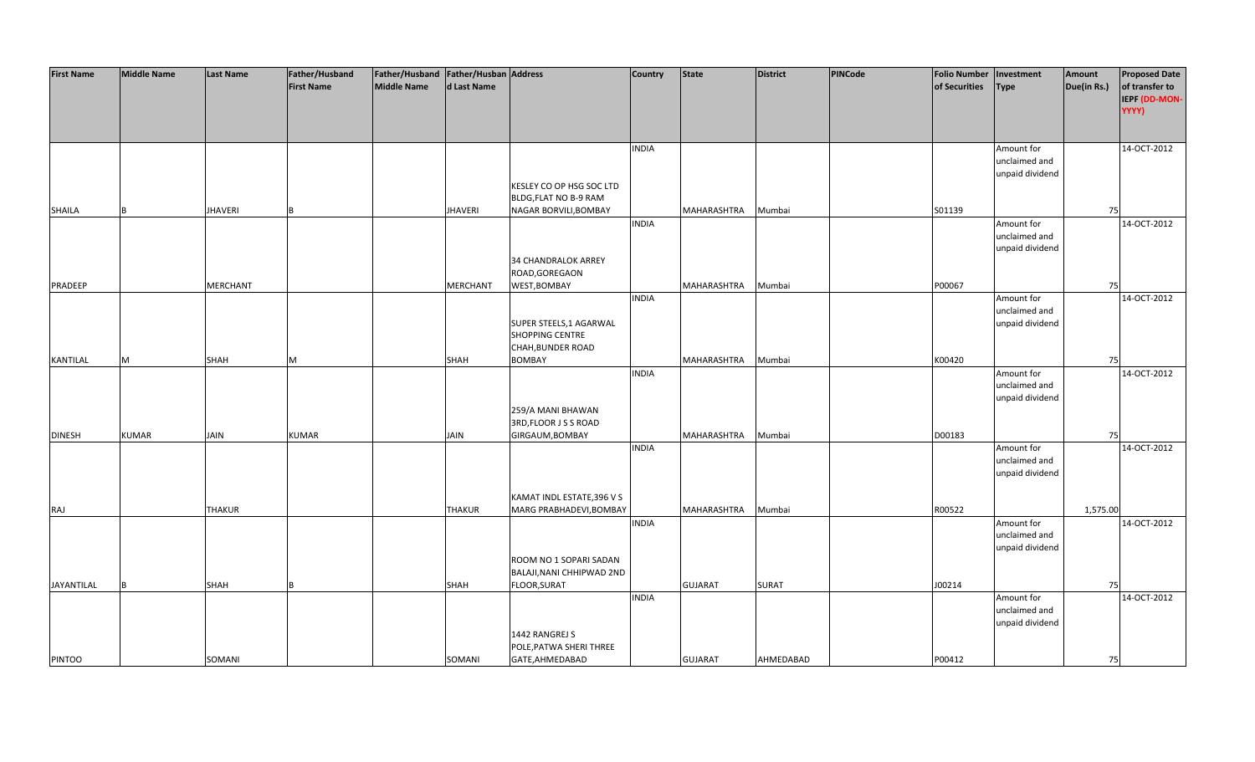| <b>First Name</b> | <b>Middle Name</b> | <b>Last Name</b> | Father/Husband    | Father/Husband Father/Husban Address |                 |                            | <b>Country</b> | <b>State</b>   | <b>District</b> | PINCode | <b>Folio Number</b> | Investment      | Amount      | <b>Proposed Date</b> |
|-------------------|--------------------|------------------|-------------------|--------------------------------------|-----------------|----------------------------|----------------|----------------|-----------------|---------|---------------------|-----------------|-------------|----------------------|
|                   |                    |                  | <b>First Name</b> | <b>Middle Name</b>                   | d Last Name     |                            |                |                |                 |         | of Securities       | <b>Type</b>     | Due(in Rs.) | of transfer to       |
|                   |                    |                  |                   |                                      |                 |                            |                |                |                 |         |                     |                 |             | IEPF (DD-MON-        |
|                   |                    |                  |                   |                                      |                 |                            |                |                |                 |         |                     |                 |             | YYYY)                |
|                   |                    |                  |                   |                                      |                 |                            |                |                |                 |         |                     |                 |             |                      |
|                   |                    |                  |                   |                                      |                 |                            |                |                |                 |         |                     |                 |             |                      |
|                   |                    |                  |                   |                                      |                 |                            |                |                |                 |         |                     |                 |             |                      |
|                   |                    |                  |                   |                                      |                 |                            | <b>INDIA</b>   |                |                 |         |                     | Amount for      |             | 14-OCT-2012          |
|                   |                    |                  |                   |                                      |                 |                            |                |                |                 |         |                     | unclaimed and   |             |                      |
|                   |                    |                  |                   |                                      |                 |                            |                |                |                 |         |                     | unpaid dividend |             |                      |
|                   |                    |                  |                   |                                      |                 | KESLEY CO OP HSG SOC LTD   |                |                |                 |         |                     |                 |             |                      |
|                   |                    |                  |                   |                                      |                 | BLDG, FLAT NO B-9 RAM      |                |                |                 |         |                     |                 |             |                      |
| <b>SHAILA</b>     | <b>B</b>           | <b>JHAVERI</b>   |                   |                                      | <b>JHAVERI</b>  | NAGAR BORVILI, BOMBAY      |                | MAHARASHTRA    | Mumbai          |         | S01139              |                 | 75          |                      |
|                   |                    |                  |                   |                                      |                 |                            | <b>INDIA</b>   |                |                 |         |                     | Amount for      |             | 14-OCT-2012          |
|                   |                    |                  |                   |                                      |                 |                            |                |                |                 |         |                     | unclaimed and   |             |                      |
|                   |                    |                  |                   |                                      |                 |                            |                |                |                 |         |                     | unpaid dividend |             |                      |
|                   |                    |                  |                   |                                      |                 | 34 CHANDRALOK ARREY        |                |                |                 |         |                     |                 |             |                      |
|                   |                    |                  |                   |                                      |                 | ROAD, GOREGAON             |                |                |                 |         |                     |                 |             |                      |
| PRADEEP           |                    | <b>MERCHANT</b>  |                   |                                      | <b>MERCHANT</b> | WEST, BOMBAY               |                | MAHARASHTRA    | Mumbai          |         | P00067              |                 | 75          |                      |
|                   |                    |                  |                   |                                      |                 |                            | <b>INDIA</b>   |                |                 |         |                     | Amount for      |             | 14-OCT-2012          |
|                   |                    |                  |                   |                                      |                 |                            |                |                |                 |         |                     | unclaimed and   |             |                      |
|                   |                    |                  |                   |                                      |                 | SUPER STEELS, 1 AGARWAL    |                |                |                 |         |                     | unpaid dividend |             |                      |
|                   |                    |                  |                   |                                      |                 | SHOPPING CENTRE            |                |                |                 |         |                     |                 |             |                      |
|                   |                    |                  |                   |                                      |                 | CHAH, BUNDER ROAD          |                |                |                 |         |                     |                 |             |                      |
| KANTILAL          | M                  | <b>SHAH</b>      | M                 |                                      | SHAH            | <b>BOMBAY</b>              |                | MAHARASHTRA    | Mumbai          |         | K00420              |                 | 75          |                      |
|                   |                    |                  |                   |                                      |                 |                            | <b>INDIA</b>   |                |                 |         |                     | Amount for      |             | 14-OCT-2012          |
|                   |                    |                  |                   |                                      |                 |                            |                |                |                 |         |                     | unclaimed and   |             |                      |
|                   |                    |                  |                   |                                      |                 |                            |                |                |                 |         |                     | unpaid dividend |             |                      |
|                   |                    |                  |                   |                                      |                 | 259/A MANI BHAWAN          |                |                |                 |         |                     |                 |             |                      |
|                   |                    |                  |                   |                                      |                 | 3RD, FLOOR J S S ROAD      |                |                |                 |         |                     |                 |             |                      |
| <b>DINESH</b>     | <b>KUMAR</b>       | <b>JAIN</b>      | <b>KUMAR</b>      |                                      | <b>JAIN</b>     | GIRGAUM, BOMBAY            |                | MAHARASHTRA    | Mumbai          |         | D00183              |                 | 75          |                      |
|                   |                    |                  |                   |                                      |                 |                            | <b>INDIA</b>   |                |                 |         |                     |                 |             | 14-OCT-2012          |
|                   |                    |                  |                   |                                      |                 |                            |                |                |                 |         |                     | Amount for      |             |                      |
|                   |                    |                  |                   |                                      |                 |                            |                |                |                 |         |                     | unclaimed and   |             |                      |
|                   |                    |                  |                   |                                      |                 |                            |                |                |                 |         |                     | unpaid dividend |             |                      |
|                   |                    |                  |                   |                                      |                 |                            |                |                |                 |         |                     |                 |             |                      |
|                   |                    |                  |                   |                                      |                 | KAMAT INDL ESTATE, 396 V S |                |                |                 |         |                     |                 |             |                      |
| RAJ               |                    | <b>THAKUR</b>    |                   |                                      | <b>THAKUR</b>   | MARG PRABHADEVI, BOMBAY    |                | MAHARASHTRA    | Mumbai          |         | R00522              |                 | 1,575.00    |                      |
|                   |                    |                  |                   |                                      |                 |                            | <b>INDIA</b>   |                |                 |         |                     | Amount for      |             | 14-OCT-2012          |
|                   |                    |                  |                   |                                      |                 |                            |                |                |                 |         |                     | unclaimed and   |             |                      |
|                   |                    |                  |                   |                                      |                 |                            |                |                |                 |         |                     | unpaid dividend |             |                      |
|                   |                    |                  |                   |                                      |                 | ROOM NO 1 SOPARI SADAN     |                |                |                 |         |                     |                 |             |                      |
|                   |                    |                  |                   |                                      |                 | BALAJI, NANI CHHIPWAD 2ND  |                |                |                 |         |                     |                 |             |                      |
| JAYANTILAL        | R                  | SHAH             |                   |                                      | SHAH            | FLOOR, SURAT               |                | <b>GUJARAT</b> | <b>SURAT</b>    |         | J00214              |                 | 75          |                      |
|                   |                    |                  |                   |                                      |                 |                            | <b>INDIA</b>   |                |                 |         |                     | Amount for      |             | 14-OCT-2012          |
|                   |                    |                  |                   |                                      |                 |                            |                |                |                 |         |                     | unclaimed and   |             |                      |
|                   |                    |                  |                   |                                      |                 |                            |                |                |                 |         |                     | unpaid dividend |             |                      |
|                   |                    |                  |                   |                                      |                 | 1442 RANGREJ S             |                |                |                 |         |                     |                 |             |                      |
|                   |                    |                  |                   |                                      |                 | POLE, PATWA SHERI THREE    |                |                |                 |         |                     |                 |             |                      |
| <b>PINTOO</b>     |                    | SOMANI           |                   |                                      | SOMANI          | GATE, AHMEDABAD            |                | <b>GUJARAT</b> | AHMEDABAD       |         | P00412              |                 | 75          |                      |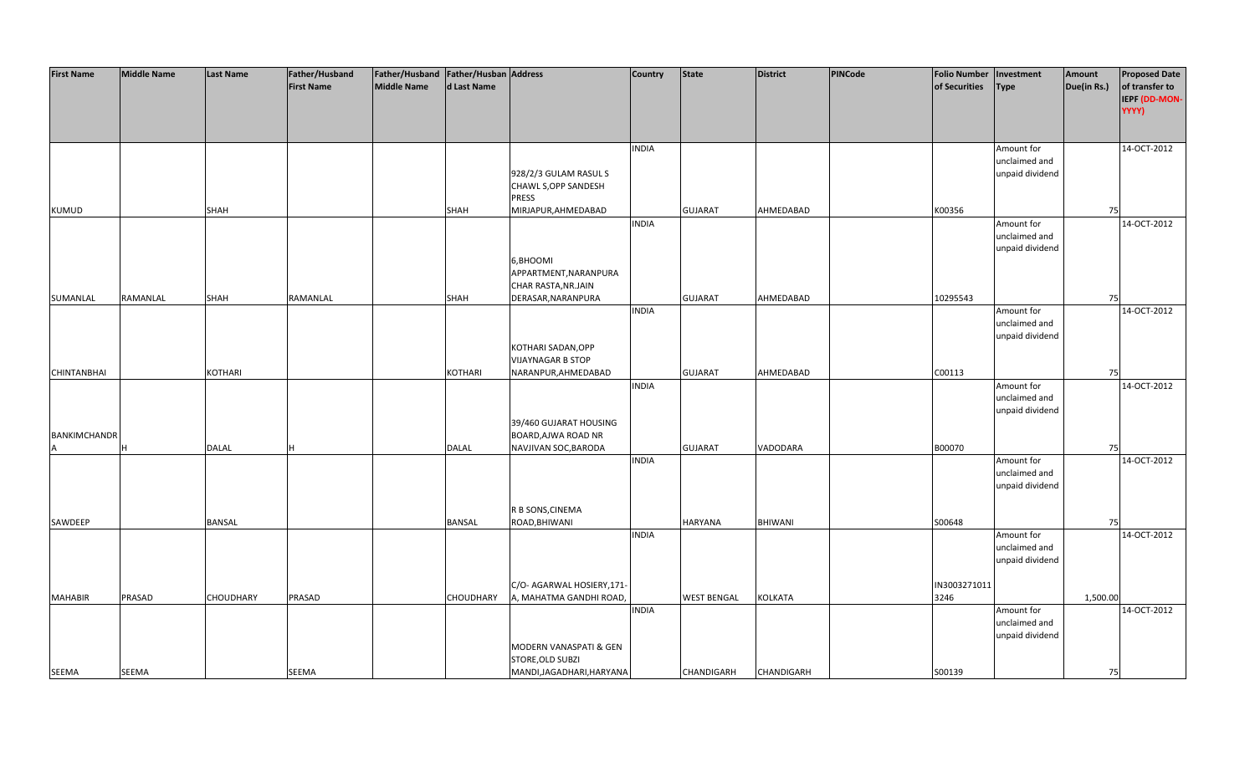| <b>First Name</b>   | <b>Middle Name</b> | <b>Last Name</b> | Father/Husband    | Father/Husband Father/Husban Address |               |                           | <b>Country</b> | State              | <b>District</b> | PINCode | <b>Folio Number</b> | Investment                       | Amount      | <b>Proposed Date</b> |
|---------------------|--------------------|------------------|-------------------|--------------------------------------|---------------|---------------------------|----------------|--------------------|-----------------|---------|---------------------|----------------------------------|-------------|----------------------|
|                     |                    |                  | <b>First Name</b> | Middle Name                          | d Last Name   |                           |                |                    |                 |         | of Securities       | <b>Type</b>                      | Due(in Rs.) | of transfer to       |
|                     |                    |                  |                   |                                      |               |                           |                |                    |                 |         |                     |                                  |             | IEPF (DD-MON-        |
|                     |                    |                  |                   |                                      |               |                           |                |                    |                 |         |                     |                                  |             | YYYY)                |
|                     |                    |                  |                   |                                      |               |                           |                |                    |                 |         |                     |                                  |             |                      |
|                     |                    |                  |                   |                                      |               |                           | <b>INDIA</b>   |                    |                 |         |                     | Amount for                       |             | 14-OCT-2012          |
|                     |                    |                  |                   |                                      |               |                           |                |                    |                 |         |                     | unclaimed and                    |             |                      |
|                     |                    |                  |                   |                                      |               | 928/2/3 GULAM RASUL S     |                |                    |                 |         |                     | unpaid dividend                  |             |                      |
|                     |                    |                  |                   |                                      |               | CHAWL S, OPP SANDESH      |                |                    |                 |         |                     |                                  |             |                      |
|                     |                    |                  |                   |                                      |               | <b>PRESS</b>              |                |                    |                 |         |                     |                                  |             |                      |
| <b>KUMUD</b>        |                    | SHAH             |                   |                                      | SHAH          | MIRJAPUR, AHMEDABAD       |                | <b>GUJARAT</b>     | AHMEDABAD       |         | K00356              |                                  | 75          |                      |
|                     |                    |                  |                   |                                      |               |                           | <b>INDIA</b>   |                    |                 |         |                     | Amount for                       |             | 14-OCT-2012          |
|                     |                    |                  |                   |                                      |               |                           |                |                    |                 |         |                     | unclaimed and                    |             |                      |
|                     |                    |                  |                   |                                      |               |                           |                |                    |                 |         |                     | unpaid dividend                  |             |                      |
|                     |                    |                  |                   |                                      |               | 6, BHOOMI                 |                |                    |                 |         |                     |                                  |             |                      |
|                     |                    |                  |                   |                                      |               | APPARTMENT, NARANPURA     |                |                    |                 |         |                     |                                  |             |                      |
|                     |                    |                  |                   |                                      |               | CHAR RASTA, NR.JAIN       |                |                    |                 |         |                     |                                  |             |                      |
| SUMANLAL            | RAMANLAL           | SHAH             | RAMANLAL          |                                      | SHAH          | DERASAR, NARANPURA        |                | <b>GUJARAT</b>     | AHMEDABAD       |         | 10295543            |                                  | 75          |                      |
|                     |                    |                  |                   |                                      |               |                           | <b>INDIA</b>   |                    |                 |         |                     | Amount for                       |             | 14-OCT-2012          |
|                     |                    |                  |                   |                                      |               |                           |                |                    |                 |         |                     | unclaimed and                    |             |                      |
|                     |                    |                  |                   |                                      |               |                           |                |                    |                 |         |                     | unpaid dividend                  |             |                      |
|                     |                    |                  |                   |                                      |               | KOTHARI SADAN, OPP        |                |                    |                 |         |                     |                                  |             |                      |
|                     |                    |                  |                   |                                      |               | <b>VIJAYNAGAR B STOP</b>  |                |                    |                 |         |                     |                                  |             |                      |
| <b>CHINTANBHAI</b>  |                    | KOTHARI          |                   |                                      | KOTHARI       | NARANPUR, AHMEDABAD       | <b>INDIA</b>   | <b>GUJARAT</b>     | AHMEDABAD       |         | C00113              | Amount for                       | 75          | 14-OCT-2012          |
|                     |                    |                  |                   |                                      |               |                           |                |                    |                 |         |                     | unclaimed and                    |             |                      |
|                     |                    |                  |                   |                                      |               |                           |                |                    |                 |         |                     | unpaid dividend                  |             |                      |
|                     |                    |                  |                   |                                      |               | 39/460 GUJARAT HOUSING    |                |                    |                 |         |                     |                                  |             |                      |
| <b>BANKIMCHANDR</b> |                    |                  |                   |                                      |               | BOARD, AJWA ROAD NR       |                |                    |                 |         |                     |                                  |             |                      |
|                     | lн                 | <b>DALAL</b>     | н                 |                                      | DALAL         | NAVJIVAN SOC, BARODA      |                | <b>GUJARAT</b>     | VADODARA        |         | B00070              |                                  | 75          |                      |
|                     |                    |                  |                   |                                      |               |                           | <b>INDIA</b>   |                    |                 |         |                     | Amount for                       |             | 14-OCT-2012          |
|                     |                    |                  |                   |                                      |               |                           |                |                    |                 |         |                     | unclaimed and                    |             |                      |
|                     |                    |                  |                   |                                      |               |                           |                |                    |                 |         |                     | unpaid dividend                  |             |                      |
|                     |                    |                  |                   |                                      |               |                           |                |                    |                 |         |                     |                                  |             |                      |
|                     |                    |                  |                   |                                      |               | R B SONS, CINEMA          |                |                    |                 |         |                     |                                  |             |                      |
| SAWDEEP             |                    | <b>BANSAL</b>    |                   |                                      | <b>BANSAL</b> | ROAD, BHIWANI             |                | <b>HARYANA</b>     | <b>BHIWANI</b>  |         | S00648              |                                  | 75          |                      |
|                     |                    |                  |                   |                                      |               |                           | <b>INDIA</b>   |                    |                 |         |                     | Amount for                       |             | 14-OCT-2012          |
|                     |                    |                  |                   |                                      |               |                           |                |                    |                 |         |                     | unclaimed and<br>unpaid dividend |             |                      |
|                     |                    |                  |                   |                                      |               |                           |                |                    |                 |         |                     |                                  |             |                      |
|                     |                    |                  |                   |                                      |               | C/O- AGARWAL HOSIERY,171- |                |                    |                 |         | IN3003271011        |                                  |             |                      |
| <b>MAHABIR</b>      | PRASAD             | CHOUDHARY        | PRASAD            |                                      | CHOUDHARY     | A, MAHATMA GANDHI ROAD,   |                | <b>WEST BENGAL</b> | <b>KOLKATA</b>  |         | 3246                |                                  | 1,500.00    |                      |
|                     |                    |                  |                   |                                      |               |                           | <b>INDIA</b>   |                    |                 |         |                     | Amount for                       |             | 14-OCT-2012          |
|                     |                    |                  |                   |                                      |               |                           |                |                    |                 |         |                     | unclaimed and                    |             |                      |
|                     |                    |                  |                   |                                      |               |                           |                |                    |                 |         |                     | unpaid dividend                  |             |                      |
|                     |                    |                  |                   |                                      |               | MODERN VANASPATI & GEN    |                |                    |                 |         |                     |                                  |             |                      |
|                     |                    |                  |                   |                                      |               | STORE, OLD SUBZI          |                |                    |                 |         |                     |                                  |             |                      |
| <b>SEEMA</b>        | SEEMA              |                  | <b>SEEMA</b>      |                                      |               | MANDI, JAGADHARI, HARYANA |                | <b>CHANDIGARH</b>  | CHANDIGARH      |         | S00139              |                                  | 75          |                      |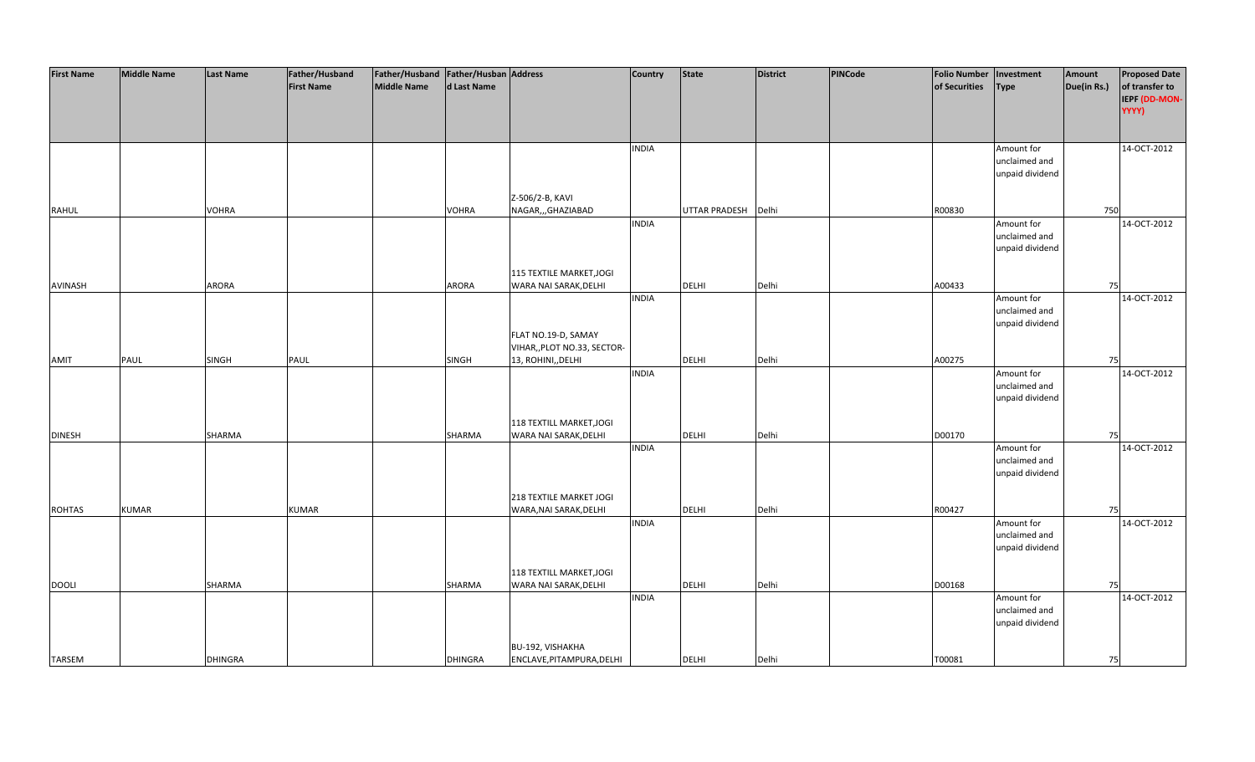| <b>First Name</b> | <b>Middle Name</b> | <b>Last Name</b> | Father/Husband    | Father/Husband Father/Husban Address |                |                             | Country      | <b>State</b>         | <b>District</b> | PINCode | <b>Folio Number</b> | Investment      | Amount      | <b>Proposed Date</b> |
|-------------------|--------------------|------------------|-------------------|--------------------------------------|----------------|-----------------------------|--------------|----------------------|-----------------|---------|---------------------|-----------------|-------------|----------------------|
|                   |                    |                  | <b>First Name</b> | <b>Middle Name</b>                   | d Last Name    |                             |              |                      |                 |         | of Securities       | <b>Type</b>     | Due(in Rs.) | of transfer to       |
|                   |                    |                  |                   |                                      |                |                             |              |                      |                 |         |                     |                 |             | IEPF (DD-MON-        |
|                   |                    |                  |                   |                                      |                |                             |              |                      |                 |         |                     |                 |             | YYYY)                |
|                   |                    |                  |                   |                                      |                |                             |              |                      |                 |         |                     |                 |             |                      |
|                   |                    |                  |                   |                                      |                |                             |              |                      |                 |         |                     |                 |             |                      |
|                   |                    |                  |                   |                                      |                |                             |              |                      |                 |         |                     |                 |             |                      |
|                   |                    |                  |                   |                                      |                |                             | <b>INDIA</b> |                      |                 |         |                     | Amount for      |             | 14-OCT-2012          |
|                   |                    |                  |                   |                                      |                |                             |              |                      |                 |         |                     | unclaimed and   |             |                      |
|                   |                    |                  |                   |                                      |                |                             |              |                      |                 |         |                     | unpaid dividend |             |                      |
|                   |                    |                  |                   |                                      |                |                             |              |                      |                 |         |                     |                 |             |                      |
|                   |                    |                  |                   |                                      |                | Z-506/2-B, KAVI             |              |                      |                 |         |                     |                 |             |                      |
| <b>RAHUL</b>      |                    | <b>VOHRA</b>     |                   |                                      | <b>VOHRA</b>   | NAGAR,,,GHAZIABAD           |              | <b>UTTAR PRADESH</b> | Delhi           |         | R00830              |                 | 750         |                      |
|                   |                    |                  |                   |                                      |                |                             | <b>INDIA</b> |                      |                 |         |                     | Amount for      |             | 14-OCT-2012          |
|                   |                    |                  |                   |                                      |                |                             |              |                      |                 |         |                     | unclaimed and   |             |                      |
|                   |                    |                  |                   |                                      |                |                             |              |                      |                 |         |                     | unpaid dividend |             |                      |
|                   |                    |                  |                   |                                      |                |                             |              |                      |                 |         |                     |                 |             |                      |
|                   |                    |                  |                   |                                      |                | 115 TEXTILE MARKET, JOGI    |              |                      |                 |         |                     |                 |             |                      |
| AVINASH           |                    | ARORA            |                   |                                      | <b>ARORA</b>   | WARA NAI SARAK, DELHI       |              | DELHI                | Delhi           |         | A00433              |                 | 75          |                      |
|                   |                    |                  |                   |                                      |                |                             |              |                      |                 |         |                     |                 |             | 14-OCT-2012          |
|                   |                    |                  |                   |                                      |                |                             | <b>INDIA</b> |                      |                 |         |                     | Amount for      |             |                      |
|                   |                    |                  |                   |                                      |                |                             |              |                      |                 |         |                     | unclaimed and   |             |                      |
|                   |                    |                  |                   |                                      |                |                             |              |                      |                 |         |                     | unpaid dividend |             |                      |
|                   |                    |                  |                   |                                      |                | FLAT NO.19-D, SAMAY         |              |                      |                 |         |                     |                 |             |                      |
|                   |                    |                  |                   |                                      |                | VIHAR,, PLOT NO.33, SECTOR- |              |                      |                 |         |                     |                 |             |                      |
| AMIT              | PAUL               | SINGH            | <b>PAUL</b>       |                                      | <b>SINGH</b>   | 13, ROHINI, DELHI           |              | DELHI                | Delhi           |         | A00275              |                 | 75          |                      |
|                   |                    |                  |                   |                                      |                |                             | <b>INDIA</b> |                      |                 |         |                     | Amount for      |             | 14-OCT-2012          |
|                   |                    |                  |                   |                                      |                |                             |              |                      |                 |         |                     | unclaimed and   |             |                      |
|                   |                    |                  |                   |                                      |                |                             |              |                      |                 |         |                     | unpaid dividend |             |                      |
|                   |                    |                  |                   |                                      |                |                             |              |                      |                 |         |                     |                 |             |                      |
|                   |                    |                  |                   |                                      |                | 118 TEXTILL MARKET, JOGI    |              |                      |                 |         |                     |                 |             |                      |
| <b>DINESH</b>     |                    | SHARMA           |                   |                                      | SHARMA         | WARA NAI SARAK, DELHI       |              | <b>DELHI</b>         | Delhi           |         | D00170              |                 | 75          |                      |
|                   |                    |                  |                   |                                      |                |                             | <b>INDIA</b> |                      |                 |         |                     | Amount for      |             | 14-OCT-2012          |
|                   |                    |                  |                   |                                      |                |                             |              |                      |                 |         |                     | unclaimed and   |             |                      |
|                   |                    |                  |                   |                                      |                |                             |              |                      |                 |         |                     | unpaid dividend |             |                      |
|                   |                    |                  |                   |                                      |                |                             |              |                      |                 |         |                     |                 |             |                      |
|                   |                    |                  |                   |                                      |                | 218 TEXTILE MARKET JOGI     |              |                      |                 |         |                     |                 |             |                      |
| <b>ROHTAS</b>     | <b>KUMAR</b>       |                  | <b>KUMAR</b>      |                                      |                | WARA, NAI SARAK, DELHI      |              | DELHI                | Delhi           |         | R00427              |                 | 75          |                      |
|                   |                    |                  |                   |                                      |                |                             | <b>INDIA</b> |                      |                 |         |                     | Amount for      |             | 14-OCT-2012          |
|                   |                    |                  |                   |                                      |                |                             |              |                      |                 |         |                     | unclaimed and   |             |                      |
|                   |                    |                  |                   |                                      |                |                             |              |                      |                 |         |                     |                 |             |                      |
|                   |                    |                  |                   |                                      |                |                             |              |                      |                 |         |                     | unpaid dividend |             |                      |
|                   |                    |                  |                   |                                      |                |                             |              |                      |                 |         |                     |                 |             |                      |
|                   |                    |                  |                   |                                      |                | 118 TEXTILL MARKET, JOGI    |              |                      |                 |         |                     |                 |             |                      |
| <b>DOOLI</b>      |                    | SHARMA           |                   |                                      | SHARMA         | WARA NAI SARAK, DELHI       |              | <b>DELHI</b>         | Delhi           |         | D00168              |                 | 75          |                      |
|                   |                    |                  |                   |                                      |                |                             | <b>INDIA</b> |                      |                 |         |                     | Amount for      |             | 14-OCT-2012          |
|                   |                    |                  |                   |                                      |                |                             |              |                      |                 |         |                     | unclaimed and   |             |                      |
|                   |                    |                  |                   |                                      |                |                             |              |                      |                 |         |                     | unpaid dividend |             |                      |
|                   |                    |                  |                   |                                      |                |                             |              |                      |                 |         |                     |                 |             |                      |
|                   |                    |                  |                   |                                      |                | BU-192, VISHAKHA            |              |                      |                 |         |                     |                 |             |                      |
| <b>TARSEM</b>     |                    | <b>DHINGRA</b>   |                   |                                      | <b>DHINGRA</b> | ENCLAVE, PITAMPURA, DELHI   |              | <b>DELHI</b>         | Delhi           |         | T00081              |                 | 75          |                      |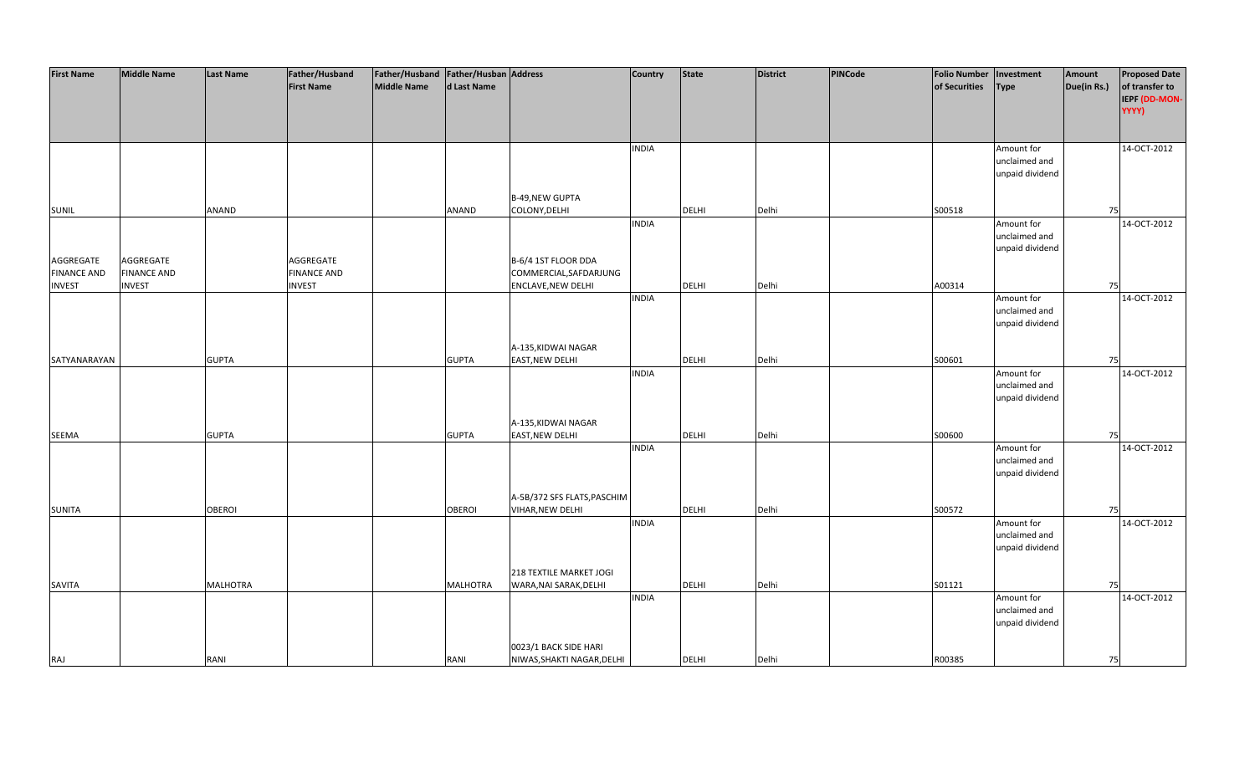| <b>First Name</b>  | <b>Middle Name</b> | <b>Last Name</b> | Father/Husband     | Father/Husband   Father/Husban   Address |                 |                             | Country      | <b>State</b> | <b>District</b> | PINCode | <b>Folio Number</b> | Investment      | Amount      | <b>Proposed Date</b> |
|--------------------|--------------------|------------------|--------------------|------------------------------------------|-----------------|-----------------------------|--------------|--------------|-----------------|---------|---------------------|-----------------|-------------|----------------------|
|                    |                    |                  | <b>First Name</b>  | <b>Middle Name</b>                       | d Last Name     |                             |              |              |                 |         | of Securities       | <b>Type</b>     | Due(in Rs.) | of transfer to       |
|                    |                    |                  |                    |                                          |                 |                             |              |              |                 |         |                     |                 |             |                      |
|                    |                    |                  |                    |                                          |                 |                             |              |              |                 |         |                     |                 |             | IEPF (DD-MON-        |
|                    |                    |                  |                    |                                          |                 |                             |              |              |                 |         |                     |                 |             | YYYY)                |
|                    |                    |                  |                    |                                          |                 |                             |              |              |                 |         |                     |                 |             |                      |
|                    |                    |                  |                    |                                          |                 |                             |              |              |                 |         |                     |                 |             |                      |
|                    |                    |                  |                    |                                          |                 |                             | <b>INDIA</b> |              |                 |         |                     | Amount for      |             | 14-OCT-2012          |
|                    |                    |                  |                    |                                          |                 |                             |              |              |                 |         |                     | unclaimed and   |             |                      |
|                    |                    |                  |                    |                                          |                 |                             |              |              |                 |         |                     | unpaid dividend |             |                      |
|                    |                    |                  |                    |                                          |                 |                             |              |              |                 |         |                     |                 |             |                      |
|                    |                    |                  |                    |                                          |                 | <b>B-49, NEW GUPTA</b>      |              |              |                 |         |                     |                 |             |                      |
| SUNIL              |                    | <b>ANAND</b>     |                    |                                          | <b>ANAND</b>    | COLONY, DELHI               |              | <b>DELHI</b> | Delhi           |         | S00518              |                 | 75          |                      |
|                    |                    |                  |                    |                                          |                 |                             | <b>INDIA</b> |              |                 |         |                     | Amount for      |             | 14-OCT-2012          |
|                    |                    |                  |                    |                                          |                 |                             |              |              |                 |         |                     | unclaimed and   |             |                      |
|                    |                    |                  |                    |                                          |                 |                             |              |              |                 |         |                     |                 |             |                      |
|                    |                    |                  |                    |                                          |                 |                             |              |              |                 |         |                     | unpaid dividend |             |                      |
| AGGREGATE          | AGGREGATE          |                  | AGGREGATE          |                                          |                 | B-6/4 1ST FLOOR DDA         |              |              |                 |         |                     |                 |             |                      |
| <b>FINANCE AND</b> | <b>FINANCE AND</b> |                  | <b>FINANCE AND</b> |                                          |                 | COMMERCIAL, SAFDARJUNG      |              |              |                 |         |                     |                 |             |                      |
| <b>INVEST</b>      | <b>INVEST</b>      |                  | <b>INVEST</b>      |                                          |                 | ENCLAVE, NEW DELHI          |              | <b>DELHI</b> | Delhi           |         | A00314              |                 | 75          |                      |
|                    |                    |                  |                    |                                          |                 |                             | <b>INDIA</b> |              |                 |         |                     | Amount for      |             | 14-OCT-2012          |
|                    |                    |                  |                    |                                          |                 |                             |              |              |                 |         |                     | unclaimed and   |             |                      |
|                    |                    |                  |                    |                                          |                 |                             |              |              |                 |         |                     | unpaid dividend |             |                      |
|                    |                    |                  |                    |                                          |                 |                             |              |              |                 |         |                     |                 |             |                      |
|                    |                    |                  |                    |                                          |                 | A-135, KIDWAI NAGAR         |              |              |                 |         |                     |                 |             |                      |
| SATYANARAYAN       |                    | <b>GUPTA</b>     |                    |                                          | <b>GUPTA</b>    | EAST, NEW DELHI             |              | <b>DELHI</b> | Delhi           |         | S00601              |                 | 75          |                      |
|                    |                    |                  |                    |                                          |                 |                             | <b>INDIA</b> |              |                 |         |                     | Amount for      |             | 14-OCT-2012          |
|                    |                    |                  |                    |                                          |                 |                             |              |              |                 |         |                     | unclaimed and   |             |                      |
|                    |                    |                  |                    |                                          |                 |                             |              |              |                 |         |                     |                 |             |                      |
|                    |                    |                  |                    |                                          |                 |                             |              |              |                 |         |                     | unpaid dividend |             |                      |
|                    |                    |                  |                    |                                          |                 |                             |              |              |                 |         |                     |                 |             |                      |
|                    |                    |                  |                    |                                          |                 | A-135, KIDWAI NAGAR         |              |              |                 |         |                     |                 |             |                      |
| <b>SEEMA</b>       |                    | <b>GUPTA</b>     |                    |                                          | <b>GUPTA</b>    | EAST, NEW DELHI             |              | <b>DELHI</b> | Delhi           |         | S00600              |                 | 75          |                      |
|                    |                    |                  |                    |                                          |                 |                             | <b>INDIA</b> |              |                 |         |                     | Amount for      |             | 14-OCT-2012          |
|                    |                    |                  |                    |                                          |                 |                             |              |              |                 |         |                     | unclaimed and   |             |                      |
|                    |                    |                  |                    |                                          |                 |                             |              |              |                 |         |                     | unpaid dividend |             |                      |
|                    |                    |                  |                    |                                          |                 |                             |              |              |                 |         |                     |                 |             |                      |
|                    |                    |                  |                    |                                          |                 | A-5B/372 SFS FLATS, PASCHIM |              |              |                 |         |                     |                 |             |                      |
| SUNITA             |                    | <b>OBEROI</b>    |                    |                                          | <b>OBEROI</b>   | <b>VIHAR, NEW DELHI</b>     |              | <b>DELHI</b> | Delhi           |         | S00572              |                 | 75          |                      |
|                    |                    |                  |                    |                                          |                 |                             | <b>INDIA</b> |              |                 |         |                     | Amount for      |             | 14-OCT-2012          |
|                    |                    |                  |                    |                                          |                 |                             |              |              |                 |         |                     | unclaimed and   |             |                      |
|                    |                    |                  |                    |                                          |                 |                             |              |              |                 |         |                     | unpaid dividend |             |                      |
|                    |                    |                  |                    |                                          |                 |                             |              |              |                 |         |                     |                 |             |                      |
|                    |                    |                  |                    |                                          |                 | 218 TEXTILE MARKET JOGI     |              |              |                 |         |                     |                 |             |                      |
|                    |                    |                  |                    |                                          |                 |                             |              |              |                 |         |                     |                 |             |                      |
| SAVITA             |                    | <b>MALHOTRA</b>  |                    |                                          | <b>MALHOTRA</b> | WARA, NAI SARAK, DELHI      |              | DELHI        | Delhi           |         | S01121              |                 | 75          |                      |
|                    |                    |                  |                    |                                          |                 |                             | <b>INDIA</b> |              |                 |         |                     | Amount for      |             | 14-OCT-2012          |
|                    |                    |                  |                    |                                          |                 |                             |              |              |                 |         |                     | unclaimed and   |             |                      |
|                    |                    |                  |                    |                                          |                 |                             |              |              |                 |         |                     | unpaid dividend |             |                      |
|                    |                    |                  |                    |                                          |                 |                             |              |              |                 |         |                     |                 |             |                      |
|                    |                    |                  |                    |                                          |                 | 0023/1 BACK SIDE HARI       |              |              |                 |         |                     |                 |             |                      |
| <b>RAJ</b>         |                    | RANI             |                    |                                          | RANI            | NIWAS, SHAKTI NAGAR, DELHI  |              | <b>DELHI</b> | Delhi           |         | R00385              |                 | 75          |                      |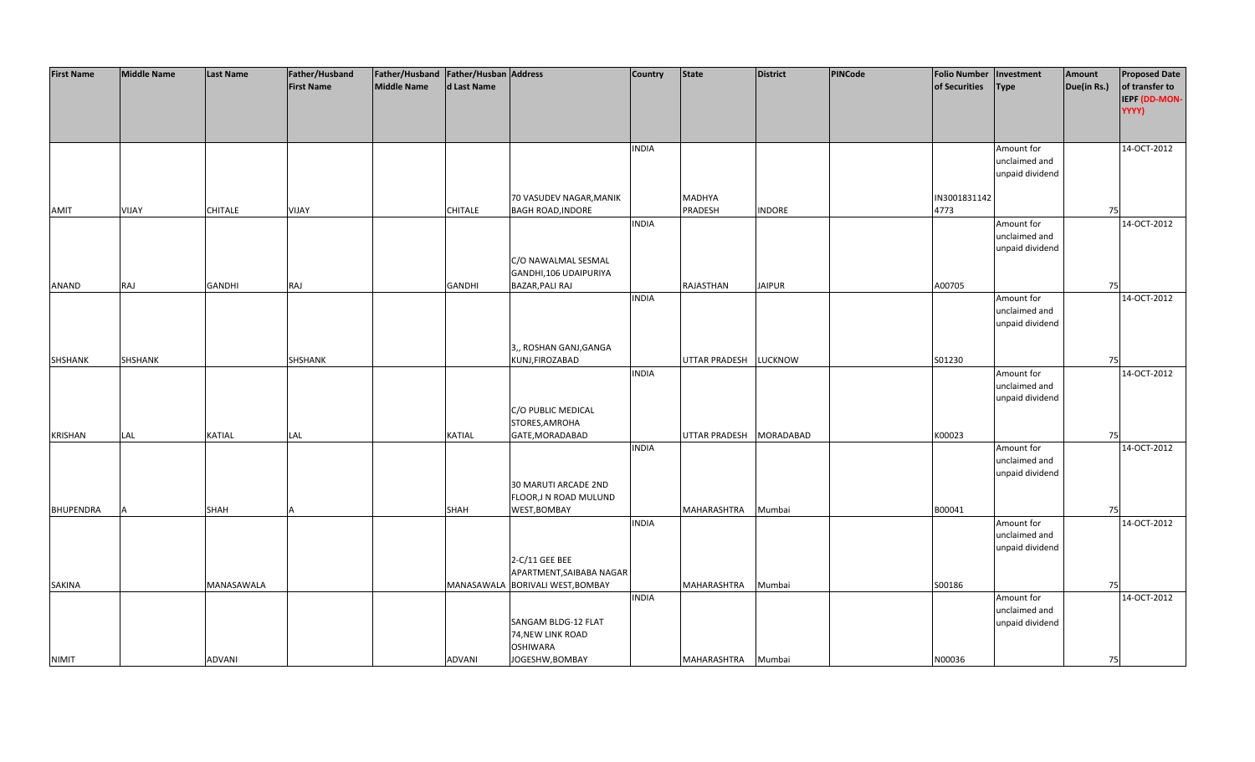| <b>First Name</b> | <b>Middle Name</b> | <b>Last Name</b> | Father/Husband    | Father/Husband   Father/Husban   Address |                |                                  | <b>Country</b> | <b>State</b>            | <b>District</b> | PINCode | <b>Folio Number</b> | Investment      | Amount      | <b>Proposed Date</b> |
|-------------------|--------------------|------------------|-------------------|------------------------------------------|----------------|----------------------------------|----------------|-------------------------|-----------------|---------|---------------------|-----------------|-------------|----------------------|
|                   |                    |                  | <b>First Name</b> | <b>Middle Name</b>                       | d Last Name    |                                  |                |                         |                 |         | of Securities       | <b>Type</b>     | Due(in Rs.) | of transfer to       |
|                   |                    |                  |                   |                                          |                |                                  |                |                         |                 |         |                     |                 |             | IEPF (DD-MON-        |
|                   |                    |                  |                   |                                          |                |                                  |                |                         |                 |         |                     |                 |             | YYYY)                |
|                   |                    |                  |                   |                                          |                |                                  |                |                         |                 |         |                     |                 |             |                      |
|                   |                    |                  |                   |                                          |                |                                  |                |                         |                 |         |                     |                 |             |                      |
|                   |                    |                  |                   |                                          |                |                                  |                |                         |                 |         |                     |                 |             |                      |
|                   |                    |                  |                   |                                          |                |                                  | <b>INDIA</b>   |                         |                 |         |                     | Amount for      |             | 14-OCT-2012          |
|                   |                    |                  |                   |                                          |                |                                  |                |                         |                 |         |                     | unclaimed and   |             |                      |
|                   |                    |                  |                   |                                          |                |                                  |                |                         |                 |         |                     | unpaid dividend |             |                      |
|                   |                    |                  |                   |                                          |                |                                  |                |                         |                 |         |                     |                 |             |                      |
|                   |                    |                  |                   |                                          |                | 70 VASUDEV NAGAR, MANIK          |                | MADHYA                  |                 |         | IN3001831142        |                 |             |                      |
| AMIT              | VIJAY              | <b>CHITALE</b>   | VIJAY             |                                          | <b>CHITALE</b> | <b>BAGH ROAD, INDORE</b>         |                | PRADESH                 | <b>INDORE</b>   |         | 4773                |                 | 75          |                      |
|                   |                    |                  |                   |                                          |                |                                  | <b>INDIA</b>   |                         |                 |         |                     | Amount for      |             | 14-OCT-2012          |
|                   |                    |                  |                   |                                          |                |                                  |                |                         |                 |         |                     | unclaimed and   |             |                      |
|                   |                    |                  |                   |                                          |                |                                  |                |                         |                 |         |                     | unpaid dividend |             |                      |
|                   |                    |                  |                   |                                          |                | C/O NAWALMAL SESMAL              |                |                         |                 |         |                     |                 |             |                      |
|                   |                    |                  |                   |                                          |                | GANDHI,106 UDAIPURIYA            |                |                         |                 |         |                     |                 |             |                      |
| ANAND             | RAJ                | <b>GANDHI</b>    | RAJ               |                                          | <b>GANDHI</b>  | BAZAR, PALI RAJ                  |                | RAJASTHAN               | <b>JAIPUR</b>   |         | A00705              |                 | 75          |                      |
|                   |                    |                  |                   |                                          |                |                                  | <b>INDIA</b>   |                         |                 |         |                     | Amount for      |             | 14-OCT-2012          |
|                   |                    |                  |                   |                                          |                |                                  |                |                         |                 |         |                     | unclaimed and   |             |                      |
|                   |                    |                  |                   |                                          |                |                                  |                |                         |                 |         |                     | unpaid dividend |             |                      |
|                   |                    |                  |                   |                                          |                |                                  |                |                         |                 |         |                     |                 |             |                      |
|                   |                    |                  |                   |                                          |                | 3,, ROSHAN GANJ, GANGA           |                |                         |                 |         |                     |                 |             |                      |
| SHSHANK           | SHSHANK            |                  | SHSHANK           |                                          |                | KUNJ, FIROZABAD                  |                | UTTAR PRADESH LUCKNOW   |                 |         | S01230              |                 | 75          |                      |
|                   |                    |                  |                   |                                          |                |                                  | <b>INDIA</b>   |                         |                 |         |                     | Amount for      |             | 14-OCT-2012          |
|                   |                    |                  |                   |                                          |                |                                  |                |                         |                 |         |                     | unclaimed and   |             |                      |
|                   |                    |                  |                   |                                          |                |                                  |                |                         |                 |         |                     | unpaid dividend |             |                      |
|                   |                    |                  |                   |                                          |                | C/O PUBLIC MEDICAL               |                |                         |                 |         |                     |                 |             |                      |
|                   |                    |                  |                   |                                          |                | STORES, AMROHA                   |                |                         |                 |         |                     |                 |             |                      |
| <b>KRISHAN</b>    | LAL                | <b>KATIAL</b>    | LAL               |                                          | <b>KATIAL</b>  | GATE, MORADABAD                  |                | UTTAR PRADESH MORADABAD |                 |         | K00023              |                 | 75          |                      |
|                   |                    |                  |                   |                                          |                |                                  | <b>INDIA</b>   |                         |                 |         |                     | Amount for      |             | 14-OCT-2012          |
|                   |                    |                  |                   |                                          |                |                                  |                |                         |                 |         |                     | unclaimed and   |             |                      |
|                   |                    |                  |                   |                                          |                |                                  |                |                         |                 |         |                     | unpaid dividend |             |                      |
|                   |                    |                  |                   |                                          |                | 30 MARUTI ARCADE 2ND             |                |                         |                 |         |                     |                 |             |                      |
|                   |                    |                  |                   |                                          |                | FLOOR, JN ROAD MULUND            |                |                         |                 |         |                     |                 |             |                      |
| <b>BHUPENDRA</b>  |                    | SHAH             |                   |                                          | SHAH           | WEST, BOMBAY                     |                | MAHARASHTRA             | Mumbai          |         | B00041              |                 | 75          |                      |
|                   |                    |                  |                   |                                          |                |                                  | <b>INDIA</b>   |                         |                 |         |                     | Amount for      |             | 14-OCT-2012          |
|                   |                    |                  |                   |                                          |                |                                  |                |                         |                 |         |                     | unclaimed and   |             |                      |
|                   |                    |                  |                   |                                          |                |                                  |                |                         |                 |         |                     | unpaid dividend |             |                      |
|                   |                    |                  |                   |                                          |                | 2-C/11 GEE BEE                   |                |                         |                 |         |                     |                 |             |                      |
|                   |                    |                  |                   |                                          |                | APARTMENT, SAIBABA NAGAR         |                |                         |                 |         |                     |                 |             |                      |
| SAKINA            |                    | MANASAWALA       |                   |                                          |                | MANASAWALA BORIVALI WEST, BOMBAY |                | MAHARASHTRA             | Mumbai          |         | S00186              |                 | 75          |                      |
|                   |                    |                  |                   |                                          |                |                                  | <b>INDIA</b>   |                         |                 |         |                     | Amount for      |             | 14-OCT-2012          |
|                   |                    |                  |                   |                                          |                |                                  |                |                         |                 |         |                     | unclaimed and   |             |                      |
|                   |                    |                  |                   |                                          |                | SANGAM BLDG-12 FLAT              |                |                         |                 |         |                     | unpaid dividend |             |                      |
|                   |                    |                  |                   |                                          |                | 74, NEW LINK ROAD                |                |                         |                 |         |                     |                 |             |                      |
|                   |                    |                  |                   |                                          |                | <b>OSHIWARA</b>                  |                |                         |                 |         |                     |                 |             |                      |
| <b>NIMIT</b>      |                    | <b>ADVANI</b>    |                   |                                          | <b>ADVANI</b>  | JOGESHW, BOMBAY                  |                | MAHARASHTRA             | Mumbai          |         | N00036              |                 | 75          |                      |
|                   |                    |                  |                   |                                          |                |                                  |                |                         |                 |         |                     |                 |             |                      |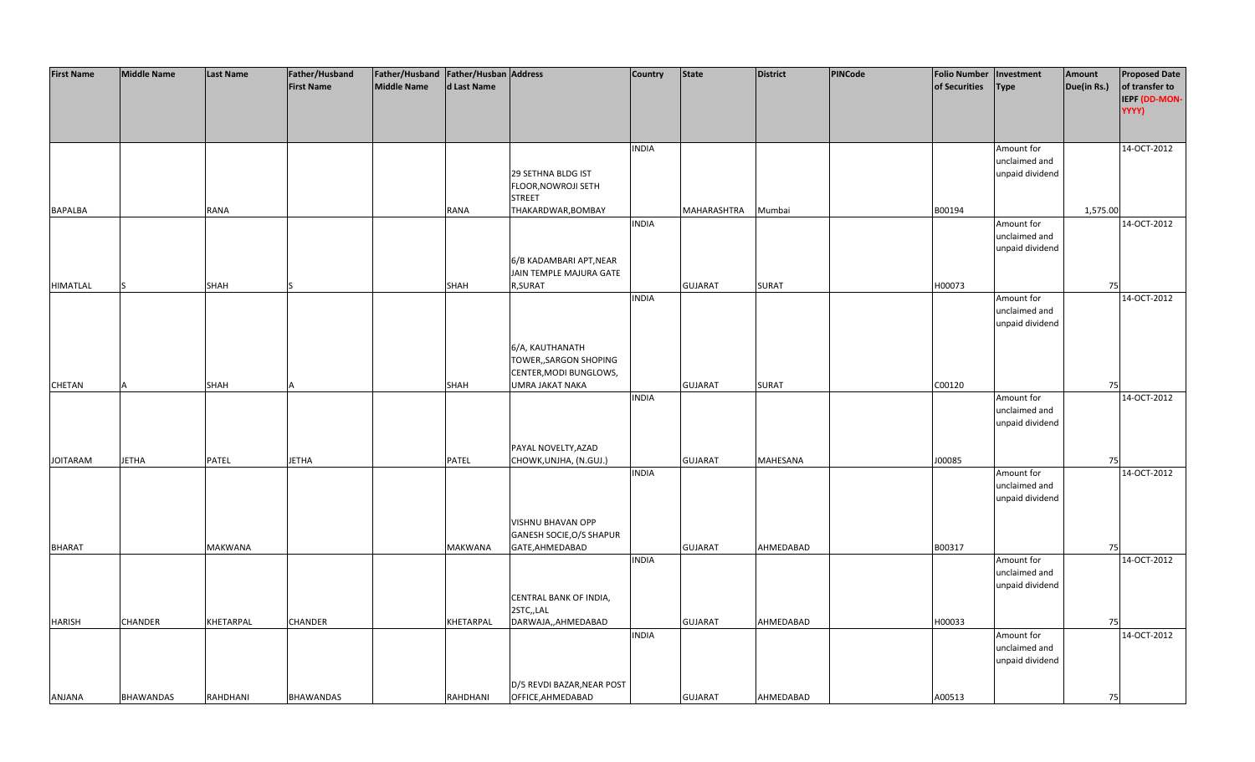| <b>First Name</b> | <b>Middle Name</b> | <b>Last Name</b> | Father/Husband    | Father/Husband   Father/Husban   Address |             |                            | <b>Country</b> | <b>State</b>   | <b>District</b> | <b>PINCode</b> | <b>Folio Number</b> | Investment      | Amount      | <b>Proposed Date</b> |
|-------------------|--------------------|------------------|-------------------|------------------------------------------|-------------|----------------------------|----------------|----------------|-----------------|----------------|---------------------|-----------------|-------------|----------------------|
|                   |                    |                  | <b>First Name</b> | Middle Name                              | d Last Name |                            |                |                |                 |                | of Securities       | <b>Type</b>     | Due(in Rs.) | of transfer to       |
|                   |                    |                  |                   |                                          |             |                            |                |                |                 |                |                     |                 |             | IEPF (DD-MON-        |
|                   |                    |                  |                   |                                          |             |                            |                |                |                 |                |                     |                 |             | YYYY)                |
|                   |                    |                  |                   |                                          |             |                            |                |                |                 |                |                     |                 |             |                      |
|                   |                    |                  |                   |                                          |             |                            |                |                |                 |                |                     |                 |             |                      |
|                   |                    |                  |                   |                                          |             |                            | <b>INDIA</b>   |                |                 |                |                     | Amount for      |             | 14-OCT-2012          |
|                   |                    |                  |                   |                                          |             |                            |                |                |                 |                |                     | unclaimed and   |             |                      |
|                   |                    |                  |                   |                                          |             | 29 SETHNA BLDG IST         |                |                |                 |                |                     | unpaid dividend |             |                      |
|                   |                    |                  |                   |                                          |             | FLOOR, NOWROJI SETH        |                |                |                 |                |                     |                 |             |                      |
|                   |                    |                  |                   |                                          |             | <b>STREET</b>              |                |                |                 |                |                     |                 |             |                      |
| <b>BAPALBA</b>    |                    | RANA             |                   |                                          | RANA        | THAKARDWAR, BOMBAY         |                | MAHARASHTRA    | Mumbai          |                | B00194              |                 | 1,575.00    |                      |
|                   |                    |                  |                   |                                          |             |                            | <b>INDIA</b>   |                |                 |                |                     | Amount for      |             | 14-OCT-2012          |
|                   |                    |                  |                   |                                          |             |                            |                |                |                 |                |                     | unclaimed and   |             |                      |
|                   |                    |                  |                   |                                          |             |                            |                |                |                 |                |                     | unpaid dividend |             |                      |
|                   |                    |                  |                   |                                          |             | 6/B KADAMBARI APT, NEAR    |                |                |                 |                |                     |                 |             |                      |
|                   |                    |                  |                   |                                          |             | JAIN TEMPLE MAJURA GATE    |                |                |                 |                |                     |                 |             |                      |
| <b>HIMATLAL</b>   | ıς                 | SHAH             |                   |                                          | SHAH        | R, SURAT                   |                | <b>GUJARAT</b> | <b>SURAT</b>    |                | H00073              |                 | 75          |                      |
|                   |                    |                  |                   |                                          |             |                            | <b>INDIA</b>   |                |                 |                |                     | Amount for      |             | 14-OCT-2012          |
|                   |                    |                  |                   |                                          |             |                            |                |                |                 |                |                     | unclaimed and   |             |                      |
|                   |                    |                  |                   |                                          |             |                            |                |                |                 |                |                     |                 |             |                      |
|                   |                    |                  |                   |                                          |             |                            |                |                |                 |                |                     | unpaid dividend |             |                      |
|                   |                    |                  |                   |                                          |             |                            |                |                |                 |                |                     |                 |             |                      |
|                   |                    |                  |                   |                                          |             | 6/A, KAUTHANATH            |                |                |                 |                |                     |                 |             |                      |
|                   |                    |                  |                   |                                          |             | TOWER,, SARGON SHOPING     |                |                |                 |                |                     |                 |             |                      |
|                   |                    |                  |                   |                                          |             | CENTER, MODI BUNGLOWS,     |                |                |                 |                |                     |                 |             |                      |
| CHETAN            | A                  | SHAH             |                   |                                          | SHAH        | UMRA JAKAT NAKA            |                | <b>GUJARAT</b> | <b>SURAT</b>    |                | C00120              |                 | 75          |                      |
|                   |                    |                  |                   |                                          |             |                            | <b>INDIA</b>   |                |                 |                |                     | Amount for      |             | 14-OCT-2012          |
|                   |                    |                  |                   |                                          |             |                            |                |                |                 |                |                     | unclaimed and   |             |                      |
|                   |                    |                  |                   |                                          |             |                            |                |                |                 |                |                     | unpaid dividend |             |                      |
|                   |                    |                  |                   |                                          |             |                            |                |                |                 |                |                     |                 |             |                      |
|                   |                    |                  |                   |                                          |             | PAYAL NOVELTY, AZAD        |                |                |                 |                |                     |                 |             |                      |
| <b>JOITARAM</b>   | <b>JETHA</b>       | PATEL            | <b>JETHA</b>      |                                          | PATEL       | CHOWK, UNJHA, (N.GUJ.)     |                | <b>GUJARAT</b> | MAHESANA        |                | J00085              |                 | 75          |                      |
|                   |                    |                  |                   |                                          |             |                            | <b>INDIA</b>   |                |                 |                |                     | Amount for      |             | 14-OCT-2012          |
|                   |                    |                  |                   |                                          |             |                            |                |                |                 |                |                     | unclaimed and   |             |                      |
|                   |                    |                  |                   |                                          |             |                            |                |                |                 |                |                     | unpaid dividend |             |                      |
|                   |                    |                  |                   |                                          |             |                            |                |                |                 |                |                     |                 |             |                      |
|                   |                    |                  |                   |                                          |             | VISHNU BHAVAN OPP          |                |                |                 |                |                     |                 |             |                      |
|                   |                    |                  |                   |                                          |             | GANESH SOCIE, O/S SHAPUR   |                |                |                 |                |                     |                 |             |                      |
| <b>BHARAT</b>     |                    | <b>MAKWANA</b>   |                   |                                          | MAKWANA     | GATE, AHMEDABAD            |                | <b>GUJARAT</b> | AHMEDABAD       |                | B00317              |                 | 75          |                      |
|                   |                    |                  |                   |                                          |             |                            | <b>INDIA</b>   |                |                 |                |                     | Amount for      |             | 14-OCT-2012          |
|                   |                    |                  |                   |                                          |             |                            |                |                |                 |                |                     | unclaimed and   |             |                      |
|                   |                    |                  |                   |                                          |             |                            |                |                |                 |                |                     | unpaid dividend |             |                      |
|                   |                    |                  |                   |                                          |             | CENTRAL BANK OF INDIA,     |                |                |                 |                |                     |                 |             |                      |
|                   |                    |                  |                   |                                          |             | 2STC,,LAL                  |                |                |                 |                |                     |                 |             |                      |
| HARISH            | CHANDER            | KHETARPAL        | <b>CHANDER</b>    |                                          | KHETARPAL   | DARWAJA,, AHMEDABAD        |                | <b>GUJARAT</b> | AHMEDABAD       |                | H00033              |                 | 75          |                      |
|                   |                    |                  |                   |                                          |             |                            | <b>INDIA</b>   |                |                 |                |                     | Amount for      |             | 14-OCT-2012          |
|                   |                    |                  |                   |                                          |             |                            |                |                |                 |                |                     | unclaimed and   |             |                      |
|                   |                    |                  |                   |                                          |             |                            |                |                |                 |                |                     | unpaid dividend |             |                      |
|                   |                    |                  |                   |                                          |             |                            |                |                |                 |                |                     |                 |             |                      |
|                   |                    |                  |                   |                                          |             | D/5 REVDI BAZAR, NEAR POST |                |                |                 |                |                     |                 |             |                      |
| <b>ANJANA</b>     | <b>BHAWANDAS</b>   | RAHDHANI         | <b>BHAWANDAS</b>  |                                          | RAHDHANI    | OFFICE, AHMEDABAD          |                | <b>GUJARAT</b> | AHMEDABAD       |                | A00513              |                 | 75          |                      |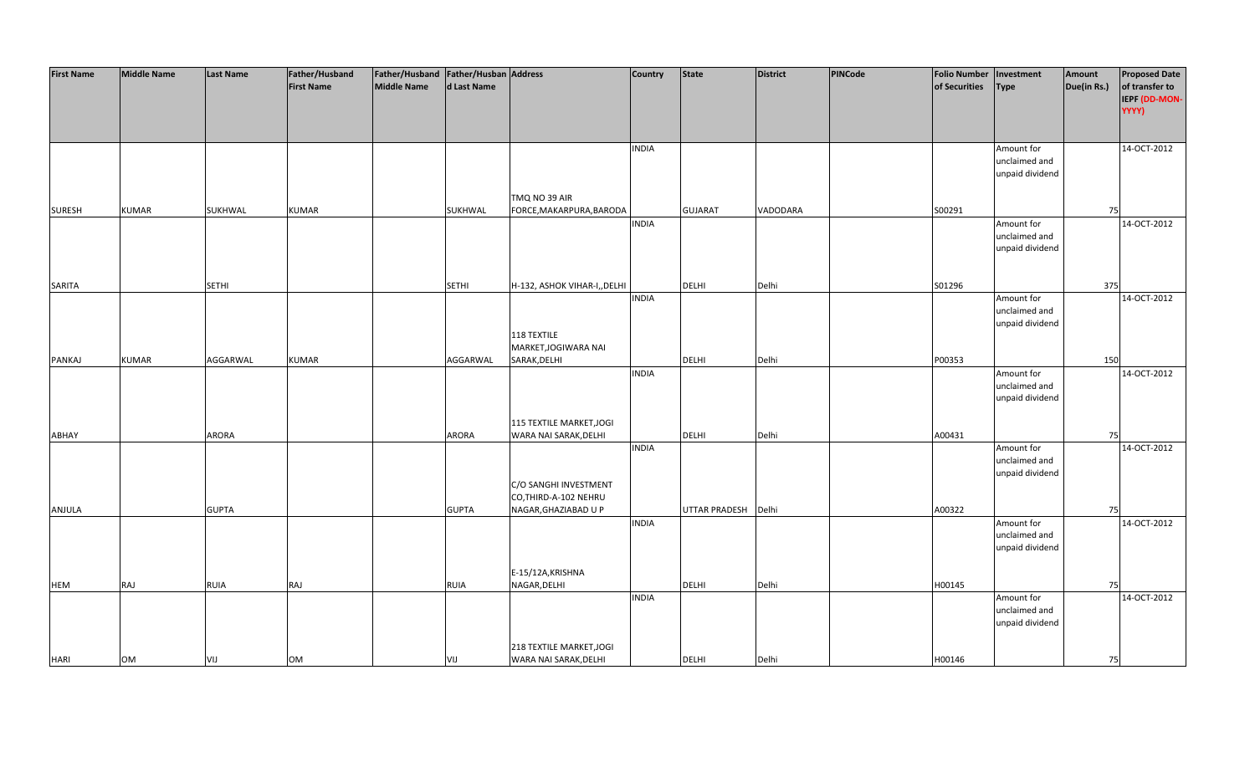| <b>First Name</b> | <b>Middle Name</b> | <b>Last Name</b> | Father/Husband    | Father/Husband Father/Husban Address |              |                              | Country      | <b>State</b>         | <b>District</b> | PINCode | <b>Folio Number</b> | Investment      | Amount      | <b>Proposed Date</b> |
|-------------------|--------------------|------------------|-------------------|--------------------------------------|--------------|------------------------------|--------------|----------------------|-----------------|---------|---------------------|-----------------|-------------|----------------------|
|                   |                    |                  | <b>First Name</b> | <b>Middle Name</b>                   | d Last Name  |                              |              |                      |                 |         | of Securities       | <b>Type</b>     | Due(in Rs.) | of transfer to       |
|                   |                    |                  |                   |                                      |              |                              |              |                      |                 |         |                     |                 |             | IEPF (DD-MON-        |
|                   |                    |                  |                   |                                      |              |                              |              |                      |                 |         |                     |                 |             | YYYY)                |
|                   |                    |                  |                   |                                      |              |                              |              |                      |                 |         |                     |                 |             |                      |
|                   |                    |                  |                   |                                      |              |                              |              |                      |                 |         |                     |                 |             |                      |
|                   |                    |                  |                   |                                      |              |                              | <b>INDIA</b> |                      |                 |         |                     | Amount for      |             | 14-OCT-2012          |
|                   |                    |                  |                   |                                      |              |                              |              |                      |                 |         |                     | unclaimed and   |             |                      |
|                   |                    |                  |                   |                                      |              |                              |              |                      |                 |         |                     | unpaid dividend |             |                      |
|                   |                    |                  |                   |                                      |              |                              |              |                      |                 |         |                     |                 |             |                      |
|                   |                    |                  |                   |                                      |              | TMQ NO 39 AIR                |              |                      |                 |         |                     |                 |             |                      |
| <b>SURESH</b>     | <b>KUMAR</b>       | SUKHWAL          | <b>KUMAR</b>      |                                      | SUKHWAL      | FORCE, MAKARPURA, BARODA     |              | <b>GUJARAT</b>       | VADODARA        |         | S00291              |                 | 75          |                      |
|                   |                    |                  |                   |                                      |              |                              | <b>INDIA</b> |                      |                 |         |                     | Amount for      |             | 14-OCT-2012          |
|                   |                    |                  |                   |                                      |              |                              |              |                      |                 |         |                     | unclaimed and   |             |                      |
|                   |                    |                  |                   |                                      |              |                              |              |                      |                 |         |                     | unpaid dividend |             |                      |
|                   |                    |                  |                   |                                      |              |                              |              |                      |                 |         |                     |                 |             |                      |
|                   |                    |                  |                   |                                      |              |                              |              |                      |                 |         |                     |                 |             |                      |
| SARITA            |                    | <b>SETHI</b>     |                   |                                      | <b>SETHI</b> | H-132, ASHOK VIHAR-I,, DELHI |              | DELHI                | Delhi           |         | S01296              |                 | 375         |                      |
|                   |                    |                  |                   |                                      |              |                              | <b>INDIA</b> |                      |                 |         |                     | Amount for      |             | 14-OCT-2012          |
|                   |                    |                  |                   |                                      |              |                              |              |                      |                 |         |                     | unclaimed and   |             |                      |
|                   |                    |                  |                   |                                      |              |                              |              |                      |                 |         |                     | unpaid dividend |             |                      |
|                   |                    |                  |                   |                                      |              | 118 TEXTILE                  |              |                      |                 |         |                     |                 |             |                      |
|                   |                    |                  |                   |                                      |              | MARKET, JOGIWARA NAI         |              |                      |                 |         |                     |                 |             |                      |
| PANKAJ            | <b>KUMAR</b>       | AGGARWAL         | <b>KUMAR</b>      |                                      | AGGARWAL     | SARAK, DELHI                 |              | <b>DELHI</b>         | Delhi           |         | P00353              |                 | 150         |                      |
|                   |                    |                  |                   |                                      |              |                              | <b>INDIA</b> |                      |                 |         |                     | Amount for      |             | 14-OCT-2012          |
|                   |                    |                  |                   |                                      |              |                              |              |                      |                 |         |                     | unclaimed and   |             |                      |
|                   |                    |                  |                   |                                      |              |                              |              |                      |                 |         |                     | unpaid dividend |             |                      |
|                   |                    |                  |                   |                                      |              |                              |              |                      |                 |         |                     |                 |             |                      |
|                   |                    |                  |                   |                                      |              | 115 TEXTILE MARKET, JOGI     |              |                      |                 |         |                     |                 |             |                      |
| ABHAY             |                    | ARORA            |                   |                                      | ARORA        | WARA NAI SARAK, DELHI        |              | <b>DELHI</b>         | Delhi           |         | A00431              |                 | 75          |                      |
|                   |                    |                  |                   |                                      |              |                              | <b>INDIA</b> |                      |                 |         |                     | Amount for      |             | 14-OCT-2012          |
|                   |                    |                  |                   |                                      |              |                              |              |                      |                 |         |                     | unclaimed and   |             |                      |
|                   |                    |                  |                   |                                      |              |                              |              |                      |                 |         |                     | unpaid dividend |             |                      |
|                   |                    |                  |                   |                                      |              | C/O SANGHI INVESTMENT        |              |                      |                 |         |                     |                 |             |                      |
|                   |                    |                  |                   |                                      |              | CO, THIRD-A-102 NEHRU        |              |                      |                 |         |                     |                 |             |                      |
| ANJULA            |                    | <b>GUPTA</b>     |                   |                                      | <b>GUPTA</b> | NAGAR, GHAZIABAD U P         |              | <b>UTTAR PRADESH</b> | Delhi           |         | A00322              |                 | 75          |                      |
|                   |                    |                  |                   |                                      |              |                              | <b>INDIA</b> |                      |                 |         |                     | Amount for      |             | 14-OCT-2012          |
|                   |                    |                  |                   |                                      |              |                              |              |                      |                 |         |                     | unclaimed and   |             |                      |
|                   |                    |                  |                   |                                      |              |                              |              |                      |                 |         |                     | unpaid dividend |             |                      |
|                   |                    |                  |                   |                                      |              |                              |              |                      |                 |         |                     |                 |             |                      |
|                   |                    |                  |                   |                                      |              | E-15/12A, KRISHNA            |              |                      |                 |         |                     |                 |             |                      |
| <b>HEM</b>        | RAJ                | <b>RUIA</b>      | RAJ               |                                      | <b>RUIA</b>  | NAGAR, DELHI                 |              | <b>DELHI</b>         | Delhi           |         | H00145              |                 | 75          |                      |
|                   |                    |                  |                   |                                      |              |                              | <b>INDIA</b> |                      |                 |         |                     | Amount for      |             | 14-OCT-2012          |
|                   |                    |                  |                   |                                      |              |                              |              |                      |                 |         |                     | unclaimed and   |             |                      |
|                   |                    |                  |                   |                                      |              |                              |              |                      |                 |         |                     | unpaid dividend |             |                      |
|                   |                    |                  |                   |                                      |              |                              |              |                      |                 |         |                     |                 |             |                      |
|                   |                    |                  |                   |                                      |              | 218 TEXTILE MARKET, JOGI     |              |                      |                 |         |                     |                 |             |                      |
| <b>HARI</b>       | OM                 | VIJ              | OM                |                                      | VIJ          | WARA NAI SARAK, DELHI        |              | <b>DELHI</b>         | Delhi           |         | H00146              |                 | 75          |                      |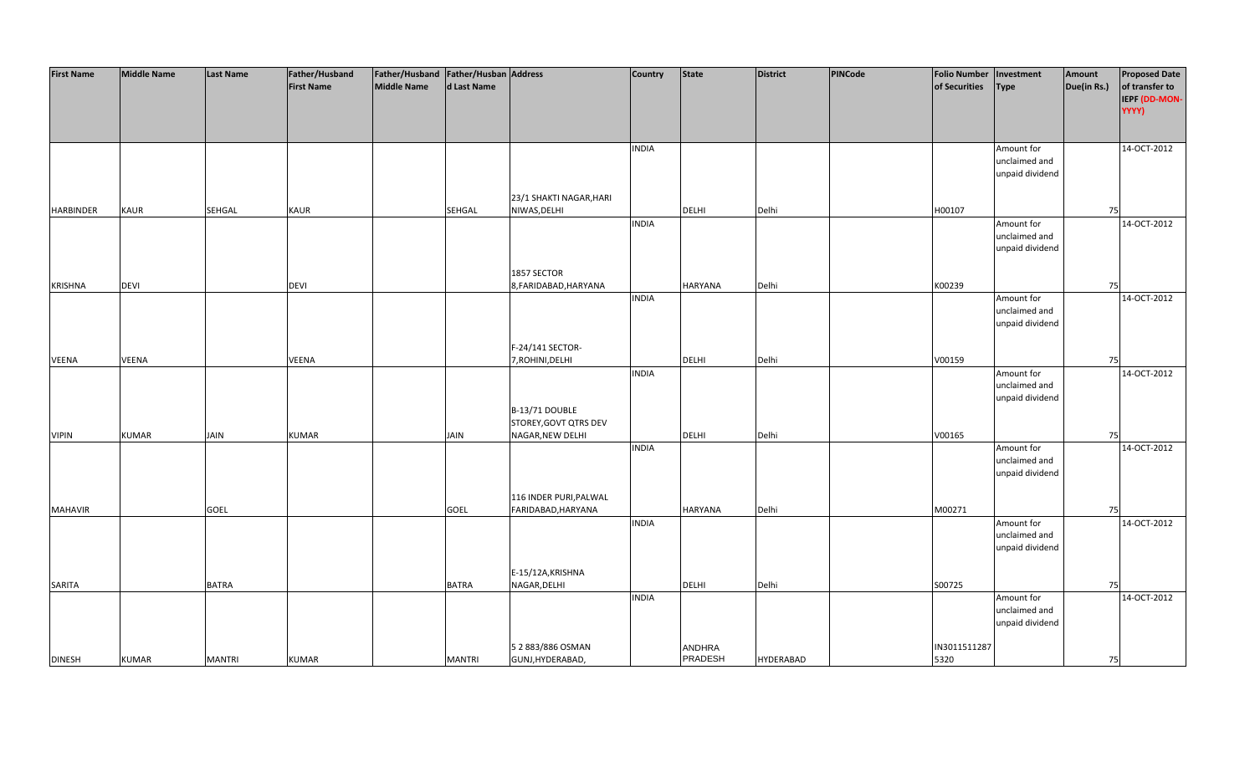| <b>First Name</b> | <b>Middle Name</b> | <b>Last Name</b> | Father/Husband    | Father/Husband   Father/Husban   Address |               |                         | Country      | <b>State</b>   | <b>District</b>  | PINCode | <b>Folio Number</b> | Investment      | Amount      | <b>Proposed Date</b> |
|-------------------|--------------------|------------------|-------------------|------------------------------------------|---------------|-------------------------|--------------|----------------|------------------|---------|---------------------|-----------------|-------------|----------------------|
|                   |                    |                  | <b>First Name</b> | <b>Middle Name</b>                       | d Last Name   |                         |              |                |                  |         | of Securities       | <b>Type</b>     | Due(in Rs.) | of transfer to       |
|                   |                    |                  |                   |                                          |               |                         |              |                |                  |         |                     |                 |             | IEPF (DD-MON-        |
|                   |                    |                  |                   |                                          |               |                         |              |                |                  |         |                     |                 |             | YYYY)                |
|                   |                    |                  |                   |                                          |               |                         |              |                |                  |         |                     |                 |             |                      |
|                   |                    |                  |                   |                                          |               |                         |              |                |                  |         |                     |                 |             |                      |
|                   |                    |                  |                   |                                          |               |                         | <b>INDIA</b> |                |                  |         |                     | Amount for      |             | 14-OCT-2012          |
|                   |                    |                  |                   |                                          |               |                         |              |                |                  |         |                     | unclaimed and   |             |                      |
|                   |                    |                  |                   |                                          |               |                         |              |                |                  |         |                     | unpaid dividend |             |                      |
|                   |                    |                  |                   |                                          |               |                         |              |                |                  |         |                     |                 |             |                      |
|                   |                    |                  |                   |                                          |               | 23/1 SHAKTI NAGAR, HARI |              |                |                  |         |                     |                 |             |                      |
| <b>HARBINDER</b>  | KAUR               | SEHGAL           | KAUR              |                                          | <b>SEHGAL</b> | NIWAS, DELHI            |              | <b>DELHI</b>   | Delhi            |         | H00107              |                 | 75          |                      |
|                   |                    |                  |                   |                                          |               |                         | <b>INDIA</b> |                |                  |         |                     | Amount for      |             | 14-OCT-2012          |
|                   |                    |                  |                   |                                          |               |                         |              |                |                  |         |                     | unclaimed and   |             |                      |
|                   |                    |                  |                   |                                          |               |                         |              |                |                  |         |                     | unpaid dividend |             |                      |
|                   |                    |                  |                   |                                          |               |                         |              |                |                  |         |                     |                 |             |                      |
|                   |                    |                  |                   |                                          |               | 1857 SECTOR             |              |                |                  |         |                     |                 |             |                      |
| <b>KRISHNA</b>    | <b>DEVI</b>        |                  | <b>DEVI</b>       |                                          |               | 8, FARIDABAD, HARYANA   |              | <b>HARYANA</b> | Delhi            |         | K00239              |                 | 75          |                      |
|                   |                    |                  |                   |                                          |               |                         | <b>INDIA</b> |                |                  |         |                     | Amount for      |             | 14-OCT-2012          |
|                   |                    |                  |                   |                                          |               |                         |              |                |                  |         |                     | unclaimed and   |             |                      |
|                   |                    |                  |                   |                                          |               |                         |              |                |                  |         |                     | unpaid dividend |             |                      |
|                   |                    |                  |                   |                                          |               |                         |              |                |                  |         |                     |                 |             |                      |
|                   |                    |                  |                   |                                          |               | F-24/141 SECTOR-        |              |                |                  |         |                     |                 |             |                      |
| <b>VEENA</b>      | <b>VEENA</b>       |                  | VEENA             |                                          |               | 7, ROHINI, DELHI        |              | DELHI          | Delhi            |         | V00159              |                 | 75          |                      |
|                   |                    |                  |                   |                                          |               |                         | <b>INDIA</b> |                |                  |         |                     | Amount for      |             | 14-OCT-2012          |
|                   |                    |                  |                   |                                          |               |                         |              |                |                  |         |                     | unclaimed and   |             |                      |
|                   |                    |                  |                   |                                          |               |                         |              |                |                  |         |                     | unpaid dividend |             |                      |
|                   |                    |                  |                   |                                          |               | B-13/71 DOUBLE          |              |                |                  |         |                     |                 |             |                      |
|                   |                    |                  |                   |                                          |               | STOREY, GOVT QTRS DEV   |              |                |                  |         |                     |                 |             |                      |
| <b>VIPIN</b>      | <b>KUMAR</b>       | <b>JAIN</b>      | <b>KUMAR</b>      |                                          | <b>JAIN</b>   | NAGAR, NEW DELHI        |              | DELHI          | Delhi            |         | V00165              |                 | 75          |                      |
|                   |                    |                  |                   |                                          |               |                         | <b>INDIA</b> |                |                  |         |                     | Amount for      |             | 14-OCT-2012          |
|                   |                    |                  |                   |                                          |               |                         |              |                |                  |         |                     | unclaimed and   |             |                      |
|                   |                    |                  |                   |                                          |               |                         |              |                |                  |         |                     | unpaid dividend |             |                      |
|                   |                    |                  |                   |                                          |               |                         |              |                |                  |         |                     |                 |             |                      |
|                   |                    |                  |                   |                                          |               | 116 INDER PURI, PALWAL  |              |                |                  |         |                     |                 |             |                      |
| <b>MAHAVIR</b>    |                    | <b>GOEL</b>      |                   |                                          | <b>GOEL</b>   | FARIDABAD, HARYANA      |              | <b>HARYANA</b> | Delhi            |         | M00271              |                 | 75          |                      |
|                   |                    |                  |                   |                                          |               |                         | <b>INDIA</b> |                |                  |         |                     | Amount for      |             | 14-OCT-2012          |
|                   |                    |                  |                   |                                          |               |                         |              |                |                  |         |                     | unclaimed and   |             |                      |
|                   |                    |                  |                   |                                          |               |                         |              |                |                  |         |                     | unpaid dividend |             |                      |
|                   |                    |                  |                   |                                          |               |                         |              |                |                  |         |                     |                 |             |                      |
|                   |                    |                  |                   |                                          |               | E-15/12A, KRISHNA       |              |                |                  |         |                     |                 |             |                      |
| SARITA            |                    | <b>BATRA</b>     |                   |                                          | <b>BATRA</b>  | NAGAR, DELHI            |              | <b>DELHI</b>   | Delhi            |         | S00725              |                 | 75          |                      |
|                   |                    |                  |                   |                                          |               |                         | <b>INDIA</b> |                |                  |         |                     | Amount for      |             | 14-OCT-2012          |
|                   |                    |                  |                   |                                          |               |                         |              |                |                  |         |                     | unclaimed and   |             |                      |
|                   |                    |                  |                   |                                          |               |                         |              |                |                  |         |                     | unpaid dividend |             |                      |
|                   |                    |                  |                   |                                          |               |                         |              |                |                  |         |                     |                 |             |                      |
|                   |                    |                  |                   |                                          |               | 5 2 883/886 OSMAN       |              | ANDHRA         |                  |         | IN3011511287        |                 |             |                      |
| <b>DINESH</b>     | <b>KUMAR</b>       | <b>MANTRI</b>    | <b>KUMAR</b>      |                                          | <b>MANTRI</b> | GUNJ, HYDERABAD,        |              | PRADESH        | <b>HYDERABAD</b> |         | 5320                |                 | 75          |                      |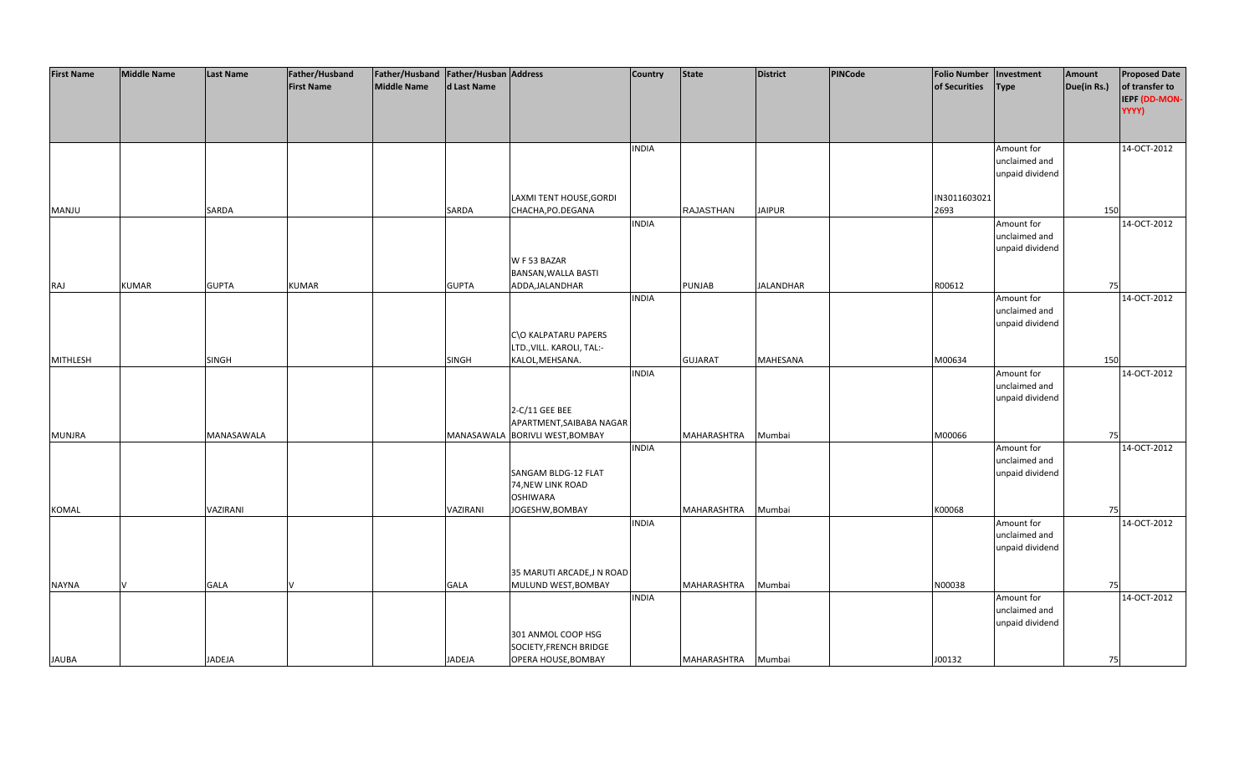| <b>First Name</b> | <b>Middle Name</b> | <b>Last Name</b> | Father/Husband    | Father/Husband   Father/Husban   Address |              |                                              | <b>Country</b> | <b>State</b>       | District         | PINCode | <b>Folio Number</b>  | Investment      | Amount      | <b>Proposed Date</b> |
|-------------------|--------------------|------------------|-------------------|------------------------------------------|--------------|----------------------------------------------|----------------|--------------------|------------------|---------|----------------------|-----------------|-------------|----------------------|
|                   |                    |                  | <b>First Name</b> | Middle Name                              | d Last Name  |                                              |                |                    |                  |         | of Securities        | Type            | Due(in Rs.) | of transfer to       |
|                   |                    |                  |                   |                                          |              |                                              |                |                    |                  |         |                      |                 |             | IEPF (DD-MON-        |
|                   |                    |                  |                   |                                          |              |                                              |                |                    |                  |         |                      |                 |             | YYYY)                |
|                   |                    |                  |                   |                                          |              |                                              |                |                    |                  |         |                      |                 |             |                      |
|                   |                    |                  |                   |                                          |              |                                              |                |                    |                  |         |                      |                 |             |                      |
|                   |                    |                  |                   |                                          |              |                                              | <b>INDIA</b>   |                    |                  |         |                      | Amount for      |             | 14-OCT-2012          |
|                   |                    |                  |                   |                                          |              |                                              |                |                    |                  |         |                      | unclaimed and   |             |                      |
|                   |                    |                  |                   |                                          |              |                                              |                |                    |                  |         |                      | unpaid dividend |             |                      |
|                   |                    |                  |                   |                                          |              |                                              |                |                    |                  |         |                      |                 |             |                      |
|                   |                    |                  |                   |                                          |              | LAXMI TENT HOUSE, GORDI                      |                | <b>RAJASTHAN</b>   |                  |         | IN3011603021<br>2693 |                 |             |                      |
| MANJU             |                    | SARDA            |                   |                                          | SARDA        | CHACHA, PO. DEGANA                           | <b>INDIA</b>   |                    | <b>JAIPUR</b>    |         |                      | Amount for      | 150         | 14-OCT-2012          |
|                   |                    |                  |                   |                                          |              |                                              |                |                    |                  |         |                      | unclaimed and   |             |                      |
|                   |                    |                  |                   |                                          |              |                                              |                |                    |                  |         |                      | unpaid dividend |             |                      |
|                   |                    |                  |                   |                                          |              | W F 53 BAZAR                                 |                |                    |                  |         |                      |                 |             |                      |
|                   |                    |                  |                   |                                          |              | BANSAN, WALLA BASTI                          |                |                    |                  |         |                      |                 |             |                      |
| <b>RAJ</b>        | <b>KUMAR</b>       | <b>GUPTA</b>     | <b>KUMAR</b>      |                                          | <b>GUPTA</b> | ADDA, JALANDHAR                              |                | <b>PUNJAB</b>      | <b>JALANDHAR</b> |         | R00612               |                 | 75          |                      |
|                   |                    |                  |                   |                                          |              |                                              | <b>INDIA</b>   |                    |                  |         |                      | Amount for      |             | 14-OCT-2012          |
|                   |                    |                  |                   |                                          |              |                                              |                |                    |                  |         |                      | unclaimed and   |             |                      |
|                   |                    |                  |                   |                                          |              |                                              |                |                    |                  |         |                      | unpaid dividend |             |                      |
|                   |                    |                  |                   |                                          |              | C\O KALPATARU PAPERS                         |                |                    |                  |         |                      |                 |             |                      |
|                   |                    |                  |                   |                                          |              | LTD., VILL. KAROLI, TAL:-                    |                |                    |                  |         |                      |                 |             |                      |
| MITHLESH          |                    | SINGH            |                   |                                          | SINGH        | KALOL, MEHSANA.                              |                | <b>GUJARAT</b>     | <b>MAHESANA</b>  |         | M00634               |                 | 150         |                      |
|                   |                    |                  |                   |                                          |              |                                              | <b>INDIA</b>   |                    |                  |         |                      | Amount for      |             | 14-OCT-2012          |
|                   |                    |                  |                   |                                          |              |                                              |                |                    |                  |         |                      | unclaimed and   |             |                      |
|                   |                    |                  |                   |                                          |              |                                              |                |                    |                  |         |                      | unpaid dividend |             |                      |
|                   |                    |                  |                   |                                          |              | 2-C/11 GEE BEE                               |                |                    |                  |         |                      |                 |             |                      |
|                   |                    | MANASAWALA       |                   |                                          |              | APARTMENT, SAIBABA NAGAR                     |                |                    |                  |         | M00066               |                 |             |                      |
| <b>MUNJRA</b>     |                    |                  |                   |                                          |              | MANASAWALA BORIVLI WEST, BOMBAY              | <b>INDIA</b>   | MAHARASHTRA        | Mumbai           |         |                      | Amount for      | 75          | 14-OCT-2012          |
|                   |                    |                  |                   |                                          |              |                                              |                |                    |                  |         |                      | unclaimed and   |             |                      |
|                   |                    |                  |                   |                                          |              | SANGAM BLDG-12 FLAT                          |                |                    |                  |         |                      | unpaid dividend |             |                      |
|                   |                    |                  |                   |                                          |              | 74, NEW LINK ROAD                            |                |                    |                  |         |                      |                 |             |                      |
|                   |                    |                  |                   |                                          |              | <b>OSHIWARA</b>                              |                |                    |                  |         |                      |                 |             |                      |
| KOMAL             |                    | VAZIRANI         |                   |                                          | VAZIRANI     | JOGESHW, BOMBAY                              |                | MAHARASHTRA        | Mumbai           |         | K00068               |                 | 75          |                      |
|                   |                    |                  |                   |                                          |              |                                              | <b>INDIA</b>   |                    |                  |         |                      | Amount for      |             | 14-OCT-2012          |
|                   |                    |                  |                   |                                          |              |                                              |                |                    |                  |         |                      | unclaimed and   |             |                      |
|                   |                    |                  |                   |                                          |              |                                              |                |                    |                  |         |                      | unpaid dividend |             |                      |
|                   |                    |                  |                   |                                          |              |                                              |                |                    |                  |         |                      |                 |             |                      |
|                   |                    |                  |                   |                                          |              | 35 MARUTI ARCADE, JN ROAD                    |                |                    |                  |         |                      |                 |             |                      |
| <b>NAYNA</b>      |                    | <b>GALA</b>      |                   |                                          | GALA         | MULUND WEST, BOMBAY                          |                | MAHARASHTRA        | Mumbai           |         | N00038               |                 | 75          |                      |
|                   |                    |                  |                   |                                          |              |                                              | <b>INDIA</b>   |                    |                  |         |                      | Amount for      |             | 14-OCT-2012          |
|                   |                    |                  |                   |                                          |              |                                              |                |                    |                  |         |                      | unclaimed and   |             |                      |
|                   |                    |                  |                   |                                          |              |                                              |                |                    |                  |         |                      | unpaid dividend |             |                      |
|                   |                    |                  |                   |                                          |              | 301 ANMOL COOP HSG<br>SOCIETY, FRENCH BRIDGE |                |                    |                  |         |                      |                 |             |                      |
| <b>JAUBA</b>      |                    | <b>JADEJA</b>    |                   |                                          | JADEJA       | OPERA HOUSE, BOMBAY                          |                | MAHARASHTRA Mumbai |                  |         | J00132               |                 | 75          |                      |
|                   |                    |                  |                   |                                          |              |                                              |                |                    |                  |         |                      |                 |             |                      |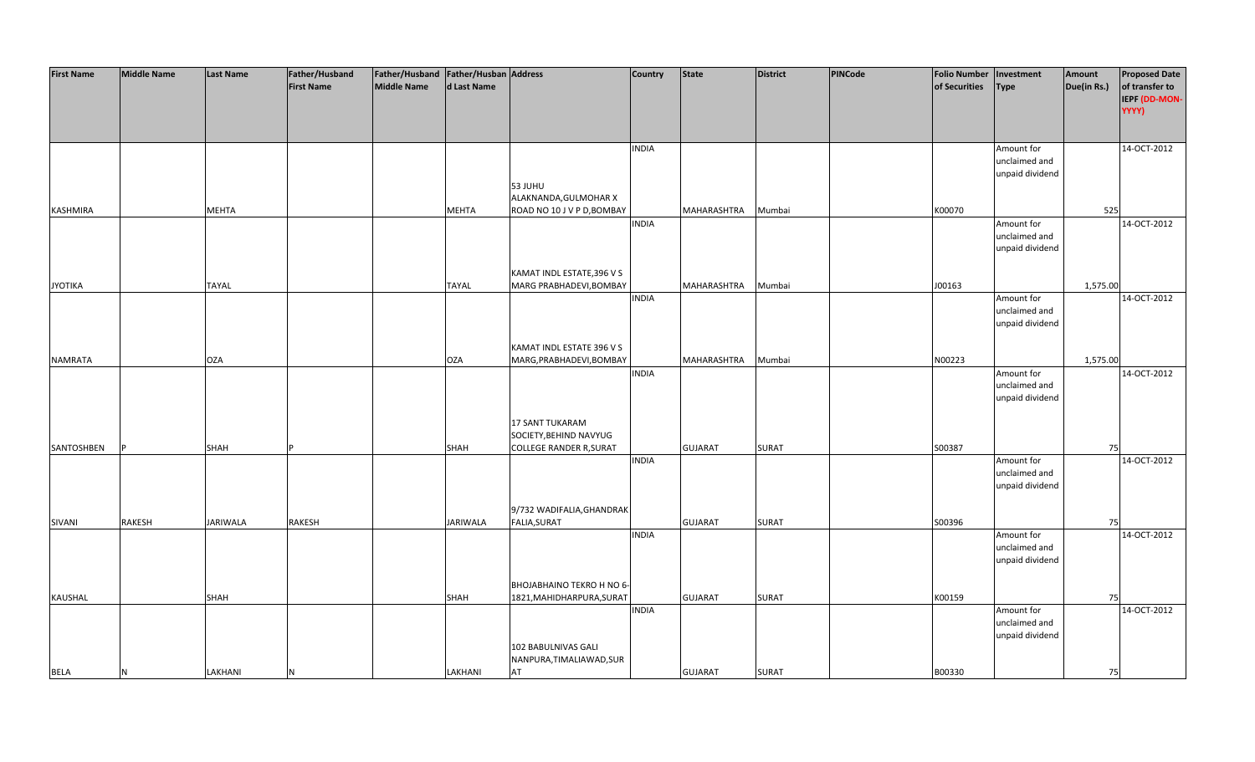| <b>First Name</b> | <b>Middle Name</b> | <b>Last Name</b> | Father/Husband    | Father/Husband Father/Husban Address |              |                                | <b>Country</b> | <b>State</b>   | <b>District</b> | <b>PINCode</b> | <b>Folio Number</b> | Investment      | Amount      | <b>Proposed Date</b> |
|-------------------|--------------------|------------------|-------------------|--------------------------------------|--------------|--------------------------------|----------------|----------------|-----------------|----------------|---------------------|-----------------|-------------|----------------------|
|                   |                    |                  | <b>First Name</b> | <b>Middle Name</b>                   | d Last Name  |                                |                |                |                 |                | of Securities       | <b>Type</b>     | Due(in Rs.) | of transfer to       |
|                   |                    |                  |                   |                                      |              |                                |                |                |                 |                |                     |                 |             | IEPF (DD-MON-        |
|                   |                    |                  |                   |                                      |              |                                |                |                |                 |                |                     |                 |             | YYYY)                |
|                   |                    |                  |                   |                                      |              |                                |                |                |                 |                |                     |                 |             |                      |
|                   |                    |                  |                   |                                      |              |                                |                |                |                 |                |                     |                 |             |                      |
|                   |                    |                  |                   |                                      |              |                                | <b>INDIA</b>   |                |                 |                |                     | Amount for      |             | 14-OCT-2012          |
|                   |                    |                  |                   |                                      |              |                                |                |                |                 |                |                     | unclaimed and   |             |                      |
|                   |                    |                  |                   |                                      |              |                                |                |                |                 |                |                     | unpaid dividend |             |                      |
|                   |                    |                  |                   |                                      |              | 53 JUHU                        |                |                |                 |                |                     |                 |             |                      |
|                   |                    |                  |                   |                                      |              | ALAKNANDA, GULMOHAR X          |                |                |                 |                |                     |                 |             |                      |
| KASHMIRA          |                    | <b>MEHTA</b>     |                   |                                      | <b>MEHTA</b> | ROAD NO 10 J V P D, BOMBAY     |                | MAHARASHTRA    | Mumbai          |                | K00070              |                 | 525         |                      |
|                   |                    |                  |                   |                                      |              |                                | <b>INDIA</b>   |                |                 |                |                     | Amount for      |             | 14-OCT-2012          |
|                   |                    |                  |                   |                                      |              |                                |                |                |                 |                |                     | unclaimed and   |             |                      |
|                   |                    |                  |                   |                                      |              |                                |                |                |                 |                |                     | unpaid dividend |             |                      |
|                   |                    |                  |                   |                                      |              |                                |                |                |                 |                |                     |                 |             |                      |
|                   |                    |                  |                   |                                      |              | KAMAT INDL ESTATE, 396 V S     |                |                |                 |                |                     |                 |             |                      |
| <b>JYOTIKA</b>    |                    | <b>TAYAL</b>     |                   |                                      | <b>TAYAL</b> | MARG PRABHADEVI, BOMBAY        |                | MAHARASHTRA    | Mumbai          |                | J00163              |                 | 1,575.00    |                      |
|                   |                    |                  |                   |                                      |              |                                | <b>INDIA</b>   |                |                 |                |                     | Amount for      |             | 14-OCT-2012          |
|                   |                    |                  |                   |                                      |              |                                |                |                |                 |                |                     | unclaimed and   |             |                      |
|                   |                    |                  |                   |                                      |              |                                |                |                |                 |                |                     |                 |             |                      |
|                   |                    |                  |                   |                                      |              |                                |                |                |                 |                |                     | unpaid dividend |             |                      |
|                   |                    |                  |                   |                                      |              |                                |                |                |                 |                |                     |                 |             |                      |
|                   |                    |                  |                   |                                      |              | KAMAT INDL ESTATE 396 V S      |                |                |                 |                |                     |                 |             |                      |
| <b>NAMRATA</b>    |                    | <b>OZA</b>       |                   |                                      | <b>OZA</b>   | MARG, PRABHADEVI, BOMBAY       |                | MAHARASHTRA    | Mumbai          |                | N00223              |                 | 1,575.00    |                      |
|                   |                    |                  |                   |                                      |              |                                | <b>INDIA</b>   |                |                 |                |                     | Amount for      |             | 14-OCT-2012          |
|                   |                    |                  |                   |                                      |              |                                |                |                |                 |                |                     | unclaimed and   |             |                      |
|                   |                    |                  |                   |                                      |              |                                |                |                |                 |                |                     | unpaid dividend |             |                      |
|                   |                    |                  |                   |                                      |              |                                |                |                |                 |                |                     |                 |             |                      |
|                   |                    |                  |                   |                                      |              | 17 SANT TUKARAM                |                |                |                 |                |                     |                 |             |                      |
|                   |                    |                  |                   |                                      |              | SOCIETY, BEHIND NAVYUG         |                |                |                 |                |                     |                 |             |                      |
| SANTOSHBEN        |                    | <b>SHAH</b>      |                   |                                      | <b>SHAH</b>  | <b>COLLEGE RANDER R, SURAT</b> |                | <b>GUJARAT</b> | SURAT           |                | S00387              |                 | 75          |                      |
|                   |                    |                  |                   |                                      |              |                                | <b>INDIA</b>   |                |                 |                |                     | Amount for      |             | 14-OCT-2012          |
|                   |                    |                  |                   |                                      |              |                                |                |                |                 |                |                     | unclaimed and   |             |                      |
|                   |                    |                  |                   |                                      |              |                                |                |                |                 |                |                     | unpaid dividend |             |                      |
|                   |                    |                  |                   |                                      |              |                                |                |                |                 |                |                     |                 |             |                      |
|                   |                    |                  |                   |                                      |              | 9/732 WADIFALIA, GHANDRAK      |                |                |                 |                |                     |                 |             |                      |
| SIVANI            | <b>RAKESH</b>      | <b>JARIWALA</b>  | RAKESH            |                                      | JARIWALA     | <b>FALIA, SURAT</b>            |                | <b>GUJARAT</b> | <b>SURAT</b>    |                | S00396              |                 | 75          |                      |
|                   |                    |                  |                   |                                      |              |                                | <b>INDIA</b>   |                |                 |                |                     | Amount for      |             | 14-OCT-2012          |
|                   |                    |                  |                   |                                      |              |                                |                |                |                 |                |                     | unclaimed and   |             |                      |
|                   |                    |                  |                   |                                      |              |                                |                |                |                 |                |                     | unpaid dividend |             |                      |
|                   |                    |                  |                   |                                      |              |                                |                |                |                 |                |                     |                 |             |                      |
|                   |                    |                  |                   |                                      |              | BHOJABHAINO TEKRO H NO 6-      |                |                |                 |                |                     |                 |             |                      |
| KAUSHAL           |                    | <b>SHAH</b>      |                   |                                      | SHAH         | 1821, MAHIDHARPURA, SURAT      |                | <b>GUJARAT</b> | <b>SURAT</b>    |                | K00159              |                 | 75          |                      |
|                   |                    |                  |                   |                                      |              |                                | <b>INDIA</b>   |                |                 |                |                     | Amount for      |             | 14-OCT-2012          |
|                   |                    |                  |                   |                                      |              |                                |                |                |                 |                |                     | unclaimed and   |             |                      |
|                   |                    |                  |                   |                                      |              |                                |                |                |                 |                |                     | unpaid dividend |             |                      |
|                   |                    |                  |                   |                                      |              | 102 BABULNIVAS GALI            |                |                |                 |                |                     |                 |             |                      |
|                   |                    |                  |                   |                                      |              | NANPURA, TIMALIAWAD, SUR       |                |                |                 |                |                     |                 |             |                      |
| <b>BELA</b>       | N                  | LAKHANI          | N                 |                                      | LAKHANI      | AT                             |                | <b>GUJARAT</b> | <b>SURAT</b>    |                | B00330              |                 | 75          |                      |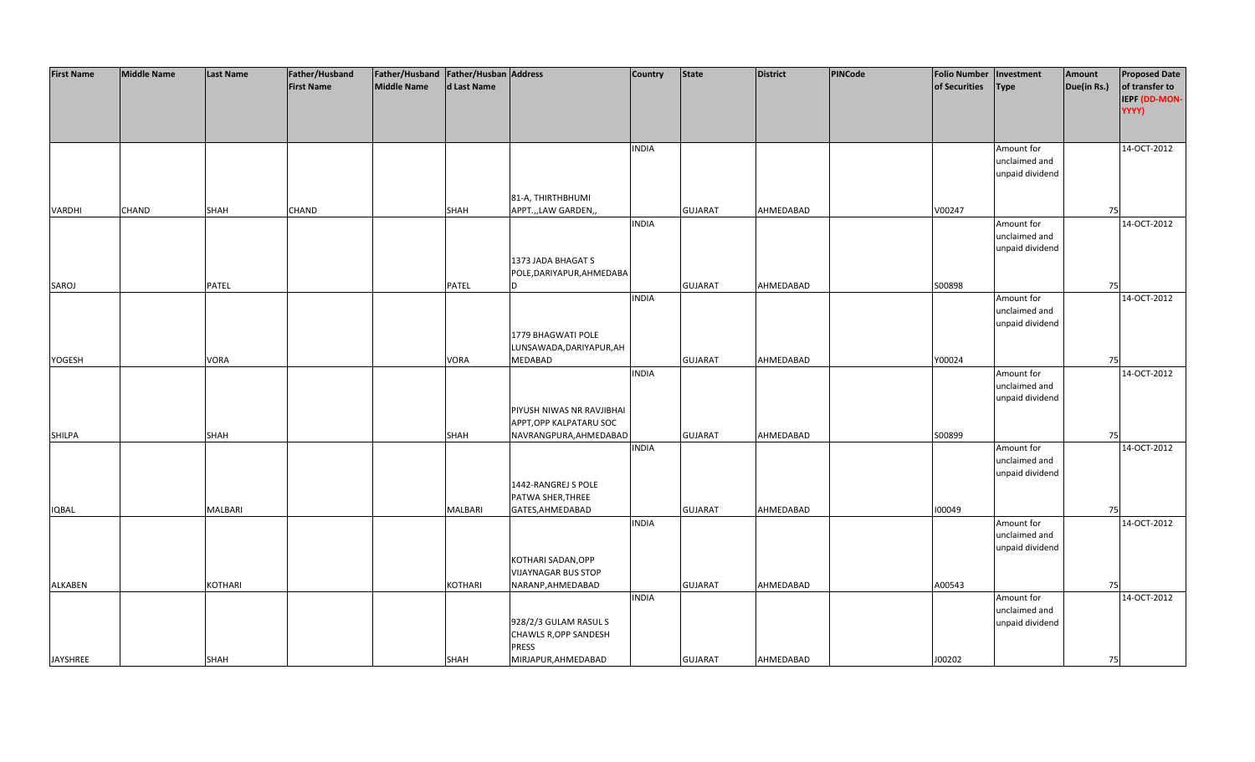| <b>First Name</b> | <b>Middle Name</b> | <b>Last Name</b> | Father/Husband    | Father/Husband   Father/Husban   Address |                |                            | Country      | <b>State</b>   | <b>District</b> | PINCode | <b>Folio Number</b> | Investment      | Amount      | <b>Proposed Date</b> |
|-------------------|--------------------|------------------|-------------------|------------------------------------------|----------------|----------------------------|--------------|----------------|-----------------|---------|---------------------|-----------------|-------------|----------------------|
|                   |                    |                  | <b>First Name</b> | <b>Middle Name</b>                       | d Last Name    |                            |              |                |                 |         | of Securities       | <b>Type</b>     | Due(in Rs.) | of transfer to       |
|                   |                    |                  |                   |                                          |                |                            |              |                |                 |         |                     |                 |             | IEPF (DD-MON-        |
|                   |                    |                  |                   |                                          |                |                            |              |                |                 |         |                     |                 |             | YYYY)                |
|                   |                    |                  |                   |                                          |                |                            |              |                |                 |         |                     |                 |             |                      |
|                   |                    |                  |                   |                                          |                |                            |              |                |                 |         |                     |                 |             |                      |
|                   |                    |                  |                   |                                          |                |                            | <b>INDIA</b> |                |                 |         |                     | Amount for      |             | 14-OCT-2012          |
|                   |                    |                  |                   |                                          |                |                            |              |                |                 |         |                     | unclaimed and   |             |                      |
|                   |                    |                  |                   |                                          |                |                            |              |                |                 |         |                     | unpaid dividend |             |                      |
|                   |                    |                  |                   |                                          |                |                            |              |                |                 |         |                     |                 |             |                      |
|                   |                    |                  |                   |                                          |                | 81-A, THIRTHBHUMI          |              |                |                 |         |                     |                 |             |                      |
| VARDHI            | CHAND              | SHAH             | CHAND             |                                          | SHAH           | APPT.,,LAW GARDEN,,        |              | <b>GUJARAT</b> | AHMEDABAD       |         | V00247              |                 | 75          |                      |
|                   |                    |                  |                   |                                          |                |                            | <b>INDIA</b> |                |                 |         |                     | Amount for      |             | 14-OCT-2012          |
|                   |                    |                  |                   |                                          |                |                            |              |                |                 |         |                     | unclaimed and   |             |                      |
|                   |                    |                  |                   |                                          |                |                            |              |                |                 |         |                     | unpaid dividend |             |                      |
|                   |                    |                  |                   |                                          |                | 1373 JADA BHAGAT S         |              |                |                 |         |                     |                 |             |                      |
|                   |                    |                  |                   |                                          |                | POLE, DARIYAPUR, AHMEDABA  |              |                |                 |         |                     |                 |             |                      |
| SAROJ             |                    | PATEL            |                   |                                          | PATEL          |                            |              | <b>GUJARAT</b> | AHMEDABAD       |         | S00898              |                 | 75          |                      |
|                   |                    |                  |                   |                                          |                |                            | <b>INDIA</b> |                |                 |         |                     | Amount for      |             | 14-OCT-2012          |
|                   |                    |                  |                   |                                          |                |                            |              |                |                 |         |                     | unclaimed and   |             |                      |
|                   |                    |                  |                   |                                          |                |                            |              |                |                 |         |                     | unpaid dividend |             |                      |
|                   |                    |                  |                   |                                          |                | 1779 BHAGWATI POLE         |              |                |                 |         |                     |                 |             |                      |
|                   |                    |                  |                   |                                          |                | LUNSAWADA, DARIYAPUR, AH   |              |                |                 |         |                     |                 |             |                      |
| YOGESH            |                    | <b>VORA</b>      |                   |                                          | <b>VORA</b>    | <b>MEDABAD</b>             |              | <b>GUJARAT</b> | AHMEDABAD       |         | Y00024              |                 | 75          |                      |
|                   |                    |                  |                   |                                          |                |                            | <b>INDIA</b> |                |                 |         |                     | Amount for      |             | 14-OCT-2012          |
|                   |                    |                  |                   |                                          |                |                            |              |                |                 |         |                     | unclaimed and   |             |                      |
|                   |                    |                  |                   |                                          |                |                            |              |                |                 |         |                     | unpaid dividend |             |                      |
|                   |                    |                  |                   |                                          |                | PIYUSH NIWAS NR RAVJIBHAI  |              |                |                 |         |                     |                 |             |                      |
|                   |                    |                  |                   |                                          |                | APPT, OPP KALPATARU SOC    |              |                |                 |         |                     |                 |             |                      |
| <b>SHILPA</b>     |                    | SHAH             |                   |                                          | SHAH           | NAVRANGPURA, AHMEDABAD     |              | <b>GUJARAT</b> | AHMEDABAD       |         | S00899              |                 | 75          |                      |
|                   |                    |                  |                   |                                          |                |                            | <b>INDIA</b> |                |                 |         |                     | Amount for      |             | 14-OCT-2012          |
|                   |                    |                  |                   |                                          |                |                            |              |                |                 |         |                     | unclaimed and   |             |                      |
|                   |                    |                  |                   |                                          |                |                            |              |                |                 |         |                     | unpaid dividend |             |                      |
|                   |                    |                  |                   |                                          |                | 1442-RANGREJ S POLE        |              |                |                 |         |                     |                 |             |                      |
|                   |                    |                  |                   |                                          |                | PATWA SHER, THREE          |              |                |                 |         |                     |                 |             |                      |
| <b>IQBAL</b>      |                    | <b>MALBARI</b>   |                   |                                          | MALBARI        | GATES, AHMEDABAD           |              | <b>GUJARAT</b> | AHMEDABAD       |         | 100049              |                 | 75          |                      |
|                   |                    |                  |                   |                                          |                |                            | <b>INDIA</b> |                |                 |         |                     | Amount for      |             | 14-OCT-2012          |
|                   |                    |                  |                   |                                          |                |                            |              |                |                 |         |                     | unclaimed and   |             |                      |
|                   |                    |                  |                   |                                          |                |                            |              |                |                 |         |                     | unpaid dividend |             |                      |
|                   |                    |                  |                   |                                          |                | KOTHARI SADAN, OPP         |              |                |                 |         |                     |                 |             |                      |
|                   |                    |                  |                   |                                          |                | <b>VIJAYNAGAR BUS STOP</b> |              |                |                 |         |                     |                 |             |                      |
| <b>ALKABEN</b>    |                    | <b>KOTHARI</b>   |                   |                                          | <b>KOTHARI</b> | NARANP, AHMEDABAD          |              | <b>GUJARAT</b> | AHMEDABAD       |         | A00543              |                 | 75          |                      |
|                   |                    |                  |                   |                                          |                |                            | <b>INDIA</b> |                |                 |         |                     | Amount for      |             | 14-OCT-2012          |
|                   |                    |                  |                   |                                          |                |                            |              |                |                 |         |                     | unclaimed and   |             |                      |
|                   |                    |                  |                   |                                          |                | 928/2/3 GULAM RASUL S      |              |                |                 |         |                     | unpaid dividend |             |                      |
|                   |                    |                  |                   |                                          |                | CHAWLS R, OPP SANDESH      |              |                |                 |         |                     |                 |             |                      |
|                   |                    |                  |                   |                                          |                | <b>PRESS</b>               |              |                |                 |         |                     |                 |             |                      |
| <b>JAYSHREE</b>   |                    | SHAH             |                   |                                          | SHAH           | MIRJAPUR, AHMEDABAD        |              | <b>GUJARAT</b> | AHMEDABAD       |         | J00202              |                 | 75          |                      |
|                   |                    |                  |                   |                                          |                |                            |              |                |                 |         |                     |                 |             |                      |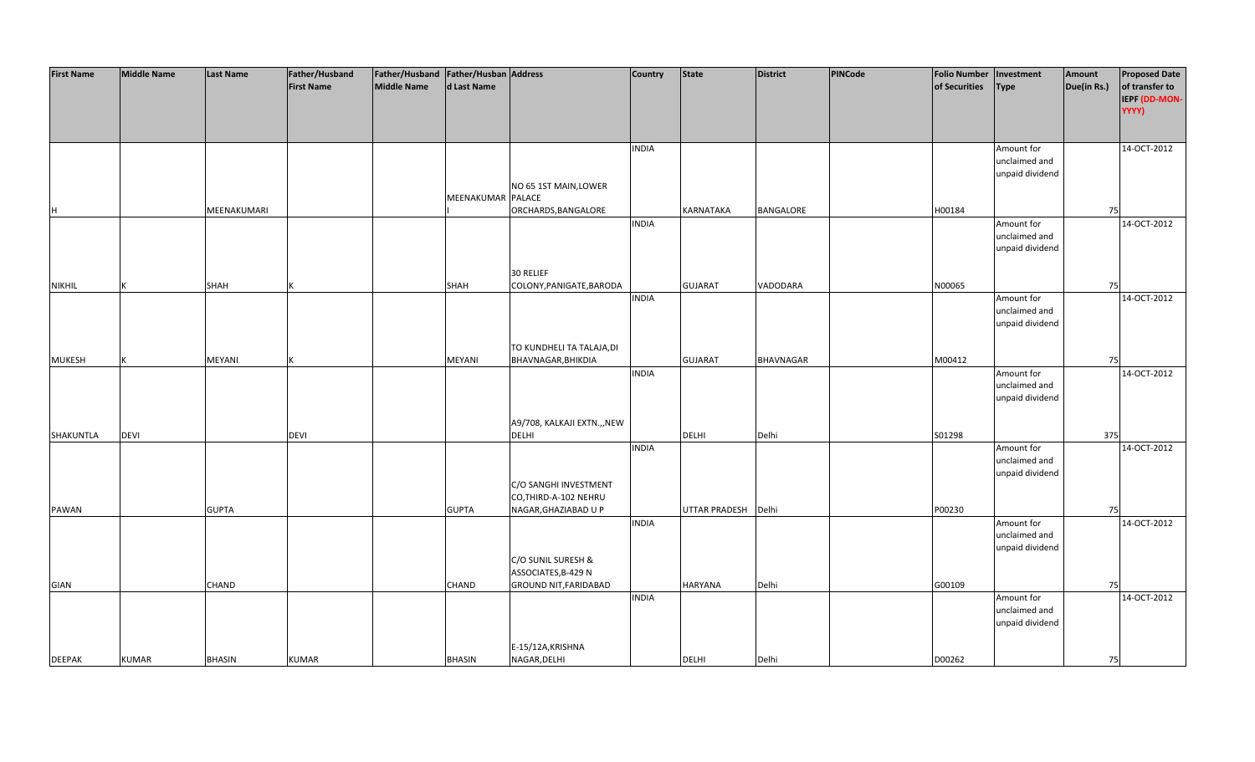| <b>First Name</b> | <b>Middle Name</b> | <b>Last Name</b> | Father/Husband    | Father/Husband   Father/Husban   Address |                   |                              | Country      | <b>State</b>        | <b>District</b>  | PINCode | <b>Folio Number</b> | Investment      | Amount      | <b>Proposed Date</b> |
|-------------------|--------------------|------------------|-------------------|------------------------------------------|-------------------|------------------------------|--------------|---------------------|------------------|---------|---------------------|-----------------|-------------|----------------------|
|                   |                    |                  | <b>First Name</b> | <b>Middle Name</b>                       | d Last Name       |                              |              |                     |                  |         | of Securities       | Type            | Due(in Rs.) | of transfer to       |
|                   |                    |                  |                   |                                          |                   |                              |              |                     |                  |         |                     |                 |             | IEPF (DD-MON-        |
|                   |                    |                  |                   |                                          |                   |                              |              |                     |                  |         |                     |                 |             | YYYY)                |
|                   |                    |                  |                   |                                          |                   |                              |              |                     |                  |         |                     |                 |             |                      |
|                   |                    |                  |                   |                                          |                   |                              |              |                     |                  |         |                     |                 |             |                      |
|                   |                    |                  |                   |                                          |                   |                              |              |                     |                  |         |                     |                 |             |                      |
|                   |                    |                  |                   |                                          |                   |                              | <b>INDIA</b> |                     |                  |         |                     | Amount for      |             | 14-OCT-2012          |
|                   |                    |                  |                   |                                          |                   |                              |              |                     |                  |         |                     | unclaimed and   |             |                      |
|                   |                    |                  |                   |                                          |                   |                              |              |                     |                  |         |                     | unpaid dividend |             |                      |
|                   |                    |                  |                   |                                          |                   | NO 65 1ST MAIN, LOWER        |              |                     |                  |         |                     |                 |             |                      |
|                   |                    |                  |                   |                                          | MEENAKUMAR PALACE |                              |              |                     |                  |         |                     |                 |             |                      |
| H                 |                    | MEENAKUMARI      |                   |                                          |                   | ORCHARDS, BANGALORE          |              | <b>KARNATAKA</b>    | BANGALORE        |         | H00184              |                 | 75          |                      |
|                   |                    |                  |                   |                                          |                   |                              | <b>INDIA</b> |                     |                  |         |                     | Amount for      |             | 14-OCT-2012          |
|                   |                    |                  |                   |                                          |                   |                              |              |                     |                  |         |                     | unclaimed and   |             |                      |
|                   |                    |                  |                   |                                          |                   |                              |              |                     |                  |         |                     | unpaid dividend |             |                      |
|                   |                    |                  |                   |                                          |                   |                              |              |                     |                  |         |                     |                 |             |                      |
|                   |                    |                  |                   |                                          |                   | 30 RELIEF                    |              |                     |                  |         |                     |                 |             |                      |
| <b>NIKHIL</b>     |                    | SHAH             |                   |                                          | SHAH              | COLONY, PANIGATE, BARODA     |              | <b>GUJARAT</b>      | VADODARA         |         | N00065              |                 | 75          |                      |
|                   |                    |                  |                   |                                          |                   |                              | <b>INDIA</b> |                     |                  |         |                     | Amount for      |             | 14-OCT-2012          |
|                   |                    |                  |                   |                                          |                   |                              |              |                     |                  |         |                     | unclaimed and   |             |                      |
|                   |                    |                  |                   |                                          |                   |                              |              |                     |                  |         |                     | unpaid dividend |             |                      |
|                   |                    |                  |                   |                                          |                   |                              |              |                     |                  |         |                     |                 |             |                      |
|                   |                    |                  |                   |                                          |                   | TO KUNDHELI TA TALAJA, DI    |              |                     |                  |         |                     |                 |             |                      |
| <b>MUKESH</b>     |                    | MEYANI           |                   |                                          | MEYANI            | BHAVNAGAR, BHIKDIA           |              | <b>GUJARAT</b>      | <b>BHAVNAGAR</b> |         | M00412              |                 | 75          |                      |
|                   |                    |                  |                   |                                          |                   |                              | <b>INDIA</b> |                     |                  |         |                     | Amount for      |             | 14-OCT-2012          |
|                   |                    |                  |                   |                                          |                   |                              |              |                     |                  |         |                     | unclaimed and   |             |                      |
|                   |                    |                  |                   |                                          |                   |                              |              |                     |                  |         |                     |                 |             |                      |
|                   |                    |                  |                   |                                          |                   |                              |              |                     |                  |         |                     | unpaid dividend |             |                      |
|                   |                    |                  |                   |                                          |                   |                              |              |                     |                  |         |                     |                 |             |                      |
|                   |                    |                  |                   |                                          |                   | A9/708, KALKAJI EXTN.,, NEW  |              |                     |                  |         |                     |                 |             |                      |
| SHAKUNTLA         | <b>DEVI</b>        |                  | <b>DEVI</b>       |                                          |                   | <b>DELHI</b>                 |              | <b>DELHI</b>        | Delhi            |         | S01298              |                 | 375         |                      |
|                   |                    |                  |                   |                                          |                   |                              | <b>INDIA</b> |                     |                  |         |                     | Amount for      |             | 14-OCT-2012          |
|                   |                    |                  |                   |                                          |                   |                              |              |                     |                  |         |                     | unclaimed and   |             |                      |
|                   |                    |                  |                   |                                          |                   |                              |              |                     |                  |         |                     | unpaid dividend |             |                      |
|                   |                    |                  |                   |                                          |                   | C/O SANGHI INVESTMENT        |              |                     |                  |         |                     |                 |             |                      |
|                   |                    |                  |                   |                                          |                   | CO, THIRD-A-102 NEHRU        |              |                     |                  |         |                     |                 |             |                      |
| PAWAN             |                    | <b>GUPTA</b>     |                   |                                          | <b>GUPTA</b>      | NAGAR, GHAZIABAD U P         |              | UTTAR PRADESH Delhi |                  |         | P00230              |                 | 75          |                      |
|                   |                    |                  |                   |                                          |                   |                              | <b>INDIA</b> |                     |                  |         |                     | Amount for      |             | 14-OCT-2012          |
|                   |                    |                  |                   |                                          |                   |                              |              |                     |                  |         |                     | unclaimed and   |             |                      |
|                   |                    |                  |                   |                                          |                   |                              |              |                     |                  |         |                     | unpaid dividend |             |                      |
|                   |                    |                  |                   |                                          |                   | C/O SUNIL SURESH &           |              |                     |                  |         |                     |                 |             |                      |
|                   |                    |                  |                   |                                          |                   | ASSOCIATES, B-429 N          |              |                     |                  |         |                     |                 |             |                      |
| <b>GIAN</b>       |                    | <b>CHAND</b>     |                   |                                          | <b>CHAND</b>      | <b>GROUND NIT, FARIDABAD</b> |              | <b>HARYANA</b>      | Delhi            |         | G00109              |                 | 75          |                      |
|                   |                    |                  |                   |                                          |                   |                              | <b>INDIA</b> |                     |                  |         |                     | Amount for      |             | 14-OCT-2012          |
|                   |                    |                  |                   |                                          |                   |                              |              |                     |                  |         |                     | unclaimed and   |             |                      |
|                   |                    |                  |                   |                                          |                   |                              |              |                     |                  |         |                     | unpaid dividend |             |                      |
|                   |                    |                  |                   |                                          |                   |                              |              |                     |                  |         |                     |                 |             |                      |
|                   |                    |                  |                   |                                          |                   | E-15/12A, KRISHNA            |              |                     |                  |         |                     |                 |             |                      |
| <b>DEEPAK</b>     | <b>KUMAR</b>       | <b>BHASIN</b>    | <b>KUMAR</b>      |                                          | <b>BHASIN</b>     | NAGAR, DELHI                 |              | <b>DELHI</b>        | Delhi            |         | D00262              |                 | 75          |                      |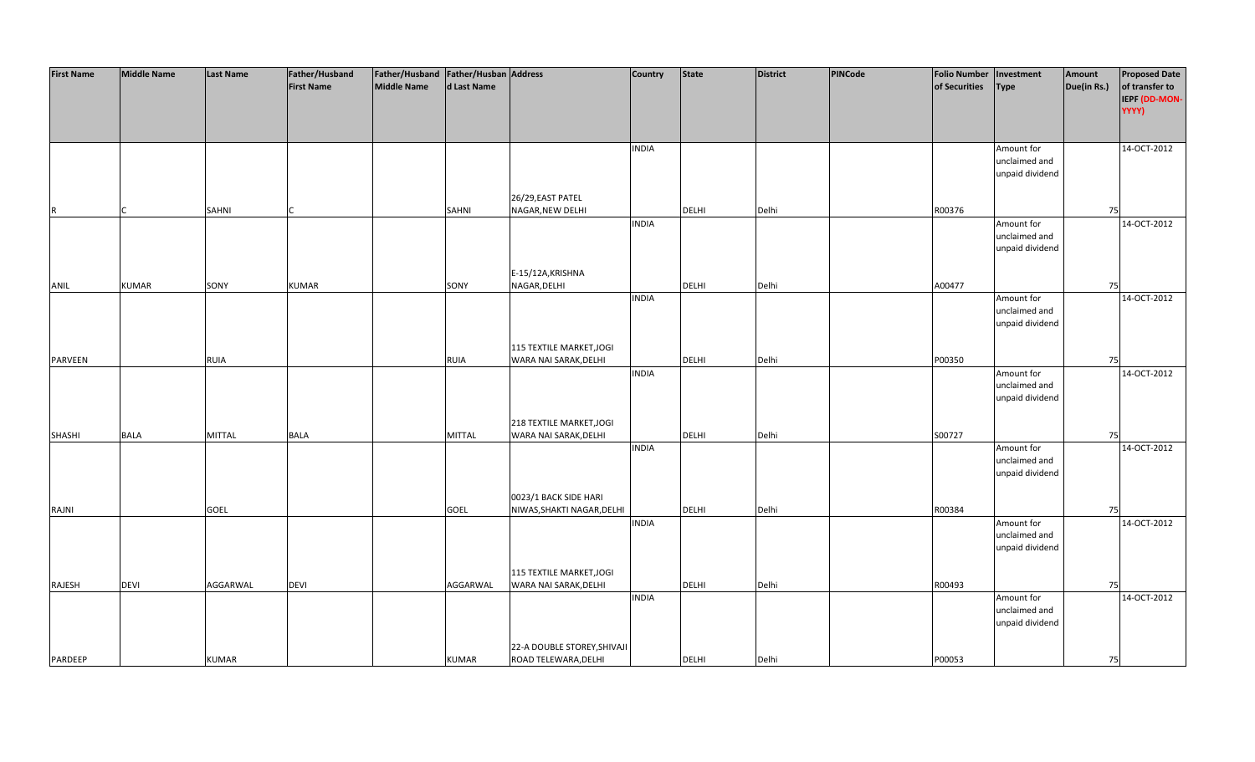| <b>First Name</b> | <b>Middle Name</b> | <b>Last Name</b> | Father/Husband    | Father/Husband   Father/Husban   Address |               |                             | Country      | <b>State</b> | <b>District</b> | PINCode | <b>Folio Number</b> | Investment      | Amount      | <b>Proposed Date</b> |
|-------------------|--------------------|------------------|-------------------|------------------------------------------|---------------|-----------------------------|--------------|--------------|-----------------|---------|---------------------|-----------------|-------------|----------------------|
|                   |                    |                  | <b>First Name</b> | <b>Middle Name</b>                       | d Last Name   |                             |              |              |                 |         | of Securities       | <b>Type</b>     | Due(in Rs.) | of transfer to       |
|                   |                    |                  |                   |                                          |               |                             |              |              |                 |         |                     |                 |             | IEPF (DD-MON-        |
|                   |                    |                  |                   |                                          |               |                             |              |              |                 |         |                     |                 |             | YYYY)                |
|                   |                    |                  |                   |                                          |               |                             |              |              |                 |         |                     |                 |             |                      |
|                   |                    |                  |                   |                                          |               |                             |              |              |                 |         |                     |                 |             |                      |
|                   |                    |                  |                   |                                          |               |                             |              |              |                 |         |                     |                 |             |                      |
|                   |                    |                  |                   |                                          |               |                             | <b>INDIA</b> |              |                 |         |                     | Amount for      |             | 14-OCT-2012          |
|                   |                    |                  |                   |                                          |               |                             |              |              |                 |         |                     | unclaimed and   |             |                      |
|                   |                    |                  |                   |                                          |               |                             |              |              |                 |         |                     | unpaid dividend |             |                      |
|                   |                    |                  |                   |                                          |               |                             |              |              |                 |         |                     |                 |             |                      |
|                   |                    |                  |                   |                                          |               | 26/29, EAST PATEL           |              |              |                 |         |                     |                 |             |                      |
| R                 |                    | SAHNI            |                   |                                          | <b>SAHNI</b>  | NAGAR, NEW DELHI            |              | <b>DELHI</b> | Delhi           |         | R00376              |                 | 75          |                      |
|                   |                    |                  |                   |                                          |               |                             | <b>INDIA</b> |              |                 |         |                     | Amount for      |             | 14-OCT-2012          |
|                   |                    |                  |                   |                                          |               |                             |              |              |                 |         |                     | unclaimed and   |             |                      |
|                   |                    |                  |                   |                                          |               |                             |              |              |                 |         |                     | unpaid dividend |             |                      |
|                   |                    |                  |                   |                                          |               |                             |              |              |                 |         |                     |                 |             |                      |
|                   |                    |                  |                   |                                          |               | E-15/12A, KRISHNA           |              |              |                 |         |                     |                 |             |                      |
| ANIL              | <b>KUMAR</b>       | SONY             | <b>KUMAR</b>      |                                          | SONY          | NAGAR, DELHI                |              | <b>DELHI</b> | Delhi           |         | A00477              |                 | 75          |                      |
|                   |                    |                  |                   |                                          |               |                             | <b>INDIA</b> |              |                 |         |                     | Amount for      |             | 14-OCT-2012          |
|                   |                    |                  |                   |                                          |               |                             |              |              |                 |         |                     | unclaimed and   |             |                      |
|                   |                    |                  |                   |                                          |               |                             |              |              |                 |         |                     |                 |             |                      |
|                   |                    |                  |                   |                                          |               |                             |              |              |                 |         |                     | unpaid dividend |             |                      |
|                   |                    |                  |                   |                                          |               |                             |              |              |                 |         |                     |                 |             |                      |
|                   |                    |                  |                   |                                          |               | 115 TEXTILE MARKET, JOGI    |              |              |                 |         |                     |                 |             |                      |
| <b>PARVEEN</b>    |                    | <b>RUIA</b>      |                   |                                          | <b>RUIA</b>   | WARA NAI SARAK, DELHI       |              | <b>DELHI</b> | Delhi           |         | P00350              |                 | 75          |                      |
|                   |                    |                  |                   |                                          |               |                             | <b>INDIA</b> |              |                 |         |                     | Amount for      |             | 14-OCT-2012          |
|                   |                    |                  |                   |                                          |               |                             |              |              |                 |         |                     | unclaimed and   |             |                      |
|                   |                    |                  |                   |                                          |               |                             |              |              |                 |         |                     | unpaid dividend |             |                      |
|                   |                    |                  |                   |                                          |               |                             |              |              |                 |         |                     |                 |             |                      |
|                   |                    |                  |                   |                                          |               | 218 TEXTILE MARKET, JOGI    |              |              |                 |         |                     |                 |             |                      |
| <b>SHASHI</b>     | <b>BALA</b>        | <b>MITTAL</b>    | <b>BALA</b>       |                                          | <b>MITTAL</b> | WARA NAI SARAK, DELHI       |              | <b>DELHI</b> | Delhi           |         | S00727              |                 | 75          |                      |
|                   |                    |                  |                   |                                          |               |                             | <b>INDIA</b> |              |                 |         |                     | Amount for      |             | 14-OCT-2012          |
|                   |                    |                  |                   |                                          |               |                             |              |              |                 |         |                     | unclaimed and   |             |                      |
|                   |                    |                  |                   |                                          |               |                             |              |              |                 |         |                     | unpaid dividend |             |                      |
|                   |                    |                  |                   |                                          |               |                             |              |              |                 |         |                     |                 |             |                      |
|                   |                    |                  |                   |                                          |               | 0023/1 BACK SIDE HARI       |              |              |                 |         |                     |                 |             |                      |
| RAJNI             |                    | <b>GOEL</b>      |                   |                                          | <b>GOEL</b>   | NIWAS, SHAKTI NAGAR, DELHI  |              | <b>DELHI</b> | Delhi           |         | R00384              |                 | 75          |                      |
|                   |                    |                  |                   |                                          |               |                             | <b>INDIA</b> |              |                 |         |                     | Amount for      |             | 14-OCT-2012          |
|                   |                    |                  |                   |                                          |               |                             |              |              |                 |         |                     | unclaimed and   |             |                      |
|                   |                    |                  |                   |                                          |               |                             |              |              |                 |         |                     |                 |             |                      |
|                   |                    |                  |                   |                                          |               |                             |              |              |                 |         |                     | unpaid dividend |             |                      |
|                   |                    |                  |                   |                                          |               |                             |              |              |                 |         |                     |                 |             |                      |
|                   |                    |                  |                   |                                          |               | 115 TEXTILE MARKET, JOGI    |              |              |                 |         |                     |                 |             |                      |
| RAJESH            | <b>DEVI</b>        | AGGARWAL         | <b>DEVI</b>       |                                          | AGGARWAL      | WARA NAI SARAK, DELHI       |              | DELHI        | Delhi           |         | R00493              |                 | 75          |                      |
|                   |                    |                  |                   |                                          |               |                             | <b>INDIA</b> |              |                 |         |                     | Amount for      |             | 14-OCT-2012          |
|                   |                    |                  |                   |                                          |               |                             |              |              |                 |         |                     | unclaimed and   |             |                      |
|                   |                    |                  |                   |                                          |               |                             |              |              |                 |         |                     | unpaid dividend |             |                      |
|                   |                    |                  |                   |                                          |               |                             |              |              |                 |         |                     |                 |             |                      |
|                   |                    |                  |                   |                                          |               | 22-A DOUBLE STOREY, SHIVAJI |              |              |                 |         |                     |                 |             |                      |
| PARDEEP           |                    | <b>KUMAR</b>     |                   |                                          | <b>KUMAR</b>  | ROAD TELEWARA, DELHI        |              | <b>DELHI</b> | Delhi           |         | P00053              |                 | 75          |                      |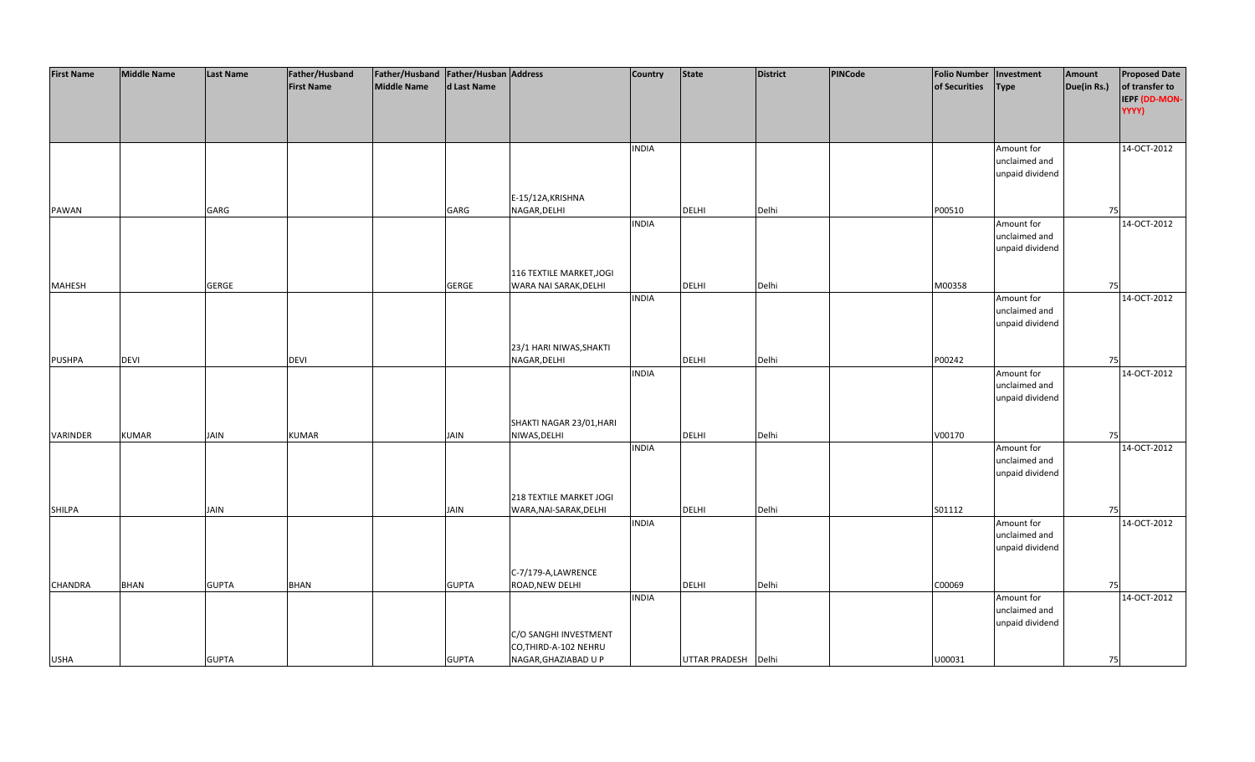| <b>First Name</b> | <b>Middle Name</b> | <b>Last Name</b> | Father/Husband    | Father/Husband Father/Husban Address |              |                          | Country      | <b>State</b>        | <b>District</b> | PINCode | <b>Folio Number</b> | Investment      | Amount      | <b>Proposed Date</b> |
|-------------------|--------------------|------------------|-------------------|--------------------------------------|--------------|--------------------------|--------------|---------------------|-----------------|---------|---------------------|-----------------|-------------|----------------------|
|                   |                    |                  | <b>First Name</b> | <b>Middle Name</b>                   | d Last Name  |                          |              |                     |                 |         | of Securities       | <b>Type</b>     | Due(in Rs.) | of transfer to       |
|                   |                    |                  |                   |                                      |              |                          |              |                     |                 |         |                     |                 |             | IEPF (DD-MON-        |
|                   |                    |                  |                   |                                      |              |                          |              |                     |                 |         |                     |                 |             | YYYY)                |
|                   |                    |                  |                   |                                      |              |                          |              |                     |                 |         |                     |                 |             |                      |
|                   |                    |                  |                   |                                      |              |                          |              |                     |                 |         |                     |                 |             |                      |
|                   |                    |                  |                   |                                      |              |                          |              |                     |                 |         |                     |                 |             | 14-OCT-2012          |
|                   |                    |                  |                   |                                      |              |                          | <b>INDIA</b> |                     |                 |         |                     | Amount for      |             |                      |
|                   |                    |                  |                   |                                      |              |                          |              |                     |                 |         |                     | unclaimed and   |             |                      |
|                   |                    |                  |                   |                                      |              |                          |              |                     |                 |         |                     | unpaid dividend |             |                      |
|                   |                    |                  |                   |                                      |              |                          |              |                     |                 |         |                     |                 |             |                      |
|                   |                    |                  |                   |                                      |              | E-15/12A, KRISHNA        |              |                     |                 |         |                     |                 |             |                      |
| <b>PAWAN</b>      |                    | GARG             |                   |                                      | GARG         | NAGAR, DELHI             |              | <b>DELHI</b>        | Delhi           |         | P00510              |                 | 75          |                      |
|                   |                    |                  |                   |                                      |              |                          | <b>INDIA</b> |                     |                 |         |                     | Amount for      |             | 14-OCT-2012          |
|                   |                    |                  |                   |                                      |              |                          |              |                     |                 |         |                     | unclaimed and   |             |                      |
|                   |                    |                  |                   |                                      |              |                          |              |                     |                 |         |                     | unpaid dividend |             |                      |
|                   |                    |                  |                   |                                      |              |                          |              |                     |                 |         |                     |                 |             |                      |
|                   |                    |                  |                   |                                      |              | 116 TEXTILE MARKET, JOGI |              |                     |                 |         |                     |                 |             |                      |
| <b>MAHESH</b>     |                    | <b>GERGE</b>     |                   |                                      | <b>GERGE</b> | WARA NAI SARAK, DELHI    |              | <b>DELHI</b>        | Delhi           |         | M00358              |                 | 75          |                      |
|                   |                    |                  |                   |                                      |              |                          | <b>INDIA</b> |                     |                 |         |                     | Amount for      |             | 14-OCT-2012          |
|                   |                    |                  |                   |                                      |              |                          |              |                     |                 |         |                     | unclaimed and   |             |                      |
|                   |                    |                  |                   |                                      |              |                          |              |                     |                 |         |                     | unpaid dividend |             |                      |
|                   |                    |                  |                   |                                      |              |                          |              |                     |                 |         |                     |                 |             |                      |
|                   |                    |                  |                   |                                      |              | 23/1 HARI NIWAS, SHAKTI  |              |                     |                 |         |                     |                 |             |                      |
| <b>PUSHPA</b>     | <b>DEVI</b>        |                  | DEVI              |                                      |              | NAGAR, DELHI             |              | DELHI               | Delhi           |         | P00242              |                 | 75          |                      |
|                   |                    |                  |                   |                                      |              |                          | <b>INDIA</b> |                     |                 |         |                     | Amount for      |             | 14-OCT-2012          |
|                   |                    |                  |                   |                                      |              |                          |              |                     |                 |         |                     | unclaimed and   |             |                      |
|                   |                    |                  |                   |                                      |              |                          |              |                     |                 |         |                     | unpaid dividend |             |                      |
|                   |                    |                  |                   |                                      |              |                          |              |                     |                 |         |                     |                 |             |                      |
|                   |                    |                  |                   |                                      |              | SHAKTI NAGAR 23/01, HARI |              |                     |                 |         |                     |                 |             |                      |
| VARINDER          | <b>KUMAR</b>       | <b>JAIN</b>      | <b>KUMAR</b>      |                                      | <b>JAIN</b>  | NIWAS, DELHI             |              | DELHI               | Delhi           |         | V00170              |                 | 75          |                      |
|                   |                    |                  |                   |                                      |              |                          | <b>INDIA</b> |                     |                 |         |                     | Amount for      |             | 14-OCT-2012          |
|                   |                    |                  |                   |                                      |              |                          |              |                     |                 |         |                     | unclaimed and   |             |                      |
|                   |                    |                  |                   |                                      |              |                          |              |                     |                 |         |                     | unpaid dividend |             |                      |
|                   |                    |                  |                   |                                      |              |                          |              |                     |                 |         |                     |                 |             |                      |
|                   |                    |                  |                   |                                      |              | 218 TEXTILE MARKET JOGI  |              |                     |                 |         |                     |                 |             |                      |
| SHILPA            |                    | <b>JAIN</b>      |                   |                                      | <b>JAIN</b>  | WARA, NAI-SARAK, DELHI   |              | DELHI               | Delhi           |         | S01112              |                 | 75          |                      |
|                   |                    |                  |                   |                                      |              |                          | <b>INDIA</b> |                     |                 |         |                     | Amount for      |             | 14-OCT-2012          |
|                   |                    |                  |                   |                                      |              |                          |              |                     |                 |         |                     | unclaimed and   |             |                      |
|                   |                    |                  |                   |                                      |              |                          |              |                     |                 |         |                     | unpaid dividend |             |                      |
|                   |                    |                  |                   |                                      |              |                          |              |                     |                 |         |                     |                 |             |                      |
|                   |                    |                  |                   |                                      |              | C-7/179-A,LAWRENCE       |              |                     |                 |         |                     |                 |             |                      |
| <b>CHANDRA</b>    | <b>BHAN</b>        | <b>GUPTA</b>     | <b>BHAN</b>       |                                      | <b>GUPTA</b> | ROAD, NEW DELHI          |              | <b>DELHI</b>        | Delhi           |         | C00069              |                 | 75          |                      |
|                   |                    |                  |                   |                                      |              |                          | <b>INDIA</b> |                     |                 |         |                     | Amount for      |             | 14-OCT-2012          |
|                   |                    |                  |                   |                                      |              |                          |              |                     |                 |         |                     | unclaimed and   |             |                      |
|                   |                    |                  |                   |                                      |              |                          |              |                     |                 |         |                     | unpaid dividend |             |                      |
|                   |                    |                  |                   |                                      |              | C/O SANGHI INVESTMENT    |              |                     |                 |         |                     |                 |             |                      |
|                   |                    |                  |                   |                                      |              | CO, THIRD-A-102 NEHRU    |              |                     |                 |         |                     |                 |             |                      |
| <b>USHA</b>       |                    | <b>GUPTA</b>     |                   |                                      | <b>GUPTA</b> | NAGAR, GHAZIABAD U P     |              | UTTAR PRADESH Delhi |                 |         | U00031              |                 | 75          |                      |
|                   |                    |                  |                   |                                      |              |                          |              |                     |                 |         |                     |                 |             |                      |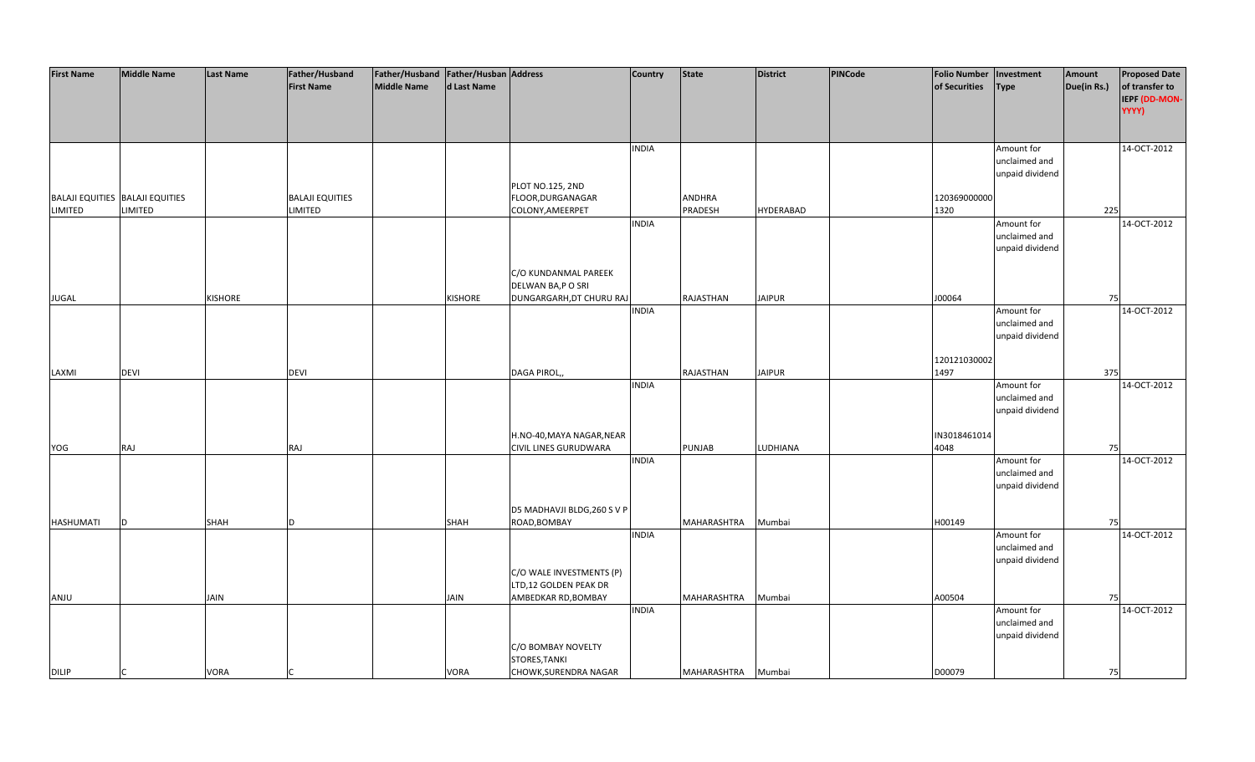| <b>First Name</b> | <b>Middle Name</b>              | <b>Last Name</b> | Father/Husband         | Father/Husband   Father/Husban   Address |             |                              | <b>Country</b> | <b>State</b>       | <b>District</b>  | <b>PINCode</b> | <b>Folio Number</b> | Investment                       | Amount      | <b>Proposed Date</b>            |
|-------------------|---------------------------------|------------------|------------------------|------------------------------------------|-------------|------------------------------|----------------|--------------------|------------------|----------------|---------------------|----------------------------------|-------------|---------------------------------|
|                   |                                 |                  | <b>First Name</b>      | Middle Name                              | d Last Name |                              |                |                    |                  |                | of Securities       | <b>Type</b>                      | Due(in Rs.) | of transfer to<br>IEPF (DD-MON- |
|                   |                                 |                  |                        |                                          |             |                              |                |                    |                  |                |                     |                                  |             | YYYY)                           |
|                   |                                 |                  |                        |                                          |             |                              | <b>INDIA</b>   |                    |                  |                |                     | Amount for                       |             | 14-OCT-2012                     |
|                   |                                 |                  |                        |                                          |             |                              |                |                    |                  |                |                     | unclaimed and                    |             |                                 |
|                   |                                 |                  |                        |                                          |             | PLOT NO.125, 2ND             |                |                    |                  |                |                     | unpaid dividend                  |             |                                 |
|                   | BALAJI EQUITIES BALAJI EQUITIES |                  | <b>BALAJI EQUITIES</b> |                                          |             | FLOOR, DURGANAGAR            |                | ANDHRA             |                  |                | 120369000000        |                                  |             |                                 |
| LIMITED           | LIMITED                         |                  | <b>LIMITED</b>         |                                          |             | COLONY, AMEERPET             |                | PRADESH            | <b>HYDERABAD</b> |                | 1320                |                                  | 225         |                                 |
|                   |                                 |                  |                        |                                          |             |                              | <b>INDIA</b>   |                    |                  |                |                     | Amount for                       |             | 14-OCT-2012                     |
|                   |                                 |                  |                        |                                          |             |                              |                |                    |                  |                |                     | unclaimed and                    |             |                                 |
|                   |                                 |                  |                        |                                          |             |                              |                |                    |                  |                |                     | unpaid dividend                  |             |                                 |
|                   |                                 |                  |                        |                                          |             | C/O KUNDANMAL PAREEK         |                |                    |                  |                |                     |                                  |             |                                 |
|                   |                                 |                  |                        |                                          |             | DELWAN BA,P O SRI            |                |                    |                  |                |                     |                                  |             |                                 |
| <b>JUGAL</b>      |                                 | <b>KISHORE</b>   |                        |                                          | KISHORE     | DUNGARGARH, DT CHURU RAJ     |                | RAJASTHAN          | <b>JAIPUR</b>    |                | J00064              |                                  | 75          |                                 |
|                   |                                 |                  |                        |                                          |             |                              | <b>INDIA</b>   |                    |                  |                |                     | Amount for                       |             | 14-OCT-2012                     |
|                   |                                 |                  |                        |                                          |             |                              |                |                    |                  |                |                     | unclaimed and<br>unpaid dividend |             |                                 |
|                   |                                 |                  |                        |                                          |             |                              |                |                    |                  |                |                     |                                  |             |                                 |
|                   |                                 |                  |                        |                                          |             |                              |                |                    |                  |                | 120121030002        |                                  |             |                                 |
| LAXMI             | <b>DEVI</b>                     |                  | <b>DEVI</b>            |                                          |             | DAGA PIROL,,                 |                | RAJASTHAN          | <b>JAIPUR</b>    |                | 1497                |                                  | 375         |                                 |
|                   |                                 |                  |                        |                                          |             |                              | <b>INDIA</b>   |                    |                  |                |                     | Amount for<br>unclaimed and      |             | 14-OCT-2012                     |
|                   |                                 |                  |                        |                                          |             |                              |                |                    |                  |                |                     | unpaid dividend                  |             |                                 |
|                   |                                 |                  |                        |                                          |             |                              |                |                    |                  |                |                     |                                  |             |                                 |
|                   |                                 |                  |                        |                                          |             | H.NO-40, MAYA NAGAR, NEAR    |                |                    |                  |                | IN3018461014        |                                  |             |                                 |
| YOG               | RAJ                             |                  | RAJ                    |                                          |             | <b>CIVIL LINES GURUDWARA</b> |                | PUNJAB             | LUDHIANA         |                | 4048                |                                  | 75          |                                 |
|                   |                                 |                  |                        |                                          |             |                              | <b>INDIA</b>   |                    |                  |                |                     | Amount for<br>unclaimed and      |             | 14-OCT-2012                     |
|                   |                                 |                  |                        |                                          |             |                              |                |                    |                  |                |                     | unpaid dividend                  |             |                                 |
|                   |                                 |                  |                        |                                          |             |                              |                |                    |                  |                |                     |                                  |             |                                 |
|                   |                                 |                  |                        |                                          |             | D5 MADHAVJI BLDG, 260 S V P  |                |                    |                  |                |                     |                                  |             |                                 |
| HASHUMATI         | D                               | SHAH             | <sub>D</sub>           |                                          | SHAH        | ROAD, BOMBAY                 | <b>INDIA</b>   | MAHARASHTRA        | Mumbai           |                | H00149              |                                  | 75          | 14-OCT-2012                     |
|                   |                                 |                  |                        |                                          |             |                              |                |                    |                  |                |                     | Amount for<br>unclaimed and      |             |                                 |
|                   |                                 |                  |                        |                                          |             |                              |                |                    |                  |                |                     | unpaid dividend                  |             |                                 |
|                   |                                 |                  |                        |                                          |             | C/O WALE INVESTMENTS (P)     |                |                    |                  |                |                     |                                  |             |                                 |
|                   |                                 |                  |                        |                                          |             | LTD,12 GOLDEN PEAK DR        |                |                    |                  |                |                     |                                  |             |                                 |
| <b>ANJU</b>       |                                 | JAIN             |                        |                                          | JAIN        | AMBEDKAR RD, BOMBAY          | <b>INDIA</b>   | MAHARASHTRA        | Mumbai           |                | A00504              | Amount for                       | 75          | 14-OCT-2012                     |
|                   |                                 |                  |                        |                                          |             |                              |                |                    |                  |                |                     | unclaimed and                    |             |                                 |
|                   |                                 |                  |                        |                                          |             |                              |                |                    |                  |                |                     | unpaid dividend                  |             |                                 |
|                   |                                 |                  |                        |                                          |             | C/O BOMBAY NOVELTY           |                |                    |                  |                |                     |                                  |             |                                 |
|                   |                                 |                  |                        |                                          |             | STORES, TANKI                |                |                    |                  |                |                     |                                  |             |                                 |
| <b>DILIP</b>      |                                 | <b>VORA</b>      |                        |                                          | VORA        | CHOWK, SURENDRA NAGAR        |                | MAHARASHTRA Mumbai |                  |                | D00079              |                                  | 75          |                                 |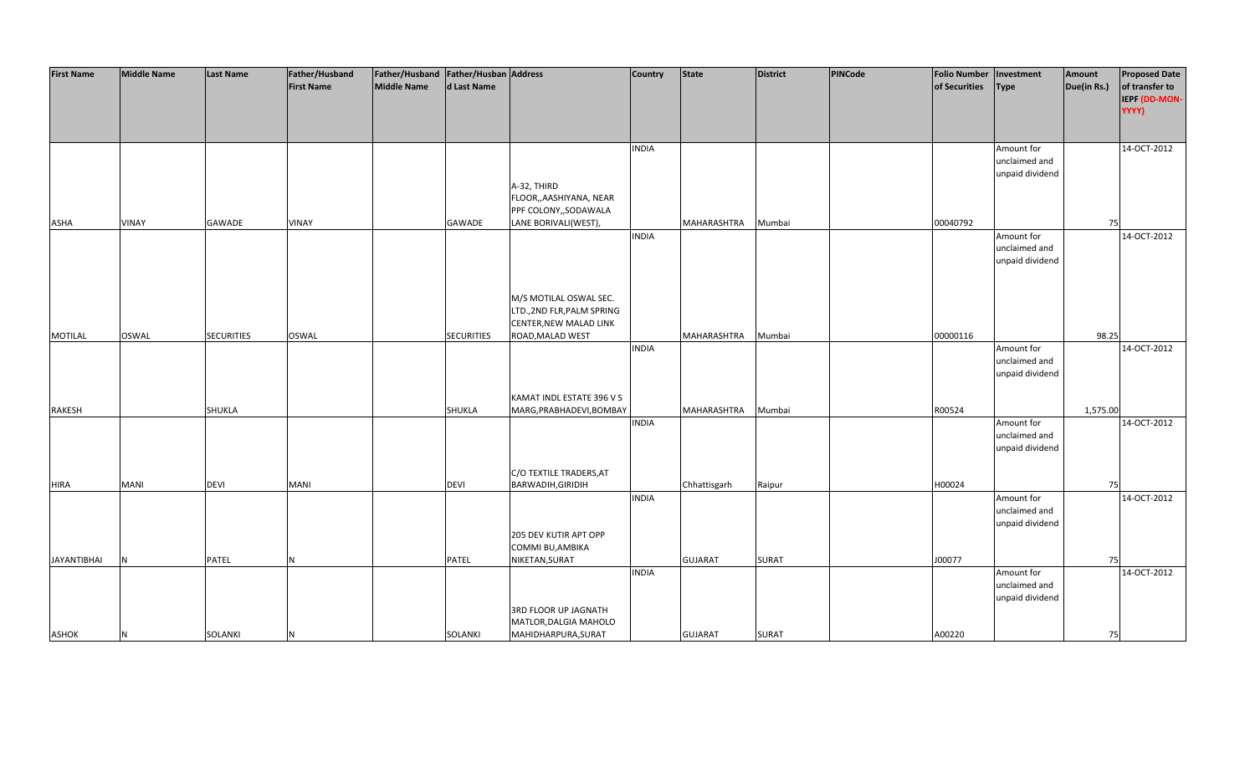| <b>First Name</b>  | <b>Middle Name</b> | <b>Last Name</b>  | Father/Husband    | Father/Husband   Father/Husban   Address |                   |                             | <b>Country</b> | State          | <b>District</b> | PINCode | Folio Number   Investment |                 | Amount      | <b>Proposed Date</b> |
|--------------------|--------------------|-------------------|-------------------|------------------------------------------|-------------------|-----------------------------|----------------|----------------|-----------------|---------|---------------------------|-----------------|-------------|----------------------|
|                    |                    |                   | <b>First Name</b> | <b>Middle Name</b>                       | d Last Name       |                             |                |                |                 |         | of Securities             | <b>Type</b>     | Due(in Rs.) | of transfer to       |
|                    |                    |                   |                   |                                          |                   |                             |                |                |                 |         |                           |                 |             | IEPF (DD-MON-        |
|                    |                    |                   |                   |                                          |                   |                             |                |                |                 |         |                           |                 |             | YYYY)                |
|                    |                    |                   |                   |                                          |                   |                             |                |                |                 |         |                           |                 |             |                      |
|                    |                    |                   |                   |                                          |                   |                             |                |                |                 |         |                           |                 |             |                      |
|                    |                    |                   |                   |                                          |                   |                             | <b>INDIA</b>   |                |                 |         |                           | Amount for      |             | 14-OCT-2012          |
|                    |                    |                   |                   |                                          |                   |                             |                |                |                 |         |                           | unclaimed and   |             |                      |
|                    |                    |                   |                   |                                          |                   |                             |                |                |                 |         |                           | unpaid dividend |             |                      |
|                    |                    |                   |                   |                                          |                   | A-32, THIRD                 |                |                |                 |         |                           |                 |             |                      |
|                    |                    |                   |                   |                                          |                   | FLOOR,, AASHIYANA, NEAR     |                |                |                 |         |                           |                 |             |                      |
|                    |                    |                   |                   |                                          |                   | PPF COLONY,, SODAWALA       |                |                |                 |         |                           |                 |             |                      |
| ASHA               | <b>VINAY</b>       | GAWADE            | <b>VINAY</b>      |                                          | GAWADE            | LANE BORIVALI(WEST),        |                | MAHARASHTRA    | Mumbai          |         | 00040792                  |                 | 75          |                      |
|                    |                    |                   |                   |                                          |                   |                             | <b>INDIA</b>   |                |                 |         |                           | Amount for      |             | 14-OCT-2012          |
|                    |                    |                   |                   |                                          |                   |                             |                |                |                 |         |                           | unclaimed and   |             |                      |
|                    |                    |                   |                   |                                          |                   |                             |                |                |                 |         |                           | unpaid dividend |             |                      |
|                    |                    |                   |                   |                                          |                   |                             |                |                |                 |         |                           |                 |             |                      |
|                    |                    |                   |                   |                                          |                   |                             |                |                |                 |         |                           |                 |             |                      |
|                    |                    |                   |                   |                                          |                   | M/S MOTILAL OSWAL SEC.      |                |                |                 |         |                           |                 |             |                      |
|                    |                    |                   |                   |                                          |                   | LTD., 2ND FLR, PALM SPRING  |                |                |                 |         |                           |                 |             |                      |
|                    |                    |                   |                   |                                          |                   | CENTER, NEW MALAD LINK      |                |                |                 |         |                           |                 |             |                      |
| <b>MOTILAL</b>     | <b>OSWAL</b>       | <b>SECURITIES</b> | <b>OSWAL</b>      |                                          | <b>SECURITIES</b> | ROAD, MALAD WEST            |                | MAHARASHTRA    | Mumbai          |         | 00000116                  |                 | 98.25       |                      |
|                    |                    |                   |                   |                                          |                   |                             | <b>INDIA</b>   |                |                 |         |                           | Amount for      |             | 14-OCT-2012          |
|                    |                    |                   |                   |                                          |                   |                             |                |                |                 |         |                           | unclaimed and   |             |                      |
|                    |                    |                   |                   |                                          |                   |                             |                |                |                 |         |                           | unpaid dividend |             |                      |
|                    |                    |                   |                   |                                          |                   | KAMAT INDL ESTATE 396 V S   |                |                |                 |         |                           |                 |             |                      |
| RAKESH             |                    | <b>SHUKLA</b>     |                   |                                          | <b>SHUKLA</b>     | MARG, PRABHADEVI, BOMBAY    |                | MAHARASHTRA    | Mumbai          |         | R00524                    |                 | 1,575.00    |                      |
|                    |                    |                   |                   |                                          |                   |                             | <b>INDIA</b>   |                |                 |         |                           | Amount for      |             | 14-OCT-2012          |
|                    |                    |                   |                   |                                          |                   |                             |                |                |                 |         |                           | unclaimed and   |             |                      |
|                    |                    |                   |                   |                                          |                   |                             |                |                |                 |         |                           | unpaid dividend |             |                      |
|                    |                    |                   |                   |                                          |                   |                             |                |                |                 |         |                           |                 |             |                      |
|                    |                    |                   |                   |                                          |                   | C/O TEXTILE TRADERS, AT     |                |                |                 |         |                           |                 |             |                      |
| <b>HIRA</b>        | MANI               | <b>DEVI</b>       | <b>MANI</b>       |                                          | <b>DEVI</b>       | BARWADIH, GIRIDIH           |                | Chhattisgarh   | Raipur          |         | H00024                    |                 | 75          |                      |
|                    |                    |                   |                   |                                          |                   |                             | <b>INDIA</b>   |                |                 |         |                           | Amount for      |             | 14-OCT-2012          |
|                    |                    |                   |                   |                                          |                   |                             |                |                |                 |         |                           | unclaimed and   |             |                      |
|                    |                    |                   |                   |                                          |                   |                             |                |                |                 |         |                           | unpaid dividend |             |                      |
|                    |                    |                   |                   |                                          |                   | 205 DEV KUTIR APT OPP       |                |                |                 |         |                           |                 |             |                      |
|                    |                    |                   |                   |                                          |                   | COMMI BU, AMBIKA            |                |                |                 |         |                           |                 |             |                      |
| <b>JAYANTIBHAI</b> | N                  | PATEL             | N                 |                                          | PATEL             | NIKETAN, SURAT              |                | <b>GUJARAT</b> | SURAT           |         | J00077                    |                 | 75          |                      |
|                    |                    |                   |                   |                                          |                   |                             | <b>INDIA</b>   |                |                 |         |                           | Amount for      |             | 14-OCT-2012          |
|                    |                    |                   |                   |                                          |                   |                             |                |                |                 |         |                           | unclaimed and   |             |                      |
|                    |                    |                   |                   |                                          |                   |                             |                |                |                 |         |                           | unpaid dividend |             |                      |
|                    |                    |                   |                   |                                          |                   | <b>3RD FLOOR UP JAGNATH</b> |                |                |                 |         |                           |                 |             |                      |
|                    |                    |                   |                   |                                          |                   | MATLOR, DALGIA MAHOLO       |                |                |                 |         |                           |                 |             |                      |
| <b>ASHOK</b>       | N                  | SOLANKI           | N                 |                                          | SOLANKI           | MAHIDHARPURA, SURAT         |                | <b>GUJARAT</b> | <b>SURAT</b>    |         | A00220                    |                 | 75          |                      |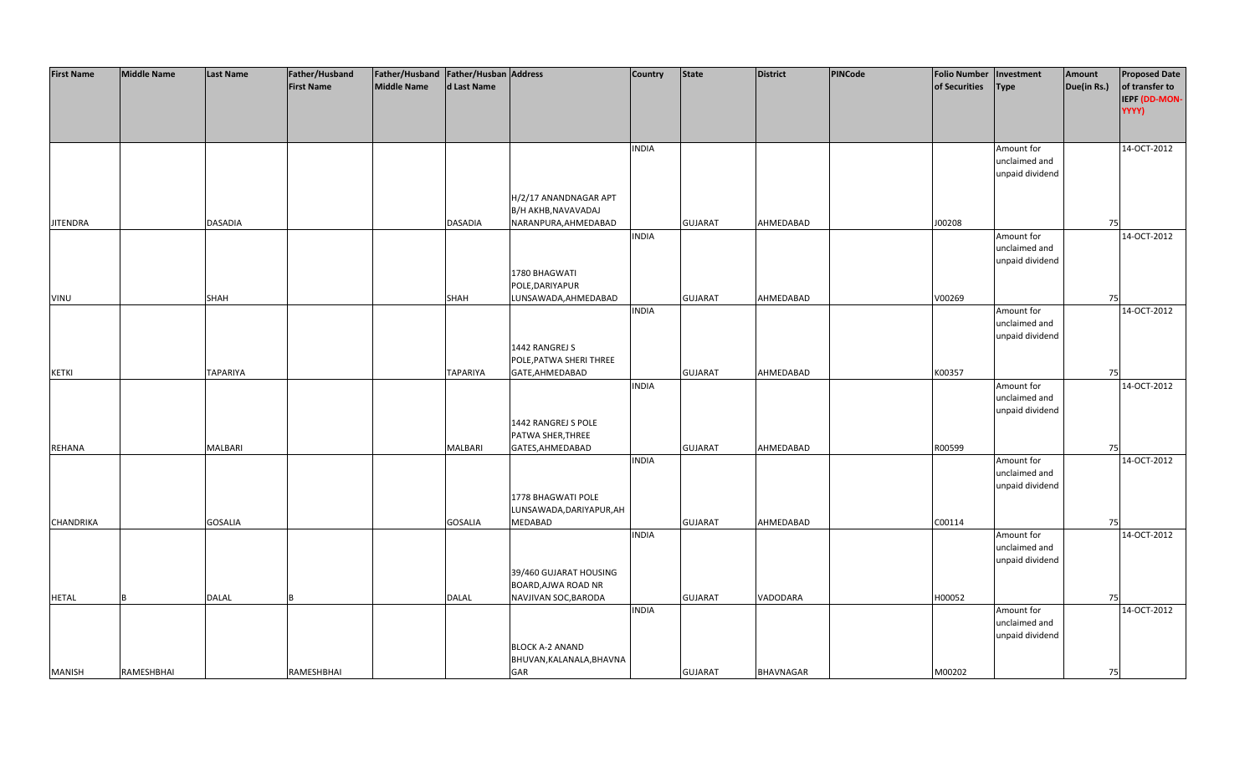| <b>First Name</b> | <b>Middle Name</b> | <b>Last Name</b> | Father/Husband    | Father/Husband Father/Husban Address |                 |                          | <b>Country</b> | <b>State</b>   | <b>District</b>  | <b>PINCode</b> | <b>Folio Number</b> | Investment      | Amount      | <b>Proposed Date</b> |
|-------------------|--------------------|------------------|-------------------|--------------------------------------|-----------------|--------------------------|----------------|----------------|------------------|----------------|---------------------|-----------------|-------------|----------------------|
|                   |                    |                  | <b>First Name</b> | <b>Middle Name</b>                   | d Last Name     |                          |                |                |                  |                | of Securities       | <b>Type</b>     | Due(in Rs.) | of transfer to       |
|                   |                    |                  |                   |                                      |                 |                          |                |                |                  |                |                     |                 |             | IEPF (DD-MON-        |
|                   |                    |                  |                   |                                      |                 |                          |                |                |                  |                |                     |                 |             | YYYY)                |
|                   |                    |                  |                   |                                      |                 |                          |                |                |                  |                |                     |                 |             |                      |
|                   |                    |                  |                   |                                      |                 |                          |                |                |                  |                |                     |                 |             |                      |
|                   |                    |                  |                   |                                      |                 |                          | <b>INDIA</b>   |                |                  |                |                     | Amount for      |             | 14-OCT-2012          |
|                   |                    |                  |                   |                                      |                 |                          |                |                |                  |                |                     | unclaimed and   |             |                      |
|                   |                    |                  |                   |                                      |                 |                          |                |                |                  |                |                     | unpaid dividend |             |                      |
|                   |                    |                  |                   |                                      |                 |                          |                |                |                  |                |                     |                 |             |                      |
|                   |                    |                  |                   |                                      |                 |                          |                |                |                  |                |                     |                 |             |                      |
|                   |                    |                  |                   |                                      |                 | H/2/17 ANANDNAGAR APT    |                |                |                  |                |                     |                 |             |                      |
|                   |                    |                  |                   |                                      |                 | B/H AKHB, NAVAVADAJ      |                |                |                  |                |                     |                 |             |                      |
| <b>JITENDRA</b>   |                    | <b>DASADIA</b>   |                   |                                      | <b>DASADIA</b>  | NARANPURA, AHMEDABAD     |                | <b>GUJARAT</b> | AHMEDABAD        |                | J00208              |                 | 75          |                      |
|                   |                    |                  |                   |                                      |                 |                          | <b>INDIA</b>   |                |                  |                |                     | Amount for      |             | 14-OCT-2012          |
|                   |                    |                  |                   |                                      |                 |                          |                |                |                  |                |                     | unclaimed and   |             |                      |
|                   |                    |                  |                   |                                      |                 |                          |                |                |                  |                |                     | unpaid dividend |             |                      |
|                   |                    |                  |                   |                                      |                 | 1780 BHAGWATI            |                |                |                  |                |                     |                 |             |                      |
|                   |                    |                  |                   |                                      |                 | POLE, DARIYAPUR          |                |                |                  |                |                     |                 |             |                      |
| VINU              |                    | <b>SHAH</b>      |                   |                                      | <b>SHAH</b>     | LUNSAWADA, AHMEDABAD     |                | <b>GUJARAT</b> | AHMEDABAD        |                | V00269              |                 | 75          |                      |
|                   |                    |                  |                   |                                      |                 |                          | <b>INDIA</b>   |                |                  |                |                     | Amount for      |             | 14-OCT-2012          |
|                   |                    |                  |                   |                                      |                 |                          |                |                |                  |                |                     |                 |             |                      |
|                   |                    |                  |                   |                                      |                 |                          |                |                |                  |                |                     | unclaimed and   |             |                      |
|                   |                    |                  |                   |                                      |                 |                          |                |                |                  |                |                     | unpaid dividend |             |                      |
|                   |                    |                  |                   |                                      |                 | 1442 RANGREJ S           |                |                |                  |                |                     |                 |             |                      |
|                   |                    |                  |                   |                                      |                 | POLE, PATWA SHERI THREE  |                |                |                  |                |                     |                 |             |                      |
| <b>KETKI</b>      |                    | <b>TAPARIYA</b>  |                   |                                      | <b>TAPARIYA</b> | GATE, AHMEDABAD          |                | <b>GUJARAT</b> | AHMEDABAD        |                | K00357              |                 | 75          |                      |
|                   |                    |                  |                   |                                      |                 |                          | <b>INDIA</b>   |                |                  |                |                     | Amount for      |             | 14-OCT-2012          |
|                   |                    |                  |                   |                                      |                 |                          |                |                |                  |                |                     | unclaimed and   |             |                      |
|                   |                    |                  |                   |                                      |                 |                          |                |                |                  |                |                     | unpaid dividend |             |                      |
|                   |                    |                  |                   |                                      |                 | 1442 RANGREJ S POLE      |                |                |                  |                |                     |                 |             |                      |
|                   |                    |                  |                   |                                      |                 | PATWA SHER, THREE        |                |                |                  |                |                     |                 |             |                      |
| REHANA            |                    | MALBARI          |                   |                                      | <b>MALBARI</b>  | GATES, AHMEDABAD         |                | <b>GUJARAT</b> | AHMEDABAD        |                | R00599              |                 | 75          |                      |
|                   |                    |                  |                   |                                      |                 |                          | <b>INDIA</b>   |                |                  |                |                     | Amount for      |             | 14-OCT-2012          |
|                   |                    |                  |                   |                                      |                 |                          |                |                |                  |                |                     | unclaimed and   |             |                      |
|                   |                    |                  |                   |                                      |                 |                          |                |                |                  |                |                     | unpaid dividend |             |                      |
|                   |                    |                  |                   |                                      |                 | 1778 BHAGWATI POLE       |                |                |                  |                |                     |                 |             |                      |
|                   |                    |                  |                   |                                      |                 | LUNSAWADA, DARIYAPUR, AH |                |                |                  |                |                     |                 |             |                      |
| CHANDRIKA         |                    | <b>GOSALIA</b>   |                   |                                      | <b>GOSALIA</b>  | MEDABAD                  |                | <b>GUJARAT</b> | AHMEDABAD        |                | C00114              |                 | 75          |                      |
|                   |                    |                  |                   |                                      |                 |                          | <b>INDIA</b>   |                |                  |                |                     | Amount for      |             | 14-OCT-2012          |
|                   |                    |                  |                   |                                      |                 |                          |                |                |                  |                |                     | unclaimed and   |             |                      |
|                   |                    |                  |                   |                                      |                 |                          |                |                |                  |                |                     | unpaid dividend |             |                      |
|                   |                    |                  |                   |                                      |                 |                          |                |                |                  |                |                     |                 |             |                      |
|                   |                    |                  |                   |                                      |                 | 39/460 GUJARAT HOUSING   |                |                |                  |                |                     |                 |             |                      |
|                   |                    |                  |                   |                                      |                 | BOARD, AJWA ROAD NR      |                |                |                  |                |                     |                 |             |                      |
| <b>HETAL</b>      | R                  | <b>DALAL</b>     |                   |                                      | <b>DALAL</b>    | NAVJIVAN SOC, BARODA     |                | <b>GUJARAT</b> | VADODARA         |                | H00052              |                 | 75          |                      |
|                   |                    |                  |                   |                                      |                 |                          | <b>INDIA</b>   |                |                  |                |                     | Amount for      |             | 14-OCT-2012          |
|                   |                    |                  |                   |                                      |                 |                          |                |                |                  |                |                     | unclaimed and   |             |                      |
|                   |                    |                  |                   |                                      |                 |                          |                |                |                  |                |                     | unpaid dividend |             |                      |
|                   |                    |                  |                   |                                      |                 | <b>BLOCK A-2 ANAND</b>   |                |                |                  |                |                     |                 |             |                      |
|                   |                    |                  |                   |                                      |                 | BHUVAN, KALANALA, BHAVNA |                |                |                  |                |                     |                 |             |                      |
| <b>MANISH</b>     | <b>RAMESHBHAI</b>  |                  | RAMESHBHAI        |                                      |                 | GAR                      |                | <b>GUJARAT</b> | <b>BHAVNAGAR</b> |                | M00202              |                 | 75          |                      |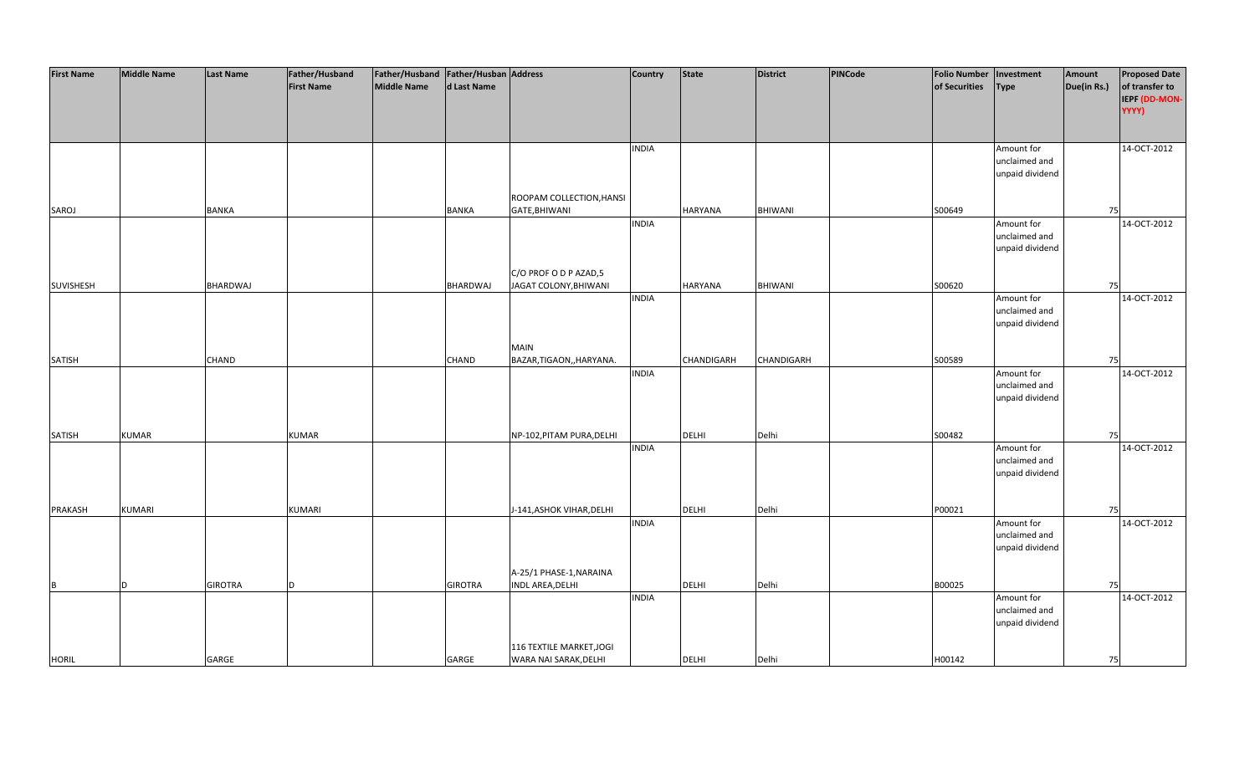| <b>First Name</b> | <b>Middle Name</b> | <b>Last Name</b> | Father/Husband    | Father/Husband Father/Husban Address |                |                           | <b>Country</b> | <b>State</b>   | <b>District</b> | PINCode | <b>Folio Number</b> | Investment      | Amount      | <b>Proposed Date</b> |
|-------------------|--------------------|------------------|-------------------|--------------------------------------|----------------|---------------------------|----------------|----------------|-----------------|---------|---------------------|-----------------|-------------|----------------------|
|                   |                    |                  | <b>First Name</b> | <b>Middle Name</b>                   | d Last Name    |                           |                |                |                 |         | of Securities       | <b>Type</b>     | Due(in Rs.) | of transfer to       |
|                   |                    |                  |                   |                                      |                |                           |                |                |                 |         |                     |                 |             | IEPF (DD-MON-        |
|                   |                    |                  |                   |                                      |                |                           |                |                |                 |         |                     |                 |             | YYYY)                |
|                   |                    |                  |                   |                                      |                |                           |                |                |                 |         |                     |                 |             |                      |
|                   |                    |                  |                   |                                      |                |                           |                |                |                 |         |                     |                 |             |                      |
|                   |                    |                  |                   |                                      |                |                           | <b>INDIA</b>   |                |                 |         |                     | Amount for      |             | 14-OCT-2012          |
|                   |                    |                  |                   |                                      |                |                           |                |                |                 |         |                     | unclaimed and   |             |                      |
|                   |                    |                  |                   |                                      |                |                           |                |                |                 |         |                     | unpaid dividend |             |                      |
|                   |                    |                  |                   |                                      |                |                           |                |                |                 |         |                     |                 |             |                      |
|                   |                    |                  |                   |                                      |                | ROOPAM COLLECTION, HANSI  |                |                |                 |         |                     |                 |             |                      |
| SAROJ             |                    | <b>BANKA</b>     |                   |                                      | <b>BANKA</b>   | GATE, BHIWANI             |                | <b>HARYANA</b> | <b>BHIWANI</b>  |         | S00649              |                 | 75          |                      |
|                   |                    |                  |                   |                                      |                |                           | <b>INDIA</b>   |                |                 |         |                     | Amount for      |             | 14-OCT-2012          |
|                   |                    |                  |                   |                                      |                |                           |                |                |                 |         |                     | unclaimed and   |             |                      |
|                   |                    |                  |                   |                                      |                |                           |                |                |                 |         |                     | unpaid dividend |             |                      |
|                   |                    |                  |                   |                                      |                |                           |                |                |                 |         |                     |                 |             |                      |
|                   |                    |                  |                   |                                      |                | C/O PROF O D P AZAD,5     |                |                |                 |         |                     |                 |             |                      |
| SUVISHESH         |                    | BHARDWAJ         |                   |                                      | BHARDWAJ       | JAGAT COLONY, BHIWANI     |                | HARYANA        | <b>BHIWANI</b>  |         | S00620              |                 | 75          |                      |
|                   |                    |                  |                   |                                      |                |                           | <b>INDIA</b>   |                |                 |         |                     | Amount for      |             | 14-OCT-2012          |
|                   |                    |                  |                   |                                      |                |                           |                |                |                 |         |                     | unclaimed and   |             |                      |
|                   |                    |                  |                   |                                      |                |                           |                |                |                 |         |                     | unpaid dividend |             |                      |
|                   |                    |                  |                   |                                      |                |                           |                |                |                 |         |                     |                 |             |                      |
|                   |                    |                  |                   |                                      |                | <b>MAIN</b>               |                |                |                 |         |                     |                 |             |                      |
| <b>SATISH</b>     |                    | CHAND            |                   |                                      | <b>CHAND</b>   | BAZAR, TIGAON, , HARYANA. |                | CHANDIGARH     | CHANDIGARH      |         | S00589              |                 | 75          |                      |
|                   |                    |                  |                   |                                      |                |                           | <b>INDIA</b>   |                |                 |         |                     | Amount for      |             | 14-OCT-2012          |
|                   |                    |                  |                   |                                      |                |                           |                |                |                 |         |                     | unclaimed and   |             |                      |
|                   |                    |                  |                   |                                      |                |                           |                |                |                 |         |                     | unpaid dividend |             |                      |
|                   |                    |                  |                   |                                      |                |                           |                |                |                 |         |                     |                 |             |                      |
|                   |                    |                  |                   |                                      |                |                           |                |                |                 |         |                     |                 |             |                      |
| <b>SATISH</b>     | <b>KUMAR</b>       |                  | <b>KUMAR</b>      |                                      |                | NP-102, PITAM PURA, DELHI |                | <b>DELHI</b>   | Delhi           |         | S00482              |                 | 75          |                      |
|                   |                    |                  |                   |                                      |                |                           | <b>INDIA</b>   |                |                 |         |                     | Amount for      |             | 14-OCT-2012          |
|                   |                    |                  |                   |                                      |                |                           |                |                |                 |         |                     | unclaimed and   |             |                      |
|                   |                    |                  |                   |                                      |                |                           |                |                |                 |         |                     | unpaid dividend |             |                      |
|                   |                    |                  |                   |                                      |                |                           |                |                |                 |         |                     |                 |             |                      |
|                   |                    |                  |                   |                                      |                |                           |                |                |                 |         |                     |                 |             |                      |
| PRAKASH           | <b>KUMARI</b>      |                  | <b>KUMARI</b>     |                                      |                | J-141, ASHOK VIHAR, DELHI |                | DELHI          | Delhi           |         | P00021              |                 | 75          |                      |
|                   |                    |                  |                   |                                      |                |                           | <b>INDIA</b>   |                |                 |         |                     | Amount for      |             | 14-OCT-2012          |
|                   |                    |                  |                   |                                      |                |                           |                |                |                 |         |                     | unclaimed and   |             |                      |
|                   |                    |                  |                   |                                      |                |                           |                |                |                 |         |                     | unpaid dividend |             |                      |
|                   |                    |                  |                   |                                      |                |                           |                |                |                 |         |                     |                 |             |                      |
|                   |                    |                  |                   |                                      |                | A-25/1 PHASE-1, NARAINA   |                |                |                 |         |                     |                 |             |                      |
| B                 | D                  | <b>GIROTRA</b>   | D.                |                                      | <b>GIROTRA</b> | <b>INDL AREA, DELHI</b>   |                | DELHI          | Delhi           |         | B00025              |                 | 75          |                      |
|                   |                    |                  |                   |                                      |                |                           | <b>INDIA</b>   |                |                 |         |                     | Amount for      |             | 14-OCT-2012          |
|                   |                    |                  |                   |                                      |                |                           |                |                |                 |         |                     | unclaimed and   |             |                      |
|                   |                    |                  |                   |                                      |                |                           |                |                |                 |         |                     | unpaid dividend |             |                      |
|                   |                    |                  |                   |                                      |                |                           |                |                |                 |         |                     |                 |             |                      |
|                   |                    |                  |                   |                                      |                | 116 TEXTILE MARKET, JOGI  |                |                |                 |         |                     |                 |             |                      |
| <b>HORIL</b>      |                    | GARGE            |                   |                                      | GARGE          | WARA NAI SARAK, DELHI     |                | <b>DELHI</b>   | Delhi           |         | H00142              |                 | 75          |                      |
|                   |                    |                  |                   |                                      |                |                           |                |                |                 |         |                     |                 |             |                      |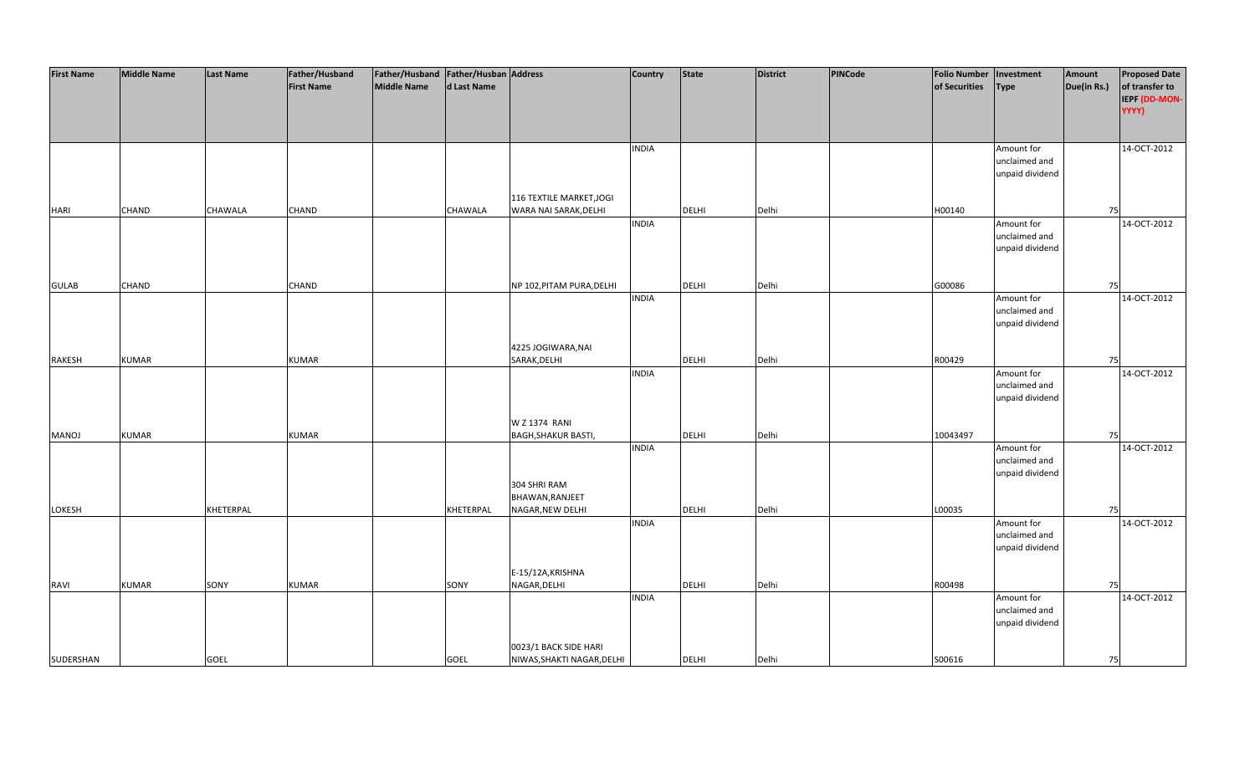| <b>First Name</b> | <b>Middle Name</b> | <b>Last Name</b> | Father/Husband    | Father/Husband Father/Husban Address |             |                            | Country      | <b>State</b> | <b>District</b> | PINCode | <b>Folio Number</b> | Investment      | Amount      | <b>Proposed Date</b> |
|-------------------|--------------------|------------------|-------------------|--------------------------------------|-------------|----------------------------|--------------|--------------|-----------------|---------|---------------------|-----------------|-------------|----------------------|
|                   |                    |                  | <b>First Name</b> | <b>Middle Name</b>                   | d Last Name |                            |              |              |                 |         | of Securities       | <b>Type</b>     | Due(in Rs.) | of transfer to       |
|                   |                    |                  |                   |                                      |             |                            |              |              |                 |         |                     |                 |             | IEPF (DD-MON-        |
|                   |                    |                  |                   |                                      |             |                            |              |              |                 |         |                     |                 |             | YYYY)                |
|                   |                    |                  |                   |                                      |             |                            |              |              |                 |         |                     |                 |             |                      |
|                   |                    |                  |                   |                                      |             |                            |              |              |                 |         |                     |                 |             |                      |
|                   |                    |                  |                   |                                      |             |                            | <b>INDIA</b> |              |                 |         |                     | Amount for      |             | 14-OCT-2012          |
|                   |                    |                  |                   |                                      |             |                            |              |              |                 |         |                     | unclaimed and   |             |                      |
|                   |                    |                  |                   |                                      |             |                            |              |              |                 |         |                     | unpaid dividend |             |                      |
|                   |                    |                  |                   |                                      |             |                            |              |              |                 |         |                     |                 |             |                      |
|                   |                    |                  |                   |                                      |             | 116 TEXTILE MARKET, JOGI   |              |              |                 |         |                     |                 |             |                      |
| <b>HARI</b>       | <b>CHAND</b>       | CHAWALA          | CHAND             |                                      | CHAWALA     | WARA NAI SARAK, DELHI      |              | <b>DELHI</b> | Delhi           |         | H00140              |                 | 75          |                      |
|                   |                    |                  |                   |                                      |             |                            | <b>INDIA</b> |              |                 |         |                     | Amount for      |             | 14-OCT-2012          |
|                   |                    |                  |                   |                                      |             |                            |              |              |                 |         |                     | unclaimed and   |             |                      |
|                   |                    |                  |                   |                                      |             |                            |              |              |                 |         |                     | unpaid dividend |             |                      |
|                   |                    |                  |                   |                                      |             |                            |              |              |                 |         |                     |                 |             |                      |
|                   |                    |                  |                   |                                      |             |                            |              |              |                 |         |                     |                 |             |                      |
| <b>GULAB</b>      | CHAND              |                  | CHAND             |                                      |             | NP 102, PITAM PURA, DELHI  |              | DELHI        | Delhi           |         | G00086              |                 | 75          |                      |
|                   |                    |                  |                   |                                      |             |                            | <b>INDIA</b> |              |                 |         |                     | Amount for      |             | 14-OCT-2012          |
|                   |                    |                  |                   |                                      |             |                            |              |              |                 |         |                     | unclaimed and   |             |                      |
|                   |                    |                  |                   |                                      |             |                            |              |              |                 |         |                     | unpaid dividend |             |                      |
|                   |                    |                  |                   |                                      |             |                            |              |              |                 |         |                     |                 |             |                      |
|                   |                    |                  |                   |                                      |             | 4225 JOGIWARA, NAI         |              |              |                 |         |                     |                 |             |                      |
| <b>RAKESH</b>     | <b>KUMAR</b>       |                  | <b>KUMAR</b>      |                                      |             | SARAK, DELHI               |              | <b>DELHI</b> | Delhi           |         | R00429              |                 | 75          |                      |
|                   |                    |                  |                   |                                      |             |                            | <b>INDIA</b> |              |                 |         |                     | Amount for      |             | 14-OCT-2012          |
|                   |                    |                  |                   |                                      |             |                            |              |              |                 |         |                     | unclaimed and   |             |                      |
|                   |                    |                  |                   |                                      |             |                            |              |              |                 |         |                     | unpaid dividend |             |                      |
|                   |                    |                  |                   |                                      |             |                            |              |              |                 |         |                     |                 |             |                      |
|                   |                    |                  |                   |                                      |             | W Z 1374 RANI              |              |              |                 |         |                     |                 |             |                      |
| MANOJ             | <b>KUMAR</b>       |                  | <b>KUMAR</b>      |                                      |             | <b>BAGH, SHAKUR BASTI,</b> |              | DELHI        | Delhi           |         | 10043497            |                 | 75          |                      |
|                   |                    |                  |                   |                                      |             |                            | <b>INDIA</b> |              |                 |         |                     | Amount for      |             | 14-OCT-2012          |
|                   |                    |                  |                   |                                      |             |                            |              |              |                 |         |                     | unclaimed and   |             |                      |
|                   |                    |                  |                   |                                      |             |                            |              |              |                 |         |                     | unpaid dividend |             |                      |
|                   |                    |                  |                   |                                      |             | 304 SHRI RAM               |              |              |                 |         |                     |                 |             |                      |
|                   |                    |                  |                   |                                      |             | BHAWAN, RANJEET            |              |              |                 |         |                     |                 |             |                      |
| LOKESH            |                    | KHETERPAL        |                   |                                      | KHETERPAL   | NAGAR, NEW DELHI           |              | DELHI        | Delhi           |         | L00035              |                 | 75          |                      |
|                   |                    |                  |                   |                                      |             |                            | <b>INDIA</b> |              |                 |         |                     | Amount for      |             | 14-OCT-2012          |
|                   |                    |                  |                   |                                      |             |                            |              |              |                 |         |                     | unclaimed and   |             |                      |
|                   |                    |                  |                   |                                      |             |                            |              |              |                 |         |                     | unpaid dividend |             |                      |
|                   |                    |                  |                   |                                      |             |                            |              |              |                 |         |                     |                 |             |                      |
|                   |                    |                  |                   |                                      |             | E-15/12A, KRISHNA          |              |              |                 |         |                     |                 |             |                      |
| <b>RAVI</b>       | <b>KUMAR</b>       | SONY             | <b>KUMAR</b>      |                                      | SONY        | NAGAR, DELHI               |              | <b>DELHI</b> | Delhi           |         | R00498              |                 | 75          |                      |
|                   |                    |                  |                   |                                      |             |                            | <b>INDIA</b> |              |                 |         |                     | Amount for      |             | 14-OCT-2012          |
|                   |                    |                  |                   |                                      |             |                            |              |              |                 |         |                     | unclaimed and   |             |                      |
|                   |                    |                  |                   |                                      |             |                            |              |              |                 |         |                     | unpaid dividend |             |                      |
|                   |                    |                  |                   |                                      |             |                            |              |              |                 |         |                     |                 |             |                      |
|                   |                    |                  |                   |                                      |             | 0023/1 BACK SIDE HARI      |              |              |                 |         |                     |                 |             |                      |
| SUDERSHAN         |                    | <b>GOEL</b>      |                   |                                      | <b>GOEL</b> | NIWAS, SHAKTI NAGAR, DELHI |              | <b>DELHI</b> | Delhi           |         | S00616              |                 | 75          |                      |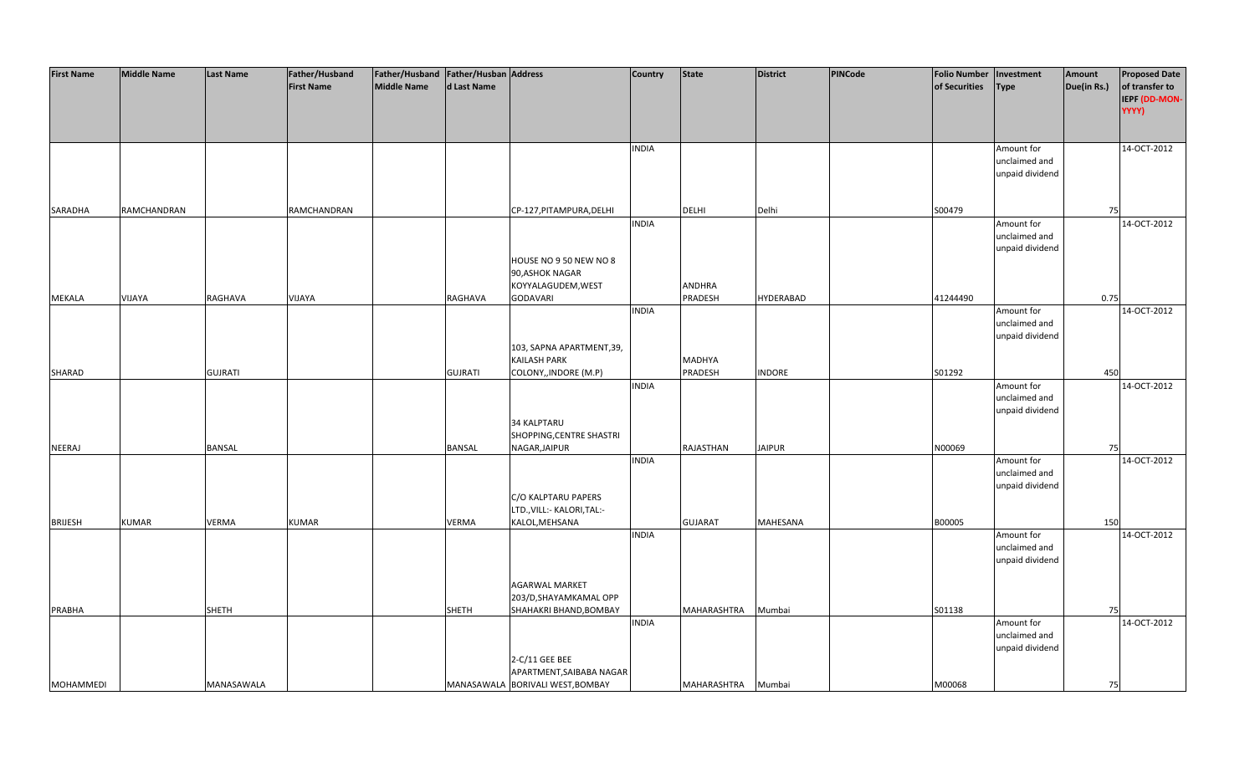| <b>First Name</b> | <b>Middle Name</b> | <b>Last Name</b> | Father/Husband    | Father/Husband Father/Husban Address |                |                                  | <b>Country</b> | <b>State</b>   | <b>District</b>  | <b>PINCode</b> | <b>Folio Number</b> | Investment      | Amount      | <b>Proposed Date</b> |
|-------------------|--------------------|------------------|-------------------|--------------------------------------|----------------|----------------------------------|----------------|----------------|------------------|----------------|---------------------|-----------------|-------------|----------------------|
|                   |                    |                  | <b>First Name</b> | <b>Middle Name</b>                   | d Last Name    |                                  |                |                |                  |                | of Securities       | <b>Type</b>     | Due(in Rs.) | of transfer to       |
|                   |                    |                  |                   |                                      |                |                                  |                |                |                  |                |                     |                 |             | IEPF (DD-MON-        |
|                   |                    |                  |                   |                                      |                |                                  |                |                |                  |                |                     |                 |             | YYYY)                |
|                   |                    |                  |                   |                                      |                |                                  |                |                |                  |                |                     |                 |             |                      |
|                   |                    |                  |                   |                                      |                |                                  |                |                |                  |                |                     |                 |             |                      |
|                   |                    |                  |                   |                                      |                |                                  | <b>INDIA</b>   |                |                  |                |                     | Amount for      |             | 14-OCT-2012          |
|                   |                    |                  |                   |                                      |                |                                  |                |                |                  |                |                     | unclaimed and   |             |                      |
|                   |                    |                  |                   |                                      |                |                                  |                |                |                  |                |                     | unpaid dividend |             |                      |
|                   |                    |                  |                   |                                      |                |                                  |                |                |                  |                |                     |                 |             |                      |
|                   |                    |                  |                   |                                      |                |                                  |                |                |                  |                |                     |                 |             |                      |
| SARADHA           | RAMCHANDRAN        |                  | RAMCHANDRAN       |                                      |                | CP-127, PITAMPURA, DELHI         |                | <b>DELHI</b>   | Delhi            |                | S00479              |                 | 75          |                      |
|                   |                    |                  |                   |                                      |                |                                  | <b>INDIA</b>   |                |                  |                |                     | Amount for      |             | 14-OCT-2012          |
|                   |                    |                  |                   |                                      |                |                                  |                |                |                  |                |                     | unclaimed and   |             |                      |
|                   |                    |                  |                   |                                      |                |                                  |                |                |                  |                |                     | unpaid dividend |             |                      |
|                   |                    |                  |                   |                                      |                | HOUSE NO 9 50 NEW NO 8           |                |                |                  |                |                     |                 |             |                      |
|                   |                    |                  |                   |                                      |                | 90, ASHOK NAGAR                  |                |                |                  |                |                     |                 |             |                      |
|                   |                    |                  |                   |                                      |                | KOYYALAGUDEM, WEST               |                | <b>ANDHRA</b>  |                  |                |                     |                 |             |                      |
| <b>MEKALA</b>     | VIJAYA             | RAGHAVA          | VIJAYA            |                                      | RAGHAVA        | <b>GODAVARI</b>                  |                | PRADESH        | <b>HYDERABAD</b> |                | 41244490            |                 | 0.75        |                      |
|                   |                    |                  |                   |                                      |                |                                  | <b>INDIA</b>   |                |                  |                |                     | Amount for      |             | 14-OCT-2012          |
|                   |                    |                  |                   |                                      |                |                                  |                |                |                  |                |                     | unclaimed and   |             |                      |
|                   |                    |                  |                   |                                      |                |                                  |                |                |                  |                |                     | unpaid dividend |             |                      |
|                   |                    |                  |                   |                                      |                | 103, SAPNA APARTMENT, 39,        |                |                |                  |                |                     |                 |             |                      |
|                   |                    |                  |                   |                                      |                | <b>KAILASH PARK</b>              |                | <b>MADHYA</b>  |                  |                |                     |                 |             |                      |
| SHARAD            |                    | <b>GUJRATI</b>   |                   |                                      | <b>GUJRATI</b> | COLONY,, INDORE (M.P)            |                | PRADESH        | <b>INDORE</b>    |                | S01292              |                 | 450         |                      |
|                   |                    |                  |                   |                                      |                |                                  | <b>INDIA</b>   |                |                  |                |                     | Amount for      |             | 14-OCT-2012          |
|                   |                    |                  |                   |                                      |                |                                  |                |                |                  |                |                     | unclaimed and   |             |                      |
|                   |                    |                  |                   |                                      |                |                                  |                |                |                  |                |                     | unpaid dividend |             |                      |
|                   |                    |                  |                   |                                      |                | <b>34 KALPTARU</b>               |                |                |                  |                |                     |                 |             |                      |
|                   |                    |                  |                   |                                      |                | SHOPPING, CENTRE SHASTRI         |                |                |                  |                |                     |                 |             |                      |
| NEERAJ            |                    | <b>BANSAL</b>    |                   |                                      | <b>BANSAL</b>  | NAGAR, JAIPUR                    |                | RAJASTHAN      | <b>JAIPUR</b>    |                | N00069              |                 | 75          |                      |
|                   |                    |                  |                   |                                      |                |                                  | <b>INDIA</b>   |                |                  |                |                     | Amount for      |             | 14-OCT-2012          |
|                   |                    |                  |                   |                                      |                |                                  |                |                |                  |                |                     | unclaimed and   |             |                      |
|                   |                    |                  |                   |                                      |                |                                  |                |                |                  |                |                     | unpaid dividend |             |                      |
|                   |                    |                  |                   |                                      |                | C/O KALPTARU PAPERS              |                |                |                  |                |                     |                 |             |                      |
|                   |                    |                  |                   |                                      |                | LTD., VILL:- KALORI, TAL:-       |                |                |                  |                |                     |                 |             |                      |
| <b>BRIJESH</b>    | <b>KUMAR</b>       | <b>VERMA</b>     | <b>KUMAR</b>      |                                      | <b>VERMA</b>   | KALOL, MEHSANA                   |                | <b>GUJARAT</b> | <b>MAHESANA</b>  |                | B00005              |                 | 150         |                      |
|                   |                    |                  |                   |                                      |                |                                  | <b>INDIA</b>   |                |                  |                |                     | Amount for      |             | 14-OCT-2012          |
|                   |                    |                  |                   |                                      |                |                                  |                |                |                  |                |                     | unclaimed and   |             |                      |
|                   |                    |                  |                   |                                      |                |                                  |                |                |                  |                |                     | unpaid dividend |             |                      |
|                   |                    |                  |                   |                                      |                |                                  |                |                |                  |                |                     |                 |             |                      |
|                   |                    |                  |                   |                                      |                | AGARWAL MARKET                   |                |                |                  |                |                     |                 |             |                      |
|                   |                    |                  |                   |                                      |                | 203/D, SHAYAMKAMAL OPP           |                |                |                  |                |                     |                 |             |                      |
| <b>PRABHA</b>     |                    | <b>SHETH</b>     |                   |                                      | <b>SHETH</b>   | SHAHAKRI BHAND, BOMBAY           |                | MAHARASHTRA    | Mumbai           |                | S01138              |                 | 75          |                      |
|                   |                    |                  |                   |                                      |                |                                  | <b>INDIA</b>   |                |                  |                |                     | Amount for      |             | 14-OCT-2012          |
|                   |                    |                  |                   |                                      |                |                                  |                |                |                  |                |                     | unclaimed and   |             |                      |
|                   |                    |                  |                   |                                      |                |                                  |                |                |                  |                |                     | unpaid dividend |             |                      |
|                   |                    |                  |                   |                                      |                | 2-C/11 GEE BEE                   |                |                |                  |                |                     |                 |             |                      |
|                   |                    |                  |                   |                                      |                | APARTMENT, SAIBABA NAGAR         |                |                |                  |                |                     |                 |             |                      |
| <b>MOHAMMEDI</b>  |                    | MANASAWALA       |                   |                                      |                | MANASAWALA BORIVALI WEST, BOMBAY |                | MAHARASHTRA    | Mumbai           |                | M00068              |                 | 75          |                      |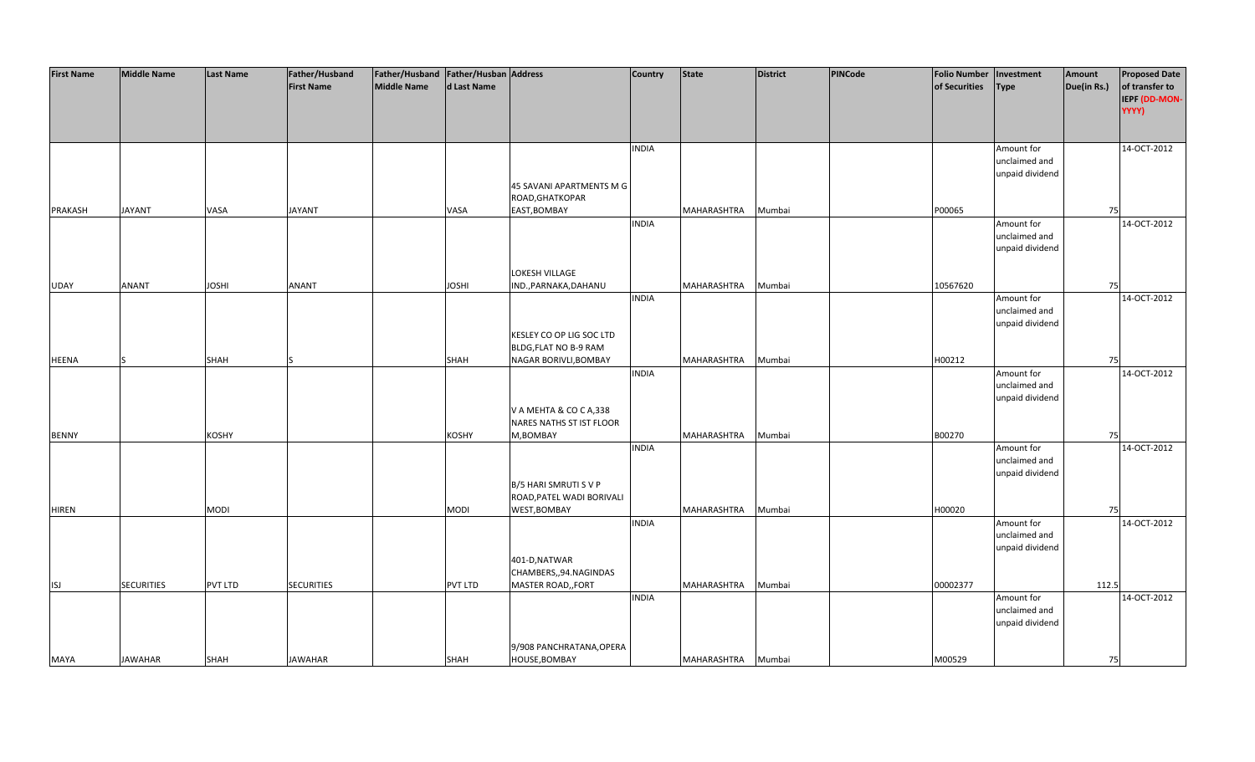| <b>First Name</b> | <b>Middle Name</b> | <b>Last Name</b> | Father/Husband    | Father/Husband Father/Husban Address |                |                           | <b>Country</b> | <b>State</b> | <b>District</b> | PINCode | <b>Folio Number</b> | Investment      | Amount      | <b>Proposed Date</b> |
|-------------------|--------------------|------------------|-------------------|--------------------------------------|----------------|---------------------------|----------------|--------------|-----------------|---------|---------------------|-----------------|-------------|----------------------|
|                   |                    |                  | <b>First Name</b> | <b>Middle Name</b>                   | d Last Name    |                           |                |              |                 |         | of Securities       | <b>Type</b>     | Due(in Rs.) | of transfer to       |
|                   |                    |                  |                   |                                      |                |                           |                |              |                 |         |                     |                 |             | IEPF (DD-MON-        |
|                   |                    |                  |                   |                                      |                |                           |                |              |                 |         |                     |                 |             | YYYY)                |
|                   |                    |                  |                   |                                      |                |                           |                |              |                 |         |                     |                 |             |                      |
|                   |                    |                  |                   |                                      |                |                           |                |              |                 |         |                     |                 |             |                      |
|                   |                    |                  |                   |                                      |                |                           | <b>INDIA</b>   |              |                 |         |                     | Amount for      |             | 14-OCT-2012          |
|                   |                    |                  |                   |                                      |                |                           |                |              |                 |         |                     | unclaimed and   |             |                      |
|                   |                    |                  |                   |                                      |                |                           |                |              |                 |         |                     |                 |             |                      |
|                   |                    |                  |                   |                                      |                |                           |                |              |                 |         |                     | unpaid dividend |             |                      |
|                   |                    |                  |                   |                                      |                | 45 SAVANI APARTMENTS M G  |                |              |                 |         |                     |                 |             |                      |
|                   |                    |                  |                   |                                      |                | ROAD, GHATKOPAR           |                |              |                 |         |                     |                 |             |                      |
| <b>PRAKASH</b>    | <b>JAYANT</b>      | VASA             | <b>JAYANT</b>     |                                      | <b>VASA</b>    | EAST, BOMBAY              |                | MAHARASHTRA  | Mumbai          |         | P00065              |                 | 75          |                      |
|                   |                    |                  |                   |                                      |                |                           | <b>INDIA</b>   |              |                 |         |                     | Amount for      |             | 14-OCT-2012          |
|                   |                    |                  |                   |                                      |                |                           |                |              |                 |         |                     | unclaimed and   |             |                      |
|                   |                    |                  |                   |                                      |                |                           |                |              |                 |         |                     | unpaid dividend |             |                      |
|                   |                    |                  |                   |                                      |                |                           |                |              |                 |         |                     |                 |             |                      |
|                   |                    |                  |                   |                                      |                | LOKESH VILLAGE            |                |              |                 |         |                     |                 |             |                      |
| UDAY              | <b>ANANT</b>       | <b>JOSHI</b>     | ANANT             |                                      | <b>JOSHI</b>   | IND., PARNAKA, DAHANU     |                | MAHARASHTRA  | Mumbai          |         | 10567620            |                 | 75          |                      |
|                   |                    |                  |                   |                                      |                |                           | <b>INDIA</b>   |              |                 |         |                     | Amount for      |             | 14-OCT-2012          |
|                   |                    |                  |                   |                                      |                |                           |                |              |                 |         |                     | unclaimed and   |             |                      |
|                   |                    |                  |                   |                                      |                |                           |                |              |                 |         |                     | unpaid dividend |             |                      |
|                   |                    |                  |                   |                                      |                | KESLEY CO OP LIG SOC LTD  |                |              |                 |         |                     |                 |             |                      |
|                   |                    |                  |                   |                                      |                | BLDG, FLAT NO B-9 RAM     |                |              |                 |         |                     |                 |             |                      |
| <b>HEENA</b>      | $\varsigma$        | <b>SHAH</b>      |                   |                                      | <b>SHAH</b>    | NAGAR BORIVLI, BOMBAY     |                | MAHARASHTRA  | Mumbai          |         | H00212              |                 | 75          |                      |
|                   |                    |                  |                   |                                      |                |                           | <b>INDIA</b>   |              |                 |         |                     | Amount for      |             | 14-OCT-2012          |
|                   |                    |                  |                   |                                      |                |                           |                |              |                 |         |                     | unclaimed and   |             |                      |
|                   |                    |                  |                   |                                      |                |                           |                |              |                 |         |                     | unpaid dividend |             |                      |
|                   |                    |                  |                   |                                      |                | V A MEHTA & CO C A,338    |                |              |                 |         |                     |                 |             |                      |
|                   |                    |                  |                   |                                      |                | NARES NATHS ST IST FLOOR  |                |              |                 |         |                     |                 |             |                      |
| <b>BENNY</b>      |                    | KOSHY            |                   |                                      | KOSHY          | M,BOMBAY                  |                | MAHARASHTRA  | Mumbai          |         | B00270              |                 | 75          |                      |
|                   |                    |                  |                   |                                      |                |                           | <b>INDIA</b>   |              |                 |         |                     | Amount for      |             | 14-OCT-2012          |
|                   |                    |                  |                   |                                      |                |                           |                |              |                 |         |                     | unclaimed and   |             |                      |
|                   |                    |                  |                   |                                      |                |                           |                |              |                 |         |                     | unpaid dividend |             |                      |
|                   |                    |                  |                   |                                      |                | B/5 HARI SMRUTI S V P     |                |              |                 |         |                     |                 |             |                      |
|                   |                    |                  |                   |                                      |                | ROAD, PATEL WADI BORIVALI |                |              |                 |         |                     |                 |             |                      |
| <b>HIREN</b>      |                    | <b>MODI</b>      |                   |                                      | <b>MODI</b>    | WEST, BOMBAY              |                | MAHARASHTRA  | Mumbai          |         | H00020              |                 | 75          |                      |
|                   |                    |                  |                   |                                      |                |                           | <b>INDIA</b>   |              |                 |         |                     | Amount for      |             | 14-OCT-2012          |
|                   |                    |                  |                   |                                      |                |                           |                |              |                 |         |                     | unclaimed and   |             |                      |
|                   |                    |                  |                   |                                      |                |                           |                |              |                 |         |                     | unpaid dividend |             |                      |
|                   |                    |                  |                   |                                      |                | 401-D, NATWAR             |                |              |                 |         |                     |                 |             |                      |
|                   |                    |                  |                   |                                      |                | CHAMBERS,,94.NAGINDAS     |                |              |                 |         |                     |                 |             |                      |
| <b>ISJ</b>        | <b>SECURITIES</b>  | PVT LTD          | <b>SECURITIES</b> |                                      | <b>PVT LTD</b> | MASTER ROAD,, FORT        |                | MAHARASHTRA  | Mumbai          |         | 00002377            |                 | 112.5       |                      |
|                   |                    |                  |                   |                                      |                |                           | <b>INDIA</b>   |              |                 |         |                     | Amount for      |             | 14-OCT-2012          |
|                   |                    |                  |                   |                                      |                |                           |                |              |                 |         |                     | unclaimed and   |             |                      |
|                   |                    |                  |                   |                                      |                |                           |                |              |                 |         |                     | unpaid dividend |             |                      |
|                   |                    |                  |                   |                                      |                |                           |                |              |                 |         |                     |                 |             |                      |
|                   |                    |                  |                   |                                      |                | 9/908 PANCHRATANA, OPERA  |                |              |                 |         |                     |                 |             |                      |
| <b>MAYA</b>       | <b>JAWAHAR</b>     | <b>SHAH</b>      | <b>JAWAHAR</b>    |                                      | SHAH           | HOUSE, BOMBAY             |                | MAHARASHTRA  | Mumbai          |         | M00529              |                 | 75          |                      |
|                   |                    |                  |                   |                                      |                |                           |                |              |                 |         |                     |                 |             |                      |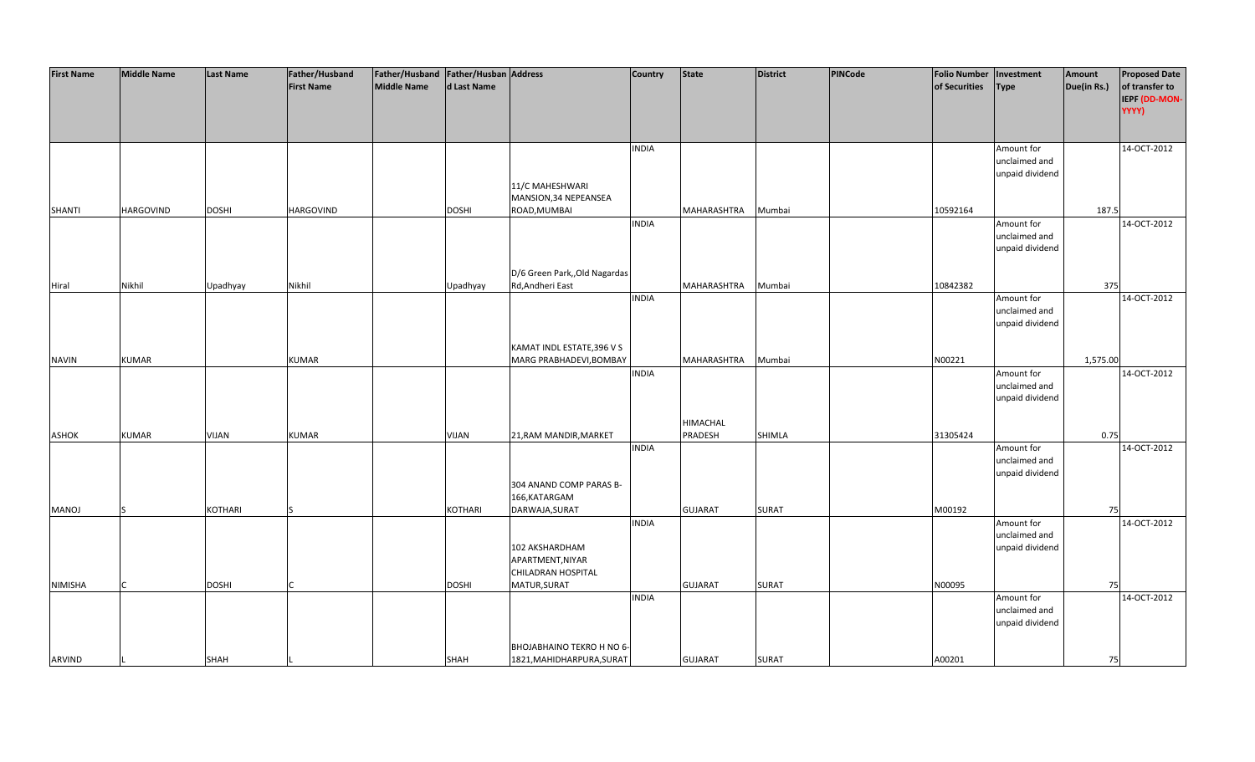| <b>First Name</b> | <b>Middle Name</b> | <b>Last Name</b> | Father/Husband    | Father/Husband Father/Husban Address |                |                               | <b>Country</b> | <b>State</b>    | <b>District</b> | PINCode | <b>Folio Number</b> | Investment      | Amount      | <b>Proposed Date</b> |
|-------------------|--------------------|------------------|-------------------|--------------------------------------|----------------|-------------------------------|----------------|-----------------|-----------------|---------|---------------------|-----------------|-------------|----------------------|
|                   |                    |                  | <b>First Name</b> | <b>Middle Name</b>                   | d Last Name    |                               |                |                 |                 |         | of Securities       | Type            | Due(in Rs.) | of transfer to       |
|                   |                    |                  |                   |                                      |                |                               |                |                 |                 |         |                     |                 |             | IEPF (DD-MON-        |
|                   |                    |                  |                   |                                      |                |                               |                |                 |                 |         |                     |                 |             | YYYY)                |
|                   |                    |                  |                   |                                      |                |                               |                |                 |                 |         |                     |                 |             |                      |
|                   |                    |                  |                   |                                      |                |                               |                |                 |                 |         |                     |                 |             |                      |
|                   |                    |                  |                   |                                      |                |                               | <b>INDIA</b>   |                 |                 |         |                     | Amount for      |             | 14-OCT-2012          |
|                   |                    |                  |                   |                                      |                |                               |                |                 |                 |         |                     | unclaimed and   |             |                      |
|                   |                    |                  |                   |                                      |                |                               |                |                 |                 |         |                     | unpaid dividend |             |                      |
|                   |                    |                  |                   |                                      |                | 11/C MAHESHWARI               |                |                 |                 |         |                     |                 |             |                      |
|                   |                    |                  |                   |                                      |                | MANSION, 34 NEPEANSEA         |                |                 |                 |         |                     |                 |             |                      |
| <b>SHANTI</b>     | <b>HARGOVIND</b>   | <b>DOSHI</b>     | <b>HARGOVIND</b>  |                                      | <b>DOSHI</b>   | ROAD, MUMBAI                  |                | MAHARASHTRA     | Mumbai          |         | 10592164            |                 | 187.5       |                      |
|                   |                    |                  |                   |                                      |                |                               | <b>INDIA</b>   |                 |                 |         |                     | Amount for      |             | 14-OCT-2012          |
|                   |                    |                  |                   |                                      |                |                               |                |                 |                 |         |                     | unclaimed and   |             |                      |
|                   |                    |                  |                   |                                      |                |                               |                |                 |                 |         |                     | unpaid dividend |             |                      |
|                   |                    |                  |                   |                                      |                |                               |                |                 |                 |         |                     |                 |             |                      |
|                   |                    |                  |                   |                                      |                | D/6 Green Park,, Old Nagardas |                |                 |                 |         |                     |                 |             |                      |
| Hiral             | Nikhil             | Upadhyay         | Nikhil            |                                      | Upadhyay       | Rd, Andheri East              |                | MAHARASHTRA     | Mumbai          |         | 10842382            |                 | 375         |                      |
|                   |                    |                  |                   |                                      |                |                               | <b>INDIA</b>   |                 |                 |         |                     | Amount for      |             | 14-OCT-2012          |
|                   |                    |                  |                   |                                      |                |                               |                |                 |                 |         |                     | unclaimed and   |             |                      |
|                   |                    |                  |                   |                                      |                |                               |                |                 |                 |         |                     | unpaid dividend |             |                      |
|                   |                    |                  |                   |                                      |                |                               |                |                 |                 |         |                     |                 |             |                      |
|                   |                    |                  |                   |                                      |                | KAMAT INDL ESTATE, 396 V S    |                |                 |                 |         |                     |                 |             |                      |
| <b>NAVIN</b>      | <b>KUMAR</b>       |                  | <b>KUMAR</b>      |                                      |                | MARG PRABHADEVI, BOMBAY       |                | MAHARASHTRA     | Mumbai          |         | N00221              |                 | 1,575.00    |                      |
|                   |                    |                  |                   |                                      |                |                               | <b>INDIA</b>   |                 |                 |         |                     | Amount for      |             | 14-OCT-2012          |
|                   |                    |                  |                   |                                      |                |                               |                |                 |                 |         |                     | unclaimed and   |             |                      |
|                   |                    |                  |                   |                                      |                |                               |                |                 |                 |         |                     | unpaid dividend |             |                      |
|                   |                    |                  |                   |                                      |                |                               |                |                 |                 |         |                     |                 |             |                      |
|                   |                    |                  |                   |                                      |                |                               |                | <b>HIMACHAL</b> |                 |         |                     |                 |             |                      |
| <b>ASHOK</b>      | <b>KUMAR</b>       | VIJAN            | <b>KUMAR</b>      |                                      | VIJAN          | 21, RAM MANDIR, MARKET        |                | PRADESH         | <b>SHIMLA</b>   |         | 31305424            |                 | 0.75        |                      |
|                   |                    |                  |                   |                                      |                |                               | <b>INDIA</b>   |                 |                 |         |                     | Amount for      |             | 14-OCT-2012          |
|                   |                    |                  |                   |                                      |                |                               |                |                 |                 |         |                     | unclaimed and   |             |                      |
|                   |                    |                  |                   |                                      |                |                               |                |                 |                 |         |                     | unpaid dividend |             |                      |
|                   |                    |                  |                   |                                      |                | 304 ANAND COMP PARAS B-       |                |                 |                 |         |                     |                 |             |                      |
|                   |                    |                  |                   |                                      |                | 166, KATARGAM                 |                |                 |                 |         |                     |                 |             |                      |
| <b>MANOJ</b>      | S                  | <b>KOTHARI</b>   |                   |                                      | <b>KOTHARI</b> | DARWAJA, SURAT                |                | <b>GUJARAT</b>  | <b>SURAT</b>    |         | M00192              |                 | 75          |                      |
|                   |                    |                  |                   |                                      |                |                               | <b>INDIA</b>   |                 |                 |         |                     | Amount for      |             | 14-OCT-2012          |
|                   |                    |                  |                   |                                      |                |                               |                |                 |                 |         |                     | unclaimed and   |             |                      |
|                   |                    |                  |                   |                                      |                | 102 AKSHARDHAM                |                |                 |                 |         |                     | unpaid dividend |             |                      |
|                   |                    |                  |                   |                                      |                | APARTMENT, NIYAR              |                |                 |                 |         |                     |                 |             |                      |
|                   |                    |                  |                   |                                      |                | CHILADRAN HOSPITAL            |                |                 |                 |         |                     |                 |             |                      |
| <b>NIMISHA</b>    |                    | <b>DOSHI</b>     |                   |                                      | <b>DOSHI</b>   | MATUR, SURAT                  |                | <b>GUJARAT</b>  | <b>SURAT</b>    |         | N00095              |                 | 75          |                      |
|                   |                    |                  |                   |                                      |                |                               | <b>INDIA</b>   |                 |                 |         |                     | Amount for      |             | 14-OCT-2012          |
|                   |                    |                  |                   |                                      |                |                               |                |                 |                 |         |                     | unclaimed and   |             |                      |
|                   |                    |                  |                   |                                      |                |                               |                |                 |                 |         |                     | unpaid dividend |             |                      |
|                   |                    |                  |                   |                                      |                |                               |                |                 |                 |         |                     |                 |             |                      |
|                   |                    |                  |                   |                                      |                | BHOJABHAINO TEKRO H NO 6-     |                |                 |                 |         |                     |                 |             |                      |
| ARVIND            |                    | <b>SHAH</b>      |                   |                                      | <b>SHAH</b>    | 1821, MAHIDHARPURA, SURAT     |                | <b>GUJARAT</b>  | <b>SURAT</b>    |         | A00201              |                 | 75          |                      |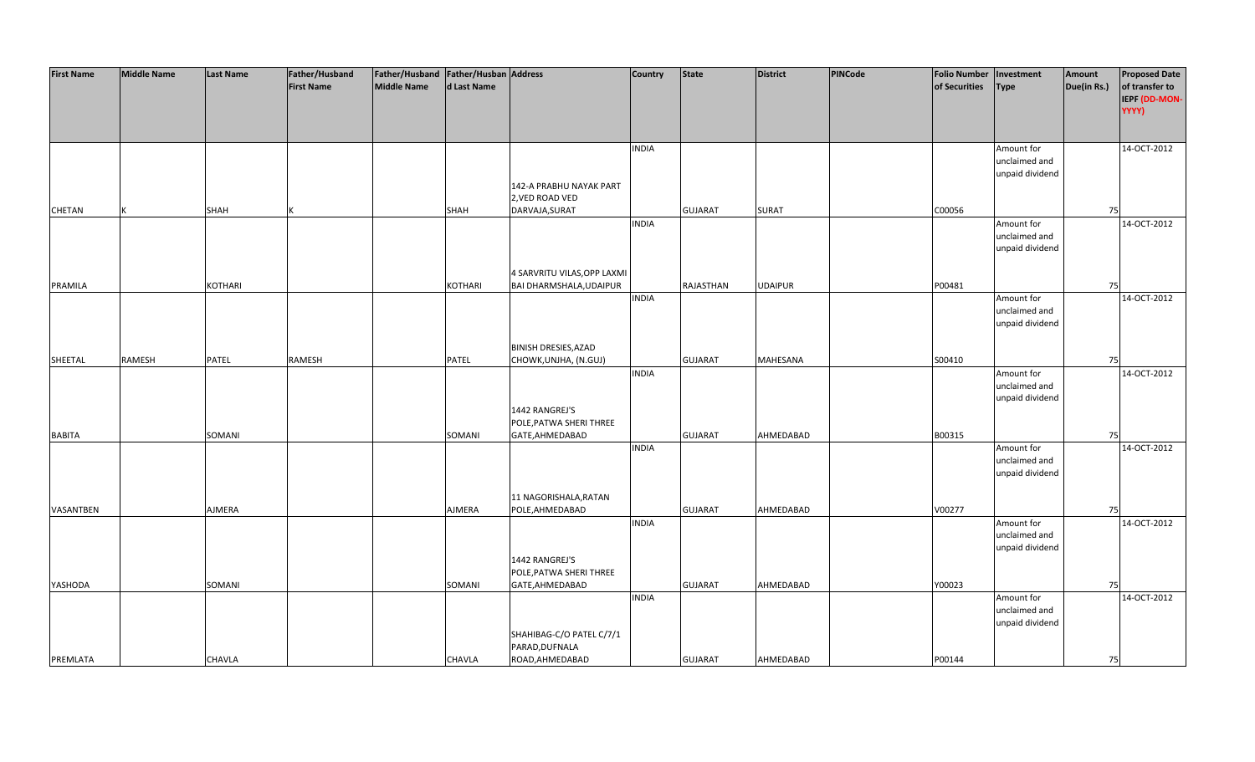| <b>First Name</b> | <b>Middle Name</b> | <b>Last Name</b> | Father/Husband    | Father/Husband Father/Husban Address |             |                             | <b>Country</b> | <b>State</b>   | <b>District</b> | PINCode | <b>Folio Number</b> | Investment      | Amount      | <b>Proposed Date</b> |
|-------------------|--------------------|------------------|-------------------|--------------------------------------|-------------|-----------------------------|----------------|----------------|-----------------|---------|---------------------|-----------------|-------------|----------------------|
|                   |                    |                  | <b>First Name</b> | <b>Middle Name</b>                   | d Last Name |                             |                |                |                 |         | of Securities       | <b>Type</b>     | Due(in Rs.) | of transfer to       |
|                   |                    |                  |                   |                                      |             |                             |                |                |                 |         |                     |                 |             | IEPF (DD-MON-        |
|                   |                    |                  |                   |                                      |             |                             |                |                |                 |         |                     |                 |             | YYYY)                |
|                   |                    |                  |                   |                                      |             |                             |                |                |                 |         |                     |                 |             |                      |
|                   |                    |                  |                   |                                      |             |                             |                |                |                 |         |                     |                 |             |                      |
|                   |                    |                  |                   |                                      |             |                             |                |                |                 |         |                     |                 |             |                      |
|                   |                    |                  |                   |                                      |             |                             | <b>INDIA</b>   |                |                 |         |                     | Amount for      |             | 14-OCT-2012          |
|                   |                    |                  |                   |                                      |             |                             |                |                |                 |         |                     | unclaimed and   |             |                      |
|                   |                    |                  |                   |                                      |             |                             |                |                |                 |         |                     | unpaid dividend |             |                      |
|                   |                    |                  |                   |                                      |             | 142-A PRABHU NAYAK PART     |                |                |                 |         |                     |                 |             |                      |
|                   |                    |                  |                   |                                      |             | 2, VED ROAD VED             |                |                |                 |         |                     |                 |             |                      |
| CHETAN            |                    | <b>SHAH</b>      |                   |                                      | <b>SHAH</b> | DARVAJA, SURAT              |                | <b>GUJARAT</b> | <b>SURAT</b>    |         | C00056              |                 | 75          |                      |
|                   |                    |                  |                   |                                      |             |                             | <b>INDIA</b>   |                |                 |         |                     | Amount for      |             | 14-OCT-2012          |
|                   |                    |                  |                   |                                      |             |                             |                |                |                 |         |                     | unclaimed and   |             |                      |
|                   |                    |                  |                   |                                      |             |                             |                |                |                 |         |                     | unpaid dividend |             |                      |
|                   |                    |                  |                   |                                      |             |                             |                |                |                 |         |                     |                 |             |                      |
|                   |                    |                  |                   |                                      |             | 4 SARVRITU VILAS, OPP LAXMI |                |                |                 |         |                     |                 |             |                      |
| <b>PRAMILA</b>    |                    | <b>KOTHARI</b>   |                   |                                      | KOTHARI     | BAI DHARMSHALA, UDAIPUR     |                | RAJASTHAN      | <b>UDAIPUR</b>  |         | P00481              |                 | 75          |                      |
|                   |                    |                  |                   |                                      |             |                             | <b>INDIA</b>   |                |                 |         |                     | Amount for      |             | 14-OCT-2012          |
|                   |                    |                  |                   |                                      |             |                             |                |                |                 |         |                     | unclaimed and   |             |                      |
|                   |                    |                  |                   |                                      |             |                             |                |                |                 |         |                     | unpaid dividend |             |                      |
|                   |                    |                  |                   |                                      |             |                             |                |                |                 |         |                     |                 |             |                      |
|                   |                    |                  |                   |                                      |             | <b>BINISH DRESIES, AZAD</b> |                |                |                 |         |                     |                 |             |                      |
| SHEETAL           | RAMESH             | PATEL            | RAMESH            |                                      | PATEL       | CHOWK, UNJHA, (N.GUJ)       |                | <b>GUJARAT</b> | <b>MAHESANA</b> |         | S00410              |                 | 75          |                      |
|                   |                    |                  |                   |                                      |             |                             | <b>INDIA</b>   |                |                 |         |                     | Amount for      |             | 14-OCT-2012          |
|                   |                    |                  |                   |                                      |             |                             |                |                |                 |         |                     | unclaimed and   |             |                      |
|                   |                    |                  |                   |                                      |             |                             |                |                |                 |         |                     | unpaid dividend |             |                      |
|                   |                    |                  |                   |                                      |             | 1442 RANGREJ'S              |                |                |                 |         |                     |                 |             |                      |
|                   |                    |                  |                   |                                      |             | POLE, PATWA SHERI THREE     |                |                |                 |         |                     |                 |             |                      |
| <b>BABITA</b>     |                    | SOMANI           |                   |                                      | SOMANI      | GATE, AHMEDABAD             |                | <b>GUJARAT</b> | AHMEDABAD       |         | B00315              |                 | 75          |                      |
|                   |                    |                  |                   |                                      |             |                             | <b>INDIA</b>   |                |                 |         |                     | Amount for      |             | 14-OCT-2012          |
|                   |                    |                  |                   |                                      |             |                             |                |                |                 |         |                     | unclaimed and   |             |                      |
|                   |                    |                  |                   |                                      |             |                             |                |                |                 |         |                     | unpaid dividend |             |                      |
|                   |                    |                  |                   |                                      |             |                             |                |                |                 |         |                     |                 |             |                      |
|                   |                    |                  |                   |                                      |             | 11 NAGORISHALA, RATAN       |                |                |                 |         |                     |                 |             |                      |
| VASANTBEN         |                    | AJMERA           |                   |                                      | AJMERA      | POLE, AHMEDABAD             |                | <b>GUJARAT</b> | AHMEDABAD       |         | V00277              |                 | 75          |                      |
|                   |                    |                  |                   |                                      |             |                             | <b>INDIA</b>   |                |                 |         |                     | Amount for      |             | 14-OCT-2012          |
|                   |                    |                  |                   |                                      |             |                             |                |                |                 |         |                     | unclaimed and   |             |                      |
|                   |                    |                  |                   |                                      |             |                             |                |                |                 |         |                     | unpaid dividend |             |                      |
|                   |                    |                  |                   |                                      |             | 1442 RANGREJ'S              |                |                |                 |         |                     |                 |             |                      |
|                   |                    |                  |                   |                                      |             | POLE, PATWA SHERI THREE     |                |                |                 |         |                     |                 |             |                      |
| YASHODA           |                    | SOMANI           |                   |                                      | SOMANI      | GATE, AHMEDABAD             |                | <b>GUJARAT</b> | AHMEDABAD       |         | Y00023              |                 | 75          |                      |
|                   |                    |                  |                   |                                      |             |                             | <b>INDIA</b>   |                |                 |         |                     | Amount for      |             | 14-OCT-2012          |
|                   |                    |                  |                   |                                      |             |                             |                |                |                 |         |                     | unclaimed and   |             |                      |
|                   |                    |                  |                   |                                      |             |                             |                |                |                 |         |                     | unpaid dividend |             |                      |
|                   |                    |                  |                   |                                      |             | SHAHIBAG-C/O PATEL C/7/1    |                |                |                 |         |                     |                 |             |                      |
|                   |                    |                  |                   |                                      |             | PARAD, DUFNALA              |                |                |                 |         |                     |                 |             |                      |
| PREMLATA          |                    | <b>CHAVLA</b>    |                   |                                      | CHAVLA      | ROAD, AHMEDABAD             |                | <b>GUJARAT</b> | AHMEDABAD       |         | P00144              |                 | 75          |                      |
|                   |                    |                  |                   |                                      |             |                             |                |                |                 |         |                     |                 |             |                      |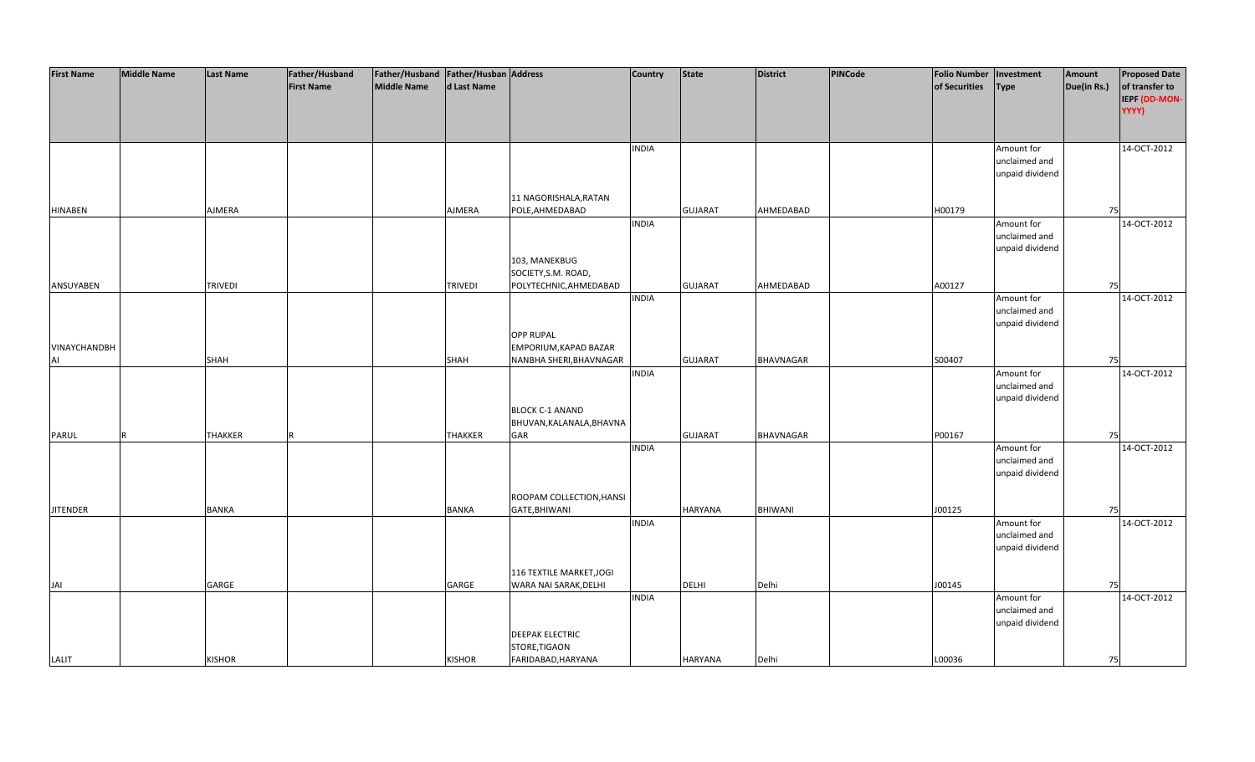| <b>First Name</b> | <b>Middle Name</b> | <b>Last Name</b> | Father/Husband    | Father/Husband Father/Husban Address |                |                          | <b>Country</b> | <b>State</b>   | <b>District</b>  | PINCode | <b>Folio Number</b> | Investment      | Amount      | <b>Proposed Date</b> |
|-------------------|--------------------|------------------|-------------------|--------------------------------------|----------------|--------------------------|----------------|----------------|------------------|---------|---------------------|-----------------|-------------|----------------------|
|                   |                    |                  | <b>First Name</b> | <b>Middle Name</b>                   | d Last Name    |                          |                |                |                  |         | of Securities       | <b>Type</b>     | Due(in Rs.) | of transfer to       |
|                   |                    |                  |                   |                                      |                |                          |                |                |                  |         |                     |                 |             | IEPF (DD-MON-        |
|                   |                    |                  |                   |                                      |                |                          |                |                |                  |         |                     |                 |             | YYYY)                |
|                   |                    |                  |                   |                                      |                |                          |                |                |                  |         |                     |                 |             |                      |
|                   |                    |                  |                   |                                      |                |                          |                |                |                  |         |                     |                 |             |                      |
|                   |                    |                  |                   |                                      |                |                          | <b>INDIA</b>   |                |                  |         |                     | Amount for      |             | 14-OCT-2012          |
|                   |                    |                  |                   |                                      |                |                          |                |                |                  |         |                     | unclaimed and   |             |                      |
|                   |                    |                  |                   |                                      |                |                          |                |                |                  |         |                     | unpaid dividend |             |                      |
|                   |                    |                  |                   |                                      |                |                          |                |                |                  |         |                     |                 |             |                      |
|                   |                    |                  |                   |                                      |                | 11 NAGORISHALA, RATAN    |                |                |                  |         |                     |                 |             |                      |
| <b>HINABEN</b>    |                    | AJMERA           |                   |                                      | AJMERA         | POLE, AHMEDABAD          |                | <b>GUJARAT</b> | AHMEDABAD        |         | H00179              |                 | 75          |                      |
|                   |                    |                  |                   |                                      |                |                          | <b>INDIA</b>   |                |                  |         |                     | Amount for      |             | 14-OCT-2012          |
|                   |                    |                  |                   |                                      |                |                          |                |                |                  |         |                     | unclaimed and   |             |                      |
|                   |                    |                  |                   |                                      |                |                          |                |                |                  |         |                     | unpaid dividend |             |                      |
|                   |                    |                  |                   |                                      |                | 103, MANEKBUG            |                |                |                  |         |                     |                 |             |                      |
|                   |                    |                  |                   |                                      |                |                          |                |                |                  |         |                     |                 |             |                      |
|                   |                    |                  |                   |                                      |                | SOCIETY, S.M. ROAD,      |                |                |                  |         |                     |                 |             |                      |
| ANSUYABEN         |                    | <b>TRIVEDI</b>   |                   |                                      | <b>TRIVEDI</b> | POLYTECHNIC, AHMEDABAD   |                | <b>GUJARAT</b> | AHMEDABAD        |         | A00127              |                 | 75          |                      |
|                   |                    |                  |                   |                                      |                |                          | <b>INDIA</b>   |                |                  |         |                     | Amount for      |             | 14-OCT-2012          |
|                   |                    |                  |                   |                                      |                |                          |                |                |                  |         |                     | unclaimed and   |             |                      |
|                   |                    |                  |                   |                                      |                |                          |                |                |                  |         |                     | unpaid dividend |             |                      |
|                   |                    |                  |                   |                                      |                | <b>OPP RUPAL</b>         |                |                |                  |         |                     |                 |             |                      |
| VINAYCHANDBH      |                    |                  |                   |                                      |                | EMPORIUM, KAPAD BAZAR    |                |                |                  |         |                     |                 |             |                      |
| AI                |                    | SHAH             |                   |                                      | <b>SHAH</b>    | NANBHA SHERI, BHAVNAGAR  |                | <b>GUJARAT</b> | <b>BHAVNAGAR</b> |         | S00407              |                 | 75          |                      |
|                   |                    |                  |                   |                                      |                |                          | <b>INDIA</b>   |                |                  |         |                     | Amount for      |             | 14-OCT-2012          |
|                   |                    |                  |                   |                                      |                |                          |                |                |                  |         |                     | unclaimed and   |             |                      |
|                   |                    |                  |                   |                                      |                |                          |                |                |                  |         |                     | unpaid dividend |             |                      |
|                   |                    |                  |                   |                                      |                | <b>BLOCK C-1 ANAND</b>   |                |                |                  |         |                     |                 |             |                      |
|                   |                    |                  |                   |                                      |                | BHUVAN, KALANALA, BHAVNA |                |                |                  |         |                     |                 |             |                      |
| <b>PARUL</b>      |                    | <b>THAKKER</b>   |                   |                                      | <b>THAKKER</b> | <b>GAR</b>               |                | <b>GUJARAT</b> | <b>BHAVNAGAR</b> |         | P00167              |                 | 75          |                      |
|                   |                    |                  |                   |                                      |                |                          | <b>INDIA</b>   |                |                  |         |                     | Amount for      |             | 14-OCT-2012          |
|                   |                    |                  |                   |                                      |                |                          |                |                |                  |         |                     | unclaimed and   |             |                      |
|                   |                    |                  |                   |                                      |                |                          |                |                |                  |         |                     | unpaid dividend |             |                      |
|                   |                    |                  |                   |                                      |                |                          |                |                |                  |         |                     |                 |             |                      |
|                   |                    |                  |                   |                                      |                | ROOPAM COLLECTION, HANSI |                |                |                  |         |                     |                 |             |                      |
| <b>JITENDER</b>   |                    | <b>BANKA</b>     |                   |                                      | <b>BANKA</b>   | GATE, BHIWANI            |                | <b>HARYANA</b> | <b>BHIWANI</b>   |         | J00125              |                 | 75          |                      |
|                   |                    |                  |                   |                                      |                |                          | <b>INDIA</b>   |                |                  |         |                     | Amount for      |             | 14-OCT-2012          |
|                   |                    |                  |                   |                                      |                |                          |                |                |                  |         |                     | unclaimed and   |             |                      |
|                   |                    |                  |                   |                                      |                |                          |                |                |                  |         |                     | unpaid dividend |             |                      |
|                   |                    |                  |                   |                                      |                |                          |                |                |                  |         |                     |                 |             |                      |
|                   |                    |                  |                   |                                      |                | 116 TEXTILE MARKET, JOGI |                |                |                  |         |                     |                 |             |                      |
| JAI               |                    | GARGE            |                   |                                      | GARGE          | WARA NAI SARAK, DELHI    |                | DELHI          | Delhi            |         | J00145              |                 | 75          |                      |
|                   |                    |                  |                   |                                      |                |                          | <b>INDIA</b>   |                |                  |         |                     | Amount for      |             | 14-OCT-2012          |
|                   |                    |                  |                   |                                      |                |                          |                |                |                  |         |                     | unclaimed and   |             |                      |
|                   |                    |                  |                   |                                      |                |                          |                |                |                  |         |                     | unpaid dividend |             |                      |
|                   |                    |                  |                   |                                      |                | <b>DEEPAK ELECTRIC</b>   |                |                |                  |         |                     |                 |             |                      |
|                   |                    |                  |                   |                                      |                | STORE, TIGAON            |                |                |                  |         |                     |                 |             |                      |
| LALIT             |                    | <b>KISHOR</b>    |                   |                                      | <b>KISHOR</b>  | FARIDABAD, HARYANA       |                | <b>HARYANA</b> | Delhi            |         | L00036              |                 | 75          |                      |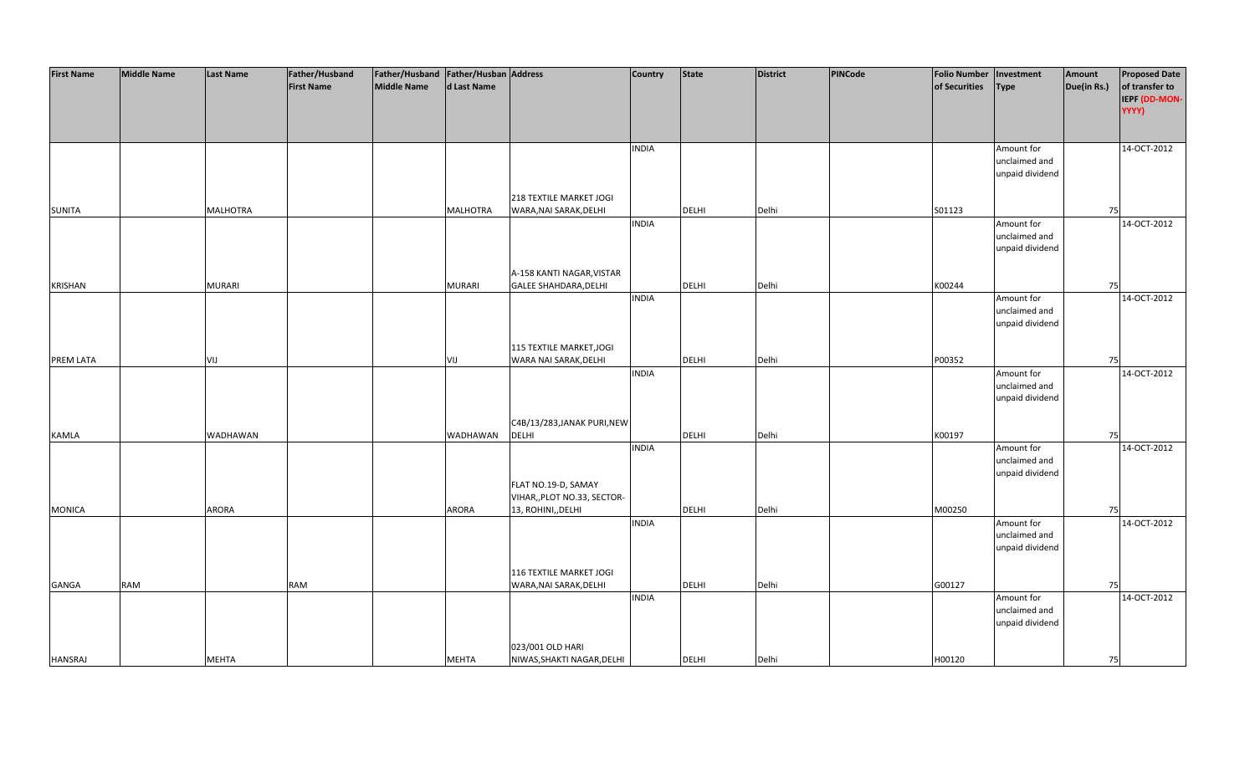| <b>First Name</b> | <b>Middle Name</b> | <b>Last Name</b> | Father/Husband    | Father/Husband Father/Husban Address |                 |                              | Country      | <b>State</b> | <b>District</b> | PINCode | <b>Folio Number</b> | Investment      | Amount      | <b>Proposed Date</b> |
|-------------------|--------------------|------------------|-------------------|--------------------------------------|-----------------|------------------------------|--------------|--------------|-----------------|---------|---------------------|-----------------|-------------|----------------------|
|                   |                    |                  | <b>First Name</b> | <b>Middle Name</b>                   | d Last Name     |                              |              |              |                 |         | of Securities       | <b>Type</b>     | Due(in Rs.) | of transfer to       |
|                   |                    |                  |                   |                                      |                 |                              |              |              |                 |         |                     |                 |             | IEPF (DD-MON-        |
|                   |                    |                  |                   |                                      |                 |                              |              |              |                 |         |                     |                 |             | YYYY)                |
|                   |                    |                  |                   |                                      |                 |                              |              |              |                 |         |                     |                 |             |                      |
|                   |                    |                  |                   |                                      |                 |                              |              |              |                 |         |                     |                 |             |                      |
|                   |                    |                  |                   |                                      |                 |                              |              |              |                 |         |                     |                 |             |                      |
|                   |                    |                  |                   |                                      |                 |                              | <b>INDIA</b> |              |                 |         |                     | Amount for      |             | 14-OCT-2012          |
|                   |                    |                  |                   |                                      |                 |                              |              |              |                 |         |                     | unclaimed and   |             |                      |
|                   |                    |                  |                   |                                      |                 |                              |              |              |                 |         |                     | unpaid dividend |             |                      |
|                   |                    |                  |                   |                                      |                 |                              |              |              |                 |         |                     |                 |             |                      |
|                   |                    |                  |                   |                                      |                 | 218 TEXTILE MARKET JOGI      |              |              |                 |         |                     |                 |             |                      |
| <b>SUNITA</b>     |                    | <b>MALHOTRA</b>  |                   |                                      | <b>MALHOTRA</b> | WARA, NAI SARAK, DELHI       |              | <b>DELHI</b> | Delhi           |         | S01123              |                 | 75          |                      |
|                   |                    |                  |                   |                                      |                 |                              | <b>INDIA</b> |              |                 |         |                     | Amount for      |             | 14-OCT-2012          |
|                   |                    |                  |                   |                                      |                 |                              |              |              |                 |         |                     | unclaimed and   |             |                      |
|                   |                    |                  |                   |                                      |                 |                              |              |              |                 |         |                     | unpaid dividend |             |                      |
|                   |                    |                  |                   |                                      |                 |                              |              |              |                 |         |                     |                 |             |                      |
|                   |                    |                  |                   |                                      |                 | A-158 KANTI NAGAR, VISTAR    |              |              |                 |         |                     |                 |             |                      |
| <b>KRISHAN</b>    |                    | <b>MURARI</b>    |                   |                                      | <b>MURARI</b>   | <b>GALEE SHAHDARA, DELHI</b> |              | DELHI        | Delhi           |         | K00244              |                 | 75          |                      |
|                   |                    |                  |                   |                                      |                 |                              | <b>INDIA</b> |              |                 |         |                     | Amount for      |             | 14-OCT-2012          |
|                   |                    |                  |                   |                                      |                 |                              |              |              |                 |         |                     | unclaimed and   |             |                      |
|                   |                    |                  |                   |                                      |                 |                              |              |              |                 |         |                     | unpaid dividend |             |                      |
|                   |                    |                  |                   |                                      |                 |                              |              |              |                 |         |                     |                 |             |                      |
|                   |                    |                  |                   |                                      |                 | 115 TEXTILE MARKET, JOGI     |              |              |                 |         |                     |                 |             |                      |
| PREM LATA         |                    | VIJ              |                   |                                      | VIJ             | WARA NAI SARAK, DELHI        |              | DELHI        | Delhi           |         | P00352              |                 | 75          |                      |
|                   |                    |                  |                   |                                      |                 |                              | <b>INDIA</b> |              |                 |         |                     | Amount for      |             | 14-OCT-2012          |
|                   |                    |                  |                   |                                      |                 |                              |              |              |                 |         |                     | unclaimed and   |             |                      |
|                   |                    |                  |                   |                                      |                 |                              |              |              |                 |         |                     | unpaid dividend |             |                      |
|                   |                    |                  |                   |                                      |                 |                              |              |              |                 |         |                     |                 |             |                      |
|                   |                    |                  |                   |                                      |                 | C4B/13/283, JANAK PURI, NEW  |              |              |                 |         |                     |                 |             |                      |
| <b>KAMLA</b>      |                    | WADHAWAN         |                   |                                      | WADHAWAN        | <b>DELHI</b>                 |              | <b>DELHI</b> | Delhi           |         | K00197              |                 | 75          |                      |
|                   |                    |                  |                   |                                      |                 |                              | <b>INDIA</b> |              |                 |         |                     | Amount for      |             | 14-OCT-2012          |
|                   |                    |                  |                   |                                      |                 |                              |              |              |                 |         |                     | unclaimed and   |             |                      |
|                   |                    |                  |                   |                                      |                 |                              |              |              |                 |         |                     | unpaid dividend |             |                      |
|                   |                    |                  |                   |                                      |                 | FLAT NO.19-D, SAMAY          |              |              |                 |         |                     |                 |             |                      |
|                   |                    |                  |                   |                                      |                 | VIHAR,, PLOT NO.33, SECTOR-  |              |              |                 |         |                     |                 |             |                      |
| <b>MONICA</b>     |                    | ARORA            |                   |                                      | <b>ARORA</b>    | 13, ROHINI,, DELHI           |              | DELHI        | Delhi           |         | M00250              |                 | 75          |                      |
|                   |                    |                  |                   |                                      |                 |                              | <b>INDIA</b> |              |                 |         |                     | Amount for      |             | 14-OCT-2012          |
|                   |                    |                  |                   |                                      |                 |                              |              |              |                 |         |                     | unclaimed and   |             |                      |
|                   |                    |                  |                   |                                      |                 |                              |              |              |                 |         |                     | unpaid dividend |             |                      |
|                   |                    |                  |                   |                                      |                 |                              |              |              |                 |         |                     |                 |             |                      |
|                   |                    |                  |                   |                                      |                 | 116 TEXTILE MARKET JOGI      |              |              |                 |         |                     |                 |             |                      |
|                   | <b>RAM</b>         |                  |                   |                                      |                 |                              |              |              | Delhi           |         |                     |                 | 75          |                      |
| <b>GANGA</b>      |                    |                  | RAM               |                                      |                 | WARA, NAI SARAK, DELHI       |              | <b>DELHI</b> |                 |         | G00127              |                 |             |                      |
|                   |                    |                  |                   |                                      |                 |                              | <b>INDIA</b> |              |                 |         |                     | Amount for      |             | 14-OCT-2012          |
|                   |                    |                  |                   |                                      |                 |                              |              |              |                 |         |                     | unclaimed and   |             |                      |
|                   |                    |                  |                   |                                      |                 |                              |              |              |                 |         |                     | unpaid dividend |             |                      |
|                   |                    |                  |                   |                                      |                 |                              |              |              |                 |         |                     |                 |             |                      |
|                   |                    |                  |                   |                                      |                 | 023/001 OLD HARI             |              |              |                 |         |                     |                 |             |                      |
| <b>HANSRAJ</b>    |                    | <b>MEHTA</b>     |                   |                                      | <b>MEHTA</b>    | NIWAS, SHAKTI NAGAR, DELHI   |              | <b>DELHI</b> | Delhi           |         | H00120              |                 | 75          |                      |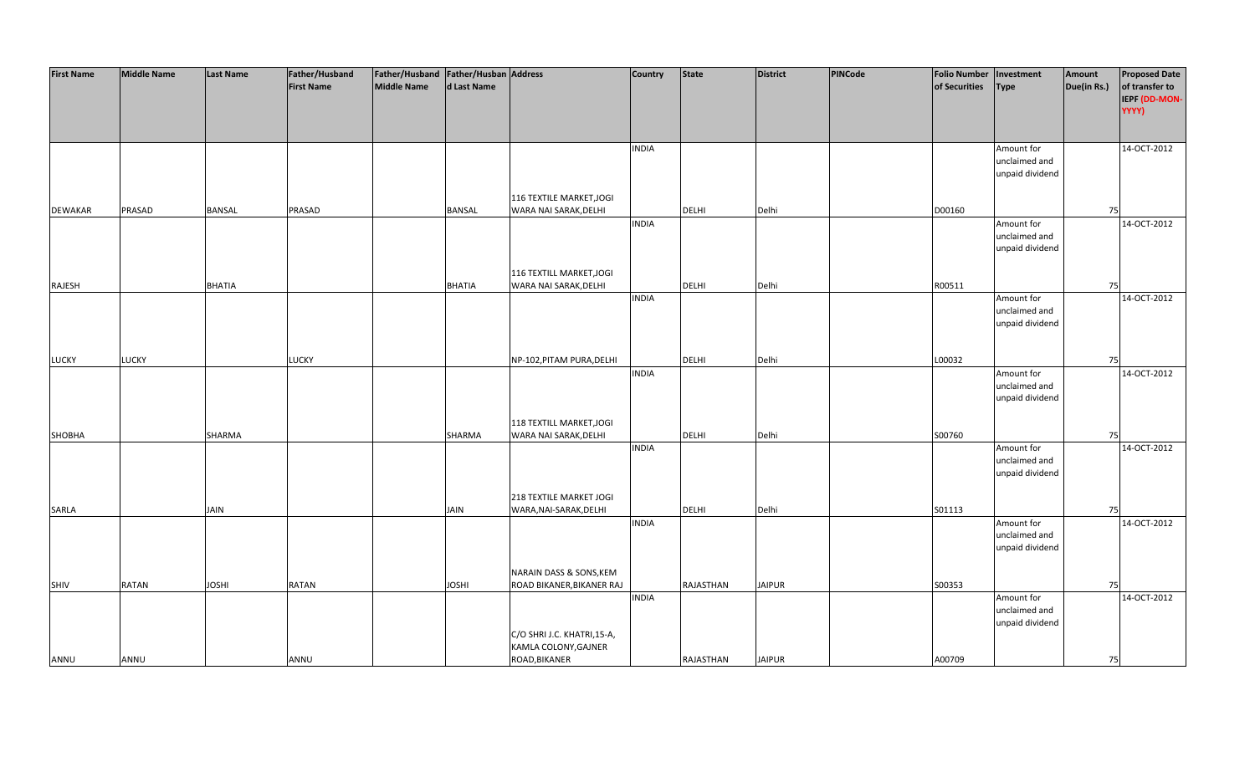| <b>First Name</b> | <b>Middle Name</b> | <b>Last Name</b> | Father/Husband    | Father/Husband Father/Husban Address |               |                             | Country      | <b>State</b> | <b>District</b> | PINCode | <b>Folio Number</b> | Investment      | Amount      | <b>Proposed Date</b> |
|-------------------|--------------------|------------------|-------------------|--------------------------------------|---------------|-----------------------------|--------------|--------------|-----------------|---------|---------------------|-----------------|-------------|----------------------|
|                   |                    |                  | <b>First Name</b> | <b>Middle Name</b>                   | d Last Name   |                             |              |              |                 |         | of Securities       | <b>Type</b>     | Due(in Rs.) | of transfer to       |
|                   |                    |                  |                   |                                      |               |                             |              |              |                 |         |                     |                 |             | IEPF (DD-MON-        |
|                   |                    |                  |                   |                                      |               |                             |              |              |                 |         |                     |                 |             | YYYY)                |
|                   |                    |                  |                   |                                      |               |                             |              |              |                 |         |                     |                 |             |                      |
|                   |                    |                  |                   |                                      |               |                             |              |              |                 |         |                     |                 |             |                      |
|                   |                    |                  |                   |                                      |               |                             | <b>INDIA</b> |              |                 |         |                     | Amount for      |             | 14-OCT-2012          |
|                   |                    |                  |                   |                                      |               |                             |              |              |                 |         |                     | unclaimed and   |             |                      |
|                   |                    |                  |                   |                                      |               |                             |              |              |                 |         |                     | unpaid dividend |             |                      |
|                   |                    |                  |                   |                                      |               |                             |              |              |                 |         |                     |                 |             |                      |
|                   |                    |                  |                   |                                      |               | 116 TEXTILE MARKET, JOGI    |              |              |                 |         |                     |                 |             |                      |
| <b>DEWAKAR</b>    | PRASAD             | <b>BANSAL</b>    | PRASAD            |                                      | <b>BANSAL</b> | WARA NAI SARAK, DELHI       |              | <b>DELHI</b> | Delhi           |         | D00160              |                 | 75          |                      |
|                   |                    |                  |                   |                                      |               |                             | <b>INDIA</b> |              |                 |         |                     | Amount for      |             | 14-OCT-2012          |
|                   |                    |                  |                   |                                      |               |                             |              |              |                 |         |                     | unclaimed and   |             |                      |
|                   |                    |                  |                   |                                      |               |                             |              |              |                 |         |                     |                 |             |                      |
|                   |                    |                  |                   |                                      |               |                             |              |              |                 |         |                     | unpaid dividend |             |                      |
|                   |                    |                  |                   |                                      |               |                             |              |              |                 |         |                     |                 |             |                      |
|                   |                    |                  |                   |                                      |               | 116 TEXTILL MARKET, JOGI    |              |              |                 |         |                     |                 |             |                      |
| RAJESH            |                    | <b>BHATIA</b>    |                   |                                      | <b>BHATIA</b> | WARA NAI SARAK, DELHI       |              | <b>DELHI</b> | Delhi           |         | R00511              |                 | 75          |                      |
|                   |                    |                  |                   |                                      |               |                             | <b>INDIA</b> |              |                 |         |                     | Amount for      |             | 14-OCT-2012          |
|                   |                    |                  |                   |                                      |               |                             |              |              |                 |         |                     | unclaimed and   |             |                      |
|                   |                    |                  |                   |                                      |               |                             |              |              |                 |         |                     | unpaid dividend |             |                      |
|                   |                    |                  |                   |                                      |               |                             |              |              |                 |         |                     |                 |             |                      |
|                   |                    |                  |                   |                                      |               |                             |              |              |                 |         |                     |                 |             |                      |
| <b>LUCKY</b>      | <b>LUCKY</b>       |                  | LUCKY             |                                      |               | NP-102, PITAM PURA, DELHI   |              | DELHI        | Delhi           |         | L00032              |                 | 75          |                      |
|                   |                    |                  |                   |                                      |               |                             | <b>INDIA</b> |              |                 |         |                     | Amount for      |             | 14-OCT-2012          |
|                   |                    |                  |                   |                                      |               |                             |              |              |                 |         |                     | unclaimed and   |             |                      |
|                   |                    |                  |                   |                                      |               |                             |              |              |                 |         |                     | unpaid dividend |             |                      |
|                   |                    |                  |                   |                                      |               |                             |              |              |                 |         |                     |                 |             |                      |
|                   |                    |                  |                   |                                      |               | 118 TEXTILL MARKET, JOGI    |              |              |                 |         |                     |                 |             |                      |
| SHOBHA            |                    | SHARMA           |                   |                                      | SHARMA        | WARA NAI SARAK, DELHI       |              | DELHI        | Delhi           |         | S00760              |                 | 75          |                      |
|                   |                    |                  |                   |                                      |               |                             | <b>INDIA</b> |              |                 |         |                     | Amount for      |             | 14-OCT-2012          |
|                   |                    |                  |                   |                                      |               |                             |              |              |                 |         |                     | unclaimed and   |             |                      |
|                   |                    |                  |                   |                                      |               |                             |              |              |                 |         |                     | unpaid dividend |             |                      |
|                   |                    |                  |                   |                                      |               |                             |              |              |                 |         |                     |                 |             |                      |
|                   |                    |                  |                   |                                      |               | 218 TEXTILE MARKET JOGI     |              |              |                 |         |                     |                 |             |                      |
| SARLA             |                    | <b>JAIN</b>      |                   |                                      | <b>JAIN</b>   | WARA, NAI-SARAK, DELHI      |              | DELHI        | Delhi           |         | S01113              |                 | 75          |                      |
|                   |                    |                  |                   |                                      |               |                             | <b>INDIA</b> |              |                 |         |                     | Amount for      |             | 14-OCT-2012          |
|                   |                    |                  |                   |                                      |               |                             |              |              |                 |         |                     | unclaimed and   |             |                      |
|                   |                    |                  |                   |                                      |               |                             |              |              |                 |         |                     | unpaid dividend |             |                      |
|                   |                    |                  |                   |                                      |               |                             |              |              |                 |         |                     |                 |             |                      |
|                   |                    |                  |                   |                                      |               | NARAIN DASS & SONS, KEM     |              |              |                 |         |                     |                 |             |                      |
| <b>SHIV</b>       | <b>RATAN</b>       | <b>JOSHI</b>     | <b>RATAN</b>      |                                      | <b>JOSHI</b>  | ROAD BIKANER, BIKANER RAJ   |              | RAJASTHAN    | <b>JAIPUR</b>   |         | S00353              |                 | 75          |                      |
|                   |                    |                  |                   |                                      |               |                             | <b>INDIA</b> |              |                 |         |                     | Amount for      |             | 14-OCT-2012          |
|                   |                    |                  |                   |                                      |               |                             |              |              |                 |         |                     | unclaimed and   |             |                      |
|                   |                    |                  |                   |                                      |               |                             |              |              |                 |         |                     | unpaid dividend |             |                      |
|                   |                    |                  |                   |                                      |               | C/O SHRI J.C. KHATRI, 15-A, |              |              |                 |         |                     |                 |             |                      |
|                   |                    |                  |                   |                                      |               | KAMLA COLONY, GAJNER        |              |              |                 |         |                     |                 |             |                      |
| ANNU              | ANNU               |                  | ANNU              |                                      |               | ROAD, BIKANER               |              | RAJASTHAN    | <b>JAIPUR</b>   |         | A00709              |                 | 75          |                      |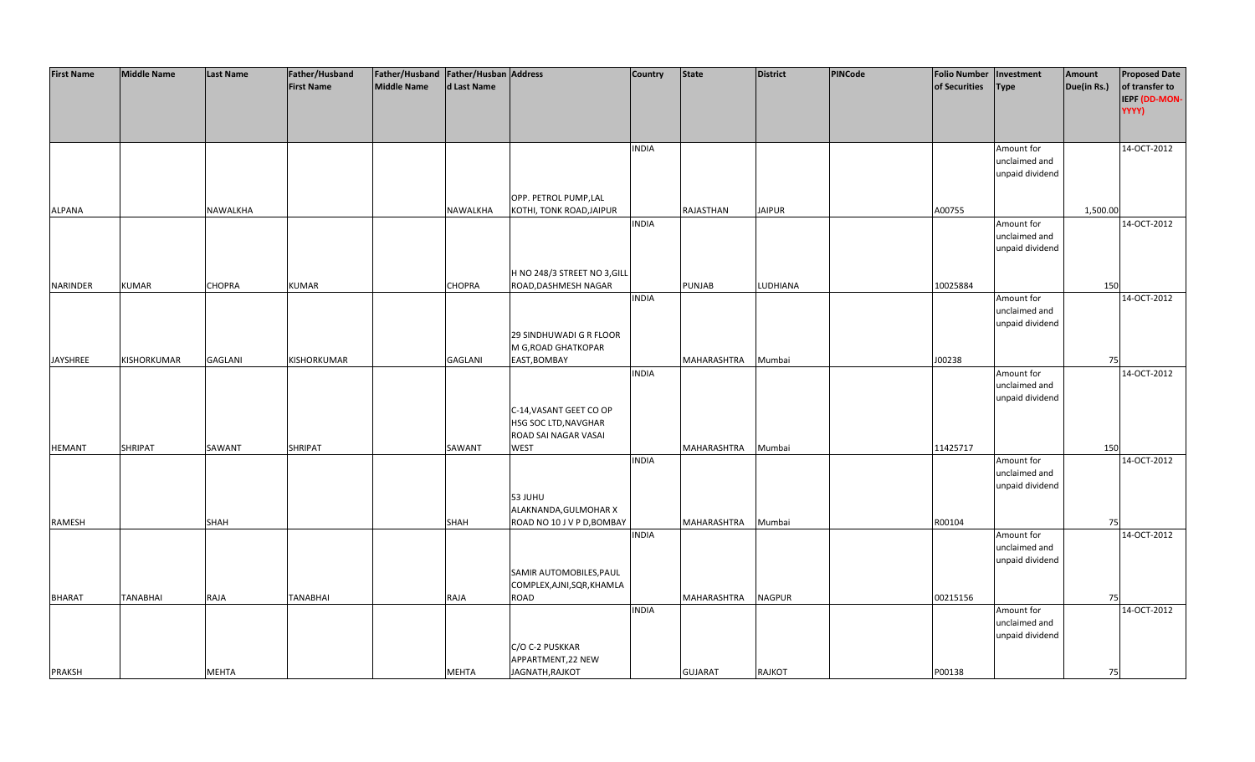| <b>First Name</b>              | <b>Middle Name</b> | <b>Last Name</b>            | Father/Husband    | Father/Husband Father/Husban Address |                             |                                                                                                                           | <b>Country</b> | <b>State</b>                  | <b>District</b>                | <b>PINCode</b> | <b>Folio Number</b> | Investment                                                                         | Amount      | <b>Proposed Date</b> |
|--------------------------------|--------------------|-----------------------------|-------------------|--------------------------------------|-----------------------------|---------------------------------------------------------------------------------------------------------------------------|----------------|-------------------------------|--------------------------------|----------------|---------------------|------------------------------------------------------------------------------------|-------------|----------------------|
|                                |                    |                             | <b>First Name</b> | <b>Middle Name</b>                   | d Last Name                 |                                                                                                                           |                |                               |                                |                | of Securities       | <b>Type</b>                                                                        | Due(in Rs.) | of transfer to       |
|                                |                    |                             |                   |                                      |                             |                                                                                                                           |                |                               |                                |                |                     |                                                                                    |             | IEPF (DD-MON-        |
|                                |                    |                             |                   |                                      |                             |                                                                                                                           |                |                               |                                |                |                     |                                                                                    |             | YYYY)                |
|                                |                    |                             |                   |                                      |                             |                                                                                                                           |                |                               |                                |                |                     |                                                                                    |             |                      |
|                                |                    |                             |                   |                                      |                             |                                                                                                                           |                |                               |                                |                |                     |                                                                                    |             |                      |
|                                |                    |                             |                   |                                      |                             |                                                                                                                           | <b>INDIA</b>   |                               |                                |                |                     | Amount for                                                                         |             | 14-OCT-2012          |
|                                |                    |                             |                   |                                      |                             |                                                                                                                           |                |                               |                                |                |                     | unclaimed and                                                                      |             |                      |
|                                |                    |                             |                   |                                      |                             |                                                                                                                           |                |                               |                                |                |                     | unpaid dividend                                                                    |             |                      |
|                                |                    |                             |                   |                                      |                             |                                                                                                                           |                |                               |                                |                |                     |                                                                                    |             |                      |
|                                |                    |                             |                   |                                      |                             | OPP. PETROL PUMP,LAL                                                                                                      |                |                               |                                |                |                     |                                                                                    |             |                      |
| <b>ALPANA</b>                  |                    | NAWALKHA                    |                   |                                      | NAWALKHA                    | KOTHI, TONK ROAD, JAIPUR                                                                                                  |                | RAJASTHAN                     | <b>JAIPUR</b>                  |                | A00755              |                                                                                    | 1,500.00    |                      |
|                                |                    |                             |                   |                                      |                             |                                                                                                                           | <b>INDIA</b>   |                               |                                |                |                     | Amount for                                                                         |             | 14-OCT-2012          |
|                                |                    |                             |                   |                                      |                             |                                                                                                                           |                |                               |                                |                |                     | unclaimed and                                                                      |             |                      |
|                                |                    |                             |                   |                                      |                             |                                                                                                                           |                |                               |                                |                |                     | unpaid dividend                                                                    |             |                      |
|                                |                    |                             |                   |                                      |                             |                                                                                                                           |                |                               |                                |                |                     |                                                                                    |             |                      |
|                                |                    |                             |                   |                                      |                             | H NO 248/3 STREET NO 3, GILL                                                                                              |                |                               |                                |                |                     |                                                                                    |             |                      |
| <b>NARINDER</b>                | <b>KUMAR</b>       | <b>CHOPRA</b>               | <b>KUMAR</b>      |                                      | <b>CHOPRA</b>               | ROAD, DASHMESH NAGAR                                                                                                      |                | <b>PUNJAB</b>                 | LUDHIANA                       |                | 10025884            |                                                                                    | 150         |                      |
|                                |                    |                             |                   |                                      |                             |                                                                                                                           | <b>INDIA</b>   |                               |                                |                |                     | Amount for                                                                         |             | 14-OCT-2012          |
|                                |                    |                             |                   |                                      |                             |                                                                                                                           |                |                               |                                |                |                     | unclaimed and                                                                      |             |                      |
|                                |                    |                             |                   |                                      |                             |                                                                                                                           |                |                               |                                |                |                     | unpaid dividend                                                                    |             |                      |
|                                |                    |                             |                   |                                      |                             | 29 SINDHUWADI G R FLOOR<br>M G, ROAD GHATKOPAR                                                                            |                |                               |                                |                |                     |                                                                                    |             |                      |
| JAYSHREE                       | KISHORKUMAR        | <b>GAGLANI</b>              | KISHORKUMAR       |                                      | <b>GAGLANI</b>              | EAST, BOMBAY                                                                                                              |                | MAHARASHTRA                   | Mumbai                         |                | J00238              |                                                                                    | 75          |                      |
|                                |                    |                             |                   |                                      |                             |                                                                                                                           | <b>INDIA</b>   |                               |                                |                |                     | Amount for                                                                         |             | 14-OCT-2012          |
|                                |                    |                             |                   |                                      |                             |                                                                                                                           |                |                               |                                |                |                     | unclaimed and                                                                      |             |                      |
|                                |                    |                             |                   |                                      |                             |                                                                                                                           |                |                               |                                |                |                     | unpaid dividend                                                                    |             |                      |
|                                |                    |                             |                   |                                      |                             | C-14, VASANT GEET CO OP                                                                                                   |                |                               |                                |                |                     |                                                                                    |             |                      |
|                                |                    |                             |                   |                                      |                             | HSG SOC LTD, NAVGHAR                                                                                                      |                |                               |                                |                |                     |                                                                                    |             |                      |
|                                |                    |                             |                   |                                      |                             | ROAD SAI NAGAR VASAI                                                                                                      |                |                               |                                |                |                     |                                                                                    |             |                      |
| <b>HEMANT</b>                  | SHRIPAT            | SAWANT                      | SHRIPAT           |                                      | SAWANT                      | <b>WEST</b>                                                                                                               |                | MAHARASHTRA                   | Mumbai                         |                | 11425717            |                                                                                    | 150         |                      |
|                                |                    |                             |                   |                                      |                             |                                                                                                                           | <b>INDIA</b>   |                               |                                |                |                     | Amount for                                                                         |             | 14-OCT-2012          |
|                                |                    |                             |                   |                                      |                             |                                                                                                                           |                |                               |                                |                |                     | unclaimed and                                                                      |             |                      |
|                                |                    |                             |                   |                                      |                             |                                                                                                                           |                |                               |                                |                |                     | unpaid dividend                                                                    |             |                      |
|                                |                    |                             |                   |                                      |                             | 53 JUHU                                                                                                                   |                |                               |                                |                |                     |                                                                                    |             |                      |
|                                |                    |                             |                   |                                      |                             | ALAKNANDA, GULMOHAR X                                                                                                     |                |                               |                                |                |                     |                                                                                    |             |                      |
| RAMESH                         |                    | <b>SHAH</b>                 |                   |                                      | <b>SHAH</b>                 | ROAD NO 10 J V P D, BOMBAY                                                                                                |                | MAHARASHTRA                   | Mumbai                         |                | R00104              |                                                                                    | 75          |                      |
|                                |                    |                             |                   |                                      |                             |                                                                                                                           | <b>INDIA</b>   |                               |                                |                |                     | Amount for                                                                         |             | 14-OCT-2012          |
|                                |                    |                             |                   |                                      |                             |                                                                                                                           |                |                               |                                |                |                     |                                                                                    |             |                      |
|                                |                    |                             |                   |                                      |                             |                                                                                                                           |                |                               |                                |                |                     |                                                                                    |             |                      |
|                                |                    |                             |                   |                                      |                             |                                                                                                                           |                |                               |                                |                |                     |                                                                                    |             |                      |
|                                |                    |                             |                   |                                      |                             |                                                                                                                           |                |                               |                                |                |                     |                                                                                    |             |                      |
|                                |                    |                             |                   |                                      |                             |                                                                                                                           |                |                               |                                |                |                     |                                                                                    |             |                      |
|                                |                    |                             |                   |                                      |                             |                                                                                                                           |                |                               |                                |                |                     |                                                                                    |             |                      |
|                                |                    |                             |                   |                                      |                             |                                                                                                                           |                |                               |                                |                |                     |                                                                                    |             |                      |
|                                |                    |                             |                   |                                      |                             |                                                                                                                           |                |                               |                                |                |                     |                                                                                    |             |                      |
|                                |                    |                             |                   |                                      |                             |                                                                                                                           |                |                               |                                |                |                     |                                                                                    |             |                      |
|                                |                    |                             |                   |                                      |                             |                                                                                                                           |                |                               |                                |                |                     |                                                                                    |             |                      |
| <b>BHARAT</b><br><b>PRAKSH</b> | <b>TANABHAI</b>    | <b>RAJA</b><br><b>MEHTA</b> | TANABHAI          |                                      | <b>RAJA</b><br><b>MEHTA</b> | SAMIR AUTOMOBILES, PAUL<br>COMPLEX, AJNI, SQR, KHAMLA<br>ROAD<br>C/O C-2 PUSKKAR<br>APPARTMENT, 22 NEW<br>JAGNATH, RAJKOT | <b>INDIA</b>   | MAHARASHTRA<br><b>GUJARAT</b> | <b>NAGPUR</b><br><b>RAJKOT</b> |                | 00215156<br>P00138  | unclaimed and<br>unpaid dividend<br>Amount for<br>unclaimed and<br>unpaid dividend | 75<br>75    | 14-OCT-2012          |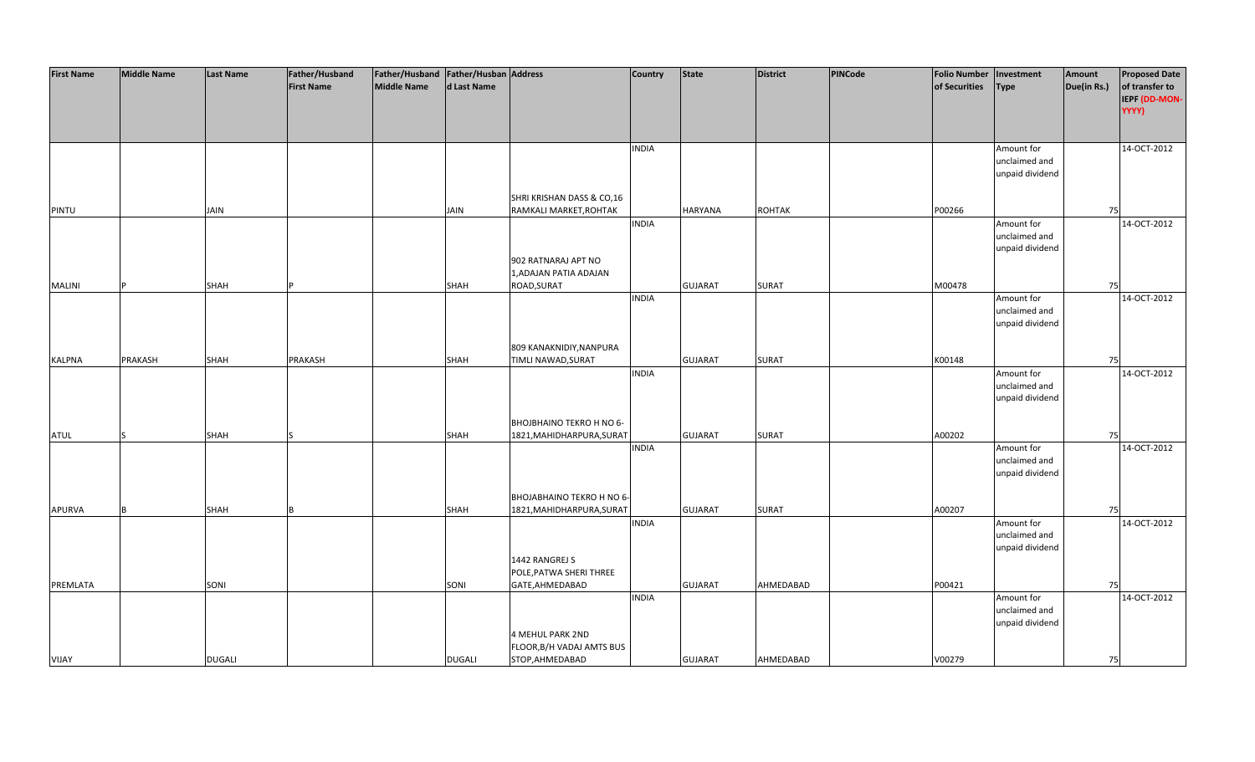| <b>First Name</b> | <b>Middle Name</b> | <b>Last Name</b> | Father/Husband    | Father/Husband Father/Husban Address |               |                           | <b>Country</b> | <b>State</b>   | <b>District</b> | PINCode | <b>Folio Number</b> | Investment      | Amount      | <b>Proposed Date</b> |
|-------------------|--------------------|------------------|-------------------|--------------------------------------|---------------|---------------------------|----------------|----------------|-----------------|---------|---------------------|-----------------|-------------|----------------------|
|                   |                    |                  | <b>First Name</b> | <b>Middle Name</b>                   | d Last Name   |                           |                |                |                 |         | of Securities       | <b>Type</b>     | Due(in Rs.) | of transfer to       |
|                   |                    |                  |                   |                                      |               |                           |                |                |                 |         |                     |                 |             | IEPF (DD-MON-        |
|                   |                    |                  |                   |                                      |               |                           |                |                |                 |         |                     |                 |             | YYYY)                |
|                   |                    |                  |                   |                                      |               |                           |                |                |                 |         |                     |                 |             |                      |
|                   |                    |                  |                   |                                      |               |                           |                |                |                 |         |                     |                 |             |                      |
|                   |                    |                  |                   |                                      |               |                           |                |                |                 |         |                     |                 |             |                      |
|                   |                    |                  |                   |                                      |               |                           | <b>INDIA</b>   |                |                 |         |                     | Amount for      |             | 14-OCT-2012          |
|                   |                    |                  |                   |                                      |               |                           |                |                |                 |         |                     | unclaimed and   |             |                      |
|                   |                    |                  |                   |                                      |               |                           |                |                |                 |         |                     | unpaid dividend |             |                      |
|                   |                    |                  |                   |                                      |               |                           |                |                |                 |         |                     |                 |             |                      |
|                   |                    |                  |                   |                                      |               | SHRI KRISHAN DASS & CO,16 |                |                |                 |         |                     |                 |             |                      |
| PINTU             |                    | <b>JAIN</b>      |                   |                                      | <b>JAIN</b>   | RAMKALI MARKET, ROHTAK    |                | <b>HARYANA</b> | <b>ROHTAK</b>   |         | P00266              |                 | 75          |                      |
|                   |                    |                  |                   |                                      |               |                           | <b>INDIA</b>   |                |                 |         |                     | Amount for      |             | 14-OCT-2012          |
|                   |                    |                  |                   |                                      |               |                           |                |                |                 |         |                     | unclaimed and   |             |                      |
|                   |                    |                  |                   |                                      |               |                           |                |                |                 |         |                     | unpaid dividend |             |                      |
|                   |                    |                  |                   |                                      |               | 902 RATNARAJ APT NO       |                |                |                 |         |                     |                 |             |                      |
|                   |                    |                  |                   |                                      |               | 1, ADAJAN PATIA ADAJAN    |                |                |                 |         |                     |                 |             |                      |
| <b>MALINI</b>     |                    | <b>SHAH</b>      |                   |                                      | SHAH          | ROAD, SURAT               |                | <b>GUJARAT</b> | <b>SURAT</b>    |         | M00478              |                 | 75          |                      |
|                   |                    |                  |                   |                                      |               |                           | <b>INDIA</b>   |                |                 |         |                     | Amount for      |             | 14-OCT-2012          |
|                   |                    |                  |                   |                                      |               |                           |                |                |                 |         |                     | unclaimed and   |             |                      |
|                   |                    |                  |                   |                                      |               |                           |                |                |                 |         |                     |                 |             |                      |
|                   |                    |                  |                   |                                      |               |                           |                |                |                 |         |                     | unpaid dividend |             |                      |
|                   |                    |                  |                   |                                      |               |                           |                |                |                 |         |                     |                 |             |                      |
|                   |                    |                  |                   |                                      |               | 809 KANAKNIDIY, NANPURA   |                |                |                 |         |                     |                 |             |                      |
| <b>KALPNA</b>     | PRAKASH            | SHAH             | PRAKASH           |                                      | SHAH          | TIMLI NAWAD, SURAT        |                | <b>GUJARAT</b> | <b>SURAT</b>    |         | K00148              |                 | 75          |                      |
|                   |                    |                  |                   |                                      |               |                           | <b>INDIA</b>   |                |                 |         |                     | Amount for      |             | 14-OCT-2012          |
|                   |                    |                  |                   |                                      |               |                           |                |                |                 |         |                     | unclaimed and   |             |                      |
|                   |                    |                  |                   |                                      |               |                           |                |                |                 |         |                     | unpaid dividend |             |                      |
|                   |                    |                  |                   |                                      |               |                           |                |                |                 |         |                     |                 |             |                      |
|                   |                    |                  |                   |                                      |               | BHOJBHAINO TEKRO H NO 6-  |                |                |                 |         |                     |                 |             |                      |
| <b>ATUL</b>       |                    | <b>SHAH</b>      |                   |                                      | <b>SHAH</b>   | 1821, MAHIDHARPURA, SURAT |                | <b>GUJARAT</b> | SURAT           |         | A00202              |                 | 75          |                      |
|                   |                    |                  |                   |                                      |               |                           | <b>INDIA</b>   |                |                 |         |                     | Amount for      |             | 14-OCT-2012          |
|                   |                    |                  |                   |                                      |               |                           |                |                |                 |         |                     | unclaimed and   |             |                      |
|                   |                    |                  |                   |                                      |               |                           |                |                |                 |         |                     | unpaid dividend |             |                      |
|                   |                    |                  |                   |                                      |               |                           |                |                |                 |         |                     |                 |             |                      |
|                   |                    |                  |                   |                                      |               | BHOJABHAINO TEKRO H NO 6- |                |                |                 |         |                     |                 |             |                      |
| <b>APURVA</b>     | R                  | <b>SHAH</b>      |                   |                                      | SHAH          | 1821, MAHIDHARPURA, SURAT |                | <b>GUJARAT</b> | <b>SURAT</b>    |         | A00207              |                 | 75          |                      |
|                   |                    |                  |                   |                                      |               |                           | <b>INDIA</b>   |                |                 |         |                     | Amount for      |             | 14-OCT-2012          |
|                   |                    |                  |                   |                                      |               |                           |                |                |                 |         |                     | unclaimed and   |             |                      |
|                   |                    |                  |                   |                                      |               |                           |                |                |                 |         |                     |                 |             |                      |
|                   |                    |                  |                   |                                      |               |                           |                |                |                 |         |                     | unpaid dividend |             |                      |
|                   |                    |                  |                   |                                      |               | 1442 RANGREJ S            |                |                |                 |         |                     |                 |             |                      |
|                   |                    |                  |                   |                                      |               | POLE, PATWA SHERI THREE   |                |                |                 |         |                     |                 |             |                      |
| PREMLATA          |                    | SONI             |                   |                                      | SONI          | GATE, AHMEDABAD           |                | <b>GUJARAT</b> | AHMEDABAD       |         | P00421              |                 | 75          |                      |
|                   |                    |                  |                   |                                      |               |                           | <b>INDIA</b>   |                |                 |         |                     | Amount for      |             | 14-OCT-2012          |
|                   |                    |                  |                   |                                      |               |                           |                |                |                 |         |                     | unclaimed and   |             |                      |
|                   |                    |                  |                   |                                      |               |                           |                |                |                 |         |                     | unpaid dividend |             |                      |
|                   |                    |                  |                   |                                      |               | <b>4 MEHUL PARK 2ND</b>   |                |                |                 |         |                     |                 |             |                      |
|                   |                    |                  |                   |                                      |               | FLOOR, B/H VADAJ AMTS BUS |                |                |                 |         |                     |                 |             |                      |
| <b>VIJAY</b>      |                    | <b>DUGALI</b>    |                   |                                      | <b>DUGALI</b> | STOP, AHMEDABAD           |                | <b>GUJARAT</b> | AHMEDABAD       |         | V00279              |                 | 75          |                      |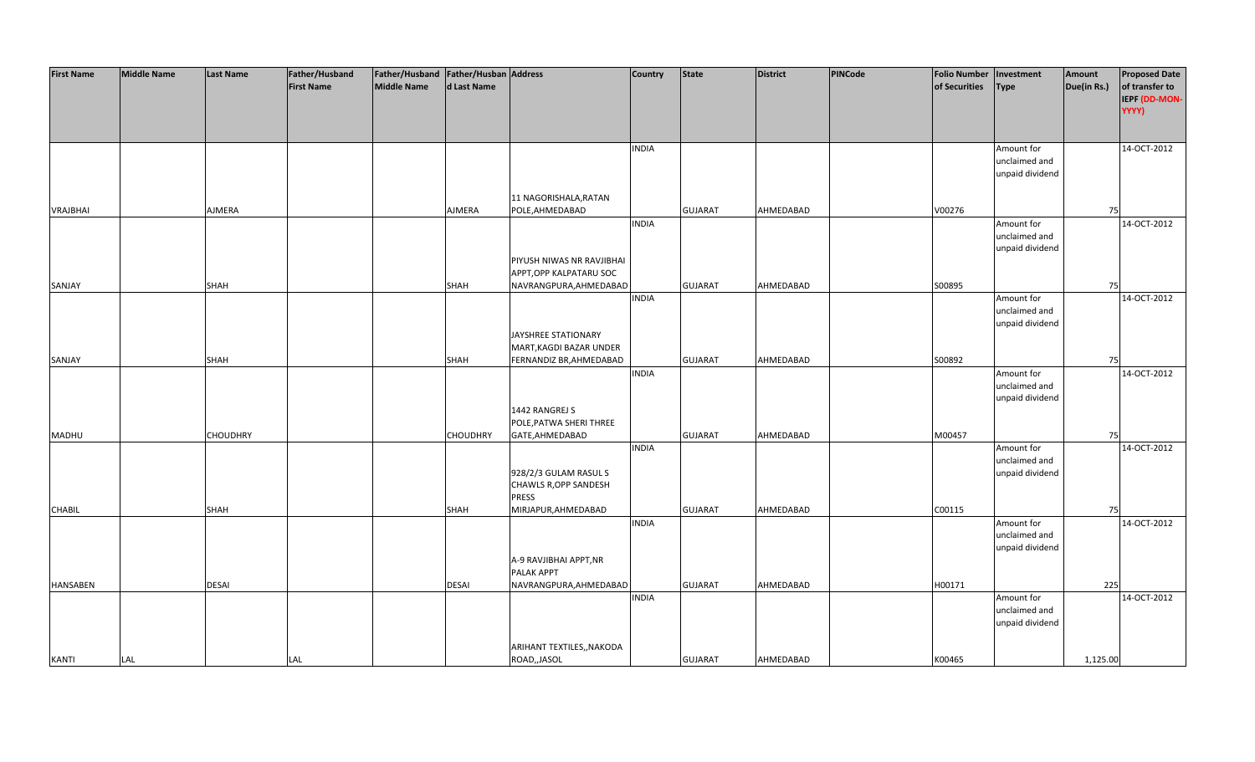| <b>First Name</b> | <b>Middle Name</b> | <b>Last Name</b> | Father/Husband    | Father/Husband Father/Husban Address |                 |                                           | <b>Country</b> | <b>State</b>   | <b>District</b> | PINCode | <b>Folio Number</b> | Investment      | Amount      | <b>Proposed Date</b> |
|-------------------|--------------------|------------------|-------------------|--------------------------------------|-----------------|-------------------------------------------|----------------|----------------|-----------------|---------|---------------------|-----------------|-------------|----------------------|
|                   |                    |                  | <b>First Name</b> | <b>Middle Name</b>                   | d Last Name     |                                           |                |                |                 |         | of Securities       | <b>Type</b>     | Due(in Rs.) | of transfer to       |
|                   |                    |                  |                   |                                      |                 |                                           |                |                |                 |         |                     |                 |             | IEPF (DD-MON-        |
|                   |                    |                  |                   |                                      |                 |                                           |                |                |                 |         |                     |                 |             | YYYY)                |
|                   |                    |                  |                   |                                      |                 |                                           |                |                |                 |         |                     |                 |             |                      |
|                   |                    |                  |                   |                                      |                 |                                           |                |                |                 |         |                     |                 |             |                      |
|                   |                    |                  |                   |                                      |                 |                                           |                |                |                 |         |                     |                 |             |                      |
|                   |                    |                  |                   |                                      |                 |                                           | <b>INDIA</b>   |                |                 |         |                     | Amount for      |             | 14-OCT-2012          |
|                   |                    |                  |                   |                                      |                 |                                           |                |                |                 |         |                     | unclaimed and   |             |                      |
|                   |                    |                  |                   |                                      |                 |                                           |                |                |                 |         |                     | unpaid dividend |             |                      |
|                   |                    |                  |                   |                                      |                 |                                           |                |                |                 |         |                     |                 |             |                      |
|                   |                    |                  |                   |                                      |                 | 11 NAGORISHALA, RATAN                     |                |                |                 |         |                     |                 |             |                      |
| <b>VRAJBHAI</b>   |                    | AJMERA           |                   |                                      | AJMERA          | POLE, AHMEDABAD                           |                | <b>GUJARAT</b> | AHMEDABAD       |         | V00276              |                 | 75          |                      |
|                   |                    |                  |                   |                                      |                 |                                           | <b>INDIA</b>   |                |                 |         |                     | Amount for      |             | 14-OCT-2012          |
|                   |                    |                  |                   |                                      |                 |                                           |                |                |                 |         |                     | unclaimed and   |             |                      |
|                   |                    |                  |                   |                                      |                 |                                           |                |                |                 |         |                     | unpaid dividend |             |                      |
|                   |                    |                  |                   |                                      |                 | PIYUSH NIWAS NR RAVJIBHAI                 |                |                |                 |         |                     |                 |             |                      |
|                   |                    |                  |                   |                                      |                 | APPT, OPP KALPATARU SOC                   |                |                |                 |         |                     |                 |             |                      |
| SANJAY            |                    | <b>SHAH</b>      |                   |                                      | <b>SHAH</b>     | NAVRANGPURA, AHMEDABAD                    |                | <b>GUJARAT</b> | AHMEDABAD       |         | S00895              |                 | 75          |                      |
|                   |                    |                  |                   |                                      |                 |                                           | <b>INDIA</b>   |                |                 |         |                     | Amount for      |             | 14-OCT-2012          |
|                   |                    |                  |                   |                                      |                 |                                           |                |                |                 |         |                     | unclaimed and   |             |                      |
|                   |                    |                  |                   |                                      |                 |                                           |                |                |                 |         |                     | unpaid dividend |             |                      |
|                   |                    |                  |                   |                                      |                 | JAYSHREE STATIONARY                       |                |                |                 |         |                     |                 |             |                      |
|                   |                    |                  |                   |                                      |                 | MART, KAGDI BAZAR UNDER                   |                |                |                 |         |                     |                 |             |                      |
| SANJAY            |                    | <b>SHAH</b>      |                   |                                      | SHAH            | FERNANDIZ BR, AHMEDABAD                   |                | <b>GUJARAT</b> | AHMEDABAD       |         | S00892              |                 | 75          |                      |
|                   |                    |                  |                   |                                      |                 |                                           | <b>INDIA</b>   |                |                 |         |                     | Amount for      |             | 14-OCT-2012          |
|                   |                    |                  |                   |                                      |                 |                                           |                |                |                 |         |                     | unclaimed and   |             |                      |
|                   |                    |                  |                   |                                      |                 |                                           |                |                |                 |         |                     | unpaid dividend |             |                      |
|                   |                    |                  |                   |                                      |                 | 1442 RANGREJ S                            |                |                |                 |         |                     |                 |             |                      |
|                   |                    |                  |                   |                                      |                 | POLE, PATWA SHERI THREE                   |                |                |                 |         |                     |                 |             |                      |
| MADHU             |                    | <b>CHOUDHRY</b>  |                   |                                      | <b>CHOUDHRY</b> | GATE, AHMEDABAD                           |                | <b>GUJARAT</b> | AHMEDABAD       |         | M00457              |                 | 75          |                      |
|                   |                    |                  |                   |                                      |                 |                                           | <b>INDIA</b>   |                |                 |         |                     | Amount for      |             | 14-OCT-2012          |
|                   |                    |                  |                   |                                      |                 |                                           |                |                |                 |         |                     | unclaimed and   |             |                      |
|                   |                    |                  |                   |                                      |                 | 928/2/3 GULAM RASUL S                     |                |                |                 |         |                     | unpaid dividend |             |                      |
|                   |                    |                  |                   |                                      |                 | <b>CHAWLS R, OPP SANDESH</b>              |                |                |                 |         |                     |                 |             |                      |
|                   |                    |                  |                   |                                      |                 | <b>PRESS</b>                              |                |                |                 |         |                     |                 |             |                      |
| <b>CHABIL</b>     |                    | <b>SHAH</b>      |                   |                                      | <b>SHAH</b>     | MIRJAPUR, AHMEDABAD                       |                | <b>GUJARAT</b> | AHMEDABAD       |         | C00115              |                 | 75          |                      |
|                   |                    |                  |                   |                                      |                 |                                           | <b>INDIA</b>   |                |                 |         |                     | Amount for      |             | 14-OCT-2012          |
|                   |                    |                  |                   |                                      |                 |                                           |                |                |                 |         |                     | unclaimed and   |             |                      |
|                   |                    |                  |                   |                                      |                 |                                           |                |                |                 |         |                     | unpaid dividend |             |                      |
|                   |                    |                  |                   |                                      |                 | A-9 RAVJIBHAI APPT, NR                    |                |                |                 |         |                     |                 |             |                      |
|                   |                    |                  |                   |                                      |                 | PALAK APPT                                |                |                |                 |         |                     |                 |             |                      |
| <b>HANSABEN</b>   |                    | <b>DESAI</b>     |                   |                                      | <b>DESAI</b>    | NAVRANGPURA, AHMEDABAD                    |                | <b>GUJARAT</b> | AHMEDABAD       |         | H00171              |                 | 225         |                      |
|                   |                    |                  |                   |                                      |                 |                                           | <b>INDIA</b>   |                |                 |         |                     | Amount for      |             | 14-OCT-2012          |
|                   |                    |                  |                   |                                      |                 |                                           |                |                |                 |         |                     | unclaimed and   |             |                      |
|                   |                    |                  |                   |                                      |                 |                                           |                |                |                 |         |                     | unpaid dividend |             |                      |
|                   |                    |                  |                   |                                      |                 |                                           |                |                |                 |         |                     |                 |             |                      |
|                   |                    |                  |                   |                                      |                 |                                           |                |                |                 |         |                     |                 |             |                      |
| <b>KANTI</b>      | LAL                |                  | <b>LAL</b>        |                                      |                 | ARIHANT TEXTILES,, NAKODA<br>ROAD,, JASOL |                | <b>GUJARAT</b> | AHMEDABAD       |         | K00465              |                 | 1,125.00    |                      |
|                   |                    |                  |                   |                                      |                 |                                           |                |                |                 |         |                     |                 |             |                      |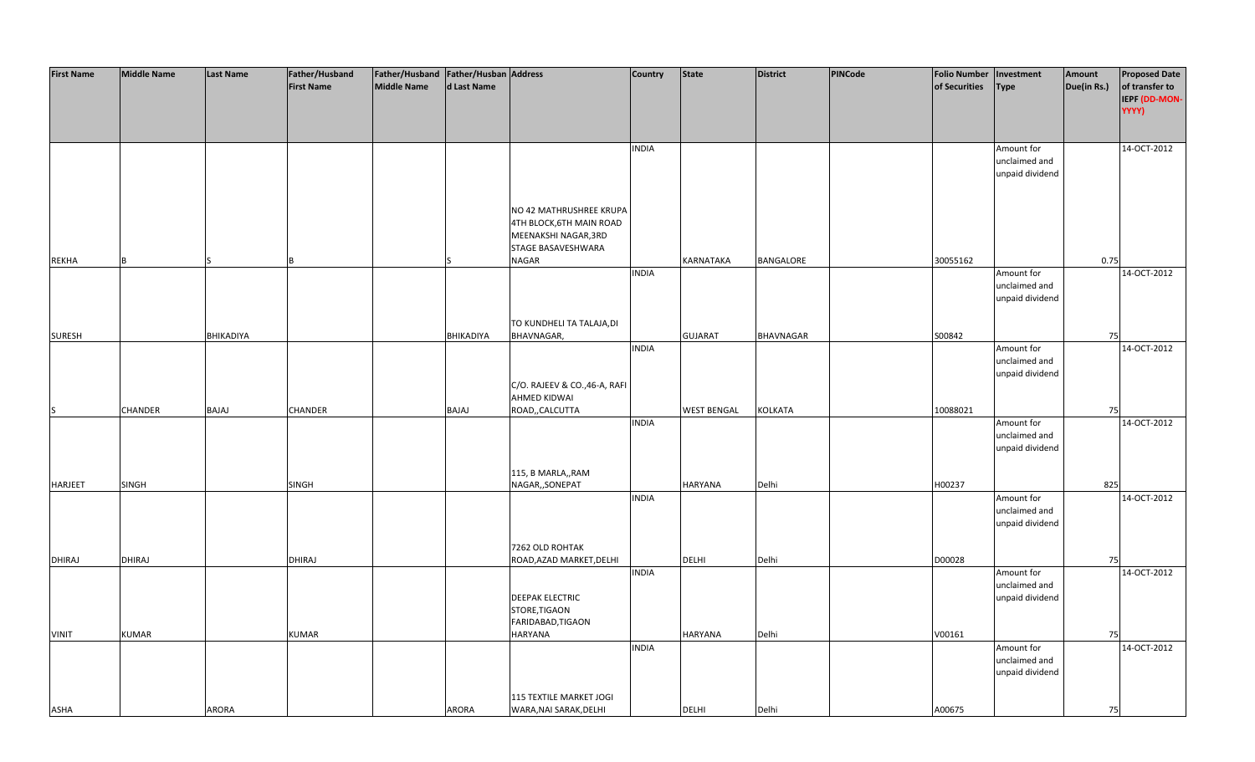| <b>First Name</b> | <b>Middle Name</b> | <b>Last Name</b> | Father/Husband<br><b>First Name</b> | Father/Husband Father/Husban Address<br>Middle Name | d Last Name |                                                                                                   | <b>Country</b> | State              | <b>District</b> | <b>PINCode</b> | <b>Folio Number</b><br>of Securities | Investment<br><b>Type</b>                      | Amount<br>Due(in Rs.) | <b>Proposed Date</b><br>of transfer to<br>IEPF (DD-MON-<br>YYYY) |
|-------------------|--------------------|------------------|-------------------------------------|-----------------------------------------------------|-------------|---------------------------------------------------------------------------------------------------|----------------|--------------------|-----------------|----------------|--------------------------------------|------------------------------------------------|-----------------------|------------------------------------------------------------------|
|                   |                    |                  |                                     |                                                     |             |                                                                                                   | <b>INDIA</b>   |                    |                 |                |                                      | Amount for<br>unclaimed and<br>unpaid dividend |                       | 14-OCT-2012                                                      |
|                   |                    |                  |                                     |                                                     |             | NO 42 MATHRUSHREE KRUPA<br>4TH BLOCK, 6TH MAIN ROAD<br>MEENAKSHI NAGAR, 3RD<br>STAGE BASAVESHWARA |                |                    |                 |                |                                      |                                                |                       |                                                                  |
| REKHA             | R                  |                  |                                     |                                                     |             | NAGAR                                                                                             | <b>INDIA</b>   | KARNATAKA          | BANGALORE       |                | 30055162                             | Amount for                                     | 0.75                  | 14-OCT-2012                                                      |
|                   |                    |                  |                                     |                                                     |             |                                                                                                   |                |                    |                 |                |                                      | unclaimed and<br>unpaid dividend               |                       |                                                                  |
|                   |                    |                  |                                     |                                                     |             | TO KUNDHELI TA TALAJA, DI                                                                         |                |                    |                 |                |                                      |                                                |                       |                                                                  |
| <b>SURESH</b>     |                    | BHIKADIYA        |                                     |                                                     | BHIKADIYA   | BHAVNAGAR,                                                                                        | <b>INDIA</b>   | <b>GUJARAT</b>     | BHAVNAGAR       |                | S00842                               | Amount for                                     | 75                    | 14-OCT-2012                                                      |
|                   |                    |                  |                                     |                                                     |             | C/O. RAJEEV & CO., 46-A, RAFI                                                                     |                |                    |                 |                |                                      | unclaimed and<br>unpaid dividend               |                       |                                                                  |
|                   |                    |                  |                                     |                                                     |             | AHMED KIDWAI                                                                                      |                |                    |                 |                |                                      |                                                |                       |                                                                  |
| IS                | CHANDER            | BAJAJ            | CHANDER                             |                                                     | BAJAJ       | ROAD,, CALCUTTA                                                                                   |                | <b>WEST BENGAL</b> | KOLKATA         |                | 10088021                             |                                                | 75                    |                                                                  |
|                   |                    |                  |                                     |                                                     |             |                                                                                                   | <b>INDIA</b>   |                    |                 |                |                                      | Amount for<br>unclaimed and<br>unpaid dividend |                       | 14-OCT-2012                                                      |
| HARJEET           | <b>SINGH</b>       |                  | SINGH                               |                                                     |             | 115, B MARLA,, RAM<br>NAGAR,, SONEPAT                                                             |                | HARYANA            | Delhi           |                | H00237                               |                                                | 825                   |                                                                  |
|                   |                    |                  |                                     |                                                     |             |                                                                                                   | <b>INDIA</b>   |                    |                 |                |                                      | Amount for<br>unclaimed and<br>unpaid dividend |                       | 14-OCT-2012                                                      |
|                   |                    |                  |                                     |                                                     |             | 7262 OLD ROHTAK                                                                                   |                |                    |                 |                |                                      |                                                |                       |                                                                  |
| <b>DHIRAJ</b>     | DHIRAJ             |                  | DHIRAJ                              |                                                     |             | ROAD, AZAD MARKET, DELHI                                                                          |                | <b>DELHI</b>       | Delhi           |                | D00028                               |                                                | 75                    |                                                                  |
|                   |                    |                  |                                     |                                                     |             | <b>DEEPAK ELECTRIC</b>                                                                            | <b>INDIA</b>   |                    |                 |                |                                      | Amount for<br>unclaimed and<br>unpaid dividend |                       | 14-OCT-2012                                                      |
| <b>VINIT</b>      | <b>KUMAR</b>       |                  | <b>KUMAR</b>                        |                                                     |             | STORE, TIGAON<br>FARIDABAD, TIGAON<br>HARYANA                                                     |                | HARYANA            | Delhi           |                | V00161                               |                                                | 75                    |                                                                  |
|                   |                    |                  |                                     |                                                     |             |                                                                                                   | <b>INDIA</b>   |                    |                 |                |                                      | Amount for<br>unclaimed and<br>unpaid dividend |                       | 14-OCT-2012                                                      |
| <b>ASHA</b>       |                    | ARORA            |                                     |                                                     | ARORA       | 115 TEXTILE MARKET JOGI<br>WARA, NAI SARAK, DELHI                                                 |                | <b>DELHI</b>       | Delhi           |                | A00675                               |                                                | 75                    |                                                                  |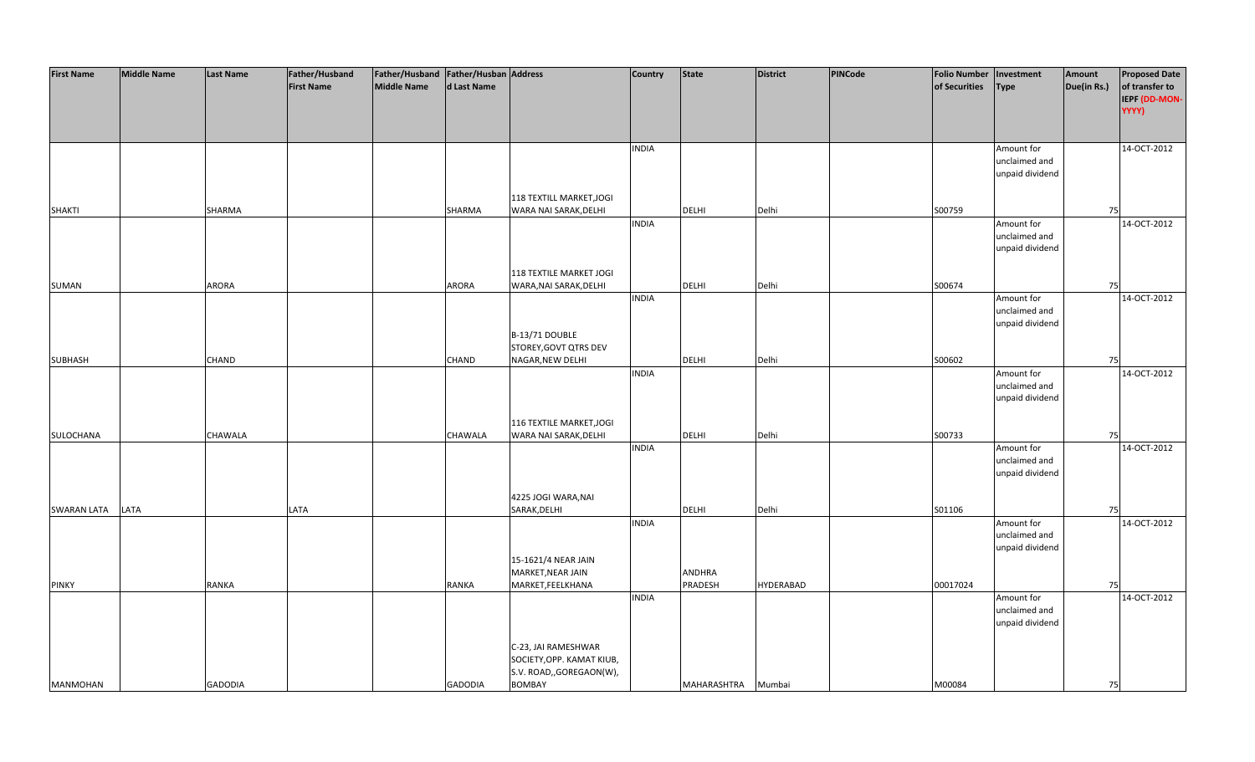| <b>First Name</b>  | <b>Middle Name</b> | <b>Last Name</b> | Father/Husband    | Father/Husband   Father/Husban   Address |                |                           | <b>Country</b> | <b>State</b>       | <b>District</b>  | <b>PINCode</b> | Folio Number   Investment |                 | Amount      | <b>Proposed Date</b>                     |
|--------------------|--------------------|------------------|-------------------|------------------------------------------|----------------|---------------------------|----------------|--------------------|------------------|----------------|---------------------------|-----------------|-------------|------------------------------------------|
|                    |                    |                  | <b>First Name</b> | <b>Middle Name</b>                       | d Last Name    |                           |                |                    |                  |                | of Securities             | <b>Type</b>     | Due(in Rs.) | of transfer to<br>IEPF (DD-MON-<br>YYYY) |
|                    |                    |                  |                   |                                          |                |                           |                |                    |                  |                |                           |                 |             |                                          |
|                    |                    |                  |                   |                                          |                |                           | <b>INDIA</b>   |                    |                  |                |                           | Amount for      |             | 14-OCT-2012                              |
|                    |                    |                  |                   |                                          |                |                           |                |                    |                  |                |                           | unclaimed and   |             |                                          |
|                    |                    |                  |                   |                                          |                |                           |                |                    |                  |                |                           | unpaid dividend |             |                                          |
|                    |                    |                  |                   |                                          |                | 118 TEXTILL MARKET, JOGI  |                |                    |                  |                |                           |                 |             |                                          |
| <b>SHAKTI</b>      |                    | SHARMA           |                   |                                          | SHARMA         | WARA NAI SARAK, DELHI     |                | <b>DELHI</b>       | Delhi            |                | S00759                    |                 | 75          |                                          |
|                    |                    |                  |                   |                                          |                |                           | <b>INDIA</b>   |                    |                  |                |                           | Amount for      |             | 14-OCT-2012                              |
|                    |                    |                  |                   |                                          |                |                           |                |                    |                  |                |                           | unclaimed and   |             |                                          |
|                    |                    |                  |                   |                                          |                |                           |                |                    |                  |                |                           | unpaid dividend |             |                                          |
|                    |                    |                  |                   |                                          |                |                           |                |                    |                  |                |                           |                 |             |                                          |
|                    |                    |                  |                   |                                          |                | 118 TEXTILE MARKET JOGI   |                |                    |                  |                |                           |                 |             |                                          |
| SUMAN              |                    | ARORA            |                   |                                          | <b>ARORA</b>   | WARA, NAI SARAK, DELHI    | <b>INDIA</b>   | <b>DELHI</b>       | Delhi            |                | S00674                    | Amount for      | 75          | 14-OCT-2012                              |
|                    |                    |                  |                   |                                          |                |                           |                |                    |                  |                |                           | unclaimed and   |             |                                          |
|                    |                    |                  |                   |                                          |                |                           |                |                    |                  |                |                           | unpaid dividend |             |                                          |
|                    |                    |                  |                   |                                          |                | B-13/71 DOUBLE            |                |                    |                  |                |                           |                 |             |                                          |
|                    |                    |                  |                   |                                          |                | STOREY, GOVT QTRS DEV     |                |                    |                  |                |                           |                 |             |                                          |
| <b>SUBHASH</b>     |                    | CHAND            |                   |                                          | <b>CHAND</b>   | NAGAR, NEW DELHI          |                | <b>DELHI</b>       | Delhi            |                | S00602                    |                 | 75          |                                          |
|                    |                    |                  |                   |                                          |                |                           | <b>INDIA</b>   |                    |                  |                |                           | Amount for      |             | 14-OCT-2012                              |
|                    |                    |                  |                   |                                          |                |                           |                |                    |                  |                |                           | unclaimed and   |             |                                          |
|                    |                    |                  |                   |                                          |                |                           |                |                    |                  |                |                           | unpaid dividend |             |                                          |
|                    |                    |                  |                   |                                          |                | 116 TEXTILE MARKET, JOGI  |                |                    |                  |                |                           |                 |             |                                          |
| SULOCHANA          |                    | CHAWALA          |                   |                                          | <b>CHAWALA</b> | WARA NAI SARAK, DELHI     |                | <b>DELHI</b>       | Delhi            |                | S00733                    |                 | 75          |                                          |
|                    |                    |                  |                   |                                          |                |                           | <b>INDIA</b>   |                    |                  |                |                           | Amount for      |             | 14-OCT-2012                              |
|                    |                    |                  |                   |                                          |                |                           |                |                    |                  |                |                           | unclaimed and   |             |                                          |
|                    |                    |                  |                   |                                          |                |                           |                |                    |                  |                |                           | unpaid dividend |             |                                          |
|                    |                    |                  |                   |                                          |                |                           |                |                    |                  |                |                           |                 |             |                                          |
|                    |                    |                  |                   |                                          |                | 4225 JOGI WARA, NAI       |                |                    |                  |                |                           |                 |             |                                          |
| <b>SWARAN LATA</b> | LATA               |                  | LATA              |                                          |                | SARAK, DELHI              | <b>INDIA</b>   | <b>DELHI</b>       | Delhi            |                | S01106                    | Amount for      | 75          | 14-OCT-2012                              |
|                    |                    |                  |                   |                                          |                |                           |                |                    |                  |                |                           | unclaimed and   |             |                                          |
|                    |                    |                  |                   |                                          |                |                           |                |                    |                  |                |                           | unpaid dividend |             |                                          |
|                    |                    |                  |                   |                                          |                | 15-1621/4 NEAR JAIN       |                |                    |                  |                |                           |                 |             |                                          |
|                    |                    |                  |                   |                                          |                | MARKET, NEAR JAIN         |                | <b>ANDHRA</b>      |                  |                |                           |                 |             |                                          |
| <b>PINKY</b>       |                    | <b>RANKA</b>     |                   |                                          | <b>RANKA</b>   | MARKET, FEELKHANA         |                | PRADESH            | <b>HYDERABAD</b> |                | 00017024                  |                 | 75          |                                          |
|                    |                    |                  |                   |                                          |                |                           | <b>INDIA</b>   |                    |                  |                |                           | Amount for      |             | 14-OCT-2012                              |
|                    |                    |                  |                   |                                          |                |                           |                |                    |                  |                |                           | unclaimed and   |             |                                          |
|                    |                    |                  |                   |                                          |                |                           |                |                    |                  |                |                           | unpaid dividend |             |                                          |
|                    |                    |                  |                   |                                          |                | C-23, JAI RAMESHWAR       |                |                    |                  |                |                           |                 |             |                                          |
|                    |                    |                  |                   |                                          |                | SOCIETY, OPP. KAMAT KIUB, |                |                    |                  |                |                           |                 |             |                                          |
|                    |                    |                  |                   |                                          |                | S.V. ROAD,, GOREGAON(W),  |                |                    |                  |                |                           |                 |             |                                          |
| <b>MANMOHAN</b>    |                    | <b>GADODIA</b>   |                   |                                          | <b>GADODIA</b> | <b>BOMBAY</b>             |                | MAHARASHTRA Mumbai |                  |                | M00084                    |                 | 75          |                                          |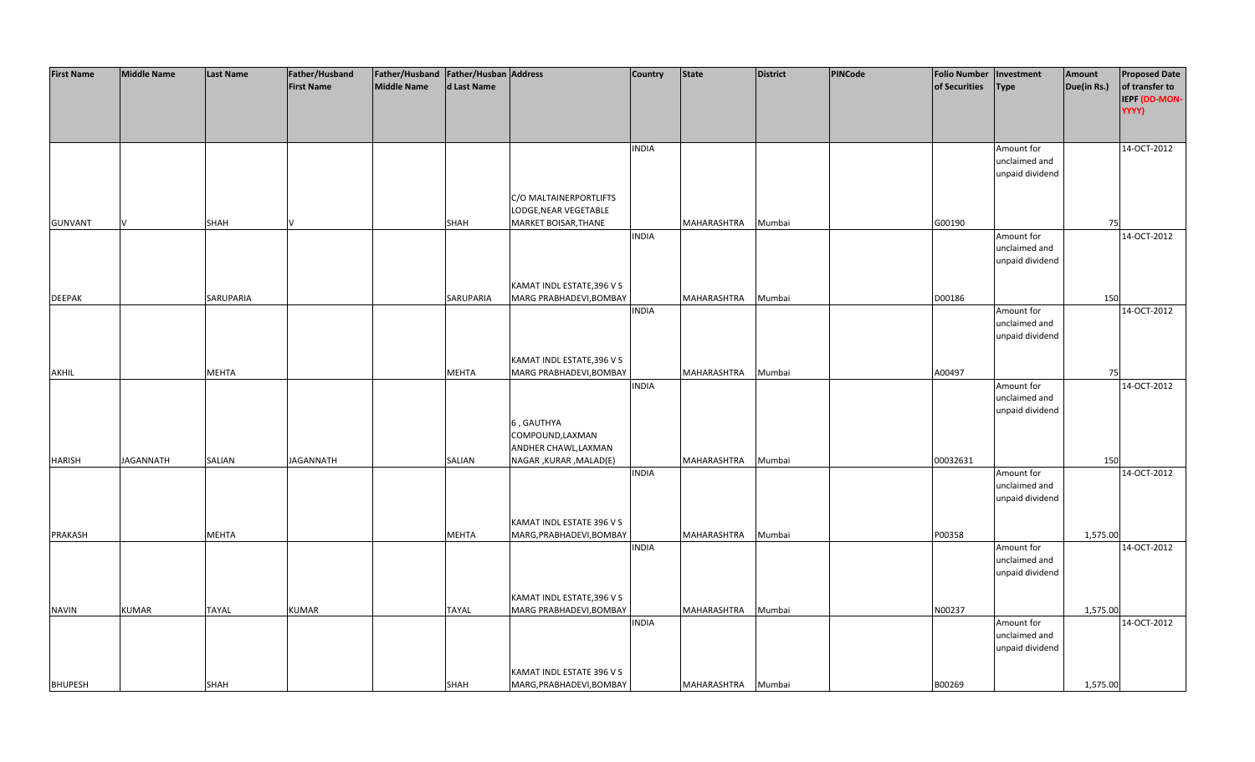| <b>First Name</b> | <b>Middle Name</b> | <b>Last Name</b> | Father/Husband    | Father/Husband   Father/Husban   Address |              |                                                       | Country      | <b>State</b>       | <b>District</b> | PINCode | <b>Folio Number</b> | Investment                  | Amount      | <b>Proposed Date</b> |
|-------------------|--------------------|------------------|-------------------|------------------------------------------|--------------|-------------------------------------------------------|--------------|--------------------|-----------------|---------|---------------------|-----------------------------|-------------|----------------------|
|                   |                    |                  | <b>First Name</b> | <b>Middle Name</b>                       | d Last Name  |                                                       |              |                    |                 |         | of Securities       | <b>Type</b>                 | Due(in Rs.) | of transfer to       |
|                   |                    |                  |                   |                                          |              |                                                       |              |                    |                 |         |                     |                             |             | IEPF (DD-MON-        |
|                   |                    |                  |                   |                                          |              |                                                       |              |                    |                 |         |                     |                             |             | YYYY)                |
|                   |                    |                  |                   |                                          |              |                                                       |              |                    |                 |         |                     |                             |             |                      |
|                   |                    |                  |                   |                                          |              |                                                       | <b>INDIA</b> |                    |                 |         |                     | Amount for                  |             | 14-OCT-2012          |
|                   |                    |                  |                   |                                          |              |                                                       |              |                    |                 |         |                     | unclaimed and               |             |                      |
|                   |                    |                  |                   |                                          |              |                                                       |              |                    |                 |         |                     | unpaid dividend             |             |                      |
|                   |                    |                  |                   |                                          |              |                                                       |              |                    |                 |         |                     |                             |             |                      |
|                   |                    |                  |                   |                                          |              | C/O MALTAINERPORTLIFTS                                |              |                    |                 |         |                     |                             |             |                      |
|                   |                    |                  |                   |                                          |              | LODGE, NEAR VEGETABLE                                 |              |                    |                 |         |                     |                             |             |                      |
| <b>GUNVANT</b>    |                    | SHAH             |                   |                                          | SHAH         | MARKET BOISAR, THANE                                  |              | MAHARASHTRA        | Mumbai          |         | G00190              |                             | 75          |                      |
|                   |                    |                  |                   |                                          |              |                                                       | <b>INDIA</b> |                    |                 |         |                     | Amount for                  |             | 14-OCT-2012          |
|                   |                    |                  |                   |                                          |              |                                                       |              |                    |                 |         |                     | unclaimed and               |             |                      |
|                   |                    |                  |                   |                                          |              |                                                       |              |                    |                 |         |                     | unpaid dividend             |             |                      |
|                   |                    |                  |                   |                                          |              |                                                       |              |                    |                 |         |                     |                             |             |                      |
|                   |                    |                  |                   |                                          |              | KAMAT INDL ESTATE, 396 V S                            |              |                    |                 |         |                     |                             |             |                      |
| <b>DEEPAK</b>     |                    | SARUPARIA        |                   |                                          | SARUPARIA    | MARG PRABHADEVI, BOMBAY                               |              | MAHARASHTRA        | Mumbai          |         | D00186              |                             | 150         |                      |
|                   |                    |                  |                   |                                          |              |                                                       | <b>INDIA</b> |                    |                 |         |                     | Amount for<br>unclaimed and |             | 14-OCT-2012          |
|                   |                    |                  |                   |                                          |              |                                                       |              |                    |                 |         |                     | unpaid dividend             |             |                      |
|                   |                    |                  |                   |                                          |              |                                                       |              |                    |                 |         |                     |                             |             |                      |
|                   |                    |                  |                   |                                          |              | KAMAT INDL ESTATE, 396 V S                            |              |                    |                 |         |                     |                             |             |                      |
| <b>AKHIL</b>      |                    | <b>MEHTA</b>     |                   |                                          | <b>MEHTA</b> | MARG PRABHADEVI, BOMBAY                               |              | MAHARASHTRA        | Mumbai          |         | A00497              |                             | 75          |                      |
|                   |                    |                  |                   |                                          |              |                                                       | <b>INDIA</b> |                    |                 |         |                     | Amount for                  |             | 14-OCT-2012          |
|                   |                    |                  |                   |                                          |              |                                                       |              |                    |                 |         |                     | unclaimed and               |             |                      |
|                   |                    |                  |                   |                                          |              |                                                       |              |                    |                 |         |                     | unpaid dividend             |             |                      |
|                   |                    |                  |                   |                                          |              | 6, GAUTHYA                                            |              |                    |                 |         |                     |                             |             |                      |
|                   |                    |                  |                   |                                          |              | COMPOUND, LAXMAN                                      |              |                    |                 |         |                     |                             |             |                      |
|                   |                    |                  |                   |                                          |              | ANDHER CHAWL, LAXMAN                                  |              |                    |                 |         |                     |                             |             |                      |
| HARISH            | <b>JAGANNATH</b>   | SALIAN           | JAGANNATH         |                                          | SALIAN       | NAGAR, KURAR, MALAD(E)                                |              | MAHARASHTRA        | Mumbai          |         | 00032631            |                             | 150         |                      |
|                   |                    |                  |                   |                                          |              |                                                       | <b>INDIA</b> |                    |                 |         |                     | Amount for                  |             | 14-OCT-2012          |
|                   |                    |                  |                   |                                          |              |                                                       |              |                    |                 |         |                     | unclaimed and               |             |                      |
|                   |                    |                  |                   |                                          |              |                                                       |              |                    |                 |         |                     | unpaid dividend             |             |                      |
|                   |                    |                  |                   |                                          |              | KAMAT INDL ESTATE 396 V S                             |              |                    |                 |         |                     |                             |             |                      |
| PRAKASH           |                    | <b>MEHTA</b>     |                   |                                          | <b>MEHTA</b> | MARG, PRABHADEVI, BOMBAY                              |              | <b>MAHARASHTRA</b> | Mumbai          |         | P00358              |                             | 1,575.00    |                      |
|                   |                    |                  |                   |                                          |              |                                                       | <b>INDIA</b> |                    |                 |         |                     | Amount for                  |             | 14-OCT-2012          |
|                   |                    |                  |                   |                                          |              |                                                       |              |                    |                 |         |                     | unclaimed and               |             |                      |
|                   |                    |                  |                   |                                          |              |                                                       |              |                    |                 |         |                     | unpaid dividend             |             |                      |
|                   |                    |                  |                   |                                          |              |                                                       |              |                    |                 |         |                     |                             |             |                      |
|                   |                    |                  |                   |                                          |              | KAMAT INDL ESTATE, 396 V S                            |              |                    |                 |         |                     |                             |             |                      |
| <b>NAVIN</b>      | <b>KUMAR</b>       | <b>TAYAL</b>     | <b>KUMAR</b>      |                                          | <b>TAYAL</b> | MARG PRABHADEVI, BOMBAY                               |              | MAHARASHTRA        | Mumbai          |         | N00237              |                             | 1,575.00    |                      |
|                   |                    |                  |                   |                                          |              |                                                       | <b>INDIA</b> |                    |                 |         |                     | Amount for                  |             | 14-OCT-2012          |
|                   |                    |                  |                   |                                          |              |                                                       |              |                    |                 |         |                     | unclaimed and               |             |                      |
|                   |                    |                  |                   |                                          |              |                                                       |              |                    |                 |         |                     | unpaid dividend             |             |                      |
|                   |                    |                  |                   |                                          |              |                                                       |              |                    |                 |         |                     |                             |             |                      |
|                   |                    |                  |                   |                                          |              | KAMAT INDL ESTATE 396 V S<br>MARG, PRABHADEVI, BOMBAY |              |                    |                 |         |                     |                             |             |                      |
| <b>BHUPESH</b>    |                    | SHAH             |                   |                                          | SHAH         |                                                       |              | MAHARASHTRA        | Mumbai          |         | B00269              |                             | 1,575.00    |                      |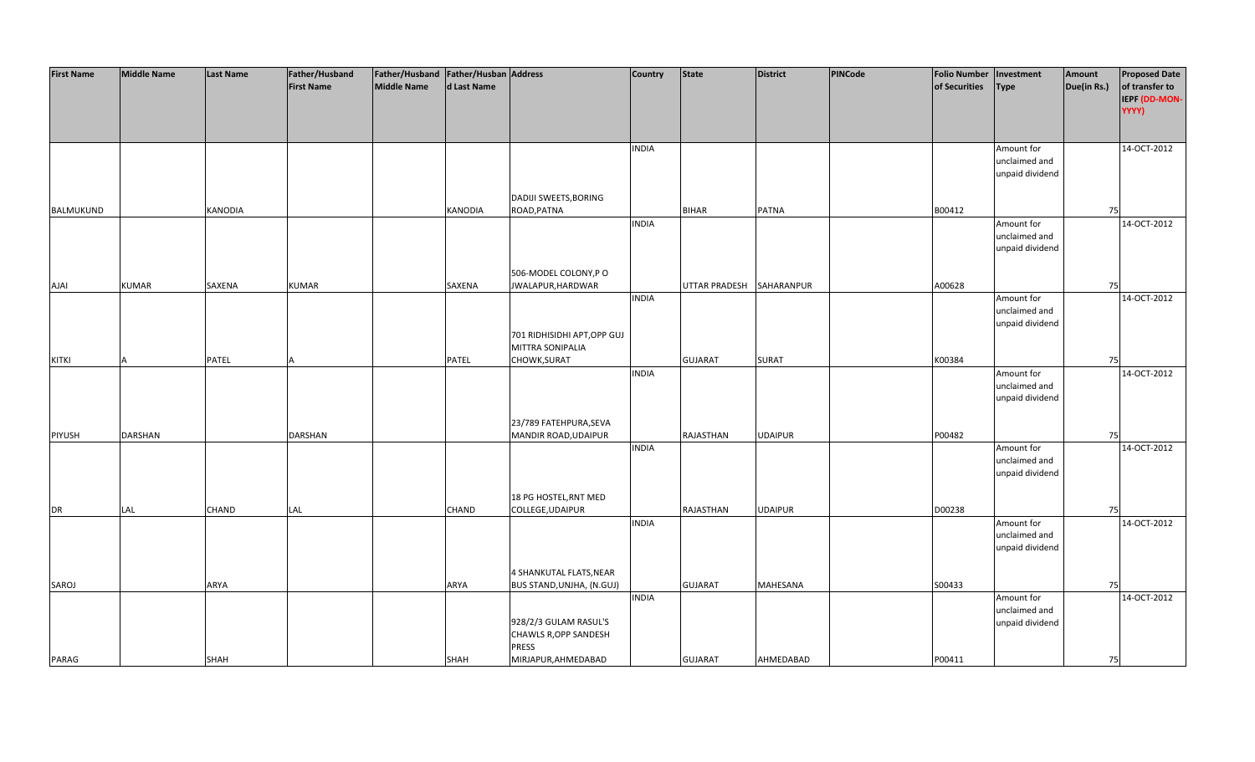| <b>First Name</b> | <b>Middle Name</b> | <b>Last Name</b> | Father/Husband    | Father/Husband   Father/Husban   Address |              |                              | <b>Country</b> | <b>State</b>   | <b>District</b>   | PINCode | <b>Folio Number</b> | Investment      | Amount      | <b>Proposed Date</b> |
|-------------------|--------------------|------------------|-------------------|------------------------------------------|--------------|------------------------------|----------------|----------------|-------------------|---------|---------------------|-----------------|-------------|----------------------|
|                   |                    |                  | <b>First Name</b> | <b>Middle Name</b>                       | d Last Name  |                              |                |                |                   |         | of Securities       | <b>Type</b>     | Due(in Rs.) | of transfer to       |
|                   |                    |                  |                   |                                          |              |                              |                |                |                   |         |                     |                 |             |                      |
|                   |                    |                  |                   |                                          |              |                              |                |                |                   |         |                     |                 |             | IEPF (DD-MON-        |
|                   |                    |                  |                   |                                          |              |                              |                |                |                   |         |                     |                 |             | YYYY)                |
|                   |                    |                  |                   |                                          |              |                              |                |                |                   |         |                     |                 |             |                      |
|                   |                    |                  |                   |                                          |              |                              |                |                |                   |         |                     |                 |             |                      |
|                   |                    |                  |                   |                                          |              |                              | <b>INDIA</b>   |                |                   |         |                     | Amount for      |             | 14-OCT-2012          |
|                   |                    |                  |                   |                                          |              |                              |                |                |                   |         |                     | unclaimed and   |             |                      |
|                   |                    |                  |                   |                                          |              |                              |                |                |                   |         |                     | unpaid dividend |             |                      |
|                   |                    |                  |                   |                                          |              |                              |                |                |                   |         |                     |                 |             |                      |
|                   |                    |                  |                   |                                          |              | <b>DADIJI SWEETS, BORING</b> |                |                |                   |         |                     |                 |             |                      |
|                   |                    |                  |                   |                                          |              |                              |                |                |                   |         |                     |                 |             |                      |
| BALMUKUND         |                    | <b>KANODIA</b>   |                   |                                          | KANODIA      | ROAD, PATNA                  |                | <b>BIHAR</b>   | <b>PATNA</b>      |         | B00412              |                 | 75          |                      |
|                   |                    |                  |                   |                                          |              |                              | <b>INDIA</b>   |                |                   |         |                     | Amount for      |             | 14-OCT-2012          |
|                   |                    |                  |                   |                                          |              |                              |                |                |                   |         |                     | unclaimed and   |             |                      |
|                   |                    |                  |                   |                                          |              |                              |                |                |                   |         |                     | unpaid dividend |             |                      |
|                   |                    |                  |                   |                                          |              |                              |                |                |                   |         |                     |                 |             |                      |
|                   |                    |                  |                   |                                          |              | 506-MODEL COLONY, PO         |                |                |                   |         |                     |                 |             |                      |
| <b>AJAI</b>       | <b>KUMAR</b>       | SAXENA           | <b>KUMAR</b>      |                                          | SAXENA       | JWALAPUR, HARDWAR            |                | UTTAR PRADESH  | <b>SAHARANPUR</b> |         | A00628              |                 | 75          |                      |
|                   |                    |                  |                   |                                          |              |                              | <b>INDIA</b>   |                |                   |         |                     | Amount for      |             | 14-OCT-2012          |
|                   |                    |                  |                   |                                          |              |                              |                |                |                   |         |                     | unclaimed and   |             |                      |
|                   |                    |                  |                   |                                          |              |                              |                |                |                   |         |                     |                 |             |                      |
|                   |                    |                  |                   |                                          |              |                              |                |                |                   |         |                     | unpaid dividend |             |                      |
|                   |                    |                  |                   |                                          |              | 701 RIDHISIDHI APT, OPP GUJ  |                |                |                   |         |                     |                 |             |                      |
|                   |                    |                  |                   |                                          |              | MITTRA SONIPALIA             |                |                |                   |         |                     |                 |             |                      |
| <b>KITKI</b>      |                    | PATEL            |                   |                                          | PATEL        | CHOWK, SURAT                 |                | <b>GUJARAT</b> | SURAT             |         | K00384              |                 | 75          |                      |
|                   |                    |                  |                   |                                          |              |                              | <b>INDIA</b>   |                |                   |         |                     | Amount for      |             | 14-OCT-2012          |
|                   |                    |                  |                   |                                          |              |                              |                |                |                   |         |                     | unclaimed and   |             |                      |
|                   |                    |                  |                   |                                          |              |                              |                |                |                   |         |                     | unpaid dividend |             |                      |
|                   |                    |                  |                   |                                          |              |                              |                |                |                   |         |                     |                 |             |                      |
|                   |                    |                  |                   |                                          |              |                              |                |                |                   |         |                     |                 |             |                      |
|                   |                    |                  |                   |                                          |              | 23/789 FATEHPURA, SEVA       |                |                |                   |         |                     |                 |             |                      |
| PIYUSH            | <b>DARSHAN</b>     |                  | <b>DARSHAN</b>    |                                          |              | MANDIR ROAD, UDAIPUR         |                | RAJASTHAN      | <b>UDAIPUR</b>    |         | P00482              |                 | 75          |                      |
|                   |                    |                  |                   |                                          |              |                              | <b>INDIA</b>   |                |                   |         |                     | Amount for      |             | 14-OCT-2012          |
|                   |                    |                  |                   |                                          |              |                              |                |                |                   |         |                     | unclaimed and   |             |                      |
|                   |                    |                  |                   |                                          |              |                              |                |                |                   |         |                     | unpaid dividend |             |                      |
|                   |                    |                  |                   |                                          |              |                              |                |                |                   |         |                     |                 |             |                      |
|                   |                    |                  |                   |                                          |              | 18 PG HOSTEL, RNT MED        |                |                |                   |         |                     |                 |             |                      |
| DR                | LAL                | <b>CHAND</b>     | LAL               |                                          | <b>CHAND</b> | COLLEGE, UDAIPUR             |                | RAJASTHAN      | <b>UDAIPUR</b>    |         | D00238              |                 | 75          |                      |
|                   |                    |                  |                   |                                          |              |                              | <b>INDIA</b>   |                |                   |         |                     | Amount for      |             | 14-OCT-2012          |
|                   |                    |                  |                   |                                          |              |                              |                |                |                   |         |                     | unclaimed and   |             |                      |
|                   |                    |                  |                   |                                          |              |                              |                |                |                   |         |                     |                 |             |                      |
|                   |                    |                  |                   |                                          |              |                              |                |                |                   |         |                     | unpaid dividend |             |                      |
|                   |                    |                  |                   |                                          |              |                              |                |                |                   |         |                     |                 |             |                      |
|                   |                    |                  |                   |                                          |              | 4 SHANKUTAL FLATS, NEAR      |                |                |                   |         |                     |                 |             |                      |
| SAROJ             |                    | <b>ARYA</b>      |                   |                                          | <b>ARYA</b>  | BUS STAND, UNJHA, (N.GUJ)    |                | <b>GUJARAT</b> | <b>MAHESANA</b>   |         | S00433              |                 | 75          |                      |
|                   |                    |                  |                   |                                          |              |                              | <b>INDIA</b>   |                |                   |         |                     | Amount for      |             | 14-OCT-2012          |
|                   |                    |                  |                   |                                          |              |                              |                |                |                   |         |                     | unclaimed and   |             |                      |
|                   |                    |                  |                   |                                          |              | 928/2/3 GULAM RASUL'S        |                |                |                   |         |                     | unpaid dividend |             |                      |
|                   |                    |                  |                   |                                          |              | <b>CHAWLS R, OPP SANDESH</b> |                |                |                   |         |                     |                 |             |                      |
|                   |                    |                  |                   |                                          |              | <b>PRESS</b>                 |                |                |                   |         |                     |                 |             |                      |
| PARAG             |                    |                  |                   |                                          |              |                              |                | <b>GUJARAT</b> | AHMEDABAD         |         | P00411              |                 |             |                      |
|                   |                    | <b>SHAH</b>      |                   |                                          | SHAH         | MIRJAPUR, AHMEDABAD          |                |                |                   |         |                     |                 | 75          |                      |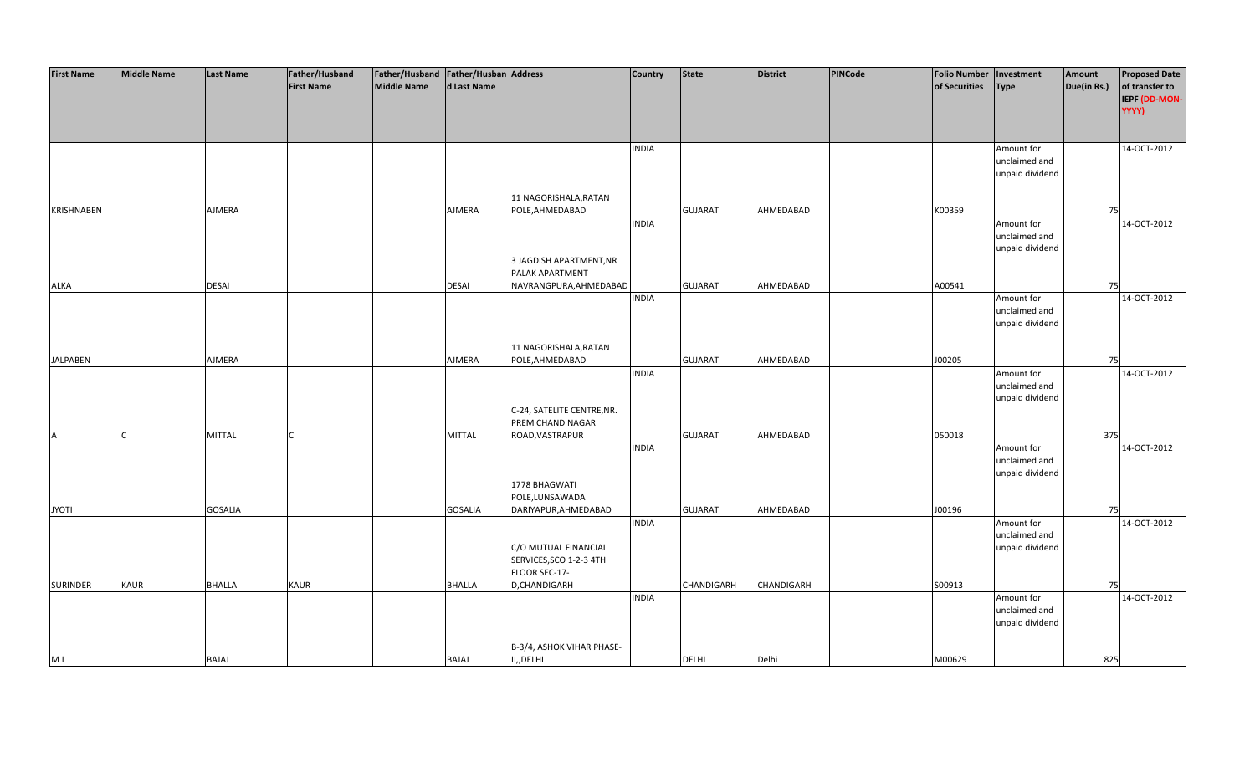| <b>First Name</b> | <b>Middle Name</b> | <b>Last Name</b> | Father/Husband    | Father/Husband   Father/Husban   Address |                |                            | Country      | <b>State</b>   | <b>District</b> | PINCode | <b>Folio Number</b> | Investment      | Amount      | <b>Proposed Date</b> |
|-------------------|--------------------|------------------|-------------------|------------------------------------------|----------------|----------------------------|--------------|----------------|-----------------|---------|---------------------|-----------------|-------------|----------------------|
|                   |                    |                  | <b>First Name</b> | <b>Middle Name</b>                       | d Last Name    |                            |              |                |                 |         | of Securities       | <b>Type</b>     | Due(in Rs.) | of transfer to       |
|                   |                    |                  |                   |                                          |                |                            |              |                |                 |         |                     |                 |             | IEPF (DD-MON-        |
|                   |                    |                  |                   |                                          |                |                            |              |                |                 |         |                     |                 |             | YYYY)                |
|                   |                    |                  |                   |                                          |                |                            |              |                |                 |         |                     |                 |             |                      |
|                   |                    |                  |                   |                                          |                |                            |              |                |                 |         |                     |                 |             |                      |
|                   |                    |                  |                   |                                          |                |                            |              |                |                 |         |                     |                 |             |                      |
|                   |                    |                  |                   |                                          |                |                            | <b>INDIA</b> |                |                 |         |                     | Amount for      |             | 14-OCT-2012          |
|                   |                    |                  |                   |                                          |                |                            |              |                |                 |         |                     | unclaimed and   |             |                      |
|                   |                    |                  |                   |                                          |                |                            |              |                |                 |         |                     | unpaid dividend |             |                      |
|                   |                    |                  |                   |                                          |                |                            |              |                |                 |         |                     |                 |             |                      |
|                   |                    |                  |                   |                                          |                | 11 NAGORISHALA, RATAN      |              |                |                 |         |                     |                 |             |                      |
| <b>KRISHNABEN</b> |                    | AJMERA           |                   |                                          | AJMERA         | POLE, AHMEDABAD            |              | <b>GUJARAT</b> | AHMEDABAD       |         | K00359              |                 | 75          |                      |
|                   |                    |                  |                   |                                          |                |                            | <b>INDIA</b> |                |                 |         |                     | Amount for      |             | 14-OCT-2012          |
|                   |                    |                  |                   |                                          |                |                            |              |                |                 |         |                     | unclaimed and   |             |                      |
|                   |                    |                  |                   |                                          |                |                            |              |                |                 |         |                     | unpaid dividend |             |                      |
|                   |                    |                  |                   |                                          |                | 3 JAGDISH APARTMENT, NR    |              |                |                 |         |                     |                 |             |                      |
|                   |                    |                  |                   |                                          |                | PALAK APARTMENT            |              |                |                 |         |                     |                 |             |                      |
| ALKA              |                    | <b>DESAI</b>     |                   |                                          | <b>DESAI</b>   | NAVRANGPURA, AHMEDABAD     |              | <b>GUJARAT</b> | AHMEDABAD       |         | A00541              |                 | 75          |                      |
|                   |                    |                  |                   |                                          |                |                            | <b>INDIA</b> |                |                 |         |                     | Amount for      |             | 14-OCT-2012          |
|                   |                    |                  |                   |                                          |                |                            |              |                |                 |         |                     | unclaimed and   |             |                      |
|                   |                    |                  |                   |                                          |                |                            |              |                |                 |         |                     |                 |             |                      |
|                   |                    |                  |                   |                                          |                |                            |              |                |                 |         |                     | unpaid dividend |             |                      |
|                   |                    |                  |                   |                                          |                |                            |              |                |                 |         |                     |                 |             |                      |
|                   |                    |                  |                   |                                          |                | 11 NAGORISHALA, RATAN      |              |                |                 |         |                     |                 |             |                      |
| <b>JALPABEN</b>   |                    | AJMERA           |                   |                                          | <b>AJMERA</b>  | POLE, AHMEDABAD            |              | <b>GUJARAT</b> | AHMEDABAD       |         | J00205              |                 | 75          |                      |
|                   |                    |                  |                   |                                          |                |                            | <b>INDIA</b> |                |                 |         |                     | Amount for      |             | 14-OCT-2012          |
|                   |                    |                  |                   |                                          |                |                            |              |                |                 |         |                     | unclaimed and   |             |                      |
|                   |                    |                  |                   |                                          |                |                            |              |                |                 |         |                     | unpaid dividend |             |                      |
|                   |                    |                  |                   |                                          |                | C-24, SATELITE CENTRE, NR. |              |                |                 |         |                     |                 |             |                      |
|                   |                    |                  |                   |                                          |                | PREM CHAND NAGAR           |              |                |                 |         |                     |                 |             |                      |
| Α                 |                    | <b>MITTAL</b>    |                   |                                          | <b>MITTAL</b>  | ROAD, VASTRAPUR            |              | <b>GUJARAT</b> | AHMEDABAD       |         | 050018              |                 | 375         |                      |
|                   |                    |                  |                   |                                          |                |                            | <b>INDIA</b> |                |                 |         |                     | Amount for      |             | 14-OCT-2012          |
|                   |                    |                  |                   |                                          |                |                            |              |                |                 |         |                     | unclaimed and   |             |                      |
|                   |                    |                  |                   |                                          |                |                            |              |                |                 |         |                     | unpaid dividend |             |                      |
|                   |                    |                  |                   |                                          |                | 1778 BHAGWATI              |              |                |                 |         |                     |                 |             |                      |
|                   |                    |                  |                   |                                          |                | POLE,LUNSAWADA             |              |                |                 |         |                     |                 |             |                      |
| <b>JYOTI</b>      |                    | <b>GOSALIA</b>   |                   |                                          | <b>GOSALIA</b> | DARIYAPUR, AHMEDABAD       |              | <b>GUJARAT</b> | AHMEDABAD       |         | J00196              |                 | 75          |                      |
|                   |                    |                  |                   |                                          |                |                            | <b>INDIA</b> |                |                 |         |                     | Amount for      |             | 14-OCT-2012          |
|                   |                    |                  |                   |                                          |                |                            |              |                |                 |         |                     | unclaimed and   |             |                      |
|                   |                    |                  |                   |                                          |                | C/O MUTUAL FINANCIAL       |              |                |                 |         |                     | unpaid dividend |             |                      |
|                   |                    |                  |                   |                                          |                | SERVICES, SCO 1-2-3 4TH    |              |                |                 |         |                     |                 |             |                      |
|                   |                    |                  |                   |                                          |                | FLOOR SEC-17-              |              |                |                 |         |                     |                 |             |                      |
|                   |                    |                  |                   |                                          |                |                            |              |                |                 |         |                     |                 |             |                      |
| <b>SURINDER</b>   | <b>KAUR</b>        | <b>BHALLA</b>    | <b>KAUR</b>       |                                          | <b>BHALLA</b>  | D,CHANDIGARH               |              | CHANDIGARH     | CHANDIGARH      |         | S00913              |                 | 75          |                      |
|                   |                    |                  |                   |                                          |                |                            | <b>INDIA</b> |                |                 |         |                     | Amount for      |             | 14-OCT-2012          |
|                   |                    |                  |                   |                                          |                |                            |              |                |                 |         |                     | unclaimed and   |             |                      |
|                   |                    |                  |                   |                                          |                |                            |              |                |                 |         |                     | unpaid dividend |             |                      |
|                   |                    |                  |                   |                                          |                |                            |              |                |                 |         |                     |                 |             |                      |
|                   |                    |                  |                   |                                          |                | B-3/4, ASHOK VIHAR PHASE-  |              |                |                 |         |                     |                 |             |                      |
| M L               |                    | BAJAJ            |                   |                                          | BAJAJ          | II,, DELHI                 |              | <b>DELHI</b>   | Delhi           |         | M00629              |                 | 825         |                      |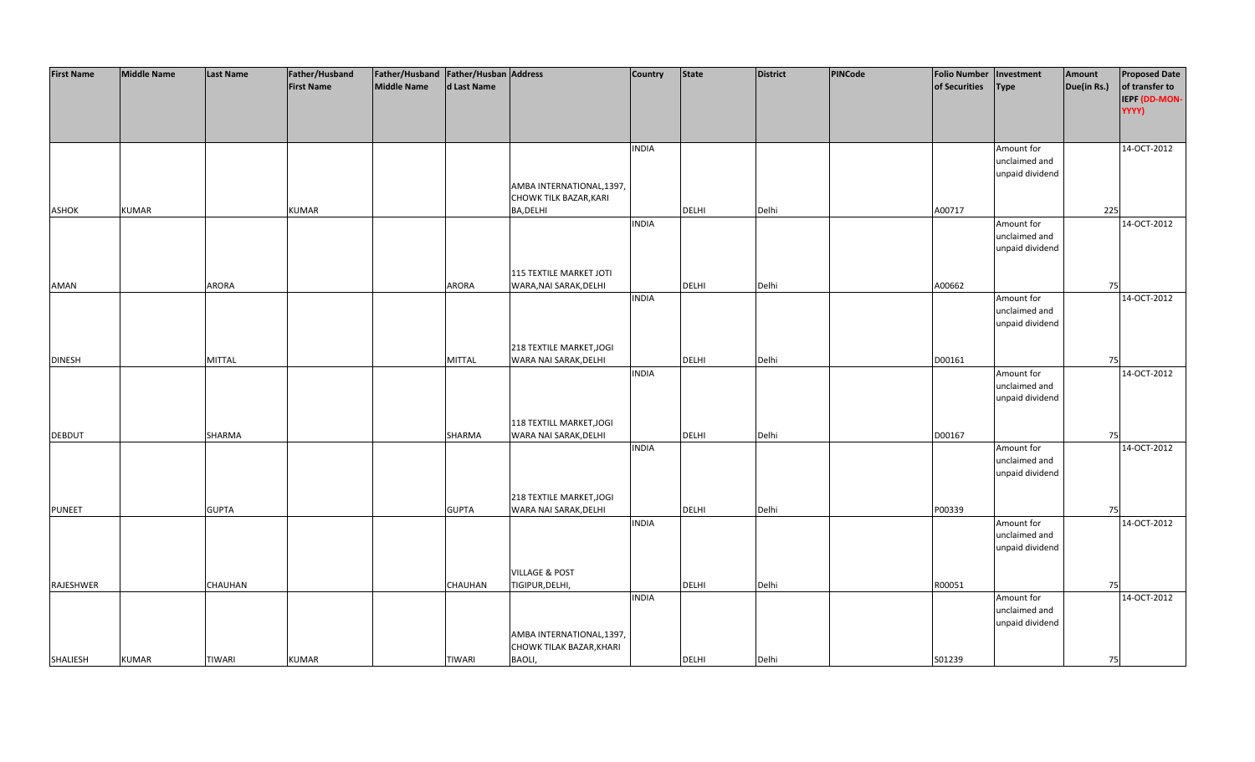| <b>First Name</b> | <b>Middle Name</b> | <b>Last Name</b> | Father/Husband    | Father/Husband   Father/Husban   Address |                |                                | <b>Country</b> | <b>State</b> | <b>District</b> | PINCode | <b>Folio Number</b> | Investment      | Amount      | <b>Proposed Date</b> |
|-------------------|--------------------|------------------|-------------------|------------------------------------------|----------------|--------------------------------|----------------|--------------|-----------------|---------|---------------------|-----------------|-------------|----------------------|
|                   |                    |                  | <b>First Name</b> | <b>Middle Name</b>                       | d Last Name    |                                |                |              |                 |         | of Securities       | <b>Type</b>     | Due(in Rs.) | of transfer to       |
|                   |                    |                  |                   |                                          |                |                                |                |              |                 |         |                     |                 |             | IEPF (DD-MON-        |
|                   |                    |                  |                   |                                          |                |                                |                |              |                 |         |                     |                 |             | YYYY)                |
|                   |                    |                  |                   |                                          |                |                                |                |              |                 |         |                     |                 |             |                      |
|                   |                    |                  |                   |                                          |                |                                |                |              |                 |         |                     |                 |             |                      |
|                   |                    |                  |                   |                                          |                |                                | <b>INDIA</b>   |              |                 |         |                     | Amount for      |             | 14-OCT-2012          |
|                   |                    |                  |                   |                                          |                |                                |                |              |                 |         |                     | unclaimed and   |             |                      |
|                   |                    |                  |                   |                                          |                |                                |                |              |                 |         |                     | unpaid dividend |             |                      |
|                   |                    |                  |                   |                                          |                | AMBA INTERNATIONAL,1397,       |                |              |                 |         |                     |                 |             |                      |
|                   |                    |                  |                   |                                          |                | <b>CHOWK TILK BAZAR, KARI</b>  |                |              |                 |         |                     |                 |             |                      |
| ASHOK             | <b>KUMAR</b>       |                  | <b>KUMAR</b>      |                                          |                | BA, DELHI                      |                | <b>DELHI</b> | Delhi           |         | A00717              |                 | 225         |                      |
|                   |                    |                  |                   |                                          |                |                                | <b>INDIA</b>   |              |                 |         |                     | Amount for      |             | 14-OCT-2012          |
|                   |                    |                  |                   |                                          |                |                                |                |              |                 |         |                     | unclaimed and   |             |                      |
|                   |                    |                  |                   |                                          |                |                                |                |              |                 |         |                     |                 |             |                      |
|                   |                    |                  |                   |                                          |                |                                |                |              |                 |         |                     | unpaid dividend |             |                      |
|                   |                    |                  |                   |                                          |                | <b>115 TEXTILE MARKET JOTI</b> |                |              |                 |         |                     |                 |             |                      |
|                   |                    |                  |                   |                                          |                |                                |                |              | Delhi           |         | A00662              |                 |             |                      |
| AMAN              |                    | ARORA            |                   |                                          | <b>ARORA</b>   | WARA, NAI SARAK, DELHI         |                | <b>DELHI</b> |                 |         |                     |                 | 75          |                      |
|                   |                    |                  |                   |                                          |                |                                | <b>INDIA</b>   |              |                 |         |                     | Amount for      |             | 14-OCT-2012          |
|                   |                    |                  |                   |                                          |                |                                |                |              |                 |         |                     | unclaimed and   |             |                      |
|                   |                    |                  |                   |                                          |                |                                |                |              |                 |         |                     | unpaid dividend |             |                      |
|                   |                    |                  |                   |                                          |                |                                |                |              |                 |         |                     |                 |             |                      |
|                   |                    |                  |                   |                                          |                | 218 TEXTILE MARKET, JOGI       |                |              |                 |         |                     |                 |             |                      |
| <b>DINESH</b>     |                    | <b>MITTAL</b>    |                   |                                          | <b>MITTAL</b>  | WARA NAI SARAK, DELHI          |                | <b>DELHI</b> | Delhi           |         | D00161              |                 | 75          |                      |
|                   |                    |                  |                   |                                          |                |                                | <b>INDIA</b>   |              |                 |         |                     | Amount for      |             | 14-OCT-2012          |
|                   |                    |                  |                   |                                          |                |                                |                |              |                 |         |                     | unclaimed and   |             |                      |
|                   |                    |                  |                   |                                          |                |                                |                |              |                 |         |                     | unpaid dividend |             |                      |
|                   |                    |                  |                   |                                          |                |                                |                |              |                 |         |                     |                 |             |                      |
|                   |                    |                  |                   |                                          |                | 118 TEXTILL MARKET, JOGI       |                |              |                 |         |                     |                 |             |                      |
| DEBDUT            |                    | SHARMA           |                   |                                          | SHARMA         | WARA NAI SARAK, DELHI          |                | <b>DELHI</b> | Delhi           |         | D00167              |                 | 75          |                      |
|                   |                    |                  |                   |                                          |                |                                | <b>INDIA</b>   |              |                 |         |                     | Amount for      |             | 14-OCT-2012          |
|                   |                    |                  |                   |                                          |                |                                |                |              |                 |         |                     | unclaimed and   |             |                      |
|                   |                    |                  |                   |                                          |                |                                |                |              |                 |         |                     | unpaid dividend |             |                      |
|                   |                    |                  |                   |                                          |                |                                |                |              |                 |         |                     |                 |             |                      |
|                   |                    |                  |                   |                                          |                | 218 TEXTILE MARKET, JOGI       |                |              |                 |         |                     |                 |             |                      |
| <b>PUNEET</b>     |                    | <b>GUPTA</b>     |                   |                                          | <b>GUPTA</b>   | WARA NAI SARAK, DELHI          |                | DELHI        | Delhi           |         | P00339              |                 | 75          |                      |
|                   |                    |                  |                   |                                          |                |                                | <b>INDIA</b>   |              |                 |         |                     | Amount for      |             | 14-OCT-2012          |
|                   |                    |                  |                   |                                          |                |                                |                |              |                 |         |                     | unclaimed and   |             |                      |
|                   |                    |                  |                   |                                          |                |                                |                |              |                 |         |                     | unpaid dividend |             |                      |
|                   |                    |                  |                   |                                          |                |                                |                |              |                 |         |                     |                 |             |                      |
|                   |                    |                  |                   |                                          |                | <b>VILLAGE &amp; POST</b>      |                |              |                 |         |                     |                 |             |                      |
| RAJESHWER         |                    | <b>CHAUHAN</b>   |                   |                                          | <b>CHAUHAN</b> | TIGIPUR, DELHI,                |                | <b>DELHI</b> | Delhi           |         | R00051              |                 | 75          |                      |
|                   |                    |                  |                   |                                          |                |                                | <b>INDIA</b>   |              |                 |         |                     | Amount for      |             | 14-OCT-2012          |
|                   |                    |                  |                   |                                          |                |                                |                |              |                 |         |                     | unclaimed and   |             |                      |
|                   |                    |                  |                   |                                          |                |                                |                |              |                 |         |                     | unpaid dividend |             |                      |
|                   |                    |                  |                   |                                          |                | AMBA INTERNATIONAL, 1397,      |                |              |                 |         |                     |                 |             |                      |
|                   |                    |                  |                   |                                          |                | CHOWK TILAK BAZAR, KHARI       |                |              |                 |         |                     |                 |             |                      |
| SHALIESH          | <b>KUMAR</b>       | <b>TIWARI</b>    | <b>KUMAR</b>      |                                          | <b>TIWARI</b>  | <b>BAOLI,</b>                  |                | <b>DELHI</b> | Delhi           |         | S01239              |                 | 75          |                      |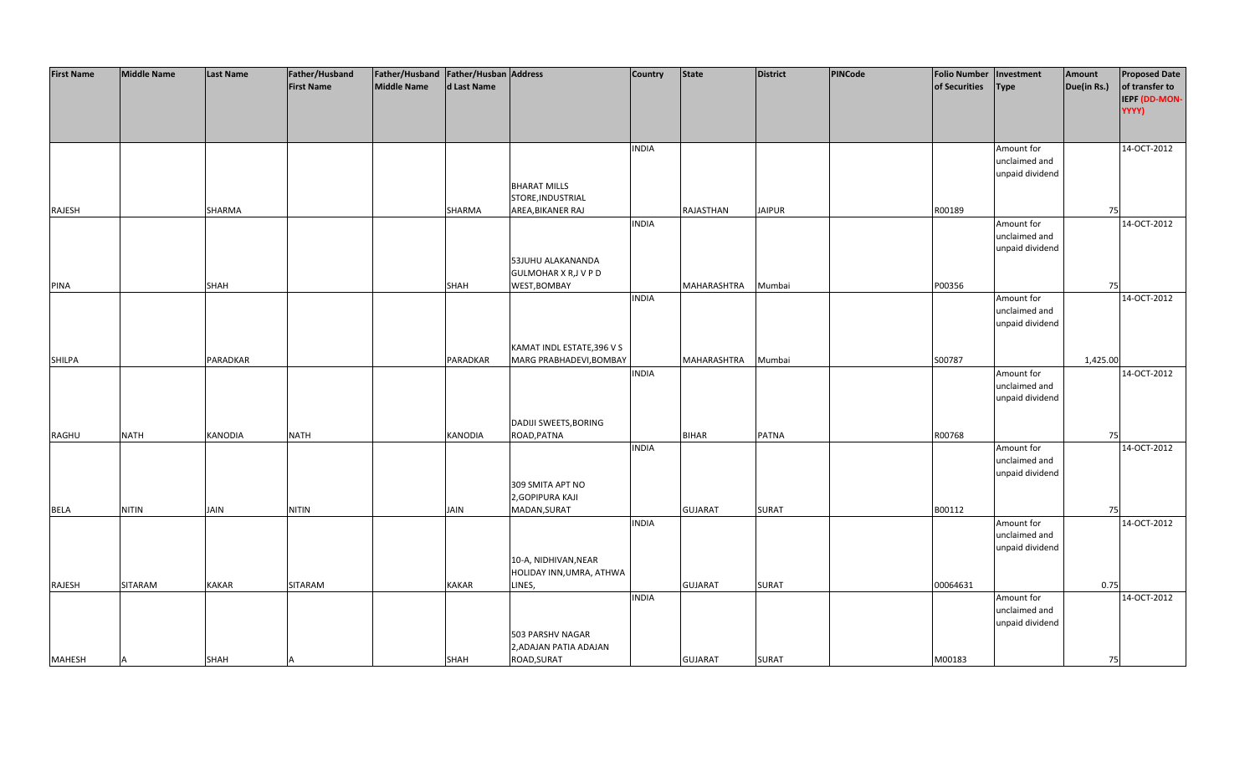| <b>First Name</b> | <b>Middle Name</b> | <b>Last Name</b> | Father/Husband    | Father/Husband Father/Husban Address |                |                              | <b>Country</b> | <b>State</b>   | <b>District</b> | PINCode | <b>Folio Number</b> | Investment      | Amount      | <b>Proposed Date</b> |
|-------------------|--------------------|------------------|-------------------|--------------------------------------|----------------|------------------------------|----------------|----------------|-----------------|---------|---------------------|-----------------|-------------|----------------------|
|                   |                    |                  | <b>First Name</b> | <b>Middle Name</b>                   | d Last Name    |                              |                |                |                 |         | of Securities       | <b>Type</b>     | Due(in Rs.) | of transfer to       |
|                   |                    |                  |                   |                                      |                |                              |                |                |                 |         |                     |                 |             |                      |
|                   |                    |                  |                   |                                      |                |                              |                |                |                 |         |                     |                 |             | IEPF (DD-MON-        |
|                   |                    |                  |                   |                                      |                |                              |                |                |                 |         |                     |                 |             | YYYY)                |
|                   |                    |                  |                   |                                      |                |                              |                |                |                 |         |                     |                 |             |                      |
|                   |                    |                  |                   |                                      |                |                              |                |                |                 |         |                     |                 |             |                      |
|                   |                    |                  |                   |                                      |                |                              | <b>INDIA</b>   |                |                 |         |                     | Amount for      |             | 14-OCT-2012          |
|                   |                    |                  |                   |                                      |                |                              |                |                |                 |         |                     | unclaimed and   |             |                      |
|                   |                    |                  |                   |                                      |                |                              |                |                |                 |         |                     | unpaid dividend |             |                      |
|                   |                    |                  |                   |                                      |                | <b>BHARAT MILLS</b>          |                |                |                 |         |                     |                 |             |                      |
|                   |                    |                  |                   |                                      |                |                              |                |                |                 |         |                     |                 |             |                      |
|                   |                    |                  |                   |                                      |                | STORE, INDUSTRIAL            |                |                |                 |         |                     |                 |             |                      |
| RAJESH            |                    | SHARMA           |                   |                                      | SHARMA         | AREA, BIKANER RAJ            |                | RAJASTHAN      | <b>JAIPUR</b>   |         | R00189              |                 | 75          |                      |
|                   |                    |                  |                   |                                      |                |                              | <b>INDIA</b>   |                |                 |         |                     | Amount for      |             | 14-OCT-2012          |
|                   |                    |                  |                   |                                      |                |                              |                |                |                 |         |                     | unclaimed and   |             |                      |
|                   |                    |                  |                   |                                      |                |                              |                |                |                 |         |                     | unpaid dividend |             |                      |
|                   |                    |                  |                   |                                      |                | 53JUHU ALAKANANDA            |                |                |                 |         |                     |                 |             |                      |
|                   |                    |                  |                   |                                      |                | <b>GULMOHAR X R, J V P D</b> |                |                |                 |         |                     |                 |             |                      |
| <b>PINA</b>       |                    | <b>SHAH</b>      |                   |                                      | SHAH           | WEST, BOMBAY                 |                | MAHARASHTRA    | Mumbai          |         | P00356              |                 | 75          |                      |
|                   |                    |                  |                   |                                      |                |                              | <b>INDIA</b>   |                |                 |         |                     | Amount for      |             | 14-OCT-2012          |
|                   |                    |                  |                   |                                      |                |                              |                |                |                 |         |                     |                 |             |                      |
|                   |                    |                  |                   |                                      |                |                              |                |                |                 |         |                     | unclaimed and   |             |                      |
|                   |                    |                  |                   |                                      |                |                              |                |                |                 |         |                     | unpaid dividend |             |                      |
|                   |                    |                  |                   |                                      |                |                              |                |                |                 |         |                     |                 |             |                      |
|                   |                    |                  |                   |                                      |                | KAMAT INDL ESTATE, 396 V S   |                |                |                 |         |                     |                 |             |                      |
| <b>SHILPA</b>     |                    | PARADKAR         |                   |                                      | PARADKAR       | MARG PRABHADEVI, BOMBAY      |                | MAHARASHTRA    | Mumbai          |         | S00787              |                 | 1,425.00    |                      |
|                   |                    |                  |                   |                                      |                |                              | <b>INDIA</b>   |                |                 |         |                     | Amount for      |             | 14-OCT-2012          |
|                   |                    |                  |                   |                                      |                |                              |                |                |                 |         |                     | unclaimed and   |             |                      |
|                   |                    |                  |                   |                                      |                |                              |                |                |                 |         |                     | unpaid dividend |             |                      |
|                   |                    |                  |                   |                                      |                |                              |                |                |                 |         |                     |                 |             |                      |
|                   |                    |                  |                   |                                      |                |                              |                |                |                 |         |                     |                 |             |                      |
|                   |                    |                  |                   |                                      |                | <b>DADIJI SWEETS, BORING</b> |                |                |                 |         |                     |                 |             |                      |
| RAGHU             | <b>NATH</b>        | <b>KANODIA</b>   | <b>NATH</b>       |                                      | <b>KANODIA</b> | ROAD, PATNA                  |                | <b>BIHAR</b>   | <b>PATNA</b>    |         | R00768              |                 | 75          |                      |
|                   |                    |                  |                   |                                      |                |                              | <b>INDIA</b>   |                |                 |         |                     | Amount for      |             | 14-OCT-2012          |
|                   |                    |                  |                   |                                      |                |                              |                |                |                 |         |                     | unclaimed and   |             |                      |
|                   |                    |                  |                   |                                      |                |                              |                |                |                 |         |                     | unpaid dividend |             |                      |
|                   |                    |                  |                   |                                      |                | 309 SMITA APT NO             |                |                |                 |         |                     |                 |             |                      |
|                   |                    |                  |                   |                                      |                | 2, GOPIPURA KAJI             |                |                |                 |         |                     |                 |             |                      |
| <b>BELA</b>       | <b>NITIN</b>       | <b>JAIN</b>      | <b>NITIN</b>      |                                      | <b>JAIN</b>    | MADAN, SURAT                 |                | <b>GUJARAT</b> | <b>SURAT</b>    |         | B00112              |                 | 75          |                      |
|                   |                    |                  |                   |                                      |                |                              | <b>INDIA</b>   |                |                 |         |                     | Amount for      |             | 14-OCT-2012          |
|                   |                    |                  |                   |                                      |                |                              |                |                |                 |         |                     | unclaimed and   |             |                      |
|                   |                    |                  |                   |                                      |                |                              |                |                |                 |         |                     |                 |             |                      |
|                   |                    |                  |                   |                                      |                |                              |                |                |                 |         |                     | unpaid dividend |             |                      |
|                   |                    |                  |                   |                                      |                | 10-A, NIDHIVAN, NEAR         |                |                |                 |         |                     |                 |             |                      |
|                   |                    |                  |                   |                                      |                | HOLIDAY INN, UMRA, ATHWA     |                |                |                 |         |                     |                 |             |                      |
| RAJESH            | SITARAM            | <b>KAKAR</b>     | SITARAM           |                                      | <b>KAKAR</b>   | LINES,                       |                | <b>GUJARAT</b> | <b>SURAT</b>    |         | 00064631            |                 | 0.75        |                      |
|                   |                    |                  |                   |                                      |                |                              | <b>INDIA</b>   |                |                 |         |                     | Amount for      |             | 14-OCT-2012          |
|                   |                    |                  |                   |                                      |                |                              |                |                |                 |         |                     | unclaimed and   |             |                      |
|                   |                    |                  |                   |                                      |                |                              |                |                |                 |         |                     | unpaid dividend |             |                      |
|                   |                    |                  |                   |                                      |                | 503 PARSHV NAGAR             |                |                |                 |         |                     |                 |             |                      |
|                   |                    |                  |                   |                                      |                | 2, ADAJAN PATIA ADAJAN       |                |                |                 |         |                     |                 |             |                      |
| <b>MAHESH</b>     | A                  | <b>SHAH</b>      |                   |                                      | <b>SHAH</b>    | ROAD, SURAT                  |                | <b>GUJARAT</b> | <b>SURAT</b>    |         | M00183              |                 | 75          |                      |
|                   |                    |                  |                   |                                      |                |                              |                |                |                 |         |                     |                 |             |                      |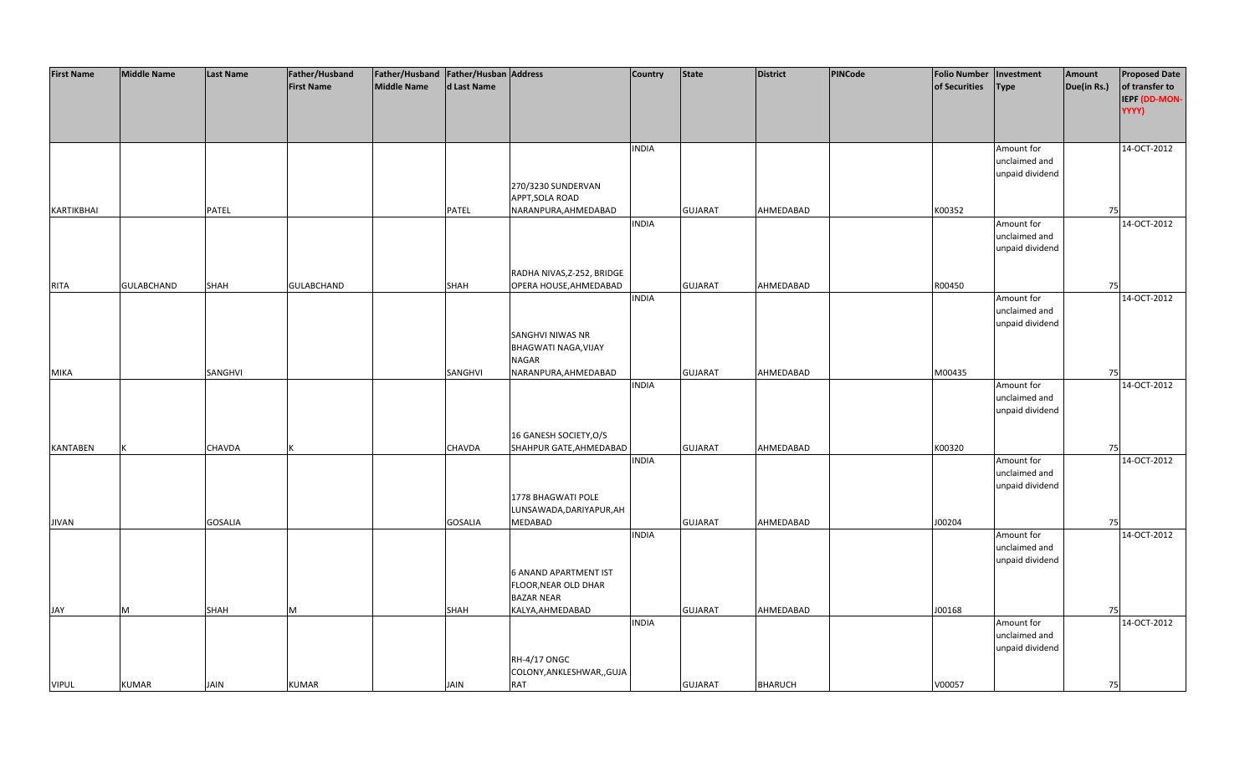| <b>First Name</b> | <b>Middle Name</b> | <b>Last Name</b> | Father/Husband    | Father/Husband   Father/Husban   Address |                |                                                   | Country      | <b>State</b>   | District       | <b>PINCode</b> | <b>Folio Number</b> | Investment                       | Amount      | <b>Proposed Date</b>                     |
|-------------------|--------------------|------------------|-------------------|------------------------------------------|----------------|---------------------------------------------------|--------------|----------------|----------------|----------------|---------------------|----------------------------------|-------------|------------------------------------------|
|                   |                    |                  | <b>First Name</b> | <b>Middle Name</b>                       | d Last Name    |                                                   |              |                |                |                | of Securities       | <b>Type</b>                      | Due(in Rs.) | of transfer to<br>IEPF (DD-MON-<br>YYYY) |
|                   |                    |                  |                   |                                          |                |                                                   | <b>INDIA</b> |                |                |                |                     | Amount for                       |             | 14-OCT-2012                              |
|                   |                    |                  |                   |                                          |                |                                                   |              |                |                |                |                     | unclaimed and<br>unpaid dividend |             |                                          |
|                   |                    |                  |                   |                                          |                | 270/3230 SUNDERVAN<br>APPT, SOLA ROAD             |              |                |                |                |                     |                                  |             |                                          |
| <b>KARTIKBHAI</b> |                    | PATEL            |                   |                                          | PATEL          | NARANPURA, AHMEDABAD                              |              | <b>GUJARAT</b> | AHMEDABAD      |                | K00352              |                                  | 75          |                                          |
|                   |                    |                  |                   |                                          |                |                                                   | <b>INDIA</b> |                |                |                |                     | Amount for                       |             | 14-OCT-2012                              |
|                   |                    |                  |                   |                                          |                |                                                   |              |                |                |                |                     | unclaimed and<br>unpaid dividend |             |                                          |
|                   |                    |                  |                   |                                          |                |                                                   |              |                |                |                |                     |                                  |             |                                          |
|                   |                    |                  |                   |                                          |                | RADHA NIVAS, Z-252, BRIDGE                        |              |                |                |                |                     |                                  |             |                                          |
| <b>RITA</b>       | <b>GULABCHAND</b>  | SHAH             | <b>GULABCHAND</b> |                                          | SHAH           | OPERA HOUSE, AHMEDABAD                            | <b>INDIA</b> | <b>GUJARAT</b> | AHMEDABAD      |                | R00450              | Amount for                       | 75          | 14-OCT-2012                              |
|                   |                    |                  |                   |                                          |                |                                                   |              |                |                |                |                     | unclaimed and                    |             |                                          |
|                   |                    |                  |                   |                                          |                |                                                   |              |                |                |                |                     | unpaid dividend                  |             |                                          |
|                   |                    |                  |                   |                                          |                | SANGHVI NIWAS NR                                  |              |                |                |                |                     |                                  |             |                                          |
|                   |                    |                  |                   |                                          |                | BHAGWATI NAGA, VIJAY                              |              |                |                |                |                     |                                  |             |                                          |
| <b>MIKA</b>       |                    | SANGHVI          |                   |                                          | SANGHVI        | <b>NAGAR</b><br>NARANPURA, AHMEDABAD              |              | <b>GUJARAT</b> | AHMEDABAD      |                | M00435              |                                  | 75          |                                          |
|                   |                    |                  |                   |                                          |                |                                                   | <b>INDIA</b> |                |                |                |                     | Amount for                       |             | 14-OCT-2012                              |
|                   |                    |                  |                   |                                          |                |                                                   |              |                |                |                |                     | unclaimed and                    |             |                                          |
|                   |                    |                  |                   |                                          |                |                                                   |              |                |                |                |                     | unpaid dividend                  |             |                                          |
|                   |                    |                  |                   |                                          |                |                                                   |              |                |                |                |                     |                                  |             |                                          |
| KANTABEN          |                    | CHAVDA           |                   |                                          | CHAVDA         | 16 GANESH SOCIETY, O/S<br>SHAHPUR GATE, AHMEDABAD |              | <b>GUJARAT</b> | AHMEDABAD      |                | K00320              |                                  | 75          |                                          |
|                   |                    |                  |                   |                                          |                |                                                   | <b>INDIA</b> |                |                |                |                     | Amount for                       |             | 14-OCT-2012                              |
|                   |                    |                  |                   |                                          |                |                                                   |              |                |                |                |                     | unclaimed and                    |             |                                          |
|                   |                    |                  |                   |                                          |                |                                                   |              |                |                |                |                     | unpaid dividend                  |             |                                          |
|                   |                    |                  |                   |                                          |                | 1778 BHAGWATI POLE                                |              |                |                |                |                     |                                  |             |                                          |
| <b>JIVAN</b>      |                    | <b>GOSALIA</b>   |                   |                                          | <b>GOSALIA</b> | LUNSAWADA, DARIYAPUR, AH<br>MEDABAD               |              | <b>GUJARAT</b> | AHMEDABAD      |                | J00204              |                                  | 75          |                                          |
|                   |                    |                  |                   |                                          |                |                                                   | <b>INDIA</b> |                |                |                |                     | Amount for                       |             | 14-OCT-2012                              |
|                   |                    |                  |                   |                                          |                |                                                   |              |                |                |                |                     | unclaimed and                    |             |                                          |
|                   |                    |                  |                   |                                          |                |                                                   |              |                |                |                |                     | unpaid dividend                  |             |                                          |
|                   |                    |                  |                   |                                          |                | <b>6 ANAND APARTMENT IST</b>                      |              |                |                |                |                     |                                  |             |                                          |
|                   |                    |                  |                   |                                          |                | FLOOR, NEAR OLD DHAR<br><b>BAZAR NEAR</b>         |              |                |                |                |                     |                                  |             |                                          |
| JAY               | M                  | SHAH             | M                 |                                          | SHAH           | KALYA, AHMEDABAD                                  |              | <b>GUJARAT</b> | AHMEDABAD      |                | J00168              |                                  | 75          |                                          |
|                   |                    |                  |                   |                                          |                |                                                   | <b>INDIA</b> |                |                |                |                     | Amount for                       |             | 14-OCT-2012                              |
|                   |                    |                  |                   |                                          |                |                                                   |              |                |                |                |                     | unclaimed and                    |             |                                          |
|                   |                    |                  |                   |                                          |                |                                                   |              |                |                |                |                     | unpaid dividend                  |             |                                          |
|                   |                    |                  |                   |                                          |                | <b>RH-4/17 ONGC</b><br>COLONY, ANKLESHWAR, , GUJA |              |                |                |                |                     |                                  |             |                                          |
| <b>VIPUL</b>      | <b>KUMAR</b>       | <b>JAIN</b>      | <b>KUMAR</b>      |                                          | JAIN           | <b>RAT</b>                                        |              | <b>GUJARAT</b> | <b>BHARUCH</b> |                | V00057              |                                  | 75          |                                          |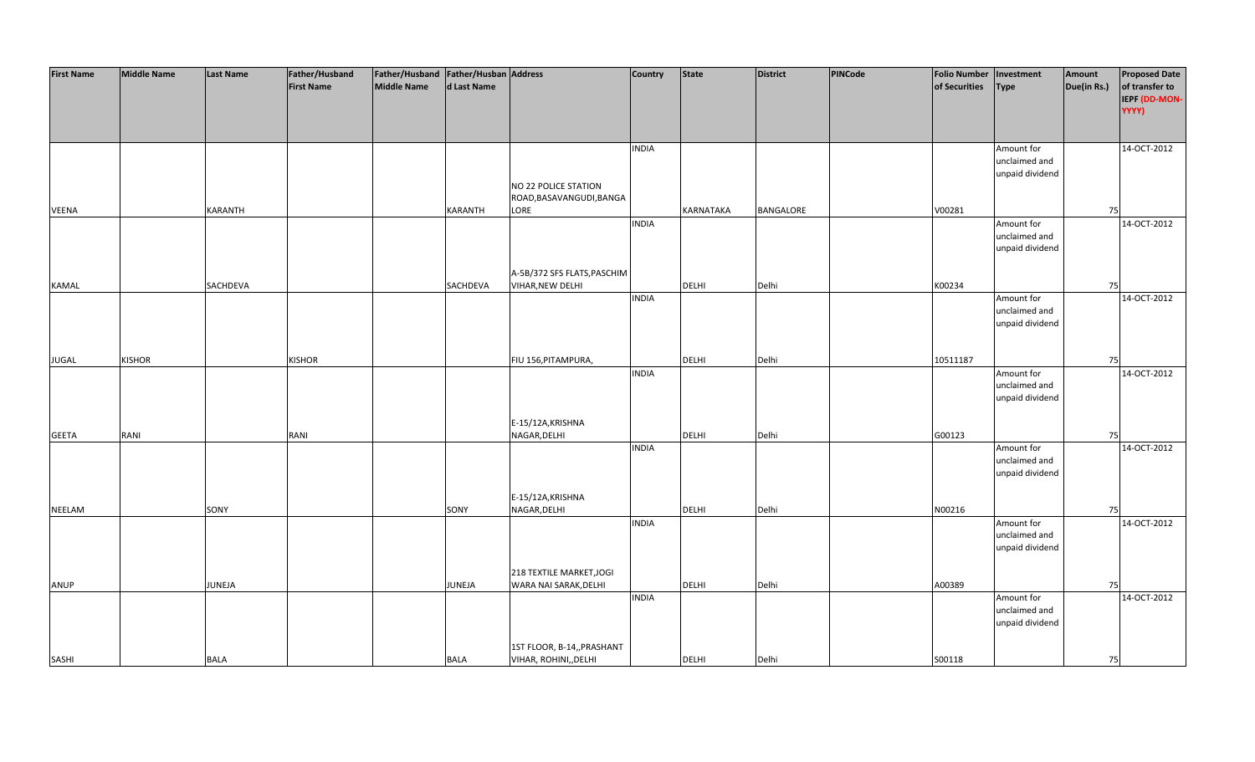| <b>First Name</b> | <b>Middle Name</b> | <b>Last Name</b> | Father/Husband    | Father/Husband Father/Husban Address |                |                             | Country      | <b>State</b>     | <b>District</b>  | PINCode | <b>Folio Number</b> | Investment      | Amount      | <b>Proposed Date</b> |
|-------------------|--------------------|------------------|-------------------|--------------------------------------|----------------|-----------------------------|--------------|------------------|------------------|---------|---------------------|-----------------|-------------|----------------------|
|                   |                    |                  | <b>First Name</b> | <b>Middle Name</b>                   | d Last Name    |                             |              |                  |                  |         | of Securities       | <b>Type</b>     | Due(in Rs.) | of transfer to       |
|                   |                    |                  |                   |                                      |                |                             |              |                  |                  |         |                     |                 |             | IEPF (DD-MON-        |
|                   |                    |                  |                   |                                      |                |                             |              |                  |                  |         |                     |                 |             | YYYY)                |
|                   |                    |                  |                   |                                      |                |                             |              |                  |                  |         |                     |                 |             |                      |
|                   |                    |                  |                   |                                      |                |                             |              |                  |                  |         |                     |                 |             |                      |
|                   |                    |                  |                   |                                      |                |                             | <b>INDIA</b> |                  |                  |         |                     | Amount for      |             | 14-OCT-2012          |
|                   |                    |                  |                   |                                      |                |                             |              |                  |                  |         |                     | unclaimed and   |             |                      |
|                   |                    |                  |                   |                                      |                |                             |              |                  |                  |         |                     | unpaid dividend |             |                      |
|                   |                    |                  |                   |                                      |                | NO 22 POLICE STATION        |              |                  |                  |         |                     |                 |             |                      |
|                   |                    |                  |                   |                                      |                | ROAD, BASAVANGUDI, BANGA    |              |                  |                  |         |                     |                 |             |                      |
| <b>VEENA</b>      |                    | <b>KARANTH</b>   |                   |                                      | <b>KARANTH</b> | LORE                        |              | <b>KARNATAKA</b> | <b>BANGALORE</b> |         | V00281              |                 | 75          |                      |
|                   |                    |                  |                   |                                      |                |                             | <b>INDIA</b> |                  |                  |         |                     | Amount for      |             | 14-OCT-2012          |
|                   |                    |                  |                   |                                      |                |                             |              |                  |                  |         |                     | unclaimed and   |             |                      |
|                   |                    |                  |                   |                                      |                |                             |              |                  |                  |         |                     | unpaid dividend |             |                      |
|                   |                    |                  |                   |                                      |                |                             |              |                  |                  |         |                     |                 |             |                      |
|                   |                    |                  |                   |                                      |                | A-5B/372 SFS FLATS, PASCHIM |              |                  |                  |         |                     |                 |             |                      |
| <b>KAMAL</b>      |                    | SACHDEVA         |                   |                                      | SACHDEVA       | <b>VIHAR, NEW DELHI</b>     |              | <b>DELHI</b>     | Delhi            |         | K00234              |                 | 75          |                      |
|                   |                    |                  |                   |                                      |                |                             | <b>INDIA</b> |                  |                  |         |                     | Amount for      |             | 14-OCT-2012          |
|                   |                    |                  |                   |                                      |                |                             |              |                  |                  |         |                     | unclaimed and   |             |                      |
|                   |                    |                  |                   |                                      |                |                             |              |                  |                  |         |                     | unpaid dividend |             |                      |
|                   |                    |                  |                   |                                      |                |                             |              |                  |                  |         |                     |                 |             |                      |
|                   |                    |                  |                   |                                      |                |                             |              |                  |                  |         |                     |                 |             |                      |
| <b>JUGAL</b>      | <b>KISHOR</b>      |                  | <b>KISHOR</b>     |                                      |                | FIU 156, PITAMPURA,         |              | DELHI            | Delhi            |         | 10511187            |                 | 75          |                      |
|                   |                    |                  |                   |                                      |                |                             | <b>INDIA</b> |                  |                  |         |                     | Amount for      |             | 14-OCT-2012          |
|                   |                    |                  |                   |                                      |                |                             |              |                  |                  |         |                     | unclaimed and   |             |                      |
|                   |                    |                  |                   |                                      |                |                             |              |                  |                  |         |                     | unpaid dividend |             |                      |
|                   |                    |                  |                   |                                      |                |                             |              |                  |                  |         |                     |                 |             |                      |
|                   |                    |                  |                   |                                      |                | E-15/12A, KRISHNA           |              |                  |                  |         |                     |                 |             |                      |
| <b>GEETA</b>      | RANI               |                  | RANI              |                                      |                | NAGAR, DELHI                |              | DELHI            | Delhi            |         | G00123              |                 | 75          |                      |
|                   |                    |                  |                   |                                      |                |                             | <b>INDIA</b> |                  |                  |         |                     | Amount for      |             | 14-OCT-2012          |
|                   |                    |                  |                   |                                      |                |                             |              |                  |                  |         |                     | unclaimed and   |             |                      |
|                   |                    |                  |                   |                                      |                |                             |              |                  |                  |         |                     | unpaid dividend |             |                      |
|                   |                    |                  |                   |                                      |                |                             |              |                  |                  |         |                     |                 |             |                      |
|                   |                    |                  |                   |                                      |                | E-15/12A, KRISHNA           |              |                  |                  |         |                     |                 |             |                      |
| <b>NEELAM</b>     |                    | SONY             |                   |                                      | SONY           | NAGAR, DELHI                |              | DELHI            | Delhi            |         | N00216              |                 | 75          |                      |
|                   |                    |                  |                   |                                      |                |                             | <b>INDIA</b> |                  |                  |         |                     | Amount for      |             | 14-OCT-2012          |
|                   |                    |                  |                   |                                      |                |                             |              |                  |                  |         |                     | unclaimed and   |             |                      |
|                   |                    |                  |                   |                                      |                |                             |              |                  |                  |         |                     | unpaid dividend |             |                      |
|                   |                    |                  |                   |                                      |                |                             |              |                  |                  |         |                     |                 |             |                      |
|                   |                    |                  |                   |                                      |                | 218 TEXTILE MARKET, JOGI    |              |                  |                  |         |                     |                 |             |                      |
| ANUP              |                    | JUNEJA           |                   |                                      | <b>JUNEJA</b>  | WARA NAI SARAK, DELHI       |              | DELHI            | Delhi            |         | A00389              |                 | 75          |                      |
|                   |                    |                  |                   |                                      |                |                             | <b>INDIA</b> |                  |                  |         |                     | Amount for      |             | 14-OCT-2012          |
|                   |                    |                  |                   |                                      |                |                             |              |                  |                  |         |                     | unclaimed and   |             |                      |
|                   |                    |                  |                   |                                      |                |                             |              |                  |                  |         |                     | unpaid dividend |             |                      |
|                   |                    |                  |                   |                                      |                |                             |              |                  |                  |         |                     |                 |             |                      |
|                   |                    |                  |                   |                                      |                | 1ST FLOOR, B-14,, PRASHANT  |              |                  |                  |         |                     |                 |             |                      |
| SASHI             |                    | <b>BALA</b>      |                   |                                      | <b>BALA</b>    | VIHAR, ROHINI, DELHI        |              | <b>DELHI</b>     | Delhi            |         | S00118              |                 | 75          |                      |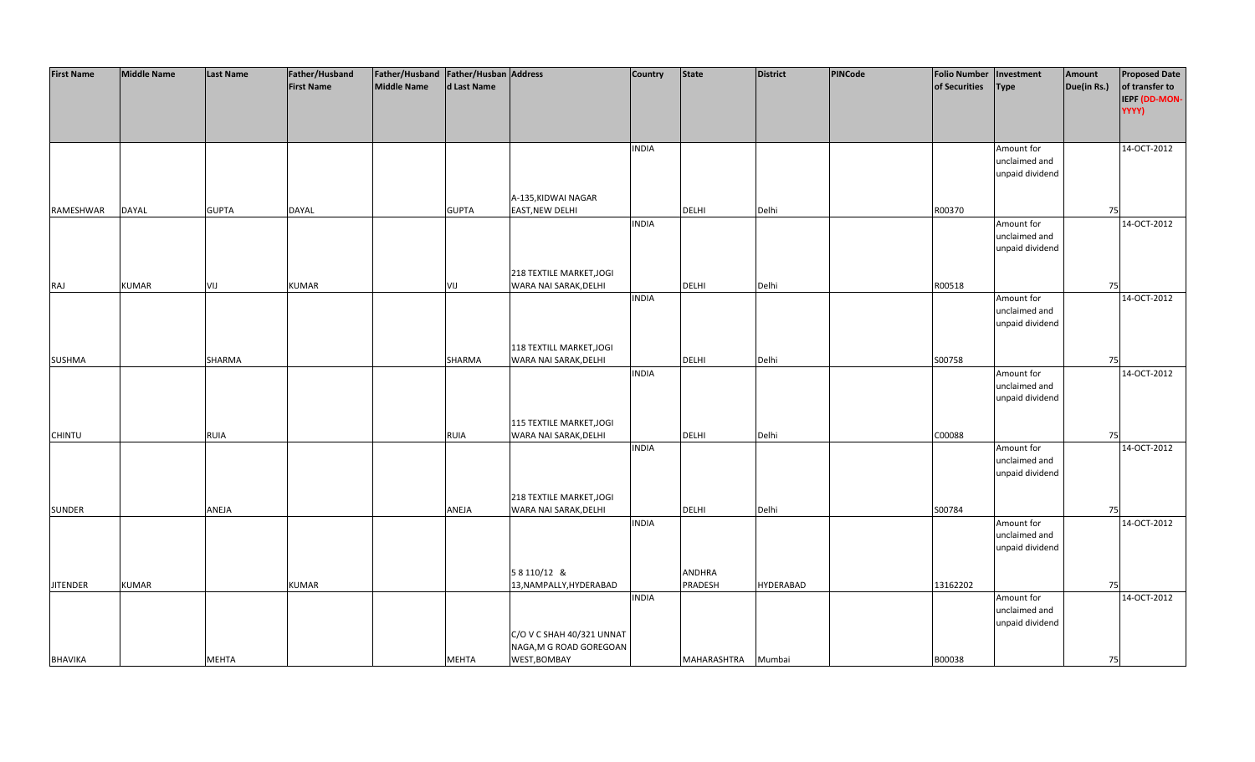| <b>First Name</b> | <b>Middle Name</b> | <b>Last Name</b> | Father/Husband    | Father/Husband Father/Husban Address |              |                           | <b>Country</b> | <b>State</b> | <b>District</b>  | PINCode | <b>Folio Number</b> | Investment      | Amount      | <b>Proposed Date</b> |
|-------------------|--------------------|------------------|-------------------|--------------------------------------|--------------|---------------------------|----------------|--------------|------------------|---------|---------------------|-----------------|-------------|----------------------|
|                   |                    |                  | <b>First Name</b> | <b>Middle Name</b>                   | d Last Name  |                           |                |              |                  |         | of Securities       | <b>Type</b>     | Due(in Rs.) | of transfer to       |
|                   |                    |                  |                   |                                      |              |                           |                |              |                  |         |                     |                 |             | IEPF (DD-MON-        |
|                   |                    |                  |                   |                                      |              |                           |                |              |                  |         |                     |                 |             |                      |
|                   |                    |                  |                   |                                      |              |                           |                |              |                  |         |                     |                 |             | YYYY)                |
|                   |                    |                  |                   |                                      |              |                           |                |              |                  |         |                     |                 |             |                      |
|                   |                    |                  |                   |                                      |              |                           |                |              |                  |         |                     |                 |             |                      |
|                   |                    |                  |                   |                                      |              |                           | <b>INDIA</b>   |              |                  |         |                     | Amount for      |             | 14-OCT-2012          |
|                   |                    |                  |                   |                                      |              |                           |                |              |                  |         |                     | unclaimed and   |             |                      |
|                   |                    |                  |                   |                                      |              |                           |                |              |                  |         |                     | unpaid dividend |             |                      |
|                   |                    |                  |                   |                                      |              |                           |                |              |                  |         |                     |                 |             |                      |
|                   |                    |                  |                   |                                      |              | A-135, KIDWAI NAGAR       |                |              |                  |         |                     |                 |             |                      |
| RAMESHWAR         | <b>DAYAL</b>       | <b>GUPTA</b>     | DAYAL             |                                      | <b>GUPTA</b> | <b>EAST, NEW DELHI</b>    |                | <b>DELHI</b> | Delhi            |         | R00370              |                 | 75          |                      |
|                   |                    |                  |                   |                                      |              |                           | <b>INDIA</b>   |              |                  |         |                     | Amount for      |             | 14-OCT-2012          |
|                   |                    |                  |                   |                                      |              |                           |                |              |                  |         |                     | unclaimed and   |             |                      |
|                   |                    |                  |                   |                                      |              |                           |                |              |                  |         |                     | unpaid dividend |             |                      |
|                   |                    |                  |                   |                                      |              |                           |                |              |                  |         |                     |                 |             |                      |
|                   |                    |                  |                   |                                      |              | 218 TEXTILE MARKET, JOGI  |                |              |                  |         |                     |                 |             |                      |
| RAJ               | <b>KUMAR</b>       | VIJ              | <b>KUMAR</b>      |                                      | VIJ          | WARA NAI SARAK, DELHI     |                | <b>DELHI</b> | Delhi            |         | R00518              |                 | 75          |                      |
|                   |                    |                  |                   |                                      |              |                           | <b>INDIA</b>   |              |                  |         |                     |                 |             | 14-OCT-2012          |
|                   |                    |                  |                   |                                      |              |                           |                |              |                  |         |                     | Amount for      |             |                      |
|                   |                    |                  |                   |                                      |              |                           |                |              |                  |         |                     | unclaimed and   |             |                      |
|                   |                    |                  |                   |                                      |              |                           |                |              |                  |         |                     | unpaid dividend |             |                      |
|                   |                    |                  |                   |                                      |              |                           |                |              |                  |         |                     |                 |             |                      |
|                   |                    |                  |                   |                                      |              | 118 TEXTILL MARKET, JOGI  |                |              |                  |         |                     |                 |             |                      |
| <b>SUSHMA</b>     |                    | SHARMA           |                   |                                      | SHARMA       | WARA NAI SARAK, DELHI     |                | DELHI        | Delhi            |         | S00758              |                 | 75          |                      |
|                   |                    |                  |                   |                                      |              |                           | <b>INDIA</b>   |              |                  |         |                     | Amount for      |             | 14-OCT-2012          |
|                   |                    |                  |                   |                                      |              |                           |                |              |                  |         |                     | unclaimed and   |             |                      |
|                   |                    |                  |                   |                                      |              |                           |                |              |                  |         |                     | unpaid dividend |             |                      |
|                   |                    |                  |                   |                                      |              |                           |                |              |                  |         |                     |                 |             |                      |
|                   |                    |                  |                   |                                      |              | 115 TEXTILE MARKET, JOGI  |                |              |                  |         |                     |                 |             |                      |
| <b>CHINTU</b>     |                    | <b>RUIA</b>      |                   |                                      | <b>RUIA</b>  | WARA NAI SARAK, DELHI     |                | DELHI        | Delhi            |         | C00088              |                 | 75          |                      |
|                   |                    |                  |                   |                                      |              |                           | <b>INDIA</b>   |              |                  |         |                     | Amount for      |             | 14-OCT-2012          |
|                   |                    |                  |                   |                                      |              |                           |                |              |                  |         |                     | unclaimed and   |             |                      |
|                   |                    |                  |                   |                                      |              |                           |                |              |                  |         |                     | unpaid dividend |             |                      |
|                   |                    |                  |                   |                                      |              |                           |                |              |                  |         |                     |                 |             |                      |
|                   |                    |                  |                   |                                      |              | 218 TEXTILE MARKET, JOGI  |                |              |                  |         |                     |                 |             |                      |
|                   |                    | ANEJA            |                   |                                      |              | WARA NAI SARAK, DELHI     |                | DELHI        | Delhi            |         | S00784              |                 | 75          |                      |
| <b>SUNDER</b>     |                    |                  |                   |                                      | ANEJA        |                           |                |              |                  |         |                     |                 |             |                      |
|                   |                    |                  |                   |                                      |              |                           | <b>INDIA</b>   |              |                  |         |                     | Amount for      |             | 14-OCT-2012          |
|                   |                    |                  |                   |                                      |              |                           |                |              |                  |         |                     | unclaimed and   |             |                      |
|                   |                    |                  |                   |                                      |              |                           |                |              |                  |         |                     | unpaid dividend |             |                      |
|                   |                    |                  |                   |                                      |              |                           |                |              |                  |         |                     |                 |             |                      |
|                   |                    |                  |                   |                                      |              | 58110/12 &                |                | ANDHRA       |                  |         |                     |                 |             |                      |
| <b>JITENDER</b>   | <b>KUMAR</b>       |                  | <b>KUMAR</b>      |                                      |              | 13, NAMPALLY, HYDERABAD   |                | PRADESH      | <b>HYDERABAD</b> |         | 13162202            |                 | 75          |                      |
|                   |                    |                  |                   |                                      |              |                           | <b>INDIA</b>   |              |                  |         |                     | Amount for      |             | 14-OCT-2012          |
|                   |                    |                  |                   |                                      |              |                           |                |              |                  |         |                     | unclaimed and   |             |                      |
|                   |                    |                  |                   |                                      |              |                           |                |              |                  |         |                     | unpaid dividend |             |                      |
|                   |                    |                  |                   |                                      |              | C/O V C SHAH 40/321 UNNAT |                |              |                  |         |                     |                 |             |                      |
|                   |                    |                  |                   |                                      |              | NAGA, M G ROAD GOREGOAN   |                |              |                  |         |                     |                 |             |                      |
| <b>BHAVIKA</b>    |                    | <b>MEHTA</b>     |                   |                                      | <b>MEHTA</b> | WEST, BOMBAY              |                | MAHARASHTRA  | Mumbai           |         | B00038              |                 | 75          |                      |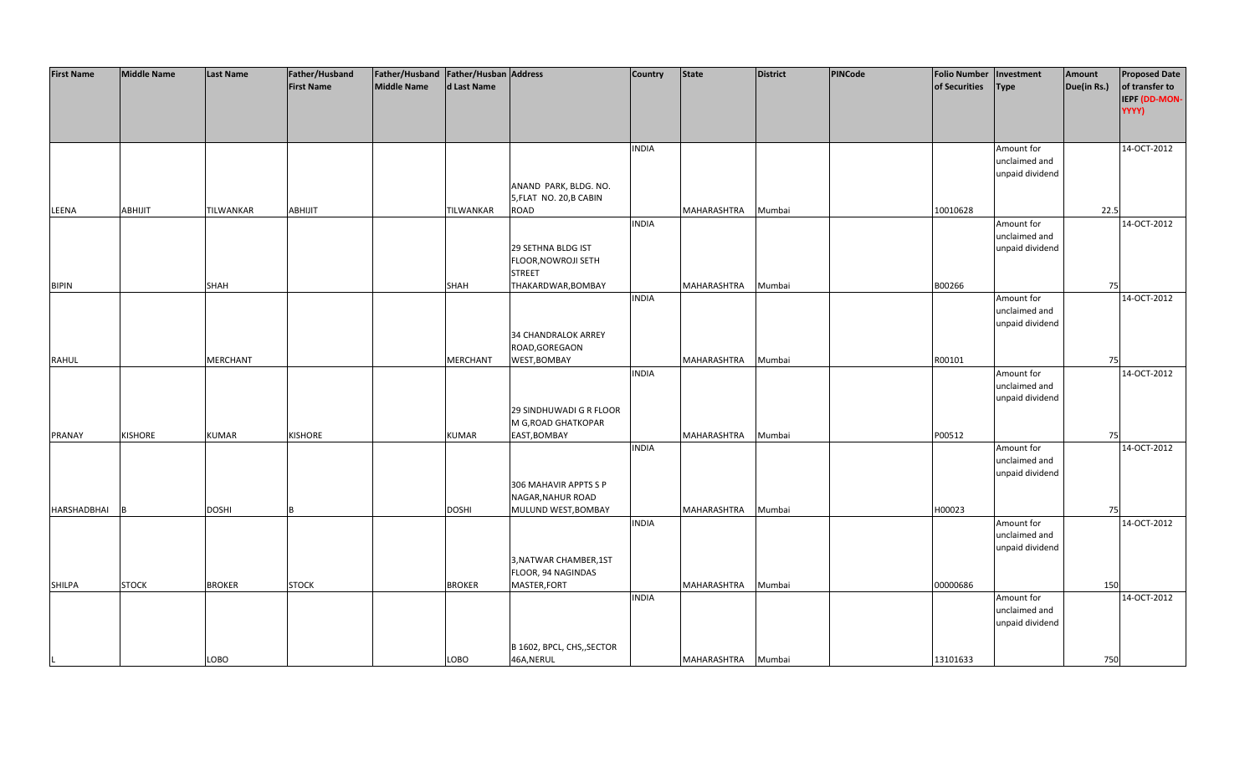| <b>First Name</b> | <b>Middle Name</b> | <b>Last Name</b> | Father/Husband    | Father/Husband   Father/Husban   Address |                  |                            | Country      | <b>State</b> | <b>District</b> | PINCode | <b>Folio Number</b> | Investment      | Amount      | <b>Proposed Date</b> |
|-------------------|--------------------|------------------|-------------------|------------------------------------------|------------------|----------------------------|--------------|--------------|-----------------|---------|---------------------|-----------------|-------------|----------------------|
|                   |                    |                  | <b>First Name</b> | <b>Middle Name</b>                       | d Last Name      |                            |              |              |                 |         | of Securities       | Type            | Due(in Rs.) | of transfer to       |
|                   |                    |                  |                   |                                          |                  |                            |              |              |                 |         |                     |                 |             | IEPF (DD-MON-        |
|                   |                    |                  |                   |                                          |                  |                            |              |              |                 |         |                     |                 |             | YYYY)                |
|                   |                    |                  |                   |                                          |                  |                            |              |              |                 |         |                     |                 |             |                      |
|                   |                    |                  |                   |                                          |                  |                            |              |              |                 |         |                     |                 |             |                      |
|                   |                    |                  |                   |                                          |                  |                            |              |              |                 |         |                     |                 |             |                      |
|                   |                    |                  |                   |                                          |                  |                            | <b>INDIA</b> |              |                 |         |                     | Amount for      |             | 14-OCT-2012          |
|                   |                    |                  |                   |                                          |                  |                            |              |              |                 |         |                     | unclaimed and   |             |                      |
|                   |                    |                  |                   |                                          |                  |                            |              |              |                 |         |                     | unpaid dividend |             |                      |
|                   |                    |                  |                   |                                          |                  | ANAND PARK, BLDG. NO.      |              |              |                 |         |                     |                 |             |                      |
|                   |                    |                  |                   |                                          |                  | 5, FLAT NO. 20, B CABIN    |              |              |                 |         |                     |                 |             |                      |
| LEENA             | <b>ABHIJIT</b>     | <b>TILWANKAR</b> | <b>ABHIJIT</b>    |                                          | <b>TILWANKAR</b> | ROAD                       |              | MAHARASHTRA  | Mumbai          |         | 10010628            |                 | 22.5        |                      |
|                   |                    |                  |                   |                                          |                  |                            | <b>INDIA</b> |              |                 |         |                     | Amount for      |             | 14-OCT-2012          |
|                   |                    |                  |                   |                                          |                  |                            |              |              |                 |         |                     | unclaimed and   |             |                      |
|                   |                    |                  |                   |                                          |                  | 29 SETHNA BLDG IST         |              |              |                 |         |                     | unpaid dividend |             |                      |
|                   |                    |                  |                   |                                          |                  | FLOOR, NOWROJI SETH        |              |              |                 |         |                     |                 |             |                      |
|                   |                    |                  |                   |                                          |                  | <b>STREET</b>              |              |              |                 |         |                     |                 |             |                      |
| <b>BIPIN</b>      |                    | SHAH             |                   |                                          | SHAH             | THAKARDWAR, BOMBAY         |              | MAHARASHTRA  | Mumbai          |         | B00266              |                 | 75          |                      |
|                   |                    |                  |                   |                                          |                  |                            | <b>INDIA</b> |              |                 |         |                     | Amount for      |             | 14-OCT-2012          |
|                   |                    |                  |                   |                                          |                  |                            |              |              |                 |         |                     | unclaimed and   |             |                      |
|                   |                    |                  |                   |                                          |                  |                            |              |              |                 |         |                     | unpaid dividend |             |                      |
|                   |                    |                  |                   |                                          |                  | 34 CHANDRALOK ARREY        |              |              |                 |         |                     |                 |             |                      |
|                   |                    |                  |                   |                                          |                  | ROAD, GOREGAON             |              |              |                 |         |                     |                 |             |                      |
| <b>RAHUL</b>      |                    | <b>MERCHANT</b>  |                   |                                          | <b>MERCHANT</b>  | WEST, BOMBAY               |              | MAHARASHTRA  | Mumbai          |         | R00101              |                 | 75          |                      |
|                   |                    |                  |                   |                                          |                  |                            | <b>INDIA</b> |              |                 |         |                     |                 |             | 14-OCT-2012          |
|                   |                    |                  |                   |                                          |                  |                            |              |              |                 |         |                     | Amount for      |             |                      |
|                   |                    |                  |                   |                                          |                  |                            |              |              |                 |         |                     | unclaimed and   |             |                      |
|                   |                    |                  |                   |                                          |                  |                            |              |              |                 |         |                     | unpaid dividend |             |                      |
|                   |                    |                  |                   |                                          |                  | 29 SINDHUWADI G R FLOOR    |              |              |                 |         |                     |                 |             |                      |
|                   |                    |                  |                   |                                          |                  | M G, ROAD GHATKOPAR        |              |              |                 |         |                     |                 |             |                      |
| PRANAY            | <b>KISHORE</b>     | <b>KUMAR</b>     | <b>KISHORE</b>    |                                          | <b>KUMAR</b>     | EAST, BOMBAY               |              | MAHARASHTRA  | Mumbai          |         | P00512              |                 | 75          |                      |
|                   |                    |                  |                   |                                          |                  |                            | <b>INDIA</b> |              |                 |         |                     | Amount for      |             | 14-OCT-2012          |
|                   |                    |                  |                   |                                          |                  |                            |              |              |                 |         |                     | unclaimed and   |             |                      |
|                   |                    |                  |                   |                                          |                  |                            |              |              |                 |         |                     | unpaid dividend |             |                      |
|                   |                    |                  |                   |                                          |                  | 306 MAHAVIR APPTS S P      |              |              |                 |         |                     |                 |             |                      |
|                   |                    |                  |                   |                                          |                  | NAGAR, NAHUR ROAD          |              |              |                 |         |                     |                 |             |                      |
| HARSHADBHAI       |                    | <b>DOSHI</b>     |                   |                                          | <b>DOSHI</b>     | MULUND WEST, BOMBAY        |              | MAHARASHTRA  | Mumbai          |         | H00023              |                 | 75          |                      |
|                   |                    |                  |                   |                                          |                  |                            | <b>INDIA</b> |              |                 |         |                     | Amount for      |             | 14-OCT-2012          |
|                   |                    |                  |                   |                                          |                  |                            |              |              |                 |         |                     | unclaimed and   |             |                      |
|                   |                    |                  |                   |                                          |                  |                            |              |              |                 |         |                     | unpaid dividend |             |                      |
|                   |                    |                  |                   |                                          |                  | 3, NATWAR CHAMBER, 1ST     |              |              |                 |         |                     |                 |             |                      |
|                   |                    |                  |                   |                                          |                  | FLOOR, 94 NAGINDAS         |              |              |                 |         |                     |                 |             |                      |
| SHILPA            | <b>STOCK</b>       | <b>BROKER</b>    | <b>STOCK</b>      |                                          | <b>BROKER</b>    | MASTER, FORT               |              | MAHARASHTRA  | Mumbai          |         | 00000686            |                 | 150         |                      |
|                   |                    |                  |                   |                                          |                  |                            | <b>INDIA</b> |              |                 |         |                     | Amount for      |             | 14-OCT-2012          |
|                   |                    |                  |                   |                                          |                  |                            |              |              |                 |         |                     | unclaimed and   |             |                      |
|                   |                    |                  |                   |                                          |                  |                            |              |              |                 |         |                     | unpaid dividend |             |                      |
|                   |                    |                  |                   |                                          |                  |                            |              |              |                 |         |                     |                 |             |                      |
|                   |                    |                  |                   |                                          |                  | B 1602, BPCL, CHS,, SECTOR |              |              |                 |         |                     |                 |             |                      |
|                   |                    | LOBO             |                   |                                          | LOBO             | 46A, NERUL                 |              | MAHARASHTRA  | Mumbai          |         | 13101633            |                 | 750         |                      |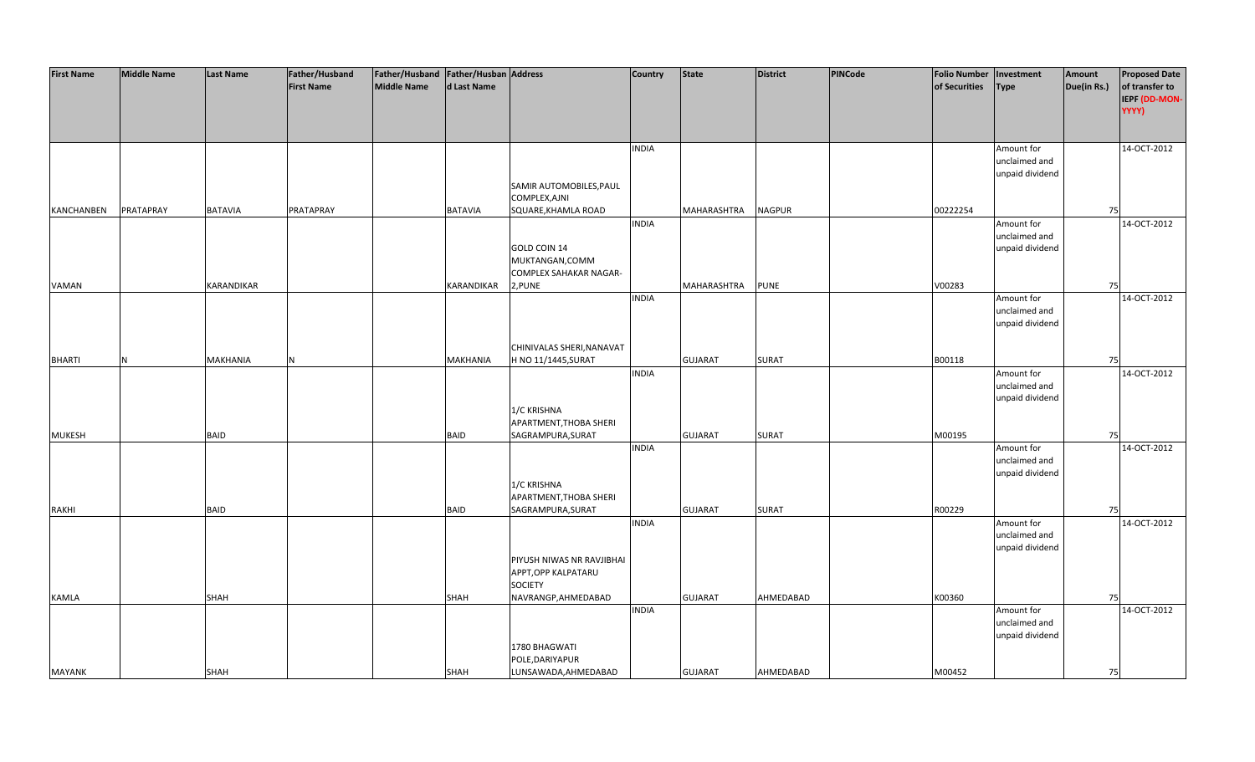| <b>First Name</b> | <b>Middle Name</b> | <b>Last Name</b>  | Father/Husband    | Father/Husband Father/Husban Address |                 |                           | <b>Country</b> | <b>State</b>   | <b>District</b> | <b>PINCode</b> | <b>Folio Number</b> | Investment      | Amount      | <b>Proposed Date</b> |
|-------------------|--------------------|-------------------|-------------------|--------------------------------------|-----------------|---------------------------|----------------|----------------|-----------------|----------------|---------------------|-----------------|-------------|----------------------|
|                   |                    |                   | <b>First Name</b> | <b>Middle Name</b>                   | d Last Name     |                           |                |                |                 |                | of Securities       | <b>Type</b>     | Due(in Rs.) | of transfer to       |
|                   |                    |                   |                   |                                      |                 |                           |                |                |                 |                |                     |                 |             | IEPF (DD-MON-        |
|                   |                    |                   |                   |                                      |                 |                           |                |                |                 |                |                     |                 |             | YYYY)                |
|                   |                    |                   |                   |                                      |                 |                           |                |                |                 |                |                     |                 |             |                      |
|                   |                    |                   |                   |                                      |                 |                           |                |                |                 |                |                     |                 |             |                      |
|                   |                    |                   |                   |                                      |                 |                           | <b>INDIA</b>   |                |                 |                |                     | Amount for      |             | 14-OCT-2012          |
|                   |                    |                   |                   |                                      |                 |                           |                |                |                 |                |                     | unclaimed and   |             |                      |
|                   |                    |                   |                   |                                      |                 |                           |                |                |                 |                |                     | unpaid dividend |             |                      |
|                   |                    |                   |                   |                                      |                 | SAMIR AUTOMOBILES, PAUL   |                |                |                 |                |                     |                 |             |                      |
|                   |                    |                   |                   |                                      |                 | COMPLEX, AJNI             |                |                |                 |                |                     |                 |             |                      |
| KANCHANBEN        | PRATAPRAY          | <b>BATAVIA</b>    | PRATAPRAY         |                                      | <b>BATAVIA</b>  | SQUARE, KHAMLA ROAD       |                | MAHARASHTRA    | <b>NAGPUR</b>   |                | 00222254            |                 | 75          |                      |
|                   |                    |                   |                   |                                      |                 |                           | <b>INDIA</b>   |                |                 |                |                     | Amount for      |             | 14-OCT-2012          |
|                   |                    |                   |                   |                                      |                 |                           |                |                |                 |                |                     | unclaimed and   |             |                      |
|                   |                    |                   |                   |                                      |                 |                           |                |                |                 |                |                     |                 |             |                      |
|                   |                    |                   |                   |                                      |                 | <b>GOLD COIN 14</b>       |                |                |                 |                |                     | unpaid dividend |             |                      |
|                   |                    |                   |                   |                                      |                 | MUKTANGAN, COMM           |                |                |                 |                |                     |                 |             |                      |
|                   |                    |                   |                   |                                      |                 | COMPLEX SAHAKAR NAGAR-    |                |                |                 |                |                     |                 |             |                      |
| VAMAN             |                    | <b>KARANDIKAR</b> |                   |                                      | KARANDIKAR      | 2, PUNE                   |                | MAHARASHTRA    | <b>PUNE</b>     |                | V00283              |                 | 75          |                      |
|                   |                    |                   |                   |                                      |                 |                           | <b>INDIA</b>   |                |                 |                |                     | Amount for      |             | 14-OCT-2012          |
|                   |                    |                   |                   |                                      |                 |                           |                |                |                 |                |                     | unclaimed and   |             |                      |
|                   |                    |                   |                   |                                      |                 |                           |                |                |                 |                |                     | unpaid dividend |             |                      |
|                   |                    |                   |                   |                                      |                 |                           |                |                |                 |                |                     |                 |             |                      |
|                   |                    |                   |                   |                                      |                 | CHINIVALAS SHERI, NANAVAT |                |                |                 |                |                     |                 |             |                      |
| <b>BHARTI</b>     | N                  | <b>MAKHANIA</b>   | N                 |                                      | <b>MAKHANIA</b> | H NO 11/1445, SURAT       |                | <b>GUJARAT</b> | <b>SURAT</b>    |                | B00118              |                 | 75          |                      |
|                   |                    |                   |                   |                                      |                 |                           | <b>INDIA</b>   |                |                 |                |                     | Amount for      |             | 14-OCT-2012          |
|                   |                    |                   |                   |                                      |                 |                           |                |                |                 |                |                     | unclaimed and   |             |                      |
|                   |                    |                   |                   |                                      |                 |                           |                |                |                 |                |                     | unpaid dividend |             |                      |
|                   |                    |                   |                   |                                      |                 | 1/C KRISHNA               |                |                |                 |                |                     |                 |             |                      |
|                   |                    |                   |                   |                                      |                 | APARTMENT, THOBA SHERI    |                |                |                 |                |                     |                 |             |                      |
| <b>MUKESH</b>     |                    | <b>BAID</b>       |                   |                                      | <b>BAID</b>     | SAGRAMPURA, SURAT         |                | <b>GUJARAT</b> | <b>SURAT</b>    |                | M00195              |                 | 75          |                      |
|                   |                    |                   |                   |                                      |                 |                           | <b>INDIA</b>   |                |                 |                |                     | Amount for      |             | 14-OCT-2012          |
|                   |                    |                   |                   |                                      |                 |                           |                |                |                 |                |                     | unclaimed and   |             |                      |
|                   |                    |                   |                   |                                      |                 |                           |                |                |                 |                |                     | unpaid dividend |             |                      |
|                   |                    |                   |                   |                                      |                 | 1/C KRISHNA               |                |                |                 |                |                     |                 |             |                      |
|                   |                    |                   |                   |                                      |                 | APARTMENT, THOBA SHERI    |                |                |                 |                |                     |                 |             |                      |
| <b>RAKHI</b>      |                    | <b>BAID</b>       |                   |                                      | <b>BAID</b>     | SAGRAMPURA, SURAT         |                | <b>GUJARAT</b> | <b>SURAT</b>    |                | R00229              |                 | 75          |                      |
|                   |                    |                   |                   |                                      |                 |                           | <b>INDIA</b>   |                |                 |                |                     | Amount for      |             | 14-OCT-2012          |
|                   |                    |                   |                   |                                      |                 |                           |                |                |                 |                |                     | unclaimed and   |             |                      |
|                   |                    |                   |                   |                                      |                 |                           |                |                |                 |                |                     | unpaid dividend |             |                      |
|                   |                    |                   |                   |                                      |                 | PIYUSH NIWAS NR RAVJIBHAI |                |                |                 |                |                     |                 |             |                      |
|                   |                    |                   |                   |                                      |                 | APPT, OPP KALPATARU       |                |                |                 |                |                     |                 |             |                      |
|                   |                    |                   |                   |                                      |                 | <b>SOCIETY</b>            |                |                |                 |                |                     |                 |             |                      |
| <b>KAMLA</b>      |                    | <b>SHAH</b>       |                   |                                      | <b>SHAH</b>     | NAVRANGP, AHMEDABAD       |                | <b>GUJARAT</b> | AHMEDABAD       |                | K00360              |                 | 75          |                      |
|                   |                    |                   |                   |                                      |                 |                           | <b>INDIA</b>   |                |                 |                |                     | Amount for      |             | 14-OCT-2012          |
|                   |                    |                   |                   |                                      |                 |                           |                |                |                 |                |                     | unclaimed and   |             |                      |
|                   |                    |                   |                   |                                      |                 |                           |                |                |                 |                |                     | unpaid dividend |             |                      |
|                   |                    |                   |                   |                                      |                 | 1780 BHAGWATI             |                |                |                 |                |                     |                 |             |                      |
|                   |                    |                   |                   |                                      |                 | POLE, DARIYAPUR           |                |                |                 |                |                     |                 |             |                      |
| <b>MAYANK</b>     |                    | <b>SHAH</b>       |                   |                                      | SHAH            | LUNSAWADA, AHMEDABAD      |                | <b>GUJARAT</b> | AHMEDABAD       |                | M00452              |                 | 75          |                      |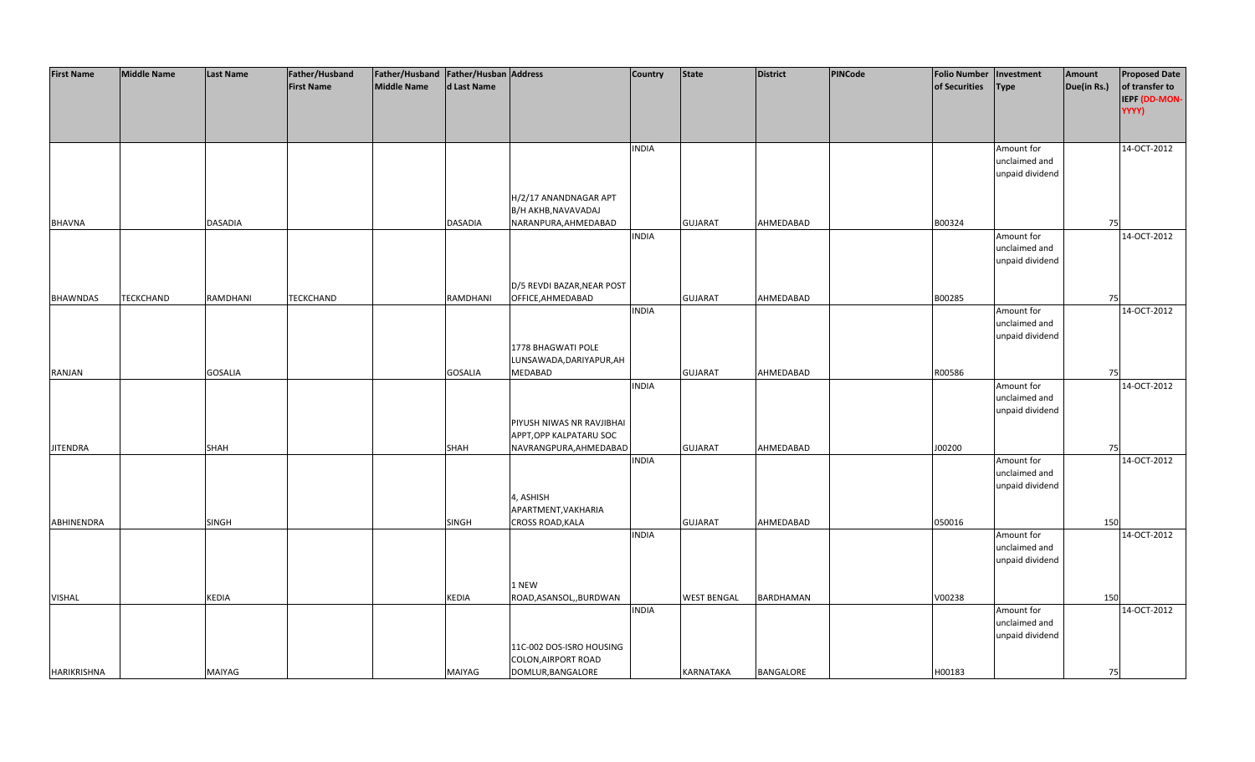| <b>First Name</b>  | <b>Middle Name</b> | <b>Last Name</b> | Father/Husband    | Father/Husband Father/Husban Address |                |                                                                             | <b>Country</b> | State              | <b>District</b> | PINCode | Folio Number   Investment |                                                | Amount      | <b>Proposed Date</b>                     |
|--------------------|--------------------|------------------|-------------------|--------------------------------------|----------------|-----------------------------------------------------------------------------|----------------|--------------------|-----------------|---------|---------------------------|------------------------------------------------|-------------|------------------------------------------|
|                    |                    |                  | <b>First Name</b> | <b>Middle Name</b>                   | d Last Name    |                                                                             |                |                    |                 |         | of Securities             | <b>Type</b>                                    | Due(in Rs.) | of transfer to<br>IEPF (DD-MON-<br>YYYY) |
|                    |                    |                  |                   |                                      |                |                                                                             | <b>INDIA</b>   |                    |                 |         |                           | Amount for<br>unclaimed and<br>unpaid dividend |             | 14-OCT-2012                              |
| <b>BHAVNA</b>      |                    | <b>DASADIA</b>   |                   |                                      | <b>DASADIA</b> | H/2/17 ANANDNAGAR APT<br>B/H AKHB, NAVAVADAJ                                |                | <b>GUJARAT</b>     | AHMEDABAD       |         | B00324                    |                                                | 75          |                                          |
|                    |                    |                  |                   |                                      |                | NARANPURA, AHMEDABAD                                                        | <b>INDIA</b>   |                    |                 |         |                           | Amount for<br>unclaimed and<br>unpaid dividend |             | 14-OCT-2012                              |
| <b>BHAWNDAS</b>    | <b>TECKCHAND</b>   | RAMDHANI         | <b>TECKCHAND</b>  |                                      | RAMDHANI       | D/5 REVDI BAZAR, NEAR POST<br>OFFICE, AHMEDABAD                             |                | <b>GUJARAT</b>     | AHMEDABAD       |         | B00285                    |                                                | 75          |                                          |
|                    |                    |                  |                   |                                      |                | 1778 BHAGWATI POLE                                                          | <b>INDIA</b>   |                    |                 |         |                           | Amount for<br>unclaimed and<br>unpaid dividend |             | 14-OCT-2012                              |
| <b>RANJAN</b>      |                    | <b>GOSALIA</b>   |                   |                                      | <b>GOSALIA</b> | LUNSAWADA, DARIYAPUR, AH<br>MEDABAD                                         |                | <b>GUJARAT</b>     | AHMEDABAD       |         | R00586                    |                                                | 75          |                                          |
|                    |                    |                  |                   |                                      |                | PIYUSH NIWAS NR RAVJIBHAI<br>APPT, OPP KALPATARU SOC                        | <b>INDIA</b>   |                    |                 |         |                           | Amount for<br>unclaimed and<br>unpaid dividend |             | 14-OCT-2012                              |
| <b>JITENDRA</b>    |                    | <b>SHAH</b>      |                   |                                      | <b>SHAH</b>    | NAVRANGPURA, AHMEDABAD                                                      |                | <b>GUJARAT</b>     | AHMEDABAD       |         | J00200                    |                                                | 75          |                                          |
|                    |                    |                  |                   |                                      |                | 4, ASHISH                                                                   | <b>INDIA</b>   |                    |                 |         |                           | Amount for<br>unclaimed and<br>unpaid dividend |             | 14-OCT-2012                              |
| ABHINENDRA         |                    | <b>SINGH</b>     |                   |                                      | SINGH          | APARTMENT, VAKHARIA<br>CROSS ROAD, KALA                                     |                | <b>GUJARAT</b>     | AHMEDABAD       |         | 050016                    |                                                | 150         |                                          |
|                    |                    |                  |                   |                                      |                |                                                                             | <b>INDIA</b>   |                    |                 |         |                           | Amount for<br>unclaimed and<br>unpaid dividend |             | 14-OCT-2012                              |
|                    |                    |                  |                   |                                      |                | 1 NEW                                                                       |                |                    |                 |         |                           |                                                |             |                                          |
| <b>VISHAL</b>      |                    | <b>KEDIA</b>     |                   |                                      | KEDIA          | ROAD, ASANSOL, , BURDWAN                                                    | <b>INDIA</b>   | <b>WEST BENGAL</b> | BARDHAMAN       |         | V00238                    | Amount for<br>unclaimed and<br>unpaid dividend | 150         | 14-OCT-2012                              |
| <b>HARIKRISHNA</b> |                    | MAIYAG           |                   |                                      | MAIYAG         | 11C-002 DOS-ISRO HOUSING<br><b>COLON, AIRPORT ROAD</b><br>DOMLUR, BANGALORE |                | <b>KARNATAKA</b>   | BANGALORE       |         | H00183                    |                                                | 75          |                                          |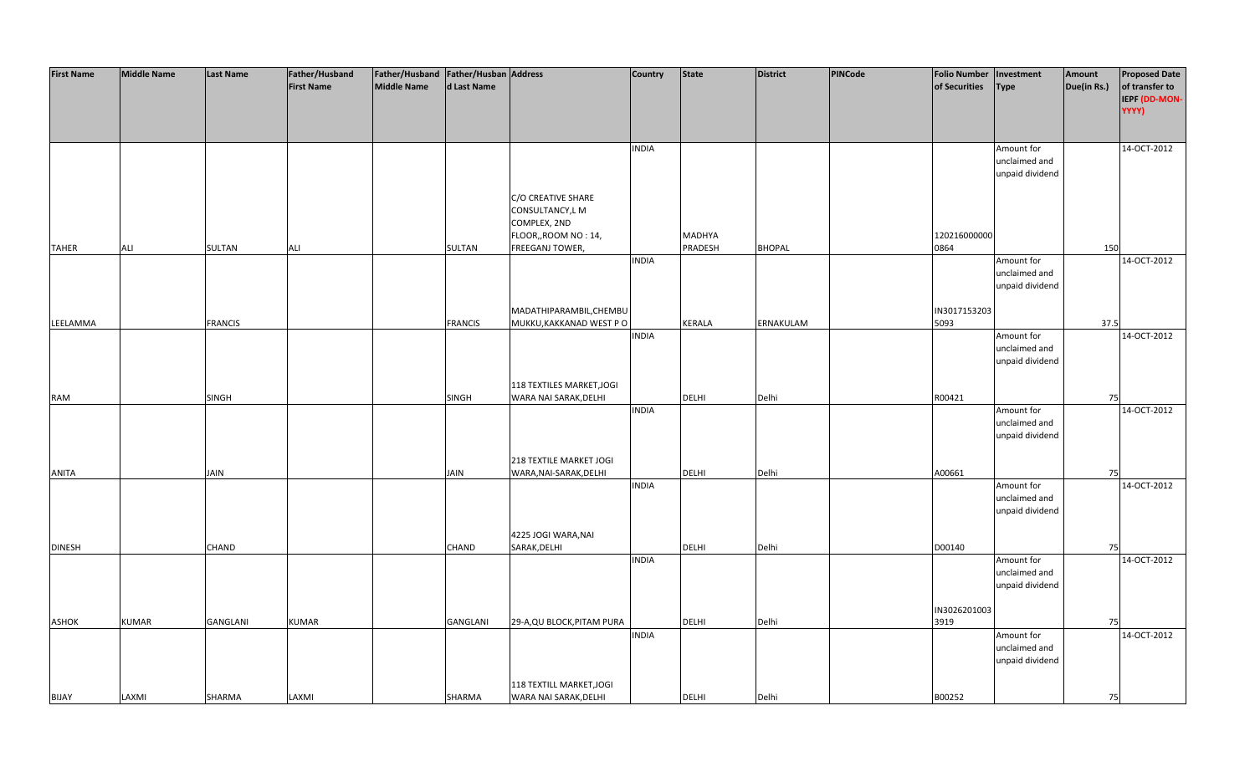| <b>First Name</b> | <b>Middle Name</b> | <b>Last Name</b> | Father/Husband    | Father/Husband Father/Husban Address |                 |                                                    | <b>Country</b> | <b>State</b>  | <b>District</b> | PINCode | <b>Folio Number</b> | Investment                       | Amount      | <b>Proposed Date</b>                     |
|-------------------|--------------------|------------------|-------------------|--------------------------------------|-----------------|----------------------------------------------------|----------------|---------------|-----------------|---------|---------------------|----------------------------------|-------------|------------------------------------------|
|                   |                    |                  | <b>First Name</b> | <b>Middle Name</b>                   | d Last Name     |                                                    |                |               |                 |         | of Securities       | <b>Type</b>                      | Due(in Rs.) | of transfer to<br>IEPF (DD-MON-<br>YYYY) |
|                   |                    |                  |                   |                                      |                 |                                                    |                |               |                 |         |                     |                                  |             |                                          |
|                   |                    |                  |                   |                                      |                 |                                                    | <b>INDIA</b>   |               |                 |         |                     | Amount for                       |             | 14-OCT-2012                              |
|                   |                    |                  |                   |                                      |                 |                                                    |                |               |                 |         |                     | unclaimed and<br>unpaid dividend |             |                                          |
|                   |                    |                  |                   |                                      |                 |                                                    |                |               |                 |         |                     |                                  |             |                                          |
|                   |                    |                  |                   |                                      |                 | C/O CREATIVE SHARE                                 |                |               |                 |         |                     |                                  |             |                                          |
|                   |                    |                  |                   |                                      |                 | CONSULTANCY, LM<br>COMPLEX, 2ND                    |                |               |                 |         |                     |                                  |             |                                          |
|                   |                    |                  |                   |                                      |                 | FLOOR,, ROOM NO: 14,                               |                | MADHYA        |                 |         | 120216000000        |                                  |             |                                          |
| <b>TAHER</b>      | ALI                | <b>SULTAN</b>    | ALI               |                                      | SULTAN          | FREEGANJ TOWER,                                    |                | PRADESH       | <b>BHOPAL</b>   |         | 0864                |                                  | 150         |                                          |
|                   |                    |                  |                   |                                      |                 |                                                    | <b>INDIA</b>   |               |                 |         |                     | Amount for                       |             | 14-OCT-2012                              |
|                   |                    |                  |                   |                                      |                 |                                                    |                |               |                 |         |                     | unclaimed and                    |             |                                          |
|                   |                    |                  |                   |                                      |                 |                                                    |                |               |                 |         |                     | unpaid dividend                  |             |                                          |
|                   |                    |                  |                   |                                      |                 |                                                    |                |               |                 |         | IN3017153203        |                                  |             |                                          |
| LEELAMMA          |                    | <b>FRANCIS</b>   |                   |                                      | <b>FRANCIS</b>  | MADATHIPARAMBIL, CHEMBU<br>MUKKU, KAKKANAD WEST PO |                | <b>KERALA</b> | ERNAKULAM       |         | 5093                |                                  | 37.5        |                                          |
|                   |                    |                  |                   |                                      |                 |                                                    | <b>INDIA</b>   |               |                 |         |                     | Amount for                       |             | 14-OCT-2012                              |
|                   |                    |                  |                   |                                      |                 |                                                    |                |               |                 |         |                     | unclaimed and                    |             |                                          |
|                   |                    |                  |                   |                                      |                 |                                                    |                |               |                 |         |                     | unpaid dividend                  |             |                                          |
|                   |                    |                  |                   |                                      |                 |                                                    |                |               |                 |         |                     |                                  |             |                                          |
| <b>RAM</b>        |                    | <b>SINGH</b>     |                   |                                      | SINGH           | 118 TEXTILES MARKET, JOGI<br>WARA NAI SARAK, DELHI |                | <b>DELHI</b>  | Delhi           |         | R00421              |                                  | 75          |                                          |
|                   |                    |                  |                   |                                      |                 |                                                    | <b>INDIA</b>   |               |                 |         |                     | Amount for                       |             | 14-OCT-2012                              |
|                   |                    |                  |                   |                                      |                 |                                                    |                |               |                 |         |                     | unclaimed and                    |             |                                          |
|                   |                    |                  |                   |                                      |                 |                                                    |                |               |                 |         |                     | unpaid dividend                  |             |                                          |
|                   |                    |                  |                   |                                      |                 |                                                    |                |               |                 |         |                     |                                  |             |                                          |
|                   |                    |                  |                   |                                      |                 | 218 TEXTILE MARKET JOGI                            |                | <b>DELHI</b>  | Delhi           |         |                     |                                  | 75          |                                          |
| <b>ANITA</b>      |                    | JAIN             |                   |                                      | JAIN            | WARA, NAI-SARAK, DELHI                             | <b>INDIA</b>   |               |                 |         | A00661              | Amount for                       |             | 14-OCT-2012                              |
|                   |                    |                  |                   |                                      |                 |                                                    |                |               |                 |         |                     | unclaimed and                    |             |                                          |
|                   |                    |                  |                   |                                      |                 |                                                    |                |               |                 |         |                     | unpaid dividend                  |             |                                          |
|                   |                    |                  |                   |                                      |                 |                                                    |                |               |                 |         |                     |                                  |             |                                          |
|                   |                    |                  |                   |                                      |                 | 4225 JOGI WARA, NAI                                |                |               |                 |         |                     |                                  |             |                                          |
| <b>DINESH</b>     |                    | CHAND            |                   |                                      | CHAND           | SARAK, DELHI                                       | <b>INDIA</b>   | <b>DELHI</b>  | Delhi           |         | D00140              | Amount for                       | 75          | 14-OCT-2012                              |
|                   |                    |                  |                   |                                      |                 |                                                    |                |               |                 |         |                     | unclaimed and                    |             |                                          |
|                   |                    |                  |                   |                                      |                 |                                                    |                |               |                 |         |                     | unpaid dividend                  |             |                                          |
|                   |                    |                  |                   |                                      |                 |                                                    |                |               |                 |         |                     |                                  |             |                                          |
|                   |                    |                  |                   |                                      |                 |                                                    |                |               |                 |         | IN3026201003        |                                  |             |                                          |
| ASHOK             | <b>KUMAR</b>       | GANGLANI         | <b>KUMAR</b>      |                                      | <b>GANGLANI</b> | 29-A, QU BLOCK, PITAM PURA                         |                | <b>DELHI</b>  | Delhi           |         | 3919                |                                  | 75          |                                          |
|                   |                    |                  |                   |                                      |                 |                                                    | <b>INDIA</b>   |               |                 |         |                     | Amount for<br>unclaimed and      |             | 14-OCT-2012                              |
|                   |                    |                  |                   |                                      |                 |                                                    |                |               |                 |         |                     | unpaid dividend                  |             |                                          |
|                   |                    |                  |                   |                                      |                 |                                                    |                |               |                 |         |                     |                                  |             |                                          |
|                   |                    |                  |                   |                                      |                 | 118 TEXTILL MARKET, JOGI                           |                |               |                 |         |                     |                                  |             |                                          |
| <b>BIJAY</b>      | LAXMI              | SHARMA           | LAXMI             |                                      | SHARMA          | WARA NAI SARAK, DELHI                              |                | <b>DELHI</b>  | Delhi           |         | B00252              |                                  | 75          |                                          |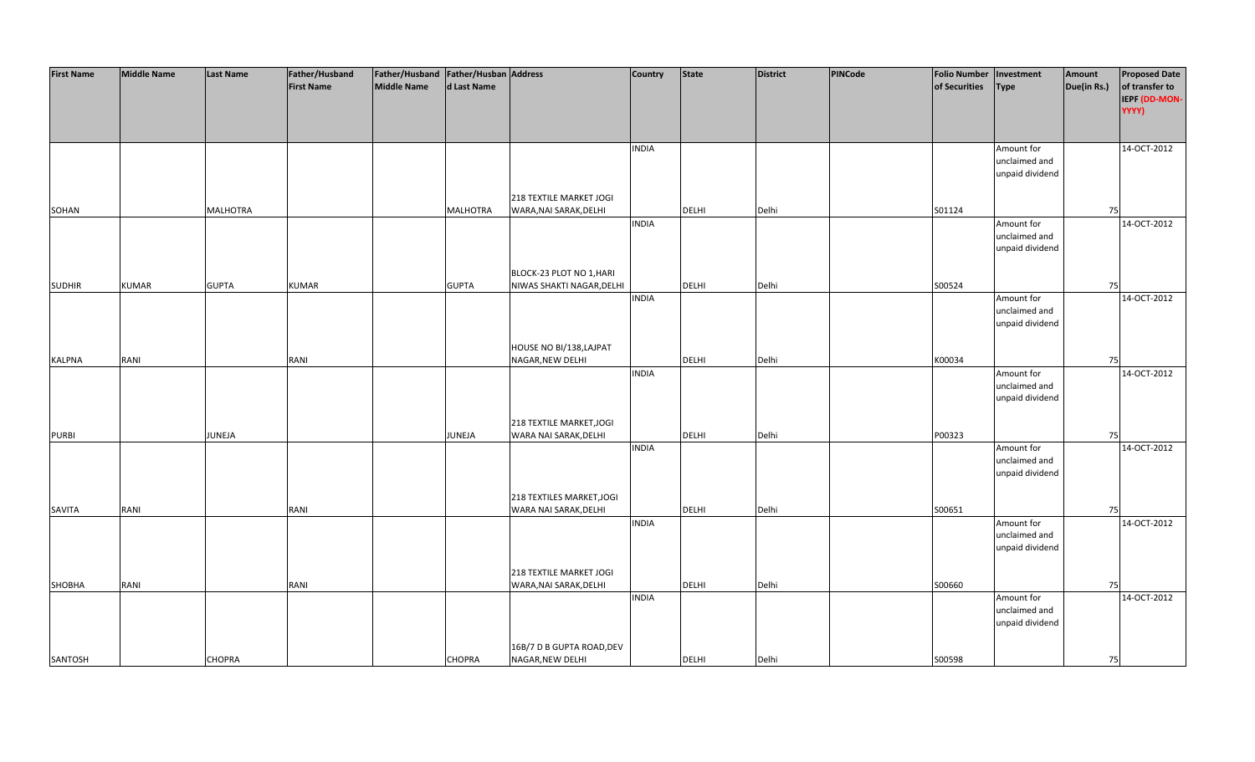| <b>First Name</b> | <b>Middle Name</b> | <b>Last Name</b> | Father/Husband    | Father/Husband   Father/Husban   Address |                 |                           | Country      | <b>State</b> | <b>District</b> | PINCode | <b>Folio Number</b> | Investment      | Amount      | <b>Proposed Date</b> |
|-------------------|--------------------|------------------|-------------------|------------------------------------------|-----------------|---------------------------|--------------|--------------|-----------------|---------|---------------------|-----------------|-------------|----------------------|
|                   |                    |                  | <b>First Name</b> | <b>Middle Name</b>                       | d Last Name     |                           |              |              |                 |         | of Securities       | <b>Type</b>     | Due(in Rs.) | of transfer to       |
|                   |                    |                  |                   |                                          |                 |                           |              |              |                 |         |                     |                 |             | IEPF (DD-MON-        |
|                   |                    |                  |                   |                                          |                 |                           |              |              |                 |         |                     |                 |             | YYYY)                |
|                   |                    |                  |                   |                                          |                 |                           |              |              |                 |         |                     |                 |             |                      |
|                   |                    |                  |                   |                                          |                 |                           |              |              |                 |         |                     |                 |             |                      |
|                   |                    |                  |                   |                                          |                 |                           | <b>INDIA</b> |              |                 |         |                     | Amount for      |             | 14-OCT-2012          |
|                   |                    |                  |                   |                                          |                 |                           |              |              |                 |         |                     | unclaimed and   |             |                      |
|                   |                    |                  |                   |                                          |                 |                           |              |              |                 |         |                     | unpaid dividend |             |                      |
|                   |                    |                  |                   |                                          |                 |                           |              |              |                 |         |                     |                 |             |                      |
|                   |                    |                  |                   |                                          |                 | 218 TEXTILE MARKET JOGI   |              |              |                 |         |                     |                 |             |                      |
| SOHAN             |                    | <b>MALHOTRA</b>  |                   |                                          | <b>MALHOTRA</b> | WARA, NAI SARAK, DELHI    |              | <b>DELHI</b> | Delhi           |         | S01124              |                 | 75          |                      |
|                   |                    |                  |                   |                                          |                 |                           | <b>INDIA</b> |              |                 |         |                     | Amount for      |             | 14-OCT-2012          |
|                   |                    |                  |                   |                                          |                 |                           |              |              |                 |         |                     | unclaimed and   |             |                      |
|                   |                    |                  |                   |                                          |                 |                           |              |              |                 |         |                     | unpaid dividend |             |                      |
|                   |                    |                  |                   |                                          |                 |                           |              |              |                 |         |                     |                 |             |                      |
|                   |                    |                  |                   |                                          |                 | BLOCK-23 PLOT NO 1, HARI  |              |              |                 |         |                     |                 |             |                      |
| <b>SUDHIR</b>     | <b>KUMAR</b>       | <b>GUPTA</b>     | <b>KUMAR</b>      |                                          | <b>GUPTA</b>    | NIWAS SHAKTI NAGAR, DELHI |              | DELHI        | Delhi           |         | S00524              |                 | 75          |                      |
|                   |                    |                  |                   |                                          |                 |                           | <b>INDIA</b> |              |                 |         |                     | Amount for      |             | 14-OCT-2012          |
|                   |                    |                  |                   |                                          |                 |                           |              |              |                 |         |                     | unclaimed and   |             |                      |
|                   |                    |                  |                   |                                          |                 |                           |              |              |                 |         |                     | unpaid dividend |             |                      |
|                   |                    |                  |                   |                                          |                 |                           |              |              |                 |         |                     |                 |             |                      |
|                   |                    |                  |                   |                                          |                 | HOUSE NO BI/138, LAJPAT   |              |              |                 |         |                     |                 |             |                      |
| <b>KALPNA</b>     | RANI               |                  | RANI              |                                          |                 | NAGAR, NEW DELHI          |              | DELHI        | Delhi           |         | K00034              |                 | 75          |                      |
|                   |                    |                  |                   |                                          |                 |                           | <b>INDIA</b> |              |                 |         |                     | Amount for      |             | 14-OCT-2012          |
|                   |                    |                  |                   |                                          |                 |                           |              |              |                 |         |                     | unclaimed and   |             |                      |
|                   |                    |                  |                   |                                          |                 |                           |              |              |                 |         |                     | unpaid dividend |             |                      |
|                   |                    |                  |                   |                                          |                 |                           |              |              |                 |         |                     |                 |             |                      |
|                   |                    |                  |                   |                                          |                 | 218 TEXTILE MARKET, JOGI  |              |              |                 |         |                     |                 |             |                      |
| <b>PURBI</b>      |                    | JUNEJA           |                   |                                          | JUNEJA          | WARA NAI SARAK, DELHI     |              | <b>DELHI</b> | Delhi           |         | P00323              |                 | 75          |                      |
|                   |                    |                  |                   |                                          |                 |                           | <b>INDIA</b> |              |                 |         |                     | Amount for      |             | 14-OCT-2012          |
|                   |                    |                  |                   |                                          |                 |                           |              |              |                 |         |                     | unclaimed and   |             |                      |
|                   |                    |                  |                   |                                          |                 |                           |              |              |                 |         |                     | unpaid dividend |             |                      |
|                   |                    |                  |                   |                                          |                 |                           |              |              |                 |         |                     |                 |             |                      |
|                   |                    |                  |                   |                                          |                 | 218 TEXTILES MARKET, JOGI |              |              |                 |         |                     |                 |             |                      |
| SAVITA            | RANI               |                  | RANI              |                                          |                 | WARA NAI SARAK, DELHI     |              | DELHI        | Delhi           |         | S00651              |                 | 75          |                      |
|                   |                    |                  |                   |                                          |                 |                           | <b>INDIA</b> |              |                 |         |                     | Amount for      |             | 14-OCT-2012          |
|                   |                    |                  |                   |                                          |                 |                           |              |              |                 |         |                     | unclaimed and   |             |                      |
|                   |                    |                  |                   |                                          |                 |                           |              |              |                 |         |                     | unpaid dividend |             |                      |
|                   |                    |                  |                   |                                          |                 |                           |              |              |                 |         |                     |                 |             |                      |
|                   |                    |                  |                   |                                          |                 | 218 TEXTILE MARKET JOGI   |              |              |                 |         |                     |                 |             |                      |
| <b>SHOBHA</b>     | RANI               |                  | RANI              |                                          |                 | WARA, NAI SARAK, DELHI    |              | <b>DELHI</b> | Delhi           |         | S00660              |                 | 75          |                      |
|                   |                    |                  |                   |                                          |                 |                           | <b>INDIA</b> |              |                 |         |                     | Amount for      |             | 14-OCT-2012          |
|                   |                    |                  |                   |                                          |                 |                           |              |              |                 |         |                     | unclaimed and   |             |                      |
|                   |                    |                  |                   |                                          |                 |                           |              |              |                 |         |                     | unpaid dividend |             |                      |
|                   |                    |                  |                   |                                          |                 |                           |              |              |                 |         |                     |                 |             |                      |
|                   |                    |                  |                   |                                          |                 | 16B/7 D B GUPTA ROAD, DEV |              |              |                 |         |                     |                 |             |                      |
| SANTOSH           |                    | <b>CHOPRA</b>    |                   |                                          | <b>CHOPRA</b>   | NAGAR, NEW DELHI          |              | <b>DELHI</b> | Delhi           |         | S00598              |                 | 75          |                      |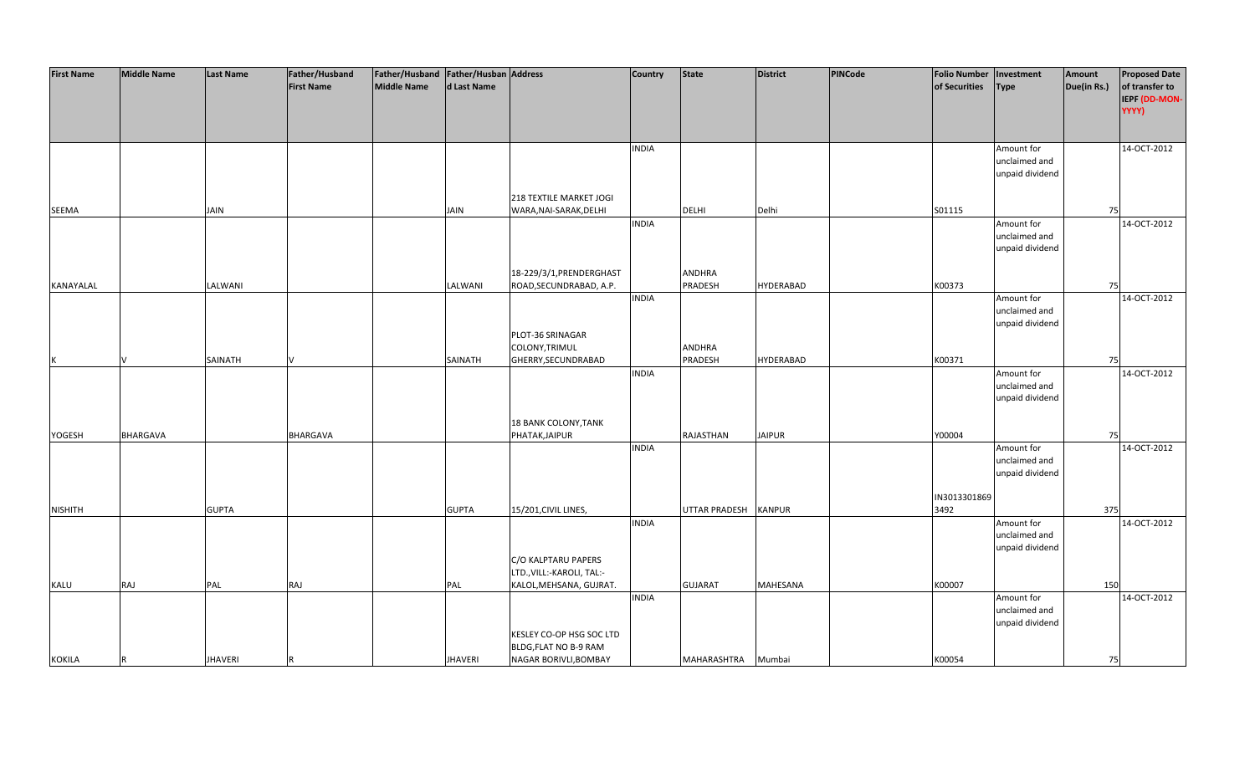| <b>First Name</b> | <b>Middle Name</b> | <b>Last Name</b> | Father/Husband    | Father/Husband Father/Husban Address |                |                           | <b>Country</b> | <b>State</b>         | <b>District</b>  | PINCode | <b>Folio Number</b> | Investment      | Amount      | <b>Proposed Date</b> |
|-------------------|--------------------|------------------|-------------------|--------------------------------------|----------------|---------------------------|----------------|----------------------|------------------|---------|---------------------|-----------------|-------------|----------------------|
|                   |                    |                  | <b>First Name</b> | <b>Middle Name</b>                   | d Last Name    |                           |                |                      |                  |         | of Securities       | <b>Type</b>     | Due(in Rs.) | of transfer to       |
|                   |                    |                  |                   |                                      |                |                           |                |                      |                  |         |                     |                 |             | IEPF (DD-MON-        |
|                   |                    |                  |                   |                                      |                |                           |                |                      |                  |         |                     |                 |             | YYYY)                |
|                   |                    |                  |                   |                                      |                |                           |                |                      |                  |         |                     |                 |             |                      |
|                   |                    |                  |                   |                                      |                |                           |                |                      |                  |         |                     |                 |             |                      |
|                   |                    |                  |                   |                                      |                |                           |                |                      |                  |         |                     |                 |             |                      |
|                   |                    |                  |                   |                                      |                |                           | <b>INDIA</b>   |                      |                  |         |                     | Amount for      |             | 14-OCT-2012          |
|                   |                    |                  |                   |                                      |                |                           |                |                      |                  |         |                     | unclaimed and   |             |                      |
|                   |                    |                  |                   |                                      |                |                           |                |                      |                  |         |                     | unpaid dividend |             |                      |
|                   |                    |                  |                   |                                      |                |                           |                |                      |                  |         |                     |                 |             |                      |
|                   |                    |                  |                   |                                      |                | 218 TEXTILE MARKET JOGI   |                |                      |                  |         |                     |                 |             |                      |
| SEEMA             |                    | <b>JAIN</b>      |                   |                                      | <b>JAIN</b>    | WARA, NAI-SARAK, DELHI    |                | <b>DELHI</b>         | Delhi            |         | S01115              |                 | 75          |                      |
|                   |                    |                  |                   |                                      |                |                           | <b>INDIA</b>   |                      |                  |         |                     | Amount for      |             | 14-OCT-2012          |
|                   |                    |                  |                   |                                      |                |                           |                |                      |                  |         |                     | unclaimed and   |             |                      |
|                   |                    |                  |                   |                                      |                |                           |                |                      |                  |         |                     | unpaid dividend |             |                      |
|                   |                    |                  |                   |                                      |                |                           |                |                      |                  |         |                     |                 |             |                      |
|                   |                    |                  |                   |                                      |                | 18-229/3/1, PRENDERGHAST  |                | <b>ANDHRA</b>        |                  |         |                     |                 |             |                      |
| KANAYALAL         |                    | LALWANI          |                   |                                      | LALWANI        | ROAD, SECUNDRABAD, A.P.   |                | PRADESH              | <b>HYDERABAD</b> |         | K00373              |                 | 75          |                      |
|                   |                    |                  |                   |                                      |                |                           | <b>INDIA</b>   |                      |                  |         |                     | Amount for      |             | 14-OCT-2012          |
|                   |                    |                  |                   |                                      |                |                           |                |                      |                  |         |                     | unclaimed and   |             |                      |
|                   |                    |                  |                   |                                      |                |                           |                |                      |                  |         |                     | unpaid dividend |             |                      |
|                   |                    |                  |                   |                                      |                | PLOT-36 SRINAGAR          |                |                      |                  |         |                     |                 |             |                      |
|                   |                    |                  |                   |                                      |                | COLONY, TRIMUL            |                | <b>ANDHRA</b>        |                  |         |                     |                 |             |                      |
|                   |                    | SAINATH          |                   |                                      | SAINATH        | GHERRY, SECUNDRABAD       |                | PRADESH              | <b>HYDERABAD</b> |         | K00371              |                 | 75          |                      |
|                   |                    |                  |                   |                                      |                |                           | <b>INDIA</b>   |                      |                  |         |                     | Amount for      |             | 14-OCT-2012          |
|                   |                    |                  |                   |                                      |                |                           |                |                      |                  |         |                     | unclaimed and   |             |                      |
|                   |                    |                  |                   |                                      |                |                           |                |                      |                  |         |                     | unpaid dividend |             |                      |
|                   |                    |                  |                   |                                      |                |                           |                |                      |                  |         |                     |                 |             |                      |
|                   |                    |                  |                   |                                      |                | 18 BANK COLONY, TANK      |                |                      |                  |         |                     |                 |             |                      |
| YOGESH            | <b>BHARGAVA</b>    |                  | BHARGAVA          |                                      |                | PHATAK, JAIPUR            |                | RAJASTHAN            | <b>JAIPUR</b>    |         | Y00004              |                 | 75          |                      |
|                   |                    |                  |                   |                                      |                |                           | <b>INDIA</b>   |                      |                  |         |                     | Amount for      |             | 14-OCT-2012          |
|                   |                    |                  |                   |                                      |                |                           |                |                      |                  |         |                     | unclaimed and   |             |                      |
|                   |                    |                  |                   |                                      |                |                           |                |                      |                  |         |                     | unpaid dividend |             |                      |
|                   |                    |                  |                   |                                      |                |                           |                |                      |                  |         |                     |                 |             |                      |
|                   |                    |                  |                   |                                      |                |                           |                |                      |                  |         | IN3013301869        |                 |             |                      |
| <b>NISHITH</b>    |                    | <b>GUPTA</b>     |                   |                                      | <b>GUPTA</b>   | 15/201, CIVIL LINES,      |                | <b>UTTAR PRADESH</b> | <b>KANPUR</b>    |         | 3492                |                 | 375         |                      |
|                   |                    |                  |                   |                                      |                |                           | <b>INDIA</b>   |                      |                  |         |                     | Amount for      |             | 14-OCT-2012          |
|                   |                    |                  |                   |                                      |                |                           |                |                      |                  |         |                     | unclaimed and   |             |                      |
|                   |                    |                  |                   |                                      |                |                           |                |                      |                  |         |                     | unpaid dividend |             |                      |
|                   |                    |                  |                   |                                      |                | C/O KALPTARU PAPERS       |                |                      |                  |         |                     |                 |             |                      |
|                   |                    |                  |                   |                                      |                | LTD., VILL:-KAROLI, TAL:- |                |                      |                  |         |                     |                 |             |                      |
|                   | RAJ                |                  |                   |                                      |                |                           |                | <b>GUJARAT</b>       | <b>MAHESANA</b>  |         | K00007              |                 | 150         |                      |
| <b>KALU</b>       |                    | PAL              | RAJ               |                                      | PAL            | KALOL, MEHSANA, GUJRAT.   |                |                      |                  |         |                     |                 |             |                      |
|                   |                    |                  |                   |                                      |                |                           | <b>INDIA</b>   |                      |                  |         |                     | Amount for      |             | 14-OCT-2012          |
|                   |                    |                  |                   |                                      |                |                           |                |                      |                  |         |                     | unclaimed and   |             |                      |
|                   |                    |                  |                   |                                      |                |                           |                |                      |                  |         |                     | unpaid dividend |             |                      |
|                   |                    |                  |                   |                                      |                | KESLEY CO-OP HSG SOC LTD  |                |                      |                  |         |                     |                 |             |                      |
|                   |                    |                  |                   |                                      |                | BLDG, FLAT NO B-9 RAM     |                |                      |                  |         |                     |                 |             |                      |
| <b>KOKILA</b>     | R                  | <b>JHAVERI</b>   |                   |                                      | <b>JHAVERI</b> | NAGAR BORIVLI, BOMBAY     |                | MAHARASHTRA          | Mumbai           |         | K00054              |                 | 75          |                      |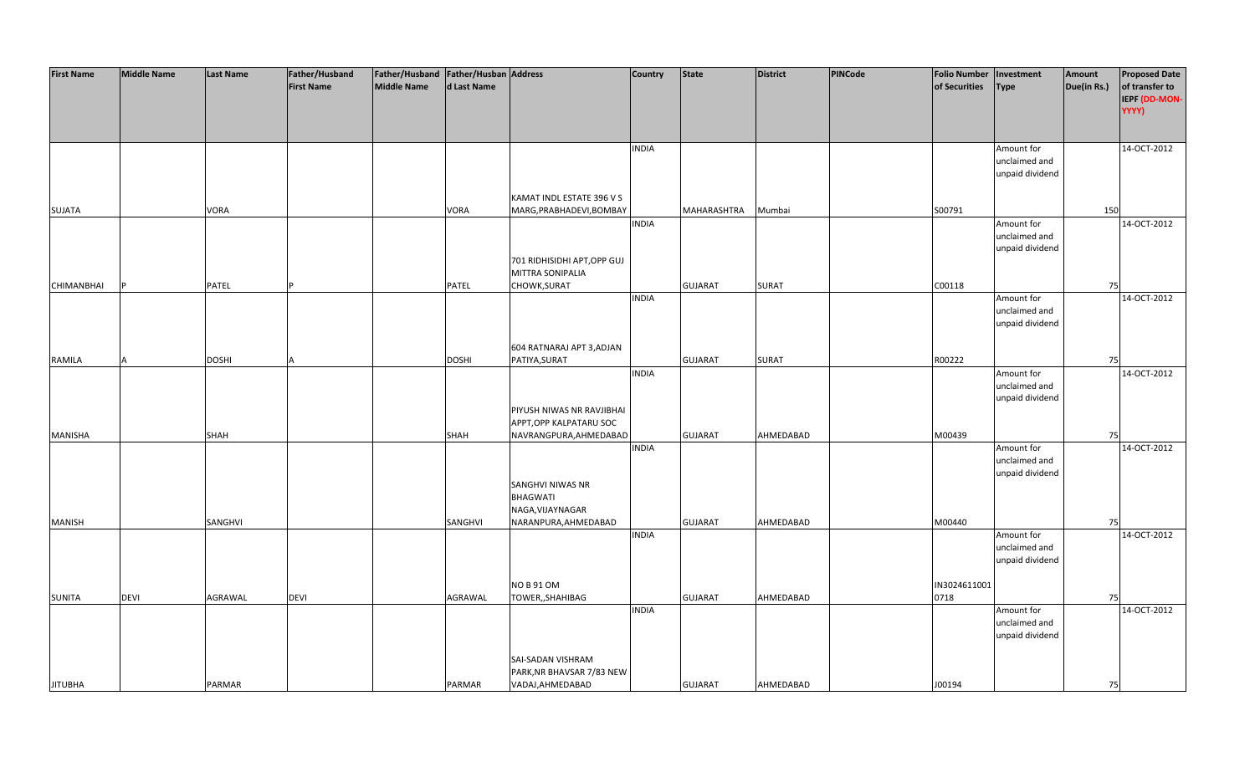| <b>First Name</b> | <b>Middle Name</b> | <b>Last Name</b> | Father/Husband    | Father/Husband Father/Husban Address |              |                                                      | <b>Country</b> | <b>State</b>   | District     | <b>PINCode</b> | <b>Folio Number</b> | Investment      | Amount      | <b>Proposed Date</b>   |
|-------------------|--------------------|------------------|-------------------|--------------------------------------|--------------|------------------------------------------------------|----------------|----------------|--------------|----------------|---------------------|-----------------|-------------|------------------------|
|                   |                    |                  | <b>First Name</b> | Middle Name                          | d Last Name  |                                                      |                |                |              |                | of Securities       | <b>Type</b>     | Due(in Rs.) | of transfer to         |
|                   |                    |                  |                   |                                      |              |                                                      |                |                |              |                |                     |                 |             | IEPF (DD-MON-<br>YYYY) |
|                   |                    |                  |                   |                                      |              |                                                      |                |                |              |                |                     |                 |             |                        |
|                   |                    |                  |                   |                                      |              |                                                      |                |                |              |                |                     |                 |             |                        |
|                   |                    |                  |                   |                                      |              |                                                      | <b>INDIA</b>   |                |              |                |                     | Amount for      |             | 14-OCT-2012            |
|                   |                    |                  |                   |                                      |              |                                                      |                |                |              |                |                     | unclaimed and   |             |                        |
|                   |                    |                  |                   |                                      |              |                                                      |                |                |              |                |                     | unpaid dividend |             |                        |
|                   |                    |                  |                   |                                      |              | KAMAT INDL ESTATE 396 V S                            |                |                |              |                |                     |                 |             |                        |
| <b>SUJATA</b>     |                    | <b>VORA</b>      |                   |                                      | <b>VORA</b>  | MARG, PRABHADEVI, BOMBAY                             |                | MAHARASHTRA    | Mumbai       |                | S00791              |                 | 150         |                        |
|                   |                    |                  |                   |                                      |              |                                                      | <b>INDIA</b>   |                |              |                |                     | Amount for      |             | 14-OCT-2012            |
|                   |                    |                  |                   |                                      |              |                                                      |                |                |              |                |                     | unclaimed and   |             |                        |
|                   |                    |                  |                   |                                      |              | 701 RIDHISIDHI APT, OPP GUJ                          |                |                |              |                |                     | unpaid dividend |             |                        |
|                   |                    |                  |                   |                                      |              | <b>MITTRA SONIPALIA</b>                              |                |                |              |                |                     |                 |             |                        |
| <b>CHIMANBHAI</b> |                    | <b>PATEL</b>     |                   |                                      | <b>PATEL</b> | CHOWK, SURAT                                         |                | <b>GUJARAT</b> | <b>SURAT</b> |                | C00118              |                 | 75          |                        |
|                   |                    |                  |                   |                                      |              |                                                      | <b>INDIA</b>   |                |              |                |                     | Amount for      |             | 14-OCT-2012            |
|                   |                    |                  |                   |                                      |              |                                                      |                |                |              |                |                     | unclaimed and   |             |                        |
|                   |                    |                  |                   |                                      |              |                                                      |                |                |              |                |                     | unpaid dividend |             |                        |
|                   |                    |                  |                   |                                      |              | 604 RATNARAJ APT 3, ADJAN                            |                |                |              |                |                     |                 |             |                        |
| RAMILA            |                    | <b>DOSHI</b>     |                   |                                      | <b>DOSHI</b> | PATIYA, SURAT                                        |                | <b>GUJARAT</b> | <b>SURAT</b> |                | R00222              |                 | 75          |                        |
|                   |                    |                  |                   |                                      |              |                                                      | <b>INDIA</b>   |                |              |                |                     | Amount for      |             | 14-OCT-2012            |
|                   |                    |                  |                   |                                      |              |                                                      |                |                |              |                |                     | unclaimed and   |             |                        |
|                   |                    |                  |                   |                                      |              |                                                      |                |                |              |                |                     | unpaid dividend |             |                        |
|                   |                    |                  |                   |                                      |              | PIYUSH NIWAS NR RAVJIBHAI<br>APPT, OPP KALPATARU SOC |                |                |              |                |                     |                 |             |                        |
| MANISHA           |                    | <b>SHAH</b>      |                   |                                      | SHAH         | NAVRANGPURA, AHMEDABAD                               |                | <b>GUJARAT</b> | AHMEDABAD    |                | M00439              |                 | 75          |                        |
|                   |                    |                  |                   |                                      |              |                                                      | <b>INDIA</b>   |                |              |                |                     | Amount for      |             | 14-OCT-2012            |
|                   |                    |                  |                   |                                      |              |                                                      |                |                |              |                |                     | unclaimed and   |             |                        |
|                   |                    |                  |                   |                                      |              |                                                      |                |                |              |                |                     | unpaid dividend |             |                        |
|                   |                    |                  |                   |                                      |              | SANGHVI NIWAS NR<br><b>BHAGWATI</b>                  |                |                |              |                |                     |                 |             |                        |
|                   |                    |                  |                   |                                      |              | NAGA, VIJAYNAGAR                                     |                |                |              |                |                     |                 |             |                        |
| <b>MANISH</b>     |                    | SANGHVI          |                   |                                      | SANGHVI      | NARANPURA, AHMEDABAD                                 |                | <b>GUJARAT</b> | AHMEDABAD    |                | M00440              |                 | 75          |                        |
|                   |                    |                  |                   |                                      |              |                                                      | <b>INDIA</b>   |                |              |                |                     | Amount for      |             | 14-OCT-2012            |
|                   |                    |                  |                   |                                      |              |                                                      |                |                |              |                |                     | unclaimed and   |             |                        |
|                   |                    |                  |                   |                                      |              |                                                      |                |                |              |                |                     | unpaid dividend |             |                        |
|                   |                    |                  |                   |                                      |              | <b>NO B 91 OM</b>                                    |                |                |              |                | IN3024611001        |                 |             |                        |
| <b>SUNITA</b>     | <b>DEVI</b>        | AGRAWAL          | <b>DEVI</b>       |                                      | AGRAWAL      | TOWER,, SHAHIBAG                                     |                | <b>GUJARAT</b> | AHMEDABAD    |                | 0718                |                 | 75          |                        |
|                   |                    |                  |                   |                                      |              |                                                      | <b>INDIA</b>   |                |              |                |                     | Amount for      |             | 14-OCT-2012            |
|                   |                    |                  |                   |                                      |              |                                                      |                |                |              |                |                     | unclaimed and   |             |                        |
|                   |                    |                  |                   |                                      |              |                                                      |                |                |              |                |                     | unpaid dividend |             |                        |
|                   |                    |                  |                   |                                      |              | SAI-SADAN VISHRAM                                    |                |                |              |                |                     |                 |             |                        |
|                   |                    |                  |                   |                                      |              | PARK, NR BHAVSAR 7/83 NEW                            |                |                |              |                |                     |                 |             |                        |
| <b>JITUBHA</b>    |                    | PARMAR           |                   |                                      | PARMAR       | VADAJ, AHMEDABAD                                     |                | <b>GUJARAT</b> | AHMEDABAD    |                | J00194              |                 | 75          |                        |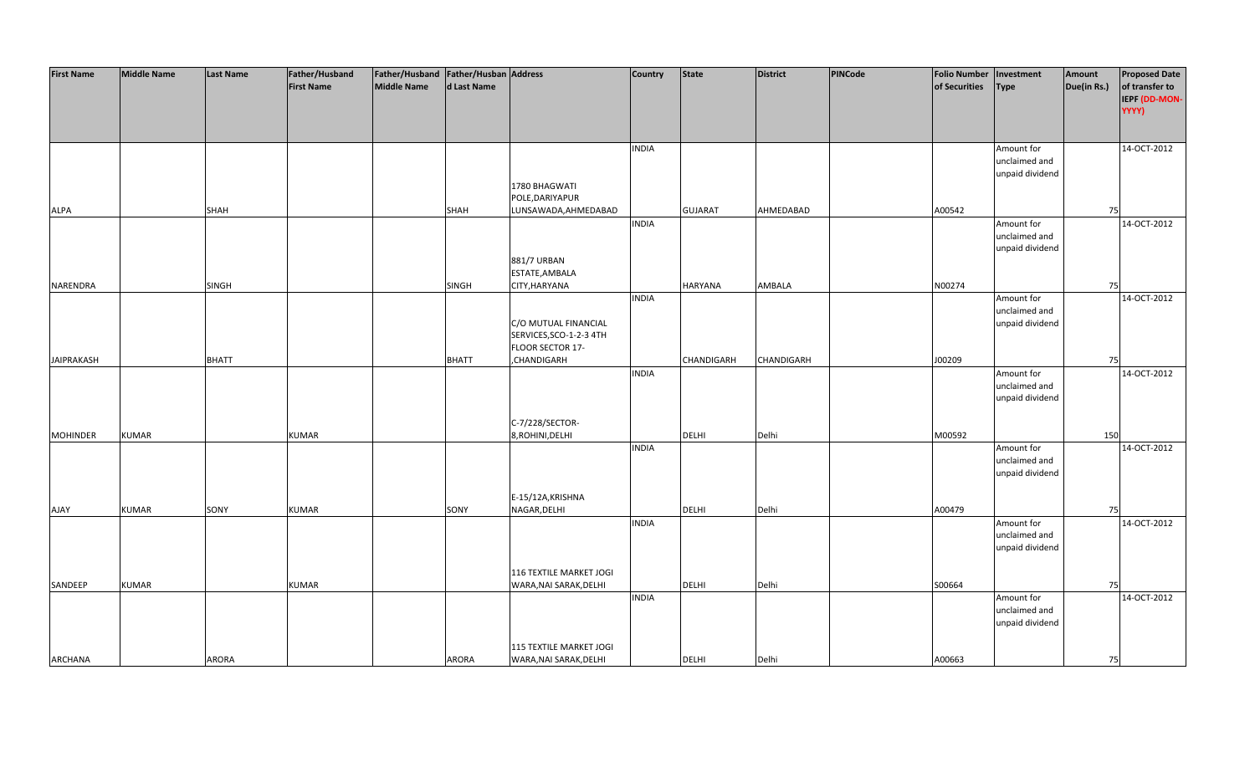| <b>First Name</b> | <b>Middle Name</b> | Last Name    | Father/Husband    | Father/Husband   Father/Husban   Address |              |                         | <b>Country</b> | <b>State</b>   | <b>District</b>   | PINCode | <b>Folio Number</b> | Investment                  | Amount      | <b>Proposed Date</b> |
|-------------------|--------------------|--------------|-------------------|------------------------------------------|--------------|-------------------------|----------------|----------------|-------------------|---------|---------------------|-----------------------------|-------------|----------------------|
|                   |                    |              | <b>First Name</b> | <b>Middle Name</b>                       | d Last Name  |                         |                |                |                   |         | of Securities       | <b>Type</b>                 | Due(in Rs.) | of transfer to       |
|                   |                    |              |                   |                                          |              |                         |                |                |                   |         |                     |                             |             | IEPF (DD-MON-        |
|                   |                    |              |                   |                                          |              |                         |                |                |                   |         |                     |                             |             | YYYY)                |
|                   |                    |              |                   |                                          |              |                         |                |                |                   |         |                     |                             |             |                      |
|                   |                    |              |                   |                                          |              |                         |                |                |                   |         |                     |                             |             |                      |
|                   |                    |              |                   |                                          |              |                         | <b>INDIA</b>   |                |                   |         |                     | Amount for                  |             | 14-OCT-2012          |
|                   |                    |              |                   |                                          |              |                         |                |                |                   |         |                     | unclaimed and               |             |                      |
|                   |                    |              |                   |                                          |              |                         |                |                |                   |         |                     | unpaid dividend             |             |                      |
|                   |                    |              |                   |                                          |              | 1780 BHAGWATI           |                |                |                   |         |                     |                             |             |                      |
|                   |                    |              |                   |                                          |              | POLE, DARIYAPUR         |                |                |                   |         |                     |                             |             |                      |
| ALPA              |                    | SHAH         |                   |                                          | SHAH         | LUNSAWADA, AHMEDABAD    |                | <b>GUJARAT</b> | AHMEDABAD         |         | A00542              |                             | 75          |                      |
|                   |                    |              |                   |                                          |              |                         | <b>INDIA</b>   |                |                   |         |                     | Amount for                  |             | 14-OCT-2012          |
|                   |                    |              |                   |                                          |              |                         |                |                |                   |         |                     | unclaimed and               |             |                      |
|                   |                    |              |                   |                                          |              |                         |                |                |                   |         |                     | unpaid dividend             |             |                      |
|                   |                    |              |                   |                                          |              | 881/7 URBAN             |                |                |                   |         |                     |                             |             |                      |
|                   |                    |              |                   |                                          |              | ESTATE, AMBALA          |                |                |                   |         |                     |                             |             |                      |
| NARENDRA          |                    | SINGH        |                   |                                          | SINGH        | CITY, HARYANA           | <b>INDIA</b>   | HARYANA        | AMBALA            |         | N00274              |                             | 75          |                      |
|                   |                    |              |                   |                                          |              |                         |                |                |                   |         |                     | Amount for<br>unclaimed and |             | 14-OCT-2012          |
|                   |                    |              |                   |                                          |              | C/O MUTUAL FINANCIAL    |                |                |                   |         |                     | unpaid dividend             |             |                      |
|                   |                    |              |                   |                                          |              | SERVICES, SCO-1-2-3 4TH |                |                |                   |         |                     |                             |             |                      |
|                   |                    |              |                   |                                          |              | FLOOR SECTOR 17-        |                |                |                   |         |                     |                             |             |                      |
| <b>JAIPRAKASH</b> |                    | <b>BHATT</b> |                   |                                          | <b>BHATT</b> | CHANDIGARH              |                | CHANDIGARH     | <b>CHANDIGARH</b> |         | J00209              |                             | 75          |                      |
|                   |                    |              |                   |                                          |              |                         | <b>INDIA</b>   |                |                   |         |                     | Amount for                  |             | 14-OCT-2012          |
|                   |                    |              |                   |                                          |              |                         |                |                |                   |         |                     | unclaimed and               |             |                      |
|                   |                    |              |                   |                                          |              |                         |                |                |                   |         |                     | unpaid dividend             |             |                      |
|                   |                    |              |                   |                                          |              |                         |                |                |                   |         |                     |                             |             |                      |
|                   |                    |              |                   |                                          |              | C-7/228/SECTOR-         |                |                |                   |         |                     |                             |             |                      |
| <b>MOHINDER</b>   | <b>KUMAR</b>       |              | <b>KUMAR</b>      |                                          |              | 8,ROHINI,DELHI          |                | DELHI          | Delhi             |         | M00592              |                             | 150         |                      |
|                   |                    |              |                   |                                          |              |                         | <b>INDIA</b>   |                |                   |         |                     | Amount for                  |             | 14-OCT-2012          |
|                   |                    |              |                   |                                          |              |                         |                |                |                   |         |                     | unclaimed and               |             |                      |
|                   |                    |              |                   |                                          |              |                         |                |                |                   |         |                     | unpaid dividend             |             |                      |
|                   |                    |              |                   |                                          |              |                         |                |                |                   |         |                     |                             |             |                      |
|                   |                    |              |                   |                                          |              | E-15/12A, KRISHNA       |                |                |                   |         |                     |                             |             |                      |
| <b>AJAY</b>       | <b>KUMAR</b>       | SONY         | <b>KUMAR</b>      |                                          | SONY         | NAGAR, DELHI            |                | <b>DELHI</b>   | Delhi             |         | A00479              |                             | 75          |                      |
|                   |                    |              |                   |                                          |              |                         | <b>INDIA</b>   |                |                   |         |                     | Amount for                  |             | 14-OCT-2012          |
|                   |                    |              |                   |                                          |              |                         |                |                |                   |         |                     | unclaimed and               |             |                      |
|                   |                    |              |                   |                                          |              |                         |                |                |                   |         |                     | unpaid dividend             |             |                      |
|                   |                    |              |                   |                                          |              | 116 TEXTILE MARKET JOGI |                |                |                   |         |                     |                             |             |                      |
| SANDEEP           | <b>KUMAR</b>       |              | <b>KUMAR</b>      |                                          |              | WARA, NAI SARAK, DELHI  |                | DELHI          | Delhi             |         | S00664              |                             | 75          |                      |
|                   |                    |              |                   |                                          |              |                         | <b>INDIA</b>   |                |                   |         |                     | Amount for                  |             | 14-OCT-2012          |
|                   |                    |              |                   |                                          |              |                         |                |                |                   |         |                     | unclaimed and               |             |                      |
|                   |                    |              |                   |                                          |              |                         |                |                |                   |         |                     | unpaid dividend             |             |                      |
|                   |                    |              |                   |                                          |              |                         |                |                |                   |         |                     |                             |             |                      |
|                   |                    |              |                   |                                          |              | 115 TEXTILE MARKET JOGI |                |                |                   |         |                     |                             |             |                      |
| <b>ARCHANA</b>    |                    | <b>ARORA</b> |                   |                                          | ARORA        | WARA, NAI SARAK, DELHI  |                | <b>DELHI</b>   | Delhi             |         | A00663              |                             | 75          |                      |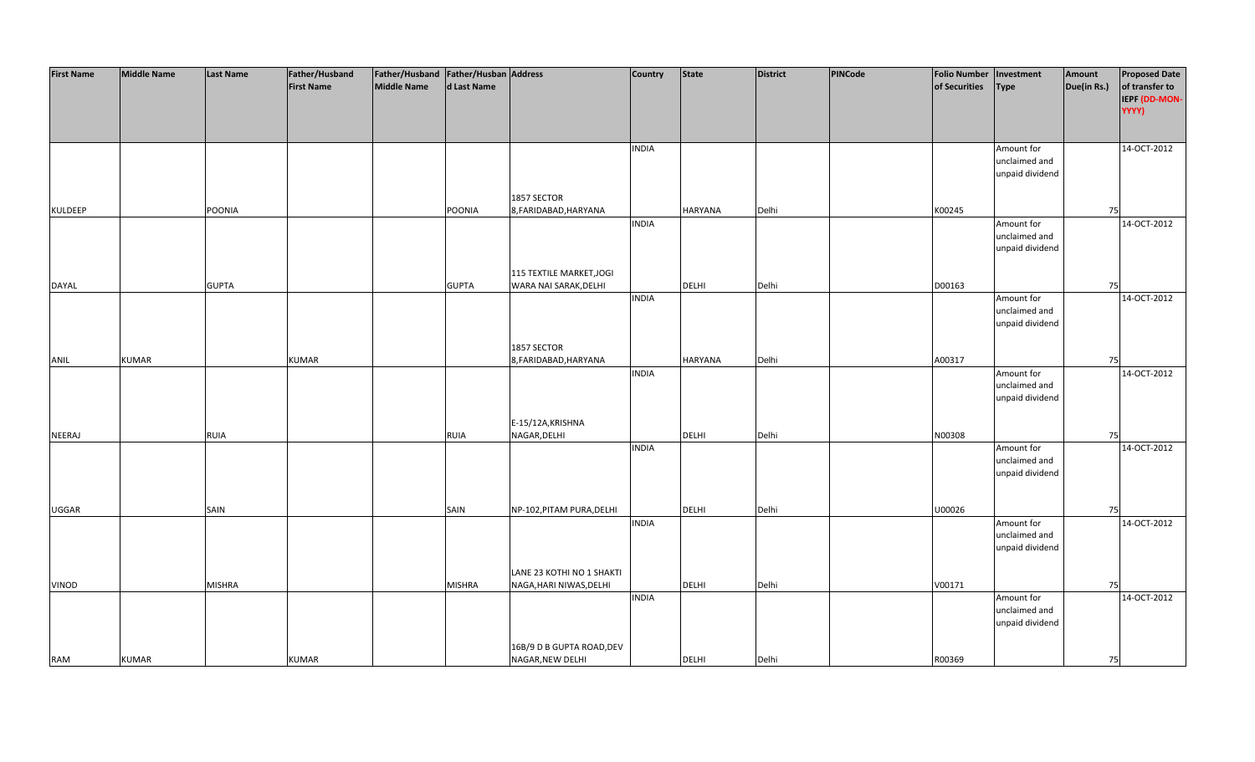| <b>First Name</b> | <b>Middle Name</b> | <b>Last Name</b> | Father/Husband    | Father/Husband Father/Husban Address |               |                           | Country      | <b>State</b>   | District | PINCode | <b>Folio Number</b> | Investment                  | Amount      | <b>Proposed Date</b> |
|-------------------|--------------------|------------------|-------------------|--------------------------------------|---------------|---------------------------|--------------|----------------|----------|---------|---------------------|-----------------------------|-------------|----------------------|
|                   |                    |                  | <b>First Name</b> | <b>Middle Name</b>                   | d Last Name   |                           |              |                |          |         | of Securities       | <b>Type</b>                 | Due(in Rs.) | of transfer to       |
|                   |                    |                  |                   |                                      |               |                           |              |                |          |         |                     |                             |             | IEPF (DD-MON-        |
|                   |                    |                  |                   |                                      |               |                           |              |                |          |         |                     |                             |             | YYYY)                |
|                   |                    |                  |                   |                                      |               |                           |              |                |          |         |                     |                             |             |                      |
|                   |                    |                  |                   |                                      |               |                           |              |                |          |         |                     |                             |             |                      |
|                   |                    |                  |                   |                                      |               |                           | <b>INDIA</b> |                |          |         |                     | Amount for                  |             | 14-OCT-2012          |
|                   |                    |                  |                   |                                      |               |                           |              |                |          |         |                     | unclaimed and               |             |                      |
|                   |                    |                  |                   |                                      |               |                           |              |                |          |         |                     | unpaid dividend             |             |                      |
|                   |                    |                  |                   |                                      |               |                           |              |                |          |         |                     |                             |             |                      |
|                   |                    |                  |                   |                                      |               | 1857 SECTOR               |              |                |          |         |                     |                             |             |                      |
| <b>KULDEEP</b>    |                    | POONIA           |                   |                                      | POONIA        | 8, FARIDABAD, HARYANA     |              | <b>HARYANA</b> | Delhi    |         | K00245              |                             | 75          |                      |
|                   |                    |                  |                   |                                      |               |                           | <b>INDIA</b> |                |          |         |                     | Amount for                  |             | 14-OCT-2012          |
|                   |                    |                  |                   |                                      |               |                           |              |                |          |         |                     | unclaimed and               |             |                      |
|                   |                    |                  |                   |                                      |               |                           |              |                |          |         |                     | unpaid dividend             |             |                      |
|                   |                    |                  |                   |                                      |               |                           |              |                |          |         |                     |                             |             |                      |
|                   |                    |                  |                   |                                      |               | 115 TEXTILE MARKET, JOGI  |              |                |          |         |                     |                             |             |                      |
| DAYAL             |                    | <b>GUPTA</b>     |                   |                                      | <b>GUPTA</b>  | WARA NAI SARAK, DELHI     |              | <b>DELHI</b>   | Delhi    |         | D00163              |                             | 75          |                      |
|                   |                    |                  |                   |                                      |               |                           | <b>INDIA</b> |                |          |         |                     | Amount for                  |             | 14-OCT-2012          |
|                   |                    |                  |                   |                                      |               |                           |              |                |          |         |                     | unclaimed and               |             |                      |
|                   |                    |                  |                   |                                      |               |                           |              |                |          |         |                     | unpaid dividend             |             |                      |
|                   |                    |                  |                   |                                      |               |                           |              |                |          |         |                     |                             |             |                      |
|                   |                    |                  |                   |                                      |               | 1857 SECTOR               |              |                |          |         |                     |                             |             |                      |
| ANIL              | <b>KUMAR</b>       |                  | <b>KUMAR</b>      |                                      |               | 8, FARIDABAD, HARYANA     |              | HARYANA        | Delhi    |         | A00317              |                             | 75          |                      |
|                   |                    |                  |                   |                                      |               |                           | <b>INDIA</b> |                |          |         |                     |                             |             | 14-OCT-2012          |
|                   |                    |                  |                   |                                      |               |                           |              |                |          |         |                     | Amount for<br>unclaimed and |             |                      |
|                   |                    |                  |                   |                                      |               |                           |              |                |          |         |                     | unpaid dividend             |             |                      |
|                   |                    |                  |                   |                                      |               |                           |              |                |          |         |                     |                             |             |                      |
|                   |                    |                  |                   |                                      |               | E-15/12A, KRISHNA         |              |                |          |         |                     |                             |             |                      |
| NEERAJ            |                    |                  |                   |                                      |               | NAGAR, DELHI              |              | DELHI          | Delhi    |         | N00308              |                             | 75          |                      |
|                   |                    | <b>RUIA</b>      |                   |                                      | <b>RUIA</b>   |                           | <b>INDIA</b> |                |          |         |                     | Amount for                  |             | 14-OCT-2012          |
|                   |                    |                  |                   |                                      |               |                           |              |                |          |         |                     | unclaimed and               |             |                      |
|                   |                    |                  |                   |                                      |               |                           |              |                |          |         |                     |                             |             |                      |
|                   |                    |                  |                   |                                      |               |                           |              |                |          |         |                     | unpaid dividend             |             |                      |
|                   |                    |                  |                   |                                      |               |                           |              |                |          |         |                     |                             |             |                      |
| UGGAR             |                    | SAIN             |                   |                                      | SAIN          | NP-102, PITAM PURA, DELHI |              | DELHI          | Delhi    |         | U00026              |                             | 75          |                      |
|                   |                    |                  |                   |                                      |               |                           | <b>INDIA</b> |                |          |         |                     | Amount for                  |             | 14-OCT-2012          |
|                   |                    |                  |                   |                                      |               |                           |              |                |          |         |                     | unclaimed and               |             |                      |
|                   |                    |                  |                   |                                      |               |                           |              |                |          |         |                     | unpaid dividend             |             |                      |
|                   |                    |                  |                   |                                      |               |                           |              |                |          |         |                     |                             |             |                      |
|                   |                    |                  |                   |                                      |               | LANE 23 KOTHI NO 1 SHAKTI |              |                |          |         |                     |                             |             |                      |
| VINOD             |                    | <b>MISHRA</b>    |                   |                                      | <b>MISHRA</b> | NAGA, HARI NIWAS, DELHI   |              | DELHI          | Delhi    |         | V00171              |                             | 75          |                      |
|                   |                    |                  |                   |                                      |               |                           | <b>INDIA</b> |                |          |         |                     | Amount for                  |             | 14-OCT-2012          |
|                   |                    |                  |                   |                                      |               |                           |              |                |          |         |                     | unclaimed and               |             |                      |
|                   |                    |                  |                   |                                      |               |                           |              |                |          |         |                     | unpaid dividend             |             |                      |
|                   |                    |                  |                   |                                      |               |                           |              |                |          |         |                     |                             |             |                      |
|                   |                    |                  |                   |                                      |               | 16B/9 D B GUPTA ROAD, DEV |              |                |          |         |                     |                             |             |                      |
| <b>RAM</b>        | <b>KUMAR</b>       |                  | <b>KUMAR</b>      |                                      |               | NAGAR, NEW DELHI          |              | <b>DELHI</b>   | Delhi    |         | R00369              |                             | 75          |                      |
|                   |                    |                  |                   |                                      |               |                           |              |                |          |         |                     |                             |             |                      |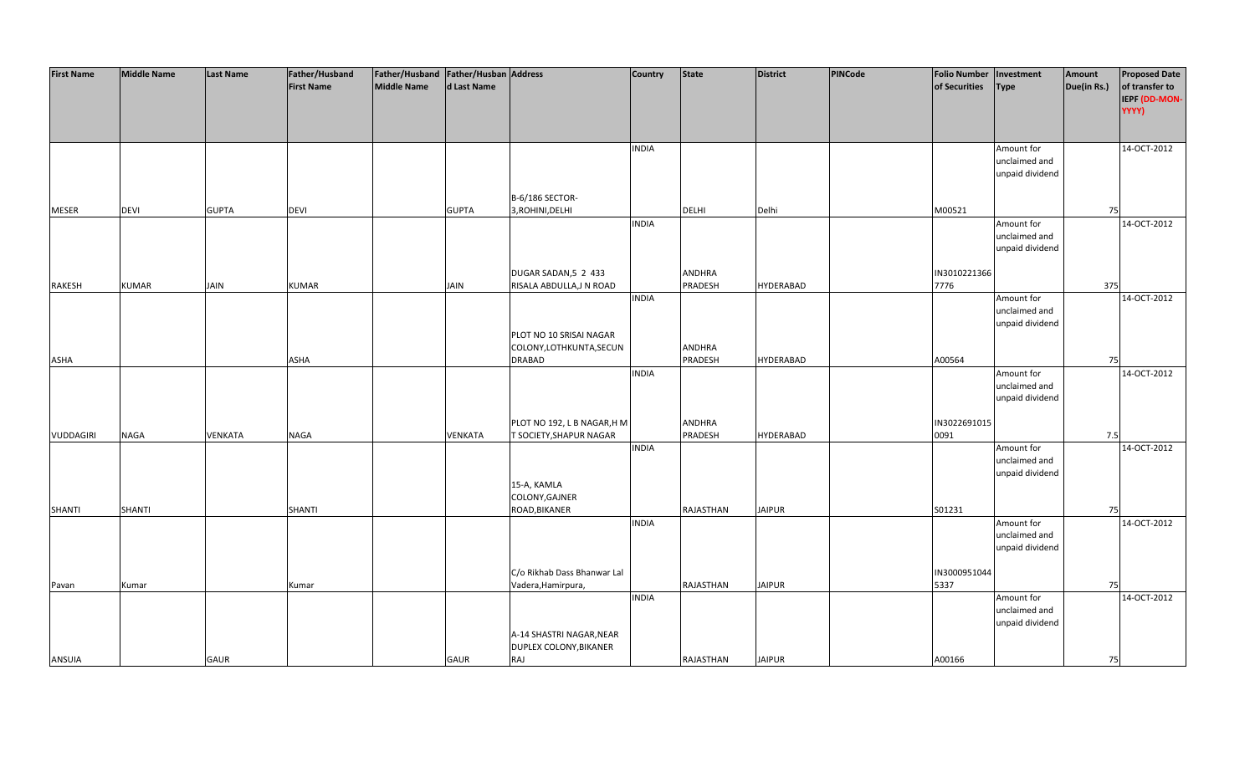| <b>First Name</b> | <b>Middle Name</b> | <b>Last Name</b> | Father/Husband    | Father/Husband Father/Husban Address |              |                             | <b>Country</b> | <b>State</b>  | <b>District</b>  | PINCode | <b>Folio Number</b> | Investment      | Amount      | <b>Proposed Date</b> |
|-------------------|--------------------|------------------|-------------------|--------------------------------------|--------------|-----------------------------|----------------|---------------|------------------|---------|---------------------|-----------------|-------------|----------------------|
|                   |                    |                  | <b>First Name</b> | <b>Middle Name</b>                   | d Last Name  |                             |                |               |                  |         | of Securities       | <b>Type</b>     | Due(in Rs.) | of transfer to       |
|                   |                    |                  |                   |                                      |              |                             |                |               |                  |         |                     |                 |             | IEPF (DD-MON-        |
|                   |                    |                  |                   |                                      |              |                             |                |               |                  |         |                     |                 |             | YYYY)                |
|                   |                    |                  |                   |                                      |              |                             |                |               |                  |         |                     |                 |             |                      |
|                   |                    |                  |                   |                                      |              |                             |                |               |                  |         |                     |                 |             |                      |
|                   |                    |                  |                   |                                      |              |                             |                |               |                  |         |                     |                 |             |                      |
|                   |                    |                  |                   |                                      |              |                             | <b>INDIA</b>   |               |                  |         |                     | Amount for      |             | 14-OCT-2012          |
|                   |                    |                  |                   |                                      |              |                             |                |               |                  |         |                     | unclaimed and   |             |                      |
|                   |                    |                  |                   |                                      |              |                             |                |               |                  |         |                     | unpaid dividend |             |                      |
|                   |                    |                  |                   |                                      |              |                             |                |               |                  |         |                     |                 |             |                      |
|                   |                    |                  |                   |                                      |              | B-6/186 SECTOR-             |                |               |                  |         |                     |                 |             |                      |
| <b>MESER</b>      | <b>DEVI</b>        | <b>GUPTA</b>     | DEVI              |                                      | <b>GUPTA</b> | 3, ROHINI, DELHI            |                | <b>DELHI</b>  | Delhi            |         | M00521              |                 | 75          |                      |
|                   |                    |                  |                   |                                      |              |                             | <b>INDIA</b>   |               |                  |         |                     | Amount for      |             | 14-OCT-2012          |
|                   |                    |                  |                   |                                      |              |                             |                |               |                  |         |                     | unclaimed and   |             |                      |
|                   |                    |                  |                   |                                      |              |                             |                |               |                  |         |                     | unpaid dividend |             |                      |
|                   |                    |                  |                   |                                      |              |                             |                |               |                  |         |                     |                 |             |                      |
|                   |                    |                  |                   |                                      |              | DUGAR SADAN, 5 2 433        |                | <b>ANDHRA</b> |                  |         | IN3010221366        |                 |             |                      |
| <b>RAKESH</b>     | <b>KUMAR</b>       | JAIN             | <b>KUMAR</b>      |                                      | <b>JAIN</b>  | RISALA ABDULLA, JN ROAD     |                | PRADESH       | <b>HYDERABAD</b> |         | 7776                |                 | 375         |                      |
|                   |                    |                  |                   |                                      |              |                             | <b>INDIA</b>   |               |                  |         |                     | Amount for      |             | 14-OCT-2012          |
|                   |                    |                  |                   |                                      |              |                             |                |               |                  |         |                     | unclaimed and   |             |                      |
|                   |                    |                  |                   |                                      |              |                             |                |               |                  |         |                     |                 |             |                      |
|                   |                    |                  |                   |                                      |              |                             |                |               |                  |         |                     | unpaid dividend |             |                      |
|                   |                    |                  |                   |                                      |              | PLOT NO 10 SRISAI NAGAR     |                |               |                  |         |                     |                 |             |                      |
|                   |                    |                  |                   |                                      |              | COLONY, LOTHKUNTA, SECUN    |                | ANDHRA        |                  |         |                     |                 |             |                      |
| ASHA              |                    |                  | ASHA              |                                      |              | <b>DRABAD</b>               |                | PRADESH       | <b>HYDERABAD</b> |         | A00564              |                 | 75          |                      |
|                   |                    |                  |                   |                                      |              |                             | <b>INDIA</b>   |               |                  |         |                     | Amount for      |             | 14-OCT-2012          |
|                   |                    |                  |                   |                                      |              |                             |                |               |                  |         |                     | unclaimed and   |             |                      |
|                   |                    |                  |                   |                                      |              |                             |                |               |                  |         |                     | unpaid dividend |             |                      |
|                   |                    |                  |                   |                                      |              |                             |                |               |                  |         |                     |                 |             |                      |
|                   |                    |                  |                   |                                      |              | PLOT NO 192, L B NAGAR, H M |                | <b>ANDHRA</b> |                  |         | IN3022691015        |                 |             |                      |
| VUDDAGIRI         | <b>NAGA</b>        | VENKATA          | NAGA              |                                      | VENKATA      | T SOCIETY, SHAPUR NAGAR     |                | PRADESH       | <b>HYDERABAD</b> |         | 0091                |                 | 7.5         |                      |
|                   |                    |                  |                   |                                      |              |                             | <b>INDIA</b>   |               |                  |         |                     | Amount for      |             | 14-OCT-2012          |
|                   |                    |                  |                   |                                      |              |                             |                |               |                  |         |                     | unclaimed and   |             |                      |
|                   |                    |                  |                   |                                      |              |                             |                |               |                  |         |                     | unpaid dividend |             |                      |
|                   |                    |                  |                   |                                      |              | 15-A, KAMLA                 |                |               |                  |         |                     |                 |             |                      |
|                   |                    |                  |                   |                                      |              | COLONY, GAJNER              |                |               |                  |         |                     |                 |             |                      |
| <b>SHANTI</b>     | SHANTI             |                  | SHANTI            |                                      |              | ROAD, BIKANER               |                | RAJASTHAN     | <b>JAIPUR</b>    |         | S01231              |                 | 75          |                      |
|                   |                    |                  |                   |                                      |              |                             | <b>INDIA</b>   |               |                  |         |                     | Amount for      |             | 14-OCT-2012          |
|                   |                    |                  |                   |                                      |              |                             |                |               |                  |         |                     | unclaimed and   |             |                      |
|                   |                    |                  |                   |                                      |              |                             |                |               |                  |         |                     | unpaid dividend |             |                      |
|                   |                    |                  |                   |                                      |              |                             |                |               |                  |         |                     |                 |             |                      |
|                   |                    |                  |                   |                                      |              | C/o Rikhab Dass Bhanwar Lal |                |               |                  |         | IN3000951044        |                 |             |                      |
|                   | Kumar              |                  |                   |                                      |              |                             |                | RAJASTHAN     | <b>JAIPUR</b>    |         | 5337                |                 | 75          |                      |
| Pavan             |                    |                  | Kumar             |                                      |              | Vadera, Hamirpura,          |                |               |                  |         |                     |                 |             |                      |
|                   |                    |                  |                   |                                      |              |                             | <b>INDIA</b>   |               |                  |         |                     | Amount for      |             | 14-OCT-2012          |
|                   |                    |                  |                   |                                      |              |                             |                |               |                  |         |                     | unclaimed and   |             |                      |
|                   |                    |                  |                   |                                      |              |                             |                |               |                  |         |                     | unpaid dividend |             |                      |
|                   |                    |                  |                   |                                      |              | A-14 SHASTRI NAGAR, NEAR    |                |               |                  |         |                     |                 |             |                      |
|                   |                    |                  |                   |                                      |              | DUPLEX COLONY, BIKANER      |                |               |                  |         |                     |                 |             |                      |
| <b>ANSUIA</b>     |                    | <b>GAUR</b>      |                   |                                      | <b>GAUR</b>  | RAJ                         |                | RAJASTHAN     | <b>JAIPUR</b>    |         | A00166              |                 | 75          |                      |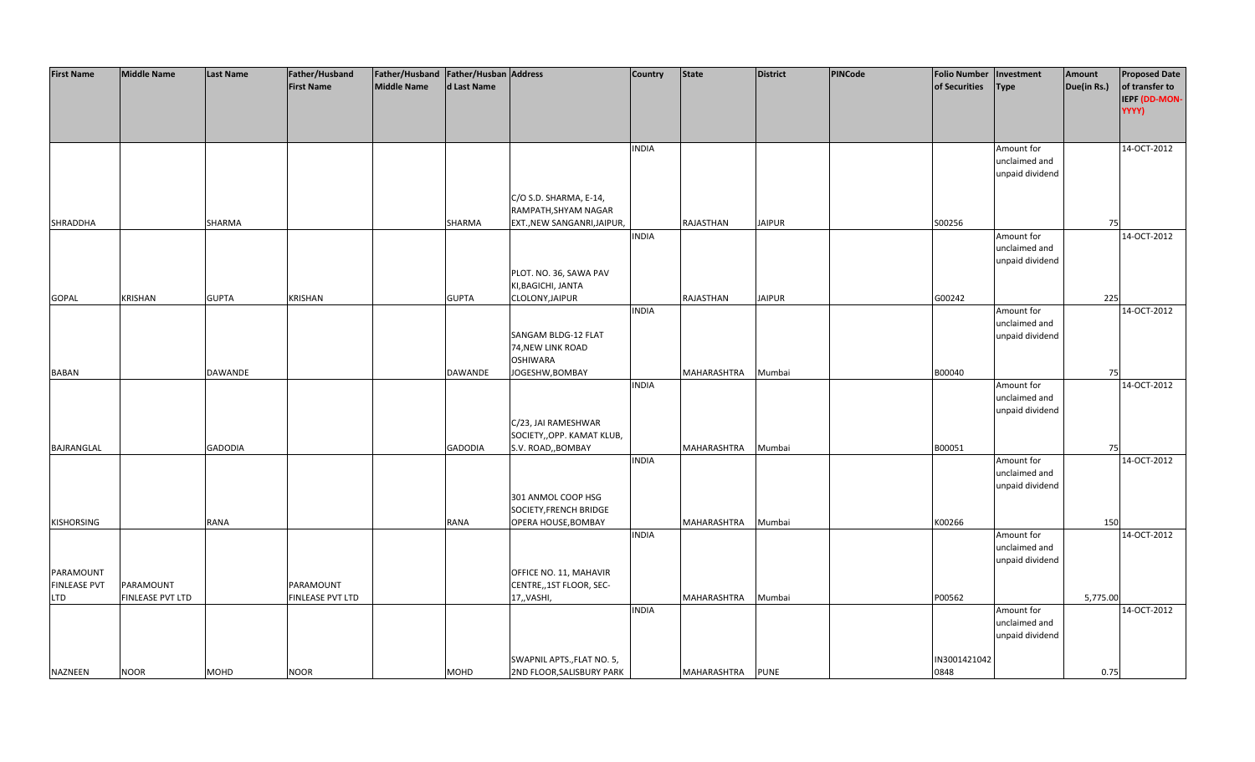| <b>First Name</b>   | <b>Middle Name</b> | <b>Last Name</b> | Father/Husband    | Father/Husband   Father/Husban   Address |              |                                          | <b>Country</b> | <b>State</b> | <b>District</b> | PINCode | <b>Folio Number</b> | Investment                       | Amount      | <b>Proposed Date</b>                     |
|---------------------|--------------------|------------------|-------------------|------------------------------------------|--------------|------------------------------------------|----------------|--------------|-----------------|---------|---------------------|----------------------------------|-------------|------------------------------------------|
|                     |                    |                  | <b>First Name</b> | <b>Middle Name</b>                       | d Last Name  |                                          |                |              |                 |         | of Securities       | <b>Type</b>                      | Due(in Rs.) | of transfer to<br>IEPF (DD-MON-<br>YYYY) |
|                     |                    |                  |                   |                                          |              |                                          | <b>INDIA</b>   |              |                 |         |                     | Amount for                       |             | 14-OCT-2012                              |
|                     |                    |                  |                   |                                          |              |                                          |                |              |                 |         |                     | unclaimed and<br>unpaid dividend |             |                                          |
|                     |                    |                  |                   |                                          |              | C/O S.D. SHARMA, E-14,                   |                |              |                 |         |                     |                                  |             |                                          |
|                     |                    |                  |                   |                                          |              | RAMPATH, SHYAM NAGAR                     |                |              |                 |         |                     |                                  |             |                                          |
| SHRADDHA            |                    | SHARMA           |                   |                                          | SHARMA       | EXT., NEW SANGANRI, JAIPUR,              |                | RAJASTHAN    | <b>JAIPUR</b>   |         | S00256              |                                  | 75          |                                          |
|                     |                    |                  |                   |                                          |              |                                          | <b>INDIA</b>   |              |                 |         |                     | Amount for                       |             | 14-OCT-2012                              |
|                     |                    |                  |                   |                                          |              |                                          |                |              |                 |         |                     | unclaimed and                    |             |                                          |
|                     |                    |                  |                   |                                          |              | PLOT. NO. 36, SAWA PAV                   |                |              |                 |         |                     | unpaid dividend                  |             |                                          |
|                     |                    |                  |                   |                                          |              | KI, BAGICHI, JANTA                       |                |              |                 |         |                     |                                  |             |                                          |
| <b>GOPAL</b>        | KRISHAN            | <b>GUPTA</b>     | <b>KRISHAN</b>    |                                          | <b>GUPTA</b> | CLOLONY, JAIPUR                          |                | RAJASTHAN    | <b>JAIPUR</b>   |         | G00242              |                                  | 225         |                                          |
|                     |                    |                  |                   |                                          |              |                                          | <b>INDIA</b>   |              |                 |         |                     | Amount for                       |             | 14-OCT-2012                              |
|                     |                    |                  |                   |                                          |              |                                          |                |              |                 |         |                     | unclaimed and                    |             |                                          |
|                     |                    |                  |                   |                                          |              | SANGAM BLDG-12 FLAT<br>74, NEW LINK ROAD |                |              |                 |         |                     | unpaid dividend                  |             |                                          |
|                     |                    |                  |                   |                                          |              | <b>OSHIWARA</b>                          |                |              |                 |         |                     |                                  |             |                                          |
| <b>BABAN</b>        |                    | DAWANDE          |                   |                                          | DAWANDE      | JOGESHW, BOMBAY                          |                | MAHARASHTRA  | Mumbai          |         | B00040              |                                  | 75          |                                          |
|                     |                    |                  |                   |                                          |              |                                          | <b>INDIA</b>   |              |                 |         |                     | Amount for                       |             | 14-OCT-2012                              |
|                     |                    |                  |                   |                                          |              |                                          |                |              |                 |         |                     | unclaimed and                    |             |                                          |
|                     |                    |                  |                   |                                          |              | C/23, JAI RAMESHWAR                      |                |              |                 |         |                     | unpaid dividend                  |             |                                          |
|                     |                    |                  |                   |                                          |              | SOCIETY, OPP. KAMAT KLUB,                |                |              |                 |         |                     |                                  |             |                                          |
| BAJRANGLAL          |                    | <b>GADODIA</b>   |                   |                                          | GADODIA      | S.V. ROAD,, BOMBAY                       |                | MAHARASHTRA  | Mumbai          |         | B00051              |                                  | 75          |                                          |
|                     |                    |                  |                   |                                          |              |                                          | <b>INDIA</b>   |              |                 |         |                     | Amount for                       |             | 14-OCT-2012                              |
|                     |                    |                  |                   |                                          |              |                                          |                |              |                 |         |                     | unclaimed and                    |             |                                          |
|                     |                    |                  |                   |                                          |              | 301 ANMOL COOP HSG                       |                |              |                 |         |                     | unpaid dividend                  |             |                                          |
|                     |                    |                  |                   |                                          |              | SOCIETY, FRENCH BRIDGE                   |                |              |                 |         |                     |                                  |             |                                          |
| <b>KISHORSING</b>   |                    | RANA             |                   |                                          | RANA         | OPERA HOUSE, BOMBAY                      |                | MAHARASHTRA  | Mumbai          |         | K00266              |                                  | 150         |                                          |
|                     |                    |                  |                   |                                          |              |                                          | <b>INDIA</b>   |              |                 |         |                     | Amount for                       |             | 14-OCT-2012                              |
|                     |                    |                  |                   |                                          |              |                                          |                |              |                 |         |                     | unclaimed and                    |             |                                          |
| PARAMOUNT           |                    |                  |                   |                                          |              | OFFICE NO. 11, MAHAVIR                   |                |              |                 |         |                     | unpaid dividend                  |             |                                          |
| <b>FINLEASE PVT</b> | PARAMOUNT          |                  | PARAMOUNT         |                                          |              | CENTRE,,1ST FLOOR, SEC-                  |                |              |                 |         |                     |                                  |             |                                          |
| <b>LTD</b>          | FINLEASE PVT LTD   |                  | FINLEASE PVT LTD  |                                          |              | 17,, VASHI,                              |                | MAHARASHTRA  | Mumbai          |         | P00562              |                                  | 5,775.00    |                                          |
|                     |                    |                  |                   |                                          |              |                                          | <b>INDIA</b>   |              |                 |         |                     | Amount for                       |             | 14-OCT-2012                              |
|                     |                    |                  |                   |                                          |              |                                          |                |              |                 |         |                     | unclaimed and                    |             |                                          |
|                     |                    |                  |                   |                                          |              |                                          |                |              |                 |         |                     | unpaid dividend                  |             |                                          |
|                     |                    |                  |                   |                                          |              | SWAPNIL APTS., FLAT NO. 5,               |                |              |                 |         | IN3001421042        |                                  |             |                                          |
| <b>NAZNEEN</b>      | <b>NOOR</b>        | MOHD             | <b>NOOR</b>       |                                          | MOHD         | 2ND FLOOR, SALISBURY PARK                |                | MAHARASHTRA  | <b>PUNE</b>     |         | 0848                |                                  | 0.75        |                                          |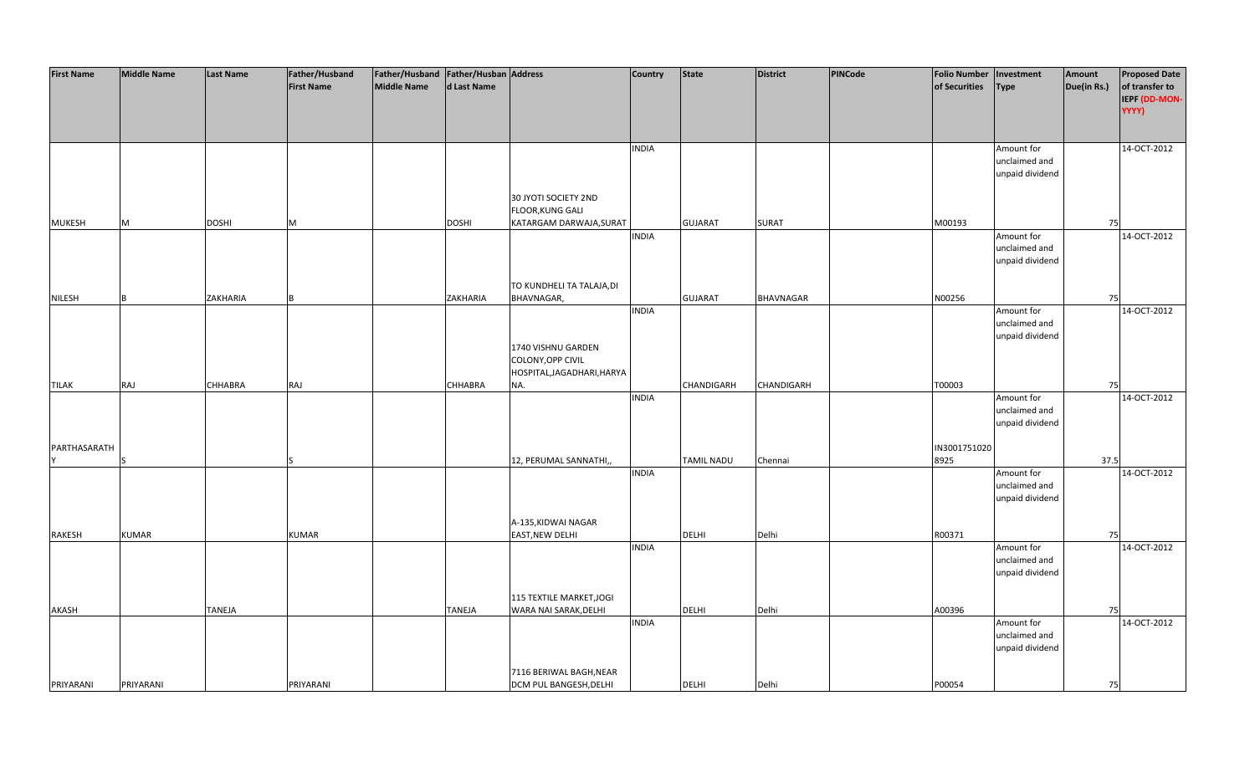| <b>First Name</b> | <b>Middle Name</b> | <b>Last Name</b> | Father/Husband<br><b>First Name</b> | Father/Husband   Father/Husban   Address<br>Middle Name | d Last Name   |                                                                            | Country      | <b>State</b>   | District         | <b>PINCode</b> | <b>Folio Number</b><br>of Securities | Investment<br><b>Type</b>                      | Amount<br>Due(in Rs.) | <b>Proposed Date</b><br>of transfer to<br>IEPF (DD-MON- |
|-------------------|--------------------|------------------|-------------------------------------|---------------------------------------------------------|---------------|----------------------------------------------------------------------------|--------------|----------------|------------------|----------------|--------------------------------------|------------------------------------------------|-----------------------|---------------------------------------------------------|
|                   |                    |                  |                                     |                                                         |               |                                                                            |              |                |                  |                |                                      |                                                |                       | YYYY)                                                   |
|                   |                    |                  |                                     |                                                         |               |                                                                            | <b>INDIA</b> |                |                  |                |                                      | Amount for<br>unclaimed and<br>unpaid dividend |                       | 14-OCT-2012                                             |
| MUKESH            | M                  | <b>DOSHI</b>     | M                                   |                                                         | <b>DOSHI</b>  | 30 JYOTI SOCIETY 2ND<br><b>FLOOR, KUNG GALI</b><br>KATARGAM DARWAJA, SURAT |              | <b>GUJARAT</b> | <b>SURAT</b>     |                | M00193                               |                                                | 75                    |                                                         |
|                   |                    |                  |                                     |                                                         |               |                                                                            | <b>INDIA</b> |                |                  |                |                                      | Amount for<br>unclaimed and<br>unpaid dividend |                       | 14-OCT-2012                                             |
| <b>NILESH</b>     |                    | ZAKHARIA         |                                     |                                                         | ZAKHARIA      | TO KUNDHELI TA TALAJA, DI<br>BHAVNAGAR,                                    |              | <b>GUJARAT</b> | <b>BHAVNAGAR</b> |                | N00256                               |                                                | 75                    |                                                         |
|                   |                    |                  |                                     |                                                         |               | 1740 VISHNU GARDEN                                                         | <b>INDIA</b> |                |                  |                |                                      | Amount for<br>unclaimed and<br>unpaid dividend |                       | 14-OCT-2012                                             |
| <b>TILAK</b>      | <b>RAJ</b>         | CHHABRA          | RAJ                                 |                                                         | CHHABRA       | COLONY, OPP CIVIL<br>HOSPITAL, JAGADHARI, HARYA<br>NA.                     |              | CHANDIGARH     | CHANDIGARH       |                | T00003                               |                                                | 75                    |                                                         |
|                   |                    |                  |                                     |                                                         |               |                                                                            | <b>INDIA</b> |                |                  |                |                                      | Amount for<br>unclaimed and<br>unpaid dividend |                       | 14-OCT-2012                                             |
| PARTHASARATH      |                    |                  |                                     |                                                         |               | 12, PERUMAL SANNATHI,,                                                     |              | TAMIL NADU     | Chennai          |                | IN3001751020<br>8925                 |                                                | 37.5                  |                                                         |
|                   |                    |                  |                                     |                                                         |               |                                                                            | <b>INDIA</b> |                |                  |                |                                      | Amount for<br>unclaimed and<br>unpaid dividend |                       | 14-OCT-2012                                             |
| RAKESH            | <b>KUMAR</b>       |                  | <b>KUMAR</b>                        |                                                         |               | A-135, KIDWAI NAGAR<br>EAST, NEW DELHI                                     |              | <b>DELHI</b>   | Delhi            |                | R00371                               |                                                | 75                    |                                                         |
|                   |                    |                  |                                     |                                                         |               |                                                                            | <b>INDIA</b> |                |                  |                |                                      | Amount for<br>unclaimed and<br>unpaid dividend |                       | 14-OCT-2012                                             |
| AKASH             |                    | <b>TANEJA</b>    |                                     |                                                         | <b>TANEJA</b> | 115 TEXTILE MARKET, JOGI<br>WARA NAI SARAK, DELHI                          |              | <b>DELHI</b>   | Delhi            |                | A00396                               |                                                | 75                    |                                                         |
|                   |                    |                  |                                     |                                                         |               |                                                                            | <b>INDIA</b> |                |                  |                |                                      | Amount for<br>unclaimed and<br>unpaid dividend |                       | 14-OCT-2012                                             |
| PRIYARANI         | PRIYARANI          |                  | PRIYARANI                           |                                                         |               | 7116 BERIWAL BAGH, NEAR<br><b>DCM PUL BANGESH, DELHI</b>                   |              | <b>DELHI</b>   | Delhi            |                | P00054                               |                                                | 75                    |                                                         |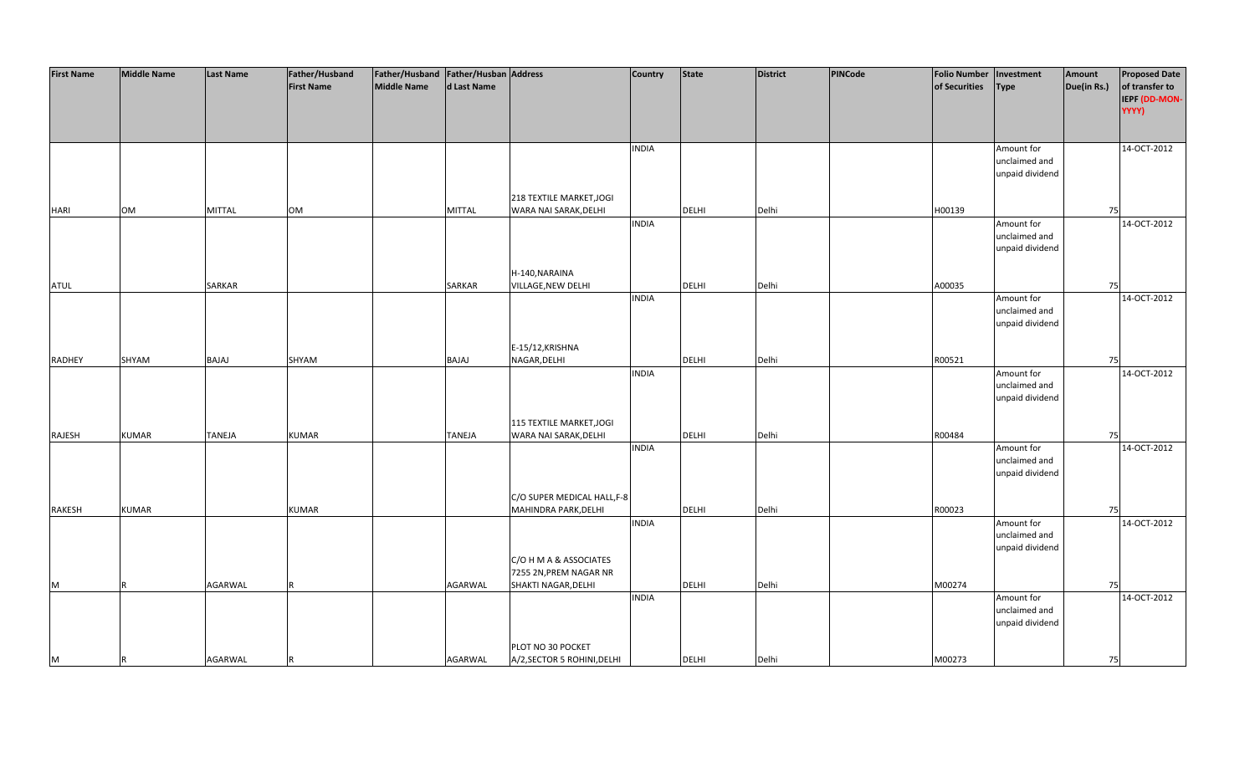| <b>First Name</b> | <b>Middle Name</b> | <b>Last Name</b> | Father/Husband    | Father/Husband   Father/Husban   Address |               |                             | Country      | <b>State</b> | <b>District</b> | PINCode | <b>Folio Number</b> | Investment      | Amount      | <b>Proposed Date</b> |
|-------------------|--------------------|------------------|-------------------|------------------------------------------|---------------|-----------------------------|--------------|--------------|-----------------|---------|---------------------|-----------------|-------------|----------------------|
|                   |                    |                  | <b>First Name</b> | <b>Middle Name</b>                       | d Last Name   |                             |              |              |                 |         | of Securities       | <b>Type</b>     | Due(in Rs.) | of transfer to       |
|                   |                    |                  |                   |                                          |               |                             |              |              |                 |         |                     |                 |             | IEPF (DD-MON-        |
|                   |                    |                  |                   |                                          |               |                             |              |              |                 |         |                     |                 |             | YYYY)                |
|                   |                    |                  |                   |                                          |               |                             |              |              |                 |         |                     |                 |             |                      |
|                   |                    |                  |                   |                                          |               |                             |              |              |                 |         |                     |                 |             |                      |
|                   |                    |                  |                   |                                          |               |                             | <b>INDIA</b> |              |                 |         |                     | Amount for      |             | 14-OCT-2012          |
|                   |                    |                  |                   |                                          |               |                             |              |              |                 |         |                     | unclaimed and   |             |                      |
|                   |                    |                  |                   |                                          |               |                             |              |              |                 |         |                     | unpaid dividend |             |                      |
|                   |                    |                  |                   |                                          |               |                             |              |              |                 |         |                     |                 |             |                      |
|                   |                    |                  |                   |                                          |               | 218 TEXTILE MARKET, JOGI    |              |              |                 |         |                     |                 |             |                      |
| <b>HARI</b>       | <b>OM</b>          | <b>MITTAL</b>    | <b>OM</b>         |                                          | <b>MITTAL</b> | WARA NAI SARAK, DELHI       |              | <b>DELHI</b> | Delhi           |         | H00139              |                 | 75          |                      |
|                   |                    |                  |                   |                                          |               |                             | <b>INDIA</b> |              |                 |         |                     | Amount for      |             | 14-OCT-2012          |
|                   |                    |                  |                   |                                          |               |                             |              |              |                 |         |                     | unclaimed and   |             |                      |
|                   |                    |                  |                   |                                          |               |                             |              |              |                 |         |                     | unpaid dividend |             |                      |
|                   |                    |                  |                   |                                          |               |                             |              |              |                 |         |                     |                 |             |                      |
|                   |                    |                  |                   |                                          |               | H-140, NARAINA              |              |              |                 |         |                     |                 |             |                      |
|                   |                    | SARKAR           |                   |                                          |               |                             |              | DELHI        | Delhi           |         |                     |                 | 75          |                      |
| <b>ATUL</b>       |                    |                  |                   |                                          | SARKAR        | VILLAGE, NEW DELHI          | <b>INDIA</b> |              |                 |         | A00035              | Amount for      |             | 14-OCT-2012          |
|                   |                    |                  |                   |                                          |               |                             |              |              |                 |         |                     | unclaimed and   |             |                      |
|                   |                    |                  |                   |                                          |               |                             |              |              |                 |         |                     |                 |             |                      |
|                   |                    |                  |                   |                                          |               |                             |              |              |                 |         |                     | unpaid dividend |             |                      |
|                   |                    |                  |                   |                                          |               |                             |              |              |                 |         |                     |                 |             |                      |
|                   |                    |                  |                   |                                          |               | E-15/12, KRISHNA            |              |              |                 |         |                     |                 |             |                      |
| <b>RADHEY</b>     | SHYAM              | BAJAJ            | SHYAM             |                                          | BAJAJ         | NAGAR, DELHI                |              | <b>DELHI</b> | Delhi           |         | R00521              |                 | 75          |                      |
|                   |                    |                  |                   |                                          |               |                             | <b>INDIA</b> |              |                 |         |                     | Amount for      |             | 14-OCT-2012          |
|                   |                    |                  |                   |                                          |               |                             |              |              |                 |         |                     | unclaimed and   |             |                      |
|                   |                    |                  |                   |                                          |               |                             |              |              |                 |         |                     | unpaid dividend |             |                      |
|                   |                    |                  |                   |                                          |               |                             |              |              |                 |         |                     |                 |             |                      |
|                   |                    |                  |                   |                                          |               | 115 TEXTILE MARKET, JOGI    |              |              |                 |         |                     |                 |             |                      |
| RAJESH            | <b>KUMAR</b>       | <b>TANEJA</b>    | <b>KUMAR</b>      |                                          | <b>TANEJA</b> | WARA NAI SARAK, DELHI       |              | <b>DELHI</b> | Delhi           |         | R00484              |                 | 75          |                      |
|                   |                    |                  |                   |                                          |               |                             | <b>INDIA</b> |              |                 |         |                     | Amount for      |             | 14-OCT-2012          |
|                   |                    |                  |                   |                                          |               |                             |              |              |                 |         |                     | unclaimed and   |             |                      |
|                   |                    |                  |                   |                                          |               |                             |              |              |                 |         |                     | unpaid dividend |             |                      |
|                   |                    |                  |                   |                                          |               |                             |              |              |                 |         |                     |                 |             |                      |
|                   |                    |                  |                   |                                          |               | C/O SUPER MEDICAL HALL, F-8 |              |              |                 |         |                     |                 |             |                      |
| <b>RAKESH</b>     | <b>KUMAR</b>       |                  | <b>KUMAR</b>      |                                          |               | MAHINDRA PARK, DELHI        |              | DELHI        | Delhi           |         | R00023              |                 | 75          |                      |
|                   |                    |                  |                   |                                          |               |                             | <b>INDIA</b> |              |                 |         |                     | Amount for      |             | 14-OCT-2012          |
|                   |                    |                  |                   |                                          |               |                             |              |              |                 |         |                     | unclaimed and   |             |                      |
|                   |                    |                  |                   |                                          |               |                             |              |              |                 |         |                     | unpaid dividend |             |                      |
|                   |                    |                  |                   |                                          |               | C/O H M A & ASSOCIATES      |              |              |                 |         |                     |                 |             |                      |
|                   |                    |                  |                   |                                          |               | 7255 2N, PREM NAGAR NR      |              |              |                 |         |                     |                 |             |                      |
| M                 |                    | AGARWAL          |                   |                                          | AGARWAL       | SHAKTI NAGAR, DELHI         |              | <b>DELHI</b> | Delhi           |         | M00274              |                 | 75          |                      |
|                   |                    |                  |                   |                                          |               |                             | <b>INDIA</b> |              |                 |         |                     | Amount for      |             | 14-OCT-2012          |
|                   |                    |                  |                   |                                          |               |                             |              |              |                 |         |                     | unclaimed and   |             |                      |
|                   |                    |                  |                   |                                          |               |                             |              |              |                 |         |                     | unpaid dividend |             |                      |
|                   |                    |                  |                   |                                          |               |                             |              |              |                 |         |                     |                 |             |                      |
|                   |                    |                  |                   |                                          |               | PLOT NO 30 POCKET           |              |              |                 |         |                     |                 |             |                      |
| M                 | R                  | <b>AGARWAL</b>   |                   |                                          | AGARWAL       | A/2, SECTOR 5 ROHINI, DELHI |              | <b>DELHI</b> | Delhi           |         | M00273              |                 | 75          |                      |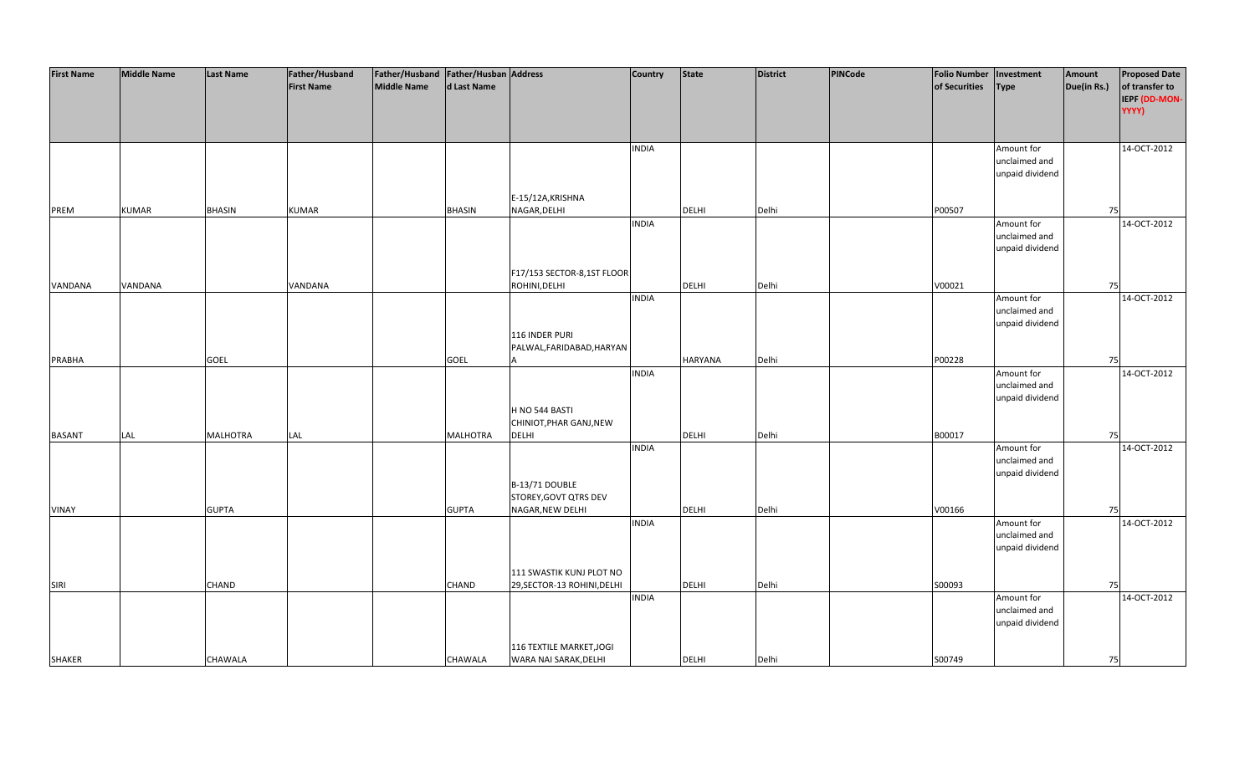| <b>First Name</b> | <b>Middle Name</b> | <b>Last Name</b> | Father/Husband    | Father/Husband Father/Husban Address |               |                             | Country      | <b>State</b> | <b>District</b> | PINCode | <b>Folio Number</b> | Investment      | Amount      | <b>Proposed Date</b> |
|-------------------|--------------------|------------------|-------------------|--------------------------------------|---------------|-----------------------------|--------------|--------------|-----------------|---------|---------------------|-----------------|-------------|----------------------|
|                   |                    |                  | <b>First Name</b> | <b>Middle Name</b>                   | d Last Name   |                             |              |              |                 |         | of Securities       | <b>Type</b>     | Due(in Rs.) | of transfer to       |
|                   |                    |                  |                   |                                      |               |                             |              |              |                 |         |                     |                 |             | IEPF (DD-MON-        |
|                   |                    |                  |                   |                                      |               |                             |              |              |                 |         |                     |                 |             | YYYY)                |
|                   |                    |                  |                   |                                      |               |                             |              |              |                 |         |                     |                 |             |                      |
|                   |                    |                  |                   |                                      |               |                             |              |              |                 |         |                     |                 |             |                      |
|                   |                    |                  |                   |                                      |               |                             | <b>INDIA</b> |              |                 |         |                     | Amount for      |             | 14-OCT-2012          |
|                   |                    |                  |                   |                                      |               |                             |              |              |                 |         |                     | unclaimed and   |             |                      |
|                   |                    |                  |                   |                                      |               |                             |              |              |                 |         |                     | unpaid dividend |             |                      |
|                   |                    |                  |                   |                                      |               |                             |              |              |                 |         |                     |                 |             |                      |
|                   |                    |                  |                   |                                      |               | E-15/12A, KRISHNA           |              |              |                 |         |                     |                 |             |                      |
| PREM              | <b>KUMAR</b>       | <b>BHASIN</b>    | <b>KUMAR</b>      |                                      | <b>BHASIN</b> | NAGAR, DELHI                |              | <b>DELHI</b> | Delhi           |         | P00507              |                 | 75          |                      |
|                   |                    |                  |                   |                                      |               |                             | <b>INDIA</b> |              |                 |         |                     | Amount for      |             | 14-OCT-2012          |
|                   |                    |                  |                   |                                      |               |                             |              |              |                 |         |                     | unclaimed and   |             |                      |
|                   |                    |                  |                   |                                      |               |                             |              |              |                 |         |                     | unpaid dividend |             |                      |
|                   |                    |                  |                   |                                      |               |                             |              |              |                 |         |                     |                 |             |                      |
|                   |                    |                  |                   |                                      |               | F17/153 SECTOR-8,1ST FLOOR  |              |              |                 |         |                     |                 |             |                      |
|                   | VANDANA            |                  | VANDANA           |                                      |               | ROHINI, DELHI               |              | DELHI        | Delhi           |         |                     |                 | 75          |                      |
| VANDANA           |                    |                  |                   |                                      |               |                             | <b>INDIA</b> |              |                 |         | V00021              | Amount for      |             | 14-OCT-2012          |
|                   |                    |                  |                   |                                      |               |                             |              |              |                 |         |                     | unclaimed and   |             |                      |
|                   |                    |                  |                   |                                      |               |                             |              |              |                 |         |                     |                 |             |                      |
|                   |                    |                  |                   |                                      |               |                             |              |              |                 |         |                     | unpaid dividend |             |                      |
|                   |                    |                  |                   |                                      |               | 116 INDER PURI              |              |              |                 |         |                     |                 |             |                      |
|                   |                    |                  |                   |                                      |               | PALWAL, FARIDABAD, HARYAN   |              |              |                 |         |                     |                 |             |                      |
| <b>PRABHA</b>     |                    | <b>GOEL</b>      |                   |                                      | <b>GOEL</b>   |                             |              | HARYANA      | Delhi           |         | P00228              |                 | 75          |                      |
|                   |                    |                  |                   |                                      |               |                             | <b>INDIA</b> |              |                 |         |                     | Amount for      |             | 14-OCT-2012          |
|                   |                    |                  |                   |                                      |               |                             |              |              |                 |         |                     | unclaimed and   |             |                      |
|                   |                    |                  |                   |                                      |               |                             |              |              |                 |         |                     | unpaid dividend |             |                      |
|                   |                    |                  |                   |                                      |               | H NO 544 BASTI              |              |              |                 |         |                     |                 |             |                      |
|                   |                    |                  |                   |                                      |               | CHINIOT, PHAR GANJ, NEW     |              |              |                 |         |                     |                 |             |                      |
| <b>BASANT</b>     | LAL                | <b>MALHOTRA</b>  | LAL               |                                      | MALHOTRA      | <b>DELHI</b>                |              | <b>DELHI</b> | Delhi           |         | B00017              |                 | 75          |                      |
|                   |                    |                  |                   |                                      |               |                             | <b>INDIA</b> |              |                 |         |                     | Amount for      |             | 14-OCT-2012          |
|                   |                    |                  |                   |                                      |               |                             |              |              |                 |         |                     | unclaimed and   |             |                      |
|                   |                    |                  |                   |                                      |               |                             |              |              |                 |         |                     | unpaid dividend |             |                      |
|                   |                    |                  |                   |                                      |               | B-13/71 DOUBLE              |              |              |                 |         |                     |                 |             |                      |
|                   |                    |                  |                   |                                      |               | STOREY, GOVT QTRS DEV       |              |              |                 |         |                     |                 |             |                      |
| VINAY             |                    | <b>GUPTA</b>     |                   |                                      | <b>GUPTA</b>  | NAGAR, NEW DELHI            |              | DELHI        | Delhi           |         | V00166              |                 | 75          |                      |
|                   |                    |                  |                   |                                      |               |                             | <b>INDIA</b> |              |                 |         |                     | Amount for      |             | 14-OCT-2012          |
|                   |                    |                  |                   |                                      |               |                             |              |              |                 |         |                     | unclaimed and   |             |                      |
|                   |                    |                  |                   |                                      |               |                             |              |              |                 |         |                     | unpaid dividend |             |                      |
|                   |                    |                  |                   |                                      |               |                             |              |              |                 |         |                     |                 |             |                      |
|                   |                    |                  |                   |                                      |               | 111 SWASTIK KUNJ PLOT NO    |              |              |                 |         |                     |                 |             |                      |
| SIRI              |                    | CHAND            |                   |                                      | <b>CHAND</b>  | 29, SECTOR-13 ROHINI, DELHI |              | DELHI        | Delhi           |         | S00093              |                 | 75          |                      |
|                   |                    |                  |                   |                                      |               |                             | <b>INDIA</b> |              |                 |         |                     | Amount for      |             | 14-OCT-2012          |
|                   |                    |                  |                   |                                      |               |                             |              |              |                 |         |                     | unclaimed and   |             |                      |
|                   |                    |                  |                   |                                      |               |                             |              |              |                 |         |                     | unpaid dividend |             |                      |
|                   |                    |                  |                   |                                      |               |                             |              |              |                 |         |                     |                 |             |                      |
|                   |                    |                  |                   |                                      |               | 116 TEXTILE MARKET, JOGI    |              |              |                 |         |                     |                 |             |                      |
| <b>SHAKER</b>     |                    | CHAWALA          |                   |                                      | CHAWALA       | WARA NAI SARAK, DELHI       |              | <b>DELHI</b> | Delhi           |         | S00749              |                 | 75          |                      |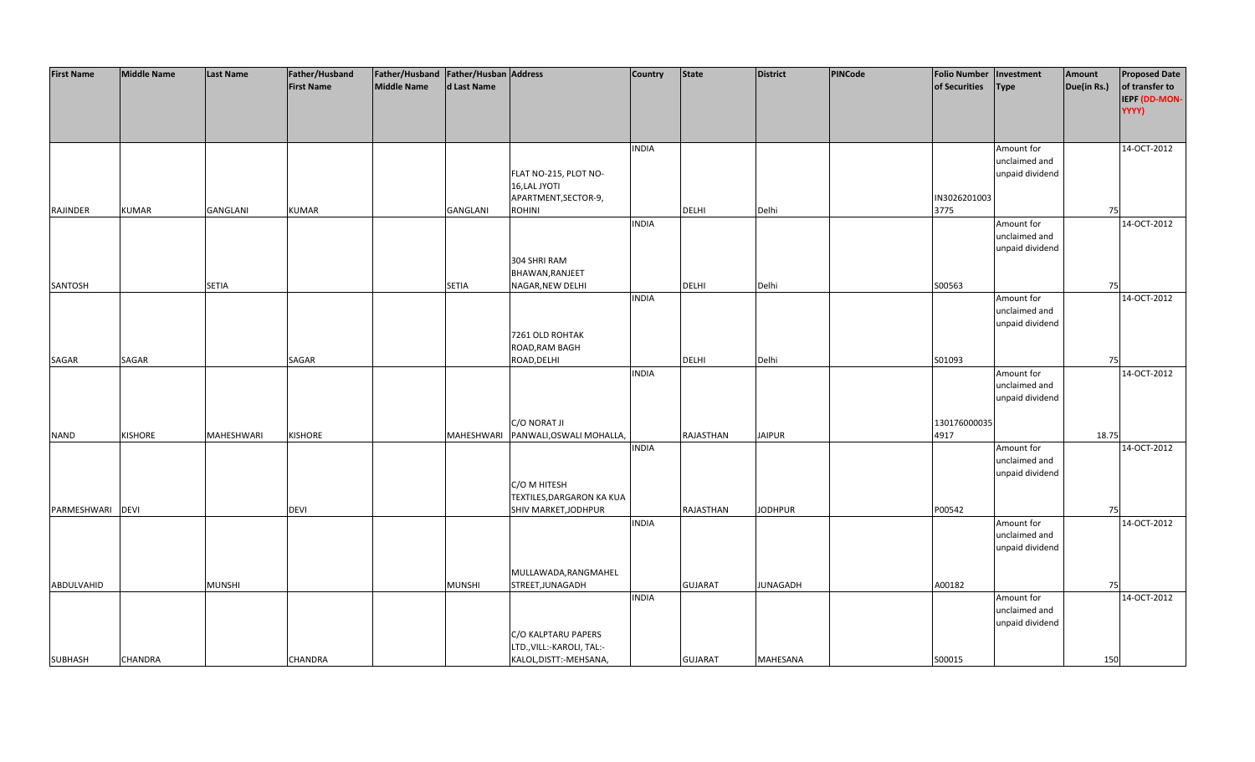| <b>First Name</b> | <b>Middle Name</b> | <b>Last Name</b> | Father/Husband    | Father/Husband   Father/Husban   Address |               |                                  | <b>Country</b> | <b>State</b>   | District        | PINCode | <b>Folio Number</b> | Investment      | Amount      | <b>Proposed Date</b> |
|-------------------|--------------------|------------------|-------------------|------------------------------------------|---------------|----------------------------------|----------------|----------------|-----------------|---------|---------------------|-----------------|-------------|----------------------|
|                   |                    |                  | <b>First Name</b> | <b>Middle Name</b>                       | d Last Name   |                                  |                |                |                 |         | of Securities       | <b>Type</b>     | Due(in Rs.) | of transfer to       |
|                   |                    |                  |                   |                                          |               |                                  |                |                |                 |         |                     |                 |             | IEPF (DD-MON-        |
|                   |                    |                  |                   |                                          |               |                                  |                |                |                 |         |                     |                 |             | YYYY)                |
|                   |                    |                  |                   |                                          |               |                                  |                |                |                 |         |                     |                 |             |                      |
|                   |                    |                  |                   |                                          |               |                                  |                |                |                 |         |                     |                 |             |                      |
|                   |                    |                  |                   |                                          |               |                                  | <b>INDIA</b>   |                |                 |         |                     | Amount for      |             | 14-OCT-2012          |
|                   |                    |                  |                   |                                          |               |                                  |                |                |                 |         |                     | unclaimed and   |             |                      |
|                   |                    |                  |                   |                                          |               | FLAT NO-215, PLOT NO-            |                |                |                 |         |                     | unpaid dividend |             |                      |
|                   |                    |                  |                   |                                          |               | 16, LAL JYOTI                    |                |                |                 |         |                     |                 |             |                      |
|                   |                    |                  |                   |                                          |               | APARTMENT, SECTOR-9,             |                |                |                 |         | IN3026201003        |                 |             |                      |
| RAJINDER          | <b>KUMAR</b>       | GANGLANI         | <b>KUMAR</b>      |                                          | GANGLANI      | ROHINI                           |                | <b>DELHI</b>   | Delhi           |         | 3775                |                 | 75          |                      |
|                   |                    |                  |                   |                                          |               |                                  | <b>INDIA</b>   |                |                 |         |                     | Amount for      |             | 14-OCT-2012          |
|                   |                    |                  |                   |                                          |               |                                  |                |                |                 |         |                     | unclaimed and   |             |                      |
|                   |                    |                  |                   |                                          |               |                                  |                |                |                 |         |                     | unpaid dividend |             |                      |
|                   |                    |                  |                   |                                          |               | 304 SHRI RAM                     |                |                |                 |         |                     |                 |             |                      |
|                   |                    |                  |                   |                                          |               | BHAWAN, RANJEET                  |                |                |                 |         |                     |                 |             |                      |
| SANTOSH           |                    | <b>SETIA</b>     |                   |                                          | <b>SETIA</b>  | NAGAR, NEW DELHI                 |                | DELHI          | Delhi           |         | S00563              |                 | 75          |                      |
|                   |                    |                  |                   |                                          |               |                                  | <b>INDIA</b>   |                |                 |         |                     | Amount for      |             | 14-OCT-2012          |
|                   |                    |                  |                   |                                          |               |                                  |                |                |                 |         |                     | unclaimed and   |             |                      |
|                   |                    |                  |                   |                                          |               |                                  |                |                |                 |         |                     | unpaid dividend |             |                      |
|                   |                    |                  |                   |                                          |               | 7261 OLD ROHTAK                  |                |                |                 |         |                     |                 |             |                      |
|                   |                    |                  |                   |                                          |               | ROAD, RAM BAGH                   |                |                |                 |         |                     |                 |             |                      |
| SAGAR             | SAGAR              |                  | SAGAR             |                                          |               | ROAD, DELHI                      |                | <b>DELHI</b>   | Delhi           |         | S01093              |                 | 75          |                      |
|                   |                    |                  |                   |                                          |               |                                  | <b>INDIA</b>   |                |                 |         |                     | Amount for      |             | 14-OCT-2012          |
|                   |                    |                  |                   |                                          |               |                                  |                |                |                 |         |                     | unclaimed and   |             |                      |
|                   |                    |                  |                   |                                          |               |                                  |                |                |                 |         |                     | unpaid dividend |             |                      |
|                   |                    |                  |                   |                                          |               |                                  |                |                |                 |         |                     |                 |             |                      |
|                   |                    |                  |                   |                                          |               | C/O NORAT JI                     |                |                |                 |         | 130176000035        |                 |             |                      |
| <b>NAND</b>       | <b>KISHORE</b>     | MAHESHWARI       | <b>KISHORE</b>    |                                          | MAHESHWARI    | PANWALI, OSWALI MOHALLA,         |                | RAJASTHAN      | <b>JAIPUR</b>   |         | 4917                |                 | 18.75       |                      |
|                   |                    |                  |                   |                                          |               |                                  | <b>INDIA</b>   |                |                 |         |                     | Amount for      |             | 14-OCT-2012          |
|                   |                    |                  |                   |                                          |               |                                  |                |                |                 |         |                     | unclaimed and   |             |                      |
|                   |                    |                  |                   |                                          |               |                                  |                |                |                 |         |                     | unpaid dividend |             |                      |
|                   |                    |                  |                   |                                          |               | C/O M HITESH                     |                |                |                 |         |                     |                 |             |                      |
|                   |                    |                  |                   |                                          |               | <b>TEXTILES, DARGARON KA KUA</b> |                |                |                 |         |                     |                 |             |                      |
| PARMESHWARI       | <b>DEVI</b>        |                  | <b>DEVI</b>       |                                          |               | SHIV MARKET, JODHPUR             |                | RAJASTHAN      | <b>JODHPUR</b>  |         | P00542              |                 | 75          |                      |
|                   |                    |                  |                   |                                          |               |                                  | <b>INDIA</b>   |                |                 |         |                     | Amount for      |             | 14-OCT-2012          |
|                   |                    |                  |                   |                                          |               |                                  |                |                |                 |         |                     | unclaimed and   |             |                      |
|                   |                    |                  |                   |                                          |               |                                  |                |                |                 |         |                     | unpaid dividend |             |                      |
|                   |                    |                  |                   |                                          |               |                                  |                |                |                 |         |                     |                 |             |                      |
|                   |                    |                  |                   |                                          |               | MULLAWADA, RANGMAHEL             |                |                |                 |         |                     |                 |             |                      |
| ABDULVAHID        |                    | <b>MUNSHI</b>    |                   |                                          | <b>MUNSHI</b> | STREET, JUNAGADH                 |                | <b>GUJARAT</b> | <b>JUNAGADH</b> |         | A00182              |                 | 75          |                      |
|                   |                    |                  |                   |                                          |               |                                  | <b>INDIA</b>   |                |                 |         |                     | Amount for      |             | 14-OCT-2012          |
|                   |                    |                  |                   |                                          |               |                                  |                |                |                 |         |                     | unclaimed and   |             |                      |
|                   |                    |                  |                   |                                          |               |                                  |                |                |                 |         |                     | unpaid dividend |             |                      |
|                   |                    |                  |                   |                                          |               | C/O KALPTARU PAPERS              |                |                |                 |         |                     |                 |             |                      |
|                   | <b>CHANDRA</b>     |                  | <b>CHANDRA</b>    |                                          |               | LTD., VILL:-KAROLI, TAL:-        |                | <b>GUJARAT</b> | <b>MAHESANA</b> |         | S00015              |                 | 150         |                      |
| <b>SUBHASH</b>    |                    |                  |                   |                                          |               | KALOL, DISTT: - MEHSANA,         |                |                |                 |         |                     |                 |             |                      |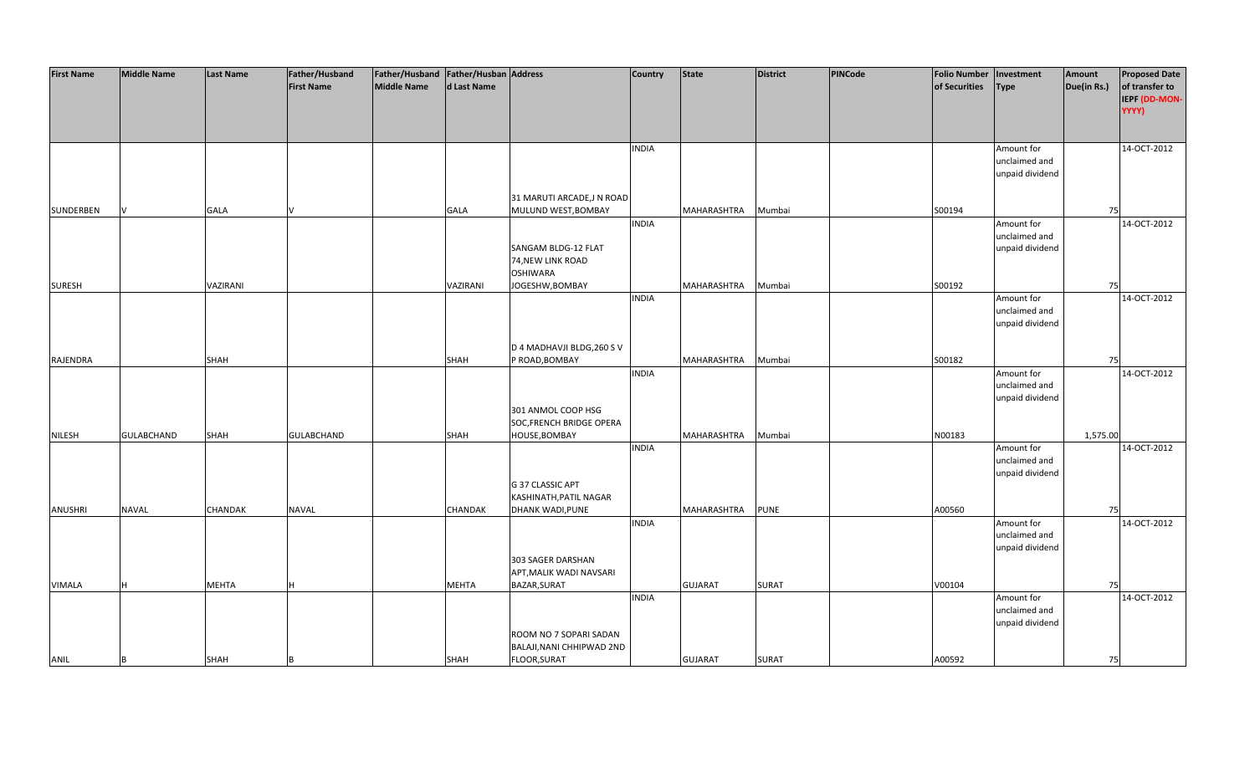| <b>First Name</b> | <b>Middle Name</b> | <b>Last Name</b> | Father/Husband    | Father/Husband Father/Husban Address |              |                            | <b>Country</b> | <b>State</b>   | <b>District</b> | PINCode | <b>Folio Number</b> | Investment      | Amount      | <b>Proposed Date</b> |
|-------------------|--------------------|------------------|-------------------|--------------------------------------|--------------|----------------------------|----------------|----------------|-----------------|---------|---------------------|-----------------|-------------|----------------------|
|                   |                    |                  | <b>First Name</b> | <b>Middle Name</b>                   | d Last Name  |                            |                |                |                 |         | of Securities       | <b>Type</b>     | Due(in Rs.) | of transfer to       |
|                   |                    |                  |                   |                                      |              |                            |                |                |                 |         |                     |                 |             | IEPF (DD-MON-        |
|                   |                    |                  |                   |                                      |              |                            |                |                |                 |         |                     |                 |             | YYYY)                |
|                   |                    |                  |                   |                                      |              |                            |                |                |                 |         |                     |                 |             |                      |
|                   |                    |                  |                   |                                      |              |                            |                |                |                 |         |                     |                 |             |                      |
|                   |                    |                  |                   |                                      |              |                            |                |                |                 |         |                     |                 |             |                      |
|                   |                    |                  |                   |                                      |              |                            | <b>INDIA</b>   |                |                 |         |                     | Amount for      |             | 14-OCT-2012          |
|                   |                    |                  |                   |                                      |              |                            |                |                |                 |         |                     | unclaimed and   |             |                      |
|                   |                    |                  |                   |                                      |              |                            |                |                |                 |         |                     | unpaid dividend |             |                      |
|                   |                    |                  |                   |                                      |              |                            |                |                |                 |         |                     |                 |             |                      |
|                   |                    |                  |                   |                                      |              | 31 MARUTI ARCADE, JN ROAD  |                |                |                 |         |                     |                 |             |                      |
| SUNDERBEN         |                    | <b>GALA</b>      |                   |                                      | <b>GALA</b>  | MULUND WEST, BOMBAY        |                | MAHARASHTRA    | Mumbai          |         | S00194              |                 | 75          |                      |
|                   |                    |                  |                   |                                      |              |                            | <b>INDIA</b>   |                |                 |         |                     | Amount for      |             | 14-OCT-2012          |
|                   |                    |                  |                   |                                      |              |                            |                |                |                 |         |                     | unclaimed and   |             |                      |
|                   |                    |                  |                   |                                      |              | SANGAM BLDG-12 FLAT        |                |                |                 |         |                     | unpaid dividend |             |                      |
|                   |                    |                  |                   |                                      |              | 74, NEW LINK ROAD          |                |                |                 |         |                     |                 |             |                      |
|                   |                    |                  |                   |                                      |              | <b>OSHIWARA</b>            |                |                |                 |         |                     |                 |             |                      |
| <b>SURESH</b>     |                    | VAZIRANI         |                   |                                      | VAZIRANI     | JOGESHW, BOMBAY            |                | MAHARASHTRA    | Mumbai          |         | S00192              |                 | 75          |                      |
|                   |                    |                  |                   |                                      |              |                            | <b>INDIA</b>   |                |                 |         |                     | Amount for      |             | 14-OCT-2012          |
|                   |                    |                  |                   |                                      |              |                            |                |                |                 |         |                     | unclaimed and   |             |                      |
|                   |                    |                  |                   |                                      |              |                            |                |                |                 |         |                     | unpaid dividend |             |                      |
|                   |                    |                  |                   |                                      |              |                            |                |                |                 |         |                     |                 |             |                      |
|                   |                    |                  |                   |                                      |              | D 4 MADHAVJI BLDG, 260 S V |                |                |                 |         |                     |                 |             |                      |
| RAJENDRA          |                    | <b>SHAH</b>      |                   |                                      | SHAH         | P ROAD, BOMBAY             |                | MAHARASHTRA    | Mumbai          |         | S00182              |                 | 75          |                      |
|                   |                    |                  |                   |                                      |              |                            | <b>INDIA</b>   |                |                 |         |                     | Amount for      |             | 14-OCT-2012          |
|                   |                    |                  |                   |                                      |              |                            |                |                |                 |         |                     | unclaimed and   |             |                      |
|                   |                    |                  |                   |                                      |              |                            |                |                |                 |         |                     | unpaid dividend |             |                      |
|                   |                    |                  |                   |                                      |              | 301 ANMOL COOP HSG         |                |                |                 |         |                     |                 |             |                      |
|                   |                    |                  |                   |                                      |              | SOC, FRENCH BRIDGE OPERA   |                |                |                 |         |                     |                 |             |                      |
| <b>NILESH</b>     | <b>GULABCHAND</b>  | <b>SHAH</b>      | <b>GULABCHAND</b> |                                      | <b>SHAH</b>  | HOUSE, BOMBAY              |                | MAHARASHTRA    | Mumbai          |         | N00183              |                 | 1,575.00    |                      |
|                   |                    |                  |                   |                                      |              |                            | <b>INDIA</b>   |                |                 |         |                     | Amount for      |             | 14-OCT-2012          |
|                   |                    |                  |                   |                                      |              |                            |                |                |                 |         |                     | unclaimed and   |             |                      |
|                   |                    |                  |                   |                                      |              |                            |                |                |                 |         |                     | unpaid dividend |             |                      |
|                   |                    |                  |                   |                                      |              | G 37 CLASSIC APT           |                |                |                 |         |                     |                 |             |                      |
|                   |                    |                  |                   |                                      |              | KASHINATH, PATIL NAGAR     |                |                |                 |         |                     |                 |             |                      |
| <b>ANUSHRI</b>    | <b>NAVAL</b>       | <b>CHANDAK</b>   | <b>NAVAL</b>      |                                      | CHANDAK      | <b>DHANK WADI, PUNE</b>    |                | MAHARASHTRA    | <b>PUNE</b>     |         | A00560              |                 | 75          |                      |
|                   |                    |                  |                   |                                      |              |                            | <b>INDIA</b>   |                |                 |         |                     | Amount for      |             | 14-OCT-2012          |
|                   |                    |                  |                   |                                      |              |                            |                |                |                 |         |                     | unclaimed and   |             |                      |
|                   |                    |                  |                   |                                      |              |                            |                |                |                 |         |                     | unpaid dividend |             |                      |
|                   |                    |                  |                   |                                      |              | 303 SAGER DARSHAN          |                |                |                 |         |                     |                 |             |                      |
|                   |                    |                  |                   |                                      |              | APT, MALIK WADI NAVSARI    |                |                |                 |         |                     |                 |             |                      |
| <b>VIMALA</b>     | н                  | <b>MEHTA</b>     |                   |                                      | <b>MEHTA</b> | BAZAR, SURAT               |                | <b>GUJARAT</b> | <b>SURAT</b>    |         | V00104              |                 | 75          |                      |
|                   |                    |                  |                   |                                      |              |                            | <b>INDIA</b>   |                |                 |         |                     | Amount for      |             | 14-OCT-2012          |
|                   |                    |                  |                   |                                      |              |                            |                |                |                 |         |                     | unclaimed and   |             |                      |
|                   |                    |                  |                   |                                      |              |                            |                |                |                 |         |                     | unpaid dividend |             |                      |
|                   |                    |                  |                   |                                      |              | ROOM NO 7 SOPARI SADAN     |                |                |                 |         |                     |                 |             |                      |
|                   |                    |                  |                   |                                      |              | BALAJI, NANI CHHIPWAD 2ND  |                |                |                 |         |                     |                 |             |                      |
| ANIL              | B                  | <b>SHAH</b>      |                   |                                      | <b>SHAH</b>  | FLOOR, SURAT               |                | <b>GUJARAT</b> | <b>SURAT</b>    |         | A00592              |                 | 75          |                      |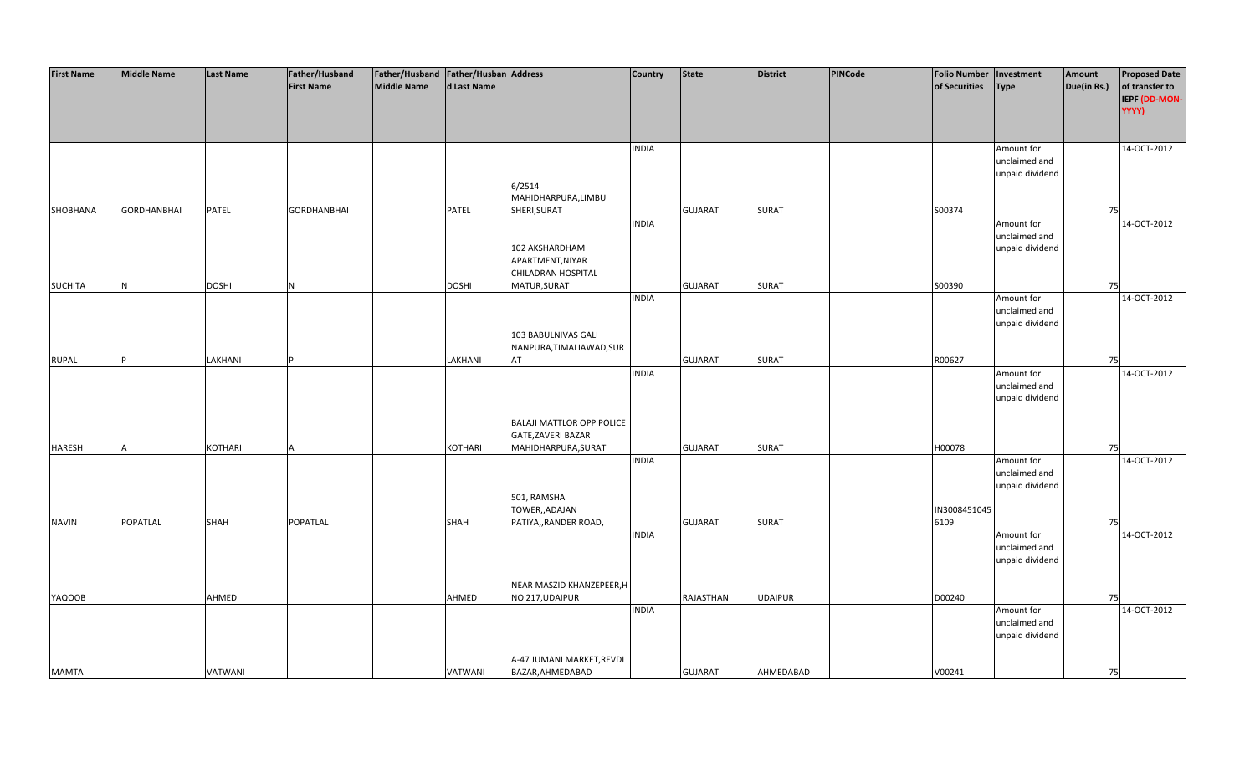| <b>First Name</b> | <b>Middle Name</b> | <b>Last Name</b> | Father/Husband     | Father/Husband Father/Husban Address |              |                                  | <b>Country</b> | <b>State</b>   | <b>District</b> | <b>PINCode</b> | <b>Folio Number</b> | Investment      | Amount      | <b>Proposed Date</b> |
|-------------------|--------------------|------------------|--------------------|--------------------------------------|--------------|----------------------------------|----------------|----------------|-----------------|----------------|---------------------|-----------------|-------------|----------------------|
|                   |                    |                  | <b>First Name</b>  | <b>Middle Name</b>                   | d Last Name  |                                  |                |                |                 |                | of Securities       | <b>Type</b>     | Due(in Rs.) | of transfer to       |
|                   |                    |                  |                    |                                      |              |                                  |                |                |                 |                |                     |                 |             | IEPF (DD-MON-        |
|                   |                    |                  |                    |                                      |              |                                  |                |                |                 |                |                     |                 |             | YYYY)                |
|                   |                    |                  |                    |                                      |              |                                  |                |                |                 |                |                     |                 |             |                      |
|                   |                    |                  |                    |                                      |              |                                  |                |                |                 |                |                     |                 |             |                      |
|                   |                    |                  |                    |                                      |              |                                  | <b>INDIA</b>   |                |                 |                |                     | Amount for      |             | 14-OCT-2012          |
|                   |                    |                  |                    |                                      |              |                                  |                |                |                 |                |                     | unclaimed and   |             |                      |
|                   |                    |                  |                    |                                      |              | 6/2514                           |                |                |                 |                |                     | unpaid dividend |             |                      |
|                   |                    |                  |                    |                                      |              | MAHIDHARPURA, LIMBU              |                |                |                 |                |                     |                 |             |                      |
|                   | <b>GORDHANBHAI</b> | <b>PATEL</b>     | <b>GORDHANBHAI</b> |                                      | PATEL        | SHERI, SURAT                     |                | <b>GUJARAT</b> | <b>SURAT</b>    |                | S00374              |                 | 75          |                      |
| SHOBHANA          |                    |                  |                    |                                      |              |                                  | <b>INDIA</b>   |                |                 |                |                     | Amount for      |             | 14-OCT-2012          |
|                   |                    |                  |                    |                                      |              |                                  |                |                |                 |                |                     | unclaimed and   |             |                      |
|                   |                    |                  |                    |                                      |              | 102 AKSHARDHAM                   |                |                |                 |                |                     | unpaid dividend |             |                      |
|                   |                    |                  |                    |                                      |              | APARTMENT, NIYAR                 |                |                |                 |                |                     |                 |             |                      |
|                   |                    |                  |                    |                                      |              | CHILADRAN HOSPITAL               |                |                |                 |                |                     |                 |             |                      |
| <b>SUCHITA</b>    | N                  | <b>DOSHI</b>     | N                  |                                      | <b>DOSHI</b> | MATUR, SURAT                     |                | <b>GUJARAT</b> | <b>SURAT</b>    |                | S00390              |                 | 75          |                      |
|                   |                    |                  |                    |                                      |              |                                  | <b>INDIA</b>   |                |                 |                |                     | Amount for      |             | 14-OCT-2012          |
|                   |                    |                  |                    |                                      |              |                                  |                |                |                 |                |                     | unclaimed and   |             |                      |
|                   |                    |                  |                    |                                      |              |                                  |                |                |                 |                |                     | unpaid dividend |             |                      |
|                   |                    |                  |                    |                                      |              | 103 BABULNIVAS GALI              |                |                |                 |                |                     |                 |             |                      |
|                   |                    |                  |                    |                                      |              | NANPURA, TIMALIAWAD, SUR         |                |                |                 |                |                     |                 |             |                      |
| <b>RUPAL</b>      |                    | LAKHANI          |                    |                                      | LAKHANI      | AT                               |                | <b>GUJARAT</b> | <b>SURAT</b>    |                | R00627              |                 | 75          |                      |
|                   |                    |                  |                    |                                      |              |                                  | <b>INDIA</b>   |                |                 |                |                     | Amount for      |             | 14-OCT-2012          |
|                   |                    |                  |                    |                                      |              |                                  |                |                |                 |                |                     | unclaimed and   |             |                      |
|                   |                    |                  |                    |                                      |              |                                  |                |                |                 |                |                     | unpaid dividend |             |                      |
|                   |                    |                  |                    |                                      |              |                                  |                |                |                 |                |                     |                 |             |                      |
|                   |                    |                  |                    |                                      |              | <b>BALAJI MATTLOR OPP POLICE</b> |                |                |                 |                |                     |                 |             |                      |
|                   |                    |                  |                    |                                      |              | GATE, ZAVERI BAZAR               |                |                |                 |                |                     |                 |             |                      |
| <b>HARESH</b>     |                    | <b>KOTHARI</b>   |                    |                                      | KOTHARI      | MAHIDHARPURA, SURAT              |                | <b>GUJARAT</b> | <b>SURAT</b>    |                | H00078              |                 | 75          |                      |
|                   |                    |                  |                    |                                      |              |                                  | <b>INDIA</b>   |                |                 |                |                     | Amount for      |             | 14-OCT-2012          |
|                   |                    |                  |                    |                                      |              |                                  |                |                |                 |                |                     | unclaimed and   |             |                      |
|                   |                    |                  |                    |                                      |              |                                  |                |                |                 |                |                     | unpaid dividend |             |                      |
|                   |                    |                  |                    |                                      |              | 501, RAMSHA                      |                |                |                 |                |                     |                 |             |                      |
|                   |                    |                  |                    |                                      |              | TOWER,, ADAJAN                   |                |                |                 |                | IN3008451045        |                 |             |                      |
| <b>NAVIN</b>      | POPATLAL           | SHAH             | POPATLAL           |                                      | <b>SHAH</b>  | PATIYA,, RANDER ROAD,            |                | <b>GUJARAT</b> | <b>SURAT</b>    |                | 6109                |                 | 75          |                      |
|                   |                    |                  |                    |                                      |              |                                  | <b>INDIA</b>   |                |                 |                |                     | Amount for      |             | 14-OCT-2012          |
|                   |                    |                  |                    |                                      |              |                                  |                |                |                 |                |                     | unclaimed and   |             |                      |
|                   |                    |                  |                    |                                      |              |                                  |                |                |                 |                |                     | unpaid dividend |             |                      |
|                   |                    |                  |                    |                                      |              |                                  |                |                |                 |                |                     |                 |             |                      |
|                   |                    | AHMED            |                    |                                      | AHMED        | NEAR MASZID KHANZEPEER, H        |                | RAJASTHAN      | <b>UDAIPUR</b>  |                | D00240              |                 | 75          |                      |
| <b>YAQOOB</b>     |                    |                  |                    |                                      |              | NO 217, UDAIPUR                  | <b>INDIA</b>   |                |                 |                |                     | Amount for      |             | 14-OCT-2012          |
|                   |                    |                  |                    |                                      |              |                                  |                |                |                 |                |                     | unclaimed and   |             |                      |
|                   |                    |                  |                    |                                      |              |                                  |                |                |                 |                |                     | unpaid dividend |             |                      |
|                   |                    |                  |                    |                                      |              |                                  |                |                |                 |                |                     |                 |             |                      |
|                   |                    |                  |                    |                                      |              | A-47 JUMANI MARKET, REVDI        |                |                |                 |                |                     |                 |             |                      |
| <b>MAMTA</b>      |                    | VATWANI          |                    |                                      | VATWANI      | BAZAR, AHMEDABAD                 |                | <b>GUJARAT</b> | AHMEDABAD       |                | V00241              |                 | 75          |                      |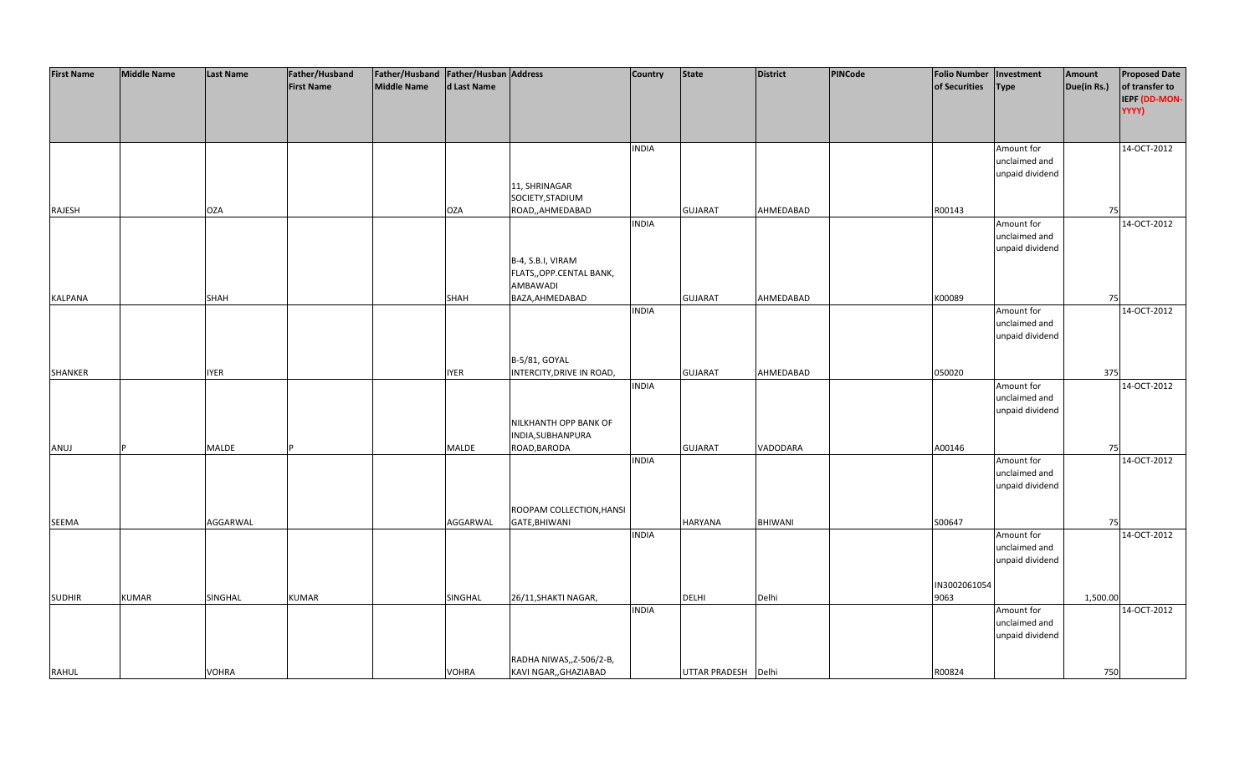| <b>First Name</b> | <b>Middle Name</b> | <b>Last Name</b> | Father/Husband    | Father/Husband Father/Husban Address |              |                           | <b>Country</b> | <b>State</b>         | District       | PINCode | <b>Folio Number</b> | Investment      | Amount      | <b>Proposed Date</b> |
|-------------------|--------------------|------------------|-------------------|--------------------------------------|--------------|---------------------------|----------------|----------------------|----------------|---------|---------------------|-----------------|-------------|----------------------|
|                   |                    |                  | <b>First Name</b> | <b>Middle Name</b>                   | d Last Name  |                           |                |                      |                |         | of Securities       | <b>Type</b>     | Due(in Rs.) | of transfer to       |
|                   |                    |                  |                   |                                      |              |                           |                |                      |                |         |                     |                 |             | IEPF (DD-MON-        |
|                   |                    |                  |                   |                                      |              |                           |                |                      |                |         |                     |                 |             | YYYY)                |
|                   |                    |                  |                   |                                      |              |                           |                |                      |                |         |                     |                 |             |                      |
|                   |                    |                  |                   |                                      |              |                           |                |                      |                |         |                     |                 |             |                      |
|                   |                    |                  |                   |                                      |              |                           | <b>INDIA</b>   |                      |                |         |                     | Amount for      |             | 14-OCT-2012          |
|                   |                    |                  |                   |                                      |              |                           |                |                      |                |         |                     | unclaimed and   |             |                      |
|                   |                    |                  |                   |                                      |              |                           |                |                      |                |         |                     | unpaid dividend |             |                      |
|                   |                    |                  |                   |                                      |              | 11, SHRINAGAR             |                |                      |                |         |                     |                 |             |                      |
|                   |                    |                  |                   |                                      |              | SOCIETY, STADIUM          |                |                      |                |         |                     |                 |             |                      |
| RAJESH            |                    | <b>OZA</b>       |                   |                                      | <b>OZA</b>   | ROAD,, AHMEDABAD          |                | <b>GUJARAT</b>       | AHMEDABAD      |         | R00143              |                 | 75          |                      |
|                   |                    |                  |                   |                                      |              |                           | <b>INDIA</b>   |                      |                |         |                     | Amount for      |             | 14-OCT-2012          |
|                   |                    |                  |                   |                                      |              |                           |                |                      |                |         |                     | unclaimed and   |             |                      |
|                   |                    |                  |                   |                                      |              |                           |                |                      |                |         |                     | unpaid dividend |             |                      |
|                   |                    |                  |                   |                                      |              | B-4, S.B.I, VIRAM         |                |                      |                |         |                     |                 |             |                      |
|                   |                    |                  |                   |                                      |              | FLATS,, OPP.CENTAL BANK,  |                |                      |                |         |                     |                 |             |                      |
|                   |                    |                  |                   |                                      |              | AMBAWADI                  |                |                      |                |         |                     |                 |             |                      |
| <b>KALPANA</b>    |                    | <b>SHAH</b>      |                   |                                      | <b>SHAH</b>  | BAZA, AHMEDABAD           |                | <b>GUJARAT</b>       | AHMEDABAD      |         | K00089              |                 | 75          |                      |
|                   |                    |                  |                   |                                      |              |                           | <b>INDIA</b>   |                      |                |         |                     | Amount for      |             | 14-OCT-2012          |
|                   |                    |                  |                   |                                      |              |                           |                |                      |                |         |                     | unclaimed and   |             |                      |
|                   |                    |                  |                   |                                      |              |                           |                |                      |                |         |                     | unpaid dividend |             |                      |
|                   |                    |                  |                   |                                      |              |                           |                |                      |                |         |                     |                 |             |                      |
|                   |                    |                  |                   |                                      |              | B-5/81, GOYAL             |                |                      |                |         |                     |                 |             |                      |
| SHANKER           |                    | <b>IYER</b>      |                   |                                      | <b>IYER</b>  | INTERCITY, DRIVE IN ROAD, |                | <b>GUJARAT</b>       | AHMEDABAD      |         | 050020              |                 | 375         |                      |
|                   |                    |                  |                   |                                      |              |                           | <b>INDIA</b>   |                      |                |         |                     | Amount for      |             | 14-OCT-2012          |
|                   |                    |                  |                   |                                      |              |                           |                |                      |                |         |                     | unclaimed and   |             |                      |
|                   |                    |                  |                   |                                      |              |                           |                |                      |                |         |                     | unpaid dividend |             |                      |
|                   |                    |                  |                   |                                      |              | NILKHANTH OPP BANK OF     |                |                      |                |         |                     |                 |             |                      |
|                   |                    |                  |                   |                                      |              | INDIA, SUBHANPURA         |                |                      |                |         |                     |                 |             |                      |
| ANUJ              |                    | MALDE            |                   |                                      | MALDE        | ROAD, BARODA              |                | <b>GUJARAT</b>       | VADODARA       |         | A00146              |                 | 75          |                      |
|                   |                    |                  |                   |                                      |              |                           | <b>INDIA</b>   |                      |                |         |                     | Amount for      |             | 14-OCT-2012          |
|                   |                    |                  |                   |                                      |              |                           |                |                      |                |         |                     | unclaimed and   |             |                      |
|                   |                    |                  |                   |                                      |              |                           |                |                      |                |         |                     | unpaid dividend |             |                      |
|                   |                    |                  |                   |                                      |              |                           |                |                      |                |         |                     |                 |             |                      |
|                   |                    |                  |                   |                                      |              | ROOPAM COLLECTION, HANSI  |                |                      |                |         |                     |                 |             |                      |
| SEEMA             |                    | AGGARWAL         |                   |                                      | AGGARWAL     | GATE, BHIWANI             |                | <b>HARYANA</b>       | <b>BHIWANI</b> |         | S00647              |                 | 75          |                      |
|                   |                    |                  |                   |                                      |              |                           | <b>INDIA</b>   |                      |                |         |                     | Amount for      |             | 14-OCT-2012          |
|                   |                    |                  |                   |                                      |              |                           |                |                      |                |         |                     | unclaimed and   |             |                      |
|                   |                    |                  |                   |                                      |              |                           |                |                      |                |         |                     | unpaid dividend |             |                      |
|                   |                    |                  |                   |                                      |              |                           |                |                      |                |         |                     |                 |             |                      |
|                   |                    |                  |                   |                                      |              |                           |                |                      |                |         | IN3002061054        |                 |             |                      |
| <b>SUDHIR</b>     | <b>KUMAR</b>       | SINGHAL          | <b>KUMAR</b>      |                                      | SINGHAL      | 26/11, SHAKTI NAGAR,      |                | <b>DELHI</b>         | Delhi          |         | 9063                |                 | 1,500.00    |                      |
|                   |                    |                  |                   |                                      |              |                           | <b>INDIA</b>   |                      |                |         |                     | Amount for      |             | 14-OCT-2012          |
|                   |                    |                  |                   |                                      |              |                           |                |                      |                |         |                     | unclaimed and   |             |                      |
|                   |                    |                  |                   |                                      |              |                           |                |                      |                |         |                     | unpaid dividend |             |                      |
|                   |                    |                  |                   |                                      |              |                           |                |                      |                |         |                     |                 |             |                      |
|                   |                    |                  |                   |                                      |              | RADHA NIWAS,, Z-506/2-B,  |                |                      |                |         |                     |                 |             |                      |
| <b>RAHUL</b>      |                    | <b>VOHRA</b>     |                   |                                      | <b>VOHRA</b> | KAVI NGAR,, GHAZIABAD     |                | <b>UTTAR PRADESH</b> | Delhi          |         | R00824              |                 | 750         |                      |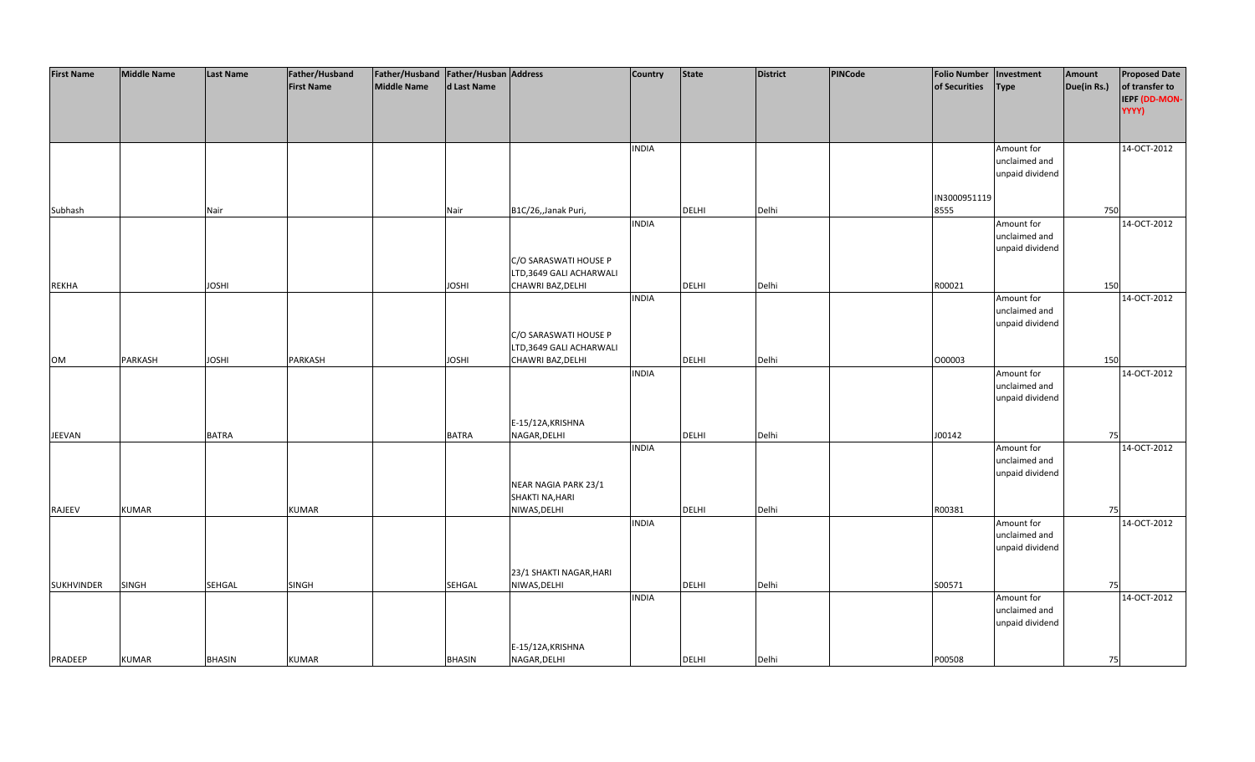| <b>First Name</b> | <b>Middle Name</b> | <b>Last Name</b> | Father/Husband    | Father/Husband Father/Husban Address |               |                         | <b>Country</b> | <b>State</b> | <b>District</b> | PINCode | <b>Folio Number</b> | Investment      | Amount      | <b>Proposed Date</b> |
|-------------------|--------------------|------------------|-------------------|--------------------------------------|---------------|-------------------------|----------------|--------------|-----------------|---------|---------------------|-----------------|-------------|----------------------|
|                   |                    |                  | <b>First Name</b> | <b>Middle Name</b>                   | d Last Name   |                         |                |              |                 |         | of Securities       | <b>Type</b>     | Due(in Rs.) | of transfer to       |
|                   |                    |                  |                   |                                      |               |                         |                |              |                 |         |                     |                 |             | IEPF (DD-MON-        |
|                   |                    |                  |                   |                                      |               |                         |                |              |                 |         |                     |                 |             | YYYY)                |
|                   |                    |                  |                   |                                      |               |                         |                |              |                 |         |                     |                 |             |                      |
|                   |                    |                  |                   |                                      |               |                         |                |              |                 |         |                     |                 |             |                      |
|                   |                    |                  |                   |                                      |               |                         | <b>INDIA</b>   |              |                 |         |                     | Amount for      |             | 14-OCT-2012          |
|                   |                    |                  |                   |                                      |               |                         |                |              |                 |         |                     | unclaimed and   |             |                      |
|                   |                    |                  |                   |                                      |               |                         |                |              |                 |         |                     | unpaid dividend |             |                      |
|                   |                    |                  |                   |                                      |               |                         |                |              |                 |         |                     |                 |             |                      |
|                   |                    |                  |                   |                                      |               |                         |                |              |                 |         | IN3000951119        |                 |             |                      |
| Subhash           |                    | Nair             |                   |                                      | Nair          | B1C/26,,Janak Puri,     |                | <b>DELHI</b> | Delhi           |         | 8555                |                 | 750         |                      |
|                   |                    |                  |                   |                                      |               |                         | <b>INDIA</b>   |              |                 |         |                     | Amount for      |             | 14-OCT-2012          |
|                   |                    |                  |                   |                                      |               |                         |                |              |                 |         |                     | unclaimed and   |             |                      |
|                   |                    |                  |                   |                                      |               |                         |                |              |                 |         |                     | unpaid dividend |             |                      |
|                   |                    |                  |                   |                                      |               | C/O SARASWATI HOUSE P   |                |              |                 |         |                     |                 |             |                      |
|                   |                    |                  |                   |                                      |               | LTD,3649 GALI ACHARWALI |                |              |                 |         |                     |                 |             |                      |
| <b>REKHA</b>      |                    | <b>JOSHI</b>     |                   |                                      | <b>JOSHI</b>  | CHAWRI BAZ, DELHI       |                | <b>DELHI</b> | Delhi           |         | R00021              |                 | 150         |                      |
|                   |                    |                  |                   |                                      |               |                         | <b>INDIA</b>   |              |                 |         |                     | Amount for      |             | 14-OCT-2012          |
|                   |                    |                  |                   |                                      |               |                         |                |              |                 |         |                     | unclaimed and   |             |                      |
|                   |                    |                  |                   |                                      |               |                         |                |              |                 |         |                     | unpaid dividend |             |                      |
|                   |                    |                  |                   |                                      |               | C/O SARASWATI HOUSE P   |                |              |                 |         |                     |                 |             |                      |
|                   |                    |                  |                   |                                      |               | LTD,3649 GALI ACHARWALI |                |              |                 |         |                     |                 |             |                      |
|                   | PARKASH            | <b>JOSHI</b>     | PARKASH           |                                      | <b>JOSHI</b>  |                         |                | DELHI        | Delhi           |         | 000003              |                 | 150         |                      |
| OM                |                    |                  |                   |                                      |               | CHAWRI BAZ, DELHI       |                |              |                 |         |                     |                 |             |                      |
|                   |                    |                  |                   |                                      |               |                         | <b>INDIA</b>   |              |                 |         |                     | Amount for      |             | 14-OCT-2012          |
|                   |                    |                  |                   |                                      |               |                         |                |              |                 |         |                     | unclaimed and   |             |                      |
|                   |                    |                  |                   |                                      |               |                         |                |              |                 |         |                     | unpaid dividend |             |                      |
|                   |                    |                  |                   |                                      |               |                         |                |              |                 |         |                     |                 |             |                      |
|                   |                    |                  |                   |                                      |               | E-15/12A, KRISHNA       |                |              |                 |         |                     |                 |             |                      |
| JEEVAN            |                    | <b>BATRA</b>     |                   |                                      | <b>BATRA</b>  | NAGAR, DELHI            |                | <b>DELHI</b> | Delhi           |         | J00142              |                 | 75          |                      |
|                   |                    |                  |                   |                                      |               |                         | <b>INDIA</b>   |              |                 |         |                     | Amount for      |             | 14-OCT-2012          |
|                   |                    |                  |                   |                                      |               |                         |                |              |                 |         |                     | unclaimed and   |             |                      |
|                   |                    |                  |                   |                                      |               |                         |                |              |                 |         |                     | unpaid dividend |             |                      |
|                   |                    |                  |                   |                                      |               | NEAR NAGIA PARK 23/1    |                |              |                 |         |                     |                 |             |                      |
|                   |                    |                  |                   |                                      |               | SHAKTI NA, HARI         |                |              |                 |         |                     |                 |             |                      |
| RAJEEV            | <b>KUMAR</b>       |                  | <b>KUMAR</b>      |                                      |               | NIWAS, DELHI            |                | DELHI        | Delhi           |         | R00381              |                 | 75          |                      |
|                   |                    |                  |                   |                                      |               |                         | <b>INDIA</b>   |              |                 |         |                     | Amount for      |             | 14-OCT-2012          |
|                   |                    |                  |                   |                                      |               |                         |                |              |                 |         |                     | unclaimed and   |             |                      |
|                   |                    |                  |                   |                                      |               |                         |                |              |                 |         |                     | unpaid dividend |             |                      |
|                   |                    |                  |                   |                                      |               |                         |                |              |                 |         |                     |                 |             |                      |
|                   |                    |                  |                   |                                      |               | 23/1 SHAKTI NAGAR, HARI |                |              |                 |         |                     |                 |             |                      |
| <b>SUKHVINDER</b> | <b>SINGH</b>       | <b>SEHGAL</b>    | <b>SINGH</b>      |                                      | <b>SEHGAL</b> | NIWAS, DELHI            |                | <b>DELHI</b> | Delhi           |         | S00571              |                 | 75          |                      |
|                   |                    |                  |                   |                                      |               |                         | <b>INDIA</b>   |              |                 |         |                     | Amount for      |             | 14-OCT-2012          |
|                   |                    |                  |                   |                                      |               |                         |                |              |                 |         |                     | unclaimed and   |             |                      |
|                   |                    |                  |                   |                                      |               |                         |                |              |                 |         |                     | unpaid dividend |             |                      |
|                   |                    |                  |                   |                                      |               |                         |                |              |                 |         |                     |                 |             |                      |
|                   |                    |                  |                   |                                      |               | E-15/12A, KRISHNA       |                |              |                 |         |                     |                 |             |                      |
| PRADEEP           | <b>KUMAR</b>       | <b>BHASIN</b>    | <b>KUMAR</b>      |                                      | <b>BHASIN</b> | NAGAR, DELHI            |                | <b>DELHI</b> | Delhi           |         | P00508              |                 | 75          |                      |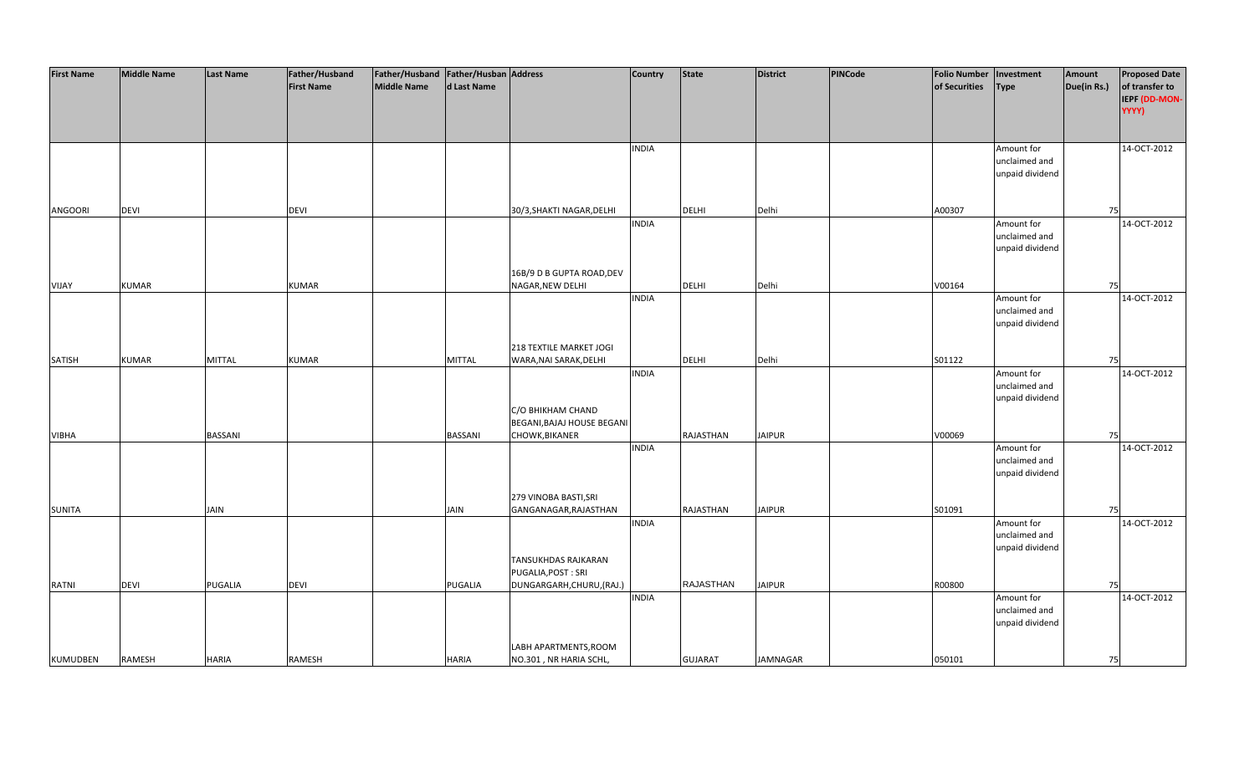| <b>First Name</b> | <b>Middle Name</b> | <b>Last Name</b> | Father/Husband    | Father/Husband Father/Husban Address |                |                                   | <b>Country</b> | <b>State</b>     | <b>District</b> | PINCode | <b>Folio Number</b> | Investment      | Amount      | <b>Proposed Date</b> |
|-------------------|--------------------|------------------|-------------------|--------------------------------------|----------------|-----------------------------------|----------------|------------------|-----------------|---------|---------------------|-----------------|-------------|----------------------|
|                   |                    |                  | <b>First Name</b> | <b>Middle Name</b>                   | d Last Name    |                                   |                |                  |                 |         | of Securities       | <b>Type</b>     | Due(in Rs.) | of transfer to       |
|                   |                    |                  |                   |                                      |                |                                   |                |                  |                 |         |                     |                 |             | IEPF (DD-MON-        |
|                   |                    |                  |                   |                                      |                |                                   |                |                  |                 |         |                     |                 |             | YYYY)                |
|                   |                    |                  |                   |                                      |                |                                   |                |                  |                 |         |                     |                 |             |                      |
|                   |                    |                  |                   |                                      |                |                                   |                |                  |                 |         |                     |                 |             |                      |
|                   |                    |                  |                   |                                      |                |                                   | <b>INDIA</b>   |                  |                 |         |                     | Amount for      |             | 14-OCT-2012          |
|                   |                    |                  |                   |                                      |                |                                   |                |                  |                 |         |                     | unclaimed and   |             |                      |
|                   |                    |                  |                   |                                      |                |                                   |                |                  |                 |         |                     | unpaid dividend |             |                      |
|                   |                    |                  |                   |                                      |                |                                   |                |                  |                 |         |                     |                 |             |                      |
|                   |                    |                  |                   |                                      |                |                                   |                |                  |                 |         |                     |                 |             |                      |
| ANGOORI           | <b>DEVI</b>        |                  | <b>DEVI</b>       |                                      |                | 30/3, SHAKTI NAGAR, DELHI         |                | <b>DELHI</b>     | Delhi           |         | A00307              |                 | 75          |                      |
|                   |                    |                  |                   |                                      |                |                                   | <b>INDIA</b>   |                  |                 |         |                     | Amount for      |             | 14-OCT-2012          |
|                   |                    |                  |                   |                                      |                |                                   |                |                  |                 |         |                     | unclaimed and   |             |                      |
|                   |                    |                  |                   |                                      |                |                                   |                |                  |                 |         |                     | unpaid dividend |             |                      |
|                   |                    |                  |                   |                                      |                |                                   |                |                  |                 |         |                     |                 |             |                      |
|                   |                    |                  |                   |                                      |                | 16B/9 D B GUPTA ROAD, DEV         |                |                  |                 |         |                     |                 |             |                      |
| VIJAY             | <b>KUMAR</b>       |                  | <b>KUMAR</b>      |                                      |                | NAGAR, NEW DELHI                  |                | <b>DELHI</b>     | Delhi           |         | V00164              |                 | 75          |                      |
|                   |                    |                  |                   |                                      |                |                                   | <b>INDIA</b>   |                  |                 |         |                     | Amount for      |             | 14-OCT-2012          |
|                   |                    |                  |                   |                                      |                |                                   |                |                  |                 |         |                     | unclaimed and   |             |                      |
|                   |                    |                  |                   |                                      |                |                                   |                |                  |                 |         |                     | unpaid dividend |             |                      |
|                   |                    |                  |                   |                                      |                |                                   |                |                  |                 |         |                     |                 |             |                      |
|                   |                    |                  |                   |                                      |                | 218 TEXTILE MARKET JOGI           |                |                  |                 |         |                     |                 |             |                      |
| <b>SATISH</b>     | <b>KUMAR</b>       | <b>MITTAL</b>    | <b>KUMAR</b>      |                                      | <b>MITTAL</b>  | WARA, NAI SARAK, DELHI            |                | DELHI            | Delhi           |         | S01122              |                 | 75          |                      |
|                   |                    |                  |                   |                                      |                |                                   | <b>INDIA</b>   |                  |                 |         |                     | Amount for      |             | 14-OCT-2012          |
|                   |                    |                  |                   |                                      |                |                                   |                |                  |                 |         |                     | unclaimed and   |             |                      |
|                   |                    |                  |                   |                                      |                |                                   |                |                  |                 |         |                     | unpaid dividend |             |                      |
|                   |                    |                  |                   |                                      |                | C/O BHIKHAM CHAND                 |                |                  |                 |         |                     |                 |             |                      |
|                   |                    |                  |                   |                                      |                | <b>BEGANI, BAJAJ HOUSE BEGANI</b> |                |                  |                 |         |                     |                 |             |                      |
| <b>VIBHA</b>      |                    | <b>BASSANI</b>   |                   |                                      | <b>BASSANI</b> | CHOWK, BIKANER                    |                | RAJASTHAN        | <b>JAIPUR</b>   |         | V00069              |                 | 75          |                      |
|                   |                    |                  |                   |                                      |                |                                   | <b>INDIA</b>   |                  |                 |         |                     | Amount for      |             | 14-OCT-2012          |
|                   |                    |                  |                   |                                      |                |                                   |                |                  |                 |         |                     | unclaimed and   |             |                      |
|                   |                    |                  |                   |                                      |                |                                   |                |                  |                 |         |                     | unpaid dividend |             |                      |
|                   |                    |                  |                   |                                      |                |                                   |                |                  |                 |         |                     |                 |             |                      |
|                   |                    |                  |                   |                                      |                | 279 VINOBA BASTI, SRI             |                |                  |                 |         |                     |                 |             |                      |
| <b>SUNITA</b>     |                    | <b>JAIN</b>      |                   |                                      | <b>JAIN</b>    | GANGANAGAR, RAJASTHAN             |                | RAJASTHAN        | <b>JAIPUR</b>   |         | S01091              |                 | 75          |                      |
|                   |                    |                  |                   |                                      |                |                                   | <b>INDIA</b>   |                  |                 |         |                     | Amount for      |             | 14-OCT-2012          |
|                   |                    |                  |                   |                                      |                |                                   |                |                  |                 |         |                     | unclaimed and   |             |                      |
|                   |                    |                  |                   |                                      |                |                                   |                |                  |                 |         |                     | unpaid dividend |             |                      |
|                   |                    |                  |                   |                                      |                | <b>TANSUKHDAS RAJKARAN</b>        |                |                  |                 |         |                     |                 |             |                      |
|                   |                    |                  |                   |                                      |                | PUGALIA, POST: SRI                |                |                  |                 |         |                     |                 |             |                      |
| RATNI             | <b>DEVI</b>        | PUGALIA          | <b>DEVI</b>       |                                      | <b>PUGALIA</b> | DUNGARGARH, CHURU, (RAJ.)         |                | <b>RAJASTHAN</b> | <b>JAIPUR</b>   |         | R00800              |                 | 75          |                      |
|                   |                    |                  |                   |                                      |                |                                   | <b>INDIA</b>   |                  |                 |         |                     | Amount for      |             | 14-OCT-2012          |
|                   |                    |                  |                   |                                      |                |                                   |                |                  |                 |         |                     | unclaimed and   |             |                      |
|                   |                    |                  |                   |                                      |                |                                   |                |                  |                 |         |                     | unpaid dividend |             |                      |
|                   |                    |                  |                   |                                      |                |                                   |                |                  |                 |         |                     |                 |             |                      |
|                   |                    |                  |                   |                                      |                | LABH APARTMENTS, ROOM             |                |                  |                 |         |                     |                 |             |                      |
| <b>KUMUDBEN</b>   | <b>RAMESH</b>      | <b>HARIA</b>     | RAMESH            |                                      | <b>HARIA</b>   | NO.301, NR HARIA SCHL,            |                | <b>GUJARAT</b>   | <b>JAMNAGAR</b> |         | 050101              |                 | 75          |                      |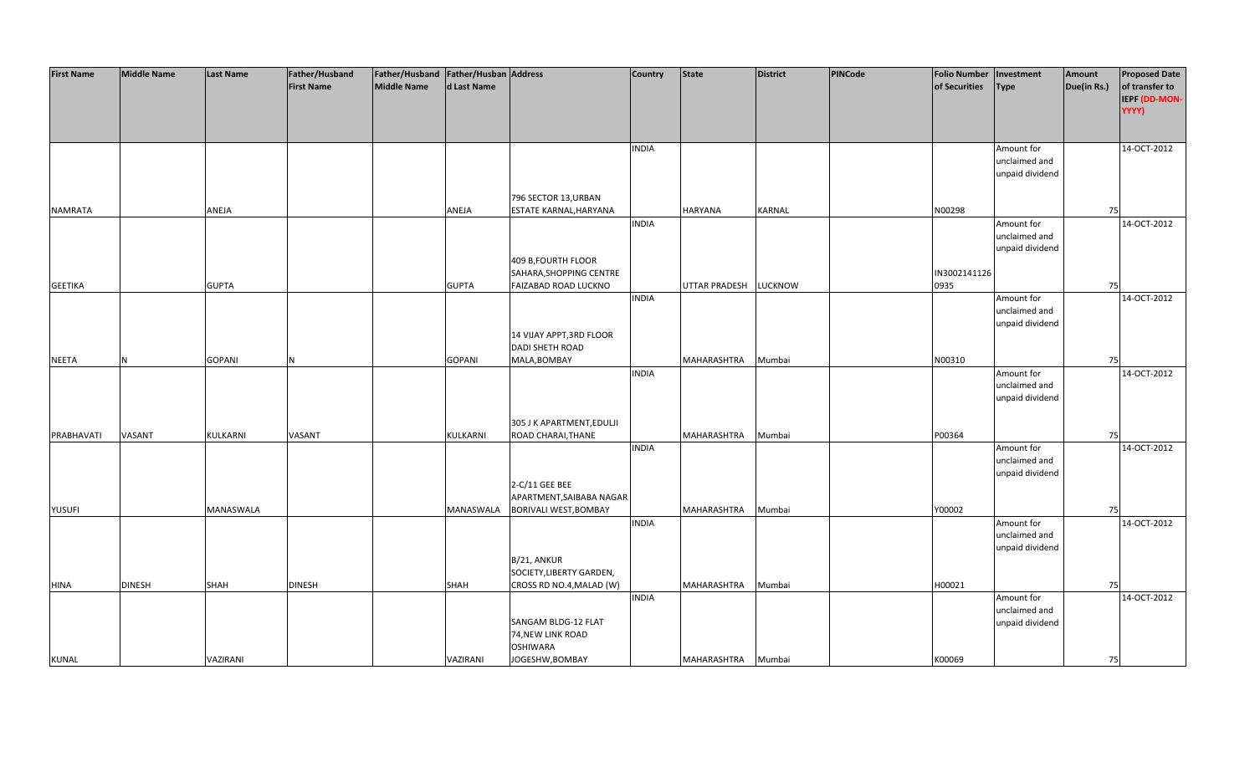| <b>First Name</b> | <b>Middle Name</b> | <b>Last Name</b> | Father/Husband    | Father/Husband Father/Husban Address |               |                           | <b>Country</b> | <b>State</b>   | <b>District</b> | PINCode | <b>Folio Number</b> | Investment      | Amount      | <b>Proposed Date</b> |
|-------------------|--------------------|------------------|-------------------|--------------------------------------|---------------|---------------------------|----------------|----------------|-----------------|---------|---------------------|-----------------|-------------|----------------------|
|                   |                    |                  | <b>First Name</b> | <b>Middle Name</b>                   | d Last Name   |                           |                |                |                 |         | of Securities       | <b>Type</b>     | Due(in Rs.) | of transfer to       |
|                   |                    |                  |                   |                                      |               |                           |                |                |                 |         |                     |                 |             |                      |
|                   |                    |                  |                   |                                      |               |                           |                |                |                 |         |                     |                 |             | IEPF (DD-MON-        |
|                   |                    |                  |                   |                                      |               |                           |                |                |                 |         |                     |                 |             | YYYY)                |
|                   |                    |                  |                   |                                      |               |                           |                |                |                 |         |                     |                 |             |                      |
|                   |                    |                  |                   |                                      |               |                           |                |                |                 |         |                     |                 |             |                      |
|                   |                    |                  |                   |                                      |               |                           | <b>INDIA</b>   |                |                 |         |                     | Amount for      |             | 14-OCT-2012          |
|                   |                    |                  |                   |                                      |               |                           |                |                |                 |         |                     | unclaimed and   |             |                      |
|                   |                    |                  |                   |                                      |               |                           |                |                |                 |         |                     | unpaid dividend |             |                      |
|                   |                    |                  |                   |                                      |               |                           |                |                |                 |         |                     |                 |             |                      |
|                   |                    |                  |                   |                                      |               | 796 SECTOR 13, URBAN      |                |                |                 |         |                     |                 |             |                      |
| <b>NAMRATA</b>    |                    | ANEJA            |                   |                                      | ANEJA         | ESTATE KARNAL, HARYANA    |                | <b>HARYANA</b> | <b>KARNAL</b>   |         | N00298              |                 | 75          |                      |
|                   |                    |                  |                   |                                      |               |                           |                |                |                 |         |                     |                 |             |                      |
|                   |                    |                  |                   |                                      |               |                           | <b>INDIA</b>   |                |                 |         |                     | Amount for      |             | 14-OCT-2012          |
|                   |                    |                  |                   |                                      |               |                           |                |                |                 |         |                     | unclaimed and   |             |                      |
|                   |                    |                  |                   |                                      |               |                           |                |                |                 |         |                     | unpaid dividend |             |                      |
|                   |                    |                  |                   |                                      |               | 409 B, FOURTH FLOOR       |                |                |                 |         |                     |                 |             |                      |
|                   |                    |                  |                   |                                      |               | SAHARA, SHOPPING CENTRE   |                |                |                 |         | IN3002141126        |                 |             |                      |
| <b>GEETIKA</b>    |                    | <b>GUPTA</b>     |                   |                                      | <b>GUPTA</b>  | FAIZABAD ROAD LUCKNO      |                | UTTAR PRADESH  | <b>LUCKNOW</b>  |         | 0935                |                 | 75          |                      |
|                   |                    |                  |                   |                                      |               |                           | <b>INDIA</b>   |                |                 |         |                     | Amount for      |             | 14-OCT-2012          |
|                   |                    |                  |                   |                                      |               |                           |                |                |                 |         |                     | unclaimed and   |             |                      |
|                   |                    |                  |                   |                                      |               |                           |                |                |                 |         |                     | unpaid dividend |             |                      |
|                   |                    |                  |                   |                                      |               | 14 VIJAY APPT, 3RD FLOOR  |                |                |                 |         |                     |                 |             |                      |
|                   |                    |                  |                   |                                      |               | <b>DADI SHETH ROAD</b>    |                |                |                 |         |                     |                 |             |                      |
| <b>NEETA</b>      | N                  | <b>GOPANI</b>    | N                 |                                      | <b>GOPANI</b> | MALA, BOMBAY              |                | MAHARASHTRA    | Mumbai          |         | N00310              |                 | 75          |                      |
|                   |                    |                  |                   |                                      |               |                           | <b>INDIA</b>   |                |                 |         |                     | Amount for      |             | 14-OCT-2012          |
|                   |                    |                  |                   |                                      |               |                           |                |                |                 |         |                     |                 |             |                      |
|                   |                    |                  |                   |                                      |               |                           |                |                |                 |         |                     | unclaimed and   |             |                      |
|                   |                    |                  |                   |                                      |               |                           |                |                |                 |         |                     | unpaid dividend |             |                      |
|                   |                    |                  |                   |                                      |               |                           |                |                |                 |         |                     |                 |             |                      |
|                   |                    |                  |                   |                                      |               | 305 J K APARTMENT, EDULJI |                |                |                 |         |                     |                 |             |                      |
| PRABHAVATI        | VASANT             | KULKARNI         | VASANT            |                                      | KULKARNI      | ROAD CHARAI, THANE        |                | MAHARASHTRA    | Mumbai          |         | P00364              |                 | 75          |                      |
|                   |                    |                  |                   |                                      |               |                           | <b>INDIA</b>   |                |                 |         |                     | Amount for      |             | 14-OCT-2012          |
|                   |                    |                  |                   |                                      |               |                           |                |                |                 |         |                     | unclaimed and   |             |                      |
|                   |                    |                  |                   |                                      |               |                           |                |                |                 |         |                     | unpaid dividend |             |                      |
|                   |                    |                  |                   |                                      |               | 2-C/11 GEE BEE            |                |                |                 |         |                     |                 |             |                      |
|                   |                    |                  |                   |                                      |               | APARTMENT, SAIBABA NAGAR  |                |                |                 |         |                     |                 |             |                      |
| <b>YUSUFI</b>     |                    | MANASWALA        |                   |                                      | MANASWALA     | BORIVALI WEST, BOMBAY     |                | MAHARASHTRA    | Mumbai          |         | Y00002              |                 | 75          |                      |
|                   |                    |                  |                   |                                      |               |                           | <b>INDIA</b>   |                |                 |         |                     | Amount for      |             | 14-OCT-2012          |
|                   |                    |                  |                   |                                      |               |                           |                |                |                 |         |                     | unclaimed and   |             |                      |
|                   |                    |                  |                   |                                      |               |                           |                |                |                 |         |                     | unpaid dividend |             |                      |
|                   |                    |                  |                   |                                      |               | B/21, ANKUR               |                |                |                 |         |                     |                 |             |                      |
|                   |                    |                  |                   |                                      |               | SOCIETY, LIBERTY GARDEN,  |                |                |                 |         |                     |                 |             |                      |
|                   | <b>DINESH</b>      | SHAH             | <b>DINESH</b>     |                                      | <b>SHAH</b>   |                           |                | MAHARASHTRA    | Mumbai          |         | H00021              |                 | 75          |                      |
| <b>HINA</b>       |                    |                  |                   |                                      |               | CROSS RD NO.4, MALAD (W)  |                |                |                 |         |                     |                 |             |                      |
|                   |                    |                  |                   |                                      |               |                           | <b>INDIA</b>   |                |                 |         |                     | Amount for      |             | 14-OCT-2012          |
|                   |                    |                  |                   |                                      |               |                           |                |                |                 |         |                     | unclaimed and   |             |                      |
|                   |                    |                  |                   |                                      |               | SANGAM BLDG-12 FLAT       |                |                |                 |         |                     | unpaid dividend |             |                      |
|                   |                    |                  |                   |                                      |               | 74, NEW LINK ROAD         |                |                |                 |         |                     |                 |             |                      |
|                   |                    |                  |                   |                                      |               | <b>OSHIWARA</b>           |                |                |                 |         |                     |                 |             |                      |
| <b>KUNAL</b>      |                    | VAZIRANI         |                   |                                      | VAZIRANI      | JOGESHW, BOMBAY           |                | MAHARASHTRA    | Mumbai          |         | K00069              |                 | 75          |                      |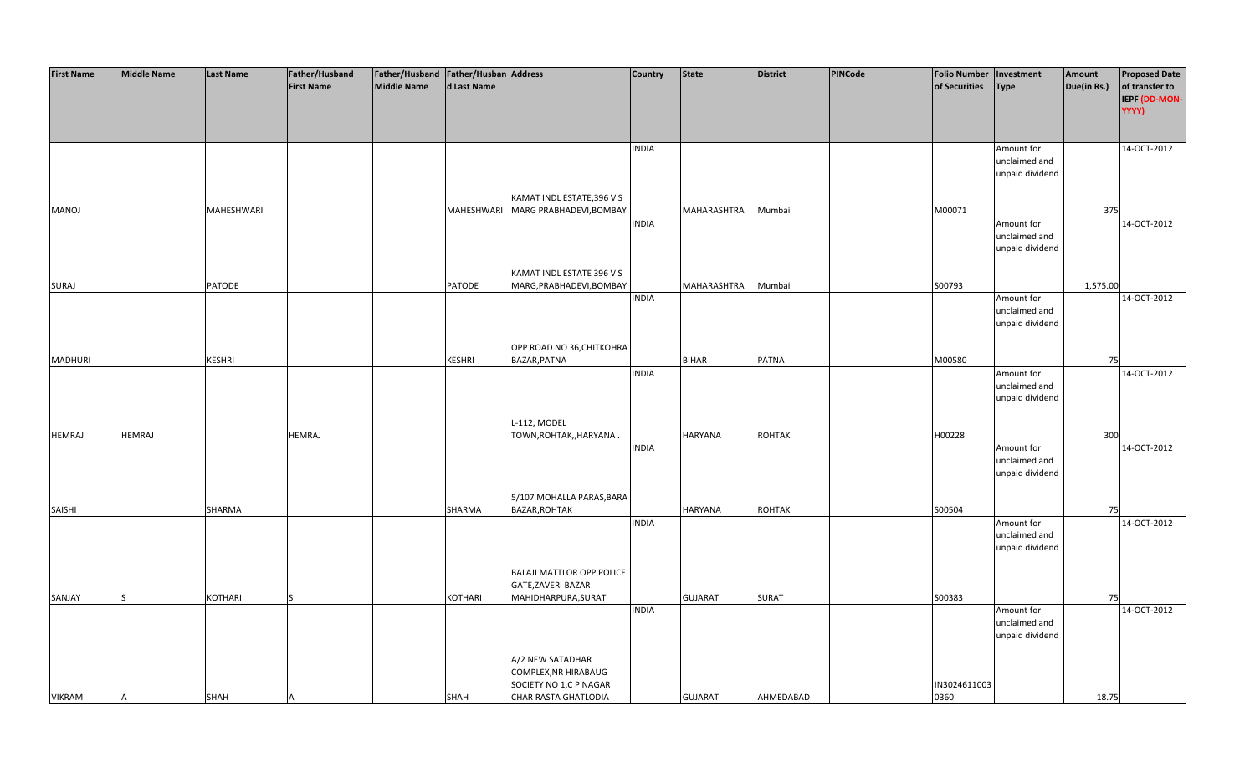| <b>First Name</b> | <b>Middle Name</b> | <b>Last Name</b> | Father/Husband    | Father/Husband Father/Husban Address |               |                                    | <b>Country</b> | <b>State</b>   | <b>District</b> | <b>PINCode</b> | <b>Folio Number</b> | Investment                  | Amount      | <b>Proposed Date</b> |
|-------------------|--------------------|------------------|-------------------|--------------------------------------|---------------|------------------------------------|----------------|----------------|-----------------|----------------|---------------------|-----------------------------|-------------|----------------------|
|                   |                    |                  | <b>First Name</b> | <b>Middle Name</b>                   | d Last Name   |                                    |                |                |                 |                | of Securities       | <b>Type</b>                 | Due(in Rs.) | of transfer to       |
|                   |                    |                  |                   |                                      |               |                                    |                |                |                 |                |                     |                             |             | IEPF (DD-MON-        |
|                   |                    |                  |                   |                                      |               |                                    |                |                |                 |                |                     |                             |             | YYYY)                |
|                   |                    |                  |                   |                                      |               |                                    |                |                |                 |                |                     |                             |             |                      |
|                   |                    |                  |                   |                                      |               |                                    |                |                |                 |                |                     |                             |             |                      |
|                   |                    |                  |                   |                                      |               |                                    | <b>INDIA</b>   |                |                 |                |                     | Amount for                  |             | 14-OCT-2012          |
|                   |                    |                  |                   |                                      |               |                                    |                |                |                 |                |                     | unclaimed and               |             |                      |
|                   |                    |                  |                   |                                      |               |                                    |                |                |                 |                |                     | unpaid dividend             |             |                      |
|                   |                    |                  |                   |                                      |               |                                    |                |                |                 |                |                     |                             |             |                      |
|                   |                    |                  |                   |                                      |               | KAMAT INDL ESTATE, 396 V S         |                |                |                 |                |                     |                             |             |                      |
| <b>MANOJ</b>      |                    | MAHESHWARI       |                   |                                      |               | MAHESHWARI MARG PRABHADEVI, BOMBAY |                | MAHARASHTRA    | Mumbai          |                | M00071              |                             | 375         |                      |
|                   |                    |                  |                   |                                      |               |                                    | <b>INDIA</b>   |                |                 |                |                     | Amount for                  |             | 14-OCT-2012          |
|                   |                    |                  |                   |                                      |               |                                    |                |                |                 |                |                     | unclaimed and               |             |                      |
|                   |                    |                  |                   |                                      |               |                                    |                |                |                 |                |                     | unpaid dividend             |             |                      |
|                   |                    |                  |                   |                                      |               |                                    |                |                |                 |                |                     |                             |             |                      |
|                   |                    |                  |                   |                                      |               | KAMAT INDL ESTATE 396 V S          |                |                |                 |                |                     |                             |             |                      |
| <b>SURAJ</b>      |                    | PATODE           |                   |                                      | PATODE        | MARG, PRABHADEVI, BOMBAY           |                | MAHARASHTRA    | Mumbai          |                | S00793              |                             | 1,575.00    |                      |
|                   |                    |                  |                   |                                      |               |                                    | <b>INDIA</b>   |                |                 |                |                     | Amount for                  |             | 14-OCT-2012          |
|                   |                    |                  |                   |                                      |               |                                    |                |                |                 |                |                     | unclaimed and               |             |                      |
|                   |                    |                  |                   |                                      |               |                                    |                |                |                 |                |                     | unpaid dividend             |             |                      |
|                   |                    |                  |                   |                                      |               |                                    |                |                |                 |                |                     |                             |             |                      |
|                   |                    |                  |                   |                                      |               | OPP ROAD NO 36, CHITKOHRA          |                |                |                 |                |                     |                             |             |                      |
| <b>MADHURI</b>    |                    | <b>KESHRI</b>    |                   |                                      | <b>KESHRI</b> | BAZAR, PATNA                       |                | <b>BIHAR</b>   | <b>PATNA</b>    |                | M00580              |                             | 75          |                      |
|                   |                    |                  |                   |                                      |               |                                    | <b>INDIA</b>   |                |                 |                |                     | Amount for<br>unclaimed and |             | 14-OCT-2012          |
|                   |                    |                  |                   |                                      |               |                                    |                |                |                 |                |                     | unpaid dividend             |             |                      |
|                   |                    |                  |                   |                                      |               |                                    |                |                |                 |                |                     |                             |             |                      |
|                   |                    |                  |                   |                                      |               | L-112, MODEL                       |                |                |                 |                |                     |                             |             |                      |
| <b>HEMRAJ</b>     | <b>HEMRAJ</b>      |                  | <b>HEMRAJ</b>     |                                      |               | TOWN, ROHTAK, , HARYANA.           |                | HARYANA        | <b>ROHTAK</b>   |                | H00228              |                             | 300         |                      |
|                   |                    |                  |                   |                                      |               |                                    | <b>INDIA</b>   |                |                 |                |                     | Amount for                  |             | 14-OCT-2012          |
|                   |                    |                  |                   |                                      |               |                                    |                |                |                 |                |                     | unclaimed and               |             |                      |
|                   |                    |                  |                   |                                      |               |                                    |                |                |                 |                |                     | unpaid dividend             |             |                      |
|                   |                    |                  |                   |                                      |               |                                    |                |                |                 |                |                     |                             |             |                      |
|                   |                    |                  |                   |                                      |               | 5/107 MOHALLA PARAS, BARA          |                |                |                 |                |                     |                             |             |                      |
| <b>SAISHI</b>     |                    | SHARMA           |                   |                                      | SHARMA        | <b>BAZAR, ROHTAK</b>               |                | <b>HARYANA</b> | ROHTAK          |                | S00504              |                             | 75          |                      |
|                   |                    |                  |                   |                                      |               |                                    | <b>INDIA</b>   |                |                 |                |                     | Amount for                  |             | 14-OCT-2012          |
|                   |                    |                  |                   |                                      |               |                                    |                |                |                 |                |                     | unclaimed and               |             |                      |
|                   |                    |                  |                   |                                      |               |                                    |                |                |                 |                |                     | unpaid dividend             |             |                      |
|                   |                    |                  |                   |                                      |               |                                    |                |                |                 |                |                     |                             |             |                      |
|                   |                    |                  |                   |                                      |               | <b>BALAJI MATTLOR OPP POLICE</b>   |                |                |                 |                |                     |                             |             |                      |
|                   |                    |                  |                   |                                      |               | <b>GATE, ZAVERI BAZAR</b>          |                |                |                 |                |                     |                             |             |                      |
| SANJAY            |                    | <b>KOTHARI</b>   |                   |                                      | KOTHARI       | MAHIDHARPURA, SURAT                |                | <b>GUJARAT</b> | <b>SURAT</b>    |                | S00383              |                             | 75          |                      |
|                   |                    |                  |                   |                                      |               |                                    | <b>INDIA</b>   |                |                 |                |                     | Amount for                  |             | 14-OCT-2012          |
|                   |                    |                  |                   |                                      |               |                                    |                |                |                 |                |                     | unclaimed and               |             |                      |
|                   |                    |                  |                   |                                      |               |                                    |                |                |                 |                |                     | unpaid dividend             |             |                      |
|                   |                    |                  |                   |                                      |               |                                    |                |                |                 |                |                     |                             |             |                      |
|                   |                    |                  |                   |                                      |               | A/2 NEW SATADHAR                   |                |                |                 |                |                     |                             |             |                      |
|                   |                    |                  |                   |                                      |               | COMPLEX, NR HIRABAUG               |                |                |                 |                |                     |                             |             |                      |
|                   |                    |                  |                   |                                      |               | SOCIETY NO 1,C P NAGAR             |                |                |                 |                | IN3024611003        |                             |             |                      |
| <b>VIKRAM</b>     | A                  | <b>SHAH</b>      |                   |                                      | SHAH          | CHAR RASTA GHATLODIA               |                | <b>GUJARAT</b> | AHMEDABAD       |                | 0360                |                             | 18.75       |                      |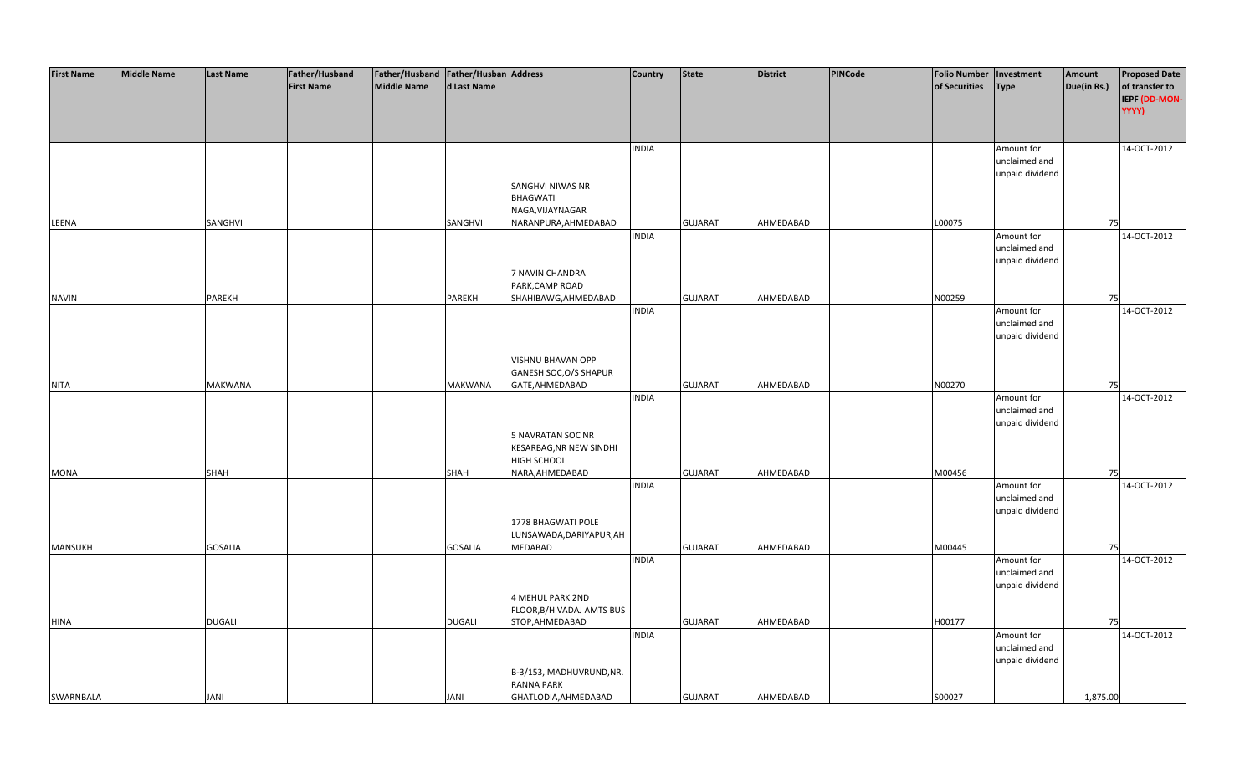| <b>First Name</b> | <b>Middle Name</b> | <b>Last Name</b> | Father/Husband    | Father/Husband   Father/Husban   Address |                |                                               | <b>Country</b> | <b>State</b>   | <b>District</b> | PINCode | <b>Folio Number</b> | Investment                       | Amount      | <b>Proposed Date</b> |
|-------------------|--------------------|------------------|-------------------|------------------------------------------|----------------|-----------------------------------------------|----------------|----------------|-----------------|---------|---------------------|----------------------------------|-------------|----------------------|
|                   |                    |                  | <b>First Name</b> | <b>Middle Name</b>                       | d Last Name    |                                               |                |                |                 |         | of Securities       | <b>Type</b>                      | Due(in Rs.) | of transfer to       |
|                   |                    |                  |                   |                                          |                |                                               |                |                |                 |         |                     |                                  |             | IEPF (DD-MON-        |
|                   |                    |                  |                   |                                          |                |                                               |                |                |                 |         |                     |                                  |             | YYYY)                |
|                   |                    |                  |                   |                                          |                |                                               |                |                |                 |         |                     |                                  |             |                      |
|                   |                    |                  |                   |                                          |                |                                               |                |                |                 |         |                     |                                  |             |                      |
|                   |                    |                  |                   |                                          |                |                                               | <b>INDIA</b>   |                |                 |         |                     | Amount for                       |             | 14-OCT-2012          |
|                   |                    |                  |                   |                                          |                |                                               |                |                |                 |         |                     | unclaimed and                    |             |                      |
|                   |                    |                  |                   |                                          |                |                                               |                |                |                 |         |                     | unpaid dividend                  |             |                      |
|                   |                    |                  |                   |                                          |                | SANGHVI NIWAS NR                              |                |                |                 |         |                     |                                  |             |                      |
|                   |                    |                  |                   |                                          |                | <b>BHAGWATI</b>                               |                |                |                 |         |                     |                                  |             |                      |
|                   |                    |                  |                   |                                          |                | NAGA, VIJAYNAGAR                              |                |                |                 |         |                     |                                  |             |                      |
| LEENA             |                    | SANGHVI          |                   |                                          | SANGHVI        | NARANPURA, AHMEDABAD                          |                | <b>GUJARAT</b> | AHMEDABAD       |         | L00075              |                                  | 75          |                      |
|                   |                    |                  |                   |                                          |                |                                               | <b>INDIA</b>   |                |                 |         |                     | Amount for                       |             | 14-OCT-2012          |
|                   |                    |                  |                   |                                          |                |                                               |                |                |                 |         |                     | unclaimed and                    |             |                      |
|                   |                    |                  |                   |                                          |                |                                               |                |                |                 |         |                     | unpaid dividend                  |             |                      |
|                   |                    |                  |                   |                                          |                | 7 NAVIN CHANDRA                               |                |                |                 |         |                     |                                  |             |                      |
|                   |                    |                  |                   |                                          |                | PARK, CAMP ROAD                               |                |                |                 |         |                     |                                  |             |                      |
| <b>NAVIN</b>      |                    | <b>PAREKH</b>    |                   |                                          | PAREKH         | SHAHIBAWG, AHMEDABAD                          |                | <b>GUJARAT</b> | AHMEDABAD       |         | N00259              |                                  | 75          |                      |
|                   |                    |                  |                   |                                          |                |                                               | <b>INDIA</b>   |                |                 |         |                     | Amount for                       |             | 14-OCT-2012          |
|                   |                    |                  |                   |                                          |                |                                               |                |                |                 |         |                     | unclaimed and<br>unpaid dividend |             |                      |
|                   |                    |                  |                   |                                          |                |                                               |                |                |                 |         |                     |                                  |             |                      |
|                   |                    |                  |                   |                                          |                | VISHNU BHAVAN OPP                             |                |                |                 |         |                     |                                  |             |                      |
|                   |                    |                  |                   |                                          |                | GANESH SOC, O/S SHAPUR                        |                |                |                 |         |                     |                                  |             |                      |
| <b>NITA</b>       |                    | <b>MAKWANA</b>   |                   |                                          | <b>MAKWANA</b> | GATE, AHMEDABAD                               |                | <b>GUJARAT</b> | AHMEDABAD       |         | N00270              |                                  | 75          |                      |
|                   |                    |                  |                   |                                          |                |                                               | <b>INDIA</b>   |                |                 |         |                     | Amount for                       |             | 14-OCT-2012          |
|                   |                    |                  |                   |                                          |                |                                               |                |                |                 |         |                     | unclaimed and                    |             |                      |
|                   |                    |                  |                   |                                          |                |                                               |                |                |                 |         |                     | unpaid dividend                  |             |                      |
|                   |                    |                  |                   |                                          |                | <b>5 NAVRATAN SOC NR</b>                      |                |                |                 |         |                     |                                  |             |                      |
|                   |                    |                  |                   |                                          |                | KESARBAG, NR NEW SINDHI                       |                |                |                 |         |                     |                                  |             |                      |
|                   |                    |                  |                   |                                          |                | HIGH SCHOOL                                   |                |                |                 |         |                     |                                  |             |                      |
| <b>MONA</b>       |                    | SHAH             |                   |                                          | <b>SHAH</b>    | NARA, AHMEDABAD                               |                | <b>GUJARAT</b> | AHMEDABAD       |         | M00456              |                                  | 75          |                      |
|                   |                    |                  |                   |                                          |                |                                               | <b>INDIA</b>   |                |                 |         |                     | Amount for                       |             | 14-OCT-2012          |
|                   |                    |                  |                   |                                          |                |                                               |                |                |                 |         |                     | unclaimed and                    |             |                      |
|                   |                    |                  |                   |                                          |                |                                               |                |                |                 |         |                     | unpaid dividend                  |             |                      |
|                   |                    |                  |                   |                                          |                | 1778 BHAGWATI POLE                            |                |                |                 |         |                     |                                  |             |                      |
|                   |                    |                  |                   |                                          |                | LUNSAWADA, DARIYAPUR, AH                      |                |                |                 |         |                     |                                  |             |                      |
| MANSUKH           |                    | <b>GOSALIA</b>   |                   |                                          | <b>GOSALIA</b> | <b>MEDABAD</b>                                |                | <b>GUJARAT</b> | AHMEDABAD       |         | M00445              |                                  | 75          |                      |
|                   |                    |                  |                   |                                          |                |                                               | <b>INDIA</b>   |                |                 |         |                     | Amount for                       |             | 14-OCT-2012          |
|                   |                    |                  |                   |                                          |                |                                               |                |                |                 |         |                     | unclaimed and                    |             |                      |
|                   |                    |                  |                   |                                          |                |                                               |                |                |                 |         |                     | unpaid dividend                  |             |                      |
|                   |                    |                  |                   |                                          |                | 4 MEHUL PARK 2ND                              |                |                |                 |         |                     |                                  |             |                      |
|                   |                    |                  |                   |                                          |                | FLOOR, B/H VADAJ AMTS BUS                     |                |                |                 |         |                     |                                  |             |                      |
| <b>HINA</b>       |                    | <b>DUGALI</b>    |                   |                                          | <b>DUGALI</b>  | STOP, AHMEDABAD                               |                | <b>GUJARAT</b> | AHMEDABAD       |         | H00177              |                                  | 75          |                      |
|                   |                    |                  |                   |                                          |                |                                               | <b>INDIA</b>   |                |                 |         |                     | Amount for                       |             | 14-OCT-2012          |
|                   |                    |                  |                   |                                          |                |                                               |                |                |                 |         |                     | unclaimed and                    |             |                      |
|                   |                    |                  |                   |                                          |                |                                               |                |                |                 |         |                     | unpaid dividend                  |             |                      |
|                   |                    |                  |                   |                                          |                | B-3/153, MADHUVRUND, NR.<br><b>RANNA PARK</b> |                |                |                 |         |                     |                                  |             |                      |
| SWARNBALA         |                    | <b>JANI</b>      |                   |                                          | <b>JANI</b>    | GHATLODIA, AHMEDABAD                          |                | <b>GUJARAT</b> | AHMEDABAD       |         | S00027              |                                  | 1,875.00    |                      |
|                   |                    |                  |                   |                                          |                |                                               |                |                |                 |         |                     |                                  |             |                      |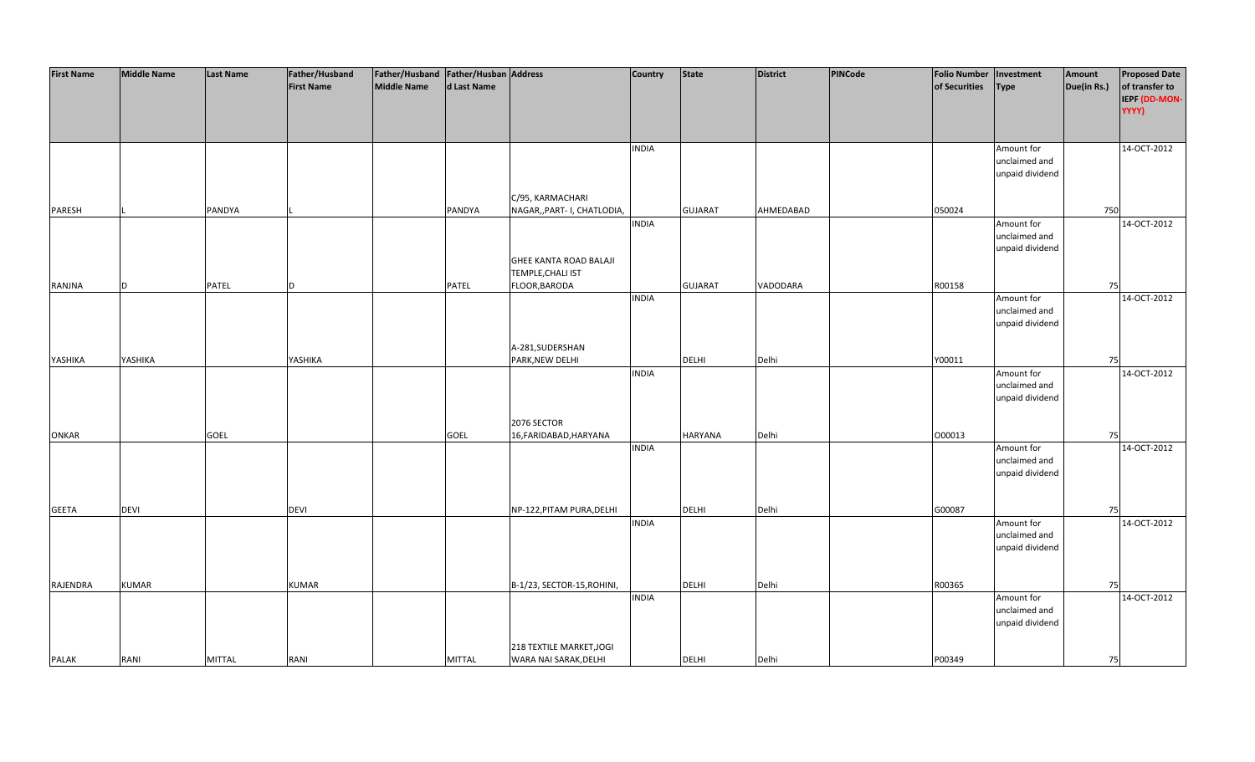| <b>First Name</b> | <b>Middle Name</b> | <b>Last Name</b> | Father/Husband    | Father/Husband Father/Husban Address |               |                             | Country      | <b>State</b>   | <b>District</b> | PINCode | <b>Folio Number</b> | Investment      | Amount      | <b>Proposed Date</b> |
|-------------------|--------------------|------------------|-------------------|--------------------------------------|---------------|-----------------------------|--------------|----------------|-----------------|---------|---------------------|-----------------|-------------|----------------------|
|                   |                    |                  | <b>First Name</b> | <b>Middle Name</b>                   | d Last Name   |                             |              |                |                 |         | of Securities       | <b>Type</b>     | Due(in Rs.) | of transfer to       |
|                   |                    |                  |                   |                                      |               |                             |              |                |                 |         |                     |                 |             | IEPF (DD-MON-        |
|                   |                    |                  |                   |                                      |               |                             |              |                |                 |         |                     |                 |             | YYYY)                |
|                   |                    |                  |                   |                                      |               |                             |              |                |                 |         |                     |                 |             |                      |
|                   |                    |                  |                   |                                      |               |                             |              |                |                 |         |                     |                 |             |                      |
|                   |                    |                  |                   |                                      |               |                             | <b>INDIA</b> |                |                 |         |                     | Amount for      |             | 14-OCT-2012          |
|                   |                    |                  |                   |                                      |               |                             |              |                |                 |         |                     | unclaimed and   |             |                      |
|                   |                    |                  |                   |                                      |               |                             |              |                |                 |         |                     | unpaid dividend |             |                      |
|                   |                    |                  |                   |                                      |               |                             |              |                |                 |         |                     |                 |             |                      |
|                   |                    |                  |                   |                                      |               | C/95, KARMACHARI            |              |                |                 |         |                     |                 |             |                      |
| PARESH            |                    | PANDYA           |                   |                                      | PANDYA        | NAGAR,, PART- I, CHATLODIA, |              | <b>GUJARAT</b> | AHMEDABAD       |         | 050024              |                 | 750         |                      |
|                   |                    |                  |                   |                                      |               |                             | <b>INDIA</b> |                |                 |         |                     | Amount for      |             | 14-OCT-2012          |
|                   |                    |                  |                   |                                      |               |                             |              |                |                 |         |                     | unclaimed and   |             |                      |
|                   |                    |                  |                   |                                      |               |                             |              |                |                 |         |                     | unpaid dividend |             |                      |
|                   |                    |                  |                   |                                      |               | GHEE KANTA ROAD BALAJI      |              |                |                 |         |                     |                 |             |                      |
|                   |                    |                  |                   |                                      |               | <b>TEMPLE, CHALI IST</b>    |              |                |                 |         |                     |                 |             |                      |
| RANJNA            | D                  | PATEL            |                   |                                      | PATEL         | FLOOR, BARODA               |              | <b>GUJARAT</b> | VADODARA        |         | R00158              |                 | 75          |                      |
|                   |                    |                  |                   |                                      |               |                             | <b>INDIA</b> |                |                 |         |                     | Amount for      |             | 14-OCT-2012          |
|                   |                    |                  |                   |                                      |               |                             |              |                |                 |         |                     | unclaimed and   |             |                      |
|                   |                    |                  |                   |                                      |               |                             |              |                |                 |         |                     | unpaid dividend |             |                      |
|                   |                    |                  |                   |                                      |               |                             |              |                |                 |         |                     |                 |             |                      |
|                   |                    |                  |                   |                                      |               | A-281, SUDERSHAN            |              |                |                 |         |                     |                 |             |                      |
| YASHIKA           | YASHIKA            |                  | YASHIKA           |                                      |               | PARK, NEW DELHI             |              | DELHI          | Delhi           |         | Y00011              |                 | 75          |                      |
|                   |                    |                  |                   |                                      |               |                             | <b>INDIA</b> |                |                 |         |                     | Amount for      |             | 14-OCT-2012          |
|                   |                    |                  |                   |                                      |               |                             |              |                |                 |         |                     | unclaimed and   |             |                      |
|                   |                    |                  |                   |                                      |               |                             |              |                |                 |         |                     | unpaid dividend |             |                      |
|                   |                    |                  |                   |                                      |               |                             |              |                |                 |         |                     |                 |             |                      |
|                   |                    |                  |                   |                                      |               | 2076 SECTOR                 |              |                |                 |         |                     |                 |             |                      |
| <b>ONKAR</b>      |                    | GOEL             |                   |                                      | <b>GOEL</b>   | 16, FARIDABAD, HARYANA      |              | <b>HARYANA</b> | Delhi           |         | 000013              |                 | 75          |                      |
|                   |                    |                  |                   |                                      |               |                             | <b>INDIA</b> |                |                 |         |                     | Amount for      |             | 14-OCT-2012          |
|                   |                    |                  |                   |                                      |               |                             |              |                |                 |         |                     | unclaimed and   |             |                      |
|                   |                    |                  |                   |                                      |               |                             |              |                |                 |         |                     | unpaid dividend |             |                      |
|                   |                    |                  |                   |                                      |               |                             |              |                |                 |         |                     |                 |             |                      |
|                   |                    |                  |                   |                                      |               |                             |              |                |                 |         |                     |                 |             |                      |
| <b>GEETA</b>      | <b>DEVI</b>        |                  | <b>DEVI</b>       |                                      |               | NP-122, PITAM PURA, DELHI   |              | DELHI          | Delhi           |         | G00087              |                 | 75          |                      |
|                   |                    |                  |                   |                                      |               |                             | <b>INDIA</b> |                |                 |         |                     | Amount for      |             | 14-OCT-2012          |
|                   |                    |                  |                   |                                      |               |                             |              |                |                 |         |                     | unclaimed and   |             |                      |
|                   |                    |                  |                   |                                      |               |                             |              |                |                 |         |                     | unpaid dividend |             |                      |
|                   |                    |                  |                   |                                      |               |                             |              |                |                 |         |                     |                 |             |                      |
|                   |                    |                  |                   |                                      |               |                             |              |                |                 |         |                     |                 |             |                      |
| RAJENDRA          | <b>KUMAR</b>       |                  | <b>KUMAR</b>      |                                      |               | B-1/23, SECTOR-15, ROHINI,  |              | <b>DELHI</b>   | Delhi           |         | R00365              |                 | 75          |                      |
|                   |                    |                  |                   |                                      |               |                             | <b>INDIA</b> |                |                 |         |                     | Amount for      |             | 14-OCT-2012          |
|                   |                    |                  |                   |                                      |               |                             |              |                |                 |         |                     | unclaimed and   |             |                      |
|                   |                    |                  |                   |                                      |               |                             |              |                |                 |         |                     | unpaid dividend |             |                      |
|                   |                    |                  |                   |                                      |               |                             |              |                |                 |         |                     |                 |             |                      |
|                   |                    |                  |                   |                                      |               | 218 TEXTILE MARKET, JOGI    |              |                |                 |         |                     |                 |             |                      |
| <b>PALAK</b>      | RANI               | <b>MITTAL</b>    | RANI              |                                      | <b>MITTAL</b> | WARA NAI SARAK, DELHI       |              | DELHI          | Delhi           |         | P00349              |                 | 75          |                      |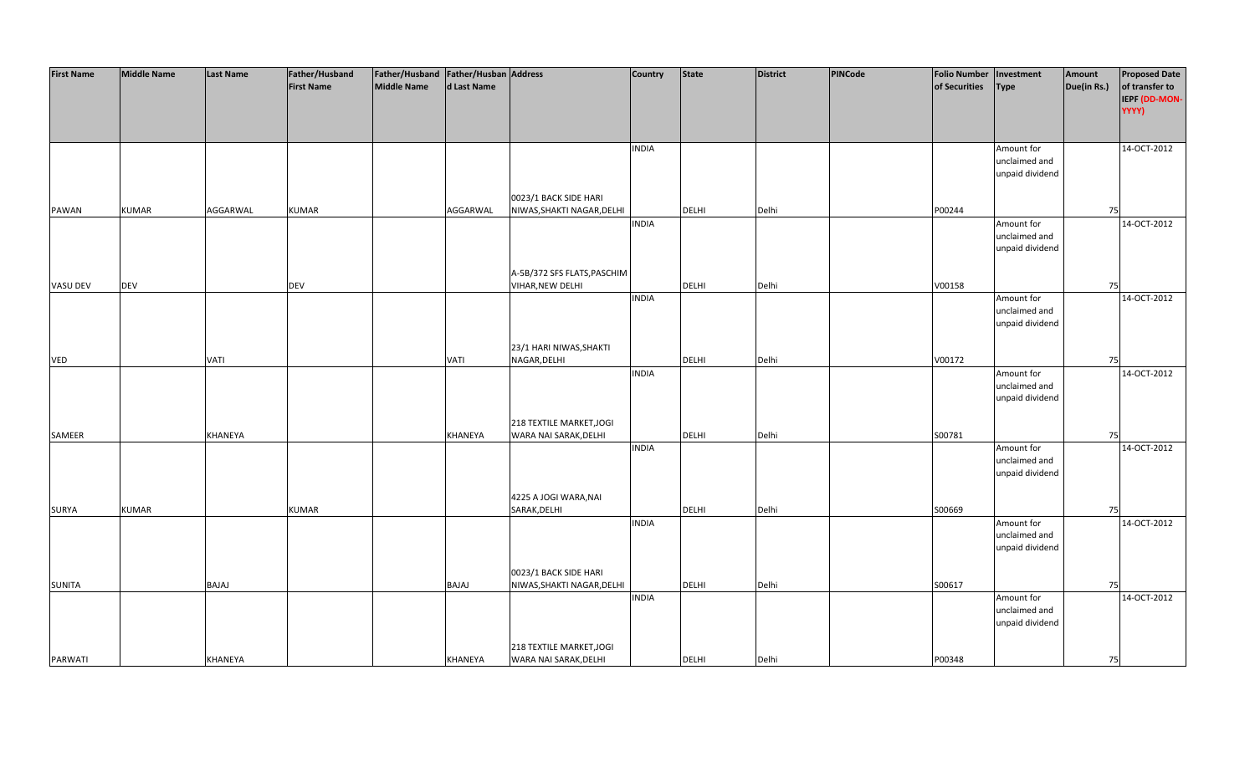| <b>First Name</b> | <b>Middle Name</b> | <b>Last Name</b> | Father/Husband    | Father/Husband Father/Husban Address |              |                             | Country      | <b>State</b> | <b>District</b> | PINCode | <b>Folio Number</b> | Investment      | Amount      | <b>Proposed Date</b> |
|-------------------|--------------------|------------------|-------------------|--------------------------------------|--------------|-----------------------------|--------------|--------------|-----------------|---------|---------------------|-----------------|-------------|----------------------|
|                   |                    |                  | <b>First Name</b> | <b>Middle Name</b>                   | d Last Name  |                             |              |              |                 |         | of Securities       | <b>Type</b>     | Due(in Rs.) | of transfer to       |
|                   |                    |                  |                   |                                      |              |                             |              |              |                 |         |                     |                 |             | IEPF (DD-MON-        |
|                   |                    |                  |                   |                                      |              |                             |              |              |                 |         |                     |                 |             | YYYY)                |
|                   |                    |                  |                   |                                      |              |                             |              |              |                 |         |                     |                 |             |                      |
|                   |                    |                  |                   |                                      |              |                             |              |              |                 |         |                     |                 |             |                      |
|                   |                    |                  |                   |                                      |              |                             | <b>INDIA</b> |              |                 |         |                     | Amount for      |             | 14-OCT-2012          |
|                   |                    |                  |                   |                                      |              |                             |              |              |                 |         |                     | unclaimed and   |             |                      |
|                   |                    |                  |                   |                                      |              |                             |              |              |                 |         |                     | unpaid dividend |             |                      |
|                   |                    |                  |                   |                                      |              |                             |              |              |                 |         |                     |                 |             |                      |
|                   |                    |                  |                   |                                      |              | 0023/1 BACK SIDE HARI       |              |              |                 |         |                     |                 |             |                      |
| PAWAN             | <b>KUMAR</b>       | AGGARWAL         | <b>KUMAR</b>      |                                      | AGGARWAL     | NIWAS, SHAKTI NAGAR, DELHI  |              | <b>DELHI</b> | Delhi           |         | P00244              |                 | 75          |                      |
|                   |                    |                  |                   |                                      |              |                             | <b>INDIA</b> |              |                 |         |                     | Amount for      |             | 14-OCT-2012          |
|                   |                    |                  |                   |                                      |              |                             |              |              |                 |         |                     | unclaimed and   |             |                      |
|                   |                    |                  |                   |                                      |              |                             |              |              |                 |         |                     | unpaid dividend |             |                      |
|                   |                    |                  |                   |                                      |              |                             |              |              |                 |         |                     |                 |             |                      |
|                   |                    |                  |                   |                                      |              | A-5B/372 SFS FLATS, PASCHIM |              |              |                 |         |                     |                 |             |                      |
| VASU DEV          | <b>DEV</b>         |                  | <b>DEV</b>        |                                      |              | <b>VIHAR, NEW DELHI</b>     |              | <b>DELHI</b> | Delhi           |         | V00158              |                 | 75          |                      |
|                   |                    |                  |                   |                                      |              |                             | <b>INDIA</b> |              |                 |         |                     | Amount for      |             | 14-OCT-2012          |
|                   |                    |                  |                   |                                      |              |                             |              |              |                 |         |                     | unclaimed and   |             |                      |
|                   |                    |                  |                   |                                      |              |                             |              |              |                 |         |                     | unpaid dividend |             |                      |
|                   |                    |                  |                   |                                      |              |                             |              |              |                 |         |                     |                 |             |                      |
|                   |                    |                  |                   |                                      |              | 23/1 HARI NIWAS, SHAKTI     |              |              |                 |         |                     |                 |             |                      |
| <b>VED</b>        |                    | <b>VATI</b>      |                   |                                      | <b>VATI</b>  | NAGAR, DELHI                |              | DELHI        | Delhi           |         | V00172              |                 | 75          |                      |
|                   |                    |                  |                   |                                      |              |                             | <b>INDIA</b> |              |                 |         |                     | Amount for      |             | 14-OCT-2012          |
|                   |                    |                  |                   |                                      |              |                             |              |              |                 |         |                     | unclaimed and   |             |                      |
|                   |                    |                  |                   |                                      |              |                             |              |              |                 |         |                     | unpaid dividend |             |                      |
|                   |                    |                  |                   |                                      |              |                             |              |              |                 |         |                     |                 |             |                      |
|                   |                    |                  |                   |                                      |              | 218 TEXTILE MARKET, JOGI    |              |              |                 |         |                     |                 |             |                      |
| SAMEER            |                    | KHANEYA          |                   |                                      | KHANEYA      | WARA NAI SARAK, DELHI       |              | <b>DELHI</b> | Delhi           |         | S00781              |                 | 75          |                      |
|                   |                    |                  |                   |                                      |              |                             | <b>INDIA</b> |              |                 |         |                     | Amount for      |             | 14-OCT-2012          |
|                   |                    |                  |                   |                                      |              |                             |              |              |                 |         |                     | unclaimed and   |             |                      |
|                   |                    |                  |                   |                                      |              |                             |              |              |                 |         |                     | unpaid dividend |             |                      |
|                   |                    |                  |                   |                                      |              |                             |              |              |                 |         |                     |                 |             |                      |
|                   |                    |                  |                   |                                      |              | 4225 A JOGI WARA, NAI       |              |              |                 |         |                     |                 |             |                      |
| SURYA             | <b>KUMAR</b>       |                  | <b>KUMAR</b>      |                                      |              | SARAK, DELHI                |              | DELHI        | Delhi           |         | S00669              |                 | 75          |                      |
|                   |                    |                  |                   |                                      |              |                             | <b>INDIA</b> |              |                 |         |                     | Amount for      |             | 14-OCT-2012          |
|                   |                    |                  |                   |                                      |              |                             |              |              |                 |         |                     | unclaimed and   |             |                      |
|                   |                    |                  |                   |                                      |              |                             |              |              |                 |         |                     | unpaid dividend |             |                      |
|                   |                    |                  |                   |                                      |              |                             |              |              |                 |         |                     |                 |             |                      |
|                   |                    |                  |                   |                                      |              | 0023/1 BACK SIDE HARI       |              |              |                 |         |                     |                 |             |                      |
| <b>SUNITA</b>     |                    | <b>BAJAJ</b>     |                   |                                      | <b>BAJAJ</b> | NIWAS, SHAKTI NAGAR, DELHI  |              | DELHI        | Delhi           |         | S00617              |                 | 75          |                      |
|                   |                    |                  |                   |                                      |              |                             | <b>INDIA</b> |              |                 |         |                     | Amount for      |             | 14-OCT-2012          |
|                   |                    |                  |                   |                                      |              |                             |              |              |                 |         |                     | unclaimed and   |             |                      |
|                   |                    |                  |                   |                                      |              |                             |              |              |                 |         |                     | unpaid dividend |             |                      |
|                   |                    |                  |                   |                                      |              |                             |              |              |                 |         |                     |                 |             |                      |
|                   |                    |                  |                   |                                      |              | 218 TEXTILE MARKET, JOGI    |              |              |                 |         |                     |                 |             |                      |
| PARWATI           |                    | KHANEYA          |                   |                                      | KHANEYA      | WARA NAI SARAK, DELHI       |              | <b>DELHI</b> | Delhi           |         | P00348              |                 | 75          |                      |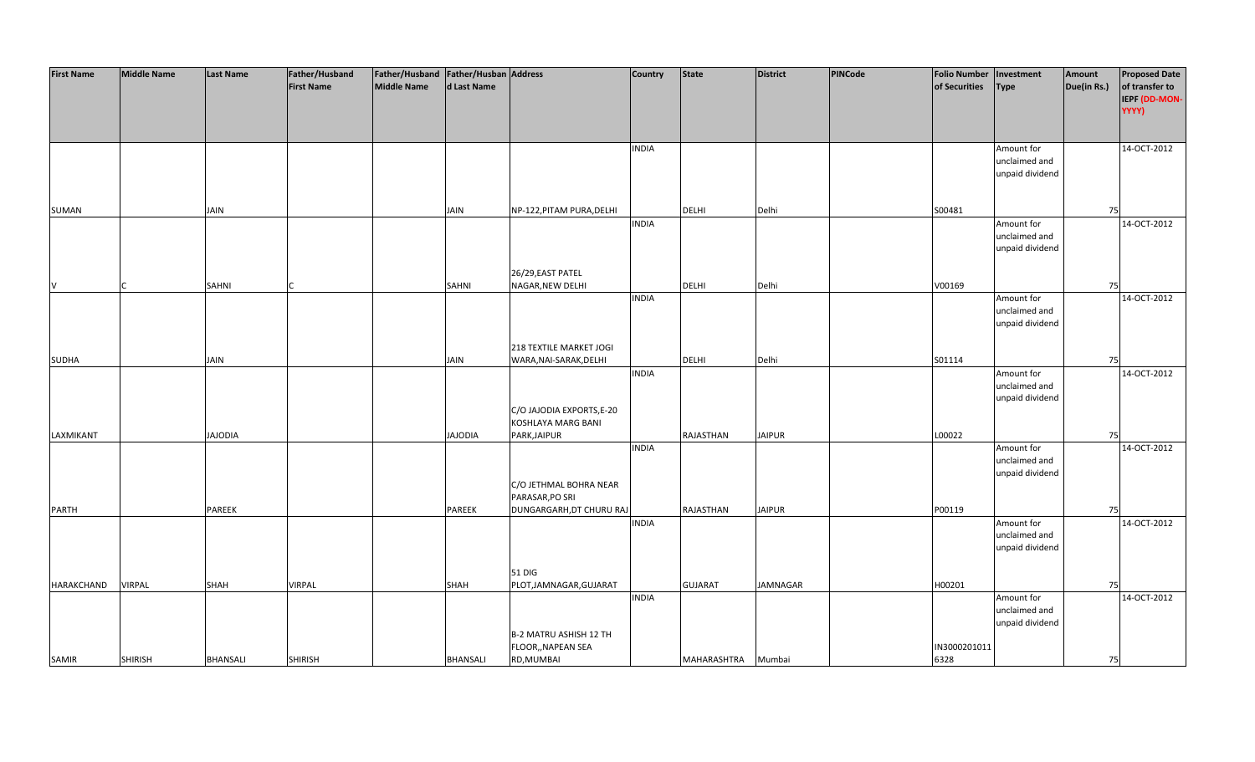| <b>First Name</b> | <b>Middle Name</b> | <b>Last Name</b> | Father/Husband    | Father/Husband   Father/Husban   Address |                 |                           | <b>Country</b> | <b>State</b>   | <b>District</b> | PINCode | <b>Folio Number</b> | Investment      | Amount      | <b>Proposed Date</b> |
|-------------------|--------------------|------------------|-------------------|------------------------------------------|-----------------|---------------------------|----------------|----------------|-----------------|---------|---------------------|-----------------|-------------|----------------------|
|                   |                    |                  | <b>First Name</b> | <b>Middle Name</b>                       | d Last Name     |                           |                |                |                 |         | of Securities       | <b>Type</b>     | Due(in Rs.) | of transfer to       |
|                   |                    |                  |                   |                                          |                 |                           |                |                |                 |         |                     |                 |             | IEPF (DD-MON-        |
|                   |                    |                  |                   |                                          |                 |                           |                |                |                 |         |                     |                 |             | YYYY)                |
|                   |                    |                  |                   |                                          |                 |                           |                |                |                 |         |                     |                 |             |                      |
|                   |                    |                  |                   |                                          |                 |                           |                |                |                 |         |                     |                 |             |                      |
|                   |                    |                  |                   |                                          |                 |                           |                |                |                 |         |                     |                 |             |                      |
|                   |                    |                  |                   |                                          |                 |                           | <b>INDIA</b>   |                |                 |         |                     | Amount for      |             | 14-OCT-2012          |
|                   |                    |                  |                   |                                          |                 |                           |                |                |                 |         |                     | unclaimed and   |             |                      |
|                   |                    |                  |                   |                                          |                 |                           |                |                |                 |         |                     | unpaid dividend |             |                      |
|                   |                    |                  |                   |                                          |                 |                           |                |                |                 |         |                     |                 |             |                      |
|                   |                    |                  |                   |                                          |                 |                           |                |                |                 |         |                     |                 |             |                      |
| SUMAN             |                    | <b>JAIN</b>      |                   |                                          | <b>JAIN</b>     | NP-122, PITAM PURA, DELHI |                | <b>DELHI</b>   | Delhi           |         | S00481              |                 | 75          |                      |
|                   |                    |                  |                   |                                          |                 |                           | <b>INDIA</b>   |                |                 |         |                     | Amount for      |             | 14-OCT-2012          |
|                   |                    |                  |                   |                                          |                 |                           |                |                |                 |         |                     | unclaimed and   |             |                      |
|                   |                    |                  |                   |                                          |                 |                           |                |                |                 |         |                     | unpaid dividend |             |                      |
|                   |                    |                  |                   |                                          |                 |                           |                |                |                 |         |                     |                 |             |                      |
|                   |                    |                  |                   |                                          |                 | 26/29, EAST PATEL         |                |                |                 |         |                     |                 |             |                      |
| V                 |                    | SAHNI            |                   |                                          | <b>SAHNI</b>    | NAGAR, NEW DELHI          |                | <b>DELHI</b>   | Delhi           |         | V00169              |                 | 75          |                      |
|                   |                    |                  |                   |                                          |                 |                           | <b>INDIA</b>   |                |                 |         |                     | Amount for      |             | 14-OCT-2012          |
|                   |                    |                  |                   |                                          |                 |                           |                |                |                 |         |                     | unclaimed and   |             |                      |
|                   |                    |                  |                   |                                          |                 |                           |                |                |                 |         |                     |                 |             |                      |
|                   |                    |                  |                   |                                          |                 |                           |                |                |                 |         |                     | unpaid dividend |             |                      |
|                   |                    |                  |                   |                                          |                 |                           |                |                |                 |         |                     |                 |             |                      |
|                   |                    |                  |                   |                                          |                 | 218 TEXTILE MARKET JOGI   |                |                |                 |         |                     |                 |             |                      |
| <b>SUDHA</b>      |                    | <b>JAIN</b>      |                   |                                          | <b>JAIN</b>     | WARA, NAI-SARAK, DELHI    |                | DELHI          | Delhi           |         | S01114              |                 | 75          |                      |
|                   |                    |                  |                   |                                          |                 |                           | <b>INDIA</b>   |                |                 |         |                     | Amount for      |             | 14-OCT-2012          |
|                   |                    |                  |                   |                                          |                 |                           |                |                |                 |         |                     | unclaimed and   |             |                      |
|                   |                    |                  |                   |                                          |                 |                           |                |                |                 |         |                     | unpaid dividend |             |                      |
|                   |                    |                  |                   |                                          |                 | C/O JAJODIA EXPORTS, E-20 |                |                |                 |         |                     |                 |             |                      |
|                   |                    |                  |                   |                                          |                 | KOSHLAYA MARG BANI        |                |                |                 |         |                     |                 |             |                      |
| LAXMIKANT         |                    | <b>JAJODIA</b>   |                   |                                          | <b>AIODIA</b>   | PARK, JAIPUR              |                | RAJASTHAN      | <b>JAIPUR</b>   |         | L00022              |                 | 75          |                      |
|                   |                    |                  |                   |                                          |                 |                           | <b>INDIA</b>   |                |                 |         |                     | Amount for      |             | 14-OCT-2012          |
|                   |                    |                  |                   |                                          |                 |                           |                |                |                 |         |                     | unclaimed and   |             |                      |
|                   |                    |                  |                   |                                          |                 |                           |                |                |                 |         |                     | unpaid dividend |             |                      |
|                   |                    |                  |                   |                                          |                 | C/O JETHMAL BOHRA NEAR    |                |                |                 |         |                     |                 |             |                      |
|                   |                    |                  |                   |                                          |                 | PARASAR, PO SRI           |                |                |                 |         |                     |                 |             |                      |
| <b>PARTH</b>      |                    | PAREEK           |                   |                                          | PAREEK          | DUNGARGARH, DT CHURU RAJ  |                | RAJASTHAN      | <b>JAIPUR</b>   |         | P00119              |                 | 75          |                      |
|                   |                    |                  |                   |                                          |                 |                           | <b>INDIA</b>   |                |                 |         |                     | Amount for      |             | 14-OCT-2012          |
|                   |                    |                  |                   |                                          |                 |                           |                |                |                 |         |                     | unclaimed and   |             |                      |
|                   |                    |                  |                   |                                          |                 |                           |                |                |                 |         |                     | unpaid dividend |             |                      |
|                   |                    |                  |                   |                                          |                 |                           |                |                |                 |         |                     |                 |             |                      |
|                   |                    |                  |                   |                                          |                 |                           |                |                |                 |         |                     |                 |             |                      |
|                   |                    |                  |                   |                                          |                 | 51 DIG                    |                |                |                 |         |                     |                 |             |                      |
| HARAKCHAND        | <b>VIRPAL</b>      | SHAH             | <b>VIRPAL</b>     |                                          | SHAH            | PLOT, JAMNAGAR, GUJARAT   |                | <b>GUJARAT</b> | <b>JAMNAGAR</b> |         | H00201              |                 | 75          |                      |
|                   |                    |                  |                   |                                          |                 |                           | <b>INDIA</b>   |                |                 |         |                     | Amount for      |             | 14-OCT-2012          |
|                   |                    |                  |                   |                                          |                 |                           |                |                |                 |         |                     | unclaimed and   |             |                      |
|                   |                    |                  |                   |                                          |                 |                           |                |                |                 |         |                     | unpaid dividend |             |                      |
|                   |                    |                  |                   |                                          |                 | B-2 MATRU ASHISH 12 TH    |                |                |                 |         |                     |                 |             |                      |
|                   |                    |                  |                   |                                          |                 | FLOOR,, NAPEAN SEA        |                |                |                 |         | IN3000201011        |                 |             |                      |
| SAMIR             | <b>SHIRISH</b>     | <b>BHANSALI</b>  | <b>SHIRISH</b>    |                                          | <b>BHANSALI</b> | RD, MUMBAI                |                | MAHARASHTRA    | Mumbai          |         | 6328                |                 | 75          |                      |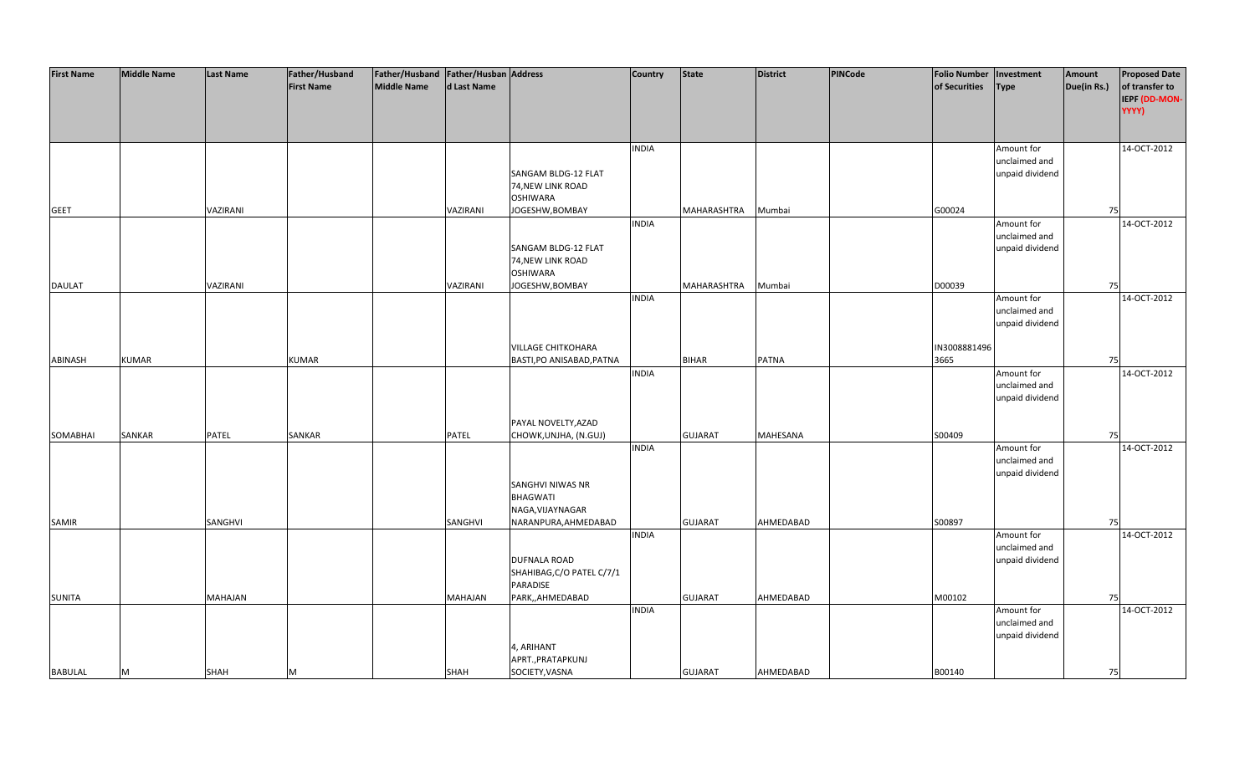| <b>First Name</b> | <b>Middle Name</b> | <b>Last Name</b> | Father/Husband    | Father/Husband Father/Husban Address |              |                                 | <b>Country</b> | <b>State</b>   | <b>District</b> | <b>PINCode</b> | <b>Folio Number</b> | Investment      | Amount      | <b>Proposed Date</b> |
|-------------------|--------------------|------------------|-------------------|--------------------------------------|--------------|---------------------------------|----------------|----------------|-----------------|----------------|---------------------|-----------------|-------------|----------------------|
|                   |                    |                  | <b>First Name</b> | <b>Middle Name</b>                   | d Last Name  |                                 |                |                |                 |                | of Securities       | <b>Type</b>     | Due(in Rs.) | of transfer to       |
|                   |                    |                  |                   |                                      |              |                                 |                |                |                 |                |                     |                 |             | IEPF (DD-MON-        |
|                   |                    |                  |                   |                                      |              |                                 |                |                |                 |                |                     |                 |             | YYYY)                |
|                   |                    |                  |                   |                                      |              |                                 |                |                |                 |                |                     |                 |             |                      |
|                   |                    |                  |                   |                                      |              |                                 |                |                |                 |                |                     |                 |             |                      |
|                   |                    |                  |                   |                                      |              |                                 | <b>INDIA</b>   |                |                 |                |                     | Amount for      |             | 14-OCT-2012          |
|                   |                    |                  |                   |                                      |              |                                 |                |                |                 |                |                     | unclaimed and   |             |                      |
|                   |                    |                  |                   |                                      |              | SANGAM BLDG-12 FLAT             |                |                |                 |                |                     | unpaid dividend |             |                      |
|                   |                    |                  |                   |                                      |              | 74, NEW LINK ROAD               |                |                |                 |                |                     |                 |             |                      |
|                   |                    |                  |                   |                                      |              | <b>OSHIWARA</b>                 |                |                |                 |                |                     |                 |             |                      |
| <b>GEET</b>       |                    | VAZIRANI         |                   |                                      | VAZIRANI     | JOGESHW, BOMBAY                 |                | MAHARASHTRA    | Mumbai          |                | G00024              |                 | 75          |                      |
|                   |                    |                  |                   |                                      |              |                                 | <b>INDIA</b>   |                |                 |                |                     | Amount for      |             | 14-OCT-2012          |
|                   |                    |                  |                   |                                      |              |                                 |                |                |                 |                |                     | unclaimed and   |             |                      |
|                   |                    |                  |                   |                                      |              | SANGAM BLDG-12 FLAT             |                |                |                 |                |                     | unpaid dividend |             |                      |
|                   |                    |                  |                   |                                      |              | 74, NEW LINK ROAD               |                |                |                 |                |                     |                 |             |                      |
|                   |                    |                  |                   |                                      |              | <b>OSHIWARA</b>                 |                |                |                 |                |                     |                 |             |                      |
| <b>DAULAT</b>     |                    | VAZIRANI         |                   |                                      | VAZIRANI     | JOGESHW, BOMBAY                 |                | MAHARASHTRA    | Mumbai          |                | D00039              |                 | 75          |                      |
|                   |                    |                  |                   |                                      |              |                                 | <b>INDIA</b>   |                |                 |                |                     | Amount for      |             | 14-OCT-2012          |
|                   |                    |                  |                   |                                      |              |                                 |                |                |                 |                |                     | unclaimed and   |             |                      |
|                   |                    |                  |                   |                                      |              |                                 |                |                |                 |                |                     | unpaid dividend |             |                      |
|                   |                    |                  |                   |                                      |              |                                 |                |                |                 |                |                     |                 |             |                      |
|                   |                    |                  |                   |                                      |              | <b>VILLAGE CHITKOHARA</b>       |                |                |                 |                | IN3008881496        |                 |             |                      |
| ABINASH           | <b>KUMAR</b>       |                  | <b>KUMAR</b>      |                                      |              | BASTI, PO ANISABAD, PATNA       |                | <b>BIHAR</b>   | <b>PATNA</b>    |                | 3665                |                 | 75          |                      |
|                   |                    |                  |                   |                                      |              |                                 | <b>INDIA</b>   |                |                 |                |                     | Amount for      |             | 14-OCT-2012          |
|                   |                    |                  |                   |                                      |              |                                 |                |                |                 |                |                     | unclaimed and   |             |                      |
|                   |                    |                  |                   |                                      |              |                                 |                |                |                 |                |                     | unpaid dividend |             |                      |
|                   |                    |                  |                   |                                      |              |                                 |                |                |                 |                |                     |                 |             |                      |
|                   |                    |                  |                   |                                      |              | PAYAL NOVELTY, AZAD             |                |                |                 |                |                     |                 |             |                      |
| SOMABHAI          | <b>SANKAR</b>      | <b>PATEL</b>     | SANKAR            |                                      | <b>PATEL</b> | CHOWK, UNJHA, (N.GUJ)           |                | <b>GUJARAT</b> | <b>MAHESANA</b> |                | S00409              |                 | 75          |                      |
|                   |                    |                  |                   |                                      |              |                                 | <b>INDIA</b>   |                |                 |                |                     | Amount for      |             | 14-OCT-2012          |
|                   |                    |                  |                   |                                      |              |                                 |                |                |                 |                |                     | unclaimed and   |             |                      |
|                   |                    |                  |                   |                                      |              |                                 |                |                |                 |                |                     | unpaid dividend |             |                      |
|                   |                    |                  |                   |                                      |              | SANGHVI NIWAS NR                |                |                |                 |                |                     |                 |             |                      |
|                   |                    |                  |                   |                                      |              | <b>BHAGWATI</b>                 |                |                |                 |                |                     |                 |             |                      |
|                   |                    |                  |                   |                                      |              | NAGA, VIJAYNAGAR                |                |                |                 |                |                     |                 |             |                      |
| SAMIR             |                    | SANGHVI          |                   |                                      | SANGHVI      | NARANPURA, AHMEDABAD            |                | <b>GUJARAT</b> | AHMEDABAD       |                | S00897              |                 | 75          |                      |
|                   |                    |                  |                   |                                      |              |                                 | <b>INDIA</b>   |                |                 |                |                     | Amount for      |             | 14-OCT-2012          |
|                   |                    |                  |                   |                                      |              |                                 |                |                |                 |                |                     | unclaimed and   |             |                      |
|                   |                    |                  |                   |                                      |              | <b>DUFNALA ROAD</b>             |                |                |                 |                |                     | unpaid dividend |             |                      |
|                   |                    |                  |                   |                                      |              | SHAHIBAG, C/O PATEL C/7/1       |                |                |                 |                |                     |                 |             |                      |
|                   |                    |                  |                   |                                      |              | PARADISE                        |                |                |                 |                |                     |                 |             |                      |
| <b>SUNITA</b>     |                    | <b>MAHAJAN</b>   |                   |                                      | MAHAJAN      | PARK,,AHMEDABAD                 |                | <b>GUJARAT</b> | AHMEDABAD       |                | M00102              |                 | 75          |                      |
|                   |                    |                  |                   |                                      |              |                                 | <b>INDIA</b>   |                |                 |                |                     | Amount for      |             | 14-OCT-2012          |
|                   |                    |                  |                   |                                      |              |                                 |                |                |                 |                |                     | unclaimed and   |             |                      |
|                   |                    |                  |                   |                                      |              |                                 |                |                |                 |                |                     | unpaid dividend |             |                      |
|                   |                    |                  |                   |                                      |              | 4, ARIHANT<br>APRT., PRATAPKUNJ |                |                |                 |                |                     |                 |             |                      |
| <b>BABULAL</b>    |                    |                  |                   |                                      | <b>SHAH</b>  | SOCIETY, VASNA                  |                | <b>GUJARAT</b> | AHMEDABAD       |                | B00140              |                 |             |                      |
|                   | M                  | <b>SHAH</b>      | м                 |                                      |              |                                 |                |                |                 |                |                     |                 | 75          |                      |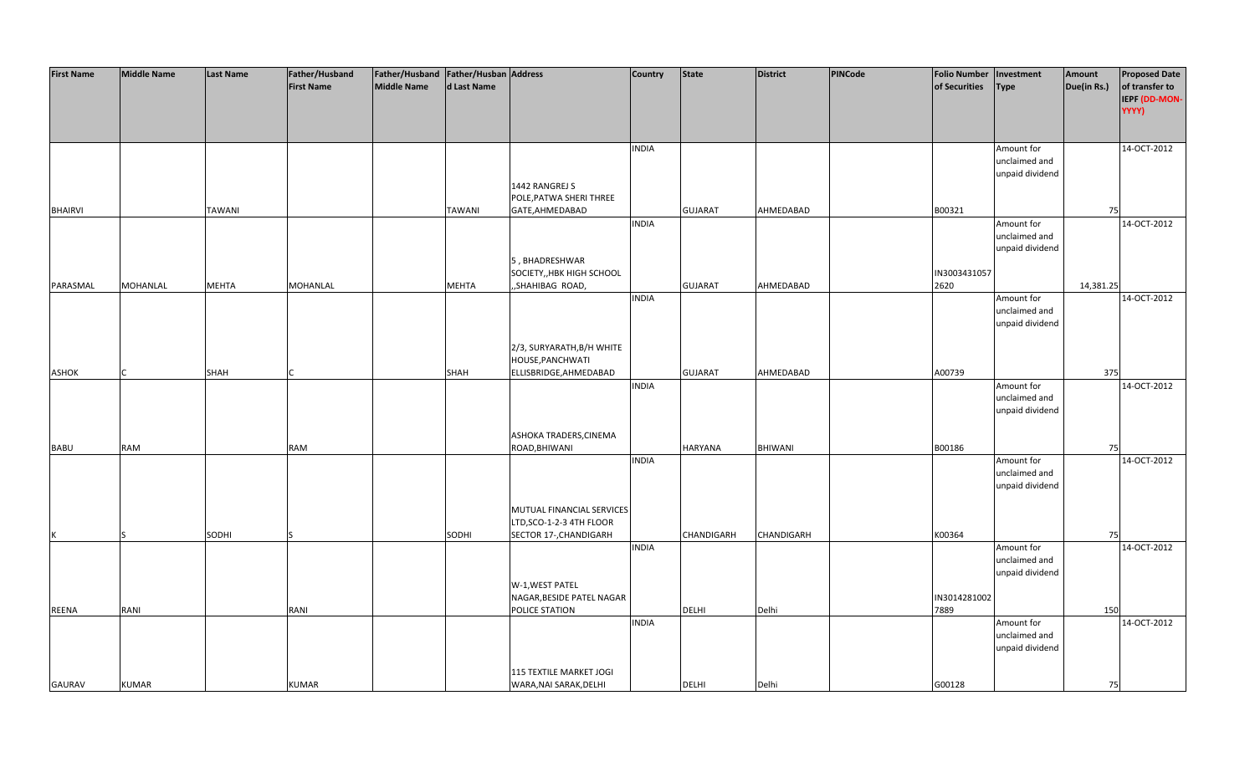| of transfer to<br><b>First Name</b><br><b>Middle Name</b><br>d Last Name<br>of Securities<br>Due(in Rs.)<br><b>Type</b><br>IEPF (DD-MON-<br>YYYY)<br>14-OCT-2012<br><b>INDIA</b><br>Amount for<br>unclaimed and<br>unpaid dividend<br>1442 RANGREJ S<br>POLE, PATWA SHERI THREE<br><b>BHAIRVI</b><br><b>TAWANI</b><br><b>TAWANI</b><br>GATE, AHMEDABAD<br><b>GUJARAT</b><br>AHMEDABAD<br>B00321<br>75<br><b>INDIA</b><br>Amount for<br>14-OCT-2012<br>unclaimed and<br>unpaid dividend<br>5, BHADRESHWAR<br>SOCIETY,, HBK HIGH SCHOOL<br>IN3003431057<br>"SHAHIBAG ROAD,<br>AHMEDABAD<br>2620<br>PARASMAL<br><b>MOHANLAL</b><br><b>MEHTA</b><br>MOHANLAL<br><b>MEHTA</b><br><b>GUJARAT</b><br>14,381.25<br>14-OCT-2012<br><b>INDIA</b><br>Amount for<br>unclaimed and<br>unpaid dividend<br>2/3, SURYARATH, B/H WHITE<br>HOUSE, PANCHWATI<br>ELLISBRIDGE, AHMEDABAD<br><b>GUJARAT</b><br>AHMEDABAD<br>A00739<br><b>ASHOK</b><br><b>SHAH</b><br><b>SHAH</b><br>375<br><b>INDIA</b><br>Amount for<br>14-OCT-2012<br>unclaimed and<br>unpaid dividend<br>ASHOKA TRADERS, CINEMA<br><b>RAM</b><br>ROAD, BHIWANI<br>HARYANA<br>BHIWANI<br>B00186<br><b>BABU</b><br>RAM<br>75<br>14-OCT-2012<br><b>INDIA</b><br>Amount for<br>unclaimed and<br>unpaid dividend<br>MUTUAL FINANCIAL SERVICES<br>LTD, SCO-1-2-3 4TH FLOOR<br>SODHI<br>SECTOR 17-, CHANDIGARH<br>CHANDIGARH<br><b>CHANDIGARH</b><br>K00364<br>SODHI<br>К<br>75<br>14-OCT-2012<br><b>INDIA</b><br>Amount for<br>unclaimed and<br>unpaid dividend<br>W-1, WEST PATEL<br>IN3014281002<br>NAGAR, BESIDE PATEL NAGAR<br>RANI<br>Delhi<br>7889<br><b>REENA</b><br>RANI<br>POLICE STATION<br><b>DELHI</b><br>150<br><b>INDIA</b><br>Amount for<br>14-OCT-2012<br>unclaimed and<br>unpaid dividend<br>115 TEXTILE MARKET JOGI<br><b>GAURAV</b><br><b>KUMAR</b><br><b>KUMAR</b><br>WARA, NAI SARAK, DELHI<br><b>DELHI</b><br>Delhi<br>G00128<br>75 | <b>First Name</b> | <b>Middle Name</b> | <b>Last Name</b> | Father/Husband | Father/Husband Father/Husban Address |  | <b>Country</b> | <b>State</b> | <b>District</b> | <b>PINCode</b> | <b>Folio Number</b> | Investment | Amount | <b>Proposed Date</b> |
|--------------------------------------------------------------------------------------------------------------------------------------------------------------------------------------------------------------------------------------------------------------------------------------------------------------------------------------------------------------------------------------------------------------------------------------------------------------------------------------------------------------------------------------------------------------------------------------------------------------------------------------------------------------------------------------------------------------------------------------------------------------------------------------------------------------------------------------------------------------------------------------------------------------------------------------------------------------------------------------------------------------------------------------------------------------------------------------------------------------------------------------------------------------------------------------------------------------------------------------------------------------------------------------------------------------------------------------------------------------------------------------------------------------------------------------------------------------------------------------------------------------------------------------------------------------------------------------------------------------------------------------------------------------------------------------------------------------------------------------------------------------------------------------------------------------------------------------------------------------------------------------------------|-------------------|--------------------|------------------|----------------|--------------------------------------|--|----------------|--------------|-----------------|----------------|---------------------|------------|--------|----------------------|
|                                                                                                                                                                                                                                                                                                                                                                                                                                                                                                                                                                                                                                                                                                                                                                                                                                                                                                                                                                                                                                                                                                                                                                                                                                                                                                                                                                                                                                                                                                                                                                                                                                                                                                                                                                                                                                                                                                  |                   |                    |                  |                |                                      |  |                |              |                 |                |                     |            |        |                      |
|                                                                                                                                                                                                                                                                                                                                                                                                                                                                                                                                                                                                                                                                                                                                                                                                                                                                                                                                                                                                                                                                                                                                                                                                                                                                                                                                                                                                                                                                                                                                                                                                                                                                                                                                                                                                                                                                                                  |                   |                    |                  |                |                                      |  |                |              |                 |                |                     |            |        |                      |
|                                                                                                                                                                                                                                                                                                                                                                                                                                                                                                                                                                                                                                                                                                                                                                                                                                                                                                                                                                                                                                                                                                                                                                                                                                                                                                                                                                                                                                                                                                                                                                                                                                                                                                                                                                                                                                                                                                  |                   |                    |                  |                |                                      |  |                |              |                 |                |                     |            |        |                      |
|                                                                                                                                                                                                                                                                                                                                                                                                                                                                                                                                                                                                                                                                                                                                                                                                                                                                                                                                                                                                                                                                                                                                                                                                                                                                                                                                                                                                                                                                                                                                                                                                                                                                                                                                                                                                                                                                                                  |                   |                    |                  |                |                                      |  |                |              |                 |                |                     |            |        |                      |
|                                                                                                                                                                                                                                                                                                                                                                                                                                                                                                                                                                                                                                                                                                                                                                                                                                                                                                                                                                                                                                                                                                                                                                                                                                                                                                                                                                                                                                                                                                                                                                                                                                                                                                                                                                                                                                                                                                  |                   |                    |                  |                |                                      |  |                |              |                 |                |                     |            |        |                      |
|                                                                                                                                                                                                                                                                                                                                                                                                                                                                                                                                                                                                                                                                                                                                                                                                                                                                                                                                                                                                                                                                                                                                                                                                                                                                                                                                                                                                                                                                                                                                                                                                                                                                                                                                                                                                                                                                                                  |                   |                    |                  |                |                                      |  |                |              |                 |                |                     |            |        |                      |
|                                                                                                                                                                                                                                                                                                                                                                                                                                                                                                                                                                                                                                                                                                                                                                                                                                                                                                                                                                                                                                                                                                                                                                                                                                                                                                                                                                                                                                                                                                                                                                                                                                                                                                                                                                                                                                                                                                  |                   |                    |                  |                |                                      |  |                |              |                 |                |                     |            |        |                      |
|                                                                                                                                                                                                                                                                                                                                                                                                                                                                                                                                                                                                                                                                                                                                                                                                                                                                                                                                                                                                                                                                                                                                                                                                                                                                                                                                                                                                                                                                                                                                                                                                                                                                                                                                                                                                                                                                                                  |                   |                    |                  |                |                                      |  |                |              |                 |                |                     |            |        |                      |
|                                                                                                                                                                                                                                                                                                                                                                                                                                                                                                                                                                                                                                                                                                                                                                                                                                                                                                                                                                                                                                                                                                                                                                                                                                                                                                                                                                                                                                                                                                                                                                                                                                                                                                                                                                                                                                                                                                  |                   |                    |                  |                |                                      |  |                |              |                 |                |                     |            |        |                      |
|                                                                                                                                                                                                                                                                                                                                                                                                                                                                                                                                                                                                                                                                                                                                                                                                                                                                                                                                                                                                                                                                                                                                                                                                                                                                                                                                                                                                                                                                                                                                                                                                                                                                                                                                                                                                                                                                                                  |                   |                    |                  |                |                                      |  |                |              |                 |                |                     |            |        |                      |
|                                                                                                                                                                                                                                                                                                                                                                                                                                                                                                                                                                                                                                                                                                                                                                                                                                                                                                                                                                                                                                                                                                                                                                                                                                                                                                                                                                                                                                                                                                                                                                                                                                                                                                                                                                                                                                                                                                  |                   |                    |                  |                |                                      |  |                |              |                 |                |                     |            |        |                      |
|                                                                                                                                                                                                                                                                                                                                                                                                                                                                                                                                                                                                                                                                                                                                                                                                                                                                                                                                                                                                                                                                                                                                                                                                                                                                                                                                                                                                                                                                                                                                                                                                                                                                                                                                                                                                                                                                                                  |                   |                    |                  |                |                                      |  |                |              |                 |                |                     |            |        |                      |
|                                                                                                                                                                                                                                                                                                                                                                                                                                                                                                                                                                                                                                                                                                                                                                                                                                                                                                                                                                                                                                                                                                                                                                                                                                                                                                                                                                                                                                                                                                                                                                                                                                                                                                                                                                                                                                                                                                  |                   |                    |                  |                |                                      |  |                |              |                 |                |                     |            |        |                      |
|                                                                                                                                                                                                                                                                                                                                                                                                                                                                                                                                                                                                                                                                                                                                                                                                                                                                                                                                                                                                                                                                                                                                                                                                                                                                                                                                                                                                                                                                                                                                                                                                                                                                                                                                                                                                                                                                                                  |                   |                    |                  |                |                                      |  |                |              |                 |                |                     |            |        |                      |
|                                                                                                                                                                                                                                                                                                                                                                                                                                                                                                                                                                                                                                                                                                                                                                                                                                                                                                                                                                                                                                                                                                                                                                                                                                                                                                                                                                                                                                                                                                                                                                                                                                                                                                                                                                                                                                                                                                  |                   |                    |                  |                |                                      |  |                |              |                 |                |                     |            |        |                      |
|                                                                                                                                                                                                                                                                                                                                                                                                                                                                                                                                                                                                                                                                                                                                                                                                                                                                                                                                                                                                                                                                                                                                                                                                                                                                                                                                                                                                                                                                                                                                                                                                                                                                                                                                                                                                                                                                                                  |                   |                    |                  |                |                                      |  |                |              |                 |                |                     |            |        |                      |
|                                                                                                                                                                                                                                                                                                                                                                                                                                                                                                                                                                                                                                                                                                                                                                                                                                                                                                                                                                                                                                                                                                                                                                                                                                                                                                                                                                                                                                                                                                                                                                                                                                                                                                                                                                                                                                                                                                  |                   |                    |                  |                |                                      |  |                |              |                 |                |                     |            |        |                      |
|                                                                                                                                                                                                                                                                                                                                                                                                                                                                                                                                                                                                                                                                                                                                                                                                                                                                                                                                                                                                                                                                                                                                                                                                                                                                                                                                                                                                                                                                                                                                                                                                                                                                                                                                                                                                                                                                                                  |                   |                    |                  |                |                                      |  |                |              |                 |                |                     |            |        |                      |
|                                                                                                                                                                                                                                                                                                                                                                                                                                                                                                                                                                                                                                                                                                                                                                                                                                                                                                                                                                                                                                                                                                                                                                                                                                                                                                                                                                                                                                                                                                                                                                                                                                                                                                                                                                                                                                                                                                  |                   |                    |                  |                |                                      |  |                |              |                 |                |                     |            |        |                      |
|                                                                                                                                                                                                                                                                                                                                                                                                                                                                                                                                                                                                                                                                                                                                                                                                                                                                                                                                                                                                                                                                                                                                                                                                                                                                                                                                                                                                                                                                                                                                                                                                                                                                                                                                                                                                                                                                                                  |                   |                    |                  |                |                                      |  |                |              |                 |                |                     |            |        |                      |
|                                                                                                                                                                                                                                                                                                                                                                                                                                                                                                                                                                                                                                                                                                                                                                                                                                                                                                                                                                                                                                                                                                                                                                                                                                                                                                                                                                                                                                                                                                                                                                                                                                                                                                                                                                                                                                                                                                  |                   |                    |                  |                |                                      |  |                |              |                 |                |                     |            |        |                      |
|                                                                                                                                                                                                                                                                                                                                                                                                                                                                                                                                                                                                                                                                                                                                                                                                                                                                                                                                                                                                                                                                                                                                                                                                                                                                                                                                                                                                                                                                                                                                                                                                                                                                                                                                                                                                                                                                                                  |                   |                    |                  |                |                                      |  |                |              |                 |                |                     |            |        |                      |
|                                                                                                                                                                                                                                                                                                                                                                                                                                                                                                                                                                                                                                                                                                                                                                                                                                                                                                                                                                                                                                                                                                                                                                                                                                                                                                                                                                                                                                                                                                                                                                                                                                                                                                                                                                                                                                                                                                  |                   |                    |                  |                |                                      |  |                |              |                 |                |                     |            |        |                      |
|                                                                                                                                                                                                                                                                                                                                                                                                                                                                                                                                                                                                                                                                                                                                                                                                                                                                                                                                                                                                                                                                                                                                                                                                                                                                                                                                                                                                                                                                                                                                                                                                                                                                                                                                                                                                                                                                                                  |                   |                    |                  |                |                                      |  |                |              |                 |                |                     |            |        |                      |
|                                                                                                                                                                                                                                                                                                                                                                                                                                                                                                                                                                                                                                                                                                                                                                                                                                                                                                                                                                                                                                                                                                                                                                                                                                                                                                                                                                                                                                                                                                                                                                                                                                                                                                                                                                                                                                                                                                  |                   |                    |                  |                |                                      |  |                |              |                 |                |                     |            |        |                      |
|                                                                                                                                                                                                                                                                                                                                                                                                                                                                                                                                                                                                                                                                                                                                                                                                                                                                                                                                                                                                                                                                                                                                                                                                                                                                                                                                                                                                                                                                                                                                                                                                                                                                                                                                                                                                                                                                                                  |                   |                    |                  |                |                                      |  |                |              |                 |                |                     |            |        |                      |
|                                                                                                                                                                                                                                                                                                                                                                                                                                                                                                                                                                                                                                                                                                                                                                                                                                                                                                                                                                                                                                                                                                                                                                                                                                                                                                                                                                                                                                                                                                                                                                                                                                                                                                                                                                                                                                                                                                  |                   |                    |                  |                |                                      |  |                |              |                 |                |                     |            |        |                      |
|                                                                                                                                                                                                                                                                                                                                                                                                                                                                                                                                                                                                                                                                                                                                                                                                                                                                                                                                                                                                                                                                                                                                                                                                                                                                                                                                                                                                                                                                                                                                                                                                                                                                                                                                                                                                                                                                                                  |                   |                    |                  |                |                                      |  |                |              |                 |                |                     |            |        |                      |
|                                                                                                                                                                                                                                                                                                                                                                                                                                                                                                                                                                                                                                                                                                                                                                                                                                                                                                                                                                                                                                                                                                                                                                                                                                                                                                                                                                                                                                                                                                                                                                                                                                                                                                                                                                                                                                                                                                  |                   |                    |                  |                |                                      |  |                |              |                 |                |                     |            |        |                      |
|                                                                                                                                                                                                                                                                                                                                                                                                                                                                                                                                                                                                                                                                                                                                                                                                                                                                                                                                                                                                                                                                                                                                                                                                                                                                                                                                                                                                                                                                                                                                                                                                                                                                                                                                                                                                                                                                                                  |                   |                    |                  |                |                                      |  |                |              |                 |                |                     |            |        |                      |
|                                                                                                                                                                                                                                                                                                                                                                                                                                                                                                                                                                                                                                                                                                                                                                                                                                                                                                                                                                                                                                                                                                                                                                                                                                                                                                                                                                                                                                                                                                                                                                                                                                                                                                                                                                                                                                                                                                  |                   |                    |                  |                |                                      |  |                |              |                 |                |                     |            |        |                      |
|                                                                                                                                                                                                                                                                                                                                                                                                                                                                                                                                                                                                                                                                                                                                                                                                                                                                                                                                                                                                                                                                                                                                                                                                                                                                                                                                                                                                                                                                                                                                                                                                                                                                                                                                                                                                                                                                                                  |                   |                    |                  |                |                                      |  |                |              |                 |                |                     |            |        |                      |
|                                                                                                                                                                                                                                                                                                                                                                                                                                                                                                                                                                                                                                                                                                                                                                                                                                                                                                                                                                                                                                                                                                                                                                                                                                                                                                                                                                                                                                                                                                                                                                                                                                                                                                                                                                                                                                                                                                  |                   |                    |                  |                |                                      |  |                |              |                 |                |                     |            |        |                      |
|                                                                                                                                                                                                                                                                                                                                                                                                                                                                                                                                                                                                                                                                                                                                                                                                                                                                                                                                                                                                                                                                                                                                                                                                                                                                                                                                                                                                                                                                                                                                                                                                                                                                                                                                                                                                                                                                                                  |                   |                    |                  |                |                                      |  |                |              |                 |                |                     |            |        |                      |
|                                                                                                                                                                                                                                                                                                                                                                                                                                                                                                                                                                                                                                                                                                                                                                                                                                                                                                                                                                                                                                                                                                                                                                                                                                                                                                                                                                                                                                                                                                                                                                                                                                                                                                                                                                                                                                                                                                  |                   |                    |                  |                |                                      |  |                |              |                 |                |                     |            |        |                      |
|                                                                                                                                                                                                                                                                                                                                                                                                                                                                                                                                                                                                                                                                                                                                                                                                                                                                                                                                                                                                                                                                                                                                                                                                                                                                                                                                                                                                                                                                                                                                                                                                                                                                                                                                                                                                                                                                                                  |                   |                    |                  |                |                                      |  |                |              |                 |                |                     |            |        |                      |
|                                                                                                                                                                                                                                                                                                                                                                                                                                                                                                                                                                                                                                                                                                                                                                                                                                                                                                                                                                                                                                                                                                                                                                                                                                                                                                                                                                                                                                                                                                                                                                                                                                                                                                                                                                                                                                                                                                  |                   |                    |                  |                |                                      |  |                |              |                 |                |                     |            |        |                      |
|                                                                                                                                                                                                                                                                                                                                                                                                                                                                                                                                                                                                                                                                                                                                                                                                                                                                                                                                                                                                                                                                                                                                                                                                                                                                                                                                                                                                                                                                                                                                                                                                                                                                                                                                                                                                                                                                                                  |                   |                    |                  |                |                                      |  |                |              |                 |                |                     |            |        |                      |
|                                                                                                                                                                                                                                                                                                                                                                                                                                                                                                                                                                                                                                                                                                                                                                                                                                                                                                                                                                                                                                                                                                                                                                                                                                                                                                                                                                                                                                                                                                                                                                                                                                                                                                                                                                                                                                                                                                  |                   |                    |                  |                |                                      |  |                |              |                 |                |                     |            |        |                      |
|                                                                                                                                                                                                                                                                                                                                                                                                                                                                                                                                                                                                                                                                                                                                                                                                                                                                                                                                                                                                                                                                                                                                                                                                                                                                                                                                                                                                                                                                                                                                                                                                                                                                                                                                                                                                                                                                                                  |                   |                    |                  |                |                                      |  |                |              |                 |                |                     |            |        |                      |
|                                                                                                                                                                                                                                                                                                                                                                                                                                                                                                                                                                                                                                                                                                                                                                                                                                                                                                                                                                                                                                                                                                                                                                                                                                                                                                                                                                                                                                                                                                                                                                                                                                                                                                                                                                                                                                                                                                  |                   |                    |                  |                |                                      |  |                |              |                 |                |                     |            |        |                      |
|                                                                                                                                                                                                                                                                                                                                                                                                                                                                                                                                                                                                                                                                                                                                                                                                                                                                                                                                                                                                                                                                                                                                                                                                                                                                                                                                                                                                                                                                                                                                                                                                                                                                                                                                                                                                                                                                                                  |                   |                    |                  |                |                                      |  |                |              |                 |                |                     |            |        |                      |
|                                                                                                                                                                                                                                                                                                                                                                                                                                                                                                                                                                                                                                                                                                                                                                                                                                                                                                                                                                                                                                                                                                                                                                                                                                                                                                                                                                                                                                                                                                                                                                                                                                                                                                                                                                                                                                                                                                  |                   |                    |                  |                |                                      |  |                |              |                 |                |                     |            |        |                      |
|                                                                                                                                                                                                                                                                                                                                                                                                                                                                                                                                                                                                                                                                                                                                                                                                                                                                                                                                                                                                                                                                                                                                                                                                                                                                                                                                                                                                                                                                                                                                                                                                                                                                                                                                                                                                                                                                                                  |                   |                    |                  |                |                                      |  |                |              |                 |                |                     |            |        |                      |
|                                                                                                                                                                                                                                                                                                                                                                                                                                                                                                                                                                                                                                                                                                                                                                                                                                                                                                                                                                                                                                                                                                                                                                                                                                                                                                                                                                                                                                                                                                                                                                                                                                                                                                                                                                                                                                                                                                  |                   |                    |                  |                |                                      |  |                |              |                 |                |                     |            |        |                      |
|                                                                                                                                                                                                                                                                                                                                                                                                                                                                                                                                                                                                                                                                                                                                                                                                                                                                                                                                                                                                                                                                                                                                                                                                                                                                                                                                                                                                                                                                                                                                                                                                                                                                                                                                                                                                                                                                                                  |                   |                    |                  |                |                                      |  |                |              |                 |                |                     |            |        |                      |
|                                                                                                                                                                                                                                                                                                                                                                                                                                                                                                                                                                                                                                                                                                                                                                                                                                                                                                                                                                                                                                                                                                                                                                                                                                                                                                                                                                                                                                                                                                                                                                                                                                                                                                                                                                                                                                                                                                  |                   |                    |                  |                |                                      |  |                |              |                 |                |                     |            |        |                      |
|                                                                                                                                                                                                                                                                                                                                                                                                                                                                                                                                                                                                                                                                                                                                                                                                                                                                                                                                                                                                                                                                                                                                                                                                                                                                                                                                                                                                                                                                                                                                                                                                                                                                                                                                                                                                                                                                                                  |                   |                    |                  |                |                                      |  |                |              |                 |                |                     |            |        |                      |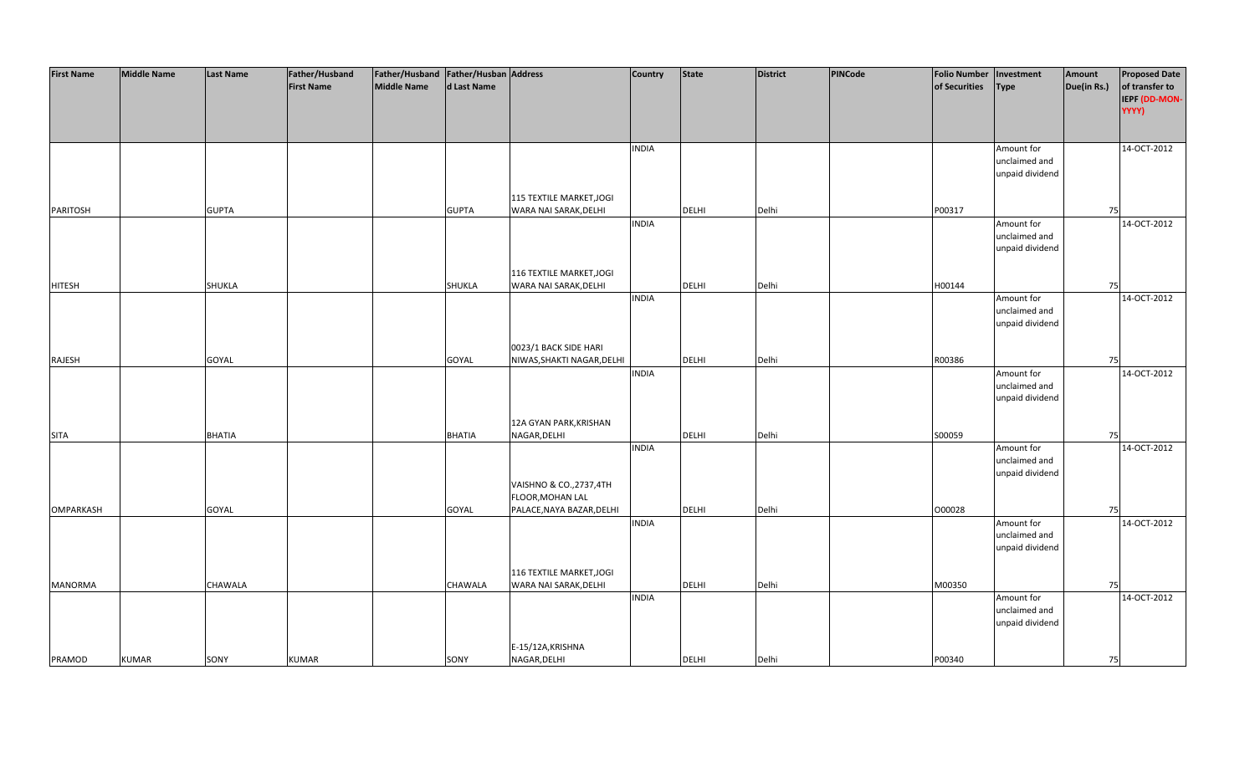| <b>First Name</b> | <b>Middle Name</b> | <b>Last Name</b> | Father/Husband    | Father/Husband   Father/Husban   Address |               |                            | <b>Country</b> | <b>State</b> | <b>District</b> | PINCode | <b>Folio Number</b> | Investment      | Amount      | <b>Proposed Date</b> |
|-------------------|--------------------|------------------|-------------------|------------------------------------------|---------------|----------------------------|----------------|--------------|-----------------|---------|---------------------|-----------------|-------------|----------------------|
|                   |                    |                  | <b>First Name</b> | <b>Middle Name</b>                       | d Last Name   |                            |                |              |                 |         | of Securities       | <b>Type</b>     | Due(in Rs.) | of transfer to       |
|                   |                    |                  |                   |                                          |               |                            |                |              |                 |         |                     |                 |             | IEPF (DD-MON-        |
|                   |                    |                  |                   |                                          |               |                            |                |              |                 |         |                     |                 |             | YYYY)                |
|                   |                    |                  |                   |                                          |               |                            |                |              |                 |         |                     |                 |             |                      |
|                   |                    |                  |                   |                                          |               |                            |                |              |                 |         |                     |                 |             |                      |
|                   |                    |                  |                   |                                          |               |                            | <b>INDIA</b>   |              |                 |         |                     | Amount for      |             | 14-OCT-2012          |
|                   |                    |                  |                   |                                          |               |                            |                |              |                 |         |                     | unclaimed and   |             |                      |
|                   |                    |                  |                   |                                          |               |                            |                |              |                 |         |                     | unpaid dividend |             |                      |
|                   |                    |                  |                   |                                          |               |                            |                |              |                 |         |                     |                 |             |                      |
|                   |                    |                  |                   |                                          |               | 115 TEXTILE MARKET, JOGI   |                |              |                 |         |                     |                 |             |                      |
| <b>PARITOSH</b>   |                    | <b>GUPTA</b>     |                   |                                          | <b>GUPTA</b>  | WARA NAI SARAK, DELHI      |                | <b>DELHI</b> | Delhi           |         | P00317              |                 | 75          |                      |
|                   |                    |                  |                   |                                          |               |                            | <b>INDIA</b>   |              |                 |         |                     | Amount for      |             | 14-OCT-2012          |
|                   |                    |                  |                   |                                          |               |                            |                |              |                 |         |                     | unclaimed and   |             |                      |
|                   |                    |                  |                   |                                          |               |                            |                |              |                 |         |                     | unpaid dividend |             |                      |
|                   |                    |                  |                   |                                          |               |                            |                |              |                 |         |                     |                 |             |                      |
|                   |                    |                  |                   |                                          |               | 116 TEXTILE MARKET, JOGI   |                |              |                 |         |                     |                 |             |                      |
| <b>HITESH</b>     |                    | <b>SHUKLA</b>    |                   |                                          | SHUKLA        | WARA NAI SARAK, DELHI      |                | <b>DELHI</b> | Delhi           |         | H00144              |                 | 75          |                      |
|                   |                    |                  |                   |                                          |               |                            | <b>INDIA</b>   |              |                 |         |                     | Amount for      |             | 14-OCT-2012          |
|                   |                    |                  |                   |                                          |               |                            |                |              |                 |         |                     | unclaimed and   |             |                      |
|                   |                    |                  |                   |                                          |               |                            |                |              |                 |         |                     | unpaid dividend |             |                      |
|                   |                    |                  |                   |                                          |               |                            |                |              |                 |         |                     |                 |             |                      |
|                   |                    |                  |                   |                                          |               | 0023/1 BACK SIDE HARI      |                |              |                 |         |                     |                 |             |                      |
| RAJESH            |                    | GOYAL            |                   |                                          | GOYAL         | NIWAS, SHAKTI NAGAR, DELHI |                | DELHI        | Delhi           |         | R00386              |                 | 75          |                      |
|                   |                    |                  |                   |                                          |               |                            | <b>INDIA</b>   |              |                 |         |                     | Amount for      |             | 14-OCT-2012          |
|                   |                    |                  |                   |                                          |               |                            |                |              |                 |         |                     | unclaimed and   |             |                      |
|                   |                    |                  |                   |                                          |               |                            |                |              |                 |         |                     | unpaid dividend |             |                      |
|                   |                    |                  |                   |                                          |               |                            |                |              |                 |         |                     |                 |             |                      |
|                   |                    |                  |                   |                                          |               | 12A GYAN PARK, KRISHAN     |                |              |                 |         |                     |                 |             |                      |
| <b>SITA</b>       |                    | <b>BHATIA</b>    |                   |                                          | <b>BHATIA</b> | NAGAR, DELHI               |                | <b>DELHI</b> | Delhi           |         | S00059              |                 | 75          |                      |
|                   |                    |                  |                   |                                          |               |                            | <b>INDIA</b>   |              |                 |         |                     | Amount for      |             | 14-OCT-2012          |
|                   |                    |                  |                   |                                          |               |                            |                |              |                 |         |                     | unclaimed and   |             |                      |
|                   |                    |                  |                   |                                          |               |                            |                |              |                 |         |                     | unpaid dividend |             |                      |
|                   |                    |                  |                   |                                          |               | VAISHNO & CO., 2737, 4TH   |                |              |                 |         |                     |                 |             |                      |
|                   |                    |                  |                   |                                          |               | FLOOR, MOHAN LAL           |                |              |                 |         |                     |                 |             |                      |
| <b>OMPARKASH</b>  |                    | GOYAL            |                   |                                          | GOYAL         | PALACE, NAYA BAZAR, DELHI  |                | DELHI        | Delhi           |         | 000028              |                 | 75          |                      |
|                   |                    |                  |                   |                                          |               |                            | <b>INDIA</b>   |              |                 |         |                     | Amount for      |             | 14-OCT-2012          |
|                   |                    |                  |                   |                                          |               |                            |                |              |                 |         |                     | unclaimed and   |             |                      |
|                   |                    |                  |                   |                                          |               |                            |                |              |                 |         |                     | unpaid dividend |             |                      |
|                   |                    |                  |                   |                                          |               |                            |                |              |                 |         |                     |                 |             |                      |
|                   |                    |                  |                   |                                          |               | 116 TEXTILE MARKET, JOGI   |                |              |                 |         |                     |                 |             |                      |
| <b>MANORMA</b>    |                    | <b>CHAWALA</b>   |                   |                                          | CHAWALA       | WARA NAI SARAK, DELHI      |                | <b>DELHI</b> | Delhi           |         | M00350              |                 | 75          |                      |
|                   |                    |                  |                   |                                          |               |                            | <b>INDIA</b>   |              |                 |         |                     | Amount for      |             | 14-OCT-2012          |
|                   |                    |                  |                   |                                          |               |                            |                |              |                 |         |                     | unclaimed and   |             |                      |
|                   |                    |                  |                   |                                          |               |                            |                |              |                 |         |                     | unpaid dividend |             |                      |
|                   |                    |                  |                   |                                          |               |                            |                |              |                 |         |                     |                 |             |                      |
|                   |                    |                  |                   |                                          |               | E-15/12A, KRISHNA          |                |              |                 |         |                     |                 |             |                      |
| PRAMOD            | <b>KUMAR</b>       | SONY             | <b>KUMAR</b>      |                                          | SONY          | NAGAR, DELHI               |                | <b>DELHI</b> | Delhi           |         | P00340              |                 | 75          |                      |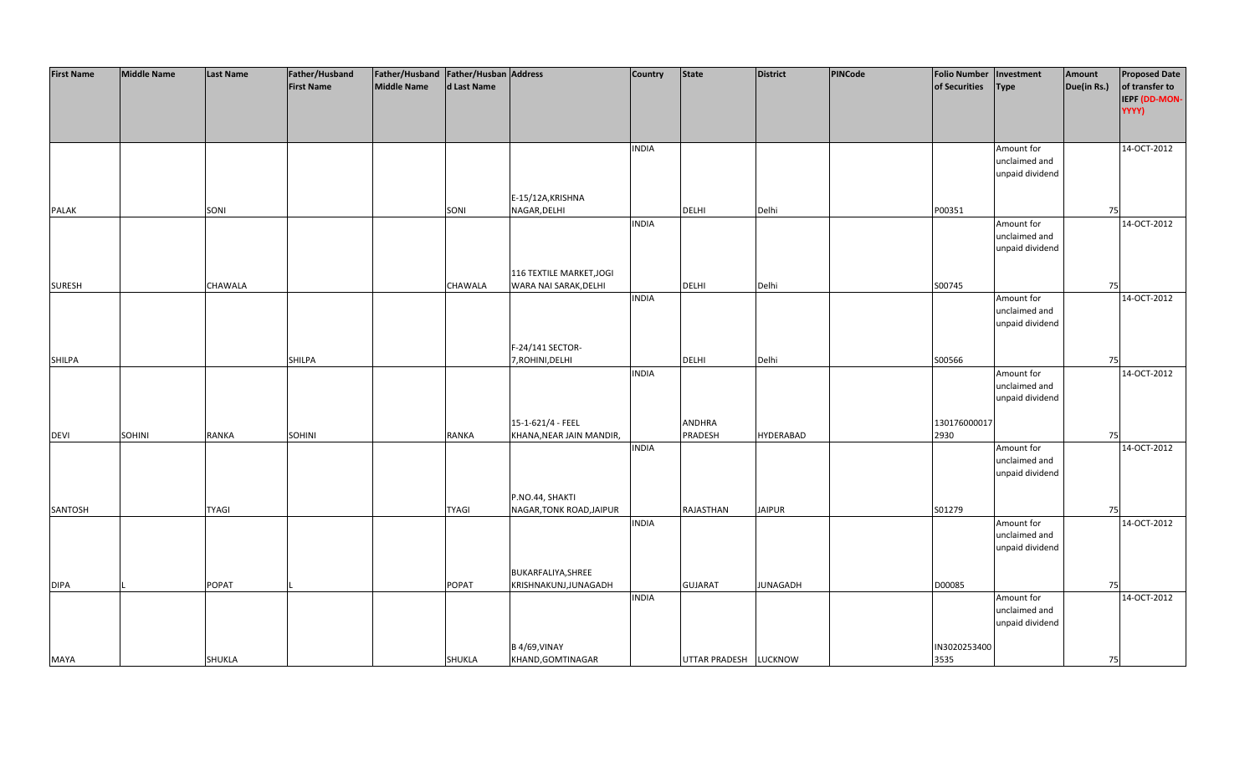| <b>First Name</b> | <b>Middle Name</b> | <b>Last Name</b> | Father/Husband    | Father/Husband Father/Husban Address |              |                          | Country      | <b>State</b>          | <b>District</b>  | PINCode | <b>Folio Number</b> | Investment      | Amount      | <b>Proposed Date</b> |
|-------------------|--------------------|------------------|-------------------|--------------------------------------|--------------|--------------------------|--------------|-----------------------|------------------|---------|---------------------|-----------------|-------------|----------------------|
|                   |                    |                  | <b>First Name</b> | <b>Middle Name</b>                   | d Last Name  |                          |              |                       |                  |         | of Securities       | <b>Type</b>     | Due(in Rs.) | of transfer to       |
|                   |                    |                  |                   |                                      |              |                          |              |                       |                  |         |                     |                 |             | IEPF (DD-MON-        |
|                   |                    |                  |                   |                                      |              |                          |              |                       |                  |         |                     |                 |             | YYYY)                |
|                   |                    |                  |                   |                                      |              |                          |              |                       |                  |         |                     |                 |             |                      |
|                   |                    |                  |                   |                                      |              |                          |              |                       |                  |         |                     |                 |             |                      |
|                   |                    |                  |                   |                                      |              |                          |              |                       |                  |         |                     |                 |             |                      |
|                   |                    |                  |                   |                                      |              |                          | <b>INDIA</b> |                       |                  |         |                     | Amount for      |             | 14-OCT-2012          |
|                   |                    |                  |                   |                                      |              |                          |              |                       |                  |         |                     | unclaimed and   |             |                      |
|                   |                    |                  |                   |                                      |              |                          |              |                       |                  |         |                     | unpaid dividend |             |                      |
|                   |                    |                  |                   |                                      |              |                          |              |                       |                  |         |                     |                 |             |                      |
|                   |                    |                  |                   |                                      |              | E-15/12A, KRISHNA        |              |                       |                  |         |                     |                 |             |                      |
| PALAK             |                    | SONI             |                   |                                      | SONI         | NAGAR, DELHI             |              | <b>DELHI</b>          | Delhi            |         | P00351              |                 | 75          |                      |
|                   |                    |                  |                   |                                      |              |                          | <b>INDIA</b> |                       |                  |         |                     | Amount for      |             | 14-OCT-2012          |
|                   |                    |                  |                   |                                      |              |                          |              |                       |                  |         |                     | unclaimed and   |             |                      |
|                   |                    |                  |                   |                                      |              |                          |              |                       |                  |         |                     | unpaid dividend |             |                      |
|                   |                    |                  |                   |                                      |              |                          |              |                       |                  |         |                     |                 |             |                      |
|                   |                    |                  |                   |                                      |              | 116 TEXTILE MARKET, JOGI |              |                       |                  |         |                     |                 |             |                      |
| <b>SURESH</b>     |                    | CHAWALA          |                   |                                      | CHAWALA      | WARA NAI SARAK, DELHI    |              | <b>DELHI</b>          | Delhi            |         | S00745              |                 | 75          |                      |
|                   |                    |                  |                   |                                      |              |                          | <b>INDIA</b> |                       |                  |         |                     | Amount for      |             | 14-OCT-2012          |
|                   |                    |                  |                   |                                      |              |                          |              |                       |                  |         |                     | unclaimed and   |             |                      |
|                   |                    |                  |                   |                                      |              |                          |              |                       |                  |         |                     | unpaid dividend |             |                      |
|                   |                    |                  |                   |                                      |              |                          |              |                       |                  |         |                     |                 |             |                      |
|                   |                    |                  |                   |                                      |              | F-24/141 SECTOR-         |              |                       |                  |         |                     |                 |             |                      |
| <b>SHILPA</b>     |                    |                  | SHILPA            |                                      |              | 7, ROHINI, DELHI         |              | <b>DELHI</b>          | Delhi            |         | S00566              |                 | 75          |                      |
|                   |                    |                  |                   |                                      |              |                          | <b>INDIA</b> |                       |                  |         |                     | Amount for      |             | 14-OCT-2012          |
|                   |                    |                  |                   |                                      |              |                          |              |                       |                  |         |                     | unclaimed and   |             |                      |
|                   |                    |                  |                   |                                      |              |                          |              |                       |                  |         |                     | unpaid dividend |             |                      |
|                   |                    |                  |                   |                                      |              |                          |              |                       |                  |         |                     |                 |             |                      |
|                   |                    |                  |                   |                                      |              | 15-1-621/4 - FEEL        |              | ANDHRA                |                  |         | 130176000017        |                 |             |                      |
|                   | SOHINI             |                  |                   |                                      |              |                          |              | PRADESH               |                  |         | 2930                |                 |             |                      |
| <b>DEVI</b>       |                    | RANKA            | <b>SOHINI</b>     |                                      | RANKA        | KHANA, NEAR JAIN MANDIR, | <b>INDIA</b> |                       | <b>HYDERABAD</b> |         |                     |                 | 75          | 14-OCT-2012          |
|                   |                    |                  |                   |                                      |              |                          |              |                       |                  |         |                     | Amount for      |             |                      |
|                   |                    |                  |                   |                                      |              |                          |              |                       |                  |         |                     | unclaimed and   |             |                      |
|                   |                    |                  |                   |                                      |              |                          |              |                       |                  |         |                     | unpaid dividend |             |                      |
|                   |                    |                  |                   |                                      |              |                          |              |                       |                  |         |                     |                 |             |                      |
|                   |                    |                  |                   |                                      |              | P.NO.44, SHAKTI          |              |                       |                  |         |                     |                 |             |                      |
| SANTOSH           |                    | <b>TYAGI</b>     |                   |                                      | <b>TYAGI</b> | NAGAR, TONK ROAD, JAIPUR |              | RAJASTHAN             | <b>JAIPUR</b>    |         | S01279              |                 | 75          |                      |
|                   |                    |                  |                   |                                      |              |                          | <b>INDIA</b> |                       |                  |         |                     | Amount for      |             | 14-OCT-2012          |
|                   |                    |                  |                   |                                      |              |                          |              |                       |                  |         |                     | unclaimed and   |             |                      |
|                   |                    |                  |                   |                                      |              |                          |              |                       |                  |         |                     | unpaid dividend |             |                      |
|                   |                    |                  |                   |                                      |              |                          |              |                       |                  |         |                     |                 |             |                      |
|                   |                    |                  |                   |                                      |              | BUKARFALIYA, SHREE       |              |                       |                  |         |                     |                 |             |                      |
| <b>DIPA</b>       |                    | POPAT            |                   |                                      | <b>POPAT</b> | KRISHNAKUNJ, JUNAGADH    |              | <b>GUJARAT</b>        | <b>JUNAGADH</b>  |         | D00085              |                 | 75          |                      |
|                   |                    |                  |                   |                                      |              |                          | <b>INDIA</b> |                       |                  |         |                     | Amount for      |             | 14-OCT-2012          |
|                   |                    |                  |                   |                                      |              |                          |              |                       |                  |         |                     | unclaimed and   |             |                      |
|                   |                    |                  |                   |                                      |              |                          |              |                       |                  |         |                     | unpaid dividend |             |                      |
|                   |                    |                  |                   |                                      |              |                          |              |                       |                  |         |                     |                 |             |                      |
|                   |                    |                  |                   |                                      |              | <b>B4/69, VINAY</b>      |              |                       |                  |         | IN3020253400        |                 |             |                      |
| <b>MAYA</b>       |                    | SHUKLA           |                   |                                      | SHUKLA       | KHAND, GOMTINAGAR        |              | UTTAR PRADESH LUCKNOW |                  |         | 3535                |                 | 75          |                      |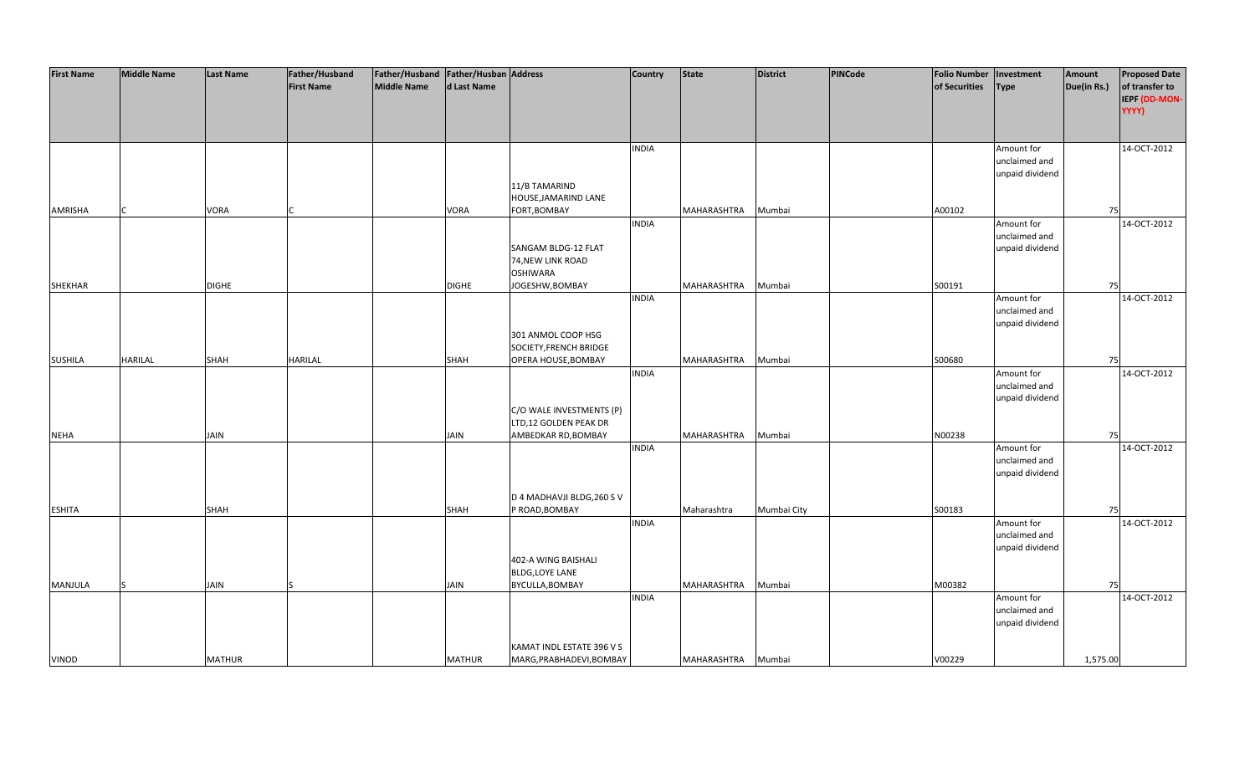| <b>First Name</b> | <b>Middle Name</b> | <b>Last Name</b> | Father/Husband    | Father/Husband Father/Husban Address |               |                            | <b>Country</b> | <b>State</b> | <b>District</b> | PINCode | <b>Folio Number</b> | Investment      | Amount      | <b>Proposed Date</b> |
|-------------------|--------------------|------------------|-------------------|--------------------------------------|---------------|----------------------------|----------------|--------------|-----------------|---------|---------------------|-----------------|-------------|----------------------|
|                   |                    |                  | <b>First Name</b> | <b>Middle Name</b>                   | d Last Name   |                            |                |              |                 |         | of Securities       | <b>Type</b>     | Due(in Rs.) | of transfer to       |
|                   |                    |                  |                   |                                      |               |                            |                |              |                 |         |                     |                 |             | IEPF (DD-MON-        |
|                   |                    |                  |                   |                                      |               |                            |                |              |                 |         |                     |                 |             | YYYY)                |
|                   |                    |                  |                   |                                      |               |                            |                |              |                 |         |                     |                 |             |                      |
|                   |                    |                  |                   |                                      |               |                            |                |              |                 |         |                     |                 |             |                      |
|                   |                    |                  |                   |                                      |               |                            |                |              |                 |         |                     |                 |             |                      |
|                   |                    |                  |                   |                                      |               |                            | <b>INDIA</b>   |              |                 |         |                     | Amount for      |             | 14-OCT-2012          |
|                   |                    |                  |                   |                                      |               |                            |                |              |                 |         |                     | unclaimed and   |             |                      |
|                   |                    |                  |                   |                                      |               |                            |                |              |                 |         |                     | unpaid dividend |             |                      |
|                   |                    |                  |                   |                                      |               | 11/B TAMARIND              |                |              |                 |         |                     |                 |             |                      |
|                   |                    |                  |                   |                                      |               | HOUSE, JAMARIND LANE       |                |              |                 |         |                     |                 |             |                      |
| AMRISHA           |                    | <b>VORA</b>      |                   |                                      | VORA          | FORT, BOMBAY               |                | MAHARASHTRA  | Mumbai          |         | A00102              |                 | 75          |                      |
|                   |                    |                  |                   |                                      |               |                            | <b>INDIA</b>   |              |                 |         |                     | Amount for      |             | 14-OCT-2012          |
|                   |                    |                  |                   |                                      |               |                            |                |              |                 |         |                     | unclaimed and   |             |                      |
|                   |                    |                  |                   |                                      |               | SANGAM BLDG-12 FLAT        |                |              |                 |         |                     | unpaid dividend |             |                      |
|                   |                    |                  |                   |                                      |               | 74, NEW LINK ROAD          |                |              |                 |         |                     |                 |             |                      |
|                   |                    |                  |                   |                                      |               | <b>OSHIWARA</b>            |                |              |                 |         |                     |                 |             |                      |
| <b>SHEKHAR</b>    |                    | <b>DIGHE</b>     |                   |                                      | <b>DIGHE</b>  | JOGESHW, BOMBAY            |                | MAHARASHTRA  | Mumbai          |         | S00191              |                 | 75          |                      |
|                   |                    |                  |                   |                                      |               |                            | <b>INDIA</b>   |              |                 |         |                     | Amount for      |             | 14-OCT-2012          |
|                   |                    |                  |                   |                                      |               |                            |                |              |                 |         |                     | unclaimed and   |             |                      |
|                   |                    |                  |                   |                                      |               |                            |                |              |                 |         |                     | unpaid dividend |             |                      |
|                   |                    |                  |                   |                                      |               | 301 ANMOL COOP HSG         |                |              |                 |         |                     |                 |             |                      |
|                   |                    |                  |                   |                                      |               | SOCIETY, FRENCH BRIDGE     |                |              |                 |         |                     |                 |             |                      |
| <b>SUSHILA</b>    | <b>HARILAL</b>     | SHAH             | <b>HARILAL</b>    |                                      | <b>SHAH</b>   | OPERA HOUSE, BOMBAY        |                | MAHARASHTRA  | Mumbai          |         | S00680              |                 | 75          |                      |
|                   |                    |                  |                   |                                      |               |                            | <b>INDIA</b>   |              |                 |         |                     | Amount for      |             | 14-OCT-2012          |
|                   |                    |                  |                   |                                      |               |                            |                |              |                 |         |                     | unclaimed and   |             |                      |
|                   |                    |                  |                   |                                      |               |                            |                |              |                 |         |                     | unpaid dividend |             |                      |
|                   |                    |                  |                   |                                      |               | C/O WALE INVESTMENTS (P)   |                |              |                 |         |                     |                 |             |                      |
|                   |                    |                  |                   |                                      |               | LTD,12 GOLDEN PEAK DR      |                |              |                 |         |                     |                 |             |                      |
| <b>NEHA</b>       |                    | <b>JAIN</b>      |                   |                                      | <b>JAIN</b>   | AMBEDKAR RD, BOMBAY        |                | MAHARASHTRA  | Mumbai          |         | N00238              |                 | 75          |                      |
|                   |                    |                  |                   |                                      |               |                            | <b>INDIA</b>   |              |                 |         |                     | Amount for      |             | 14-OCT-2012          |
|                   |                    |                  |                   |                                      |               |                            |                |              |                 |         |                     | unclaimed and   |             |                      |
|                   |                    |                  |                   |                                      |               |                            |                |              |                 |         |                     |                 |             |                      |
|                   |                    |                  |                   |                                      |               |                            |                |              |                 |         |                     | unpaid dividend |             |                      |
|                   |                    |                  |                   |                                      |               | D 4 MADHAVJI BLDG, 260 S V |                |              |                 |         |                     |                 |             |                      |
|                   |                    |                  |                   |                                      |               |                            |                |              |                 |         |                     |                 |             |                      |
| <b>ESHITA</b>     |                    | <b>SHAH</b>      |                   |                                      | <b>SHAH</b>   | P ROAD, BOMBAY             |                | Maharashtra  | Mumbai City     |         | S00183              |                 | 75          |                      |
|                   |                    |                  |                   |                                      |               |                            | <b>INDIA</b>   |              |                 |         |                     | Amount for      |             | 14-OCT-2012          |
|                   |                    |                  |                   |                                      |               |                            |                |              |                 |         |                     | unclaimed and   |             |                      |
|                   |                    |                  |                   |                                      |               |                            |                |              |                 |         |                     | unpaid dividend |             |                      |
|                   |                    |                  |                   |                                      |               | 402-A WING BAISHALI        |                |              |                 |         |                     |                 |             |                      |
|                   |                    |                  |                   |                                      |               | <b>BLDG,LOYE LANE</b>      |                |              |                 |         |                     |                 |             |                      |
| MANJULA           |                    | <b>JAIN</b>      |                   |                                      | <b>JAIN</b>   | BYCULLA, BOMBAY            |                | MAHARASHTRA  | Mumbai          |         | M00382              |                 | 75          |                      |
|                   |                    |                  |                   |                                      |               |                            | <b>INDIA</b>   |              |                 |         |                     | Amount for      |             | 14-OCT-2012          |
|                   |                    |                  |                   |                                      |               |                            |                |              |                 |         |                     | unclaimed and   |             |                      |
|                   |                    |                  |                   |                                      |               |                            |                |              |                 |         |                     | unpaid dividend |             |                      |
|                   |                    |                  |                   |                                      |               |                            |                |              |                 |         |                     |                 |             |                      |
|                   |                    |                  |                   |                                      |               | KAMAT INDL ESTATE 396 V S  |                |              |                 |         |                     |                 |             |                      |
| VINOD             |                    | <b>MATHUR</b>    |                   |                                      | <b>MATHUR</b> | MARG, PRABHADEVI, BOMBAY   |                | MAHARASHTRA  | Mumbai          |         | V00229              |                 | 1,575.00    |                      |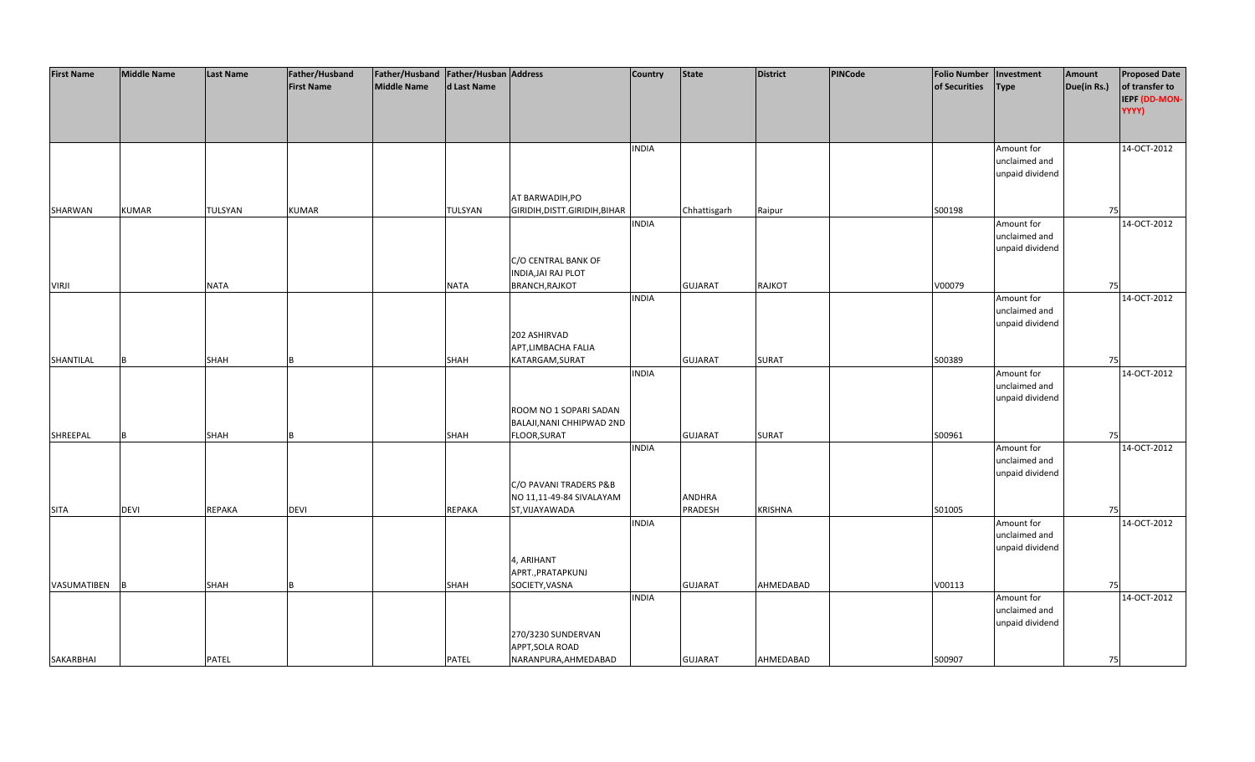| <b>First Name</b> | <b>Middle Name</b> | <b>Last Name</b> | Father/Husband    | Father/Husband   Father/Husban   Address |              |                                | <b>Country</b> | <b>State</b>   | <b>District</b> | PINCode | <b>Folio Number</b> | Investment      | Amount      | <b>Proposed Date</b> |
|-------------------|--------------------|------------------|-------------------|------------------------------------------|--------------|--------------------------------|----------------|----------------|-----------------|---------|---------------------|-----------------|-------------|----------------------|
|                   |                    |                  | <b>First Name</b> | <b>Middle Name</b>                       | d Last Name  |                                |                |                |                 |         | of Securities       | <b>Type</b>     | Due(in Rs.) | of transfer to       |
|                   |                    |                  |                   |                                          |              |                                |                |                |                 |         |                     |                 |             | IEPF (DD-MON-        |
|                   |                    |                  |                   |                                          |              |                                |                |                |                 |         |                     |                 |             |                      |
|                   |                    |                  |                   |                                          |              |                                |                |                |                 |         |                     |                 |             | YYYY)                |
|                   |                    |                  |                   |                                          |              |                                |                |                |                 |         |                     |                 |             |                      |
|                   |                    |                  |                   |                                          |              |                                |                |                |                 |         |                     |                 |             |                      |
|                   |                    |                  |                   |                                          |              |                                | <b>INDIA</b>   |                |                 |         |                     | Amount for      |             | 14-OCT-2012          |
|                   |                    |                  |                   |                                          |              |                                |                |                |                 |         |                     | unclaimed and   |             |                      |
|                   |                    |                  |                   |                                          |              |                                |                |                |                 |         |                     | unpaid dividend |             |                      |
|                   |                    |                  |                   |                                          |              |                                |                |                |                 |         |                     |                 |             |                      |
|                   |                    |                  |                   |                                          |              | AT BARWADIH, PO                |                |                |                 |         |                     |                 |             |                      |
| SHARWAN           | <b>KUMAR</b>       | TULSYAN          | <b>KUMAR</b>      |                                          | TULSYAN      | GIRIDIH, DISTT. GIRIDIH, BIHAR |                | Chhattisgarh   | Raipur          |         | S00198              |                 | 75          |                      |
|                   |                    |                  |                   |                                          |              |                                | <b>INDIA</b>   |                |                 |         |                     | Amount for      |             | 14-OCT-2012          |
|                   |                    |                  |                   |                                          |              |                                |                |                |                 |         |                     | unclaimed and   |             |                      |
|                   |                    |                  |                   |                                          |              |                                |                |                |                 |         |                     | unpaid dividend |             |                      |
|                   |                    |                  |                   |                                          |              | C/O CENTRAL BANK OF            |                |                |                 |         |                     |                 |             |                      |
|                   |                    |                  |                   |                                          |              | INDIA, JAI RAJ PLOT            |                |                |                 |         |                     |                 |             |                      |
| <b>VIRJI</b>      |                    | <b>NATA</b>      |                   |                                          | <b>NATA</b>  | <b>BRANCH, RAJKOT</b>          |                | <b>GUJARAT</b> | <b>RAJKOT</b>   |         | V00079              |                 | 75          |                      |
|                   |                    |                  |                   |                                          |              |                                | <b>INDIA</b>   |                |                 |         |                     | Amount for      |             | 14-OCT-2012          |
|                   |                    |                  |                   |                                          |              |                                |                |                |                 |         |                     |                 |             |                      |
|                   |                    |                  |                   |                                          |              |                                |                |                |                 |         |                     | unclaimed and   |             |                      |
|                   |                    |                  |                   |                                          |              |                                |                |                |                 |         |                     | unpaid dividend |             |                      |
|                   |                    |                  |                   |                                          |              | 202 ASHIRVAD                   |                |                |                 |         |                     |                 |             |                      |
|                   |                    |                  |                   |                                          |              | APT, LIMBACHA FALIA            |                |                |                 |         |                     |                 |             |                      |
| SHANTILAL         | R                  | <b>SHAH</b>      |                   |                                          | <b>SHAH</b>  | KATARGAM, SURAT                |                | <b>GUJARAT</b> | <b>SURAT</b>    |         | S00389              |                 | 75          |                      |
|                   |                    |                  |                   |                                          |              |                                | <b>INDIA</b>   |                |                 |         |                     | Amount for      |             | 14-OCT-2012          |
|                   |                    |                  |                   |                                          |              |                                |                |                |                 |         |                     | unclaimed and   |             |                      |
|                   |                    |                  |                   |                                          |              |                                |                |                |                 |         |                     | unpaid dividend |             |                      |
|                   |                    |                  |                   |                                          |              | ROOM NO 1 SOPARI SADAN         |                |                |                 |         |                     |                 |             |                      |
|                   |                    |                  |                   |                                          |              | BALAJI, NANI CHHIPWAD 2ND      |                |                |                 |         |                     |                 |             |                      |
| SHREEPAL          |                    | <b>SHAH</b>      |                   |                                          | <b>SHAH</b>  | FLOOR, SURAT                   |                | <b>GUJARAT</b> | SURAT           |         | S00961              |                 | 75          |                      |
|                   |                    |                  |                   |                                          |              |                                | <b>INDIA</b>   |                |                 |         |                     | Amount for      |             | 14-OCT-2012          |
|                   |                    |                  |                   |                                          |              |                                |                |                |                 |         |                     | unclaimed and   |             |                      |
|                   |                    |                  |                   |                                          |              |                                |                |                |                 |         |                     | unpaid dividend |             |                      |
|                   |                    |                  |                   |                                          |              | C/O PAVANI TRADERS P&B         |                |                |                 |         |                     |                 |             |                      |
|                   |                    |                  |                   |                                          |              | NO 11,11-49-84 SIVALAYAM       |                | ANDHRA         |                 |         |                     |                 |             |                      |
| <b>SITA</b>       | <b>DEVI</b>        | REPAKA           | <b>DEVI</b>       |                                          | REPAKA       | ST, VIJAYAWADA                 |                | PRADESH        | <b>KRISHNA</b>  |         | S01005              |                 | 75          |                      |
|                   |                    |                  |                   |                                          |              |                                | <b>INDIA</b>   |                |                 |         |                     | Amount for      |             | 14-OCT-2012          |
|                   |                    |                  |                   |                                          |              |                                |                |                |                 |         |                     | unclaimed and   |             |                      |
|                   |                    |                  |                   |                                          |              |                                |                |                |                 |         |                     | unpaid dividend |             |                      |
|                   |                    |                  |                   |                                          |              | 4, ARIHANT                     |                |                |                 |         |                     |                 |             |                      |
|                   |                    |                  |                   |                                          |              | APRT., PRATAPKUNJ              |                |                |                 |         |                     |                 |             |                      |
|                   |                    |                  |                   |                                          |              |                                |                |                |                 |         |                     |                 |             |                      |
| VASUMATIBEN       | <b>B</b>           | SHAH             |                   |                                          | <b>SHAH</b>  | SOCIETY, VASNA                 |                | <b>GUJARAT</b> | AHMEDABAD       |         | V00113              |                 | 75          |                      |
|                   |                    |                  |                   |                                          |              |                                | <b>INDIA</b>   |                |                 |         |                     | Amount for      |             | 14-OCT-2012          |
|                   |                    |                  |                   |                                          |              |                                |                |                |                 |         |                     | unclaimed and   |             |                      |
|                   |                    |                  |                   |                                          |              |                                |                |                |                 |         |                     | unpaid dividend |             |                      |
|                   |                    |                  |                   |                                          |              | 270/3230 SUNDERVAN             |                |                |                 |         |                     |                 |             |                      |
|                   |                    |                  |                   |                                          |              | APPT, SOLA ROAD                |                |                |                 |         |                     |                 |             |                      |
| SAKARBHAI         |                    | <b>PATEL</b>     |                   |                                          | <b>PATEL</b> | NARANPURA, AHMEDABAD           |                | <b>GUJARAT</b> | AHMEDABAD       |         | S00907              |                 | 75          |                      |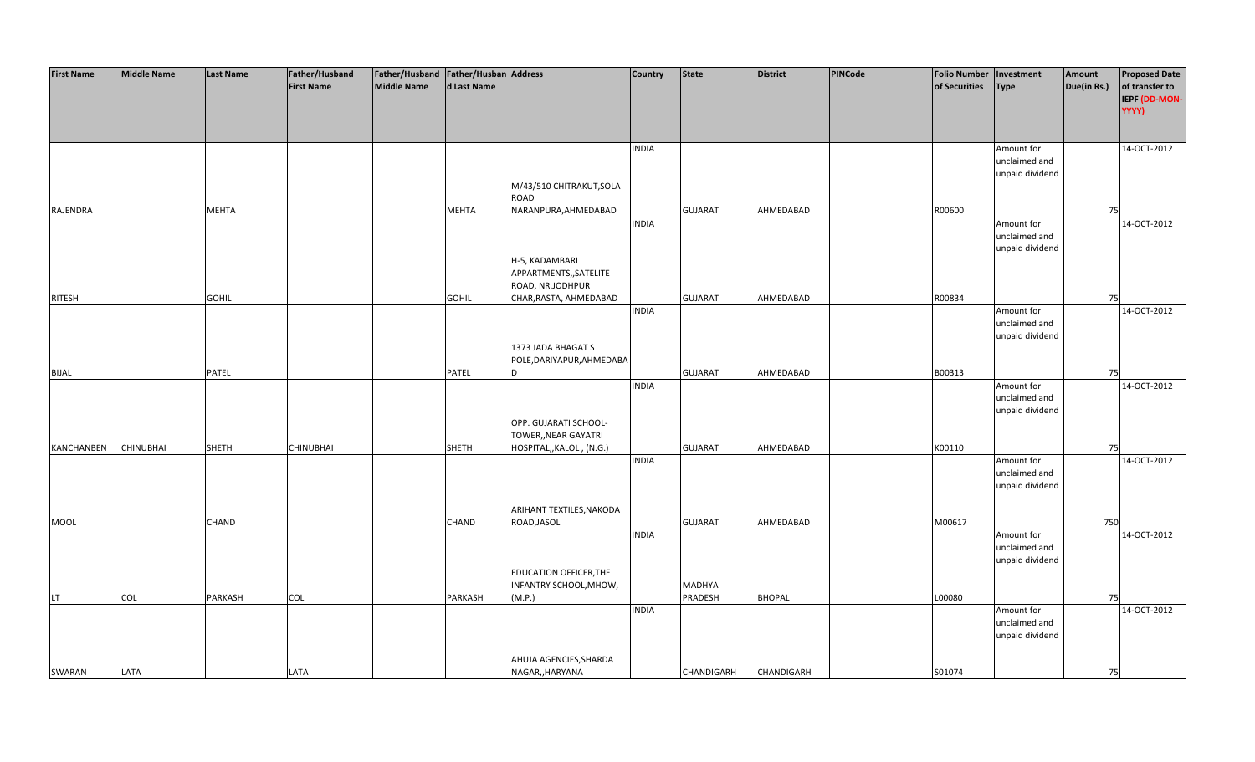| <b>First Name</b> | <b>Middle Name</b> | <b>Last Name</b> | Father/Husband    | Father/Husband   Father/Husban   Address |              |                               | <b>Country</b> | <b>State</b>   | <b>District</b>   | PINCode | <b>Folio Number</b> | Investment      | Amount      | <b>Proposed Date</b> |
|-------------------|--------------------|------------------|-------------------|------------------------------------------|--------------|-------------------------------|----------------|----------------|-------------------|---------|---------------------|-----------------|-------------|----------------------|
|                   |                    |                  | <b>First Name</b> | Middle Name                              | d Last Name  |                               |                |                |                   |         | of Securities       | <b>Type</b>     | Due(in Rs.) | of transfer to       |
|                   |                    |                  |                   |                                          |              |                               |                |                |                   |         |                     |                 |             | IEPF (DD-MON-        |
|                   |                    |                  |                   |                                          |              |                               |                |                |                   |         |                     |                 |             | YYYY)                |
|                   |                    |                  |                   |                                          |              |                               |                |                |                   |         |                     |                 |             |                      |
|                   |                    |                  |                   |                                          |              |                               |                |                |                   |         |                     |                 |             |                      |
|                   |                    |                  |                   |                                          |              |                               | <b>INDIA</b>   |                |                   |         |                     | Amount for      |             | 14-OCT-2012          |
|                   |                    |                  |                   |                                          |              |                               |                |                |                   |         |                     | unclaimed and   |             |                      |
|                   |                    |                  |                   |                                          |              |                               |                |                |                   |         |                     | unpaid dividend |             |                      |
|                   |                    |                  |                   |                                          |              | M/43/510 CHITRAKUT, SOLA      |                |                |                   |         |                     |                 |             |                      |
|                   |                    |                  |                   |                                          |              | ROAD                          |                |                |                   |         |                     |                 |             |                      |
| RAJENDRA          |                    | <b>MEHTA</b>     |                   |                                          | <b>MEHTA</b> | NARANPURA, AHMEDABAD          |                | <b>GUJARAT</b> | AHMEDABAD         |         | R00600              |                 | 75          |                      |
|                   |                    |                  |                   |                                          |              |                               | <b>INDIA</b>   |                |                   |         |                     | Amount for      |             | 14-OCT-2012          |
|                   |                    |                  |                   |                                          |              |                               |                |                |                   |         |                     | unclaimed and   |             |                      |
|                   |                    |                  |                   |                                          |              |                               |                |                |                   |         |                     |                 |             |                      |
|                   |                    |                  |                   |                                          |              |                               |                |                |                   |         |                     | unpaid dividend |             |                      |
|                   |                    |                  |                   |                                          |              | H-5, KADAMBARI                |                |                |                   |         |                     |                 |             |                      |
|                   |                    |                  |                   |                                          |              | APPARTMENTS,, SATELITE        |                |                |                   |         |                     |                 |             |                      |
|                   |                    |                  |                   |                                          |              | ROAD, NR.JODHPUR              |                |                |                   |         |                     |                 |             |                      |
| <b>RITESH</b>     |                    | <b>GOHIL</b>     |                   |                                          | <b>GOHIL</b> | CHAR, RASTA, AHMEDABAD        |                | <b>GUJARAT</b> | AHMEDABAD         |         | R00834              |                 | 75          |                      |
|                   |                    |                  |                   |                                          |              |                               | <b>INDIA</b>   |                |                   |         |                     | Amount for      |             | 14-OCT-2012          |
|                   |                    |                  |                   |                                          |              |                               |                |                |                   |         |                     | unclaimed and   |             |                      |
|                   |                    |                  |                   |                                          |              |                               |                |                |                   |         |                     | unpaid dividend |             |                      |
|                   |                    |                  |                   |                                          |              | 1373 JADA BHAGAT S            |                |                |                   |         |                     |                 |             |                      |
|                   |                    |                  |                   |                                          |              | POLE, DARIYAPUR, AHMEDABA     |                |                |                   |         |                     |                 |             |                      |
| <b>BIJAL</b>      |                    | PATEL            |                   |                                          | PATEL        | D                             |                | <b>GUJARAT</b> | AHMEDABAD         |         | B00313              |                 | 75          |                      |
|                   |                    |                  |                   |                                          |              |                               | <b>INDIA</b>   |                |                   |         |                     | Amount for      |             | 14-OCT-2012          |
|                   |                    |                  |                   |                                          |              |                               |                |                |                   |         |                     | unclaimed and   |             |                      |
|                   |                    |                  |                   |                                          |              |                               |                |                |                   |         |                     | unpaid dividend |             |                      |
|                   |                    |                  |                   |                                          |              | OPP. GUJARATI SCHOOL-         |                |                |                   |         |                     |                 |             |                      |
|                   |                    |                  |                   |                                          |              | TOWER,, NEAR GAYATRI          |                |                |                   |         |                     |                 |             |                      |
| <b>KANCHANBEN</b> | <b>CHINUBHAI</b>   | SHETH            | <b>CHINUBHAI</b>  |                                          | <b>SHETH</b> | HOSPITAL,, KALOL, (N.G.)      |                | <b>GUJARAT</b> | AHMEDABAD         |         | K00110              |                 | 75          |                      |
|                   |                    |                  |                   |                                          |              |                               | <b>INDIA</b>   |                |                   |         |                     | Amount for      |             | 14-OCT-2012          |
|                   |                    |                  |                   |                                          |              |                               |                |                |                   |         |                     | unclaimed and   |             |                      |
|                   |                    |                  |                   |                                          |              |                               |                |                |                   |         |                     | unpaid dividend |             |                      |
|                   |                    |                  |                   |                                          |              |                               |                |                |                   |         |                     |                 |             |                      |
|                   |                    |                  |                   |                                          |              | ARIHANT TEXTILES, NAKODA      |                |                |                   |         |                     |                 |             |                      |
| <b>MOOL</b>       |                    | <b>CHAND</b>     |                   |                                          | <b>CHAND</b> | ROAD, JASOL                   |                | <b>GUJARAT</b> | AHMEDABAD         |         | M00617              |                 | 750         |                      |
|                   |                    |                  |                   |                                          |              |                               | <b>INDIA</b>   |                |                   |         |                     | Amount for      |             | 14-OCT-2012          |
|                   |                    |                  |                   |                                          |              |                               |                |                |                   |         |                     | unclaimed and   |             |                      |
|                   |                    |                  |                   |                                          |              |                               |                |                |                   |         |                     | unpaid dividend |             |                      |
|                   |                    |                  |                   |                                          |              | <b>EDUCATION OFFICER, THE</b> |                |                |                   |         |                     |                 |             |                      |
|                   |                    |                  |                   |                                          |              | INFANTRY SCHOOL, MHOW,        |                | <b>MADHYA</b>  |                   |         |                     |                 |             |                      |
| LT.               | <b>COL</b>         | PARKASH          | <b>COL</b>        |                                          | PARKASH      | (M.P.)                        |                | PRADESH        | <b>BHOPAL</b>     |         | L00080              |                 | 75          |                      |
|                   |                    |                  |                   |                                          |              |                               | <b>INDIA</b>   |                |                   |         |                     | Amount for      |             | 14-OCT-2012          |
|                   |                    |                  |                   |                                          |              |                               |                |                |                   |         |                     | unclaimed and   |             |                      |
|                   |                    |                  |                   |                                          |              |                               |                |                |                   |         |                     | unpaid dividend |             |                      |
|                   |                    |                  |                   |                                          |              |                               |                |                |                   |         |                     |                 |             |                      |
|                   |                    |                  |                   |                                          |              | AHUJA AGENCIES, SHARDA        |                |                |                   |         |                     |                 |             |                      |
| SWARAN            | LATA               |                  | LATA              |                                          |              | NAGAR,, HARYANA               |                | CHANDIGARH     | <b>CHANDIGARH</b> |         | S01074              |                 | 75          |                      |
|                   |                    |                  |                   |                                          |              |                               |                |                |                   |         |                     |                 |             |                      |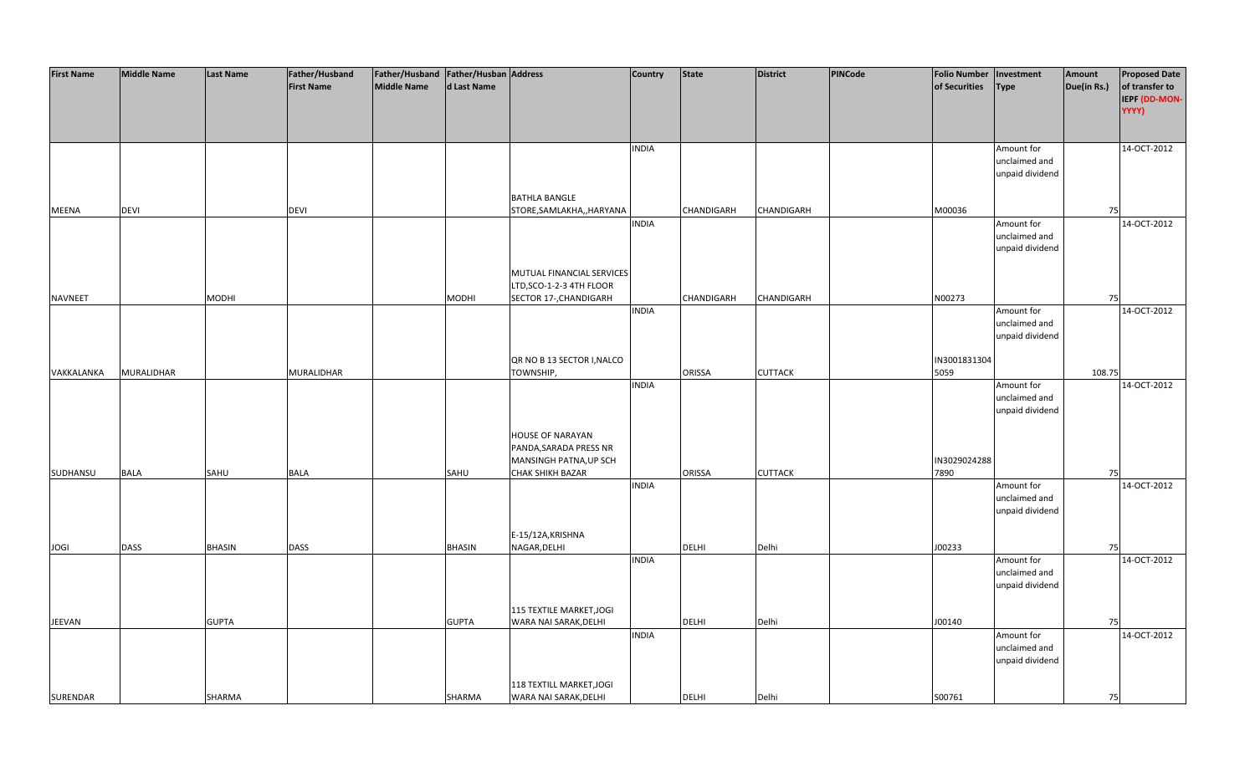| <b>First Name</b> | <b>Middle Name</b> | Last Name    | Father/Husband    | Father/Husband   Father/Husban   Address |              |                            | <b>Country</b> | <b>State</b>  | <b>District</b>   | <b>PINCode</b> | <b>Folio Number</b> | Investment      | Amount      | <b>Proposed Date</b> |
|-------------------|--------------------|--------------|-------------------|------------------------------------------|--------------|----------------------------|----------------|---------------|-------------------|----------------|---------------------|-----------------|-------------|----------------------|
|                   |                    |              | <b>First Name</b> | Middle Name                              | d Last Name  |                            |                |               |                   |                | of Securities       | <b>Type</b>     | Due(in Rs.) | of transfer to       |
|                   |                    |              |                   |                                          |              |                            |                |               |                   |                |                     |                 |             | IEPF (DD-MON-        |
|                   |                    |              |                   |                                          |              |                            |                |               |                   |                |                     |                 |             | YYYY)                |
|                   |                    |              |                   |                                          |              |                            |                |               |                   |                |                     |                 |             |                      |
|                   |                    |              |                   |                                          |              |                            |                |               |                   |                |                     |                 |             |                      |
|                   |                    |              |                   |                                          |              |                            | <b>INDIA</b>   |               |                   |                |                     | Amount for      |             | 14-OCT-2012          |
|                   |                    |              |                   |                                          |              |                            |                |               |                   |                |                     | unclaimed and   |             |                      |
|                   |                    |              |                   |                                          |              |                            |                |               |                   |                |                     | unpaid dividend |             |                      |
|                   |                    |              |                   |                                          |              |                            |                |               |                   |                |                     |                 |             |                      |
|                   |                    |              |                   |                                          |              | <b>BATHLA BANGLE</b>       |                |               |                   |                |                     |                 |             |                      |
| MEENA             | <b>DEVI</b>        |              | <b>DEVI</b>       |                                          |              | STORE, SAMLAKHA,, HARYANA  |                | CHANDIGARH    | <b>CHANDIGARH</b> |                | M00036              |                 | 75          |                      |
|                   |                    |              |                   |                                          |              |                            | <b>INDIA</b>   |               |                   |                |                     | Amount for      |             | 14-OCT-2012          |
|                   |                    |              |                   |                                          |              |                            |                |               |                   |                |                     | unclaimed and   |             |                      |
|                   |                    |              |                   |                                          |              |                            |                |               |                   |                |                     | unpaid dividend |             |                      |
|                   |                    |              |                   |                                          |              |                            |                |               |                   |                |                     |                 |             |                      |
|                   |                    |              |                   |                                          |              | MUTUAL FINANCIAL SERVICES  |                |               |                   |                |                     |                 |             |                      |
|                   |                    |              |                   |                                          |              | LTD, SCO-1-2-3 4TH FLOOR   |                |               |                   |                |                     |                 |             |                      |
| <b>NAVNEET</b>    |                    | MODHI        |                   |                                          | MODHI        | SECTOR 17-, CHANDIGARH     |                | CHANDIGARH    | <b>CHANDIGARH</b> |                | N00273              |                 | 75          |                      |
|                   |                    |              |                   |                                          |              |                            | <b>INDIA</b>   |               |                   |                |                     | Amount for      |             | 14-OCT-2012          |
|                   |                    |              |                   |                                          |              |                            |                |               |                   |                |                     | unclaimed and   |             |                      |
|                   |                    |              |                   |                                          |              |                            |                |               |                   |                |                     | unpaid dividend |             |                      |
|                   |                    |              |                   |                                          |              |                            |                |               |                   |                |                     |                 |             |                      |
|                   |                    |              |                   |                                          |              |                            |                |               |                   |                | IN3001831304        |                 |             |                      |
|                   |                    |              |                   |                                          |              | QR NO B 13 SECTOR I, NALCO |                |               |                   |                | 5059                |                 |             |                      |
| VAKKALANKA        | MURALIDHAR         |              | MURALIDHAR        |                                          |              | TOWNSHIP,                  | <b>INDIA</b>   | ORISSA        | <b>CUTTACK</b>    |                |                     |                 | 108.75      | 14-OCT-2012          |
|                   |                    |              |                   |                                          |              |                            |                |               |                   |                |                     | Amount for      |             |                      |
|                   |                    |              |                   |                                          |              |                            |                |               |                   |                |                     | unclaimed and   |             |                      |
|                   |                    |              |                   |                                          |              |                            |                |               |                   |                |                     | unpaid dividend |             |                      |
|                   |                    |              |                   |                                          |              |                            |                |               |                   |                |                     |                 |             |                      |
|                   |                    |              |                   |                                          |              | <b>HOUSE OF NARAYAN</b>    |                |               |                   |                |                     |                 |             |                      |
|                   |                    |              |                   |                                          |              | PANDA, SARADA PRESS NR     |                |               |                   |                |                     |                 |             |                      |
|                   |                    |              |                   |                                          |              | MANSINGH PATNA, UP SCH     |                |               |                   |                | IN3029024288        |                 |             |                      |
| SUDHANSU          | <b>BALA</b>        | SAHU         | <b>BALA</b>       |                                          | SAHU         | <b>CHAK SHIKH BAZAR</b>    |                | <b>ORISSA</b> | <b>CUTTACK</b>    |                | 7890                |                 | 75          |                      |
|                   |                    |              |                   |                                          |              |                            | <b>INDIA</b>   |               |                   |                |                     | Amount for      |             | 14-OCT-2012          |
|                   |                    |              |                   |                                          |              |                            |                |               |                   |                |                     | unclaimed and   |             |                      |
|                   |                    |              |                   |                                          |              |                            |                |               |                   |                |                     | unpaid dividend |             |                      |
|                   |                    |              |                   |                                          |              |                            |                |               |                   |                |                     |                 |             |                      |
|                   |                    |              |                   |                                          |              | E-15/12A, KRISHNA          |                |               |                   |                |                     |                 |             |                      |
| <b>JOGI</b>       | <b>DASS</b>        | BHASIN       | <b>DASS</b>       |                                          | BHASIN       | NAGAR, DELHI               |                | <b>DELHI</b>  | Delhi             |                | J00233              |                 | 75          |                      |
|                   |                    |              |                   |                                          |              |                            | <b>INDIA</b>   |               |                   |                |                     | Amount for      |             | 14-OCT-2012          |
|                   |                    |              |                   |                                          |              |                            |                |               |                   |                |                     | unclaimed and   |             |                      |
|                   |                    |              |                   |                                          |              |                            |                |               |                   |                |                     | unpaid dividend |             |                      |
|                   |                    |              |                   |                                          |              |                            |                |               |                   |                |                     |                 |             |                      |
|                   |                    |              |                   |                                          |              | 115 TEXTILE MARKET, JOGI   |                |               |                   |                |                     |                 |             |                      |
| JEEVAN            |                    | <b>GUPTA</b> |                   |                                          | <b>GUPTA</b> | WARA NAI SARAK, DELHI      |                | <b>DELHI</b>  | Delhi             |                | J00140              |                 | 75          |                      |
|                   |                    |              |                   |                                          |              |                            | <b>INDIA</b>   |               |                   |                |                     | Amount for      |             | 14-OCT-2012          |
|                   |                    |              |                   |                                          |              |                            |                |               |                   |                |                     | unclaimed and   |             |                      |
|                   |                    |              |                   |                                          |              |                            |                |               |                   |                |                     | unpaid dividend |             |                      |
|                   |                    |              |                   |                                          |              |                            |                |               |                   |                |                     |                 |             |                      |
|                   |                    |              |                   |                                          |              | 118 TEXTILL MARKET, JOGI   |                |               |                   |                |                     |                 |             |                      |
| SURENDAR          |                    | SHARMA       |                   |                                          | SHARMA       | WARA NAI SARAK, DELHI      |                | <b>DELHI</b>  | Delhi             |                | S00761              |                 | 75          |                      |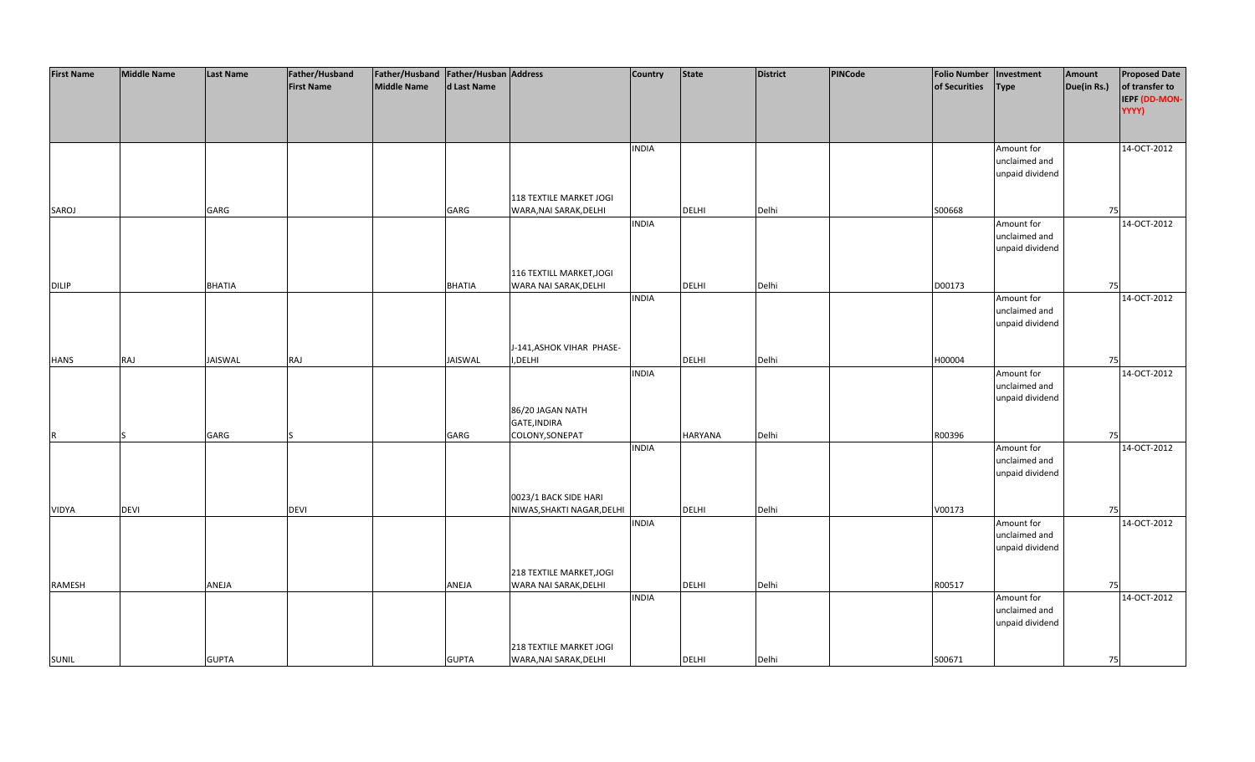| <b>First Name</b> | <b>Middle Name</b> | <b>Last Name</b> | Father/Husband    | Father/Husband Father/Husban Address |               |                            | Country      | <b>State</b> | <b>District</b> | PINCode | <b>Folio Number</b> | Investment      | Amount      | <b>Proposed Date</b> |
|-------------------|--------------------|------------------|-------------------|--------------------------------------|---------------|----------------------------|--------------|--------------|-----------------|---------|---------------------|-----------------|-------------|----------------------|
|                   |                    |                  | <b>First Name</b> | <b>Middle Name</b>                   | d Last Name   |                            |              |              |                 |         | of Securities       | <b>Type</b>     | Due(in Rs.) | of transfer to       |
|                   |                    |                  |                   |                                      |               |                            |              |              |                 |         |                     |                 |             | IEPF (DD-MON-        |
|                   |                    |                  |                   |                                      |               |                            |              |              |                 |         |                     |                 |             | YYYY)                |
|                   |                    |                  |                   |                                      |               |                            |              |              |                 |         |                     |                 |             |                      |
|                   |                    |                  |                   |                                      |               |                            |              |              |                 |         |                     |                 |             |                      |
|                   |                    |                  |                   |                                      |               |                            | <b>INDIA</b> |              |                 |         |                     | Amount for      |             | 14-OCT-2012          |
|                   |                    |                  |                   |                                      |               |                            |              |              |                 |         |                     | unclaimed and   |             |                      |
|                   |                    |                  |                   |                                      |               |                            |              |              |                 |         |                     | unpaid dividend |             |                      |
|                   |                    |                  |                   |                                      |               |                            |              |              |                 |         |                     |                 |             |                      |
|                   |                    |                  |                   |                                      |               | 118 TEXTILE MARKET JOGI    |              |              |                 |         |                     |                 |             |                      |
| SAROJ             |                    | GARG             |                   |                                      | GARG          | WARA, NAI SARAK, DELHI     |              | <b>DELHI</b> | Delhi           |         | S00668              |                 | 75          |                      |
|                   |                    |                  |                   |                                      |               |                            | <b>INDIA</b> |              |                 |         |                     | Amount for      |             | 14-OCT-2012          |
|                   |                    |                  |                   |                                      |               |                            |              |              |                 |         |                     | unclaimed and   |             |                      |
|                   |                    |                  |                   |                                      |               |                            |              |              |                 |         |                     | unpaid dividend |             |                      |
|                   |                    |                  |                   |                                      |               |                            |              |              |                 |         |                     |                 |             |                      |
|                   |                    |                  |                   |                                      |               | 116 TEXTILL MARKET, JOGI   |              |              |                 |         |                     |                 |             |                      |
|                   |                    |                  |                   |                                      |               |                            |              |              | Delhi           |         | D00173              |                 | 75          |                      |
| <b>DILIP</b>      |                    | <b>BHATIA</b>    |                   |                                      | <b>BHATIA</b> | WARA NAI SARAK, DELHI      | <b>INDIA</b> | <b>DELHI</b> |                 |         |                     | Amount for      |             | 14-OCT-2012          |
|                   |                    |                  |                   |                                      |               |                            |              |              |                 |         |                     | unclaimed and   |             |                      |
|                   |                    |                  |                   |                                      |               |                            |              |              |                 |         |                     |                 |             |                      |
|                   |                    |                  |                   |                                      |               |                            |              |              |                 |         |                     | unpaid dividend |             |                      |
|                   |                    |                  |                   |                                      |               |                            |              |              |                 |         |                     |                 |             |                      |
|                   |                    |                  |                   |                                      |               | J-141, ASHOK VIHAR PHASE-  |              |              |                 |         |                     |                 |             |                      |
| <b>HANS</b>       | RAJ                | JAISWAL          | RAJ               |                                      | JAISWAL       | I, DELHI                   |              | DELHI        | Delhi           |         | H00004              |                 | 75          |                      |
|                   |                    |                  |                   |                                      |               |                            | <b>INDIA</b> |              |                 |         |                     | Amount for      |             | 14-OCT-2012          |
|                   |                    |                  |                   |                                      |               |                            |              |              |                 |         |                     | unclaimed and   |             |                      |
|                   |                    |                  |                   |                                      |               |                            |              |              |                 |         |                     | unpaid dividend |             |                      |
|                   |                    |                  |                   |                                      |               | 86/20 JAGAN NATH           |              |              |                 |         |                     |                 |             |                      |
|                   |                    |                  |                   |                                      |               | GATE, INDIRA               |              |              |                 |         |                     |                 |             |                      |
| R                 |                    | GARG             |                   |                                      | GARG          | COLONY, SONEPAT            |              | HARYANA      | Delhi           |         | R00396              |                 | 75          |                      |
|                   |                    |                  |                   |                                      |               |                            | <b>INDIA</b> |              |                 |         |                     | Amount for      |             | 14-OCT-2012          |
|                   |                    |                  |                   |                                      |               |                            |              |              |                 |         |                     | unclaimed and   |             |                      |
|                   |                    |                  |                   |                                      |               |                            |              |              |                 |         |                     | unpaid dividend |             |                      |
|                   |                    |                  |                   |                                      |               |                            |              |              |                 |         |                     |                 |             |                      |
|                   |                    |                  |                   |                                      |               | 0023/1 BACK SIDE HARI      |              |              |                 |         |                     |                 |             |                      |
| VIDYA             | <b>DEVI</b>        |                  | <b>DEVI</b>       |                                      |               | NIWAS, SHAKTI NAGAR, DELHI |              | DELHI        | Delhi           |         | V00173              |                 | 75          |                      |
|                   |                    |                  |                   |                                      |               |                            | <b>INDIA</b> |              |                 |         |                     | Amount for      |             | 14-OCT-2012          |
|                   |                    |                  |                   |                                      |               |                            |              |              |                 |         |                     | unclaimed and   |             |                      |
|                   |                    |                  |                   |                                      |               |                            |              |              |                 |         |                     | unpaid dividend |             |                      |
|                   |                    |                  |                   |                                      |               |                            |              |              |                 |         |                     |                 |             |                      |
|                   |                    |                  |                   |                                      |               | 218 TEXTILE MARKET, JOGI   |              |              |                 |         |                     |                 |             |                      |
| RAMESH            |                    | ANEJA            |                   |                                      | ANEJA         | WARA NAI SARAK, DELHI      |              | DELHI        | Delhi           |         | R00517              |                 | 75          |                      |
|                   |                    |                  |                   |                                      |               |                            | <b>INDIA</b> |              |                 |         |                     | Amount for      |             | 14-OCT-2012          |
|                   |                    |                  |                   |                                      |               |                            |              |              |                 |         |                     | unclaimed and   |             |                      |
|                   |                    |                  |                   |                                      |               |                            |              |              |                 |         |                     | unpaid dividend |             |                      |
|                   |                    |                  |                   |                                      |               |                            |              |              |                 |         |                     |                 |             |                      |
|                   |                    |                  |                   |                                      |               | 218 TEXTILE MARKET JOGI    |              |              |                 |         |                     |                 |             |                      |
| <b>SUNIL</b>      |                    | <b>GUPTA</b>     |                   |                                      | <b>GUPTA</b>  | WARA, NAI SARAK, DELHI     |              | <b>DELHI</b> | Delhi           |         | S00671              |                 | 75          |                      |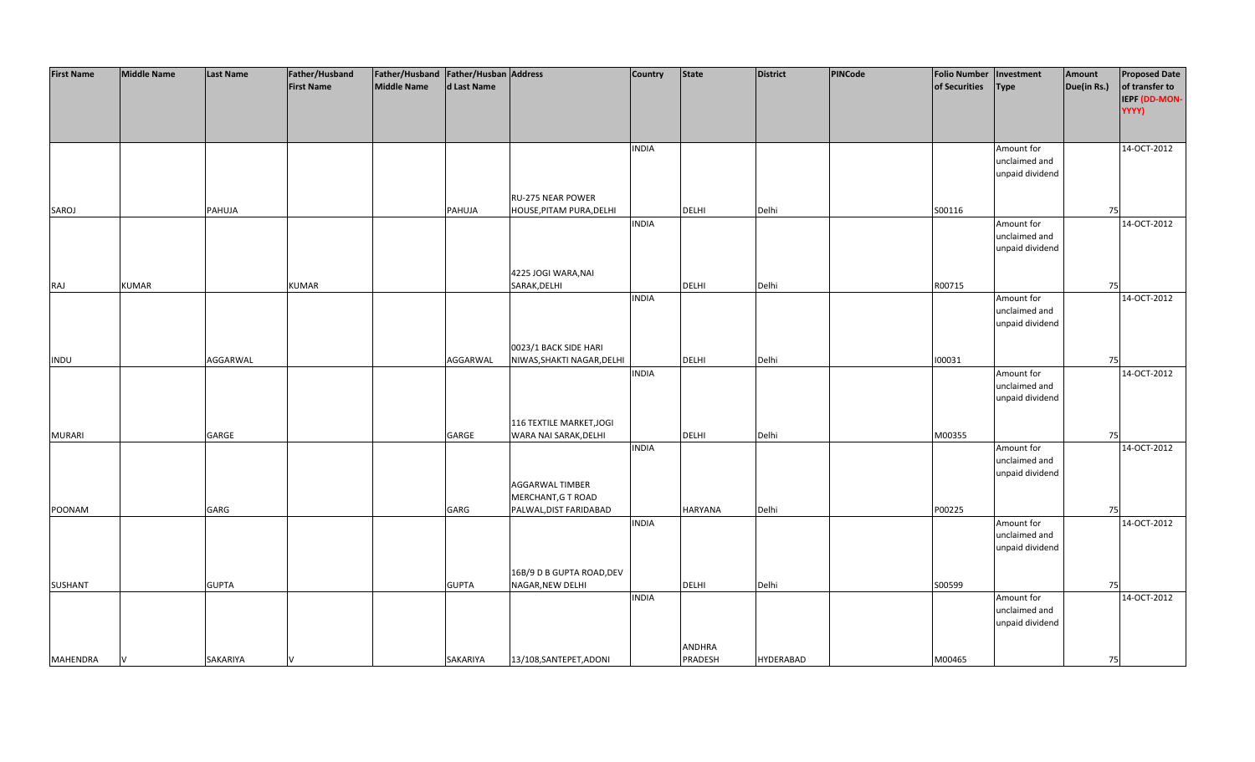| <b>First Name</b> | <b>Middle Name</b> | <b>Last Name</b> | Father/Husband    | Father/Husband   Father/Husban   Address |              |                            | <b>Country</b> | <b>State</b>   | <b>District</b>  | PINCode | <b>Folio Number</b> | Investment      | Amount      | <b>Proposed Date</b> |
|-------------------|--------------------|------------------|-------------------|------------------------------------------|--------------|----------------------------|----------------|----------------|------------------|---------|---------------------|-----------------|-------------|----------------------|
|                   |                    |                  | <b>First Name</b> | <b>Middle Name</b>                       | d Last Name  |                            |                |                |                  |         | of Securities       | <b>Type</b>     | Due(in Rs.) | of transfer to       |
|                   |                    |                  |                   |                                          |              |                            |                |                |                  |         |                     |                 |             | IEPF (DD-MON-        |
|                   |                    |                  |                   |                                          |              |                            |                |                |                  |         |                     |                 |             | YYYY)                |
|                   |                    |                  |                   |                                          |              |                            |                |                |                  |         |                     |                 |             |                      |
|                   |                    |                  |                   |                                          |              |                            |                |                |                  |         |                     |                 |             |                      |
|                   |                    |                  |                   |                                          |              |                            | <b>INDIA</b>   |                |                  |         |                     | Amount for      |             | 14-OCT-2012          |
|                   |                    |                  |                   |                                          |              |                            |                |                |                  |         |                     | unclaimed and   |             |                      |
|                   |                    |                  |                   |                                          |              |                            |                |                |                  |         |                     | unpaid dividend |             |                      |
|                   |                    |                  |                   |                                          |              |                            |                |                |                  |         |                     |                 |             |                      |
|                   |                    |                  |                   |                                          |              | <b>RU-275 NEAR POWER</b>   |                |                |                  |         |                     |                 |             |                      |
|                   |                    |                  |                   |                                          |              | HOUSE, PITAM PURA, DELHI   |                | <b>DELHI</b>   | Delhi            |         | S00116              |                 | 75          |                      |
| SAROJ             |                    | PAHUJA           |                   |                                          | PAHUJA       |                            | <b>INDIA</b>   |                |                  |         |                     |                 |             | 14-OCT-2012          |
|                   |                    |                  |                   |                                          |              |                            |                |                |                  |         |                     | Amount for      |             |                      |
|                   |                    |                  |                   |                                          |              |                            |                |                |                  |         |                     | unclaimed and   |             |                      |
|                   |                    |                  |                   |                                          |              |                            |                |                |                  |         |                     | unpaid dividend |             |                      |
|                   |                    |                  |                   |                                          |              |                            |                |                |                  |         |                     |                 |             |                      |
|                   |                    |                  |                   |                                          |              | 4225 JOGI WARA, NAI        |                |                |                  |         |                     |                 |             |                      |
| RAJ               | <b>KUMAR</b>       |                  | <b>KUMAR</b>      |                                          |              | SARAK, DELHI               |                | <b>DELHI</b>   | Delhi            |         | R00715              |                 | 75          |                      |
|                   |                    |                  |                   |                                          |              |                            | <b>INDIA</b>   |                |                  |         |                     | Amount for      |             | 14-OCT-2012          |
|                   |                    |                  |                   |                                          |              |                            |                |                |                  |         |                     | unclaimed and   |             |                      |
|                   |                    |                  |                   |                                          |              |                            |                |                |                  |         |                     | unpaid dividend |             |                      |
|                   |                    |                  |                   |                                          |              |                            |                |                |                  |         |                     |                 |             |                      |
|                   |                    |                  |                   |                                          |              | 0023/1 BACK SIDE HARI      |                |                |                  |         |                     |                 |             |                      |
| <b>INDU</b>       |                    | AGGARWAL         |                   |                                          | AGGARWAL     | NIWAS, SHAKTI NAGAR, DELHI |                | DELHI          | Delhi            |         | 100031              |                 | 75          |                      |
|                   |                    |                  |                   |                                          |              |                            | <b>INDIA</b>   |                |                  |         |                     | Amount for      |             | 14-OCT-2012          |
|                   |                    |                  |                   |                                          |              |                            |                |                |                  |         |                     | unclaimed and   |             |                      |
|                   |                    |                  |                   |                                          |              |                            |                |                |                  |         |                     | unpaid dividend |             |                      |
|                   |                    |                  |                   |                                          |              |                            |                |                |                  |         |                     |                 |             |                      |
|                   |                    |                  |                   |                                          |              | 116 TEXTILE MARKET, JOGI   |                |                |                  |         |                     |                 |             |                      |
| <b>MURARI</b>     |                    | GARGE            |                   |                                          | GARGE        | WARA NAI SARAK, DELHI      |                | DELHI          | Delhi            |         | M00355              |                 | 75          |                      |
|                   |                    |                  |                   |                                          |              |                            | <b>INDIA</b>   |                |                  |         |                     | Amount for      |             | 14-OCT-2012          |
|                   |                    |                  |                   |                                          |              |                            |                |                |                  |         |                     | unclaimed and   |             |                      |
|                   |                    |                  |                   |                                          |              |                            |                |                |                  |         |                     | unpaid dividend |             |                      |
|                   |                    |                  |                   |                                          |              | AGGARWAL TIMBER            |                |                |                  |         |                     |                 |             |                      |
|                   |                    |                  |                   |                                          |              | MERCHANT, G T ROAD         |                |                |                  |         |                     |                 |             |                      |
| POONAM            |                    | GARG             |                   |                                          | GARG         | PALWAL, DIST FARIDABAD     |                | <b>HARYANA</b> | Delhi            |         | P00225              |                 | 75          |                      |
|                   |                    |                  |                   |                                          |              |                            | <b>INDIA</b>   |                |                  |         |                     | Amount for      |             | 14-OCT-2012          |
|                   |                    |                  |                   |                                          |              |                            |                |                |                  |         |                     | unclaimed and   |             |                      |
|                   |                    |                  |                   |                                          |              |                            |                |                |                  |         |                     | unpaid dividend |             |                      |
|                   |                    |                  |                   |                                          |              |                            |                |                |                  |         |                     |                 |             |                      |
|                   |                    |                  |                   |                                          |              | 16B/9 D B GUPTA ROAD, DEV  |                |                |                  |         |                     |                 |             |                      |
| <b>SUSHANT</b>    |                    | <b>GUPTA</b>     |                   |                                          | <b>GUPTA</b> | NAGAR, NEW DELHI           |                | <b>DELHI</b>   | Delhi            |         | S00599              |                 | 75          |                      |
|                   |                    |                  |                   |                                          |              |                            | <b>INDIA</b>   |                |                  |         |                     | Amount for      |             | 14-OCT-2012          |
|                   |                    |                  |                   |                                          |              |                            |                |                |                  |         |                     | unclaimed and   |             |                      |
|                   |                    |                  |                   |                                          |              |                            |                |                |                  |         |                     | unpaid dividend |             |                      |
|                   |                    |                  |                   |                                          |              |                            |                |                |                  |         |                     |                 |             |                      |
|                   |                    |                  |                   |                                          |              |                            |                | ANDHRA         |                  |         |                     |                 |             |                      |
| <b>MAHENDRA</b>   | V                  | SAKARIYA         |                   |                                          | SAKARIYA     | 13/108, SANTEPET, ADONI    |                | PRADESH        | <b>HYDERABAD</b> |         | M00465              |                 | 75          |                      |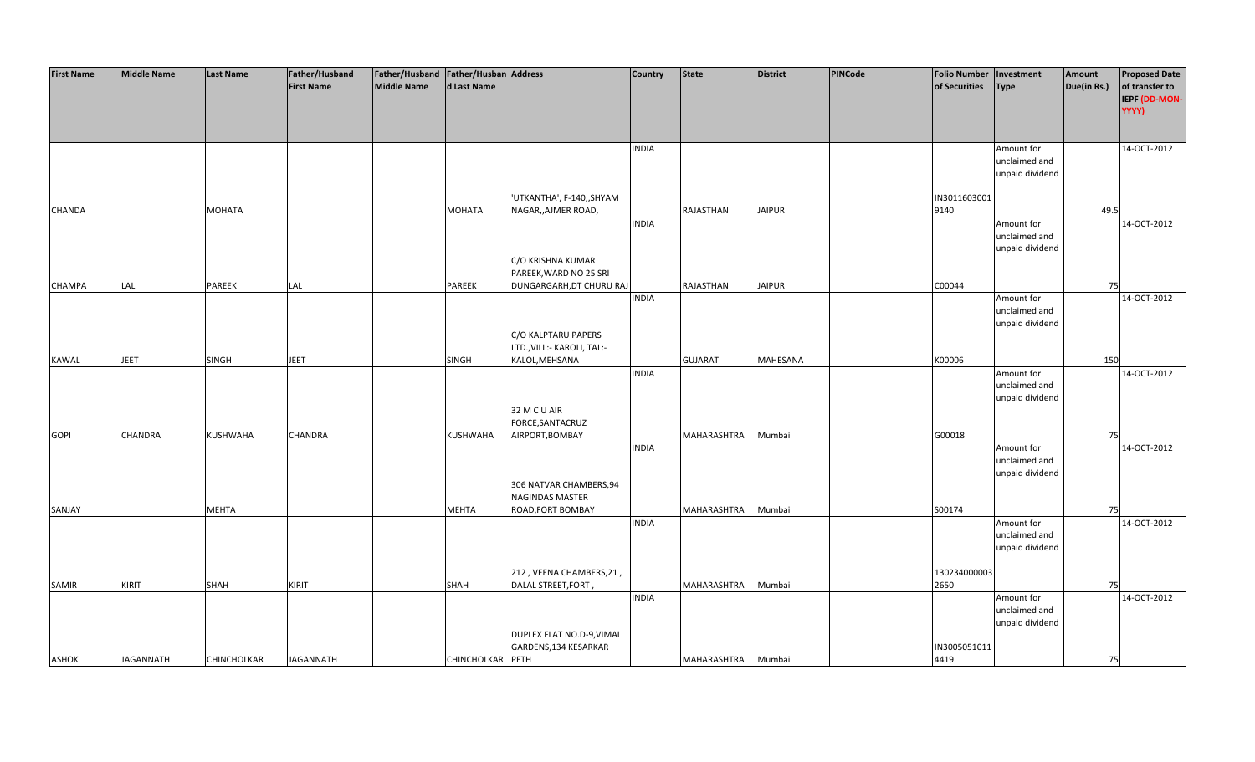| <b>First Name</b> | <b>Middle Name</b> | <b>Last Name</b>   | Father/Husband    | Father/Husband Father/Husban Address |                  |                              | <b>Country</b> | <b>State</b>   | <b>District</b> | PINCode | <b>Folio Number</b> | Investment      | Amount      | <b>Proposed Date</b> |
|-------------------|--------------------|--------------------|-------------------|--------------------------------------|------------------|------------------------------|----------------|----------------|-----------------|---------|---------------------|-----------------|-------------|----------------------|
|                   |                    |                    | <b>First Name</b> | <b>Middle Name</b>                   | d Last Name      |                              |                |                |                 |         | of Securities       | <b>Type</b>     | Due(in Rs.) | of transfer to       |
|                   |                    |                    |                   |                                      |                  |                              |                |                |                 |         |                     |                 |             | IEPF (DD-MON-        |
|                   |                    |                    |                   |                                      |                  |                              |                |                |                 |         |                     |                 |             | YYYY)                |
|                   |                    |                    |                   |                                      |                  |                              |                |                |                 |         |                     |                 |             |                      |
|                   |                    |                    |                   |                                      |                  |                              |                |                |                 |         |                     |                 |             |                      |
|                   |                    |                    |                   |                                      |                  |                              |                |                |                 |         |                     |                 |             |                      |
|                   |                    |                    |                   |                                      |                  |                              | <b>INDIA</b>   |                |                 |         |                     | Amount for      |             | 14-OCT-2012          |
|                   |                    |                    |                   |                                      |                  |                              |                |                |                 |         |                     | unclaimed and   |             |                      |
|                   |                    |                    |                   |                                      |                  |                              |                |                |                 |         |                     | unpaid dividend |             |                      |
|                   |                    |                    |                   |                                      |                  |                              |                |                |                 |         |                     |                 |             |                      |
|                   |                    |                    |                   |                                      |                  | 'UTKANTHA', F-140,, SHYAM    |                |                |                 |         | IN3011603001        |                 |             |                      |
| CHANDA            |                    | <b>MOHATA</b>      |                   |                                      | <b>MOHATA</b>    | NAGAR,, AJMER ROAD,          |                | RAJASTHAN      | <b>JAIPUR</b>   |         | 9140                |                 | 49.5        |                      |
|                   |                    |                    |                   |                                      |                  |                              | <b>INDIA</b>   |                |                 |         |                     | Amount for      |             | 14-OCT-2012          |
|                   |                    |                    |                   |                                      |                  |                              |                |                |                 |         |                     | unclaimed and   |             |                      |
|                   |                    |                    |                   |                                      |                  |                              |                |                |                 |         |                     | unpaid dividend |             |                      |
|                   |                    |                    |                   |                                      |                  | C/O KRISHNA KUMAR            |                |                |                 |         |                     |                 |             |                      |
|                   |                    |                    |                   |                                      |                  | PAREEK, WARD NO 25 SRI       |                |                |                 |         |                     |                 |             |                      |
| <b>CHAMPA</b>     | LAL                | PAREEK             | LAL               |                                      | PAREEK           | DUNGARGARH, DT CHURU RAJ     |                | RAJASTHAN      | <b>JAIPUR</b>   |         | C00044              |                 | 75          |                      |
|                   |                    |                    |                   |                                      |                  |                              | <b>INDIA</b>   |                |                 |         |                     | Amount for      |             | 14-OCT-2012          |
|                   |                    |                    |                   |                                      |                  |                              |                |                |                 |         |                     | unclaimed and   |             |                      |
|                   |                    |                    |                   |                                      |                  |                              |                |                |                 |         |                     | unpaid dividend |             |                      |
|                   |                    |                    |                   |                                      |                  | C/O KALPTARU PAPERS          |                |                |                 |         |                     |                 |             |                      |
|                   |                    |                    |                   |                                      |                  | LTD., VILL: - KAROLI, TAL: - |                |                |                 |         |                     |                 |             |                      |
| KAWAL             | <b>JEET</b>        | <b>SINGH</b>       | <b>JEET</b>       |                                      | <b>SINGH</b>     | KALOL, MEHSANA               |                | <b>GUJARAT</b> | <b>MAHESANA</b> |         | K00006              |                 | 150         |                      |
|                   |                    |                    |                   |                                      |                  |                              | <b>INDIA</b>   |                |                 |         |                     | Amount for      |             | 14-OCT-2012          |
|                   |                    |                    |                   |                                      |                  |                              |                |                |                 |         |                     | unclaimed and   |             |                      |
|                   |                    |                    |                   |                                      |                  |                              |                |                |                 |         |                     | unpaid dividend |             |                      |
|                   |                    |                    |                   |                                      |                  | 32 M C U AIR                 |                |                |                 |         |                     |                 |             |                      |
|                   |                    |                    |                   |                                      |                  | FORCE, SANTACRUZ             |                |                |                 |         |                     |                 |             |                      |
| <b>GOPI</b>       | <b>CHANDRA</b>     | <b>KUSHWAHA</b>    | CHANDRA           |                                      | KUSHWAHA         | AIRPORT, BOMBAY              |                | MAHARASHTRA    | Mumbai          |         | G00018              |                 | 75          |                      |
|                   |                    |                    |                   |                                      |                  |                              | <b>INDIA</b>   |                |                 |         |                     | Amount for      |             | 14-OCT-2012          |
|                   |                    |                    |                   |                                      |                  |                              |                |                |                 |         |                     | unclaimed and   |             |                      |
|                   |                    |                    |                   |                                      |                  |                              |                |                |                 |         |                     | unpaid dividend |             |                      |
|                   |                    |                    |                   |                                      |                  | 306 NATVAR CHAMBERS, 94      |                |                |                 |         |                     |                 |             |                      |
|                   |                    |                    |                   |                                      |                  | NAGINDAS MASTER              |                |                |                 |         |                     |                 |             |                      |
|                   |                    |                    |                   |                                      |                  |                              |                |                |                 |         |                     |                 | 75          |                      |
| SANJAY            |                    | <b>MEHTA</b>       |                   |                                      | <b>MEHTA</b>     | ROAD, FORT BOMBAY            |                | MAHARASHTRA    | Mumbai          |         | S00174              |                 |             | 14-OCT-2012          |
|                   |                    |                    |                   |                                      |                  |                              | <b>INDIA</b>   |                |                 |         |                     | Amount for      |             |                      |
|                   |                    |                    |                   |                                      |                  |                              |                |                |                 |         |                     | unclaimed and   |             |                      |
|                   |                    |                    |                   |                                      |                  |                              |                |                |                 |         |                     | unpaid dividend |             |                      |
|                   |                    |                    |                   |                                      |                  |                              |                |                |                 |         |                     |                 |             |                      |
|                   |                    |                    |                   |                                      |                  | 212, VEENA CHAMBERS, 21,     |                |                |                 |         | 130234000003        |                 |             |                      |
| SAMIR             | <b>KIRIT</b>       | SHAH               | KIRIT             |                                      | SHAH             | DALAL STREET, FORT,          |                | MAHARASHTRA    | Mumbai          |         | 2650                |                 | 75          |                      |
|                   |                    |                    |                   |                                      |                  |                              | <b>INDIA</b>   |                |                 |         |                     | Amount for      |             | 14-OCT-2012          |
|                   |                    |                    |                   |                                      |                  |                              |                |                |                 |         |                     | unclaimed and   |             |                      |
|                   |                    |                    |                   |                                      |                  |                              |                |                |                 |         |                     | unpaid dividend |             |                      |
|                   |                    |                    |                   |                                      |                  | DUPLEX FLAT NO.D-9, VIMAL    |                |                |                 |         |                     |                 |             |                      |
|                   |                    |                    |                   |                                      |                  | GARDENS, 134 KESARKAR        |                |                |                 |         | IN3005051011        |                 |             |                      |
| <b>ASHOK</b>      | <b>JAGANNATH</b>   | <b>CHINCHOLKAR</b> | <b>JAGANNATH</b>  |                                      | CHINCHOLKAR PETH |                              |                | MAHARASHTRA    | Mumbai          |         | 4419                |                 | 75          |                      |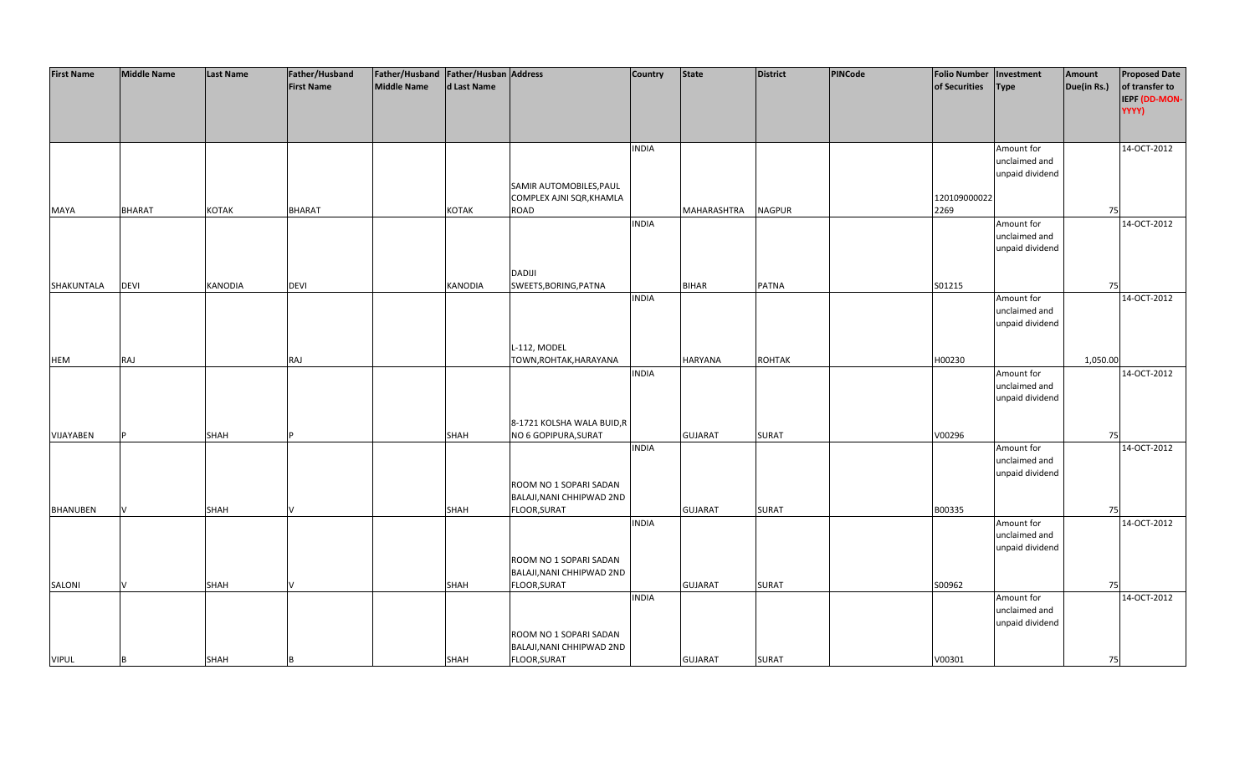| <b>First Name</b> | <b>Middle Name</b> | <b>Last Name</b> | Father/Husband    | Father/Husband Father/Husban Address |             |                           | <b>Country</b> | <b>State</b>   | <b>District</b> | PINCode | Folio Number   Investment |                 | Amount      | <b>Proposed Date</b> |
|-------------------|--------------------|------------------|-------------------|--------------------------------------|-------------|---------------------------|----------------|----------------|-----------------|---------|---------------------------|-----------------|-------------|----------------------|
|                   |                    |                  | <b>First Name</b> | Middle Name                          | d Last Name |                           |                |                |                 |         | of Securities             | <b>Type</b>     | Due(in Rs.) | of transfer to       |
|                   |                    |                  |                   |                                      |             |                           |                |                |                 |         |                           |                 |             | IEPF (DD-MON-        |
|                   |                    |                  |                   |                                      |             |                           |                |                |                 |         |                           |                 |             | YYYY)                |
|                   |                    |                  |                   |                                      |             |                           |                |                |                 |         |                           |                 |             |                      |
|                   |                    |                  |                   |                                      |             |                           | <b>INDIA</b>   |                |                 |         |                           | Amount for      |             | 14-OCT-2012          |
|                   |                    |                  |                   |                                      |             |                           |                |                |                 |         |                           | unclaimed and   |             |                      |
|                   |                    |                  |                   |                                      |             |                           |                |                |                 |         |                           | unpaid dividend |             |                      |
|                   |                    |                  |                   |                                      |             | SAMIR AUTOMOBILES, PAUL   |                |                |                 |         |                           |                 |             |                      |
|                   |                    |                  |                   |                                      |             | COMPLEX AJNI SQR, KHAMLA  |                |                |                 |         | 120109000022              |                 |             |                      |
| <b>MAYA</b>       | <b>BHARAT</b>      | KOTAK            | <b>BHARAT</b>     |                                      | KOTAK       | ROAD                      |                | MAHARASHTRA    | <b>NAGPUR</b>   |         | 2269                      |                 | 75          |                      |
|                   |                    |                  |                   |                                      |             |                           | <b>INDIA</b>   |                |                 |         |                           | Amount for      |             | 14-OCT-2012          |
|                   |                    |                  |                   |                                      |             |                           |                |                |                 |         |                           | unclaimed and   |             |                      |
|                   |                    |                  |                   |                                      |             |                           |                |                |                 |         |                           | unpaid dividend |             |                      |
|                   |                    |                  |                   |                                      |             |                           |                |                |                 |         |                           |                 |             |                      |
|                   |                    |                  |                   |                                      |             | <b>DADIJI</b>             |                |                |                 |         |                           |                 |             |                      |
| SHAKUNTALA        | <b>DEVI</b>        | KANODIA          | <b>DEVI</b>       |                                      | KANODIA     | SWEETS, BORING, PATNA     |                | <b>BIHAR</b>   | <b>PATNA</b>    |         | S01215                    |                 | 75          |                      |
|                   |                    |                  |                   |                                      |             |                           | <b>INDIA</b>   |                |                 |         |                           | Amount for      |             | 14-OCT-2012          |
|                   |                    |                  |                   |                                      |             |                           |                |                |                 |         |                           | unclaimed and   |             |                      |
|                   |                    |                  |                   |                                      |             |                           |                |                |                 |         |                           | unpaid dividend |             |                      |
|                   |                    |                  |                   |                                      |             |                           |                |                |                 |         |                           |                 |             |                      |
|                   |                    |                  |                   |                                      |             | L-112, MODEL              |                |                |                 |         |                           |                 |             |                      |
| <b>HEM</b>        | <b>RAJ</b>         |                  | RAJ               |                                      |             | TOWN, ROHTAK, HARAYANA    |                | <b>HARYANA</b> | <b>ROHTAK</b>   |         | H00230                    |                 | 1,050.00    |                      |
|                   |                    |                  |                   |                                      |             |                           | <b>INDIA</b>   |                |                 |         |                           | Amount for      |             | 14-OCT-2012          |
|                   |                    |                  |                   |                                      |             |                           |                |                |                 |         |                           | unclaimed and   |             |                      |
|                   |                    |                  |                   |                                      |             |                           |                |                |                 |         |                           | unpaid dividend |             |                      |
|                   |                    |                  |                   |                                      |             |                           |                |                |                 |         |                           |                 |             |                      |
|                   |                    |                  |                   |                                      |             | 8-1721 KOLSHA WALA BUID,R |                |                |                 |         |                           |                 |             |                      |
| VIJAYABEN         |                    | SHAH             |                   |                                      | SHAH        | NO 6 GOPIPURA, SURAT      |                | <b>GUJARAT</b> | <b>SURAT</b>    |         | V00296                    |                 | 75          |                      |
|                   |                    |                  |                   |                                      |             |                           | <b>INDIA</b>   |                |                 |         |                           | Amount for      |             | 14-OCT-2012          |
|                   |                    |                  |                   |                                      |             |                           |                |                |                 |         |                           | unclaimed and   |             |                      |
|                   |                    |                  |                   |                                      |             | ROOM NO 1 SOPARI SADAN    |                |                |                 |         |                           | unpaid dividend |             |                      |
|                   |                    |                  |                   |                                      |             | BALAJI, NANI CHHIPWAD 2ND |                |                |                 |         |                           |                 |             |                      |
| <b>BHANUBEN</b>   | V                  | SHAH             |                   |                                      | SHAH        | FLOOR, SURAT              |                | <b>GUJARAT</b> | <b>SURAT</b>    |         | B00335                    |                 | 75          |                      |
|                   |                    |                  |                   |                                      |             |                           | <b>INDIA</b>   |                |                 |         |                           | Amount for      |             | 14-OCT-2012          |
|                   |                    |                  |                   |                                      |             |                           |                |                |                 |         |                           | unclaimed and   |             |                      |
|                   |                    |                  |                   |                                      |             |                           |                |                |                 |         |                           | unpaid dividend |             |                      |
|                   |                    |                  |                   |                                      |             | ROOM NO 1 SOPARI SADAN    |                |                |                 |         |                           |                 |             |                      |
|                   |                    |                  |                   |                                      |             | BALAJI, NANI CHHIPWAD 2ND |                |                |                 |         |                           |                 |             |                      |
| SALONI            |                    | SHAH             |                   |                                      | SHAH        | FLOOR, SURAT              |                | <b>GUJARAT</b> | <b>SURAT</b>    |         | S00962                    |                 | 75          |                      |
|                   |                    |                  |                   |                                      |             |                           | <b>INDIA</b>   |                |                 |         |                           | Amount for      |             | 14-OCT-2012          |
|                   |                    |                  |                   |                                      |             |                           |                |                |                 |         |                           | unclaimed and   |             |                      |
|                   |                    |                  |                   |                                      |             |                           |                |                |                 |         |                           | unpaid dividend |             |                      |
|                   |                    |                  |                   |                                      |             | ROOM NO 1 SOPARI SADAN    |                |                |                 |         |                           |                 |             |                      |
|                   |                    |                  |                   |                                      |             | BALAJI, NANI CHHIPWAD 2ND |                |                |                 |         |                           |                 |             |                      |
| <b>VIPUL</b>      | B                  | SHAH             |                   |                                      | <b>SHAH</b> | FLOOR, SURAT              |                | <b>GUJARAT</b> | <b>SURAT</b>    |         | V00301                    |                 | 75          |                      |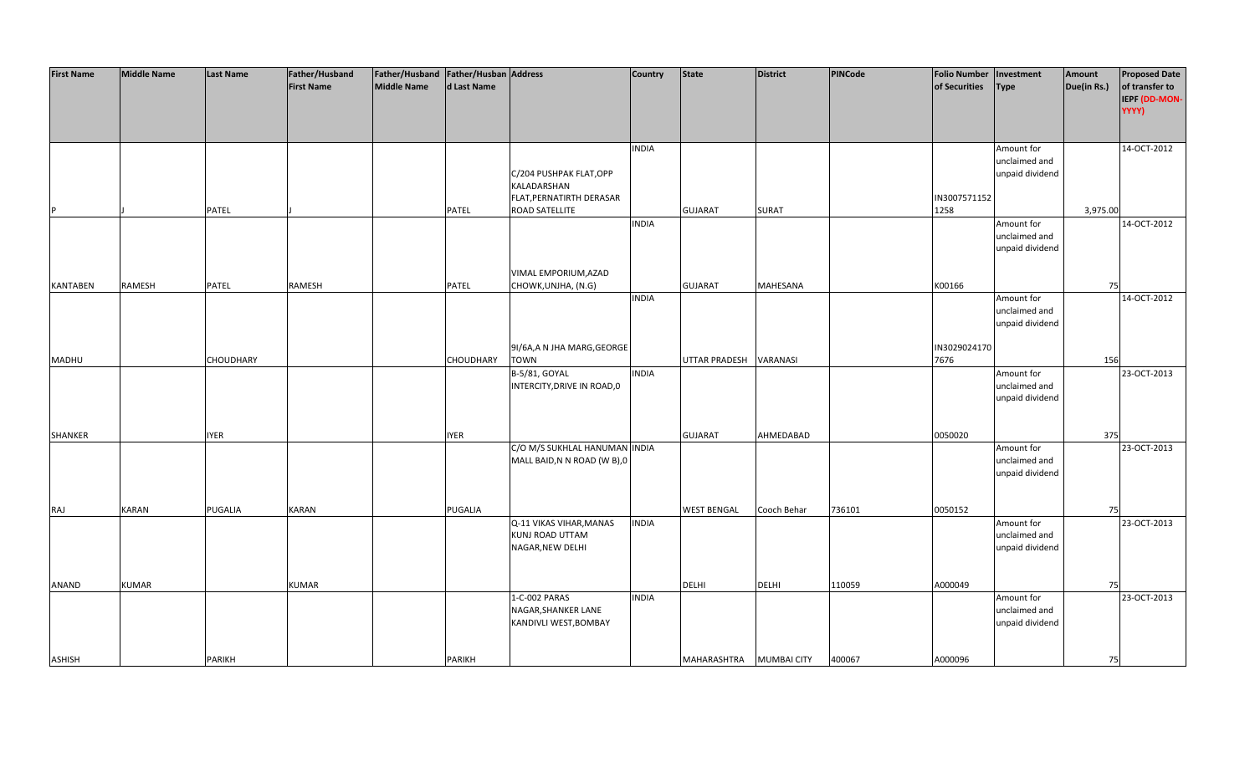| <b>First Name</b> | <b>Middle Name</b> | <b>Last Name</b> | Father/Husband    | Father/Husband Father/Husban Address |                  |                               | <b>Country</b> | <b>State</b>         | <b>District</b>    | PINCode | <b>Folio Number</b> | Investment      | Amount      | <b>Proposed Date</b> |
|-------------------|--------------------|------------------|-------------------|--------------------------------------|------------------|-------------------------------|----------------|----------------------|--------------------|---------|---------------------|-----------------|-------------|----------------------|
|                   |                    |                  | <b>First Name</b> | <b>Middle Name</b>                   | d Last Name      |                               |                |                      |                    |         | of Securities       | Type            | Due(in Rs.) | of transfer to       |
|                   |                    |                  |                   |                                      |                  |                               |                |                      |                    |         |                     |                 |             | IEPF (DD-MON-        |
|                   |                    |                  |                   |                                      |                  |                               |                |                      |                    |         |                     |                 |             | YYYY)                |
|                   |                    |                  |                   |                                      |                  |                               |                |                      |                    |         |                     |                 |             |                      |
|                   |                    |                  |                   |                                      |                  |                               |                |                      |                    |         |                     |                 |             |                      |
|                   |                    |                  |                   |                                      |                  |                               | <b>INDIA</b>   |                      |                    |         |                     | Amount for      |             | 14-OCT-2012          |
|                   |                    |                  |                   |                                      |                  |                               |                |                      |                    |         |                     | unclaimed and   |             |                      |
|                   |                    |                  |                   |                                      |                  | C/204 PUSHPAK FLAT, OPP       |                |                      |                    |         |                     | unpaid dividend |             |                      |
|                   |                    |                  |                   |                                      |                  | KALADARSHAN                   |                |                      |                    |         |                     |                 |             |                      |
|                   |                    |                  |                   |                                      |                  | FLAT, PERNATIRTH DERASAR      |                |                      |                    |         | IN3007571152        |                 |             |                      |
|                   |                    | <b>PATEL</b>     |                   |                                      | <b>PATEL</b>     | ROAD SATELLITE                |                | <b>GUJARAT</b>       | <b>SURAT</b>       |         | 1258                |                 | 3,975.00    |                      |
|                   |                    |                  |                   |                                      |                  |                               | <b>INDIA</b>   |                      |                    |         |                     | Amount for      |             | 14-OCT-2012          |
|                   |                    |                  |                   |                                      |                  |                               |                |                      |                    |         |                     | unclaimed and   |             |                      |
|                   |                    |                  |                   |                                      |                  |                               |                |                      |                    |         |                     | unpaid dividend |             |                      |
|                   |                    |                  |                   |                                      |                  |                               |                |                      |                    |         |                     |                 |             |                      |
|                   |                    |                  |                   |                                      |                  | VIMAL EMPORIUM, AZAD          |                |                      |                    |         |                     |                 |             |                      |
| <b>KANTABEN</b>   | <b>RAMESH</b>      | PATEL            | RAMESH            |                                      | <b>PATEL</b>     | CHOWK, UNJHA, (N.G)           |                | <b>GUJARAT</b>       | MAHESANA           |         | K00166              |                 | 75          |                      |
|                   |                    |                  |                   |                                      |                  |                               | <b>INDIA</b>   |                      |                    |         |                     | Amount for      |             | 14-OCT-2012          |
|                   |                    |                  |                   |                                      |                  |                               |                |                      |                    |         |                     | unclaimed and   |             |                      |
|                   |                    |                  |                   |                                      |                  |                               |                |                      |                    |         |                     | unpaid dividend |             |                      |
|                   |                    |                  |                   |                                      |                  |                               |                |                      |                    |         |                     |                 |             |                      |
|                   |                    |                  |                   |                                      |                  | 9I/6A, AN JHA MARG, GEORGE    |                |                      |                    |         | IN3029024170        |                 |             |                      |
| <b>MADHU</b>      |                    | <b>CHOUDHARY</b> |                   |                                      | <b>CHOUDHARY</b> | <b>TOWN</b>                   |                | <b>UTTAR PRADESH</b> | VARANASI           |         | 7676                |                 | 156         |                      |
|                   |                    |                  |                   |                                      |                  | B-5/81, GOYAL                 | <b>INDIA</b>   |                      |                    |         |                     | Amount for      |             | 23-OCT-2013          |
|                   |                    |                  |                   |                                      |                  | INTERCITY, DRIVE IN ROAD, 0   |                |                      |                    |         |                     | unclaimed and   |             |                      |
|                   |                    |                  |                   |                                      |                  |                               |                |                      |                    |         |                     | unpaid dividend |             |                      |
|                   |                    |                  |                   |                                      |                  |                               |                |                      |                    |         |                     |                 |             |                      |
|                   |                    |                  |                   |                                      |                  |                               |                |                      |                    |         |                     |                 |             |                      |
| SHANKER           |                    | <b>IYER</b>      |                   |                                      | <b>IYER</b>      |                               |                | <b>GUJARAT</b>       | AHMEDABAD          |         | 0050020             |                 | 375         |                      |
|                   |                    |                  |                   |                                      |                  | C/O M/S SUKHLAL HANUMAN INDIA |                |                      |                    |         |                     | Amount for      |             | 23-OCT-2013          |
|                   |                    |                  |                   |                                      |                  | MALL BAID, N N ROAD (W B), 0  |                |                      |                    |         |                     | unclaimed and   |             |                      |
|                   |                    |                  |                   |                                      |                  |                               |                |                      |                    |         |                     | unpaid dividend |             |                      |
|                   |                    |                  |                   |                                      |                  |                               |                |                      |                    |         |                     |                 |             |                      |
|                   |                    |                  |                   |                                      |                  |                               |                |                      |                    |         |                     |                 |             |                      |
| RAJ               | <b>KARAN</b>       | PUGALIA          | <b>KARAN</b>      |                                      | PUGALIA          |                               |                | <b>WEST BENGAL</b>   | Cooch Behar        | 736101  | 0050152             |                 | 75          |                      |
|                   |                    |                  |                   |                                      |                  | Q-11 VIKAS VIHAR, MANAS       | <b>INDIA</b>   |                      |                    |         |                     | Amount for      |             | 23-OCT-2013          |
|                   |                    |                  |                   |                                      |                  | <b>KUNJ ROAD UTTAM</b>        |                |                      |                    |         |                     | unclaimed and   |             |                      |
|                   |                    |                  |                   |                                      |                  | NAGAR, NEW DELHI              |                |                      |                    |         |                     | unpaid dividend |             |                      |
|                   |                    |                  |                   |                                      |                  |                               |                |                      |                    |         |                     |                 |             |                      |
|                   |                    |                  |                   |                                      |                  |                               |                |                      |                    |         |                     |                 |             |                      |
| <b>ANAND</b>      | <b>KUMAR</b>       |                  | <b>KUMAR</b>      |                                      |                  |                               |                | <b>DELHI</b>         | <b>DELHI</b>       | 110059  | A000049             |                 | 75          |                      |
|                   |                    |                  |                   |                                      |                  | 1-C-002 PARAS                 | <b>INDIA</b>   |                      |                    |         |                     | Amount for      |             | 23-OCT-2013          |
|                   |                    |                  |                   |                                      |                  | NAGAR, SHANKER LANE           |                |                      |                    |         |                     | unclaimed and   |             |                      |
|                   |                    |                  |                   |                                      |                  | KANDIVLI WEST, BOMBAY         |                |                      |                    |         |                     | unpaid dividend |             |                      |
|                   |                    |                  |                   |                                      |                  |                               |                |                      |                    |         |                     |                 |             |                      |
|                   |                    |                  |                   |                                      |                  |                               |                |                      |                    |         |                     |                 |             |                      |
| <b>ASHISH</b>     |                    | <b>PARIKH</b>    |                   |                                      | <b>PARIKH</b>    |                               |                | MAHARASHTRA          | <b>MUMBAI CITY</b> | 400067  | A000096             |                 | 75          |                      |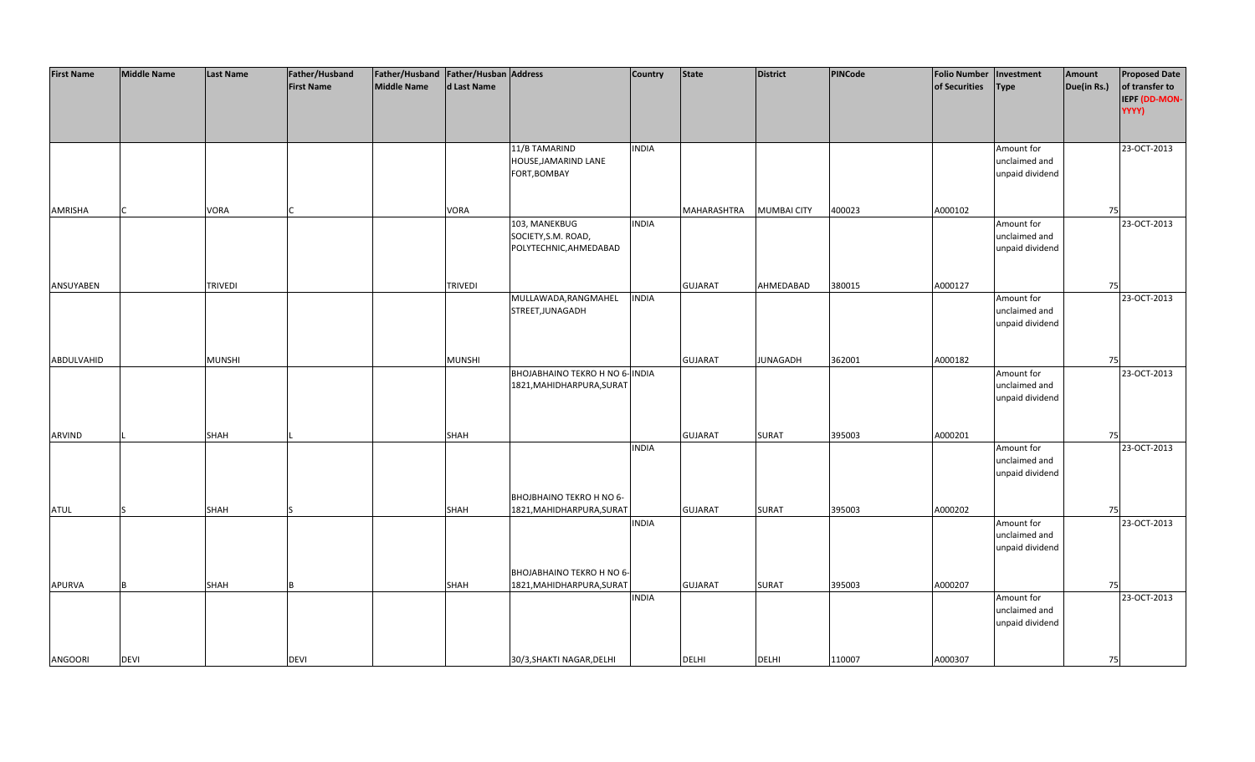| <b>First Name</b> | <b>Middle Name</b> | <b>Last Name</b> | Father/Husband    | Father/Husband Father/Husban Address |                |                                 | <b>Country</b> | <b>State</b>   | <b>District</b>    | PINCode | <b>Folio Number</b> | Investment      | Amount      | <b>Proposed Date</b> |
|-------------------|--------------------|------------------|-------------------|--------------------------------------|----------------|---------------------------------|----------------|----------------|--------------------|---------|---------------------|-----------------|-------------|----------------------|
|                   |                    |                  | <b>First Name</b> | <b>Middle Name</b>                   | d Last Name    |                                 |                |                |                    |         | of Securities       | <b>Type</b>     | Due(in Rs.) | of transfer to       |
|                   |                    |                  |                   |                                      |                |                                 |                |                |                    |         |                     |                 |             | IEPF (DD-MON-        |
|                   |                    |                  |                   |                                      |                |                                 |                |                |                    |         |                     |                 |             | YYYY)                |
|                   |                    |                  |                   |                                      |                |                                 |                |                |                    |         |                     |                 |             |                      |
|                   |                    |                  |                   |                                      |                |                                 |                |                |                    |         |                     |                 |             |                      |
|                   |                    |                  |                   |                                      |                | 11/B TAMARIND                   | <b>INDIA</b>   |                |                    |         |                     | Amount for      |             | 23-OCT-2013          |
|                   |                    |                  |                   |                                      |                | HOUSE, JAMARIND LANE            |                |                |                    |         |                     | unclaimed and   |             |                      |
|                   |                    |                  |                   |                                      |                | FORT, BOMBAY                    |                |                |                    |         |                     | unpaid dividend |             |                      |
|                   |                    |                  |                   |                                      |                |                                 |                |                |                    |         |                     |                 |             |                      |
|                   |                    |                  |                   |                                      |                |                                 |                |                |                    |         |                     |                 |             |                      |
| AMRISHA           |                    | VORA             |                   |                                      | VORA           |                                 |                | MAHARASHTRA    | <b>MUMBAI CITY</b> | 400023  | A000102             |                 | 75          |                      |
|                   |                    |                  |                   |                                      |                | 103, MANEKBUG                   | <b>INDIA</b>   |                |                    |         |                     | Amount for      |             | 23-OCT-2013          |
|                   |                    |                  |                   |                                      |                | SOCIETY, S.M. ROAD,             |                |                |                    |         |                     | unclaimed and   |             |                      |
|                   |                    |                  |                   |                                      |                | POLYTECHNIC, AHMEDABAD          |                |                |                    |         |                     | unpaid dividend |             |                      |
|                   |                    |                  |                   |                                      |                |                                 |                |                |                    |         |                     |                 |             |                      |
|                   |                    |                  |                   |                                      |                |                                 |                |                |                    |         |                     |                 |             |                      |
| ANSUYABEN         |                    | <b>TRIVEDI</b>   |                   |                                      | <b>TRIVEDI</b> |                                 |                | <b>GUJARAT</b> | AHMEDABAD          | 380015  | A000127             |                 | 75          |                      |
|                   |                    |                  |                   |                                      |                | MULLAWADA, RANGMAHEL            | <b>INDIA</b>   |                |                    |         |                     | Amount for      |             | 23-OCT-2013          |
|                   |                    |                  |                   |                                      |                | STREET, JUNAGADH                |                |                |                    |         |                     | unclaimed and   |             |                      |
|                   |                    |                  |                   |                                      |                |                                 |                |                |                    |         |                     | unpaid dividend |             |                      |
|                   |                    |                  |                   |                                      |                |                                 |                |                |                    |         |                     |                 |             |                      |
|                   |                    |                  |                   |                                      |                |                                 |                |                |                    |         |                     |                 |             |                      |
| ABDULVAHID        |                    | <b>MUNSHI</b>    |                   |                                      | <b>MUNSHI</b>  |                                 |                | <b>GUJARAT</b> | <b>JUNAGADH</b>    | 362001  | A000182             |                 | 75          |                      |
|                   |                    |                  |                   |                                      |                | BHOJABHAINO TEKRO H NO 6- INDIA |                |                |                    |         |                     | Amount for      |             | 23-OCT-2013          |
|                   |                    |                  |                   |                                      |                | 1821, MAHIDHARPURA, SURAT       |                |                |                    |         |                     | unclaimed and   |             |                      |
|                   |                    |                  |                   |                                      |                |                                 |                |                |                    |         |                     | unpaid dividend |             |                      |
|                   |                    |                  |                   |                                      |                |                                 |                |                |                    |         |                     |                 |             |                      |
|                   |                    |                  |                   |                                      |                |                                 |                |                |                    |         |                     |                 |             |                      |
| ARVIND            |                    | <b>SHAH</b>      |                   |                                      | <b>SHAH</b>    |                                 |                | <b>GUJARAT</b> | SURAT              | 395003  | A000201             |                 | 75          |                      |
|                   |                    |                  |                   |                                      |                |                                 | <b>INDIA</b>   |                |                    |         |                     | Amount for      |             | 23-OCT-2013          |
|                   |                    |                  |                   |                                      |                |                                 |                |                |                    |         |                     | unclaimed and   |             |                      |
|                   |                    |                  |                   |                                      |                |                                 |                |                |                    |         |                     | unpaid dividend |             |                      |
|                   |                    |                  |                   |                                      |                | BHOJBHAINO TEKRO H NO 6-        |                |                |                    |         |                     |                 |             |                      |
| <b>ATUL</b>       | S                  | <b>SHAH</b>      |                   |                                      | <b>SHAH</b>    | 1821, MAHIDHARPURA, SURAT       |                | <b>GUJARAT</b> | <b>SURAT</b>       | 395003  | A000202             |                 | 75          |                      |
|                   |                    |                  |                   |                                      |                |                                 | <b>INDIA</b>   |                |                    |         |                     | Amount for      |             | 23-OCT-2013          |
|                   |                    |                  |                   |                                      |                |                                 |                |                |                    |         |                     | unclaimed and   |             |                      |
|                   |                    |                  |                   |                                      |                |                                 |                |                |                    |         |                     | unpaid dividend |             |                      |
|                   |                    |                  |                   |                                      |                |                                 |                |                |                    |         |                     |                 |             |                      |
|                   |                    |                  |                   |                                      |                | BHOJABHAINO TEKRO H NO 6-       |                |                |                    |         |                     |                 |             |                      |
| <b>APURVA</b>     |                    | SHAH             |                   |                                      | SHAH           | 1821, MAHIDHARPURA, SURAT       |                | <b>GUJARAT</b> | <b>SURAT</b>       | 395003  | A000207             |                 | 75          |                      |
|                   |                    |                  |                   |                                      |                |                                 | <b>INDIA</b>   |                |                    |         |                     | Amount for      |             | 23-OCT-2013          |
|                   |                    |                  |                   |                                      |                |                                 |                |                |                    |         |                     | unclaimed and   |             |                      |
|                   |                    |                  |                   |                                      |                |                                 |                |                |                    |         |                     | unpaid dividend |             |                      |
|                   |                    |                  |                   |                                      |                |                                 |                |                |                    |         |                     |                 |             |                      |
|                   |                    |                  |                   |                                      |                |                                 |                |                |                    |         |                     |                 |             |                      |
| <b>ANGOORI</b>    | <b>DEVI</b>        |                  | <b>DEVI</b>       |                                      |                | 30/3, SHAKTI NAGAR, DELHI       |                | <b>DELHI</b>   | <b>DELHI</b>       | 110007  | A000307             |                 | 75          |                      |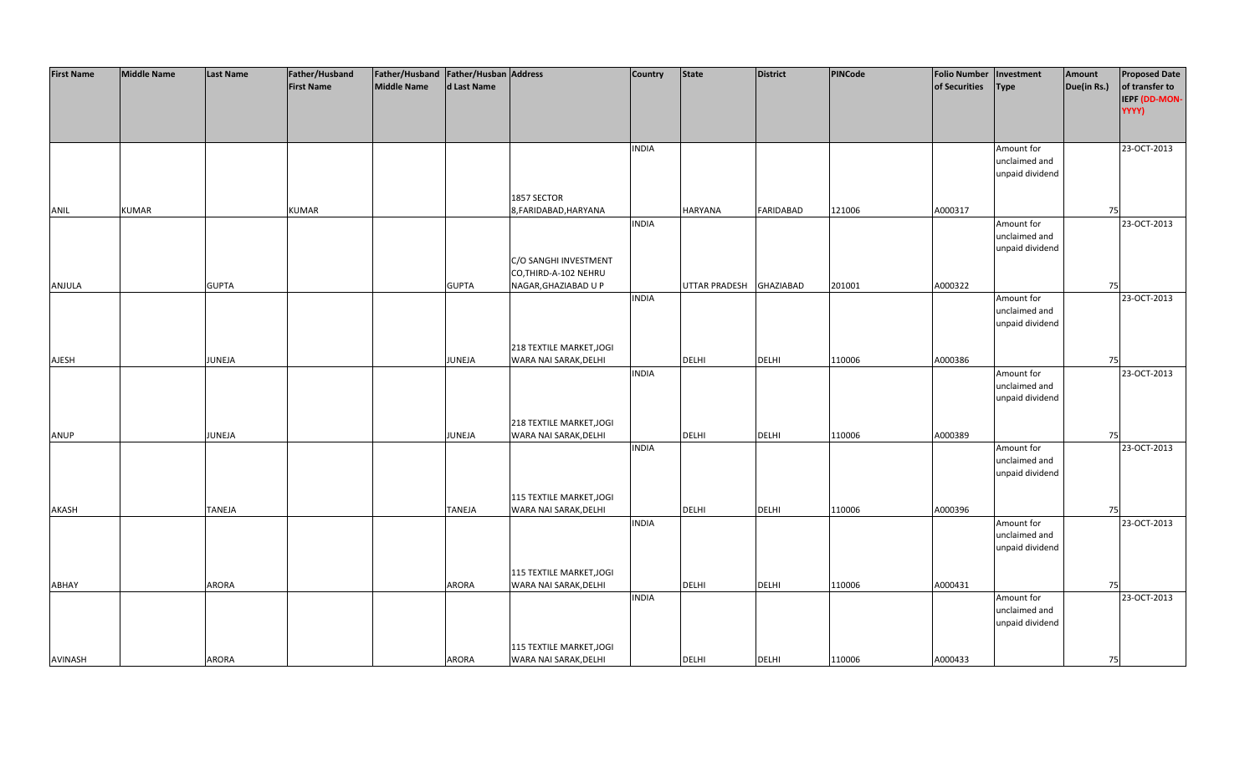| <b>First Name</b> | <b>Middle Name</b> | <b>Last Name</b> | Father/Husband    | Father/Husband   Father/Husban   Address |               |                                                   | <b>Country</b> | State         | <b>District</b>  | PINCode | Folio Number   Investment |                 | Amount      | <b>Proposed Date</b>   |
|-------------------|--------------------|------------------|-------------------|------------------------------------------|---------------|---------------------------------------------------|----------------|---------------|------------------|---------|---------------------------|-----------------|-------------|------------------------|
|                   |                    |                  | <b>First Name</b> | <b>Middle Name</b>                       | d Last Name   |                                                   |                |               |                  |         | of Securities             | <b>Type</b>     | Due(in Rs.) | of transfer to         |
|                   |                    |                  |                   |                                          |               |                                                   |                |               |                  |         |                           |                 |             | IEPF (DD-MON-<br>YYYY) |
|                   |                    |                  |                   |                                          |               |                                                   |                |               |                  |         |                           |                 |             |                        |
|                   |                    |                  |                   |                                          |               |                                                   |                |               |                  |         |                           |                 |             |                        |
|                   |                    |                  |                   |                                          |               |                                                   | <b>INDIA</b>   |               |                  |         |                           | Amount for      |             | 23-OCT-2013            |
|                   |                    |                  |                   |                                          |               |                                                   |                |               |                  |         |                           | unclaimed and   |             |                        |
|                   |                    |                  |                   |                                          |               |                                                   |                |               |                  |         |                           | unpaid dividend |             |                        |
|                   |                    |                  |                   |                                          |               |                                                   |                |               |                  |         |                           |                 |             |                        |
|                   |                    |                  |                   |                                          |               | 1857 SECTOR                                       |                |               |                  |         |                           |                 |             |                        |
| ANIL              | <b>KUMAR</b>       |                  | <b>KUMAR</b>      |                                          |               | 8, FARIDABAD, HARYANA                             | <b>INDIA</b>   | HARYANA       | <b>FARIDABAD</b> | 121006  | A000317                   | Amount for      | 75          | 23-OCT-2013            |
|                   |                    |                  |                   |                                          |               |                                                   |                |               |                  |         |                           | unclaimed and   |             |                        |
|                   |                    |                  |                   |                                          |               |                                                   |                |               |                  |         |                           | unpaid dividend |             |                        |
|                   |                    |                  |                   |                                          |               | C/O SANGHI INVESTMENT                             |                |               |                  |         |                           |                 |             |                        |
|                   |                    |                  |                   |                                          |               | CO, THIRD-A-102 NEHRU                             |                |               |                  |         |                           |                 |             |                        |
| ANJULA            |                    | <b>GUPTA</b>     |                   |                                          | <b>GUPTA</b>  | NAGAR, GHAZIABAD U P                              |                | UTTAR PRADESH | <b>GHAZIABAD</b> | 201001  | A000322                   |                 | 75          |                        |
|                   |                    |                  |                   |                                          |               |                                                   | <b>INDIA</b>   |               |                  |         |                           | Amount for      |             | 23-OCT-2013            |
|                   |                    |                  |                   |                                          |               |                                                   |                |               |                  |         |                           | unclaimed and   |             |                        |
|                   |                    |                  |                   |                                          |               |                                                   |                |               |                  |         |                           | unpaid dividend |             |                        |
|                   |                    |                  |                   |                                          |               | 218 TEXTILE MARKET, JOGI                          |                |               |                  |         |                           |                 |             |                        |
| AJESH             |                    | JUNEJA           |                   |                                          | JUNEJA        | WARA NAI SARAK, DELHI                             |                | <b>DELHI</b>  | DELHI            | 110006  | A000386                   |                 | 75          |                        |
|                   |                    |                  |                   |                                          |               |                                                   | <b>INDIA</b>   |               |                  |         |                           | Amount for      |             | 23-OCT-2013            |
|                   |                    |                  |                   |                                          |               |                                                   |                |               |                  |         |                           | unclaimed and   |             |                        |
|                   |                    |                  |                   |                                          |               |                                                   |                |               |                  |         |                           | unpaid dividend |             |                        |
|                   |                    |                  |                   |                                          |               |                                                   |                |               |                  |         |                           |                 |             |                        |
|                   |                    |                  |                   |                                          |               | 218 TEXTILE MARKET, JOGI                          |                |               |                  |         |                           |                 |             |                        |
| ANUP              |                    | JUNEJA           |                   |                                          | JUNEJA        | WARA NAI SARAK, DELHI                             | <b>INDIA</b>   | DELHI         | <b>DELHI</b>     | 110006  | A000389                   | Amount for      | 75          | 23-OCT-2013            |
|                   |                    |                  |                   |                                          |               |                                                   |                |               |                  |         |                           | unclaimed and   |             |                        |
|                   |                    |                  |                   |                                          |               |                                                   |                |               |                  |         |                           | unpaid dividend |             |                        |
|                   |                    |                  |                   |                                          |               |                                                   |                |               |                  |         |                           |                 |             |                        |
|                   |                    |                  |                   |                                          |               | 115 TEXTILE MARKET, JOGI                          |                |               |                  |         |                           |                 |             |                        |
| AKASH             |                    | <b>TANEJA</b>    |                   |                                          | <b>TANEJA</b> | WARA NAI SARAK, DELHI                             |                | <b>DELHI</b>  | <b>DELHI</b>     | 110006  | A000396                   |                 | 75          |                        |
|                   |                    |                  |                   |                                          |               |                                                   | <b>INDIA</b>   |               |                  |         |                           | Amount for      |             | 23-OCT-2013            |
|                   |                    |                  |                   |                                          |               |                                                   |                |               |                  |         |                           | unclaimed and   |             |                        |
|                   |                    |                  |                   |                                          |               |                                                   |                |               |                  |         |                           | unpaid dividend |             |                        |
|                   |                    |                  |                   |                                          |               | 115 TEXTILE MARKET, JOGI                          |                |               |                  |         |                           |                 |             |                        |
| ABHAY             |                    | <b>ARORA</b>     |                   |                                          | <b>ARORA</b>  | WARA NAI SARAK, DELHI                             |                | DELHI         | DELHI            | 110006  | A000431                   |                 | 75          |                        |
|                   |                    |                  |                   |                                          |               |                                                   | <b>INDIA</b>   |               |                  |         |                           | Amount for      |             | 23-OCT-2013            |
|                   |                    |                  |                   |                                          |               |                                                   |                |               |                  |         |                           | unclaimed and   |             |                        |
|                   |                    |                  |                   |                                          |               |                                                   |                |               |                  |         |                           | unpaid dividend |             |                        |
|                   |                    |                  |                   |                                          |               |                                                   |                |               |                  |         |                           |                 |             |                        |
| <b>AVINASH</b>    |                    | <b>ARORA</b>     |                   |                                          | ARORA         | 115 TEXTILE MARKET, JOGI<br>WARA NAI SARAK, DELHI |                | <b>DELHI</b>  | <b>DELHI</b>     | 110006  | A000433                   |                 | 75          |                        |
|                   |                    |                  |                   |                                          |               |                                                   |                |               |                  |         |                           |                 |             |                        |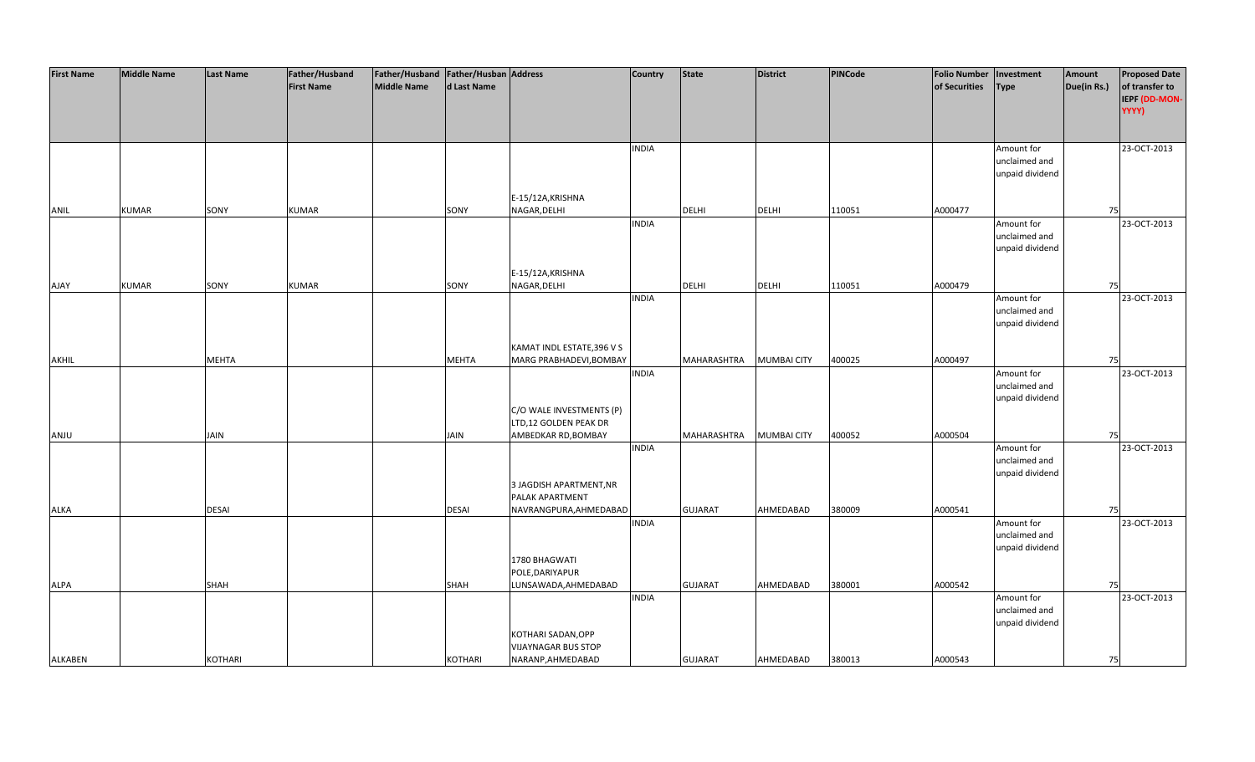| <b>First Name</b> | <b>Middle Name</b> | <b>Last Name</b> | Father/Husband    | Father/Husband Father/Husban Address |                |                            | <b>Country</b> | <b>State</b>       | <b>District</b>    | PINCode | <b>Folio Number</b> | Investment      | Amount      | <b>Proposed Date</b> |
|-------------------|--------------------|------------------|-------------------|--------------------------------------|----------------|----------------------------|----------------|--------------------|--------------------|---------|---------------------|-----------------|-------------|----------------------|
|                   |                    |                  | <b>First Name</b> | <b>Middle Name</b>                   | d Last Name    |                            |                |                    |                    |         | of Securities       | <b>Type</b>     | Due(in Rs.) | of transfer to       |
|                   |                    |                  |                   |                                      |                |                            |                |                    |                    |         |                     |                 |             | IEPF (DD-MON-        |
|                   |                    |                  |                   |                                      |                |                            |                |                    |                    |         |                     |                 |             | YYYY)                |
|                   |                    |                  |                   |                                      |                |                            |                |                    |                    |         |                     |                 |             |                      |
|                   |                    |                  |                   |                                      |                |                            |                |                    |                    |         |                     |                 |             |                      |
|                   |                    |                  |                   |                                      |                |                            | <b>INDIA</b>   |                    |                    |         |                     | Amount for      |             | 23-OCT-2013          |
|                   |                    |                  |                   |                                      |                |                            |                |                    |                    |         |                     | unclaimed and   |             |                      |
|                   |                    |                  |                   |                                      |                |                            |                |                    |                    |         |                     | unpaid dividend |             |                      |
|                   |                    |                  |                   |                                      |                |                            |                |                    |                    |         |                     |                 |             |                      |
|                   |                    |                  |                   |                                      |                | E-15/12A, KRISHNA          |                |                    |                    |         |                     |                 |             |                      |
| ANIL              | <b>KUMAR</b>       | SONY             | <b>KUMAR</b>      |                                      | SONY           | NAGAR, DELHI               |                | <b>DELHI</b>       | <b>DELHI</b>       | 110051  | A000477             |                 | 75          |                      |
|                   |                    |                  |                   |                                      |                |                            | <b>INDIA</b>   |                    |                    |         |                     | Amount for      |             | 23-OCT-2013          |
|                   |                    |                  |                   |                                      |                |                            |                |                    |                    |         |                     | unclaimed and   |             |                      |
|                   |                    |                  |                   |                                      |                |                            |                |                    |                    |         |                     | unpaid dividend |             |                      |
|                   |                    |                  |                   |                                      |                |                            |                |                    |                    |         |                     |                 |             |                      |
|                   |                    |                  |                   |                                      |                | E-15/12A, KRISHNA          |                |                    |                    |         |                     |                 |             |                      |
| <b>AJAY</b>       | <b>KUMAR</b>       | SONY             | <b>KUMAR</b>      |                                      | SONY           | NAGAR, DELHI               |                | <b>DELHI</b>       | <b>DELHI</b>       | 110051  | A000479             |                 | 75          |                      |
|                   |                    |                  |                   |                                      |                |                            | <b>INDIA</b>   |                    |                    |         |                     | Amount for      |             | 23-OCT-2013          |
|                   |                    |                  |                   |                                      |                |                            |                |                    |                    |         |                     | unclaimed and   |             |                      |
|                   |                    |                  |                   |                                      |                |                            |                |                    |                    |         |                     | unpaid dividend |             |                      |
|                   |                    |                  |                   |                                      |                |                            |                |                    |                    |         |                     |                 |             |                      |
|                   |                    |                  |                   |                                      |                |                            |                |                    |                    |         |                     |                 |             |                      |
|                   |                    |                  |                   |                                      |                | KAMAT INDL ESTATE, 396 V S |                |                    |                    |         |                     |                 |             |                      |
| AKHIL             |                    | <b>MEHTA</b>     |                   |                                      | <b>MEHTA</b>   | MARG PRABHADEVI, BOMBAY    |                | MAHARASHTRA        | <b>MUMBAI CITY</b> | 400025  | A000497             |                 | 75          |                      |
|                   |                    |                  |                   |                                      |                |                            | <b>INDIA</b>   |                    |                    |         |                     | Amount for      |             | 23-OCT-2013          |
|                   |                    |                  |                   |                                      |                |                            |                |                    |                    |         |                     | unclaimed and   |             |                      |
|                   |                    |                  |                   |                                      |                |                            |                |                    |                    |         |                     | unpaid dividend |             |                      |
|                   |                    |                  |                   |                                      |                | C/O WALE INVESTMENTS (P)   |                |                    |                    |         |                     |                 |             |                      |
|                   |                    |                  |                   |                                      |                | LTD,12 GOLDEN PEAK DR      |                |                    |                    |         |                     |                 |             |                      |
| ANJU              |                    | <b>JAIN</b>      |                   |                                      | <b>JAIN</b>    | AMBEDKAR RD, BOMBAY        |                | <b>MAHARASHTRA</b> | <b>MUMBAI CITY</b> | 400052  | A000504             |                 | 75          |                      |
|                   |                    |                  |                   |                                      |                |                            | <b>INDIA</b>   |                    |                    |         |                     | Amount for      |             | 23-OCT-2013          |
|                   |                    |                  |                   |                                      |                |                            |                |                    |                    |         |                     | unclaimed and   |             |                      |
|                   |                    |                  |                   |                                      |                |                            |                |                    |                    |         |                     | unpaid dividend |             |                      |
|                   |                    |                  |                   |                                      |                | 3 JAGDISH APARTMENT, NR    |                |                    |                    |         |                     |                 |             |                      |
|                   |                    |                  |                   |                                      |                | PALAK APARTMENT            |                |                    |                    |         |                     |                 |             |                      |
| <b>ALKA</b>       |                    | <b>DESAI</b>     |                   |                                      | <b>DESAI</b>   | NAVRANGPURA, AHMEDABAD     |                | <b>GUJARAT</b>     | AHMEDABAD          | 380009  | A000541             |                 | 75          |                      |
|                   |                    |                  |                   |                                      |                |                            | <b>INDIA</b>   |                    |                    |         |                     | Amount for      |             | 23-OCT-2013          |
|                   |                    |                  |                   |                                      |                |                            |                |                    |                    |         |                     | unclaimed and   |             |                      |
|                   |                    |                  |                   |                                      |                |                            |                |                    |                    |         |                     | unpaid dividend |             |                      |
|                   |                    |                  |                   |                                      |                | 1780 BHAGWATI              |                |                    |                    |         |                     |                 |             |                      |
|                   |                    |                  |                   |                                      |                | POLE, DARIYAPUR            |                |                    |                    |         |                     |                 |             |                      |
| <b>ALPA</b>       |                    | SHAH             |                   |                                      | SHAH           | LUNSAWADA, AHMEDABAD       |                | <b>GUJARAT</b>     | AHMEDABAD          | 380001  | A000542             |                 | 75          |                      |
|                   |                    |                  |                   |                                      |                |                            | <b>INDIA</b>   |                    |                    |         |                     | Amount for      |             | 23-OCT-2013          |
|                   |                    |                  |                   |                                      |                |                            |                |                    |                    |         |                     | unclaimed and   |             |                      |
|                   |                    |                  |                   |                                      |                |                            |                |                    |                    |         |                     | unpaid dividend |             |                      |
|                   |                    |                  |                   |                                      |                | KOTHARI SADAN, OPP         |                |                    |                    |         |                     |                 |             |                      |
|                   |                    |                  |                   |                                      |                | <b>VIJAYNAGAR BUS STOP</b> |                |                    |                    |         |                     |                 |             |                      |
| <b>ALKABEN</b>    |                    | <b>KOTHARI</b>   |                   |                                      | <b>KOTHARI</b> | NARANP, AHMEDABAD          |                | <b>GUJARAT</b>     | AHMEDABAD          | 380013  | A000543             |                 | 75          |                      |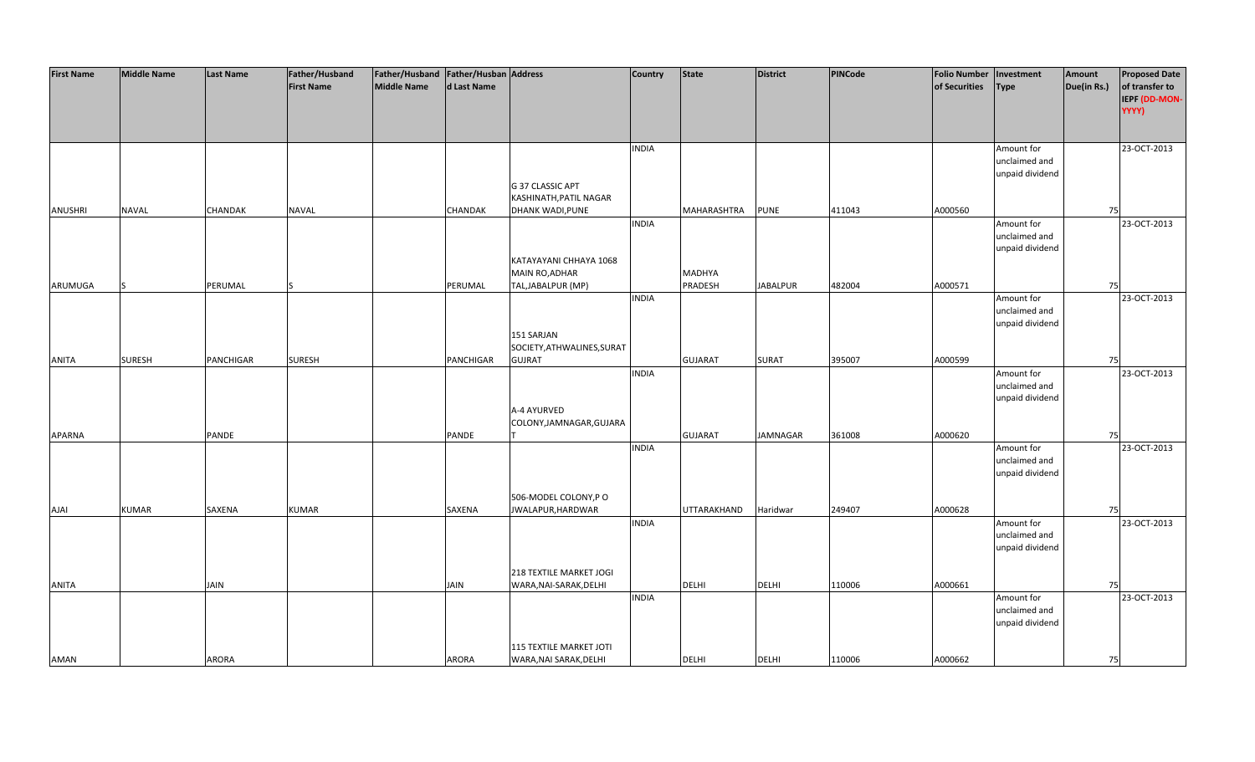| <b>First Name</b> | <b>Middle Name</b> | <b>Last Name</b> | Father/Husband    | Father/Husband   Father/Husban   Address |             |                                | <b>Country</b> | <b>State</b>             | District        | PINCode | <b>Folio Number</b> | Investment                       | Amount      | <b>Proposed Date</b> |
|-------------------|--------------------|------------------|-------------------|------------------------------------------|-------------|--------------------------------|----------------|--------------------------|-----------------|---------|---------------------|----------------------------------|-------------|----------------------|
|                   |                    |                  | <b>First Name</b> | Middle Name                              | d Last Name |                                |                |                          |                 |         | of Securities       | Type                             | Due(in Rs.) | of transfer to       |
|                   |                    |                  |                   |                                          |             |                                |                |                          |                 |         |                     |                                  |             | IEPF (DD-MON-        |
|                   |                    |                  |                   |                                          |             |                                |                |                          |                 |         |                     |                                  |             | YYYY)                |
|                   |                    |                  |                   |                                          |             |                                |                |                          |                 |         |                     |                                  |             |                      |
|                   |                    |                  |                   |                                          |             |                                | <b>INDIA</b>   |                          |                 |         |                     | Amount for                       |             | 23-OCT-2013          |
|                   |                    |                  |                   |                                          |             |                                |                |                          |                 |         |                     | unclaimed and                    |             |                      |
|                   |                    |                  |                   |                                          |             |                                |                |                          |                 |         |                     | unpaid dividend                  |             |                      |
|                   |                    |                  |                   |                                          |             | G 37 CLASSIC APT               |                |                          |                 |         |                     |                                  |             |                      |
|                   |                    |                  |                   |                                          |             | KASHINATH, PATIL NAGAR         |                |                          |                 |         |                     |                                  |             |                      |
| <b>ANUSHRI</b>    | <b>NAVAL</b>       | CHANDAK          | <b>NAVAL</b>      |                                          | CHANDAK     | DHANK WADI, PUNE               |                | MAHARASHTRA              | <b>PUNE</b>     | 411043  | A000560             |                                  | 75          |                      |
|                   |                    |                  |                   |                                          |             |                                | <b>INDIA</b>   |                          |                 |         |                     | Amount for                       |             | 23-OCT-2013          |
|                   |                    |                  |                   |                                          |             |                                |                |                          |                 |         |                     | unclaimed and                    |             |                      |
|                   |                    |                  |                   |                                          |             |                                |                |                          |                 |         |                     | unpaid dividend                  |             |                      |
|                   |                    |                  |                   |                                          |             | KATAYAYANI CHHAYA 1068         |                |                          |                 |         |                     |                                  |             |                      |
| ARUMUGA           |                    | PERUMAL          |                   |                                          | PERUMAL     | MAIN RO, ADHAR                 |                | <b>MADHYA</b><br>PRADESH | <b>JABALPUR</b> | 482004  | A000571             |                                  | 75          |                      |
|                   |                    |                  |                   |                                          |             | TAL, JABALPUR (MP)             | <b>INDIA</b>   |                          |                 |         |                     | Amount for                       |             | 23-OCT-2013          |
|                   |                    |                  |                   |                                          |             |                                |                |                          |                 |         |                     | unclaimed and                    |             |                      |
|                   |                    |                  |                   |                                          |             |                                |                |                          |                 |         |                     | unpaid dividend                  |             |                      |
|                   |                    |                  |                   |                                          |             | 151 SARJAN                     |                |                          |                 |         |                     |                                  |             |                      |
|                   |                    |                  |                   |                                          |             | SOCIETY, ATHWALINES, SURAT     |                |                          |                 |         |                     |                                  |             |                      |
| <b>ANITA</b>      | <b>SURESH</b>      | PANCHIGAR        | <b>SURESH</b>     |                                          | PANCHIGAR   | <b>GUJRAT</b>                  |                | <b>GUJARAT</b>           | <b>SURAT</b>    | 395007  | A000599             |                                  | 75          |                      |
|                   |                    |                  |                   |                                          |             |                                | <b>INDIA</b>   |                          |                 |         |                     | Amount for                       |             | 23-OCT-2013          |
|                   |                    |                  |                   |                                          |             |                                |                |                          |                 |         |                     | unclaimed and                    |             |                      |
|                   |                    |                  |                   |                                          |             |                                |                |                          |                 |         |                     | unpaid dividend                  |             |                      |
|                   |                    |                  |                   |                                          |             | A-4 AYURVED                    |                |                          |                 |         |                     |                                  |             |                      |
|                   |                    |                  |                   |                                          |             | COLONY, JAMNAGAR, GUJARA       |                |                          |                 |         |                     |                                  |             |                      |
| APARNA            |                    | PANDE            |                   |                                          | PANDE       |                                |                | <b>GUJARAT</b>           | <b>JAMNAGAR</b> | 361008  | A000620             |                                  | 75          |                      |
|                   |                    |                  |                   |                                          |             |                                | <b>INDIA</b>   |                          |                 |         |                     | Amount for<br>unclaimed and      |             | 23-OCT-2013          |
|                   |                    |                  |                   |                                          |             |                                |                |                          |                 |         |                     | unpaid dividend                  |             |                      |
|                   |                    |                  |                   |                                          |             |                                |                |                          |                 |         |                     |                                  |             |                      |
|                   |                    |                  |                   |                                          |             | 506-MODEL COLONY, PO           |                |                          |                 |         |                     |                                  |             |                      |
| <b>AJAI</b>       | <b>KUMAR</b>       | SAXENA           | <b>KUMAR</b>      |                                          | SAXENA      | JWALAPUR, HARDWAR              |                | UTTARAKHAND              | Haridwar        | 249407  | A000628             |                                  | 75          |                      |
|                   |                    |                  |                   |                                          |             |                                | <b>INDIA</b>   |                          |                 |         |                     | Amount for                       |             | 23-OCT-2013          |
|                   |                    |                  |                   |                                          |             |                                |                |                          |                 |         |                     | unclaimed and                    |             |                      |
|                   |                    |                  |                   |                                          |             |                                |                |                          |                 |         |                     | unpaid dividend                  |             |                      |
|                   |                    |                  |                   |                                          |             |                                |                |                          |                 |         |                     |                                  |             |                      |
|                   |                    |                  |                   |                                          |             | 218 TEXTILE MARKET JOGI        |                |                          |                 |         |                     |                                  |             |                      |
| <b>ANITA</b>      |                    | JAIN             |                   |                                          | <b>JAIN</b> | WARA, NAI-SARAK, DELHI         |                | <b>DELHI</b>             | <b>DELHI</b>    | 110006  | A000661             |                                  | 75          |                      |
|                   |                    |                  |                   |                                          |             |                                | <b>INDIA</b>   |                          |                 |         |                     | Amount for                       |             | 23-OCT-2013          |
|                   |                    |                  |                   |                                          |             |                                |                |                          |                 |         |                     | unclaimed and<br>unpaid dividend |             |                      |
|                   |                    |                  |                   |                                          |             |                                |                |                          |                 |         |                     |                                  |             |                      |
|                   |                    |                  |                   |                                          |             | <b>115 TEXTILE MARKET JOTI</b> |                |                          |                 |         |                     |                                  |             |                      |
| AMAN              |                    | ARORA            |                   |                                          | ARORA       | WARA, NAI SARAK, DELHI         |                | <b>DELHI</b>             | <b>DELHI</b>    | 110006  | A000662             |                                  | 75          |                      |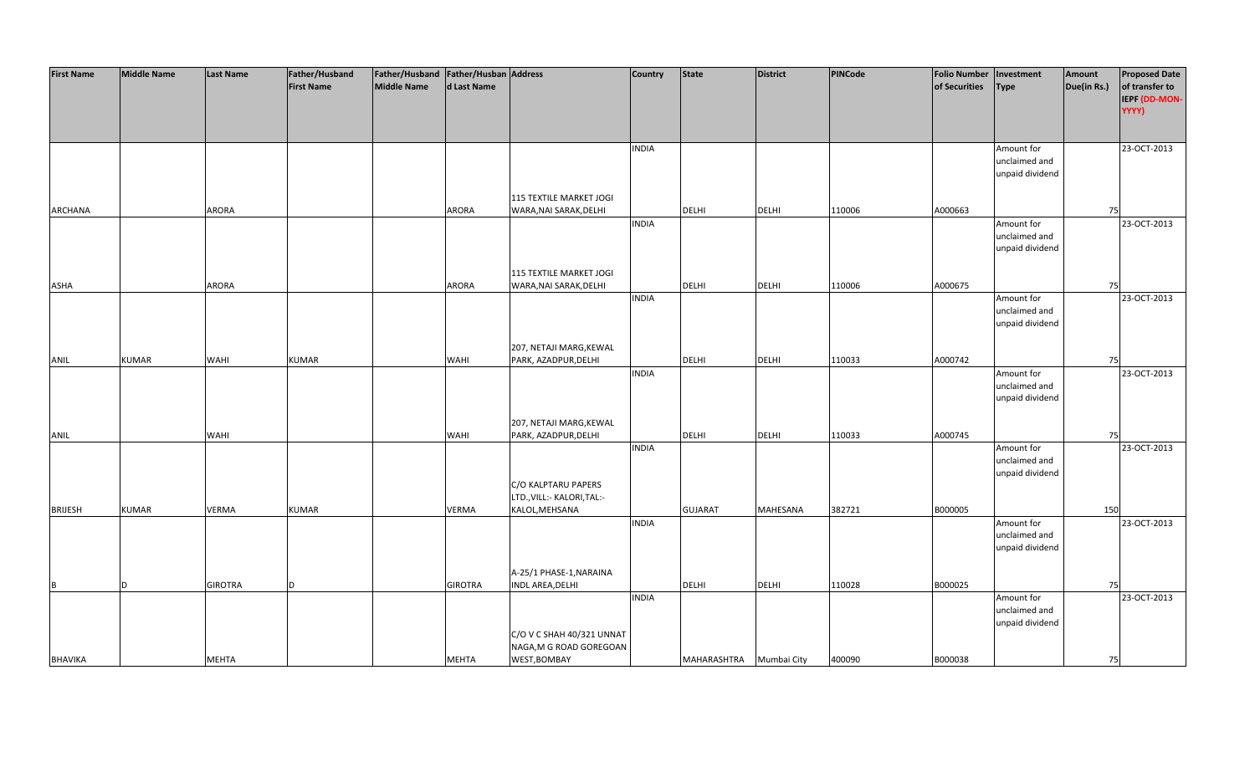| <b>First Name</b> | <b>Middle Name</b> | <b>Last Name</b> | Father/Husband    | Father/Husband Father/Husban Address |                |                                                 | <b>Country</b> | <b>State</b>            | <b>District</b> | PINCode | <b>Folio Number</b> | Investment      | Amount      | <b>Proposed Date</b> |
|-------------------|--------------------|------------------|-------------------|--------------------------------------|----------------|-------------------------------------------------|----------------|-------------------------|-----------------|---------|---------------------|-----------------|-------------|----------------------|
|                   |                    |                  | <b>First Name</b> | <b>Middle Name</b>                   | d Last Name    |                                                 |                |                         |                 |         | of Securities       | <b>Type</b>     | Due(in Rs.) | of transfer to       |
|                   |                    |                  |                   |                                      |                |                                                 |                |                         |                 |         |                     |                 |             | IEPF (DD-MON-        |
|                   |                    |                  |                   |                                      |                |                                                 |                |                         |                 |         |                     |                 |             | YYYY)                |
|                   |                    |                  |                   |                                      |                |                                                 |                |                         |                 |         |                     |                 |             |                      |
|                   |                    |                  |                   |                                      |                |                                                 |                |                         |                 |         |                     |                 |             |                      |
|                   |                    |                  |                   |                                      |                |                                                 | <b>INDIA</b>   |                         |                 |         |                     | Amount for      |             | 23-OCT-2013          |
|                   |                    |                  |                   |                                      |                |                                                 |                |                         |                 |         |                     | unclaimed and   |             |                      |
|                   |                    |                  |                   |                                      |                |                                                 |                |                         |                 |         |                     | unpaid dividend |             |                      |
|                   |                    |                  |                   |                                      |                |                                                 |                |                         |                 |         |                     |                 |             |                      |
|                   |                    |                  |                   |                                      |                | 115 TEXTILE MARKET JOGI                         |                |                         |                 |         |                     |                 |             |                      |
| ARCHANA           |                    | ARORA            |                   |                                      | <b>ARORA</b>   | WARA, NAI SARAK, DELHI                          |                | <b>DELHI</b>            | <b>DELHI</b>    | 110006  | A000663             |                 | 75          |                      |
|                   |                    |                  |                   |                                      |                |                                                 | <b>INDIA</b>   |                         |                 |         |                     | Amount for      |             | 23-OCT-2013          |
|                   |                    |                  |                   |                                      |                |                                                 |                |                         |                 |         |                     | unclaimed and   |             |                      |
|                   |                    |                  |                   |                                      |                |                                                 |                |                         |                 |         |                     | unpaid dividend |             |                      |
|                   |                    |                  |                   |                                      |                |                                                 |                |                         |                 |         |                     |                 |             |                      |
|                   |                    |                  |                   |                                      |                | 115 TEXTILE MARKET JOGI                         |                |                         |                 |         |                     |                 |             |                      |
| ASHA              |                    | <b>ARORA</b>     |                   |                                      | <b>ARORA</b>   | WARA, NAI SARAK, DELHI                          |                | <b>DELHI</b>            | <b>DELHI</b>    | 110006  | A000675             |                 | 75          |                      |
|                   |                    |                  |                   |                                      |                |                                                 | <b>INDIA</b>   |                         |                 |         |                     | Amount for      |             | 23-OCT-2013          |
|                   |                    |                  |                   |                                      |                |                                                 |                |                         |                 |         |                     | unclaimed and   |             |                      |
|                   |                    |                  |                   |                                      |                |                                                 |                |                         |                 |         |                     |                 |             |                      |
|                   |                    |                  |                   |                                      |                |                                                 |                |                         |                 |         |                     | unpaid dividend |             |                      |
|                   |                    |                  |                   |                                      |                |                                                 |                |                         |                 |         |                     |                 |             |                      |
|                   |                    |                  |                   |                                      |                | 207, NETAJI MARG, KEWAL<br>PARK, AZADPUR, DELHI |                |                         |                 | 110033  |                     |                 |             |                      |
| ANIL              | <b>KUMAR</b>       | WAHI             | <b>KUMAR</b>      |                                      | <b>WAHI</b>    |                                                 |                | DELHI                   | <b>DELHI</b>    |         | A000742             |                 | 75          |                      |
|                   |                    |                  |                   |                                      |                |                                                 | <b>INDIA</b>   |                         |                 |         |                     | Amount for      |             | 23-OCT-2013          |
|                   |                    |                  |                   |                                      |                |                                                 |                |                         |                 |         |                     | unclaimed and   |             |                      |
|                   |                    |                  |                   |                                      |                |                                                 |                |                         |                 |         |                     | unpaid dividend |             |                      |
|                   |                    |                  |                   |                                      |                |                                                 |                |                         |                 |         |                     |                 |             |                      |
|                   |                    |                  |                   |                                      |                | 207, NETAJI MARG, KEWAL                         |                |                         |                 |         |                     |                 |             |                      |
| ANIL              |                    | WAHI             |                   |                                      | <b>WAHI</b>    | PARK, AZADPUR, DELHI                            |                | <b>DELHI</b>            | <b>DELHI</b>    | 110033  | A000745             |                 | 75          |                      |
|                   |                    |                  |                   |                                      |                |                                                 | <b>INDIA</b>   |                         |                 |         |                     | Amount for      |             | 23-OCT-2013          |
|                   |                    |                  |                   |                                      |                |                                                 |                |                         |                 |         |                     | unclaimed and   |             |                      |
|                   |                    |                  |                   |                                      |                |                                                 |                |                         |                 |         |                     | unpaid dividend |             |                      |
|                   |                    |                  |                   |                                      |                | C/O KALPTARU PAPERS                             |                |                         |                 |         |                     |                 |             |                      |
|                   |                    |                  |                   |                                      |                | LTD., VILL:- KALORI, TAL:-                      |                |                         |                 |         |                     |                 |             |                      |
| <b>BRIJESH</b>    | <b>KUMAR</b>       | <b>VERMA</b>     | <b>KUMAR</b>      |                                      | <b>VERMA</b>   | KALOL, MEHSANA                                  |                | <b>GUJARAT</b>          | <b>MAHESANA</b> | 382721  | B000005             |                 | 150         |                      |
|                   |                    |                  |                   |                                      |                |                                                 | <b>INDIA</b>   |                         |                 |         |                     | Amount for      |             | 23-OCT-2013          |
|                   |                    |                  |                   |                                      |                |                                                 |                |                         |                 |         |                     | unclaimed and   |             |                      |
|                   |                    |                  |                   |                                      |                |                                                 |                |                         |                 |         |                     | unpaid dividend |             |                      |
|                   |                    |                  |                   |                                      |                |                                                 |                |                         |                 |         |                     |                 |             |                      |
|                   |                    |                  |                   |                                      |                | A-25/1 PHASE-1, NARAINA                         |                |                         |                 |         |                     |                 |             |                      |
| B                 | D                  | <b>GIROTRA</b>   | D.                |                                      | <b>GIROTRA</b> | INDL AREA, DELHI                                |                | DELHI                   | <b>DELHI</b>    | 110028  | B000025             |                 | 75          |                      |
|                   |                    |                  |                   |                                      |                |                                                 | <b>INDIA</b>   |                         |                 |         |                     | Amount for      |             | 23-OCT-2013          |
|                   |                    |                  |                   |                                      |                |                                                 |                |                         |                 |         |                     | unclaimed and   |             |                      |
|                   |                    |                  |                   |                                      |                |                                                 |                |                         |                 |         |                     | unpaid dividend |             |                      |
|                   |                    |                  |                   |                                      |                | C/O V C SHAH 40/321 UNNAT                       |                |                         |                 |         |                     |                 |             |                      |
|                   |                    |                  |                   |                                      |                | NAGA, M G ROAD GOREGOAN                         |                |                         |                 |         |                     |                 |             |                      |
| <b>BHAVIKA</b>    |                    | <b>MEHTA</b>     |                   |                                      | <b>MEHTA</b>   | WEST, BOMBAY                                    |                | MAHARASHTRA Mumbai City |                 | 400090  | B000038             |                 | 75          |                      |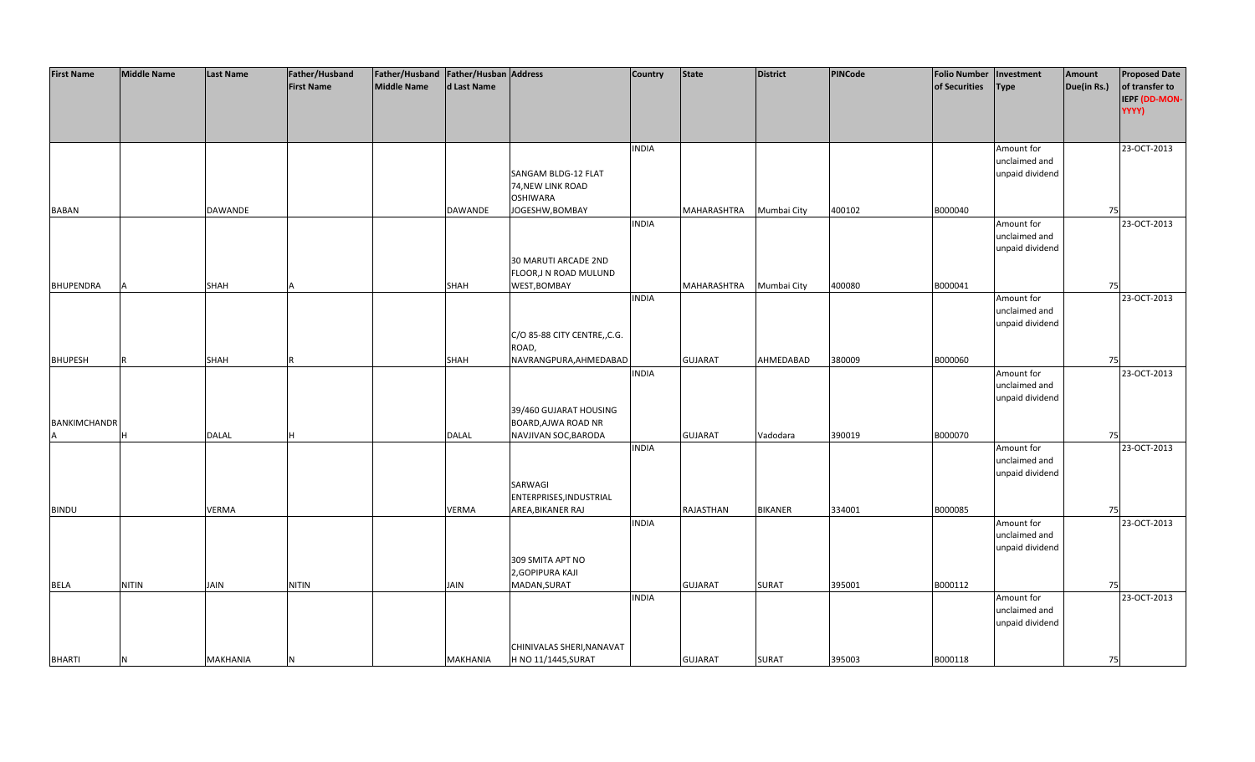| <b>First Name</b>   | <b>Middle Name</b> | <b>Last Name</b> | Father/Husband    | Father/Husband Father/Husban Address |                 |                              | <b>Country</b> | <b>State</b>   | <b>District</b> | PINCode | <b>Folio Number</b> | Investment      | Amount      | <b>Proposed Date</b> |
|---------------------|--------------------|------------------|-------------------|--------------------------------------|-----------------|------------------------------|----------------|----------------|-----------------|---------|---------------------|-----------------|-------------|----------------------|
|                     |                    |                  | <b>First Name</b> | <b>Middle Name</b>                   | d Last Name     |                              |                |                |                 |         | of Securities       | <b>Type</b>     | Due(in Rs.) | of transfer to       |
|                     |                    |                  |                   |                                      |                 |                              |                |                |                 |         |                     |                 |             | IEPF (DD-MON-        |
|                     |                    |                  |                   |                                      |                 |                              |                |                |                 |         |                     |                 |             | YYYY)                |
|                     |                    |                  |                   |                                      |                 |                              |                |                |                 |         |                     |                 |             |                      |
|                     |                    |                  |                   |                                      |                 |                              |                |                |                 |         |                     |                 |             |                      |
|                     |                    |                  |                   |                                      |                 |                              | <b>INDIA</b>   |                |                 |         |                     | Amount for      |             | 23-OCT-2013          |
|                     |                    |                  |                   |                                      |                 |                              |                |                |                 |         |                     | unclaimed and   |             |                      |
|                     |                    |                  |                   |                                      |                 | SANGAM BLDG-12 FLAT          |                |                |                 |         |                     | unpaid dividend |             |                      |
|                     |                    |                  |                   |                                      |                 | 74, NEW LINK ROAD            |                |                |                 |         |                     |                 |             |                      |
|                     |                    |                  |                   |                                      |                 | <b>OSHIWARA</b>              |                |                |                 |         |                     |                 |             |                      |
| <b>BABAN</b>        |                    | <b>DAWANDE</b>   |                   |                                      | DAWANDE         | JOGESHW, BOMBAY              |                | MAHARASHTRA    | Mumbai City     | 400102  | B000040             |                 | 75          |                      |
|                     |                    |                  |                   |                                      |                 |                              | <b>INDIA</b>   |                |                 |         |                     | Amount for      |             | 23-OCT-2013          |
|                     |                    |                  |                   |                                      |                 |                              |                |                |                 |         |                     | unclaimed and   |             |                      |
|                     |                    |                  |                   |                                      |                 |                              |                |                |                 |         |                     | unpaid dividend |             |                      |
|                     |                    |                  |                   |                                      |                 | 30 MARUTI ARCADE 2ND         |                |                |                 |         |                     |                 |             |                      |
|                     |                    |                  |                   |                                      |                 | FLOOR, JN ROAD MULUND        |                |                |                 |         |                     |                 |             |                      |
| <b>BHUPENDRA</b>    |                    | <b>SHAH</b>      |                   |                                      | SHAH            | WEST, BOMBAY                 |                | MAHARASHTRA    | Mumbai City     | 400080  | B000041             |                 | 75          |                      |
|                     |                    |                  |                   |                                      |                 |                              | <b>INDIA</b>   |                |                 |         |                     | Amount for      |             | 23-OCT-2013          |
|                     |                    |                  |                   |                                      |                 |                              |                |                |                 |         |                     | unclaimed and   |             |                      |
|                     |                    |                  |                   |                                      |                 |                              |                |                |                 |         |                     | unpaid dividend |             |                      |
|                     |                    |                  |                   |                                      |                 | C/O 85-88 CITY CENTRE,, C.G. |                |                |                 |         |                     |                 |             |                      |
|                     |                    |                  |                   |                                      |                 | ROAD,                        |                |                |                 |         |                     |                 |             |                      |
| <b>BHUPESH</b>      |                    | <b>SHAH</b>      |                   |                                      | <b>SHAH</b>     | NAVRANGPURA, AHMEDABAD       |                | <b>GUJARAT</b> | AHMEDABAD       | 380009  | B000060             |                 | 75          |                      |
|                     |                    |                  |                   |                                      |                 |                              | <b>INDIA</b>   |                |                 |         |                     | Amount for      |             | 23-OCT-2013          |
|                     |                    |                  |                   |                                      |                 |                              |                |                |                 |         |                     | unclaimed and   |             |                      |
|                     |                    |                  |                   |                                      |                 |                              |                |                |                 |         |                     | unpaid dividend |             |                      |
|                     |                    |                  |                   |                                      |                 | 39/460 GUJARAT HOUSING       |                |                |                 |         |                     |                 |             |                      |
| <b>BANKIMCHANDR</b> |                    |                  |                   |                                      |                 | BOARD, AJWA ROAD NR          |                |                |                 |         |                     |                 |             |                      |
|                     | н                  | <b>DALAL</b>     |                   |                                      | <b>DALAL</b>    | NAVJIVAN SOC, BARODA         |                | <b>GUJARAT</b> | Vadodara        | 390019  | B000070             |                 | 75          |                      |
|                     |                    |                  |                   |                                      |                 |                              | <b>INDIA</b>   |                |                 |         |                     | Amount for      |             | 23-OCT-2013          |
|                     |                    |                  |                   |                                      |                 |                              |                |                |                 |         |                     | unclaimed and   |             |                      |
|                     |                    |                  |                   |                                      |                 |                              |                |                |                 |         |                     | unpaid dividend |             |                      |
|                     |                    |                  |                   |                                      |                 | SARWAGI                      |                |                |                 |         |                     |                 |             |                      |
|                     |                    |                  |                   |                                      |                 | ENTERPRISES, INDUSTRIAL      |                |                |                 |         |                     |                 |             |                      |
| <b>BINDU</b>        |                    | <b>VERMA</b>     |                   |                                      | VERMA           | AREA, BIKANER RAJ            |                | RAJASTHAN      | <b>BIKANER</b>  | 334001  | B000085             |                 | 75          |                      |
|                     |                    |                  |                   |                                      |                 |                              | <b>INDIA</b>   |                |                 |         |                     | Amount for      |             | 23-OCT-2013          |
|                     |                    |                  |                   |                                      |                 |                              |                |                |                 |         |                     | unclaimed and   |             |                      |
|                     |                    |                  |                   |                                      |                 |                              |                |                |                 |         |                     | unpaid dividend |             |                      |
|                     |                    |                  |                   |                                      |                 | 309 SMITA APT NO             |                |                |                 |         |                     |                 |             |                      |
|                     |                    |                  |                   |                                      |                 | 2, GOPIPURA KAJI             |                |                |                 |         |                     |                 |             |                      |
| <b>BELA</b>         | <b>NITIN</b>       | JAIN             | <b>NITIN</b>      |                                      | <b>JAIN</b>     | MADAN, SURAT                 |                | <b>GUJARAT</b> | <b>SURAT</b>    | 395001  | B000112             |                 | 75          |                      |
|                     |                    |                  |                   |                                      |                 |                              | <b>INDIA</b>   |                |                 |         |                     | Amount for      |             | 23-OCT-2013          |
|                     |                    |                  |                   |                                      |                 |                              |                |                |                 |         |                     | unclaimed and   |             |                      |
|                     |                    |                  |                   |                                      |                 |                              |                |                |                 |         |                     | unpaid dividend |             |                      |
|                     |                    |                  |                   |                                      |                 |                              |                |                |                 |         |                     |                 |             |                      |
|                     |                    |                  |                   |                                      |                 | CHINIVALAS SHERI, NANAVAT    |                |                |                 |         |                     |                 |             |                      |
| <b>BHARTI</b>       | <b>N</b>           | <b>MAKHANIA</b>  | N                 |                                      | <b>MAKHANIA</b> | H NO 11/1445, SURAT          |                | <b>GUJARAT</b> | <b>SURAT</b>    | 395003  | B000118             |                 | 75          |                      |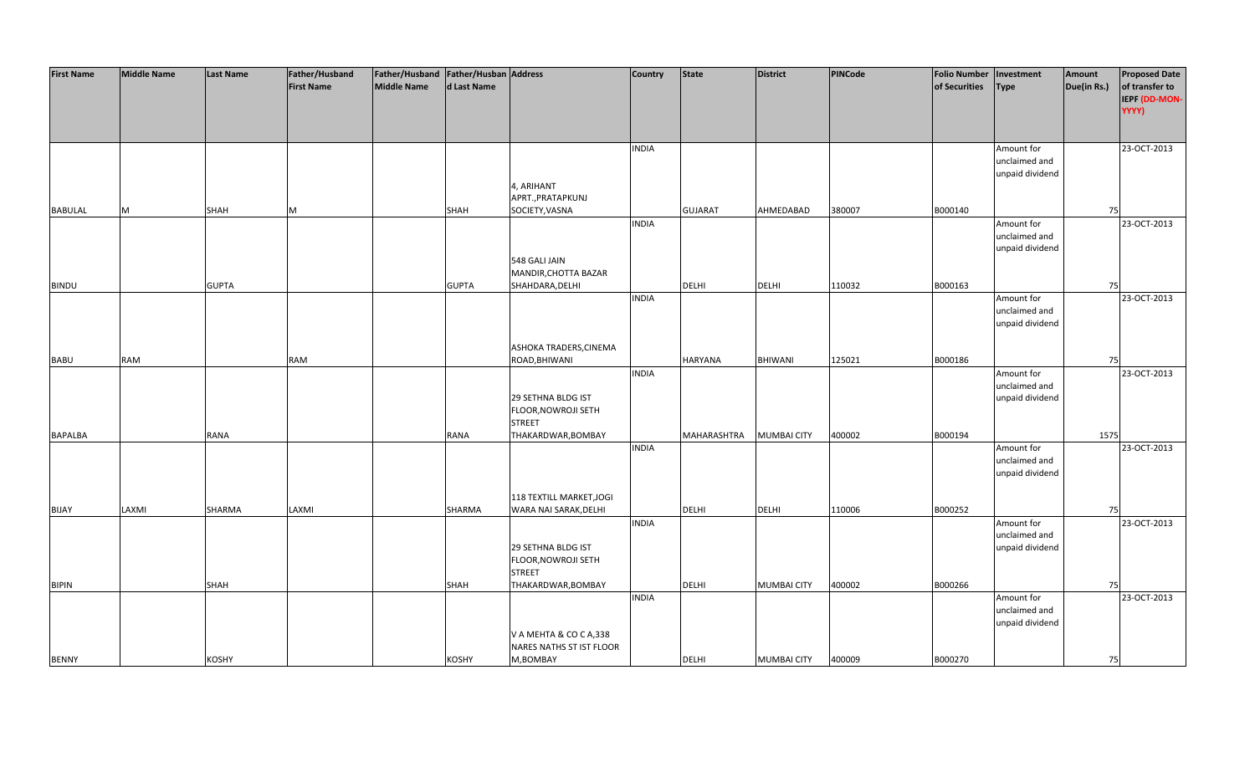| <b>First Name</b> | <b>Middle Name</b> | <b>Last Name</b> | Father/Husband    | Father/Husband   Father/Husban   Address |              |                          | <b>Country</b> | <b>State</b>       | <b>District</b>    | PINCode | <b>Folio Number</b> | Investment      | Amount      | <b>Proposed Date</b> |
|-------------------|--------------------|------------------|-------------------|------------------------------------------|--------------|--------------------------|----------------|--------------------|--------------------|---------|---------------------|-----------------|-------------|----------------------|
|                   |                    |                  | <b>First Name</b> | <b>Middle Name</b>                       | d Last Name  |                          |                |                    |                    |         | of Securities       | <b>Type</b>     | Due(in Rs.) | of transfer to       |
|                   |                    |                  |                   |                                          |              |                          |                |                    |                    |         |                     |                 |             | IEPF (DD-MON-        |
|                   |                    |                  |                   |                                          |              |                          |                |                    |                    |         |                     |                 |             | YYYY)                |
|                   |                    |                  |                   |                                          |              |                          |                |                    |                    |         |                     |                 |             |                      |
|                   |                    |                  |                   |                                          |              |                          |                |                    |                    |         |                     |                 |             |                      |
|                   |                    |                  |                   |                                          |              |                          | <b>INDIA</b>   |                    |                    |         |                     | Amount for      |             | 23-OCT-2013          |
|                   |                    |                  |                   |                                          |              |                          |                |                    |                    |         |                     | unclaimed and   |             |                      |
|                   |                    |                  |                   |                                          |              |                          |                |                    |                    |         |                     | unpaid dividend |             |                      |
|                   |                    |                  |                   |                                          |              | 4, ARIHANT               |                |                    |                    |         |                     |                 |             |                      |
|                   |                    |                  |                   |                                          |              | APRT., PRATAPKUNJ        |                |                    |                    |         |                     |                 |             |                      |
| <b>BABULAL</b>    | M                  | <b>SHAH</b>      | M                 |                                          | <b>SHAH</b>  | SOCIETY, VASNA           |                | <b>GUJARAT</b>     | AHMEDABAD          | 380007  | B000140             |                 | 75          |                      |
|                   |                    |                  |                   |                                          |              |                          | <b>INDIA</b>   |                    |                    |         |                     | Amount for      |             | 23-OCT-2013          |
|                   |                    |                  |                   |                                          |              |                          |                |                    |                    |         |                     | unclaimed and   |             |                      |
|                   |                    |                  |                   |                                          |              |                          |                |                    |                    |         |                     | unpaid dividend |             |                      |
|                   |                    |                  |                   |                                          |              | 548 GALI JAIN            |                |                    |                    |         |                     |                 |             |                      |
|                   |                    |                  |                   |                                          |              | MANDIR, CHOTTA BAZAR     |                |                    |                    |         |                     |                 |             |                      |
| <b>BINDU</b>      |                    | <b>GUPTA</b>     |                   |                                          | <b>GUPTA</b> | SHAHDARA, DELHI          |                | <b>DELHI</b>       | <b>DELHI</b>       | 110032  | B000163             |                 | 75          |                      |
|                   |                    |                  |                   |                                          |              |                          | <b>INDIA</b>   |                    |                    |         |                     | Amount for      |             | 23-OCT-2013          |
|                   |                    |                  |                   |                                          |              |                          |                |                    |                    |         |                     | unclaimed and   |             |                      |
|                   |                    |                  |                   |                                          |              |                          |                |                    |                    |         |                     | unpaid dividend |             |                      |
|                   |                    |                  |                   |                                          |              |                          |                |                    |                    |         |                     |                 |             |                      |
|                   |                    |                  |                   |                                          |              | ASHOKA TRADERS, CINEMA   |                |                    |                    |         |                     |                 |             |                      |
| <b>BABU</b>       | <b>RAM</b>         |                  | RAM               |                                          |              | ROAD, BHIWANI            |                | <b>HARYANA</b>     | BHIWANI            | 125021  | B000186             |                 | 75          |                      |
|                   |                    |                  |                   |                                          |              |                          | <b>INDIA</b>   |                    |                    |         |                     | Amount for      |             | 23-OCT-2013          |
|                   |                    |                  |                   |                                          |              |                          |                |                    |                    |         |                     | unclaimed and   |             |                      |
|                   |                    |                  |                   |                                          |              | 29 SETHNA BLDG IST       |                |                    |                    |         |                     | unpaid dividend |             |                      |
|                   |                    |                  |                   |                                          |              | FLOOR, NOWROJI SETH      |                |                    |                    |         |                     |                 |             |                      |
|                   |                    |                  |                   |                                          |              | <b>STREET</b>            |                |                    |                    |         |                     |                 |             |                      |
| <b>BAPALBA</b>    |                    | <b>RANA</b>      |                   |                                          | <b>RANA</b>  | THAKARDWAR, BOMBAY       |                | <b>MAHARASHTRA</b> | <b>MUMBAI CITY</b> | 400002  | B000194             |                 | 1575        |                      |
|                   |                    |                  |                   |                                          |              |                          | <b>INDIA</b>   |                    |                    |         |                     | Amount for      |             | 23-OCT-2013          |
|                   |                    |                  |                   |                                          |              |                          |                |                    |                    |         |                     | unclaimed and   |             |                      |
|                   |                    |                  |                   |                                          |              |                          |                |                    |                    |         |                     | unpaid dividend |             |                      |
|                   |                    |                  |                   |                                          |              |                          |                |                    |                    |         |                     |                 |             |                      |
|                   |                    |                  |                   |                                          |              | 118 TEXTILL MARKET, JOGI |                |                    |                    |         |                     |                 |             |                      |
| <b>BIJAY</b>      | LAXMI              | SHARMA           | LAXMI             |                                          | SHARMA       | WARA NAI SARAK, DELHI    |                | DELHI              | <b>DELHI</b>       | 110006  | B000252             |                 | 75          |                      |
|                   |                    |                  |                   |                                          |              |                          | <b>INDIA</b>   |                    |                    |         |                     | Amount for      |             | 23-OCT-2013          |
|                   |                    |                  |                   |                                          |              |                          |                |                    |                    |         |                     | unclaimed and   |             |                      |
|                   |                    |                  |                   |                                          |              | 29 SETHNA BLDG IST       |                |                    |                    |         |                     | unpaid dividend |             |                      |
|                   |                    |                  |                   |                                          |              | FLOOR, NOWROJI SETH      |                |                    |                    |         |                     |                 |             |                      |
|                   |                    |                  |                   |                                          |              | <b>STREET</b>            |                |                    |                    |         |                     |                 |             |                      |
| <b>BIPIN</b>      |                    | SHAH             |                   |                                          | SHAH         | THAKARDWAR, BOMBAY       |                | <b>DELHI</b>       | <b>MUMBAI CITY</b> | 400002  | B000266             |                 | 75          |                      |
|                   |                    |                  |                   |                                          |              |                          | <b>INDIA</b>   |                    |                    |         |                     | Amount for      |             | 23-OCT-2013          |
|                   |                    |                  |                   |                                          |              |                          |                |                    |                    |         |                     | unclaimed and   |             |                      |
|                   |                    |                  |                   |                                          |              |                          |                |                    |                    |         |                     | unpaid dividend |             |                      |
|                   |                    |                  |                   |                                          |              | V A MEHTA & CO C A,338   |                |                    |                    |         |                     |                 |             |                      |
|                   |                    |                  |                   |                                          |              | NARES NATHS ST IST FLOOR |                |                    |                    |         |                     |                 |             |                      |
| <b>BENNY</b>      |                    | <b>KOSHY</b>     |                   |                                          | <b>KOSHY</b> | M,BOMBAY                 |                | <b>DELHI</b>       | <b>MUMBAI CITY</b> | 400009  | B000270             |                 | 75          |                      |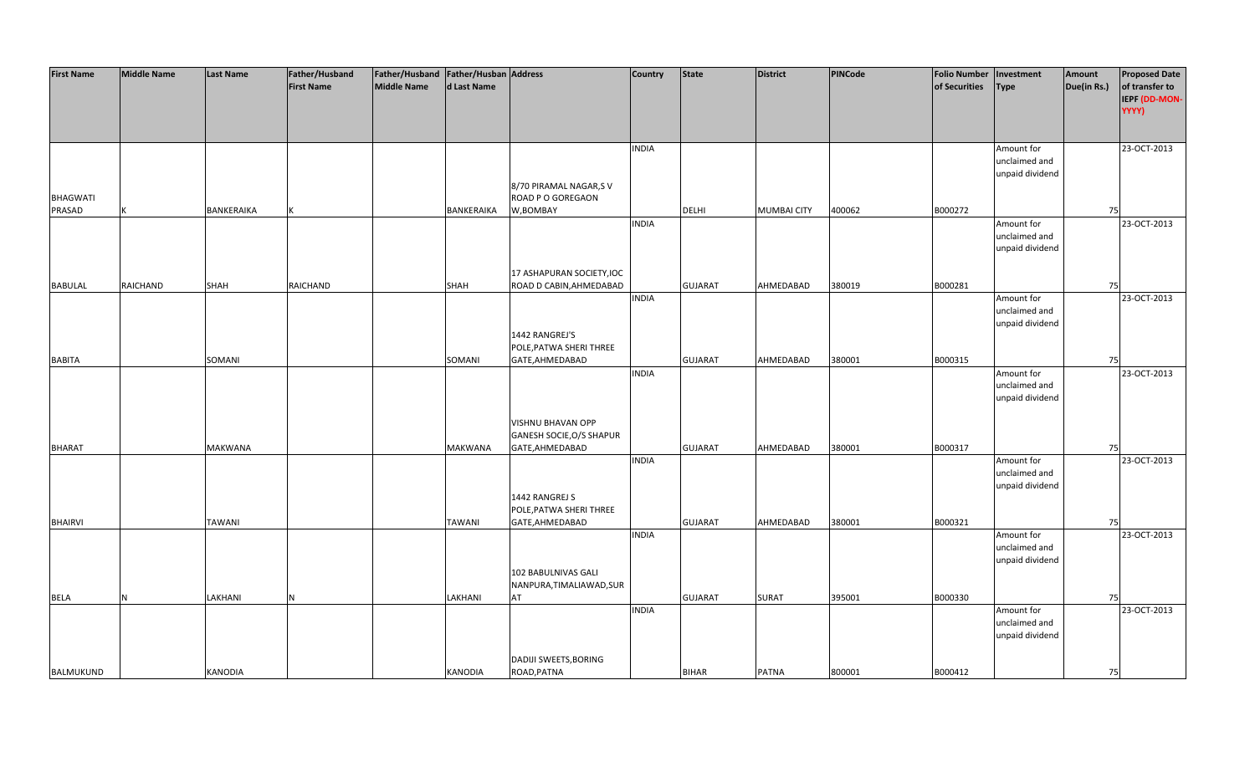| <b>First Name</b> | <b>Middle Name</b> | <b>Last Name</b> | Father/Husband    | Father/Husband Father/Husban Address |                |                                                      | <b>Country</b> | <b>State</b>   | <b>District</b>    | <b>PINCode</b> | <b>Folio Number</b> | Investment      | Amount      | <b>Proposed Date</b> |
|-------------------|--------------------|------------------|-------------------|--------------------------------------|----------------|------------------------------------------------------|----------------|----------------|--------------------|----------------|---------------------|-----------------|-------------|----------------------|
|                   |                    |                  | <b>First Name</b> | <b>Middle Name</b>                   | d Last Name    |                                                      |                |                |                    |                | of Securities       | <b>Type</b>     | Due(in Rs.) | of transfer to       |
|                   |                    |                  |                   |                                      |                |                                                      |                |                |                    |                |                     |                 |             | IEPF (DD-MON-        |
|                   |                    |                  |                   |                                      |                |                                                      |                |                |                    |                |                     |                 |             | YYYY)                |
|                   |                    |                  |                   |                                      |                |                                                      |                |                |                    |                |                     |                 |             |                      |
|                   |                    |                  |                   |                                      |                |                                                      | <b>INDIA</b>   |                |                    |                |                     | Amount for      |             | 23-OCT-2013          |
|                   |                    |                  |                   |                                      |                |                                                      |                |                |                    |                |                     | unclaimed and   |             |                      |
|                   |                    |                  |                   |                                      |                |                                                      |                |                |                    |                |                     | unpaid dividend |             |                      |
|                   |                    |                  |                   |                                      |                | 8/70 PIRAMAL NAGAR,S V                               |                |                |                    |                |                     |                 |             |                      |
| <b>BHAGWATI</b>   |                    |                  |                   |                                      |                | ROAD P O GOREGAON                                    |                |                |                    |                |                     |                 |             |                      |
| PRASAD            |                    | BANKERAIKA       |                   |                                      | BANKERAIKA     | W,BOMBAY                                             |                | DELHI          | <b>MUMBAI CITY</b> | 400062         | B000272             |                 | 75          |                      |
|                   |                    |                  |                   |                                      |                |                                                      | <b>INDIA</b>   |                |                    |                |                     | Amount for      |             | 23-OCT-2013          |
|                   |                    |                  |                   |                                      |                |                                                      |                |                |                    |                |                     | unclaimed and   |             |                      |
|                   |                    |                  |                   |                                      |                |                                                      |                |                |                    |                |                     | unpaid dividend |             |                      |
|                   |                    |                  |                   |                                      |                |                                                      |                |                |                    |                |                     |                 |             |                      |
| <b>BABULAL</b>    | <b>RAICHAND</b>    | <b>SHAH</b>      | RAICHAND          |                                      | <b>SHAH</b>    | 17 ASHAPURAN SOCIETY, IOC<br>ROAD D CABIN, AHMEDABAD |                | <b>GUJARAT</b> | AHMEDABAD          | 380019         | B000281             |                 | 75          |                      |
|                   |                    |                  |                   |                                      |                |                                                      | <b>INDIA</b>   |                |                    |                |                     | Amount for      |             | 23-OCT-2013          |
|                   |                    |                  |                   |                                      |                |                                                      |                |                |                    |                |                     | unclaimed and   |             |                      |
|                   |                    |                  |                   |                                      |                |                                                      |                |                |                    |                |                     | unpaid dividend |             |                      |
|                   |                    |                  |                   |                                      |                | 1442 RANGREJ'S                                       |                |                |                    |                |                     |                 |             |                      |
|                   |                    |                  |                   |                                      |                | POLE, PATWA SHERI THREE                              |                |                |                    |                |                     |                 |             |                      |
| <b>BABITA</b>     |                    | SOMANI           |                   |                                      | SOMANI         | GATE, AHMEDABAD                                      |                | <b>GUJARAT</b> | AHMEDABAD          | 380001         | B000315             |                 | 75          |                      |
|                   |                    |                  |                   |                                      |                |                                                      | <b>INDIA</b>   |                |                    |                |                     | Amount for      |             | 23-OCT-2013          |
|                   |                    |                  |                   |                                      |                |                                                      |                |                |                    |                |                     | unclaimed and   |             |                      |
|                   |                    |                  |                   |                                      |                |                                                      |                |                |                    |                |                     | unpaid dividend |             |                      |
|                   |                    |                  |                   |                                      |                |                                                      |                |                |                    |                |                     |                 |             |                      |
|                   |                    |                  |                   |                                      |                | VISHNU BHAVAN OPP                                    |                |                |                    |                |                     |                 |             |                      |
|                   |                    | <b>MAKWANA</b>   |                   |                                      | <b>MAKWANA</b> | GANESH SOCIE, O/S SHAPUR                             |                | <b>GUJARAT</b> | AHMEDABAD          | 380001         | B000317             |                 | 75          |                      |
| <b>BHARAT</b>     |                    |                  |                   |                                      |                | GATE, AHMEDABAD                                      | <b>INDIA</b>   |                |                    |                |                     | Amount for      |             | 23-OCT-2013          |
|                   |                    |                  |                   |                                      |                |                                                      |                |                |                    |                |                     | unclaimed and   |             |                      |
|                   |                    |                  |                   |                                      |                |                                                      |                |                |                    |                |                     | unpaid dividend |             |                      |
|                   |                    |                  |                   |                                      |                | 1442 RANGREJ S                                       |                |                |                    |                |                     |                 |             |                      |
|                   |                    |                  |                   |                                      |                | POLE, PATWA SHERI THREE                              |                |                |                    |                |                     |                 |             |                      |
| <b>BHAIRVI</b>    |                    | <b>TAWANI</b>    |                   |                                      | <b>TAWANI</b>  | GATE, AHMEDABAD                                      |                | <b>GUJARAT</b> | AHMEDABAD          | 380001         | B000321             |                 | 75          |                      |
|                   |                    |                  |                   |                                      |                |                                                      | <b>INDIA</b>   |                |                    |                |                     | Amount for      |             | 23-OCT-2013          |
|                   |                    |                  |                   |                                      |                |                                                      |                |                |                    |                |                     | unclaimed and   |             |                      |
|                   |                    |                  |                   |                                      |                |                                                      |                |                |                    |                |                     | unpaid dividend |             |                      |
|                   |                    |                  |                   |                                      |                | 102 BABULNIVAS GALI                                  |                |                |                    |                |                     |                 |             |                      |
|                   |                    |                  |                   |                                      |                | NANPURA, TIMALIAWAD, SUR                             |                |                |                    |                |                     |                 |             |                      |
| <b>BELA</b>       | N                  | LAKHANI          | N                 |                                      | LAKHANI        | AT                                                   | <b>INDIA</b>   | <b>GUJARAT</b> | <b>SURAT</b>       | 395001         | B000330             | Amount for      | 75          | 23-OCT-2013          |
|                   |                    |                  |                   |                                      |                |                                                      |                |                |                    |                |                     | unclaimed and   |             |                      |
|                   |                    |                  |                   |                                      |                |                                                      |                |                |                    |                |                     | unpaid dividend |             |                      |
|                   |                    |                  |                   |                                      |                |                                                      |                |                |                    |                |                     |                 |             |                      |
|                   |                    |                  |                   |                                      |                | DADIJI SWEETS, BORING                                |                |                |                    |                |                     |                 |             |                      |
| BALMUKUND         |                    | <b>KANODIA</b>   |                   |                                      | KANODIA        | ROAD, PATNA                                          |                | <b>BIHAR</b>   | <b>PATNA</b>       | 800001         | B000412             |                 | 75          |                      |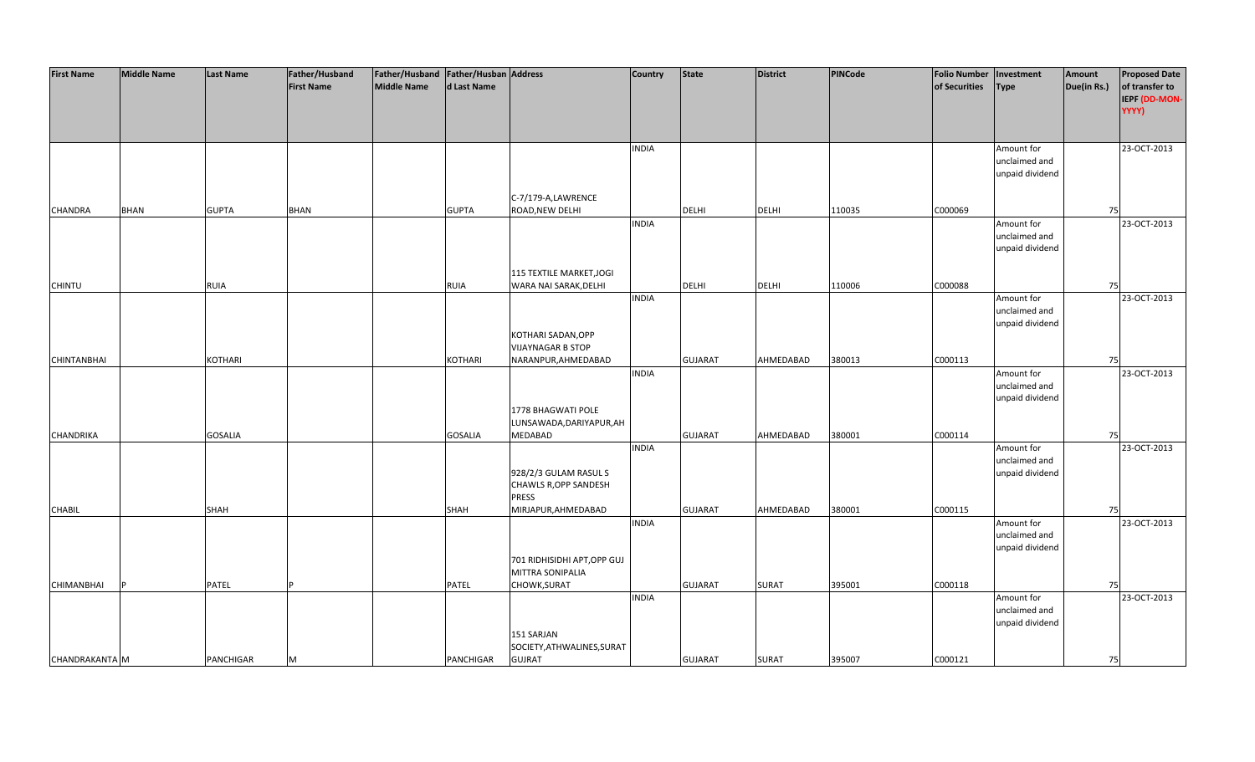| <b>First Name</b>  | <b>Middle Name</b> | <b>Last Name</b> | Father/Husband    | Father/Husband Father/Husban Address |                |                              | <b>Country</b> | <b>State</b>   | <b>District</b> | PINCode | <b>Folio Number</b> | Investment      | Amount      | <b>Proposed Date</b> |
|--------------------|--------------------|------------------|-------------------|--------------------------------------|----------------|------------------------------|----------------|----------------|-----------------|---------|---------------------|-----------------|-------------|----------------------|
|                    |                    |                  | <b>First Name</b> | <b>Middle Name</b>                   | d Last Name    |                              |                |                |                 |         | of Securities       | <b>Type</b>     | Due(in Rs.) | of transfer to       |
|                    |                    |                  |                   |                                      |                |                              |                |                |                 |         |                     |                 |             | IEPF (DD-MON-        |
|                    |                    |                  |                   |                                      |                |                              |                |                |                 |         |                     |                 |             | YYYY)                |
|                    |                    |                  |                   |                                      |                |                              |                |                |                 |         |                     |                 |             |                      |
|                    |                    |                  |                   |                                      |                |                              |                |                |                 |         |                     |                 |             |                      |
|                    |                    |                  |                   |                                      |                |                              | <b>INDIA</b>   |                |                 |         |                     | Amount for      |             | 23-OCT-2013          |
|                    |                    |                  |                   |                                      |                |                              |                |                |                 |         |                     | unclaimed and   |             |                      |
|                    |                    |                  |                   |                                      |                |                              |                |                |                 |         |                     | unpaid dividend |             |                      |
|                    |                    |                  |                   |                                      |                |                              |                |                |                 |         |                     |                 |             |                      |
|                    |                    |                  |                   |                                      |                | C-7/179-A,LAWRENCE           |                |                |                 |         |                     |                 |             |                      |
| CHANDRA            | <b>BHAN</b>        | <b>GUPTA</b>     | <b>BHAN</b>       |                                      | <b>GUPTA</b>   | ROAD, NEW DELHI              |                | <b>DELHI</b>   | <b>DELHI</b>    | 110035  | C000069             |                 | 75          |                      |
|                    |                    |                  |                   |                                      |                |                              | <b>INDIA</b>   |                |                 |         |                     | Amount for      |             | 23-OCT-2013          |
|                    |                    |                  |                   |                                      |                |                              |                |                |                 |         |                     | unclaimed and   |             |                      |
|                    |                    |                  |                   |                                      |                |                              |                |                |                 |         |                     | unpaid dividend |             |                      |
|                    |                    |                  |                   |                                      |                |                              |                |                |                 |         |                     |                 |             |                      |
|                    |                    |                  |                   |                                      |                | 115 TEXTILE MARKET, JOGI     |                |                |                 |         |                     |                 |             |                      |
| <b>CHINTU</b>      |                    | <b>RUIA</b>      |                   |                                      | <b>RUIA</b>    | WARA NAI SARAK, DELHI        |                | <b>DELHI</b>   | <b>DELHI</b>    | 110006  | C000088             |                 | 75          |                      |
|                    |                    |                  |                   |                                      |                |                              | <b>INDIA</b>   |                |                 |         |                     | Amount for      |             | 23-OCT-2013          |
|                    |                    |                  |                   |                                      |                |                              |                |                |                 |         |                     | unclaimed and   |             |                      |
|                    |                    |                  |                   |                                      |                |                              |                |                |                 |         |                     | unpaid dividend |             |                      |
|                    |                    |                  |                   |                                      |                | KOTHARI SADAN, OPP           |                |                |                 |         |                     |                 |             |                      |
|                    |                    |                  |                   |                                      |                | <b>VIJAYNAGAR B STOP</b>     |                |                |                 |         |                     |                 |             |                      |
| <b>CHINTANBHAI</b> |                    | <b>KOTHARI</b>   |                   |                                      | KOTHARI        | NARANPUR, AHMEDABAD          |                | <b>GUJARAT</b> | AHMEDABAD       | 380013  | C000113             |                 | 75          |                      |
|                    |                    |                  |                   |                                      |                |                              | <b>INDIA</b>   |                |                 |         |                     | Amount for      |             | 23-OCT-2013          |
|                    |                    |                  |                   |                                      |                |                              |                |                |                 |         |                     | unclaimed and   |             |                      |
|                    |                    |                  |                   |                                      |                |                              |                |                |                 |         |                     | unpaid dividend |             |                      |
|                    |                    |                  |                   |                                      |                | 1778 BHAGWATI POLE           |                |                |                 |         |                     |                 |             |                      |
|                    |                    |                  |                   |                                      |                | LUNSAWADA, DARIYAPUR, AH     |                |                |                 |         |                     |                 |             |                      |
| CHANDRIKA          |                    | <b>GOSALIA</b>   |                   |                                      | <b>GOSALIA</b> | MEDABAD                      |                | <b>GUJARAT</b> | AHMEDABAD       | 380001  | C000114             |                 | 75          |                      |
|                    |                    |                  |                   |                                      |                |                              | <b>INDIA</b>   |                |                 |         |                     | Amount for      |             | 23-OCT-2013          |
|                    |                    |                  |                   |                                      |                |                              |                |                |                 |         |                     | unclaimed and   |             |                      |
|                    |                    |                  |                   |                                      |                | 928/2/3 GULAM RASUL S        |                |                |                 |         |                     | unpaid dividend |             |                      |
|                    |                    |                  |                   |                                      |                | <b>CHAWLS R, OPP SANDESH</b> |                |                |                 |         |                     |                 |             |                      |
|                    |                    |                  |                   |                                      |                | <b>PRESS</b>                 |                |                |                 |         |                     |                 |             |                      |
| <b>CHABIL</b>      |                    | <b>SHAH</b>      |                   |                                      | <b>SHAH</b>    | MIRJAPUR, AHMEDABAD          |                | <b>GUJARAT</b> | AHMEDABAD       | 380001  | C000115             |                 | 75          |                      |
|                    |                    |                  |                   |                                      |                |                              | <b>INDIA</b>   |                |                 |         |                     | Amount for      |             | 23-OCT-2013          |
|                    |                    |                  |                   |                                      |                |                              |                |                |                 |         |                     | unclaimed and   |             |                      |
|                    |                    |                  |                   |                                      |                |                              |                |                |                 |         |                     | unpaid dividend |             |                      |
|                    |                    |                  |                   |                                      |                | 701 RIDHISIDHI APT, OPP GUJ  |                |                |                 |         |                     |                 |             |                      |
|                    |                    |                  |                   |                                      |                | <b>MITTRA SONIPALIA</b>      |                |                |                 |         |                     |                 |             |                      |
| <b>CHIMANBHAI</b>  |                    | PATEL            |                   |                                      | <b>PATEL</b>   | CHOWK, SURAT                 |                | <b>GUJARAT</b> | <b>SURAT</b>    | 395001  | C000118             |                 | 75          |                      |
|                    |                    |                  |                   |                                      |                |                              | <b>INDIA</b>   |                |                 |         |                     | Amount for      |             | 23-OCT-2013          |
|                    |                    |                  |                   |                                      |                |                              |                |                |                 |         |                     | unclaimed and   |             |                      |
|                    |                    |                  |                   |                                      |                |                              |                |                |                 |         |                     | unpaid dividend |             |                      |
|                    |                    |                  |                   |                                      |                | 151 SARJAN                   |                |                |                 |         |                     |                 |             |                      |
|                    |                    |                  |                   |                                      |                | SOCIETY, ATHWALINES, SURAT   |                |                |                 |         |                     |                 |             |                      |
| CHANDRAKANTA M     |                    | <b>PANCHIGAR</b> | M                 |                                      | PANCHIGAR      | <b>GUJRAT</b>                |                | <b>GUJARAT</b> | <b>SURAT</b>    | 395007  | C000121             |                 | 75          |                      |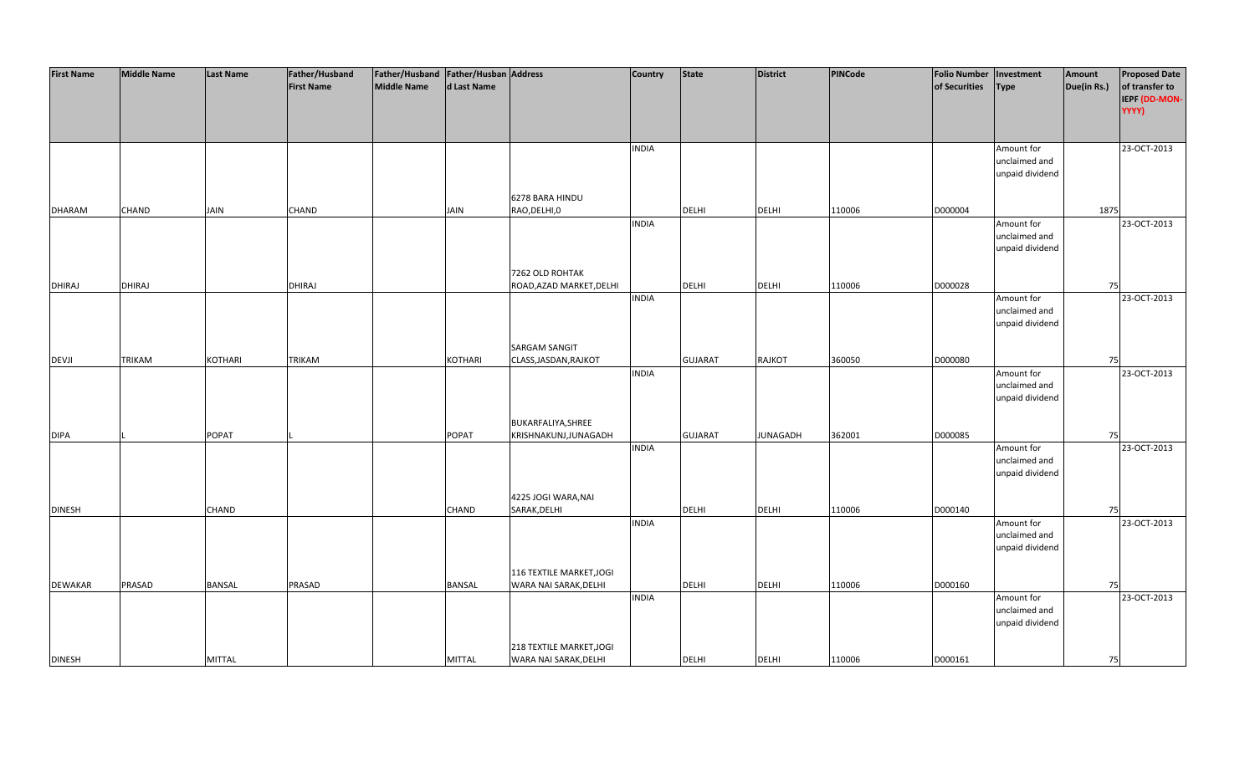| <b>First Name</b> | <b>Middle Name</b> | <b>Last Name</b> | Father/Husband    | Father/Husband   Father/Husban   Address |                |                          | Country      | <b>State</b>   | <b>District</b> | PINCode | <b>Folio Number</b> | Investment                  | Amount      | <b>Proposed Date</b> |
|-------------------|--------------------|------------------|-------------------|------------------------------------------|----------------|--------------------------|--------------|----------------|-----------------|---------|---------------------|-----------------------------|-------------|----------------------|
|                   |                    |                  | <b>First Name</b> | <b>Middle Name</b>                       | d Last Name    |                          |              |                |                 |         | of Securities       | Type                        | Due(in Rs.) | of transfer to       |
|                   |                    |                  |                   |                                          |                |                          |              |                |                 |         |                     |                             |             | IEPF (DD-MON-        |
|                   |                    |                  |                   |                                          |                |                          |              |                |                 |         |                     |                             |             | YYYY)                |
|                   |                    |                  |                   |                                          |                |                          |              |                |                 |         |                     |                             |             |                      |
|                   |                    |                  |                   |                                          |                |                          |              |                |                 |         |                     |                             |             |                      |
|                   |                    |                  |                   |                                          |                |                          | <b>INDIA</b> |                |                 |         |                     | Amount for                  |             | 23-OCT-2013          |
|                   |                    |                  |                   |                                          |                |                          |              |                |                 |         |                     | unclaimed and               |             |                      |
|                   |                    |                  |                   |                                          |                |                          |              |                |                 |         |                     | unpaid dividend             |             |                      |
|                   |                    |                  |                   |                                          |                |                          |              |                |                 |         |                     |                             |             |                      |
|                   |                    |                  |                   |                                          |                | 6278 BARA HINDU          |              |                |                 |         |                     |                             |             |                      |
| <b>DHARAM</b>     | CHAND              | <b>JAIN</b>      | CHAND             |                                          | <b>JAIN</b>    | RAO, DELHI, 0            |              | <b>DELHI</b>   | <b>DELHI</b>    | 110006  | D000004             |                             | 1875        |                      |
|                   |                    |                  |                   |                                          |                |                          | <b>INDIA</b> |                |                 |         |                     | Amount for                  |             | 23-OCT-2013          |
|                   |                    |                  |                   |                                          |                |                          |              |                |                 |         |                     | unclaimed and               |             |                      |
|                   |                    |                  |                   |                                          |                |                          |              |                |                 |         |                     | unpaid dividend             |             |                      |
|                   |                    |                  |                   |                                          |                |                          |              |                |                 |         |                     |                             |             |                      |
|                   |                    |                  |                   |                                          |                | 7262 OLD ROHTAK          |              |                |                 |         |                     |                             |             |                      |
| <b>DHIRAJ</b>     | DHIRAJ             |                  | <b>DHIRAJ</b>     |                                          |                | ROAD, AZAD MARKET, DELHI |              | <b>DELHI</b>   | <b>DELHI</b>    | 110006  | D000028             |                             | 75          |                      |
|                   |                    |                  |                   |                                          |                |                          | <b>INDIA</b> |                |                 |         |                     | Amount for                  |             | 23-OCT-2013          |
|                   |                    |                  |                   |                                          |                |                          |              |                |                 |         |                     | unclaimed and               |             |                      |
|                   |                    |                  |                   |                                          |                |                          |              |                |                 |         |                     | unpaid dividend             |             |                      |
|                   |                    |                  |                   |                                          |                |                          |              |                |                 |         |                     |                             |             |                      |
|                   |                    |                  |                   |                                          |                | <b>SARGAM SANGIT</b>     |              |                |                 |         |                     |                             |             |                      |
| <b>DEVJI</b>      | TRIKAM             | <b>KOTHARI</b>   | <b>TRIKAM</b>     |                                          | <b>KOTHARI</b> | CLASS, JASDAN, RAJKOT    |              | <b>GUJARAT</b> | <b>RAJKOT</b>   | 360050  | D000080             |                             | 75          |                      |
|                   |                    |                  |                   |                                          |                |                          | <b>INDIA</b> |                |                 |         |                     | Amount for                  |             | 23-OCT-2013          |
|                   |                    |                  |                   |                                          |                |                          |              |                |                 |         |                     | unclaimed and               |             |                      |
|                   |                    |                  |                   |                                          |                |                          |              |                |                 |         |                     | unpaid dividend             |             |                      |
|                   |                    |                  |                   |                                          |                |                          |              |                |                 |         |                     |                             |             |                      |
|                   |                    |                  |                   |                                          |                | BUKARFALIYA, SHREE       |              |                |                 |         |                     |                             |             |                      |
| <b>DIPA</b>       |                    | <b>POPAT</b>     |                   |                                          | <b>POPAT</b>   | KRISHNAKUNJ, JUNAGADH    |              | <b>GUJARAT</b> | <b>JUNAGADH</b> | 362001  | D000085             |                             | 75          |                      |
|                   |                    |                  |                   |                                          |                |                          | <b>INDIA</b> |                |                 |         |                     | Amount for                  |             | 23-OCT-2013          |
|                   |                    |                  |                   |                                          |                |                          |              |                |                 |         |                     | unclaimed and               |             |                      |
|                   |                    |                  |                   |                                          |                |                          |              |                |                 |         |                     | unpaid dividend             |             |                      |
|                   |                    |                  |                   |                                          |                |                          |              |                |                 |         |                     |                             |             |                      |
|                   |                    |                  |                   |                                          |                | 4225 JOGI WARA, NAI      |              |                |                 |         |                     |                             |             |                      |
| <b>DINESH</b>     |                    | <b>CHAND</b>     |                   |                                          | <b>CHAND</b>   | SARAK, DELHI             |              | <b>DELHI</b>   | <b>DELHI</b>    | 110006  | D000140             |                             | 75          |                      |
|                   |                    |                  |                   |                                          |                |                          | <b>INDIA</b> |                |                 |         |                     | Amount for<br>unclaimed and |             | 23-OCT-2013          |
|                   |                    |                  |                   |                                          |                |                          |              |                |                 |         |                     | unpaid dividend             |             |                      |
|                   |                    |                  |                   |                                          |                |                          |              |                |                 |         |                     |                             |             |                      |
|                   |                    |                  |                   |                                          |                | 116 TEXTILE MARKET, JOGI |              |                |                 |         |                     |                             |             |                      |
| <b>DEWAKAR</b>    | PRASAD             | <b>BANSAL</b>    | PRASAD            |                                          | <b>BANSAL</b>  | WARA NAI SARAK, DELHI    |              | <b>DELHI</b>   | <b>DELHI</b>    | 110006  | D000160             |                             | 75          |                      |
|                   |                    |                  |                   |                                          |                |                          | <b>INDIA</b> |                |                 |         |                     | Amount for                  |             | 23-OCT-2013          |
|                   |                    |                  |                   |                                          |                |                          |              |                |                 |         |                     | unclaimed and               |             |                      |
|                   |                    |                  |                   |                                          |                |                          |              |                |                 |         |                     | unpaid dividend             |             |                      |
|                   |                    |                  |                   |                                          |                |                          |              |                |                 |         |                     |                             |             |                      |
|                   |                    |                  |                   |                                          |                | 218 TEXTILE MARKET, JOGI |              |                |                 |         |                     |                             |             |                      |
| <b>DINESH</b>     |                    | <b>MITTAL</b>    |                   |                                          | <b>MITTAL</b>  | WARA NAI SARAK, DELHI    |              | <b>DELHI</b>   | <b>DELHI</b>    | 110006  | D000161             |                             | 75          |                      |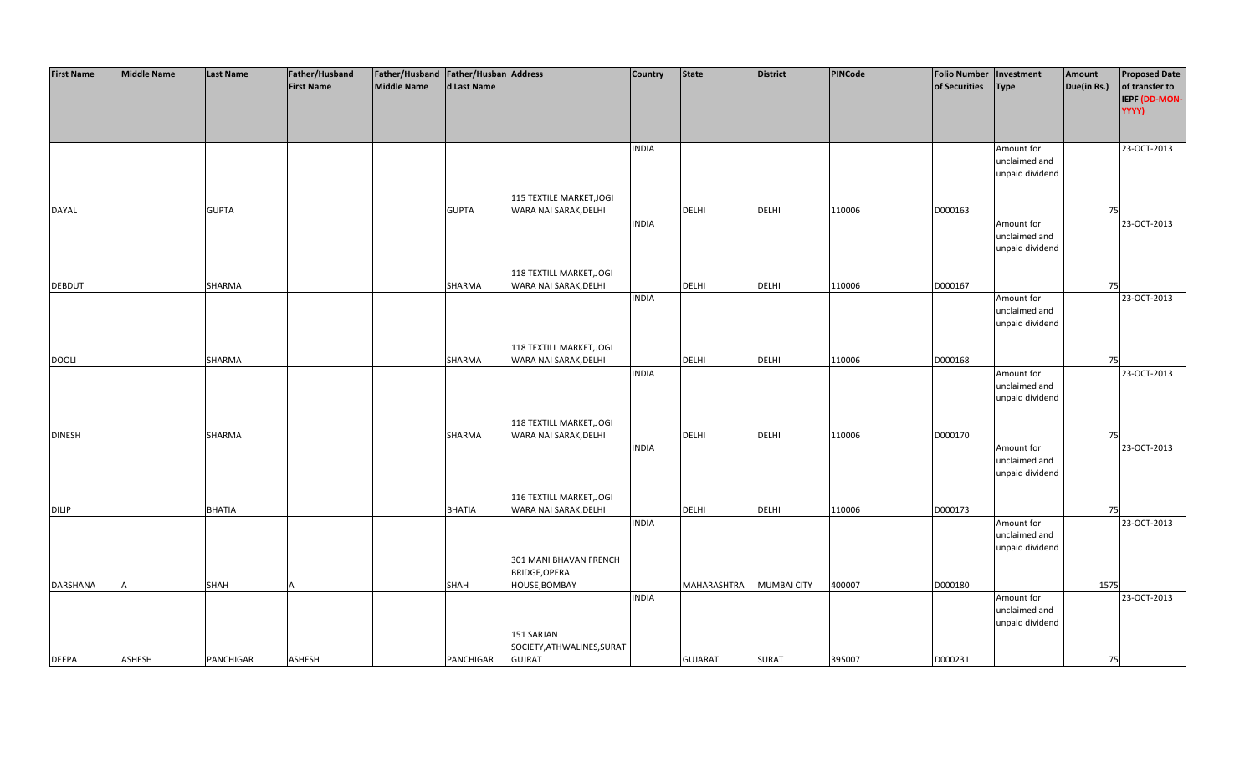| <b>First Name</b> | <b>Middle Name</b> | <b>Last Name</b> | Father/Husband    | Father/Husband   Father/Husban   Address |               |                            | <b>Country</b> | <b>State</b>   | <b>District</b>    | PINCode | <b>Folio Number</b> | Investment      | Amount      | <b>Proposed Date</b> |
|-------------------|--------------------|------------------|-------------------|------------------------------------------|---------------|----------------------------|----------------|----------------|--------------------|---------|---------------------|-----------------|-------------|----------------------|
|                   |                    |                  | <b>First Name</b> | <b>Middle Name</b>                       | d Last Name   |                            |                |                |                    |         | of Securities       | <b>Type</b>     | Due(in Rs.) | of transfer to       |
|                   |                    |                  |                   |                                          |               |                            |                |                |                    |         |                     |                 |             | IEPF (DD-MON-        |
|                   |                    |                  |                   |                                          |               |                            |                |                |                    |         |                     |                 |             | YYYY)                |
|                   |                    |                  |                   |                                          |               |                            |                |                |                    |         |                     |                 |             |                      |
|                   |                    |                  |                   |                                          |               |                            |                |                |                    |         |                     |                 |             |                      |
|                   |                    |                  |                   |                                          |               |                            |                |                |                    |         |                     |                 |             |                      |
|                   |                    |                  |                   |                                          |               |                            | <b>INDIA</b>   |                |                    |         |                     | Amount for      |             | 23-OCT-2013          |
|                   |                    |                  |                   |                                          |               |                            |                |                |                    |         |                     | unclaimed and   |             |                      |
|                   |                    |                  |                   |                                          |               |                            |                |                |                    |         |                     | unpaid dividend |             |                      |
|                   |                    |                  |                   |                                          |               |                            |                |                |                    |         |                     |                 |             |                      |
|                   |                    |                  |                   |                                          |               | 115 TEXTILE MARKET, JOGI   |                |                |                    |         |                     |                 |             |                      |
| <b>DAYAL</b>      |                    | <b>GUPTA</b>     |                   |                                          | <b>GUPTA</b>  | WARA NAI SARAK, DELHI      |                | <b>DELHI</b>   | <b>DELHI</b>       | 110006  | D000163             |                 | 75          |                      |
|                   |                    |                  |                   |                                          |               |                            | <b>INDIA</b>   |                |                    |         |                     | Amount for      |             | 23-OCT-2013          |
|                   |                    |                  |                   |                                          |               |                            |                |                |                    |         |                     | unclaimed and   |             |                      |
|                   |                    |                  |                   |                                          |               |                            |                |                |                    |         |                     | unpaid dividend |             |                      |
|                   |                    |                  |                   |                                          |               |                            |                |                |                    |         |                     |                 |             |                      |
|                   |                    |                  |                   |                                          |               | 118 TEXTILL MARKET, JOGI   |                |                |                    |         |                     |                 |             |                      |
| <b>DEBDUT</b>     |                    | SHARMA           |                   |                                          | SHARMA        | WARA NAI SARAK, DELHI      |                | <b>DELHI</b>   | <b>DELHI</b>       | 110006  | D000167             |                 | 75          |                      |
|                   |                    |                  |                   |                                          |               |                            | <b>INDIA</b>   |                |                    |         |                     | Amount for      |             | 23-OCT-2013          |
|                   |                    |                  |                   |                                          |               |                            |                |                |                    |         |                     | unclaimed and   |             |                      |
|                   |                    |                  |                   |                                          |               |                            |                |                |                    |         |                     | unpaid dividend |             |                      |
|                   |                    |                  |                   |                                          |               |                            |                |                |                    |         |                     |                 |             |                      |
|                   |                    |                  |                   |                                          |               | 118 TEXTILL MARKET, JOGI   |                |                |                    |         |                     |                 |             |                      |
| <b>DOOLI</b>      |                    | SHARMA           |                   |                                          | SHARMA        | WARA NAI SARAK, DELHI      |                | DELHI          | <b>DELHI</b>       | 110006  | D000168             |                 | 75          |                      |
|                   |                    |                  |                   |                                          |               |                            | <b>INDIA</b>   |                |                    |         |                     | Amount for      |             | 23-OCT-2013          |
|                   |                    |                  |                   |                                          |               |                            |                |                |                    |         |                     | unclaimed and   |             |                      |
|                   |                    |                  |                   |                                          |               |                            |                |                |                    |         |                     | unpaid dividend |             |                      |
|                   |                    |                  |                   |                                          |               |                            |                |                |                    |         |                     |                 |             |                      |
|                   |                    |                  |                   |                                          |               | 118 TEXTILL MARKET, JOGI   |                |                |                    |         |                     |                 |             |                      |
| <b>DINESH</b>     |                    | SHARMA           |                   |                                          | SHARMA        | WARA NAI SARAK, DELHI      |                | <b>DELHI</b>   | <b>DELHI</b>       | 110006  | D000170             |                 | 75          |                      |
|                   |                    |                  |                   |                                          |               |                            | <b>INDIA</b>   |                |                    |         |                     | Amount for      |             | 23-OCT-2013          |
|                   |                    |                  |                   |                                          |               |                            |                |                |                    |         |                     | unclaimed and   |             |                      |
|                   |                    |                  |                   |                                          |               |                            |                |                |                    |         |                     | unpaid dividend |             |                      |
|                   |                    |                  |                   |                                          |               |                            |                |                |                    |         |                     |                 |             |                      |
|                   |                    |                  |                   |                                          |               | 116 TEXTILL MARKET, JOGI   |                |                |                    |         |                     |                 |             |                      |
| <b>DILIP</b>      |                    | <b>BHATIA</b>    |                   |                                          | <b>BHATIA</b> | WARA NAI SARAK, DELHI      |                | <b>DELHI</b>   | <b>DELHI</b>       | 110006  | D000173             |                 | 75          |                      |
|                   |                    |                  |                   |                                          |               |                            | <b>INDIA</b>   |                |                    |         |                     | Amount for      |             | 23-OCT-2013          |
|                   |                    |                  |                   |                                          |               |                            |                |                |                    |         |                     | unclaimed and   |             |                      |
|                   |                    |                  |                   |                                          |               |                            |                |                |                    |         |                     | unpaid dividend |             |                      |
|                   |                    |                  |                   |                                          |               | 301 MANI BHAVAN FRENCH     |                |                |                    |         |                     |                 |             |                      |
|                   |                    |                  |                   |                                          |               | BRIDGE, OPERA              |                |                |                    |         |                     |                 |             |                      |
| <b>DARSHANA</b>   |                    | SHAH             |                   |                                          | SHAH          | HOUSE, BOMBAY              |                | MAHARASHTRA    | <b>MUMBAI CITY</b> | 400007  | D000180             |                 | 1575        |                      |
|                   |                    |                  |                   |                                          |               |                            | <b>INDIA</b>   |                |                    |         |                     | Amount for      |             | 23-OCT-2013          |
|                   |                    |                  |                   |                                          |               |                            |                |                |                    |         |                     | unclaimed and   |             |                      |
|                   |                    |                  |                   |                                          |               |                            |                |                |                    |         |                     | unpaid dividend |             |                      |
|                   |                    |                  |                   |                                          |               | 151 SARJAN                 |                |                |                    |         |                     |                 |             |                      |
|                   |                    |                  |                   |                                          |               | SOCIETY, ATHWALINES, SURAT |                |                |                    |         |                     |                 |             |                      |
| <b>DEEPA</b>      | <b>ASHESH</b>      | <b>PANCHIGAR</b> | <b>ASHESH</b>     |                                          | PANCHIGAR     | <b>GUJRAT</b>              |                | <b>GUJARAT</b> | <b>SURAT</b>       | 395007  | D000231             |                 | 75          |                      |
|                   |                    |                  |                   |                                          |               |                            |                |                |                    |         |                     |                 |             |                      |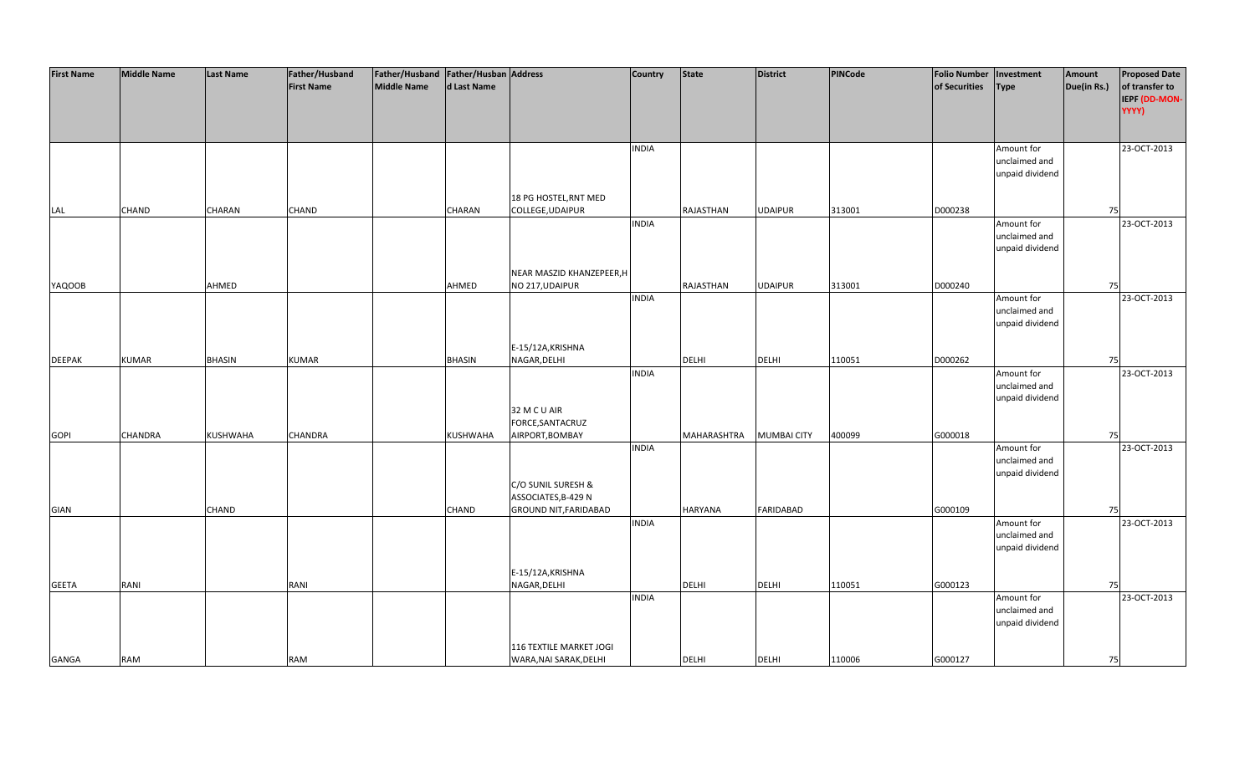| <b>First Name</b> | <b>Middle Name</b> | <b>Last Name</b> | Father/Husband    | Father/Husband Father/Husban Address |               |                              | <b>Country</b> | <b>State</b>   | <b>District</b>    | PINCode | <b>Folio Number</b> | Investment      | Amount      | <b>Proposed Date</b> |
|-------------------|--------------------|------------------|-------------------|--------------------------------------|---------------|------------------------------|----------------|----------------|--------------------|---------|---------------------|-----------------|-------------|----------------------|
|                   |                    |                  | <b>First Name</b> | <b>Middle Name</b>                   | d Last Name   |                              |                |                |                    |         | of Securities       | <b>Type</b>     | Due(in Rs.) | of transfer to       |
|                   |                    |                  |                   |                                      |               |                              |                |                |                    |         |                     |                 |             | IEPF (DD-MON-        |
|                   |                    |                  |                   |                                      |               |                              |                |                |                    |         |                     |                 |             | YYYY)                |
|                   |                    |                  |                   |                                      |               |                              |                |                |                    |         |                     |                 |             |                      |
|                   |                    |                  |                   |                                      |               |                              |                |                |                    |         |                     |                 |             |                      |
|                   |                    |                  |                   |                                      |               |                              | <b>INDIA</b>   |                |                    |         |                     | Amount for      |             | 23-OCT-2013          |
|                   |                    |                  |                   |                                      |               |                              |                |                |                    |         |                     | unclaimed and   |             |                      |
|                   |                    |                  |                   |                                      |               |                              |                |                |                    |         |                     | unpaid dividend |             |                      |
|                   |                    |                  |                   |                                      |               |                              |                |                |                    |         |                     |                 |             |                      |
|                   |                    |                  |                   |                                      |               | 18 PG HOSTEL, RNT MED        |                |                |                    |         |                     |                 |             |                      |
| LAL               | <b>CHAND</b>       | CHARAN           | CHAND             |                                      | CHARAN        | COLLEGE, UDAIPUR             |                | RAJASTHAN      | <b>UDAIPUR</b>     | 313001  | D000238             |                 | 75          |                      |
|                   |                    |                  |                   |                                      |               |                              | <b>INDIA</b>   |                |                    |         |                     | Amount for      |             | 23-OCT-2013          |
|                   |                    |                  |                   |                                      |               |                              |                |                |                    |         |                     | unclaimed and   |             |                      |
|                   |                    |                  |                   |                                      |               |                              |                |                |                    |         |                     | unpaid dividend |             |                      |
|                   |                    |                  |                   |                                      |               |                              |                |                |                    |         |                     |                 |             |                      |
|                   |                    |                  |                   |                                      |               | NEAR MASZID KHANZEPEER, H    |                |                |                    |         |                     |                 |             |                      |
| <b>YAQOOB</b>     |                    | AHMED            |                   |                                      | AHMED         | NO 217, UDAIPUR              |                | RAJASTHAN      | <b>UDAIPUR</b>     | 313001  | D000240             |                 | 75          |                      |
|                   |                    |                  |                   |                                      |               |                              | <b>INDIA</b>   |                |                    |         |                     | Amount for      |             | 23-OCT-2013          |
|                   |                    |                  |                   |                                      |               |                              |                |                |                    |         |                     | unclaimed and   |             |                      |
|                   |                    |                  |                   |                                      |               |                              |                |                |                    |         |                     | unpaid dividend |             |                      |
|                   |                    |                  |                   |                                      |               |                              |                |                |                    |         |                     |                 |             |                      |
|                   |                    |                  |                   |                                      |               | E-15/12A, KRISHNA            |                |                |                    |         |                     |                 |             |                      |
| <b>DEEPAK</b>     | <b>KUMAR</b>       | <b>BHASIN</b>    | <b>KUMAR</b>      |                                      | <b>BHASIN</b> | NAGAR, DELHI                 |                | DELHI          | <b>DELHI</b>       | 110051  | D000262             |                 | 75          |                      |
|                   |                    |                  |                   |                                      |               |                              | <b>INDIA</b>   |                |                    |         |                     | Amount for      |             | 23-OCT-2013          |
|                   |                    |                  |                   |                                      |               |                              |                |                |                    |         |                     | unclaimed and   |             |                      |
|                   |                    |                  |                   |                                      |               |                              |                |                |                    |         |                     | unpaid dividend |             |                      |
|                   |                    |                  |                   |                                      |               | 32 M C U AIR                 |                |                |                    |         |                     |                 |             |                      |
|                   |                    |                  |                   |                                      |               | FORCE, SANTACRUZ             |                |                |                    |         |                     |                 |             |                      |
| <b>GOPI</b>       | <b>CHANDRA</b>     | <b>KUSHWAHA</b>  | CHANDRA           |                                      | KUSHWAHA      | AIRPORT, BOMBAY              |                | MAHARASHTRA    | <b>MUMBAI CITY</b> | 400099  | G000018             |                 | 75          |                      |
|                   |                    |                  |                   |                                      |               |                              | <b>INDIA</b>   |                |                    |         |                     | Amount for      |             | 23-OCT-2013          |
|                   |                    |                  |                   |                                      |               |                              |                |                |                    |         |                     | unclaimed and   |             |                      |
|                   |                    |                  |                   |                                      |               |                              |                |                |                    |         |                     | unpaid dividend |             |                      |
|                   |                    |                  |                   |                                      |               | C/O SUNIL SURESH &           |                |                |                    |         |                     |                 |             |                      |
|                   |                    |                  |                   |                                      |               | ASSOCIATES, B-429 N          |                |                |                    |         |                     |                 |             |                      |
| <b>GIAN</b>       |                    | CHAND            |                   |                                      | <b>CHAND</b>  | <b>GROUND NIT, FARIDABAD</b> |                | <b>HARYANA</b> | <b>FARIDABAD</b>   |         | G000109             |                 | 75          |                      |
|                   |                    |                  |                   |                                      |               |                              | <b>INDIA</b>   |                |                    |         |                     | Amount for      |             | 23-OCT-2013          |
|                   |                    |                  |                   |                                      |               |                              |                |                |                    |         |                     | unclaimed and   |             |                      |
|                   |                    |                  |                   |                                      |               |                              |                |                |                    |         |                     | unpaid dividend |             |                      |
|                   |                    |                  |                   |                                      |               |                              |                |                |                    |         |                     |                 |             |                      |
|                   |                    |                  |                   |                                      |               | E-15/12A, KRISHNA            |                |                |                    |         |                     |                 |             |                      |
| <b>GEETA</b>      | RANI               |                  | RANI              |                                      |               | NAGAR, DELHI                 |                | <b>DELHI</b>   | <b>DELHI</b>       | 110051  | G000123             |                 | 75          |                      |
|                   |                    |                  |                   |                                      |               |                              | <b>INDIA</b>   |                |                    |         |                     | Amount for      |             | 23-OCT-2013          |
|                   |                    |                  |                   |                                      |               |                              |                |                |                    |         |                     | unclaimed and   |             |                      |
|                   |                    |                  |                   |                                      |               |                              |                |                |                    |         |                     | unpaid dividend |             |                      |
|                   |                    |                  |                   |                                      |               |                              |                |                |                    |         |                     |                 |             |                      |
|                   |                    |                  |                   |                                      |               | 116 TEXTILE MARKET JOGI      |                |                |                    |         |                     |                 |             |                      |
| <b>GANGA</b>      | <b>RAM</b>         |                  | RAM               |                                      |               | WARA, NAI SARAK, DELHI       |                | <b>DELHI</b>   | <b>DELHI</b>       | 110006  | G000127             |                 | 75          |                      |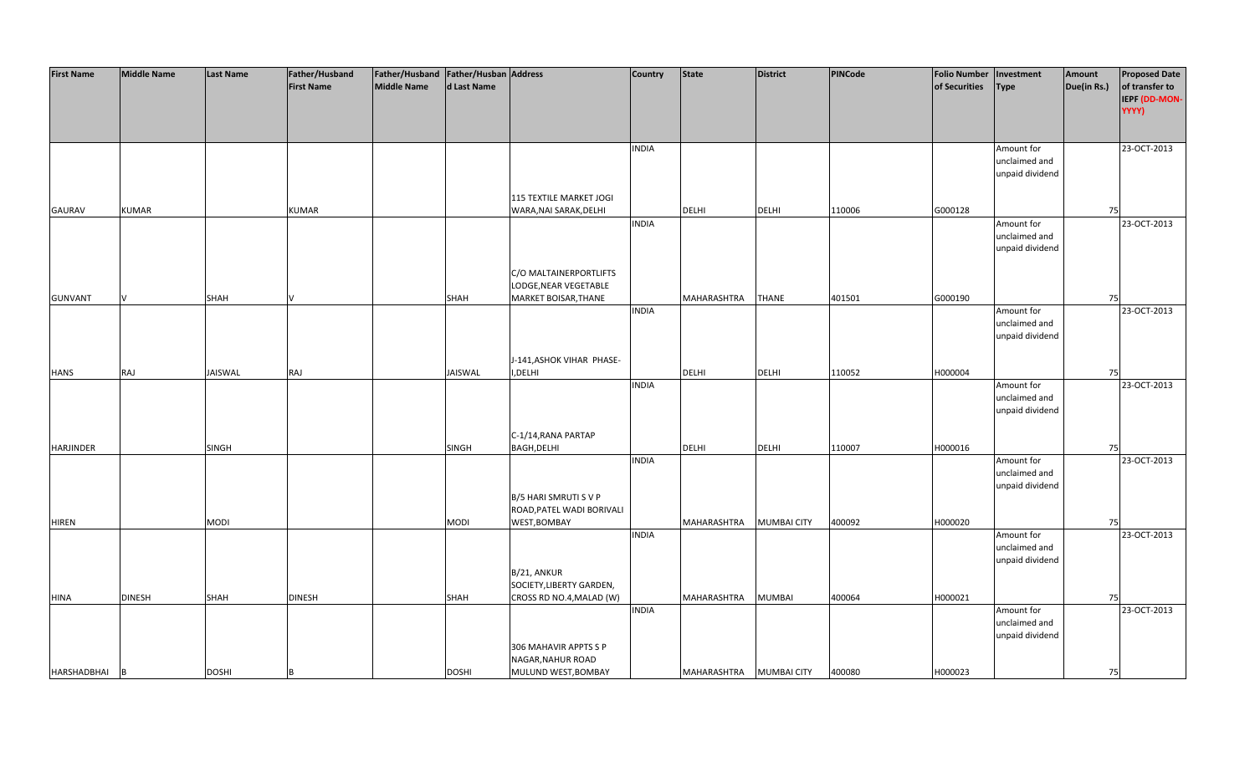| <b>First Name</b> | <b>Middle Name</b> | <b>Last Name</b> | Father/Husband    | Father/Husband   Father/Husban   Address |              |                                                    | Country      | <b>State</b> | <b>District</b>    | PINCode | <b>Folio Number</b> | Investment      | Amount      | <b>Proposed Date</b> |
|-------------------|--------------------|------------------|-------------------|------------------------------------------|--------------|----------------------------------------------------|--------------|--------------|--------------------|---------|---------------------|-----------------|-------------|----------------------|
|                   |                    |                  | <b>First Name</b> | <b>Middle Name</b>                       | d Last Name  |                                                    |              |              |                    |         | of Securities       | <b>Type</b>     | Due(in Rs.) | of transfer to       |
|                   |                    |                  |                   |                                          |              |                                                    |              |              |                    |         |                     |                 |             | IEPF (DD-MON-        |
|                   |                    |                  |                   |                                          |              |                                                    |              |              |                    |         |                     |                 |             | YYYY)                |
|                   |                    |                  |                   |                                          |              |                                                    |              |              |                    |         |                     |                 |             |                      |
|                   |                    |                  |                   |                                          |              |                                                    |              |              |                    |         |                     |                 |             |                      |
|                   |                    |                  |                   |                                          |              |                                                    | <b>INDIA</b> |              |                    |         |                     | Amount for      |             | 23-OCT-2013          |
|                   |                    |                  |                   |                                          |              |                                                    |              |              |                    |         |                     | unclaimed and   |             |                      |
|                   |                    |                  |                   |                                          |              |                                                    |              |              |                    |         |                     | unpaid dividend |             |                      |
|                   |                    |                  |                   |                                          |              |                                                    |              |              |                    |         |                     |                 |             |                      |
|                   |                    |                  |                   |                                          |              | 115 TEXTILE MARKET JOGI                            |              |              |                    |         |                     |                 |             |                      |
| <b>GAURAV</b>     | <b>KUMAR</b>       |                  | <b>KUMAR</b>      |                                          |              | WARA, NAI SARAK, DELHI                             |              | <b>DELHI</b> | <b>DELHI</b>       | 110006  | G000128             |                 | 75          |                      |
|                   |                    |                  |                   |                                          |              |                                                    | <b>INDIA</b> |              |                    |         |                     | Amount for      |             | 23-OCT-2013          |
|                   |                    |                  |                   |                                          |              |                                                    |              |              |                    |         |                     | unclaimed and   |             |                      |
|                   |                    |                  |                   |                                          |              |                                                    |              |              |                    |         |                     | unpaid dividend |             |                      |
|                   |                    |                  |                   |                                          |              |                                                    |              |              |                    |         |                     |                 |             |                      |
|                   |                    |                  |                   |                                          |              | C/O MALTAINERPORTLIFTS                             |              |              |                    |         |                     |                 |             |                      |
|                   |                    |                  |                   |                                          |              | LODGE, NEAR VEGETABLE                              |              |              |                    |         |                     |                 |             |                      |
| <b>GUNVANT</b>    |                    | SHAH             |                   |                                          | SHAH         | MARKET BOISAR, THANE                               |              | MAHARASHTRA  | <b>THANE</b>       | 401501  | G000190             |                 | 75          |                      |
|                   |                    |                  |                   |                                          |              |                                                    | <b>INDIA</b> |              |                    |         |                     | Amount for      |             | 23-OCT-2013          |
|                   |                    |                  |                   |                                          |              |                                                    |              |              |                    |         |                     | unclaimed and   |             |                      |
|                   |                    |                  |                   |                                          |              |                                                    |              |              |                    |         |                     | unpaid dividend |             |                      |
|                   |                    |                  |                   |                                          |              |                                                    |              |              |                    |         |                     |                 |             |                      |
|                   |                    |                  |                   |                                          |              | J-141, ASHOK VIHAR PHASE-                          |              |              |                    |         |                     |                 |             |                      |
| HANS              | <b>RAJ</b>         | JAISWAL          | RAJ               |                                          | JAISWAL      | I, DELHI                                           |              | <b>DELHI</b> | <b>DELHI</b>       | 110052  | H000004             |                 | 75          |                      |
|                   |                    |                  |                   |                                          |              |                                                    | <b>INDIA</b> |              |                    |         |                     | Amount for      |             | 23-OCT-2013          |
|                   |                    |                  |                   |                                          |              |                                                    |              |              |                    |         |                     | unclaimed and   |             |                      |
|                   |                    |                  |                   |                                          |              |                                                    |              |              |                    |         |                     | unpaid dividend |             |                      |
|                   |                    |                  |                   |                                          |              |                                                    |              |              |                    |         |                     |                 |             |                      |
|                   |                    |                  |                   |                                          |              | C-1/14, RANA PARTAP                                |              |              |                    |         |                     |                 |             |                      |
| <b>HARJINDER</b>  |                    | <b>SINGH</b>     |                   |                                          | <b>SINGH</b> | <b>BAGH, DELHI</b>                                 |              | <b>DELHI</b> | <b>DELHI</b>       | 110007  | H000016             |                 | 75          |                      |
|                   |                    |                  |                   |                                          |              |                                                    | <b>INDIA</b> |              |                    |         |                     | Amount for      |             | 23-OCT-2013          |
|                   |                    |                  |                   |                                          |              |                                                    |              |              |                    |         |                     | unclaimed and   |             |                      |
|                   |                    |                  |                   |                                          |              |                                                    |              |              |                    |         |                     | unpaid dividend |             |                      |
|                   |                    |                  |                   |                                          |              | B/5 HARI SMRUTI S V P<br>ROAD, PATEL WADI BORIVALI |              |              |                    |         |                     |                 |             |                      |
| <b>HIREN</b>      |                    | <b>MODI</b>      |                   |                                          | <b>MODI</b>  | WEST, BOMBAY                                       |              | MAHARASHTRA  | <b>MUMBAI CITY</b> | 400092  | H000020             |                 | 75          |                      |
|                   |                    |                  |                   |                                          |              |                                                    | <b>INDIA</b> |              |                    |         |                     | Amount for      |             | 23-OCT-2013          |
|                   |                    |                  |                   |                                          |              |                                                    |              |              |                    |         |                     | unclaimed and   |             |                      |
|                   |                    |                  |                   |                                          |              |                                                    |              |              |                    |         |                     | unpaid dividend |             |                      |
|                   |                    |                  |                   |                                          |              | B/21, ANKUR                                        |              |              |                    |         |                     |                 |             |                      |
|                   |                    |                  |                   |                                          |              | SOCIETY, LIBERTY GARDEN,                           |              |              |                    |         |                     |                 |             |                      |
| HINA              | <b>DINESH</b>      | SHAH             | <b>DINESH</b>     |                                          | SHAH         | CROSS RD NO.4, MALAD (W)                           |              | MAHARASHTRA  | <b>MUMBAI</b>      | 400064  | H000021             |                 | 75          |                      |
|                   |                    |                  |                   |                                          |              |                                                    | <b>INDIA</b> |              |                    |         |                     | Amount for      |             | 23-OCT-2013          |
|                   |                    |                  |                   |                                          |              |                                                    |              |              |                    |         |                     | unclaimed and   |             |                      |
|                   |                    |                  |                   |                                          |              |                                                    |              |              |                    |         |                     | unpaid dividend |             |                      |
|                   |                    |                  |                   |                                          |              | 306 MAHAVIR APPTS S P                              |              |              |                    |         |                     |                 |             |                      |
|                   |                    |                  |                   |                                          |              | NAGAR, NAHUR ROAD                                  |              |              |                    |         |                     |                 |             |                      |
| HARSHADBHAI       | R                  | <b>DOSHI</b>     |                   |                                          | <b>DOSHI</b> | MULUND WEST, BOMBAY                                |              | MAHARASHTRA  | <b>MUMBAI CITY</b> | 400080  | H000023             |                 | 75          |                      |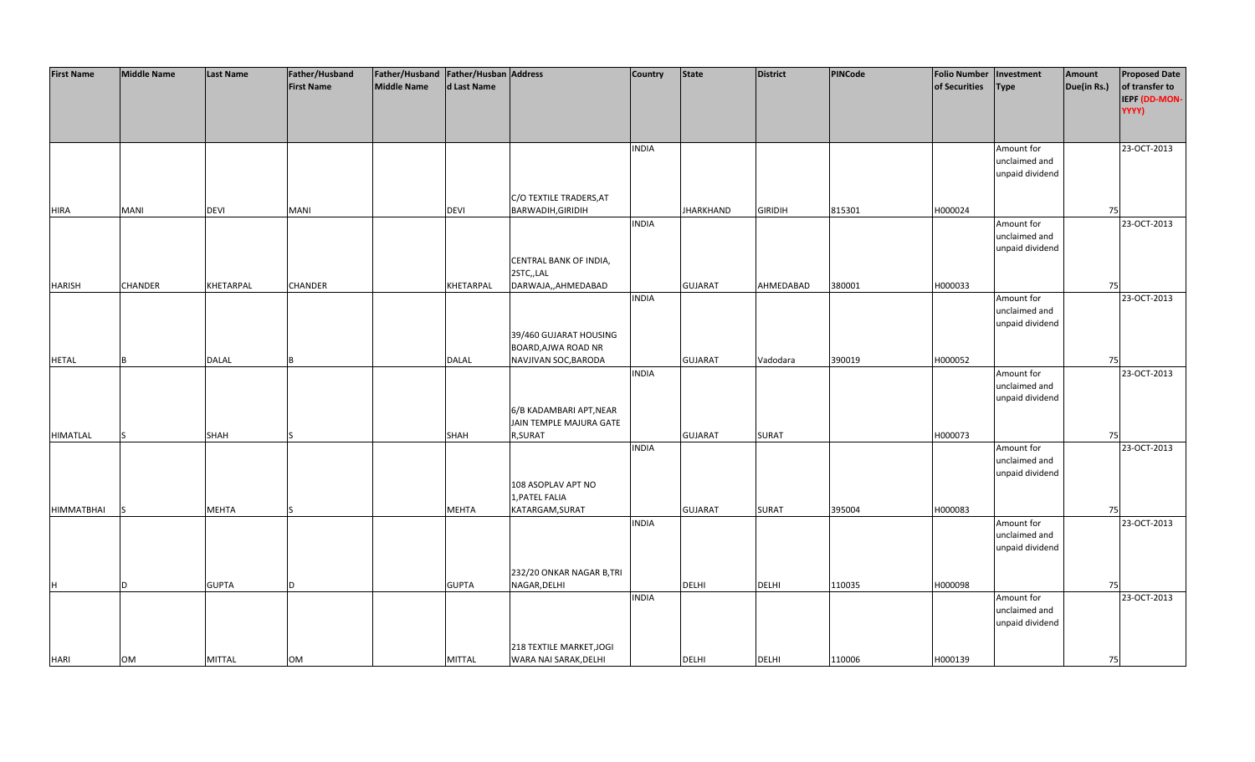| <b>First Name</b> | <b>Middle Name</b> | <b>Last Name</b> | Father/Husband    | Father/Husband Father/Husban Address |               |                           | <b>Country</b> | <b>State</b>     | <b>District</b> | PINCode | <b>Folio Number</b> | Investment      | Amount      | <b>Proposed Date</b> |
|-------------------|--------------------|------------------|-------------------|--------------------------------------|---------------|---------------------------|----------------|------------------|-----------------|---------|---------------------|-----------------|-------------|----------------------|
|                   |                    |                  | <b>First Name</b> | <b>Middle Name</b>                   | d Last Name   |                           |                |                  |                 |         | of Securities       | <b>Type</b>     | Due(in Rs.) | of transfer to       |
|                   |                    |                  |                   |                                      |               |                           |                |                  |                 |         |                     |                 |             | IEPF (DD-MON-        |
|                   |                    |                  |                   |                                      |               |                           |                |                  |                 |         |                     |                 |             | YYYY)                |
|                   |                    |                  |                   |                                      |               |                           |                |                  |                 |         |                     |                 |             |                      |
|                   |                    |                  |                   |                                      |               |                           |                |                  |                 |         |                     |                 |             |                      |
|                   |                    |                  |                   |                                      |               |                           | <b>INDIA</b>   |                  |                 |         |                     | Amount for      |             | 23-OCT-2013          |
|                   |                    |                  |                   |                                      |               |                           |                |                  |                 |         |                     | unclaimed and   |             |                      |
|                   |                    |                  |                   |                                      |               |                           |                |                  |                 |         |                     | unpaid dividend |             |                      |
|                   |                    |                  |                   |                                      |               |                           |                |                  |                 |         |                     |                 |             |                      |
|                   |                    |                  |                   |                                      |               | C/O TEXTILE TRADERS, AT   |                |                  |                 |         |                     |                 |             |                      |
| <b>HIRA</b>       | <b>MANI</b>        | <b>DEVI</b>      | MANI              |                                      | <b>DEVI</b>   | BARWADIH, GIRIDIH         |                | <b>JHARKHAND</b> | <b>GIRIDIH</b>  | 815301  | H000024             |                 | 75          |                      |
|                   |                    |                  |                   |                                      |               |                           | <b>INDIA</b>   |                  |                 |         |                     | Amount for      |             | 23-OCT-2013          |
|                   |                    |                  |                   |                                      |               |                           |                |                  |                 |         |                     | unclaimed and   |             |                      |
|                   |                    |                  |                   |                                      |               |                           |                |                  |                 |         |                     | unpaid dividend |             |                      |
|                   |                    |                  |                   |                                      |               | CENTRAL BANK OF INDIA,    |                |                  |                 |         |                     |                 |             |                      |
|                   |                    |                  |                   |                                      |               | 2STC,,LAL                 |                |                  |                 |         |                     |                 |             |                      |
| <b>HARISH</b>     | <b>CHANDER</b>     | KHETARPAL        | CHANDER           |                                      | KHETARPAL     | DARWAJA,,AHMEDABAD        |                | <b>GUJARAT</b>   | AHMEDABAD       | 380001  | H000033             |                 | 75          |                      |
|                   |                    |                  |                   |                                      |               |                           | <b>INDIA</b>   |                  |                 |         |                     | Amount for      |             | 23-OCT-2013          |
|                   |                    |                  |                   |                                      |               |                           |                |                  |                 |         |                     | unclaimed and   |             |                      |
|                   |                    |                  |                   |                                      |               |                           |                |                  |                 |         |                     | unpaid dividend |             |                      |
|                   |                    |                  |                   |                                      |               | 39/460 GUJARAT HOUSING    |                |                  |                 |         |                     |                 |             |                      |
|                   |                    |                  |                   |                                      |               | BOARD, AJWA ROAD NR       |                |                  |                 |         |                     |                 |             |                      |
| <b>HETAL</b>      | B                  | <b>DALAL</b>     |                   |                                      | <b>DALAL</b>  | NAVJIVAN SOC, BARODA      |                | <b>GUJARAT</b>   | Vadodara        | 390019  | H000052             |                 | 75          |                      |
|                   |                    |                  |                   |                                      |               |                           | <b>INDIA</b>   |                  |                 |         |                     | Amount for      |             | 23-OCT-2013          |
|                   |                    |                  |                   |                                      |               |                           |                |                  |                 |         |                     | unclaimed and   |             |                      |
|                   |                    |                  |                   |                                      |               |                           |                |                  |                 |         |                     | unpaid dividend |             |                      |
|                   |                    |                  |                   |                                      |               | 6/B KADAMBARI APT, NEAR   |                |                  |                 |         |                     |                 |             |                      |
|                   |                    |                  |                   |                                      |               | JAIN TEMPLE MAJURA GATE   |                |                  |                 |         |                     |                 |             |                      |
| <b>HIMATLAL</b>   |                    | <b>SHAH</b>      |                   |                                      | <b>SHAH</b>   | R,SURAT                   |                | <b>GUJARAT</b>   | SURAT           |         | H000073             |                 | 75          |                      |
|                   |                    |                  |                   |                                      |               |                           | <b>INDIA</b>   |                  |                 |         |                     | Amount for      |             | 23-OCT-2013          |
|                   |                    |                  |                   |                                      |               |                           |                |                  |                 |         |                     | unclaimed and   |             |                      |
|                   |                    |                  |                   |                                      |               |                           |                |                  |                 |         |                     | unpaid dividend |             |                      |
|                   |                    |                  |                   |                                      |               | 108 ASOPLAV APT NO        |                |                  |                 |         |                     |                 |             |                      |
|                   |                    |                  |                   |                                      |               | 1, PATEL FALIA            |                |                  |                 |         |                     |                 |             |                      |
| HIMMATBHAI        | lS                 | <b>MEHTA</b>     |                   |                                      | <b>MEHTA</b>  | KATARGAM, SURAT           |                | <b>GUJARAT</b>   | <b>SURAT</b>    | 395004  | H000083             |                 | 75          |                      |
|                   |                    |                  |                   |                                      |               |                           | <b>INDIA</b>   |                  |                 |         |                     | Amount for      |             | 23-OCT-2013          |
|                   |                    |                  |                   |                                      |               |                           |                |                  |                 |         |                     | unclaimed and   |             |                      |
|                   |                    |                  |                   |                                      |               |                           |                |                  |                 |         |                     | unpaid dividend |             |                      |
|                   |                    |                  |                   |                                      |               |                           |                |                  |                 |         |                     |                 |             |                      |
|                   |                    |                  |                   |                                      |               | 232/20 ONKAR NAGAR B, TRI |                |                  |                 |         |                     |                 |             |                      |
| H                 | ID.                | <b>GUPTA</b>     |                   |                                      | <b>GUPTA</b>  | NAGAR, DELHI              |                | <b>DELHI</b>     | <b>DELHI</b>    | 110035  | H000098             |                 | 75          |                      |
|                   |                    |                  |                   |                                      |               |                           | <b>INDIA</b>   |                  |                 |         |                     | Amount for      |             | 23-OCT-2013          |
|                   |                    |                  |                   |                                      |               |                           |                |                  |                 |         |                     | unclaimed and   |             |                      |
|                   |                    |                  |                   |                                      |               |                           |                |                  |                 |         |                     | unpaid dividend |             |                      |
|                   |                    |                  |                   |                                      |               |                           |                |                  |                 |         |                     |                 |             |                      |
|                   |                    |                  |                   |                                      |               | 218 TEXTILE MARKET, JOGI  |                |                  |                 |         |                     |                 |             |                      |
| <b>HARI</b>       | <b>OM</b>          | <b>MITTAL</b>    | OM                |                                      | <b>MITTAL</b> | WARA NAI SARAK, DELHI     |                | <b>DELHI</b>     | <b>DELHI</b>    | 110006  | H000139             |                 | 75          |                      |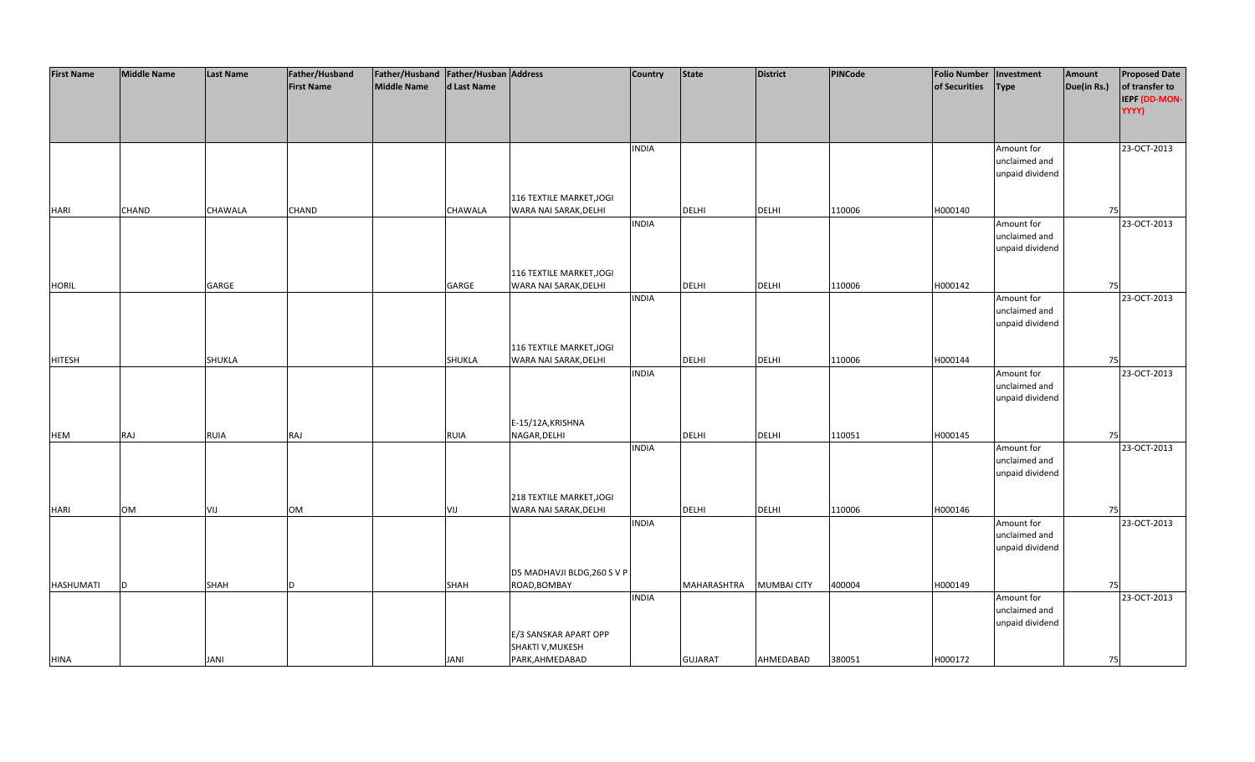| of transfer to<br><b>First Name</b><br>Middle Name<br>d Last Name<br>of Securities<br>Due(in Rs.)<br><b>Type</b><br>YYYY)<br>23-OCT-2013<br><b>INDIA</b><br>Amount for<br>unclaimed and<br>unpaid dividend<br>116 TEXTILE MARKET, JOGI<br>CHAND<br>CHAWALA<br>CHAND<br>CHAWALA<br>WARA NAI SARAK, DELHI<br><b>DELHI</b><br><b>DELHI</b><br>110006<br>H000140<br>75<br><b>HARI</b><br><b>INDIA</b><br>Amount for<br>23-OCT-2013<br>unclaimed and<br>unpaid dividend<br>116 TEXTILE MARKET, JOGI<br><b>HORIL</b><br>GARGE<br>GARGE<br>WARA NAI SARAK, DELHI<br>DELHI<br><b>DELHI</b><br>110006<br>H000142<br>75<br><b>INDIA</b><br>Amount for<br>23-OCT-2013<br>unclaimed and<br>unpaid dividend<br>116 TEXTILE MARKET, JOGI<br><b>DELHI</b><br>DELHI<br>SHUKLA<br>SHUKLA<br>110006<br>H000144<br><b>HITESH</b><br>WARA NAI SARAK, DELHI<br>75<br><b>INDIA</b><br>Amount for<br>23-OCT-2013<br>unclaimed and<br>unpaid dividend<br>E-15/12A, KRISHNA<br>RAJ<br>NAGAR, DELHI<br><b>DELHI</b><br>DELHI<br>110051<br>H000145<br>RUIA<br>RAJ<br><b>RUIA</b><br>75<br><b>INDIA</b><br>23-OCT-2013<br>Amount for<br>unclaimed and<br>unpaid dividend<br>218 TEXTILE MARKET, JOGI<br><b>OM</b><br>WARA NAI SARAK, DELHI<br><b>DELHI</b><br><b>DELHI</b><br>110006<br>H000146<br>VIJ<br><b>OM</b><br>75<br>VIJ<br><b>INDIA</b><br>Amount for<br>23-OCT-2013<br>unclaimed and<br>unpaid dividend<br>D5 MADHAVJI BLDG, 260 S V P<br>400004<br>SHAH<br>SHAH<br>ROAD, BOMBAY<br>MAHARASHTRA<br><b>MUMBAI CITY</b><br>H000149<br>D<br>75<br><sub>D</sub><br><b>INDIA</b><br>23-OCT-2013<br>Amount for<br>unclaimed and<br>unpaid dividend<br>E/3 SANSKAR APART OPP | <b>First Name</b> | <b>Middle Name</b> | <b>Last Name</b> | Father/Husband | Father/Husband   Father/Husban   Address |                  | Country | <b>State</b> | <b>District</b> | <b>PINCode</b> | <b>Folio Number</b> | Investment | Amount | <b>Proposed Date</b> |
|-----------------------------------------------------------------------------------------------------------------------------------------------------------------------------------------------------------------------------------------------------------------------------------------------------------------------------------------------------------------------------------------------------------------------------------------------------------------------------------------------------------------------------------------------------------------------------------------------------------------------------------------------------------------------------------------------------------------------------------------------------------------------------------------------------------------------------------------------------------------------------------------------------------------------------------------------------------------------------------------------------------------------------------------------------------------------------------------------------------------------------------------------------------------------------------------------------------------------------------------------------------------------------------------------------------------------------------------------------------------------------------------------------------------------------------------------------------------------------------------------------------------------------------------------------------------------------------------------------------------------------------------------------|-------------------|--------------------|------------------|----------------|------------------------------------------|------------------|---------|--------------|-----------------|----------------|---------------------|------------|--------|----------------------|
| IEPF (DD-MON-                                                                                                                                                                                                                                                                                                                                                                                                                                                                                                                                                                                                                                                                                                                                                                                                                                                                                                                                                                                                                                                                                                                                                                                                                                                                                                                                                                                                                                                                                                                                                                                                                                       |                   |                    |                  |                |                                          |                  |         |              |                 |                |                     |            |        |                      |
|                                                                                                                                                                                                                                                                                                                                                                                                                                                                                                                                                                                                                                                                                                                                                                                                                                                                                                                                                                                                                                                                                                                                                                                                                                                                                                                                                                                                                                                                                                                                                                                                                                                     |                   |                    |                  |                |                                          |                  |         |              |                 |                |                     |            |        |                      |
|                                                                                                                                                                                                                                                                                                                                                                                                                                                                                                                                                                                                                                                                                                                                                                                                                                                                                                                                                                                                                                                                                                                                                                                                                                                                                                                                                                                                                                                                                                                                                                                                                                                     |                   |                    |                  |                |                                          |                  |         |              |                 |                |                     |            |        |                      |
|                                                                                                                                                                                                                                                                                                                                                                                                                                                                                                                                                                                                                                                                                                                                                                                                                                                                                                                                                                                                                                                                                                                                                                                                                                                                                                                                                                                                                                                                                                                                                                                                                                                     |                   |                    |                  |                |                                          |                  |         |              |                 |                |                     |            |        |                      |
|                                                                                                                                                                                                                                                                                                                                                                                                                                                                                                                                                                                                                                                                                                                                                                                                                                                                                                                                                                                                                                                                                                                                                                                                                                                                                                                                                                                                                                                                                                                                                                                                                                                     |                   |                    |                  |                |                                          |                  |         |              |                 |                |                     |            |        |                      |
|                                                                                                                                                                                                                                                                                                                                                                                                                                                                                                                                                                                                                                                                                                                                                                                                                                                                                                                                                                                                                                                                                                                                                                                                                                                                                                                                                                                                                                                                                                                                                                                                                                                     |                   |                    |                  |                |                                          |                  |         |              |                 |                |                     |            |        |                      |
|                                                                                                                                                                                                                                                                                                                                                                                                                                                                                                                                                                                                                                                                                                                                                                                                                                                                                                                                                                                                                                                                                                                                                                                                                                                                                                                                                                                                                                                                                                                                                                                                                                                     |                   |                    |                  |                |                                          |                  |         |              |                 |                |                     |            |        |                      |
|                                                                                                                                                                                                                                                                                                                                                                                                                                                                                                                                                                                                                                                                                                                                                                                                                                                                                                                                                                                                                                                                                                                                                                                                                                                                                                                                                                                                                                                                                                                                                                                                                                                     |                   |                    |                  |                |                                          |                  |         |              |                 |                |                     |            |        |                      |
|                                                                                                                                                                                                                                                                                                                                                                                                                                                                                                                                                                                                                                                                                                                                                                                                                                                                                                                                                                                                                                                                                                                                                                                                                                                                                                                                                                                                                                                                                                                                                                                                                                                     |                   |                    |                  |                |                                          |                  |         |              |                 |                |                     |            |        |                      |
|                                                                                                                                                                                                                                                                                                                                                                                                                                                                                                                                                                                                                                                                                                                                                                                                                                                                                                                                                                                                                                                                                                                                                                                                                                                                                                                                                                                                                                                                                                                                                                                                                                                     |                   |                    |                  |                |                                          |                  |         |              |                 |                |                     |            |        |                      |
|                                                                                                                                                                                                                                                                                                                                                                                                                                                                                                                                                                                                                                                                                                                                                                                                                                                                                                                                                                                                                                                                                                                                                                                                                                                                                                                                                                                                                                                                                                                                                                                                                                                     |                   |                    |                  |                |                                          |                  |         |              |                 |                |                     |            |        |                      |
|                                                                                                                                                                                                                                                                                                                                                                                                                                                                                                                                                                                                                                                                                                                                                                                                                                                                                                                                                                                                                                                                                                                                                                                                                                                                                                                                                                                                                                                                                                                                                                                                                                                     |                   |                    |                  |                |                                          |                  |         |              |                 |                |                     |            |        |                      |
|                                                                                                                                                                                                                                                                                                                                                                                                                                                                                                                                                                                                                                                                                                                                                                                                                                                                                                                                                                                                                                                                                                                                                                                                                                                                                                                                                                                                                                                                                                                                                                                                                                                     |                   |                    |                  |                |                                          |                  |         |              |                 |                |                     |            |        |                      |
|                                                                                                                                                                                                                                                                                                                                                                                                                                                                                                                                                                                                                                                                                                                                                                                                                                                                                                                                                                                                                                                                                                                                                                                                                                                                                                                                                                                                                                                                                                                                                                                                                                                     |                   |                    |                  |                |                                          |                  |         |              |                 |                |                     |            |        |                      |
|                                                                                                                                                                                                                                                                                                                                                                                                                                                                                                                                                                                                                                                                                                                                                                                                                                                                                                                                                                                                                                                                                                                                                                                                                                                                                                                                                                                                                                                                                                                                                                                                                                                     |                   |                    |                  |                |                                          |                  |         |              |                 |                |                     |            |        |                      |
|                                                                                                                                                                                                                                                                                                                                                                                                                                                                                                                                                                                                                                                                                                                                                                                                                                                                                                                                                                                                                                                                                                                                                                                                                                                                                                                                                                                                                                                                                                                                                                                                                                                     |                   |                    |                  |                |                                          |                  |         |              |                 |                |                     |            |        |                      |
|                                                                                                                                                                                                                                                                                                                                                                                                                                                                                                                                                                                                                                                                                                                                                                                                                                                                                                                                                                                                                                                                                                                                                                                                                                                                                                                                                                                                                                                                                                                                                                                                                                                     |                   |                    |                  |                |                                          |                  |         |              |                 |                |                     |            |        |                      |
|                                                                                                                                                                                                                                                                                                                                                                                                                                                                                                                                                                                                                                                                                                                                                                                                                                                                                                                                                                                                                                                                                                                                                                                                                                                                                                                                                                                                                                                                                                                                                                                                                                                     |                   |                    |                  |                |                                          |                  |         |              |                 |                |                     |            |        |                      |
|                                                                                                                                                                                                                                                                                                                                                                                                                                                                                                                                                                                                                                                                                                                                                                                                                                                                                                                                                                                                                                                                                                                                                                                                                                                                                                                                                                                                                                                                                                                                                                                                                                                     |                   |                    |                  |                |                                          |                  |         |              |                 |                |                     |            |        |                      |
|                                                                                                                                                                                                                                                                                                                                                                                                                                                                                                                                                                                                                                                                                                                                                                                                                                                                                                                                                                                                                                                                                                                                                                                                                                                                                                                                                                                                                                                                                                                                                                                                                                                     |                   |                    |                  |                |                                          |                  |         |              |                 |                |                     |            |        |                      |
|                                                                                                                                                                                                                                                                                                                                                                                                                                                                                                                                                                                                                                                                                                                                                                                                                                                                                                                                                                                                                                                                                                                                                                                                                                                                                                                                                                                                                                                                                                                                                                                                                                                     |                   |                    |                  |                |                                          |                  |         |              |                 |                |                     |            |        |                      |
|                                                                                                                                                                                                                                                                                                                                                                                                                                                                                                                                                                                                                                                                                                                                                                                                                                                                                                                                                                                                                                                                                                                                                                                                                                                                                                                                                                                                                                                                                                                                                                                                                                                     |                   |                    |                  |                |                                          |                  |         |              |                 |                |                     |            |        |                      |
|                                                                                                                                                                                                                                                                                                                                                                                                                                                                                                                                                                                                                                                                                                                                                                                                                                                                                                                                                                                                                                                                                                                                                                                                                                                                                                                                                                                                                                                                                                                                                                                                                                                     |                   |                    |                  |                |                                          |                  |         |              |                 |                |                     |            |        |                      |
|                                                                                                                                                                                                                                                                                                                                                                                                                                                                                                                                                                                                                                                                                                                                                                                                                                                                                                                                                                                                                                                                                                                                                                                                                                                                                                                                                                                                                                                                                                                                                                                                                                                     |                   |                    |                  |                |                                          |                  |         |              |                 |                |                     |            |        |                      |
|                                                                                                                                                                                                                                                                                                                                                                                                                                                                                                                                                                                                                                                                                                                                                                                                                                                                                                                                                                                                                                                                                                                                                                                                                                                                                                                                                                                                                                                                                                                                                                                                                                                     |                   |                    |                  |                |                                          |                  |         |              |                 |                |                     |            |        |                      |
|                                                                                                                                                                                                                                                                                                                                                                                                                                                                                                                                                                                                                                                                                                                                                                                                                                                                                                                                                                                                                                                                                                                                                                                                                                                                                                                                                                                                                                                                                                                                                                                                                                                     |                   |                    |                  |                |                                          |                  |         |              |                 |                |                     |            |        |                      |
|                                                                                                                                                                                                                                                                                                                                                                                                                                                                                                                                                                                                                                                                                                                                                                                                                                                                                                                                                                                                                                                                                                                                                                                                                                                                                                                                                                                                                                                                                                                                                                                                                                                     |                   |                    |                  |                |                                          |                  |         |              |                 |                |                     |            |        |                      |
|                                                                                                                                                                                                                                                                                                                                                                                                                                                                                                                                                                                                                                                                                                                                                                                                                                                                                                                                                                                                                                                                                                                                                                                                                                                                                                                                                                                                                                                                                                                                                                                                                                                     |                   |                    |                  |                |                                          |                  |         |              |                 |                |                     |            |        |                      |
|                                                                                                                                                                                                                                                                                                                                                                                                                                                                                                                                                                                                                                                                                                                                                                                                                                                                                                                                                                                                                                                                                                                                                                                                                                                                                                                                                                                                                                                                                                                                                                                                                                                     |                   |                    |                  |                |                                          |                  |         |              |                 |                |                     |            |        |                      |
|                                                                                                                                                                                                                                                                                                                                                                                                                                                                                                                                                                                                                                                                                                                                                                                                                                                                                                                                                                                                                                                                                                                                                                                                                                                                                                                                                                                                                                                                                                                                                                                                                                                     | <b>HEM</b>        |                    |                  |                |                                          |                  |         |              |                 |                |                     |            |        |                      |
|                                                                                                                                                                                                                                                                                                                                                                                                                                                                                                                                                                                                                                                                                                                                                                                                                                                                                                                                                                                                                                                                                                                                                                                                                                                                                                                                                                                                                                                                                                                                                                                                                                                     |                   |                    |                  |                |                                          |                  |         |              |                 |                |                     |            |        |                      |
|                                                                                                                                                                                                                                                                                                                                                                                                                                                                                                                                                                                                                                                                                                                                                                                                                                                                                                                                                                                                                                                                                                                                                                                                                                                                                                                                                                                                                                                                                                                                                                                                                                                     |                   |                    |                  |                |                                          |                  |         |              |                 |                |                     |            |        |                      |
|                                                                                                                                                                                                                                                                                                                                                                                                                                                                                                                                                                                                                                                                                                                                                                                                                                                                                                                                                                                                                                                                                                                                                                                                                                                                                                                                                                                                                                                                                                                                                                                                                                                     |                   |                    |                  |                |                                          |                  |         |              |                 |                |                     |            |        |                      |
|                                                                                                                                                                                                                                                                                                                                                                                                                                                                                                                                                                                                                                                                                                                                                                                                                                                                                                                                                                                                                                                                                                                                                                                                                                                                                                                                                                                                                                                                                                                                                                                                                                                     |                   |                    |                  |                |                                          |                  |         |              |                 |                |                     |            |        |                      |
|                                                                                                                                                                                                                                                                                                                                                                                                                                                                                                                                                                                                                                                                                                                                                                                                                                                                                                                                                                                                                                                                                                                                                                                                                                                                                                                                                                                                                                                                                                                                                                                                                                                     |                   |                    |                  |                |                                          |                  |         |              |                 |                |                     |            |        |                      |
|                                                                                                                                                                                                                                                                                                                                                                                                                                                                                                                                                                                                                                                                                                                                                                                                                                                                                                                                                                                                                                                                                                                                                                                                                                                                                                                                                                                                                                                                                                                                                                                                                                                     | <b>HARI</b>       |                    |                  |                |                                          |                  |         |              |                 |                |                     |            |        |                      |
|                                                                                                                                                                                                                                                                                                                                                                                                                                                                                                                                                                                                                                                                                                                                                                                                                                                                                                                                                                                                                                                                                                                                                                                                                                                                                                                                                                                                                                                                                                                                                                                                                                                     |                   |                    |                  |                |                                          |                  |         |              |                 |                |                     |            |        |                      |
|                                                                                                                                                                                                                                                                                                                                                                                                                                                                                                                                                                                                                                                                                                                                                                                                                                                                                                                                                                                                                                                                                                                                                                                                                                                                                                                                                                                                                                                                                                                                                                                                                                                     |                   |                    |                  |                |                                          |                  |         |              |                 |                |                     |            |        |                      |
|                                                                                                                                                                                                                                                                                                                                                                                                                                                                                                                                                                                                                                                                                                                                                                                                                                                                                                                                                                                                                                                                                                                                                                                                                                                                                                                                                                                                                                                                                                                                                                                                                                                     |                   |                    |                  |                |                                          |                  |         |              |                 |                |                     |            |        |                      |
|                                                                                                                                                                                                                                                                                                                                                                                                                                                                                                                                                                                                                                                                                                                                                                                                                                                                                                                                                                                                                                                                                                                                                                                                                                                                                                                                                                                                                                                                                                                                                                                                                                                     |                   |                    |                  |                |                                          |                  |         |              |                 |                |                     |            |        |                      |
|                                                                                                                                                                                                                                                                                                                                                                                                                                                                                                                                                                                                                                                                                                                                                                                                                                                                                                                                                                                                                                                                                                                                                                                                                                                                                                                                                                                                                                                                                                                                                                                                                                                     |                   |                    |                  |                |                                          |                  |         |              |                 |                |                     |            |        |                      |
|                                                                                                                                                                                                                                                                                                                                                                                                                                                                                                                                                                                                                                                                                                                                                                                                                                                                                                                                                                                                                                                                                                                                                                                                                                                                                                                                                                                                                                                                                                                                                                                                                                                     | HASHUMATI         |                    |                  |                |                                          |                  |         |              |                 |                |                     |            |        |                      |
|                                                                                                                                                                                                                                                                                                                                                                                                                                                                                                                                                                                                                                                                                                                                                                                                                                                                                                                                                                                                                                                                                                                                                                                                                                                                                                                                                                                                                                                                                                                                                                                                                                                     |                   |                    |                  |                |                                          |                  |         |              |                 |                |                     |            |        |                      |
|                                                                                                                                                                                                                                                                                                                                                                                                                                                                                                                                                                                                                                                                                                                                                                                                                                                                                                                                                                                                                                                                                                                                                                                                                                                                                                                                                                                                                                                                                                                                                                                                                                                     |                   |                    |                  |                |                                          |                  |         |              |                 |                |                     |            |        |                      |
|                                                                                                                                                                                                                                                                                                                                                                                                                                                                                                                                                                                                                                                                                                                                                                                                                                                                                                                                                                                                                                                                                                                                                                                                                                                                                                                                                                                                                                                                                                                                                                                                                                                     |                   |                    |                  |                |                                          |                  |         |              |                 |                |                     |            |        |                      |
|                                                                                                                                                                                                                                                                                                                                                                                                                                                                                                                                                                                                                                                                                                                                                                                                                                                                                                                                                                                                                                                                                                                                                                                                                                                                                                                                                                                                                                                                                                                                                                                                                                                     |                   |                    |                  |                |                                          |                  |         |              |                 |                |                     |            |        |                      |
|                                                                                                                                                                                                                                                                                                                                                                                                                                                                                                                                                                                                                                                                                                                                                                                                                                                                                                                                                                                                                                                                                                                                                                                                                                                                                                                                                                                                                                                                                                                                                                                                                                                     |                   |                    |                  |                |                                          | SHAKTI V, MUKESH |         |              |                 |                |                     |            |        |                      |
| PARK, AHMEDABAD<br><b>GUJARAT</b><br>AHMEDABAD<br>380051<br>H000172<br><b>JANI</b><br>JANI<br>75                                                                                                                                                                                                                                                                                                                                                                                                                                                                                                                                                                                                                                                                                                                                                                                                                                                                                                                                                                                                                                                                                                                                                                                                                                                                                                                                                                                                                                                                                                                                                    | <b>HINA</b>       |                    |                  |                |                                          |                  |         |              |                 |                |                     |            |        |                      |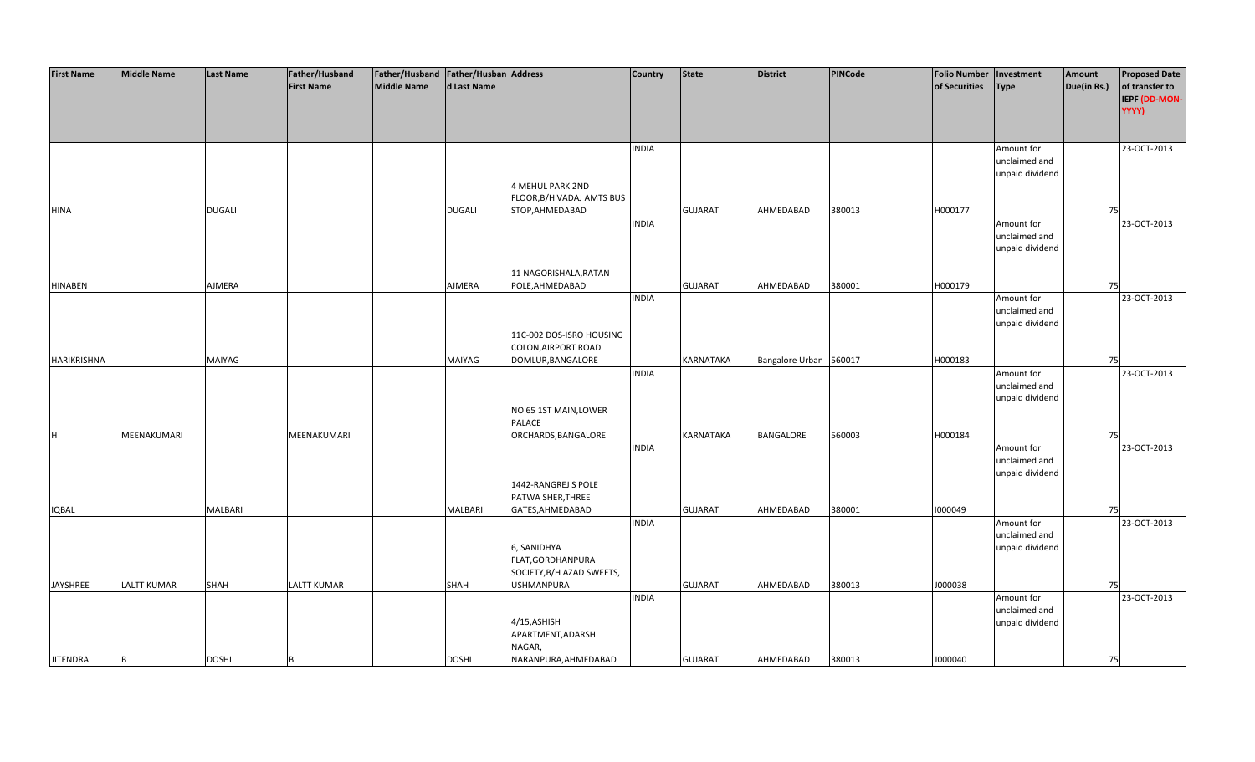| <b>First Name</b> | <b>Middle Name</b> | <b>Last Name</b> | Father/Husband     | Father/Husband Father/Husban Address |               |                           | <b>Country</b> | <b>State</b>   | <b>District</b>        | PINCode | <b>Folio Number</b> | Investment      | Amount      | <b>Proposed Date</b> |
|-------------------|--------------------|------------------|--------------------|--------------------------------------|---------------|---------------------------|----------------|----------------|------------------------|---------|---------------------|-----------------|-------------|----------------------|
|                   |                    |                  | <b>First Name</b>  | <b>Middle Name</b>                   | d Last Name   |                           |                |                |                        |         | of Securities       | <b>Type</b>     | Due(in Rs.) | of transfer to       |
|                   |                    |                  |                    |                                      |               |                           |                |                |                        |         |                     |                 |             |                      |
|                   |                    |                  |                    |                                      |               |                           |                |                |                        |         |                     |                 |             | IEPF (DD-MON-        |
|                   |                    |                  |                    |                                      |               |                           |                |                |                        |         |                     |                 |             | YYYY)                |
|                   |                    |                  |                    |                                      |               |                           |                |                |                        |         |                     |                 |             |                      |
|                   |                    |                  |                    |                                      |               |                           |                |                |                        |         |                     |                 |             |                      |
|                   |                    |                  |                    |                                      |               |                           | <b>INDIA</b>   |                |                        |         |                     | Amount for      |             | 23-OCT-2013          |
|                   |                    |                  |                    |                                      |               |                           |                |                |                        |         |                     | unclaimed and   |             |                      |
|                   |                    |                  |                    |                                      |               |                           |                |                |                        |         |                     | unpaid dividend |             |                      |
|                   |                    |                  |                    |                                      |               | <b>4 MEHUL PARK 2ND</b>   |                |                |                        |         |                     |                 |             |                      |
|                   |                    |                  |                    |                                      |               | FLOOR, B/H VADAJ AMTS BUS |                |                |                        |         |                     |                 |             |                      |
| <b>HINA</b>       |                    | <b>DUGALI</b>    |                    |                                      | <b>DUGALI</b> | STOP, AHMEDABAD           |                | <b>GUJARAT</b> | AHMEDABAD              | 380013  | H000177             |                 | 75          |                      |
|                   |                    |                  |                    |                                      |               |                           |                |                |                        |         |                     |                 |             | 23-OCT-2013          |
|                   |                    |                  |                    |                                      |               |                           | <b>INDIA</b>   |                |                        |         |                     | Amount for      |             |                      |
|                   |                    |                  |                    |                                      |               |                           |                |                |                        |         |                     | unclaimed and   |             |                      |
|                   |                    |                  |                    |                                      |               |                           |                |                |                        |         |                     | unpaid dividend |             |                      |
|                   |                    |                  |                    |                                      |               |                           |                |                |                        |         |                     |                 |             |                      |
|                   |                    |                  |                    |                                      |               | 11 NAGORISHALA, RATAN     |                |                |                        |         |                     |                 |             |                      |
| <b>HINABEN</b>    |                    | AJMERA           |                    |                                      | AJMERA        | POLE, AHMEDABAD           |                | <b>GUJARAT</b> | AHMEDABAD              | 380001  | H000179             |                 | 75          |                      |
|                   |                    |                  |                    |                                      |               |                           | <b>INDIA</b>   |                |                        |         |                     | Amount for      |             | 23-OCT-2013          |
|                   |                    |                  |                    |                                      |               |                           |                |                |                        |         |                     | unclaimed and   |             |                      |
|                   |                    |                  |                    |                                      |               |                           |                |                |                        |         |                     | unpaid dividend |             |                      |
|                   |                    |                  |                    |                                      |               | 11C-002 DOS-ISRO HOUSING  |                |                |                        |         |                     |                 |             |                      |
|                   |                    |                  |                    |                                      |               | COLON, AIRPORT ROAD       |                |                |                        |         |                     |                 |             |                      |
| HARIKRISHNA       |                    | MAIYAG           |                    |                                      | MAIYAG        | DOMLUR, BANGALORE         |                | KARNATAKA      | Bangalore Urban 560017 |         | H000183             |                 | 75          |                      |
|                   |                    |                  |                    |                                      |               |                           |                |                |                        |         |                     |                 |             |                      |
|                   |                    |                  |                    |                                      |               |                           | <b>INDIA</b>   |                |                        |         |                     | Amount for      |             | 23-OCT-2013          |
|                   |                    |                  |                    |                                      |               |                           |                |                |                        |         |                     | unclaimed and   |             |                      |
|                   |                    |                  |                    |                                      |               |                           |                |                |                        |         |                     | unpaid dividend |             |                      |
|                   |                    |                  |                    |                                      |               | NO 65 1ST MAIN, LOWER     |                |                |                        |         |                     |                 |             |                      |
|                   |                    |                  |                    |                                      |               | <b>PALACE</b>             |                |                |                        |         |                     |                 |             |                      |
| IH.               | MEENAKUMARI        |                  | MEENAKUMARI        |                                      |               | ORCHARDS, BANGALORE       |                | KARNATAKA      | BANGALORE              | 560003  | H000184             |                 | 75          |                      |
|                   |                    |                  |                    |                                      |               |                           | <b>INDIA</b>   |                |                        |         |                     | Amount for      |             | 23-OCT-2013          |
|                   |                    |                  |                    |                                      |               |                           |                |                |                        |         |                     | unclaimed and   |             |                      |
|                   |                    |                  |                    |                                      |               |                           |                |                |                        |         |                     | unpaid dividend |             |                      |
|                   |                    |                  |                    |                                      |               | 1442-RANGREJ S POLE       |                |                |                        |         |                     |                 |             |                      |
|                   |                    |                  |                    |                                      |               | PATWA SHER, THREE         |                |                |                        |         |                     |                 |             |                      |
| <b>IQBAL</b>      |                    | <b>MALBARI</b>   |                    |                                      | MALBARI       | GATES, AHMEDABAD          |                | <b>GUJARAT</b> | AHMEDABAD              | 380001  | 1000049             |                 | 75          |                      |
|                   |                    |                  |                    |                                      |               |                           | <b>INDIA</b>   |                |                        |         |                     | Amount for      |             | 23-OCT-2013          |
|                   |                    |                  |                    |                                      |               |                           |                |                |                        |         |                     |                 |             |                      |
|                   |                    |                  |                    |                                      |               |                           |                |                |                        |         |                     | unclaimed and   |             |                      |
|                   |                    |                  |                    |                                      |               | 6, SANIDHYA               |                |                |                        |         |                     | unpaid dividend |             |                      |
|                   |                    |                  |                    |                                      |               | FLAT, GORDHANPURA         |                |                |                        |         |                     |                 |             |                      |
|                   |                    |                  |                    |                                      |               | SOCIETY, B/H AZAD SWEETS, |                |                |                        |         |                     |                 |             |                      |
| JAYSHREE          | <b>LALTT KUMAR</b> | SHAH             | <b>LALTT KUMAR</b> |                                      | <b>SHAH</b>   | <b>USHMANPURA</b>         |                | <b>GUJARAT</b> | AHMEDABAD              | 380013  | J000038             |                 | 75          |                      |
|                   |                    |                  |                    |                                      |               |                           | <b>INDIA</b>   |                |                        |         |                     | Amount for      |             | 23-OCT-2013          |
|                   |                    |                  |                    |                                      |               |                           |                |                |                        |         |                     | unclaimed and   |             |                      |
|                   |                    |                  |                    |                                      |               | 4/15, ASHISH              |                |                |                        |         |                     | unpaid dividend |             |                      |
|                   |                    |                  |                    |                                      |               | APARTMENT, ADARSH         |                |                |                        |         |                     |                 |             |                      |
|                   |                    |                  |                    |                                      |               | NAGAR,                    |                |                |                        |         |                     |                 |             |                      |
| <b>JITENDRA</b>   |                    | <b>DOSHI</b>     |                    |                                      | <b>DOSHI</b>  | NARANPURA, AHMEDABAD      |                | <b>GUJARAT</b> | AHMEDABAD              | 380013  | J000040             |                 | 75          |                      |
|                   |                    |                  |                    |                                      |               |                           |                |                |                        |         |                     |                 |             |                      |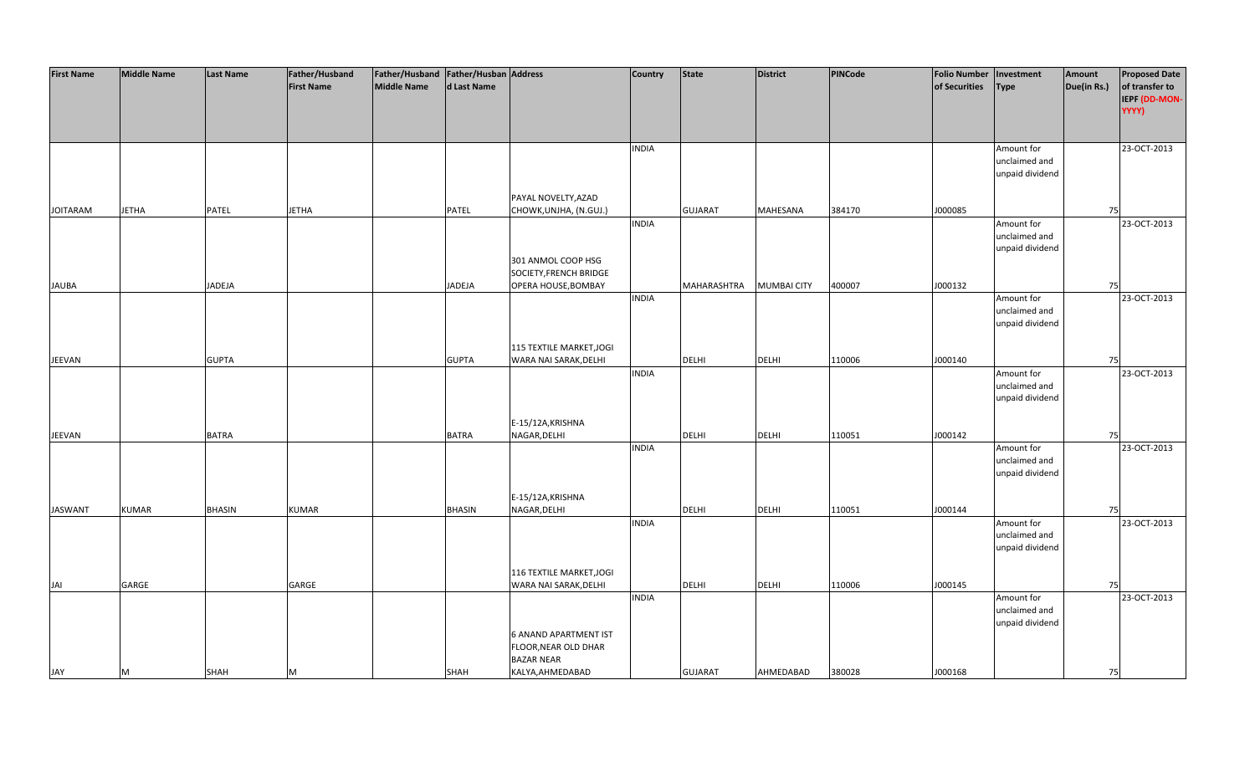| <b>First Name</b> | <b>Middle Name</b> | Last Name     | Father/Husband    | Father/Husband   Father/Husban   Address |               |                                                   | <b>Country</b> | <b>State</b>   | District           | <b>PINCode</b> | <b>Folio Number</b> | Investment                                     | Amount      | <b>Proposed Date</b>                     |
|-------------------|--------------------|---------------|-------------------|------------------------------------------|---------------|---------------------------------------------------|----------------|----------------|--------------------|----------------|---------------------|------------------------------------------------|-------------|------------------------------------------|
|                   |                    |               | <b>First Name</b> | <b>Middle Name</b>                       | d Last Name   |                                                   |                |                |                    |                | of Securities       | <b>Type</b>                                    | Due(in Rs.) | of transfer to<br>IEPF (DD-MON-<br>YYYY) |
|                   |                    |               |                   |                                          |               |                                                   |                |                |                    |                |                     |                                                |             |                                          |
|                   |                    |               |                   |                                          |               |                                                   | <b>INDIA</b>   |                |                    |                |                     | Amount for<br>unclaimed and<br>unpaid dividend |             | 23-OCT-2013                              |
|                   |                    |               |                   |                                          |               | PAYAL NOVELTY, AZAD                               |                |                |                    |                |                     |                                                |             |                                          |
| <b>JOITARAM</b>   | <b>JETHA</b>       | PATEL         | <b>JETHA</b>      |                                          | PATEL         | CHOWK, UNJHA, (N.GUJ.)                            |                | <b>GUJARAT</b> | MAHESANA           | 384170         | J000085             |                                                | 75          |                                          |
|                   |                    |               |                   |                                          |               |                                                   | <b>INDIA</b>   |                |                    |                |                     | Amount for<br>unclaimed and<br>unpaid dividend |             | 23-OCT-2013                              |
|                   |                    |               |                   |                                          |               | 301 ANMOL COOP HSG<br>SOCIETY, FRENCH BRIDGE      |                |                |                    |                |                     |                                                |             |                                          |
| <b>JAUBA</b>      |                    | JADEJA        |                   |                                          | <b>JADEJA</b> | OPERA HOUSE, BOMBAY                               |                | MAHARASHTRA    | <b>MUMBAI CITY</b> | 400007         | J000132             |                                                | 75          |                                          |
|                   |                    |               |                   |                                          |               |                                                   | <b>INDIA</b>   |                |                    |                |                     | Amount for<br>unclaimed and<br>unpaid dividend |             | 23-OCT-2013                              |
|                   |                    |               |                   |                                          |               | 115 TEXTILE MARKET, JOGI                          |                |                |                    |                |                     |                                                |             |                                          |
| JEEVAN            |                    | <b>GUPTA</b>  |                   |                                          | <b>GUPTA</b>  | WARA NAI SARAK, DELHI                             |                | DELHI          | <b>DELHI</b>       | 110006         | J000140             |                                                | 75          |                                          |
|                   |                    |               |                   |                                          |               |                                                   | <b>INDIA</b>   |                |                    |                |                     | Amount for<br>unclaimed and<br>unpaid dividend |             | 23-OCT-2013                              |
|                   |                    |               |                   |                                          |               | E-15/12A, KRISHNA                                 |                |                |                    |                |                     |                                                |             |                                          |
| JEEVAN            |                    | <b>BATRA</b>  |                   |                                          | BATRA         | NAGAR, DELHI                                      | <b>INDIA</b>   | DELHI          | DELHI              | 110051         | J000142             | Amount for<br>unclaimed and<br>unpaid dividend | 75          | 23-OCT-2013                              |
|                   |                    |               |                   |                                          |               | E-15/12A, KRISHNA                                 |                |                |                    |                |                     |                                                |             |                                          |
| <b>JASWANT</b>    | <b>KUMAR</b>       | <b>BHASIN</b> | <b>KUMAR</b>      |                                          | <b>BHASIN</b> | NAGAR, DELHI                                      |                | <b>DELHI</b>   | <b>DELHI</b>       | 110051         | J000144             |                                                | 75          |                                          |
|                   |                    |               |                   |                                          |               |                                                   | <b>INDIA</b>   |                |                    |                |                     | Amount for<br>unclaimed and<br>unpaid dividend |             | 23-OCT-2013                              |
|                   |                    |               |                   |                                          |               |                                                   |                |                |                    |                |                     |                                                |             |                                          |
| JAI               | GARGE              |               | GARGE             |                                          |               | 116 TEXTILE MARKET, JOGI<br>WARA NAI SARAK, DELHI |                | <b>DELHI</b>   | <b>DELHI</b>       | 110006         | J000145             |                                                | 75          |                                          |
|                   |                    |               |                   |                                          |               |                                                   | <b>INDIA</b>   |                |                    |                |                     | Amount for                                     |             | 23-OCT-2013                              |
|                   |                    |               |                   |                                          |               | <b>6 ANAND APARTMENT IST</b>                      |                |                |                    |                |                     | unclaimed and<br>unpaid dividend               |             |                                          |
|                   |                    |               |                   |                                          |               | FLOOR, NEAR OLD DHAR<br><b>BAZAR NEAR</b>         |                |                |                    |                |                     |                                                |             |                                          |
| JAY               | M                  | SHAH          | M                 |                                          | SHAH          | KALYA, AHMEDABAD                                  |                | <b>GUJARAT</b> | AHMEDABAD          | 380028         | J000168             |                                                | 75          |                                          |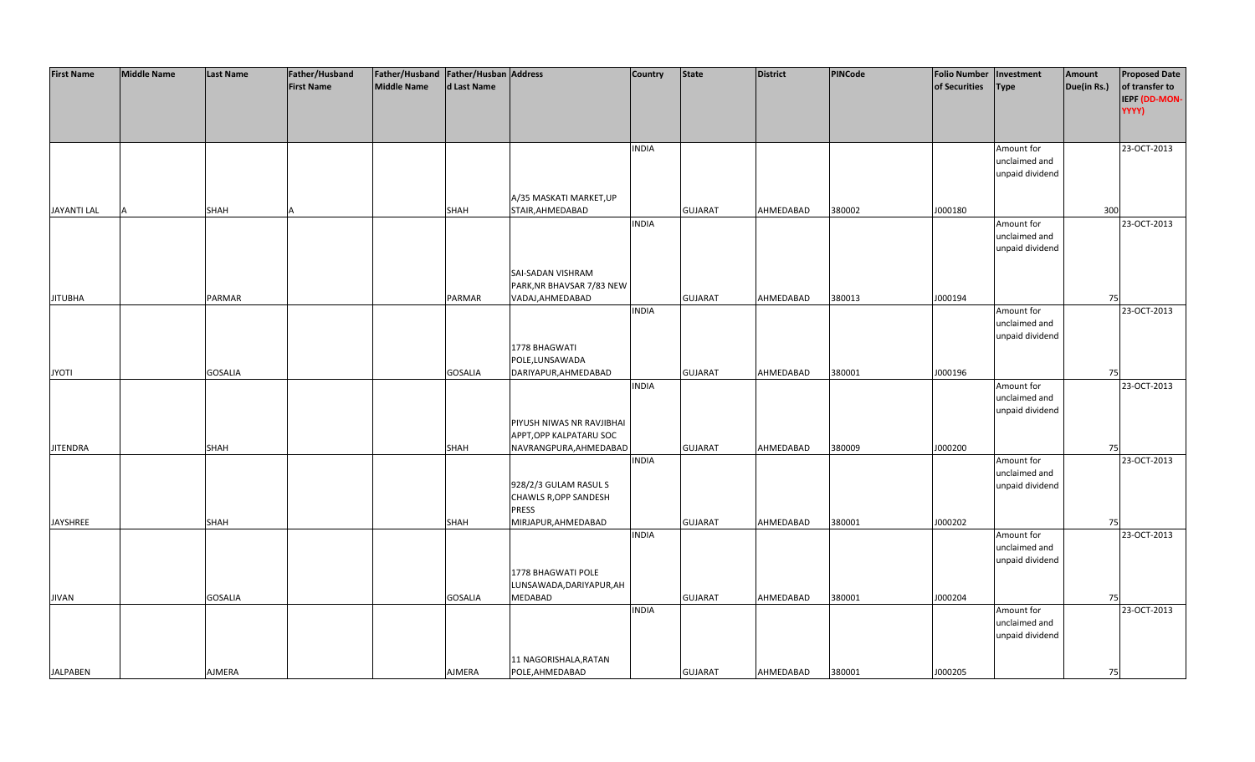| <b>First Name</b>  | <b>Middle Name</b> | <b>Last Name</b> | Father/Husband    | Father/Husband   Father/Husban   Address |                |                           | <b>Country</b> | <b>State</b>   | <b>District</b> | PINCode | <b>Folio Number</b> | Investment      | Amount      | <b>Proposed Date</b> |
|--------------------|--------------------|------------------|-------------------|------------------------------------------|----------------|---------------------------|----------------|----------------|-----------------|---------|---------------------|-----------------|-------------|----------------------|
|                    |                    |                  | <b>First Name</b> | <b>Middle Name</b>                       | d Last Name    |                           |                |                |                 |         | of Securities       | <b>Type</b>     | Due(in Rs.) | of transfer to       |
|                    |                    |                  |                   |                                          |                |                           |                |                |                 |         |                     |                 |             | IEPF (DD-MON-        |
|                    |                    |                  |                   |                                          |                |                           |                |                |                 |         |                     |                 |             | YYYY)                |
|                    |                    |                  |                   |                                          |                |                           |                |                |                 |         |                     |                 |             |                      |
|                    |                    |                  |                   |                                          |                |                           |                |                |                 |         |                     |                 |             |                      |
|                    |                    |                  |                   |                                          |                |                           | INDIA          |                |                 |         |                     | Amount for      |             | 23-OCT-2013          |
|                    |                    |                  |                   |                                          |                |                           |                |                |                 |         |                     | unclaimed and   |             |                      |
|                    |                    |                  |                   |                                          |                |                           |                |                |                 |         |                     | unpaid dividend |             |                      |
|                    |                    |                  |                   |                                          |                |                           |                |                |                 |         |                     |                 |             |                      |
|                    |                    |                  |                   |                                          |                | A/35 MASKATI MARKET, UP   |                |                |                 |         |                     |                 |             |                      |
| <b>JAYANTI LAL</b> |                    | SHAH             |                   |                                          | SHAH           | STAIR, AHMEDABAD          |                | <b>GUJARAT</b> | AHMEDABAD       | 380002  | J000180             |                 | 300         |                      |
|                    |                    |                  |                   |                                          |                |                           | <b>INDIA</b>   |                |                 |         |                     | Amount for      |             | 23-OCT-2013          |
|                    |                    |                  |                   |                                          |                |                           |                |                |                 |         |                     | unclaimed and   |             |                      |
|                    |                    |                  |                   |                                          |                |                           |                |                |                 |         |                     | unpaid dividend |             |                      |
|                    |                    |                  |                   |                                          |                |                           |                |                |                 |         |                     |                 |             |                      |
|                    |                    |                  |                   |                                          |                | SAI-SADAN VISHRAM         |                |                |                 |         |                     |                 |             |                      |
|                    |                    |                  |                   |                                          |                | PARK, NR BHAVSAR 7/83 NEW |                |                |                 |         |                     |                 |             |                      |
| <b>JITUBHA</b>     |                    | <b>PARMAR</b>    |                   |                                          | <b>PARMAR</b>  | VADAJ, AHMEDABAD          |                | <b>GUJARAT</b> | AHMEDABAD       | 380013  | J000194             |                 | 75          |                      |
|                    |                    |                  |                   |                                          |                |                           | <b>INDIA</b>   |                |                 |         |                     | Amount for      |             | 23-OCT-2013          |
|                    |                    |                  |                   |                                          |                |                           |                |                |                 |         |                     | unclaimed and   |             |                      |
|                    |                    |                  |                   |                                          |                |                           |                |                |                 |         |                     | unpaid dividend |             |                      |
|                    |                    |                  |                   |                                          |                | 1778 BHAGWATI             |                |                |                 |         |                     |                 |             |                      |
|                    |                    |                  |                   |                                          |                | POLE,LUNSAWADA            |                |                |                 |         |                     |                 |             |                      |
| <b>JYOTI</b>       |                    | <b>GOSALIA</b>   |                   |                                          | <b>GOSALIA</b> | DARIYAPUR, AHMEDABAD      |                | <b>GUJARAT</b> | AHMEDABAD       | 380001  | J000196             |                 | 75          |                      |
|                    |                    |                  |                   |                                          |                |                           | <b>INDIA</b>   |                |                 |         |                     | Amount for      |             | 23-OCT-2013          |
|                    |                    |                  |                   |                                          |                |                           |                |                |                 |         |                     | unclaimed and   |             |                      |
|                    |                    |                  |                   |                                          |                |                           |                |                |                 |         |                     | unpaid dividend |             |                      |
|                    |                    |                  |                   |                                          |                | PIYUSH NIWAS NR RAVJIBHAI |                |                |                 |         |                     |                 |             |                      |
|                    |                    |                  |                   |                                          |                | APPT, OPP KALPATARU SOC   |                |                |                 |         |                     |                 |             |                      |
| <b>JITENDRA</b>    |                    | SHAH             |                   |                                          | SHAH           | NAVRANGPURA, AHMEDABAD    |                | <b>GUJARAT</b> | AHMEDABAD       | 380009  | J000200             |                 | 75          |                      |
|                    |                    |                  |                   |                                          |                |                           | <b>INDIA</b>   |                |                 |         |                     | Amount for      |             | 23-OCT-2013          |
|                    |                    |                  |                   |                                          |                |                           |                |                |                 |         |                     | unclaimed and   |             |                      |
|                    |                    |                  |                   |                                          |                | 928/2/3 GULAM RASUL S     |                |                |                 |         |                     | unpaid dividend |             |                      |
|                    |                    |                  |                   |                                          |                | CHAWLS R, OPP SANDESH     |                |                |                 |         |                     |                 |             |                      |
|                    |                    |                  |                   |                                          |                | <b>PRESS</b>              |                |                |                 |         |                     |                 |             |                      |
| <b>JAYSHREE</b>    |                    | SHAH             |                   |                                          | <b>SHAH</b>    | MIRJAPUR, AHMEDABAD       |                | <b>GUJARAT</b> | AHMEDABAD       | 380001  | J000202             |                 | 75          |                      |
|                    |                    |                  |                   |                                          |                |                           | <b>INDIA</b>   |                |                 |         |                     | Amount for      |             | 23-OCT-2013          |
|                    |                    |                  |                   |                                          |                |                           |                |                |                 |         |                     | unclaimed and   |             |                      |
|                    |                    |                  |                   |                                          |                |                           |                |                |                 |         |                     | unpaid dividend |             |                      |
|                    |                    |                  |                   |                                          |                | 1778 BHAGWATI POLE        |                |                |                 |         |                     |                 |             |                      |
|                    |                    |                  |                   |                                          |                | LUNSAWADA, DARIYAPUR, AH  |                |                |                 |         |                     |                 |             |                      |
| <b>JIVAN</b>       |                    | <b>GOSALIA</b>   |                   |                                          | <b>GOSALIA</b> | <b>MEDABAD</b>            |                | <b>GUJARAT</b> | AHMEDABAD       | 380001  | J000204             |                 | 75          |                      |
|                    |                    |                  |                   |                                          |                |                           | <b>INDIA</b>   |                |                 |         |                     | Amount for      |             | 23-OCT-2013          |
|                    |                    |                  |                   |                                          |                |                           |                |                |                 |         |                     | unclaimed and   |             |                      |
|                    |                    |                  |                   |                                          |                |                           |                |                |                 |         |                     | unpaid dividend |             |                      |
|                    |                    |                  |                   |                                          |                |                           |                |                |                 |         |                     |                 |             |                      |
|                    |                    |                  |                   |                                          |                | 11 NAGORISHALA, RATAN     |                |                |                 |         |                     |                 |             |                      |
| <b>JALPABEN</b>    |                    | <b>AJMERA</b>    |                   |                                          | AJMERA         | POLE, AHMEDABAD           |                | <b>GUJARAT</b> | AHMEDABAD       | 380001  | J000205             |                 | 75          |                      |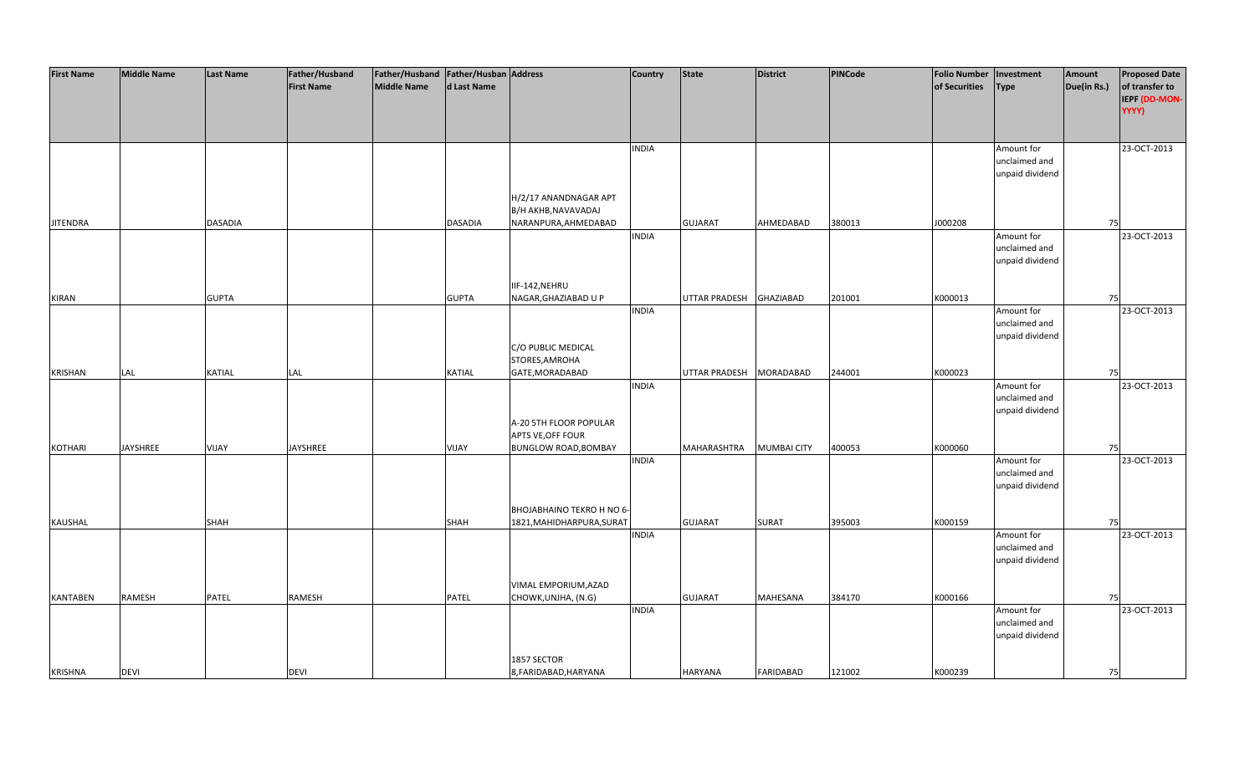| <b>First Name</b> | <b>Middle Name</b> | <b>Last Name</b> | Father/Husband    | Father/Husband Father/Husban Address |                |                             | <b>Country</b> | <b>State</b>            | <b>District</b>    | <b>PINCode</b> | <b>Folio Number</b> | Investment      | Amount      | <b>Proposed Date</b> |
|-------------------|--------------------|------------------|-------------------|--------------------------------------|----------------|-----------------------------|----------------|-------------------------|--------------------|----------------|---------------------|-----------------|-------------|----------------------|
|                   |                    |                  | <b>First Name</b> | <b>Middle Name</b>                   | d Last Name    |                             |                |                         |                    |                | of Securities       | <b>Type</b>     | Due(in Rs.) | of transfer to       |
|                   |                    |                  |                   |                                      |                |                             |                |                         |                    |                |                     |                 |             | IEPF (DD-MON-        |
|                   |                    |                  |                   |                                      |                |                             |                |                         |                    |                |                     |                 |             | YYYY)                |
|                   |                    |                  |                   |                                      |                |                             |                |                         |                    |                |                     |                 |             |                      |
|                   |                    |                  |                   |                                      |                |                             | <b>INDIA</b>   |                         |                    |                |                     | Amount for      |             | 23-OCT-2013          |
|                   |                    |                  |                   |                                      |                |                             |                |                         |                    |                |                     | unclaimed and   |             |                      |
|                   |                    |                  |                   |                                      |                |                             |                |                         |                    |                |                     | unpaid dividend |             |                      |
|                   |                    |                  |                   |                                      |                |                             |                |                         |                    |                |                     |                 |             |                      |
|                   |                    |                  |                   |                                      |                | H/2/17 ANANDNAGAR APT       |                |                         |                    |                |                     |                 |             |                      |
|                   |                    |                  |                   |                                      |                | B/H AKHB, NAVAVADAJ         |                |                         |                    |                |                     |                 |             |                      |
| <b>JITENDRA</b>   |                    | <b>DASADIA</b>   |                   |                                      | <b>DASADIA</b> | NARANPURA, AHMEDABAD        |                | <b>GUJARAT</b>          | AHMEDABAD          | 380013         | J000208             |                 | 75          |                      |
|                   |                    |                  |                   |                                      |                |                             | <b>INDIA</b>   |                         |                    |                |                     | Amount for      |             | 23-OCT-2013          |
|                   |                    |                  |                   |                                      |                |                             |                |                         |                    |                |                     | unclaimed and   |             |                      |
|                   |                    |                  |                   |                                      |                |                             |                |                         |                    |                |                     | unpaid dividend |             |                      |
|                   |                    |                  |                   |                                      |                |                             |                |                         |                    |                |                     |                 |             |                      |
|                   |                    |                  |                   |                                      |                | IIF-142, NEHRU              |                |                         |                    |                |                     |                 |             |                      |
| <b>KIRAN</b>      |                    | <b>GUPTA</b>     |                   |                                      | <b>GUPTA</b>   | NAGAR, GHAZIABAD U P        |                | UTTAR PRADESH           | <b>GHAZIABAD</b>   | 201001         | K000013             |                 | 75          |                      |
|                   |                    |                  |                   |                                      |                |                             | <b>INDIA</b>   |                         |                    |                |                     | Amount for      |             | 23-OCT-2013          |
|                   |                    |                  |                   |                                      |                |                             |                |                         |                    |                |                     | unclaimed and   |             |                      |
|                   |                    |                  |                   |                                      |                |                             |                |                         |                    |                |                     | unpaid dividend |             |                      |
|                   |                    |                  |                   |                                      |                | C/O PUBLIC MEDICAL          |                |                         |                    |                |                     |                 |             |                      |
|                   |                    |                  |                   |                                      |                | STORES, AMROHA              |                |                         |                    |                |                     |                 |             |                      |
| <b>KRISHAN</b>    | LAL                | KATIAL           | LAL               |                                      | KATIAL         | GATE, MORADABAD             |                | UTTAR PRADESH MORADABAD |                    | 244001         | K000023             |                 | 75          |                      |
|                   |                    |                  |                   |                                      |                |                             | <b>INDIA</b>   |                         |                    |                |                     | Amount for      |             | 23-OCT-2013          |
|                   |                    |                  |                   |                                      |                |                             |                |                         |                    |                |                     | unclaimed and   |             |                      |
|                   |                    |                  |                   |                                      |                |                             |                |                         |                    |                |                     | unpaid dividend |             |                      |
|                   |                    |                  |                   |                                      |                | A-20 5TH FLOOR POPULAR      |                |                         |                    |                |                     |                 |             |                      |
|                   |                    |                  |                   |                                      |                | APTS VE, OFF FOUR           |                |                         |                    |                |                     |                 |             |                      |
| <b>KOTHARI</b>    | <b>JAYSHREE</b>    | VIJAY            | <b>JAYSHREE</b>   |                                      | VIJAY          | <b>BUNGLOW ROAD, BOMBAY</b> |                | MAHARASHTRA             | <b>MUMBAI CITY</b> | 400053         | K000060             |                 | 75          |                      |
|                   |                    |                  |                   |                                      |                |                             | <b>INDIA</b>   |                         |                    |                |                     | Amount for      |             | 23-OCT-2013          |
|                   |                    |                  |                   |                                      |                |                             |                |                         |                    |                |                     | unclaimed and   |             |                      |
|                   |                    |                  |                   |                                      |                |                             |                |                         |                    |                |                     | unpaid dividend |             |                      |
|                   |                    |                  |                   |                                      |                |                             |                |                         |                    |                |                     |                 |             |                      |
|                   |                    |                  |                   |                                      |                | BHOJABHAINO TEKRO H NO 6-   |                |                         |                    |                |                     |                 |             |                      |
| <b>KAUSHAL</b>    |                    | <b>SHAH</b>      |                   |                                      | <b>SHAH</b>    | 1821, MAHIDHARPURA, SURAT   |                | <b>GUJARAT</b>          | <b>SURAT</b>       | 395003         | K000159             |                 | 75          |                      |
|                   |                    |                  |                   |                                      |                |                             | <b>INDIA</b>   |                         |                    |                |                     | Amount for      |             | 23-OCT-2013          |
|                   |                    |                  |                   |                                      |                |                             |                |                         |                    |                |                     | unclaimed and   |             |                      |
|                   |                    |                  |                   |                                      |                |                             |                |                         |                    |                |                     | unpaid dividend |             |                      |
|                   |                    |                  |                   |                                      |                | VIMAL EMPORIUM, AZAD        |                |                         |                    |                |                     |                 |             |                      |
| <b>KANTABEN</b>   | RAMESH             | PATEL            | RAMESH            |                                      | PATEL          | CHOWK, UNJHA, (N.G)         |                | <b>GUJARAT</b>          | <b>MAHESANA</b>    | 384170         | K000166             |                 | 75          |                      |
|                   |                    |                  |                   |                                      |                |                             | <b>INDIA</b>   |                         |                    |                |                     | Amount for      |             | 23-OCT-2013          |
|                   |                    |                  |                   |                                      |                |                             |                |                         |                    |                |                     | unclaimed and   |             |                      |
|                   |                    |                  |                   |                                      |                |                             |                |                         |                    |                |                     | unpaid dividend |             |                      |
|                   |                    |                  |                   |                                      |                |                             |                |                         |                    |                |                     |                 |             |                      |
|                   |                    |                  |                   |                                      |                | 1857 SECTOR                 |                |                         |                    |                |                     |                 |             |                      |
| <b>KRISHNA</b>    | <b>DEVI</b>        |                  | <b>DEVI</b>       |                                      |                | 8, FARIDABAD, HARYANA       |                | HARYANA                 | <b>FARIDABAD</b>   | 121002         | K000239             |                 | 75          |                      |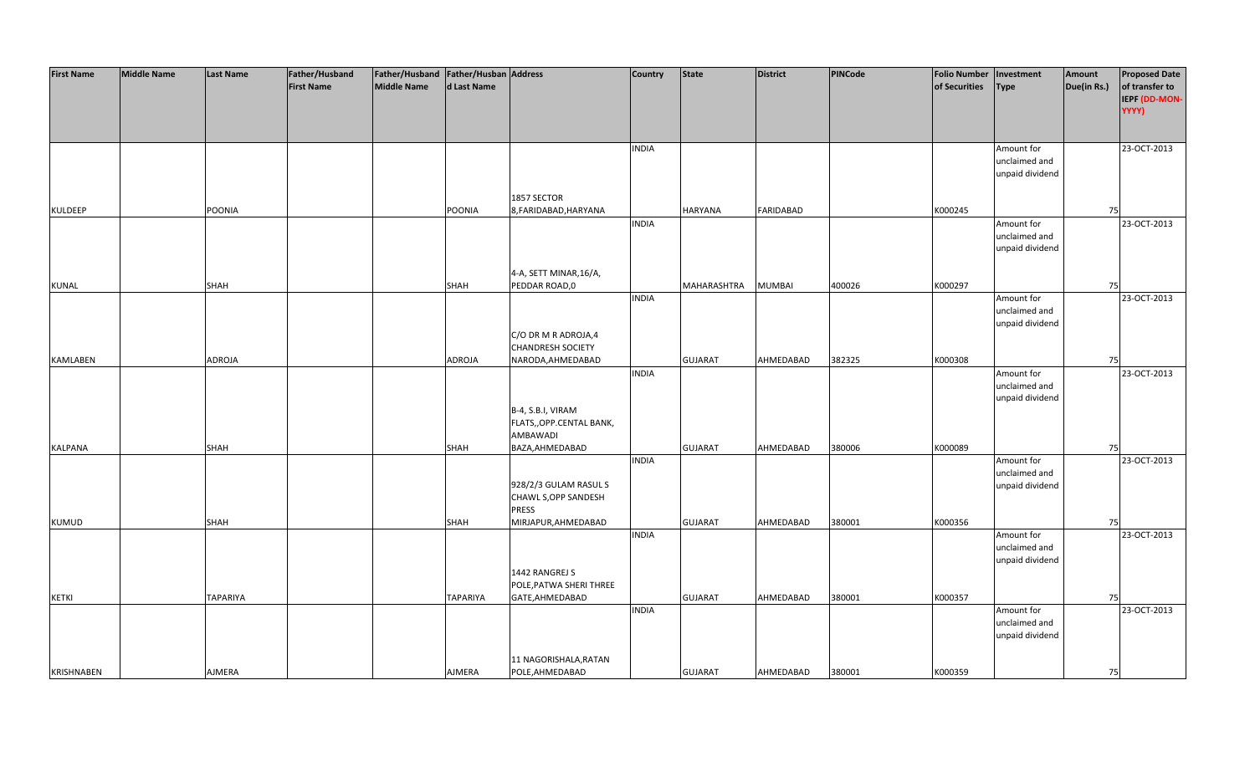| <b>First Name</b> | <b>Middle Name</b> | <b>Last Name</b> | Father/Husband    | Father/Husband Father/Husban Address |                 |                                               | <b>Country</b> | <b>State</b>   | <b>District</b>  | <b>PINCode</b> | <b>Folio Number</b> | Investment                       | Amount      | <b>Proposed Date</b> |
|-------------------|--------------------|------------------|-------------------|--------------------------------------|-----------------|-----------------------------------------------|----------------|----------------|------------------|----------------|---------------------|----------------------------------|-------------|----------------------|
|                   |                    |                  | <b>First Name</b> | <b>Middle Name</b>                   | d Last Name     |                                               |                |                |                  |                | of Securities       | <b>Type</b>                      | Due(in Rs.) | of transfer to       |
|                   |                    |                  |                   |                                      |                 |                                               |                |                |                  |                |                     |                                  |             | IEPF (DD-MON-        |
|                   |                    |                  |                   |                                      |                 |                                               |                |                |                  |                |                     |                                  |             | YYYY)                |
|                   |                    |                  |                   |                                      |                 |                                               |                |                |                  |                |                     |                                  |             |                      |
|                   |                    |                  |                   |                                      |                 |                                               | <b>INDIA</b>   |                |                  |                |                     | Amount for                       |             | 23-OCT-2013          |
|                   |                    |                  |                   |                                      |                 |                                               |                |                |                  |                |                     | unclaimed and                    |             |                      |
|                   |                    |                  |                   |                                      |                 |                                               |                |                |                  |                |                     | unpaid dividend                  |             |                      |
|                   |                    |                  |                   |                                      |                 |                                               |                |                |                  |                |                     |                                  |             |                      |
|                   |                    |                  |                   |                                      |                 | 1857 SECTOR                                   |                |                |                  |                |                     |                                  |             |                      |
| <b>KULDEEP</b>    |                    | POONIA           |                   |                                      | POONIA          | 8, FARIDABAD, HARYANA                         | <b>INDIA</b>   | HARYANA        | <b>FARIDABAD</b> |                | K000245             | Amount for                       | 75          | 23-OCT-2013          |
|                   |                    |                  |                   |                                      |                 |                                               |                |                |                  |                |                     | unclaimed and                    |             |                      |
|                   |                    |                  |                   |                                      |                 |                                               |                |                |                  |                |                     | unpaid dividend                  |             |                      |
|                   |                    |                  |                   |                                      |                 |                                               |                |                |                  |                |                     |                                  |             |                      |
|                   |                    |                  |                   |                                      |                 | 4-A, SETT MINAR, 16/A,                        |                |                |                  |                |                     |                                  |             |                      |
| <b>KUNAL</b>      |                    | <b>SHAH</b>      |                   |                                      | <b>SHAH</b>     | PEDDAR ROAD,0                                 |                | MAHARASHTRA    | <b>MUMBAI</b>    | 400026         | K000297             |                                  | 75          |                      |
|                   |                    |                  |                   |                                      |                 |                                               | <b>INDIA</b>   |                |                  |                |                     | Amount for                       |             | 23-OCT-2013          |
|                   |                    |                  |                   |                                      |                 |                                               |                |                |                  |                |                     | unclaimed and                    |             |                      |
|                   |                    |                  |                   |                                      |                 |                                               |                |                |                  |                |                     | unpaid dividend                  |             |                      |
|                   |                    |                  |                   |                                      |                 | C/O DR M R ADROJA,4                           |                |                |                  |                |                     |                                  |             |                      |
| <b>KAMLABEN</b>   |                    |                  |                   |                                      | ADROJA          | <b>CHANDRESH SOCIETY</b>                      |                | <b>GUJARAT</b> | AHMEDABAD        | 382325         | K000308             |                                  | 75          |                      |
|                   |                    | ADROJA           |                   |                                      |                 | NARODA, AHMEDABAD                             | <b>INDIA</b>   |                |                  |                |                     | Amount for                       |             | 23-OCT-2013          |
|                   |                    |                  |                   |                                      |                 |                                               |                |                |                  |                |                     | unclaimed and                    |             |                      |
|                   |                    |                  |                   |                                      |                 |                                               |                |                |                  |                |                     | unpaid dividend                  |             |                      |
|                   |                    |                  |                   |                                      |                 | B-4, S.B.I, VIRAM                             |                |                |                  |                |                     |                                  |             |                      |
|                   |                    |                  |                   |                                      |                 | FLATS,, OPP.CENTAL BANK,                      |                |                |                  |                |                     |                                  |             |                      |
|                   |                    |                  |                   |                                      |                 | AMBAWADI                                      |                |                |                  |                |                     |                                  |             |                      |
| <b>KALPANA</b>    |                    | <b>SHAH</b>      |                   |                                      | SHAH            | BAZA, AHMEDABAD                               |                | <b>GUJARAT</b> | AHMEDABAD        | 380006         | K000089             |                                  | 75          |                      |
|                   |                    |                  |                   |                                      |                 |                                               | <b>INDIA</b>   |                |                  |                |                     | Amount for                       |             | 23-OCT-2013          |
|                   |                    |                  |                   |                                      |                 |                                               |                |                |                  |                |                     | unclaimed and                    |             |                      |
|                   |                    |                  |                   |                                      |                 | 928/2/3 GULAM RASUL S<br>CHAWL S, OPP SANDESH |                |                |                  |                |                     | unpaid dividend                  |             |                      |
|                   |                    |                  |                   |                                      |                 | <b>PRESS</b>                                  |                |                |                  |                |                     |                                  |             |                      |
| <b>KUMUD</b>      |                    | <b>SHAH</b>      |                   |                                      | <b>SHAH</b>     | MIRJAPUR, AHMEDABAD                           |                | <b>GUJARAT</b> | AHMEDABAD        | 380001         | K000356             |                                  | 75          |                      |
|                   |                    |                  |                   |                                      |                 |                                               | <b>INDIA</b>   |                |                  |                |                     | Amount for                       |             | 23-OCT-2013          |
|                   |                    |                  |                   |                                      |                 |                                               |                |                |                  |                |                     | unclaimed and                    |             |                      |
|                   |                    |                  |                   |                                      |                 |                                               |                |                |                  |                |                     | unpaid dividend                  |             |                      |
|                   |                    |                  |                   |                                      |                 | 1442 RANGREJ S                                |                |                |                  |                |                     |                                  |             |                      |
|                   |                    |                  |                   |                                      |                 | POLE, PATWA SHERI THREE                       |                |                |                  |                |                     |                                  |             |                      |
| <b>KETKI</b>      |                    | <b>TAPARIYA</b>  |                   |                                      | <b>TAPARIYA</b> | GATE, AHMEDABAD                               |                | <b>GUJARAT</b> | AHMEDABAD        | 380001         | K000357             |                                  | 75          |                      |
|                   |                    |                  |                   |                                      |                 |                                               | <b>INDIA</b>   |                |                  |                |                     | Amount for                       |             | 23-OCT-2013          |
|                   |                    |                  |                   |                                      |                 |                                               |                |                |                  |                |                     | unclaimed and<br>unpaid dividend |             |                      |
|                   |                    |                  |                   |                                      |                 |                                               |                |                |                  |                |                     |                                  |             |                      |
|                   |                    |                  |                   |                                      |                 | 11 NAGORISHALA, RATAN                         |                |                |                  |                |                     |                                  |             |                      |
| <b>KRISHNABEN</b> |                    | <b>AJMERA</b>    |                   |                                      | AJMERA          | POLE, AHMEDABAD                               |                | <b>GUJARAT</b> | AHMEDABAD        | 380001         | K000359             |                                  | 75          |                      |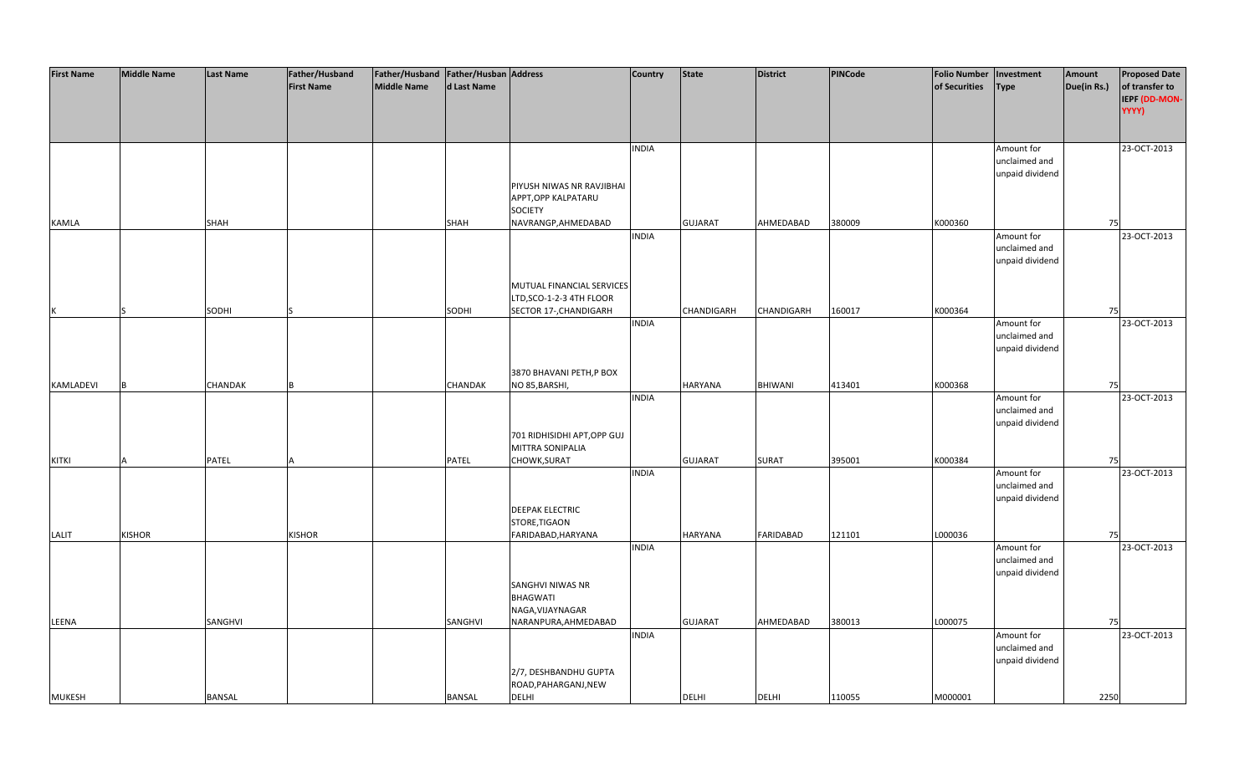| <b>First Name</b> | <b>Middle Name</b> | <b>Last Name</b> | Father/Husband    | Father/Husband   Father/Husban   Address |                |                                                  | <b>Country</b> | <b>State</b>   | <b>District</b>   | <b>PINCode</b> | <b>Folio Number</b> | Investment      | Amount      | <b>Proposed Date</b>   |
|-------------------|--------------------|------------------|-------------------|------------------------------------------|----------------|--------------------------------------------------|----------------|----------------|-------------------|----------------|---------------------|-----------------|-------------|------------------------|
|                   |                    |                  | <b>First Name</b> | <b>Middle Name</b>                       | d Last Name    |                                                  |                |                |                   |                | of Securities       | <b>Type</b>     | Due(in Rs.) | of transfer to         |
|                   |                    |                  |                   |                                          |                |                                                  |                |                |                   |                |                     |                 |             | IEPF (DD-MON-<br>YYYY) |
|                   |                    |                  |                   |                                          |                |                                                  |                |                |                   |                |                     |                 |             |                        |
|                   |                    |                  |                   |                                          |                |                                                  |                |                |                   |                |                     |                 |             |                        |
|                   |                    |                  |                   |                                          |                |                                                  | <b>INDIA</b>   |                |                   |                |                     | Amount for      |             | 23-OCT-2013            |
|                   |                    |                  |                   |                                          |                |                                                  |                |                |                   |                |                     | unclaimed and   |             |                        |
|                   |                    |                  |                   |                                          |                |                                                  |                |                |                   |                |                     | unpaid dividend |             |                        |
|                   |                    |                  |                   |                                          |                | PIYUSH NIWAS NR RAVJIBHAI<br>APPT, OPP KALPATARU |                |                |                   |                |                     |                 |             |                        |
|                   |                    |                  |                   |                                          |                | <b>SOCIETY</b>                                   |                |                |                   |                |                     |                 |             |                        |
| <b>KAMLA</b>      |                    | <b>SHAH</b>      |                   |                                          | <b>SHAH</b>    | NAVRANGP, AHMEDABAD                              |                | <b>GUJARAT</b> | AHMEDABAD         | 380009         | K000360             |                 | 75          |                        |
|                   |                    |                  |                   |                                          |                |                                                  | <b>INDIA</b>   |                |                   |                |                     | Amount for      |             | 23-OCT-2013            |
|                   |                    |                  |                   |                                          |                |                                                  |                |                |                   |                |                     | unclaimed and   |             |                        |
|                   |                    |                  |                   |                                          |                |                                                  |                |                |                   |                |                     | unpaid dividend |             |                        |
|                   |                    |                  |                   |                                          |                | MUTUAL FINANCIAL SERVICES                        |                |                |                   |                |                     |                 |             |                        |
|                   |                    |                  |                   |                                          |                | LTD, SCO-1-2-3 4TH FLOOR                         |                |                |                   |                |                     |                 |             |                        |
|                   |                    | SODHI            |                   |                                          | SODHI          | SECTOR 17-, CHANDIGARH                           |                | CHANDIGARH     | <b>CHANDIGARH</b> | 160017         | K000364             |                 | 75          |                        |
|                   |                    |                  |                   |                                          |                |                                                  | <b>INDIA</b>   |                |                   |                |                     | Amount for      |             | 23-OCT-2013            |
|                   |                    |                  |                   |                                          |                |                                                  |                |                |                   |                |                     | unclaimed and   |             |                        |
|                   |                    |                  |                   |                                          |                |                                                  |                |                |                   |                |                     | unpaid dividend |             |                        |
|                   |                    |                  |                   |                                          |                | 3870 BHAVANI PETH, P BOX                         |                |                |                   |                |                     |                 |             |                        |
| KAMLADEVI         |                    | CHANDAK          |                   |                                          | <b>CHANDAK</b> | NO 85, BARSHI,                                   |                | HARYANA        | BHIWANI           | 413401         | K000368             |                 | 75          |                        |
|                   |                    |                  |                   |                                          |                |                                                  | <b>INDIA</b>   |                |                   |                |                     | Amount for      |             | 23-OCT-2013            |
|                   |                    |                  |                   |                                          |                |                                                  |                |                |                   |                |                     | unclaimed and   |             |                        |
|                   |                    |                  |                   |                                          |                | 701 RIDHISIDHI APT, OPP GUJ                      |                |                |                   |                |                     | unpaid dividend |             |                        |
|                   |                    |                  |                   |                                          |                | MITTRA SONIPALIA                                 |                |                |                   |                |                     |                 |             |                        |
| <b>KITKI</b>      |                    | PATEL            |                   |                                          | <b>PATEL</b>   | CHOWK, SURAT                                     |                | <b>GUJARAT</b> | <b>SURAT</b>      | 395001         | K000384             |                 | 75          |                        |
|                   |                    |                  |                   |                                          |                |                                                  | <b>INDIA</b>   |                |                   |                |                     | Amount for      |             | 23-OCT-2013            |
|                   |                    |                  |                   |                                          |                |                                                  |                |                |                   |                |                     | unclaimed and   |             |                        |
|                   |                    |                  |                   |                                          |                |                                                  |                |                |                   |                |                     | unpaid dividend |             |                        |
|                   |                    |                  |                   |                                          |                | <b>DEEPAK ELECTRIC</b><br>STORE, TIGAON          |                |                |                   |                |                     |                 |             |                        |
| LALIT             | <b>KISHOR</b>      |                  | <b>KISHOR</b>     |                                          |                | FARIDABAD, HARYANA                               |                | HARYANA        | <b>FARIDABAD</b>  | 121101         | L000036             |                 | 75          |                        |
|                   |                    |                  |                   |                                          |                |                                                  | <b>INDIA</b>   |                |                   |                |                     | Amount for      |             | 23-OCT-2013            |
|                   |                    |                  |                   |                                          |                |                                                  |                |                |                   |                |                     | unclaimed and   |             |                        |
|                   |                    |                  |                   |                                          |                |                                                  |                |                |                   |                |                     | unpaid dividend |             |                        |
|                   |                    |                  |                   |                                          |                | SANGHVI NIWAS NR<br><b>BHAGWATI</b>              |                |                |                   |                |                     |                 |             |                        |
|                   |                    |                  |                   |                                          |                | NAGA, VIJAYNAGAR                                 |                |                |                   |                |                     |                 |             |                        |
| LEENA             |                    | SANGHVI          |                   |                                          | SANGHVI        | NARANPURA, AHMEDABAD                             |                | <b>GUJARAT</b> | AHMEDABAD         | 380013         | L000075             |                 | 75          |                        |
|                   |                    |                  |                   |                                          |                |                                                  | <b>INDIA</b>   |                |                   |                |                     | Amount for      |             | 23-OCT-2013            |
|                   |                    |                  |                   |                                          |                |                                                  |                |                |                   |                |                     | unclaimed and   |             |                        |
|                   |                    |                  |                   |                                          |                |                                                  |                |                |                   |                |                     | unpaid dividend |             |                        |
|                   |                    |                  |                   |                                          |                | 2/7, DESHBANDHU GUPTA<br>ROAD, PAHARGANJ, NEW    |                |                |                   |                |                     |                 |             |                        |
| <b>MUKESH</b>     |                    | <b>BANSAL</b>    |                   |                                          | <b>BANSAL</b>  | DELHI                                            |                | <b>DELHI</b>   | <b>DELHI</b>      | 110055         | M000001             |                 | 2250        |                        |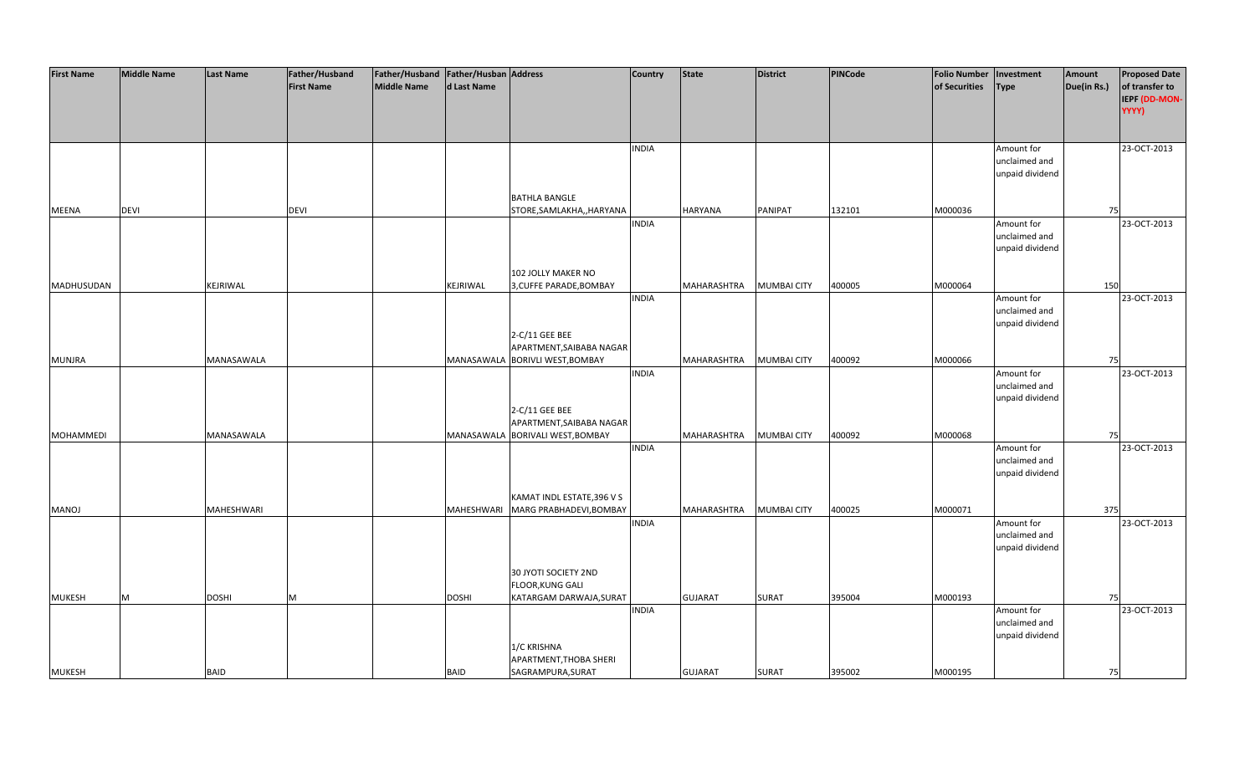| <b>First Name</b> | <b>Middle Name</b> | <b>Last Name</b>  | Father/Husband    | Father/Husband Father/Husban Address |              |                                  | <b>Country</b> | <b>State</b>   | <b>District</b>    | PINCode | <b>Folio Number</b> | Investment      | Amount      | <b>Proposed Date</b> |
|-------------------|--------------------|-------------------|-------------------|--------------------------------------|--------------|----------------------------------|----------------|----------------|--------------------|---------|---------------------|-----------------|-------------|----------------------|
|                   |                    |                   | <b>First Name</b> | <b>Middle Name</b>                   | d Last Name  |                                  |                |                |                    |         | of Securities       | <b>Type</b>     | Due(in Rs.) | of transfer to       |
|                   |                    |                   |                   |                                      |              |                                  |                |                |                    |         |                     |                 |             | <b>IEPF (DD-MON-</b> |
|                   |                    |                   |                   |                                      |              |                                  |                |                |                    |         |                     |                 |             | YYYY)                |
|                   |                    |                   |                   |                                      |              |                                  |                |                |                    |         |                     |                 |             |                      |
|                   |                    |                   |                   |                                      |              |                                  |                |                |                    |         |                     |                 |             |                      |
|                   |                    |                   |                   |                                      |              |                                  | <b>INDIA</b>   |                |                    |         |                     | Amount for      |             | 23-OCT-2013          |
|                   |                    |                   |                   |                                      |              |                                  |                |                |                    |         |                     | unclaimed and   |             |                      |
|                   |                    |                   |                   |                                      |              |                                  |                |                |                    |         |                     | unpaid dividend |             |                      |
|                   |                    |                   |                   |                                      |              |                                  |                |                |                    |         |                     |                 |             |                      |
|                   |                    |                   |                   |                                      |              | <b>BATHLA BANGLE</b>             |                |                |                    |         |                     |                 |             |                      |
| MEENA             | <b>DEVI</b>        |                   | <b>DEVI</b>       |                                      |              | STORE, SAMLAKHA,, HARYANA        |                | <b>HARYANA</b> | PANIPAT            | 132101  | M000036             |                 | 75          |                      |
|                   |                    |                   |                   |                                      |              |                                  | <b>INDIA</b>   |                |                    |         |                     | Amount for      |             | 23-OCT-2013          |
|                   |                    |                   |                   |                                      |              |                                  |                |                |                    |         |                     | unclaimed and   |             |                      |
|                   |                    |                   |                   |                                      |              |                                  |                |                |                    |         |                     | unpaid dividend |             |                      |
|                   |                    |                   |                   |                                      |              |                                  |                |                |                    |         |                     |                 |             |                      |
|                   |                    |                   |                   |                                      |              | 102 JOLLY MAKER NO               |                |                |                    |         |                     |                 |             |                      |
| <b>MADHUSUDAN</b> |                    | KEJRIWAL          |                   |                                      | KEJRIWAL     | 3, CUFFE PARADE, BOMBAY          |                | MAHARASHTRA    | <b>MUMBAI CITY</b> | 400005  | M000064             |                 | 150         |                      |
|                   |                    |                   |                   |                                      |              |                                  | <b>INDIA</b>   |                |                    |         |                     | Amount for      |             | 23-OCT-2013          |
|                   |                    |                   |                   |                                      |              |                                  |                |                |                    |         |                     | unclaimed and   |             |                      |
|                   |                    |                   |                   |                                      |              |                                  |                |                |                    |         |                     | unpaid dividend |             |                      |
|                   |                    |                   |                   |                                      |              | 2-C/11 GEE BEE                   |                |                |                    |         |                     |                 |             |                      |
|                   |                    |                   |                   |                                      |              | APARTMENT, SAIBABA NAGAR         |                |                |                    |         |                     |                 |             |                      |
| <b>MUNJRA</b>     |                    | MANASAWALA        |                   |                                      |              | MANASAWALA BORIVLI WEST, BOMBAY  |                | MAHARASHTRA    | <b>MUMBAI CITY</b> | 400092  | M000066             |                 | 75          |                      |
|                   |                    |                   |                   |                                      |              |                                  | <b>INDIA</b>   |                |                    |         |                     | Amount for      |             | 23-OCT-2013          |
|                   |                    |                   |                   |                                      |              |                                  |                |                |                    |         |                     | unclaimed and   |             |                      |
|                   |                    |                   |                   |                                      |              |                                  |                |                |                    |         |                     | unpaid dividend |             |                      |
|                   |                    |                   |                   |                                      |              | 2-C/11 GEE BEE                   |                |                |                    |         |                     |                 |             |                      |
|                   |                    |                   |                   |                                      |              | APARTMENT, SAIBABA NAGAR         |                |                |                    |         |                     |                 |             |                      |
| <b>MOHAMMEDI</b>  |                    | MANASAWALA        |                   |                                      |              | MANASAWALA BORIVALI WEST, BOMBAY |                | MAHARASHTRA    | <b>MUMBAI CITY</b> | 400092  | M000068             |                 | 75          |                      |
|                   |                    |                   |                   |                                      |              |                                  | <b>INDIA</b>   |                |                    |         |                     | Amount for      |             | 23-OCT-2013          |
|                   |                    |                   |                   |                                      |              |                                  |                |                |                    |         |                     | unclaimed and   |             |                      |
|                   |                    |                   |                   |                                      |              |                                  |                |                |                    |         |                     | unpaid dividend |             |                      |
|                   |                    |                   |                   |                                      |              |                                  |                |                |                    |         |                     |                 |             |                      |
|                   |                    |                   |                   |                                      |              | KAMAT INDL ESTATE, 396 V S       |                |                |                    |         |                     |                 |             |                      |
| <b>MANOJ</b>      |                    | <b>MAHESHWARI</b> |                   |                                      | MAHESHWARI   | MARG PRABHADEVI, BOMBAY          |                | MAHARASHTRA    | <b>MUMBAI CITY</b> | 400025  | M000071             |                 | 375         |                      |
|                   |                    |                   |                   |                                      |              |                                  | <b>INDIA</b>   |                |                    |         |                     | Amount for      |             | 23-OCT-2013          |
|                   |                    |                   |                   |                                      |              |                                  |                |                |                    |         |                     | unclaimed and   |             |                      |
|                   |                    |                   |                   |                                      |              |                                  |                |                |                    |         |                     | unpaid dividend |             |                      |
|                   |                    |                   |                   |                                      |              |                                  |                |                |                    |         |                     |                 |             |                      |
|                   |                    |                   |                   |                                      |              | 30 JYOTI SOCIETY 2ND             |                |                |                    |         |                     |                 |             |                      |
|                   |                    |                   |                   |                                      |              | <b>FLOOR, KUNG GALI</b>          |                |                |                    |         |                     |                 |             |                      |
| <b>MUKESH</b>     | M                  | <b>DOSHI</b>      | M                 |                                      | <b>DOSHI</b> | KATARGAM DARWAJA, SURAT          |                | <b>GUJARAT</b> | <b>SURAT</b>       | 395004  | M000193             |                 | 75          |                      |
|                   |                    |                   |                   |                                      |              |                                  | <b>INDIA</b>   |                |                    |         |                     | Amount for      |             | 23-OCT-2013          |
|                   |                    |                   |                   |                                      |              |                                  |                |                |                    |         |                     | unclaimed and   |             |                      |
|                   |                    |                   |                   |                                      |              |                                  |                |                |                    |         |                     | unpaid dividend |             |                      |
|                   |                    |                   |                   |                                      |              | 1/C KRISHNA                      |                |                |                    |         |                     |                 |             |                      |
|                   |                    |                   |                   |                                      |              | APARTMENT, THOBA SHERI           |                |                |                    |         |                     |                 |             |                      |
| <b>MUKESH</b>     |                    | <b>BAID</b>       |                   |                                      | <b>BAID</b>  | SAGRAMPURA, SURAT                |                | <b>GUJARAT</b> | <b>SURAT</b>       | 395002  | M000195             |                 | 75          |                      |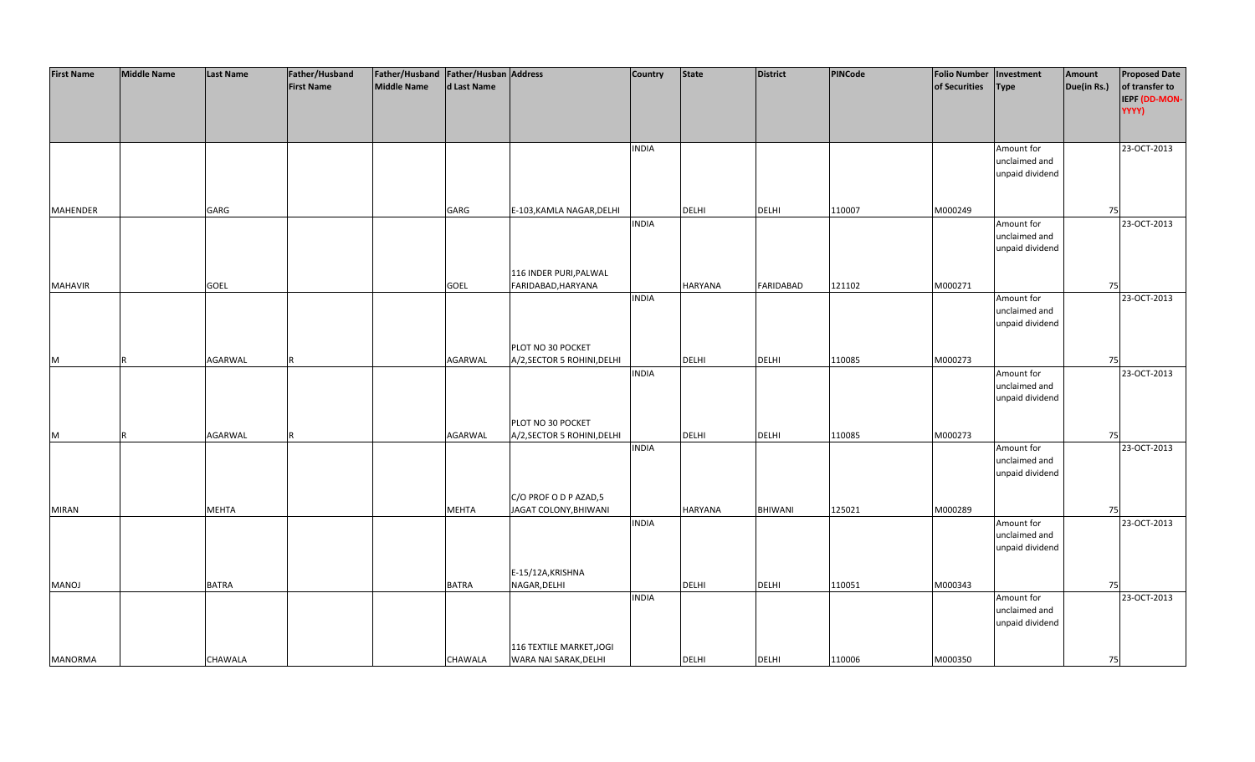| <b>First Name</b> | <b>Middle Name</b> | <b>Last Name</b> | Father/Husband    | Father/Husband Father/Husban Address |              |                             | <b>Country</b> | <b>State</b>   | <b>District</b>  | PINCode | <b>Folio Number</b> | Investment                  | Amount      | <b>Proposed Date</b> |
|-------------------|--------------------|------------------|-------------------|--------------------------------------|--------------|-----------------------------|----------------|----------------|------------------|---------|---------------------|-----------------------------|-------------|----------------------|
|                   |                    |                  | <b>First Name</b> | <b>Middle Name</b>                   | d Last Name  |                             |                |                |                  |         | of Securities       | <b>Type</b>                 | Due(in Rs.) | of transfer to       |
|                   |                    |                  |                   |                                      |              |                             |                |                |                  |         |                     |                             |             | IEPF (DD-MON-        |
|                   |                    |                  |                   |                                      |              |                             |                |                |                  |         |                     |                             |             | YYYY)                |
|                   |                    |                  |                   |                                      |              |                             |                |                |                  |         |                     |                             |             |                      |
|                   |                    |                  |                   |                                      |              |                             |                |                |                  |         |                     |                             |             |                      |
|                   |                    |                  |                   |                                      |              |                             | <b>INDIA</b>   |                |                  |         |                     | Amount for                  |             | 23-OCT-2013          |
|                   |                    |                  |                   |                                      |              |                             |                |                |                  |         |                     | unclaimed and               |             |                      |
|                   |                    |                  |                   |                                      |              |                             |                |                |                  |         |                     | unpaid dividend             |             |                      |
|                   |                    |                  |                   |                                      |              |                             |                |                |                  |         |                     |                             |             |                      |
|                   |                    |                  |                   |                                      |              |                             |                |                |                  |         |                     |                             |             |                      |
| <b>MAHENDER</b>   |                    | GARG             |                   |                                      | GARG         | E-103, KAMLA NAGAR, DELHI   |                | <b>DELHI</b>   | <b>DELHI</b>     | 110007  | M000249             |                             | 75          |                      |
|                   |                    |                  |                   |                                      |              |                             | <b>INDIA</b>   |                |                  |         |                     | Amount for                  |             | 23-OCT-2013          |
|                   |                    |                  |                   |                                      |              |                             |                |                |                  |         |                     | unclaimed and               |             |                      |
|                   |                    |                  |                   |                                      |              |                             |                |                |                  |         |                     | unpaid dividend             |             |                      |
|                   |                    |                  |                   |                                      |              |                             |                |                |                  |         |                     |                             |             |                      |
|                   |                    |                  |                   |                                      |              | 116 INDER PURI, PALWAL      |                |                |                  |         |                     |                             |             |                      |
| <b>MAHAVIR</b>    |                    | <b>GOEL</b>      |                   |                                      | <b>GOEL</b>  | FARIDABAD, HARYANA          |                | <b>HARYANA</b> | <b>FARIDABAD</b> | 121102  | M000271             |                             | 75          |                      |
|                   |                    |                  |                   |                                      |              |                             | <b>INDIA</b>   |                |                  |         |                     | Amount for<br>unclaimed and |             | 23-OCT-2013          |
|                   |                    |                  |                   |                                      |              |                             |                |                |                  |         |                     | unpaid dividend             |             |                      |
|                   |                    |                  |                   |                                      |              |                             |                |                |                  |         |                     |                             |             |                      |
|                   |                    |                  |                   |                                      |              | PLOT NO 30 POCKET           |                |                |                  |         |                     |                             |             |                      |
| M                 | R                  | AGARWAL          |                   |                                      | AGARWAL      | A/2, SECTOR 5 ROHINI, DELHI |                | DELHI          | <b>DELHI</b>     | 110085  | M000273             |                             | 75          |                      |
|                   |                    |                  |                   |                                      |              |                             | <b>INDIA</b>   |                |                  |         |                     | Amount for                  |             | 23-OCT-2013          |
|                   |                    |                  |                   |                                      |              |                             |                |                |                  |         |                     | unclaimed and               |             |                      |
|                   |                    |                  |                   |                                      |              |                             |                |                |                  |         |                     | unpaid dividend             |             |                      |
|                   |                    |                  |                   |                                      |              |                             |                |                |                  |         |                     |                             |             |                      |
|                   |                    |                  |                   |                                      |              | PLOT NO 30 POCKET           |                |                |                  |         |                     |                             |             |                      |
| M                 | R                  | <b>AGARWAL</b>   |                   |                                      | AGARWAL      | A/2, SECTOR 5 ROHINI, DELHI |                | DELHI          | <b>DELHI</b>     | 110085  | M000273             |                             | 75          |                      |
|                   |                    |                  |                   |                                      |              |                             | <b>INDIA</b>   |                |                  |         |                     | Amount for                  |             | 23-OCT-2013          |
|                   |                    |                  |                   |                                      |              |                             |                |                |                  |         |                     | unclaimed and               |             |                      |
|                   |                    |                  |                   |                                      |              |                             |                |                |                  |         |                     | unpaid dividend             |             |                      |
|                   |                    |                  |                   |                                      |              |                             |                |                |                  |         |                     |                             |             |                      |
|                   |                    |                  |                   |                                      |              | C/O PROF O D P AZAD,5       |                |                |                  |         |                     |                             |             |                      |
| <b>MIRAN</b>      |                    | <b>MEHTA</b>     |                   |                                      | <b>MEHTA</b> | JAGAT COLONY, BHIWANI       | <b>INDIA</b>   | <b>HARYANA</b> | <b>BHIWANI</b>   | 125021  | M000289             | Amount for                  | 75          | 23-OCT-2013          |
|                   |                    |                  |                   |                                      |              |                             |                |                |                  |         |                     | unclaimed and               |             |                      |
|                   |                    |                  |                   |                                      |              |                             |                |                |                  |         |                     | unpaid dividend             |             |                      |
|                   |                    |                  |                   |                                      |              |                             |                |                |                  |         |                     |                             |             |                      |
|                   |                    |                  |                   |                                      |              | E-15/12A, KRISHNA           |                |                |                  |         |                     |                             |             |                      |
| <b>MANOJ</b>      |                    | <b>BATRA</b>     |                   |                                      | <b>BATRA</b> | NAGAR, DELHI                |                | <b>DELHI</b>   | <b>DELHI</b>     | 110051  | M000343             |                             | 75          |                      |
|                   |                    |                  |                   |                                      |              |                             | <b>INDIA</b>   |                |                  |         |                     | Amount for                  |             | 23-OCT-2013          |
|                   |                    |                  |                   |                                      |              |                             |                |                |                  |         |                     | unclaimed and               |             |                      |
|                   |                    |                  |                   |                                      |              |                             |                |                |                  |         |                     | unpaid dividend             |             |                      |
|                   |                    |                  |                   |                                      |              |                             |                |                |                  |         |                     |                             |             |                      |
|                   |                    |                  |                   |                                      |              | 116 TEXTILE MARKET, JOGI    |                |                |                  |         |                     |                             |             |                      |
| <b>MANORMA</b>    |                    | CHAWALA          |                   |                                      | CHAWALA      | WARA NAI SARAK, DELHI       |                | <b>DELHI</b>   | <b>DELHI</b>     | 110006  | M000350             |                             | 75          |                      |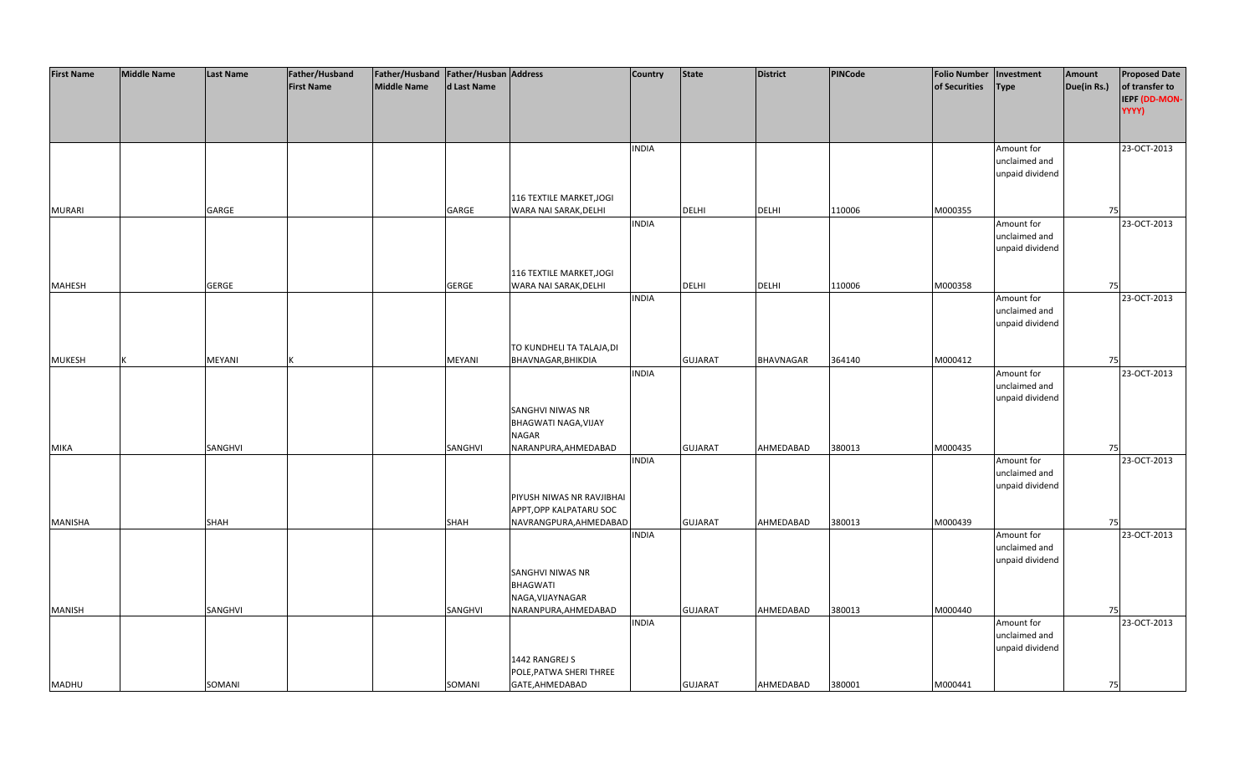| <b>First Name</b> | <b>Middle Name</b> | <b>Last Name</b> | Father/Husband    | Father/Husband   Father/Husban   Address |               |                             | <b>Country</b> | <b>State</b>   | <b>District</b> | PINCode | <b>Folio Number</b> | Investment                  | Amount      | <b>Proposed Date</b> |
|-------------------|--------------------|------------------|-------------------|------------------------------------------|---------------|-----------------------------|----------------|----------------|-----------------|---------|---------------------|-----------------------------|-------------|----------------------|
|                   |                    |                  | <b>First Name</b> | <b>Middle Name</b>                       | d Last Name   |                             |                |                |                 |         | of Securities       | <b>Type</b>                 | Due(in Rs.) | of transfer to       |
|                   |                    |                  |                   |                                          |               |                             |                |                |                 |         |                     |                             |             | IEPF (DD-MON-        |
|                   |                    |                  |                   |                                          |               |                             |                |                |                 |         |                     |                             |             | YYYY)                |
|                   |                    |                  |                   |                                          |               |                             |                |                |                 |         |                     |                             |             |                      |
|                   |                    |                  |                   |                                          |               |                             |                |                |                 |         |                     |                             |             |                      |
|                   |                    |                  |                   |                                          |               |                             | <b>INDIA</b>   |                |                 |         |                     | Amount for                  |             | 23-OCT-2013          |
|                   |                    |                  |                   |                                          |               |                             |                |                |                 |         |                     | unclaimed and               |             |                      |
|                   |                    |                  |                   |                                          |               |                             |                |                |                 |         |                     | unpaid dividend             |             |                      |
|                   |                    |                  |                   |                                          |               |                             |                |                |                 |         |                     |                             |             |                      |
|                   |                    |                  |                   |                                          |               | 116 TEXTILE MARKET, JOGI    |                |                |                 |         |                     |                             |             |                      |
| <b>MURARI</b>     |                    | GARGE            |                   |                                          | GARGE         | WARA NAI SARAK, DELHI       |                | <b>DELHI</b>   | <b>DELHI</b>    | 110006  | M000355             |                             | 75          |                      |
|                   |                    |                  |                   |                                          |               |                             | <b>INDIA</b>   |                |                 |         |                     | Amount for                  |             | 23-OCT-2013          |
|                   |                    |                  |                   |                                          |               |                             |                |                |                 |         |                     | unclaimed and               |             |                      |
|                   |                    |                  |                   |                                          |               |                             |                |                |                 |         |                     | unpaid dividend             |             |                      |
|                   |                    |                  |                   |                                          |               |                             |                |                |                 |         |                     |                             |             |                      |
|                   |                    |                  |                   |                                          |               | 116 TEXTILE MARKET, JOGI    |                |                |                 |         |                     |                             |             |                      |
| MAHESH            |                    | <b>GERGE</b>     |                   |                                          | <b>GERGE</b>  | WARA NAI SARAK, DELHI       |                | <b>DELHI</b>   | <b>DELHI</b>    | 110006  | M000358             |                             | 75          |                      |
|                   |                    |                  |                   |                                          |               |                             | <b>INDIA</b>   |                |                 |         |                     | Amount for                  |             | 23-OCT-2013          |
|                   |                    |                  |                   |                                          |               |                             |                |                |                 |         |                     | unclaimed and               |             |                      |
|                   |                    |                  |                   |                                          |               |                             |                |                |                 |         |                     | unpaid dividend             |             |                      |
|                   |                    |                  |                   |                                          |               |                             |                |                |                 |         |                     |                             |             |                      |
|                   |                    |                  |                   |                                          |               | TO KUNDHELI TA TALAJA, DI   |                |                |                 |         |                     |                             |             |                      |
| <b>MUKESH</b>     |                    | MEYANI           |                   |                                          | <b>MEYANI</b> | BHAVNAGAR, BHIKDIA          | <b>INDIA</b>   | <b>GUJARAT</b> | BHAVNAGAR       | 364140  | M000412             |                             | 75          |                      |
|                   |                    |                  |                   |                                          |               |                             |                |                |                 |         |                     | Amount for<br>unclaimed and |             | 23-OCT-2013          |
|                   |                    |                  |                   |                                          |               |                             |                |                |                 |         |                     | unpaid dividend             |             |                      |
|                   |                    |                  |                   |                                          |               | SANGHVI NIWAS NR            |                |                |                 |         |                     |                             |             |                      |
|                   |                    |                  |                   |                                          |               | <b>BHAGWATI NAGA, VIJAY</b> |                |                |                 |         |                     |                             |             |                      |
|                   |                    |                  |                   |                                          |               | <b>NAGAR</b>                |                |                |                 |         |                     |                             |             |                      |
| <b>MIKA</b>       |                    | SANGHVI          |                   |                                          | SANGHVI       | NARANPURA, AHMEDABAD        |                | <b>GUJARAT</b> | AHMEDABAD       | 380013  | M000435             |                             | 75          |                      |
|                   |                    |                  |                   |                                          |               |                             | <b>INDIA</b>   |                |                 |         |                     | Amount for                  |             | 23-OCT-2013          |
|                   |                    |                  |                   |                                          |               |                             |                |                |                 |         |                     | unclaimed and               |             |                      |
|                   |                    |                  |                   |                                          |               |                             |                |                |                 |         |                     | unpaid dividend             |             |                      |
|                   |                    |                  |                   |                                          |               | PIYUSH NIWAS NR RAVJIBHAI   |                |                |                 |         |                     |                             |             |                      |
|                   |                    |                  |                   |                                          |               | APPT, OPP KALPATARU SOC     |                |                |                 |         |                     |                             |             |                      |
| <b>MANISHA</b>    |                    | SHAH             |                   |                                          | SHAH          | NAVRANGPURA, AHMEDABAD      |                | <b>GUJARAT</b> | AHMEDABAD       | 380013  | M000439             |                             | 75          |                      |
|                   |                    |                  |                   |                                          |               |                             | <b>INDIA</b>   |                |                 |         |                     | Amount for                  |             | 23-OCT-2013          |
|                   |                    |                  |                   |                                          |               |                             |                |                |                 |         |                     | unclaimed and               |             |                      |
|                   |                    |                  |                   |                                          |               |                             |                |                |                 |         |                     | unpaid dividend             |             |                      |
|                   |                    |                  |                   |                                          |               | <b>SANGHVI NIWAS NR</b>     |                |                |                 |         |                     |                             |             |                      |
|                   |                    |                  |                   |                                          |               | <b>BHAGWATI</b>             |                |                |                 |         |                     |                             |             |                      |
|                   |                    |                  |                   |                                          |               | NAGA, VIJAYNAGAR            |                |                |                 |         |                     |                             |             |                      |
| <b>MANISH</b>     |                    | SANGHVI          |                   |                                          | SANGHVI       | NARANPURA, AHMEDABAD        |                | <b>GUJARAT</b> | AHMEDABAD       | 380013  | M000440             |                             | 75          |                      |
|                   |                    |                  |                   |                                          |               |                             | <b>INDIA</b>   |                |                 |         |                     | Amount for                  |             | 23-OCT-2013          |
|                   |                    |                  |                   |                                          |               |                             |                |                |                 |         |                     | unclaimed and               |             |                      |
|                   |                    |                  |                   |                                          |               |                             |                |                |                 |         |                     | unpaid dividend             |             |                      |
|                   |                    |                  |                   |                                          |               | 1442 RANGREJ S              |                |                |                 |         |                     |                             |             |                      |
|                   |                    |                  |                   |                                          |               | POLE, PATWA SHERI THREE     |                |                |                 |         |                     |                             |             |                      |
| MADHU             |                    | SOMANI           |                   |                                          | SOMANI        | GATE, AHMEDABAD             |                | <b>GUJARAT</b> | AHMEDABAD       | 380001  | M000441             |                             | 75          |                      |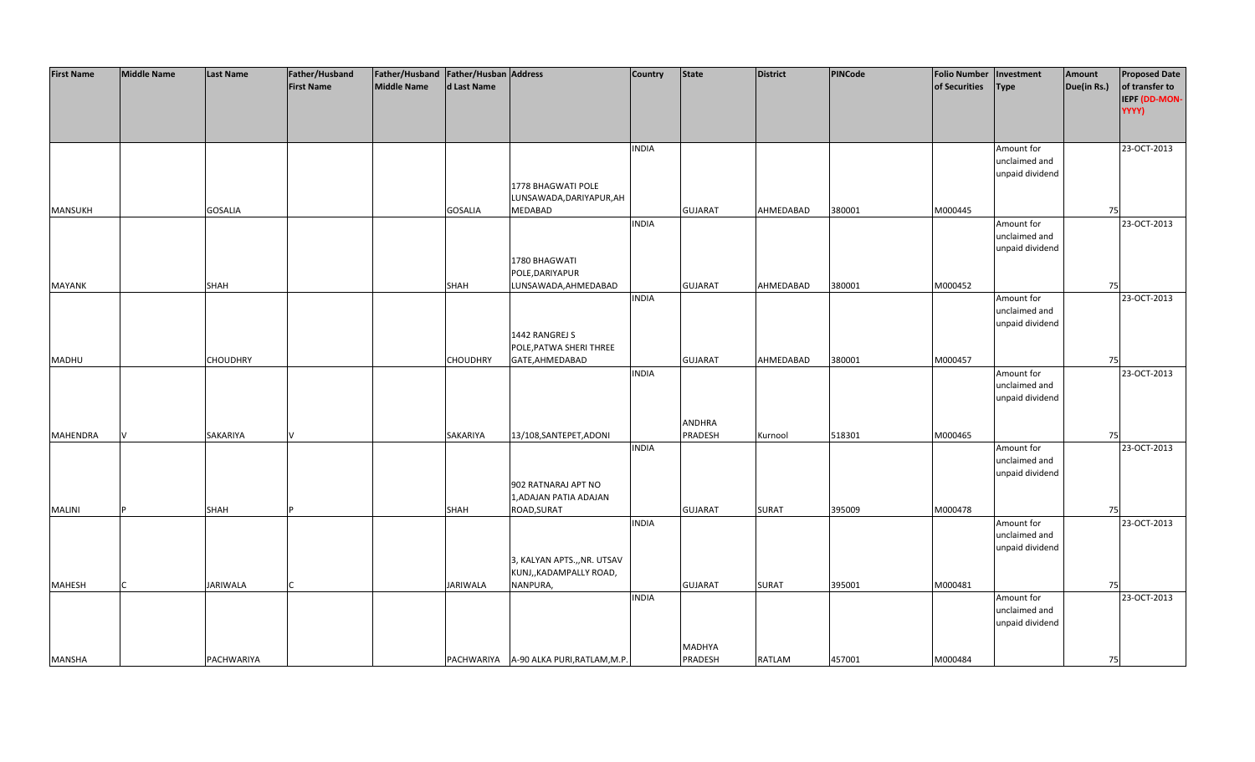| <b>First Name</b> | <b>Middle Name</b> | <b>Last Name</b> | Father/Husband    | Father/Husband   Father/Husban   Address |                 |                                         | <b>Country</b> | <b>State</b>   | <b>District</b> | PINCode | <b>Folio Number</b> | Investment      | Amount      | <b>Proposed Date</b> |
|-------------------|--------------------|------------------|-------------------|------------------------------------------|-----------------|-----------------------------------------|----------------|----------------|-----------------|---------|---------------------|-----------------|-------------|----------------------|
|                   |                    |                  | <b>First Name</b> | <b>Middle Name</b>                       | d Last Name     |                                         |                |                |                 |         | of Securities       | <b>Type</b>     | Due(in Rs.) | of transfer to       |
|                   |                    |                  |                   |                                          |                 |                                         |                |                |                 |         |                     |                 |             | IEPF (DD-MON-        |
|                   |                    |                  |                   |                                          |                 |                                         |                |                |                 |         |                     |                 |             | YYYY)                |
|                   |                    |                  |                   |                                          |                 |                                         |                |                |                 |         |                     |                 |             |                      |
|                   |                    |                  |                   |                                          |                 |                                         |                |                |                 |         |                     |                 |             |                      |
|                   |                    |                  |                   |                                          |                 |                                         | <b>INDIA</b>   |                |                 |         |                     | Amount for      |             | 23-OCT-2013          |
|                   |                    |                  |                   |                                          |                 |                                         |                |                |                 |         |                     | unclaimed and   |             |                      |
|                   |                    |                  |                   |                                          |                 |                                         |                |                |                 |         |                     | unpaid dividend |             |                      |
|                   |                    |                  |                   |                                          |                 | 1778 BHAGWATI POLE                      |                |                |                 |         |                     |                 |             |                      |
|                   |                    |                  |                   |                                          |                 | LUNSAWADA, DARIYAPUR, AH                |                |                |                 |         |                     |                 |             |                      |
| <b>MANSUKH</b>    |                    | <b>GOSALIA</b>   |                   |                                          | <b>GOSALIA</b>  | <b>MEDABAD</b>                          |                | <b>GUJARAT</b> | AHMEDABAD       | 380001  | M000445             |                 | 75          |                      |
|                   |                    |                  |                   |                                          |                 |                                         | <b>INDIA</b>   |                |                 |         |                     | Amount for      |             | 23-OCT-2013          |
|                   |                    |                  |                   |                                          |                 |                                         |                |                |                 |         |                     | unclaimed and   |             |                      |
|                   |                    |                  |                   |                                          |                 |                                         |                |                |                 |         |                     | unpaid dividend |             |                      |
|                   |                    |                  |                   |                                          |                 | 1780 BHAGWATI                           |                |                |                 |         |                     |                 |             |                      |
|                   |                    |                  |                   |                                          |                 | POLE, DARIYAPUR                         |                |                |                 |         |                     |                 |             |                      |
| <b>MAYANK</b>     |                    | <b>SHAH</b>      |                   |                                          | SHAH            | LUNSAWADA, AHMEDABAD                    |                | <b>GUJARAT</b> | AHMEDABAD       | 380001  | M000452             |                 | 75          |                      |
|                   |                    |                  |                   |                                          |                 |                                         | <b>INDIA</b>   |                |                 |         |                     | Amount for      |             | 23-OCT-2013          |
|                   |                    |                  |                   |                                          |                 |                                         |                |                |                 |         |                     | unclaimed and   |             |                      |
|                   |                    |                  |                   |                                          |                 |                                         |                |                |                 |         |                     | unpaid dividend |             |                      |
|                   |                    |                  |                   |                                          |                 | 1442 RANGREJ S                          |                |                |                 |         |                     |                 |             |                      |
|                   |                    |                  |                   |                                          |                 | POLE, PATWA SHERI THREE                 |                |                |                 |         |                     |                 |             |                      |
| <b>MADHU</b>      |                    | <b>CHOUDHRY</b>  |                   |                                          | <b>CHOUDHRY</b> | GATE, AHMEDABAD                         |                | <b>GUJARAT</b> | AHMEDABAD       | 380001  | M000457             |                 | 75          |                      |
|                   |                    |                  |                   |                                          |                 |                                         | <b>INDIA</b>   |                |                 |         |                     | Amount for      |             | 23-OCT-2013          |
|                   |                    |                  |                   |                                          |                 |                                         |                |                |                 |         |                     | unclaimed and   |             |                      |
|                   |                    |                  |                   |                                          |                 |                                         |                |                |                 |         |                     | unpaid dividend |             |                      |
|                   |                    |                  |                   |                                          |                 |                                         |                |                |                 |         |                     |                 |             |                      |
|                   |                    |                  |                   |                                          |                 |                                         |                | ANDHRA         |                 |         |                     |                 |             |                      |
| <b>MAHENDRA</b>   |                    | <b>SAKARIYA</b>  |                   |                                          | SAKARIYA        | 13/108, SANTEPET, ADONI                 |                | PRADESH        | Kurnool         | 518301  | M000465             |                 | 75          |                      |
|                   |                    |                  |                   |                                          |                 |                                         | <b>INDIA</b>   |                |                 |         |                     | Amount for      |             | 23-OCT-2013          |
|                   |                    |                  |                   |                                          |                 |                                         |                |                |                 |         |                     | unclaimed and   |             |                      |
|                   |                    |                  |                   |                                          |                 |                                         |                |                |                 |         |                     | unpaid dividend |             |                      |
|                   |                    |                  |                   |                                          |                 | 902 RATNARAJ APT NO                     |                |                |                 |         |                     |                 |             |                      |
|                   |                    |                  |                   |                                          |                 | 1, ADAJAN PATIA ADAJAN                  |                |                |                 |         |                     |                 |             |                      |
| <b>MALINI</b>     |                    | <b>SHAH</b>      |                   |                                          | SHAH            | ROAD, SURAT                             |                | <b>GUJARAT</b> | <b>SURAT</b>    | 395009  | M000478             |                 | 75          |                      |
|                   |                    |                  |                   |                                          |                 |                                         | <b>INDIA</b>   |                |                 |         |                     | Amount for      |             | 23-OCT-2013          |
|                   |                    |                  |                   |                                          |                 |                                         |                |                |                 |         |                     | unclaimed and   |             |                      |
|                   |                    |                  |                   |                                          |                 |                                         |                |                |                 |         |                     | unpaid dividend |             |                      |
|                   |                    |                  |                   |                                          |                 | 3, KALYAN APTS.,, NR. UTSAV             |                |                |                 |         |                     |                 |             |                      |
|                   |                    |                  |                   |                                          |                 | KUNJ,, KADAMPALLY ROAD,                 |                |                |                 |         |                     |                 |             |                      |
| <b>MAHESH</b>     |                    | <b>JARIWALA</b>  |                   |                                          | <b>JARIWALA</b> | NANPURA,                                |                | <b>GUJARAT</b> | <b>SURAT</b>    | 395001  | M000481             |                 | 75          |                      |
|                   |                    |                  |                   |                                          |                 |                                         | <b>INDIA</b>   |                |                 |         |                     | Amount for      |             | 23-OCT-2013          |
|                   |                    |                  |                   |                                          |                 |                                         |                |                |                 |         |                     | unclaimed and   |             |                      |
|                   |                    |                  |                   |                                          |                 |                                         |                |                |                 |         |                     | unpaid dividend |             |                      |
|                   |                    |                  |                   |                                          |                 |                                         |                |                |                 |         |                     |                 |             |                      |
|                   |                    |                  |                   |                                          |                 |                                         |                | MADHYA         |                 |         |                     |                 |             |                      |
| <b>MANSHA</b>     |                    | PACHWARIYA       |                   |                                          |                 | PACHWARIYA A-90 ALKA PURI, RATLAM, M.P. |                | PRADESH        | RATLAM          | 457001  | M000484             |                 | 75          |                      |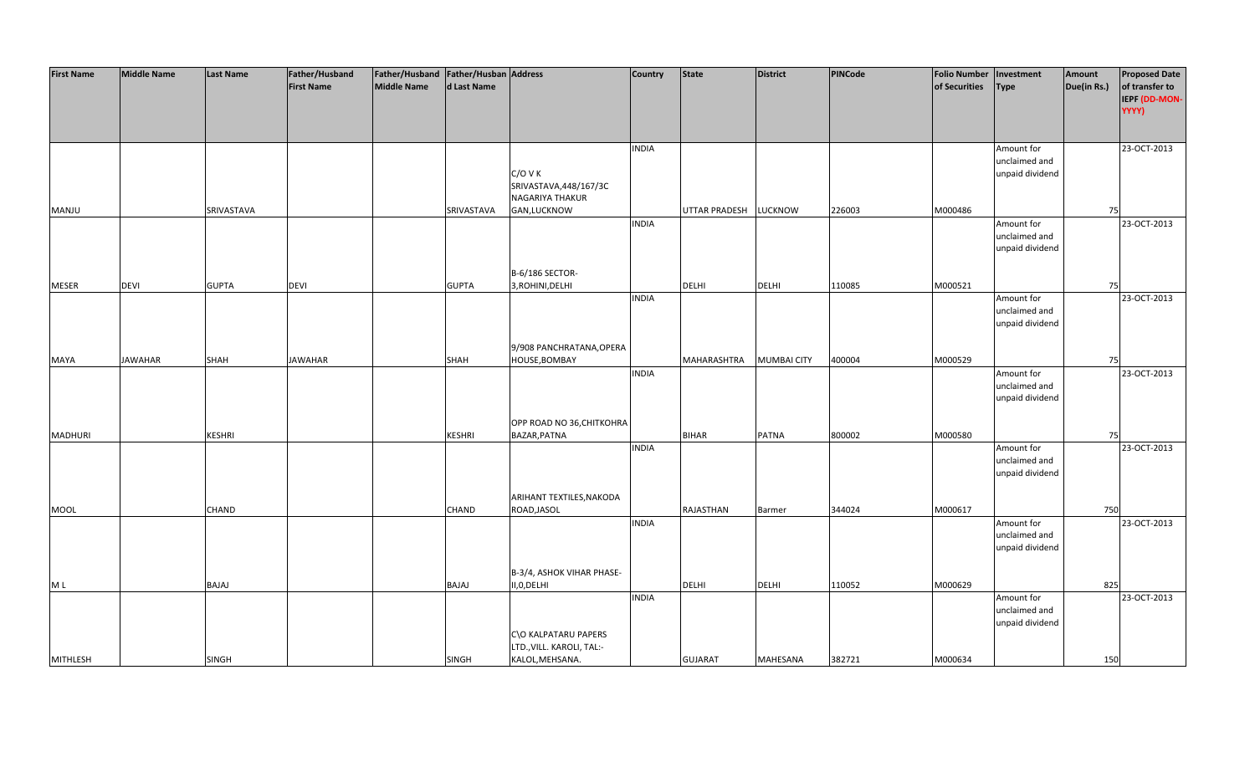| <b>First Name</b> | <b>Middle Name</b> | <b>Last Name</b> | Father/Husband    | Father/Husband   Father/Husban   Address |               |                           | <b>Country</b> | <b>State</b>         | <b>District</b>    | PINCode | <b>Folio Number</b> | Investment                  | Amount      | <b>Proposed Date</b> |
|-------------------|--------------------|------------------|-------------------|------------------------------------------|---------------|---------------------------|----------------|----------------------|--------------------|---------|---------------------|-----------------------------|-------------|----------------------|
|                   |                    |                  | <b>First Name</b> | <b>Middle Name</b>                       | d Last Name   |                           |                |                      |                    |         | of Securities       | <b>Type</b>                 | Due(in Rs.) | of transfer to       |
|                   |                    |                  |                   |                                          |               |                           |                |                      |                    |         |                     |                             |             | IEPF (DD-MON-        |
|                   |                    |                  |                   |                                          |               |                           |                |                      |                    |         |                     |                             |             | YYYY)                |
|                   |                    |                  |                   |                                          |               |                           |                |                      |                    |         |                     |                             |             |                      |
|                   |                    |                  |                   |                                          |               |                           |                |                      |                    |         |                     |                             |             |                      |
|                   |                    |                  |                   |                                          |               |                           | <b>INDIA</b>   |                      |                    |         |                     |                             |             | 23-OCT-2013          |
|                   |                    |                  |                   |                                          |               |                           |                |                      |                    |         |                     | Amount for<br>unclaimed and |             |                      |
|                   |                    |                  |                   |                                          |               | $C/O$ V K                 |                |                      |                    |         |                     |                             |             |                      |
|                   |                    |                  |                   |                                          |               |                           |                |                      |                    |         |                     | unpaid dividend             |             |                      |
|                   |                    |                  |                   |                                          |               | SRIVASTAVA, 448/167/3C    |                |                      |                    |         |                     |                             |             |                      |
|                   |                    |                  |                   |                                          |               | NAGARIYA THAKUR           |                |                      |                    |         |                     |                             |             |                      |
| MANJU             |                    | SRIVASTAVA       |                   |                                          | SRIVASTAVA    | GAN, LUCKNOW              |                | <b>UTTAR PRADESH</b> | <b>LUCKNOW</b>     | 226003  | M000486             |                             | 75          |                      |
|                   |                    |                  |                   |                                          |               |                           | <b>INDIA</b>   |                      |                    |         |                     | Amount for                  |             | 23-OCT-2013          |
|                   |                    |                  |                   |                                          |               |                           |                |                      |                    |         |                     | unclaimed and               |             |                      |
|                   |                    |                  |                   |                                          |               |                           |                |                      |                    |         |                     | unpaid dividend             |             |                      |
|                   |                    |                  |                   |                                          |               |                           |                |                      |                    |         |                     |                             |             |                      |
|                   |                    |                  |                   |                                          |               | B-6/186 SECTOR-           |                |                      |                    |         |                     |                             |             |                      |
| <b>MESER</b>      | <b>DEVI</b>        | <b>GUPTA</b>     | DEVI              |                                          | <b>GUPTA</b>  | 3, ROHINI, DELHI          |                | <b>DELHI</b>         | <b>DELHI</b>       | 110085  | M000521             |                             | 75          |                      |
|                   |                    |                  |                   |                                          |               |                           | <b>INDIA</b>   |                      |                    |         |                     | Amount for                  |             | 23-OCT-2013          |
|                   |                    |                  |                   |                                          |               |                           |                |                      |                    |         |                     | unclaimed and               |             |                      |
|                   |                    |                  |                   |                                          |               |                           |                |                      |                    |         |                     | unpaid dividend             |             |                      |
|                   |                    |                  |                   |                                          |               |                           |                |                      |                    |         |                     |                             |             |                      |
|                   |                    |                  |                   |                                          |               | 9/908 PANCHRATANA, OPERA  |                |                      |                    |         |                     |                             |             |                      |
| <b>MAYA</b>       | <b>JAWAHAR</b>     | <b>SHAH</b>      | <b>JAWAHAR</b>    |                                          | <b>SHAH</b>   | HOUSE, BOMBAY             |                | MAHARASHTRA          | <b>MUMBAI CITY</b> | 400004  | M000529             |                             | 75          |                      |
|                   |                    |                  |                   |                                          |               |                           | <b>INDIA</b>   |                      |                    |         |                     | Amount for                  |             | 23-OCT-2013          |
|                   |                    |                  |                   |                                          |               |                           |                |                      |                    |         |                     | unclaimed and               |             |                      |
|                   |                    |                  |                   |                                          |               |                           |                |                      |                    |         |                     | unpaid dividend             |             |                      |
|                   |                    |                  |                   |                                          |               |                           |                |                      |                    |         |                     |                             |             |                      |
|                   |                    |                  |                   |                                          |               | OPP ROAD NO 36, CHITKOHRA |                |                      |                    |         |                     |                             |             |                      |
| <b>MADHURI</b>    |                    | KESHRI           |                   |                                          | <b>KESHRI</b> | BAZAR, PATNA              |                | <b>BIHAR</b>         | <b>PATNA</b>       | 800002  | M000580             |                             | 75          |                      |
|                   |                    |                  |                   |                                          |               |                           | <b>INDIA</b>   |                      |                    |         |                     | Amount for                  |             | 23-OCT-2013          |
|                   |                    |                  |                   |                                          |               |                           |                |                      |                    |         |                     | unclaimed and               |             |                      |
|                   |                    |                  |                   |                                          |               |                           |                |                      |                    |         |                     | unpaid dividend             |             |                      |
|                   |                    |                  |                   |                                          |               |                           |                |                      |                    |         |                     |                             |             |                      |
|                   |                    |                  |                   |                                          |               | ARIHANT TEXTILES, NAKODA  |                |                      |                    |         |                     |                             |             |                      |
| <b>MOOL</b>       |                    | <b>CHAND</b>     |                   |                                          | <b>CHAND</b>  | ROAD, JASOL               |                | <b>RAJASTHAN</b>     | Barmer             | 344024  | M000617             |                             | 750         |                      |
|                   |                    |                  |                   |                                          |               |                           | <b>INDIA</b>   |                      |                    |         |                     | Amount for                  |             | 23-OCT-2013          |
|                   |                    |                  |                   |                                          |               |                           |                |                      |                    |         |                     | unclaimed and               |             |                      |
|                   |                    |                  |                   |                                          |               |                           |                |                      |                    |         |                     | unpaid dividend             |             |                      |
|                   |                    |                  |                   |                                          |               |                           |                |                      |                    |         |                     |                             |             |                      |
|                   |                    |                  |                   |                                          |               | B-3/4, ASHOK VIHAR PHASE- |                |                      |                    |         |                     |                             |             |                      |
| M L               |                    | BAJAJ            |                   |                                          | BAJAJ         | II,0,DELHI                |                | DELHI                | <b>DELHI</b>       | 110052  | M000629             |                             | 825         |                      |
|                   |                    |                  |                   |                                          |               |                           | <b>INDIA</b>   |                      |                    |         |                     | Amount for                  |             | 23-OCT-2013          |
|                   |                    |                  |                   |                                          |               |                           |                |                      |                    |         |                     | unclaimed and               |             |                      |
|                   |                    |                  |                   |                                          |               |                           |                |                      |                    |         |                     | unpaid dividend             |             |                      |
|                   |                    |                  |                   |                                          |               | C\O KALPATARU PAPERS      |                |                      |                    |         |                     |                             |             |                      |
|                   |                    |                  |                   |                                          |               | LTD., VILL. KAROLI, TAL:- |                |                      |                    |         |                     |                             |             |                      |
| <b>MITHLESH</b>   |                    | <b>SINGH</b>     |                   |                                          | <b>SINGH</b>  | KALOL, MEHSANA.           |                | <b>GUJARAT</b>       | MAHESANA           | 382721  | M000634             |                             | 150         |                      |
|                   |                    |                  |                   |                                          |               |                           |                |                      |                    |         |                     |                             |             |                      |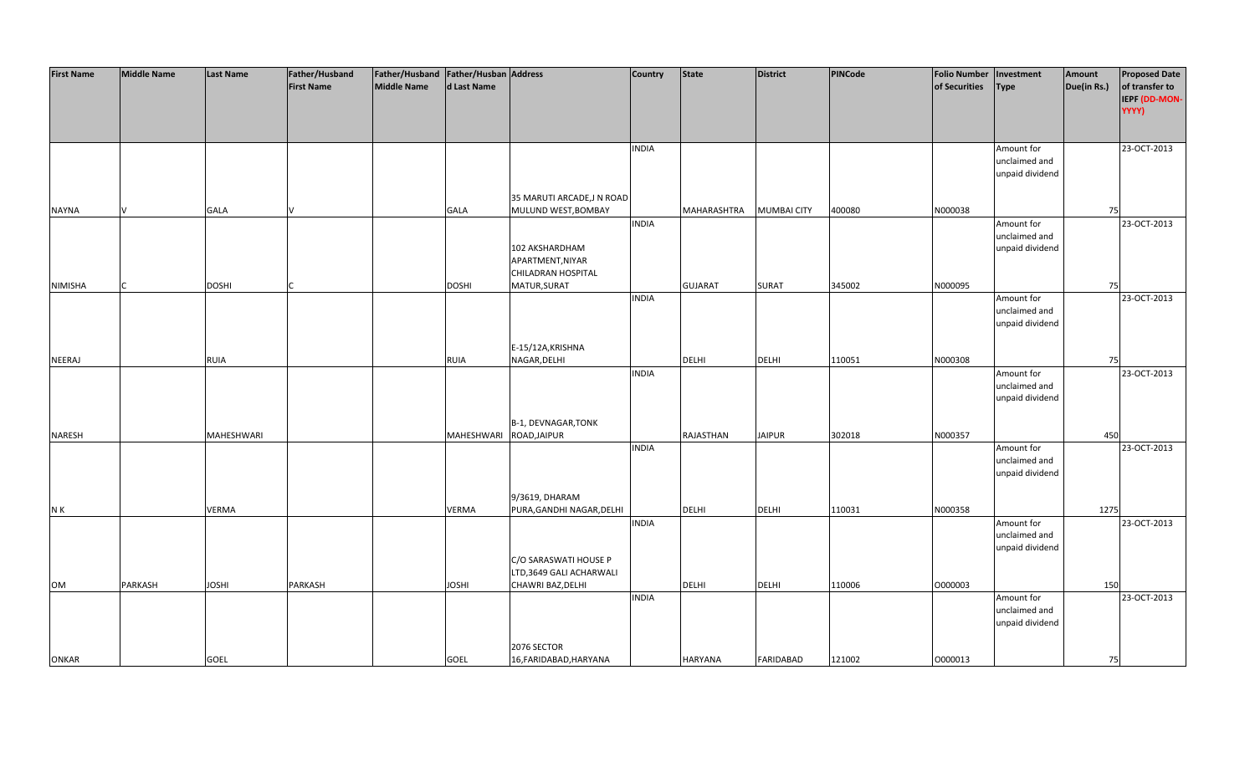| <b>First Name</b> | <b>Middle Name</b> | <b>Last Name</b> | Father/Husband    | Father/Husband Father/Husban Address |              |                           | <b>Country</b> | <b>State</b>     | <b>District</b>    | PINCode | <b>Folio Number</b> | Investment      | Amount      | <b>Proposed Date</b> |
|-------------------|--------------------|------------------|-------------------|--------------------------------------|--------------|---------------------------|----------------|------------------|--------------------|---------|---------------------|-----------------|-------------|----------------------|
|                   |                    |                  | <b>First Name</b> | <b>Middle Name</b>                   | d Last Name  |                           |                |                  |                    |         | of Securities       | <b>Type</b>     | Due(in Rs.) | of transfer to       |
|                   |                    |                  |                   |                                      |              |                           |                |                  |                    |         |                     |                 |             | IEPF (DD-MON-        |
|                   |                    |                  |                   |                                      |              |                           |                |                  |                    |         |                     |                 |             | YYYY)                |
|                   |                    |                  |                   |                                      |              |                           |                |                  |                    |         |                     |                 |             |                      |
|                   |                    |                  |                   |                                      |              |                           |                |                  |                    |         |                     |                 |             |                      |
|                   |                    |                  |                   |                                      |              |                           | <b>INDIA</b>   |                  |                    |         |                     | Amount for      |             | 23-OCT-2013          |
|                   |                    |                  |                   |                                      |              |                           |                |                  |                    |         |                     | unclaimed and   |             |                      |
|                   |                    |                  |                   |                                      |              |                           |                |                  |                    |         |                     | unpaid dividend |             |                      |
|                   |                    |                  |                   |                                      |              |                           |                |                  |                    |         |                     |                 |             |                      |
|                   |                    |                  |                   |                                      |              | 35 MARUTI ARCADE, JN ROAD |                |                  |                    |         |                     |                 |             |                      |
| <b>NAYNA</b>      |                    | <b>GALA</b>      |                   |                                      | <b>GALA</b>  | MULUND WEST, BOMBAY       |                | MAHARASHTRA      | <b>MUMBAI CITY</b> | 400080  | N000038             |                 | 75          |                      |
|                   |                    |                  |                   |                                      |              |                           | <b>INDIA</b>   |                  |                    |         |                     | Amount for      |             | 23-OCT-2013          |
|                   |                    |                  |                   |                                      |              |                           |                |                  |                    |         |                     | unclaimed and   |             |                      |
|                   |                    |                  |                   |                                      |              | 102 AKSHARDHAM            |                |                  |                    |         |                     | unpaid dividend |             |                      |
|                   |                    |                  |                   |                                      |              | APARTMENT, NIYAR          |                |                  |                    |         |                     |                 |             |                      |
|                   |                    |                  |                   |                                      |              | CHILADRAN HOSPITAL        |                |                  |                    |         |                     |                 |             |                      |
| <b>NIMISHA</b>    |                    | <b>DOSHI</b>     |                   |                                      | <b>DOSHI</b> | MATUR, SURAT              |                | <b>GUJARAT</b>   | <b>SURAT</b>       | 345002  | N000095             |                 | 75          |                      |
|                   |                    |                  |                   |                                      |              |                           | <b>INDIA</b>   |                  |                    |         |                     | Amount for      |             | 23-OCT-2013          |
|                   |                    |                  |                   |                                      |              |                           |                |                  |                    |         |                     | unclaimed and   |             |                      |
|                   |                    |                  |                   |                                      |              |                           |                |                  |                    |         |                     | unpaid dividend |             |                      |
|                   |                    |                  |                   |                                      |              |                           |                |                  |                    |         |                     |                 |             |                      |
|                   |                    |                  |                   |                                      |              | E-15/12A, KRISHNA         |                |                  |                    |         |                     |                 |             |                      |
| <b>NEERAJ</b>     |                    | <b>RUIA</b>      |                   |                                      | <b>RUIA</b>  | NAGAR, DELHI              |                | DELHI            | <b>DELHI</b>       | 110051  | N000308             |                 | 75          |                      |
|                   |                    |                  |                   |                                      |              |                           | <b>INDIA</b>   |                  |                    |         |                     | Amount for      |             | 23-OCT-2013          |
|                   |                    |                  |                   |                                      |              |                           |                |                  |                    |         |                     | unclaimed and   |             |                      |
|                   |                    |                  |                   |                                      |              |                           |                |                  |                    |         |                     | unpaid dividend |             |                      |
|                   |                    |                  |                   |                                      |              |                           |                |                  |                    |         |                     |                 |             |                      |
|                   |                    |                  |                   |                                      |              | B-1, DEVNAGAR, TONK       |                |                  |                    |         |                     |                 |             |                      |
| <b>NARESH</b>     |                    | MAHESHWARI       |                   |                                      | MAHESHWARI   | ROAD, JAIPUR              |                | <b>RAJASTHAN</b> | <b>JAIPUR</b>      | 302018  | N000357             |                 | 450         |                      |
|                   |                    |                  |                   |                                      |              |                           | <b>INDIA</b>   |                  |                    |         |                     | Amount for      |             | 23-OCT-2013          |
|                   |                    |                  |                   |                                      |              |                           |                |                  |                    |         |                     | unclaimed and   |             |                      |
|                   |                    |                  |                   |                                      |              |                           |                |                  |                    |         |                     | unpaid dividend |             |                      |
|                   |                    |                  |                   |                                      |              |                           |                |                  |                    |         |                     |                 |             |                      |
|                   |                    |                  |                   |                                      |              | 9/3619, DHARAM            |                |                  |                    |         |                     |                 |             |                      |
| N K               |                    | <b>VERMA</b>     |                   |                                      | <b>VERMA</b> | PURA, GANDHI NAGAR, DELHI |                | DELHI            | <b>DELHI</b>       | 110031  | N000358             |                 | 1275        |                      |
|                   |                    |                  |                   |                                      |              |                           | <b>INDIA</b>   |                  |                    |         |                     | Amount for      |             | 23-OCT-2013          |
|                   |                    |                  |                   |                                      |              |                           |                |                  |                    |         |                     | unclaimed and   |             |                      |
|                   |                    |                  |                   |                                      |              |                           |                |                  |                    |         |                     | unpaid dividend |             |                      |
|                   |                    |                  |                   |                                      |              | C/O SARASWATI HOUSE P     |                |                  |                    |         |                     |                 |             |                      |
|                   |                    |                  |                   |                                      |              | LTD,3649 GALI ACHARWALI   |                |                  |                    |         |                     |                 |             |                      |
| OM                | PARKASH            | <b>JOSHI</b>     | PARKASH           |                                      | <b>JOSHI</b> | CHAWRI BAZ, DELHI         |                | <b>DELHI</b>     | <b>DELHI</b>       | 110006  | O000003             |                 | 150         |                      |
|                   |                    |                  |                   |                                      |              |                           | <b>INDIA</b>   |                  |                    |         |                     | Amount for      |             | 23-OCT-2013          |
|                   |                    |                  |                   |                                      |              |                           |                |                  |                    |         |                     | unclaimed and   |             |                      |
|                   |                    |                  |                   |                                      |              |                           |                |                  |                    |         |                     | unpaid dividend |             |                      |
|                   |                    |                  |                   |                                      |              |                           |                |                  |                    |         |                     |                 |             |                      |
|                   |                    |                  |                   |                                      |              | 2076 SECTOR               |                |                  |                    |         |                     |                 |             |                      |
| <b>ONKAR</b>      |                    | <b>GOEL</b>      |                   |                                      | <b>GOEL</b>  | 16, FARIDABAD, HARYANA    |                | <b>HARYANA</b>   | <b>FARIDABAD</b>   | 121002  | 0000013             |                 | 75          |                      |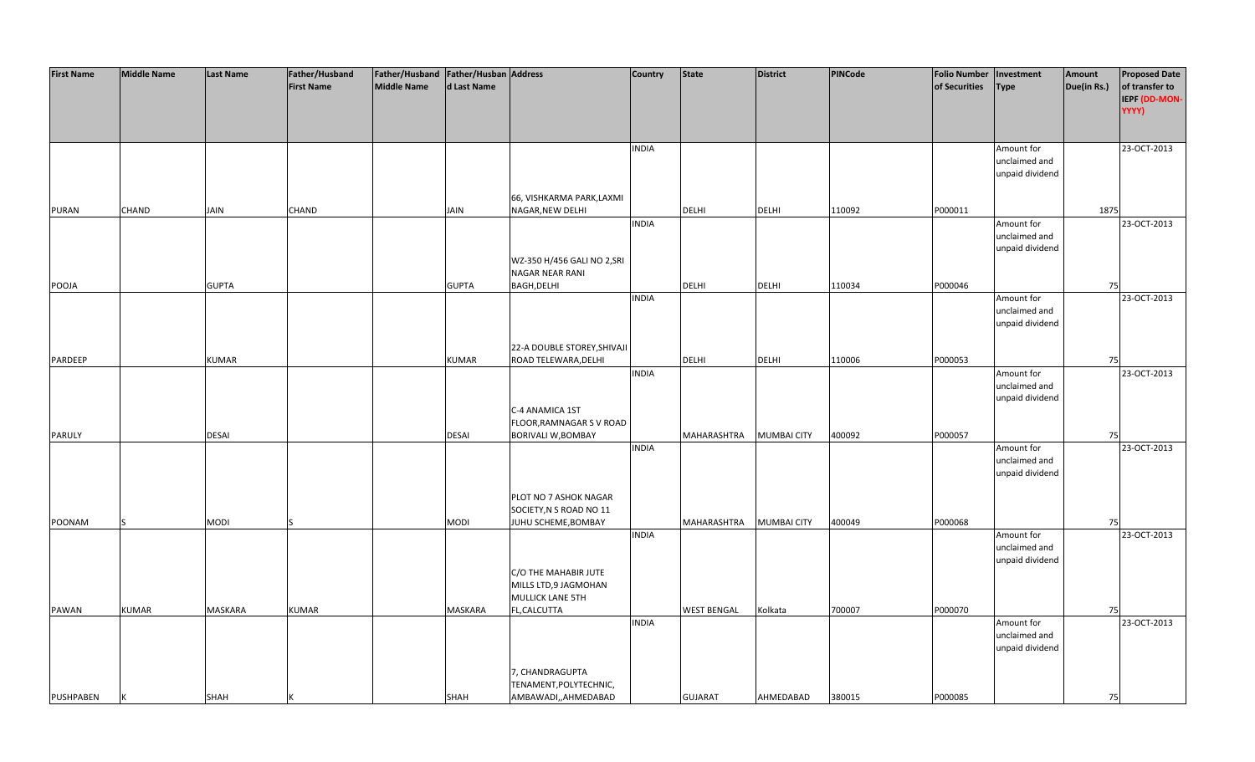| <b>First Name</b> | <b>Middle Name</b> | <b>Last Name</b> | Father/Husband    | Father/Husband   Father/Husban   Address |              |                             | <b>Country</b> | <b>State</b>       | <b>District</b>    | PINCode | <b>Folio Number</b> | Investment      | Amount      | <b>Proposed Date</b> |
|-------------------|--------------------|------------------|-------------------|------------------------------------------|--------------|-----------------------------|----------------|--------------------|--------------------|---------|---------------------|-----------------|-------------|----------------------|
|                   |                    |                  | <b>First Name</b> | <b>Middle Name</b>                       | d Last Name  |                             |                |                    |                    |         | of Securities       | <b>Type</b>     | Due(in Rs.) | of transfer to       |
|                   |                    |                  |                   |                                          |              |                             |                |                    |                    |         |                     |                 |             | IEPF (DD-MON-        |
|                   |                    |                  |                   |                                          |              |                             |                |                    |                    |         |                     |                 |             | YYYY)                |
|                   |                    |                  |                   |                                          |              |                             |                |                    |                    |         |                     |                 |             |                      |
|                   |                    |                  |                   |                                          |              |                             |                |                    |                    |         |                     |                 |             |                      |
|                   |                    |                  |                   |                                          |              |                             | <b>INDIA</b>   |                    |                    |         |                     | Amount for      |             | 23-OCT-2013          |
|                   |                    |                  |                   |                                          |              |                             |                |                    |                    |         |                     | unclaimed and   |             |                      |
|                   |                    |                  |                   |                                          |              |                             |                |                    |                    |         |                     | unpaid dividend |             |                      |
|                   |                    |                  |                   |                                          |              |                             |                |                    |                    |         |                     |                 |             |                      |
|                   |                    |                  |                   |                                          |              | 66, VISHKARMA PARK, LAXMI   |                |                    |                    |         |                     |                 |             |                      |
| <b>PURAN</b>      | CHAND              | <b>JAIN</b>      | CHAND             |                                          | <b>JAIN</b>  | NAGAR, NEW DELHI            |                | <b>DELHI</b>       | DELHI              | 110092  | P000011             |                 | 1875        |                      |
|                   |                    |                  |                   |                                          |              |                             | <b>INDIA</b>   |                    |                    |         |                     | Amount for      |             | 23-OCT-2013          |
|                   |                    |                  |                   |                                          |              |                             |                |                    |                    |         |                     | unclaimed and   |             |                      |
|                   |                    |                  |                   |                                          |              |                             |                |                    |                    |         |                     | unpaid dividend |             |                      |
|                   |                    |                  |                   |                                          |              | WZ-350 H/456 GALI NO 2,SRI  |                |                    |                    |         |                     |                 |             |                      |
|                   |                    |                  |                   |                                          |              | NAGAR NEAR RANI             |                |                    |                    |         |                     |                 |             |                      |
| POOJA             |                    | <b>GUPTA</b>     |                   |                                          | <b>GUPTA</b> | BAGH, DELHI                 |                | <b>DELHI</b>       | <b>DELHI</b>       | 110034  | P000046             |                 | 75          |                      |
|                   |                    |                  |                   |                                          |              |                             | <b>INDIA</b>   |                    |                    |         |                     | Amount for      |             | 23-OCT-2013          |
|                   |                    |                  |                   |                                          |              |                             |                |                    |                    |         |                     | unclaimed and   |             |                      |
|                   |                    |                  |                   |                                          |              |                             |                |                    |                    |         |                     | unpaid dividend |             |                      |
|                   |                    |                  |                   |                                          |              |                             |                |                    |                    |         |                     |                 |             |                      |
|                   |                    |                  |                   |                                          |              | 22-A DOUBLE STOREY, SHIVAJI |                |                    |                    |         |                     |                 |             |                      |
| PARDEEP           |                    | <b>KUMAR</b>     |                   |                                          | <b>KUMAR</b> | ROAD TELEWARA, DELHI        |                | DELHI              | DELHI              | 110006  | P000053             |                 | 75          |                      |
|                   |                    |                  |                   |                                          |              |                             | <b>INDIA</b>   |                    |                    |         |                     | Amount for      |             | 23-OCT-2013          |
|                   |                    |                  |                   |                                          |              |                             |                |                    |                    |         |                     | unclaimed and   |             |                      |
|                   |                    |                  |                   |                                          |              |                             |                |                    |                    |         |                     | unpaid dividend |             |                      |
|                   |                    |                  |                   |                                          |              | C-4 ANAMICA 1ST             |                |                    |                    |         |                     |                 |             |                      |
|                   |                    |                  |                   |                                          |              | FLOOR, RAMNAGAR S V ROAD    |                |                    |                    |         |                     |                 |             |                      |
| <b>PARULY</b>     |                    | <b>DESAI</b>     |                   |                                          | <b>DESAI</b> | BORIVALI W, BOMBAY          |                | MAHARASHTRA        | <b>MUMBAI CITY</b> | 400092  | P000057             |                 | 75          |                      |
|                   |                    |                  |                   |                                          |              |                             | <b>INDIA</b>   |                    |                    |         |                     | Amount for      |             | 23-OCT-2013          |
|                   |                    |                  |                   |                                          |              |                             |                |                    |                    |         |                     | unclaimed and   |             |                      |
|                   |                    |                  |                   |                                          |              |                             |                |                    |                    |         |                     | unpaid dividend |             |                      |
|                   |                    |                  |                   |                                          |              |                             |                |                    |                    |         |                     |                 |             |                      |
|                   |                    |                  |                   |                                          |              | PLOT NO 7 ASHOK NAGAR       |                |                    |                    |         |                     |                 |             |                      |
|                   |                    |                  |                   |                                          |              | SOCIETY, N S ROAD NO 11     |                |                    |                    |         |                     |                 |             |                      |
| POONAM            |                    | <b>MODI</b>      |                   |                                          | <b>MODI</b>  | JUHU SCHEME, BOMBAY         |                | MAHARASHTRA        | <b>MUMBAI CITY</b> | 400049  | P000068             |                 | 75          |                      |
|                   |                    |                  |                   |                                          |              |                             | <b>INDIA</b>   |                    |                    |         |                     | Amount for      |             | 23-OCT-2013          |
|                   |                    |                  |                   |                                          |              |                             |                |                    |                    |         |                     | unclaimed and   |             |                      |
|                   |                    |                  |                   |                                          |              |                             |                |                    |                    |         |                     | unpaid dividend |             |                      |
|                   |                    |                  |                   |                                          |              | C/O THE MAHABIR JUTE        |                |                    |                    |         |                     |                 |             |                      |
|                   |                    |                  |                   |                                          |              | MILLS LTD,9 JAGMOHAN        |                |                    |                    |         |                     |                 |             |                      |
|                   |                    |                  |                   |                                          |              | <b>MULLICK LANE 5TH</b>     |                |                    |                    |         |                     |                 |             |                      |
| PAWAN             | <b>KUMAR</b>       | MASKARA          | <b>KUMAR</b>      |                                          | MASKARA      | FL, CALCUTTA                |                | <b>WEST BENGAL</b> | Kolkata            | 700007  | P000070             |                 | 75          |                      |
|                   |                    |                  |                   |                                          |              |                             | <b>INDIA</b>   |                    |                    |         |                     | Amount for      |             | 23-OCT-2013          |
|                   |                    |                  |                   |                                          |              |                             |                |                    |                    |         |                     | unclaimed and   |             |                      |
|                   |                    |                  |                   |                                          |              |                             |                |                    |                    |         |                     | unpaid dividend |             |                      |
|                   |                    |                  |                   |                                          |              |                             |                |                    |                    |         |                     |                 |             |                      |
|                   |                    |                  |                   |                                          |              | 7, CHANDRAGUPTA             |                |                    |                    |         |                     |                 |             |                      |
|                   |                    |                  |                   |                                          |              | TENAMENT, POLYTECHNIC,      |                |                    |                    |         |                     |                 |             |                      |
| PUSHPABEN         | К                  | <b>SHAH</b>      |                   |                                          | <b>SHAH</b>  | AMBAWADI,,AHMEDABAD         |                | <b>GUJARAT</b>     | AHMEDABAD          | 380015  | P000085             |                 | 75          |                      |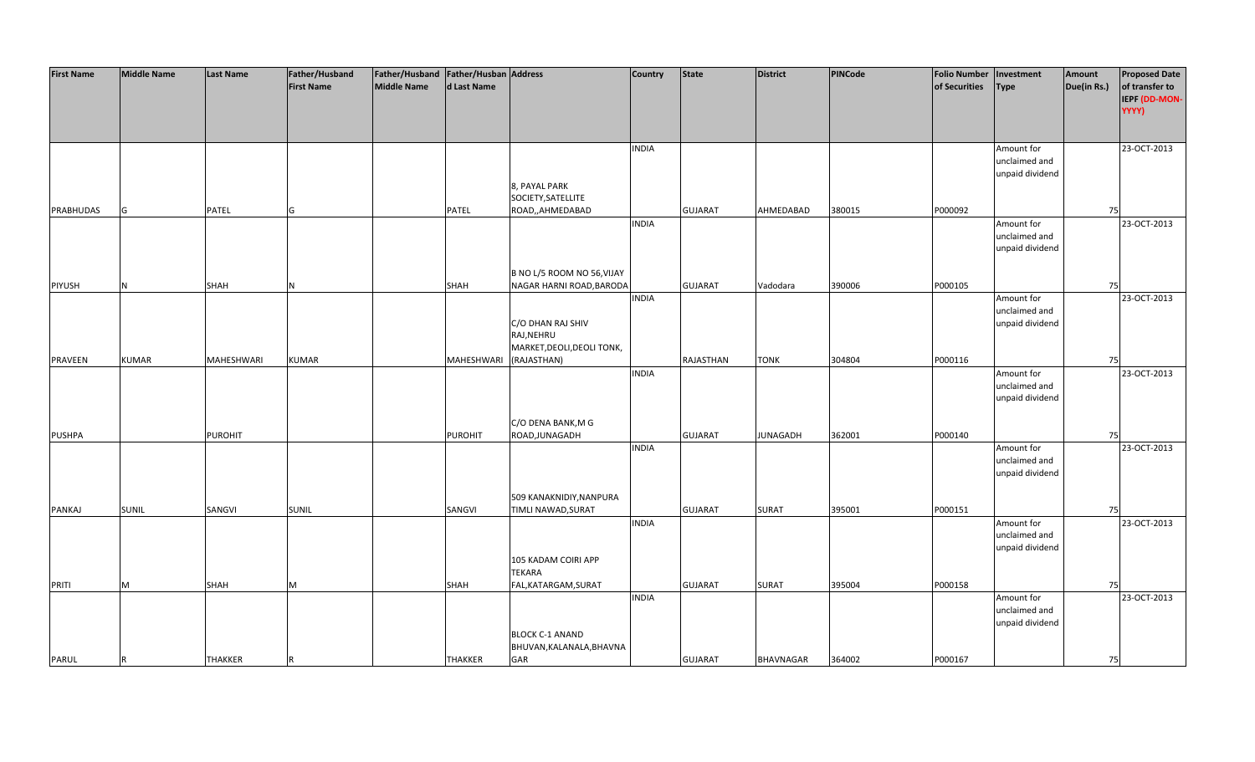| <b>First Name</b> | <b>Middle Name</b> | <b>Last Name</b> | Father/Husband    | Father/Husband   Father/Husban   Address |                |                            | <b>Country</b> | <b>State</b>   | <b>District</b>  | PINCode | <b>Folio Number</b> | Investment      | Amount      | <b>Proposed Date</b> |
|-------------------|--------------------|------------------|-------------------|------------------------------------------|----------------|----------------------------|----------------|----------------|------------------|---------|---------------------|-----------------|-------------|----------------------|
|                   |                    |                  | <b>First Name</b> | <b>Middle Name</b>                       | d Last Name    |                            |                |                |                  |         | of Securities       | <b>Type</b>     | Due(in Rs.) | of transfer to       |
|                   |                    |                  |                   |                                          |                |                            |                |                |                  |         |                     |                 |             | IEPF (DD-MON-        |
|                   |                    |                  |                   |                                          |                |                            |                |                |                  |         |                     |                 |             | YYYY)                |
|                   |                    |                  |                   |                                          |                |                            |                |                |                  |         |                     |                 |             |                      |
|                   |                    |                  |                   |                                          |                |                            |                |                |                  |         |                     |                 |             |                      |
|                   |                    |                  |                   |                                          |                |                            | <b>INDIA</b>   |                |                  |         |                     | Amount for      |             | 23-OCT-2013          |
|                   |                    |                  |                   |                                          |                |                            |                |                |                  |         |                     | unclaimed and   |             |                      |
|                   |                    |                  |                   |                                          |                |                            |                |                |                  |         |                     | unpaid dividend |             |                      |
|                   |                    |                  |                   |                                          |                | 8, PAYAL PARK              |                |                |                  |         |                     |                 |             |                      |
|                   |                    |                  |                   |                                          |                | SOCIETY, SATELLITE         |                |                |                  |         |                     |                 |             |                      |
| PRABHUDAS         | G                  | PATEL            | G                 |                                          | <b>PATEL</b>   | ROAD,,AHMEDABAD            |                | <b>GUJARAT</b> | AHMEDABAD        | 380015  | P000092             |                 | 75          |                      |
|                   |                    |                  |                   |                                          |                |                            | <b>INDIA</b>   |                |                  |         |                     | Amount for      |             | 23-OCT-2013          |
|                   |                    |                  |                   |                                          |                |                            |                |                |                  |         |                     | unclaimed and   |             |                      |
|                   |                    |                  |                   |                                          |                |                            |                |                |                  |         |                     | unpaid dividend |             |                      |
|                   |                    |                  |                   |                                          |                |                            |                |                |                  |         |                     |                 |             |                      |
|                   |                    |                  |                   |                                          |                | B NO L/5 ROOM NO 56, VIJAY |                |                |                  |         |                     |                 |             |                      |
| PIYUSH            | N                  | <b>SHAH</b>      | N                 |                                          | <b>SHAH</b>    | NAGAR HARNI ROAD, BARODA   |                | <b>GUJARAT</b> | Vadodara         | 390006  | P000105             |                 | 75          |                      |
|                   |                    |                  |                   |                                          |                |                            | <b>INDIA</b>   |                |                  |         |                     | Amount for      |             | 23-OCT-2013          |
|                   |                    |                  |                   |                                          |                |                            |                |                |                  |         |                     | unclaimed and   |             |                      |
|                   |                    |                  |                   |                                          |                | C/O DHAN RAJ SHIV          |                |                |                  |         |                     | unpaid dividend |             |                      |
|                   |                    |                  |                   |                                          |                | RAJ, NEHRU                 |                |                |                  |         |                     |                 |             |                      |
|                   |                    |                  |                   |                                          |                | MARKET, DEOLI, DEOLI TONK, |                |                |                  |         |                     |                 |             |                      |
| <b>PRAVEEN</b>    | <b>KUMAR</b>       | MAHESHWARI       | <b>KUMAR</b>      |                                          | MAHESHWARI     | (RAJASTHAN)                |                | RAJASTHAN      | <b>TONK</b>      | 304804  | P000116             |                 | 75          |                      |
|                   |                    |                  |                   |                                          |                |                            | <b>INDIA</b>   |                |                  |         |                     | Amount for      |             | 23-OCT-2013          |
|                   |                    |                  |                   |                                          |                |                            |                |                |                  |         |                     | unclaimed and   |             |                      |
|                   |                    |                  |                   |                                          |                |                            |                |                |                  |         |                     | unpaid dividend |             |                      |
|                   |                    |                  |                   |                                          |                |                            |                |                |                  |         |                     |                 |             |                      |
|                   |                    |                  |                   |                                          |                | C/O DENA BANK, M G         |                |                |                  |         |                     |                 |             |                      |
| <b>PUSHPA</b>     |                    | <b>PUROHIT</b>   |                   |                                          | <b>PUROHIT</b> | ROAD, JUNAGADH             |                | <b>GUJARAT</b> | <b>JUNAGADH</b>  | 362001  | P000140             |                 | 75          |                      |
|                   |                    |                  |                   |                                          |                |                            | <b>INDIA</b>   |                |                  |         |                     | Amount for      |             | 23-OCT-2013          |
|                   |                    |                  |                   |                                          |                |                            |                |                |                  |         |                     | unclaimed and   |             |                      |
|                   |                    |                  |                   |                                          |                |                            |                |                |                  |         |                     | unpaid dividend |             |                      |
|                   |                    |                  |                   |                                          |                |                            |                |                |                  |         |                     |                 |             |                      |
|                   |                    |                  |                   |                                          |                | 509 KANAKNIDIY, NANPURA    |                |                |                  |         |                     |                 |             |                      |
| PANKAJ            | <b>SUNIL</b>       | SANGVI           | <b>SUNIL</b>      |                                          | SANGVI         | TIMLI NAWAD, SURAT         |                | <b>GUJARAT</b> | <b>SURAT</b>     | 395001  | P000151             |                 | 75          |                      |
|                   |                    |                  |                   |                                          |                |                            | <b>INDIA</b>   |                |                  |         |                     | Amount for      |             | 23-OCT-2013          |
|                   |                    |                  |                   |                                          |                |                            |                |                |                  |         |                     | unclaimed and   |             |                      |
|                   |                    |                  |                   |                                          |                |                            |                |                |                  |         |                     | unpaid dividend |             |                      |
|                   |                    |                  |                   |                                          |                | 105 KADAM COIRI APP        |                |                |                  |         |                     |                 |             |                      |
|                   |                    |                  |                   |                                          |                | <b>TEKARA</b>              |                |                |                  |         |                     |                 |             |                      |
| PRITI             | M                  | SHAH             | M                 |                                          | <b>SHAH</b>    | FAL, KATARGAM, SURAT       |                | <b>GUJARAT</b> | <b>SURAT</b>     | 395004  | P000158             |                 | 75          |                      |
|                   |                    |                  |                   |                                          |                |                            | <b>INDIA</b>   |                |                  |         |                     | Amount for      |             | 23-OCT-2013          |
|                   |                    |                  |                   |                                          |                |                            |                |                |                  |         |                     | unclaimed and   |             |                      |
|                   |                    |                  |                   |                                          |                |                            |                |                |                  |         |                     | unpaid dividend |             |                      |
|                   |                    |                  |                   |                                          |                | <b>BLOCK C-1 ANAND</b>     |                |                |                  |         |                     |                 |             |                      |
|                   |                    |                  |                   |                                          |                | BHUVAN, KALANALA, BHAVNA   |                |                |                  |         |                     |                 |             |                      |
| PARUL             | R                  | <b>THAKKER</b>   |                   |                                          | <b>THAKKER</b> | GAR                        |                | <b>GUJARAT</b> | <b>BHAVNAGAR</b> | 364002  | P000167             |                 | 75          |                      |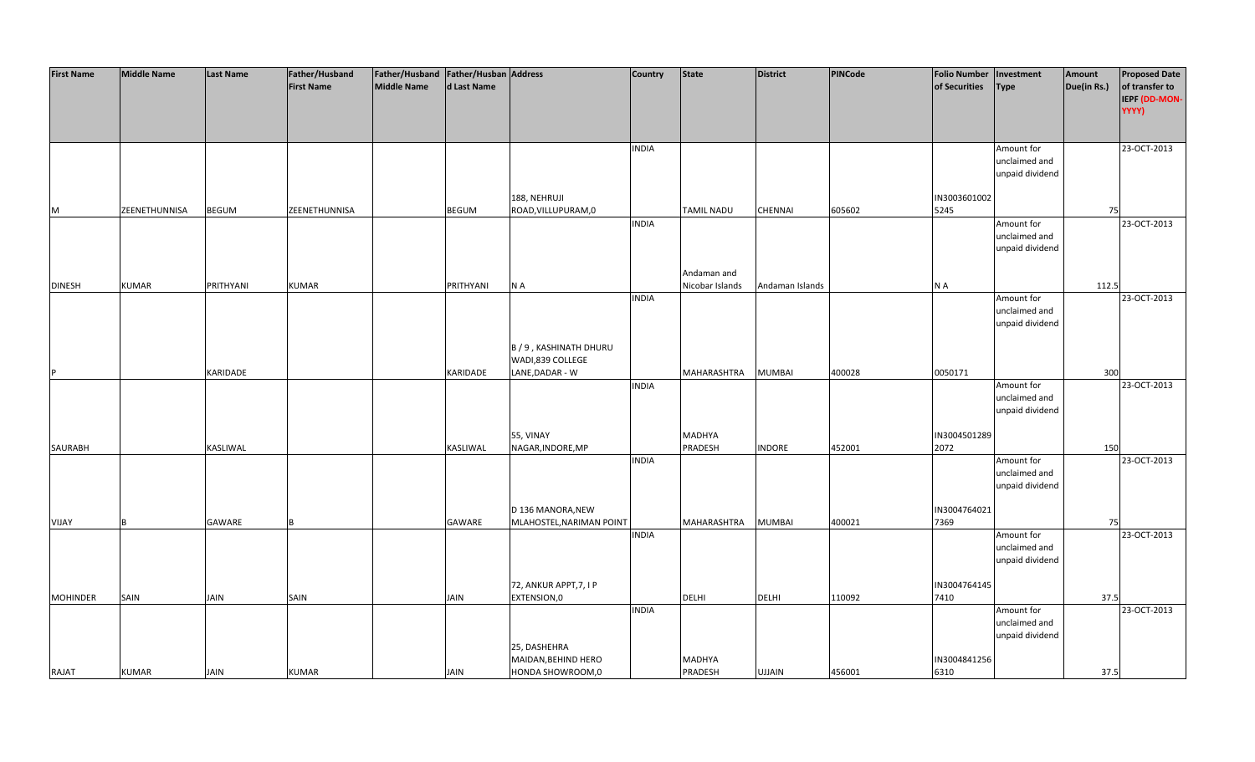| <b>First Name</b> | <b>Middle Name</b> | Last Name    | Father/Husband    | Father/Husband   Father/Husban   Address |             |                                               | <b>Country</b> | <b>State</b>    | <b>District</b> | <b>PINCode</b> | <b>Folio Number</b>  | Investment                  | Amount      | <b>Proposed Date</b> |
|-------------------|--------------------|--------------|-------------------|------------------------------------------|-------------|-----------------------------------------------|----------------|-----------------|-----------------|----------------|----------------------|-----------------------------|-------------|----------------------|
|                   |                    |              | <b>First Name</b> | Middle Name                              | d Last Name |                                               |                |                 |                 |                | of Securities        | <b>Type</b>                 | Due(in Rs.) | of transfer to       |
|                   |                    |              |                   |                                          |             |                                               |                |                 |                 |                |                      |                             |             | IEPF (DD-MON-        |
|                   |                    |              |                   |                                          |             |                                               |                |                 |                 |                |                      |                             |             | YYYY)                |
|                   |                    |              |                   |                                          |             |                                               |                |                 |                 |                |                      |                             |             |                      |
|                   |                    |              |                   |                                          |             |                                               | <b>INDIA</b>   |                 |                 |                |                      | Amount for                  |             | 23-OCT-2013          |
|                   |                    |              |                   |                                          |             |                                               |                |                 |                 |                |                      | unclaimed and               |             |                      |
|                   |                    |              |                   |                                          |             |                                               |                |                 |                 |                |                      | unpaid dividend             |             |                      |
|                   |                    |              |                   |                                          |             |                                               |                |                 |                 |                |                      |                             |             |                      |
|                   |                    |              |                   |                                          |             | 188, NEHRUJI                                  |                |                 |                 |                | IN3003601002         |                             |             |                      |
| M                 | ZEENETHUNNISA      | <b>BEGUM</b> | ZEENETHUNNISA     |                                          | BEGUM       | ROAD, VILLUPURAM, 0                           |                | TAMIL NADU      | CHENNAI         | 605602         | 5245                 |                             | 75          |                      |
|                   |                    |              |                   |                                          |             |                                               | <b>INDIA</b>   |                 |                 |                |                      | Amount for<br>unclaimed and |             | 23-OCT-2013          |
|                   |                    |              |                   |                                          |             |                                               |                |                 |                 |                |                      | unpaid dividend             |             |                      |
|                   |                    |              |                   |                                          |             |                                               |                |                 |                 |                |                      |                             |             |                      |
|                   |                    |              |                   |                                          |             |                                               |                | Andaman and     |                 |                |                      |                             |             |                      |
| <b>DINESH</b>     | <b>KUMAR</b>       | PRITHYANI    | <b>KUMAR</b>      |                                          | PRITHYANI   | N A                                           |                | Nicobar Islands | Andaman Islands |                | N A                  |                             | 112.5       |                      |
|                   |                    |              |                   |                                          |             |                                               | <b>INDIA</b>   |                 |                 |                |                      | Amount for                  |             | 23-OCT-2013          |
|                   |                    |              |                   |                                          |             |                                               |                |                 |                 |                |                      | unclaimed and               |             |                      |
|                   |                    |              |                   |                                          |             |                                               |                |                 |                 |                |                      | unpaid dividend             |             |                      |
|                   |                    |              |                   |                                          |             |                                               |                |                 |                 |                |                      |                             |             |                      |
|                   |                    |              |                   |                                          |             | B / 9, KASHINATH DHURU                        |                |                 |                 |                |                      |                             |             |                      |
|                   |                    |              |                   |                                          |             | WADI,839 COLLEGE                              |                |                 |                 |                |                      |                             |             |                      |
|                   |                    | KARIDADE     |                   |                                          | KARIDADE    | LANE, DADAR - W                               | <b>INDIA</b>   | MAHARASHTRA     | <b>MUMBAI</b>   | 400028         | 0050171              | Amount for                  | 300         | 23-OCT-2013          |
|                   |                    |              |                   |                                          |             |                                               |                |                 |                 |                |                      | unclaimed and               |             |                      |
|                   |                    |              |                   |                                          |             |                                               |                |                 |                 |                |                      | unpaid dividend             |             |                      |
|                   |                    |              |                   |                                          |             |                                               |                |                 |                 |                |                      |                             |             |                      |
|                   |                    |              |                   |                                          |             | 55, VINAY                                     |                | MADHYA          |                 |                | IN3004501289         |                             |             |                      |
| SAURABH           |                    | KASLIWAL     |                   |                                          | KASLIWAL    | NAGAR, INDORE, MP                             |                | PRADESH         | <b>INDORE</b>   | 452001         | 2072                 |                             | 150         |                      |
|                   |                    |              |                   |                                          |             |                                               | <b>INDIA</b>   |                 |                 |                |                      | Amount for                  |             | 23-OCT-2013          |
|                   |                    |              |                   |                                          |             |                                               |                |                 |                 |                |                      | unclaimed and               |             |                      |
|                   |                    |              |                   |                                          |             |                                               |                |                 |                 |                |                      | unpaid dividend             |             |                      |
|                   |                    |              |                   |                                          |             |                                               |                |                 |                 |                |                      |                             |             |                      |
| VIJAY             |                    | GAWARE       |                   |                                          | GAWARE      | D 136 MANORA, NEW<br>MLAHOSTEL, NARIMAN POINT |                | MAHARASHTRA     | <b>MUMBAI</b>   | 400021         | IN3004764021<br>7369 |                             | 75          |                      |
|                   |                    |              |                   |                                          |             |                                               | <b>INDIA</b>   |                 |                 |                |                      | Amount for                  |             | 23-OCT-2013          |
|                   |                    |              |                   |                                          |             |                                               |                |                 |                 |                |                      | unclaimed and               |             |                      |
|                   |                    |              |                   |                                          |             |                                               |                |                 |                 |                |                      | unpaid dividend             |             |                      |
|                   |                    |              |                   |                                          |             |                                               |                |                 |                 |                |                      |                             |             |                      |
|                   |                    |              |                   |                                          |             | 72, ANKUR APPT, 7, I P                        |                |                 |                 |                | IN3004764145         |                             |             |                      |
| <b>MOHINDER</b>   | SAIN               | <b>JAIN</b>  | SAIN              |                                          | JAIN        | EXTENSION,0                                   |                | <b>DELHI</b>    | <b>DELHI</b>    | 110092         | 7410                 |                             | 37.5        |                      |
|                   |                    |              |                   |                                          |             |                                               | <b>INDIA</b>   |                 |                 |                |                      | Amount for                  |             | 23-OCT-2013          |
|                   |                    |              |                   |                                          |             |                                               |                |                 |                 |                |                      | unclaimed and               |             |                      |
|                   |                    |              |                   |                                          |             |                                               |                |                 |                 |                |                      | unpaid dividend             |             |                      |
|                   |                    |              |                   |                                          |             | 25, DASHEHRA<br>MAIDAN, BEHIND HERO           |                | MADHYA          |                 |                | IN3004841256         |                             |             |                      |
| RAJAT             | <b>KUMAR</b>       | <b>JAIN</b>  | <b>KUMAR</b>      |                                          | JAIN        | HONDA SHOWROOM,0                              |                | <b>PRADESH</b>  | <b>UJJAIN</b>   | 456001         | 6310                 |                             | 37.5        |                      |
|                   |                    |              |                   |                                          |             |                                               |                |                 |                 |                |                      |                             |             |                      |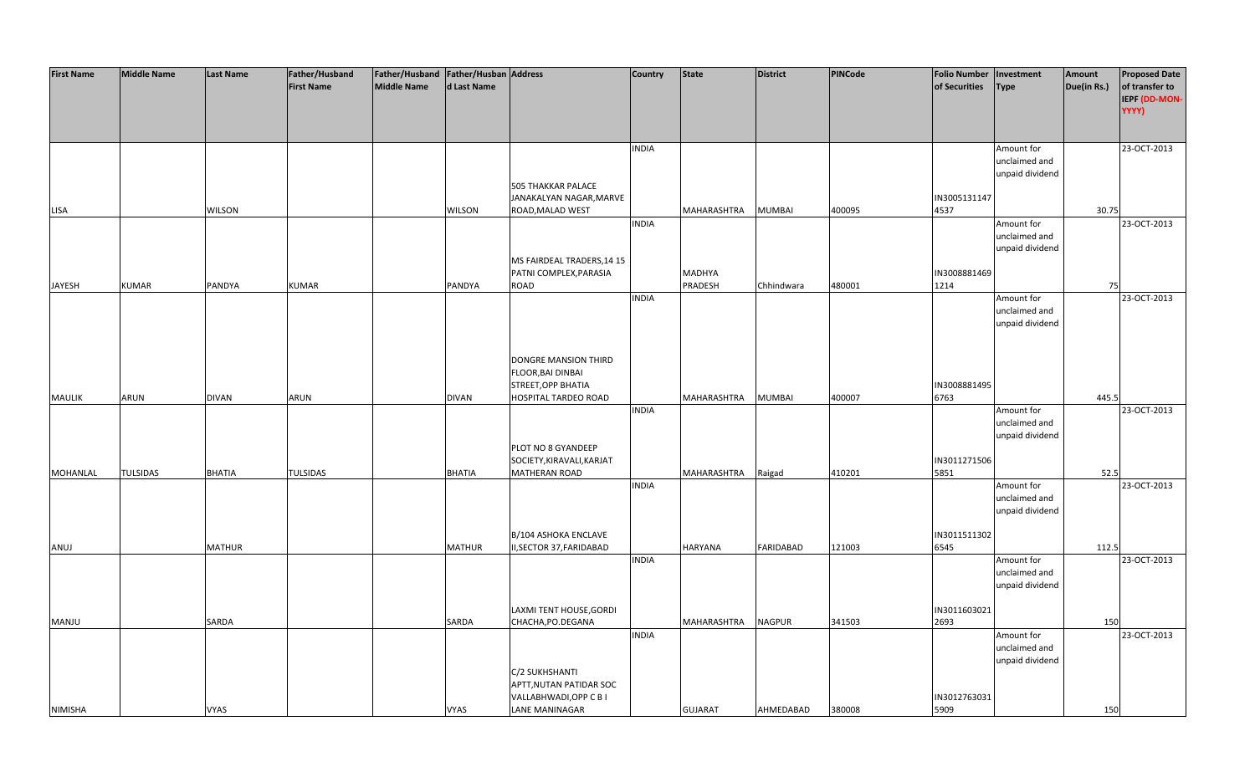| <b>First Name</b> | <b>Middle Name</b> | <b>Last Name</b> | Father/Husband    | Father/Husband   Father/Husban   Address |               |                            | <b>Country</b> | <b>State</b>   | <b>District</b>  | <b>PINCode</b> | <b>Folio Number</b> | Investment      | Amount      | <b>Proposed Date</b> |
|-------------------|--------------------|------------------|-------------------|------------------------------------------|---------------|----------------------------|----------------|----------------|------------------|----------------|---------------------|-----------------|-------------|----------------------|
|                   |                    |                  | <b>First Name</b> | <b>Middle Name</b>                       | d Last Name   |                            |                |                |                  |                | of Securities       | <b>Type</b>     | Due(in Rs.) | of transfer to       |
|                   |                    |                  |                   |                                          |               |                            |                |                |                  |                |                     |                 |             | IEPF (DD-MON-        |
|                   |                    |                  |                   |                                          |               |                            |                |                |                  |                |                     |                 |             | YYYY)                |
|                   |                    |                  |                   |                                          |               |                            |                |                |                  |                |                     |                 |             |                      |
|                   |                    |                  |                   |                                          |               |                            |                |                |                  |                |                     |                 |             |                      |
|                   |                    |                  |                   |                                          |               |                            | <b>INDIA</b>   |                |                  |                |                     | Amount for      |             | 23-OCT-2013          |
|                   |                    |                  |                   |                                          |               |                            |                |                |                  |                |                     | unclaimed and   |             |                      |
|                   |                    |                  |                   |                                          |               |                            |                |                |                  |                |                     | unpaid dividend |             |                      |
|                   |                    |                  |                   |                                          |               | <b>505 THAKKAR PALACE</b>  |                |                |                  |                |                     |                 |             |                      |
|                   |                    |                  |                   |                                          |               | JANAKALYAN NAGAR, MARVE    |                |                |                  |                | IN3005131147        |                 |             |                      |
| LISA              |                    | <b>WILSON</b>    |                   |                                          | <b>WILSON</b> | ROAD, MALAD WEST           |                | MAHARASHTRA    | <b>MUMBAI</b>    | 400095         | 4537                |                 | 30.75       |                      |
|                   |                    |                  |                   |                                          |               |                            | <b>INDIA</b>   |                |                  |                |                     | Amount for      |             | 23-OCT-2013          |
|                   |                    |                  |                   |                                          |               |                            |                |                |                  |                |                     | unclaimed and   |             |                      |
|                   |                    |                  |                   |                                          |               |                            |                |                |                  |                |                     | unpaid dividend |             |                      |
|                   |                    |                  |                   |                                          |               | MS FAIRDEAL TRADERS, 14 15 |                |                |                  |                |                     |                 |             |                      |
|                   |                    |                  |                   |                                          |               | PATNI COMPLEX, PARASIA     |                | MADHYA         |                  |                | IN3008881469        |                 |             |                      |
| <b>JAYESH</b>     | <b>KUMAR</b>       | PANDYA           | <b>KUMAR</b>      |                                          | PANDYA        | ROAD                       |                | PRADESH        | Chhindwara       | 480001         | 1214                |                 | 75          |                      |
|                   |                    |                  |                   |                                          |               |                            | <b>INDIA</b>   |                |                  |                |                     | Amount for      |             | 23-OCT-2013          |
|                   |                    |                  |                   |                                          |               |                            |                |                |                  |                |                     | unclaimed and   |             |                      |
|                   |                    |                  |                   |                                          |               |                            |                |                |                  |                |                     | unpaid dividend |             |                      |
|                   |                    |                  |                   |                                          |               |                            |                |                |                  |                |                     |                 |             |                      |
|                   |                    |                  |                   |                                          |               |                            |                |                |                  |                |                     |                 |             |                      |
|                   |                    |                  |                   |                                          |               | DONGRE MANSION THIRD       |                |                |                  |                |                     |                 |             |                      |
|                   |                    |                  |                   |                                          |               | FLOOR, BAI DINBAI          |                |                |                  |                |                     |                 |             |                      |
|                   |                    |                  |                   |                                          |               | STREET, OPP BHATIA         |                |                |                  |                | IN3008881495        |                 |             |                      |
| <b>MAULIK</b>     | <b>ARUN</b>        | <b>DIVAN</b>     | <b>ARUN</b>       |                                          | <b>DIVAN</b>  | HOSPITAL TARDEO ROAD       |                | MAHARASHTRA    | <b>MUMBAI</b>    | 400007         | 6763                |                 | 445.5       |                      |
|                   |                    |                  |                   |                                          |               |                            | <b>INDIA</b>   |                |                  |                |                     | Amount for      |             | 23-OCT-2013          |
|                   |                    |                  |                   |                                          |               |                            |                |                |                  |                |                     | unclaimed and   |             |                      |
|                   |                    |                  |                   |                                          |               |                            |                |                |                  |                |                     | unpaid dividend |             |                      |
|                   |                    |                  |                   |                                          |               | PLOT NO 8 GYANDEEP         |                |                |                  |                |                     |                 |             |                      |
|                   |                    |                  |                   |                                          |               | SOCIETY, KIRAVALI, KARJAT  |                |                |                  |                | IN3011271506        |                 |             |                      |
| <b>MOHANLAL</b>   | <b>TULSIDAS</b>    | <b>BHATIA</b>    | <b>TULSIDAS</b>   |                                          | <b>BHATIA</b> | <b>MATHERAN ROAD</b>       |                | MAHARASHTRA    | Raigad           | 410201         | 5851                |                 | 52.5        |                      |
|                   |                    |                  |                   |                                          |               |                            | <b>INDIA</b>   |                |                  |                |                     | Amount for      |             | 23-OCT-2013          |
|                   |                    |                  |                   |                                          |               |                            |                |                |                  |                |                     | unclaimed and   |             |                      |
|                   |                    |                  |                   |                                          |               |                            |                |                |                  |                |                     | unpaid dividend |             |                      |
|                   |                    |                  |                   |                                          |               |                            |                |                |                  |                |                     |                 |             |                      |
|                   |                    |                  |                   |                                          |               | B/104 ASHOKA ENCLAVE       |                |                |                  |                | IN3011511302        |                 |             |                      |
| ANUJ              |                    | <b>MATHUR</b>    |                   |                                          | <b>MATHUR</b> | II, SECTOR 37, FARIDABAD   |                | HARYANA        | <b>FARIDABAD</b> | 121003         | 6545                |                 | 112.5       |                      |
|                   |                    |                  |                   |                                          |               |                            | <b>INDIA</b>   |                |                  |                |                     | Amount for      |             | 23-OCT-2013          |
|                   |                    |                  |                   |                                          |               |                            |                |                |                  |                |                     | unclaimed and   |             |                      |
|                   |                    |                  |                   |                                          |               |                            |                |                |                  |                |                     | unpaid dividend |             |                      |
|                   |                    |                  |                   |                                          |               |                            |                |                |                  |                |                     |                 |             |                      |
|                   |                    |                  |                   |                                          |               | LAXMI TENT HOUSE, GORDI    |                |                |                  |                | IN3011603021        |                 |             |                      |
| <b>MANJU</b>      |                    | SARDA            |                   |                                          | SARDA         | CHACHA, PO. DEGANA         |                | MAHARASHTRA    | <b>NAGPUR</b>    | 341503         | 2693                |                 | 150         |                      |
|                   |                    |                  |                   |                                          |               |                            | <b>INDIA</b>   |                |                  |                |                     | Amount for      |             | 23-OCT-2013          |
|                   |                    |                  |                   |                                          |               |                            |                |                |                  |                |                     | unclaimed and   |             |                      |
|                   |                    |                  |                   |                                          |               |                            |                |                |                  |                |                     | unpaid dividend |             |                      |
|                   |                    |                  |                   |                                          |               | C/2 SUKHSHANTI             |                |                |                  |                |                     |                 |             |                      |
|                   |                    |                  |                   |                                          |               | APTT, NUTAN PATIDAR SOC    |                |                |                  |                |                     |                 |             |                      |
|                   |                    |                  |                   |                                          |               | VALLABHWADI, OPP C B I     |                |                |                  |                | IN3012763031        |                 |             |                      |
| <b>NIMISHA</b>    |                    | <b>VYAS</b>      |                   |                                          | <b>VYAS</b>   | <b>LANE MANINAGAR</b>      |                | <b>GUJARAT</b> | AHMEDABAD        | 380008         | 5909                |                 | 150         |                      |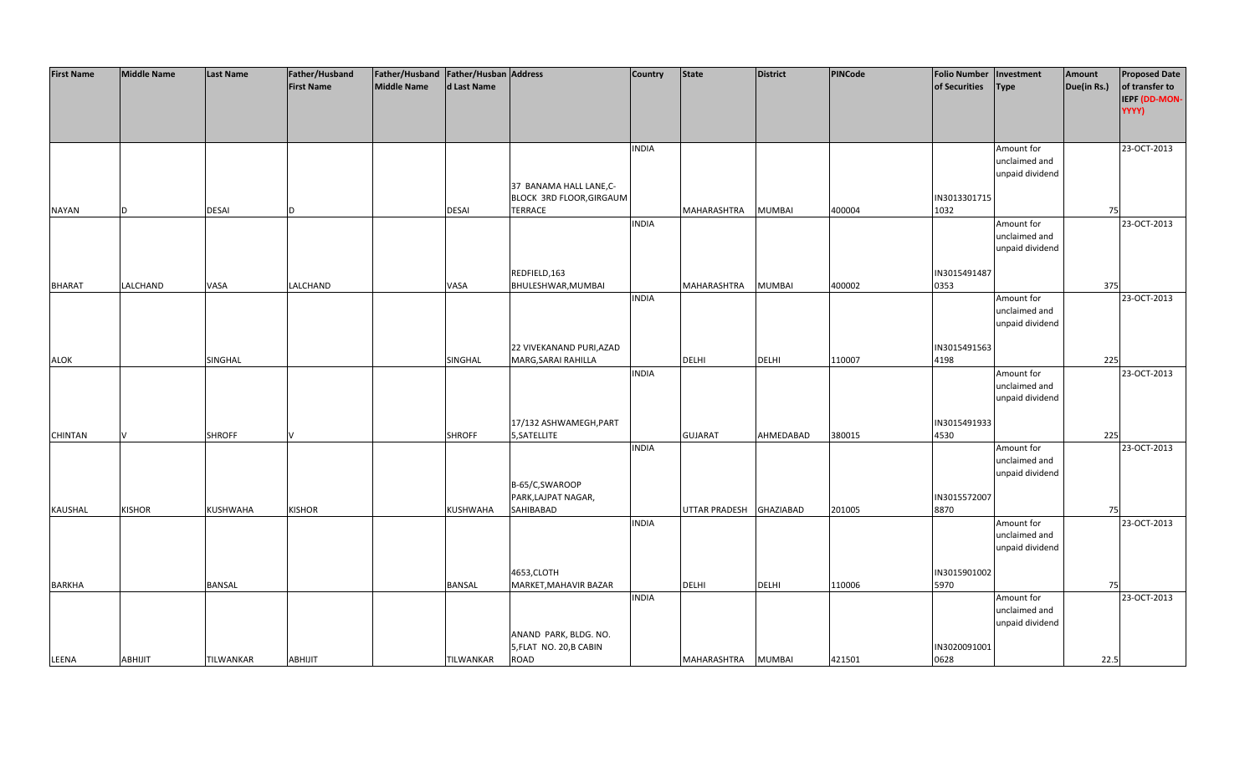| <b>First Name</b> | <b>Middle Name</b> | <b>Last Name</b> | Father/Husband    | Father/Husband Father/Husban Address |               |                          | <b>Country</b> | <b>State</b>   | <b>District</b>  | <b>PINCode</b> | <b>Folio Number</b> | Investment      | Amount      | <b>Proposed Date</b> |
|-------------------|--------------------|------------------|-------------------|--------------------------------------|---------------|--------------------------|----------------|----------------|------------------|----------------|---------------------|-----------------|-------------|----------------------|
|                   |                    |                  | <b>First Name</b> | <b>Middle Name</b>                   | d Last Name   |                          |                |                |                  |                | of Securities       | <b>Type</b>     | Due(in Rs.) | of transfer to       |
|                   |                    |                  |                   |                                      |               |                          |                |                |                  |                |                     |                 |             | IEPF (DD-MON-        |
|                   |                    |                  |                   |                                      |               |                          |                |                |                  |                |                     |                 |             | YYYY)                |
|                   |                    |                  |                   |                                      |               |                          |                |                |                  |                |                     |                 |             |                      |
|                   |                    |                  |                   |                                      |               |                          |                |                |                  |                |                     |                 |             |                      |
|                   |                    |                  |                   |                                      |               |                          | <b>INDIA</b>   |                |                  |                |                     | Amount for      |             | 23-OCT-2013          |
|                   |                    |                  |                   |                                      |               |                          |                |                |                  |                |                     | unclaimed and   |             |                      |
|                   |                    |                  |                   |                                      |               |                          |                |                |                  |                |                     |                 |             |                      |
|                   |                    |                  |                   |                                      |               |                          |                |                |                  |                |                     | unpaid dividend |             |                      |
|                   |                    |                  |                   |                                      |               | 37 BANAMA HALL LANE,C-   |                |                |                  |                |                     |                 |             |                      |
|                   |                    |                  |                   |                                      |               | BLOCK 3RD FLOOR, GIRGAUM |                |                |                  |                | IN3013301715        |                 |             |                      |
| <b>NAYAN</b>      | D                  | <b>DESAI</b>     | D.                |                                      | <b>DESAI</b>  | <b>TERRACE</b>           |                | MAHARASHTRA    | <b>MUMBAI</b>    | 400004         | 1032                |                 | 75          |                      |
|                   |                    |                  |                   |                                      |               |                          | <b>INDIA</b>   |                |                  |                |                     | Amount for      |             | 23-OCT-2013          |
|                   |                    |                  |                   |                                      |               |                          |                |                |                  |                |                     | unclaimed and   |             |                      |
|                   |                    |                  |                   |                                      |               |                          |                |                |                  |                |                     | unpaid dividend |             |                      |
|                   |                    |                  |                   |                                      |               |                          |                |                |                  |                |                     |                 |             |                      |
|                   |                    |                  |                   |                                      |               | REDFIELD, 163            |                |                |                  |                | IN3015491487        |                 |             |                      |
| <b>BHARAT</b>     | LALCHAND           | VASA             | LALCHAND          |                                      | VASA          | BHULESHWAR, MUMBAI       |                | MAHARASHTRA    | <b>MUMBAI</b>    | 400002         | 0353                |                 | 375         |                      |
|                   |                    |                  |                   |                                      |               |                          | <b>INDIA</b>   |                |                  |                |                     | Amount for      |             | 23-OCT-2013          |
|                   |                    |                  |                   |                                      |               |                          |                |                |                  |                |                     | unclaimed and   |             |                      |
|                   |                    |                  |                   |                                      |               |                          |                |                |                  |                |                     | unpaid dividend |             |                      |
|                   |                    |                  |                   |                                      |               |                          |                |                |                  |                |                     |                 |             |                      |
|                   |                    |                  |                   |                                      |               | 22 VIVEKANAND PURI, AZAD |                |                |                  |                | IN3015491563        |                 |             |                      |
| ALOK              |                    | SINGHAL          |                   |                                      | SINGHAL       | MARG, SARAI RAHILLA      |                | <b>DELHI</b>   | <b>DELHI</b>     | 110007         | 4198                |                 | 225         |                      |
|                   |                    |                  |                   |                                      |               |                          | <b>INDIA</b>   |                |                  |                |                     | Amount for      |             | 23-OCT-2013          |
|                   |                    |                  |                   |                                      |               |                          |                |                |                  |                |                     | unclaimed and   |             |                      |
|                   |                    |                  |                   |                                      |               |                          |                |                |                  |                |                     | unpaid dividend |             |                      |
|                   |                    |                  |                   |                                      |               |                          |                |                |                  |                |                     |                 |             |                      |
|                   |                    |                  |                   |                                      |               | 17/132 ASHWAMEGH, PART   |                |                |                  |                | IN3015491933        |                 |             |                      |
| <b>CHINTAN</b>    |                    | <b>SHROFF</b>    |                   |                                      | <b>SHROFF</b> | 5, SATELLITE             |                | <b>GUJARAT</b> | AHMEDABAD        | 380015         | 4530                |                 | 225         |                      |
|                   |                    |                  |                   |                                      |               |                          | <b>INDIA</b>   |                |                  |                |                     | Amount for      |             | 23-OCT-2013          |
|                   |                    |                  |                   |                                      |               |                          |                |                |                  |                |                     | unclaimed and   |             |                      |
|                   |                    |                  |                   |                                      |               |                          |                |                |                  |                |                     | unpaid dividend |             |                      |
|                   |                    |                  |                   |                                      |               | B-65/C,SWAROOP           |                |                |                  |                |                     |                 |             |                      |
|                   |                    |                  |                   |                                      |               | PARK, LAJPAT NAGAR,      |                |                |                  |                | IN3015572007        |                 |             |                      |
| <b>KAUSHAL</b>    | <b>KISHOR</b>      | <b>KUSHWAHA</b>  | <b>KISHOR</b>     |                                      | KUSHWAHA      | SAHIBABAD                |                | UTTAR PRADESH  | <b>GHAZIABAD</b> | 201005         | 8870                |                 | 75          |                      |
|                   |                    |                  |                   |                                      |               |                          | <b>INDIA</b>   |                |                  |                |                     | Amount for      |             | 23-OCT-2013          |
|                   |                    |                  |                   |                                      |               |                          |                |                |                  |                |                     | unclaimed and   |             |                      |
|                   |                    |                  |                   |                                      |               |                          |                |                |                  |                |                     | unpaid dividend |             |                      |
|                   |                    |                  |                   |                                      |               |                          |                |                |                  |                |                     |                 |             |                      |
|                   |                    |                  |                   |                                      |               | 4653,CLOTH               |                |                |                  |                | IN3015901002        |                 |             |                      |
| <b>BARKHA</b>     |                    | <b>BANSAL</b>    |                   |                                      | BANSAL        | MARKET, MAHAVIR BAZAR    |                | <b>DELHI</b>   | <b>DELHI</b>     | 110006         | 5970                |                 | 75          |                      |
|                   |                    |                  |                   |                                      |               |                          | <b>INDIA</b>   |                |                  |                |                     | Amount for      |             | 23-OCT-2013          |
|                   |                    |                  |                   |                                      |               |                          |                |                |                  |                |                     | unclaimed and   |             |                      |
|                   |                    |                  |                   |                                      |               |                          |                |                |                  |                |                     | unpaid dividend |             |                      |
|                   |                    |                  |                   |                                      |               | ANAND PARK, BLDG. NO.    |                |                |                  |                |                     |                 |             |                      |
|                   |                    |                  |                   |                                      |               | 5, FLAT NO. 20, B CABIN  |                |                |                  |                | IN3020091001        |                 |             |                      |
| LEENA             | <b>ABHIJIT</b>     | TILWANKAR        | <b>ABHIJIT</b>    |                                      | TILWANKAR     | <b>ROAD</b>              |                | MAHARASHTRA    | <b>MUMBAI</b>    | 421501         | 0628                |                 | 22.5        |                      |
|                   |                    |                  |                   |                                      |               |                          |                |                |                  |                |                     |                 |             |                      |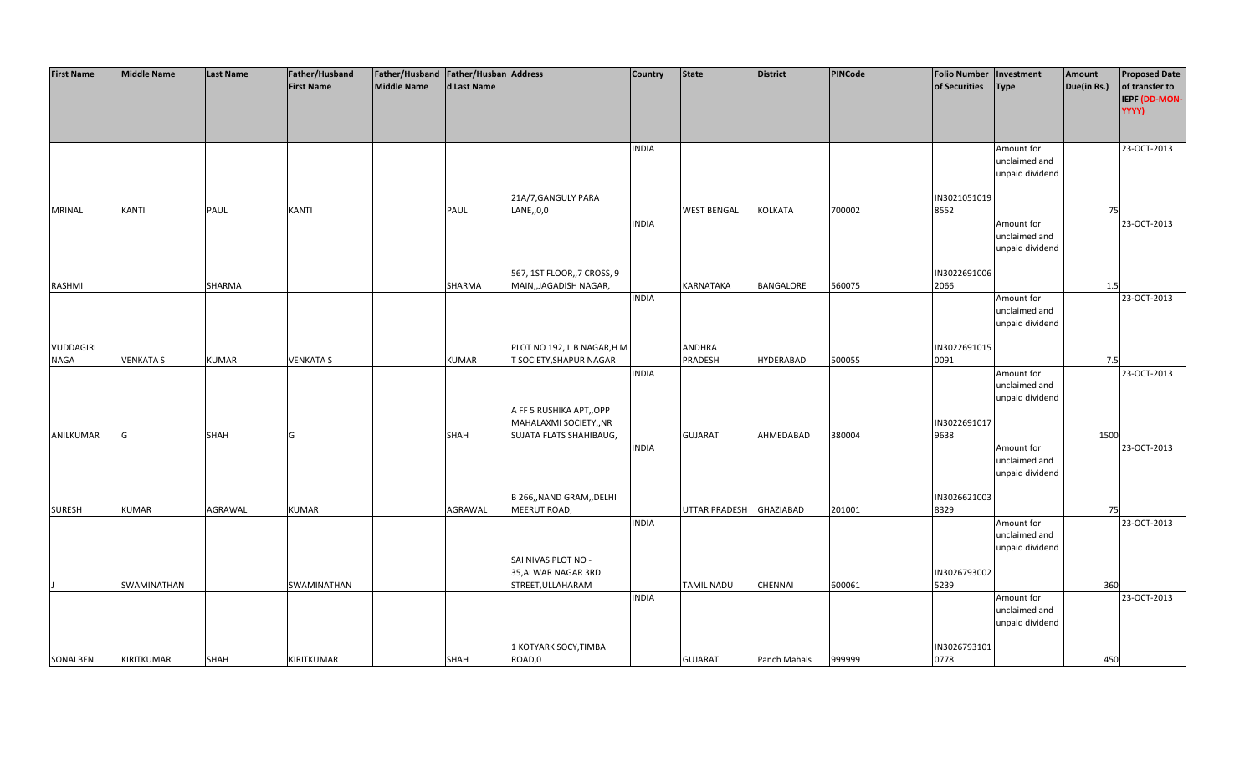| <b>First Name</b> | <b>Middle Name</b> | <b>Last Name</b> | Father/Husband    | Father/Husband Father/Husban Address |              |                             | <b>Country</b> | <b>State</b>       | <b>District</b>  | <b>PINCode</b> | <b>Folio Number</b> | Investment                  | Amount      | <b>Proposed Date</b> |
|-------------------|--------------------|------------------|-------------------|--------------------------------------|--------------|-----------------------------|----------------|--------------------|------------------|----------------|---------------------|-----------------------------|-------------|----------------------|
|                   |                    |                  | <b>First Name</b> | <b>Middle Name</b>                   | d Last Name  |                             |                |                    |                  |                | of Securities       | <b>Type</b>                 | Due(in Rs.) | of transfer to       |
|                   |                    |                  |                   |                                      |              |                             |                |                    |                  |                |                     |                             |             | IEPF (DD-MON-        |
|                   |                    |                  |                   |                                      |              |                             |                |                    |                  |                |                     |                             |             | YYYY)                |
|                   |                    |                  |                   |                                      |              |                             |                |                    |                  |                |                     |                             |             |                      |
|                   |                    |                  |                   |                                      |              |                             |                |                    |                  |                |                     |                             |             |                      |
|                   |                    |                  |                   |                                      |              |                             | <b>INDIA</b>   |                    |                  |                |                     |                             |             | 23-OCT-2013          |
|                   |                    |                  |                   |                                      |              |                             |                |                    |                  |                |                     | Amount for<br>unclaimed and |             |                      |
|                   |                    |                  |                   |                                      |              |                             |                |                    |                  |                |                     |                             |             |                      |
|                   |                    |                  |                   |                                      |              |                             |                |                    |                  |                |                     | unpaid dividend             |             |                      |
|                   |                    |                  |                   |                                      |              |                             |                |                    |                  |                |                     |                             |             |                      |
|                   |                    |                  |                   |                                      |              | 21A/7, GANGULY PARA         |                |                    |                  |                | IN3021051019        |                             |             |                      |
| <b>MRINAL</b>     | <b>KANTI</b>       | PAUL             | <b>KANTI</b>      |                                      | PAUL         | LANE,,0,0                   |                | <b>WEST BENGAL</b> | <b>KOLKATA</b>   | 700002         | 8552                |                             | 75          |                      |
|                   |                    |                  |                   |                                      |              |                             | <b>INDIA</b>   |                    |                  |                |                     | Amount for                  |             | 23-OCT-2013          |
|                   |                    |                  |                   |                                      |              |                             |                |                    |                  |                |                     | unclaimed and               |             |                      |
|                   |                    |                  |                   |                                      |              |                             |                |                    |                  |                |                     | unpaid dividend             |             |                      |
|                   |                    |                  |                   |                                      |              |                             |                |                    |                  |                |                     |                             |             |                      |
|                   |                    |                  |                   |                                      |              | 567, 1ST FLOOR,, 7 CROSS, 9 |                |                    |                  |                | IN3022691006        |                             |             |                      |
| RASHMI            |                    | SHARMA           |                   |                                      | SHARMA       | MAIN, JAGADISH NAGAR,       |                | KARNATAKA          | BANGALORE        | 560075         | 2066                |                             | 1.5         |                      |
|                   |                    |                  |                   |                                      |              |                             | <b>INDIA</b>   |                    |                  |                |                     | Amount for                  |             | 23-OCT-2013          |
|                   |                    |                  |                   |                                      |              |                             |                |                    |                  |                |                     | unclaimed and               |             |                      |
|                   |                    |                  |                   |                                      |              |                             |                |                    |                  |                |                     | unpaid dividend             |             |                      |
|                   |                    |                  |                   |                                      |              |                             |                |                    |                  |                |                     |                             |             |                      |
| VUDDAGIRI         |                    |                  |                   |                                      |              | PLOT NO 192, L B NAGAR, H M |                | <b>ANDHRA</b>      |                  |                | IN3022691015        |                             |             |                      |
| <b>NAGA</b>       | <b>VENKATA S</b>   | <b>KUMAR</b>     | <b>VENKATA S</b>  |                                      | <b>KUMAR</b> | T SOCIETY, SHAPUR NAGAR     |                | PRADESH            | <b>HYDERABAD</b> | 500055         | 0091                |                             | 7.5         |                      |
|                   |                    |                  |                   |                                      |              |                             | <b>INDIA</b>   |                    |                  |                |                     | Amount for                  |             | 23-OCT-2013          |
|                   |                    |                  |                   |                                      |              |                             |                |                    |                  |                |                     | unclaimed and               |             |                      |
|                   |                    |                  |                   |                                      |              |                             |                |                    |                  |                |                     | unpaid dividend             |             |                      |
|                   |                    |                  |                   |                                      |              | A FF 5 RUSHIKA APT,, OPP    |                |                    |                  |                |                     |                             |             |                      |
|                   |                    |                  |                   |                                      |              | MAHALAXMI SOCIETY,, NR      |                |                    |                  |                | IN3022691017        |                             |             |                      |
| ANILKUMAR         | G                  | <b>SHAH</b>      | G                 |                                      | <b>SHAH</b>  | SUJATA FLATS SHAHIBAUG,     |                | <b>GUJARAT</b>     | AHMEDABAD        | 380004         | 9638                |                             | 1500        |                      |
|                   |                    |                  |                   |                                      |              |                             | <b>INDIA</b>   |                    |                  |                |                     | Amount for                  |             | 23-OCT-2013          |
|                   |                    |                  |                   |                                      |              |                             |                |                    |                  |                |                     | unclaimed and               |             |                      |
|                   |                    |                  |                   |                                      |              |                             |                |                    |                  |                |                     | unpaid dividend             |             |                      |
|                   |                    |                  |                   |                                      |              |                             |                |                    |                  |                |                     |                             |             |                      |
|                   |                    |                  |                   |                                      |              | B 266,, NAND GRAM,, DELHI   |                |                    |                  |                | IN3026621003        |                             |             |                      |
| <b>SURESH</b>     | <b>KUMAR</b>       | AGRAWAL          | <b>KUMAR</b>      |                                      | AGRAWAL      | MEERUT ROAD,                |                | UTTAR PRADESH      | <b>GHAZIABAD</b> | 201001         | 8329                |                             | 75          |                      |
|                   |                    |                  |                   |                                      |              |                             | <b>INDIA</b>   |                    |                  |                |                     | Amount for                  |             | 23-OCT-2013          |
|                   |                    |                  |                   |                                      |              |                             |                |                    |                  |                |                     | unclaimed and               |             |                      |
|                   |                    |                  |                   |                                      |              |                             |                |                    |                  |                |                     | unpaid dividend             |             |                      |
|                   |                    |                  |                   |                                      |              | SAI NIVAS PLOT NO -         |                |                    |                  |                |                     |                             |             |                      |
|                   |                    |                  |                   |                                      |              | 35, ALWAR NAGAR 3RD         |                |                    |                  |                | IN3026793002        |                             |             |                      |
|                   | SWAMINATHAN        |                  | SWAMINATHAN       |                                      |              | STREET, ULLAHARAM           |                | <b>TAMIL NADU</b>  | <b>CHENNAI</b>   | 600061         | 5239                |                             | 360         |                      |
|                   |                    |                  |                   |                                      |              |                             | <b>INDIA</b>   |                    |                  |                |                     | Amount for                  |             | 23-OCT-2013          |
|                   |                    |                  |                   |                                      |              |                             |                |                    |                  |                |                     | unclaimed and               |             |                      |
|                   |                    |                  |                   |                                      |              |                             |                |                    |                  |                |                     | unpaid dividend             |             |                      |
|                   |                    |                  |                   |                                      |              |                             |                |                    |                  |                |                     |                             |             |                      |
|                   |                    |                  |                   |                                      |              | L KOTYARK SOCY,TIMBA        |                |                    |                  |                | IN3026793101        |                             |             |                      |
| SONALBEN          | <b>KIRITKUMAR</b>  | <b>SHAH</b>      | KIRITKUMAR        |                                      | <b>SHAH</b>  | ROAD,0                      |                | <b>GUJARAT</b>     | Panch Mahals     | 999999         | 0778                |                             | 450         |                      |
|                   |                    |                  |                   |                                      |              |                             |                |                    |                  |                |                     |                             |             |                      |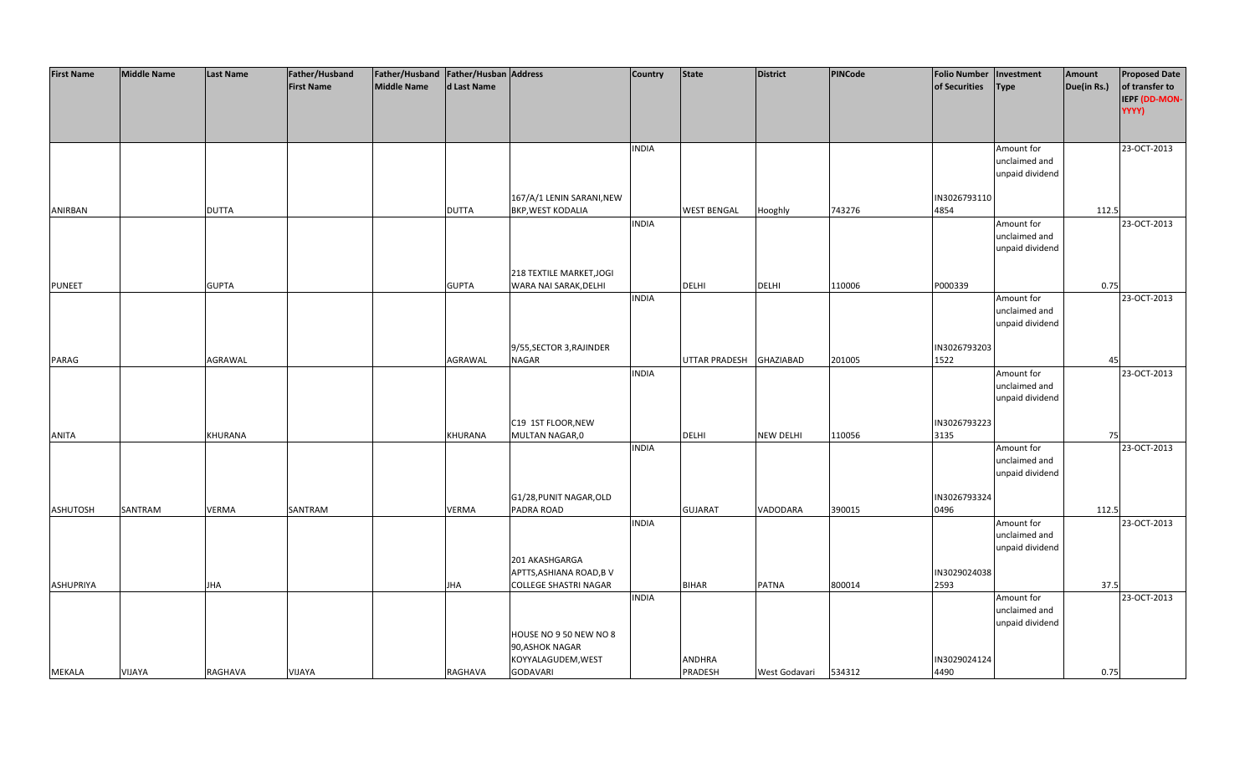| <b>First Name</b> | <b>Middle Name</b> | <b>Last Name</b> | Father/Husband    | Father/Husband Father/Husban Address |              |                                                          | <b>Country</b> | State                   | <b>District</b>  | PINCode | <b>Folio Number</b>  | Investment                                     | Amount      | <b>Proposed Date</b>                     |
|-------------------|--------------------|------------------|-------------------|--------------------------------------|--------------|----------------------------------------------------------|----------------|-------------------------|------------------|---------|----------------------|------------------------------------------------|-------------|------------------------------------------|
|                   |                    |                  | <b>First Name</b> | Middle Name                          | d Last Name  |                                                          |                |                         |                  |         | of Securities        | <b>Type</b>                                    | Due(in Rs.) | of transfer to<br>IEPF (DD-MON-<br>YYYY) |
|                   |                    |                  |                   |                                      |              |                                                          | <b>INDIA</b>   |                         |                  |         |                      | Amount for<br>unclaimed and<br>unpaid dividend |             | 23-OCT-2013                              |
| ANIRBAN           |                    | <b>DUTTA</b>     |                   |                                      | <b>DUTTA</b> | 167/A/1 LENIN SARANI, NEW<br><b>BKP, WEST KODALIA</b>    |                | <b>WEST BENGAL</b>      | Hooghly          | 743276  | IN3026793110<br>4854 |                                                | 112.5       |                                          |
|                   |                    |                  |                   |                                      |              |                                                          | <b>INDIA</b>   |                         |                  |         |                      | Amount for<br>unclaimed and<br>unpaid dividend |             | 23-OCT-2013                              |
| <b>PUNEET</b>     |                    | <b>GUPTA</b>     |                   |                                      | <b>GUPTA</b> | 218 TEXTILE MARKET, JOGI<br>WARA NAI SARAK, DELHI        |                | <b>DELHI</b>            | <b>DELHI</b>     | 110006  | P000339              |                                                | 0.75        |                                          |
|                   |                    |                  |                   |                                      |              |                                                          | <b>INDIA</b>   |                         |                  |         |                      | Amount for<br>unclaimed and<br>unpaid dividend |             | 23-OCT-2013                              |
| PARAG             |                    | AGRAWAL          |                   |                                      | AGRAWAL      | 9/55, SECTOR 3, RAJINDER<br><b>NAGAR</b>                 |                | UTTAR PRADESH GHAZIABAD |                  | 201005  | IN3026793203<br>1522 |                                                | 45          |                                          |
|                   |                    |                  |                   |                                      |              |                                                          | <b>INDIA</b>   |                         |                  |         |                      | Amount for<br>unclaimed and<br>unpaid dividend |             | 23-OCT-2013                              |
| <b>ANITA</b>      |                    | KHURANA          |                   |                                      | KHURANA      | C19 1ST FLOOR, NEW<br>MULTAN NAGAR,0                     |                | <b>DELHI</b>            | <b>NEW DELHI</b> | 110056  | IN3026793223<br>3135 |                                                | 75          |                                          |
|                   |                    |                  |                   |                                      |              |                                                          | <b>INDIA</b>   |                         |                  |         |                      | Amount for<br>unclaimed and<br>unpaid dividend |             | 23-OCT-2013                              |
| <b>ASHUTOSH</b>   | SANTRAM            | <b>VERMA</b>     | SANTRAM           |                                      | VERMA        | G1/28, PUNIT NAGAR, OLD<br>PADRA ROAD                    |                | <b>GUJARAT</b>          | VADODARA         | 390015  | IN3026793324<br>0496 |                                                | 112.5       |                                          |
|                   |                    |                  |                   |                                      |              |                                                          | <b>INDIA</b>   |                         |                  |         |                      | Amount for<br>unclaimed and<br>unpaid dividend |             | 23-OCT-2013                              |
|                   |                    |                  |                   |                                      |              | 201 AKASHGARGA<br>APTTS, ASHIANA ROAD, B V               |                |                         |                  |         | IN3029024038         |                                                |             |                                          |
| <b>ASHUPRIYA</b>  |                    | <b>JHA</b>       |                   |                                      | JHA          | <b>COLLEGE SHASTRI NAGAR</b>                             | <b>INDIA</b>   | <b>BIHAR</b>            | <b>PATNA</b>     | 800014  | 2593                 | Amount for                                     | 37.5        | 23-OCT-2013                              |
|                   |                    |                  |                   |                                      |              | HOUSE NO 9 50 NEW NO 8                                   |                |                         |                  |         |                      | unclaimed and<br>unpaid dividend               |             |                                          |
| <b>MEKALA</b>     | VIJAYA             | RAGHAVA          | <b>VIJAYA</b>     |                                      | RAGHAVA      | 90, ASHOK NAGAR<br>KOYYALAGUDEM, WEST<br><b>GODAVARI</b> |                | ANDHRA<br>PRADESH       | West Godavari    | 534312  | IN3029024124<br>4490 |                                                | 0.75        |                                          |
|                   |                    |                  |                   |                                      |              |                                                          |                |                         |                  |         |                      |                                                |             |                                          |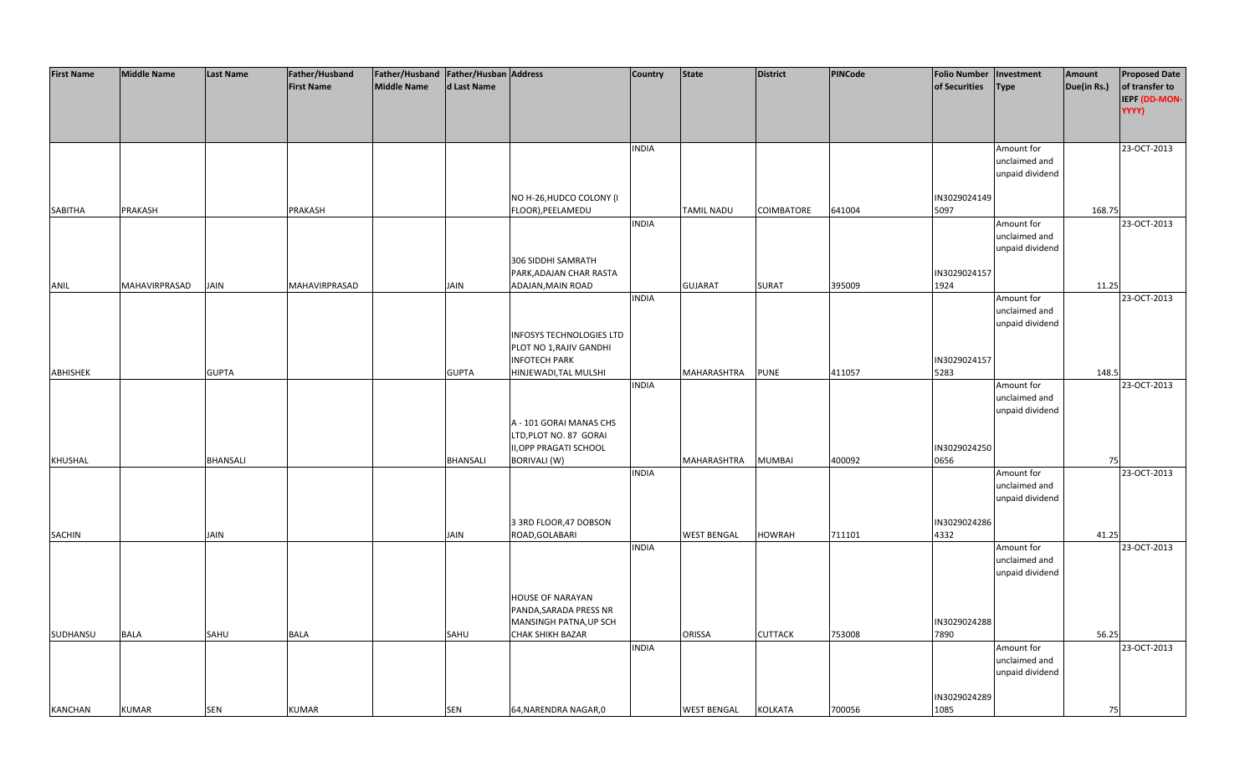| <b>First Name</b> | <b>Middle Name</b> | <b>Last Name</b> | Father/Husband    | Father/Husband   Father/Husban   Address |              |                                                   | Country      | <b>State</b>       | <b>District</b>   | <b>PINCode</b> | <b>Folio Number</b>  | Investment                       | Amount      | <b>Proposed Date</b>                     |
|-------------------|--------------------|------------------|-------------------|------------------------------------------|--------------|---------------------------------------------------|--------------|--------------------|-------------------|----------------|----------------------|----------------------------------|-------------|------------------------------------------|
|                   |                    |                  | <b>First Name</b> | <b>Middle Name</b>                       | d Last Name  |                                                   |              |                    |                   |                | of Securities        | <b>Type</b>                      | Due(in Rs.) | of transfer to<br>IEPF (DD-MON-<br>YYYY) |
|                   |                    |                  |                   |                                          |              |                                                   |              |                    |                   |                |                      |                                  |             |                                          |
|                   |                    |                  |                   |                                          |              |                                                   | <b>INDIA</b> |                    |                   |                |                      | Amount for                       |             | 23-OCT-2013                              |
|                   |                    |                  |                   |                                          |              |                                                   |              |                    |                   |                |                      | unclaimed and                    |             |                                          |
|                   |                    |                  |                   |                                          |              |                                                   |              |                    |                   |                |                      | unpaid dividend                  |             |                                          |
|                   |                    |                  |                   |                                          |              | NO H-26, HUDCO COLONY (I                          |              |                    |                   |                | IN3029024149         |                                  |             |                                          |
| SABITHA           | PRAKASH            |                  | PRAKASH           |                                          |              | FLOOR), PEELAMEDU                                 |              | <b>TAMIL NADU</b>  | <b>COIMBATORE</b> | 641004         | 5097                 |                                  | 168.75      |                                          |
|                   |                    |                  |                   |                                          |              |                                                   | <b>INDIA</b> |                    |                   |                |                      | Amount for                       |             | 23-OCT-2013                              |
|                   |                    |                  |                   |                                          |              |                                                   |              |                    |                   |                |                      | unclaimed and<br>unpaid dividend |             |                                          |
|                   |                    |                  |                   |                                          |              | 306 SIDDHI SAMRATH                                |              |                    |                   |                |                      |                                  |             |                                          |
|                   |                    |                  |                   |                                          |              | PARK, ADAJAN CHAR RASTA                           |              |                    |                   |                | IN3029024157         |                                  |             |                                          |
| ANIL              | MAHAVIRPRASAD      | JAIN             | MAHAVIRPRASAD     |                                          | JAIN         | ADAJAN, MAIN ROAD                                 |              | <b>GUJARAT</b>     | <b>SURAT</b>      | 395009         | 1924                 |                                  | 11.25       |                                          |
|                   |                    |                  |                   |                                          |              |                                                   | <b>INDIA</b> |                    |                   |                |                      | Amount for<br>unclaimed and      |             | 23-OCT-2013                              |
|                   |                    |                  |                   |                                          |              |                                                   |              |                    |                   |                |                      | unpaid dividend                  |             |                                          |
|                   |                    |                  |                   |                                          |              | INFOSYS TECHNOLOGIES LTD                          |              |                    |                   |                |                      |                                  |             |                                          |
|                   |                    |                  |                   |                                          |              | PLOT NO 1, RAJIV GANDHI                           |              |                    |                   |                |                      |                                  |             |                                          |
|                   |                    |                  |                   |                                          |              | <b>INFOTECH PARK</b>                              |              | MAHARASHTRA        |                   | 411057         | IN3029024157<br>5283 |                                  |             |                                          |
| ABHISHEK          |                    | <b>GUPTA</b>     |                   |                                          | <b>GUPTA</b> | HINJEWADI, TAL MULSHI                             | <b>INDIA</b> |                    | <b>PUNE</b>       |                |                      | Amount for                       | 148.5       | 23-OCT-2013                              |
|                   |                    |                  |                   |                                          |              |                                                   |              |                    |                   |                |                      | unclaimed and                    |             |                                          |
|                   |                    |                  |                   |                                          |              |                                                   |              |                    |                   |                |                      | unpaid dividend                  |             |                                          |
|                   |                    |                  |                   |                                          |              | A - 101 GORAI MANAS CHS                           |              |                    |                   |                |                      |                                  |             |                                          |
|                   |                    |                  |                   |                                          |              | LTD, PLOT NO. 87 GORAI<br>II, OPP PRAGATI SCHOOL  |              |                    |                   |                | IN3029024250         |                                  |             |                                          |
| KHUSHAL           |                    | BHANSALI         |                   |                                          | BHANSALI     | BORIVALI (W)                                      |              | MAHARASHTRA        | <b>MUMBAI</b>     | 400092         | 0656                 |                                  | 75          |                                          |
|                   |                    |                  |                   |                                          |              |                                                   | <b>INDIA</b> |                    |                   |                |                      | Amount for                       |             | 23-OCT-2013                              |
|                   |                    |                  |                   |                                          |              |                                                   |              |                    |                   |                |                      | unclaimed and                    |             |                                          |
|                   |                    |                  |                   |                                          |              |                                                   |              |                    |                   |                |                      | unpaid dividend                  |             |                                          |
|                   |                    |                  |                   |                                          |              | 3 3RD FLOOR, 47 DOBSON                            |              |                    |                   |                | IN3029024286         |                                  |             |                                          |
| SACHIN            |                    | JAIN             |                   |                                          | JAIN         | ROAD, GOLABARI                                    |              | <b>WEST BENGAL</b> | HOWRAH            | 711101         | 4332                 |                                  | 41.25       |                                          |
|                   |                    |                  |                   |                                          |              |                                                   | <b>INDIA</b> |                    |                   |                |                      | Amount for                       |             | 23-OCT-2013                              |
|                   |                    |                  |                   |                                          |              |                                                   |              |                    |                   |                |                      | unclaimed and<br>unpaid dividend |             |                                          |
|                   |                    |                  |                   |                                          |              |                                                   |              |                    |                   |                |                      |                                  |             |                                          |
|                   |                    |                  |                   |                                          |              | <b>HOUSE OF NARAYAN</b>                           |              |                    |                   |                |                      |                                  |             |                                          |
|                   |                    |                  |                   |                                          |              | PANDA, SARADA PRESS NR                            |              |                    |                   |                |                      |                                  |             |                                          |
| SUDHANSU          | <b>BALA</b>        | SAHU             | <b>BALA</b>       |                                          | SAHU         | MANSINGH PATNA, UP SCH<br><b>CHAK SHIKH BAZAR</b> |              | <b>ORISSA</b>      | <b>CUTTACK</b>    | 753008         | IN3029024288<br>7890 |                                  | 56.25       |                                          |
|                   |                    |                  |                   |                                          |              |                                                   | <b>INDIA</b> |                    |                   |                |                      | Amount for                       |             | 23-OCT-2013                              |
|                   |                    |                  |                   |                                          |              |                                                   |              |                    |                   |                |                      | unclaimed and                    |             |                                          |
|                   |                    |                  |                   |                                          |              |                                                   |              |                    |                   |                |                      | unpaid dividend                  |             |                                          |
|                   |                    |                  |                   |                                          |              |                                                   |              |                    |                   |                | IN3029024289         |                                  |             |                                          |
| <b>KANCHAN</b>    | <b>KUMAR</b>       | <b>SEN</b>       | <b>KUMAR</b>      |                                          | SEN          | 64, NARENDRA NAGAR, 0                             |              | <b>WEST BENGAL</b> | <b>KOLKATA</b>    | 700056         | 1085                 |                                  | 75          |                                          |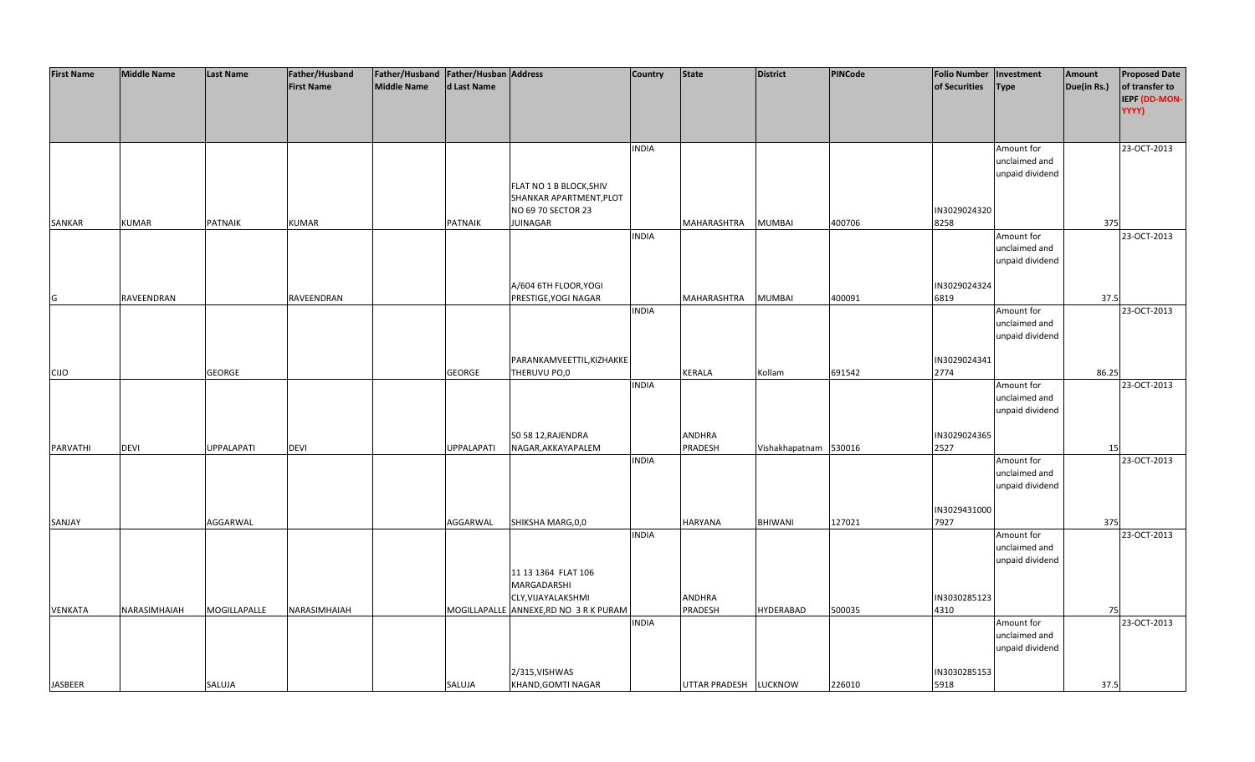| <b>First Name</b> | <b>Middle Name</b> | <b>Last Name</b>  | Father/Husband    | Father/Husband   Father/Husban   Address |                   |                                                                          | <b>Country</b> | <b>State</b>             | <b>District</b>       | <b>PINCode</b> | <b>Folio Number</b>  | Investment                                     | Amount      | <b>Proposed Date</b>                     |
|-------------------|--------------------|-------------------|-------------------|------------------------------------------|-------------------|--------------------------------------------------------------------------|----------------|--------------------------|-----------------------|----------------|----------------------|------------------------------------------------|-------------|------------------------------------------|
|                   |                    |                   | <b>First Name</b> | <b>Middle Name</b>                       | d Last Name       |                                                                          |                |                          |                       |                | of Securities        | <b>Type</b>                                    | Due(in Rs.) | of transfer to<br>IEPF (DD-MON-<br>YYYY) |
|                   |                    |                   |                   |                                          |                   |                                                                          | <b>INDIA</b>   |                          |                       |                |                      | Amount for<br>unclaimed and<br>unpaid dividend |             | 23-OCT-2013                              |
|                   |                    |                   |                   |                                          |                   | FLAT NO 1 B BLOCK, SHIV<br>SHANKAR APARTMENT, PLOT<br>NO 69 70 SECTOR 23 |                |                          |                       |                | IN3029024320         |                                                |             |                                          |
| SANKAR            | <b>KUMAR</b>       | PATNAIK           | <b>KUMAR</b>      |                                          | PATNAIK           | JUINAGAR                                                                 |                | MAHARASHTRA              | <b>MUMBAI</b>         | 400706         | 8258                 |                                                | 375         |                                          |
|                   |                    |                   |                   |                                          |                   |                                                                          | <b>INDIA</b>   |                          |                       |                |                      | Amount for<br>unclaimed and<br>unpaid dividend |             | 23-OCT-2013                              |
| G                 | RAVEENDRAN         |                   | RAVEENDRAN        |                                          |                   | A/604 6TH FLOOR, YOGI<br>PRESTIGE, YOGI NAGAR                            |                | MAHARASHTRA              | <b>MUMBAI</b>         | 400091         | IN3029024324<br>6819 |                                                | 37.5        |                                          |
|                   |                    |                   |                   |                                          |                   |                                                                          | <b>INDIA</b>   |                          |                       |                |                      | Amount for<br>unclaimed and<br>unpaid dividend |             | 23-OCT-2013                              |
| <b>CIJO</b>       |                    | <b>GEORGE</b>     |                   |                                          | <b>GEORGE</b>     | PARANKAMVEETTIL, KIZHAKKE<br>THERUVU PO,0                                |                | <b>KERALA</b>            | Kollam                | 691542         | IN3029024341<br>2774 |                                                | 86.25       |                                          |
|                   |                    |                   |                   |                                          |                   |                                                                          | <b>INDIA</b>   |                          |                       |                |                      | Amount for<br>unclaimed and<br>unpaid dividend |             | 23-OCT-2013                              |
| <b>PARVATHI</b>   | <b>DEVI</b>        | <b>UPPALAPATI</b> | DEVI              |                                          | <b>UPPALAPATI</b> | 50 58 12, RAJENDRA<br>NAGAR, AKKAYAPALEM                                 |                | <b>ANDHRA</b><br>PRADESH | Vishakhapatnam 530016 |                | IN3029024365<br>2527 |                                                | 15          |                                          |
|                   |                    |                   |                   |                                          |                   |                                                                          | <b>INDIA</b>   |                          |                       |                |                      | Amount for<br>unclaimed and<br>unpaid dividend |             | 23-OCT-2013                              |
| SANJAY            |                    | AGGARWAL          |                   |                                          | AGGARWAL          | SHIKSHA MARG, 0,0                                                        |                | <b>HARYANA</b>           | <b>BHIWANI</b>        | 127021         | IN3029431000<br>7927 |                                                | 375         |                                          |
|                   |                    |                   |                   |                                          |                   |                                                                          | <b>INDIA</b>   |                          |                       |                |                      | Amount for<br>unclaimed and<br>unpaid dividend |             | 23-OCT-2013                              |
|                   |                    |                   |                   |                                          |                   | 11 13 1364 FLAT 106<br>MARGADARSHI<br>CLY, VIJAYALAKSHMI                 |                | ANDHRA                   |                       |                | IN3030285123         |                                                |             |                                          |
| VENKATA           | NARASIMHAIAH       | MOGILLAPALLE      | NARASIMHAIAH      |                                          |                   | MOGILLAPALLE ANNEXE, RD NO 3 R K PURAM                                   |                | PRADESH                  | <b>HYDERABAD</b>      | 500035         | 4310                 |                                                | 75          |                                          |
|                   |                    |                   |                   |                                          |                   |                                                                          | <b>INDIA</b>   |                          |                       |                |                      | Amount for<br>unclaimed and<br>unpaid dividend |             | 23-OCT-2013                              |
| <b>JASBEER</b>    |                    | SALUJA            |                   |                                          | SALUJA            | 2/315, VISHWAS<br>KHAND, GOMTI NAGAR                                     |                | UTTAR PRADESH LUCKNOW    |                       | 226010         | IN3030285153<br>5918 |                                                | 37.5        |                                          |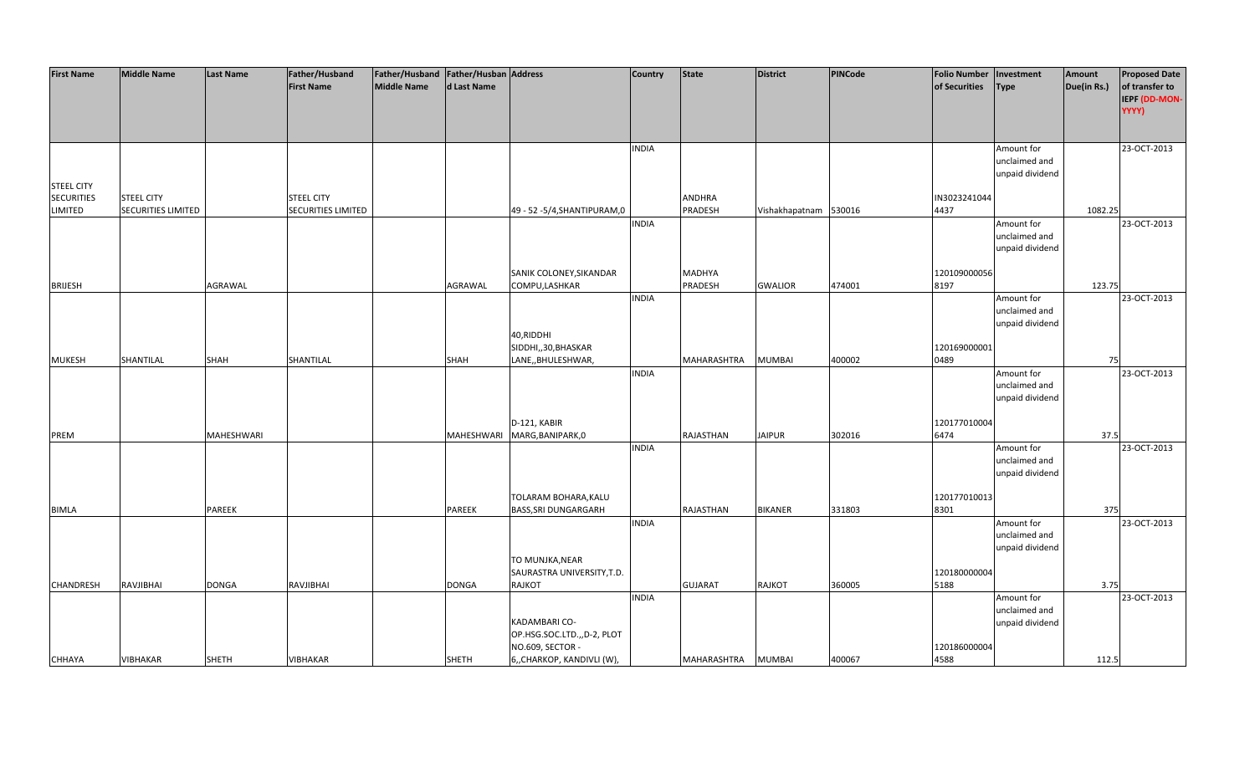| <b>First Name</b> | <b>Middle Name</b>        | <b>Last Name</b> | Father/Husband     | Father/Husband Father/Husban Address |               |                               | <b>Country</b> | <b>State</b>       | <b>District</b>       | <b>PINCode</b> | <b>Folio Number</b> | Investment      | Amount      | <b>Proposed Date</b> |
|-------------------|---------------------------|------------------|--------------------|--------------------------------------|---------------|-------------------------------|----------------|--------------------|-----------------------|----------------|---------------------|-----------------|-------------|----------------------|
|                   |                           |                  | <b>First Name</b>  | <b>Middle Name</b>                   | d Last Name   |                               |                |                    |                       |                | of Securities       | <b>Type</b>     | Due(in Rs.) | of transfer to       |
|                   |                           |                  |                    |                                      |               |                               |                |                    |                       |                |                     |                 |             |                      |
|                   |                           |                  |                    |                                      |               |                               |                |                    |                       |                |                     |                 |             | IEPF (DD-MON-        |
|                   |                           |                  |                    |                                      |               |                               |                |                    |                       |                |                     |                 |             | YYYY)                |
|                   |                           |                  |                    |                                      |               |                               |                |                    |                       |                |                     |                 |             |                      |
|                   |                           |                  |                    |                                      |               |                               |                |                    |                       |                |                     |                 |             |                      |
|                   |                           |                  |                    |                                      |               |                               | <b>INDIA</b>   |                    |                       |                |                     | Amount for      |             | 23-OCT-2013          |
|                   |                           |                  |                    |                                      |               |                               |                |                    |                       |                |                     | unclaimed and   |             |                      |
|                   |                           |                  |                    |                                      |               |                               |                |                    |                       |                |                     | unpaid dividend |             |                      |
| <b>STEEL CITY</b> |                           |                  |                    |                                      |               |                               |                |                    |                       |                |                     |                 |             |                      |
| <b>SECURITIES</b> | <b>STEEL CITY</b>         |                  | <b>STEEL CITY</b>  |                                      |               |                               |                | ANDHRA             |                       |                | IN3023241044        |                 |             |                      |
| LIMITED           | <b>SECURITIES LIMITED</b> |                  | SECURITIES LIMITED |                                      |               | 49 - 52 - 5/4, SHANTIPURAM, 0 |                | PRADESH            | Vishakhapatnam 530016 |                | 4437                |                 | 1082.25     |                      |
|                   |                           |                  |                    |                                      |               |                               | <b>INDIA</b>   |                    |                       |                |                     |                 |             | 23-OCT-2013          |
|                   |                           |                  |                    |                                      |               |                               |                |                    |                       |                |                     | Amount for      |             |                      |
|                   |                           |                  |                    |                                      |               |                               |                |                    |                       |                |                     | unclaimed and   |             |                      |
|                   |                           |                  |                    |                                      |               |                               |                |                    |                       |                |                     | unpaid dividend |             |                      |
|                   |                           |                  |                    |                                      |               |                               |                |                    |                       |                |                     |                 |             |                      |
|                   |                           |                  |                    |                                      |               | SANIK COLONEY, SIKANDAR       |                | <b>MADHYA</b>      |                       |                | 120109000056        |                 |             |                      |
| <b>BRIJESH</b>    |                           | AGRAWAL          |                    |                                      | AGRAWAL       | COMPU, LASHKAR                |                | PRADESH            | <b>GWALIOR</b>        | 474001         | 8197                |                 | 123.75      |                      |
|                   |                           |                  |                    |                                      |               |                               | <b>INDIA</b>   |                    |                       |                |                     | Amount for      |             | 23-OCT-2013          |
|                   |                           |                  |                    |                                      |               |                               |                |                    |                       |                |                     | unclaimed and   |             |                      |
|                   |                           |                  |                    |                                      |               |                               |                |                    |                       |                |                     | unpaid dividend |             |                      |
|                   |                           |                  |                    |                                      |               | 40, RIDDHI                    |                |                    |                       |                |                     |                 |             |                      |
|                   |                           |                  |                    |                                      |               |                               |                |                    |                       |                |                     |                 |             |                      |
|                   |                           |                  |                    |                                      |               | SIDDHI,,30,BHASKAR            |                |                    |                       |                | 120169000001        |                 |             |                      |
| <b>MUKESH</b>     | SHANTILAL                 | SHAH             | SHANTILAL          |                                      | <b>SHAH</b>   | LANE,, BHULESHWAR,            |                | MAHARASHTRA        | <b>MUMBAI</b>         | 400002         | 0489                |                 | 75          |                      |
|                   |                           |                  |                    |                                      |               |                               | <b>INDIA</b>   |                    |                       |                |                     | Amount for      |             | 23-OCT-2013          |
|                   |                           |                  |                    |                                      |               |                               |                |                    |                       |                |                     | unclaimed and   |             |                      |
|                   |                           |                  |                    |                                      |               |                               |                |                    |                       |                |                     | unpaid dividend |             |                      |
|                   |                           |                  |                    |                                      |               |                               |                |                    |                       |                |                     |                 |             |                      |
|                   |                           |                  |                    |                                      |               | D-121, KABIR                  |                |                    |                       |                | 120177010004        |                 |             |                      |
| PREM              |                           | MAHESHWARI       |                    |                                      |               | MAHESHWARI MARG, BANIPARK, 0  |                | RAJASTHAN          | <b>JAIPUR</b>         | 302016         | 6474                |                 | 37.5        |                      |
|                   |                           |                  |                    |                                      |               |                               | <b>INDIA</b>   |                    |                       |                |                     | Amount for      |             | 23-OCT-2013          |
|                   |                           |                  |                    |                                      |               |                               |                |                    |                       |                |                     | unclaimed and   |             |                      |
|                   |                           |                  |                    |                                      |               |                               |                |                    |                       |                |                     |                 |             |                      |
|                   |                           |                  |                    |                                      |               |                               |                |                    |                       |                |                     | unpaid dividend |             |                      |
|                   |                           |                  |                    |                                      |               |                               |                |                    |                       |                |                     |                 |             |                      |
|                   |                           |                  |                    |                                      |               | TOLARAM BOHARA, KALU          |                |                    |                       |                | 120177010013        |                 |             |                      |
| <b>BIMLA</b>      |                           | <b>PAREEK</b>    |                    |                                      | <b>PAREEK</b> | <b>BASS, SRI DUNGARGARH</b>   |                | RAJASTHAN          | <b>BIKANER</b>        | 331803         | 8301                |                 | 375         |                      |
|                   |                           |                  |                    |                                      |               |                               | <b>INDIA</b>   |                    |                       |                |                     | Amount for      |             | 23-OCT-2013          |
|                   |                           |                  |                    |                                      |               |                               |                |                    |                       |                |                     | unclaimed and   |             |                      |
|                   |                           |                  |                    |                                      |               |                               |                |                    |                       |                |                     | unpaid dividend |             |                      |
|                   |                           |                  |                    |                                      |               | TO MUNJKA, NEAR               |                |                    |                       |                |                     |                 |             |                      |
|                   |                           |                  |                    |                                      |               | SAURASTRA UNIVERSITY, T.D.    |                |                    |                       |                | 120180000004        |                 |             |                      |
| CHANDRESH         | RAVJIBHAI                 | <b>DONGA</b>     | RAVJIBHAI          |                                      | <b>DONGA</b>  | <b>RAJKOT</b>                 |                | <b>GUJARAT</b>     | RAJKOT                | 360005         | 5188                |                 | 3.75        |                      |
|                   |                           |                  |                    |                                      |               |                               | <b>INDIA</b>   |                    |                       |                |                     | Amount for      |             | 23-OCT-2013          |
|                   |                           |                  |                    |                                      |               |                               |                |                    |                       |                |                     | unclaimed and   |             |                      |
|                   |                           |                  |                    |                                      |               |                               |                |                    |                       |                |                     |                 |             |                      |
|                   |                           |                  |                    |                                      |               | KADAMBARI CO-                 |                |                    |                       |                |                     | unpaid dividend |             |                      |
|                   |                           |                  |                    |                                      |               | OP.HSG.SOC.LTD.,,D-2, PLOT    |                |                    |                       |                |                     |                 |             |                      |
|                   |                           |                  |                    |                                      |               | NO.609, SECTOR -              |                |                    |                       |                | 120186000004        |                 |             |                      |
| <b>CHHAYA</b>     | VIBHAKAR                  | <b>SHETH</b>     | VIBHAKAR           |                                      | <b>SHETH</b>  | 6,, CHARKOP, KANDIVLI (W),    |                | MAHARASHTRA MUMBAI |                       | 400067         | 4588                |                 | 112.5       |                      |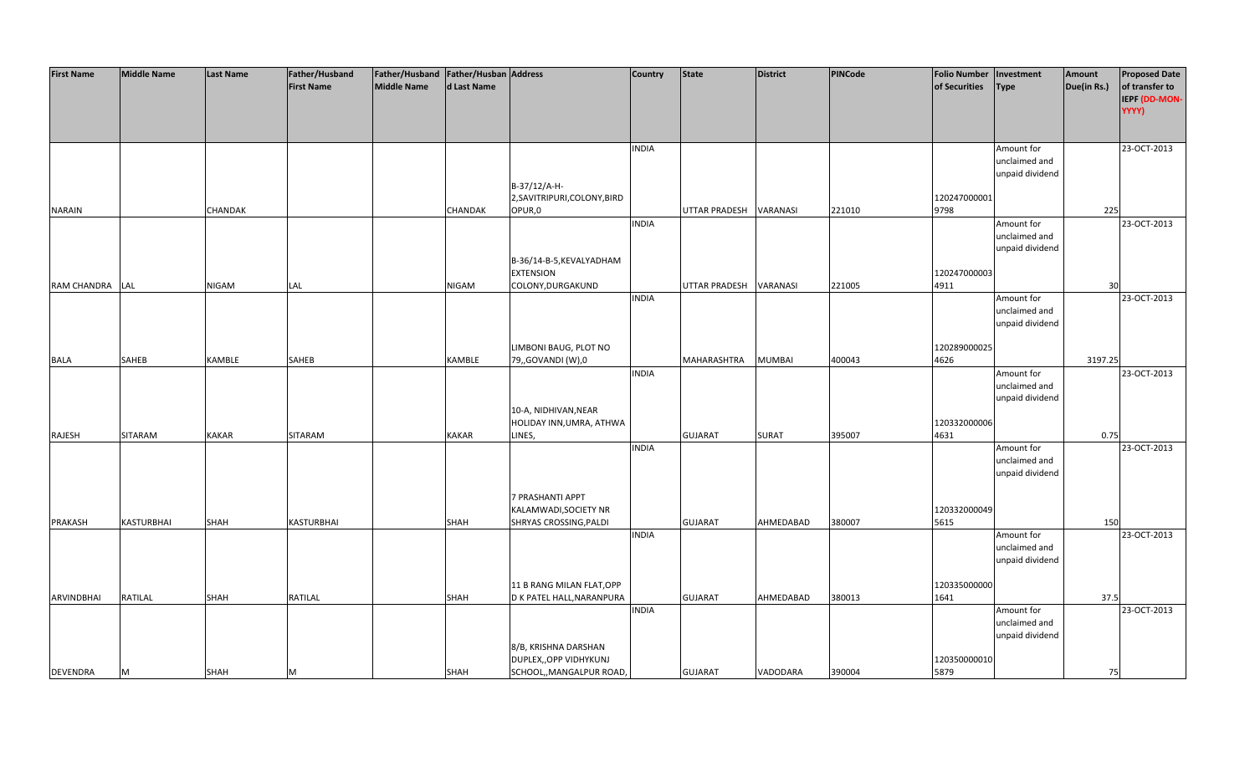| <b>First Name</b>  | <b>Middle Name</b> | <b>Last Name</b> | Father/Husband    | Father/Husband Father/Husban Address |                |                              | <b>Country</b> | <b>State</b>         | <b>District</b> | <b>PINCode</b> | <b>Folio Number</b> | Investment      | Amount      | <b>Proposed Date</b> |
|--------------------|--------------------|------------------|-------------------|--------------------------------------|----------------|------------------------------|----------------|----------------------|-----------------|----------------|---------------------|-----------------|-------------|----------------------|
|                    |                    |                  | <b>First Name</b> | Middle Name                          | d Last Name    |                              |                |                      |                 |                | of Securities       | <b>Type</b>     | Due(in Rs.) | of transfer to       |
|                    |                    |                  |                   |                                      |                |                              |                |                      |                 |                |                     |                 |             | IEPF (DD-MON-        |
|                    |                    |                  |                   |                                      |                |                              |                |                      |                 |                |                     |                 |             | YYYY)                |
|                    |                    |                  |                   |                                      |                |                              |                |                      |                 |                |                     |                 |             |                      |
|                    |                    |                  |                   |                                      |                |                              |                |                      |                 |                |                     |                 |             |                      |
|                    |                    |                  |                   |                                      |                |                              | <b>INDIA</b>   |                      |                 |                |                     | Amount for      |             | 23-OCT-2013          |
|                    |                    |                  |                   |                                      |                |                              |                |                      |                 |                |                     | unclaimed and   |             |                      |
|                    |                    |                  |                   |                                      |                |                              |                |                      |                 |                |                     | unpaid dividend |             |                      |
|                    |                    |                  |                   |                                      |                | B-37/12/A-H-                 |                |                      |                 |                |                     |                 |             |                      |
|                    |                    |                  |                   |                                      |                | 2, SAVITRIPURI, COLONY, BIRD |                |                      |                 |                | 120247000001        |                 |             |                      |
|                    |                    |                  |                   |                                      |                |                              |                |                      |                 |                |                     |                 |             |                      |
| <b>NARAIN</b>      |                    | <b>CHANDAK</b>   |                   |                                      | <b>CHANDAK</b> | OPUR,0                       |                | UTTAR PRADESH        | VARANASI        | 221010         | 9798                |                 | 225         |                      |
|                    |                    |                  |                   |                                      |                |                              | <b>INDIA</b>   |                      |                 |                |                     | Amount for      |             | 23-OCT-2013          |
|                    |                    |                  |                   |                                      |                |                              |                |                      |                 |                |                     | unclaimed and   |             |                      |
|                    |                    |                  |                   |                                      |                |                              |                |                      |                 |                |                     | unpaid dividend |             |                      |
|                    |                    |                  |                   |                                      |                | B-36/14-B-5, KEVALYADHAM     |                |                      |                 |                |                     |                 |             |                      |
|                    |                    |                  |                   |                                      |                | <b>EXTENSION</b>             |                |                      |                 |                | 120247000003        |                 |             |                      |
| <b>RAM CHANDRA</b> | LAL                | <b>NIGAM</b>     | LAL               |                                      | <b>NIGAM</b>   | COLONY, DURGAKUND            |                | <b>UTTAR PRADESH</b> | VARANASI        | 221005         | 4911                |                 | 30          |                      |
|                    |                    |                  |                   |                                      |                |                              | <b>INDIA</b>   |                      |                 |                |                     | Amount for      |             | 23-OCT-2013          |
|                    |                    |                  |                   |                                      |                |                              |                |                      |                 |                |                     | unclaimed and   |             |                      |
|                    |                    |                  |                   |                                      |                |                              |                |                      |                 |                |                     | unpaid dividend |             |                      |
|                    |                    |                  |                   |                                      |                |                              |                |                      |                 |                |                     |                 |             |                      |
|                    |                    |                  |                   |                                      |                | LIMBONI BAUG, PLOT NO        |                |                      |                 |                | 120289000025        |                 |             |                      |
| <b>BALA</b>        | SAHEB              | KAMBLE           | SAHEB             |                                      | KAMBLE         | 79,, GOVANDI (W), 0          |                | MAHARASHTRA          | <b>MUMBAI</b>   | 400043         | 4626                |                 | 3197.25     |                      |
|                    |                    |                  |                   |                                      |                |                              | <b>INDIA</b>   |                      |                 |                |                     | Amount for      |             | 23-OCT-2013          |
|                    |                    |                  |                   |                                      |                |                              |                |                      |                 |                |                     | unclaimed and   |             |                      |
|                    |                    |                  |                   |                                      |                |                              |                |                      |                 |                |                     | unpaid dividend |             |                      |
|                    |                    |                  |                   |                                      |                | 10-A, NIDHIVAN, NEAR         |                |                      |                 |                |                     |                 |             |                      |
|                    |                    |                  |                   |                                      |                | HOLIDAY INN, UMRA, ATHWA     |                |                      |                 |                | 120332000006        |                 |             |                      |
| RAJESH             | SITARAM            | <b>KAKAR</b>     | SITARAM           |                                      | <b>KAKAR</b>   | LINES,                       |                | <b>GUJARAT</b>       | SURAT           | 395007         | 4631                |                 | 0.75        |                      |
|                    |                    |                  |                   |                                      |                |                              | <b>INDIA</b>   |                      |                 |                |                     | Amount for      |             | 23-OCT-2013          |
|                    |                    |                  |                   |                                      |                |                              |                |                      |                 |                |                     | unclaimed and   |             |                      |
|                    |                    |                  |                   |                                      |                |                              |                |                      |                 |                |                     | unpaid dividend |             |                      |
|                    |                    |                  |                   |                                      |                |                              |                |                      |                 |                |                     |                 |             |                      |
|                    |                    |                  |                   |                                      |                | 7 PRASHANTI APPT             |                |                      |                 |                |                     |                 |             |                      |
|                    |                    |                  |                   |                                      |                | KALAMWADI, SOCIETY NR        |                |                      |                 |                | 120332000049        |                 |             |                      |
| <b>PRAKASH</b>     | <b>KASTURBHAI</b>  | SHAH             | <b>KASTURBHAI</b> |                                      | <b>SHAH</b>    | SHRYAS CROSSING, PALDI       |                | <b>GUJARAT</b>       | AHMEDABAD       | 380007         | 5615                |                 | 150         |                      |
|                    |                    |                  |                   |                                      |                |                              | <b>INDIA</b>   |                      |                 |                |                     | Amount for      |             | 23-OCT-2013          |
|                    |                    |                  |                   |                                      |                |                              |                |                      |                 |                |                     | unclaimed and   |             |                      |
|                    |                    |                  |                   |                                      |                |                              |                |                      |                 |                |                     | unpaid dividend |             |                      |
|                    |                    |                  |                   |                                      |                |                              |                |                      |                 |                |                     |                 |             |                      |
|                    |                    |                  |                   |                                      |                | 11 B RANG MILAN FLAT, OPP    |                |                      |                 |                | 120335000000        |                 |             |                      |
| ARVINDBHAI         | <b>RATILAL</b>     | <b>SHAH</b>      | RATILAL           |                                      | <b>SHAH</b>    | D K PATEL HALL, NARANPURA    |                | <b>GUJARAT</b>       | AHMEDABAD       | 380013         | 1641                |                 | 37.5        |                      |
|                    |                    |                  |                   |                                      |                |                              | <b>INDIA</b>   |                      |                 |                |                     | Amount for      |             | 23-OCT-2013          |
|                    |                    |                  |                   |                                      |                |                              |                |                      |                 |                |                     | unclaimed and   |             |                      |
|                    |                    |                  |                   |                                      |                |                              |                |                      |                 |                |                     | unpaid dividend |             |                      |
|                    |                    |                  |                   |                                      |                | 8/B, KRISHNA DARSHAN         |                |                      |                 |                |                     |                 |             |                      |
|                    |                    |                  |                   |                                      |                | DUPLEX,, OPP VIDHYKUNJ       |                |                      |                 |                | 120350000010        |                 |             |                      |
| <b>DEVENDRA</b>    | M                  | <b>SHAH</b>      | м                 |                                      | <b>SHAH</b>    | SCHOOL,, MANGALPUR ROAD,     |                | <b>GUJARAT</b>       | VADODARA        | 390004         | 5879                |                 | 75          |                      |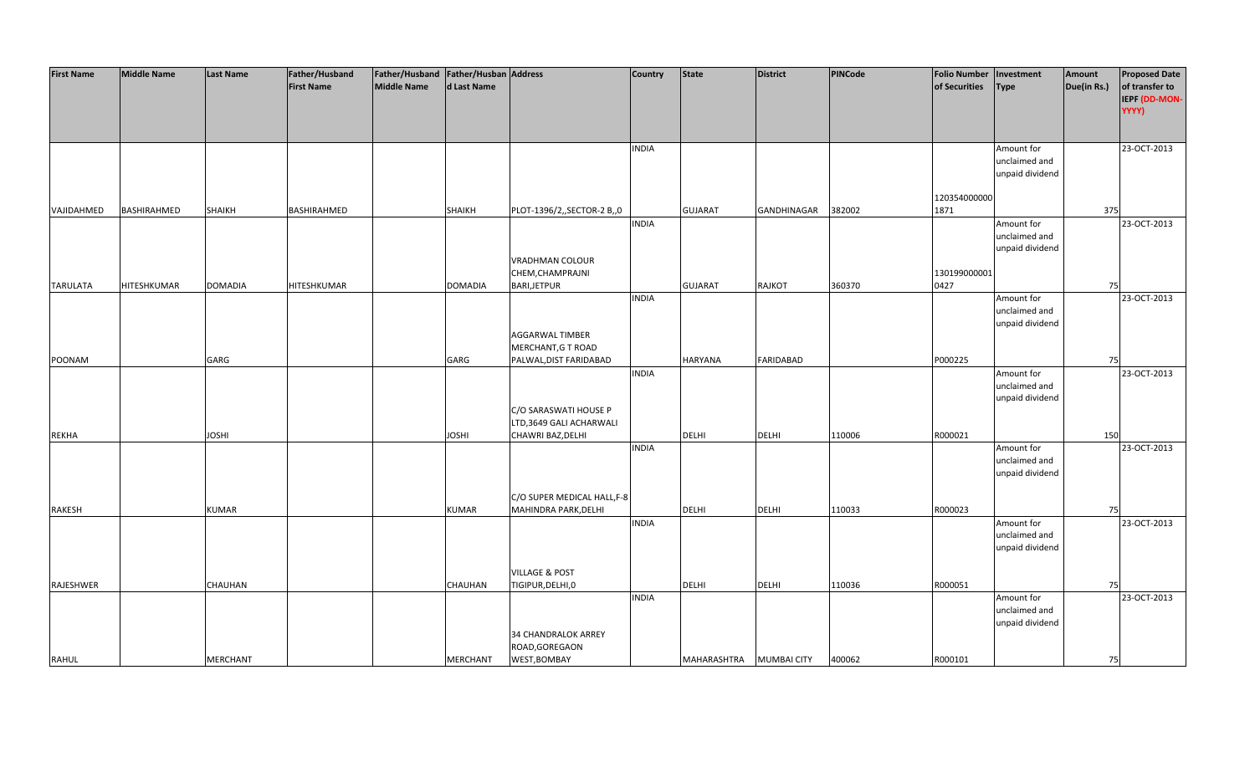| <b>First Name</b> | <b>Middle Name</b> | <b>Last Name</b> | Father/Husband     | Father/Husband   Father/Husban   Address |                |                             | <b>Country</b> | <b>State</b>            | <b>District</b>  | <b>PINCode</b> | <b>Folio Number</b> | Investment      | Amount      | <b>Proposed Date</b> |
|-------------------|--------------------|------------------|--------------------|------------------------------------------|----------------|-----------------------------|----------------|-------------------------|------------------|----------------|---------------------|-----------------|-------------|----------------------|
|                   |                    |                  | <b>First Name</b>  | Middle Name                              | d Last Name    |                             |                |                         |                  |                | of Securities       | <b>Type</b>     | Due(in Rs.) | of transfer to       |
|                   |                    |                  |                    |                                          |                |                             |                |                         |                  |                |                     |                 |             | IEPF (DD-MON-        |
|                   |                    |                  |                    |                                          |                |                             |                |                         |                  |                |                     |                 |             | YYYY)                |
|                   |                    |                  |                    |                                          |                |                             |                |                         |                  |                |                     |                 |             |                      |
|                   |                    |                  |                    |                                          |                |                             |                |                         |                  |                |                     |                 |             |                      |
|                   |                    |                  |                    |                                          |                |                             | <b>INDIA</b>   |                         |                  |                |                     | Amount for      |             | 23-OCT-2013          |
|                   |                    |                  |                    |                                          |                |                             |                |                         |                  |                |                     | unclaimed and   |             |                      |
|                   |                    |                  |                    |                                          |                |                             |                |                         |                  |                |                     | unpaid dividend |             |                      |
|                   |                    |                  |                    |                                          |                |                             |                |                         |                  |                |                     |                 |             |                      |
|                   |                    |                  |                    |                                          |                |                             |                |                         |                  |                | 120354000000        |                 |             |                      |
| VAJIDAHMED        | BASHIRAHMED        | <b>SHAIKH</b>    | BASHIRAHMED        |                                          | <b>SHAIKH</b>  | PLOT-1396/2,,SECTOR-2 B,,0  |                | <b>GUJARAT</b>          | GANDHINAGAR      | 382002         | 1871                |                 | 375         |                      |
|                   |                    |                  |                    |                                          |                |                             | <b>INDIA</b>   |                         |                  |                |                     | Amount for      |             | 23-OCT-2013          |
|                   |                    |                  |                    |                                          |                |                             |                |                         |                  |                |                     | unclaimed and   |             |                      |
|                   |                    |                  |                    |                                          |                |                             |                |                         |                  |                |                     | unpaid dividend |             |                      |
|                   |                    |                  |                    |                                          |                | VRADHMAN COLOUR             |                |                         |                  |                |                     |                 |             |                      |
|                   |                    |                  |                    |                                          |                | CHEM, CHAMPRAJNI            |                |                         |                  |                | 130199000001        |                 |             |                      |
| <b>TARULATA</b>   | HITESHKUMAR        | <b>DOMADIA</b>   | <b>HITESHKUMAR</b> |                                          | <b>DOMADIA</b> | <b>BARI,JETPUR</b>          |                | <b>GUJARAT</b>          | <b>RAJKOT</b>    | 360370         | 0427                |                 | 75          |                      |
|                   |                    |                  |                    |                                          |                |                             | <b>INDIA</b>   |                         |                  |                |                     | Amount for      |             | 23-OCT-2013          |
|                   |                    |                  |                    |                                          |                |                             |                |                         |                  |                |                     | unclaimed and   |             |                      |
|                   |                    |                  |                    |                                          |                |                             |                |                         |                  |                |                     | unpaid dividend |             |                      |
|                   |                    |                  |                    |                                          |                | <b>AGGARWAL TIMBER</b>      |                |                         |                  |                |                     |                 |             |                      |
|                   |                    |                  |                    |                                          |                | MERCHANT, G T ROAD          |                |                         |                  |                |                     |                 |             |                      |
| POONAM            |                    | GARG             |                    |                                          | GARG           | PALWAL, DIST FARIDABAD      |                | <b>HARYANA</b>          | <b>FARIDABAD</b> |                | P000225             |                 | 75          |                      |
|                   |                    |                  |                    |                                          |                |                             | <b>INDIA</b>   |                         |                  |                |                     | Amount for      |             | 23-OCT-2013          |
|                   |                    |                  |                    |                                          |                |                             |                |                         |                  |                |                     | unclaimed and   |             |                      |
|                   |                    |                  |                    |                                          |                |                             |                |                         |                  |                |                     | unpaid dividend |             |                      |
|                   |                    |                  |                    |                                          |                | C/O SARASWATI HOUSE P       |                |                         |                  |                |                     |                 |             |                      |
|                   |                    |                  |                    |                                          |                | LTD,3649 GALI ACHARWALI     |                |                         |                  |                |                     |                 |             |                      |
| <b>REKHA</b>      |                    | <b>IHZOL</b>     |                    |                                          | <b>IHZOL</b>   | CHAWRI BAZ, DELHI           |                | <b>DELHI</b>            | <b>DELHI</b>     | 110006         | R000021             |                 | 150         |                      |
|                   |                    |                  |                    |                                          |                |                             | <b>INDIA</b>   |                         |                  |                |                     | Amount for      |             | 23-OCT-2013          |
|                   |                    |                  |                    |                                          |                |                             |                |                         |                  |                |                     | unclaimed and   |             |                      |
|                   |                    |                  |                    |                                          |                |                             |                |                         |                  |                |                     | unpaid dividend |             |                      |
|                   |                    |                  |                    |                                          |                |                             |                |                         |                  |                |                     |                 |             |                      |
|                   |                    |                  |                    |                                          |                | C/O SUPER MEDICAL HALL, F-8 |                |                         |                  |                |                     |                 |             |                      |
| RAKESH            |                    | <b>KUMAR</b>     |                    |                                          | KUMAR          | MAHINDRA PARK, DELHI        |                | <b>DELHI</b>            | <b>DELHI</b>     | 110033         | R000023             |                 | 75          |                      |
|                   |                    |                  |                    |                                          |                |                             | <b>INDIA</b>   |                         |                  |                |                     | Amount for      |             | 23-OCT-2013          |
|                   |                    |                  |                    |                                          |                |                             |                |                         |                  |                |                     | unclaimed and   |             |                      |
|                   |                    |                  |                    |                                          |                |                             |                |                         |                  |                |                     | unpaid dividend |             |                      |
|                   |                    |                  |                    |                                          |                |                             |                |                         |                  |                |                     |                 |             |                      |
|                   |                    |                  |                    |                                          |                | <b>VILLAGE &amp; POST</b>   |                |                         |                  |                |                     |                 |             |                      |
| RAJESHWER         |                    | CHAUHAN          |                    |                                          | CHAUHAN        | TIGIPUR, DELHI, 0           |                | DELHI                   | DELHI            | 110036         | R000051             |                 | 75          |                      |
|                   |                    |                  |                    |                                          |                |                             | <b>INDIA</b>   |                         |                  |                |                     | Amount for      |             | 23-OCT-2013          |
|                   |                    |                  |                    |                                          |                |                             |                |                         |                  |                |                     | unclaimed and   |             |                      |
|                   |                    |                  |                    |                                          |                |                             |                |                         |                  |                |                     | unpaid dividend |             |                      |
|                   |                    |                  |                    |                                          |                | 34 CHANDRALOK ARREY         |                |                         |                  |                |                     |                 |             |                      |
|                   |                    |                  |                    |                                          |                | ROAD, GOREGAON              |                |                         |                  |                |                     |                 |             |                      |
| <b>RAHUL</b>      |                    | <b>MERCHANT</b>  |                    |                                          | MERCHANT       | WEST, BOMBAY                |                | MAHARASHTRA MUMBAI CITY |                  | 400062         | R000101             |                 | 75          |                      |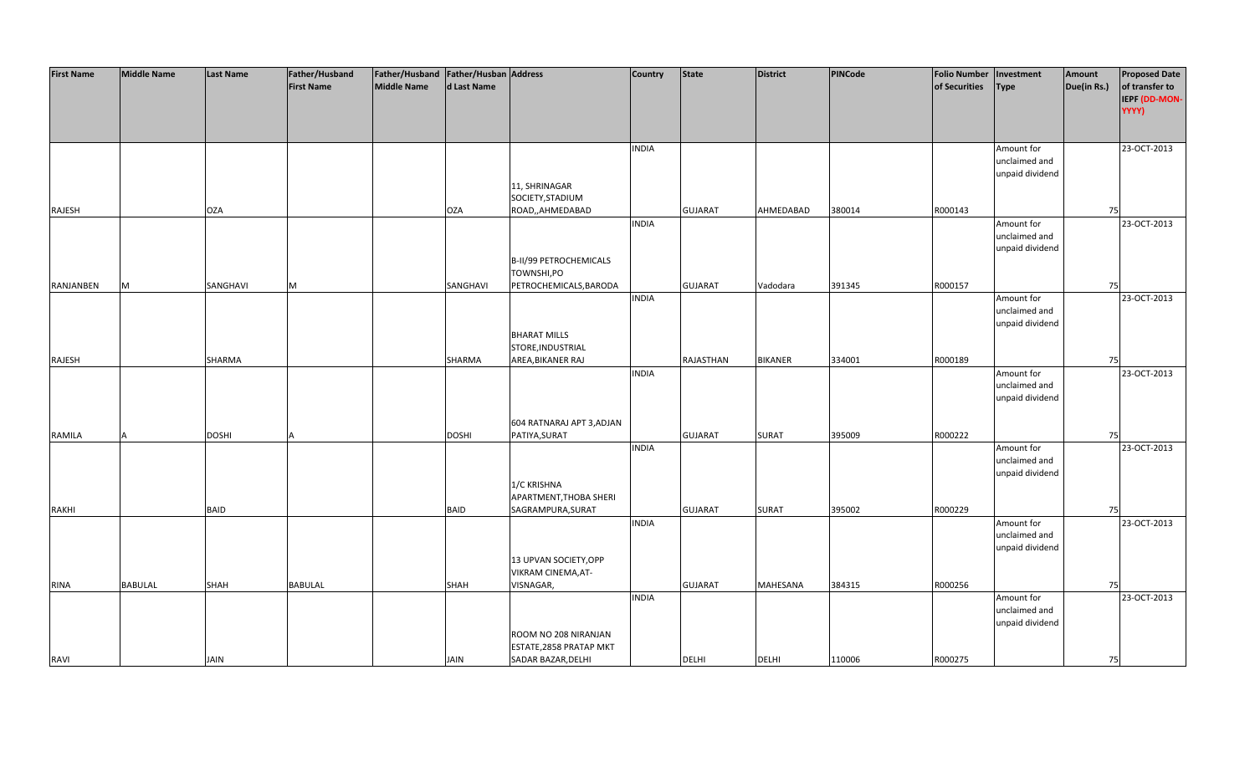| <b>First Name</b> | <b>Middle Name</b> | <b>Last Name</b> | Father/Husband    | Father/Husband Father/Husban Address |              |                           | <b>Country</b> | <b>State</b>   | <b>District</b> | PINCode | <b>Folio Number</b> | Investment      | Amount      | <b>Proposed Date</b> |
|-------------------|--------------------|------------------|-------------------|--------------------------------------|--------------|---------------------------|----------------|----------------|-----------------|---------|---------------------|-----------------|-------------|----------------------|
|                   |                    |                  | <b>First Name</b> | <b>Middle Name</b>                   | d Last Name  |                           |                |                |                 |         | of Securities       | <b>Type</b>     | Due(in Rs.) | of transfer to       |
|                   |                    |                  |                   |                                      |              |                           |                |                |                 |         |                     |                 |             | IEPF (DD-MON-        |
|                   |                    |                  |                   |                                      |              |                           |                |                |                 |         |                     |                 |             | YYYY)                |
|                   |                    |                  |                   |                                      |              |                           |                |                |                 |         |                     |                 |             |                      |
|                   |                    |                  |                   |                                      |              |                           |                |                |                 |         |                     |                 |             |                      |
|                   |                    |                  |                   |                                      |              |                           | <b>INDIA</b>   |                |                 |         |                     | Amount for      |             | 23-OCT-2013          |
|                   |                    |                  |                   |                                      |              |                           |                |                |                 |         |                     | unclaimed and   |             |                      |
|                   |                    |                  |                   |                                      |              |                           |                |                |                 |         |                     | unpaid dividend |             |                      |
|                   |                    |                  |                   |                                      |              | 11, SHRINAGAR             |                |                |                 |         |                     |                 |             |                      |
|                   |                    |                  |                   |                                      |              | SOCIETY, STADIUM          |                |                |                 |         |                     |                 |             |                      |
| RAJESH            |                    | <b>OZA</b>       |                   |                                      | <b>OZA</b>   | ROAD,,AHMEDABAD           |                | <b>GUJARAT</b> | AHMEDABAD       | 380014  | R000143             |                 | 75          |                      |
|                   |                    |                  |                   |                                      |              |                           | <b>INDIA</b>   |                |                 |         |                     | Amount for      |             | 23-OCT-2013          |
|                   |                    |                  |                   |                                      |              |                           |                |                |                 |         |                     | unclaimed and   |             |                      |
|                   |                    |                  |                   |                                      |              |                           |                |                |                 |         |                     | unpaid dividend |             |                      |
|                   |                    |                  |                   |                                      |              | B-II/99 PETROCHEMICALS    |                |                |                 |         |                     |                 |             |                      |
|                   |                    |                  |                   |                                      |              | TOWNSHI,PO                |                |                |                 |         |                     |                 |             |                      |
| RANJANBEN         | M                  | SANGHAVI         | M                 |                                      | SANGHAVI     | PETROCHEMICALS, BARODA    |                | <b>GUJARAT</b> | Vadodara        | 391345  | R000157             |                 | 75          |                      |
|                   |                    |                  |                   |                                      |              |                           | <b>INDIA</b>   |                |                 |         |                     | Amount for      |             | 23-OCT-2013          |
|                   |                    |                  |                   |                                      |              |                           |                |                |                 |         |                     | unclaimed and   |             |                      |
|                   |                    |                  |                   |                                      |              |                           |                |                |                 |         |                     | unpaid dividend |             |                      |
|                   |                    |                  |                   |                                      |              | <b>BHARAT MILLS</b>       |                |                |                 |         |                     |                 |             |                      |
|                   |                    |                  |                   |                                      |              | STORE, INDUSTRIAL         |                |                |                 |         |                     |                 |             |                      |
| RAJESH            |                    | SHARMA           |                   |                                      | SHARMA       | AREA, BIKANER RAJ         |                | RAJASTHAN      | <b>BIKANER</b>  | 334001  | R000189             |                 | 75          |                      |
|                   |                    |                  |                   |                                      |              |                           | <b>INDIA</b>   |                |                 |         |                     | Amount for      |             | 23-OCT-2013          |
|                   |                    |                  |                   |                                      |              |                           |                |                |                 |         |                     | unclaimed and   |             |                      |
|                   |                    |                  |                   |                                      |              |                           |                |                |                 |         |                     | unpaid dividend |             |                      |
|                   |                    |                  |                   |                                      |              |                           |                |                |                 |         |                     |                 |             |                      |
|                   |                    |                  |                   |                                      |              | 604 RATNARAJ APT 3, ADJAN |                |                |                 |         |                     |                 |             |                      |
| RAMILA            |                    | <b>DOSHI</b>     |                   |                                      | <b>DOSHI</b> | PATIYA, SURAT             |                | <b>GUJARAT</b> | <b>SURAT</b>    | 395009  | R000222             |                 | 75          |                      |
|                   |                    |                  |                   |                                      |              |                           | <b>INDIA</b>   |                |                 |         |                     | Amount for      |             | 23-OCT-2013          |
|                   |                    |                  |                   |                                      |              |                           |                |                |                 |         |                     | unclaimed and   |             |                      |
|                   |                    |                  |                   |                                      |              |                           |                |                |                 |         |                     | unpaid dividend |             |                      |
|                   |                    |                  |                   |                                      |              | 1/C KRISHNA               |                |                |                 |         |                     |                 |             |                      |
|                   |                    |                  |                   |                                      |              | APARTMENT, THOBA SHERI    |                |                |                 |         |                     |                 |             |                      |
| <b>RAKHI</b>      |                    | <b>BAID</b>      |                   |                                      | <b>BAID</b>  | SAGRAMPURA, SURAT         |                | <b>GUJARAT</b> | <b>SURAT</b>    | 395002  | R000229             |                 | 75          |                      |
|                   |                    |                  |                   |                                      |              |                           | <b>INDIA</b>   |                |                 |         |                     | Amount for      |             | 23-OCT-2013          |
|                   |                    |                  |                   |                                      |              |                           |                |                |                 |         |                     | unclaimed and   |             |                      |
|                   |                    |                  |                   |                                      |              |                           |                |                |                 |         |                     | unpaid dividend |             |                      |
|                   |                    |                  |                   |                                      |              | 13 UPVAN SOCIETY, OPP     |                |                |                 |         |                     |                 |             |                      |
|                   |                    |                  |                   |                                      |              | VIKRAM CINEMA, AT-        |                |                |                 |         |                     |                 |             |                      |
| <b>RINA</b>       | <b>BABULAL</b>     | SHAH             | <b>BABULAL</b>    |                                      | SHAH         | VISNAGAR,                 |                | <b>GUJARAT</b> | <b>MAHESANA</b> | 384315  | R000256             |                 | 75          |                      |
|                   |                    |                  |                   |                                      |              |                           | <b>INDIA</b>   |                |                 |         |                     | Amount for      |             | 23-OCT-2013          |
|                   |                    |                  |                   |                                      |              |                           |                |                |                 |         |                     | unclaimed and   |             |                      |
|                   |                    |                  |                   |                                      |              |                           |                |                |                 |         |                     | unpaid dividend |             |                      |
|                   |                    |                  |                   |                                      |              | ROOM NO 208 NIRANJAN      |                |                |                 |         |                     |                 |             |                      |
|                   |                    |                  |                   |                                      |              | ESTATE, 2858 PRATAP MKT   |                |                |                 |         |                     |                 |             |                      |
| RAVI              |                    | <b>JAIN</b>      |                   |                                      | <b>JAIN</b>  | SADAR BAZAR, DELHI        |                | <b>DELHI</b>   | <b>DELHI</b>    | 110006  | R000275             |                 | 75          |                      |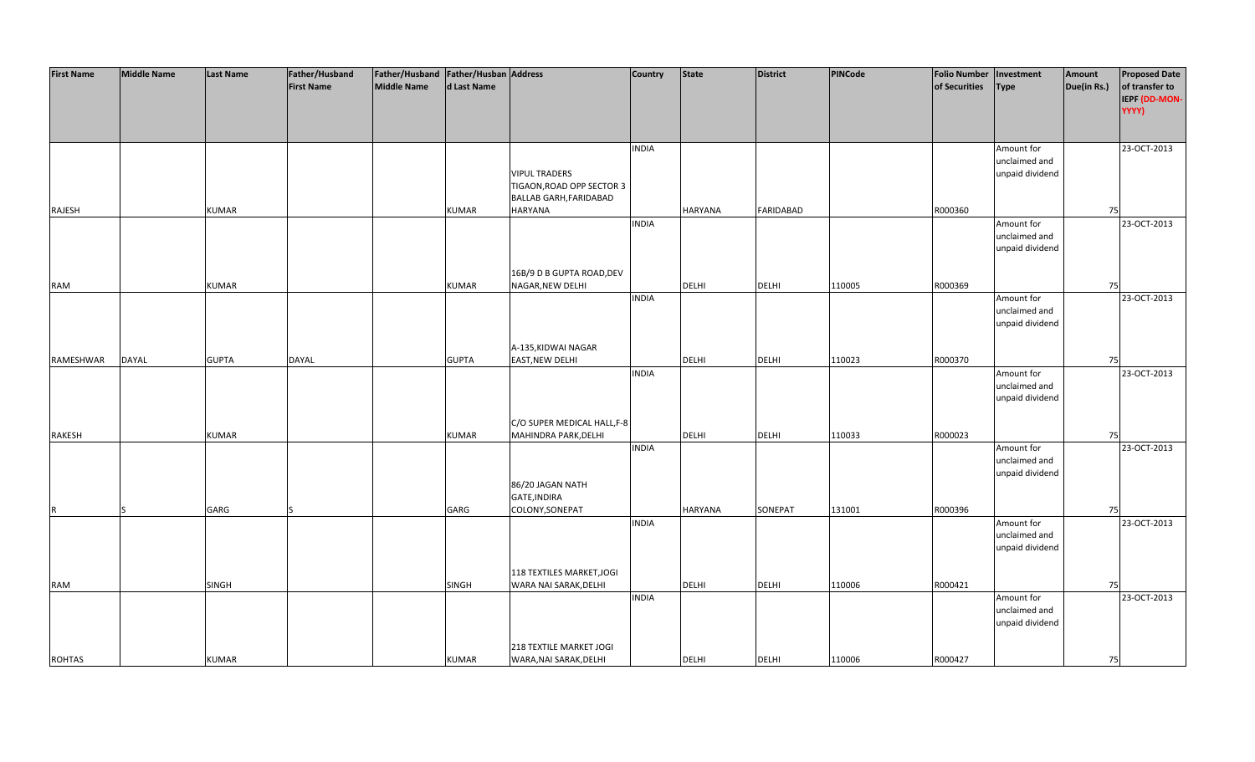| <b>First Name</b> | <b>Middle Name</b> | Last Name    | Father/Husband    | Father/Husband   Father/Husban   Address |              |                             | <b>Country</b> | <b>State</b> | <b>District</b>  | PINCode | <b>Folio Number</b> | Investment                       | Amount      | <b>Proposed Date</b> |
|-------------------|--------------------|--------------|-------------------|------------------------------------------|--------------|-----------------------------|----------------|--------------|------------------|---------|---------------------|----------------------------------|-------------|----------------------|
|                   |                    |              | <b>First Name</b> | <b>Middle Name</b>                       | d Last Name  |                             |                |              |                  |         | of Securities       | <b>Type</b>                      | Due(in Rs.) | of transfer to       |
|                   |                    |              |                   |                                          |              |                             |                |              |                  |         |                     |                                  |             | IEPF (DD-MON-        |
|                   |                    |              |                   |                                          |              |                             |                |              |                  |         |                     |                                  |             | YYYY)                |
|                   |                    |              |                   |                                          |              |                             |                |              |                  |         |                     |                                  |             |                      |
|                   |                    |              |                   |                                          |              |                             | <b>INDIA</b>   |              |                  |         |                     | Amount for                       |             | 23-OCT-2013          |
|                   |                    |              |                   |                                          |              |                             |                |              |                  |         |                     | unclaimed and                    |             |                      |
|                   |                    |              |                   |                                          |              | <b>VIPUL TRADERS</b>        |                |              |                  |         |                     | unpaid dividend                  |             |                      |
|                   |                    |              |                   |                                          |              | TIGAON, ROAD OPP SECTOR 3   |                |              |                  |         |                     |                                  |             |                      |
|                   |                    |              |                   |                                          |              | BALLAB GARH, FARIDABAD      |                |              |                  |         |                     |                                  |             |                      |
| RAJESH            |                    | <b>KUMAR</b> |                   |                                          | KUMAR        | <b>HARYANA</b>              |                | HARYANA      | <b>FARIDABAD</b> |         | R000360             |                                  | 75          |                      |
|                   |                    |              |                   |                                          |              |                             | <b>INDIA</b>   |              |                  |         |                     | Amount for                       |             | 23-OCT-2013          |
|                   |                    |              |                   |                                          |              |                             |                |              |                  |         |                     | unclaimed and                    |             |                      |
|                   |                    |              |                   |                                          |              |                             |                |              |                  |         |                     | unpaid dividend                  |             |                      |
|                   |                    |              |                   |                                          |              | 16B/9 D B GUPTA ROAD, DEV   |                |              |                  |         |                     |                                  |             |                      |
| RAM               |                    | <b>KUMAR</b> |                   |                                          | KUMAR        | NAGAR, NEW DELHI            |                | DELHI        | <b>DELHI</b>     | 110005  | R000369             |                                  | 75          |                      |
|                   |                    |              |                   |                                          |              |                             | <b>INDIA</b>   |              |                  |         |                     | Amount for                       |             | 23-OCT-2013          |
|                   |                    |              |                   |                                          |              |                             |                |              |                  |         |                     | unclaimed and                    |             |                      |
|                   |                    |              |                   |                                          |              |                             |                |              |                  |         |                     | unpaid dividend                  |             |                      |
|                   |                    |              |                   |                                          |              |                             |                |              |                  |         |                     |                                  |             |                      |
|                   |                    |              |                   |                                          |              | A-135, KIDWAI NAGAR         |                |              |                  |         |                     |                                  |             |                      |
| RAMESHWAR         | <b>DAYAL</b>       | <b>GUPTA</b> | <b>DAYAL</b>      |                                          | <b>GUPTA</b> | <b>EAST, NEW DELHI</b>      |                | <b>DELHI</b> | <b>DELHI</b>     | 110023  | R000370             |                                  | 75          |                      |
|                   |                    |              |                   |                                          |              |                             | <b>INDIA</b>   |              |                  |         |                     | Amount for                       |             | 23-OCT-2013          |
|                   |                    |              |                   |                                          |              |                             |                |              |                  |         |                     | unclaimed and                    |             |                      |
|                   |                    |              |                   |                                          |              |                             |                |              |                  |         |                     | unpaid dividend                  |             |                      |
|                   |                    |              |                   |                                          |              |                             |                |              |                  |         |                     |                                  |             |                      |
|                   |                    |              |                   |                                          |              | C/O SUPER MEDICAL HALL, F-8 |                |              |                  |         |                     |                                  |             |                      |
| RAKESH            |                    | KUMAR        |                   |                                          | KUMAR        | MAHINDRA PARK, DELHI        | <b>INDIA</b>   | DELHI        | <b>DELHI</b>     | 110033  | R000023             | Amount for                       | 75          | 23-OCT-2013          |
|                   |                    |              |                   |                                          |              |                             |                |              |                  |         |                     | unclaimed and                    |             |                      |
|                   |                    |              |                   |                                          |              |                             |                |              |                  |         |                     | unpaid dividend                  |             |                      |
|                   |                    |              |                   |                                          |              | 86/20 JAGAN NATH            |                |              |                  |         |                     |                                  |             |                      |
|                   |                    |              |                   |                                          |              | GATE, INDIRA                |                |              |                  |         |                     |                                  |             |                      |
|                   | ls                 | GARG         |                   |                                          | GARG         | COLONY, SONEPAT             |                | HARYANA      | SONEPAT          | 131001  | R000396             |                                  | 75          |                      |
|                   |                    |              |                   |                                          |              |                             | <b>INDIA</b>   |              |                  |         |                     | Amount for                       |             | 23-OCT-2013          |
|                   |                    |              |                   |                                          |              |                             |                |              |                  |         |                     | unclaimed and                    |             |                      |
|                   |                    |              |                   |                                          |              |                             |                |              |                  |         |                     | unpaid dividend                  |             |                      |
|                   |                    |              |                   |                                          |              |                             |                |              |                  |         |                     |                                  |             |                      |
|                   |                    |              |                   |                                          |              | 118 TEXTILES MARKET, JOGI   |                |              |                  |         |                     |                                  |             |                      |
| <b>RAM</b>        |                    | SINGH        |                   |                                          | <b>SINGH</b> | WARA NAI SARAK, DELHI       |                | DELHI        | <b>DELHI</b>     | 110006  | R000421             |                                  | 75          |                      |
|                   |                    |              |                   |                                          |              |                             | <b>INDIA</b>   |              |                  |         |                     | Amount for                       |             | 23-OCT-2013          |
|                   |                    |              |                   |                                          |              |                             |                |              |                  |         |                     | unclaimed and<br>unpaid dividend |             |                      |
|                   |                    |              |                   |                                          |              |                             |                |              |                  |         |                     |                                  |             |                      |
|                   |                    |              |                   |                                          |              | 218 TEXTILE MARKET JOGI     |                |              |                  |         |                     |                                  |             |                      |
| <b>ROHTAS</b>     |                    | <b>KUMAR</b> |                   |                                          | <b>KUMAR</b> | WARA, NAI SARAK, DELHI      |                | <b>DELHI</b> | <b>DELHI</b>     | 110006  | R000427             |                                  | 75          |                      |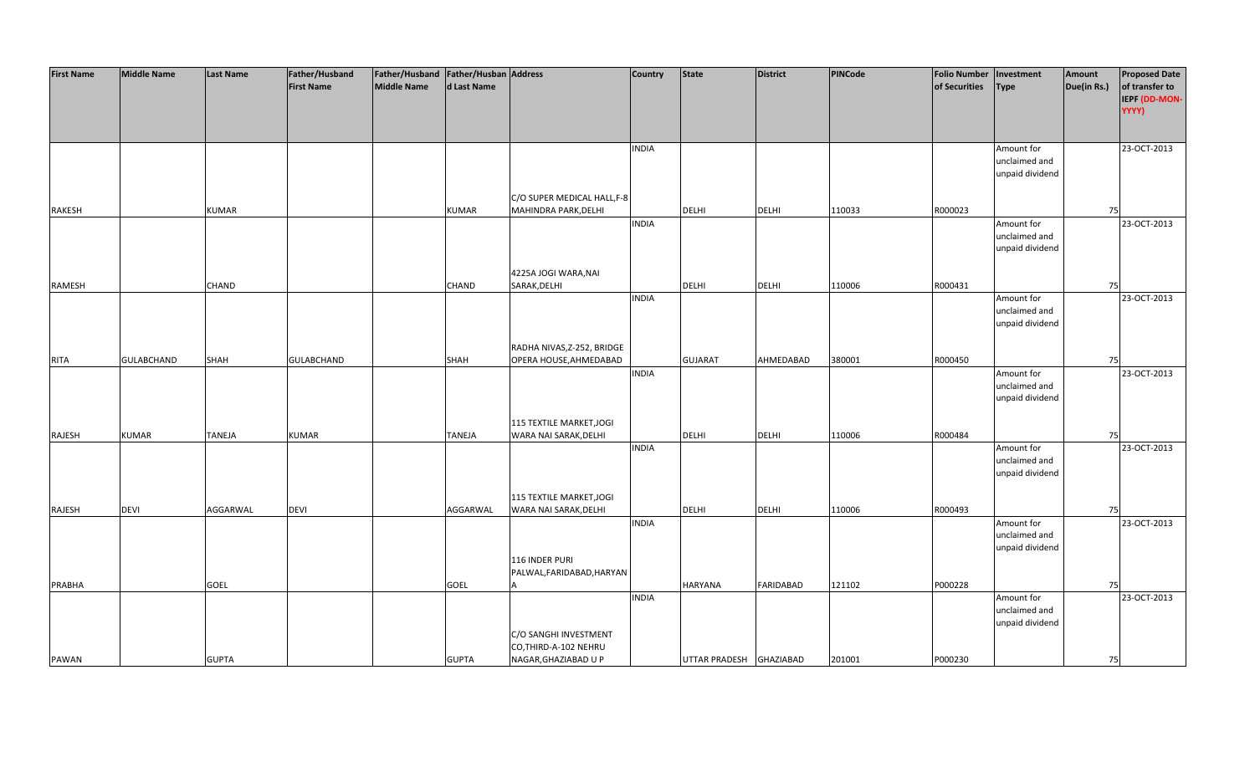| <b>First Name</b> | <b>Middle Name</b> | <b>Last Name</b> | Father/Husband    | Father/Husband   Father/Husban   Address |               |                             | <b>Country</b> | <b>State</b>            | <b>District</b>  | PINCode | <b>Folio Number</b> | Investment      | Amount      | <b>Proposed Date</b> |
|-------------------|--------------------|------------------|-------------------|------------------------------------------|---------------|-----------------------------|----------------|-------------------------|------------------|---------|---------------------|-----------------|-------------|----------------------|
|                   |                    |                  | <b>First Name</b> | <b>Middle Name</b>                       | d Last Name   |                             |                |                         |                  |         | of Securities       | <b>Type</b>     | Due(in Rs.) | of transfer to       |
|                   |                    |                  |                   |                                          |               |                             |                |                         |                  |         |                     |                 |             | IEPF (DD-MON-        |
|                   |                    |                  |                   |                                          |               |                             |                |                         |                  |         |                     |                 |             | YYYY)                |
|                   |                    |                  |                   |                                          |               |                             |                |                         |                  |         |                     |                 |             |                      |
|                   |                    |                  |                   |                                          |               |                             |                |                         |                  |         |                     |                 |             |                      |
|                   |                    |                  |                   |                                          |               |                             | <b>INDIA</b>   |                         |                  |         |                     | Amount for      |             | 23-OCT-2013          |
|                   |                    |                  |                   |                                          |               |                             |                |                         |                  |         |                     | unclaimed and   |             |                      |
|                   |                    |                  |                   |                                          |               |                             |                |                         |                  |         |                     | unpaid dividend |             |                      |
|                   |                    |                  |                   |                                          |               |                             |                |                         |                  |         |                     |                 |             |                      |
|                   |                    |                  |                   |                                          |               | C/O SUPER MEDICAL HALL, F-8 |                |                         |                  |         |                     |                 |             |                      |
| <b>RAKESH</b>     |                    | <b>KUMAR</b>     |                   |                                          | <b>KUMAR</b>  | MAHINDRA PARK, DELHI        |                | <b>DELHI</b>            | <b>DELHI</b>     | 110033  | R000023             |                 | 75          |                      |
|                   |                    |                  |                   |                                          |               |                             | <b>INDIA</b>   |                         |                  |         |                     | Amount for      |             | 23-OCT-2013          |
|                   |                    |                  |                   |                                          |               |                             |                |                         |                  |         |                     | unclaimed and   |             |                      |
|                   |                    |                  |                   |                                          |               |                             |                |                         |                  |         |                     | unpaid dividend |             |                      |
|                   |                    |                  |                   |                                          |               |                             |                |                         |                  |         |                     |                 |             |                      |
|                   |                    |                  |                   |                                          |               | 4225A JOGI WARA, NAI        |                |                         |                  |         |                     |                 |             |                      |
| RAMESH            |                    | <b>CHAND</b>     |                   |                                          | <b>CHAND</b>  | SARAK, DELHI                |                | <b>DELHI</b>            | <b>DELHI</b>     | 110006  | R000431             |                 | 75          |                      |
|                   |                    |                  |                   |                                          |               |                             | <b>INDIA</b>   |                         |                  |         |                     | Amount for      |             | 23-OCT-2013          |
|                   |                    |                  |                   |                                          |               |                             |                |                         |                  |         |                     | unclaimed and   |             |                      |
|                   |                    |                  |                   |                                          |               |                             |                |                         |                  |         |                     | unpaid dividend |             |                      |
|                   |                    |                  |                   |                                          |               |                             |                |                         |                  |         |                     |                 |             |                      |
|                   |                    |                  |                   |                                          |               | RADHA NIVAS, Z-252, BRIDGE  |                |                         |                  |         |                     |                 |             |                      |
| <b>RITA</b>       | <b>GULABCHAND</b>  | SHAH             | GULABCHAND        |                                          | <b>SHAH</b>   | OPERA HOUSE, AHMEDABAD      |                | <b>GUJARAT</b>          | AHMEDABAD        | 380001  | R000450             |                 | 75          |                      |
|                   |                    |                  |                   |                                          |               |                             | <b>INDIA</b>   |                         |                  |         |                     | Amount for      |             | 23-OCT-2013          |
|                   |                    |                  |                   |                                          |               |                             |                |                         |                  |         |                     | unclaimed and   |             |                      |
|                   |                    |                  |                   |                                          |               |                             |                |                         |                  |         |                     | unpaid dividend |             |                      |
|                   |                    |                  |                   |                                          |               |                             |                |                         |                  |         |                     |                 |             |                      |
|                   |                    |                  |                   |                                          |               |                             |                |                         |                  |         |                     |                 |             |                      |
|                   |                    |                  |                   |                                          |               | 115 TEXTILE MARKET, JOGI    |                |                         |                  |         |                     |                 |             |                      |
| RAJESH            | <b>KUMAR</b>       | <b>TANEJA</b>    | <b>KUMAR</b>      |                                          | <b>TANEJA</b> | WARA NAI SARAK, DELHI       |                | <b>DELHI</b>            | <b>DELHI</b>     | 110006  | R000484             |                 | 75          |                      |
|                   |                    |                  |                   |                                          |               |                             | <b>INDIA</b>   |                         |                  |         |                     | Amount for      |             | 23-OCT-2013          |
|                   |                    |                  |                   |                                          |               |                             |                |                         |                  |         |                     | unclaimed and   |             |                      |
|                   |                    |                  |                   |                                          |               |                             |                |                         |                  |         |                     | unpaid dividend |             |                      |
|                   |                    |                  |                   |                                          |               |                             |                |                         |                  |         |                     |                 |             |                      |
|                   |                    |                  |                   |                                          |               | 115 TEXTILE MARKET, JOGI    |                |                         |                  |         |                     |                 |             |                      |
| RAJESH            | <b>DEVI</b>        | AGGARWAL         | <b>DEVI</b>       |                                          | AGGARWAL      | WARA NAI SARAK, DELHI       |                | DELHI                   | <b>DELHI</b>     | 110006  | R000493             |                 | 75          |                      |
|                   |                    |                  |                   |                                          |               |                             | <b>INDIA</b>   |                         |                  |         |                     | Amount for      |             | 23-OCT-2013          |
|                   |                    |                  |                   |                                          |               |                             |                |                         |                  |         |                     | unclaimed and   |             |                      |
|                   |                    |                  |                   |                                          |               |                             |                |                         |                  |         |                     | unpaid dividend |             |                      |
|                   |                    |                  |                   |                                          |               | 116 INDER PURI              |                |                         |                  |         |                     |                 |             |                      |
|                   |                    |                  |                   |                                          |               | PALWAL, FARIDABAD, HARYAN   |                |                         |                  |         |                     |                 |             |                      |
| PRABHA            |                    | <b>GOEL</b>      |                   |                                          | <b>GOEL</b>   |                             |                | <b>HARYANA</b>          | <b>FARIDABAD</b> | 121102  | P000228             |                 | 75          |                      |
|                   |                    |                  |                   |                                          |               |                             | <b>INDIA</b>   |                         |                  |         |                     | Amount for      |             | 23-OCT-2013          |
|                   |                    |                  |                   |                                          |               |                             |                |                         |                  |         |                     | unclaimed and   |             |                      |
|                   |                    |                  |                   |                                          |               |                             |                |                         |                  |         |                     | unpaid dividend |             |                      |
|                   |                    |                  |                   |                                          |               | C/O SANGHI INVESTMENT       |                |                         |                  |         |                     |                 |             |                      |
|                   |                    |                  |                   |                                          |               | CO, THIRD-A-102 NEHRU       |                |                         |                  |         |                     |                 |             |                      |
| PAWAN             |                    | <b>GUPTA</b>     |                   |                                          | <b>GUPTA</b>  | NAGAR, GHAZIABAD U P        |                | UTTAR PRADESH GHAZIABAD |                  | 201001  | P000230             |                 | 75          |                      |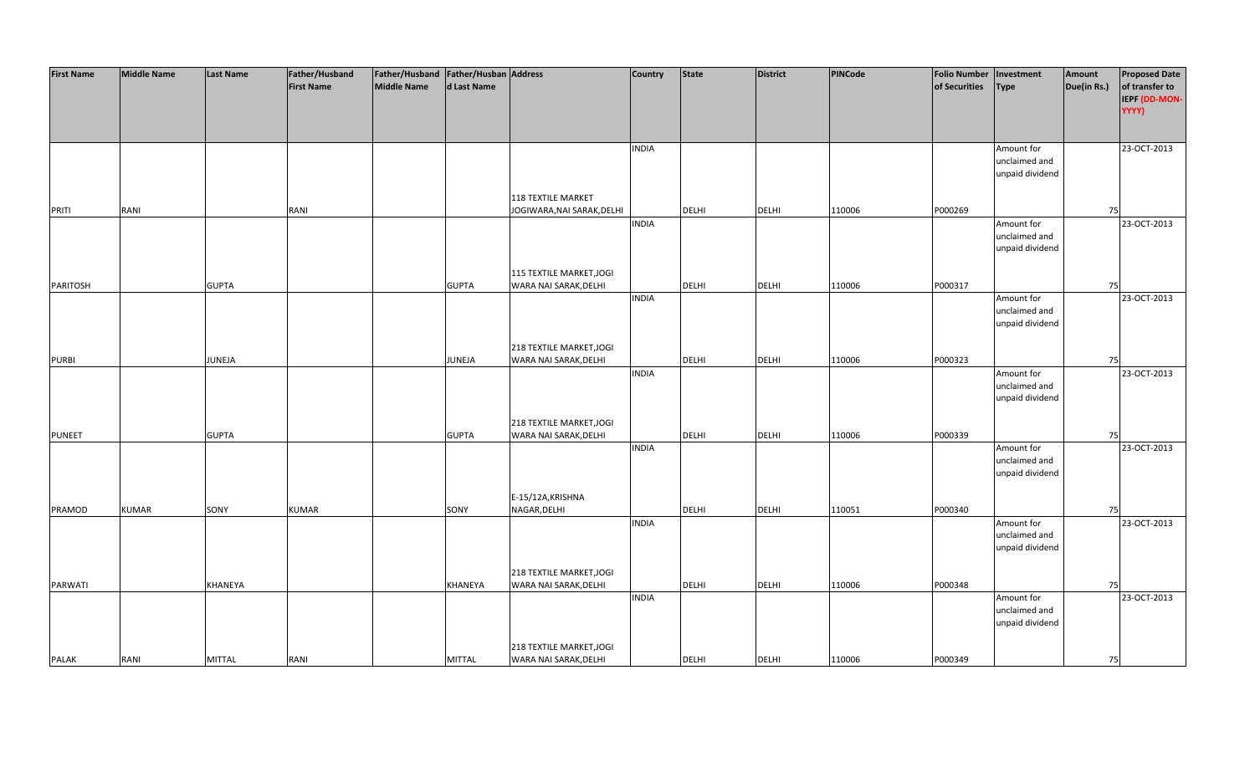| <b>First Name</b> | <b>Middle Name</b> | <b>Last Name</b> | Father/Husband    | Father/Husband   Father/Husban   Address |               |                            | <b>Country</b> | <b>State</b> | <b>District</b> | PINCode | <b>Folio Number</b> | Investment      | Amount      | <b>Proposed Date</b> |
|-------------------|--------------------|------------------|-------------------|------------------------------------------|---------------|----------------------------|----------------|--------------|-----------------|---------|---------------------|-----------------|-------------|----------------------|
|                   |                    |                  | <b>First Name</b> | <b>Middle Name</b>                       | d Last Name   |                            |                |              |                 |         | of Securities       | <b>Type</b>     | Due(in Rs.) | of transfer to       |
|                   |                    |                  |                   |                                          |               |                            |                |              |                 |         |                     |                 |             | IEPF (DD-MON-        |
|                   |                    |                  |                   |                                          |               |                            |                |              |                 |         |                     |                 |             | YYYY)                |
|                   |                    |                  |                   |                                          |               |                            |                |              |                 |         |                     |                 |             |                      |
|                   |                    |                  |                   |                                          |               |                            |                |              |                 |         |                     |                 |             |                      |
|                   |                    |                  |                   |                                          |               |                            | <b>INDIA</b>   |              |                 |         |                     | Amount for      |             | 23-OCT-2013          |
|                   |                    |                  |                   |                                          |               |                            |                |              |                 |         |                     | unclaimed and   |             |                      |
|                   |                    |                  |                   |                                          |               |                            |                |              |                 |         |                     | unpaid dividend |             |                      |
|                   |                    |                  |                   |                                          |               |                            |                |              |                 |         |                     |                 |             |                      |
|                   |                    |                  |                   |                                          |               | <b>118 TEXTILE MARKET</b>  |                |              |                 |         |                     |                 |             |                      |
| <b>PRITI</b>      | RANI               |                  | RANI              |                                          |               | JOGIWARA, NAI SARAK, DELHI |                | <b>DELHI</b> | <b>DELHI</b>    | 110006  | P000269             |                 | 75          |                      |
|                   |                    |                  |                   |                                          |               |                            | <b>INDIA</b>   |              |                 |         |                     | Amount for      |             | 23-OCT-2013          |
|                   |                    |                  |                   |                                          |               |                            |                |              |                 |         |                     | unclaimed and   |             |                      |
|                   |                    |                  |                   |                                          |               |                            |                |              |                 |         |                     | unpaid dividend |             |                      |
|                   |                    |                  |                   |                                          |               |                            |                |              |                 |         |                     |                 |             |                      |
|                   |                    |                  |                   |                                          |               | 115 TEXTILE MARKET, JOGI   |                |              |                 |         |                     |                 |             |                      |
| PARITOSH          |                    | <b>GUPTA</b>     |                   |                                          | <b>GUPTA</b>  | WARA NAI SARAK, DELHI      |                | <b>DELHI</b> | <b>DELHI</b>    | 110006  | P000317             |                 | 75          |                      |
|                   |                    |                  |                   |                                          |               |                            | <b>INDIA</b>   |              |                 |         |                     | Amount for      |             | 23-OCT-2013          |
|                   |                    |                  |                   |                                          |               |                            |                |              |                 |         |                     | unclaimed and   |             |                      |
|                   |                    |                  |                   |                                          |               |                            |                |              |                 |         |                     | unpaid dividend |             |                      |
|                   |                    |                  |                   |                                          |               |                            |                |              |                 |         |                     |                 |             |                      |
|                   |                    |                  |                   |                                          |               | 218 TEXTILE MARKET, JOGI   |                |              |                 |         |                     |                 |             |                      |
| <b>PURBI</b>      |                    | JUNEJA           |                   |                                          | JUNEJA        | WARA NAI SARAK, DELHI      |                | DELHI        | <b>DELHI</b>    | 110006  | P000323             |                 | 75          |                      |
|                   |                    |                  |                   |                                          |               |                            | <b>INDIA</b>   |              |                 |         |                     | Amount for      |             | 23-OCT-2013          |
|                   |                    |                  |                   |                                          |               |                            |                |              |                 |         |                     | unclaimed and   |             |                      |
|                   |                    |                  |                   |                                          |               |                            |                |              |                 |         |                     | unpaid dividend |             |                      |
|                   |                    |                  |                   |                                          |               |                            |                |              |                 |         |                     |                 |             |                      |
|                   |                    |                  |                   |                                          |               | 218 TEXTILE MARKET, JOGI   |                |              |                 |         |                     |                 |             |                      |
| <b>PUNEET</b>     |                    | <b>GUPTA</b>     |                   |                                          | <b>GUPTA</b>  | WARA NAI SARAK, DELHI      |                | <b>DELHI</b> | <b>DELHI</b>    | 110006  | P000339             |                 | 75          |                      |
|                   |                    |                  |                   |                                          |               |                            | <b>INDIA</b>   |              |                 |         |                     | Amount for      |             | 23-OCT-2013          |
|                   |                    |                  |                   |                                          |               |                            |                |              |                 |         |                     | unclaimed and   |             |                      |
|                   |                    |                  |                   |                                          |               |                            |                |              |                 |         |                     | unpaid dividend |             |                      |
|                   |                    |                  |                   |                                          |               | E-15/12A, KRISHNA          |                |              |                 |         |                     |                 |             |                      |
|                   |                    |                  |                   |                                          |               | NAGAR, DELHI               |                |              |                 |         |                     |                 |             |                      |
| PRAMOD            | <b>KUMAR</b>       | SONY             | <b>KUMAR</b>      |                                          | SONY          |                            | <b>INDIA</b>   | DELHI        | <b>DELHI</b>    | 110051  | P000340             | Amount for      | 75          | 23-OCT-2013          |
|                   |                    |                  |                   |                                          |               |                            |                |              |                 |         |                     | unclaimed and   |             |                      |
|                   |                    |                  |                   |                                          |               |                            |                |              |                 |         |                     | unpaid dividend |             |                      |
|                   |                    |                  |                   |                                          |               |                            |                |              |                 |         |                     |                 |             |                      |
|                   |                    |                  |                   |                                          |               | 218 TEXTILE MARKET, JOGI   |                |              |                 |         |                     |                 |             |                      |
| <b>PARWATI</b>    |                    | <b>KHANEYA</b>   |                   |                                          | KHANEYA       | WARA NAI SARAK, DELHI      |                | <b>DELHI</b> | <b>DELHI</b>    | 110006  | P000348             |                 | 75          |                      |
|                   |                    |                  |                   |                                          |               |                            | <b>INDIA</b>   |              |                 |         |                     | Amount for      |             | 23-OCT-2013          |
|                   |                    |                  |                   |                                          |               |                            |                |              |                 |         |                     | unclaimed and   |             |                      |
|                   |                    |                  |                   |                                          |               |                            |                |              |                 |         |                     | unpaid dividend |             |                      |
|                   |                    |                  |                   |                                          |               |                            |                |              |                 |         |                     |                 |             |                      |
|                   |                    |                  |                   |                                          |               | 218 TEXTILE MARKET, JOGI   |                |              |                 |         |                     |                 |             |                      |
| <b>PALAK</b>      | RANI               | <b>MITTAL</b>    | RANI              |                                          | <b>MITTAL</b> | WARA NAI SARAK, DELHI      |                | <b>DELHI</b> | <b>DELHI</b>    | 110006  | P000349             |                 | 75          |                      |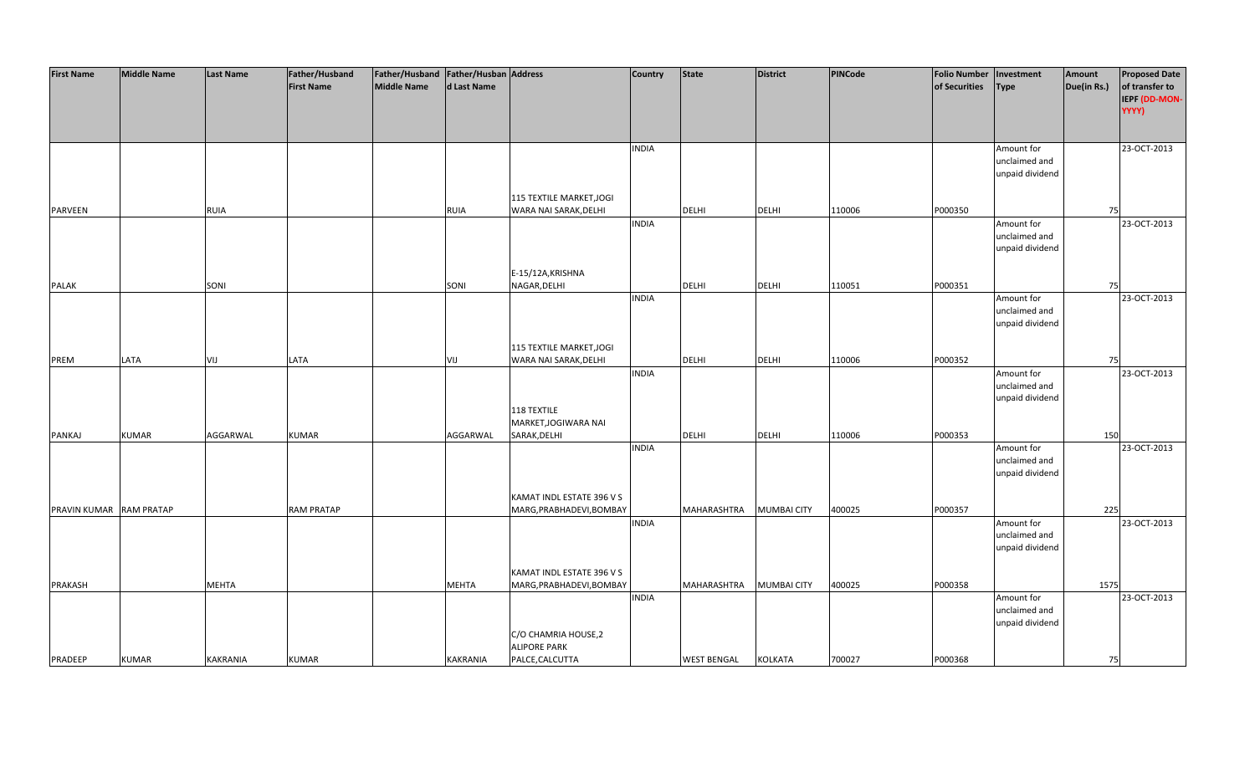| <b>First Name</b>       | <b>Middle Name</b> | <b>Last Name</b> | Father/Husband    | Father/Husband   Father/Husban   Address |             |                                                       | <b>Country</b> | <b>State</b>       | District           | PINCode | <b>Folio Number</b> | Investment                       | Amount      | <b>Proposed Date</b>   |
|-------------------------|--------------------|------------------|-------------------|------------------------------------------|-------------|-------------------------------------------------------|----------------|--------------------|--------------------|---------|---------------------|----------------------------------|-------------|------------------------|
|                         |                    |                  | <b>First Name</b> | Middle Name                              | d Last Name |                                                       |                |                    |                    |         | of Securities       | <b>Type</b>                      | Due(in Rs.) | of transfer to         |
|                         |                    |                  |                   |                                          |             |                                                       |                |                    |                    |         |                     |                                  |             | IEPF (DD-MON-<br>YYYY) |
|                         |                    |                  |                   |                                          |             |                                                       |                |                    |                    |         |                     |                                  |             |                        |
|                         |                    |                  |                   |                                          |             |                                                       |                |                    |                    |         |                     |                                  |             |                        |
|                         |                    |                  |                   |                                          |             |                                                       | <b>INDIA</b>   |                    |                    |         |                     | Amount for                       |             | 23-OCT-2013            |
|                         |                    |                  |                   |                                          |             |                                                       |                |                    |                    |         |                     | unclaimed and                    |             |                        |
|                         |                    |                  |                   |                                          |             |                                                       |                |                    |                    |         |                     | unpaid dividend                  |             |                        |
|                         |                    |                  |                   |                                          |             |                                                       |                |                    |                    |         |                     |                                  |             |                        |
|                         |                    |                  |                   |                                          |             | 115 TEXTILE MARKET, JOGI                              |                |                    |                    |         |                     |                                  |             |                        |
| PARVEEN                 |                    | <b>RUIA</b>      |                   |                                          | RUIA        | WARA NAI SARAK, DELHI                                 |                | <b>DELHI</b>       | <b>DELHI</b>       | 110006  | P000350             |                                  | 75          |                        |
|                         |                    |                  |                   |                                          |             |                                                       | <b>INDIA</b>   |                    |                    |         |                     | Amount for                       |             | 23-OCT-2013            |
|                         |                    |                  |                   |                                          |             |                                                       |                |                    |                    |         |                     | unclaimed and<br>unpaid dividend |             |                        |
|                         |                    |                  |                   |                                          |             |                                                       |                |                    |                    |         |                     |                                  |             |                        |
|                         |                    |                  |                   |                                          |             | E-15/12A, KRISHNA                                     |                |                    |                    |         |                     |                                  |             |                        |
| PALAK                   |                    | SONI             |                   |                                          | SONI        | NAGAR, DELHI                                          |                | DELHI              | <b>DELHI</b>       | 110051  | P000351             |                                  | 75          |                        |
|                         |                    |                  |                   |                                          |             |                                                       | <b>INDIA</b>   |                    |                    |         |                     | Amount for                       |             | 23-OCT-2013            |
|                         |                    |                  |                   |                                          |             |                                                       |                |                    |                    |         |                     | unclaimed and                    |             |                        |
|                         |                    |                  |                   |                                          |             |                                                       |                |                    |                    |         |                     | unpaid dividend                  |             |                        |
|                         |                    |                  |                   |                                          |             |                                                       |                |                    |                    |         |                     |                                  |             |                        |
|                         |                    |                  |                   |                                          |             | 115 TEXTILE MARKET, JOGI                              |                |                    |                    |         |                     |                                  |             |                        |
| PREM                    | LATA               | VIJ              | LATA              |                                          | VIJ         | WARA NAI SARAK, DELHI                                 |                | <b>DELHI</b>       | <b>DELHI</b>       | 110006  | P000352             |                                  | 75          |                        |
|                         |                    |                  |                   |                                          |             |                                                       | <b>INDIA</b>   |                    |                    |         |                     | Amount for                       |             | 23-OCT-2013            |
|                         |                    |                  |                   |                                          |             |                                                       |                |                    |                    |         |                     | unclaimed and                    |             |                        |
|                         |                    |                  |                   |                                          |             |                                                       |                |                    |                    |         |                     | unpaid dividend                  |             |                        |
|                         |                    |                  |                   |                                          |             | 118 TEXTILE                                           |                |                    |                    |         |                     |                                  |             |                        |
| PANKAJ                  | <b>KUMAR</b>       | AGGARWAL         | <b>KUMAR</b>      |                                          | AGGARWAL    | MARKET, JOGIWARA NAI<br>SARAK, DELHI                  |                | <b>DELHI</b>       | <b>DELHI</b>       | 110006  | P000353             |                                  | 150         |                        |
|                         |                    |                  |                   |                                          |             |                                                       | <b>INDIA</b>   |                    |                    |         |                     | Amount for                       |             | 23-OCT-2013            |
|                         |                    |                  |                   |                                          |             |                                                       |                |                    |                    |         |                     | unclaimed and                    |             |                        |
|                         |                    |                  |                   |                                          |             |                                                       |                |                    |                    |         |                     | unpaid dividend                  |             |                        |
|                         |                    |                  |                   |                                          |             |                                                       |                |                    |                    |         |                     |                                  |             |                        |
|                         |                    |                  |                   |                                          |             | KAMAT INDL ESTATE 396 V S                             |                |                    |                    |         |                     |                                  |             |                        |
| PRAVIN KUMAR RAM PRATAP |                    |                  | <b>RAM PRATAP</b> |                                          |             | MARG, PRABHADEVI, BOMBAY                              |                | MAHARASHTRA        | <b>MUMBAI CITY</b> | 400025  | P000357             |                                  | 225         |                        |
|                         |                    |                  |                   |                                          |             |                                                       | <b>INDIA</b>   |                    |                    |         |                     | Amount for                       |             | 23-OCT-2013            |
|                         |                    |                  |                   |                                          |             |                                                       |                |                    |                    |         |                     | unclaimed and                    |             |                        |
|                         |                    |                  |                   |                                          |             |                                                       |                |                    |                    |         |                     | unpaid dividend                  |             |                        |
|                         |                    |                  |                   |                                          |             |                                                       |                |                    |                    |         |                     |                                  |             |                        |
|                         |                    | <b>MEHTA</b>     |                   |                                          | MEHTA       | KAMAT INDL ESTATE 396 V S<br>MARG, PRABHADEVI, BOMBAY |                | MAHARASHTRA        | <b>MUMBAI CITY</b> | 400025  | P000358             |                                  | 1575        |                        |
| PRAKASH                 |                    |                  |                   |                                          |             |                                                       | <b>INDIA</b>   |                    |                    |         |                     | Amount for                       |             | 23-OCT-2013            |
|                         |                    |                  |                   |                                          |             |                                                       |                |                    |                    |         |                     | unclaimed and                    |             |                        |
|                         |                    |                  |                   |                                          |             |                                                       |                |                    |                    |         |                     | unpaid dividend                  |             |                        |
|                         |                    |                  |                   |                                          |             | C/O CHAMRIA HOUSE, 2                                  |                |                    |                    |         |                     |                                  |             |                        |
|                         |                    |                  |                   |                                          |             | <b>ALIPORE PARK</b>                                   |                |                    |                    |         |                     |                                  |             |                        |
| PRADEEP                 | <b>KUMAR</b>       | <b>KAKRANIA</b>  | <b>KUMAR</b>      |                                          | KAKRANIA    | PALCE, CALCUTTA                                       |                | <b>WEST BENGAL</b> | <b>KOLKATA</b>     | 700027  | P000368             |                                  | 75          |                        |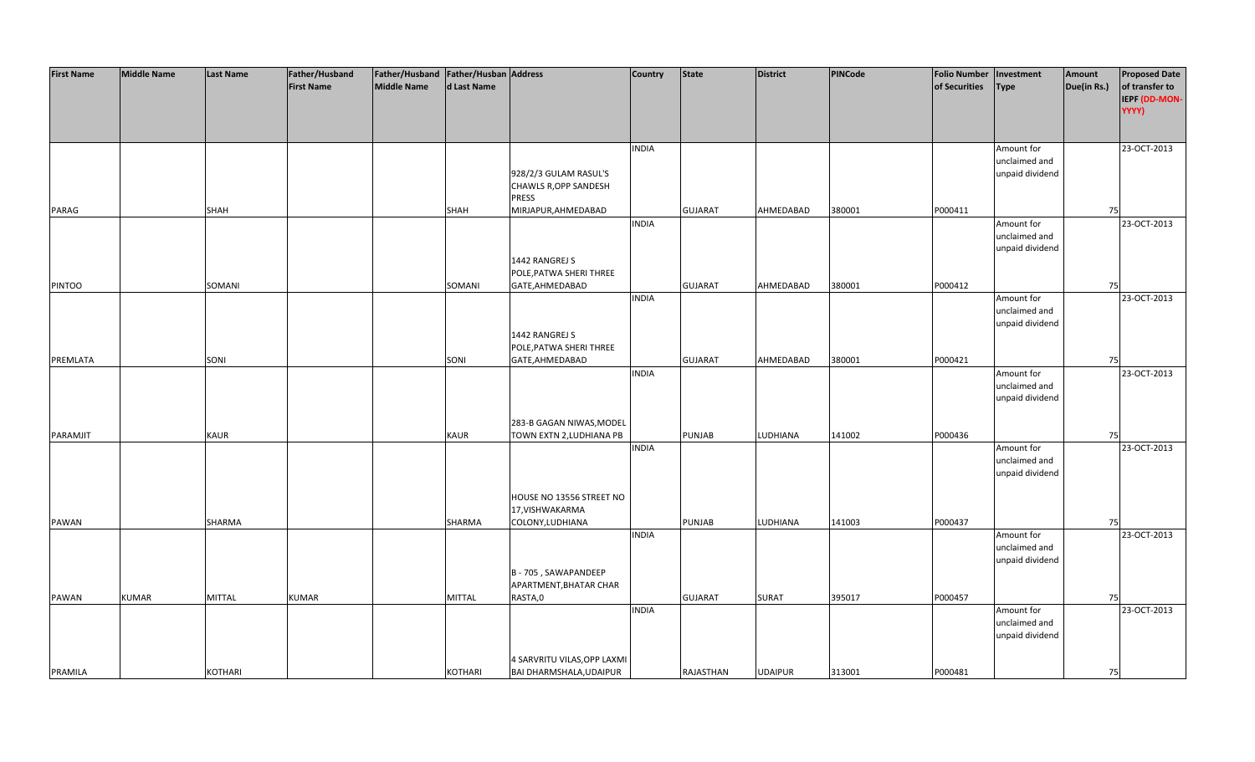| <b>First Name</b> | <b>Middle Name</b> | Last Name      | Father/Husband<br><b>First Name</b> | Father/Husband   Father/Husban   Address<br><b>Middle Name</b> | d Last Name   |                                           | <b>Country</b> | <b>State</b>   | <b>District</b> | <b>PINCode</b> | <b>Folio Number</b><br>of Securities | Investment<br><b>Type</b>        | Amount<br>Due(in Rs.) | <b>Proposed Date</b><br>of transfer to |
|-------------------|--------------------|----------------|-------------------------------------|----------------------------------------------------------------|---------------|-------------------------------------------|----------------|----------------|-----------------|----------------|--------------------------------------|----------------------------------|-----------------------|----------------------------------------|
|                   |                    |                |                                     |                                                                |               |                                           |                |                |                 |                |                                      |                                  |                       | IEPF (DD-MON-<br>YYYY)                 |
|                   |                    |                |                                     |                                                                |               |                                           | <b>INDIA</b>   |                |                 |                |                                      | Amount for                       |                       | 23-OCT-2013                            |
|                   |                    |                |                                     |                                                                |               |                                           |                |                |                 |                |                                      | unclaimed and                    |                       |                                        |
|                   |                    |                |                                     |                                                                |               | 928/2/3 GULAM RASUL'S                     |                |                |                 |                |                                      | unpaid dividend                  |                       |                                        |
|                   |                    |                |                                     |                                                                |               | <b>CHAWLS R, OPP SANDESH</b><br>PRESS     |                |                |                 |                |                                      |                                  |                       |                                        |
| PARAG             |                    | SHAH           |                                     |                                                                | SHAH          | MIRJAPUR, AHMEDABAD                       |                | <b>GUJARAT</b> | AHMEDABAD       | 380001         | P000411                              |                                  | 75                    |                                        |
|                   |                    |                |                                     |                                                                |               |                                           | <b>INDIA</b>   |                |                 |                |                                      | Amount for                       |                       | 23-OCT-2013                            |
|                   |                    |                |                                     |                                                                |               |                                           |                |                |                 |                |                                      | unclaimed and                    |                       |                                        |
|                   |                    |                |                                     |                                                                |               |                                           |                |                |                 |                |                                      | unpaid dividend                  |                       |                                        |
|                   |                    |                |                                     |                                                                |               | 1442 RANGREJ S<br>POLE, PATWA SHERI THREE |                |                |                 |                |                                      |                                  |                       |                                        |
| <b>PINTOO</b>     |                    | SOMANI         |                                     |                                                                | SOMANI        | GATE, AHMEDABAD                           |                | <b>GUJARAT</b> | AHMEDABAD       | 380001         | P000412                              |                                  | 75                    |                                        |
|                   |                    |                |                                     |                                                                |               |                                           | <b>INDIA</b>   |                |                 |                |                                      | Amount for                       |                       | 23-OCT-2013                            |
|                   |                    |                |                                     |                                                                |               |                                           |                |                |                 |                |                                      | unclaimed and                    |                       |                                        |
|                   |                    |                |                                     |                                                                |               |                                           |                |                |                 |                |                                      | unpaid dividend                  |                       |                                        |
|                   |                    |                |                                     |                                                                |               | 1442 RANGREJ S<br>POLE, PATWA SHERI THREE |                |                |                 |                |                                      |                                  |                       |                                        |
| PREMLATA          |                    | SONI           |                                     |                                                                | SONI          | GATE, AHMEDABAD                           |                | <b>GUJARAT</b> | AHMEDABAD       | 380001         | P000421                              |                                  | 75                    |                                        |
|                   |                    |                |                                     |                                                                |               |                                           | <b>INDIA</b>   |                |                 |                |                                      | Amount for                       |                       | 23-OCT-2013                            |
|                   |                    |                |                                     |                                                                |               |                                           |                |                |                 |                |                                      | unclaimed and                    |                       |                                        |
|                   |                    |                |                                     |                                                                |               |                                           |                |                |                 |                |                                      | unpaid dividend                  |                       |                                        |
|                   |                    |                |                                     |                                                                |               | 283-B GAGAN NIWAS, MODEL                  |                |                |                 |                |                                      |                                  |                       |                                        |
| PARAMJIT          |                    | <b>KAUR</b>    |                                     |                                                                | KAUR          | TOWN EXTN 2, LUDHIANA PB                  |                | PUNJAB         | LUDHIANA        | 141002         | P000436                              |                                  | 75                    |                                        |
|                   |                    |                |                                     |                                                                |               |                                           | <b>INDIA</b>   |                |                 |                |                                      | Amount for                       |                       | 23-OCT-2013                            |
|                   |                    |                |                                     |                                                                |               |                                           |                |                |                 |                |                                      | unclaimed and                    |                       |                                        |
|                   |                    |                |                                     |                                                                |               |                                           |                |                |                 |                |                                      | unpaid dividend                  |                       |                                        |
|                   |                    |                |                                     |                                                                |               | HOUSE NO 13556 STREET NO                  |                |                |                 |                |                                      |                                  |                       |                                        |
|                   |                    |                |                                     |                                                                |               | 17, VISHWAKARMA                           |                |                |                 |                |                                      |                                  |                       |                                        |
| PAWAN             |                    | SHARMA         |                                     |                                                                | SHARMA        | COLONY, LUDHIANA                          |                | PUNJAB         | LUDHIANA        | 141003         | P000437                              |                                  | 75                    |                                        |
|                   |                    |                |                                     |                                                                |               |                                           | <b>INDIA</b>   |                |                 |                |                                      | Amount for                       |                       | 23-OCT-2013                            |
|                   |                    |                |                                     |                                                                |               |                                           |                |                |                 |                |                                      | unclaimed and<br>unpaid dividend |                       |                                        |
|                   |                    |                |                                     |                                                                |               | B - 705, SAWAPANDEEP                      |                |                |                 |                |                                      |                                  |                       |                                        |
|                   |                    |                |                                     |                                                                |               | APARTMENT, BHATAR CHAR                    |                |                |                 |                |                                      |                                  |                       |                                        |
| PAWAN             | <b>KUMAR</b>       | <b>MITTAL</b>  | <b>KUMAR</b>                        |                                                                | <b>MITTAL</b> | RASTA,0                                   |                | <b>GUJARAT</b> | <b>SURAT</b>    | 395017         | P000457                              |                                  | 75                    |                                        |
|                   |                    |                |                                     |                                                                |               |                                           | <b>INDIA</b>   |                |                 |                |                                      | Amount for                       |                       | 23-OCT-2013                            |
|                   |                    |                |                                     |                                                                |               |                                           |                |                |                 |                |                                      | unclaimed and                    |                       |                                        |
|                   |                    |                |                                     |                                                                |               |                                           |                |                |                 |                |                                      | unpaid dividend                  |                       |                                        |
|                   |                    |                |                                     |                                                                |               | 4 SARVRITU VILAS, OPP LAXMI               |                |                |                 |                |                                      |                                  |                       |                                        |
| PRAMILA           |                    | <b>KOTHARI</b> |                                     |                                                                | KOTHARI       | BAI DHARMSHALA, UDAIPUR                   |                | RAJASTHAN      | <b>UDAIPUR</b>  | 313001         | P000481                              |                                  | 75                    |                                        |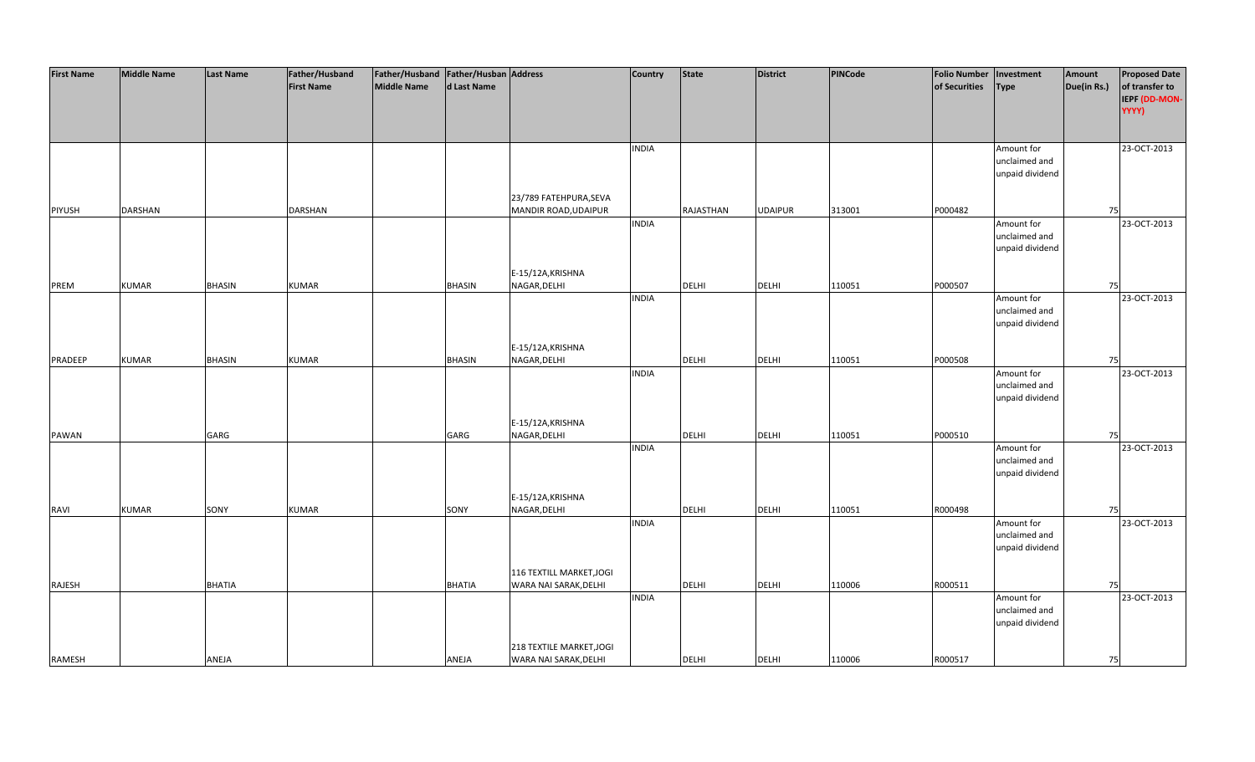| <b>First Name</b> | <b>Middle Name</b> | <b>Last Name</b> | Father/Husband    | Father/Husband   Father/Husban   Address |               |                          | Country      | <b>State</b> | <b>District</b> | PINCode | <b>Folio Number</b> | Investment                  | Amount      | <b>Proposed Date</b> |
|-------------------|--------------------|------------------|-------------------|------------------------------------------|---------------|--------------------------|--------------|--------------|-----------------|---------|---------------------|-----------------------------|-------------|----------------------|
|                   |                    |                  | <b>First Name</b> | <b>Middle Name</b>                       | d Last Name   |                          |              |              |                 |         | of Securities       | <b>Type</b>                 | Due(in Rs.) | of transfer to       |
|                   |                    |                  |                   |                                          |               |                          |              |              |                 |         |                     |                             |             | IEPF (DD-MON-        |
|                   |                    |                  |                   |                                          |               |                          |              |              |                 |         |                     |                             |             | YYYY)                |
|                   |                    |                  |                   |                                          |               |                          |              |              |                 |         |                     |                             |             |                      |
|                   |                    |                  |                   |                                          |               |                          |              |              |                 |         |                     |                             |             |                      |
|                   |                    |                  |                   |                                          |               |                          | <b>INDIA</b> |              |                 |         |                     | Amount for                  |             | 23-OCT-2013          |
|                   |                    |                  |                   |                                          |               |                          |              |              |                 |         |                     | unclaimed and               |             |                      |
|                   |                    |                  |                   |                                          |               |                          |              |              |                 |         |                     | unpaid dividend             |             |                      |
|                   |                    |                  |                   |                                          |               |                          |              |              |                 |         |                     |                             |             |                      |
|                   |                    |                  |                   |                                          |               | 23/789 FATEHPURA, SEVA   |              |              |                 |         |                     |                             |             |                      |
| <b>PIYUSH</b>     | <b>DARSHAN</b>     |                  | <b>DARSHAN</b>    |                                          |               | MANDIR ROAD, UDAIPUR     |              | RAJASTHAN    | <b>UDAIPUR</b>  | 313001  | P000482             |                             | 75          |                      |
|                   |                    |                  |                   |                                          |               |                          | <b>INDIA</b> |              |                 |         |                     | Amount for                  |             | 23-OCT-2013          |
|                   |                    |                  |                   |                                          |               |                          |              |              |                 |         |                     | unclaimed and               |             |                      |
|                   |                    |                  |                   |                                          |               |                          |              |              |                 |         |                     | unpaid dividend             |             |                      |
|                   |                    |                  |                   |                                          |               |                          |              |              |                 |         |                     |                             |             |                      |
|                   |                    |                  |                   |                                          |               | E-15/12A, KRISHNA        |              |              |                 |         |                     |                             |             |                      |
| PREM              | <b>KUMAR</b>       | <b>BHASIN</b>    | <b>KUMAR</b>      |                                          | <b>BHASIN</b> | NAGAR, DELHI             |              | <b>DELHI</b> | <b>DELHI</b>    | 110051  | P000507             |                             | 75          |                      |
|                   |                    |                  |                   |                                          |               |                          | <b>INDIA</b> |              |                 |         |                     | Amount for                  |             | 23-OCT-2013          |
|                   |                    |                  |                   |                                          |               |                          |              |              |                 |         |                     | unclaimed and               |             |                      |
|                   |                    |                  |                   |                                          |               |                          |              |              |                 |         |                     | unpaid dividend             |             |                      |
|                   |                    |                  |                   |                                          |               |                          |              |              |                 |         |                     |                             |             |                      |
|                   |                    |                  |                   |                                          |               | E-15/12A, KRISHNA        |              |              |                 |         |                     |                             |             |                      |
| PRADEEP           | <b>KUMAR</b>       | <b>BHASIN</b>    | <b>KUMAR</b>      |                                          | <b>BHASIN</b> | NAGAR, DELHI             |              | DELHI        | <b>DELHI</b>    | 110051  | P000508             |                             | 75          |                      |
|                   |                    |                  |                   |                                          |               |                          | <b>INDIA</b> |              |                 |         |                     | Amount for<br>unclaimed and |             | 23-OCT-2013          |
|                   |                    |                  |                   |                                          |               |                          |              |              |                 |         |                     | unpaid dividend             |             |                      |
|                   |                    |                  |                   |                                          |               |                          |              |              |                 |         |                     |                             |             |                      |
|                   |                    |                  |                   |                                          |               | E-15/12A, KRISHNA        |              |              |                 |         |                     |                             |             |                      |
| PAWAN             |                    | GARG             |                   |                                          | GARG          | NAGAR, DELHI             |              | <b>DELHI</b> | <b>DELHI</b>    | 110051  | P000510             |                             | 75          |                      |
|                   |                    |                  |                   |                                          |               |                          | <b>INDIA</b> |              |                 |         |                     | Amount for                  |             | 23-OCT-2013          |
|                   |                    |                  |                   |                                          |               |                          |              |              |                 |         |                     | unclaimed and               |             |                      |
|                   |                    |                  |                   |                                          |               |                          |              |              |                 |         |                     | unpaid dividend             |             |                      |
|                   |                    |                  |                   |                                          |               |                          |              |              |                 |         |                     |                             |             |                      |
|                   |                    |                  |                   |                                          |               | E-15/12A, KRISHNA        |              |              |                 |         |                     |                             |             |                      |
| <b>RAVI</b>       | <b>KUMAR</b>       | SONY             | <b>KUMAR</b>      |                                          | SONY          | NAGAR, DELHI             |              | DELHI        | <b>DELHI</b>    | 110051  | R000498             |                             | 75          |                      |
|                   |                    |                  |                   |                                          |               |                          | <b>INDIA</b> |              |                 |         |                     | Amount for                  |             | 23-OCT-2013          |
|                   |                    |                  |                   |                                          |               |                          |              |              |                 |         |                     | unclaimed and               |             |                      |
|                   |                    |                  |                   |                                          |               |                          |              |              |                 |         |                     | unpaid dividend             |             |                      |
|                   |                    |                  |                   |                                          |               |                          |              |              |                 |         |                     |                             |             |                      |
|                   |                    |                  |                   |                                          |               | 116 TEXTILL MARKET, JOGI |              |              |                 |         |                     |                             |             |                      |
| RAJESH            |                    | <b>BHATIA</b>    |                   |                                          | <b>BHATIA</b> | WARA NAI SARAK, DELHI    |              | <b>DELHI</b> | <b>DELHI</b>    | 110006  | R000511             |                             | 75          |                      |
|                   |                    |                  |                   |                                          |               |                          | <b>INDIA</b> |              |                 |         |                     | Amount for                  |             | 23-OCT-2013          |
|                   |                    |                  |                   |                                          |               |                          |              |              |                 |         |                     | unclaimed and               |             |                      |
|                   |                    |                  |                   |                                          |               |                          |              |              |                 |         |                     | unpaid dividend             |             |                      |
|                   |                    |                  |                   |                                          |               | 218 TEXTILE MARKET, JOGI |              |              |                 |         |                     |                             |             |                      |
| RAMESH            |                    | ANEJA            |                   |                                          | ANEJA         | WARA NAI SARAK, DELHI    |              | <b>DELHI</b> | <b>DELHI</b>    | 110006  | R000517             |                             | 75          |                      |
|                   |                    |                  |                   |                                          |               |                          |              |              |                 |         |                     |                             |             |                      |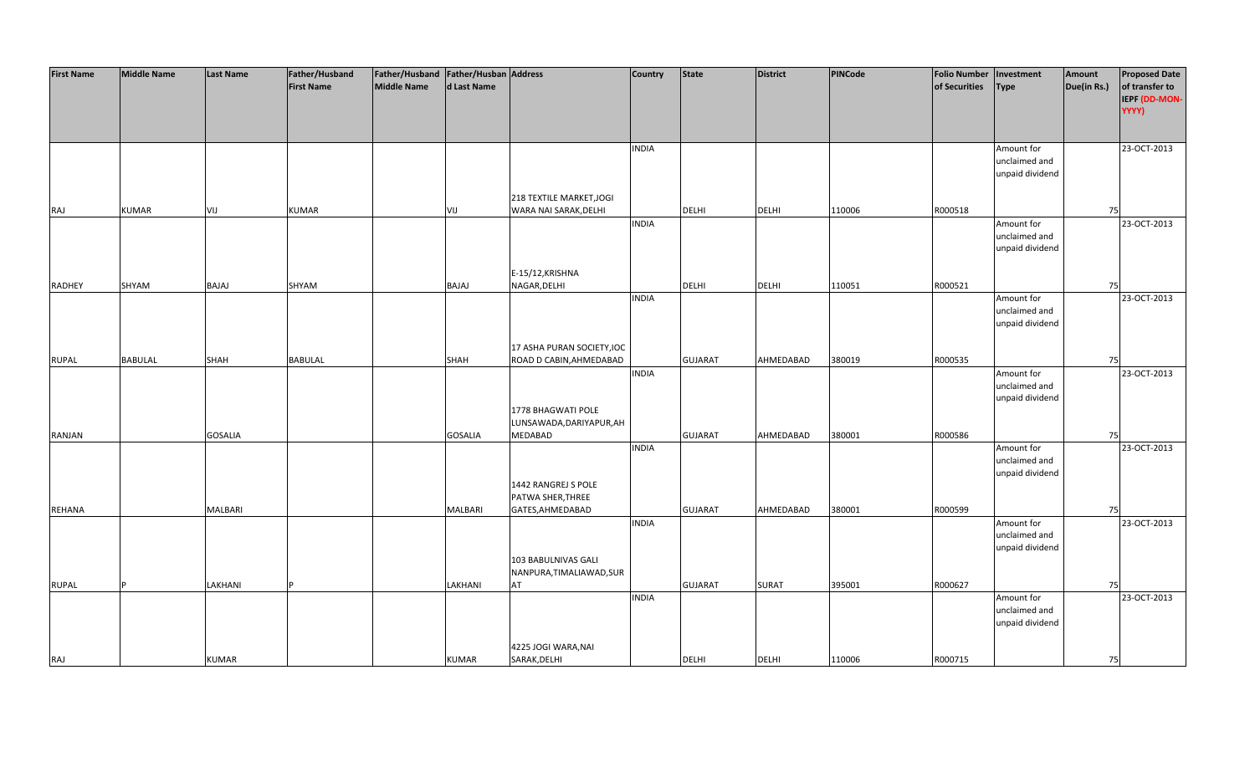| <b>First Name</b> | <b>Middle Name</b> | <b>Last Name</b> | Father/Husband    | Father/Husband   Father/Husban   Address |                |                            | <b>Country</b> | <b>State</b>   | <b>District</b> | PINCode | <b>Folio Number</b> | Investment      | Amount      | <b>Proposed Date</b> |
|-------------------|--------------------|------------------|-------------------|------------------------------------------|----------------|----------------------------|----------------|----------------|-----------------|---------|---------------------|-----------------|-------------|----------------------|
|                   |                    |                  | <b>First Name</b> | <b>Middle Name</b>                       | d Last Name    |                            |                |                |                 |         | of Securities       | <b>Type</b>     | Due(in Rs.) | of transfer to       |
|                   |                    |                  |                   |                                          |                |                            |                |                |                 |         |                     |                 |             | IEPF (DD-MON-        |
|                   |                    |                  |                   |                                          |                |                            |                |                |                 |         |                     |                 |             | YYYY)                |
|                   |                    |                  |                   |                                          |                |                            |                |                |                 |         |                     |                 |             |                      |
|                   |                    |                  |                   |                                          |                |                            |                |                |                 |         |                     |                 |             |                      |
|                   |                    |                  |                   |                                          |                |                            | <b>INDIA</b>   |                |                 |         |                     | Amount for      |             | 23-OCT-2013          |
|                   |                    |                  |                   |                                          |                |                            |                |                |                 |         |                     | unclaimed and   |             |                      |
|                   |                    |                  |                   |                                          |                |                            |                |                |                 |         |                     | unpaid dividend |             |                      |
|                   |                    |                  |                   |                                          |                |                            |                |                |                 |         |                     |                 |             |                      |
|                   |                    |                  |                   |                                          |                | 218 TEXTILE MARKET, JOGI   |                |                |                 |         |                     |                 |             |                      |
| RAJ               | <b>KUMAR</b>       | VIJ              | <b>KUMAR</b>      |                                          | VIJ            | WARA NAI SARAK, DELHI      |                | <b>DELHI</b>   | <b>DELHI</b>    | 110006  | R000518             |                 | 75          |                      |
|                   |                    |                  |                   |                                          |                |                            | <b>INDIA</b>   |                |                 |         |                     | Amount for      |             | 23-OCT-2013          |
|                   |                    |                  |                   |                                          |                |                            |                |                |                 |         |                     | unclaimed and   |             |                      |
|                   |                    |                  |                   |                                          |                |                            |                |                |                 |         |                     | unpaid dividend |             |                      |
|                   |                    |                  |                   |                                          |                |                            |                |                |                 |         |                     |                 |             |                      |
|                   |                    |                  |                   |                                          |                | E-15/12, KRISHNA           |                |                |                 |         |                     |                 |             |                      |
| <b>RADHEY</b>     | SHYAM              | BAJAJ            | SHYAM             |                                          | BAJAJ          | NAGAR, DELHI               |                | <b>DELHI</b>   | <b>DELHI</b>    | 110051  | R000521             |                 | 75          |                      |
|                   |                    |                  |                   |                                          |                |                            | <b>INDIA</b>   |                |                 |         |                     | Amount for      |             | 23-OCT-2013          |
|                   |                    |                  |                   |                                          |                |                            |                |                |                 |         |                     | unclaimed and   |             |                      |
|                   |                    |                  |                   |                                          |                |                            |                |                |                 |         |                     | unpaid dividend |             |                      |
|                   |                    |                  |                   |                                          |                |                            |                |                |                 |         |                     |                 |             |                      |
|                   |                    |                  |                   |                                          |                | 17 ASHA PURAN SOCIETY, IOC |                |                |                 |         |                     |                 |             |                      |
| <b>RUPAL</b>      | <b>BABULAL</b>     | SHAH             | <b>BABULAL</b>    |                                          | SHAH           | ROAD D CABIN, AHMEDABAD    |                | <b>GUJARAT</b> | AHMEDABAD       | 380019  | R000535             |                 | 75          |                      |
|                   |                    |                  |                   |                                          |                |                            | <b>INDIA</b>   |                |                 |         |                     | Amount for      |             | 23-OCT-2013          |
|                   |                    |                  |                   |                                          |                |                            |                |                |                 |         |                     | unclaimed and   |             |                      |
|                   |                    |                  |                   |                                          |                |                            |                |                |                 |         |                     | unpaid dividend |             |                      |
|                   |                    |                  |                   |                                          |                | 1778 BHAGWATI POLE         |                |                |                 |         |                     |                 |             |                      |
|                   |                    |                  |                   |                                          |                | LUNSAWADA, DARIYAPUR, AH   |                |                |                 |         |                     |                 |             |                      |
| RANJAN            |                    | <b>GOSALIA</b>   |                   |                                          | <b>GOSALIA</b> | <b>MEDABAD</b>             |                | <b>GUJARAT</b> | AHMEDABAD       | 380001  | R000586             |                 | 75          |                      |
|                   |                    |                  |                   |                                          |                |                            | <b>INDIA</b>   |                |                 |         |                     | Amount for      |             | 23-OCT-2013          |
|                   |                    |                  |                   |                                          |                |                            |                |                |                 |         |                     | unclaimed and   |             |                      |
|                   |                    |                  |                   |                                          |                |                            |                |                |                 |         |                     | unpaid dividend |             |                      |
|                   |                    |                  |                   |                                          |                | 1442 RANGREJ S POLE        |                |                |                 |         |                     |                 |             |                      |
|                   |                    |                  |                   |                                          |                | PATWA SHER, THREE          |                |                |                 |         |                     |                 |             |                      |
| REHANA            |                    | <b>MALBARI</b>   |                   |                                          | <b>MALBARI</b> | GATES, AHMEDABAD           |                | <b>GUJARAT</b> | AHMEDABAD       | 380001  | R000599             |                 | 75          |                      |
|                   |                    |                  |                   |                                          |                |                            | <b>INDIA</b>   |                |                 |         |                     | Amount for      |             | 23-OCT-2013          |
|                   |                    |                  |                   |                                          |                |                            |                |                |                 |         |                     | unclaimed and   |             |                      |
|                   |                    |                  |                   |                                          |                |                            |                |                |                 |         |                     | unpaid dividend |             |                      |
|                   |                    |                  |                   |                                          |                | 103 BABULNIVAS GALI        |                |                |                 |         |                     |                 |             |                      |
|                   |                    |                  |                   |                                          |                | NANPURA, TIMALIAWAD, SUR   |                |                |                 |         |                     |                 |             |                      |
| <b>RUPAL</b>      |                    | LAKHANI          |                   |                                          | LAKHANI        | AT                         |                | <b>GUJARAT</b> | <b>SURAT</b>    | 395001  | R000627             |                 | 75          |                      |
|                   |                    |                  |                   |                                          |                |                            | <b>INDIA</b>   |                |                 |         |                     | Amount for      |             | 23-OCT-2013          |
|                   |                    |                  |                   |                                          |                |                            |                |                |                 |         |                     | unclaimed and   |             |                      |
|                   |                    |                  |                   |                                          |                |                            |                |                |                 |         |                     | unpaid dividend |             |                      |
|                   |                    |                  |                   |                                          |                |                            |                |                |                 |         |                     |                 |             |                      |
|                   |                    |                  |                   |                                          |                | 4225 JOGI WARA, NAI        |                |                |                 |         |                     |                 |             |                      |
| RAJ               |                    | <b>KUMAR</b>     |                   |                                          | <b>KUMAR</b>   | SARAK, DELHI               |                | <b>DELHI</b>   | <b>DELHI</b>    | 110006  | R000715             |                 | 75          |                      |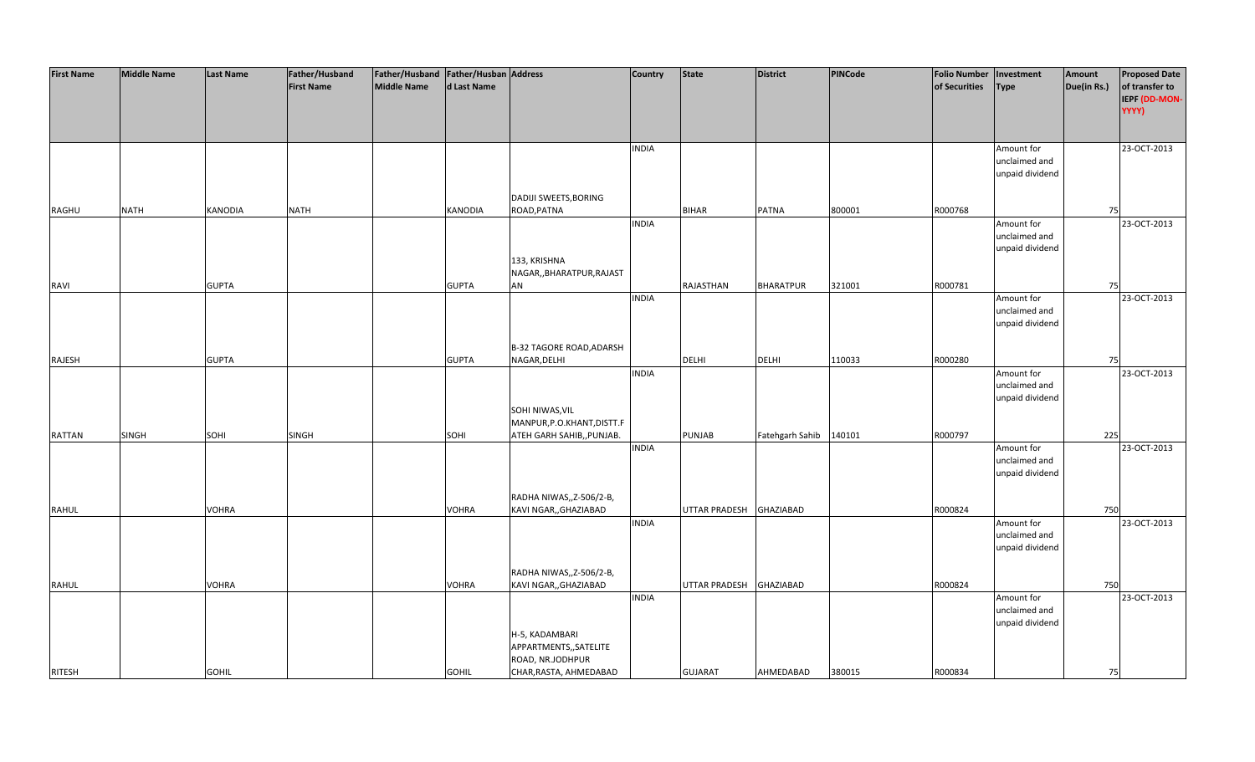| <b>First Name</b> | <b>Middle Name</b> | <b>Last Name</b> | Father/Husband    | Father/Husband Father/Husban Address |              |                                 | <b>Country</b> | <b>State</b>         | <b>District</b>        | <b>PINCode</b> | <b>Folio Number</b> | Investment      | Amount      | <b>Proposed Date</b> |
|-------------------|--------------------|------------------|-------------------|--------------------------------------|--------------|---------------------------------|----------------|----------------------|------------------------|----------------|---------------------|-----------------|-------------|----------------------|
|                   |                    |                  | <b>First Name</b> | <b>Middle Name</b>                   | d Last Name  |                                 |                |                      |                        |                | of Securities       | <b>Type</b>     | Due(in Rs.) | of transfer to       |
|                   |                    |                  |                   |                                      |              |                                 |                |                      |                        |                |                     |                 |             | IEPF (DD-MON-        |
|                   |                    |                  |                   |                                      |              |                                 |                |                      |                        |                |                     |                 |             | YYYY)                |
|                   |                    |                  |                   |                                      |              |                                 |                |                      |                        |                |                     |                 |             |                      |
|                   |                    |                  |                   |                                      |              |                                 |                |                      |                        |                |                     |                 |             |                      |
|                   |                    |                  |                   |                                      |              |                                 | <b>INDIA</b>   |                      |                        |                |                     | Amount for      |             | 23-OCT-2013          |
|                   |                    |                  |                   |                                      |              |                                 |                |                      |                        |                |                     | unclaimed and   |             |                      |
|                   |                    |                  |                   |                                      |              |                                 |                |                      |                        |                |                     | unpaid dividend |             |                      |
|                   |                    |                  |                   |                                      |              |                                 |                |                      |                        |                |                     |                 |             |                      |
|                   |                    |                  |                   |                                      |              | DADIJI SWEETS, BORING           |                |                      |                        |                |                     |                 |             |                      |
| RAGHU             | <b>NATH</b>        | <b>KANODIA</b>   | NATH              |                                      | KANODIA      | ROAD, PATNA                     |                | <b>BIHAR</b>         | <b>PATNA</b>           | 800001         | R000768             |                 | 75          |                      |
|                   |                    |                  |                   |                                      |              |                                 | <b>INDIA</b>   |                      |                        |                |                     | Amount for      |             | 23-OCT-2013          |
|                   |                    |                  |                   |                                      |              |                                 |                |                      |                        |                |                     | unclaimed and   |             |                      |
|                   |                    |                  |                   |                                      |              |                                 |                |                      |                        |                |                     | unpaid dividend |             |                      |
|                   |                    |                  |                   |                                      |              | 133, KRISHNA                    |                |                      |                        |                |                     |                 |             |                      |
|                   |                    |                  |                   |                                      |              | NAGAR,, BHARATPUR, RAJAST       |                |                      |                        |                |                     |                 |             |                      |
| RAVI              |                    | <b>GUPTA</b>     |                   |                                      | <b>GUPTA</b> | AN                              |                | RAJASTHAN            | <b>BHARATPUR</b>       | 321001         | R000781             |                 | 75          |                      |
|                   |                    |                  |                   |                                      |              |                                 | <b>INDIA</b>   |                      |                        |                |                     | Amount for      |             | 23-OCT-2013          |
|                   |                    |                  |                   |                                      |              |                                 |                |                      |                        |                |                     | unclaimed and   |             |                      |
|                   |                    |                  |                   |                                      |              |                                 |                |                      |                        |                |                     | unpaid dividend |             |                      |
|                   |                    |                  |                   |                                      |              |                                 |                |                      |                        |                |                     |                 |             |                      |
|                   |                    |                  |                   |                                      |              | <b>B-32 TAGORE ROAD, ADARSH</b> |                |                      |                        |                |                     |                 |             |                      |
| RAJESH            |                    | <b>GUPTA</b>     |                   |                                      | <b>GUPTA</b> | NAGAR, DELHI                    |                | <b>DELHI</b>         | <b>DELHI</b>           | 110033         | R000280             |                 | 75          |                      |
|                   |                    |                  |                   |                                      |              |                                 | <b>INDIA</b>   |                      |                        |                |                     | Amount for      |             | 23-OCT-2013          |
|                   |                    |                  |                   |                                      |              |                                 |                |                      |                        |                |                     | unclaimed and   |             |                      |
|                   |                    |                  |                   |                                      |              |                                 |                |                      |                        |                |                     | unpaid dividend |             |                      |
|                   |                    |                  |                   |                                      |              | SOHI NIWAS, VIL                 |                |                      |                        |                |                     |                 |             |                      |
|                   |                    |                  |                   |                                      |              | MANPUR, P.O.KHANT, DISTT.F      |                |                      |                        |                |                     |                 |             |                      |
| <b>RATTAN</b>     | <b>SINGH</b>       | SOHI             | SINGH             |                                      | SOHI         | ATEH GARH SAHIB,, PUNJAB.       |                | PUNJAB               | <b>Fatehgarh Sahib</b> | 140101         | R000797             |                 | 225         |                      |
|                   |                    |                  |                   |                                      |              |                                 | <b>INDIA</b>   |                      |                        |                |                     | Amount for      |             | 23-OCT-2013          |
|                   |                    |                  |                   |                                      |              |                                 |                |                      |                        |                |                     | unclaimed and   |             |                      |
|                   |                    |                  |                   |                                      |              |                                 |                |                      |                        |                |                     | unpaid dividend |             |                      |
|                   |                    |                  |                   |                                      |              |                                 |                |                      |                        |                |                     |                 |             |                      |
|                   |                    |                  |                   |                                      |              | RADHA NIWAS,, Z-506/2-B,        |                |                      |                        |                |                     |                 |             |                      |
| <b>RAHUL</b>      |                    | <b>VOHRA</b>     |                   |                                      | <b>VOHRA</b> | KAVI NGAR,, GHAZIABAD           |                | <b>UTTAR PRADESH</b> | <b>GHAZIABAD</b>       |                | R000824             |                 | 750         |                      |
|                   |                    |                  |                   |                                      |              |                                 | <b>INDIA</b>   |                      |                        |                |                     | Amount for      |             | 23-OCT-2013          |
|                   |                    |                  |                   |                                      |              |                                 |                |                      |                        |                |                     | unclaimed and   |             |                      |
|                   |                    |                  |                   |                                      |              |                                 |                |                      |                        |                |                     | unpaid dividend |             |                      |
|                   |                    |                  |                   |                                      |              |                                 |                |                      |                        |                |                     |                 |             |                      |
|                   |                    |                  |                   |                                      |              | RADHA NIWAS,, Z-506/2-B,        |                |                      |                        |                |                     |                 |             |                      |
| <b>RAHUL</b>      |                    | <b>VOHRA</b>     |                   |                                      | VOHRA        | KAVI NGAR,, GHAZIABAD           |                | UTTAR PRADESH        | <b>GHAZIABAD</b>       |                | R000824             |                 | 750         |                      |
|                   |                    |                  |                   |                                      |              |                                 | <b>INDIA</b>   |                      |                        |                |                     | Amount for      |             | 23-OCT-2013          |
|                   |                    |                  |                   |                                      |              |                                 |                |                      |                        |                |                     | unclaimed and   |             |                      |
|                   |                    |                  |                   |                                      |              |                                 |                |                      |                        |                |                     | unpaid dividend |             |                      |
|                   |                    |                  |                   |                                      |              | H-5, KADAMBARI                  |                |                      |                        |                |                     |                 |             |                      |
|                   |                    |                  |                   |                                      |              | APPARTMENTS,, SATELITE          |                |                      |                        |                |                     |                 |             |                      |
|                   |                    |                  |                   |                                      |              | ROAD, NR.JODHPUR                |                |                      |                        |                |                     |                 |             |                      |
| <b>RITESH</b>     |                    | <b>GOHIL</b>     |                   |                                      | <b>GOHIL</b> | CHAR, RASTA, AHMEDABAD          |                | <b>GUJARAT</b>       | AHMEDABAD              | 380015         | R000834             |                 | 75          |                      |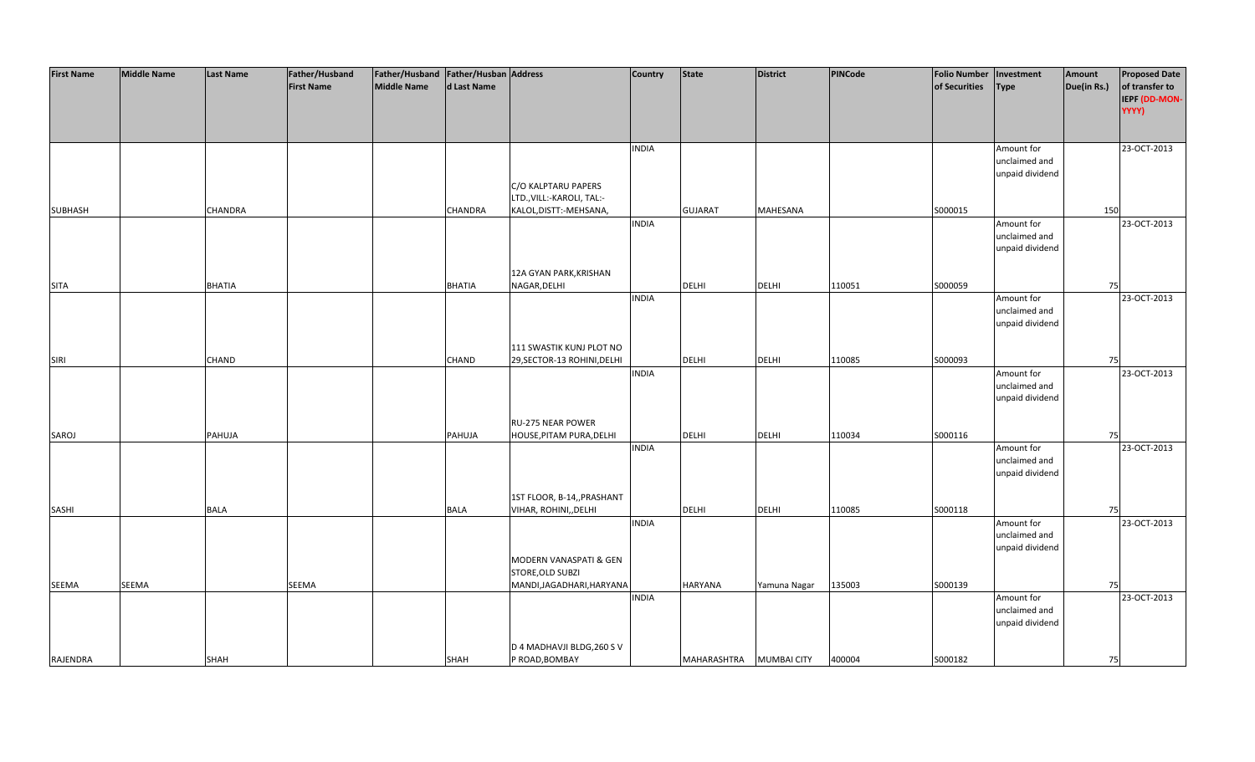| <b>First Name</b> | <b>Middle Name</b> | <b>Last Name</b> | Father/Husband    | Father/Husband Father/Husban Address |                |                             | <b>Country</b> | <b>State</b>   | <b>District</b>    | PINCode | <b>Folio Number</b> | Investment      | Amount      | <b>Proposed Date</b> |
|-------------------|--------------------|------------------|-------------------|--------------------------------------|----------------|-----------------------------|----------------|----------------|--------------------|---------|---------------------|-----------------|-------------|----------------------|
|                   |                    |                  | <b>First Name</b> | <b>Middle Name</b>                   | d Last Name    |                             |                |                |                    |         | of Securities       | Type            | Due(in Rs.) | of transfer to       |
|                   |                    |                  |                   |                                      |                |                             |                |                |                    |         |                     |                 |             | IEPF (DD-MON-        |
|                   |                    |                  |                   |                                      |                |                             |                |                |                    |         |                     |                 |             | YYYY)                |
|                   |                    |                  |                   |                                      |                |                             |                |                |                    |         |                     |                 |             |                      |
|                   |                    |                  |                   |                                      |                |                             |                |                |                    |         |                     |                 |             |                      |
|                   |                    |                  |                   |                                      |                |                             | <b>INDIA</b>   |                |                    |         |                     | Amount for      |             | 23-OCT-2013          |
|                   |                    |                  |                   |                                      |                |                             |                |                |                    |         |                     | unclaimed and   |             |                      |
|                   |                    |                  |                   |                                      |                |                             |                |                |                    |         |                     | unpaid dividend |             |                      |
|                   |                    |                  |                   |                                      |                | C/O KALPTARU PAPERS         |                |                |                    |         |                     |                 |             |                      |
|                   |                    |                  |                   |                                      |                | LTD., VILL:-KAROLI, TAL:-   |                |                |                    |         |                     |                 |             |                      |
| <b>SUBHASH</b>    |                    | <b>CHANDRA</b>   |                   |                                      | <b>CHANDRA</b> | KALOL, DISTT:-MEHSANA,      |                | <b>GUJARAT</b> | <b>MAHESANA</b>    |         | S000015             |                 | 150         |                      |
|                   |                    |                  |                   |                                      |                |                             | <b>INDIA</b>   |                |                    |         |                     | Amount for      |             | 23-OCT-2013          |
|                   |                    |                  |                   |                                      |                |                             |                |                |                    |         |                     | unclaimed and   |             |                      |
|                   |                    |                  |                   |                                      |                |                             |                |                |                    |         |                     | unpaid dividend |             |                      |
|                   |                    |                  |                   |                                      |                |                             |                |                |                    |         |                     |                 |             |                      |
|                   |                    |                  |                   |                                      |                | 12A GYAN PARK, KRISHAN      |                |                |                    |         |                     |                 |             |                      |
| <b>SITA</b>       |                    | <b>BHATIA</b>    |                   |                                      | <b>BHATIA</b>  | NAGAR, DELHI                |                | <b>DELHI</b>   | <b>DELHI</b>       | 110051  | S000059             |                 | 75          |                      |
|                   |                    |                  |                   |                                      |                |                             | <b>INDIA</b>   |                |                    |         |                     | Amount for      |             | 23-OCT-2013          |
|                   |                    |                  |                   |                                      |                |                             |                |                |                    |         |                     | unclaimed and   |             |                      |
|                   |                    |                  |                   |                                      |                |                             |                |                |                    |         |                     | unpaid dividend |             |                      |
|                   |                    |                  |                   |                                      |                |                             |                |                |                    |         |                     |                 |             |                      |
|                   |                    |                  |                   |                                      |                | 111 SWASTIK KUNJ PLOT NO    |                |                |                    |         |                     |                 |             |                      |
| <b>SIRI</b>       |                    | CHAND            |                   |                                      | CHAND          | 29, SECTOR-13 ROHINI, DELHI |                | DELHI          | <b>DELHI</b>       | 110085  | S000093             |                 | 75          |                      |
|                   |                    |                  |                   |                                      |                |                             | <b>INDIA</b>   |                |                    |         |                     | Amount for      |             | 23-OCT-2013          |
|                   |                    |                  |                   |                                      |                |                             |                |                |                    |         |                     | unclaimed and   |             |                      |
|                   |                    |                  |                   |                                      |                |                             |                |                |                    |         |                     | unpaid dividend |             |                      |
|                   |                    |                  |                   |                                      |                |                             |                |                |                    |         |                     |                 |             |                      |
|                   |                    |                  |                   |                                      |                | <b>RU-275 NEAR POWER</b>    |                |                |                    |         |                     |                 |             |                      |
| SAROJ             |                    | PAHUJA           |                   |                                      | PAHUJA         | HOUSE, PITAM PURA, DELHI    |                | <b>DELHI</b>   | <b>DELHI</b>       | 110034  | S000116             |                 | 75          |                      |
|                   |                    |                  |                   |                                      |                |                             | <b>INDIA</b>   |                |                    |         |                     | Amount for      |             | 23-OCT-2013          |
|                   |                    |                  |                   |                                      |                |                             |                |                |                    |         |                     | unclaimed and   |             |                      |
|                   |                    |                  |                   |                                      |                |                             |                |                |                    |         |                     | unpaid dividend |             |                      |
|                   |                    |                  |                   |                                      |                |                             |                |                |                    |         |                     |                 |             |                      |
|                   |                    |                  |                   |                                      |                | 1ST FLOOR, B-14,, PRASHANT  |                |                |                    |         |                     |                 |             |                      |
| SASHI             |                    | <b>BALA</b>      |                   |                                      | <b>BALA</b>    | VIHAR, ROHINI, DELHI        |                | DELHI          | <b>DELHI</b>       | 110085  | S000118             |                 | 75          |                      |
|                   |                    |                  |                   |                                      |                |                             | <b>INDIA</b>   |                |                    |         |                     | Amount for      |             | 23-OCT-2013          |
|                   |                    |                  |                   |                                      |                |                             |                |                |                    |         |                     | unclaimed and   |             |                      |
|                   |                    |                  |                   |                                      |                |                             |                |                |                    |         |                     | unpaid dividend |             |                      |
|                   |                    |                  |                   |                                      |                | MODERN VANASPATI & GEN      |                |                |                    |         |                     |                 |             |                      |
|                   |                    |                  |                   |                                      |                | STORE, OLD SUBZI            |                |                |                    |         |                     |                 |             |                      |
| SEEMA             | <b>SEEMA</b>       |                  | SEEMA             |                                      |                | MANDI, JAGADHARI, HARYANA   |                | <b>HARYANA</b> | Yamuna Nagar       | 135003  | S000139             |                 | 75          |                      |
|                   |                    |                  |                   |                                      |                |                             | <b>INDIA</b>   |                |                    |         |                     | Amount for      |             | 23-OCT-2013          |
|                   |                    |                  |                   |                                      |                |                             |                |                |                    |         |                     | unclaimed and   |             |                      |
|                   |                    |                  |                   |                                      |                |                             |                |                |                    |         |                     | unpaid dividend |             |                      |
|                   |                    |                  |                   |                                      |                |                             |                |                |                    |         |                     |                 |             |                      |
|                   |                    |                  |                   |                                      |                | D 4 MADHAVJI BLDG, 260 S V  |                |                |                    |         |                     |                 |             |                      |
| RAJENDRA          |                    | <b>SHAH</b>      |                   |                                      | <b>SHAH</b>    | P ROAD, BOMBAY              |                | MAHARASHTRA    | <b>MUMBAI CITY</b> | 400004  | S000182             |                 | 75          |                      |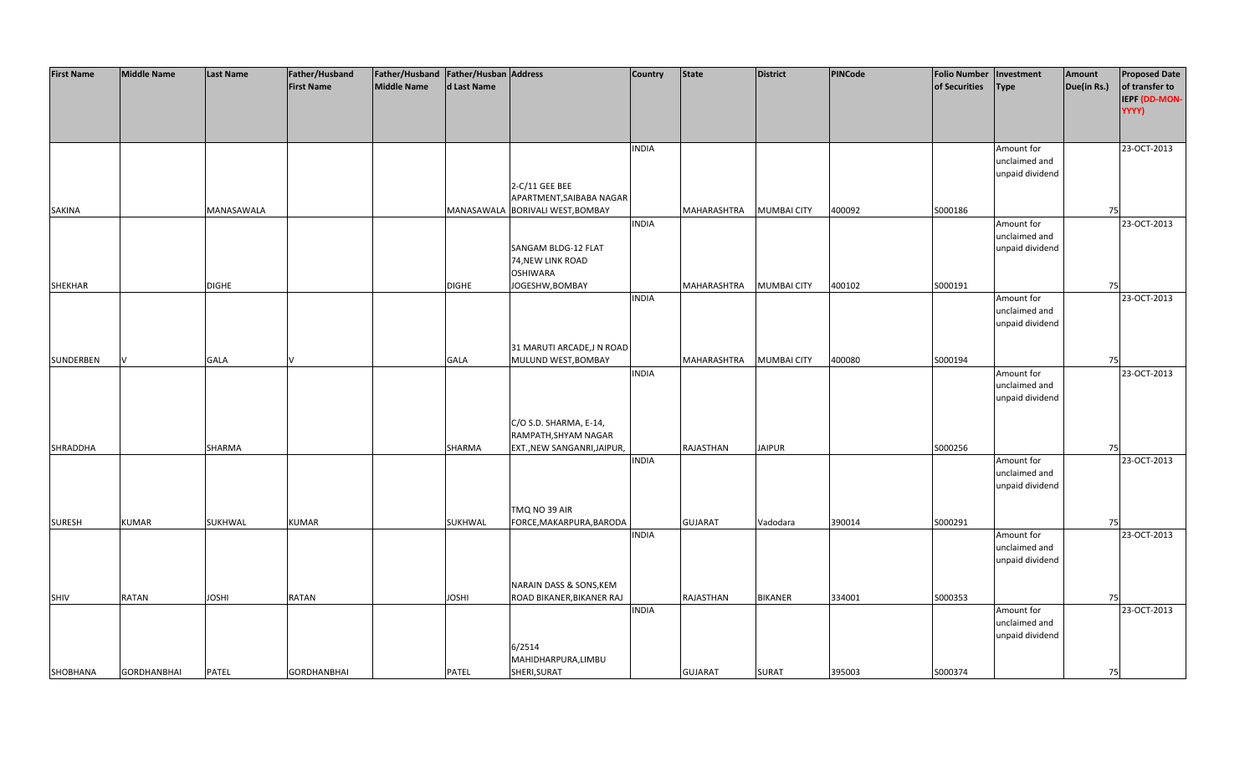| <b>First Name</b> | <b>Middle Name</b> | <b>Last Name</b> | Father/Husband     | Father/Husband Father/Husban Address |              |                                  | <b>Country</b> | <b>State</b>   | <b>District</b>    | <b>PINCode</b> | <b>Folio Number</b> | Investment      | Amount      | <b>Proposed Date</b> |
|-------------------|--------------------|------------------|--------------------|--------------------------------------|--------------|----------------------------------|----------------|----------------|--------------------|----------------|---------------------|-----------------|-------------|----------------------|
|                   |                    |                  | <b>First Name</b>  | <b>Middle Name</b>                   | d Last Name  |                                  |                |                |                    |                | of Securities       | <b>Type</b>     | Due(in Rs.) | of transfer to       |
|                   |                    |                  |                    |                                      |              |                                  |                |                |                    |                |                     |                 |             | IEPF (DD-MON-        |
|                   |                    |                  |                    |                                      |              |                                  |                |                |                    |                |                     |                 |             | YYYY)                |
|                   |                    |                  |                    |                                      |              |                                  |                |                |                    |                |                     |                 |             |                      |
|                   |                    |                  |                    |                                      |              |                                  |                |                |                    |                |                     |                 |             |                      |
|                   |                    |                  |                    |                                      |              |                                  | <b>INDIA</b>   |                |                    |                |                     | Amount for      |             | 23-OCT-2013          |
|                   |                    |                  |                    |                                      |              |                                  |                |                |                    |                |                     | unclaimed and   |             |                      |
|                   |                    |                  |                    |                                      |              |                                  |                |                |                    |                |                     | unpaid dividend |             |                      |
|                   |                    |                  |                    |                                      |              | 2-C/11 GEE BEE                   |                |                |                    |                |                     |                 |             |                      |
|                   |                    |                  |                    |                                      |              | APARTMENT, SAIBABA NAGAR         |                |                |                    |                |                     |                 |             |                      |
| SAKINA            |                    | MANASAWALA       |                    |                                      |              | MANASAWALA BORIVALI WEST, BOMBAY |                | MAHARASHTRA    | <b>MUMBAI CITY</b> | 400092         | S000186             |                 | 75          |                      |
|                   |                    |                  |                    |                                      |              |                                  | <b>INDIA</b>   |                |                    |                |                     | Amount for      |             | 23-OCT-2013          |
|                   |                    |                  |                    |                                      |              |                                  |                |                |                    |                |                     | unclaimed and   |             |                      |
|                   |                    |                  |                    |                                      |              | SANGAM BLDG-12 FLAT              |                |                |                    |                |                     | unpaid dividend |             |                      |
|                   |                    |                  |                    |                                      |              | 74, NEW LINK ROAD                |                |                |                    |                |                     |                 |             |                      |
|                   |                    |                  |                    |                                      |              | <b>OSHIWARA</b>                  |                |                |                    |                |                     |                 |             |                      |
| <b>SHEKHAR</b>    |                    | <b>DIGHE</b>     |                    |                                      | <b>DIGHE</b> | JOGESHW, BOMBAY                  |                | MAHARASHTRA    | <b>MUMBAI CITY</b> | 400102         | S000191             |                 | 75          |                      |
|                   |                    |                  |                    |                                      |              |                                  | <b>INDIA</b>   |                |                    |                |                     | Amount for      |             | 23-OCT-2013          |
|                   |                    |                  |                    |                                      |              |                                  |                |                |                    |                |                     | unclaimed and   |             |                      |
|                   |                    |                  |                    |                                      |              |                                  |                |                |                    |                |                     | unpaid dividend |             |                      |
|                   |                    |                  |                    |                                      |              |                                  |                |                |                    |                |                     |                 |             |                      |
|                   |                    |                  |                    |                                      |              | 31 MARUTI ARCADE, JN ROAD        |                |                |                    |                |                     |                 |             |                      |
| SUNDERBEN         |                    | <b>GALA</b>      |                    |                                      | <b>GALA</b>  | MULUND WEST, BOMBAY              |                | MAHARASHTRA    | <b>MUMBAI CITY</b> | 400080         | S000194             |                 | 75          |                      |
|                   |                    |                  |                    |                                      |              |                                  | <b>INDIA</b>   |                |                    |                |                     | Amount for      |             | 23-OCT-2013          |
|                   |                    |                  |                    |                                      |              |                                  |                |                |                    |                |                     | unclaimed and   |             |                      |
|                   |                    |                  |                    |                                      |              |                                  |                |                |                    |                |                     | unpaid dividend |             |                      |
|                   |                    |                  |                    |                                      |              |                                  |                |                |                    |                |                     |                 |             |                      |
|                   |                    |                  |                    |                                      |              | C/O S.D. SHARMA, E-14,           |                |                |                    |                |                     |                 |             |                      |
|                   |                    |                  |                    |                                      |              | RAMPATH, SHYAM NAGAR             |                |                |                    |                |                     |                 |             |                      |
| SHRADDHA          |                    | SHARMA           |                    |                                      | SHARMA       | EXT., NEW SANGANRI, JAIPUR,      |                | RAJASTHAN      | <b>JAIPUR</b>      |                | S000256             |                 | 75          |                      |
|                   |                    |                  |                    |                                      |              |                                  | <b>INDIA</b>   |                |                    |                |                     | Amount for      |             | 23-OCT-2013          |
|                   |                    |                  |                    |                                      |              |                                  |                |                |                    |                |                     | unclaimed and   |             |                      |
|                   |                    |                  |                    |                                      |              |                                  |                |                |                    |                |                     | unpaid dividend |             |                      |
|                   |                    |                  |                    |                                      |              |                                  |                |                |                    |                |                     |                 |             |                      |
|                   |                    |                  |                    |                                      |              | TMQ NO 39 AIR                    |                |                |                    |                |                     |                 |             |                      |
| <b>SURESH</b>     | <b>KUMAR</b>       | <b>SUKHWAL</b>   | <b>KUMAR</b>       |                                      | SUKHWAL      | FORCE, MAKARPURA, BARODA         |                | <b>GUJARAT</b> | Vadodara           | 390014         | S000291             |                 | 75          |                      |
|                   |                    |                  |                    |                                      |              |                                  | <b>INDIA</b>   |                |                    |                |                     | Amount for      |             | 23-OCT-2013          |
|                   |                    |                  |                    |                                      |              |                                  |                |                |                    |                |                     | unclaimed and   |             |                      |
|                   |                    |                  |                    |                                      |              |                                  |                |                |                    |                |                     | unpaid dividend |             |                      |
|                   |                    |                  |                    |                                      |              | NARAIN DASS & SONS, KEM          |                |                |                    |                |                     |                 |             |                      |
| SHIV              | <b>RATAN</b>       | <b>JOSHI</b>     | RATAN              |                                      | <b>JOSHI</b> | ROAD BIKANER, BIKANER RAJ        |                | RAJASTHAN      | <b>BIKANER</b>     | 334001         | S000353             |                 | 75          |                      |
|                   |                    |                  |                    |                                      |              |                                  | <b>INDIA</b>   |                |                    |                |                     | Amount for      |             | 23-OCT-2013          |
|                   |                    |                  |                    |                                      |              |                                  |                |                |                    |                |                     | unclaimed and   |             |                      |
|                   |                    |                  |                    |                                      |              |                                  |                |                |                    |                |                     | unpaid dividend |             |                      |
|                   |                    |                  |                    |                                      |              | 6/2514                           |                |                |                    |                |                     |                 |             |                      |
|                   |                    |                  |                    |                                      |              | MAHIDHARPURA, LIMBU              |                |                |                    |                |                     |                 |             |                      |
| SHOBHANA          | <b>GORDHANBHAI</b> | <b>PATEL</b>     | <b>GORDHANBHAI</b> |                                      | <b>PATEL</b> | SHERI, SURAT                     |                | <b>GUJARAT</b> | <b>SURAT</b>       | 395003         | S000374             |                 | 75          |                      |
|                   |                    |                  |                    |                                      |              |                                  |                |                |                    |                |                     |                 |             |                      |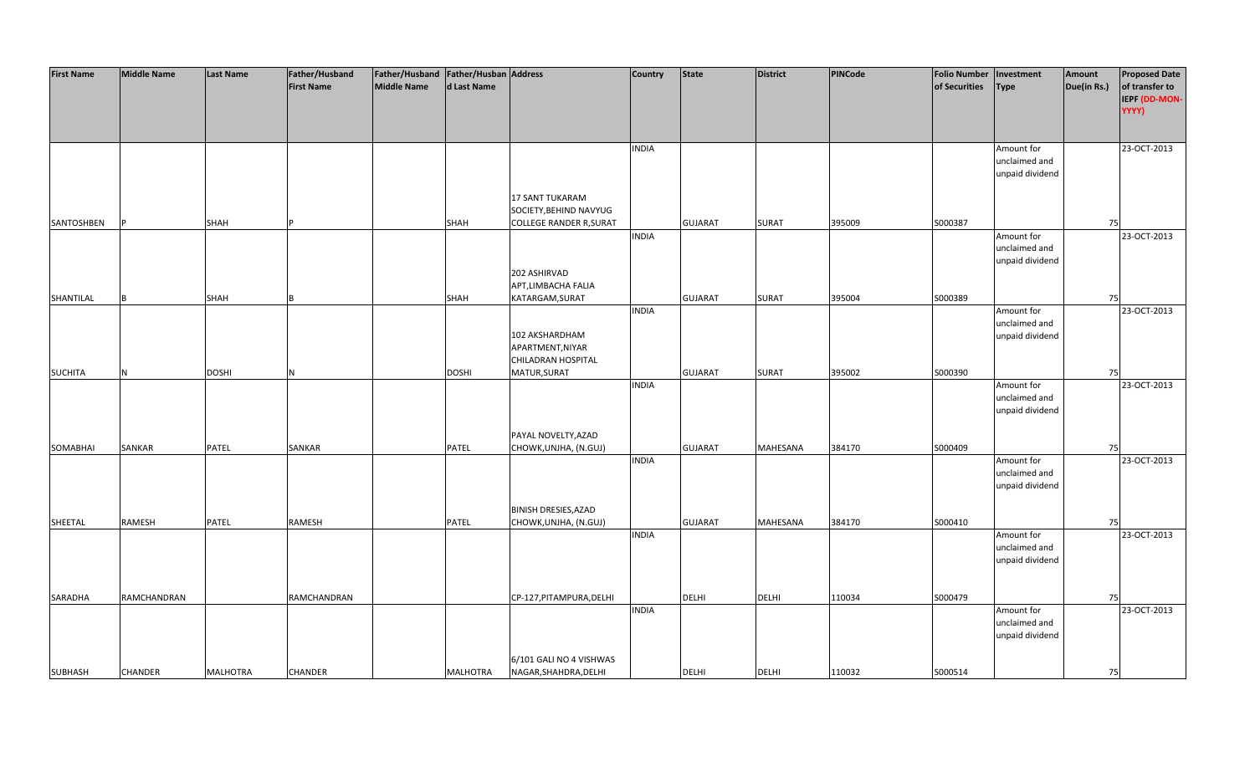| <b>First Name</b> | <b>Middle Name</b> | Last Name       | Father/Husband<br><b>First Name</b> | Father/Husband   Father/Husban   Address<br><b>Middle Name</b> | d Last Name  |                                                                      | <b>Country</b> | <b>State</b>   | <b>District</b> | <b>PINCode</b> | <b>Folio Number</b><br>of Securities | Investment<br><b>Type</b>                      | Amount<br>Due(in Rs.) | <b>Proposed Date</b><br>of transfer to |
|-------------------|--------------------|-----------------|-------------------------------------|----------------------------------------------------------------|--------------|----------------------------------------------------------------------|----------------|----------------|-----------------|----------------|--------------------------------------|------------------------------------------------|-----------------------|----------------------------------------|
|                   |                    |                 |                                     |                                                                |              |                                                                      |                |                |                 |                |                                      |                                                |                       | IEPF (DD-MON-<br>YYYY)                 |
|                   |                    |                 |                                     |                                                                |              |                                                                      | <b>INDIA</b>   |                |                 |                |                                      | Amount for<br>unclaimed and<br>unpaid dividend |                       | 23-OCT-2013                            |
|                   |                    |                 |                                     |                                                                |              | 17 SANT TUKARAM<br>SOCIETY, BEHIND NAVYUG                            |                |                |                 |                |                                      |                                                |                       |                                        |
| SANTOSHBEN        |                    | SHAH            |                                     |                                                                | SHAH         | <b>COLLEGE RANDER R, SURAT</b><br>202 ASHIRVAD<br>APT,LIMBACHA FALIA | <b>INDIA</b>   | <b>GUJARAT</b> | <b>SURAT</b>    | 395009         | S000387                              | Amount for<br>unclaimed and<br>unpaid dividend | 75                    | 23-OCT-2013                            |
| SHANTILAL         |                    | SHAH            |                                     |                                                                | SHAH         | KATARGAM, SURAT                                                      |                | <b>GUJARAT</b> | <b>SURAT</b>    | 395004         | S000389                              |                                                | 75                    |                                        |
|                   |                    |                 |                                     |                                                                |              | 102 AKSHARDHAM<br>APARTMENT, NIYAR<br>CHILADRAN HOSPITAL             | <b>INDIA</b>   |                |                 |                |                                      | Amount for<br>unclaimed and<br>unpaid dividend |                       | 23-OCT-2013                            |
| <b>SUCHITA</b>    | N                  | <b>DOSHI</b>    | N                                   |                                                                | <b>DOSHI</b> | MATUR, SURAT                                                         |                | <b>GUJARAT</b> | <b>SURAT</b>    | 395002         | S000390                              |                                                | 75                    |                                        |
|                   |                    |                 |                                     |                                                                |              |                                                                      | <b>INDIA</b>   |                |                 |                |                                      | Amount for<br>unclaimed and<br>unpaid dividend |                       | 23-OCT-2013                            |
| SOMABHAI          | SANKAR             | PATEL           | SANKAR                              |                                                                | PATEL        | PAYAL NOVELTY, AZAD<br>CHOWK, UNJHA, (N.GUJ)                         |                | <b>GUJARAT</b> | MAHESANA        | 384170         | S000409                              |                                                | 75                    |                                        |
|                   |                    |                 |                                     |                                                                |              |                                                                      | <b>INDIA</b>   |                |                 |                |                                      | Amount for<br>unclaimed and<br>unpaid dividend |                       | 23-OCT-2013                            |
| SHEETAL           | <b>RAMESH</b>      | PATEL           | <b>RAMESH</b>                       |                                                                | PATEL        | <b>BINISH DRESIES, AZAD</b><br>CHOWK, UNJHA, (N.GUJ)                 |                | <b>GUJARAT</b> | MAHESANA        | 384170         | S000410                              |                                                | 75                    |                                        |
|                   |                    |                 |                                     |                                                                |              |                                                                      | <b>INDIA</b>   |                |                 |                |                                      | Amount for<br>unclaimed and<br>unpaid dividend |                       | 23-OCT-2013                            |
| SARADHA           | RAMCHANDRAN        |                 | RAMCHANDRAN                         |                                                                |              | CP-127, PITAMPURA, DELHI                                             |                | <b>DELHI</b>   | <b>DELHI</b>    | 110034         | S000479                              |                                                | 75                    |                                        |
|                   |                    |                 |                                     |                                                                |              |                                                                      | <b>INDIA</b>   |                |                 |                |                                      | Amount for<br>unclaimed and<br>unpaid dividend |                       | 23-OCT-2013                            |
| <b>SUBHASH</b>    | <b>CHANDER</b>     | <b>MALHOTRA</b> | <b>CHANDER</b>                      |                                                                | MALHOTRA     | 6/101 GALI NO 4 VISHWAS<br>NAGAR, SHAHDRA, DELHI                     |                | <b>DELHI</b>   | <b>DELHI</b>    | 110032         | S000514                              |                                                | 75                    |                                        |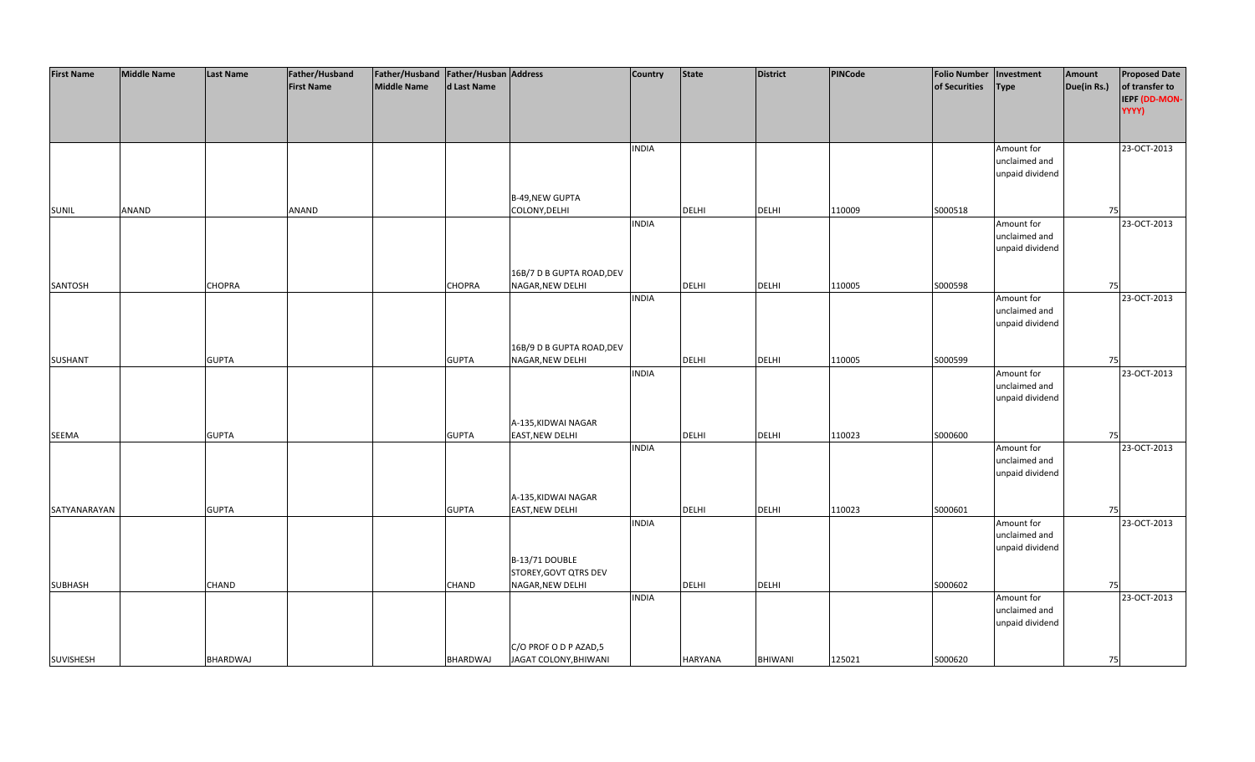| <b>First Name</b> | <b>Middle Name</b> | <b>Last Name</b> | Father/Husband    | Father/Husband Father/Husban Address |              |                           | <b>Country</b> | <b>State</b>   | <b>District</b> | PINCode | <b>Folio Number</b> | Investment      | Amount      | <b>Proposed Date</b> |
|-------------------|--------------------|------------------|-------------------|--------------------------------------|--------------|---------------------------|----------------|----------------|-----------------|---------|---------------------|-----------------|-------------|----------------------|
|                   |                    |                  | <b>First Name</b> | <b>Middle Name</b>                   | d Last Name  |                           |                |                |                 |         | of Securities       | <b>Type</b>     | Due(in Rs.) | of transfer to       |
|                   |                    |                  |                   |                                      |              |                           |                |                |                 |         |                     |                 |             | IEPF (DD-MON-        |
|                   |                    |                  |                   |                                      |              |                           |                |                |                 |         |                     |                 |             | YYYY)                |
|                   |                    |                  |                   |                                      |              |                           |                |                |                 |         |                     |                 |             |                      |
|                   |                    |                  |                   |                                      |              |                           |                |                |                 |         |                     |                 |             |                      |
|                   |                    |                  |                   |                                      |              |                           | <b>INDIA</b>   |                |                 |         |                     | Amount for      |             | 23-OCT-2013          |
|                   |                    |                  |                   |                                      |              |                           |                |                |                 |         |                     | unclaimed and   |             |                      |
|                   |                    |                  |                   |                                      |              |                           |                |                |                 |         |                     | unpaid dividend |             |                      |
|                   |                    |                  |                   |                                      |              |                           |                |                |                 |         |                     |                 |             |                      |
|                   |                    |                  |                   |                                      |              | B-49, NEW GUPTA           |                |                |                 |         |                     |                 |             |                      |
| <b>SUNIL</b>      | ANAND              |                  | ANAND             |                                      |              | COLONY, DELHI             |                | <b>DELHI</b>   | <b>DELHI</b>    | 110009  | S000518             |                 | 75          |                      |
|                   |                    |                  |                   |                                      |              |                           | <b>INDIA</b>   |                |                 |         |                     | Amount for      |             | 23-OCT-2013          |
|                   |                    |                  |                   |                                      |              |                           |                |                |                 |         |                     | unclaimed and   |             |                      |
|                   |                    |                  |                   |                                      |              |                           |                |                |                 |         |                     | unpaid dividend |             |                      |
|                   |                    |                  |                   |                                      |              |                           |                |                |                 |         |                     |                 |             |                      |
|                   |                    |                  |                   |                                      |              | 16B/7 D B GUPTA ROAD, DEV |                |                |                 |         |                     |                 |             |                      |
| SANTOSH           |                    | <b>CHOPRA</b>    |                   |                                      | CHOPRA       | NAGAR, NEW DELHI          |                | <b>DELHI</b>   | <b>DELHI</b>    | 110005  | S000598             |                 | 75          |                      |
|                   |                    |                  |                   |                                      |              |                           | <b>INDIA</b>   |                |                 |         |                     | Amount for      |             | 23-OCT-2013          |
|                   |                    |                  |                   |                                      |              |                           |                |                |                 |         |                     | unclaimed and   |             |                      |
|                   |                    |                  |                   |                                      |              |                           |                |                |                 |         |                     | unpaid dividend |             |                      |
|                   |                    |                  |                   |                                      |              |                           |                |                |                 |         |                     |                 |             |                      |
|                   |                    |                  |                   |                                      |              | 16B/9 D B GUPTA ROAD, DEV |                |                |                 |         |                     |                 |             |                      |
| <b>SUSHANT</b>    |                    | <b>GUPTA</b>     |                   |                                      | <b>GUPTA</b> | NAGAR, NEW DELHI          |                | DELHI          | <b>DELHI</b>    | 110005  | S000599             |                 | 75          |                      |
|                   |                    |                  |                   |                                      |              |                           | <b>INDIA</b>   |                |                 |         |                     | Amount for      |             | 23-OCT-2013          |
|                   |                    |                  |                   |                                      |              |                           |                |                |                 |         |                     | unclaimed and   |             |                      |
|                   |                    |                  |                   |                                      |              |                           |                |                |                 |         |                     | unpaid dividend |             |                      |
|                   |                    |                  |                   |                                      |              |                           |                |                |                 |         |                     |                 |             |                      |
|                   |                    |                  |                   |                                      |              | A-135, KIDWAI NAGAR       |                |                |                 |         |                     |                 |             |                      |
| SEEMA             |                    | <b>GUPTA</b>     |                   |                                      | <b>GUPTA</b> | <b>EAST, NEW DELHI</b>    |                | <b>DELHI</b>   | <b>DELHI</b>    | 110023  | \$000600            |                 | 75          |                      |
|                   |                    |                  |                   |                                      |              |                           | <b>INDIA</b>   |                |                 |         |                     | Amount for      |             | 23-OCT-2013          |
|                   |                    |                  |                   |                                      |              |                           |                |                |                 |         |                     | unclaimed and   |             |                      |
|                   |                    |                  |                   |                                      |              |                           |                |                |                 |         |                     | unpaid dividend |             |                      |
|                   |                    |                  |                   |                                      |              |                           |                |                |                 |         |                     |                 |             |                      |
|                   |                    |                  |                   |                                      |              | A-135, KIDWAI NAGAR       |                |                |                 |         |                     |                 |             |                      |
| SATYANARAYAN      |                    | <b>GUPTA</b>     |                   |                                      | <b>GUPTA</b> | EAST, NEW DELHI           |                | DELHI          | <b>DELHI</b>    | 110023  | S000601             |                 | 75          |                      |
|                   |                    |                  |                   |                                      |              |                           | <b>INDIA</b>   |                |                 |         |                     | Amount for      |             | 23-OCT-2013          |
|                   |                    |                  |                   |                                      |              |                           |                |                |                 |         |                     | unclaimed and   |             |                      |
|                   |                    |                  |                   |                                      |              |                           |                |                |                 |         |                     | unpaid dividend |             |                      |
|                   |                    |                  |                   |                                      |              | B-13/71 DOUBLE            |                |                |                 |         |                     |                 |             |                      |
|                   |                    |                  |                   |                                      |              | STOREY, GOVT QTRS DEV     |                |                |                 |         |                     |                 |             |                      |
| SUBHASH           |                    | CHAND            |                   |                                      | <b>CHAND</b> | NAGAR, NEW DELHI          |                | <b>DELHI</b>   | <b>DELHI</b>    |         | S000602             |                 | 75          |                      |
|                   |                    |                  |                   |                                      |              |                           | <b>INDIA</b>   |                |                 |         |                     | Amount for      |             | 23-OCT-2013          |
|                   |                    |                  |                   |                                      |              |                           |                |                |                 |         |                     | unclaimed and   |             |                      |
|                   |                    |                  |                   |                                      |              |                           |                |                |                 |         |                     | unpaid dividend |             |                      |
|                   |                    |                  |                   |                                      |              |                           |                |                |                 |         |                     |                 |             |                      |
|                   |                    |                  |                   |                                      |              | C/O PROF O D P AZAD,5     |                |                |                 |         |                     |                 |             |                      |
| SUVISHESH         |                    | BHARDWAJ         |                   |                                      | BHARDWAJ     | JAGAT COLONY, BHIWANI     |                | <b>HARYANA</b> | <b>BHIWANI</b>  | 125021  | S000620             |                 | 75          |                      |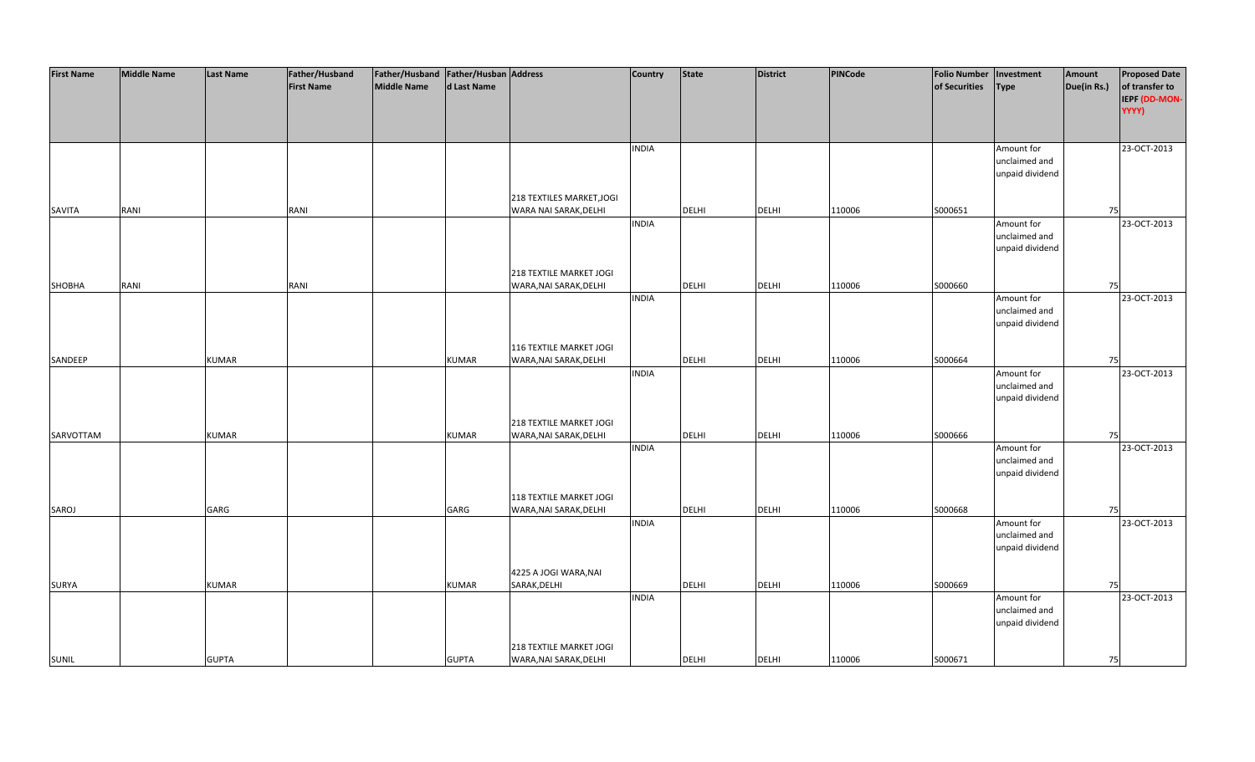| <b>First Name</b> | <b>Middle Name</b> | <b>Last Name</b> | Father/Husband    | Father/Husband Father/Husban Address |              |                           | Country      | <b>State</b> | <b>District</b> | PINCode | <b>Folio Number</b> | Investment                       | Amount      | <b>Proposed Date</b> |
|-------------------|--------------------|------------------|-------------------|--------------------------------------|--------------|---------------------------|--------------|--------------|-----------------|---------|---------------------|----------------------------------|-------------|----------------------|
|                   |                    |                  | <b>First Name</b> | <b>Middle Name</b>                   | d Last Name  |                           |              |              |                 |         | of Securities       | <b>Type</b>                      | Due(in Rs.) | of transfer to       |
|                   |                    |                  |                   |                                      |              |                           |              |              |                 |         |                     |                                  |             | IEPF (DD-MON-        |
|                   |                    |                  |                   |                                      |              |                           |              |              |                 |         |                     |                                  |             | YYYY)                |
|                   |                    |                  |                   |                                      |              |                           |              |              |                 |         |                     |                                  |             |                      |
|                   |                    |                  |                   |                                      |              |                           |              |              |                 |         |                     |                                  |             |                      |
|                   |                    |                  |                   |                                      |              |                           | <b>INDIA</b> |              |                 |         |                     | Amount for                       |             | 23-OCT-2013          |
|                   |                    |                  |                   |                                      |              |                           |              |              |                 |         |                     | unclaimed and                    |             |                      |
|                   |                    |                  |                   |                                      |              |                           |              |              |                 |         |                     | unpaid dividend                  |             |                      |
|                   |                    |                  |                   |                                      |              |                           |              |              |                 |         |                     |                                  |             |                      |
|                   |                    |                  |                   |                                      |              | 218 TEXTILES MARKET, JOGI |              |              |                 |         |                     |                                  |             |                      |
| SAVITA            | RANI               |                  | RANI              |                                      |              | WARA NAI SARAK, DELHI     |              | <b>DELHI</b> | <b>DELHI</b>    | 110006  | S000651             |                                  | 75          |                      |
|                   |                    |                  |                   |                                      |              |                           | <b>INDIA</b> |              |                 |         |                     | Amount for                       |             | 23-OCT-2013          |
|                   |                    |                  |                   |                                      |              |                           |              |              |                 |         |                     | unclaimed and                    |             |                      |
|                   |                    |                  |                   |                                      |              |                           |              |              |                 |         |                     | unpaid dividend                  |             |                      |
|                   |                    |                  |                   |                                      |              |                           |              |              |                 |         |                     |                                  |             |                      |
|                   |                    |                  |                   |                                      |              | 218 TEXTILE MARKET JOGI   |              |              |                 |         |                     |                                  |             |                      |
| SHOBHA            | RANI               |                  | RANI              |                                      |              | WARA, NAI SARAK, DELHI    |              | <b>DELHI</b> | <b>DELHI</b>    | 110006  | S000660             |                                  | 75          |                      |
|                   |                    |                  |                   |                                      |              |                           | <b>INDIA</b> |              |                 |         |                     | Amount for                       |             | 23-OCT-2013          |
|                   |                    |                  |                   |                                      |              |                           |              |              |                 |         |                     | unclaimed and                    |             |                      |
|                   |                    |                  |                   |                                      |              |                           |              |              |                 |         |                     | unpaid dividend                  |             |                      |
|                   |                    |                  |                   |                                      |              |                           |              |              |                 |         |                     |                                  |             |                      |
|                   |                    |                  |                   |                                      |              | 116 TEXTILE MARKET JOGI   |              |              |                 |         |                     |                                  |             |                      |
| SANDEEP           |                    | <b>KUMAR</b>     |                   |                                      | <b>KUMAR</b> | WARA, NAI SARAK, DELHI    |              | DELHI        | <b>DELHI</b>    | 110006  | S000664             |                                  | 75          |                      |
|                   |                    |                  |                   |                                      |              |                           | <b>INDIA</b> |              |                 |         |                     | Amount for                       |             | 23-OCT-2013          |
|                   |                    |                  |                   |                                      |              |                           |              |              |                 |         |                     | unclaimed and                    |             |                      |
|                   |                    |                  |                   |                                      |              |                           |              |              |                 |         |                     | unpaid dividend                  |             |                      |
|                   |                    |                  |                   |                                      |              |                           |              |              |                 |         |                     |                                  |             |                      |
|                   |                    |                  |                   |                                      |              | 218 TEXTILE MARKET JOGI   |              |              |                 |         |                     |                                  |             |                      |
| SARVOTTAM         |                    | <b>KUMAR</b>     |                   |                                      | <b>KUMAR</b> | WARA, NAI SARAK, DELHI    |              | <b>DELHI</b> | <b>DELHI</b>    | 110006  | \$000666            |                                  | 75          |                      |
|                   |                    |                  |                   |                                      |              |                           | <b>INDIA</b> |              |                 |         |                     | Amount for                       |             | 23-OCT-2013          |
|                   |                    |                  |                   |                                      |              |                           |              |              |                 |         |                     | unclaimed and<br>unpaid dividend |             |                      |
|                   |                    |                  |                   |                                      |              |                           |              |              |                 |         |                     |                                  |             |                      |
|                   |                    |                  |                   |                                      |              | 118 TEXTILE MARKET JOGI   |              |              |                 |         |                     |                                  |             |                      |
| SAROJ             |                    | GARG             |                   |                                      | GARG         | WARA, NAI SARAK, DELHI    |              | DELHI        | <b>DELHI</b>    | 110006  | S000668             |                                  | 75          |                      |
|                   |                    |                  |                   |                                      |              |                           | <b>INDIA</b> |              |                 |         |                     | Amount for                       |             | 23-OCT-2013          |
|                   |                    |                  |                   |                                      |              |                           |              |              |                 |         |                     | unclaimed and                    |             |                      |
|                   |                    |                  |                   |                                      |              |                           |              |              |                 |         |                     | unpaid dividend                  |             |                      |
|                   |                    |                  |                   |                                      |              |                           |              |              |                 |         |                     |                                  |             |                      |
|                   |                    |                  |                   |                                      |              | 4225 A JOGI WARA, NAI     |              |              |                 |         |                     |                                  |             |                      |
| <b>SURYA</b>      |                    | <b>KUMAR</b>     |                   |                                      | <b>KUMAR</b> | SARAK, DELHI              |              | <b>DELHI</b> | <b>DELHI</b>    | 110006  | S000669             |                                  | 75          |                      |
|                   |                    |                  |                   |                                      |              |                           | <b>INDIA</b> |              |                 |         |                     | Amount for                       |             | 23-OCT-2013          |
|                   |                    |                  |                   |                                      |              |                           |              |              |                 |         |                     | unclaimed and                    |             |                      |
|                   |                    |                  |                   |                                      |              |                           |              |              |                 |         |                     | unpaid dividend                  |             |                      |
|                   |                    |                  |                   |                                      |              |                           |              |              |                 |         |                     |                                  |             |                      |
|                   |                    |                  |                   |                                      |              | 218 TEXTILE MARKET JOGI   |              |              |                 |         |                     |                                  |             |                      |
| <b>SUNIL</b>      |                    | <b>GUPTA</b>     |                   |                                      | <b>GUPTA</b> | WARA, NAI SARAK, DELHI    |              | <b>DELHI</b> | <b>DELHI</b>    | 110006  | S000671             |                                  | 75          |                      |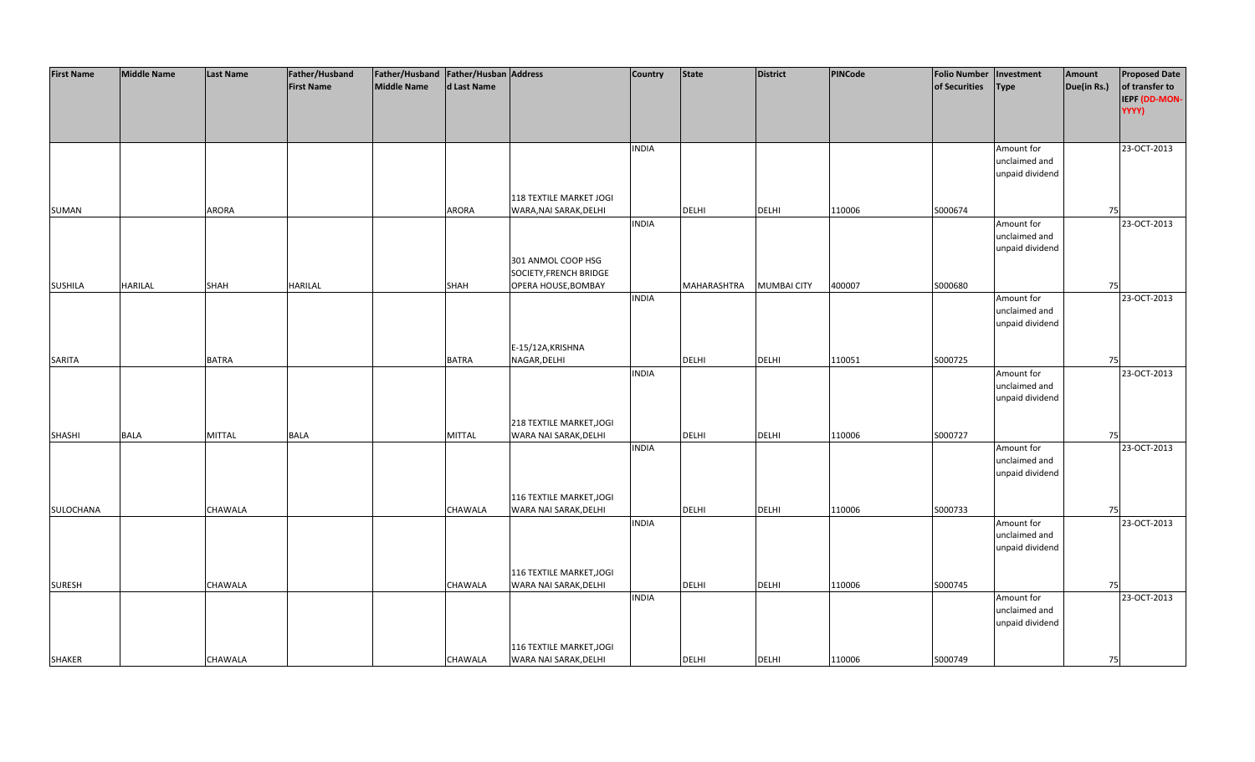| <b>First Name</b> | <b>Middle Name</b> | <b>Last Name</b> | Father/Husband    | Father/Husband Father/Husban Address |                |                          | <b>Country</b> | <b>State</b> | <b>District</b>    | PINCode | <b>Folio Number</b> | Investment                       | Amount      | <b>Proposed Date</b> |
|-------------------|--------------------|------------------|-------------------|--------------------------------------|----------------|--------------------------|----------------|--------------|--------------------|---------|---------------------|----------------------------------|-------------|----------------------|
|                   |                    |                  | <b>First Name</b> | <b>Middle Name</b>                   | d Last Name    |                          |                |              |                    |         | of Securities       | Type                             | Due(in Rs.) | of transfer to       |
|                   |                    |                  |                   |                                      |                |                          |                |              |                    |         |                     |                                  |             | IEPF (DD-MON-        |
|                   |                    |                  |                   |                                      |                |                          |                |              |                    |         |                     |                                  |             | YYYY)                |
|                   |                    |                  |                   |                                      |                |                          |                |              |                    |         |                     |                                  |             |                      |
|                   |                    |                  |                   |                                      |                |                          |                |              |                    |         |                     |                                  |             |                      |
|                   |                    |                  |                   |                                      |                |                          | <b>INDIA</b>   |              |                    |         |                     | Amount for                       |             | 23-OCT-2013          |
|                   |                    |                  |                   |                                      |                |                          |                |              |                    |         |                     | unclaimed and                    |             |                      |
|                   |                    |                  |                   |                                      |                |                          |                |              |                    |         |                     | unpaid dividend                  |             |                      |
|                   |                    |                  |                   |                                      |                |                          |                |              |                    |         |                     |                                  |             |                      |
|                   |                    |                  |                   |                                      |                | 118 TEXTILE MARKET JOGI  |                |              |                    |         |                     |                                  |             |                      |
| <b>SUMAN</b>      |                    | <b>ARORA</b>     |                   |                                      | <b>ARORA</b>   | WARA, NAI SARAK, DELHI   |                | <b>DELHI</b> | <b>DELHI</b>       | 110006  | S000674             |                                  | 75          |                      |
|                   |                    |                  |                   |                                      |                |                          | <b>INDIA</b>   |              |                    |         |                     | Amount for                       |             | 23-OCT-2013          |
|                   |                    |                  |                   |                                      |                |                          |                |              |                    |         |                     | unclaimed and                    |             |                      |
|                   |                    |                  |                   |                                      |                |                          |                |              |                    |         |                     | unpaid dividend                  |             |                      |
|                   |                    |                  |                   |                                      |                | 301 ANMOL COOP HSG       |                |              |                    |         |                     |                                  |             |                      |
|                   |                    |                  |                   |                                      |                | SOCIETY, FRENCH BRIDGE   |                |              |                    |         |                     |                                  |             |                      |
| <b>SUSHILA</b>    | <b>HARILAL</b>     | <b>SHAH</b>      | <b>HARILAL</b>    |                                      | <b>SHAH</b>    | OPERA HOUSE, BOMBAY      |                | MAHARASHTRA  | <b>MUMBAI CITY</b> | 400007  | S000680             |                                  | 75          |                      |
|                   |                    |                  |                   |                                      |                |                          | <b>INDIA</b>   |              |                    |         |                     | Amount for                       |             | 23-OCT-2013          |
|                   |                    |                  |                   |                                      |                |                          |                |              |                    |         |                     | unclaimed and                    |             |                      |
|                   |                    |                  |                   |                                      |                |                          |                |              |                    |         |                     | unpaid dividend                  |             |                      |
|                   |                    |                  |                   |                                      |                |                          |                |              |                    |         |                     |                                  |             |                      |
|                   |                    |                  |                   |                                      |                | E-15/12A, KRISHNA        |                |              |                    |         |                     |                                  |             |                      |
| SARITA            |                    | <b>BATRA</b>     |                   |                                      | <b>BATRA</b>   | NAGAR, DELHI             |                | DELHI        | <b>DELHI</b>       | 110051  | S000725             |                                  | 75          |                      |
|                   |                    |                  |                   |                                      |                |                          | <b>INDIA</b>   |              |                    |         |                     | Amount for                       |             | 23-OCT-2013          |
|                   |                    |                  |                   |                                      |                |                          |                |              |                    |         |                     | unclaimed and                    |             |                      |
|                   |                    |                  |                   |                                      |                |                          |                |              |                    |         |                     | unpaid dividend                  |             |                      |
|                   |                    |                  |                   |                                      |                |                          |                |              |                    |         |                     |                                  |             |                      |
|                   |                    |                  |                   |                                      |                | 218 TEXTILE MARKET, JOGI |                |              |                    |         |                     |                                  |             |                      |
| <b>SHASHI</b>     | <b>BALA</b>        | <b>MITTAL</b>    | <b>BALA</b>       |                                      | <b>MITTAL</b>  | WARA NAI SARAK, DELHI    |                | <b>DELHI</b> | <b>DELHI</b>       | 110006  | S000727             |                                  | 75          |                      |
|                   |                    |                  |                   |                                      |                |                          | <b>INDIA</b>   |              |                    |         |                     | Amount for                       |             | 23-OCT-2013          |
|                   |                    |                  |                   |                                      |                |                          |                |              |                    |         |                     | unclaimed and<br>unpaid dividend |             |                      |
|                   |                    |                  |                   |                                      |                |                          |                |              |                    |         |                     |                                  |             |                      |
|                   |                    |                  |                   |                                      |                | 116 TEXTILE MARKET, JOGI |                |              |                    |         |                     |                                  |             |                      |
| SULOCHANA         |                    | <b>CHAWALA</b>   |                   |                                      | CHAWALA        | WARA NAI SARAK, DELHI    |                | DELHI        | <b>DELHI</b>       | 110006  | S000733             |                                  | 75          |                      |
|                   |                    |                  |                   |                                      |                |                          | <b>INDIA</b>   |              |                    |         |                     | Amount for                       |             | 23-OCT-2013          |
|                   |                    |                  |                   |                                      |                |                          |                |              |                    |         |                     | unclaimed and                    |             |                      |
|                   |                    |                  |                   |                                      |                |                          |                |              |                    |         |                     | unpaid dividend                  |             |                      |
|                   |                    |                  |                   |                                      |                |                          |                |              |                    |         |                     |                                  |             |                      |
|                   |                    |                  |                   |                                      |                | 116 TEXTILE MARKET, JOGI |                |              |                    |         |                     |                                  |             |                      |
| <b>SURESH</b>     |                    | CHAWALA          |                   |                                      | <b>CHAWALA</b> | WARA NAI SARAK, DELHI    |                | <b>DELHI</b> | <b>DELHI</b>       | 110006  | S000745             |                                  | 75          |                      |
|                   |                    |                  |                   |                                      |                |                          | <b>INDIA</b>   |              |                    |         |                     | Amount for                       |             | 23-OCT-2013          |
|                   |                    |                  |                   |                                      |                |                          |                |              |                    |         |                     | unclaimed and                    |             |                      |
|                   |                    |                  |                   |                                      |                |                          |                |              |                    |         |                     | unpaid dividend                  |             |                      |
|                   |                    |                  |                   |                                      |                |                          |                |              |                    |         |                     |                                  |             |                      |
|                   |                    |                  |                   |                                      |                | 116 TEXTILE MARKET, JOGI |                |              |                    |         |                     |                                  |             |                      |
| <b>SHAKER</b>     |                    | CHAWALA          |                   |                                      | CHAWALA        | WARA NAI SARAK, DELHI    |                | <b>DELHI</b> | <b>DELHI</b>       | 110006  | S000749             |                                  | 75          |                      |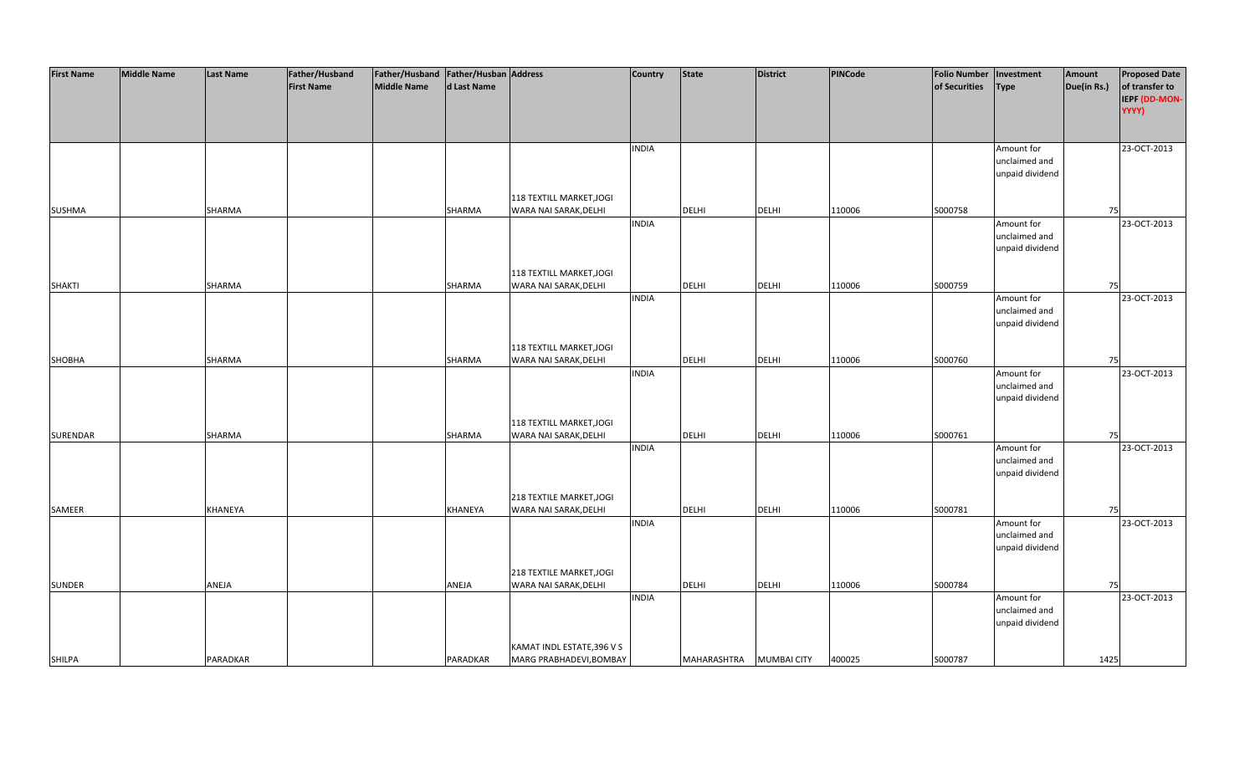| <b>First Name</b> | <b>Middle Name</b> | <b>Last Name</b> | Father/Husband    | Father/Husband   Father/Husban   Address |                |                            | <b>Country</b> | <b>State</b> | <b>District</b>    | PINCode | <b>Folio Number</b> | Investment      | Amount      | <b>Proposed Date</b> |
|-------------------|--------------------|------------------|-------------------|------------------------------------------|----------------|----------------------------|----------------|--------------|--------------------|---------|---------------------|-----------------|-------------|----------------------|
|                   |                    |                  | <b>First Name</b> | <b>Middle Name</b>                       | d Last Name    |                            |                |              |                    |         | of Securities       | <b>Type</b>     | Due(in Rs.) | of transfer to       |
|                   |                    |                  |                   |                                          |                |                            |                |              |                    |         |                     |                 |             | IEPF (DD-MON-        |
|                   |                    |                  |                   |                                          |                |                            |                |              |                    |         |                     |                 |             | YYYY)                |
|                   |                    |                  |                   |                                          |                |                            |                |              |                    |         |                     |                 |             |                      |
|                   |                    |                  |                   |                                          |                |                            |                |              |                    |         |                     |                 |             |                      |
|                   |                    |                  |                   |                                          |                |                            | <b>INDIA</b>   |              |                    |         |                     | Amount for      |             | 23-OCT-2013          |
|                   |                    |                  |                   |                                          |                |                            |                |              |                    |         |                     | unclaimed and   |             |                      |
|                   |                    |                  |                   |                                          |                |                            |                |              |                    |         |                     | unpaid dividend |             |                      |
|                   |                    |                  |                   |                                          |                |                            |                |              |                    |         |                     |                 |             |                      |
|                   |                    |                  |                   |                                          |                | 118 TEXTILL MARKET, JOGI   |                |              |                    |         |                     |                 |             |                      |
| <b>SUSHMA</b>     |                    | SHARMA           |                   |                                          | SHARMA         | WARA NAI SARAK, DELHI      |                | <b>DELHI</b> | <b>DELHI</b>       | 110006  | S000758             |                 | 75          |                      |
|                   |                    |                  |                   |                                          |                |                            | <b>INDIA</b>   |              |                    |         |                     | Amount for      |             | 23-OCT-2013          |
|                   |                    |                  |                   |                                          |                |                            |                |              |                    |         |                     | unclaimed and   |             |                      |
|                   |                    |                  |                   |                                          |                |                            |                |              |                    |         |                     | unpaid dividend |             |                      |
|                   |                    |                  |                   |                                          |                |                            |                |              |                    |         |                     |                 |             |                      |
|                   |                    |                  |                   |                                          |                | 118 TEXTILL MARKET, JOGI   |                |              |                    |         |                     |                 |             |                      |
| <b>SHAKTI</b>     |                    | SHARMA           |                   |                                          | SHARMA         | WARA NAI SARAK, DELHI      |                | <b>DELHI</b> | <b>DELHI</b>       | 110006  | S000759             |                 | 75          |                      |
|                   |                    |                  |                   |                                          |                |                            | <b>INDIA</b>   |              |                    |         |                     | Amount for      |             | 23-OCT-2013          |
|                   |                    |                  |                   |                                          |                |                            |                |              |                    |         |                     | unclaimed and   |             |                      |
|                   |                    |                  |                   |                                          |                |                            |                |              |                    |         |                     | unpaid dividend |             |                      |
|                   |                    |                  |                   |                                          |                | 118 TEXTILL MARKET, JOGI   |                |              |                    |         |                     |                 |             |                      |
| SHOBHA            |                    | SHARMA           |                   |                                          | SHARMA         | WARA NAI SARAK, DELHI      |                | DELHI        | <b>DELHI</b>       | 110006  | S000760             |                 | 75          |                      |
|                   |                    |                  |                   |                                          |                |                            | <b>INDIA</b>   |              |                    |         |                     | Amount for      |             | 23-OCT-2013          |
|                   |                    |                  |                   |                                          |                |                            |                |              |                    |         |                     | unclaimed and   |             |                      |
|                   |                    |                  |                   |                                          |                |                            |                |              |                    |         |                     | unpaid dividend |             |                      |
|                   |                    |                  |                   |                                          |                |                            |                |              |                    |         |                     |                 |             |                      |
|                   |                    |                  |                   |                                          |                | 118 TEXTILL MARKET, JOGI   |                |              |                    |         |                     |                 |             |                      |
| SURENDAR          |                    | SHARMA           |                   |                                          | SHARMA         | WARA NAI SARAK, DELHI      |                | <b>DELHI</b> | <b>DELHI</b>       | 110006  | S000761             |                 | 75          |                      |
|                   |                    |                  |                   |                                          |                |                            | <b>INDIA</b>   |              |                    |         |                     | Amount for      |             | 23-OCT-2013          |
|                   |                    |                  |                   |                                          |                |                            |                |              |                    |         |                     | unclaimed and   |             |                      |
|                   |                    |                  |                   |                                          |                |                            |                |              |                    |         |                     | unpaid dividend |             |                      |
|                   |                    |                  |                   |                                          |                |                            |                |              |                    |         |                     |                 |             |                      |
|                   |                    |                  |                   |                                          |                | 218 TEXTILE MARKET, JOGI   |                |              |                    |         |                     |                 |             |                      |
| SAMEER            |                    | KHANEYA          |                   |                                          | <b>KHANEYA</b> | WARA NAI SARAK, DELHI      |                | DELHI        | <b>DELHI</b>       | 110006  | S000781             |                 | 75          |                      |
|                   |                    |                  |                   |                                          |                |                            | <b>INDIA</b>   |              |                    |         |                     | Amount for      |             | 23-OCT-2013          |
|                   |                    |                  |                   |                                          |                |                            |                |              |                    |         |                     | unclaimed and   |             |                      |
|                   |                    |                  |                   |                                          |                |                            |                |              |                    |         |                     | unpaid dividend |             |                      |
|                   |                    |                  |                   |                                          |                | 218 TEXTILE MARKET, JOGI   |                |              |                    |         |                     |                 |             |                      |
| <b>SUNDER</b>     |                    | ANEJA            |                   |                                          | ANEJA          | WARA NAI SARAK, DELHI      |                | <b>DELHI</b> | <b>DELHI</b>       | 110006  | S000784             |                 | 75          |                      |
|                   |                    |                  |                   |                                          |                |                            | <b>INDIA</b>   |              |                    |         |                     | Amount for      |             | 23-OCT-2013          |
|                   |                    |                  |                   |                                          |                |                            |                |              |                    |         |                     | unclaimed and   |             |                      |
|                   |                    |                  |                   |                                          |                |                            |                |              |                    |         |                     | unpaid dividend |             |                      |
|                   |                    |                  |                   |                                          |                |                            |                |              |                    |         |                     |                 |             |                      |
|                   |                    |                  |                   |                                          |                | KAMAT INDL ESTATE, 396 V S |                |              |                    |         |                     |                 |             |                      |
| <b>SHILPA</b>     |                    | PARADKAR         |                   |                                          | PARADKAR       | MARG PRABHADEVI, BOMBAY    |                | MAHARASHTRA  | <b>MUMBAI CITY</b> | 400025  | S000787             |                 | 1425        |                      |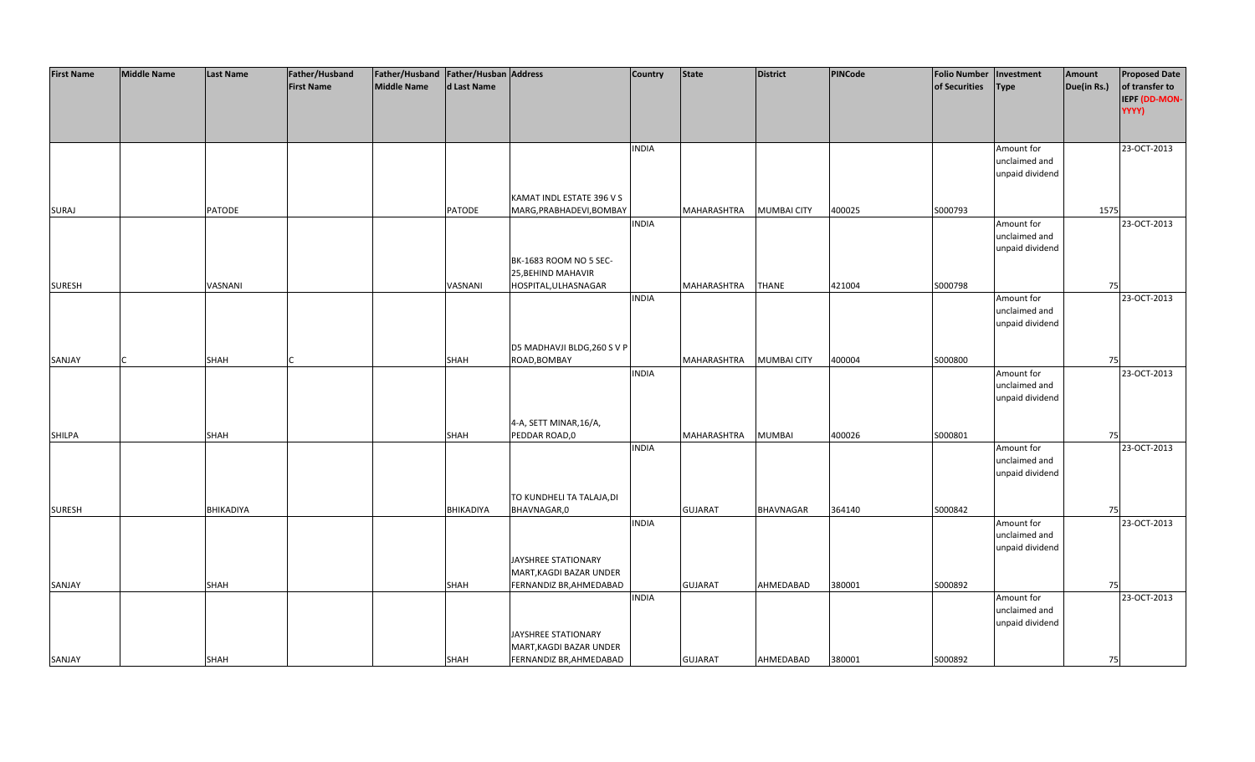| <b>First Name</b> | <b>Middle Name</b> | <b>Last Name</b> | Father/Husband    | Father/Husband Father/Husban Address |               |                             | <b>Country</b> | <b>State</b>   | <b>District</b>    | PINCode | <b>Folio Number</b> | Investment      | Amount      | <b>Proposed Date</b> |
|-------------------|--------------------|------------------|-------------------|--------------------------------------|---------------|-----------------------------|----------------|----------------|--------------------|---------|---------------------|-----------------|-------------|----------------------|
|                   |                    |                  | <b>First Name</b> | <b>Middle Name</b>                   | d Last Name   |                             |                |                |                    |         | of Securities       | <b>Type</b>     | Due(in Rs.) | of transfer to       |
|                   |                    |                  |                   |                                      |               |                             |                |                |                    |         |                     |                 |             | IEPF (DD-MON-        |
|                   |                    |                  |                   |                                      |               |                             |                |                |                    |         |                     |                 |             | YYYY)                |
|                   |                    |                  |                   |                                      |               |                             |                |                |                    |         |                     |                 |             |                      |
|                   |                    |                  |                   |                                      |               |                             |                |                |                    |         |                     |                 |             |                      |
|                   |                    |                  |                   |                                      |               |                             | <b>INDIA</b>   |                |                    |         |                     | Amount for      |             | 23-OCT-2013          |
|                   |                    |                  |                   |                                      |               |                             |                |                |                    |         |                     | unclaimed and   |             |                      |
|                   |                    |                  |                   |                                      |               |                             |                |                |                    |         |                     | unpaid dividend |             |                      |
|                   |                    |                  |                   |                                      |               |                             |                |                |                    |         |                     |                 |             |                      |
|                   |                    |                  |                   |                                      |               | KAMAT INDL ESTATE 396 V S   |                |                |                    |         |                     |                 |             |                      |
| <b>SURAJ</b>      |                    | <b>PATODE</b>    |                   |                                      | <b>PATODE</b> | MARG, PRABHADEVI, BOMBAY    |                | MAHARASHTRA    | <b>MUMBAI CITY</b> | 400025  | S000793             |                 | 1575        |                      |
|                   |                    |                  |                   |                                      |               |                             | <b>INDIA</b>   |                |                    |         |                     | Amount for      |             | 23-OCT-2013          |
|                   |                    |                  |                   |                                      |               |                             |                |                |                    |         |                     | unclaimed and   |             |                      |
|                   |                    |                  |                   |                                      |               |                             |                |                |                    |         |                     | unpaid dividend |             |                      |
|                   |                    |                  |                   |                                      |               | BK-1683 ROOM NO 5 SEC-      |                |                |                    |         |                     |                 |             |                      |
|                   |                    |                  |                   |                                      |               | 25, BEHIND MAHAVIR          |                |                |                    |         |                     |                 |             |                      |
| <b>SURESH</b>     |                    | VASNANI          |                   |                                      | VASNANI       | HOSPITAL, ULHASNAGAR        |                | MAHARASHTRA    | <b>THANE</b>       | 421004  | S000798             |                 | 75          |                      |
|                   |                    |                  |                   |                                      |               |                             | <b>INDIA</b>   |                |                    |         |                     | Amount for      |             | 23-OCT-2013          |
|                   |                    |                  |                   |                                      |               |                             |                |                |                    |         |                     | unclaimed and   |             |                      |
|                   |                    |                  |                   |                                      |               |                             |                |                |                    |         |                     |                 |             |                      |
|                   |                    |                  |                   |                                      |               |                             |                |                |                    |         |                     | unpaid dividend |             |                      |
|                   |                    |                  |                   |                                      |               |                             |                |                |                    |         |                     |                 |             |                      |
|                   |                    |                  |                   |                                      |               | D5 MADHAVJI BLDG, 260 S V P |                |                |                    |         |                     |                 |             |                      |
| SANJAY            |                    | SHAH             |                   |                                      | SHAH          | ROAD, BOMBAY                |                | MAHARASHTRA    | <b>MUMBAI CITY</b> | 400004  | S000800             |                 | 75          |                      |
|                   |                    |                  |                   |                                      |               |                             | <b>INDIA</b>   |                |                    |         |                     | Amount for      |             | 23-OCT-2013          |
|                   |                    |                  |                   |                                      |               |                             |                |                |                    |         |                     | unclaimed and   |             |                      |
|                   |                    |                  |                   |                                      |               |                             |                |                |                    |         |                     | unpaid dividend |             |                      |
|                   |                    |                  |                   |                                      |               |                             |                |                |                    |         |                     |                 |             |                      |
|                   |                    |                  |                   |                                      |               | 4-A, SETT MINAR, 16/A,      |                |                |                    |         |                     |                 |             |                      |
| <b>SHILPA</b>     |                    | <b>SHAH</b>      |                   |                                      | <b>SHAH</b>   | PEDDAR ROAD,0               |                | MAHARASHTRA    | <b>MUMBAI</b>      | 400026  | S000801             |                 | 75          |                      |
|                   |                    |                  |                   |                                      |               |                             | <b>INDIA</b>   |                |                    |         |                     | Amount for      |             | 23-OCT-2013          |
|                   |                    |                  |                   |                                      |               |                             |                |                |                    |         |                     | unclaimed and   |             |                      |
|                   |                    |                  |                   |                                      |               |                             |                |                |                    |         |                     | unpaid dividend |             |                      |
|                   |                    |                  |                   |                                      |               |                             |                |                |                    |         |                     |                 |             |                      |
|                   |                    |                  |                   |                                      |               | TO KUNDHELI TA TALAJA, DI   |                |                |                    |         |                     |                 |             |                      |
| <b>SURESH</b>     |                    | <b>BHIKADIYA</b> |                   |                                      | BHIKADIYA     | BHAVNAGAR,0                 |                | <b>GUJARAT</b> | <b>BHAVNAGAR</b>   | 364140  | S000842             |                 | 75          |                      |
|                   |                    |                  |                   |                                      |               |                             | <b>INDIA</b>   |                |                    |         |                     | Amount for      |             | 23-OCT-2013          |
|                   |                    |                  |                   |                                      |               |                             |                |                |                    |         |                     | unclaimed and   |             |                      |
|                   |                    |                  |                   |                                      |               |                             |                |                |                    |         |                     | unpaid dividend |             |                      |
|                   |                    |                  |                   |                                      |               | JAYSHREE STATIONARY         |                |                |                    |         |                     |                 |             |                      |
|                   |                    |                  |                   |                                      |               | MART, KAGDI BAZAR UNDER     |                |                |                    |         |                     |                 |             |                      |
| SANJAY            |                    | <b>SHAH</b>      |                   |                                      | <b>SHAH</b>   | FERNANDIZ BR, AHMEDABAD     |                | <b>GUJARAT</b> | AHMEDABAD          | 380001  | S000892             |                 | 75          |                      |
|                   |                    |                  |                   |                                      |               |                             | <b>INDIA</b>   |                |                    |         |                     | Amount for      |             | 23-OCT-2013          |
|                   |                    |                  |                   |                                      |               |                             |                |                |                    |         |                     | unclaimed and   |             |                      |
|                   |                    |                  |                   |                                      |               |                             |                |                |                    |         |                     | unpaid dividend |             |                      |
|                   |                    |                  |                   |                                      |               | JAYSHREE STATIONARY         |                |                |                    |         |                     |                 |             |                      |
|                   |                    |                  |                   |                                      |               | MART, KAGDI BAZAR UNDER     |                |                |                    |         |                     |                 |             |                      |
| SANJAY            |                    | <b>SHAH</b>      |                   |                                      | <b>SHAH</b>   | FERNANDIZ BR, AHMEDABAD     |                | <b>GUJARAT</b> | AHMEDABAD          | 380001  | S000892             |                 | 75          |                      |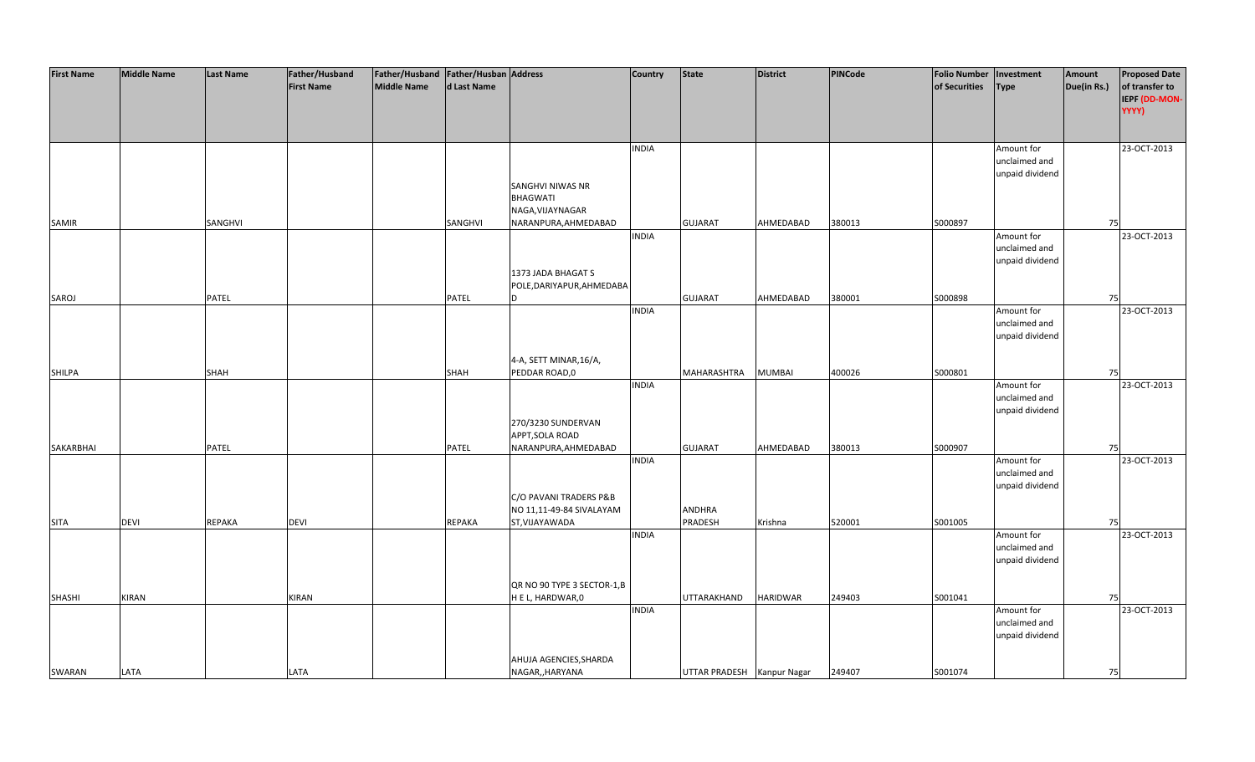| <b>First Name</b> | <b>Middle Name</b> | <b>Last Name</b> | Father/Husband    | Father/Husband Father/Husban Address |              |                             | <b>Country</b> | <b>State</b>               | <b>District</b> | <b>PINCode</b> | <b>Folio Number</b> | Investment      | Amount      | <b>Proposed Date</b> |
|-------------------|--------------------|------------------|-------------------|--------------------------------------|--------------|-----------------------------|----------------|----------------------------|-----------------|----------------|---------------------|-----------------|-------------|----------------------|
|                   |                    |                  | <b>First Name</b> | <b>Middle Name</b>                   | d Last Name  |                             |                |                            |                 |                | of Securities       | <b>Type</b>     | Due(in Rs.) | of transfer to       |
|                   |                    |                  |                   |                                      |              |                             |                |                            |                 |                |                     |                 |             | IEPF (DD-MON-        |
|                   |                    |                  |                   |                                      |              |                             |                |                            |                 |                |                     |                 |             | YYYY)                |
|                   |                    |                  |                   |                                      |              |                             |                |                            |                 |                |                     |                 |             |                      |
|                   |                    |                  |                   |                                      |              |                             |                |                            |                 |                |                     |                 |             |                      |
|                   |                    |                  |                   |                                      |              |                             | <b>INDIA</b>   |                            |                 |                |                     | Amount for      |             | 23-OCT-2013          |
|                   |                    |                  |                   |                                      |              |                             |                |                            |                 |                |                     | unclaimed and   |             |                      |
|                   |                    |                  |                   |                                      |              |                             |                |                            |                 |                |                     | unpaid dividend |             |                      |
|                   |                    |                  |                   |                                      |              | <b>SANGHVI NIWAS NR</b>     |                |                            |                 |                |                     |                 |             |                      |
|                   |                    |                  |                   |                                      |              | BHAGWATI                    |                |                            |                 |                |                     |                 |             |                      |
|                   |                    |                  |                   |                                      |              | NAGA, VIJAYNAGAR            |                |                            |                 |                |                     |                 |             |                      |
| <b>SAMIR</b>      |                    | SANGHVI          |                   |                                      | SANGHVI      | NARANPURA, AHMEDABAD        |                | <b>GUJARAT</b>             | AHMEDABAD       | 380013         | S000897             |                 | 75          |                      |
|                   |                    |                  |                   |                                      |              |                             | <b>INDIA</b>   |                            |                 |                |                     | Amount for      |             | 23-OCT-2013          |
|                   |                    |                  |                   |                                      |              |                             |                |                            |                 |                |                     | unclaimed and   |             |                      |
|                   |                    |                  |                   |                                      |              |                             |                |                            |                 |                |                     | unpaid dividend |             |                      |
|                   |                    |                  |                   |                                      |              | 1373 JADA BHAGAT S          |                |                            |                 |                |                     |                 |             |                      |
|                   |                    |                  |                   |                                      |              | POLE, DARIYAPUR, AHMEDABA   |                |                            |                 |                |                     |                 |             |                      |
|                   |                    | PATEL            |                   |                                      | <b>PATEL</b> | ID                          |                | <b>GUJARAT</b>             | AHMEDABAD       | 380001         | S000898             |                 | 75          |                      |
| SAROJ             |                    |                  |                   |                                      |              |                             | <b>INDIA</b>   |                            |                 |                |                     |                 |             | 23-OCT-2013          |
|                   |                    |                  |                   |                                      |              |                             |                |                            |                 |                |                     | Amount for      |             |                      |
|                   |                    |                  |                   |                                      |              |                             |                |                            |                 |                |                     | unclaimed and   |             |                      |
|                   |                    |                  |                   |                                      |              |                             |                |                            |                 |                |                     | unpaid dividend |             |                      |
|                   |                    |                  |                   |                                      |              |                             |                |                            |                 |                |                     |                 |             |                      |
|                   |                    |                  |                   |                                      |              | 4-A, SETT MINAR, 16/A,      |                |                            |                 |                |                     |                 |             |                      |
| <b>SHILPA</b>     |                    | SHAH             |                   |                                      | SHAH         | PEDDAR ROAD,0               |                | MAHARASHTRA                | <b>MUMBAI</b>   | 400026         | S000801             |                 | 75          |                      |
|                   |                    |                  |                   |                                      |              |                             | <b>INDIA</b>   |                            |                 |                |                     | Amount for      |             | 23-OCT-2013          |
|                   |                    |                  |                   |                                      |              |                             |                |                            |                 |                |                     | unclaimed and   |             |                      |
|                   |                    |                  |                   |                                      |              |                             |                |                            |                 |                |                     | unpaid dividend |             |                      |
|                   |                    |                  |                   |                                      |              | 270/3230 SUNDERVAN          |                |                            |                 |                |                     |                 |             |                      |
|                   |                    |                  |                   |                                      |              | APPT, SOLA ROAD             |                |                            |                 |                |                     |                 |             |                      |
| SAKARBHAI         |                    | PATEL            |                   |                                      | <b>PATEL</b> | NARANPURA, AHMEDABAD        |                | <b>GUJARAT</b>             | AHMEDABAD       | 380013         | S000907             |                 | 75          |                      |
|                   |                    |                  |                   |                                      |              |                             | <b>INDIA</b>   |                            |                 |                |                     | Amount for      |             | 23-OCT-2013          |
|                   |                    |                  |                   |                                      |              |                             |                |                            |                 |                |                     | unclaimed and   |             |                      |
|                   |                    |                  |                   |                                      |              |                             |                |                            |                 |                |                     | unpaid dividend |             |                      |
|                   |                    |                  |                   |                                      |              | C/O PAVANI TRADERS P&B      |                |                            |                 |                |                     |                 |             |                      |
|                   |                    |                  |                   |                                      |              | NO 11,11-49-84 SIVALAYAM    |                | <b>ANDHRA</b>              |                 |                |                     |                 |             |                      |
| <b>SITA</b>       | <b>DEVI</b>        | <b>REPAKA</b>    | <b>DEVI</b>       |                                      | REPAKA       | ST, VIJAYAWADA              |                | PRADESH                    | Krishna         | 520001         | S001005             |                 | 75          |                      |
|                   |                    |                  |                   |                                      |              |                             | <b>INDIA</b>   |                            |                 |                |                     | Amount for      |             | 23-OCT-2013          |
|                   |                    |                  |                   |                                      |              |                             |                |                            |                 |                |                     | unclaimed and   |             |                      |
|                   |                    |                  |                   |                                      |              |                             |                |                            |                 |                |                     | unpaid dividend |             |                      |
|                   |                    |                  |                   |                                      |              |                             |                |                            |                 |                |                     |                 |             |                      |
|                   |                    |                  |                   |                                      |              | QR NO 90 TYPE 3 SECTOR-1, B |                |                            |                 |                |                     |                 |             |                      |
| <b>SHASHI</b>     | <b>KIRAN</b>       |                  | KIRAN             |                                      |              | H E L, HARDWAR,0            |                | UTTARAKHAND                | <b>HARIDWAR</b> | 249403         | S001041             |                 | 75          |                      |
|                   |                    |                  |                   |                                      |              |                             | <b>INDIA</b>   |                            |                 |                |                     | Amount for      |             | 23-OCT-2013          |
|                   |                    |                  |                   |                                      |              |                             |                |                            |                 |                |                     | unclaimed and   |             |                      |
|                   |                    |                  |                   |                                      |              |                             |                |                            |                 |                |                     | unpaid dividend |             |                      |
|                   |                    |                  |                   |                                      |              |                             |                |                            |                 |                |                     |                 |             |                      |
|                   |                    |                  |                   |                                      |              | AHUJA AGENCIES, SHARDA      |                |                            |                 |                |                     |                 |             |                      |
| SWARAN            | LATA               |                  | LATA              |                                      |              | NAGAR,, HARYANA             |                | UTTAR PRADESH Kanpur Nagar |                 | 249407         | S001074             |                 | 75          |                      |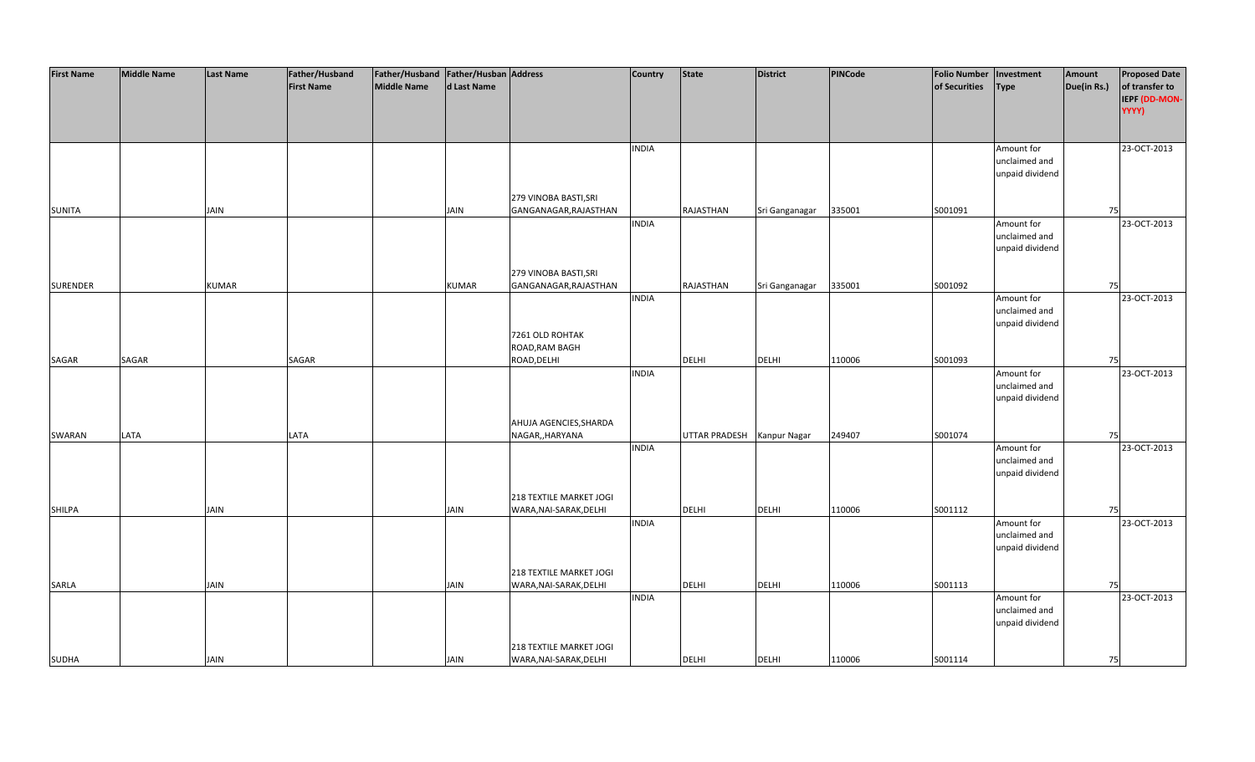| <b>First Name</b> | <b>Middle Name</b> | <b>Last Name</b> | Father/Husband    | Father/Husband Father/Husban Address |              |                         | Country      | <b>State</b>               | <b>District</b> | PINCode | <b>Folio Number</b> | Investment                  | Amount      | <b>Proposed Date</b> |
|-------------------|--------------------|------------------|-------------------|--------------------------------------|--------------|-------------------------|--------------|----------------------------|-----------------|---------|---------------------|-----------------------------|-------------|----------------------|
|                   |                    |                  | <b>First Name</b> | <b>Middle Name</b>                   | d Last Name  |                         |              |                            |                 |         | of Securities       | <b>Type</b>                 | Due(in Rs.) | of transfer to       |
|                   |                    |                  |                   |                                      |              |                         |              |                            |                 |         |                     |                             |             | IEPF (DD-MON-        |
|                   |                    |                  |                   |                                      |              |                         |              |                            |                 |         |                     |                             |             | YYYY)                |
|                   |                    |                  |                   |                                      |              |                         |              |                            |                 |         |                     |                             |             |                      |
|                   |                    |                  |                   |                                      |              |                         |              |                            |                 |         |                     |                             |             |                      |
|                   |                    |                  |                   |                                      |              |                         | <b>INDIA</b> |                            |                 |         |                     | Amount for                  |             | 23-OCT-2013          |
|                   |                    |                  |                   |                                      |              |                         |              |                            |                 |         |                     | unclaimed and               |             |                      |
|                   |                    |                  |                   |                                      |              |                         |              |                            |                 |         |                     | unpaid dividend             |             |                      |
|                   |                    |                  |                   |                                      |              |                         |              |                            |                 |         |                     |                             |             |                      |
|                   |                    |                  |                   |                                      |              | 279 VINOBA BASTI, SRI   |              |                            |                 |         |                     |                             |             |                      |
| <b>SUNITA</b>     |                    | <b>JAIN</b>      |                   |                                      | <b>JAIN</b>  | GANGANAGAR, RAJASTHAN   |              | RAJASTHAN                  | Sri Ganganagar  | 335001  | S001091             |                             | 75          |                      |
|                   |                    |                  |                   |                                      |              |                         | <b>INDIA</b> |                            |                 |         |                     | Amount for                  |             | 23-OCT-2013          |
|                   |                    |                  |                   |                                      |              |                         |              |                            |                 |         |                     | unclaimed and               |             |                      |
|                   |                    |                  |                   |                                      |              |                         |              |                            |                 |         |                     | unpaid dividend             |             |                      |
|                   |                    |                  |                   |                                      |              |                         |              |                            |                 |         |                     |                             |             |                      |
|                   |                    |                  |                   |                                      |              | 279 VINOBA BASTI, SRI   |              |                            |                 |         |                     |                             |             |                      |
| <b>SURENDER</b>   |                    | <b>KUMAR</b>     |                   |                                      | <b>KUMAR</b> | GANGANAGAR, RAJASTHAN   |              | RAJASTHAN                  | Sri Ganganagar  | 335001  | S001092             |                             | 75          |                      |
|                   |                    |                  |                   |                                      |              |                         | <b>INDIA</b> |                            |                 |         |                     | Amount for                  |             | 23-OCT-2013          |
|                   |                    |                  |                   |                                      |              |                         |              |                            |                 |         |                     | unclaimed and               |             |                      |
|                   |                    |                  |                   |                                      |              |                         |              |                            |                 |         |                     | unpaid dividend             |             |                      |
|                   |                    |                  |                   |                                      |              | 7261 OLD ROHTAK         |              |                            |                 |         |                     |                             |             |                      |
|                   |                    |                  |                   |                                      |              | ROAD, RAM BAGH          |              |                            |                 |         |                     |                             |             |                      |
| SAGAR             | SAGAR              |                  | SAGAR             |                                      |              | ROAD, DELHI             |              | DELHI                      | <b>DELHI</b>    | 110006  | S001093             |                             | 75          |                      |
|                   |                    |                  |                   |                                      |              |                         | <b>INDIA</b> |                            |                 |         |                     | Amount for                  |             | 23-OCT-2013          |
|                   |                    |                  |                   |                                      |              |                         |              |                            |                 |         |                     | unclaimed and               |             |                      |
|                   |                    |                  |                   |                                      |              |                         |              |                            |                 |         |                     | unpaid dividend             |             |                      |
|                   |                    |                  |                   |                                      |              |                         |              |                            |                 |         |                     |                             |             |                      |
|                   |                    |                  |                   |                                      |              | AHUJA AGENCIES, SHARDA  |              |                            |                 |         |                     |                             |             |                      |
| SWARAN            | LATA               |                  | LATA              |                                      |              | NAGAR,, HARYANA         |              | UTTAR PRADESH Kanpur Nagar |                 | 249407  | S001074             |                             | 75          | 23-OCT-2013          |
|                   |                    |                  |                   |                                      |              |                         | <b>INDIA</b> |                            |                 |         |                     | Amount for<br>unclaimed and |             |                      |
|                   |                    |                  |                   |                                      |              |                         |              |                            |                 |         |                     | unpaid dividend             |             |                      |
|                   |                    |                  |                   |                                      |              |                         |              |                            |                 |         |                     |                             |             |                      |
|                   |                    |                  |                   |                                      |              | 218 TEXTILE MARKET JOGI |              |                            |                 |         |                     |                             |             |                      |
| <b>SHILPA</b>     |                    | <b>JAIN</b>      |                   |                                      | <b>JAIN</b>  | WARA, NAI-SARAK, DELHI  |              | DELHI                      | <b>DELHI</b>    | 110006  | S001112             |                             | 75          |                      |
|                   |                    |                  |                   |                                      |              |                         | <b>INDIA</b> |                            |                 |         |                     | Amount for                  |             | 23-OCT-2013          |
|                   |                    |                  |                   |                                      |              |                         |              |                            |                 |         |                     | unclaimed and               |             |                      |
|                   |                    |                  |                   |                                      |              |                         |              |                            |                 |         |                     | unpaid dividend             |             |                      |
|                   |                    |                  |                   |                                      |              |                         |              |                            |                 |         |                     |                             |             |                      |
|                   |                    |                  |                   |                                      |              | 218 TEXTILE MARKET JOGI |              |                            |                 |         |                     |                             |             |                      |
| <b>SARLA</b>      |                    | JAIN             |                   |                                      | <b>JAIN</b>  | WARA, NAI-SARAK, DELHI  |              | <b>DELHI</b>               | <b>DELHI</b>    | 110006  | S001113             |                             | 75          |                      |
|                   |                    |                  |                   |                                      |              |                         | <b>INDIA</b> |                            |                 |         |                     | Amount for                  |             | 23-OCT-2013          |
|                   |                    |                  |                   |                                      |              |                         |              |                            |                 |         |                     | unclaimed and               |             |                      |
|                   |                    |                  |                   |                                      |              |                         |              |                            |                 |         |                     | unpaid dividend             |             |                      |
|                   |                    |                  |                   |                                      |              |                         |              |                            |                 |         |                     |                             |             |                      |
|                   |                    |                  |                   |                                      |              | 218 TEXTILE MARKET JOGI |              |                            |                 |         |                     |                             |             |                      |
| <b>SUDHA</b>      |                    | <b>JAIN</b>      |                   |                                      | <b>JAIN</b>  | WARA, NAI-SARAK, DELHI  |              | <b>DELHI</b>               | <b>DELHI</b>    | 110006  | S001114             |                             | 75          |                      |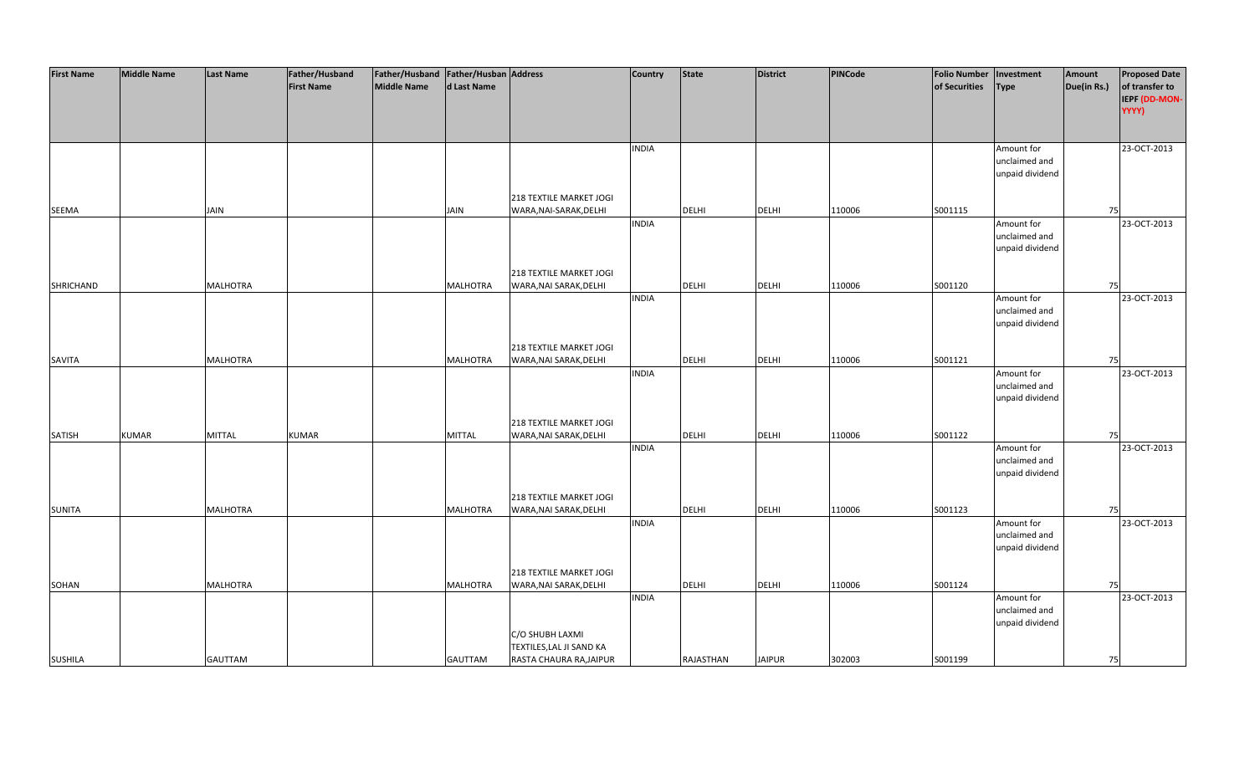| <b>First Name</b> | <b>Middle Name</b> | <b>Last Name</b> | Father/Husband    | Father/Husband Father/Husban Address |                 |                          | <b>Country</b> | <b>State</b> | <b>District</b> | PINCode | <b>Folio Number</b> | Investment      | Amount      | <b>Proposed Date</b> |
|-------------------|--------------------|------------------|-------------------|--------------------------------------|-----------------|--------------------------|----------------|--------------|-----------------|---------|---------------------|-----------------|-------------|----------------------|
|                   |                    |                  | <b>First Name</b> | <b>Middle Name</b>                   | d Last Name     |                          |                |              |                 |         | of Securities       | <b>Type</b>     | Due(in Rs.) | of transfer to       |
|                   |                    |                  |                   |                                      |                 |                          |                |              |                 |         |                     |                 |             | IEPF (DD-MON-        |
|                   |                    |                  |                   |                                      |                 |                          |                |              |                 |         |                     |                 |             | YYYY)                |
|                   |                    |                  |                   |                                      |                 |                          |                |              |                 |         |                     |                 |             |                      |
|                   |                    |                  |                   |                                      |                 |                          |                |              |                 |         |                     |                 |             |                      |
|                   |                    |                  |                   |                                      |                 |                          | <b>INDIA</b>   |              |                 |         |                     | Amount for      |             | 23-OCT-2013          |
|                   |                    |                  |                   |                                      |                 |                          |                |              |                 |         |                     | unclaimed and   |             |                      |
|                   |                    |                  |                   |                                      |                 |                          |                |              |                 |         |                     | unpaid dividend |             |                      |
|                   |                    |                  |                   |                                      |                 |                          |                |              |                 |         |                     |                 |             |                      |
|                   |                    |                  |                   |                                      |                 | 218 TEXTILE MARKET JOGI  |                |              |                 |         |                     |                 |             |                      |
| <b>SEEMA</b>      |                    | <b>JAIN</b>      |                   |                                      | <b>JAIN</b>     | WARA, NAI-SARAK, DELHI   |                | <b>DELHI</b> | <b>DELHI</b>    | 110006  | S001115             |                 | 75          |                      |
|                   |                    |                  |                   |                                      |                 |                          | <b>INDIA</b>   |              |                 |         |                     | Amount for      |             | 23-OCT-2013          |
|                   |                    |                  |                   |                                      |                 |                          |                |              |                 |         |                     | unclaimed and   |             |                      |
|                   |                    |                  |                   |                                      |                 |                          |                |              |                 |         |                     | unpaid dividend |             |                      |
|                   |                    |                  |                   |                                      |                 |                          |                |              |                 |         |                     |                 |             |                      |
|                   |                    |                  |                   |                                      |                 | 218 TEXTILE MARKET JOGI  |                |              |                 |         |                     |                 |             |                      |
|                   |                    |                  |                   |                                      |                 |                          |                |              | <b>DELHI</b>    |         |                     |                 | 75          |                      |
| SHRICHAND         |                    | <b>MALHOTRA</b>  |                   |                                      | <b>MALHOTRA</b> | WARA, NAI SARAK, DELHI   | <b>INDIA</b>   | <b>DELHI</b> |                 | 110006  | S001120             | Amount for      |             | 23-OCT-2013          |
|                   |                    |                  |                   |                                      |                 |                          |                |              |                 |         |                     | unclaimed and   |             |                      |
|                   |                    |                  |                   |                                      |                 |                          |                |              |                 |         |                     |                 |             |                      |
|                   |                    |                  |                   |                                      |                 |                          |                |              |                 |         |                     | unpaid dividend |             |                      |
|                   |                    |                  |                   |                                      |                 |                          |                |              |                 |         |                     |                 |             |                      |
|                   |                    |                  |                   |                                      |                 | 218 TEXTILE MARKET JOGI  |                |              |                 |         |                     |                 |             |                      |
| <b>SAVITA</b>     |                    | <b>MALHOTRA</b>  |                   |                                      | <b>MALHOTRA</b> | WARA, NAI SARAK, DELHI   |                | <b>DELHI</b> | <b>DELHI</b>    | 110006  | S001121             |                 | 75          |                      |
|                   |                    |                  |                   |                                      |                 |                          | <b>INDIA</b>   |              |                 |         |                     | Amount for      |             | 23-OCT-2013          |
|                   |                    |                  |                   |                                      |                 |                          |                |              |                 |         |                     | unclaimed and   |             |                      |
|                   |                    |                  |                   |                                      |                 |                          |                |              |                 |         |                     | unpaid dividend |             |                      |
|                   |                    |                  |                   |                                      |                 |                          |                |              |                 |         |                     |                 |             |                      |
|                   |                    |                  |                   |                                      |                 | 218 TEXTILE MARKET JOGI  |                |              |                 |         |                     |                 |             |                      |
| <b>SATISH</b>     | <b>KUMAR</b>       | <b>MITTAL</b>    | <b>KUMAR</b>      |                                      | <b>MITTAL</b>   | WARA, NAI SARAK, DELHI   |                | <b>DELHI</b> | <b>DELHI</b>    | 110006  | S001122             |                 | 75          |                      |
|                   |                    |                  |                   |                                      |                 |                          | <b>INDIA</b>   |              |                 |         |                     | Amount for      |             | 23-OCT-2013          |
|                   |                    |                  |                   |                                      |                 |                          |                |              |                 |         |                     | unclaimed and   |             |                      |
|                   |                    |                  |                   |                                      |                 |                          |                |              |                 |         |                     | unpaid dividend |             |                      |
|                   |                    |                  |                   |                                      |                 |                          |                |              |                 |         |                     |                 |             |                      |
|                   |                    |                  |                   |                                      |                 | 218 TEXTILE MARKET JOGI  |                |              |                 |         |                     |                 |             |                      |
| <b>SUNITA</b>     |                    | <b>MALHOTRA</b>  |                   |                                      | <b>MALHOTRA</b> | WARA, NAI SARAK, DELHI   |                | DELHI        | <b>DELHI</b>    | 110006  | S001123             |                 | 75          |                      |
|                   |                    |                  |                   |                                      |                 |                          | <b>INDIA</b>   |              |                 |         |                     | Amount for      |             | 23-OCT-2013          |
|                   |                    |                  |                   |                                      |                 |                          |                |              |                 |         |                     | unclaimed and   |             |                      |
|                   |                    |                  |                   |                                      |                 |                          |                |              |                 |         |                     | unpaid dividend |             |                      |
|                   |                    |                  |                   |                                      |                 |                          |                |              |                 |         |                     |                 |             |                      |
|                   |                    |                  |                   |                                      |                 | 218 TEXTILE MARKET JOGI  |                |              |                 |         |                     |                 |             |                      |
| SOHAN             |                    | <b>MALHOTRA</b>  |                   |                                      | <b>MALHOTRA</b> | WARA, NAI SARAK, DELHI   |                | DELHI        | <b>DELHI</b>    | 110006  | S001124             |                 | 75          |                      |
|                   |                    |                  |                   |                                      |                 |                          | <b>INDIA</b>   |              |                 |         |                     | Amount for      |             | 23-OCT-2013          |
|                   |                    |                  |                   |                                      |                 |                          |                |              |                 |         |                     | unclaimed and   |             |                      |
|                   |                    |                  |                   |                                      |                 |                          |                |              |                 |         |                     | unpaid dividend |             |                      |
|                   |                    |                  |                   |                                      |                 | C/O SHUBH LAXMI          |                |              |                 |         |                     |                 |             |                      |
|                   |                    |                  |                   |                                      |                 | TEXTILES, LAL JI SAND KA |                |              |                 |         |                     |                 |             |                      |
| <b>SUSHILA</b>    |                    | <b>GAUTTAM</b>   |                   |                                      | <b>GAUTTAM</b>  | RASTA CHAURA RA, JAIPUR  |                | RAJASTHAN    | <b>JAIPUR</b>   | 302003  | S001199             |                 | 75          |                      |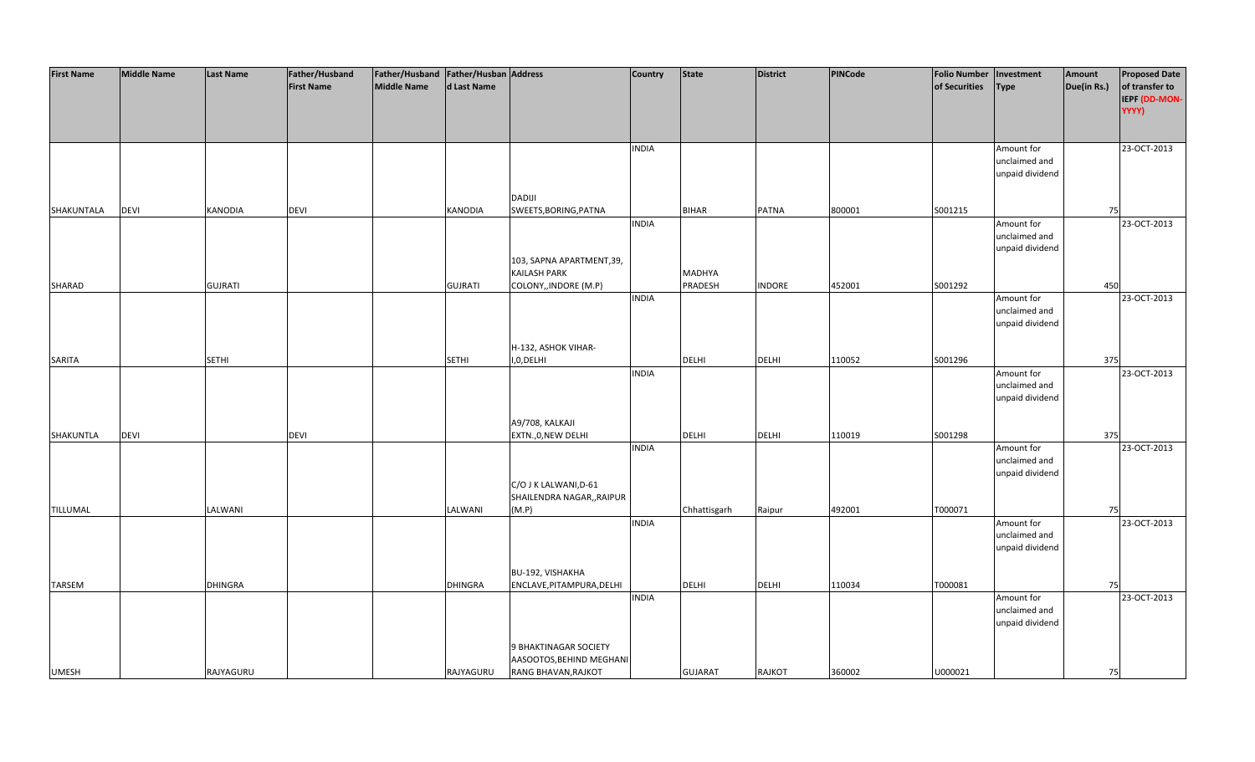| <b>First Name</b> | <b>Middle Name</b> | <b>Last Name</b> | Father/Husband    | Father/Husband Father/Husban Address |                |                            | <b>Country</b> | <b>State</b>   | <b>District</b> | <b>PINCode</b> | <b>Folio Number</b> | Investment      | Amount      | <b>Proposed Date</b> |
|-------------------|--------------------|------------------|-------------------|--------------------------------------|----------------|----------------------------|----------------|----------------|-----------------|----------------|---------------------|-----------------|-------------|----------------------|
|                   |                    |                  | <b>First Name</b> | <b>Middle Name</b>                   | d Last Name    |                            |                |                |                 |                | of Securities       | <b>Type</b>     | Due(in Rs.) | of transfer to       |
|                   |                    |                  |                   |                                      |                |                            |                |                |                 |                |                     |                 |             | IEPF (DD-MON-        |
|                   |                    |                  |                   |                                      |                |                            |                |                |                 |                |                     |                 |             | YYYY)                |
|                   |                    |                  |                   |                                      |                |                            |                |                |                 |                |                     |                 |             |                      |
|                   |                    |                  |                   |                                      |                |                            |                |                |                 |                |                     |                 |             |                      |
|                   |                    |                  |                   |                                      |                |                            | <b>INDIA</b>   |                |                 |                |                     | Amount for      |             | 23-OCT-2013          |
|                   |                    |                  |                   |                                      |                |                            |                |                |                 |                |                     | unclaimed and   |             |                      |
|                   |                    |                  |                   |                                      |                |                            |                |                |                 |                |                     | unpaid dividend |             |                      |
|                   |                    |                  |                   |                                      |                |                            |                |                |                 |                |                     |                 |             |                      |
|                   |                    |                  |                   |                                      |                | <b>DADIJI</b>              |                |                |                 |                |                     |                 |             |                      |
| SHAKUNTALA        | <b>DEVI</b>        | <b>KANODIA</b>   | <b>DEVI</b>       |                                      | <b>KANODIA</b> | SWEETS, BORING, PATNA      |                | <b>BIHAR</b>   | <b>PATNA</b>    | 800001         | S001215             |                 | 75          |                      |
|                   |                    |                  |                   |                                      |                |                            | <b>INDIA</b>   |                |                 |                |                     | Amount for      |             | 23-OCT-2013          |
|                   |                    |                  |                   |                                      |                |                            |                |                |                 |                |                     | unclaimed and   |             |                      |
|                   |                    |                  |                   |                                      |                |                            |                |                |                 |                |                     | unpaid dividend |             |                      |
|                   |                    |                  |                   |                                      |                | 103, SAPNA APARTMENT, 39,  |                |                |                 |                |                     |                 |             |                      |
|                   |                    |                  |                   |                                      |                | <b>KAILASH PARK</b>        |                | <b>MADHYA</b>  |                 |                |                     |                 |             |                      |
| SHARAD            |                    | <b>GUJRATI</b>   |                   |                                      | <b>GUJRATI</b> | COLONY,, INDORE (M.P)      |                | PRADESH        | <b>INDORE</b>   | 452001         | S001292             |                 | 450         |                      |
|                   |                    |                  |                   |                                      |                |                            | <b>INDIA</b>   |                |                 |                |                     | Amount for      |             | 23-OCT-2013          |
|                   |                    |                  |                   |                                      |                |                            |                |                |                 |                |                     | unclaimed and   |             |                      |
|                   |                    |                  |                   |                                      |                |                            |                |                |                 |                |                     | unpaid dividend |             |                      |
|                   |                    |                  |                   |                                      |                |                            |                |                |                 |                |                     |                 |             |                      |
|                   |                    |                  |                   |                                      |                | H-132, ASHOK VIHAR-        |                |                |                 |                |                     |                 |             |                      |
| SARITA            |                    | <b>SETHI</b>     |                   |                                      | <b>SETHI</b>   | I,0,DELHI                  |                | <b>DELHI</b>   | <b>DELHI</b>    | 110052         | S001296             |                 | 375         |                      |
|                   |                    |                  |                   |                                      |                |                            | <b>INDIA</b>   |                |                 |                |                     | Amount for      |             | 23-OCT-2013          |
|                   |                    |                  |                   |                                      |                |                            |                |                |                 |                |                     | unclaimed and   |             |                      |
|                   |                    |                  |                   |                                      |                |                            |                |                |                 |                |                     | unpaid dividend |             |                      |
|                   |                    |                  |                   |                                      |                |                            |                |                |                 |                |                     |                 |             |                      |
|                   |                    |                  |                   |                                      |                | A9/708, KALKAJI            |                |                |                 |                |                     |                 |             |                      |
| SHAKUNTLA         | <b>DEVI</b>        |                  | <b>DEVI</b>       |                                      |                | EXTN., 0, NEW DELHI        |                | <b>DELHI</b>   | <b>DELHI</b>    | 110019         | S001298             |                 | 375         |                      |
|                   |                    |                  |                   |                                      |                |                            | <b>INDIA</b>   |                |                 |                |                     | Amount for      |             | 23-OCT-2013          |
|                   |                    |                  |                   |                                      |                |                            |                |                |                 |                |                     | unclaimed and   |             |                      |
|                   |                    |                  |                   |                                      |                |                            |                |                |                 |                |                     | unpaid dividend |             |                      |
|                   |                    |                  |                   |                                      |                | C/O J K LALWANI, D-61      |                |                |                 |                |                     |                 |             |                      |
|                   |                    |                  |                   |                                      |                | SHAILENDRA NAGAR,, RAIPUR  |                |                |                 |                |                     |                 |             |                      |
| <b>TILLUMAL</b>   |                    | LALWANI          |                   |                                      | LALWANI        | (M.P)                      |                | Chhattisgarh   | Raipur          | 492001         | T000071             |                 | 75          |                      |
|                   |                    |                  |                   |                                      |                |                            | <b>INDIA</b>   |                |                 |                |                     | Amount for      |             | 23-OCT-2013          |
|                   |                    |                  |                   |                                      |                |                            |                |                |                 |                |                     | unclaimed and   |             |                      |
|                   |                    |                  |                   |                                      |                |                            |                |                |                 |                |                     | unpaid dividend |             |                      |
|                   |                    |                  |                   |                                      |                |                            |                |                |                 |                |                     |                 |             |                      |
|                   |                    |                  |                   |                                      |                | BU-192, VISHAKHA           |                |                |                 |                |                     |                 |             |                      |
| TARSEM            |                    | <b>DHINGRA</b>   |                   |                                      | <b>DHINGRA</b> | ENCLAVE, PITAMPURA, DELHI  |                | <b>DELHI</b>   | <b>DELHI</b>    | 110034         | T000081             |                 | 75          |                      |
|                   |                    |                  |                   |                                      |                |                            | <b>INDIA</b>   |                |                 |                |                     | Amount for      |             | 23-OCT-2013          |
|                   |                    |                  |                   |                                      |                |                            |                |                |                 |                |                     | unclaimed and   |             |                      |
|                   |                    |                  |                   |                                      |                |                            |                |                |                 |                |                     | unpaid dividend |             |                      |
|                   |                    |                  |                   |                                      |                |                            |                |                |                 |                |                     |                 |             |                      |
|                   |                    |                  |                   |                                      |                | 9 BHAKTINAGAR SOCIETY      |                |                |                 |                |                     |                 |             |                      |
|                   |                    |                  |                   |                                      |                | AASOOTOS, BEHIND MEGHANI   |                |                |                 |                |                     |                 |             |                      |
| <b>UMESH</b>      |                    | RAJYAGURU        |                   |                                      | RAJYAGURU      | <b>RANG BHAVAN, RAJKOT</b> |                | <b>GUJARAT</b> | <b>RAJKOT</b>   | 360002         | U000021             |                 | 75          |                      |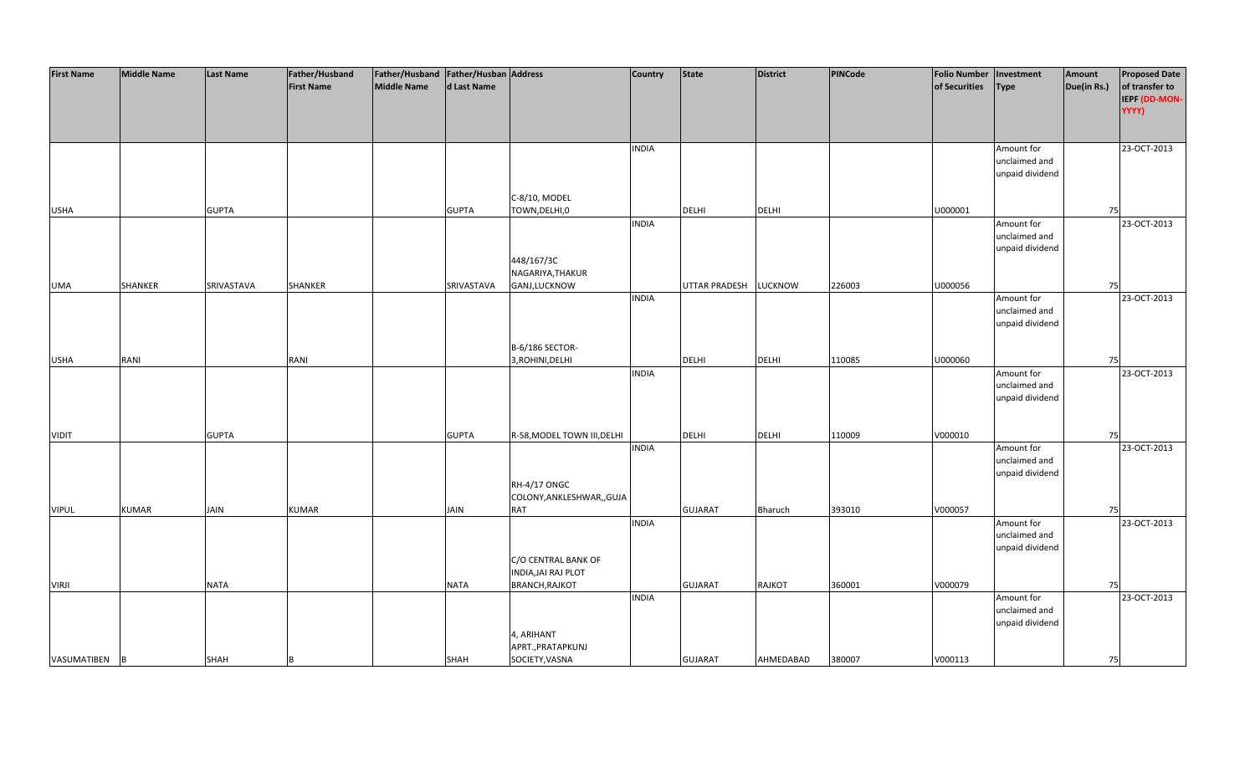| <b>First Name</b> | <b>Middle Name</b> | <b>Last Name</b> | Father/Husband    | Father/Husband Father/Husban Address |              |                             | <b>Country</b> | <b>State</b>   | <b>District</b> | PINCode | Folio Number   Investment |                 | Amount      | <b>Proposed Date</b> |
|-------------------|--------------------|------------------|-------------------|--------------------------------------|--------------|-----------------------------|----------------|----------------|-----------------|---------|---------------------------|-----------------|-------------|----------------------|
|                   |                    |                  | <b>First Name</b> | Middle Name                          | d Last Name  |                             |                |                |                 |         | of Securities             | <b>Type</b>     | Due(in Rs.) | of transfer to       |
|                   |                    |                  |                   |                                      |              |                             |                |                |                 |         |                           |                 |             | IEPF (DD-MON-        |
|                   |                    |                  |                   |                                      |              |                             |                |                |                 |         |                           |                 |             | YYYY)                |
|                   |                    |                  |                   |                                      |              |                             |                |                |                 |         |                           |                 |             |                      |
|                   |                    |                  |                   |                                      |              |                             |                |                |                 |         |                           |                 |             |                      |
|                   |                    |                  |                   |                                      |              |                             | <b>INDIA</b>   |                |                 |         |                           | Amount for      |             | 23-OCT-2013          |
|                   |                    |                  |                   |                                      |              |                             |                |                |                 |         |                           | unclaimed and   |             |                      |
|                   |                    |                  |                   |                                      |              |                             |                |                |                 |         |                           | unpaid dividend |             |                      |
|                   |                    |                  |                   |                                      |              |                             |                |                |                 |         |                           |                 |             |                      |
|                   |                    |                  |                   |                                      |              | C-8/10, MODEL               |                |                |                 |         |                           |                 |             |                      |
| <b>USHA</b>       |                    | <b>GUPTA</b>     |                   |                                      | <b>GUPTA</b> | TOWN, DELHI, 0              |                | <b>DELHI</b>   | <b>DELHI</b>    |         | U000001                   |                 | 75          |                      |
|                   |                    |                  |                   |                                      |              |                             | <b>INDIA</b>   |                |                 |         |                           | Amount for      |             | 23-OCT-2013          |
|                   |                    |                  |                   |                                      |              |                             |                |                |                 |         |                           | unclaimed and   |             |                      |
|                   |                    |                  |                   |                                      |              |                             |                |                |                 |         |                           | unpaid dividend |             |                      |
|                   |                    |                  |                   |                                      |              | 448/167/3C                  |                |                |                 |         |                           |                 |             |                      |
|                   |                    |                  |                   |                                      |              | NAGARIYA, THAKUR            |                |                |                 |         |                           |                 |             |                      |
| UMA               | <b>SHANKER</b>     | SRIVASTAVA       | SHANKER           |                                      | SRIVASTAVA   | GANJ,LUCKNOW                |                | UTTAR PRADESH  | <b>LUCKNOW</b>  | 226003  | U000056                   |                 | 75          |                      |
|                   |                    |                  |                   |                                      |              |                             | <b>INDIA</b>   |                |                 |         |                           | Amount for      |             | 23-OCT-2013          |
|                   |                    |                  |                   |                                      |              |                             |                |                |                 |         |                           | unclaimed and   |             |                      |
|                   |                    |                  |                   |                                      |              |                             |                |                |                 |         |                           | unpaid dividend |             |                      |
|                   |                    |                  |                   |                                      |              |                             |                |                |                 |         |                           |                 |             |                      |
|                   |                    |                  |                   |                                      |              | B-6/186 SECTOR-             |                |                |                 |         |                           |                 |             |                      |
|                   | RANI               |                  |                   |                                      |              | 3, ROHINI, DELHI            |                | <b>DELHI</b>   | DELHI           | 110085  | U000060                   |                 |             |                      |
| <b>USHA</b>       |                    |                  | RANI              |                                      |              |                             |                |                |                 |         |                           |                 | 75          |                      |
|                   |                    |                  |                   |                                      |              |                             | <b>INDIA</b>   |                |                 |         |                           | Amount for      |             | 23-OCT-2013          |
|                   |                    |                  |                   |                                      |              |                             |                |                |                 |         |                           | unclaimed and   |             |                      |
|                   |                    |                  |                   |                                      |              |                             |                |                |                 |         |                           | unpaid dividend |             |                      |
|                   |                    |                  |                   |                                      |              |                             |                |                |                 |         |                           |                 |             |                      |
|                   |                    |                  |                   |                                      |              |                             |                |                |                 |         |                           |                 |             |                      |
| <b>VIDIT</b>      |                    | <b>GUPTA</b>     |                   |                                      | <b>GUPTA</b> | R-58, MODEL TOWN III, DELHI |                | <b>DELHI</b>   | DELHI           | 110009  | V000010                   |                 | 75          |                      |
|                   |                    |                  |                   |                                      |              |                             | <b>INDIA</b>   |                |                 |         |                           | Amount for      |             | 23-OCT-2013          |
|                   |                    |                  |                   |                                      |              |                             |                |                |                 |         |                           | unclaimed and   |             |                      |
|                   |                    |                  |                   |                                      |              |                             |                |                |                 |         |                           | unpaid dividend |             |                      |
|                   |                    |                  |                   |                                      |              | <b>RH-4/17 ONGC</b>         |                |                |                 |         |                           |                 |             |                      |
|                   |                    |                  |                   |                                      |              | COLONY, ANKLESHWAR, , GUJA  |                |                |                 |         |                           |                 |             |                      |
| <b>VIPUL</b>      | <b>KUMAR</b>       | JAIN             | <b>KUMAR</b>      |                                      | <b>JAIN</b>  | RAT                         |                | <b>GUJARAT</b> | Bharuch         | 393010  | V000057                   |                 | 75          |                      |
|                   |                    |                  |                   |                                      |              |                             | <b>INDIA</b>   |                |                 |         |                           | Amount for      |             | 23-OCT-2013          |
|                   |                    |                  |                   |                                      |              |                             |                |                |                 |         |                           | unclaimed and   |             |                      |
|                   |                    |                  |                   |                                      |              |                             |                |                |                 |         |                           | unpaid dividend |             |                      |
|                   |                    |                  |                   |                                      |              | C/O CENTRAL BANK OF         |                |                |                 |         |                           |                 |             |                      |
|                   |                    |                  |                   |                                      |              | <b>INDIA, JAI RAJ PLOT</b>  |                |                |                 |         |                           |                 |             |                      |
| <b>VIRJI</b>      |                    | <b>NATA</b>      |                   |                                      | NATA         | <b>BRANCH, RAJKOT</b>       |                | <b>GUJARAT</b> | RAJKOT          | 360001  | V000079                   |                 | 75          |                      |
|                   |                    |                  |                   |                                      |              |                             | <b>INDIA</b>   |                |                 |         |                           | Amount for      |             | 23-OCT-2013          |
|                   |                    |                  |                   |                                      |              |                             |                |                |                 |         |                           | unclaimed and   |             |                      |
|                   |                    |                  |                   |                                      |              |                             |                |                |                 |         |                           | unpaid dividend |             |                      |
|                   |                    |                  |                   |                                      |              | 4, ARIHANT                  |                |                |                 |         |                           |                 |             |                      |
|                   |                    |                  |                   |                                      |              | APRT., PRATAPKUNJ           |                |                |                 |         |                           |                 |             |                      |
| VASUMATIBEN       | B                  | SHAH             |                   |                                      | SHAH         | SOCIETY, VASNA              |                | <b>GUJARAT</b> | AHMEDABAD       | 380007  | V000113                   |                 | 75          |                      |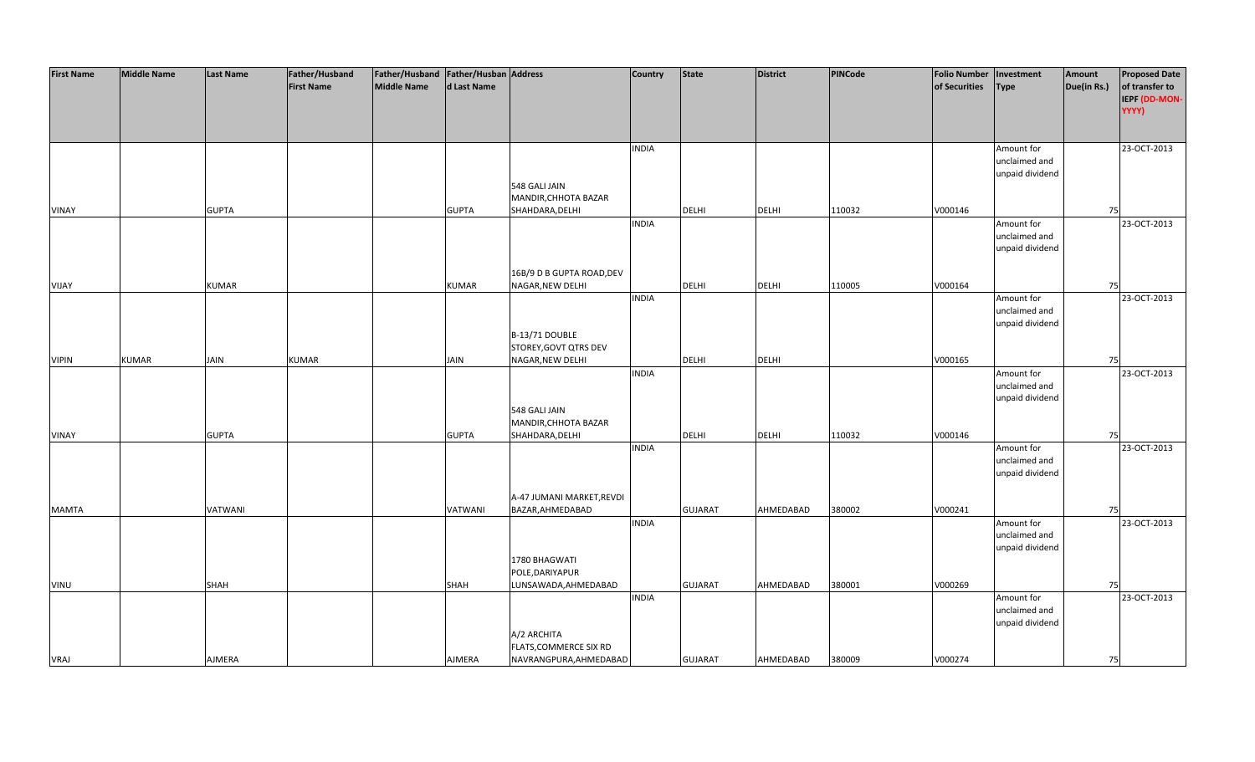| <b>First Name</b> | <b>Middle Name</b> | <b>Last Name</b> | Father/Husband    | Father/Husband Father/Husban Address |              |                           | <b>Country</b> | <b>State</b>   | <b>District</b> | PINCode | <b>Folio Number</b> | Investment      | Amount      | <b>Proposed Date</b> |
|-------------------|--------------------|------------------|-------------------|--------------------------------------|--------------|---------------------------|----------------|----------------|-----------------|---------|---------------------|-----------------|-------------|----------------------|
|                   |                    |                  | <b>First Name</b> | <b>Middle Name</b>                   | d Last Name  |                           |                |                |                 |         | of Securities       | <b>Type</b>     | Due(in Rs.) | of transfer to       |
|                   |                    |                  |                   |                                      |              |                           |                |                |                 |         |                     |                 |             | IEPF (DD-MON-        |
|                   |                    |                  |                   |                                      |              |                           |                |                |                 |         |                     |                 |             | YYYY)                |
|                   |                    |                  |                   |                                      |              |                           |                |                |                 |         |                     |                 |             |                      |
|                   |                    |                  |                   |                                      |              |                           |                |                |                 |         |                     |                 |             |                      |
|                   |                    |                  |                   |                                      |              |                           | <b>INDIA</b>   |                |                 |         |                     | Amount for      |             | 23-OCT-2013          |
|                   |                    |                  |                   |                                      |              |                           |                |                |                 |         |                     | unclaimed and   |             |                      |
|                   |                    |                  |                   |                                      |              |                           |                |                |                 |         |                     | unpaid dividend |             |                      |
|                   |                    |                  |                   |                                      |              | 548 GALI JAIN             |                |                |                 |         |                     |                 |             |                      |
|                   |                    |                  |                   |                                      |              | MANDIR, CHHOTA BAZAR      |                |                |                 |         |                     |                 |             |                      |
| <b>VINAY</b>      |                    | <b>GUPTA</b>     |                   |                                      | <b>GUPTA</b> | SHAHDARA, DELHI           |                | <b>DELHI</b>   | <b>DELHI</b>    | 110032  | V000146             |                 | 75          |                      |
|                   |                    |                  |                   |                                      |              |                           | <b>INDIA</b>   |                |                 |         |                     | Amount for      |             | 23-OCT-2013          |
|                   |                    |                  |                   |                                      |              |                           |                |                |                 |         |                     | unclaimed and   |             |                      |
|                   |                    |                  |                   |                                      |              |                           |                |                |                 |         |                     | unpaid dividend |             |                      |
|                   |                    |                  |                   |                                      |              |                           |                |                |                 |         |                     |                 |             |                      |
|                   |                    |                  |                   |                                      |              | 16B/9 D B GUPTA ROAD, DEV |                |                |                 |         |                     |                 |             |                      |
| <b>VIJAY</b>      |                    | <b>KUMAR</b>     |                   |                                      | <b>KUMAR</b> | NAGAR, NEW DELHI          |                | <b>DELHI</b>   | <b>DELHI</b>    | 110005  | V000164             |                 | 75          |                      |
|                   |                    |                  |                   |                                      |              |                           | <b>INDIA</b>   |                |                 |         |                     | Amount for      |             | 23-OCT-2013          |
|                   |                    |                  |                   |                                      |              |                           |                |                |                 |         |                     | unclaimed and   |             |                      |
|                   |                    |                  |                   |                                      |              |                           |                |                |                 |         |                     | unpaid dividend |             |                      |
|                   |                    |                  |                   |                                      |              | B-13/71 DOUBLE            |                |                |                 |         |                     |                 |             |                      |
|                   |                    |                  |                   |                                      |              | STOREY, GOVT QTRS DEV     |                |                |                 |         |                     |                 |             |                      |
| <b>VIPIN</b>      | <b>KUMAR</b>       | JAIN             | <b>KUMAR</b>      |                                      | <b>JAIN</b>  | NAGAR, NEW DELHI          |                | DELHI          | <b>DELHI</b>    |         | V000165             |                 | 75          |                      |
|                   |                    |                  |                   |                                      |              |                           | <b>INDIA</b>   |                |                 |         |                     | Amount for      |             | 23-OCT-2013          |
|                   |                    |                  |                   |                                      |              |                           |                |                |                 |         |                     | unclaimed and   |             |                      |
|                   |                    |                  |                   |                                      |              |                           |                |                |                 |         |                     | unpaid dividend |             |                      |
|                   |                    |                  |                   |                                      |              | 548 GALI JAIN             |                |                |                 |         |                     |                 |             |                      |
|                   |                    |                  |                   |                                      |              | MANDIR, CHHOTA BAZAR      |                |                |                 |         |                     |                 |             |                      |
| <b>VINAY</b>      |                    | <b>GUPTA</b>     |                   |                                      | <b>GUPTA</b> | SHAHDARA, DELHI           |                | <b>DELHI</b>   | <b>DELHI</b>    | 110032  | V000146             |                 | 75          |                      |
|                   |                    |                  |                   |                                      |              |                           | <b>INDIA</b>   |                |                 |         |                     | Amount for      |             | 23-OCT-2013          |
|                   |                    |                  |                   |                                      |              |                           |                |                |                 |         |                     | unclaimed and   |             |                      |
|                   |                    |                  |                   |                                      |              |                           |                |                |                 |         |                     | unpaid dividend |             |                      |
|                   |                    |                  |                   |                                      |              |                           |                |                |                 |         |                     |                 |             |                      |
|                   |                    |                  |                   |                                      |              | A-47 JUMANI MARKET, REVDI |                |                |                 |         |                     |                 |             |                      |
| <b>MAMTA</b>      |                    | VATWANI          |                   |                                      | VATWANI      | BAZAR, AHMEDABAD          |                | <b>GUJARAT</b> | AHMEDABAD       | 380002  | V000241             |                 | 75          |                      |
|                   |                    |                  |                   |                                      |              |                           | <b>INDIA</b>   |                |                 |         |                     | Amount for      |             | 23-OCT-2013          |
|                   |                    |                  |                   |                                      |              |                           |                |                |                 |         |                     | unclaimed and   |             |                      |
|                   |                    |                  |                   |                                      |              |                           |                |                |                 |         |                     | unpaid dividend |             |                      |
|                   |                    |                  |                   |                                      |              | 1780 BHAGWATI             |                |                |                 |         |                     |                 |             |                      |
|                   |                    |                  |                   |                                      |              | POLE, DARIYAPUR           |                |                |                 |         |                     |                 |             |                      |
| VINU              |                    | SHAH             |                   |                                      | SHAH         | LUNSAWADA, AHMEDABAD      |                | <b>GUJARAT</b> | AHMEDABAD       | 380001  | V000269             |                 | 75          |                      |
|                   |                    |                  |                   |                                      |              |                           | <b>INDIA</b>   |                |                 |         |                     | Amount for      |             | 23-OCT-2013          |
|                   |                    |                  |                   |                                      |              |                           |                |                |                 |         |                     | unclaimed and   |             |                      |
|                   |                    |                  |                   |                                      |              |                           |                |                |                 |         |                     | unpaid dividend |             |                      |
|                   |                    |                  |                   |                                      |              | A/2 ARCHITA               |                |                |                 |         |                     |                 |             |                      |
|                   |                    |                  |                   |                                      |              | FLATS, COMMERCE SIX RD    |                |                |                 |         |                     |                 |             |                      |
| <b>VRAJ</b>       |                    | AJMERA           |                   |                                      | AJMERA       | NAVRANGPURA, AHMEDABAD    |                | <b>GUJARAT</b> | AHMEDABAD       | 380009  | V000274             |                 | 75          |                      |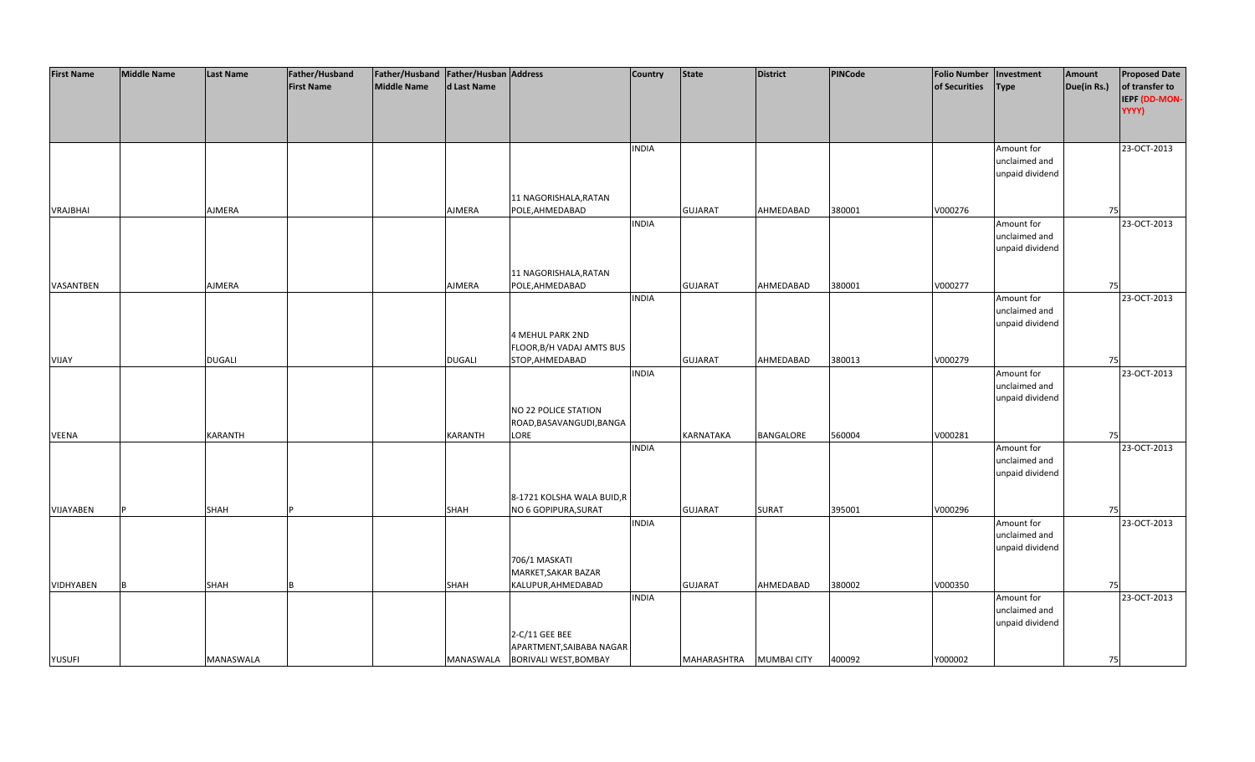| <b>First Name</b> | <b>Middle Name</b> | <b>Last Name</b> | Father/Husband    | Father/Husband Father/Husban Address |               |                                 | <b>Country</b> | <b>State</b>     | <b>District</b>    | PINCode | <b>Folio Number</b> | Investment      | Amount      | <b>Proposed Date</b> |
|-------------------|--------------------|------------------|-------------------|--------------------------------------|---------------|---------------------------------|----------------|------------------|--------------------|---------|---------------------|-----------------|-------------|----------------------|
|                   |                    |                  | <b>First Name</b> | <b>Middle Name</b>                   | d Last Name   |                                 |                |                  |                    |         | of Securities       | <b>Type</b>     | Due(in Rs.) | of transfer to       |
|                   |                    |                  |                   |                                      |               |                                 |                |                  |                    |         |                     |                 |             | IEPF (DD-MON-        |
|                   |                    |                  |                   |                                      |               |                                 |                |                  |                    |         |                     |                 |             | YYYY)                |
|                   |                    |                  |                   |                                      |               |                                 |                |                  |                    |         |                     |                 |             |                      |
|                   |                    |                  |                   |                                      |               |                                 |                |                  |                    |         |                     |                 |             |                      |
|                   |                    |                  |                   |                                      |               |                                 |                |                  |                    |         |                     |                 |             |                      |
|                   |                    |                  |                   |                                      |               |                                 | <b>INDIA</b>   |                  |                    |         |                     | Amount for      |             | 23-OCT-2013          |
|                   |                    |                  |                   |                                      |               |                                 |                |                  |                    |         |                     | unclaimed and   |             |                      |
|                   |                    |                  |                   |                                      |               |                                 |                |                  |                    |         |                     | unpaid dividend |             |                      |
|                   |                    |                  |                   |                                      |               |                                 |                |                  |                    |         |                     |                 |             |                      |
|                   |                    |                  |                   |                                      |               | 11 NAGORISHALA, RATAN           |                |                  |                    |         |                     |                 |             |                      |
| <b>VRAJBHAI</b>   |                    | AJMERA           |                   |                                      | AJMERA        | POLE, AHMEDABAD                 |                | <b>GUJARAT</b>   | AHMEDABAD          | 380001  | V000276             |                 | 75          |                      |
|                   |                    |                  |                   |                                      |               |                                 | <b>INDIA</b>   |                  |                    |         |                     | Amount for      |             | 23-OCT-2013          |
|                   |                    |                  |                   |                                      |               |                                 |                |                  |                    |         |                     | unclaimed and   |             |                      |
|                   |                    |                  |                   |                                      |               |                                 |                |                  |                    |         |                     | unpaid dividend |             |                      |
|                   |                    |                  |                   |                                      |               |                                 |                |                  |                    |         |                     |                 |             |                      |
|                   |                    |                  |                   |                                      |               | 11 NAGORISHALA, RATAN           |                |                  |                    |         |                     |                 |             |                      |
| VASANTBEN         |                    | AJMERA           |                   |                                      | AJMERA        | POLE, AHMEDABAD                 |                | <b>GUJARAT</b>   | AHMEDABAD          | 380001  | V000277             |                 | 75          |                      |
|                   |                    |                  |                   |                                      |               |                                 | <b>INDIA</b>   |                  |                    |         |                     | Amount for      |             | 23-OCT-2013          |
|                   |                    |                  |                   |                                      |               |                                 |                |                  |                    |         |                     | unclaimed and   |             |                      |
|                   |                    |                  |                   |                                      |               |                                 |                |                  |                    |         |                     | unpaid dividend |             |                      |
|                   |                    |                  |                   |                                      |               | <b>4 MEHUL PARK 2ND</b>         |                |                  |                    |         |                     |                 |             |                      |
|                   |                    |                  |                   |                                      |               | FLOOR, B/H VADAJ AMTS BUS       |                |                  |                    |         |                     |                 |             |                      |
| <b>VIJAY</b>      |                    | <b>DUGALI</b>    |                   |                                      | <b>DUGALI</b> | STOP, AHMEDABAD                 |                | <b>GUJARAT</b>   | AHMEDABAD          | 380013  | V000279             |                 | 75          |                      |
|                   |                    |                  |                   |                                      |               |                                 | <b>INDIA</b>   |                  |                    |         |                     | Amount for      |             | 23-OCT-2013          |
|                   |                    |                  |                   |                                      |               |                                 |                |                  |                    |         |                     | unclaimed and   |             |                      |
|                   |                    |                  |                   |                                      |               |                                 |                |                  |                    |         |                     | unpaid dividend |             |                      |
|                   |                    |                  |                   |                                      |               | NO 22 POLICE STATION            |                |                  |                    |         |                     |                 |             |                      |
|                   |                    |                  |                   |                                      |               | ROAD, BASAVANGUDI, BANGA        |                |                  |                    |         |                     |                 |             |                      |
| <b>VEENA</b>      |                    | <b>KARANTH</b>   |                   |                                      | KARANTH       | LORE                            |                | <b>KARNATAKA</b> | BANGALORE          | 560004  | V000281             |                 | 75          |                      |
|                   |                    |                  |                   |                                      |               |                                 | <b>INDIA</b>   |                  |                    |         |                     | Amount for      |             | 23-OCT-2013          |
|                   |                    |                  |                   |                                      |               |                                 |                |                  |                    |         |                     | unclaimed and   |             |                      |
|                   |                    |                  |                   |                                      |               |                                 |                |                  |                    |         |                     | unpaid dividend |             |                      |
|                   |                    |                  |                   |                                      |               |                                 |                |                  |                    |         |                     |                 |             |                      |
|                   |                    |                  |                   |                                      |               | 8-1721 KOLSHA WALA BUID,R       |                |                  |                    |         |                     |                 |             |                      |
|                   |                    |                  |                   |                                      |               |                                 |                |                  |                    |         |                     |                 |             |                      |
| VIJAYABEN         |                    | <b>SHAH</b>      |                   |                                      | SHAH          | NO 6 GOPIPURA, SURAT            |                | <b>GUJARAT</b>   | <b>SURAT</b>       | 395001  | V000296             |                 | 75          |                      |
|                   |                    |                  |                   |                                      |               |                                 | <b>INDIA</b>   |                  |                    |         |                     | Amount for      |             | 23-OCT-2013          |
|                   |                    |                  |                   |                                      |               |                                 |                |                  |                    |         |                     | unclaimed and   |             |                      |
|                   |                    |                  |                   |                                      |               |                                 |                |                  |                    |         |                     | unpaid dividend |             |                      |
|                   |                    |                  |                   |                                      |               | 706/1 MASKATI                   |                |                  |                    |         |                     |                 |             |                      |
|                   |                    |                  |                   |                                      |               | MARKET, SAKAR BAZAR             |                |                  |                    |         |                     |                 |             |                      |
| <b>VIDHYABEN</b>  |                    | <b>SHAH</b>      |                   |                                      | <b>SHAH</b>   | KALUPUR, AHMEDABAD              |                | <b>GUJARAT</b>   | AHMEDABAD          | 380002  | V000350             |                 | 75          |                      |
|                   |                    |                  |                   |                                      |               |                                 | <b>INDIA</b>   |                  |                    |         |                     | Amount for      |             | 23-OCT-2013          |
|                   |                    |                  |                   |                                      |               |                                 |                |                  |                    |         |                     | unclaimed and   |             |                      |
|                   |                    |                  |                   |                                      |               |                                 |                |                  |                    |         |                     | unpaid dividend |             |                      |
|                   |                    |                  |                   |                                      |               | 2-C/11 GEE BEE                  |                |                  |                    |         |                     |                 |             |                      |
|                   |                    |                  |                   |                                      |               | APARTMENT, SAIBABA NAGAR        |                |                  |                    |         |                     |                 |             |                      |
| <b>YUSUFI</b>     |                    | <b>MANASWALA</b> |                   |                                      |               | MANASWALA BORIVALI WEST, BOMBAY |                | MAHARASHTRA      | <b>MUMBAI CITY</b> | 400092  | Y000002             |                 | 75          |                      |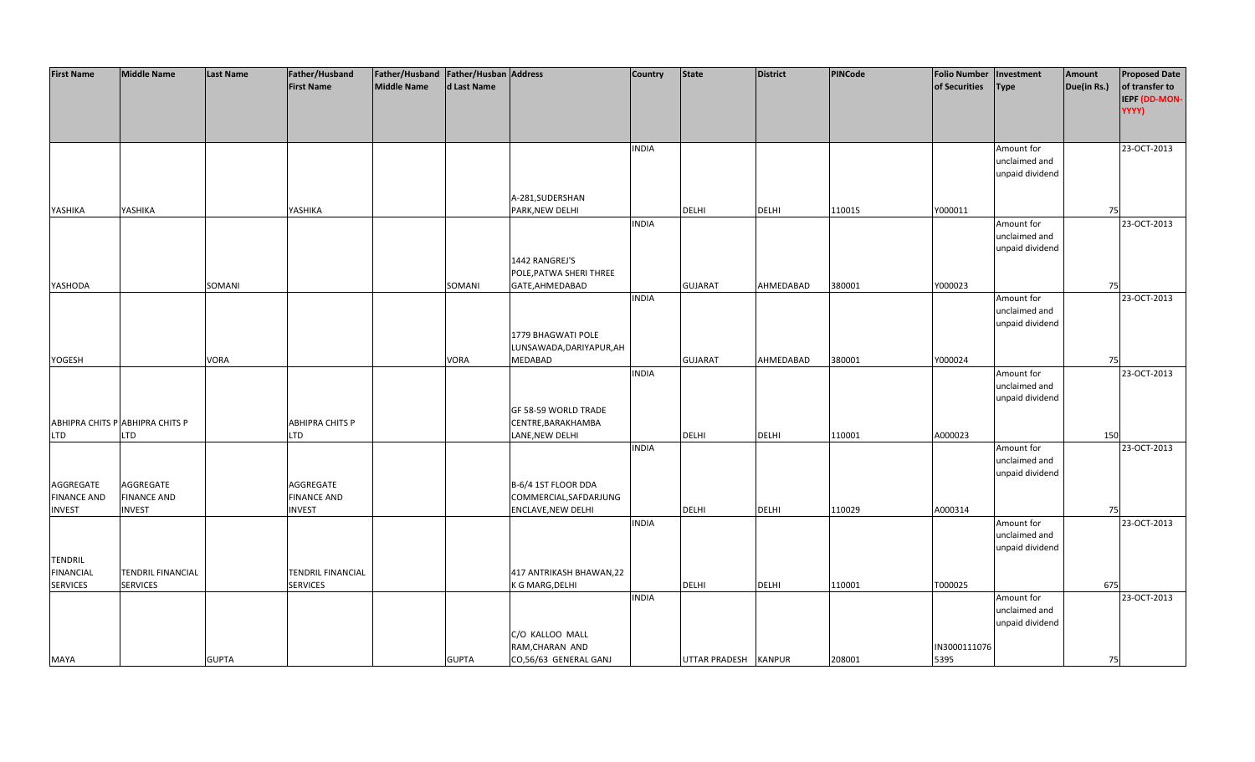| <b>First Name</b>  | <b>Middle Name</b>              | <b>Last Name</b> | Father/Husband     | Father/Husband Father/Husban Address |              |                           | <b>Country</b> | <b>State</b>         | <b>District</b> | <b>PINCode</b> | <b>Folio Number</b> | Investment      | Amount      | <b>Proposed Date</b> |
|--------------------|---------------------------------|------------------|--------------------|--------------------------------------|--------------|---------------------------|----------------|----------------------|-----------------|----------------|---------------------|-----------------|-------------|----------------------|
|                    |                                 |                  | <b>First Name</b>  | <b>Middle Name</b>                   | d Last Name  |                           |                |                      |                 |                | of Securities       | <b>Type</b>     | Due(in Rs.) | of transfer to       |
|                    |                                 |                  |                    |                                      |              |                           |                |                      |                 |                |                     |                 |             | IEPF (DD-MON-        |
|                    |                                 |                  |                    |                                      |              |                           |                |                      |                 |                |                     |                 |             | YYYY)                |
|                    |                                 |                  |                    |                                      |              |                           |                |                      |                 |                |                     |                 |             |                      |
|                    |                                 |                  |                    |                                      |              |                           |                |                      |                 |                |                     |                 |             |                      |
|                    |                                 |                  |                    |                                      |              |                           |                |                      |                 |                |                     |                 |             | 23-OCT-2013          |
|                    |                                 |                  |                    |                                      |              |                           | <b>INDIA</b>   |                      |                 |                |                     | Amount for      |             |                      |
|                    |                                 |                  |                    |                                      |              |                           |                |                      |                 |                |                     | unclaimed and   |             |                      |
|                    |                                 |                  |                    |                                      |              |                           |                |                      |                 |                |                     | unpaid dividend |             |                      |
|                    |                                 |                  |                    |                                      |              |                           |                |                      |                 |                |                     |                 |             |                      |
|                    |                                 |                  |                    |                                      |              | A-281, SUDERSHAN          |                |                      |                 |                |                     |                 |             |                      |
| YASHIKA            | YASHIKA                         |                  | YASHIKA            |                                      |              | PARK, NEW DELHI           |                | <b>DELHI</b>         | <b>DELHI</b>    | 110015         | Y000011             |                 | 75          |                      |
|                    |                                 |                  |                    |                                      |              |                           | <b>INDIA</b>   |                      |                 |                |                     | Amount for      |             | 23-OCT-2013          |
|                    |                                 |                  |                    |                                      |              |                           |                |                      |                 |                |                     | unclaimed and   |             |                      |
|                    |                                 |                  |                    |                                      |              |                           |                |                      |                 |                |                     | unpaid dividend |             |                      |
|                    |                                 |                  |                    |                                      |              | 1442 RANGREJ'S            |                |                      |                 |                |                     |                 |             |                      |
|                    |                                 |                  |                    |                                      |              | POLE, PATWA SHERI THREE   |                |                      |                 |                |                     |                 |             |                      |
| YASHODA            |                                 | SOMANI           |                    |                                      | SOMANI       | GATE, AHMEDABAD           |                | <b>GUJARAT</b>       | AHMEDABAD       | 380001         | Y000023             |                 | 75          |                      |
|                    |                                 |                  |                    |                                      |              |                           | <b>INDIA</b>   |                      |                 |                |                     | Amount for      |             | 23-OCT-2013          |
|                    |                                 |                  |                    |                                      |              |                           |                |                      |                 |                |                     | unclaimed and   |             |                      |
|                    |                                 |                  |                    |                                      |              |                           |                |                      |                 |                |                     | unpaid dividend |             |                      |
|                    |                                 |                  |                    |                                      |              | 1779 BHAGWATI POLE        |                |                      |                 |                |                     |                 |             |                      |
|                    |                                 |                  |                    |                                      |              | LUNSAWADA, DARIYAPUR, AH  |                |                      |                 |                |                     |                 |             |                      |
| YOGESH             |                                 | <b>VORA</b>      |                    |                                      | <b>VORA</b>  | <b>MEDABAD</b>            |                | <b>GUJARAT</b>       | AHMEDABAD       | 380001         | Y000024             |                 | 75          |                      |
|                    |                                 |                  |                    |                                      |              |                           | <b>INDIA</b>   |                      |                 |                |                     | Amount for      |             | 23-OCT-2013          |
|                    |                                 |                  |                    |                                      |              |                           |                |                      |                 |                |                     | unclaimed and   |             |                      |
|                    |                                 |                  |                    |                                      |              |                           |                |                      |                 |                |                     | unpaid dividend |             |                      |
|                    |                                 |                  |                    |                                      |              | GF 58-59 WORLD TRADE      |                |                      |                 |                |                     |                 |             |                      |
|                    | ABHIPRA CHITS P ABHIPRA CHITS P |                  | ABHIPRA CHITS P    |                                      |              | CENTRE, BARAKHAMBA        |                |                      |                 |                |                     |                 |             |                      |
| <b>LTD</b>         | <b>LTD</b>                      |                  | <b>LTD</b>         |                                      |              | LANE, NEW DELHI           |                | <b>DELHI</b>         | <b>DELHI</b>    | 110001         | A000023             |                 | 150         |                      |
|                    |                                 |                  |                    |                                      |              |                           | <b>INDIA</b>   |                      |                 |                |                     | Amount for      |             | 23-OCT-2013          |
|                    |                                 |                  |                    |                                      |              |                           |                |                      |                 |                |                     | unclaimed and   |             |                      |
|                    |                                 |                  |                    |                                      |              |                           |                |                      |                 |                |                     | unpaid dividend |             |                      |
| AGGREGATE          | AGGREGATE                       |                  | AGGREGATE          |                                      |              | B-6/4 1ST FLOOR DDA       |                |                      |                 |                |                     |                 |             |                      |
| <b>FINANCE AND</b> | <b>FINANCE AND</b>              |                  | <b>FINANCE AND</b> |                                      |              | COMMERCIAL, SAFDARJUNG    |                |                      |                 |                |                     |                 |             |                      |
| <b>INVEST</b>      | <b>INVEST</b>                   |                  | <b>INVEST</b>      |                                      |              | <b>ENCLAVE, NEW DELHI</b> |                | DELHI                | <b>DELHI</b>    | 110029         | A000314             |                 | 75          |                      |
|                    |                                 |                  |                    |                                      |              |                           | <b>INDIA</b>   |                      |                 |                |                     | Amount for      |             | 23-OCT-2013          |
|                    |                                 |                  |                    |                                      |              |                           |                |                      |                 |                |                     | unclaimed and   |             |                      |
|                    |                                 |                  |                    |                                      |              |                           |                |                      |                 |                |                     | unpaid dividend |             |                      |
| <b>TENDRIL</b>     |                                 |                  |                    |                                      |              |                           |                |                      |                 |                |                     |                 |             |                      |
| <b>FINANCIAL</b>   | <b>TENDRIL FINANCIAL</b>        |                  | TENDRIL FINANCIAL  |                                      |              | 417 ANTRIKASH BHAWAN, 22  |                |                      |                 |                |                     |                 |             |                      |
| <b>SERVICES</b>    | <b>SERVICES</b>                 |                  | <b>SERVICES</b>    |                                      |              | K G MARG, DELHI           |                | DELHI                | <b>DELHI</b>    | 110001         | T000025             |                 | 675         |                      |
|                    |                                 |                  |                    |                                      |              |                           | <b>INDIA</b>   |                      |                 |                |                     | Amount for      |             | 23-OCT-2013          |
|                    |                                 |                  |                    |                                      |              |                           |                |                      |                 |                |                     | unclaimed and   |             |                      |
|                    |                                 |                  |                    |                                      |              |                           |                |                      |                 |                |                     | unpaid dividend |             |                      |
|                    |                                 |                  |                    |                                      |              | C/O KALLOO MALL           |                |                      |                 |                |                     |                 |             |                      |
|                    |                                 |                  |                    |                                      |              | RAM, CHARAN AND           |                |                      |                 |                | IN3000111076        |                 |             |                      |
| <b>MAYA</b>        |                                 | <b>GUPTA</b>     |                    |                                      | <b>GUPTA</b> | CO,56/63 GENERAL GANJ     |                | UTTAR PRADESH KANPUR |                 | 208001         | 5395                |                 | 75          |                      |
|                    |                                 |                  |                    |                                      |              |                           |                |                      |                 |                |                     |                 |             |                      |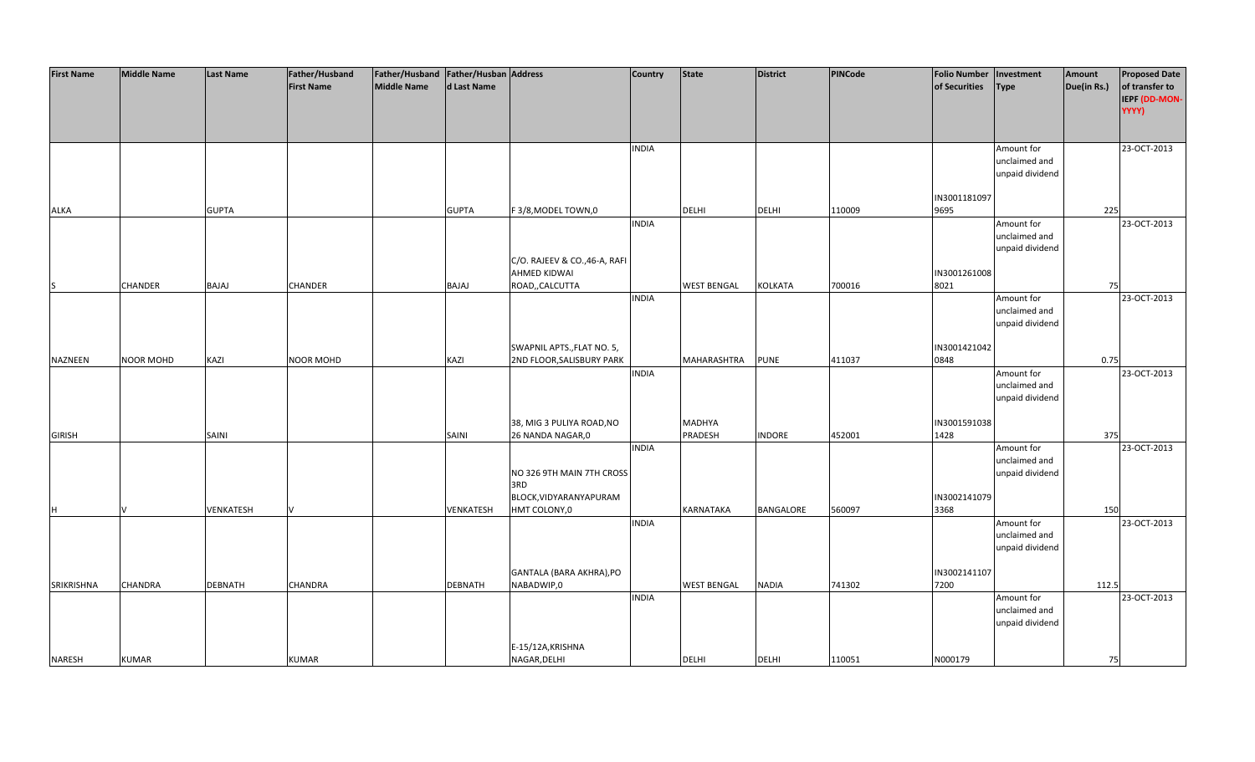| <b>First Name</b> | <b>Middle Name</b> | <b>Last Name</b> | Father/Husband<br><b>First Name</b> | Father/Husband   Father/Husban   Address<br>Middle Name | d Last Name    |                                   | <b>Country</b> | <b>State</b>       | District         | PINCode | <b>Folio Number</b><br>of Securities | Investment<br><b>Type</b>        | Amount<br>Due(in Rs.) | <b>Proposed Date</b><br>of transfer to |
|-------------------|--------------------|------------------|-------------------------------------|---------------------------------------------------------|----------------|-----------------------------------|----------------|--------------------|------------------|---------|--------------------------------------|----------------------------------|-----------------------|----------------------------------------|
|                   |                    |                  |                                     |                                                         |                |                                   |                |                    |                  |         |                                      |                                  |                       | IEPF (DD-MON-                          |
|                   |                    |                  |                                     |                                                         |                |                                   |                |                    |                  |         |                                      |                                  |                       | YYYY)                                  |
|                   |                    |                  |                                     |                                                         |                |                                   |                |                    |                  |         |                                      |                                  |                       |                                        |
|                   |                    |                  |                                     |                                                         |                |                                   | <b>INDIA</b>   |                    |                  |         |                                      | Amount for                       |                       | 23-OCT-2013                            |
|                   |                    |                  |                                     |                                                         |                |                                   |                |                    |                  |         |                                      | unclaimed and                    |                       |                                        |
|                   |                    |                  |                                     |                                                         |                |                                   |                |                    |                  |         |                                      | unpaid dividend                  |                       |                                        |
|                   |                    |                  |                                     |                                                         |                |                                   |                |                    |                  |         |                                      |                                  |                       |                                        |
|                   |                    | <b>GUPTA</b>     |                                     |                                                         | <b>GUPTA</b>   |                                   |                | <b>DELHI</b>       | <b>DELHI</b>     | 110009  | IN3001181097<br>9695                 |                                  | 225                   |                                        |
| <b>ALKA</b>       |                    |                  |                                     |                                                         |                | F3/8, MODEL TOWN, 0               | <b>INDIA</b>   |                    |                  |         |                                      | Amount for                       |                       | 23-OCT-2013                            |
|                   |                    |                  |                                     |                                                         |                |                                   |                |                    |                  |         |                                      | unclaimed and                    |                       |                                        |
|                   |                    |                  |                                     |                                                         |                |                                   |                |                    |                  |         |                                      | unpaid dividend                  |                       |                                        |
|                   |                    |                  |                                     |                                                         |                | C/O. RAJEEV & CO., 46-A, RAFI     |                |                    |                  |         |                                      |                                  |                       |                                        |
|                   |                    |                  |                                     |                                                         |                | <b>AHMED KIDWAI</b>               |                |                    |                  |         | IN3001261008                         |                                  |                       |                                        |
| S                 | <b>CHANDER</b>     | BAJAJ            | <b>CHANDER</b>                      |                                                         | <b>BAJAJ</b>   | ROAD,,CALCUTTA                    |                | <b>WEST BENGAL</b> | KOLKATA          | 700016  | 8021                                 |                                  | 75                    |                                        |
|                   |                    |                  |                                     |                                                         |                |                                   | <b>INDIA</b>   |                    |                  |         |                                      | Amount for<br>unclaimed and      |                       | 23-OCT-2013                            |
|                   |                    |                  |                                     |                                                         |                |                                   |                |                    |                  |         |                                      | unpaid dividend                  |                       |                                        |
|                   |                    |                  |                                     |                                                         |                |                                   |                |                    |                  |         |                                      |                                  |                       |                                        |
|                   |                    |                  |                                     |                                                         |                | SWAPNIL APTS., FLAT NO. 5,        |                |                    |                  |         | IN3001421042                         |                                  |                       |                                        |
| NAZNEEN           | <b>NOOR MOHD</b>   | KAZI             | <b>NOOR MOHD</b>                    |                                                         | KAZI           | 2ND FLOOR, SALISBURY PARK         |                | MAHARASHTRA        | <b>PUNE</b>      | 411037  | 0848                                 |                                  | 0.75                  |                                        |
|                   |                    |                  |                                     |                                                         |                |                                   | <b>INDIA</b>   |                    |                  |         |                                      | Amount for                       |                       | 23-OCT-2013                            |
|                   |                    |                  |                                     |                                                         |                |                                   |                |                    |                  |         |                                      | unclaimed and<br>unpaid dividend |                       |                                        |
|                   |                    |                  |                                     |                                                         |                |                                   |                |                    |                  |         |                                      |                                  |                       |                                        |
|                   |                    |                  |                                     |                                                         |                | 38, MIG 3 PULIYA ROAD, NO         |                | MADHYA             |                  |         | IN3001591038                         |                                  |                       |                                        |
| <b>GIRISH</b>     |                    | SAINI            |                                     |                                                         | SAINI          | 26 NANDA NAGAR, 0                 |                | <b>PRADESH</b>     | <b>INDORE</b>    | 452001  | 1428                                 |                                  | 375                   |                                        |
|                   |                    |                  |                                     |                                                         |                |                                   | <b>INDIA</b>   |                    |                  |         |                                      | Amount for                       |                       | 23-OCT-2013                            |
|                   |                    |                  |                                     |                                                         |                |                                   |                |                    |                  |         |                                      | unclaimed and                    |                       |                                        |
|                   |                    |                  |                                     |                                                         |                | NO 326 9TH MAIN 7TH CROSS<br>3RD  |                |                    |                  |         |                                      | unpaid dividend                  |                       |                                        |
|                   |                    |                  |                                     |                                                         |                | BLOCK, VIDYARANYAPURAM            |                |                    |                  |         | IN3002141079                         |                                  |                       |                                        |
| H                 | V                  | VENKATESH        |                                     |                                                         | VENKATESH      | HMT COLONY,0                      |                | <b>KARNATAKA</b>   | <b>BANGALORE</b> | 560097  | 3368                                 |                                  | 150                   |                                        |
|                   |                    |                  |                                     |                                                         |                |                                   | <b>INDIA</b>   |                    |                  |         |                                      | Amount for                       |                       | 23-OCT-2013                            |
|                   |                    |                  |                                     |                                                         |                |                                   |                |                    |                  |         |                                      | unclaimed and                    |                       |                                        |
|                   |                    |                  |                                     |                                                         |                |                                   |                |                    |                  |         |                                      | unpaid dividend                  |                       |                                        |
|                   |                    |                  |                                     |                                                         |                | GANTALA (BARA AKHRA), PO          |                |                    |                  |         | IN3002141107                         |                                  |                       |                                        |
| SRIKRISHNA        | CHANDRA            | <b>DEBNATH</b>   | CHANDRA                             |                                                         | <b>DEBNATH</b> | NABADWIP,0                        |                | <b>WEST BENGAL</b> | <b>NADIA</b>     | 741302  | 7200                                 |                                  | 112.5                 |                                        |
|                   |                    |                  |                                     |                                                         |                |                                   | <b>INDIA</b>   |                    |                  |         |                                      | Amount for                       |                       | 23-OCT-2013                            |
|                   |                    |                  |                                     |                                                         |                |                                   |                |                    |                  |         |                                      | unclaimed and                    |                       |                                        |
|                   |                    |                  |                                     |                                                         |                |                                   |                |                    |                  |         |                                      | unpaid dividend                  |                       |                                        |
|                   |                    |                  |                                     |                                                         |                |                                   |                |                    |                  |         |                                      |                                  |                       |                                        |
| <b>NARESH</b>     | <b>KUMAR</b>       |                  | <b>KUMAR</b>                        |                                                         |                | E-15/12A, KRISHNA<br>NAGAR, DELHI |                | <b>DELHI</b>       | <b>DELHI</b>     | 110051  | N000179                              |                                  | 75                    |                                        |
|                   |                    |                  |                                     |                                                         |                |                                   |                |                    |                  |         |                                      |                                  |                       |                                        |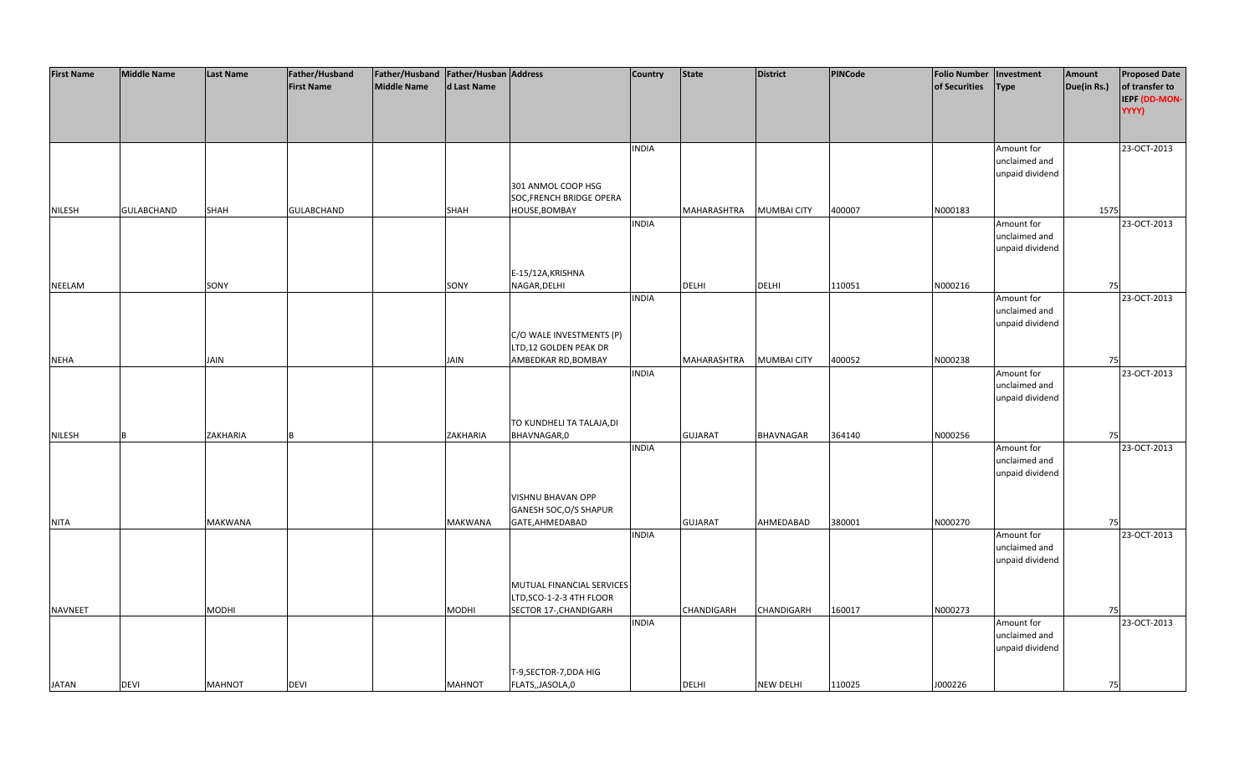| <b>First Name</b> | <b>Middle Name</b> | <b>Last Name</b> | Father/Husband<br><b>First Name</b> | Father/Husband Father/Husban Address<br>Middle Name | d Last Name    |                                                                                 | <b>Country</b> | <b>State</b>   | District           | <b>PINCode</b> | <b>Folio Number</b><br>of Securities | Investment<br><b>Type</b>                      | Amount<br>Due(in Rs.) | <b>Proposed Date</b><br>of transfer to |
|-------------------|--------------------|------------------|-------------------------------------|-----------------------------------------------------|----------------|---------------------------------------------------------------------------------|----------------|----------------|--------------------|----------------|--------------------------------------|------------------------------------------------|-----------------------|----------------------------------------|
|                   |                    |                  |                                     |                                                     |                |                                                                                 |                |                |                    |                |                                      |                                                |                       | IEPF (DD-MON-<br>YYYY)                 |
|                   |                    |                  |                                     |                                                     |                |                                                                                 | <b>INDIA</b>   |                |                    |                |                                      | Amount for<br>unclaimed and<br>unpaid dividend |                       | 23-OCT-2013                            |
|                   |                    |                  |                                     |                                                     |                | 301 ANMOL COOP HSG<br>SOC, FRENCH BRIDGE OPERA                                  |                |                |                    |                |                                      |                                                |                       |                                        |
| <b>NILESH</b>     | <b>GULABCHAND</b>  | <b>SHAH</b>      | <b>GULABCHAND</b>                   |                                                     | <b>SHAH</b>    | HOUSE, BOMBAY                                                                   | <b>INDIA</b>   | MAHARASHTRA    | <b>MUMBAI CITY</b> | 400007         | N000183                              | Amount for<br>unclaimed and<br>unpaid dividend | 1575                  | 23-OCT-2013                            |
| <b>NEELAM</b>     |                    | SONY             |                                     |                                                     | SONY           | E-15/12A, KRISHNA<br>NAGAR, DELHI                                               |                | <b>DELHI</b>   | <b>DELHI</b>       | 110051         | N000216                              |                                                | 75                    |                                        |
|                   |                    |                  |                                     |                                                     |                |                                                                                 | <b>INDIA</b>   |                |                    |                |                                      | Amount for<br>unclaimed and<br>unpaid dividend |                       | 23-OCT-2013                            |
|                   |                    |                  |                                     |                                                     |                | C/O WALE INVESTMENTS (P)<br>LTD,12 GOLDEN PEAK DR                               |                |                |                    |                |                                      |                                                |                       |                                        |
| <b>NEHA</b>       |                    | <b>JAIN</b>      |                                     |                                                     | <b>JAIN</b>    | AMBEDKAR RD, BOMBAY                                                             | <b>INDIA</b>   | MAHARASHTRA    | <b>MUMBAI CITY</b> | 400052         | N000238                              | Amount for<br>unclaimed and<br>unpaid dividend | 75                    | 23-OCT-2013                            |
| <b>NILESH</b>     | R                  | ZAKHARIA         |                                     |                                                     | ZAKHARIA       | TO KUNDHELI TA TALAJA, DI<br>BHAVNAGAR,0                                        |                | <b>GUJARAT</b> | <b>BHAVNAGAR</b>   | 364140         | N000256                              |                                                | 75                    |                                        |
|                   |                    |                  |                                     |                                                     |                |                                                                                 | <b>INDIA</b>   |                |                    |                |                                      | Amount for<br>unclaimed and<br>unpaid dividend |                       | 23-OCT-2013                            |
| <b>NITA</b>       |                    | <b>MAKWANA</b>   |                                     |                                                     | <b>MAKWANA</b> | <b>VISHNU BHAVAN OPP</b><br>GANESH SOC, O/S SHAPUR<br>GATE, AHMEDABAD           |                | <b>GUJARAT</b> | AHMEDABAD          | 380001         | N000270                              |                                                | 75                    |                                        |
|                   |                    |                  |                                     |                                                     |                |                                                                                 | <b>INDIA</b>   |                |                    |                |                                      | Amount for<br>unclaimed and<br>unpaid dividend |                       | 23-OCT-2013                            |
| <b>NAVNEET</b>    |                    | <b>MODHI</b>     |                                     |                                                     | <b>MODHI</b>   | MUTUAL FINANCIAL SERVICES<br>LTD, SCO-1-2-3 4TH FLOOR<br>SECTOR 17-, CHANDIGARH |                | CHANDIGARH     | <b>CHANDIGARH</b>  | 160017         | N000273                              |                                                | 75                    |                                        |
|                   |                    |                  |                                     |                                                     |                |                                                                                 | <b>INDIA</b>   |                |                    |                |                                      | Amount for<br>unclaimed and<br>unpaid dividend |                       | 23-OCT-2013                            |
| <b>JATAN</b>      | <b>DEVI</b>        | <b>MAHNOT</b>    | <b>DEVI</b>                         |                                                     | <b>MAHNOT</b>  | T-9, SECTOR-7, DDA HIG<br>FLATS,,JASOLA,0                                       |                | <b>DELHI</b>   | <b>NEW DELHI</b>   | 110025         | J000226                              |                                                | 75                    |                                        |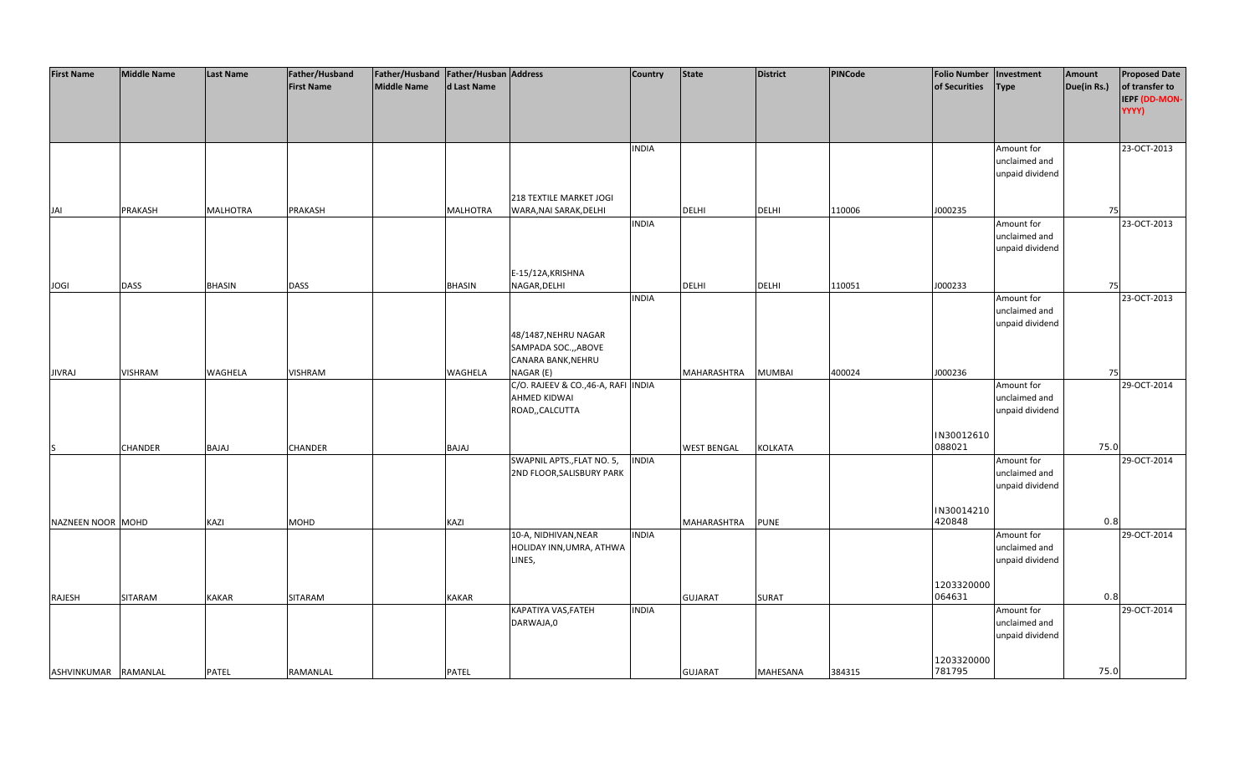| <b>First Name</b>    | <b>Middle Name</b> | Last Name       | Father/Husband<br><b>First Name</b> | Father/Husband   Father/Husban   Address<br>Middle Name | d Last Name     |                                                                                 | <b>Country</b> | <b>State</b>       | <b>District</b> | <b>PINCode</b> | <b>Folio Number</b><br>of Securities | Investment<br><b>Type</b>                      | Amount<br>Due(in Rs.) | <b>Proposed Date</b><br>of transfer to<br>IEPF (DD-MON- |
|----------------------|--------------------|-----------------|-------------------------------------|---------------------------------------------------------|-----------------|---------------------------------------------------------------------------------|----------------|--------------------|-----------------|----------------|--------------------------------------|------------------------------------------------|-----------------------|---------------------------------------------------------|
|                      |                    |                 |                                     |                                                         |                 |                                                                                 |                |                    |                 |                |                                      |                                                |                       | YYYY)                                                   |
|                      |                    |                 |                                     |                                                         |                 |                                                                                 | <b>INDIA</b>   |                    |                 |                |                                      | Amount for<br>unclaimed and<br>unpaid dividend |                       | 23-OCT-2013                                             |
| JAI                  | PRAKASH            | <b>MALHOTRA</b> | PRAKASH                             |                                                         | <b>MALHOTRA</b> | 218 TEXTILE MARKET JOGI<br>WARA, NAI SARAK, DELHI                               |                | <b>DELHI</b>       | <b>DELHI</b>    | 110006         | J000235                              |                                                | 75                    |                                                         |
|                      |                    |                 |                                     |                                                         |                 |                                                                                 | <b>INDIA</b>   |                    |                 |                |                                      | Amount for<br>unclaimed and<br>unpaid dividend |                       | 23-OCT-2013                                             |
|                      | <b>DASS</b>        | <b>BHASIN</b>   | <b>DASS</b>                         |                                                         | <b>BHASIN</b>   | E-15/12A, KRISHNA<br>NAGAR, DELHI                                               |                | <b>DELHI</b>       | <b>DELHI</b>    | 110051         | J000233                              |                                                | 75                    |                                                         |
| <b>JOGI</b>          |                    |                 |                                     |                                                         |                 |                                                                                 | <b>INDIA</b>   |                    |                 |                |                                      | Amount for<br>unclaimed and<br>unpaid dividend |                       | 23-OCT-2013                                             |
| <b>JIVRAJ</b>        | <b>VISHRAM</b>     | WAGHELA         | <b>VISHRAM</b>                      |                                                         | WAGHELA         | 48/1487, NEHRU NAGAR<br>SAMPADA SOC.,, ABOVE<br>CANARA BANK, NEHRU<br>NAGAR (E) |                | MAHARASHTRA        | <b>MUMBAI</b>   | 400024         | J000236                              |                                                | 75                    |                                                         |
|                      |                    |                 |                                     |                                                         |                 | C/O. RAJEEV & CO., 46-A, RAFI INDIA<br>AHMED KIDWAI<br>ROAD,, CALCUTTA          |                |                    |                 |                |                                      | Amount for<br>unclaimed and<br>unpaid dividend |                       | 29-OCT-2014                                             |
| IS                   | CHANDER            | BAJAJ           | <b>CHANDER</b>                      |                                                         | <b>BAJAJ</b>    |                                                                                 |                | <b>WEST BENGAL</b> | <b>KOLKATA</b>  |                | IN30012610<br>088021                 |                                                | 75.0                  |                                                         |
|                      |                    |                 |                                     |                                                         |                 | SWAPNIL APTS., FLAT NO. 5,<br>2ND FLOOR, SALISBURY PARK                         | <b>INDIA</b>   |                    |                 |                |                                      | Amount for<br>unclaimed and<br>unpaid dividend |                       | 29-OCT-2014                                             |
| NAZNEEN NOOR MOHD    |                    | KAZI            | <b>MOHD</b>                         |                                                         | KAZI            |                                                                                 |                | MAHARASHTRA        | <b>PUNE</b>     |                | IN30014210<br>420848                 |                                                | 0.8                   |                                                         |
|                      |                    |                 |                                     |                                                         |                 | 10-A, NIDHIVAN, NEAR<br>HOLIDAY INN, UMRA, ATHWA<br>LINES,                      | <b>INDIA</b>   |                    |                 |                |                                      | Amount for<br>unclaimed and<br>unpaid dividend |                       | 29-OCT-2014                                             |
|                      |                    |                 |                                     |                                                         |                 |                                                                                 |                |                    |                 |                | 1203320000<br>064631                 |                                                | 0.8                   |                                                         |
| RAJESH               | SITARAM            | <b>KAKAR</b>    | SITARAM                             |                                                         | KAKAR           | KAPATIYA VAS, FATEH<br>DARWAJA,0                                                | <b>INDIA</b>   | <b>GUJARAT</b>     | <b>SURAT</b>    |                |                                      | Amount for<br>unclaimed and<br>unpaid dividend |                       | 29-OCT-2014                                             |
| ASHVINKUMAR RAMANLAL |                    | PATEL           | RAMANLAL                            |                                                         | PATEL           |                                                                                 |                | <b>GUJARAT</b>     | MAHESANA        | 384315         | 1203320000<br>781795                 |                                                | 75.0                  |                                                         |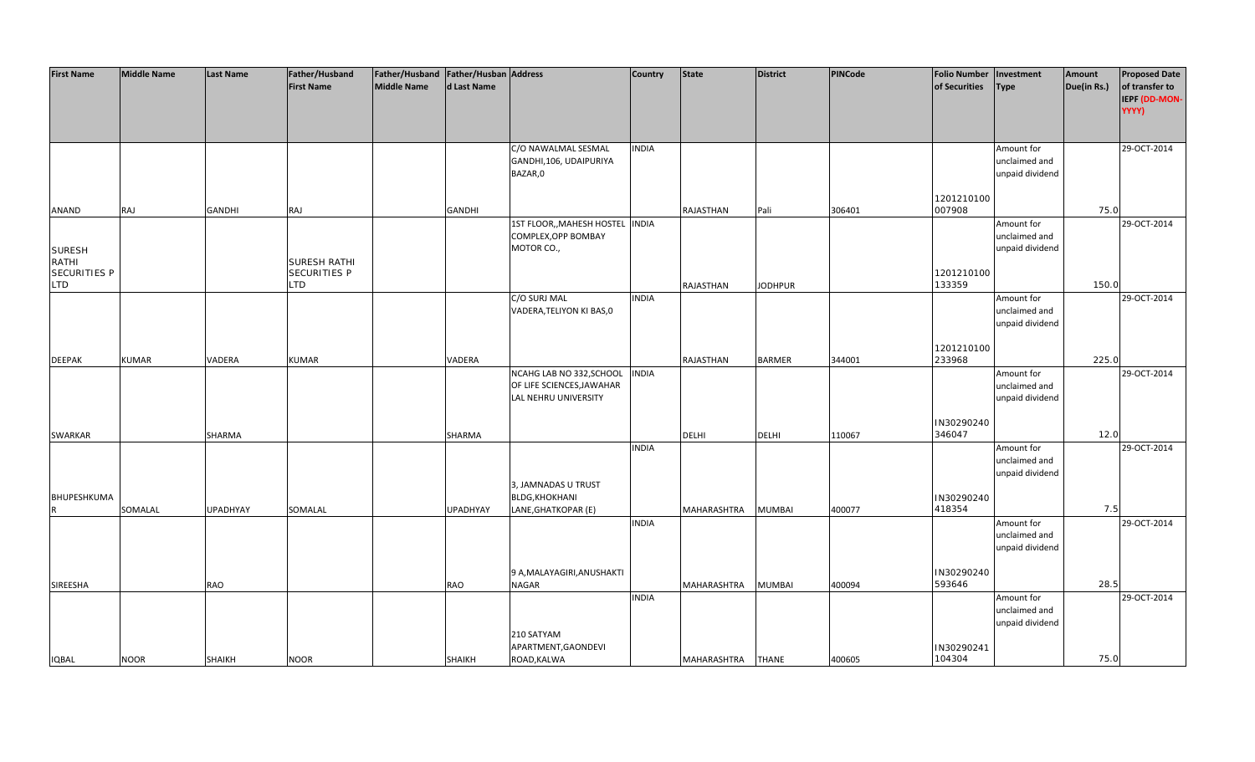| <b>First Name</b>   | <b>Middle Name</b> | <b>Last Name</b> | Father/Husband    | Father/Husband   Father/Husban   Address |                 |                                 | <b>Country</b> | State              | <b>District</b> | <b>PINCode</b> | <b>Folio Number</b> | Investment      | Amount      | <b>Proposed Date</b> |
|---------------------|--------------------|------------------|-------------------|------------------------------------------|-----------------|---------------------------------|----------------|--------------------|-----------------|----------------|---------------------|-----------------|-------------|----------------------|
|                     |                    |                  | <b>First Name</b> | <b>Middle Name</b>                       | d Last Name     |                                 |                |                    |                 |                | of Securities       | <b>Type</b>     | Due(in Rs.) | of transfer to       |
|                     |                    |                  |                   |                                          |                 |                                 |                |                    |                 |                |                     |                 |             | IEPF (DD-MON-        |
|                     |                    |                  |                   |                                          |                 |                                 |                |                    |                 |                |                     |                 |             |                      |
|                     |                    |                  |                   |                                          |                 |                                 |                |                    |                 |                |                     |                 |             | YYYY)                |
|                     |                    |                  |                   |                                          |                 |                                 |                |                    |                 |                |                     |                 |             |                      |
|                     |                    |                  |                   |                                          |                 |                                 |                |                    |                 |                |                     |                 |             |                      |
|                     |                    |                  |                   |                                          |                 | C/O NAWALMAL SESMAL             | <b>INDIA</b>   |                    |                 |                |                     | Amount for      |             | 29-OCT-2014          |
|                     |                    |                  |                   |                                          |                 | GANDHI, 106, UDAIPURIYA         |                |                    |                 |                |                     | unclaimed and   |             |                      |
|                     |                    |                  |                   |                                          |                 | BAZAR,0                         |                |                    |                 |                |                     | unpaid dividend |             |                      |
|                     |                    |                  |                   |                                          |                 |                                 |                |                    |                 |                |                     |                 |             |                      |
|                     |                    |                  |                   |                                          |                 |                                 |                |                    |                 |                | 1201210100          |                 |             |                      |
|                     |                    |                  |                   |                                          |                 |                                 |                |                    |                 |                | 007908              |                 | 75.0        |                      |
| ANAND               | RAJ                | <b>GANDHI</b>    | RAJ               |                                          | <b>GANDHI</b>   |                                 |                | RAJASTHAN          | Pali            | 306401         |                     |                 |             |                      |
|                     |                    |                  |                   |                                          |                 | 1ST FLOOR,, MAHESH HOSTEL INDIA |                |                    |                 |                |                     | Amount for      |             | 29-OCT-2014          |
|                     |                    |                  |                   |                                          |                 | COMPLEX, OPP BOMBAY             |                |                    |                 |                |                     | unclaimed and   |             |                      |
| <b>SURESH</b>       |                    |                  |                   |                                          |                 | MOTOR CO.,                      |                |                    |                 |                |                     | unpaid dividend |             |                      |
| RATHI               |                    |                  | SURESH RATHI      |                                          |                 |                                 |                |                    |                 |                |                     |                 |             |                      |
| <b>SECURITIES P</b> |                    |                  | SECURITIES P      |                                          |                 |                                 |                |                    |                 |                | 1201210100          |                 |             |                      |
| <b>LTD</b>          |                    |                  | LTD.              |                                          |                 |                                 |                | RAJASTHAN          | <b>JODHPUR</b>  |                | 133359              |                 | 150.0       |                      |
|                     |                    |                  |                   |                                          |                 | C/O SURJ MAL                    | <b>INDIA</b>   |                    |                 |                |                     | Amount for      |             | 29-OCT-2014          |
|                     |                    |                  |                   |                                          |                 | VADERA, TELIYON KI BAS, 0       |                |                    |                 |                |                     | unclaimed and   |             |                      |
|                     |                    |                  |                   |                                          |                 |                                 |                |                    |                 |                |                     | unpaid dividend |             |                      |
|                     |                    |                  |                   |                                          |                 |                                 |                |                    |                 |                |                     |                 |             |                      |
|                     |                    |                  |                   |                                          |                 |                                 |                |                    |                 |                |                     |                 |             |                      |
|                     |                    |                  |                   |                                          |                 |                                 |                |                    |                 |                | 1201210100          |                 |             |                      |
| <b>DEEPAK</b>       | <b>KUMAR</b>       | VADERA           | <b>KUMAR</b>      |                                          | VADERA          |                                 |                | <b>RAJASTHAN</b>   | <b>BARMER</b>   | 344001         | 233968              |                 | 225.0       |                      |
|                     |                    |                  |                   |                                          |                 | NCAHG LAB NO 332, SCHOOL        | <b>INDIA</b>   |                    |                 |                |                     | Amount for      |             | 29-OCT-2014          |
|                     |                    |                  |                   |                                          |                 | OF LIFE SCIENCES, JAWAHAR       |                |                    |                 |                |                     | unclaimed and   |             |                      |
|                     |                    |                  |                   |                                          |                 | LAL NEHRU UNIVERSITY            |                |                    |                 |                |                     | unpaid dividend |             |                      |
|                     |                    |                  |                   |                                          |                 |                                 |                |                    |                 |                |                     |                 |             |                      |
|                     |                    |                  |                   |                                          |                 |                                 |                |                    |                 |                | IN30290240          |                 |             |                      |
| SWARKAR             |                    | SHARMA           |                   |                                          | SHARMA          |                                 |                | <b>DELHI</b>       | <b>DELHI</b>    | 110067         | 346047              |                 | 12.0        |                      |
|                     |                    |                  |                   |                                          |                 |                                 | <b>INDIA</b>   |                    |                 |                |                     | Amount for      |             | 29-OCT-2014          |
|                     |                    |                  |                   |                                          |                 |                                 |                |                    |                 |                |                     |                 |             |                      |
|                     |                    |                  |                   |                                          |                 |                                 |                |                    |                 |                |                     | unclaimed and   |             |                      |
|                     |                    |                  |                   |                                          |                 |                                 |                |                    |                 |                |                     | unpaid dividend |             |                      |
|                     |                    |                  |                   |                                          |                 | 3, JAMNADAS U TRUST             |                |                    |                 |                |                     |                 |             |                      |
| BHUPESHKUMA         |                    |                  |                   |                                          |                 | <b>BLDG, KHOKHANI</b>           |                |                    |                 |                | IN30290240          |                 |             |                      |
| R                   | SOMALAL            | <b>UPADHYAY</b>  | SOMALAL           |                                          | <b>UPADHYAY</b> | LANE, GHATKOPAR (E)             |                | <b>MAHARASHTRA</b> | <b>MUMBAI</b>   | 400077         | 418354              |                 | 7.5         |                      |
|                     |                    |                  |                   |                                          |                 |                                 | <b>INDIA</b>   |                    |                 |                |                     | Amount for      |             | 29-OCT-2014          |
|                     |                    |                  |                   |                                          |                 |                                 |                |                    |                 |                |                     | unclaimed and   |             |                      |
|                     |                    |                  |                   |                                          |                 |                                 |                |                    |                 |                |                     | unpaid dividend |             |                      |
|                     |                    |                  |                   |                                          |                 |                                 |                |                    |                 |                |                     |                 |             |                      |
|                     |                    |                  |                   |                                          |                 | 9 A, MALAYAGIRI, ANUSHAKTI      |                |                    |                 |                | IN30290240          |                 |             |                      |
| SIREESHA            |                    | <b>RAO</b>       |                   |                                          | RAO             | <b>NAGAR</b>                    |                | MAHARASHTRA        | <b>MUMBAI</b>   | 400094         | 593646              |                 | 28.5        |                      |
|                     |                    |                  |                   |                                          |                 |                                 | <b>INDIA</b>   |                    |                 |                |                     | Amount for      |             | 29-OCT-2014          |
|                     |                    |                  |                   |                                          |                 |                                 |                |                    |                 |                |                     |                 |             |                      |
|                     |                    |                  |                   |                                          |                 |                                 |                |                    |                 |                |                     | unclaimed and   |             |                      |
|                     |                    |                  |                   |                                          |                 |                                 |                |                    |                 |                |                     | unpaid dividend |             |                      |
|                     |                    |                  |                   |                                          |                 | 210 SATYAM                      |                |                    |                 |                |                     |                 |             |                      |
|                     |                    |                  |                   |                                          |                 | APARTMENT, GAONDEVI             |                |                    |                 |                | IN30290241          |                 |             |                      |
| <b>IQBAL</b>        | <b>NOOR</b>        | <b>SHAIKH</b>    | <b>NOOR</b>       |                                          | <b>SHAIKH</b>   | ROAD, KALWA                     |                | MAHARASHTRA        | <b>THANE</b>    | 400605         | 104304              |                 | 75.0        |                      |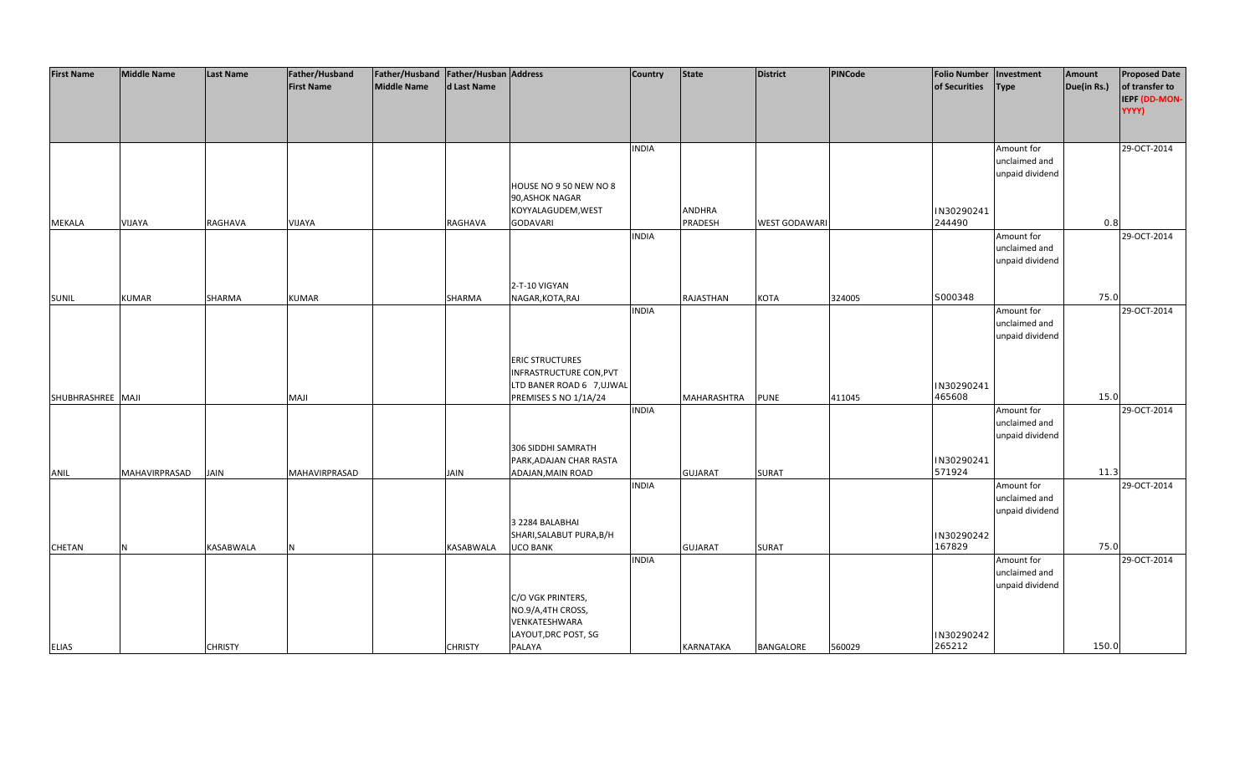| <b>First Name</b> | <b>Middle Name</b> | <b>Last Name</b> | Father/Husband    | Father/Husband   Father/Husban   Address |                |                                                      | <b>Country</b> | <b>State</b>     | District            | PINCode | <b>Folio Number</b> | Investment                       | Amount      | <b>Proposed Date</b> |
|-------------------|--------------------|------------------|-------------------|------------------------------------------|----------------|------------------------------------------------------|----------------|------------------|---------------------|---------|---------------------|----------------------------------|-------------|----------------------|
|                   |                    |                  | <b>First Name</b> | <b>Middle Name</b>                       | d Last Name    |                                                      |                |                  |                     |         | of Securities       | <b>Type</b>                      | Due(in Rs.) | of transfer to       |
|                   |                    |                  |                   |                                          |                |                                                      |                |                  |                     |         |                     |                                  |             | <b>IEPF (DD-MON-</b> |
|                   |                    |                  |                   |                                          |                |                                                      |                |                  |                     |         |                     |                                  |             | YYYY)                |
|                   |                    |                  |                   |                                          |                |                                                      |                |                  |                     |         |                     |                                  |             |                      |
|                   |                    |                  |                   |                                          |                |                                                      | <b>INDIA</b>   |                  |                     |         |                     | Amount for                       |             | 29-OCT-2014          |
|                   |                    |                  |                   |                                          |                |                                                      |                |                  |                     |         |                     | unclaimed and                    |             |                      |
|                   |                    |                  |                   |                                          |                |                                                      |                |                  |                     |         |                     | unpaid dividend                  |             |                      |
|                   |                    |                  |                   |                                          |                | HOUSE NO 9 50 NEW NO 8                               |                |                  |                     |         |                     |                                  |             |                      |
|                   |                    |                  |                   |                                          |                | 90, ASHOK NAGAR                                      |                |                  |                     |         |                     |                                  |             |                      |
|                   |                    |                  |                   |                                          |                | KOYYALAGUDEM, WEST                                   |                | <b>ANDHRA</b>    |                     |         | IN30290241          |                                  |             |                      |
| MEKALA            | VIJAYA             | RAGHAVA          | VIJAYA            |                                          | RAGHAVA        | <b>GODAVARI</b>                                      |                | PRADESH          | <b>WEST GODAWAR</b> |         | 244490              |                                  | 0.8         |                      |
|                   |                    |                  |                   |                                          |                |                                                      | <b>INDIA</b>   |                  |                     |         |                     | Amount for                       |             | 29-OCT-2014          |
|                   |                    |                  |                   |                                          |                |                                                      |                |                  |                     |         |                     | unclaimed and<br>unpaid dividend |             |                      |
|                   |                    |                  |                   |                                          |                |                                                      |                |                  |                     |         |                     |                                  |             |                      |
|                   |                    |                  |                   |                                          |                | 2-T-10 VIGYAN                                        |                |                  |                     |         |                     |                                  |             |                      |
| <b>SUNIL</b>      | <b>KUMAR</b>       | SHARMA           | <b>KUMAR</b>      |                                          | <b>SHARMA</b>  | NAGAR, KOTA, RAJ                                     |                | RAJASTHAN        | <b>KOTA</b>         | 324005  | S000348             |                                  | 75.0        |                      |
|                   |                    |                  |                   |                                          |                |                                                      | <b>INDIA</b>   |                  |                     |         |                     | Amount for                       |             | 29-OCT-2014          |
|                   |                    |                  |                   |                                          |                |                                                      |                |                  |                     |         |                     | unclaimed and                    |             |                      |
|                   |                    |                  |                   |                                          |                |                                                      |                |                  |                     |         |                     | unpaid dividend                  |             |                      |
|                   |                    |                  |                   |                                          |                |                                                      |                |                  |                     |         |                     |                                  |             |                      |
|                   |                    |                  |                   |                                          |                | <b>ERIC STRUCTURES</b>                               |                |                  |                     |         |                     |                                  |             |                      |
|                   |                    |                  |                   |                                          |                | INFRASTRUCTURE CON, PVT<br>LTD BANER ROAD 6 7, UJWAL |                |                  |                     |         | IN30290241          |                                  |             |                      |
| SHUBHRASHREE MAJI |                    |                  | <b>MAJI</b>       |                                          |                | PREMISES S NO 1/1A/24                                |                | MAHARASHTRA      | <b>PUNE</b>         | 411045  | 465608              |                                  | 15.0        |                      |
|                   |                    |                  |                   |                                          |                |                                                      | <b>INDIA</b>   |                  |                     |         |                     | Amount for                       |             | 29-OCT-2014          |
|                   |                    |                  |                   |                                          |                |                                                      |                |                  |                     |         |                     | unclaimed and                    |             |                      |
|                   |                    |                  |                   |                                          |                |                                                      |                |                  |                     |         |                     | unpaid dividend                  |             |                      |
|                   |                    |                  |                   |                                          |                | 306 SIDDHI SAMRATH                                   |                |                  |                     |         |                     |                                  |             |                      |
|                   |                    |                  |                   |                                          |                | PARK, ADAJAN CHAR RASTA                              |                |                  |                     |         | IN30290241          |                                  |             |                      |
| ANIL              | MAHAVIRPRASAD      | <b>JAIN</b>      | MAHAVIRPRASAD     |                                          | <b>JAIN</b>    | ADAJAN, MAIN ROAD                                    |                | <b>GUJARAT</b>   | <b>SURAT</b>        |         | 571924              |                                  | 11.3        |                      |
|                   |                    |                  |                   |                                          |                |                                                      | <b>INDIA</b>   |                  |                     |         |                     | Amount for                       |             | 29-OCT-2014          |
|                   |                    |                  |                   |                                          |                |                                                      |                |                  |                     |         |                     | unclaimed and<br>unpaid dividend |             |                      |
|                   |                    |                  |                   |                                          |                | 3 2284 BALABHAI                                      |                |                  |                     |         |                     |                                  |             |                      |
|                   |                    |                  |                   |                                          |                | SHARI, SALABUT PURA, B/H                             |                |                  |                     |         | IN30290242          |                                  |             |                      |
| CHETAN            | N                  | <b>KASABWALA</b> | N                 |                                          | KASABWALA      | <b>UCO BANK</b>                                      |                | <b>GUJARAT</b>   | <b>SURAT</b>        |         | 167829              |                                  | 75.0        |                      |
|                   |                    |                  |                   |                                          |                |                                                      | <b>INDIA</b>   |                  |                     |         |                     | Amount for                       |             | 29-OCT-2014          |
|                   |                    |                  |                   |                                          |                |                                                      |                |                  |                     |         |                     | unclaimed and                    |             |                      |
|                   |                    |                  |                   |                                          |                |                                                      |                |                  |                     |         |                     | unpaid dividend                  |             |                      |
|                   |                    |                  |                   |                                          |                | C/O VGK PRINTERS,                                    |                |                  |                     |         |                     |                                  |             |                      |
|                   |                    |                  |                   |                                          |                | NO.9/A,4TH CROSS,                                    |                |                  |                     |         |                     |                                  |             |                      |
|                   |                    |                  |                   |                                          |                | VENKATESHWARA<br>LAYOUT, DRC POST, SG                |                |                  |                     |         | IN30290242          |                                  |             |                      |
| <b>ELIAS</b>      |                    | <b>CHRISTY</b>   |                   |                                          | <b>CHRISTY</b> | PALAYA                                               |                | <b>KARNATAKA</b> | BANGALORE           | 560029  | 265212              |                                  | 150.0       |                      |
|                   |                    |                  |                   |                                          |                |                                                      |                |                  |                     |         |                     |                                  |             |                      |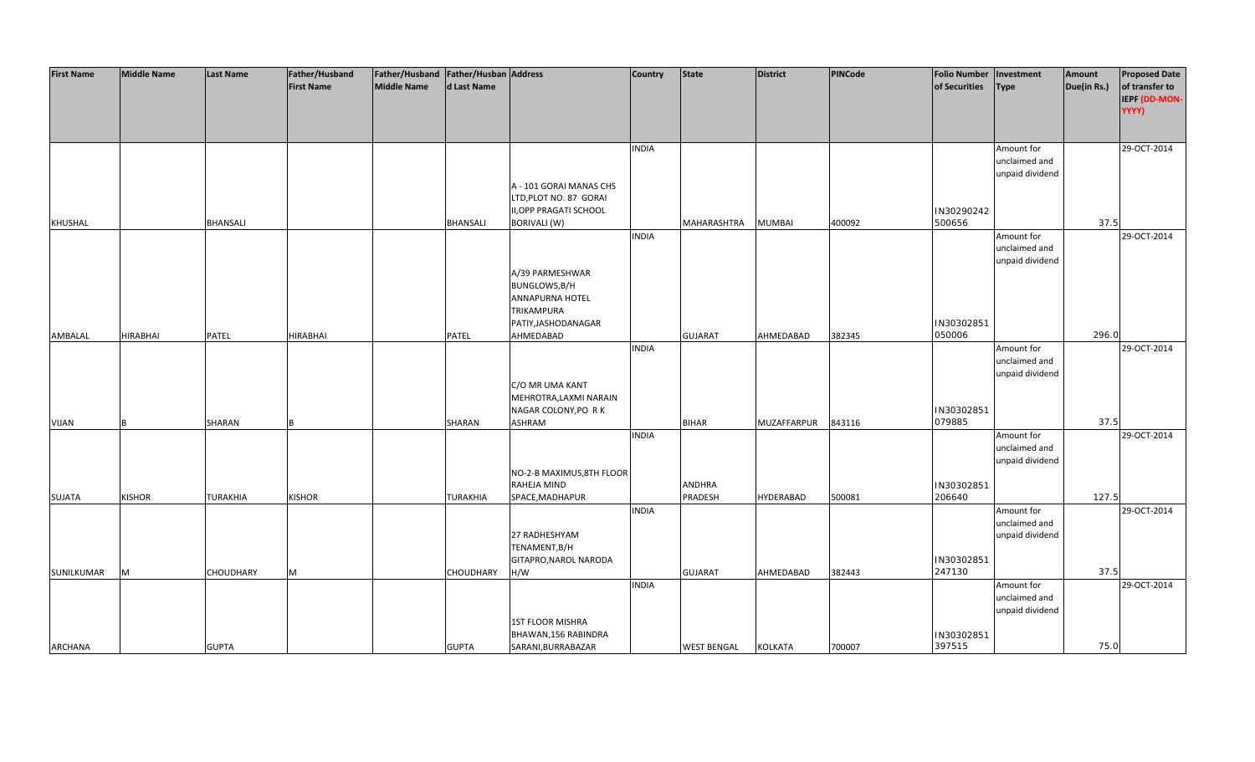| <b>First Name</b> | <b>Middle Name</b> | <b>Last Name</b> | Father/Husband    | Father/Husband   Father/Husban   Address |                  |                                                      | <b>Country</b> | <b>State</b>       | <b>District</b>    | <b>PINCode</b> | <b>Folio Number</b>  | Investment                  | Amount      | <b>Proposed Date</b>   |
|-------------------|--------------------|------------------|-------------------|------------------------------------------|------------------|------------------------------------------------------|----------------|--------------------|--------------------|----------------|----------------------|-----------------------------|-------------|------------------------|
|                   |                    |                  | <b>First Name</b> | <b>Middle Name</b>                       | d Last Name      |                                                      |                |                    |                    |                | of Securities        | <b>Type</b>                 | Due(in Rs.) | of transfer to         |
|                   |                    |                  |                   |                                          |                  |                                                      |                |                    |                    |                |                      |                             |             | IEPF (DD-MON-<br>YYYY) |
|                   |                    |                  |                   |                                          |                  |                                                      |                |                    |                    |                |                      |                             |             |                        |
|                   |                    |                  |                   |                                          |                  |                                                      |                |                    |                    |                |                      |                             |             |                        |
|                   |                    |                  |                   |                                          |                  |                                                      | <b>INDIA</b>   |                    |                    |                |                      | Amount for                  |             | 29-OCT-2014            |
|                   |                    |                  |                   |                                          |                  |                                                      |                |                    |                    |                |                      | unclaimed and               |             |                        |
|                   |                    |                  |                   |                                          |                  |                                                      |                |                    |                    |                |                      | unpaid dividend             |             |                        |
|                   |                    |                  |                   |                                          |                  | A - 101 GORAI MANAS CHS                              |                |                    |                    |                |                      |                             |             |                        |
|                   |                    |                  |                   |                                          |                  | LTD, PLOT NO. 87 GORAI                               |                |                    |                    |                |                      |                             |             |                        |
| <b>KHUSHAL</b>    |                    | <b>BHANSALI</b>  |                   |                                          | <b>BHANSALI</b>  | <b>II, OPP PRAGATI SCHOOL</b><br><b>BORIVALI (W)</b> |                | MAHARASHTRA        | <b>MUMBAI</b>      | 400092         | IN30290242<br>500656 |                             | 37.5        |                        |
|                   |                    |                  |                   |                                          |                  |                                                      | <b>INDIA</b>   |                    |                    |                |                      | Amount for                  |             | 29-OCT-2014            |
|                   |                    |                  |                   |                                          |                  |                                                      |                |                    |                    |                |                      | unclaimed and               |             |                        |
|                   |                    |                  |                   |                                          |                  |                                                      |                |                    |                    |                |                      | unpaid dividend             |             |                        |
|                   |                    |                  |                   |                                          |                  | A/39 PARMESHWAR                                      |                |                    |                    |                |                      |                             |             |                        |
|                   |                    |                  |                   |                                          |                  | BUNGLOWS, B/H                                        |                |                    |                    |                |                      |                             |             |                        |
|                   |                    |                  |                   |                                          |                  | <b>ANNAPURNA HOTEL</b>                               |                |                    |                    |                |                      |                             |             |                        |
|                   |                    |                  |                   |                                          |                  | <b>TRIKAMPURA</b><br>PATIY, JASHODANAGAR             |                |                    |                    |                | IN30302851           |                             |             |                        |
| AMBALAL           | <b>HIRABHAI</b>    | PATEL            | <b>HIRABHAI</b>   |                                          | PATEL            | AHMEDABAD                                            |                | <b>GUJARAT</b>     | AHMEDABAD          | 382345         | 050006               |                             | 296.0       |                        |
|                   |                    |                  |                   |                                          |                  |                                                      | <b>INDIA</b>   |                    |                    |                |                      | Amount for                  |             | 29-OCT-2014            |
|                   |                    |                  |                   |                                          |                  |                                                      |                |                    |                    |                |                      | unclaimed and               |             |                        |
|                   |                    |                  |                   |                                          |                  |                                                      |                |                    |                    |                |                      | unpaid dividend             |             |                        |
|                   |                    |                  |                   |                                          |                  | C/O MR UMA KANT                                      |                |                    |                    |                |                      |                             |             |                        |
|                   |                    |                  |                   |                                          |                  | MEHROTRA, LAXMI NARAIN                               |                |                    |                    |                |                      |                             |             |                        |
| <b>VIJAN</b>      |                    | <b>SHARAN</b>    |                   |                                          | SHARAN           | NAGAR COLONY, PO RK<br><b>ASHRAM</b>                 |                | <b>BIHAR</b>       | <b>MUZAFFARPUR</b> | 843116         | IN30302851<br>079885 |                             | 37.5        |                        |
|                   |                    |                  |                   |                                          |                  |                                                      | <b>INDIA</b>   |                    |                    |                |                      | Amount for                  |             | 29-OCT-2014            |
|                   |                    |                  |                   |                                          |                  |                                                      |                |                    |                    |                |                      | unclaimed and               |             |                        |
|                   |                    |                  |                   |                                          |                  |                                                      |                |                    |                    |                |                      | unpaid dividend             |             |                        |
|                   |                    |                  |                   |                                          |                  | NO-2-B MAXIMUS, 8TH FLOOR                            |                |                    |                    |                |                      |                             |             |                        |
|                   |                    |                  |                   |                                          |                  | RAHEJA MIND                                          |                | <b>ANDHRA</b>      |                    |                | IN30302851           |                             |             |                        |
| SUJATA            | <b>KISHOR</b>      | <b>TURAKHIA</b>  | <b>KISHOR</b>     |                                          | <b>TURAKHIA</b>  | SPACE, MADHAPUR                                      | <b>INDIA</b>   | PRADESH            | <b>HYDERABAD</b>   | 500081         | 206640               |                             | 127.5       |                        |
|                   |                    |                  |                   |                                          |                  |                                                      |                |                    |                    |                |                      | Amount for<br>unclaimed and |             | 29-OCT-2014            |
|                   |                    |                  |                   |                                          |                  | 27 RADHESHYAM                                        |                |                    |                    |                |                      | unpaid dividend             |             |                        |
|                   |                    |                  |                   |                                          |                  | TENAMENT, B/H                                        |                |                    |                    |                |                      |                             |             |                        |
|                   |                    |                  |                   |                                          |                  | GITAPRO, NAROL NARODA                                |                |                    |                    |                | IN30302851           |                             |             |                        |
| SUNILKUMAR        | M                  | <b>CHOUDHARY</b> | M                 |                                          | <b>CHOUDHARY</b> | H/W                                                  |                | <b>GUJARAT</b>     | AHMEDABAD          | 382443         | 247130               |                             | 37.5        |                        |
|                   |                    |                  |                   |                                          |                  |                                                      | <b>INDIA</b>   |                    |                    |                |                      | Amount for                  |             | 29-OCT-2014            |
|                   |                    |                  |                   |                                          |                  |                                                      |                |                    |                    |                |                      | unclaimed and               |             |                        |
|                   |                    |                  |                   |                                          |                  | <b>1ST FLOOR MISHRA</b>                              |                |                    |                    |                |                      | unpaid dividend             |             |                        |
|                   |                    |                  |                   |                                          |                  | BHAWAN, 156 RABINDRA                                 |                |                    |                    |                | IN30302851           |                             |             |                        |
| <b>ARCHANA</b>    |                    | <b>GUPTA</b>     |                   |                                          | <b>GUPTA</b>     | SARANI, BURRABAZAR                                   |                | <b>WEST BENGAL</b> | <b>KOLKATA</b>     | 700007         | 397515               |                             | 75.0        |                        |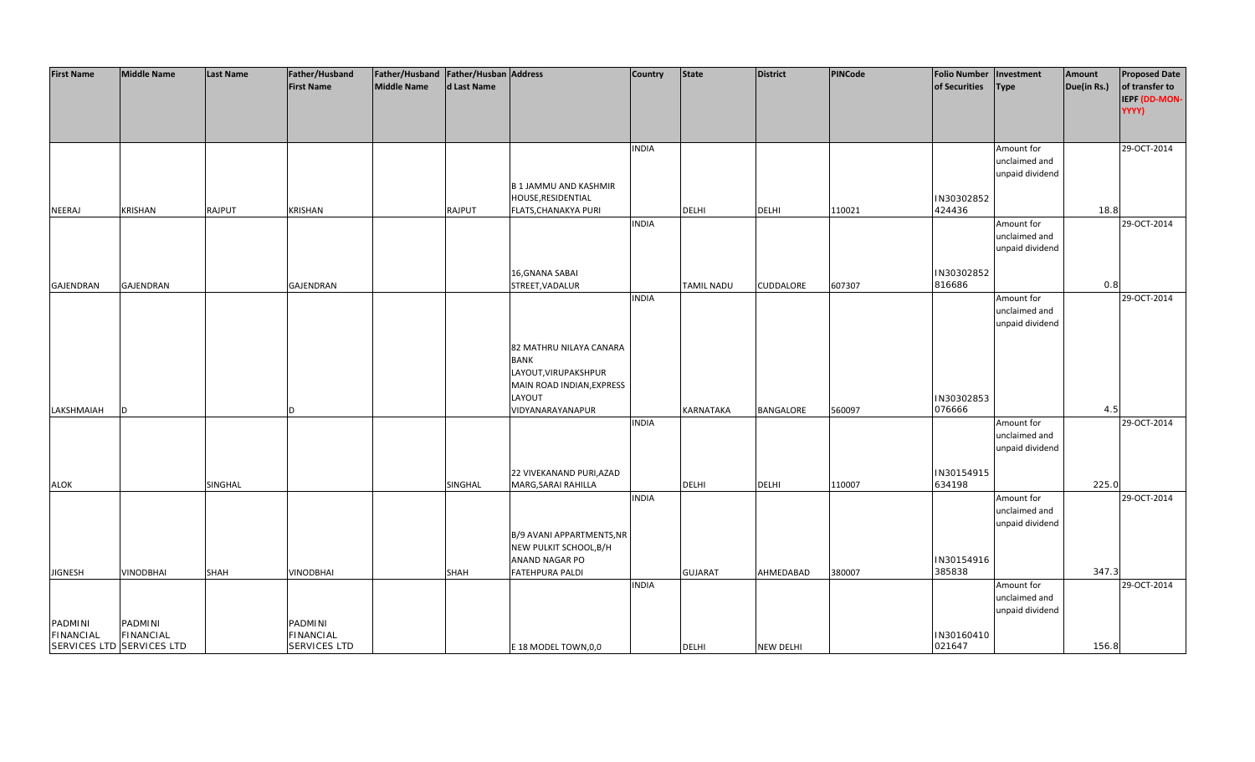| <b>First Name</b>           | <b>Middle Name</b>          | <b>Last Name</b> | Father/Husband<br><b>First Name</b> | Father/Husband   Father/Husban   Address<br><b>Middle Name</b> | d Last Name   |                                                        | <b>Country</b> | <b>State</b>      | <b>District</b>  | <b>PINCode</b> | <b>Folio Number</b><br>of Securities | Investment<br><b>Type</b>        | Amount<br>Due(in Rs.) | <b>Proposed Date</b><br>of transfer to |
|-----------------------------|-----------------------------|------------------|-------------------------------------|----------------------------------------------------------------|---------------|--------------------------------------------------------|----------------|-------------------|------------------|----------------|--------------------------------------|----------------------------------|-----------------------|----------------------------------------|
|                             |                             |                  |                                     |                                                                |               |                                                        |                |                   |                  |                |                                      |                                  |                       | IEPF (DD-MON-<br>YYYY)                 |
|                             |                             |                  |                                     |                                                                |               |                                                        |                |                   |                  |                |                                      |                                  |                       |                                        |
|                             |                             |                  |                                     |                                                                |               |                                                        | <b>INDIA</b>   |                   |                  |                |                                      | Amount for                       |                       | 29-OCT-2014                            |
|                             |                             |                  |                                     |                                                                |               |                                                        |                |                   |                  |                |                                      | unclaimed and<br>unpaid dividend |                       |                                        |
|                             |                             |                  |                                     |                                                                |               | <b>B1JAMMU AND KASHMIR</b>                             |                |                   |                  |                |                                      |                                  |                       |                                        |
| NEERAJ                      | <b>KRISHAN</b>              | RAJPUT           | KRISHAN                             |                                                                | <b>RAJPUT</b> | HOUSE, RESIDENTIAL<br>FLATS, CHANAKYA PURI             |                | <b>DELHI</b>      | <b>DELHI</b>     | 110021         | IN30302852<br>424436                 |                                  | 18.8                  |                                        |
|                             |                             |                  |                                     |                                                                |               |                                                        | <b>INDIA</b>   |                   |                  |                |                                      | Amount for                       |                       | 29-OCT-2014                            |
|                             |                             |                  |                                     |                                                                |               |                                                        |                |                   |                  |                |                                      | unclaimed and<br>unpaid dividend |                       |                                        |
|                             |                             |                  |                                     |                                                                |               | 16, GNANA SABAI                                        |                |                   |                  |                |                                      |                                  |                       |                                        |
| <b>GAJENDRAN</b>            | GAJENDRAN                   |                  | GAJENDRAN                           |                                                                |               | STREET, VADALUR                                        |                | <b>TAMIL NADU</b> | CUDDALORE        | 607307         | IN30302852<br>816686                 |                                  | 0.8                   |                                        |
|                             |                             |                  |                                     |                                                                |               |                                                        | <b>INDIA</b>   |                   |                  |                |                                      | Amount for<br>unclaimed and      |                       | 29-OCT-2014                            |
|                             |                             |                  |                                     |                                                                |               |                                                        |                |                   |                  |                |                                      | unpaid dividend                  |                       |                                        |
|                             |                             |                  |                                     |                                                                |               | 82 MATHRU NILAYA CANARA                                |                |                   |                  |                |                                      |                                  |                       |                                        |
|                             |                             |                  |                                     |                                                                |               | <b>BANK</b>                                            |                |                   |                  |                |                                      |                                  |                       |                                        |
|                             |                             |                  |                                     |                                                                |               | LAYOUT, VIRUPAKSHPUR<br>MAIN ROAD INDIAN, EXPRESS      |                |                   |                  |                |                                      |                                  |                       |                                        |
|                             |                             |                  |                                     |                                                                |               | LAYOUT                                                 |                |                   |                  |                | IN30302853                           |                                  |                       |                                        |
| LAKSHMAIAH                  | D                           |                  |                                     |                                                                |               | VIDYANARAYANAPUR                                       | <b>INDIA</b>   | <b>KARNATAKA</b>  | BANGALORE        | 560097         | 076666                               | Amount for                       | 4.5                   | 29-OCT-2014                            |
|                             |                             |                  |                                     |                                                                |               |                                                        |                |                   |                  |                |                                      | unclaimed and                    |                       |                                        |
|                             |                             |                  |                                     |                                                                |               |                                                        |                |                   |                  |                |                                      | unpaid dividend                  |                       |                                        |
| <b>ALOK</b>                 |                             | SINGHAL          |                                     |                                                                | SINGHAL       | 22 VIVEKANAND PURI, AZAD<br><b>MARG, SARAI RAHILLA</b> |                | <b>DELHI</b>      | <b>DELHI</b>     | 110007         | IN30154915<br>634198                 |                                  | 225.0                 |                                        |
|                             |                             |                  |                                     |                                                                |               |                                                        | <b>INDIA</b>   |                   |                  |                |                                      | Amount for                       |                       | 29-OCT-2014                            |
|                             |                             |                  |                                     |                                                                |               |                                                        |                |                   |                  |                |                                      | unclaimed and<br>unpaid dividend |                       |                                        |
|                             |                             |                  |                                     |                                                                |               | B/9 AVANI APPARTMENTS, NR                              |                |                   |                  |                |                                      |                                  |                       |                                        |
|                             |                             |                  |                                     |                                                                |               | NEW PULKIT SCHOOL, B/H<br>ANAND NAGAR PO               |                |                   |                  |                | IN30154916                           |                                  |                       |                                        |
| <b>JIGNESH</b>              | VINODBHAI                   | SHAH             | VINODBHAI                           |                                                                | <b>SHAH</b>   | <b>FATEHPURA PALDI</b>                                 |                | <b>GUJARAT</b>    | AHMEDABAD        | 380007         | 385838                               |                                  | 347.3                 |                                        |
|                             |                             |                  |                                     |                                                                |               |                                                        | <b>INDIA</b>   |                   |                  |                |                                      | Amount for<br>unclaimed and      |                       | 29-OCT-2014                            |
|                             |                             |                  |                                     |                                                                |               |                                                        |                |                   |                  |                |                                      | unpaid dividend                  |                       |                                        |
| PADMINI<br><b>FINANCIAL</b> | PADMINI<br><b>FINANCIAL</b> |                  | PADMINI<br>FINANCIAL                |                                                                |               |                                                        |                |                   |                  |                | IN30160410                           |                                  |                       |                                        |
|                             | SERVICES LTD SERVICES LTD   |                  | <b>SERVICES LTD</b>                 |                                                                |               | E 18 MODEL TOWN, 0, 0                                  |                | <b>DELHI</b>      | <b>NEW DELHI</b> |                | 021647                               |                                  | 156.8                 |                                        |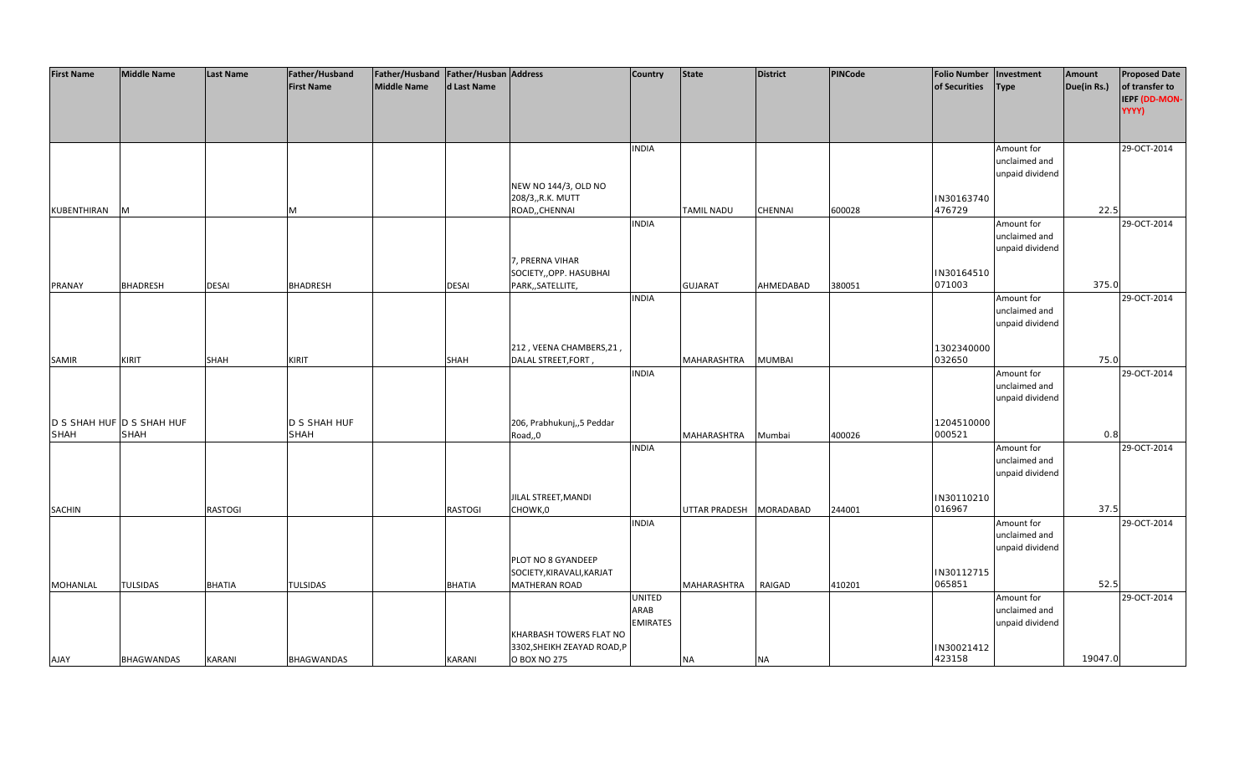| <b>First Name</b>         | <b>Middle Name</b> | <b>Last Name</b> | Father/Husband    | Father/Husband Father/Husban Address |                |                             | <b>Country</b>  | State             | <b>District</b>  | PINCode | <b>Folio Number</b>  | Investment      | Amount      | <b>Proposed Date</b> |
|---------------------------|--------------------|------------------|-------------------|--------------------------------------|----------------|-----------------------------|-----------------|-------------------|------------------|---------|----------------------|-----------------|-------------|----------------------|
|                           |                    |                  | <b>First Name</b> | <b>Middle Name</b>                   | d Last Name    |                             |                 |                   |                  |         | of Securities        | <b>Type</b>     | Due(in Rs.) | of transfer to       |
|                           |                    |                  |                   |                                      |                |                             |                 |                   |                  |         |                      |                 |             | IEPF (DD-MON-        |
|                           |                    |                  |                   |                                      |                |                             |                 |                   |                  |         |                      |                 |             | YYYY)                |
|                           |                    |                  |                   |                                      |                |                             |                 |                   |                  |         |                      |                 |             |                      |
|                           |                    |                  |                   |                                      |                |                             |                 |                   |                  |         |                      |                 |             |                      |
|                           |                    |                  |                   |                                      |                |                             | <b>INDIA</b>    |                   |                  |         |                      | Amount for      |             | 29-OCT-2014          |
|                           |                    |                  |                   |                                      |                |                             |                 |                   |                  |         |                      | unclaimed and   |             |                      |
|                           |                    |                  |                   |                                      |                |                             |                 |                   |                  |         |                      | unpaid dividend |             |                      |
|                           |                    |                  |                   |                                      |                | NEW NO 144/3, OLD NO        |                 |                   |                  |         |                      |                 |             |                      |
|                           |                    |                  |                   |                                      |                | 208/3,,R.K. MUTT            |                 |                   |                  |         |                      |                 |             |                      |
|                           |                    |                  |                   |                                      |                |                             |                 |                   |                  |         | IN30163740<br>476729 |                 | 22.5        |                      |
| KUBENTHIRAN               | M                  |                  | M                 |                                      |                | ROAD,, CHENNAI              |                 | <b>TAMIL NADU</b> | CHENNAI          | 600028  |                      |                 |             |                      |
|                           |                    |                  |                   |                                      |                |                             | <b>INDIA</b>    |                   |                  |         |                      | Amount for      |             | 29-OCT-2014          |
|                           |                    |                  |                   |                                      |                |                             |                 |                   |                  |         |                      | unclaimed and   |             |                      |
|                           |                    |                  |                   |                                      |                |                             |                 |                   |                  |         |                      | unpaid dividend |             |                      |
|                           |                    |                  |                   |                                      |                | 7, PRERNA VIHAR             |                 |                   |                  |         |                      |                 |             |                      |
|                           |                    |                  |                   |                                      |                | SOCIETY,, OPP. HASUBHAI     |                 |                   |                  |         | IN30164510           |                 |             |                      |
| <b>PRANAY</b>             | <b>BHADRESH</b>    | <b>DESAI</b>     | <b>BHADRESH</b>   |                                      | <b>DESAI</b>   | PARK,, SATELLITE,           |                 | <b>GUJARAT</b>    | AHMEDABAD        | 380051  | 071003               |                 | 375.0       |                      |
|                           |                    |                  |                   |                                      |                |                             | <b>INDIA</b>    |                   |                  |         |                      | Amount for      |             | 29-OCT-2014          |
|                           |                    |                  |                   |                                      |                |                             |                 |                   |                  |         |                      | unclaimed and   |             |                      |
|                           |                    |                  |                   |                                      |                |                             |                 |                   |                  |         |                      | unpaid dividend |             |                      |
|                           |                    |                  |                   |                                      |                |                             |                 |                   |                  |         |                      |                 |             |                      |
|                           |                    |                  |                   |                                      |                | 212, VEENA CHAMBERS, 21,    |                 |                   |                  |         | 1302340000           |                 |             |                      |
| <b>SAMIR</b>              | KIRIT              | <b>SHAH</b>      | KIRIT             |                                      | <b>SHAH</b>    | DALAL STREET, FORT,         |                 | MAHARASHTRA       | <b>MUMBAI</b>    |         | 032650               |                 | 75.0        |                      |
|                           |                    |                  |                   |                                      |                |                             | <b>INDIA</b>    |                   |                  |         |                      | Amount for      |             | 29-OCT-2014          |
|                           |                    |                  |                   |                                      |                |                             |                 |                   |                  |         |                      | unclaimed and   |             |                      |
|                           |                    |                  |                   |                                      |                |                             |                 |                   |                  |         |                      | unpaid dividend |             |                      |
|                           |                    |                  |                   |                                      |                |                             |                 |                   |                  |         |                      |                 |             |                      |
| D S SHAH HUF D S SHAH HUF |                    |                  | D S SHAH HUF      |                                      |                | 206, Prabhukunj,,5 Peddar   |                 |                   |                  |         | 1204510000           |                 |             |                      |
| SHAH                      | <b>SHAH</b>        |                  | SHAH              |                                      |                | Road,,0                     |                 | MAHARASHTRA       | Mumbai           | 400026  | 000521               |                 | 0.8         |                      |
|                           |                    |                  |                   |                                      |                |                             | <b>INDIA</b>    |                   |                  |         |                      | Amount for      |             | 29-OCT-2014          |
|                           |                    |                  |                   |                                      |                |                             |                 |                   |                  |         |                      | unclaimed and   |             |                      |
|                           |                    |                  |                   |                                      |                |                             |                 |                   |                  |         |                      | unpaid dividend |             |                      |
|                           |                    |                  |                   |                                      |                |                             |                 |                   |                  |         |                      |                 |             |                      |
|                           |                    |                  |                   |                                      |                | JILAL STREET, MANDI         |                 |                   |                  |         | IN30110210           |                 |             |                      |
| SACHIN                    |                    | <b>RASTOGI</b>   |                   |                                      | <b>RASTOGI</b> | CHOWK,0                     |                 | UTTAR PRADESH     | <b>MORADABAD</b> | 244001  | 016967               |                 | 37.5        |                      |
|                           |                    |                  |                   |                                      |                |                             | <b>INDIA</b>    |                   |                  |         |                      | Amount for      |             | 29-OCT-2014          |
|                           |                    |                  |                   |                                      |                |                             |                 |                   |                  |         |                      | unclaimed and   |             |                      |
|                           |                    |                  |                   |                                      |                |                             |                 |                   |                  |         |                      | unpaid dividend |             |                      |
|                           |                    |                  |                   |                                      |                | PLOT NO 8 GYANDEEP          |                 |                   |                  |         |                      |                 |             |                      |
|                           |                    |                  |                   |                                      |                | SOCIETY, KIRAVALI, KARJAT   |                 |                   |                  |         | IN30112715           |                 |             |                      |
|                           |                    |                  |                   |                                      |                |                             |                 |                   |                  |         | 065851               |                 | 52.5        |                      |
| <b>MOHANLAL</b>           | <b>TULSIDAS</b>    | <b>BHATIA</b>    | <b>TULSIDAS</b>   |                                      | <b>BHATIA</b>  | <b>MATHERAN ROAD</b>        |                 | MAHARASHTRA       | RAIGAD           | 410201  |                      |                 |             |                      |
|                           |                    |                  |                   |                                      |                |                             | <b>UNITED</b>   |                   |                  |         |                      | Amount for      |             | 29-OCT-2014          |
|                           |                    |                  |                   |                                      |                |                             | ARAB            |                   |                  |         |                      | unclaimed and   |             |                      |
|                           |                    |                  |                   |                                      |                |                             | <b>EMIRATES</b> |                   |                  |         |                      | unpaid dividend |             |                      |
|                           |                    |                  |                   |                                      |                | KHARBASH TOWERS FLAT NO     |                 |                   |                  |         |                      |                 |             |                      |
|                           |                    |                  |                   |                                      |                | 3302, SHEIKH ZEAYAD ROAD, P |                 |                   |                  |         | IN30021412           |                 |             |                      |
| <b>AJAY</b>               | <b>BHAGWANDAS</b>  | <b>KARANI</b>    | BHAGWANDAS        |                                      | <b>KARANI</b>  | O BOX NO 275                |                 | <b>NA</b>         | <b>NA</b>        |         | 423158               |                 | 19047.0     |                      |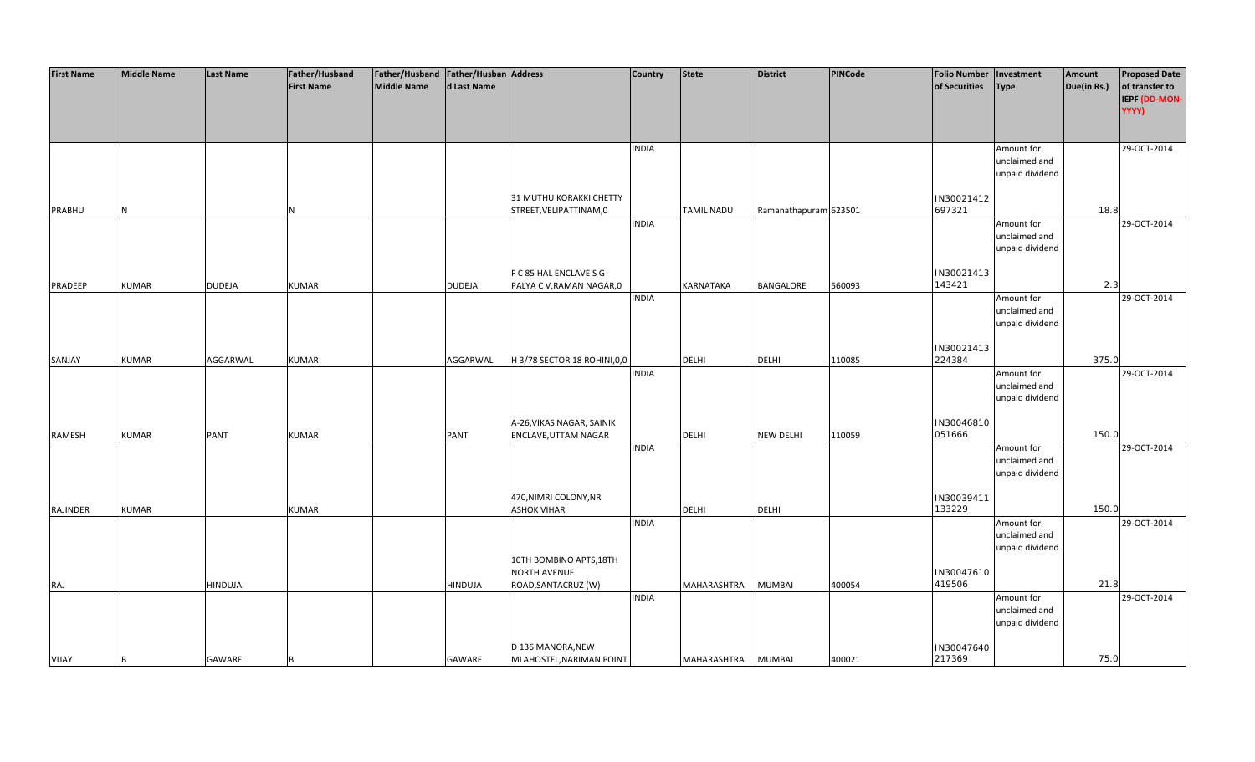| <b>First Name</b> | <b>Middle Name</b> | <b>Last Name</b> | Father/Husband    | Father/Husband Father/Husban Address |                |                             | <b>Country</b> | <b>State</b>      | <b>District</b>       | PINCode | <b>Folio Number</b> | Investment      | Amount      | <b>Proposed Date</b> |
|-------------------|--------------------|------------------|-------------------|--------------------------------------|----------------|-----------------------------|----------------|-------------------|-----------------------|---------|---------------------|-----------------|-------------|----------------------|
|                   |                    |                  | <b>First Name</b> | <b>Middle Name</b>                   | d Last Name    |                             |                |                   |                       |         | of Securities       | <b>Type</b>     | Due(in Rs.) | of transfer to       |
|                   |                    |                  |                   |                                      |                |                             |                |                   |                       |         |                     |                 |             | IEPF (DD-MON-        |
|                   |                    |                  |                   |                                      |                |                             |                |                   |                       |         |                     |                 |             | YYYY)                |
|                   |                    |                  |                   |                                      |                |                             |                |                   |                       |         |                     |                 |             |                      |
|                   |                    |                  |                   |                                      |                |                             |                |                   |                       |         |                     |                 |             |                      |
|                   |                    |                  |                   |                                      |                |                             | <b>INDIA</b>   |                   |                       |         |                     | Amount for      |             | 29-OCT-2014          |
|                   |                    |                  |                   |                                      |                |                             |                |                   |                       |         |                     | unclaimed and   |             |                      |
|                   |                    |                  |                   |                                      |                |                             |                |                   |                       |         |                     | unpaid dividend |             |                      |
|                   |                    |                  |                   |                                      |                |                             |                |                   |                       |         |                     |                 |             |                      |
|                   |                    |                  |                   |                                      |                | 31 MUTHU KORAKKI CHETTY     |                |                   |                       |         | IN30021412          |                 |             |                      |
| PRABHU            | N                  |                  | N                 |                                      |                | STREET, VELIPATTINAM, 0     |                | <b>TAMIL NADU</b> | Ramanathapuram 623501 |         | 697321              |                 | 18.8        |                      |
|                   |                    |                  |                   |                                      |                |                             | <b>INDIA</b>   |                   |                       |         |                     | Amount for      |             | 29-OCT-2014          |
|                   |                    |                  |                   |                                      |                |                             |                |                   |                       |         |                     | unclaimed and   |             |                      |
|                   |                    |                  |                   |                                      |                |                             |                |                   |                       |         |                     | unpaid dividend |             |                      |
|                   |                    |                  |                   |                                      |                |                             |                |                   |                       |         |                     |                 |             |                      |
|                   |                    |                  |                   |                                      |                | F C 85 HAL ENCLAVE S G      |                |                   |                       |         | IN30021413          |                 |             |                      |
| PRADEEP           | <b>KUMAR</b>       | <b>DUDEJA</b>    | <b>KUMAR</b>      |                                      | <b>DUDEJA</b>  | PALYA C V, RAMAN NAGAR, 0   |                | KARNATAKA         | BANGALORE             | 560093  | 143421              |                 | 2.3         |                      |
|                   |                    |                  |                   |                                      |                |                             | <b>INDIA</b>   |                   |                       |         |                     | Amount for      |             | 29-OCT-2014          |
|                   |                    |                  |                   |                                      |                |                             |                |                   |                       |         |                     | unclaimed and   |             |                      |
|                   |                    |                  |                   |                                      |                |                             |                |                   |                       |         |                     | unpaid dividend |             |                      |
|                   |                    |                  |                   |                                      |                |                             |                |                   |                       |         |                     |                 |             |                      |
|                   |                    |                  |                   |                                      |                |                             |                |                   |                       |         | IN30021413          |                 |             |                      |
| SANJAY            | <b>KUMAR</b>       | AGGARWAL         | <b>KUMAR</b>      |                                      | AGGARWAL       | H 3/78 SECTOR 18 ROHINI,0,0 |                | <b>DELHI</b>      | <b>DELHI</b>          | 110085  | 224384              |                 | 375.0       |                      |
|                   |                    |                  |                   |                                      |                |                             | <b>INDIA</b>   |                   |                       |         |                     | Amount for      |             | 29-OCT-2014          |
|                   |                    |                  |                   |                                      |                |                             |                |                   |                       |         |                     | unclaimed and   |             |                      |
|                   |                    |                  |                   |                                      |                |                             |                |                   |                       |         |                     | unpaid dividend |             |                      |
|                   |                    |                  |                   |                                      |                |                             |                |                   |                       |         |                     |                 |             |                      |
|                   |                    |                  |                   |                                      |                | A-26, VIKAS NAGAR, SAINIK   |                |                   |                       |         | IN30046810          |                 |             |                      |
| RAMESH            | <b>KUMAR</b>       | <b>PANT</b>      | <b>KUMAR</b>      |                                      | <b>PANT</b>    | ENCLAVE, UTTAM NAGAR        |                | <b>DELHI</b>      | <b>NEW DELHI</b>      | 110059  | 051666              |                 | 150.0       |                      |
|                   |                    |                  |                   |                                      |                |                             | <b>INDIA</b>   |                   |                       |         |                     | Amount for      |             | 29-OCT-2014          |
|                   |                    |                  |                   |                                      |                |                             |                |                   |                       |         |                     | unclaimed and   |             |                      |
|                   |                    |                  |                   |                                      |                |                             |                |                   |                       |         |                     | unpaid dividend |             |                      |
|                   |                    |                  |                   |                                      |                |                             |                |                   |                       |         |                     |                 |             |                      |
|                   |                    |                  |                   |                                      |                | 470, NIMRI COLONY, NR       |                |                   |                       |         | IN30039411          |                 |             |                      |
| RAJINDER          | <b>KUMAR</b>       |                  | <b>KUMAR</b>      |                                      |                | <b>ASHOK VIHAR</b>          |                | <b>DELHI</b>      | <b>DELHI</b>          |         | 133229              |                 | 150.0       |                      |
|                   |                    |                  |                   |                                      |                |                             | <b>INDIA</b>   |                   |                       |         |                     | Amount for      |             | 29-OCT-2014          |
|                   |                    |                  |                   |                                      |                |                             |                |                   |                       |         |                     | unclaimed and   |             |                      |
|                   |                    |                  |                   |                                      |                |                             |                |                   |                       |         |                     | unpaid dividend |             |                      |
|                   |                    |                  |                   |                                      |                | 10TH BOMBINO APTS, 18TH     |                |                   |                       |         |                     |                 |             |                      |
|                   |                    |                  |                   |                                      |                | <b>NORTH AVENUE</b>         |                |                   |                       |         | IN30047610          |                 |             |                      |
| RAJ               |                    | <b>HINDUJA</b>   |                   |                                      | <b>HINDUJA</b> | ROAD, SANTACRUZ (W)         |                | MAHARASHTRA       | <b>MUMBAI</b>         | 400054  | 419506              |                 | 21.8        |                      |
|                   |                    |                  |                   |                                      |                |                             | <b>INDIA</b>   |                   |                       |         |                     | Amount for      |             | 29-OCT-2014          |
|                   |                    |                  |                   |                                      |                |                             |                |                   |                       |         |                     | unclaimed and   |             |                      |
|                   |                    |                  |                   |                                      |                |                             |                |                   |                       |         |                     | unpaid dividend |             |                      |
|                   |                    |                  |                   |                                      |                |                             |                |                   |                       |         |                     |                 |             |                      |
|                   |                    |                  |                   |                                      |                | D 136 MANORA, NEW           |                |                   |                       |         | IN30047640          |                 |             |                      |
| <b>VIJAY</b>      | B                  | GAWARE           |                   |                                      | GAWARE         | MLAHOSTEL, NARIMAN POINT    |                | MAHARASHTRA       | <b>MUMBAI</b>         | 400021  | 217369              |                 | 75.0        |                      |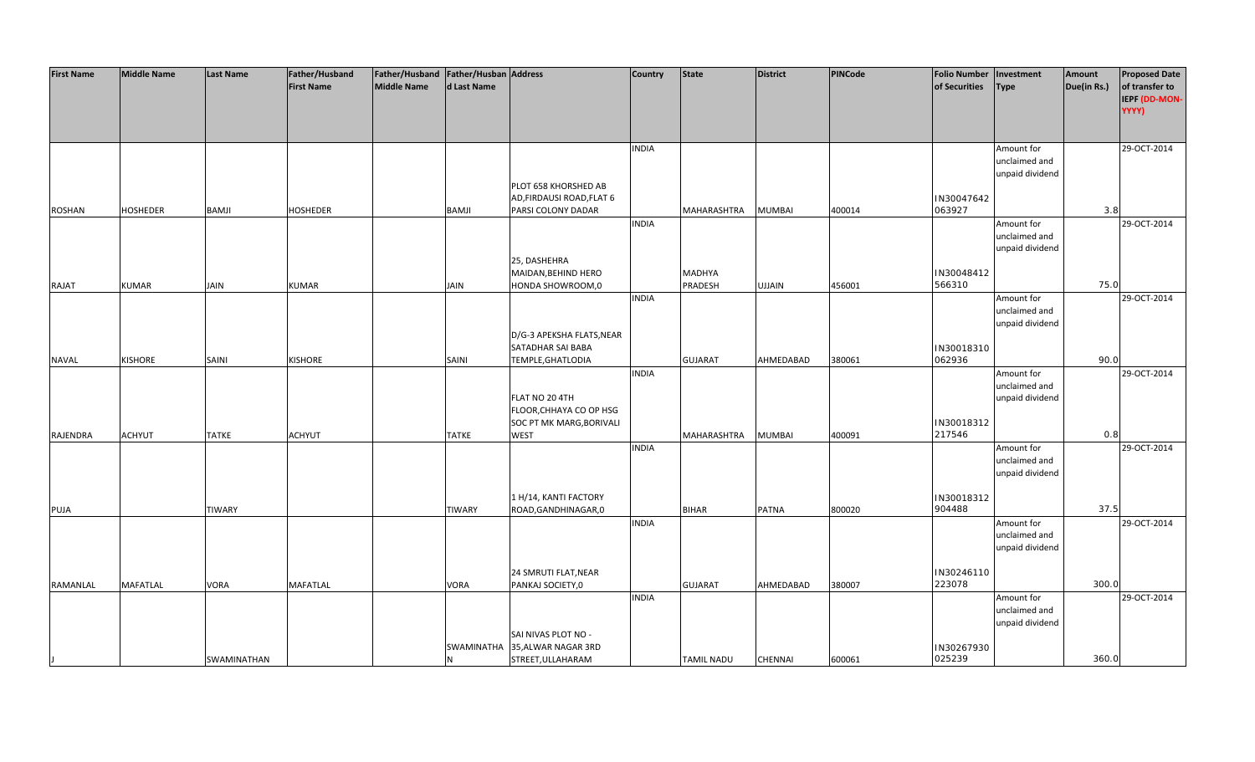| <b>First Name</b> | <b>Middle Name</b> | <b>Last Name</b> | Father/Husband    | Father/Husband Father/Husban Address |               |                           | <b>Country</b> | State              | <b>District</b> | PINCode | <b>Folio Number</b> | Investment      | Amount      | <b>Proposed Date</b> |
|-------------------|--------------------|------------------|-------------------|--------------------------------------|---------------|---------------------------|----------------|--------------------|-----------------|---------|---------------------|-----------------|-------------|----------------------|
|                   |                    |                  | <b>First Name</b> | <b>Middle Name</b>                   | d Last Name   |                           |                |                    |                 |         | of Securities       | <b>Type</b>     | Due(in Rs.) | of transfer to       |
|                   |                    |                  |                   |                                      |               |                           |                |                    |                 |         |                     |                 |             | IEPF (DD-MON-        |
|                   |                    |                  |                   |                                      |               |                           |                |                    |                 |         |                     |                 |             | YYYY)                |
|                   |                    |                  |                   |                                      |               |                           |                |                    |                 |         |                     |                 |             |                      |
|                   |                    |                  |                   |                                      |               |                           |                |                    |                 |         |                     |                 |             |                      |
|                   |                    |                  |                   |                                      |               |                           | <b>INDIA</b>   |                    |                 |         |                     | Amount for      |             | 29-OCT-2014          |
|                   |                    |                  |                   |                                      |               |                           |                |                    |                 |         |                     | unclaimed and   |             |                      |
|                   |                    |                  |                   |                                      |               |                           |                |                    |                 |         |                     | unpaid dividend |             |                      |
|                   |                    |                  |                   |                                      |               | PLOT 658 KHORSHED AB      |                |                    |                 |         |                     |                 |             |                      |
|                   |                    |                  |                   |                                      |               | AD, FIRDAUSI ROAD, FLAT 6 |                |                    |                 |         | IN30047642          |                 |             |                      |
| <b>ROSHAN</b>     | <b>HOSHEDER</b>    | <b>BAMJI</b>     | <b>HOSHEDER</b>   |                                      | <b>BAMJI</b>  | PARSI COLONY DADAR        |                | MAHARASHTRA        | <b>MUMBAI</b>   | 400014  | 063927              |                 | 3.8         |                      |
|                   |                    |                  |                   |                                      |               |                           | <b>INDIA</b>   |                    |                 |         |                     | Amount for      |             | 29-OCT-2014          |
|                   |                    |                  |                   |                                      |               |                           |                |                    |                 |         |                     | unclaimed and   |             |                      |
|                   |                    |                  |                   |                                      |               |                           |                |                    |                 |         |                     | unpaid dividend |             |                      |
|                   |                    |                  |                   |                                      |               | 25, DASHEHRA              |                |                    |                 |         |                     |                 |             |                      |
|                   |                    |                  |                   |                                      |               | MAIDAN, BEHIND HERO       |                | <b>MADHYA</b>      |                 |         | IN30048412          |                 |             |                      |
| RAJAT             | <b>KUMAR</b>       | JAIN             | <b>KUMAR</b>      |                                      | JAIN          | HONDA SHOWROOM,0          |                | PRADESH            | <b>UJJAIN</b>   | 456001  | 566310              |                 | 75.0        |                      |
|                   |                    |                  |                   |                                      |               |                           | <b>INDIA</b>   |                    |                 |         |                     | Amount for      |             | 29-OCT-2014          |
|                   |                    |                  |                   |                                      |               |                           |                |                    |                 |         |                     | unclaimed and   |             |                      |
|                   |                    |                  |                   |                                      |               |                           |                |                    |                 |         |                     | unpaid dividend |             |                      |
|                   |                    |                  |                   |                                      |               | D/G-3 APEKSHA FLATS, NEAR |                |                    |                 |         |                     |                 |             |                      |
|                   |                    |                  |                   |                                      |               | SATADHAR SAI BABA         |                |                    |                 |         | IN30018310          |                 |             |                      |
| <b>NAVAL</b>      | <b>KISHORE</b>     | <b>SAINI</b>     | <b>KISHORE</b>    |                                      | <b>SAINI</b>  | TEMPLE, GHATLODIA         |                | <b>GUJARAT</b>     | AHMEDABAD       | 380061  | 062936              |                 | 90.0        |                      |
|                   |                    |                  |                   |                                      |               |                           | <b>INDIA</b>   |                    |                 |         |                     | Amount for      |             | 29-OCT-2014          |
|                   |                    |                  |                   |                                      |               |                           |                |                    |                 |         |                     | unclaimed and   |             |                      |
|                   |                    |                  |                   |                                      |               | FLAT NO 20 4TH            |                |                    |                 |         |                     | unpaid dividend |             |                      |
|                   |                    |                  |                   |                                      |               | FLOOR, CHHAYA CO OP HSG   |                |                    |                 |         |                     |                 |             |                      |
|                   |                    |                  |                   |                                      |               | SOC PT MK MARG, BORIVALI  |                |                    |                 |         | IN30018312          |                 |             |                      |
| RAJENDRA          | <b>ACHYUT</b>      | <b>TATKE</b>     | <b>ACHYUT</b>     |                                      | <b>TATKE</b>  | <b>WEST</b>               |                | <b>MAHARASHTRA</b> | <b>MUMBAI</b>   | 400091  | 217546              |                 | 0.8         |                      |
|                   |                    |                  |                   |                                      |               |                           | <b>INDIA</b>   |                    |                 |         |                     | Amount for      |             | 29-OCT-2014          |
|                   |                    |                  |                   |                                      |               |                           |                |                    |                 |         |                     | unclaimed and   |             |                      |
|                   |                    |                  |                   |                                      |               |                           |                |                    |                 |         |                     | unpaid dividend |             |                      |
|                   |                    |                  |                   |                                      |               |                           |                |                    |                 |         |                     |                 |             |                      |
|                   |                    |                  |                   |                                      |               | 1 H/14, KANTI FACTORY     |                |                    |                 |         | IN30018312          |                 |             |                      |
| PUJA              |                    | <b>TIWARY</b>    |                   |                                      | <b>TIWARY</b> | ROAD, GANDHINAGAR, 0      |                | <b>BIHAR</b>       | <b>PATNA</b>    | 800020  | 904488              |                 | 37.5        |                      |
|                   |                    |                  |                   |                                      |               |                           | <b>INDIA</b>   |                    |                 |         |                     | Amount for      |             | 29-OCT-2014          |
|                   |                    |                  |                   |                                      |               |                           |                |                    |                 |         |                     | unclaimed and   |             |                      |
|                   |                    |                  |                   |                                      |               |                           |                |                    |                 |         |                     | unpaid dividend |             |                      |
|                   |                    |                  |                   |                                      |               |                           |                |                    |                 |         |                     |                 |             |                      |
|                   |                    |                  |                   |                                      |               | 24 SMRUTI FLAT, NEAR      |                |                    |                 |         | IN30246110          |                 |             |                      |
| RAMANLAL          | <b>MAFATLAL</b>    | <b>VORA</b>      | <b>MAFATLAL</b>   |                                      | VORA          | PANKAJ SOCIETY,0          |                | <b>GUJARAT</b>     | AHMEDABAD       | 380007  | 223078              |                 | 300.0       |                      |
|                   |                    |                  |                   |                                      |               |                           | <b>INDIA</b>   |                    |                 |         |                     | Amount for      |             | 29-OCT-2014          |
|                   |                    |                  |                   |                                      |               |                           |                |                    |                 |         |                     | unclaimed and   |             |                      |
|                   |                    |                  |                   |                                      |               |                           |                |                    |                 |         |                     | unpaid dividend |             |                      |
|                   |                    |                  |                   |                                      |               | SAI NIVAS PLOT NO -       |                |                    |                 |         |                     |                 |             |                      |
|                   |                    |                  |                   |                                      | SWAMINATHA    | 35, ALWAR NAGAR 3RD       |                |                    |                 |         | IN30267930          |                 |             |                      |
|                   |                    | SWAMINATHAN      |                   |                                      | N             | STREET, ULLAHARAM         |                | <b>TAMIL NADU</b>  | <b>CHENNAI</b>  | 600061  | 025239              |                 | 360.0       |                      |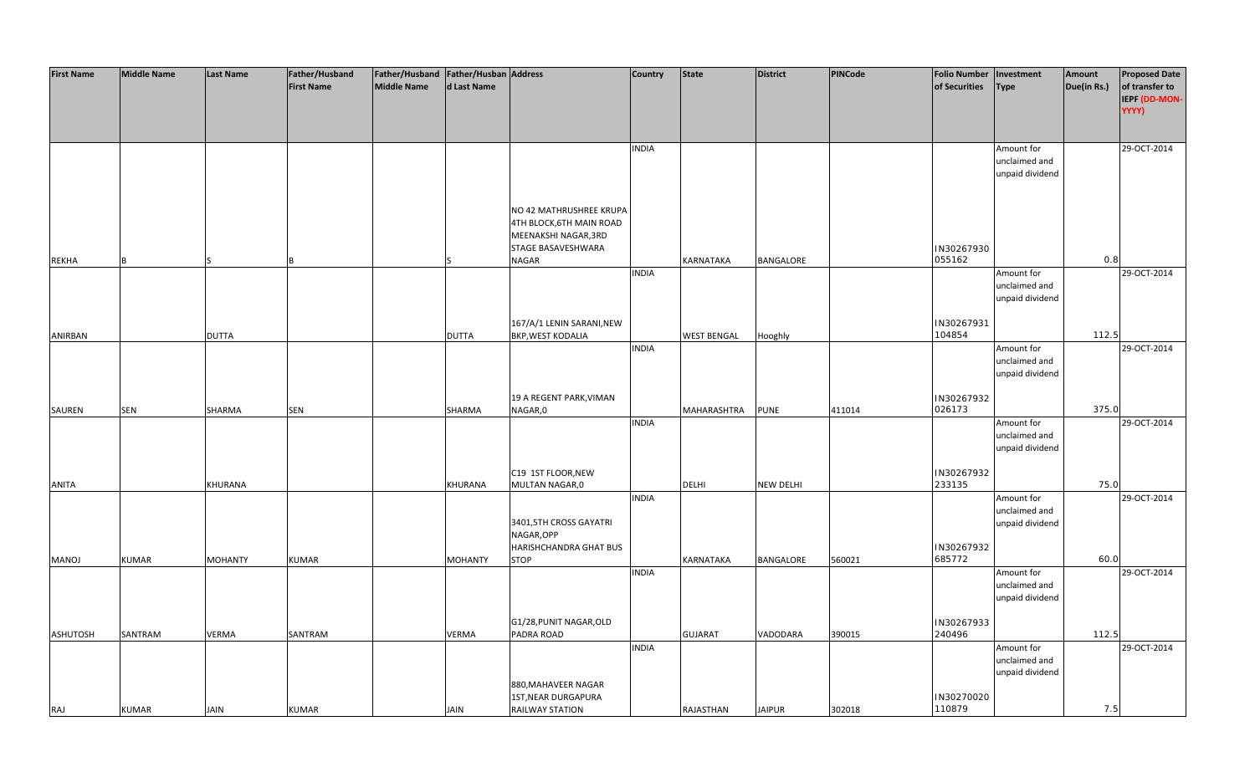| <b>First Name</b> | <b>Middle Name</b> | <b>Last Name</b> | Father/Husband<br><b>First Name</b> | Father/Husband   Father/Husban   Address<br>Middle Name | d Last Name    |                                                                                                   | <b>Country</b> | <b>State</b>       | <b>District</b>  | <b>PINCode</b> | <b>Folio Number</b><br>of Securities | Investment<br><b>Type</b>                      | Amount<br>Due(in Rs.) | <b>Proposed Date</b><br>of transfer to<br>IEPF (DD-MON-<br>YYYY) |
|-------------------|--------------------|------------------|-------------------------------------|---------------------------------------------------------|----------------|---------------------------------------------------------------------------------------------------|----------------|--------------------|------------------|----------------|--------------------------------------|------------------------------------------------|-----------------------|------------------------------------------------------------------|
|                   |                    |                  |                                     |                                                         |                |                                                                                                   | <b>INDIA</b>   |                    |                  |                |                                      | Amount for<br>unclaimed and<br>unpaid dividend |                       | 29-OCT-2014                                                      |
|                   |                    |                  |                                     |                                                         |                | NO 42 MATHRUSHREE KRUPA<br>4TH BLOCK, 6TH MAIN ROAD<br>MEENAKSHI NAGAR, 3RD<br>STAGE BASAVESHWARA |                |                    |                  |                | IN30267930<br>055162                 |                                                | 0.8                   |                                                                  |
| <b>REKHA</b>      | R                  |                  |                                     |                                                         |                | NAGAR                                                                                             | <b>INDIA</b>   | KARNATAKA          | BANGALORE        |                |                                      | Amount for                                     |                       | 29-OCT-2014                                                      |
|                   |                    |                  |                                     |                                                         |                |                                                                                                   |                |                    |                  |                |                                      | unclaimed and<br>unpaid dividend               |                       |                                                                  |
| ANIRBAN           |                    | <b>DUTTA</b>     |                                     |                                                         | <b>DUTTA</b>   | 167/A/1 LENIN SARANI, NEW<br>BKP, WEST KODALIA                                                    |                | <b>WEST BENGAL</b> | Hooghly          |                | IN30267931<br>104854                 |                                                | 112.5                 |                                                                  |
|                   |                    |                  |                                     |                                                         |                |                                                                                                   | <b>INDIA</b>   |                    |                  |                |                                      | Amount for<br>unclaimed and<br>unpaid dividend |                       | 29-OCT-2014                                                      |
|                   |                    |                  |                                     |                                                         |                | 19 A REGENT PARK, VIMAN                                                                           |                |                    |                  |                | IN30267932                           |                                                |                       |                                                                  |
| SAUREN            | <b>SEN</b>         | SHARMA           | SEN                                 |                                                         | SHARMA         | NAGAR,0                                                                                           | <b>INDIA</b>   | MAHARASHTRA        | <b>PUNE</b>      | 411014         | 026173                               | Amount for<br>unclaimed and<br>unpaid dividend | 375.0                 | 29-OCT-2014                                                      |
| <b>ANITA</b>      |                    | KHURANA          |                                     |                                                         | KHURANA        | C19 1ST FLOOR, NEW<br>MULTAN NAGAR,0                                                              |                | <b>DELHI</b>       | <b>NEW DELHI</b> |                | IN30267932<br>233135                 |                                                | 75.0                  |                                                                  |
|                   |                    |                  |                                     |                                                         |                | 3401,5TH CROSS GAYATRI<br>NAGAR, OPP                                                              | <b>INDIA</b>   |                    |                  |                |                                      | Amount for<br>unclaimed and<br>unpaid dividend |                       | 29-OCT-2014                                                      |
| <b>MANOJ</b>      | <b>KUMAR</b>       | <b>MOHANTY</b>   | <b>KUMAR</b>                        |                                                         | <b>MOHANTY</b> | HARISHCHANDRA GHAT BUS<br>STOP                                                                    |                | KARNATAKA          | <b>BANGALORE</b> | 560021         | IN30267932<br>685772                 |                                                | 60.0                  |                                                                  |
|                   |                    |                  |                                     |                                                         |                |                                                                                                   | <b>INDIA</b>   |                    |                  |                |                                      | Amount for<br>unclaimed and<br>unpaid dividend |                       | 29-OCT-2014                                                      |
| <b>ASHUTOSH</b>   | SANTRAM            | <b>VERMA</b>     | SANTRAM                             |                                                         | VERMA          | G1/28, PUNIT NAGAR, OLD<br>PADRA ROAD                                                             |                | <b>GUJARAT</b>     | VADODARA         | 390015         | IN30267933<br>240496                 |                                                | 112.5                 |                                                                  |
| RAJ               | <b>KUMAR</b>       | <b>JAIN</b>      | <b>KUMAR</b>                        |                                                         | <b>JAIN</b>    | 880, MAHAVEER NAGAR<br>1ST, NEAR DURGAPURA<br><b>RAILWAY STATION</b>                              | <b>INDIA</b>   | RAJASTHAN          | <b>JAIPUR</b>    | 302018         | IN30270020<br>110879                 | Amount for<br>unclaimed and<br>unpaid dividend | 7.5                   | 29-OCT-2014                                                      |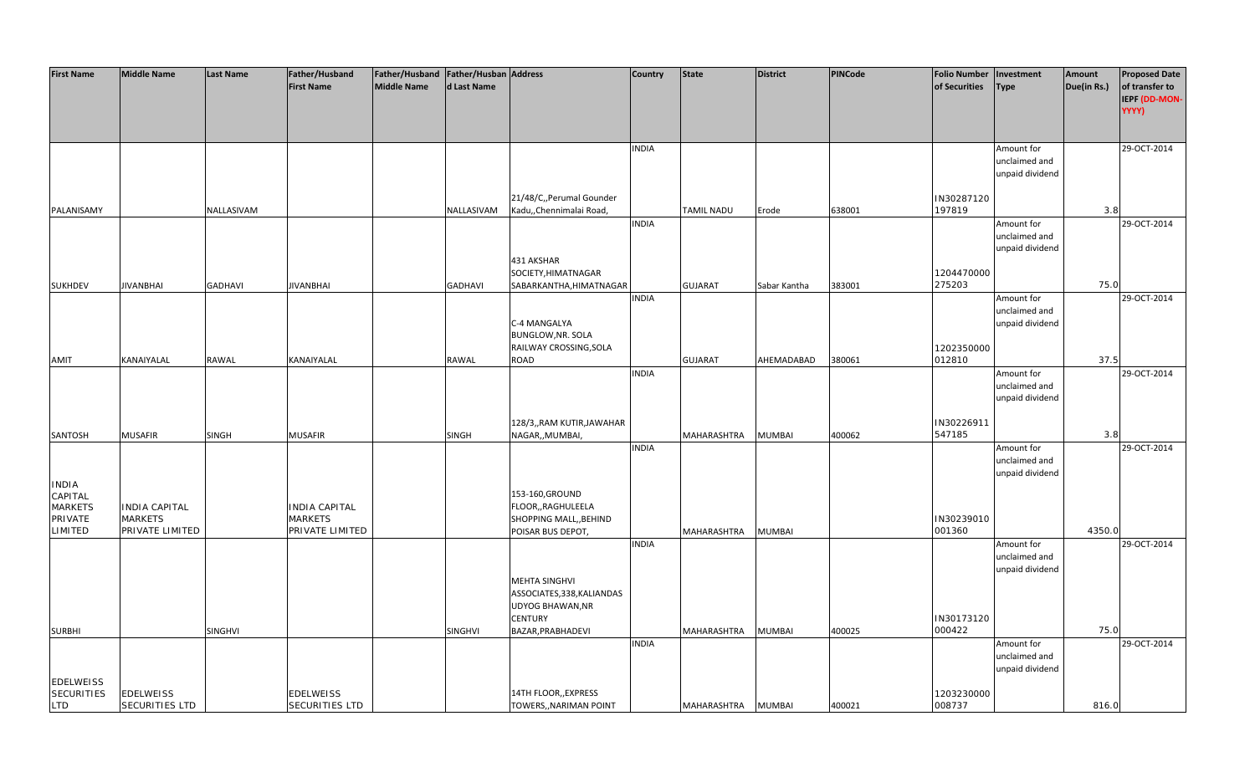| <b>First Name</b>       | <b>Middle Name</b>   | <b>Last Name</b> | Father/Husband        | Father/Husband   Father/Husban   Address |                |                            | <b>Country</b> | <b>State</b>   | <b>District</b> | <b>PINCode</b> | <b>Folio Number</b> | Investment      | Amount      | <b>Proposed Date</b> |
|-------------------------|----------------------|------------------|-----------------------|------------------------------------------|----------------|----------------------------|----------------|----------------|-----------------|----------------|---------------------|-----------------|-------------|----------------------|
|                         |                      |                  | <b>First Name</b>     | <b>Middle Name</b>                       | d Last Name    |                            |                |                |                 |                | of Securities       | Type            | Due(in Rs.) | of transfer to       |
|                         |                      |                  |                       |                                          |                |                            |                |                |                 |                |                     |                 |             | <b>IEPF (DD-MON-</b> |
|                         |                      |                  |                       |                                          |                |                            |                |                |                 |                |                     |                 |             |                      |
|                         |                      |                  |                       |                                          |                |                            |                |                |                 |                |                     |                 |             | YYYY)                |
|                         |                      |                  |                       |                                          |                |                            |                |                |                 |                |                     |                 |             |                      |
|                         |                      |                  |                       |                                          |                |                            |                |                |                 |                |                     |                 |             |                      |
|                         |                      |                  |                       |                                          |                |                            | <b>INDIA</b>   |                |                 |                |                     | Amount for      |             | 29-OCT-2014          |
|                         |                      |                  |                       |                                          |                |                            |                |                |                 |                |                     | unclaimed and   |             |                      |
|                         |                      |                  |                       |                                          |                |                            |                |                |                 |                |                     | unpaid dividend |             |                      |
|                         |                      |                  |                       |                                          |                |                            |                |                |                 |                |                     |                 |             |                      |
|                         |                      |                  |                       |                                          |                | 21/48/C,, Perumal Gounder  |                |                |                 |                | IN30287120          |                 |             |                      |
| PALANISAMY              |                      | NALLASIVAM       |                       |                                          | NALLASIVAM     | Kadu,, Chennimalai Road,   |                | TAMIL NADU     | Erode           | 638001         | 197819              |                 | 3.8         |                      |
|                         |                      |                  |                       |                                          |                |                            | <b>INDIA</b>   |                |                 |                |                     | Amount for      |             | 29-OCT-2014          |
|                         |                      |                  |                       |                                          |                |                            |                |                |                 |                |                     | unclaimed and   |             |                      |
|                         |                      |                  |                       |                                          |                |                            |                |                |                 |                |                     | unpaid dividend |             |                      |
|                         |                      |                  |                       |                                          |                | 431 AKSHAR                 |                |                |                 |                |                     |                 |             |                      |
|                         |                      |                  |                       |                                          |                | SOCIETY, HIMATNAGAR        |                |                |                 |                | 1204470000          |                 |             |                      |
| <b>SUKHDEV</b>          | <b>JIVANBHAI</b>     | <b>GADHAVI</b>   | <b>JIVANBHAI</b>      |                                          | <b>GADHAVI</b> | SABARKANTHA, HIMATNAGAR    |                | <b>GUJARAT</b> | Sabar Kantha    | 383001         | 275203              |                 | 75.0        |                      |
|                         |                      |                  |                       |                                          |                |                            | <b>INDIA</b>   |                |                 |                |                     | Amount for      |             | 29-OCT-2014          |
|                         |                      |                  |                       |                                          |                |                            |                |                |                 |                |                     |                 |             |                      |
|                         |                      |                  |                       |                                          |                |                            |                |                |                 |                |                     | unclaimed and   |             |                      |
|                         |                      |                  |                       |                                          |                | C-4 MANGALYA               |                |                |                 |                |                     | unpaid dividend |             |                      |
|                         |                      |                  |                       |                                          |                | BUNGLOW, NR. SOLA          |                |                |                 |                |                     |                 |             |                      |
|                         |                      |                  |                       |                                          |                | RAILWAY CROSSING, SOLA     |                |                |                 |                | 1202350000          |                 |             |                      |
| AMIT                    | KANAIYALAL           | RAWAL            | KANAIYALAL            |                                          | RAWAL          | ROAD                       |                | <b>GUJARAT</b> | AHEMADABAD      | 380061         | 012810              |                 | 37.5        |                      |
|                         |                      |                  |                       |                                          |                |                            | <b>INDIA</b>   |                |                 |                |                     | Amount for      |             | 29-OCT-2014          |
|                         |                      |                  |                       |                                          |                |                            |                |                |                 |                |                     | unclaimed and   |             |                      |
|                         |                      |                  |                       |                                          |                |                            |                |                |                 |                |                     | unpaid dividend |             |                      |
|                         |                      |                  |                       |                                          |                |                            |                |                |                 |                |                     |                 |             |                      |
|                         |                      |                  |                       |                                          |                | 128/3,, RAM KUTIR, JAWAHAR |                |                |                 |                | IN30226911          |                 |             |                      |
| SANTOSH                 | <b>MUSAFIR</b>       | <b>SINGH</b>     | <b>MUSAFIR</b>        |                                          | SINGH          | NAGAR,, MUMBAI,            |                | MAHARASHTRA    | <b>MUMBAI</b>   | 400062         | 547185              |                 | 3.8         |                      |
|                         |                      |                  |                       |                                          |                |                            | <b>INDIA</b>   |                |                 |                |                     | Amount for      |             | 29-OCT-2014          |
|                         |                      |                  |                       |                                          |                |                            |                |                |                 |                |                     | unclaimed and   |             |                      |
|                         |                      |                  |                       |                                          |                |                            |                |                |                 |                |                     | unpaid dividend |             |                      |
|                         |                      |                  |                       |                                          |                |                            |                |                |                 |                |                     |                 |             |                      |
| <b>INDIA</b><br>CAPITAL |                      |                  |                       |                                          |                | 153-160, GROUND            |                |                |                 |                |                     |                 |             |                      |
| <b>MARKETS</b>          | <b>INDIA CAPITAL</b> |                  | <b>INDIA CAPITAL</b>  |                                          |                | FLOOR,, RAGHULEELA         |                |                |                 |                |                     |                 |             |                      |
| PRIVATE                 | <b>MARKETS</b>       |                  | <b>MARKETS</b>        |                                          |                | SHOPPING MALL, BEHIND      |                |                |                 |                | IN30239010          |                 |             |                      |
| LIMITED                 | PRIVATE LIMITED      |                  | PRIVATE LIMITED       |                                          |                | POISAR BUS DEPOT,          |                | MAHARASHTRA    | <b>MUMBAI</b>   |                | 001360              |                 | 4350.0      |                      |
|                         |                      |                  |                       |                                          |                |                            |                |                |                 |                |                     |                 |             |                      |
|                         |                      |                  |                       |                                          |                |                            | <b>INDIA</b>   |                |                 |                |                     | Amount for      |             | 29-OCT-2014          |
|                         |                      |                  |                       |                                          |                |                            |                |                |                 |                |                     | unclaimed and   |             |                      |
|                         |                      |                  |                       |                                          |                |                            |                |                |                 |                |                     | unpaid dividend |             |                      |
|                         |                      |                  |                       |                                          |                | <b>MEHTA SINGHVI</b>       |                |                |                 |                |                     |                 |             |                      |
|                         |                      |                  |                       |                                          |                | ASSOCIATES, 338, KALIANDAS |                |                |                 |                |                     |                 |             |                      |
|                         |                      |                  |                       |                                          |                | <b>UDYOG BHAWAN, NR</b>    |                |                |                 |                |                     |                 |             |                      |
|                         |                      |                  |                       |                                          |                | <b>CENTURY</b>             |                |                |                 |                | IN30173120          |                 |             |                      |
| <b>SURBHI</b>           |                      | <b>SINGHVI</b>   |                       |                                          | SINGHVI        | BAZAR, PRABHADEVI          |                | MAHARASHTRA    | <b>MUMBAI</b>   | 400025         | 000422              |                 | 75.0        |                      |
|                         |                      |                  |                       |                                          |                |                            | <b>INDIA</b>   |                |                 |                |                     | Amount for      |             | 29-OCT-2014          |
|                         |                      |                  |                       |                                          |                |                            |                |                |                 |                |                     | unclaimed and   |             |                      |
|                         |                      |                  |                       |                                          |                |                            |                |                |                 |                |                     | unpaid dividend |             |                      |
| <b>EDELWEISS</b>        |                      |                  |                       |                                          |                |                            |                |                |                 |                |                     |                 |             |                      |
| <b>SECURITIES</b>       | <b>EDELWEISS</b>     |                  | <b>EDELWEISS</b>      |                                          |                | 14TH FLOOR,, EXPRESS       |                |                |                 |                | 1203230000          |                 |             |                      |
| <b>LTD</b>              | SECURITIES LTD       |                  | <b>SECURITIES LTD</b> |                                          |                | TOWERS,, NARIMAN POINT     |                | MAHARASHTRA    | <b>MUMBAI</b>   | 400021         | 008737              |                 | 816.0       |                      |
|                         |                      |                  |                       |                                          |                |                            |                |                |                 |                |                     |                 |             |                      |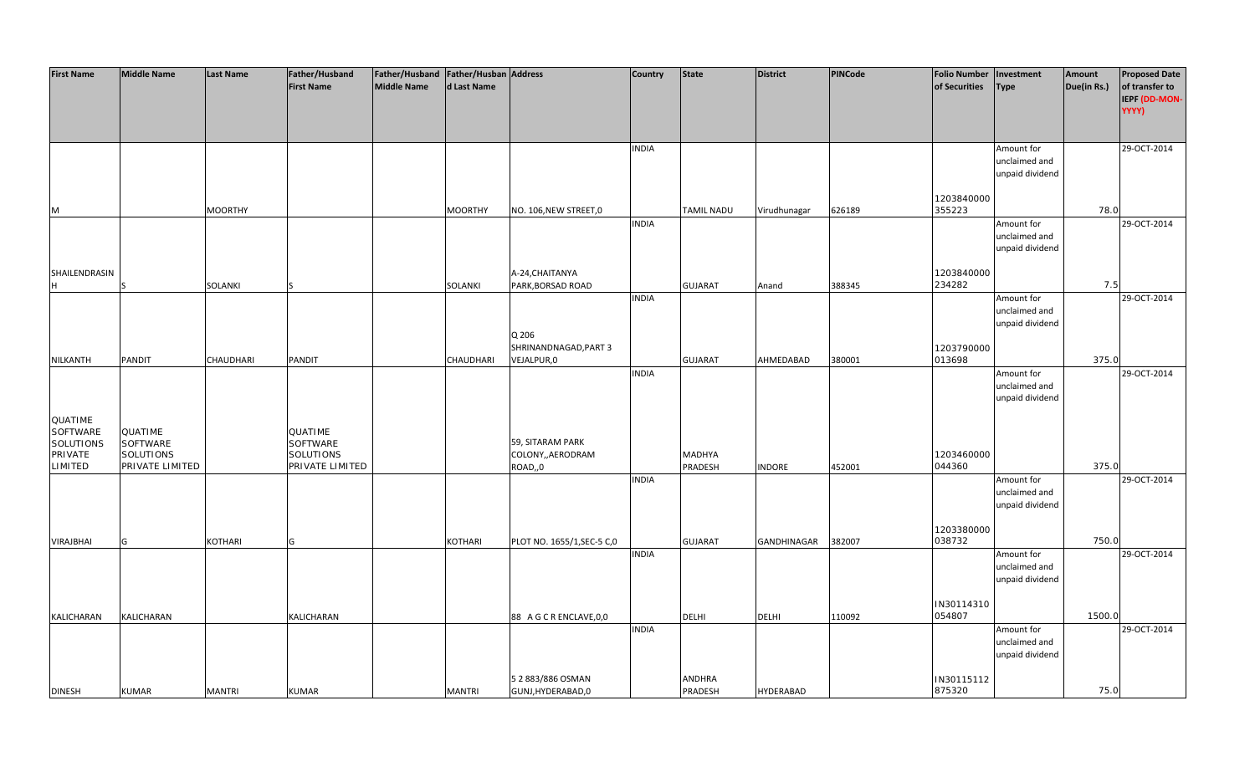| <b>First Name</b> | <b>Middle Name</b> | <b>Last Name</b> | Father/Husband    | Father/Husband   Father/Husban   Address |                  |                             | <b>Country</b> | <b>State</b>      | <b>District</b>  | <b>PINCode</b> | <b>Folio Number</b>  | Investment                  | Amount      | <b>Proposed Date</b> |
|-------------------|--------------------|------------------|-------------------|------------------------------------------|------------------|-----------------------------|----------------|-------------------|------------------|----------------|----------------------|-----------------------------|-------------|----------------------|
|                   |                    |                  | <b>First Name</b> | Middle Name                              | d Last Name      |                             |                |                   |                  |                | of Securities        | <b>Type</b>                 | Due(in Rs.) | of transfer to       |
|                   |                    |                  |                   |                                          |                  |                             |                |                   |                  |                |                      |                             |             | IEPF (DD-MON-        |
|                   |                    |                  |                   |                                          |                  |                             |                |                   |                  |                |                      |                             |             | YYYY)                |
|                   |                    |                  |                   |                                          |                  |                             |                |                   |                  |                |                      |                             |             |                      |
|                   |                    |                  |                   |                                          |                  |                             |                |                   |                  |                |                      |                             |             |                      |
|                   |                    |                  |                   |                                          |                  |                             | <b>INDIA</b>   |                   |                  |                |                      | Amount for                  |             | 29-OCT-2014          |
|                   |                    |                  |                   |                                          |                  |                             |                |                   |                  |                |                      | unclaimed and               |             |                      |
|                   |                    |                  |                   |                                          |                  |                             |                |                   |                  |                |                      | unpaid dividend             |             |                      |
|                   |                    |                  |                   |                                          |                  |                             |                |                   |                  |                |                      |                             |             |                      |
|                   |                    |                  |                   |                                          |                  |                             |                |                   |                  |                | 1203840000<br>355223 |                             | 78.0        |                      |
| M                 |                    | <b>MOORTHY</b>   |                   |                                          | <b>MOORTHY</b>   | NO. 106, NEW STREET, 0      | <b>INDIA</b>   | <b>TAMIL NADU</b> | Virudhunagar     | 626189         |                      | Amount for                  |             | 29-OCT-2014          |
|                   |                    |                  |                   |                                          |                  |                             |                |                   |                  |                |                      | unclaimed and               |             |                      |
|                   |                    |                  |                   |                                          |                  |                             |                |                   |                  |                |                      | unpaid dividend             |             |                      |
|                   |                    |                  |                   |                                          |                  |                             |                |                   |                  |                |                      |                             |             |                      |
| SHAILENDRASIN     |                    |                  |                   |                                          |                  | A-24, CHAITANYA             |                |                   |                  |                | 1203840000           |                             |             |                      |
| IH.               |                    | SOLANKI          |                   |                                          | SOLANKI          | PARK, BORSAD ROAD           |                | <b>GUJARAT</b>    | Anand            | 388345         | 234282               |                             | 7.5         |                      |
|                   |                    |                  |                   |                                          |                  |                             | <b>INDIA</b>   |                   |                  |                |                      | Amount for                  |             | 29-OCT-2014          |
|                   |                    |                  |                   |                                          |                  |                             |                |                   |                  |                |                      | unclaimed and               |             |                      |
|                   |                    |                  |                   |                                          |                  |                             |                |                   |                  |                |                      | unpaid dividend             |             |                      |
|                   |                    |                  |                   |                                          |                  | Q 206                       |                |                   |                  |                |                      |                             |             |                      |
|                   |                    |                  |                   |                                          |                  | SHRINANDNAGAD, PART 3       |                |                   |                  |                | 1203790000           |                             |             |                      |
| NILKANTH          | PANDIT             | <b>CHAUDHARI</b> | PANDIT            |                                          | <b>CHAUDHARI</b> | VEJALPUR,0                  |                | <b>GUJARAT</b>    | AHMEDABAD        | 380001         | 013698               |                             | 375.0       |                      |
|                   |                    |                  |                   |                                          |                  |                             | <b>INDIA</b>   |                   |                  |                |                      | Amount for                  |             | 29-OCT-2014          |
|                   |                    |                  |                   |                                          |                  |                             |                |                   |                  |                |                      | unclaimed and               |             |                      |
|                   |                    |                  |                   |                                          |                  |                             |                |                   |                  |                |                      | unpaid dividend             |             |                      |
| QUATIME           |                    |                  |                   |                                          |                  |                             |                |                   |                  |                |                      |                             |             |                      |
| <b>SOFTWARE</b>   | QUATIME            |                  | QUATIME           |                                          |                  |                             |                |                   |                  |                |                      |                             |             |                      |
| SOLUTIONS         | <b>SOFTWARE</b>    |                  | SOFTWARE          |                                          |                  | 59, SITARAM PARK            |                |                   |                  |                |                      |                             |             |                      |
| PRIVATE           | <b>SOLUTIONS</b>   |                  | SOLUTIONS         |                                          |                  | COLONY,, AERODRAM           |                | <b>MADHYA</b>     |                  |                | 1203460000           |                             |             |                      |
| <b>LIMITED</b>    | PRIVATE LIMITED    |                  | PRIVATE LIMITED   |                                          |                  | ROAD,,0                     |                | PRADESH           | <b>INDORE</b>    | 452001         | 044360               |                             | 375.0       |                      |
|                   |                    |                  |                   |                                          |                  |                             | <b>INDIA</b>   |                   |                  |                |                      | Amount for                  |             | 29-OCT-2014          |
|                   |                    |                  |                   |                                          |                  |                             |                |                   |                  |                |                      | unclaimed and               |             |                      |
|                   |                    |                  |                   |                                          |                  |                             |                |                   |                  |                |                      | unpaid dividend             |             |                      |
|                   |                    |                  |                   |                                          |                  |                             |                |                   |                  |                |                      |                             |             |                      |
|                   |                    |                  |                   |                                          |                  |                             |                |                   |                  |                | 1203380000           |                             |             |                      |
| <b>VIRAJBHAI</b>  | G                  | KOTHARI          | G                 |                                          | KOTHARI          | PLOT NO. 1655/1, SEC-5 C, 0 |                | <b>GUJARAT</b>    | GANDHINAGAR      | 382007         | 038732               |                             | 750.0       |                      |
|                   |                    |                  |                   |                                          |                  |                             | <b>INDIA</b>   |                   |                  |                |                      | Amount for<br>unclaimed and |             | 29-OCT-2014          |
|                   |                    |                  |                   |                                          |                  |                             |                |                   |                  |                |                      | unpaid dividend             |             |                      |
|                   |                    |                  |                   |                                          |                  |                             |                |                   |                  |                |                      |                             |             |                      |
|                   |                    |                  |                   |                                          |                  |                             |                |                   |                  |                | IN30114310           |                             |             |                      |
| <b>KALICHARAN</b> | <b>KALICHARAN</b>  |                  | KALICHARAN        |                                          |                  | 88 A G C R ENCLAVE, 0, 0    |                | <b>DELHI</b>      | <b>DELHI</b>     | 110092         | 054807               |                             | 1500.0      |                      |
|                   |                    |                  |                   |                                          |                  |                             | <b>INDIA</b>   |                   |                  |                |                      | Amount for                  |             | 29-OCT-2014          |
|                   |                    |                  |                   |                                          |                  |                             |                |                   |                  |                |                      | unclaimed and               |             |                      |
|                   |                    |                  |                   |                                          |                  |                             |                |                   |                  |                |                      | unpaid dividend             |             |                      |
|                   |                    |                  |                   |                                          |                  |                             |                |                   |                  |                |                      |                             |             |                      |
|                   |                    |                  |                   |                                          |                  | 5 2 883/886 OSMAN           |                | <b>ANDHRA</b>     |                  |                | IN30115112           |                             |             |                      |
| <b>DINESH</b>     | <b>KUMAR</b>       | <b>MANTRI</b>    | <b>KUMAR</b>      |                                          | <b>MANTRI</b>    | GUNJ, HYDERABAD, 0          |                | PRADESH           | <b>HYDERABAD</b> |                | 875320               |                             | 75.0        |                      |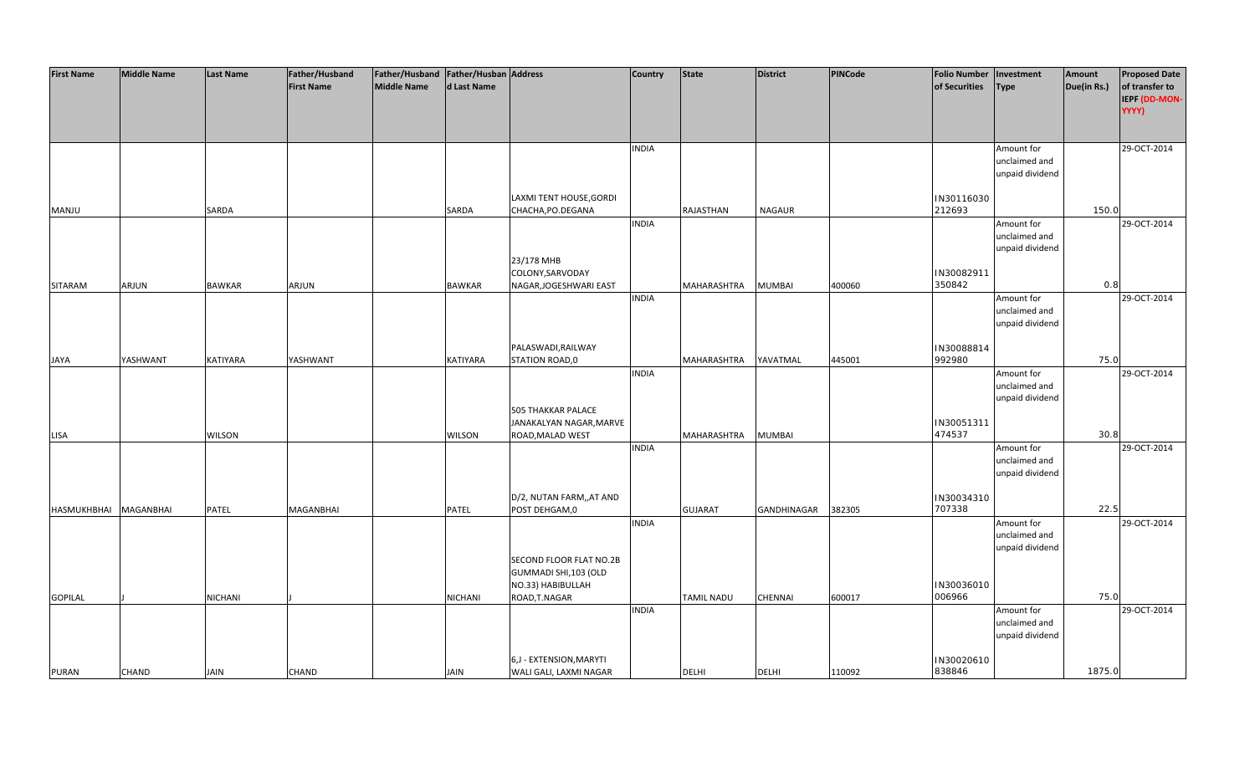| <b>First Name</b> | <b>Middle Name</b> | <b>Last Name</b> | Father/Husband    | Father/Husband Father/Husban Address |                |                           | Country      | <b>State</b>   | <b>District</b> | <b>PINCode</b> | <b>Folio Number</b> | Investment      | Amount      | <b>Proposed Date</b> |
|-------------------|--------------------|------------------|-------------------|--------------------------------------|----------------|---------------------------|--------------|----------------|-----------------|----------------|---------------------|-----------------|-------------|----------------------|
|                   |                    |                  | <b>First Name</b> | Middle Name                          | d Last Name    |                           |              |                |                 |                | of Securities       | <b>Type</b>     | Due(in Rs.) | of transfer to       |
|                   |                    |                  |                   |                                      |                |                           |              |                |                 |                |                     |                 |             | IEPF (DD-MON-        |
|                   |                    |                  |                   |                                      |                |                           |              |                |                 |                |                     |                 |             | YYYY)                |
|                   |                    |                  |                   |                                      |                |                           |              |                |                 |                |                     |                 |             |                      |
|                   |                    |                  |                   |                                      |                |                           |              |                |                 |                |                     |                 |             |                      |
|                   |                    |                  |                   |                                      |                |                           | <b>INDIA</b> |                |                 |                |                     | Amount for      |             | 29-OCT-2014          |
|                   |                    |                  |                   |                                      |                |                           |              |                |                 |                |                     | unclaimed and   |             |                      |
|                   |                    |                  |                   |                                      |                |                           |              |                |                 |                |                     | unpaid dividend |             |                      |
|                   |                    |                  |                   |                                      |                |                           |              |                |                 |                |                     |                 |             |                      |
|                   |                    |                  |                   |                                      |                | LAXMI TENT HOUSE, GORDI   |              |                |                 |                | IN30116030          |                 |             |                      |
| MANJU             |                    | SARDA            |                   |                                      | SARDA          | CHACHA, PO. DEGANA        |              | RAJASTHAN      | <b>NAGAUR</b>   |                | 212693              |                 | 150.0       |                      |
|                   |                    |                  |                   |                                      |                |                           | <b>INDIA</b> |                |                 |                |                     | Amount for      |             | 29-OCT-2014          |
|                   |                    |                  |                   |                                      |                |                           |              |                |                 |                |                     | unclaimed and   |             |                      |
|                   |                    |                  |                   |                                      |                |                           |              |                |                 |                |                     | unpaid dividend |             |                      |
|                   |                    |                  |                   |                                      |                | 23/178 MHB                |              |                |                 |                |                     |                 |             |                      |
|                   |                    |                  |                   |                                      |                | COLONY, SARVODAY          |              |                |                 |                | IN30082911          |                 |             |                      |
| <b>SITARAM</b>    | ARJUN              | <b>BAWKAR</b>    | ARJUN             |                                      | <b>BAWKAR</b>  | NAGAR, JOGESHWARI EAST    |              | MAHARASHTRA    | <b>MUMBAI</b>   | 400060         | 350842              |                 | 0.8         |                      |
|                   |                    |                  |                   |                                      |                |                           | <b>INDIA</b> |                |                 |                |                     | Amount for      |             | 29-OCT-2014          |
|                   |                    |                  |                   |                                      |                |                           |              |                |                 |                |                     | unclaimed and   |             |                      |
|                   |                    |                  |                   |                                      |                |                           |              |                |                 |                |                     | unpaid dividend |             |                      |
|                   |                    |                  |                   |                                      |                |                           |              |                |                 |                |                     |                 |             |                      |
|                   |                    |                  |                   |                                      |                | PALASWADI, RAILWAY        |              |                |                 |                | IN30088814          |                 |             |                      |
| JAYA              | YASHWANT           | <b>KATIYARA</b>  | YASHWANT          |                                      | KATIYARA       | STATION ROAD,0            |              | MAHARASHTRA    | YAVATMAL        | 445001         | 992980              |                 | 75.0        |                      |
|                   |                    |                  |                   |                                      |                |                           | <b>INDIA</b> |                |                 |                |                     | Amount for      |             | 29-OCT-2014          |
|                   |                    |                  |                   |                                      |                |                           |              |                |                 |                |                     | unclaimed and   |             |                      |
|                   |                    |                  |                   |                                      |                |                           |              |                |                 |                |                     | unpaid dividend |             |                      |
|                   |                    |                  |                   |                                      |                | <b>505 THAKKAR PALACE</b> |              |                |                 |                |                     |                 |             |                      |
|                   |                    |                  |                   |                                      |                | JANAKALYAN NAGAR, MARVE   |              |                |                 |                | IN30051311          |                 |             |                      |
| LISA              |                    | <b>WILSON</b>    |                   |                                      | <b>WILSON</b>  | ROAD, MALAD WEST          |              | MAHARASHTRA    | <b>MUMBAI</b>   |                | 474537              |                 | 30.8        |                      |
|                   |                    |                  |                   |                                      |                |                           | <b>INDIA</b> |                |                 |                |                     | Amount for      |             | 29-OCT-2014          |
|                   |                    |                  |                   |                                      |                |                           |              |                |                 |                |                     | unclaimed and   |             |                      |
|                   |                    |                  |                   |                                      |                |                           |              |                |                 |                |                     | unpaid dividend |             |                      |
|                   |                    |                  |                   |                                      |                |                           |              |                |                 |                |                     |                 |             |                      |
|                   |                    |                  |                   |                                      |                | D/2, NUTAN FARM,, AT AND  |              |                |                 |                | IN30034310          |                 |             |                      |
| HASMUKHBHAI       | <b>MAGANBHAI</b>   | PATEL            | MAGANBHAI         |                                      | PATEL          | POST DEHGAM,0             |              | <b>GUJARAT</b> | GANDHINAGAR     | 382305         | 707338              |                 | 22.5        |                      |
|                   |                    |                  |                   |                                      |                |                           | <b>INDIA</b> |                |                 |                |                     | Amount for      |             | 29-OCT-2014          |
|                   |                    |                  |                   |                                      |                |                           |              |                |                 |                |                     | unclaimed and   |             |                      |
|                   |                    |                  |                   |                                      |                |                           |              |                |                 |                |                     | unpaid dividend |             |                      |
|                   |                    |                  |                   |                                      |                | SECOND FLOOR FLAT NO.2B   |              |                |                 |                |                     |                 |             |                      |
|                   |                    |                  |                   |                                      |                | GUMMADI SHI,103 (OLD      |              |                |                 |                |                     |                 |             |                      |
|                   |                    |                  |                   |                                      |                | NO.33) HABIBULLAH         |              |                |                 |                | IN30036010          |                 |             |                      |
| <b>GOPILAL</b>    |                    | <b>NICHANI</b>   |                   |                                      | <b>NICHANI</b> | ROAD, T.NAGAR             |              | TAMIL NADU     | <b>CHENNAI</b>  | 600017         | 006966              |                 | 75.0        |                      |
|                   |                    |                  |                   |                                      |                |                           | <b>INDIA</b> |                |                 |                |                     | Amount for      |             | 29-OCT-2014          |
|                   |                    |                  |                   |                                      |                |                           |              |                |                 |                |                     | unclaimed and   |             |                      |
|                   |                    |                  |                   |                                      |                |                           |              |                |                 |                |                     | unpaid dividend |             |                      |
|                   |                    |                  |                   |                                      |                |                           |              |                |                 |                |                     |                 |             |                      |
|                   |                    |                  |                   |                                      |                | 6,J - EXTENSION, MARYTI   |              |                |                 |                | IN30020610          |                 |             |                      |
| <b>PURAN</b>      | <b>CHAND</b>       | <b>JAIN</b>      | <b>CHAND</b>      |                                      | <b>JAIN</b>    | WALI GALI, LAXMI NAGAR    |              | <b>DELHI</b>   | <b>DELHI</b>    | 110092         | 838846              |                 | 1875.0      |                      |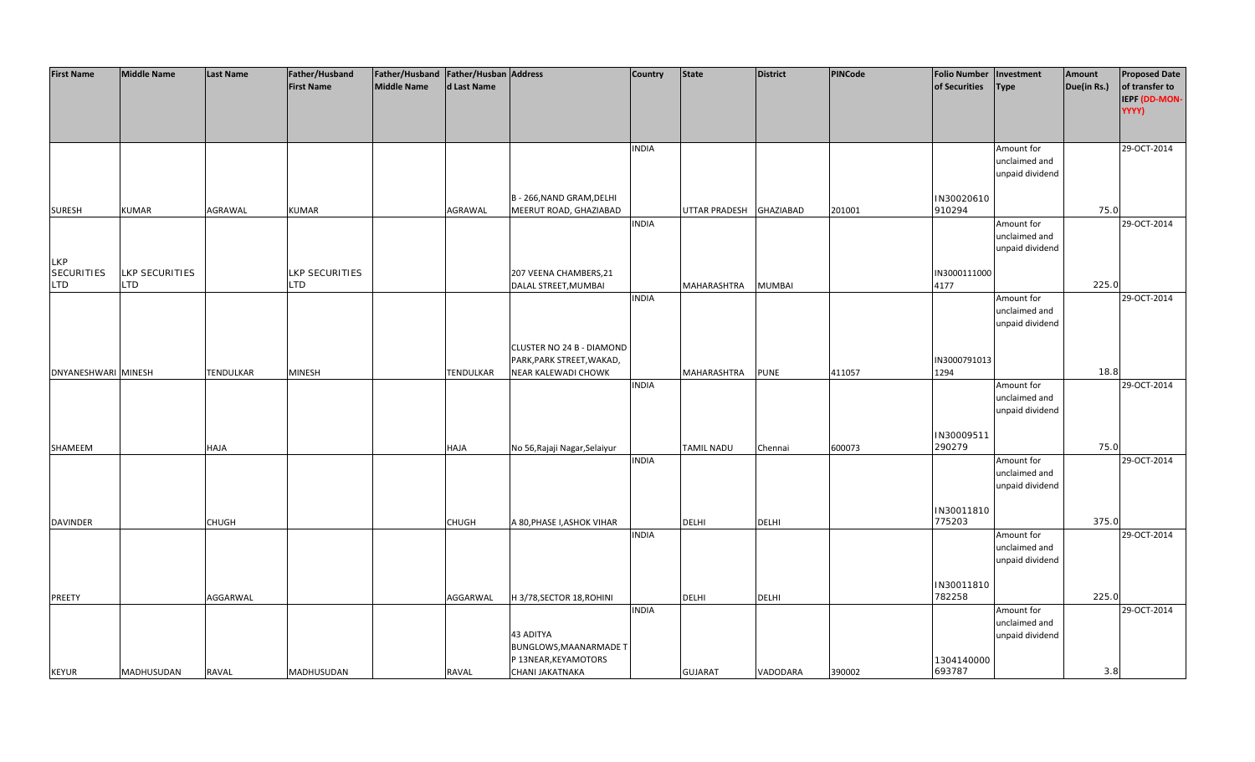| <b>First Name</b>   | <b>Middle Name</b> | <b>Last Name</b> | Father/Husband        | Father/Husband   Father/Husban   Address |                  |                               | <b>Country</b> | <b>State</b>      | <b>District</b> | <b>PINCode</b> | <b>Folio Number</b> | Investment      | Amount      | <b>Proposed Date</b> |
|---------------------|--------------------|------------------|-----------------------|------------------------------------------|------------------|-------------------------------|----------------|-------------------|-----------------|----------------|---------------------|-----------------|-------------|----------------------|
|                     |                    |                  | <b>First Name</b>     | <b>Middle Name</b>                       | d Last Name      |                               |                |                   |                 |                | of Securities       | <b>Type</b>     | Due(in Rs.) | of transfer to       |
|                     |                    |                  |                       |                                          |                  |                               |                |                   |                 |                |                     |                 |             | IEPF (DD-MON-        |
|                     |                    |                  |                       |                                          |                  |                               |                |                   |                 |                |                     |                 |             | YYYY)                |
|                     |                    |                  |                       |                                          |                  |                               |                |                   |                 |                |                     |                 |             |                      |
|                     |                    |                  |                       |                                          |                  |                               |                |                   |                 |                |                     |                 |             |                      |
|                     |                    |                  |                       |                                          |                  |                               | <b>INDIA</b>   |                   |                 |                |                     | Amount for      |             | 29-OCT-2014          |
|                     |                    |                  |                       |                                          |                  |                               |                |                   |                 |                |                     | unclaimed and   |             |                      |
|                     |                    |                  |                       |                                          |                  |                               |                |                   |                 |                |                     | unpaid dividend |             |                      |
|                     |                    |                  |                       |                                          |                  |                               |                |                   |                 |                |                     |                 |             |                      |
|                     |                    |                  |                       |                                          |                  | B - 266, NAND GRAM, DELHI     |                |                   |                 |                | IN30020610          |                 |             |                      |
| <b>SURESH</b>       | <b>KUMAR</b>       | AGRAWAL          | <b>KUMAR</b>          |                                          | AGRAWAL          | MEERUT ROAD, GHAZIABAD        |                | UTTAR PRADESH     | GHAZIABAD       | 201001         | 910294              |                 | 75.0        |                      |
|                     |                    |                  |                       |                                          |                  |                               | <b>INDIA</b>   |                   |                 |                |                     | Amount for      |             | 29-OCT-2014          |
|                     |                    |                  |                       |                                          |                  |                               |                |                   |                 |                |                     | unclaimed and   |             |                      |
|                     |                    |                  |                       |                                          |                  |                               |                |                   |                 |                |                     | unpaid dividend |             |                      |
| <b>LKP</b>          |                    |                  |                       |                                          |                  |                               |                |                   |                 |                |                     |                 |             |                      |
| <b>SECURITIES</b>   | LKP SECURITIES     |                  | <b>LKP SECURITIES</b> |                                          |                  | 207 VEENA CHAMBERS, 21        |                |                   |                 |                | IN3000111000        |                 |             |                      |
| <b>LTD</b>          | <b>LTD</b>         |                  | LTD.                  |                                          |                  | DALAL STREET, MUMBAI          |                | MAHARASHTRA       | <b>MUMBAI</b>   |                | 4177                |                 | 225.0       |                      |
|                     |                    |                  |                       |                                          |                  |                               | <b>INDIA</b>   |                   |                 |                |                     | Amount for      |             | 29-OCT-2014          |
|                     |                    |                  |                       |                                          |                  |                               |                |                   |                 |                |                     | unclaimed and   |             |                      |
|                     |                    |                  |                       |                                          |                  |                               |                |                   |                 |                |                     | unpaid dividend |             |                      |
|                     |                    |                  |                       |                                          |                  |                               |                |                   |                 |                |                     |                 |             |                      |
|                     |                    |                  |                       |                                          |                  | CLUSTER NO 24 B - DIAMOND     |                |                   |                 |                |                     |                 |             |                      |
|                     |                    |                  |                       |                                          |                  | PARK, PARK STREET, WAKAD,     |                |                   |                 |                | IN3000791013        |                 |             |                      |
| DNYANESHWARI MINESH |                    | <b>TENDULKAR</b> | <b>MINESH</b>         |                                          | <b>TENDULKAR</b> | <b>NEAR KALEWADI CHOWK</b>    |                | MAHARASHTRA       | <b>PUNE</b>     | 411057         | 1294                |                 | 18.8        |                      |
|                     |                    |                  |                       |                                          |                  |                               | <b>INDIA</b>   |                   |                 |                |                     | Amount for      |             | 29-OCT-2014          |
|                     |                    |                  |                       |                                          |                  |                               |                |                   |                 |                |                     | unclaimed and   |             |                      |
|                     |                    |                  |                       |                                          |                  |                               |                |                   |                 |                |                     | unpaid dividend |             |                      |
|                     |                    |                  |                       |                                          |                  |                               |                |                   |                 |                |                     |                 |             |                      |
|                     |                    |                  |                       |                                          |                  |                               |                |                   |                 |                | IN30009511          |                 |             |                      |
| SHAMEEM             |                    | HAJA             |                       |                                          | HAJA             | No 56, Rajaji Nagar, Selaiyur |                | <b>TAMIL NADU</b> | Chennai         | 600073         | 290279              |                 | 75.0        |                      |
|                     |                    |                  |                       |                                          |                  |                               | <b>INDIA</b>   |                   |                 |                |                     | Amount for      |             | 29-OCT-2014          |
|                     |                    |                  |                       |                                          |                  |                               |                |                   |                 |                |                     | unclaimed and   |             |                      |
|                     |                    |                  |                       |                                          |                  |                               |                |                   |                 |                |                     | unpaid dividend |             |                      |
|                     |                    |                  |                       |                                          |                  |                               |                |                   |                 |                |                     |                 |             |                      |
|                     |                    |                  |                       |                                          |                  |                               |                |                   |                 |                | IN30011810          |                 |             |                      |
| <b>DAVINDER</b>     |                    | <b>CHUGH</b>     |                       |                                          | <b>CHUGH</b>     | A 80, PHASE I, ASHOK VIHAR    |                | <b>DELHI</b>      | <b>DELHI</b>    |                | 775203              |                 | 375.0       |                      |
|                     |                    |                  |                       |                                          |                  |                               | <b>INDIA</b>   |                   |                 |                |                     | Amount for      |             | 29-OCT-2014          |
|                     |                    |                  |                       |                                          |                  |                               |                |                   |                 |                |                     | unclaimed and   |             |                      |
|                     |                    |                  |                       |                                          |                  |                               |                |                   |                 |                |                     | unpaid dividend |             |                      |
|                     |                    |                  |                       |                                          |                  |                               |                |                   |                 |                |                     |                 |             |                      |
|                     |                    |                  |                       |                                          |                  |                               |                |                   |                 |                | IN30011810          |                 |             |                      |
| PREETY              |                    | AGGARWAL         |                       |                                          | AGGARWAL         | H 3/78, SECTOR 18, ROHINI     |                | <b>DELHI</b>      | <b>DELHI</b>    |                | 782258              |                 | 225.0       |                      |
|                     |                    |                  |                       |                                          |                  |                               | <b>INDIA</b>   |                   |                 |                |                     | Amount for      |             | 29-OCT-2014          |
|                     |                    |                  |                       |                                          |                  |                               |                |                   |                 |                |                     | unclaimed and   |             |                      |
|                     |                    |                  |                       |                                          |                  | 43 ADITYA                     |                |                   |                 |                |                     | unpaid dividend |             |                      |
|                     |                    |                  |                       |                                          |                  | BUNGLOWS, MAANARMADE T        |                |                   |                 |                |                     |                 |             |                      |
|                     |                    |                  |                       |                                          |                  | P 13NEAR, KEYAMOTORS          |                |                   |                 |                | 1304140000          |                 |             |                      |
| <b>KEYUR</b>        | MADHUSUDAN         | <b>RAVAL</b>     | MADHUSUDAN            |                                          | <b>RAVAL</b>     | CHANI JAKATNAKA               |                | <b>GUJARAT</b>    | VADODARA        | 390002         | 693787              |                 | 3.8         |                      |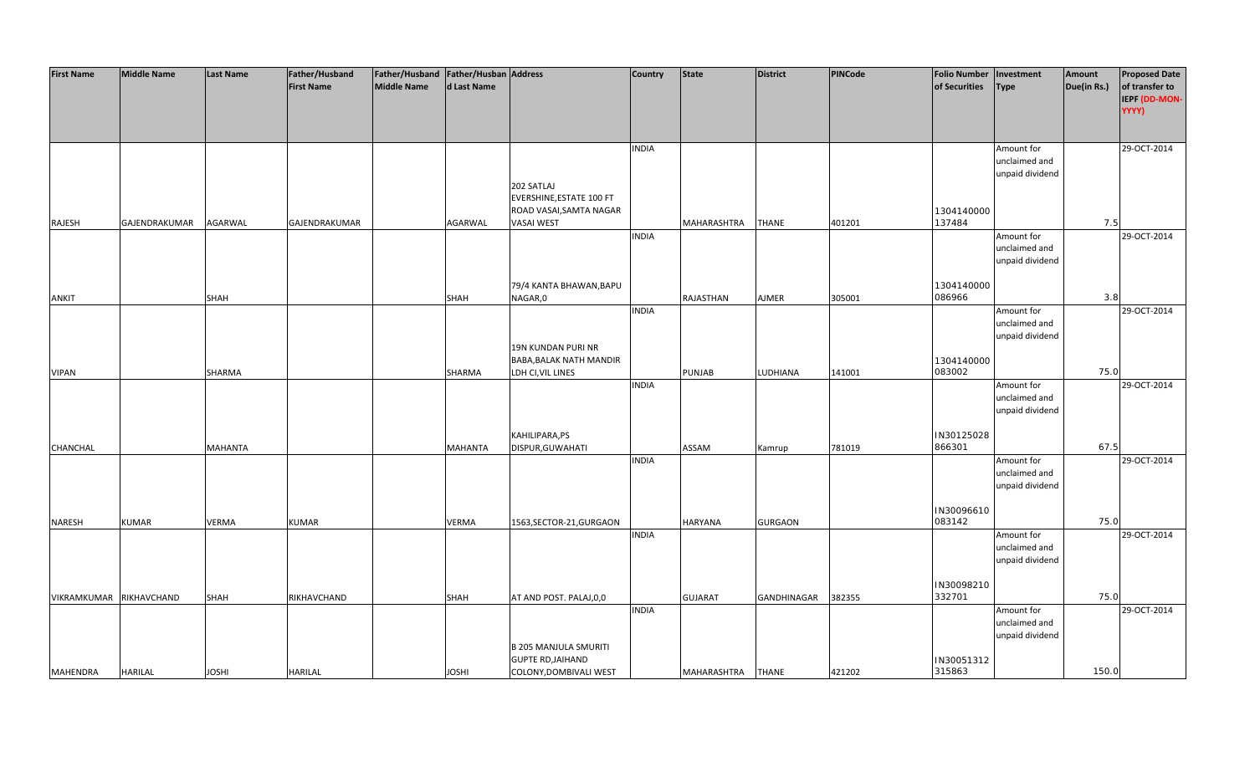| <b>First Name</b>       | <b>Middle Name</b> | Last Name    | Father/Husband    | Father/Husband   Father/Husban   Address |              |                              | <b>Country</b> | <b>State</b>      | <b>District</b> | <b>PINCode</b> | <b>Folio Number</b> | Investment                       | Amount      | <b>Proposed Date</b>            |
|-------------------------|--------------------|--------------|-------------------|------------------------------------------|--------------|------------------------------|----------------|-------------------|-----------------|----------------|---------------------|----------------------------------|-------------|---------------------------------|
|                         |                    |              | <b>First Name</b> | <b>Middle Name</b>                       | d Last Name  |                              |                |                   |                 |                | of Securities       | <b>Type</b>                      | Due(in Rs.) | of transfer to<br>IEPF (DD-MON- |
|                         |                    |              |                   |                                          |              |                              |                |                   |                 |                |                     |                                  |             | YYYY)                           |
|                         |                    |              |                   |                                          |              |                              |                |                   |                 |                |                     |                                  |             |                                 |
|                         |                    |              |                   |                                          |              |                              | <b>INDIA</b>   |                   |                 |                |                     | Amount for                       |             | 29-OCT-2014                     |
|                         |                    |              |                   |                                          |              |                              |                |                   |                 |                |                     | unclaimed and                    |             |                                 |
|                         |                    |              |                   |                                          |              | 202 SATLAJ                   |                |                   |                 |                |                     | unpaid dividend                  |             |                                 |
|                         |                    |              |                   |                                          |              | EVERSHINE, ESTATE 100 FT     |                |                   |                 |                |                     |                                  |             |                                 |
|                         |                    |              |                   |                                          |              | ROAD VASAI, SAMTA NAGAR      |                |                   |                 |                | 1304140000          |                                  |             |                                 |
| RAJESH                  | GAJENDRAKUMAR      | AGARWAL      | GAJENDRAKUMAR     |                                          | AGARWAL      | VASAI WEST                   |                | MAHARASHTRA       | <b>THANE</b>    | 401201         | 137484              |                                  | 7.5         |                                 |
|                         |                    |              |                   |                                          |              |                              | <b>INDIA</b>   |                   |                 |                |                     | Amount for                       |             | 29-OCT-2014                     |
|                         |                    |              |                   |                                          |              |                              |                |                   |                 |                |                     | unclaimed and<br>unpaid dividend |             |                                 |
|                         |                    |              |                   |                                          |              |                              |                |                   |                 |                |                     |                                  |             |                                 |
|                         |                    |              |                   |                                          |              | 79/4 KANTA BHAWAN, BAPU      |                |                   |                 |                | 1304140000          |                                  |             |                                 |
| <b>ANKIT</b>            |                    | SHAH         |                   |                                          | SHAH         | NAGAR,0                      |                | RAJASTHAN         | <b>AJMER</b>    | 305001         | 086966              |                                  | 3.8         |                                 |
|                         |                    |              |                   |                                          |              |                              | <b>INDIA</b>   |                   |                 |                |                     | Amount for                       |             | 29-OCT-2014                     |
|                         |                    |              |                   |                                          |              |                              |                |                   |                 |                |                     | unclaimed and<br>unpaid dividend |             |                                 |
|                         |                    |              |                   |                                          |              | 19N KUNDAN PURI NR           |                |                   |                 |                |                     |                                  |             |                                 |
|                         |                    |              |                   |                                          |              | BABA, BALAK NATH MANDIR      |                |                   |                 |                | 1304140000          |                                  |             |                                 |
| <b>VIPAN</b>            |                    | SHARMA       |                   |                                          | SHARMA       | LDH CI, VIL LINES            |                | PUNJAB            | LUDHIANA        | 141001         | 083002              |                                  | 75.0        |                                 |
|                         |                    |              |                   |                                          |              |                              | <b>INDIA</b>   |                   |                 |                |                     | Amount for                       |             | 29-OCT-2014                     |
|                         |                    |              |                   |                                          |              |                              |                |                   |                 |                |                     | unclaimed and<br>unpaid dividend |             |                                 |
|                         |                    |              |                   |                                          |              |                              |                |                   |                 |                |                     |                                  |             |                                 |
|                         |                    |              |                   |                                          |              | KAHILIPARA,PS                |                |                   |                 |                | IN30125028          |                                  |             |                                 |
| CHANCHAL                |                    | MAHANTA      |                   |                                          | MAHANTA      | DISPUR, GUWAHATI             |                | ASSAM             | Kamrup          | 781019         | 866301              |                                  | 67.5        |                                 |
|                         |                    |              |                   |                                          |              |                              | <b>INDIA</b>   |                   |                 |                |                     | Amount for                       |             | 29-OCT-2014                     |
|                         |                    |              |                   |                                          |              |                              |                |                   |                 |                |                     | unclaimed and<br>unpaid dividend |             |                                 |
|                         |                    |              |                   |                                          |              |                              |                |                   |                 |                |                     |                                  |             |                                 |
|                         |                    |              |                   |                                          |              |                              |                |                   |                 |                | IN30096610          |                                  |             |                                 |
| <b>NARESH</b>           | <b>KUMAR</b>       | <b>VERMA</b> | <b>KUMAR</b>      |                                          | <b>VERMA</b> | 1563, SECTOR-21, GURGAON     |                | <b>HARYANA</b>    | <b>GURGAON</b>  |                | 083142              |                                  | 75.0        |                                 |
|                         |                    |              |                   |                                          |              |                              | <b>INDIA</b>   |                   |                 |                |                     | Amount for                       |             | 29-OCT-2014                     |
|                         |                    |              |                   |                                          |              |                              |                |                   |                 |                |                     | unclaimed and<br>unpaid dividend |             |                                 |
|                         |                    |              |                   |                                          |              |                              |                |                   |                 |                |                     |                                  |             |                                 |
|                         |                    |              |                   |                                          |              |                              |                |                   |                 |                | IN30098210          |                                  |             |                                 |
| VIKRAMKUMAR RIKHAVCHAND |                    | SHAH         | RIKHAVCHAND       |                                          | SHAH         | AT AND POST. PALAJ,0,0       |                | <b>GUJARAT</b>    | GANDHINAGAR     | 382355         | 332701              |                                  | 75.0        |                                 |
|                         |                    |              |                   |                                          |              |                              | <b>INDIA</b>   |                   |                 |                |                     | Amount for                       |             | 29-OCT-2014                     |
|                         |                    |              |                   |                                          |              |                              |                |                   |                 |                |                     | unclaimed and<br>unpaid dividend |             |                                 |
|                         |                    |              |                   |                                          |              | <b>B 205 MANJULA SMURITI</b> |                |                   |                 |                |                     |                                  |             |                                 |
|                         |                    |              |                   |                                          |              | <b>GUPTE RD, JAIHAND</b>     |                |                   |                 |                | IN30051312          |                                  |             |                                 |
| <b>MAHENDRA</b>         | <b>HARILAL</b>     | <b>JOSHI</b> | <b>HARILAL</b>    |                                          | JOSHI        | COLONY, DOMBIVALI WEST       |                | MAHARASHTRA THANE |                 | 421202         | 315863              |                                  | 150.0       |                                 |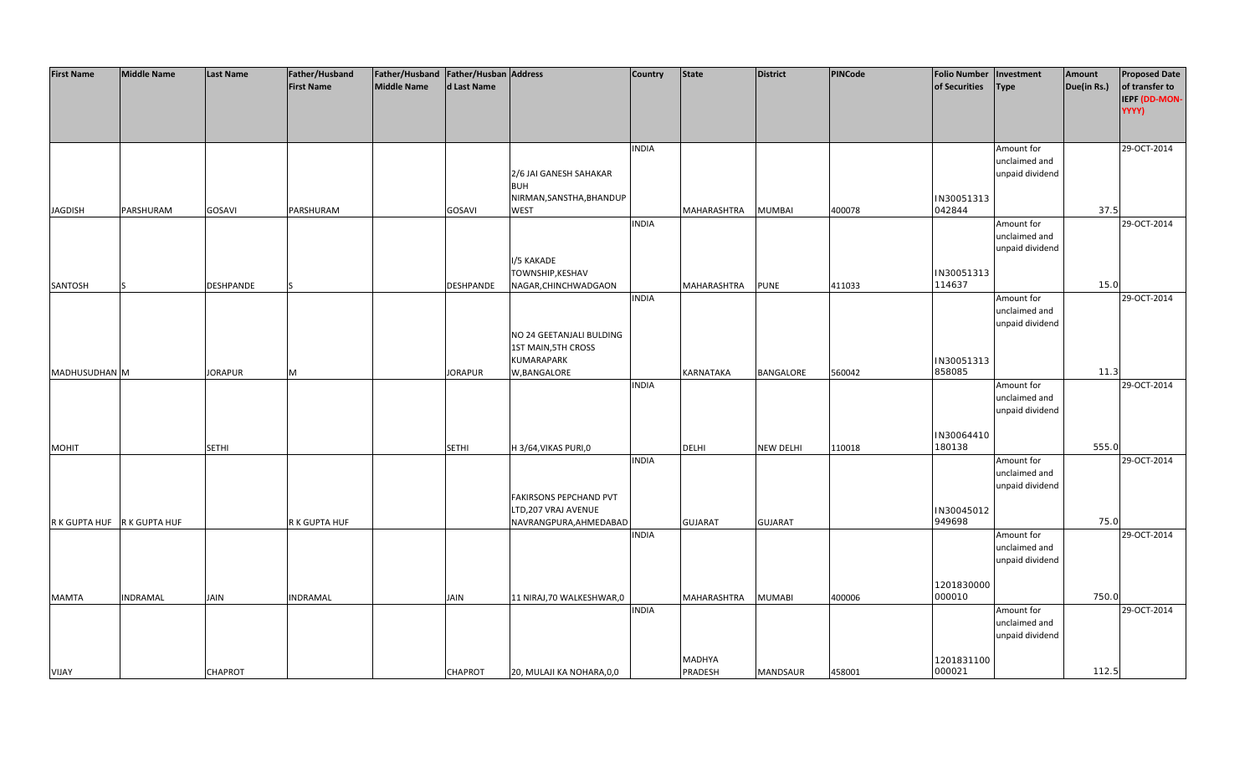| IEPF (DD-MON-<br>YYYY)<br><b>INDIA</b><br>Amount for<br>29-OCT-2014<br>unclaimed and<br>2/6 JAI GANESH SAHAKAR<br>unpaid dividend<br><b>BUH</b><br>NIRMAN, SANSTHA, BHANDUP<br>IN30051313<br>042844<br>37.5<br><b>JAGDISH</b><br>PARSHURAM<br>GOSAVI<br>PARSHURAM<br>GOSAVI<br>WEST<br>MAHARASHTRA<br><b>MUMBAI</b><br>400078<br>29-OCT-2014<br><b>INDIA</b><br>Amount for<br>unclaimed and<br>unpaid dividend<br>I/5 KAKADE<br>TOWNSHIP, KESHAV<br>IN30051313<br>15.0<br><b>DESHPANDE</b><br><b>PUNE</b><br>114637<br>SANTOSH<br>DESHPANDE<br>NAGAR, CHINCHWADGAON<br>MAHARASHTRA<br>411033<br><b>INDIA</b><br>29-OCT-2014<br>Amount for<br>unclaimed and<br>unpaid dividend<br>NO 24 GEETANJALI BULDING<br><b>1ST MAIN, 5TH CROSS</b><br>KUMARAPARK<br>IN30051313<br>858085<br>11.3<br>MADHUSUDHAN M<br><b>JORAPUR</b><br><b>JORAPUR</b><br>W, BANGALORE<br>KARNATAKA<br>BANGALORE<br>560042<br>M<br>29-OCT-2014<br><b>INDIA</b><br>Amount for<br>unclaimed and<br>unpaid dividend<br>IN30064410<br>555.0<br><b>DELHI</b><br>180138<br><b>SETHI</b><br><b>SETHI</b><br>H 3/64, VIKAS PURI, 0<br><b>NEW DELHI</b><br>110018<br><b>MOHIT</b><br><b>INDIA</b><br>Amount for<br>29-OCT-2014<br>unclaimed and<br>unpaid dividend<br>FAKIRSONS PEPCHAND PVT<br>LTD,207 VRAJ AVENUE<br>IN30045012<br>949698<br>75.0<br>R K GUPTA HUF<br>R K GUPTA HUF<br>NAVRANGPURA, AHMEDABAD<br><b>GUJARAT</b><br><b>GUJARAT</b><br>R K GUPTA HUF<br>29-OCT-2014<br><b>INDIA</b><br>Amount for<br>unclaimed and<br>unpaid dividend<br>1201830000<br>000010<br>750.0<br><b>MAMTA</b><br><b>INDRAMAL</b><br>JAIN<br><b>INDRAMAL</b><br>JAIN<br>11 NIRAJ, 70 WALKESHWAR, 0<br>MAHARASHTRA<br><b>MUMABI</b><br>400006<br>Amount for<br>29-OCT-2014<br><b>INDIA</b><br>unclaimed and<br>unpaid dividend<br>1201831100<br>MADHYA | <b>First Name</b> | <b>Middle Name</b> | Last Name      | Father/Husband<br><b>First Name</b> | Father/Husband   Father/Husban   Address<br><b>Middle Name</b> | d Last Name    |                           | <b>Country</b> | <b>State</b>   | <b>District</b> | <b>PINCode</b> | <b>Folio Number</b><br>of Securities | Investment<br><b>Type</b> | Amount<br>Due(in Rs.) | <b>Proposed Date</b><br>of transfer to |
|----------------------------------------------------------------------------------------------------------------------------------------------------------------------------------------------------------------------------------------------------------------------------------------------------------------------------------------------------------------------------------------------------------------------------------------------------------------------------------------------------------------------------------------------------------------------------------------------------------------------------------------------------------------------------------------------------------------------------------------------------------------------------------------------------------------------------------------------------------------------------------------------------------------------------------------------------------------------------------------------------------------------------------------------------------------------------------------------------------------------------------------------------------------------------------------------------------------------------------------------------------------------------------------------------------------------------------------------------------------------------------------------------------------------------------------------------------------------------------------------------------------------------------------------------------------------------------------------------------------------------------------------------------------------------------------------------------------------------------------------------------------------------------------------------------|-------------------|--------------------|----------------|-------------------------------------|----------------------------------------------------------------|----------------|---------------------------|----------------|----------------|-----------------|----------------|--------------------------------------|---------------------------|-----------------------|----------------------------------------|
|                                                                                                                                                                                                                                                                                                                                                                                                                                                                                                                                                                                                                                                                                                                                                                                                                                                                                                                                                                                                                                                                                                                                                                                                                                                                                                                                                                                                                                                                                                                                                                                                                                                                                                                                                                                                          |                   |                    |                |                                     |                                                                |                |                           |                |                |                 |                |                                      |                           |                       |                                        |
|                                                                                                                                                                                                                                                                                                                                                                                                                                                                                                                                                                                                                                                                                                                                                                                                                                                                                                                                                                                                                                                                                                                                                                                                                                                                                                                                                                                                                                                                                                                                                                                                                                                                                                                                                                                                          |                   |                    |                |                                     |                                                                |                |                           |                |                |                 |                |                                      |                           |                       |                                        |
|                                                                                                                                                                                                                                                                                                                                                                                                                                                                                                                                                                                                                                                                                                                                                                                                                                                                                                                                                                                                                                                                                                                                                                                                                                                                                                                                                                                                                                                                                                                                                                                                                                                                                                                                                                                                          |                   |                    |                |                                     |                                                                |                |                           |                |                |                 |                |                                      |                           |                       |                                        |
|                                                                                                                                                                                                                                                                                                                                                                                                                                                                                                                                                                                                                                                                                                                                                                                                                                                                                                                                                                                                                                                                                                                                                                                                                                                                                                                                                                                                                                                                                                                                                                                                                                                                                                                                                                                                          |                   |                    |                |                                     |                                                                |                |                           |                |                |                 |                |                                      |                           |                       |                                        |
|                                                                                                                                                                                                                                                                                                                                                                                                                                                                                                                                                                                                                                                                                                                                                                                                                                                                                                                                                                                                                                                                                                                                                                                                                                                                                                                                                                                                                                                                                                                                                                                                                                                                                                                                                                                                          |                   |                    |                |                                     |                                                                |                |                           |                |                |                 |                |                                      |                           |                       |                                        |
|                                                                                                                                                                                                                                                                                                                                                                                                                                                                                                                                                                                                                                                                                                                                                                                                                                                                                                                                                                                                                                                                                                                                                                                                                                                                                                                                                                                                                                                                                                                                                                                                                                                                                                                                                                                                          |                   |                    |                |                                     |                                                                |                |                           |                |                |                 |                |                                      |                           |                       |                                        |
|                                                                                                                                                                                                                                                                                                                                                                                                                                                                                                                                                                                                                                                                                                                                                                                                                                                                                                                                                                                                                                                                                                                                                                                                                                                                                                                                                                                                                                                                                                                                                                                                                                                                                                                                                                                                          |                   |                    |                |                                     |                                                                |                |                           |                |                |                 |                |                                      |                           |                       |                                        |
|                                                                                                                                                                                                                                                                                                                                                                                                                                                                                                                                                                                                                                                                                                                                                                                                                                                                                                                                                                                                                                                                                                                                                                                                                                                                                                                                                                                                                                                                                                                                                                                                                                                                                                                                                                                                          |                   |                    |                |                                     |                                                                |                |                           |                |                |                 |                |                                      |                           |                       |                                        |
|                                                                                                                                                                                                                                                                                                                                                                                                                                                                                                                                                                                                                                                                                                                                                                                                                                                                                                                                                                                                                                                                                                                                                                                                                                                                                                                                                                                                                                                                                                                                                                                                                                                                                                                                                                                                          |                   |                    |                |                                     |                                                                |                |                           |                |                |                 |                |                                      |                           |                       |                                        |
|                                                                                                                                                                                                                                                                                                                                                                                                                                                                                                                                                                                                                                                                                                                                                                                                                                                                                                                                                                                                                                                                                                                                                                                                                                                                                                                                                                                                                                                                                                                                                                                                                                                                                                                                                                                                          |                   |                    |                |                                     |                                                                |                |                           |                |                |                 |                |                                      |                           |                       |                                        |
|                                                                                                                                                                                                                                                                                                                                                                                                                                                                                                                                                                                                                                                                                                                                                                                                                                                                                                                                                                                                                                                                                                                                                                                                                                                                                                                                                                                                                                                                                                                                                                                                                                                                                                                                                                                                          |                   |                    |                |                                     |                                                                |                |                           |                |                |                 |                |                                      |                           |                       |                                        |
|                                                                                                                                                                                                                                                                                                                                                                                                                                                                                                                                                                                                                                                                                                                                                                                                                                                                                                                                                                                                                                                                                                                                                                                                                                                                                                                                                                                                                                                                                                                                                                                                                                                                                                                                                                                                          |                   |                    |                |                                     |                                                                |                |                           |                |                |                 |                |                                      |                           |                       |                                        |
|                                                                                                                                                                                                                                                                                                                                                                                                                                                                                                                                                                                                                                                                                                                                                                                                                                                                                                                                                                                                                                                                                                                                                                                                                                                                                                                                                                                                                                                                                                                                                                                                                                                                                                                                                                                                          |                   |                    |                |                                     |                                                                |                |                           |                |                |                 |                |                                      |                           |                       |                                        |
|                                                                                                                                                                                                                                                                                                                                                                                                                                                                                                                                                                                                                                                                                                                                                                                                                                                                                                                                                                                                                                                                                                                                                                                                                                                                                                                                                                                                                                                                                                                                                                                                                                                                                                                                                                                                          |                   |                    |                |                                     |                                                                |                |                           |                |                |                 |                |                                      |                           |                       |                                        |
|                                                                                                                                                                                                                                                                                                                                                                                                                                                                                                                                                                                                                                                                                                                                                                                                                                                                                                                                                                                                                                                                                                                                                                                                                                                                                                                                                                                                                                                                                                                                                                                                                                                                                                                                                                                                          |                   |                    |                |                                     |                                                                |                |                           |                |                |                 |                |                                      |                           |                       |                                        |
|                                                                                                                                                                                                                                                                                                                                                                                                                                                                                                                                                                                                                                                                                                                                                                                                                                                                                                                                                                                                                                                                                                                                                                                                                                                                                                                                                                                                                                                                                                                                                                                                                                                                                                                                                                                                          |                   |                    |                |                                     |                                                                |                |                           |                |                |                 |                |                                      |                           |                       |                                        |
|                                                                                                                                                                                                                                                                                                                                                                                                                                                                                                                                                                                                                                                                                                                                                                                                                                                                                                                                                                                                                                                                                                                                                                                                                                                                                                                                                                                                                                                                                                                                                                                                                                                                                                                                                                                                          |                   |                    |                |                                     |                                                                |                |                           |                |                |                 |                |                                      |                           |                       |                                        |
|                                                                                                                                                                                                                                                                                                                                                                                                                                                                                                                                                                                                                                                                                                                                                                                                                                                                                                                                                                                                                                                                                                                                                                                                                                                                                                                                                                                                                                                                                                                                                                                                                                                                                                                                                                                                          |                   |                    |                |                                     |                                                                |                |                           |                |                |                 |                |                                      |                           |                       |                                        |
|                                                                                                                                                                                                                                                                                                                                                                                                                                                                                                                                                                                                                                                                                                                                                                                                                                                                                                                                                                                                                                                                                                                                                                                                                                                                                                                                                                                                                                                                                                                                                                                                                                                                                                                                                                                                          |                   |                    |                |                                     |                                                                |                |                           |                |                |                 |                |                                      |                           |                       |                                        |
|                                                                                                                                                                                                                                                                                                                                                                                                                                                                                                                                                                                                                                                                                                                                                                                                                                                                                                                                                                                                                                                                                                                                                                                                                                                                                                                                                                                                                                                                                                                                                                                                                                                                                                                                                                                                          |                   |                    |                |                                     |                                                                |                |                           |                |                |                 |                |                                      |                           |                       |                                        |
|                                                                                                                                                                                                                                                                                                                                                                                                                                                                                                                                                                                                                                                                                                                                                                                                                                                                                                                                                                                                                                                                                                                                                                                                                                                                                                                                                                                                                                                                                                                                                                                                                                                                                                                                                                                                          |                   |                    |                |                                     |                                                                |                |                           |                |                |                 |                |                                      |                           |                       |                                        |
|                                                                                                                                                                                                                                                                                                                                                                                                                                                                                                                                                                                                                                                                                                                                                                                                                                                                                                                                                                                                                                                                                                                                                                                                                                                                                                                                                                                                                                                                                                                                                                                                                                                                                                                                                                                                          |                   |                    |                |                                     |                                                                |                |                           |                |                |                 |                |                                      |                           |                       |                                        |
|                                                                                                                                                                                                                                                                                                                                                                                                                                                                                                                                                                                                                                                                                                                                                                                                                                                                                                                                                                                                                                                                                                                                                                                                                                                                                                                                                                                                                                                                                                                                                                                                                                                                                                                                                                                                          |                   |                    |                |                                     |                                                                |                |                           |                |                |                 |                |                                      |                           |                       |                                        |
|                                                                                                                                                                                                                                                                                                                                                                                                                                                                                                                                                                                                                                                                                                                                                                                                                                                                                                                                                                                                                                                                                                                                                                                                                                                                                                                                                                                                                                                                                                                                                                                                                                                                                                                                                                                                          |                   |                    |                |                                     |                                                                |                |                           |                |                |                 |                |                                      |                           |                       |                                        |
|                                                                                                                                                                                                                                                                                                                                                                                                                                                                                                                                                                                                                                                                                                                                                                                                                                                                                                                                                                                                                                                                                                                                                                                                                                                                                                                                                                                                                                                                                                                                                                                                                                                                                                                                                                                                          |                   |                    |                |                                     |                                                                |                |                           |                |                |                 |                |                                      |                           |                       |                                        |
|                                                                                                                                                                                                                                                                                                                                                                                                                                                                                                                                                                                                                                                                                                                                                                                                                                                                                                                                                                                                                                                                                                                                                                                                                                                                                                                                                                                                                                                                                                                                                                                                                                                                                                                                                                                                          |                   |                    |                |                                     |                                                                |                |                           |                |                |                 |                |                                      |                           |                       |                                        |
|                                                                                                                                                                                                                                                                                                                                                                                                                                                                                                                                                                                                                                                                                                                                                                                                                                                                                                                                                                                                                                                                                                                                                                                                                                                                                                                                                                                                                                                                                                                                                                                                                                                                                                                                                                                                          |                   |                    |                |                                     |                                                                |                |                           |                |                |                 |                |                                      |                           |                       |                                        |
|                                                                                                                                                                                                                                                                                                                                                                                                                                                                                                                                                                                                                                                                                                                                                                                                                                                                                                                                                                                                                                                                                                                                                                                                                                                                                                                                                                                                                                                                                                                                                                                                                                                                                                                                                                                                          |                   |                    |                |                                     |                                                                |                |                           |                |                |                 |                |                                      |                           |                       |                                        |
|                                                                                                                                                                                                                                                                                                                                                                                                                                                                                                                                                                                                                                                                                                                                                                                                                                                                                                                                                                                                                                                                                                                                                                                                                                                                                                                                                                                                                                                                                                                                                                                                                                                                                                                                                                                                          |                   |                    |                |                                     |                                                                |                |                           |                |                |                 |                |                                      |                           |                       |                                        |
|                                                                                                                                                                                                                                                                                                                                                                                                                                                                                                                                                                                                                                                                                                                                                                                                                                                                                                                                                                                                                                                                                                                                                                                                                                                                                                                                                                                                                                                                                                                                                                                                                                                                                                                                                                                                          |                   |                    |                |                                     |                                                                |                |                           |                |                |                 |                |                                      |                           |                       |                                        |
|                                                                                                                                                                                                                                                                                                                                                                                                                                                                                                                                                                                                                                                                                                                                                                                                                                                                                                                                                                                                                                                                                                                                                                                                                                                                                                                                                                                                                                                                                                                                                                                                                                                                                                                                                                                                          |                   |                    |                |                                     |                                                                |                |                           |                |                |                 |                |                                      |                           |                       |                                        |
|                                                                                                                                                                                                                                                                                                                                                                                                                                                                                                                                                                                                                                                                                                                                                                                                                                                                                                                                                                                                                                                                                                                                                                                                                                                                                                                                                                                                                                                                                                                                                                                                                                                                                                                                                                                                          |                   |                    |                |                                     |                                                                |                |                           |                |                |                 |                |                                      |                           |                       |                                        |
|                                                                                                                                                                                                                                                                                                                                                                                                                                                                                                                                                                                                                                                                                                                                                                                                                                                                                                                                                                                                                                                                                                                                                                                                                                                                                                                                                                                                                                                                                                                                                                                                                                                                                                                                                                                                          |                   |                    |                |                                     |                                                                |                |                           |                |                |                 |                |                                      |                           |                       |                                        |
|                                                                                                                                                                                                                                                                                                                                                                                                                                                                                                                                                                                                                                                                                                                                                                                                                                                                                                                                                                                                                                                                                                                                                                                                                                                                                                                                                                                                                                                                                                                                                                                                                                                                                                                                                                                                          |                   |                    |                |                                     |                                                                |                |                           |                |                |                 |                |                                      |                           |                       |                                        |
|                                                                                                                                                                                                                                                                                                                                                                                                                                                                                                                                                                                                                                                                                                                                                                                                                                                                                                                                                                                                                                                                                                                                                                                                                                                                                                                                                                                                                                                                                                                                                                                                                                                                                                                                                                                                          |                   |                    |                |                                     |                                                                |                |                           |                |                |                 |                |                                      |                           |                       |                                        |
|                                                                                                                                                                                                                                                                                                                                                                                                                                                                                                                                                                                                                                                                                                                                                                                                                                                                                                                                                                                                                                                                                                                                                                                                                                                                                                                                                                                                                                                                                                                                                                                                                                                                                                                                                                                                          |                   |                    |                |                                     |                                                                |                |                           |                |                |                 |                |                                      |                           |                       |                                        |
|                                                                                                                                                                                                                                                                                                                                                                                                                                                                                                                                                                                                                                                                                                                                                                                                                                                                                                                                                                                                                                                                                                                                                                                                                                                                                                                                                                                                                                                                                                                                                                                                                                                                                                                                                                                                          | VIJAY             |                    | <b>CHAPROT</b> |                                     |                                                                | <b>CHAPROT</b> | 20, MULAJI KA NOHARA, 0,0 |                | <b>PRADESH</b> | MANDSAUR        | 458001         | 000021                               |                           | 112.5                 |                                        |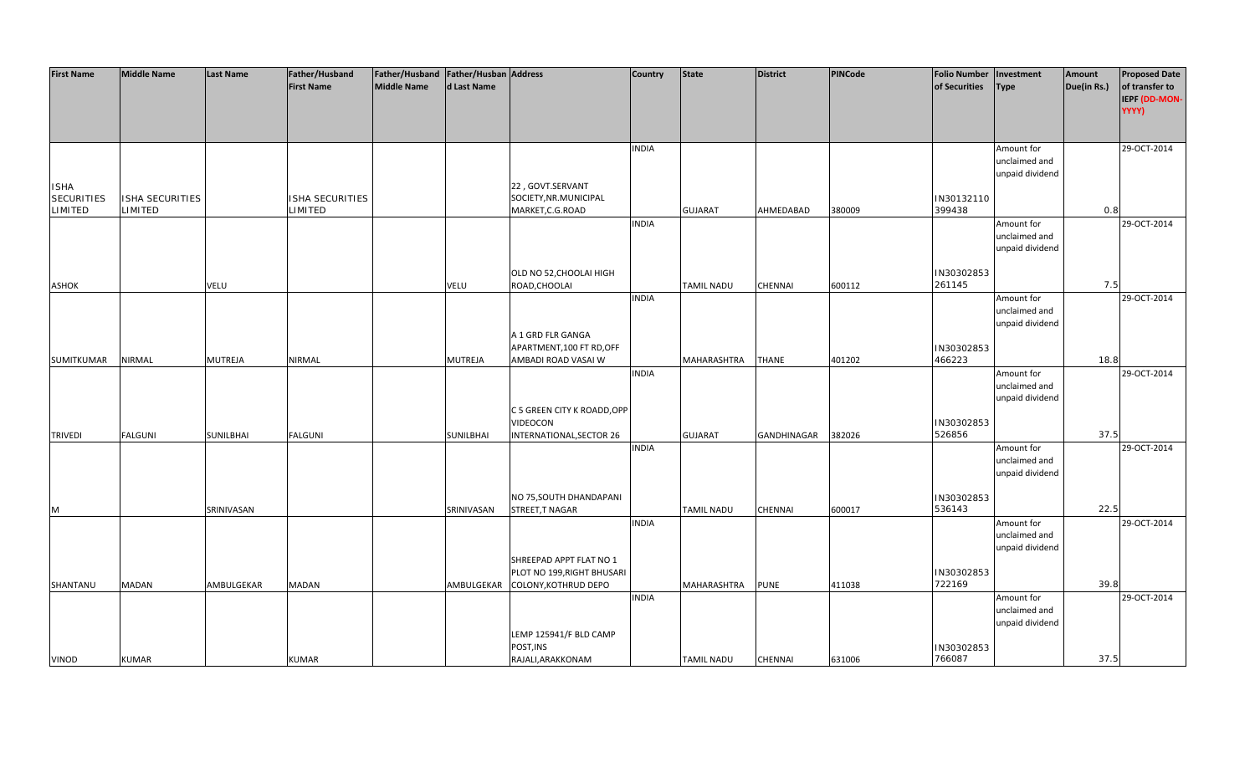| <b>First Name</b> | <b>Middle Name</b> | <b>Last Name</b> | Father/Husband    | Father/Husband   Father/Husban   Address |                  |                             | <b>Country</b> | State             | <b>District</b> | PINCode | <b>Folio Number</b> | Investment      | Amount      | <b>Proposed Date</b> |
|-------------------|--------------------|------------------|-------------------|------------------------------------------|------------------|-----------------------------|----------------|-------------------|-----------------|---------|---------------------|-----------------|-------------|----------------------|
|                   |                    |                  | <b>First Name</b> | <b>Middle Name</b>                       | d Last Name      |                             |                |                   |                 |         | of Securities       | <b>Type</b>     | Due(in Rs.) | of transfer to       |
|                   |                    |                  |                   |                                          |                  |                             |                |                   |                 |         |                     |                 |             | IEPF (DD-MON-        |
|                   |                    |                  |                   |                                          |                  |                             |                |                   |                 |         |                     |                 |             | YYYY)                |
|                   |                    |                  |                   |                                          |                  |                             |                |                   |                 |         |                     |                 |             |                      |
|                   |                    |                  |                   |                                          |                  |                             |                |                   |                 |         |                     |                 |             |                      |
|                   |                    |                  |                   |                                          |                  |                             | <b>INDIA</b>   |                   |                 |         |                     |                 |             | 29-OCT-2014          |
|                   |                    |                  |                   |                                          |                  |                             |                |                   |                 |         |                     | Amount for      |             |                      |
|                   |                    |                  |                   |                                          |                  |                             |                |                   |                 |         |                     | unclaimed and   |             |                      |
|                   |                    |                  |                   |                                          |                  |                             |                |                   |                 |         |                     | unpaid dividend |             |                      |
| <b>ISHA</b>       |                    |                  |                   |                                          |                  | 22, GOVT.SERVANT            |                |                   |                 |         |                     |                 |             |                      |
| <b>SECURITIES</b> | ISHA SECURITIES    |                  | ISHA SECURITIES   |                                          |                  | SOCIETY, NR. MUNICIPAL      |                |                   |                 |         | IN30132110          |                 |             |                      |
| <b>LIMITED</b>    | LIMITED            |                  | LIMITED           |                                          |                  | MARKET, C.G. ROAD           |                | <b>GUJARAT</b>    | AHMEDABAD       | 380009  | 399438              |                 | 0.8         |                      |
|                   |                    |                  |                   |                                          |                  |                             | <b>INDIA</b>   |                   |                 |         |                     | Amount for      |             | 29-OCT-2014          |
|                   |                    |                  |                   |                                          |                  |                             |                |                   |                 |         |                     | unclaimed and   |             |                      |
|                   |                    |                  |                   |                                          |                  |                             |                |                   |                 |         |                     | unpaid dividend |             |                      |
|                   |                    |                  |                   |                                          |                  |                             |                |                   |                 |         |                     |                 |             |                      |
|                   |                    |                  |                   |                                          |                  | OLD NO 52, CHOOLAI HIGH     |                |                   |                 |         | IN30302853          |                 |             |                      |
| <b>ASHOK</b>      |                    | <b>VELU</b>      |                   |                                          | VELU             | ROAD, CHOOLAI               |                | <b>TAMIL NADU</b> | <b>CHENNAI</b>  | 600112  | 261145              |                 | 7.5         |                      |
|                   |                    |                  |                   |                                          |                  |                             | <b>INDIA</b>   |                   |                 |         |                     | Amount for      |             | 29-OCT-2014          |
|                   |                    |                  |                   |                                          |                  |                             |                |                   |                 |         |                     | unclaimed and   |             |                      |
|                   |                    |                  |                   |                                          |                  |                             |                |                   |                 |         |                     | unpaid dividend |             |                      |
|                   |                    |                  |                   |                                          |                  | A 1 GRD FLR GANGA           |                |                   |                 |         |                     |                 |             |                      |
|                   |                    |                  |                   |                                          |                  | APARTMENT, 100 FT RD, OFF   |                |                   |                 |         | IN30302853          |                 |             |                      |
| SUMITKUMAR        | <b>NIRMAL</b>      | <b>MUTREJA</b>   | <b>NIRMAL</b>     |                                          | <b>MUTREJA</b>   | AMBADI ROAD VASAI W         |                | MAHARASHTRA       | <b>THANE</b>    | 401202  | 466223              |                 | 18.8        |                      |
|                   |                    |                  |                   |                                          |                  |                             | <b>INDIA</b>   |                   |                 |         |                     | Amount for      |             | 29-OCT-2014          |
|                   |                    |                  |                   |                                          |                  |                             |                |                   |                 |         |                     | unclaimed and   |             |                      |
|                   |                    |                  |                   |                                          |                  |                             |                |                   |                 |         |                     |                 |             |                      |
|                   |                    |                  |                   |                                          |                  |                             |                |                   |                 |         |                     | unpaid dividend |             |                      |
|                   |                    |                  |                   |                                          |                  | C 5 GREEN CITY K ROADD, OPP |                |                   |                 |         |                     |                 |             |                      |
|                   |                    |                  |                   |                                          |                  | VIDEOCON                    |                |                   |                 |         | IN30302853          |                 |             |                      |
| <b>TRIVEDI</b>    | <b>FALGUNI</b>     | SUNILBHAI        | <b>FALGUNI</b>    |                                          | <b>SUNILBHAI</b> | INTERNATIONAL, SECTOR 26    |                | <b>GUJARAT</b>    | GANDHINAGAR     | 382026  | 526856              |                 | 37.5        |                      |
|                   |                    |                  |                   |                                          |                  |                             | <b>INDIA</b>   |                   |                 |         |                     | Amount for      |             | 29-OCT-2014          |
|                   |                    |                  |                   |                                          |                  |                             |                |                   |                 |         |                     | unclaimed and   |             |                      |
|                   |                    |                  |                   |                                          |                  |                             |                |                   |                 |         |                     | unpaid dividend |             |                      |
|                   |                    |                  |                   |                                          |                  |                             |                |                   |                 |         |                     |                 |             |                      |
|                   |                    |                  |                   |                                          |                  | NO 75, SOUTH DHANDAPANI     |                |                   |                 |         | IN30302853          |                 |             |                      |
| M                 |                    | SRINIVASAN       |                   |                                          | SRINIVASAN       | STREET, TNAGAR              |                | <b>TAMIL NADU</b> | <b>CHENNAI</b>  | 600017  | 536143              |                 | 22.5        |                      |
|                   |                    |                  |                   |                                          |                  |                             | <b>INDIA</b>   |                   |                 |         |                     | Amount for      |             | 29-OCT-2014          |
|                   |                    |                  |                   |                                          |                  |                             |                |                   |                 |         |                     | unclaimed and   |             |                      |
|                   |                    |                  |                   |                                          |                  |                             |                |                   |                 |         |                     | unpaid dividend |             |                      |
|                   |                    |                  |                   |                                          |                  | SHREEPAD APPT FLAT NO 1     |                |                   |                 |         |                     |                 |             |                      |
|                   |                    |                  |                   |                                          |                  | PLOT NO 199, RIGHT BHUSARI  |                |                   |                 |         | IN30302853          |                 |             |                      |
| SHANTANU          | <b>MADAN</b>       | AMBULGEKAR       | <b>MADAN</b>      |                                          | AMBULGEKAR       | <b>COLONY, KOTHRUD DEPO</b> |                | MAHARASHTRA       | <b>PUNE</b>     | 411038  | 722169              |                 | 39.8        |                      |
|                   |                    |                  |                   |                                          |                  |                             | <b>INDIA</b>   |                   |                 |         |                     | Amount for      |             | 29-OCT-2014          |
|                   |                    |                  |                   |                                          |                  |                             |                |                   |                 |         |                     | unclaimed and   |             |                      |
|                   |                    |                  |                   |                                          |                  |                             |                |                   |                 |         |                     | unpaid dividend |             |                      |
|                   |                    |                  |                   |                                          |                  | LEMP 125941/F BLD CAMP      |                |                   |                 |         |                     |                 |             |                      |
|                   |                    |                  |                   |                                          |                  | POST, INS                   |                |                   |                 |         | IN30302853          |                 |             |                      |
| <b>VINOD</b>      | <b>KUMAR</b>       |                  | <b>KUMAR</b>      |                                          |                  | RAJALI, ARAKKONAM           |                | <b>TAMIL NADU</b> | CHENNAI         | 631006  | 766087              |                 | 37.5        |                      |
|                   |                    |                  |                   |                                          |                  |                             |                |                   |                 |         |                     |                 |             |                      |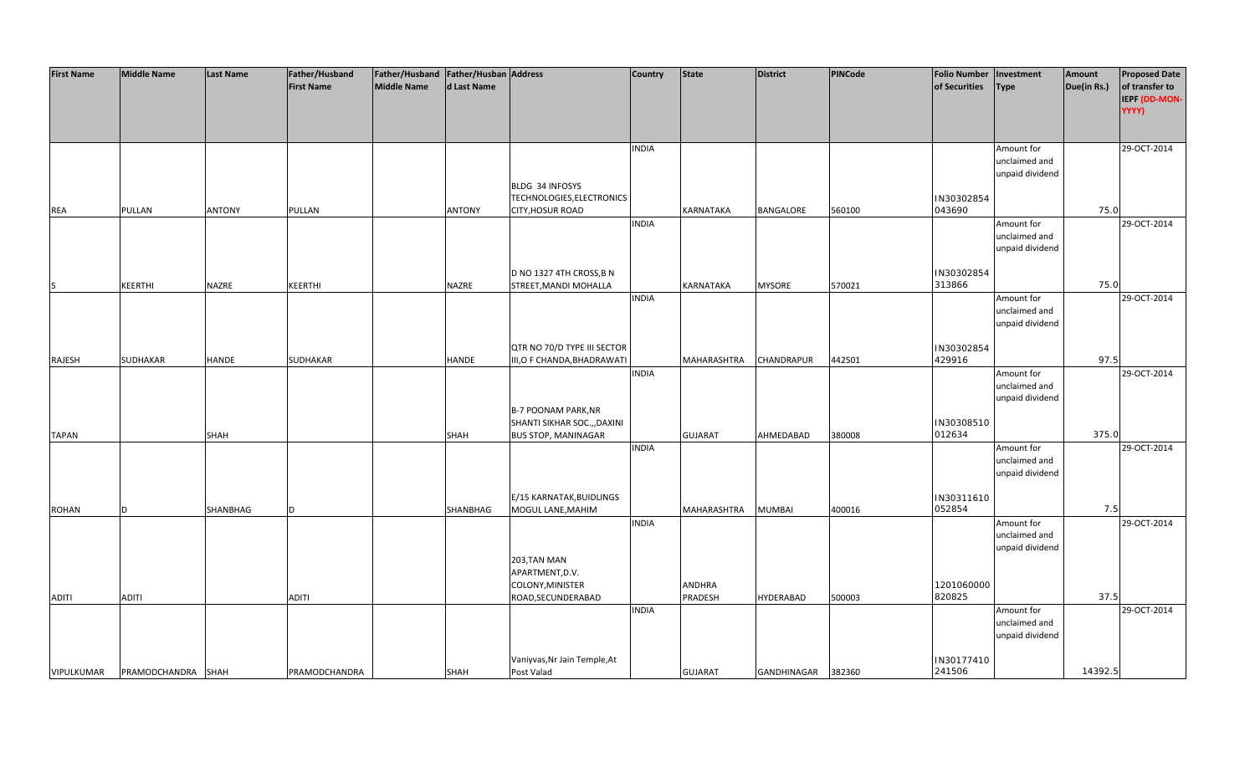| <b>First Name</b> | <b>Middle Name</b> | <b>Last Name</b> | Father/Husband<br><b>First Name</b> | Father/Husband   Father/Husban   Address<br>Middle Name | d Last Name   |                                                            | <b>Country</b> | <b>State</b>   | <b>District</b>  | <b>PINCode</b> | <b>Folio Number</b><br>of Securities | Investment                                     | Amount<br>Due(in Rs.) | <b>Proposed Date</b><br>of transfer to |
|-------------------|--------------------|------------------|-------------------------------------|---------------------------------------------------------|---------------|------------------------------------------------------------|----------------|----------------|------------------|----------------|--------------------------------------|------------------------------------------------|-----------------------|----------------------------------------|
|                   |                    |                  |                                     |                                                         |               |                                                            |                |                |                  |                |                                      | <b>Type</b>                                    |                       | IEPF (DD-MON-<br>YYYY)                 |
|                   |                    |                  |                                     |                                                         |               |                                                            | <b>INDIA</b>   |                |                  |                |                                      | Amount for<br>unclaimed and<br>unpaid dividend |                       | 29-OCT-2014                            |
|                   |                    |                  |                                     |                                                         |               | BLDG 34 INFOSYS<br>TECHNOLOGIES, ELECTRONICS               |                |                |                  |                | IN30302854<br>043690                 |                                                | 75.0                  |                                        |
| <b>REA</b>        | PULLAN             | ANTONY           | PULLAN                              |                                                         | <b>ANTONY</b> | CITY, HOSUR ROAD                                           | <b>INDIA</b>   | KARNATAKA      | BANGALORE        | 560100         |                                      | Amount for<br>unclaimed and<br>unpaid dividend |                       | 29-OCT-2014                            |
| IS                | <b>KEERTHI</b>     | NAZRE            | <b>KEERTHI</b>                      |                                                         | NAZRE         | D NO 1327 4TH CROSS, B N<br>STREET, MANDI MOHALLA          |                | KARNATAKA      | <b>MYSORE</b>    | 570021         | IN30302854<br>313866                 |                                                | 75.C                  |                                        |
|                   |                    |                  |                                     |                                                         |               |                                                            | <b>INDIA</b>   |                |                  |                |                                      | Amount for<br>unclaimed and<br>unpaid dividend |                       | 29-OCT-2014                            |
| RAJESH            | SUDHAKAR           | HANDE            | SUDHAKAR                            |                                                         | <b>HANDE</b>  | QTR NO 70/D TYPE III SECTOR<br>III, O F CHANDA, BHADRAWATI |                | MAHARASHTRA    | CHANDRAPUR       | 442501         | IN30302854<br>429916                 |                                                | 97.5                  |                                        |
|                   |                    |                  |                                     |                                                         |               | <b>B-7 POONAM PARK, NR</b>                                 | <b>INDIA</b>   |                |                  |                |                                      | Amount for<br>unclaimed and<br>unpaid dividend |                       | 29-OCT-2014                            |
| <b>TAPAN</b>      |                    | SHAH             |                                     |                                                         | SHAH          | SHANTI SIKHAR SOC., , DAXINI<br><b>BUS STOP, MANINAGAR</b> |                | <b>GUJARAT</b> | AHMEDABAD        | 380008         | IN30308510<br>012634                 |                                                | 375.0                 |                                        |
|                   |                    |                  |                                     |                                                         |               |                                                            | <b>INDIA</b>   |                |                  |                |                                      | Amount for<br>unclaimed and<br>unpaid dividend |                       | 29-OCT-2014                            |
| ROHAN             | D                  | SHANBHAG         | <sub>D</sub>                        |                                                         | SHANBHAG      | E/15 KARNATAK, BUIDLINGS<br>MOGUL LANE, MAHIM              |                | MAHARASHTRA    | <b>MUMBAI</b>    | 400016         | IN30311610<br>052854                 |                                                | 7.5                   |                                        |
|                   |                    |                  |                                     |                                                         |               |                                                            | <b>INDIA</b>   |                |                  |                |                                      | Amount for<br>unclaimed and<br>unpaid dividend |                       | 29-OCT-2014                            |
|                   |                    |                  |                                     |                                                         |               | 203, TAN MAN<br>APARTMENT, D.V.<br>COLONY, MINISTER        |                | ANDHRA         |                  |                | 1201060000<br>820825                 |                                                | 37.5                  |                                        |
| ADITI             | <b>ADITI</b>       |                  | <b>ADITI</b>                        |                                                         |               | ROAD, SECUNDERABAD                                         | <b>INDIA</b>   | PRADESH        | <b>HYDERABAD</b> | 500003         |                                      | Amount for<br>unclaimed and<br>unpaid dividend |                       | 29-OCT-2014                            |
| VIPULKUMAR        | PRAMODCHANDRA SHAH |                  | PRAMODCHANDRA                       |                                                         | <b>SHAH</b>   | Vaniyvas, Nr Jain Temple, At<br>Post Valad                 |                | <b>GUJARAT</b> | GANDHINAGAR      | 382360         | IN30177410<br>241506                 |                                                | 14392.5               |                                        |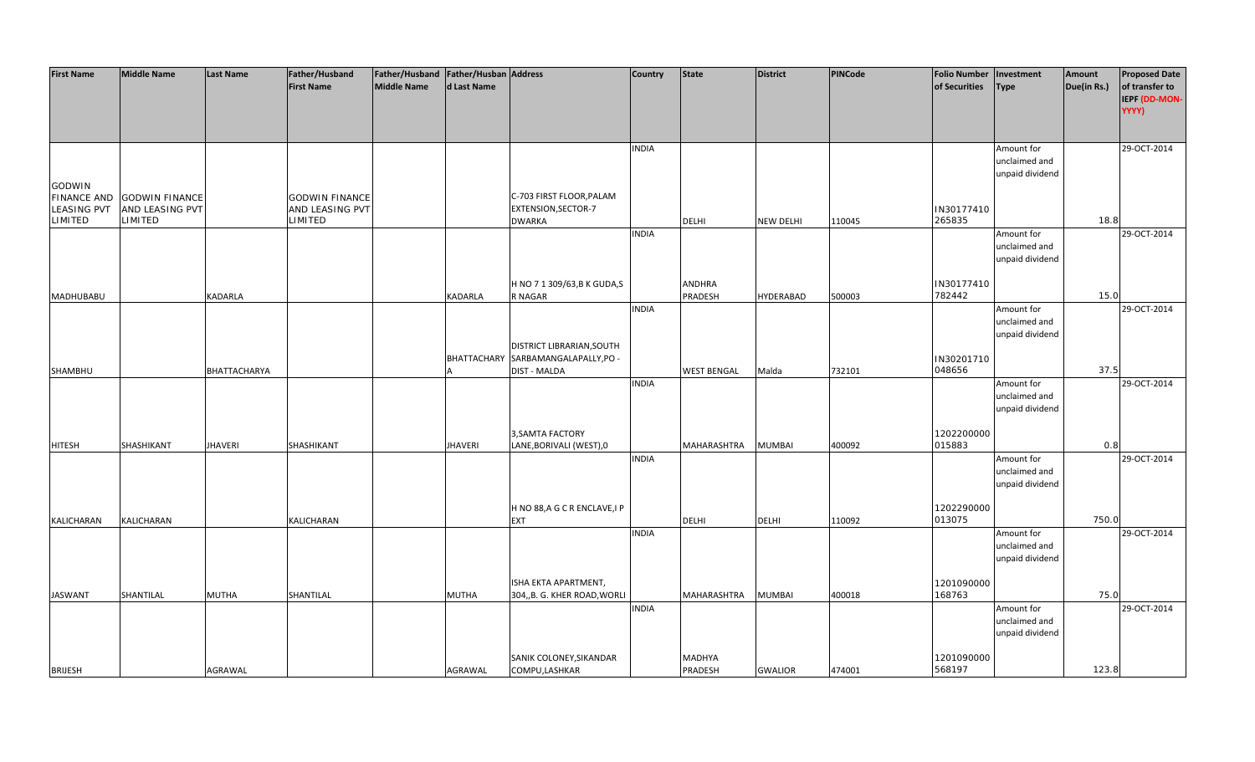| <b>First Name</b>  | <b>Middle Name</b>    | <b>Last Name</b>    | Father/Husband             | Father/Husband Father/Husban Address |                    |                                             | <b>Country</b> | <b>State</b>       | <b>District</b>  | <b>PINCode</b> | <b>Folio Number</b>  | Investment                  | Amount      | <b>Proposed Date</b> |
|--------------------|-----------------------|---------------------|----------------------------|--------------------------------------|--------------------|---------------------------------------------|----------------|--------------------|------------------|----------------|----------------------|-----------------------------|-------------|----------------------|
|                    |                       |                     | <b>First Name</b>          | <b>Middle Name</b>                   | d Last Name        |                                             |                |                    |                  |                | of Securities        | <b>Type</b>                 | Due(in Rs.) | of transfer to       |
|                    |                       |                     |                            |                                      |                    |                                             |                |                    |                  |                |                      |                             |             | IEPF (DD-MON-        |
|                    |                       |                     |                            |                                      |                    |                                             |                |                    |                  |                |                      |                             |             | YYYY)                |
|                    |                       |                     |                            |                                      |                    |                                             |                |                    |                  |                |                      |                             |             |                      |
|                    |                       |                     |                            |                                      |                    |                                             | <b>INDIA</b>   |                    |                  |                |                      | Amount for                  |             | 29-OCT-2014          |
|                    |                       |                     |                            |                                      |                    |                                             |                |                    |                  |                |                      | unclaimed and               |             |                      |
|                    |                       |                     |                            |                                      |                    |                                             |                |                    |                  |                |                      | unpaid dividend             |             |                      |
| GODWIN             |                       |                     |                            |                                      |                    |                                             |                |                    |                  |                |                      |                             |             |                      |
| <b>FINANCE AND</b> | <b>GODWIN FINANCE</b> |                     | <b>GODWIN FINANCE</b>      |                                      |                    | C-703 FIRST FLOOR, PALAM                    |                |                    |                  |                |                      |                             |             |                      |
| <b>LEASING PVT</b> | AND LEASING PVT       |                     | AND LEASING PVT<br>LIMITED |                                      |                    | EXTENSION, SECTOR-7                         |                |                    |                  |                | IN30177410           |                             |             |                      |
| LIMITED            | LIMITED               |                     |                            |                                      |                    | <b>DWARKA</b>                               |                | <b>DELHI</b>       | <b>NEW DELHI</b> | 110045         | 265835               |                             | 18.8        |                      |
|                    |                       |                     |                            |                                      |                    |                                             | <b>INDIA</b>   |                    |                  |                |                      | Amount for<br>unclaimed and |             | 29-OCT-2014          |
|                    |                       |                     |                            |                                      |                    |                                             |                |                    |                  |                |                      | unpaid dividend             |             |                      |
|                    |                       |                     |                            |                                      |                    |                                             |                |                    |                  |                |                      |                             |             |                      |
|                    |                       |                     |                            |                                      |                    | H NO 7 1 309/63, B K GUDA, S                |                | <b>ANDHRA</b>      |                  |                | IN30177410           |                             |             |                      |
| <b>MADHUBABU</b>   |                       | <b>KADARLA</b>      |                            |                                      | KADARLA            | R NAGAR                                     |                | PRADESH            | HYDERABAD        | 500003         | 782442               |                             | 15.0        |                      |
|                    |                       |                     |                            |                                      |                    |                                             | <b>INDIA</b>   |                    |                  |                |                      | Amount for                  |             | 29-OCT-2014          |
|                    |                       |                     |                            |                                      |                    |                                             |                |                    |                  |                |                      | unclaimed and               |             |                      |
|                    |                       |                     |                            |                                      |                    |                                             |                |                    |                  |                |                      | unpaid dividend             |             |                      |
|                    |                       |                     |                            |                                      |                    | DISTRICT LIBRARIAN, SOUTH                   |                |                    |                  |                |                      |                             |             |                      |
|                    |                       |                     |                            |                                      | <b>BHATTACHARY</b> | SARBAMANGALAPALLY, PO -                     |                |                    |                  |                | IN30201710           |                             | 37.5        |                      |
| SHAMBHU            |                       | <b>BHATTACHARYA</b> |                            |                                      |                    | DIST - MALDA                                | <b>INDIA</b>   | <b>WEST BENGAL</b> | Malda            | 732101         | 048656               | Amount for                  |             | 29-OCT-2014          |
|                    |                       |                     |                            |                                      |                    |                                             |                |                    |                  |                |                      | unclaimed and               |             |                      |
|                    |                       |                     |                            |                                      |                    |                                             |                |                    |                  |                |                      | unpaid dividend             |             |                      |
|                    |                       |                     |                            |                                      |                    |                                             |                |                    |                  |                |                      |                             |             |                      |
|                    |                       |                     |                            |                                      |                    | 3, SAMTA FACTORY                            |                |                    |                  |                | 1202200000           |                             |             |                      |
| <b>HITESH</b>      | SHASHIKANT            | <b>JHAVERI</b>      | SHASHIKANT                 |                                      | <b>JHAVERI</b>     | LANE, BORIVALI (WEST), 0                    |                | MAHARASHTRA        | <b>MUMBAI</b>    | 400092         | 015883               |                             | 0.8         |                      |
|                    |                       |                     |                            |                                      |                    |                                             | <b>INDIA</b>   |                    |                  |                |                      | Amount for                  |             | 29-OCT-2014          |
|                    |                       |                     |                            |                                      |                    |                                             |                |                    |                  |                |                      | unclaimed and               |             |                      |
|                    |                       |                     |                            |                                      |                    |                                             |                |                    |                  |                |                      | unpaid dividend             |             |                      |
|                    |                       |                     |                            |                                      |                    |                                             |                |                    |                  |                |                      |                             |             |                      |
| KALICHARAN         | KALICHARAN            |                     | KALICHARAN                 |                                      |                    | H NO 88, A G C R ENCLAVE, I P<br><b>EXT</b> |                | <b>DELHI</b>       | <b>DELHI</b>     | 110092         | 1202290000<br>013075 |                             | 750.0       |                      |
|                    |                       |                     |                            |                                      |                    |                                             | <b>INDIA</b>   |                    |                  |                |                      | Amount for                  |             | 29-OCT-2014          |
|                    |                       |                     |                            |                                      |                    |                                             |                |                    |                  |                |                      | unclaimed and               |             |                      |
|                    |                       |                     |                            |                                      |                    |                                             |                |                    |                  |                |                      | unpaid dividend             |             |                      |
|                    |                       |                     |                            |                                      |                    |                                             |                |                    |                  |                |                      |                             |             |                      |
|                    |                       |                     |                            |                                      |                    | ISHA EKTA APARTMENT,                        |                |                    |                  |                | 1201090000           |                             |             |                      |
| <b>JASWANT</b>     | SHANTILAL             | <b>MUTHA</b>        | SHANTILAL                  |                                      | <b>MUTHA</b>       | 304,, B. G. KHER ROAD, WORLI                |                | MAHARASHTRA        | <b>MUMBAI</b>    | 400018         | 168763               |                             | 75.0        |                      |
|                    |                       |                     |                            |                                      |                    |                                             | <b>INDIA</b>   |                    |                  |                |                      | Amount for                  |             | 29-OCT-2014          |
|                    |                       |                     |                            |                                      |                    |                                             |                |                    |                  |                |                      | unclaimed and               |             |                      |
|                    |                       |                     |                            |                                      |                    |                                             |                |                    |                  |                |                      | unpaid dividend             |             |                      |
|                    |                       |                     |                            |                                      |                    | SANIK COLONEY, SIKANDAR                     |                | MADHYA             |                  |                | 1201090000           |                             |             |                      |
| <b>BRIJESH</b>     |                       | AGRAWAL             |                            |                                      | AGRAWAL            | COMPU, LASHKAR                              |                | PRADESH            | <b>GWALIOR</b>   | 474001         | 568197               |                             | 123.8       |                      |
|                    |                       |                     |                            |                                      |                    |                                             |                |                    |                  |                |                      |                             |             |                      |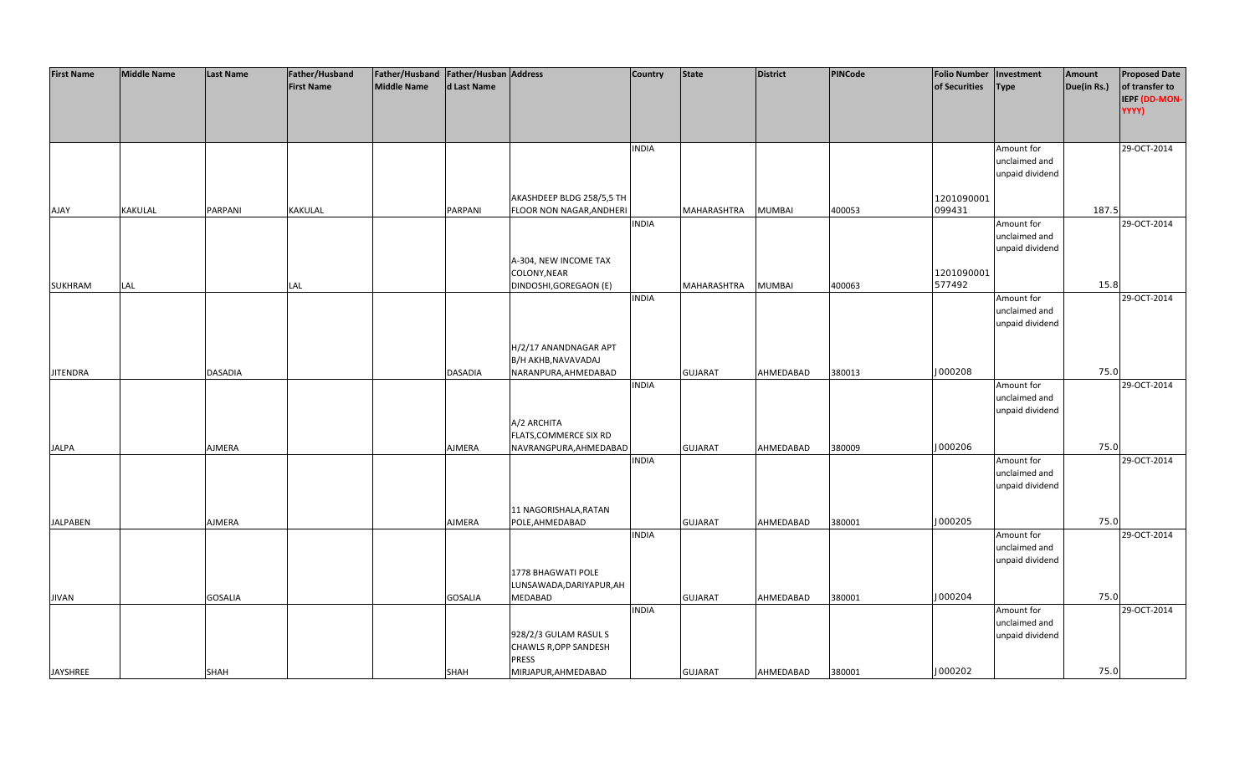| <b>First Name</b> | <b>Middle Name</b> | <b>Last Name</b> | Father/Husband    | Father/Husband Father/Husban Address |                |                                       | <b>Country</b> | <b>State</b>   | <b>District</b> | <b>PINCode</b> | <b>Folio Number</b> | Investment      | Amount      | <b>Proposed Date</b> |
|-------------------|--------------------|------------------|-------------------|--------------------------------------|----------------|---------------------------------------|----------------|----------------|-----------------|----------------|---------------------|-----------------|-------------|----------------------|
|                   |                    |                  | <b>First Name</b> | Middle Name                          | d Last Name    |                                       |                |                |                 |                | of Securities       | Type            | Due(in Rs.) | of transfer to       |
|                   |                    |                  |                   |                                      |                |                                       |                |                |                 |                |                     |                 |             | IEPF (DD-MON-        |
|                   |                    |                  |                   |                                      |                |                                       |                |                |                 |                |                     |                 |             | YYYY)                |
|                   |                    |                  |                   |                                      |                |                                       |                |                |                 |                |                     |                 |             |                      |
|                   |                    |                  |                   |                                      |                |                                       |                |                |                 |                |                     |                 |             |                      |
|                   |                    |                  |                   |                                      |                |                                       | <b>INDIA</b>   |                |                 |                |                     | Amount for      |             | 29-OCT-2014          |
|                   |                    |                  |                   |                                      |                |                                       |                |                |                 |                |                     | unclaimed and   |             |                      |
|                   |                    |                  |                   |                                      |                |                                       |                |                |                 |                |                     | unpaid dividend |             |                      |
|                   |                    |                  |                   |                                      |                |                                       |                |                |                 |                |                     |                 |             |                      |
|                   |                    |                  |                   |                                      |                | AKASHDEEP BLDG 258/5,5 TH             |                |                |                 |                | 1201090001          |                 |             |                      |
| <b>AJAY</b>       | KAKULAL            | PARPANI          | KAKULAL           |                                      | PARPANI        | FLOOR NON NAGAR, ANDHERI              |                | MAHARASHTRA    | <b>MUMBAI</b>   | 400053         | 099431              |                 | 187.5       |                      |
|                   |                    |                  |                   |                                      |                |                                       | <b>INDIA</b>   |                |                 |                |                     | Amount for      |             | 29-OCT-2014          |
|                   |                    |                  |                   |                                      |                |                                       |                |                |                 |                |                     | unclaimed and   |             |                      |
|                   |                    |                  |                   |                                      |                |                                       |                |                |                 |                |                     | unpaid dividend |             |                      |
|                   |                    |                  |                   |                                      |                | A-304, NEW INCOME TAX                 |                |                |                 |                |                     |                 |             |                      |
|                   |                    |                  |                   |                                      |                | COLONY, NEAR                          |                |                |                 |                | 1201090001          |                 |             |                      |
| <b>SUKHRAM</b>    | LAL                |                  | LAL               |                                      |                | DINDOSHI, GOREGAON (E)                |                | MAHARASHTRA    | <b>MUMBAI</b>   | 400063         | 577492              |                 | 15.8        |                      |
|                   |                    |                  |                   |                                      |                |                                       | <b>INDIA</b>   |                |                 |                |                     | Amount for      |             | 29-OCT-2014          |
|                   |                    |                  |                   |                                      |                |                                       |                |                |                 |                |                     | unclaimed and   |             |                      |
|                   |                    |                  |                   |                                      |                |                                       |                |                |                 |                |                     | unpaid dividend |             |                      |
|                   |                    |                  |                   |                                      |                |                                       |                |                |                 |                |                     |                 |             |                      |
|                   |                    |                  |                   |                                      |                | H/2/17 ANANDNAGAR APT                 |                |                |                 |                |                     |                 |             |                      |
|                   |                    |                  |                   |                                      |                | B/H AKHB, NAVAVADAJ                   |                |                |                 |                |                     |                 |             |                      |
| <b>JITENDRA</b>   |                    | <b>DASADIA</b>   |                   |                                      | <b>DASADIA</b> | NARANPURA, AHMEDABAD                  |                | <b>GUJARAT</b> | AHMEDABAD       | 380013         | J000208             |                 | 75.0        |                      |
|                   |                    |                  |                   |                                      |                |                                       | <b>INDIA</b>   |                |                 |                |                     | Amount for      |             | 29-OCT-2014          |
|                   |                    |                  |                   |                                      |                |                                       |                |                |                 |                |                     | unclaimed and   |             |                      |
|                   |                    |                  |                   |                                      |                |                                       |                |                |                 |                |                     | unpaid dividend |             |                      |
|                   |                    |                  |                   |                                      |                | A/2 ARCHITA                           |                |                |                 |                |                     |                 |             |                      |
|                   |                    |                  |                   |                                      |                | FLATS, COMMERCE SIX RD                |                |                |                 |                |                     |                 |             |                      |
| <b>JALPA</b>      |                    | AJMERA           |                   |                                      | <b>AJMERA</b>  | NAVRANGPURA, AHMEDABAD                |                | <b>GUJARAT</b> | AHMEDABAD       | 380009         | J000206             |                 | 75.0        |                      |
|                   |                    |                  |                   |                                      |                |                                       | <b>INDIA</b>   |                |                 |                |                     | Amount for      |             | 29-OCT-2014          |
|                   |                    |                  |                   |                                      |                |                                       |                |                |                 |                |                     | unclaimed and   |             |                      |
|                   |                    |                  |                   |                                      |                |                                       |                |                |                 |                |                     | unpaid dividend |             |                      |
|                   |                    |                  |                   |                                      |                |                                       |                |                |                 |                |                     |                 |             |                      |
|                   |                    |                  |                   |                                      |                | 11 NAGORISHALA, RATAN                 |                |                |                 |                |                     |                 |             |                      |
| <b>JALPABEN</b>   |                    | AJMERA           |                   |                                      | AJMERA         | POLE, AHMEDABAD                       |                | <b>GUJARAT</b> | AHMEDABAD       | 380001         | J000205             |                 | 75.0        |                      |
|                   |                    |                  |                   |                                      |                |                                       | <b>INDIA</b>   |                |                 |                |                     | Amount for      |             | 29-OCT-2014          |
|                   |                    |                  |                   |                                      |                |                                       |                |                |                 |                |                     | unclaimed and   |             |                      |
|                   |                    |                  |                   |                                      |                | 1778 BHAGWATI POLE                    |                |                |                 |                |                     | unpaid dividend |             |                      |
|                   |                    |                  |                   |                                      |                |                                       |                |                |                 |                |                     |                 |             |                      |
|                   |                    |                  |                   |                                      |                | LUNSAWADA, DARIYAPUR, AH              |                |                |                 |                | J000204             |                 | 75.0        |                      |
| <b>JIVAN</b>      |                    | <b>GOSALIA</b>   |                   |                                      | <b>GOSALIA</b> | MEDABAD                               | <b>INDIA</b>   | <b>GUJARAT</b> | AHMEDABAD       | 380001         |                     | Amount for      |             | 29-OCT-2014          |
|                   |                    |                  |                   |                                      |                |                                       |                |                |                 |                |                     |                 |             |                      |
|                   |                    |                  |                   |                                      |                |                                       |                |                |                 |                |                     | unclaimed and   |             |                      |
|                   |                    |                  |                   |                                      |                | 928/2/3 GULAM RASUL S                 |                |                |                 |                |                     | unpaid dividend |             |                      |
|                   |                    |                  |                   |                                      |                | CHAWLS R, OPP SANDESH<br><b>PRESS</b> |                |                |                 |                |                     |                 |             |                      |
| JAYSHREE          |                    | <b>SHAH</b>      |                   |                                      | <b>SHAH</b>    | MIRJAPUR, AHMEDABAD                   |                | <b>GUJARAT</b> | AHMEDABAD       | 380001         | J000202             |                 | 75.0        |                      |
|                   |                    |                  |                   |                                      |                |                                       |                |                |                 |                |                     |                 |             |                      |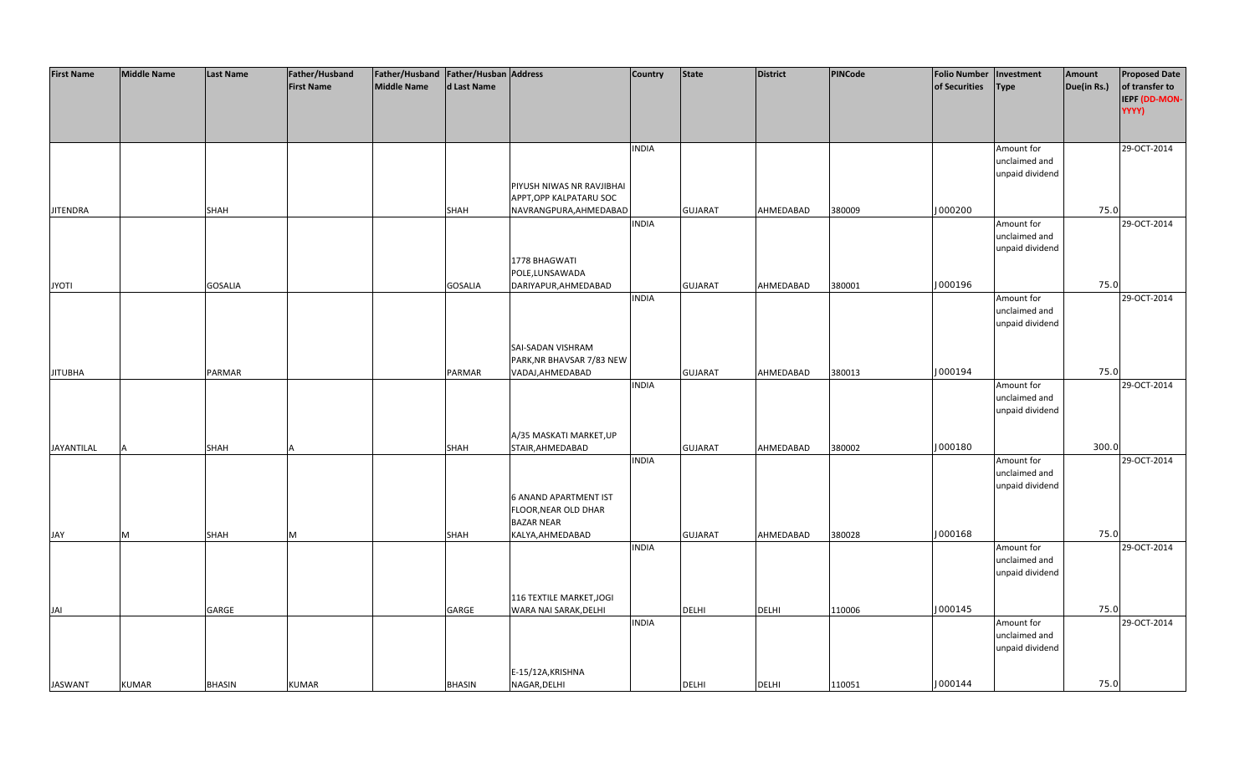| <b>First Name</b> | <b>Middle Name</b> | <b>Last Name</b> | <b>Father/Husband</b> | Father/Husband Father/Husban Address |                |                              | <b>Country</b> | <b>State</b>   | <b>District</b> | <b>PINCode</b> | <b>Folio Number</b> | Investment      | Amount      | <b>Proposed Date</b> |
|-------------------|--------------------|------------------|-----------------------|--------------------------------------|----------------|------------------------------|----------------|----------------|-----------------|----------------|---------------------|-----------------|-------------|----------------------|
|                   |                    |                  | <b>First Name</b>     | <b>Middle Name</b>                   | d Last Name    |                              |                |                |                 |                | of Securities       | <b>Type</b>     | Due(in Rs.) | of transfer to       |
|                   |                    |                  |                       |                                      |                |                              |                |                |                 |                |                     |                 |             | IEPF (DD-MON-        |
|                   |                    |                  |                       |                                      |                |                              |                |                |                 |                |                     |                 |             | YYYY)                |
|                   |                    |                  |                       |                                      |                |                              |                |                |                 |                |                     |                 |             |                      |
|                   |                    |                  |                       |                                      |                |                              |                |                |                 |                |                     |                 |             |                      |
|                   |                    |                  |                       |                                      |                |                              | <b>INDIA</b>   |                |                 |                |                     | Amount for      |             | 29-OCT-2014          |
|                   |                    |                  |                       |                                      |                |                              |                |                |                 |                |                     | unclaimed and   |             |                      |
|                   |                    |                  |                       |                                      |                |                              |                |                |                 |                |                     | unpaid dividend |             |                      |
|                   |                    |                  |                       |                                      |                | PIYUSH NIWAS NR RAVJIBHAI    |                |                |                 |                |                     |                 |             |                      |
|                   |                    |                  |                       |                                      |                | APPT, OPP KALPATARU SOC      |                |                |                 |                |                     |                 |             |                      |
| <b>JITENDRA</b>   |                    | <b>SHAH</b>      |                       |                                      | <b>SHAH</b>    | NAVRANGPURA, AHMEDABAD       |                | <b>GUJARAT</b> | AHMEDABAD       | 380009         | J000200             |                 | 75.0        |                      |
|                   |                    |                  |                       |                                      |                |                              | <b>INDIA</b>   |                |                 |                |                     | Amount for      |             | 29-OCT-2014          |
|                   |                    |                  |                       |                                      |                |                              |                |                |                 |                |                     | unclaimed and   |             |                      |
|                   |                    |                  |                       |                                      |                |                              |                |                |                 |                |                     | unpaid dividend |             |                      |
|                   |                    |                  |                       |                                      |                | 1778 BHAGWATI                |                |                |                 |                |                     |                 |             |                      |
|                   |                    |                  |                       |                                      |                | POLE, LUNSAWADA              |                |                |                 |                |                     |                 |             |                      |
| <b>JYOTI</b>      |                    | <b>GOSALIA</b>   |                       |                                      | <b>GOSALIA</b> | DARIYAPUR, AHMEDABAD         |                | <b>GUJARAT</b> | AHMEDABAD       | 380001         | J000196             |                 | 75.0        |                      |
|                   |                    |                  |                       |                                      |                |                              | <b>INDIA</b>   |                |                 |                |                     | Amount for      |             | 29-OCT-2014          |
|                   |                    |                  |                       |                                      |                |                              |                |                |                 |                |                     | unclaimed and   |             |                      |
|                   |                    |                  |                       |                                      |                |                              |                |                |                 |                |                     | unpaid dividend |             |                      |
|                   |                    |                  |                       |                                      |                |                              |                |                |                 |                |                     |                 |             |                      |
|                   |                    |                  |                       |                                      |                | SAI-SADAN VISHRAM            |                |                |                 |                |                     |                 |             |                      |
|                   |                    |                  |                       |                                      |                | PARK, NR BHAVSAR 7/83 NEW    |                |                |                 |                |                     |                 |             |                      |
| <b>JITUBHA</b>    |                    | PARMAR           |                       |                                      | PARMAR         | VADAJ, AHMEDABAD             |                | <b>GUJARAT</b> | AHMEDABAD       | 380013         | J000194             |                 | 75.0        |                      |
|                   |                    |                  |                       |                                      |                |                              | <b>INDIA</b>   |                |                 |                |                     | Amount for      |             | 29-OCT-2014          |
|                   |                    |                  |                       |                                      |                |                              |                |                |                 |                |                     | unclaimed and   |             |                      |
|                   |                    |                  |                       |                                      |                |                              |                |                |                 |                |                     | unpaid dividend |             |                      |
|                   |                    |                  |                       |                                      |                |                              |                |                |                 |                |                     |                 |             |                      |
|                   |                    |                  |                       |                                      |                | A/35 MASKATI MARKET, UP      |                |                |                 |                |                     |                 | 300.0       |                      |
| JAYANTILAL        |                    | SHAH             |                       |                                      | <b>SHAH</b>    | STAIR, AHMEDABAD             |                | <b>GUJARAT</b> | AHMEDABAD       | 380002         | J000180             |                 |             |                      |
|                   |                    |                  |                       |                                      |                |                              | <b>INDIA</b>   |                |                 |                |                     | Amount for      |             | 29-OCT-2014          |
|                   |                    |                  |                       |                                      |                |                              |                |                |                 |                |                     | unclaimed and   |             |                      |
|                   |                    |                  |                       |                                      |                | <b>6 ANAND APARTMENT IST</b> |                |                |                 |                |                     | unpaid dividend |             |                      |
|                   |                    |                  |                       |                                      |                | FLOOR, NEAR OLD DHAR         |                |                |                 |                |                     |                 |             |                      |
|                   |                    |                  |                       |                                      |                | <b>BAZAR NEAR</b>            |                |                |                 |                |                     |                 |             |                      |
| JAY               | M                  | <b>SHAH</b>      | M                     |                                      | <b>SHAH</b>    | KALYA, AHMEDABAD             |                | <b>GUJARAT</b> | AHMEDABAD       | 380028         | J000168             |                 | 75.0        |                      |
|                   |                    |                  |                       |                                      |                |                              | <b>INDIA</b>   |                |                 |                |                     | Amount for      |             | 29-OCT-2014          |
|                   |                    |                  |                       |                                      |                |                              |                |                |                 |                |                     | unclaimed and   |             |                      |
|                   |                    |                  |                       |                                      |                |                              |                |                |                 |                |                     | unpaid dividend |             |                      |
|                   |                    |                  |                       |                                      |                |                              |                |                |                 |                |                     |                 |             |                      |
|                   |                    |                  |                       |                                      |                | 116 TEXTILE MARKET, JOGI     |                |                |                 |                |                     |                 |             |                      |
| JAI               |                    | GARGE            |                       |                                      | GARGE          | WARA NAI SARAK, DELHI        |                | <b>DELHI</b>   | <b>DELHI</b>    | 110006         | J000145             |                 | 75.0        |                      |
|                   |                    |                  |                       |                                      |                |                              | <b>INDIA</b>   |                |                 |                |                     | Amount for      |             | 29-OCT-2014          |
|                   |                    |                  |                       |                                      |                |                              |                |                |                 |                |                     | unclaimed and   |             |                      |
|                   |                    |                  |                       |                                      |                |                              |                |                |                 |                |                     | unpaid dividend |             |                      |
|                   |                    |                  |                       |                                      |                |                              |                |                |                 |                |                     |                 |             |                      |
|                   |                    |                  |                       |                                      |                | E-15/12A, KRISHNA            |                |                |                 |                |                     |                 |             |                      |
| <b>JASWANT</b>    | <b>KUMAR</b>       | <b>BHASIN</b>    | <b>KUMAR</b>          |                                      | <b>BHASIN</b>  | NAGAR, DELHI                 |                | <b>DELHI</b>   | <b>DELHI</b>    | 110051         | J000144             |                 | 75.0        |                      |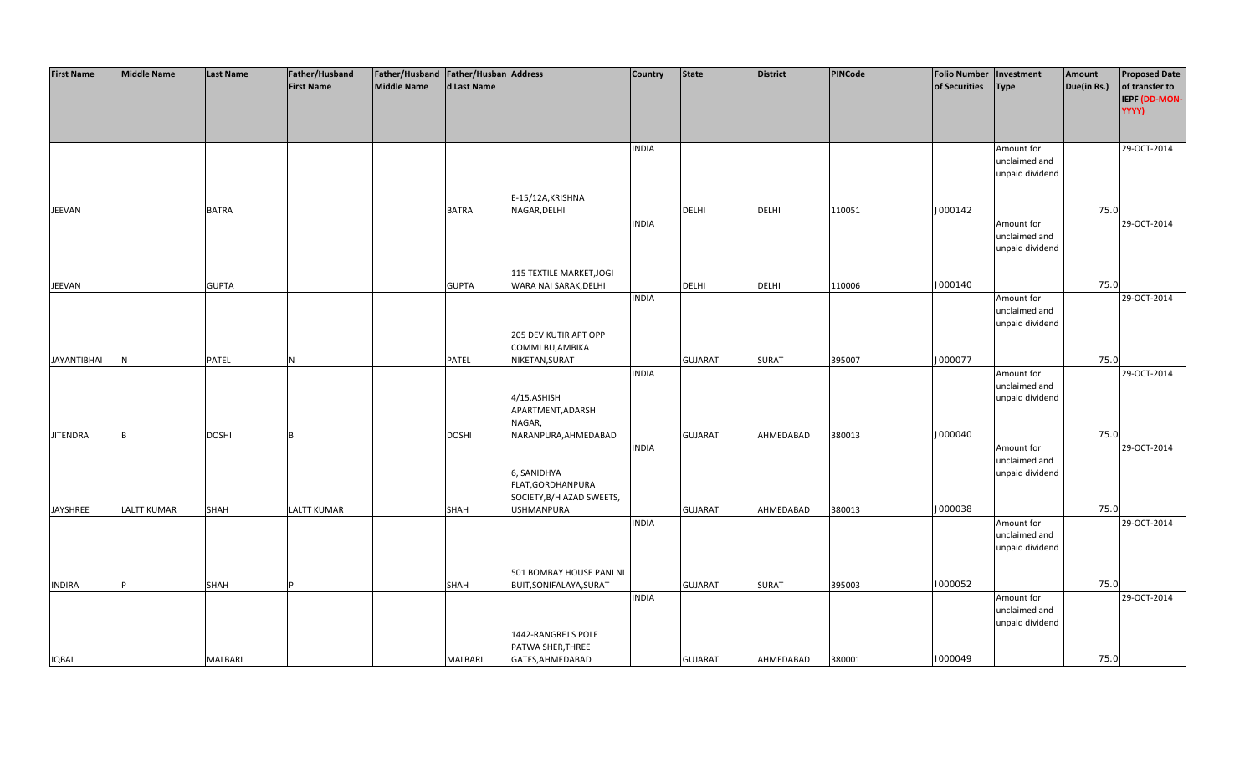| <b>First Name</b>  | <b>Middle Name</b> | <b>Last Name</b> | Father/Husband     | Father/Husband   Father/Husban   Address |              |                           | Country      | <b>State</b>   | <b>District</b> | PINCode | <b>Folio Number</b> | Investment      | Amount      | <b>Proposed Date</b> |
|--------------------|--------------------|------------------|--------------------|------------------------------------------|--------------|---------------------------|--------------|----------------|-----------------|---------|---------------------|-----------------|-------------|----------------------|
|                    |                    |                  | <b>First Name</b>  | <b>Middle Name</b>                       | d Last Name  |                           |              |                |                 |         | of Securities       | <b>Type</b>     | Due(in Rs.) | of transfer to       |
|                    |                    |                  |                    |                                          |              |                           |              |                |                 |         |                     |                 |             | IEPF (DD-MON-        |
|                    |                    |                  |                    |                                          |              |                           |              |                |                 |         |                     |                 |             | YYYY)                |
|                    |                    |                  |                    |                                          |              |                           |              |                |                 |         |                     |                 |             |                      |
|                    |                    |                  |                    |                                          |              |                           |              |                |                 |         |                     |                 |             |                      |
|                    |                    |                  |                    |                                          |              |                           | <b>INDIA</b> |                |                 |         |                     | Amount for      |             | 29-OCT-2014          |
|                    |                    |                  |                    |                                          |              |                           |              |                |                 |         |                     | unclaimed and   |             |                      |
|                    |                    |                  |                    |                                          |              |                           |              |                |                 |         |                     | unpaid dividend |             |                      |
|                    |                    |                  |                    |                                          |              |                           |              |                |                 |         |                     |                 |             |                      |
|                    |                    |                  |                    |                                          |              | E-15/12A, KRISHNA         |              |                |                 |         |                     |                 |             |                      |
| JEEVAN             |                    | <b>BATRA</b>     |                    |                                          | <b>BATRA</b> | NAGAR, DELHI              |              | <b>DELHI</b>   | <b>DELHI</b>    | 110051  | J000142             |                 | 75.0        |                      |
|                    |                    |                  |                    |                                          |              |                           | <b>INDIA</b> |                |                 |         |                     | Amount for      |             | 29-OCT-2014          |
|                    |                    |                  |                    |                                          |              |                           |              |                |                 |         |                     | unclaimed and   |             |                      |
|                    |                    |                  |                    |                                          |              |                           |              |                |                 |         |                     | unpaid dividend |             |                      |
|                    |                    |                  |                    |                                          |              |                           |              |                |                 |         |                     |                 |             |                      |
|                    |                    |                  |                    |                                          |              | 115 TEXTILE MARKET, JOGI  |              |                |                 |         |                     |                 |             |                      |
| JEEVAN             |                    | <b>GUPTA</b>     |                    |                                          | <b>GUPTA</b> | WARA NAI SARAK, DELHI     |              | <b>DELHI</b>   | <b>DELHI</b>    | 110006  | J000140             |                 | 75.0        |                      |
|                    |                    |                  |                    |                                          |              |                           | <b>INDIA</b> |                |                 |         |                     | Amount for      |             | 29-OCT-2014          |
|                    |                    |                  |                    |                                          |              |                           |              |                |                 |         |                     | unclaimed and   |             |                      |
|                    |                    |                  |                    |                                          |              |                           |              |                |                 |         |                     |                 |             |                      |
|                    |                    |                  |                    |                                          |              | 205 DEV KUTIR APT OPP     |              |                |                 |         |                     | unpaid dividend |             |                      |
|                    |                    |                  |                    |                                          |              |                           |              |                |                 |         |                     |                 |             |                      |
|                    |                    |                  | <b>N</b>           |                                          |              | COMMI BU, AMBIKA          |              |                |                 |         |                     |                 | 75.0        |                      |
| <b>JAYANTIBHAI</b> | N                  | PATEL            |                    |                                          | PATEL        | NIKETAN, SURAT            |              | <b>GUJARAT</b> | <b>SURAT</b>    | 395007  | J000077             |                 |             |                      |
|                    |                    |                  |                    |                                          |              |                           | <b>INDIA</b> |                |                 |         |                     | Amount for      |             | 29-OCT-2014          |
|                    |                    |                  |                    |                                          |              |                           |              |                |                 |         |                     | unclaimed and   |             |                      |
|                    |                    |                  |                    |                                          |              | 4/15, ASHISH              |              |                |                 |         |                     | unpaid dividend |             |                      |
|                    |                    |                  |                    |                                          |              | APARTMENT, ADARSH         |              |                |                 |         |                     |                 |             |                      |
|                    |                    |                  |                    |                                          |              | NAGAR,                    |              |                |                 |         |                     |                 |             |                      |
| <b>JITENDRA</b>    |                    | <b>DOSHI</b>     |                    |                                          | <b>DOSHI</b> | NARANPURA, AHMEDABAD      |              | <b>GUJARAT</b> | AHMEDABAD       | 380013  | J000040             |                 | 75.0        |                      |
|                    |                    |                  |                    |                                          |              |                           | <b>INDIA</b> |                |                 |         |                     | Amount for      |             | 29-OCT-2014          |
|                    |                    |                  |                    |                                          |              |                           |              |                |                 |         |                     | unclaimed and   |             |                      |
|                    |                    |                  |                    |                                          |              | 6, SANIDHYA               |              |                |                 |         |                     | unpaid dividend |             |                      |
|                    |                    |                  |                    |                                          |              | FLAT, GORDHANPURA         |              |                |                 |         |                     |                 |             |                      |
|                    |                    |                  |                    |                                          |              | SOCIETY, B/H AZAD SWEETS, |              |                |                 |         |                     |                 |             |                      |
| JAYSHREE           | <b>LALTT KUMAR</b> | SHAH             | <b>LALTT KUMAR</b> |                                          | SHAH         | <b>USHMANPURA</b>         |              | <b>GUJARAT</b> | AHMEDABAD       | 380013  | J000038             |                 | 75.0        |                      |
|                    |                    |                  |                    |                                          |              |                           | <b>INDIA</b> |                |                 |         |                     | Amount for      |             | 29-OCT-2014          |
|                    |                    |                  |                    |                                          |              |                           |              |                |                 |         |                     | unclaimed and   |             |                      |
|                    |                    |                  |                    |                                          |              |                           |              |                |                 |         |                     | unpaid dividend |             |                      |
|                    |                    |                  |                    |                                          |              |                           |              |                |                 |         |                     |                 |             |                      |
|                    |                    |                  |                    |                                          |              | 501 BOMBAY HOUSE PANI NI  |              |                |                 |         |                     |                 |             |                      |
| <b>INDIRA</b>      |                    | SHAH             |                    |                                          | <b>SHAH</b>  | BUIT, SONIFALAYA, SURAT   |              | <b>GUJARAT</b> | <b>SURAT</b>    | 395003  | 1000052             |                 | 75.0        |                      |
|                    |                    |                  |                    |                                          |              |                           | <b>INDIA</b> |                |                 |         |                     | Amount for      |             | 29-OCT-2014          |
|                    |                    |                  |                    |                                          |              |                           |              |                |                 |         |                     | unclaimed and   |             |                      |
|                    |                    |                  |                    |                                          |              |                           |              |                |                 |         |                     | unpaid dividend |             |                      |
|                    |                    |                  |                    |                                          |              | 1442-RANGREJ S POLE       |              |                |                 |         |                     |                 |             |                      |
|                    |                    |                  |                    |                                          |              | PATWA SHER, THREE         |              |                |                 |         |                     |                 |             |                      |
| <b>IQBAL</b>       |                    | <b>MALBARI</b>   |                    |                                          | MALBARI      | GATES, AHMEDABAD          |              | <b>GUJARAT</b> | AHMEDABAD       | 380001  | 1000049             |                 | 75.0        |                      |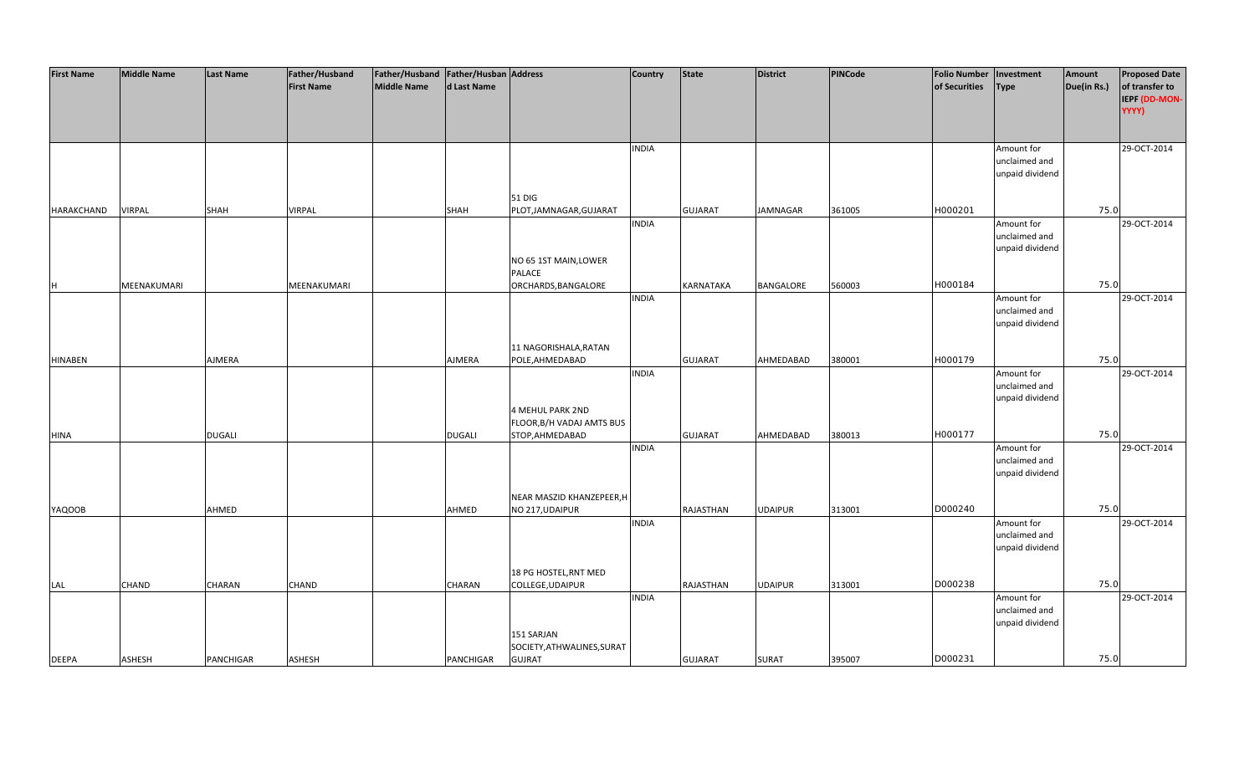| <b>First Name</b> | <b>Middle Name</b> | <b>Last Name</b> | Father/Husband    | Father/Husband Father/Husban Address |               |                            | <b>Country</b> | <b>State</b>     | <b>District</b> | PINCode | <b>Folio Number</b> | Investment      | Amount      | <b>Proposed Date</b> |
|-------------------|--------------------|------------------|-------------------|--------------------------------------|---------------|----------------------------|----------------|------------------|-----------------|---------|---------------------|-----------------|-------------|----------------------|
|                   |                    |                  | <b>First Name</b> | <b>Middle Name</b>                   | d Last Name   |                            |                |                  |                 |         | of Securities       | <b>Type</b>     | Due(in Rs.) | of transfer to       |
|                   |                    |                  |                   |                                      |               |                            |                |                  |                 |         |                     |                 |             | IEPF (DD-MON-        |
|                   |                    |                  |                   |                                      |               |                            |                |                  |                 |         |                     |                 |             | YYYY)                |
|                   |                    |                  |                   |                                      |               |                            |                |                  |                 |         |                     |                 |             |                      |
|                   |                    |                  |                   |                                      |               |                            |                |                  |                 |         |                     |                 |             |                      |
|                   |                    |                  |                   |                                      |               |                            | <b>INDIA</b>   |                  |                 |         |                     |                 |             | 29-OCT-2014          |
|                   |                    |                  |                   |                                      |               |                            |                |                  |                 |         |                     | Amount for      |             |                      |
|                   |                    |                  |                   |                                      |               |                            |                |                  |                 |         |                     | unclaimed and   |             |                      |
|                   |                    |                  |                   |                                      |               |                            |                |                  |                 |         |                     | unpaid dividend |             |                      |
|                   |                    |                  |                   |                                      |               |                            |                |                  |                 |         |                     |                 |             |                      |
|                   |                    |                  |                   |                                      |               | 51 DIG                     |                |                  |                 |         |                     |                 |             |                      |
| HARAKCHAND        | <b>VIRPAL</b>      | <b>SHAH</b>      | <b>VIRPAL</b>     |                                      | <b>SHAH</b>   | PLOT, JAMNAGAR, GUJARAT    |                | <b>GUJARAT</b>   | JAMNAGAR        | 361005  | H000201             |                 | 75.0        |                      |
|                   |                    |                  |                   |                                      |               |                            | <b>INDIA</b>   |                  |                 |         |                     | Amount for      |             | 29-OCT-2014          |
|                   |                    |                  |                   |                                      |               |                            |                |                  |                 |         |                     | unclaimed and   |             |                      |
|                   |                    |                  |                   |                                      |               |                            |                |                  |                 |         |                     | unpaid dividend |             |                      |
|                   |                    |                  |                   |                                      |               | NO 65 1ST MAIN, LOWER      |                |                  |                 |         |                     |                 |             |                      |
|                   |                    |                  |                   |                                      |               | PALACE                     |                |                  |                 |         |                     |                 |             |                      |
| H                 | MEENAKUMARI        |                  | MEENAKUMARI       |                                      |               | ORCHARDS, BANGALORE        |                | KARNATAKA        | BANGALORE       | 560003  | H000184             |                 | 75.0        |                      |
|                   |                    |                  |                   |                                      |               |                            | <b>INDIA</b>   |                  |                 |         |                     | Amount for      |             | 29-OCT-2014          |
|                   |                    |                  |                   |                                      |               |                            |                |                  |                 |         |                     | unclaimed and   |             |                      |
|                   |                    |                  |                   |                                      |               |                            |                |                  |                 |         |                     | unpaid dividend |             |                      |
|                   |                    |                  |                   |                                      |               |                            |                |                  |                 |         |                     |                 |             |                      |
|                   |                    |                  |                   |                                      |               | 11 NAGORISHALA, RATAN      |                |                  |                 |         |                     |                 |             |                      |
| <b>HINABEN</b>    |                    | AJMERA           |                   |                                      | AJMERA        | POLE, AHMEDABAD            |                | <b>GUJARAT</b>   | AHMEDABAD       | 380001  | H000179             |                 | 75.0        |                      |
|                   |                    |                  |                   |                                      |               |                            | <b>INDIA</b>   |                  |                 |         |                     | Amount for      |             | 29-OCT-2014          |
|                   |                    |                  |                   |                                      |               |                            |                |                  |                 |         |                     | unclaimed and   |             |                      |
|                   |                    |                  |                   |                                      |               |                            |                |                  |                 |         |                     | unpaid dividend |             |                      |
|                   |                    |                  |                   |                                      |               | <b>4 MEHUL PARK 2ND</b>    |                |                  |                 |         |                     |                 |             |                      |
|                   |                    |                  |                   |                                      |               |                            |                |                  |                 |         |                     |                 |             |                      |
|                   |                    |                  |                   |                                      |               | FLOOR, B/H VADAJ AMTS BUS  |                |                  |                 |         | H000177             |                 | 75.0        |                      |
| <b>HINA</b>       |                    | <b>DUGALI</b>    |                   |                                      | <b>DUGALI</b> | STOP, AHMEDABAD            |                | <b>GUJARAT</b>   | AHMEDABAD       | 380013  |                     |                 |             |                      |
|                   |                    |                  |                   |                                      |               |                            | <b>INDIA</b>   |                  |                 |         |                     | Amount for      |             | 29-OCT-2014          |
|                   |                    |                  |                   |                                      |               |                            |                |                  |                 |         |                     | unclaimed and   |             |                      |
|                   |                    |                  |                   |                                      |               |                            |                |                  |                 |         |                     | unpaid dividend |             |                      |
|                   |                    |                  |                   |                                      |               |                            |                |                  |                 |         |                     |                 |             |                      |
|                   |                    |                  |                   |                                      |               | NEAR MASZID KHANZEPEER, H  |                |                  |                 |         |                     |                 |             |                      |
| <b>YAQOOB</b>     |                    | AHMED            |                   |                                      | AHMED         | NO 217, UDAIPUR            |                | <b>RAJASTHAN</b> | <b>UDAIPUR</b>  | 313001  | D000240             |                 | 75.0        |                      |
|                   |                    |                  |                   |                                      |               |                            | <b>INDIA</b>   |                  |                 |         |                     | Amount for      |             | 29-OCT-2014          |
|                   |                    |                  |                   |                                      |               |                            |                |                  |                 |         |                     | unclaimed and   |             |                      |
|                   |                    |                  |                   |                                      |               |                            |                |                  |                 |         |                     | unpaid dividend |             |                      |
|                   |                    |                  |                   |                                      |               |                            |                |                  |                 |         |                     |                 |             |                      |
|                   |                    |                  |                   |                                      |               | 18 PG HOSTEL, RNT MED      |                |                  |                 |         |                     |                 |             |                      |
| LAL               | CHAND              | CHARAN           | CHAND             |                                      | CHARAN        | COLLEGE, UDAIPUR           |                | RAJASTHAN        | <b>UDAIPUR</b>  | 313001  | D000238             |                 | 75.0        |                      |
|                   |                    |                  |                   |                                      |               |                            | <b>INDIA</b>   |                  |                 |         |                     | Amount for      |             | 29-OCT-2014          |
|                   |                    |                  |                   |                                      |               |                            |                |                  |                 |         |                     | unclaimed and   |             |                      |
|                   |                    |                  |                   |                                      |               |                            |                |                  |                 |         |                     | unpaid dividend |             |                      |
|                   |                    |                  |                   |                                      |               | 151 SARJAN                 |                |                  |                 |         |                     |                 |             |                      |
|                   |                    |                  |                   |                                      |               | SOCIETY, ATHWALINES, SURAT |                |                  |                 |         |                     |                 |             |                      |
| <b>DEEPA</b>      | <b>ASHESH</b>      | <b>PANCHIGAR</b> | <b>ASHESH</b>     |                                      | PANCHIGAR     | <b>GUJRAT</b>              |                | <b>GUJARAT</b>   | <b>SURAT</b>    | 395007  | D000231             |                 | 75.0        |                      |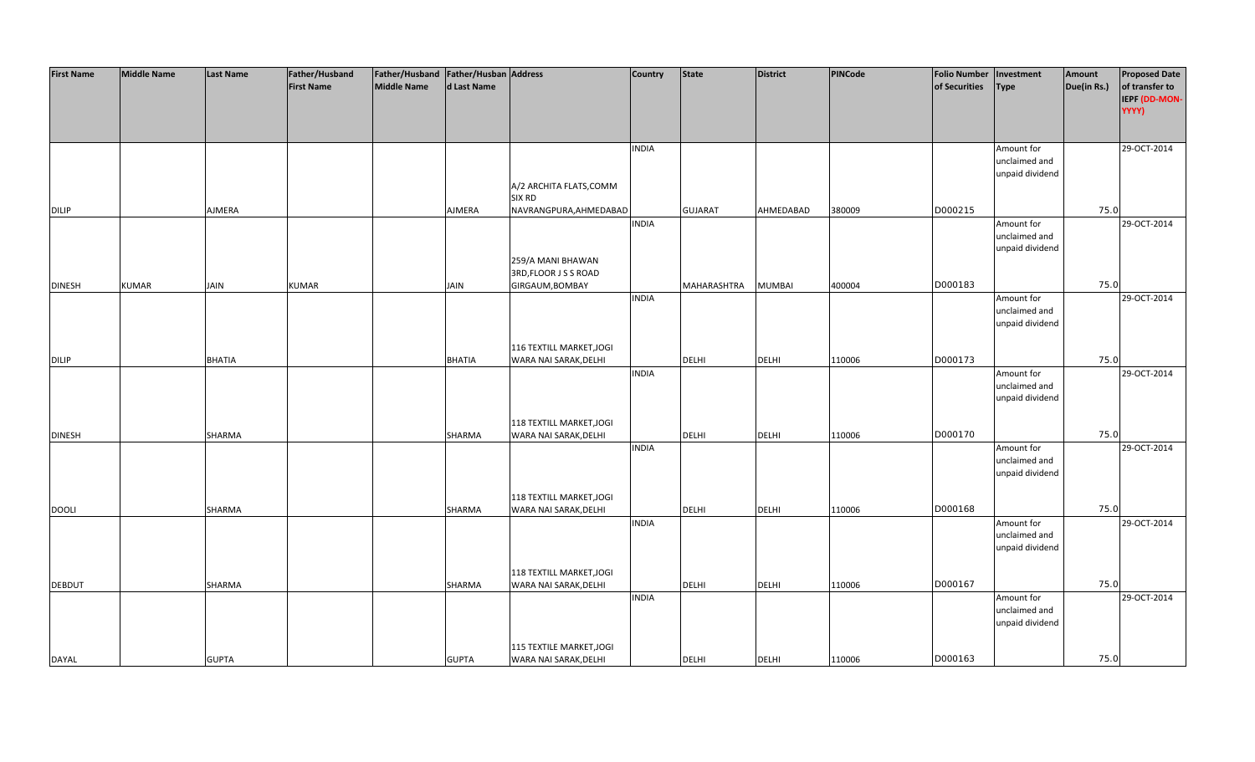| <b>First Name</b> | <b>Middle Name</b> | <b>Last Name</b> | Father/Husband    | Father/Husband Father/Husban Address |               |                                                   | <b>Country</b> | <b>State</b>   | <b>District</b> | PINCode | <b>Folio Number</b> | Investment                  | Amount      | <b>Proposed Date</b> |
|-------------------|--------------------|------------------|-------------------|--------------------------------------|---------------|---------------------------------------------------|----------------|----------------|-----------------|---------|---------------------|-----------------------------|-------------|----------------------|
|                   |                    |                  | <b>First Name</b> | <b>Middle Name</b>                   | d Last Name   |                                                   |                |                |                 |         | of Securities       | <b>Type</b>                 | Due(in Rs.) | of transfer to       |
|                   |                    |                  |                   |                                      |               |                                                   |                |                |                 |         |                     |                             |             | IEPF (DD-MON-        |
|                   |                    |                  |                   |                                      |               |                                                   |                |                |                 |         |                     |                             |             | YYYY)                |
|                   |                    |                  |                   |                                      |               |                                                   |                |                |                 |         |                     |                             |             |                      |
|                   |                    |                  |                   |                                      |               |                                                   |                |                |                 |         |                     |                             |             |                      |
|                   |                    |                  |                   |                                      |               |                                                   | <b>INDIA</b>   |                |                 |         |                     | Amount for                  |             | 29-OCT-2014          |
|                   |                    |                  |                   |                                      |               |                                                   |                |                |                 |         |                     | unclaimed and               |             |                      |
|                   |                    |                  |                   |                                      |               |                                                   |                |                |                 |         |                     | unpaid dividend             |             |                      |
|                   |                    |                  |                   |                                      |               | A/2 ARCHITA FLATS, COMM                           |                |                |                 |         |                     |                             |             |                      |
|                   |                    |                  |                   |                                      |               | <b>SIX RD</b>                                     |                |                |                 |         |                     |                             |             |                      |
| <b>DILIP</b>      |                    | AJMERA           |                   |                                      | <b>AJMERA</b> | NAVRANGPURA, AHMEDABAD                            |                | <b>GUJARAT</b> | AHMEDABAD       | 380009  | D000215             |                             | 75.0        |                      |
|                   |                    |                  |                   |                                      |               |                                                   | <b>INDIA</b>   |                |                 |         |                     | Amount for                  |             | 29-OCT-2014          |
|                   |                    |                  |                   |                                      |               |                                                   |                |                |                 |         |                     | unclaimed and               |             |                      |
|                   |                    |                  |                   |                                      |               |                                                   |                |                |                 |         |                     | unpaid dividend             |             |                      |
|                   |                    |                  |                   |                                      |               | 259/A MANI BHAWAN                                 |                |                |                 |         |                     |                             |             |                      |
|                   |                    |                  |                   |                                      |               | 3RD, FLOOR J S S ROAD                             |                |                |                 |         |                     |                             |             |                      |
| <b>DINESH</b>     | <b>KUMAR</b>       | <b>JAIN</b>      | <b>KUMAR</b>      |                                      | <b>JAIN</b>   | GIRGAUM, BOMBAY                                   |                | MAHARASHTRA    | <b>MUMBAI</b>   | 400004  | D000183             |                             | 75.0        |                      |
|                   |                    |                  |                   |                                      |               |                                                   | <b>INDIA</b>   |                |                 |         |                     | Amount for                  |             | 29-OCT-2014          |
|                   |                    |                  |                   |                                      |               |                                                   |                |                |                 |         |                     | unclaimed and               |             |                      |
|                   |                    |                  |                   |                                      |               |                                                   |                |                |                 |         |                     | unpaid dividend             |             |                      |
|                   |                    |                  |                   |                                      |               |                                                   |                |                |                 |         |                     |                             |             |                      |
|                   |                    |                  |                   |                                      |               | 116 TEXTILL MARKET, JOGI                          |                |                |                 |         | D000173             |                             | 75.0        |                      |
| <b>DILIP</b>      |                    | <b>BHATIA</b>    |                   |                                      | <b>BHATIA</b> | WARA NAI SARAK, DELHI                             |                | <b>DELHI</b>   | <b>DELHI</b>    | 110006  |                     |                             |             |                      |
|                   |                    |                  |                   |                                      |               |                                                   | <b>INDIA</b>   |                |                 |         |                     | Amount for<br>unclaimed and |             | 29-OCT-2014          |
|                   |                    |                  |                   |                                      |               |                                                   |                |                |                 |         |                     | unpaid dividend             |             |                      |
|                   |                    |                  |                   |                                      |               |                                                   |                |                |                 |         |                     |                             |             |                      |
|                   |                    |                  |                   |                                      |               | 118 TEXTILL MARKET, JOGI                          |                |                |                 |         |                     |                             |             |                      |
| <b>DINESH</b>     |                    | SHARMA           |                   |                                      | SHARMA        | WARA NAI SARAK, DELHI                             |                | <b>DELHI</b>   | <b>DELHI</b>    | 110006  | D000170             |                             | 75.0        |                      |
|                   |                    |                  |                   |                                      |               |                                                   | <b>INDIA</b>   |                |                 |         |                     | Amount for                  |             | 29-OCT-2014          |
|                   |                    |                  |                   |                                      |               |                                                   |                |                |                 |         |                     | unclaimed and               |             |                      |
|                   |                    |                  |                   |                                      |               |                                                   |                |                |                 |         |                     | unpaid dividend             |             |                      |
|                   |                    |                  |                   |                                      |               |                                                   |                |                |                 |         |                     |                             |             |                      |
|                   |                    |                  |                   |                                      |               | 118 TEXTILL MARKET, JOGI                          |                |                |                 |         |                     |                             |             |                      |
| <b>DOOLI</b>      |                    | SHARMA           |                   |                                      | SHARMA        | WARA NAI SARAK, DELHI                             |                | DELHI          | <b>DELHI</b>    | 110006  | D000168             |                             | 75.0        |                      |
|                   |                    |                  |                   |                                      |               |                                                   | <b>INDIA</b>   |                |                 |         |                     | Amount for                  |             | 29-OCT-2014          |
|                   |                    |                  |                   |                                      |               |                                                   |                |                |                 |         |                     | unclaimed and               |             |                      |
|                   |                    |                  |                   |                                      |               |                                                   |                |                |                 |         |                     | unpaid dividend             |             |                      |
|                   |                    |                  |                   |                                      |               |                                                   |                |                |                 |         |                     |                             |             |                      |
|                   |                    |                  |                   |                                      |               | 118 TEXTILL MARKET, JOGI                          |                |                |                 |         |                     |                             |             |                      |
| <b>DEBDUT</b>     |                    | SHARMA           |                   |                                      | SHARMA        | WARA NAI SARAK, DELHI                             |                | <b>DELHI</b>   | <b>DELHI</b>    | 110006  | D000167             |                             | 75.0        |                      |
|                   |                    |                  |                   |                                      |               |                                                   | <b>INDIA</b>   |                |                 |         |                     | Amount for                  |             | 29-OCT-2014          |
|                   |                    |                  |                   |                                      |               |                                                   |                |                |                 |         |                     | unclaimed and               |             |                      |
|                   |                    |                  |                   |                                      |               |                                                   |                |                |                 |         |                     | unpaid dividend             |             |                      |
|                   |                    |                  |                   |                                      |               |                                                   |                |                |                 |         |                     |                             |             |                      |
| <b>DAYAL</b>      |                    | <b>GUPTA</b>     |                   |                                      | <b>GUPTA</b>  | 115 TEXTILE MARKET, JOGI<br>WARA NAI SARAK, DELHI |                | <b>DELHI</b>   | <b>DELHI</b>    | 110006  | D000163             |                             | 75.0        |                      |
|                   |                    |                  |                   |                                      |               |                                                   |                |                |                 |         |                     |                             |             |                      |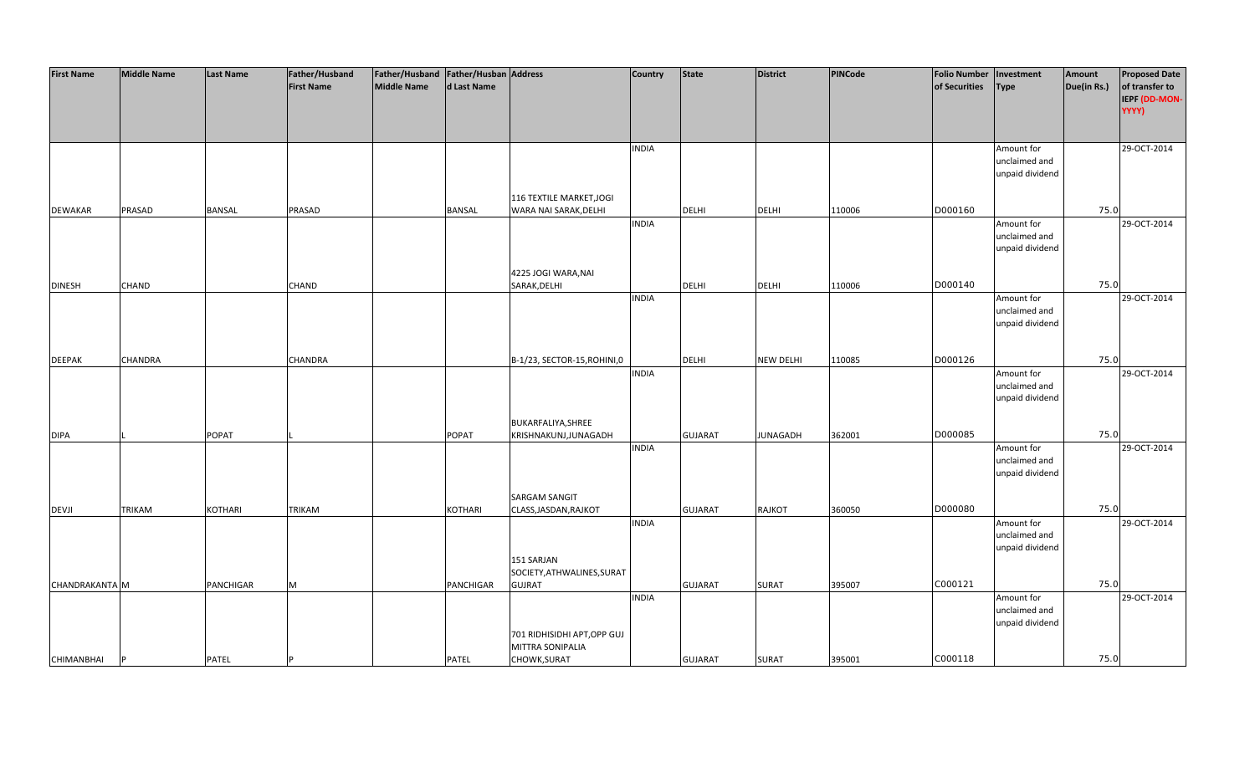| <b>First Name</b> | <b>Middle Name</b> | <b>Last Name</b> | Father/Husband    | Father/Husband Father/Husban Address |               |                              | <b>Country</b> | <b>State</b>   | <b>District</b>  | PINCode | <b>Folio Number</b> | Investment      | Amount      | <b>Proposed Date</b> |
|-------------------|--------------------|------------------|-------------------|--------------------------------------|---------------|------------------------------|----------------|----------------|------------------|---------|---------------------|-----------------|-------------|----------------------|
|                   |                    |                  | <b>First Name</b> | <b>Middle Name</b>                   | d Last Name   |                              |                |                |                  |         | of Securities       | Type            | Due(in Rs.) | of transfer to       |
|                   |                    |                  |                   |                                      |               |                              |                |                |                  |         |                     |                 |             | IEPF (DD-MON-        |
|                   |                    |                  |                   |                                      |               |                              |                |                |                  |         |                     |                 |             | YYYY)                |
|                   |                    |                  |                   |                                      |               |                              |                |                |                  |         |                     |                 |             |                      |
|                   |                    |                  |                   |                                      |               |                              |                |                |                  |         |                     |                 |             |                      |
|                   |                    |                  |                   |                                      |               |                              | <b>INDIA</b>   |                |                  |         |                     | Amount for      |             | 29-OCT-2014          |
|                   |                    |                  |                   |                                      |               |                              |                |                |                  |         |                     | unclaimed and   |             |                      |
|                   |                    |                  |                   |                                      |               |                              |                |                |                  |         |                     | unpaid dividend |             |                      |
|                   |                    |                  |                   |                                      |               |                              |                |                |                  |         |                     |                 |             |                      |
|                   |                    |                  |                   |                                      |               | 116 TEXTILE MARKET, JOGI     |                |                |                  |         |                     |                 |             |                      |
| <b>DEWAKAR</b>    | PRASAD             | <b>BANSAL</b>    | PRASAD            |                                      | <b>BANSAL</b> | WARA NAI SARAK, DELHI        |                | <b>DELHI</b>   | <b>DELHI</b>     | 110006  | D000160             |                 | 75.0        |                      |
|                   |                    |                  |                   |                                      |               |                              | <b>INDIA</b>   |                |                  |         |                     | Amount for      |             | 29-OCT-2014          |
|                   |                    |                  |                   |                                      |               |                              |                |                |                  |         |                     | unclaimed and   |             |                      |
|                   |                    |                  |                   |                                      |               |                              |                |                |                  |         |                     | unpaid dividend |             |                      |
|                   |                    |                  |                   |                                      |               |                              |                |                |                  |         |                     |                 |             |                      |
|                   |                    |                  |                   |                                      |               | 4225 JOGI WARA, NAI          |                |                |                  |         |                     |                 |             |                      |
| <b>DINESH</b>     | <b>CHAND</b>       |                  | CHAND             |                                      |               | SARAK, DELHI                 |                | <b>DELHI</b>   | <b>DELHI</b>     | 110006  | D000140             |                 | 75.0        |                      |
|                   |                    |                  |                   |                                      |               |                              | <b>INDIA</b>   |                |                  |         |                     | Amount for      |             | 29-OCT-2014          |
|                   |                    |                  |                   |                                      |               |                              |                |                |                  |         |                     | unclaimed and   |             |                      |
|                   |                    |                  |                   |                                      |               |                              |                |                |                  |         |                     |                 |             |                      |
|                   |                    |                  |                   |                                      |               |                              |                |                |                  |         |                     | unpaid dividend |             |                      |
|                   |                    |                  |                   |                                      |               |                              |                |                |                  |         |                     |                 |             |                      |
|                   |                    |                  |                   |                                      |               |                              |                | DELHI          |                  |         | D000126             |                 | 75.0        |                      |
| <b>DEEPAK</b>     | <b>CHANDRA</b>     |                  | CHANDRA           |                                      |               | B-1/23, SECTOR-15, ROHINI, 0 |                |                | <b>NEW DELHI</b> | 110085  |                     |                 |             |                      |
|                   |                    |                  |                   |                                      |               |                              | <b>INDIA</b>   |                |                  |         |                     | Amount for      |             | 29-OCT-2014          |
|                   |                    |                  |                   |                                      |               |                              |                |                |                  |         |                     | unclaimed and   |             |                      |
|                   |                    |                  |                   |                                      |               |                              |                |                |                  |         |                     | unpaid dividend |             |                      |
|                   |                    |                  |                   |                                      |               |                              |                |                |                  |         |                     |                 |             |                      |
|                   |                    |                  |                   |                                      |               | BUKARFALIYA, SHREE           |                |                |                  |         |                     |                 |             |                      |
| <b>DIPA</b>       |                    | <b>POPAT</b>     |                   |                                      | <b>POPAT</b>  | KRISHNAKUNJ, JUNAGADH        |                | <b>GUJARAT</b> | <b>JUNAGADH</b>  | 362001  | D000085             |                 | 75.0        |                      |
|                   |                    |                  |                   |                                      |               |                              | <b>INDIA</b>   |                |                  |         |                     | Amount for      |             | 29-OCT-2014          |
|                   |                    |                  |                   |                                      |               |                              |                |                |                  |         |                     | unclaimed and   |             |                      |
|                   |                    |                  |                   |                                      |               |                              |                |                |                  |         |                     | unpaid dividend |             |                      |
|                   |                    |                  |                   |                                      |               |                              |                |                |                  |         |                     |                 |             |                      |
|                   |                    |                  |                   |                                      |               | <b>SARGAM SANGIT</b>         |                |                |                  |         |                     |                 |             |                      |
| <b>DEVJI</b>      | <b>TRIKAM</b>      | <b>KOTHARI</b>   | <b>TRIKAM</b>     |                                      | KOTHARI       | CLASS, JASDAN, RAJKOT        |                | <b>GUJARAT</b> | <b>RAJKOT</b>    | 360050  | D000080             |                 | 75.0        |                      |
|                   |                    |                  |                   |                                      |               |                              | <b>INDIA</b>   |                |                  |         |                     | Amount for      |             | 29-OCT-2014          |
|                   |                    |                  |                   |                                      |               |                              |                |                |                  |         |                     | unclaimed and   |             |                      |
|                   |                    |                  |                   |                                      |               |                              |                |                |                  |         |                     | unpaid dividend |             |                      |
|                   |                    |                  |                   |                                      |               | 151 SARJAN                   |                |                |                  |         |                     |                 |             |                      |
|                   |                    |                  |                   |                                      |               | SOCIETY, ATHWALINES, SURAT   |                |                |                  |         |                     |                 |             |                      |
| CHANDRAKANTA M    |                    | <b>PANCHIGAR</b> | M                 |                                      | PANCHIGAR     | <b>GUJRAT</b>                |                | <b>GUJARAT</b> | <b>SURAT</b>     | 395007  | C000121             |                 | 75.0        |                      |
|                   |                    |                  |                   |                                      |               |                              | <b>INDIA</b>   |                |                  |         |                     | Amount for      |             | 29-OCT-2014          |
|                   |                    |                  |                   |                                      |               |                              |                |                |                  |         |                     | unclaimed and   |             |                      |
|                   |                    |                  |                   |                                      |               |                              |                |                |                  |         |                     | unpaid dividend |             |                      |
|                   |                    |                  |                   |                                      |               | 701 RIDHISIDHI APT, OPP GUJ  |                |                |                  |         |                     |                 |             |                      |
|                   |                    |                  |                   |                                      |               | MITTRA SONIPALIA             |                |                |                  |         |                     |                 |             |                      |
| <b>CHIMANBHAI</b> |                    | <b>PATEL</b>     |                   |                                      | <b>PATEL</b>  | CHOWK, SURAT                 |                | <b>GUJARAT</b> | <b>SURAT</b>     | 395001  | C000118             |                 | 75.0        |                      |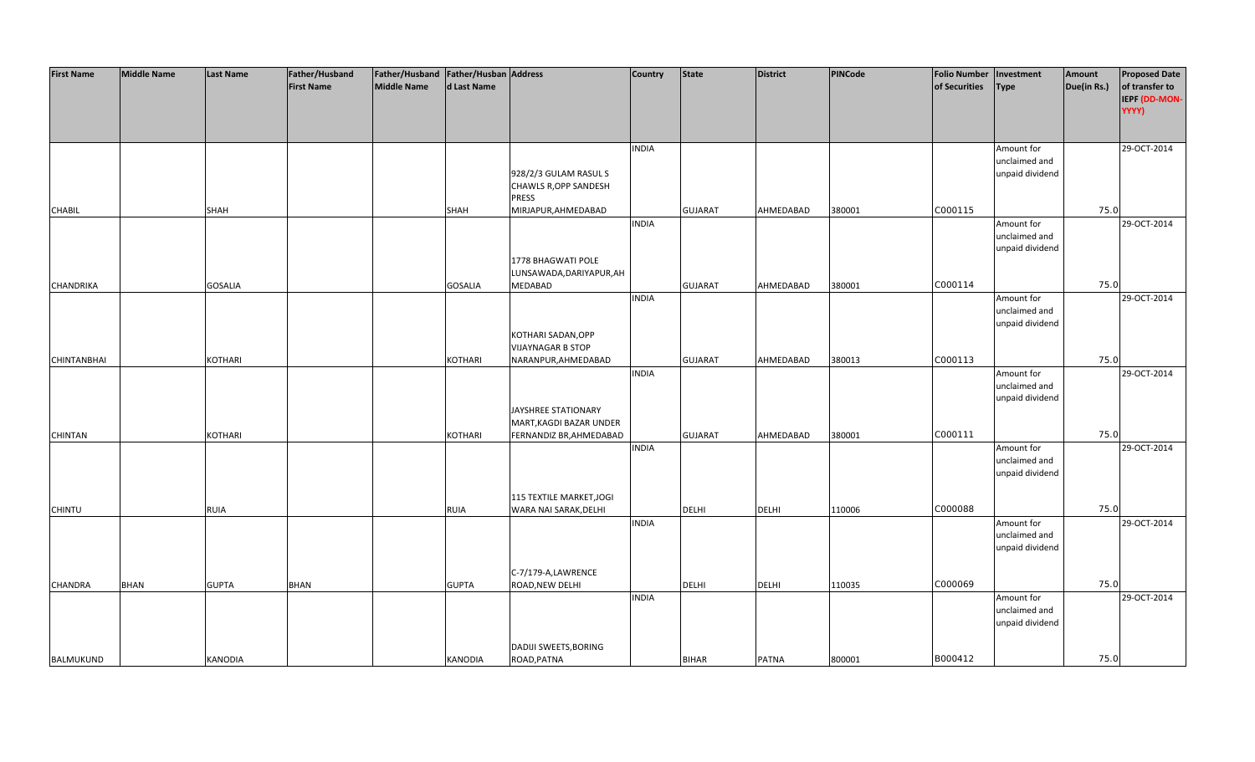| <b>First Name</b>  | <b>Middle Name</b> | <b>Last Name</b> | Father/Husband    | Father/Husband Father/Husban Address |                |                                       | <b>Country</b> | <b>State</b>   | <b>District</b> | PINCode | <b>Folio Number</b> | Investment      | Amount      | <b>Proposed Date</b> |
|--------------------|--------------------|------------------|-------------------|--------------------------------------|----------------|---------------------------------------|----------------|----------------|-----------------|---------|---------------------|-----------------|-------------|----------------------|
|                    |                    |                  | <b>First Name</b> | <b>Middle Name</b>                   | d Last Name    |                                       |                |                |                 |         | of Securities       | <b>Type</b>     | Due(in Rs.) | of transfer to       |
|                    |                    |                  |                   |                                      |                |                                       |                |                |                 |         |                     |                 |             | IEPF (DD-MON-        |
|                    |                    |                  |                   |                                      |                |                                       |                |                |                 |         |                     |                 |             | YYYY)                |
|                    |                    |                  |                   |                                      |                |                                       |                |                |                 |         |                     |                 |             |                      |
|                    |                    |                  |                   |                                      |                |                                       |                |                |                 |         |                     |                 |             |                      |
|                    |                    |                  |                   |                                      |                |                                       | <b>INDIA</b>   |                |                 |         |                     | Amount for      |             | 29-OCT-2014          |
|                    |                    |                  |                   |                                      |                |                                       |                |                |                 |         |                     | unclaimed and   |             |                      |
|                    |                    |                  |                   |                                      |                | 928/2/3 GULAM RASUL S                 |                |                |                 |         |                     | unpaid dividend |             |                      |
|                    |                    |                  |                   |                                      |                | CHAWLS R, OPP SANDESH                 |                |                |                 |         |                     |                 |             |                      |
|                    |                    |                  |                   |                                      |                | <b>PRESS</b>                          |                |                |                 |         |                     |                 |             |                      |
| <b>CHABIL</b>      |                    | <b>SHAH</b>      |                   |                                      | <b>SHAH</b>    | MIRJAPUR, AHMEDABAD                   |                | <b>GUJARAT</b> | AHMEDABAD       | 380001  | C000115             |                 | 75.0        |                      |
|                    |                    |                  |                   |                                      |                |                                       | <b>INDIA</b>   |                |                 |         |                     | Amount for      |             | 29-OCT-2014          |
|                    |                    |                  |                   |                                      |                |                                       |                |                |                 |         |                     | unclaimed and   |             |                      |
|                    |                    |                  |                   |                                      |                |                                       |                |                |                 |         |                     | unpaid dividend |             |                      |
|                    |                    |                  |                   |                                      |                | 1778 BHAGWATI POLE                    |                |                |                 |         |                     |                 |             |                      |
|                    |                    |                  |                   |                                      |                | LUNSAWADA, DARIYAPUR, AH              |                |                |                 |         |                     |                 |             |                      |
| <b>CHANDRIKA</b>   |                    | <b>GOSALIA</b>   |                   |                                      | <b>GOSALIA</b> | <b>MEDABAD</b>                        |                | <b>GUJARAT</b> | AHMEDABAD       | 380001  | C000114             |                 | 75.0        |                      |
|                    |                    |                  |                   |                                      |                |                                       | <b>INDIA</b>   |                |                 |         |                     | Amount for      |             | 29-OCT-2014          |
|                    |                    |                  |                   |                                      |                |                                       |                |                |                 |         |                     | unclaimed and   |             |                      |
|                    |                    |                  |                   |                                      |                |                                       |                |                |                 |         |                     | unpaid dividend |             |                      |
|                    |                    |                  |                   |                                      |                | KOTHARI SADAN, OPP                    |                |                |                 |         |                     |                 |             |                      |
|                    |                    |                  |                   |                                      |                | <b>VIJAYNAGAR B STOP</b>              |                |                |                 |         |                     |                 |             |                      |
| <b>CHINTANBHAI</b> |                    | <b>KOTHARI</b>   |                   |                                      | KOTHARI        | NARANPUR, AHMEDABAD                   |                | <b>GUJARAT</b> | AHMEDABAD       | 380013  | C000113             |                 | 75.0        |                      |
|                    |                    |                  |                   |                                      |                |                                       | <b>INDIA</b>   |                |                 |         |                     | Amount for      |             | 29-OCT-2014          |
|                    |                    |                  |                   |                                      |                |                                       |                |                |                 |         |                     | unclaimed and   |             |                      |
|                    |                    |                  |                   |                                      |                |                                       |                |                |                 |         |                     | unpaid dividend |             |                      |
|                    |                    |                  |                   |                                      |                | JAYSHREE STATIONARY                   |                |                |                 |         |                     |                 |             |                      |
|                    |                    |                  |                   |                                      |                | MART, KAGDI BAZAR UNDER               |                |                |                 |         |                     |                 |             |                      |
| <b>CHINTAN</b>     |                    | <b>KOTHARI</b>   |                   |                                      | <b>KOTHARI</b> | FERNANDIZ BR, AHMEDABAD               |                | <b>GUJARAT</b> | AHMEDABAD       | 380001  | C000111             |                 | 75.0        |                      |
|                    |                    |                  |                   |                                      |                |                                       | <b>INDIA</b>   |                |                 |         |                     | Amount for      |             | 29-OCT-2014          |
|                    |                    |                  |                   |                                      |                |                                       |                |                |                 |         |                     | unclaimed and   |             |                      |
|                    |                    |                  |                   |                                      |                |                                       |                |                |                 |         |                     | unpaid dividend |             |                      |
|                    |                    |                  |                   |                                      |                |                                       |                |                |                 |         |                     |                 |             |                      |
|                    |                    |                  |                   |                                      |                | 115 TEXTILE MARKET, JOGI              |                |                |                 |         |                     |                 |             |                      |
| <b>CHINTU</b>      |                    | <b>RUIA</b>      |                   |                                      | <b>RUIA</b>    | WARA NAI SARAK, DELHI                 |                | DELHI          | <b>DELHI</b>    | 110006  | C000088             |                 | 75.0        |                      |
|                    |                    |                  |                   |                                      |                |                                       | <b>INDIA</b>   |                |                 |         |                     | Amount for      |             | 29-OCT-2014          |
|                    |                    |                  |                   |                                      |                |                                       |                |                |                 |         |                     | unclaimed and   |             |                      |
|                    |                    |                  |                   |                                      |                |                                       |                |                |                 |         |                     | unpaid dividend |             |                      |
|                    |                    |                  |                   |                                      |                |                                       |                |                |                 |         |                     |                 |             |                      |
| <b>CHANDRA</b>     | <b>BHAN</b>        | <b>GUPTA</b>     | <b>BHAN</b>       |                                      | <b>GUPTA</b>   | C-7/179-A,LAWRENCE<br>ROAD, NEW DELHI |                | <b>DELHI</b>   | <b>DELHI</b>    | 110035  | C000069             |                 | 75.0        |                      |
|                    |                    |                  |                   |                                      |                |                                       | <b>INDIA</b>   |                |                 |         |                     | Amount for      |             | 29-OCT-2014          |
|                    |                    |                  |                   |                                      |                |                                       |                |                |                 |         |                     | unclaimed and   |             |                      |
|                    |                    |                  |                   |                                      |                |                                       |                |                |                 |         |                     | unpaid dividend |             |                      |
|                    |                    |                  |                   |                                      |                |                                       |                |                |                 |         |                     |                 |             |                      |
|                    |                    |                  |                   |                                      |                | DADIJI SWEETS, BORING                 |                |                |                 |         |                     |                 |             |                      |
| BALMUKUND          |                    | <b>KANODIA</b>   |                   |                                      | KANODIA        | ROAD, PATNA                           |                | <b>BIHAR</b>   | <b>PATNA</b>    | 800001  | B000412             |                 | 75.0        |                      |
|                    |                    |                  |                   |                                      |                |                                       |                |                |                 |         |                     |                 |             |                      |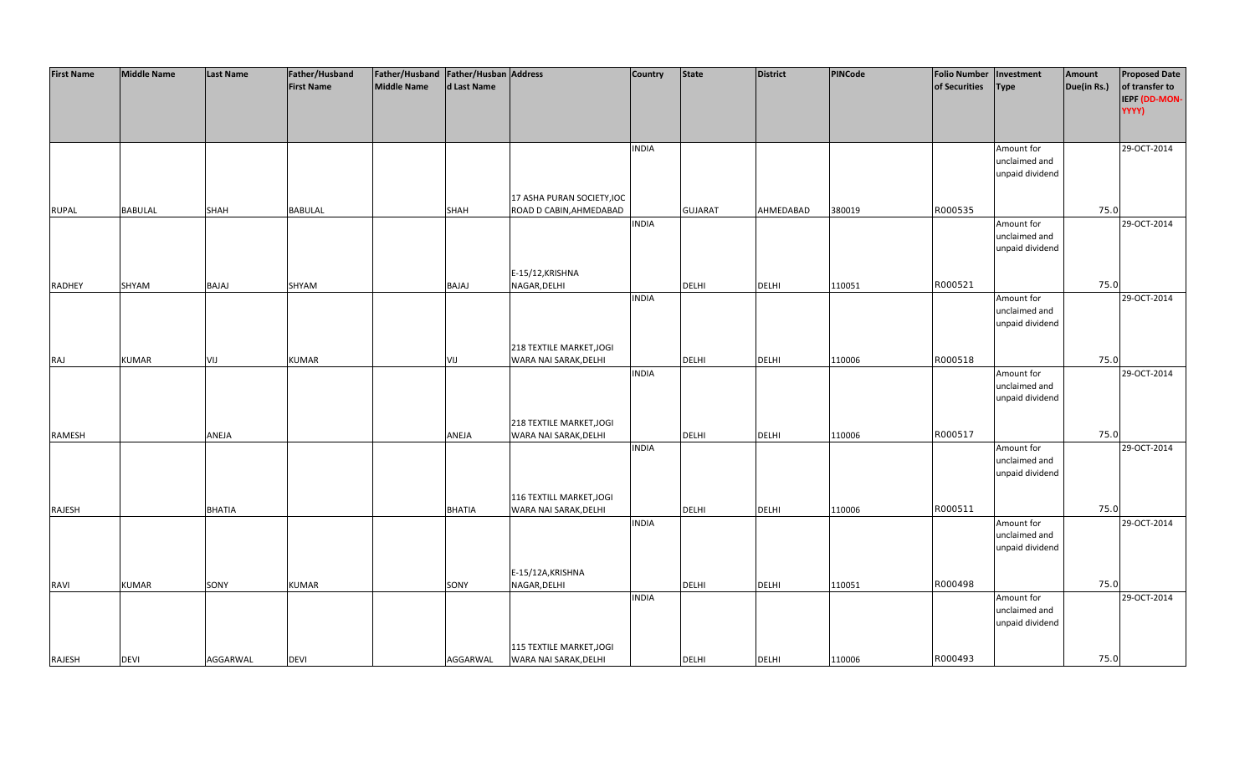| <b>First Name</b> | <b>Middle Name</b> | Last Name     | Father/Husband    | Father/Husband   Father/Husban   Address |               |                            | <b>Country</b> | <b>State</b>   | District     | PINCode | <b>Folio Number</b> | Investment      | Amount      | <b>Proposed Date</b>   |
|-------------------|--------------------|---------------|-------------------|------------------------------------------|---------------|----------------------------|----------------|----------------|--------------|---------|---------------------|-----------------|-------------|------------------------|
|                   |                    |               | <b>First Name</b> | Middle Name                              | d Last Name   |                            |                |                |              |         | of Securities       | <b>Type</b>     | Due(in Rs.) | of transfer to         |
|                   |                    |               |                   |                                          |               |                            |                |                |              |         |                     |                 |             | IEPF (DD-MON-<br>YYYY) |
|                   |                    |               |                   |                                          |               |                            |                |                |              |         |                     |                 |             |                        |
|                   |                    |               |                   |                                          |               |                            |                |                |              |         |                     |                 |             |                        |
|                   |                    |               |                   |                                          |               |                            | <b>INDIA</b>   |                |              |         |                     | Amount for      |             | 29-OCT-2014            |
|                   |                    |               |                   |                                          |               |                            |                |                |              |         |                     | unclaimed and   |             |                        |
|                   |                    |               |                   |                                          |               |                            |                |                |              |         |                     | unpaid dividend |             |                        |
|                   |                    |               |                   |                                          |               |                            |                |                |              |         |                     |                 |             |                        |
|                   | <b>BABULAL</b>     | SHAH          | <b>BABULAL</b>    |                                          |               | 17 ASHA PURAN SOCIETY, IOC |                | <b>GUJARAT</b> | AHMEDABAD    | 380019  | R000535             |                 | 75.0        |                        |
| <b>RUPAL</b>      |                    |               |                   |                                          | SHAH          | ROAD D CABIN, AHMEDABAD    | <b>INDIA</b>   |                |              |         |                     | Amount for      |             | 29-OCT-2014            |
|                   |                    |               |                   |                                          |               |                            |                |                |              |         |                     | unclaimed and   |             |                        |
|                   |                    |               |                   |                                          |               |                            |                |                |              |         |                     | unpaid dividend |             |                        |
|                   |                    |               |                   |                                          |               |                            |                |                |              |         |                     |                 |             |                        |
|                   |                    |               |                   |                                          |               | E-15/12, KRISHNA           |                |                |              |         |                     |                 |             |                        |
| <b>RADHEY</b>     | SHYAM              | BAJAJ         | SHYAM             |                                          | <b>BAJAJ</b>  | NAGAR, DELHI               |                | DELHI          | <b>DELHI</b> | 110051  | R000521             |                 | 75.0        |                        |
|                   |                    |               |                   |                                          |               |                            | <b>INDIA</b>   |                |              |         |                     | Amount for      |             | 29-OCT-2014            |
|                   |                    |               |                   |                                          |               |                            |                |                |              |         |                     | unclaimed and   |             |                        |
|                   |                    |               |                   |                                          |               |                            |                |                |              |         |                     | unpaid dividend |             |                        |
|                   |                    |               |                   |                                          |               | 218 TEXTILE MARKET, JOGI   |                |                |              |         |                     |                 |             |                        |
| RAJ               | <b>KUMAR</b>       | VIJ           | <b>KUMAR</b>      |                                          | VIJ           | WARA NAI SARAK, DELHI      |                | <b>DELHI</b>   | <b>DELHI</b> | 110006  | R000518             |                 | 75.0        |                        |
|                   |                    |               |                   |                                          |               |                            | <b>INDIA</b>   |                |              |         |                     | Amount for      |             | 29-OCT-2014            |
|                   |                    |               |                   |                                          |               |                            |                |                |              |         |                     | unclaimed and   |             |                        |
|                   |                    |               |                   |                                          |               |                            |                |                |              |         |                     | unpaid dividend |             |                        |
|                   |                    |               |                   |                                          |               |                            |                |                |              |         |                     |                 |             |                        |
|                   |                    |               |                   |                                          |               | 218 TEXTILE MARKET, JOGI   |                |                |              |         |                     |                 |             |                        |
| RAMESH            |                    | ANEJA         |                   |                                          | ANEJA         | WARA NAI SARAK, DELHI      | <b>INDIA</b>   | <b>DELHI</b>   | <b>DELHI</b> | 110006  | R000517             | Amount for      | 75.0        | 29-OCT-2014            |
|                   |                    |               |                   |                                          |               |                            |                |                |              |         |                     | unclaimed and   |             |                        |
|                   |                    |               |                   |                                          |               |                            |                |                |              |         |                     | unpaid dividend |             |                        |
|                   |                    |               |                   |                                          |               |                            |                |                |              |         |                     |                 |             |                        |
|                   |                    |               |                   |                                          |               | 116 TEXTILL MARKET, JOGI   |                |                |              |         |                     |                 |             |                        |
| RAJESH            |                    | <b>BHATIA</b> |                   |                                          | <b>BHATIA</b> | WARA NAI SARAK, DELHI      |                | DELHI          | <b>DELHI</b> | 110006  | R000511             |                 | 75.0        |                        |
|                   |                    |               |                   |                                          |               |                            | <b>INDIA</b>   |                |              |         |                     | Amount for      |             | 29-OCT-2014            |
|                   |                    |               |                   |                                          |               |                            |                |                |              |         |                     | unclaimed and   |             |                        |
|                   |                    |               |                   |                                          |               |                            |                |                |              |         |                     | unpaid dividend |             |                        |
|                   |                    |               |                   |                                          |               | E-15/12A, KRISHNA          |                |                |              |         |                     |                 |             |                        |
| <b>RAVI</b>       | <b>KUMAR</b>       | SONY          | <b>KUMAR</b>      |                                          | SONY          | NAGAR, DELHI               |                | <b>DELHI</b>   | <b>DELHI</b> | 110051  | R000498             |                 | 75.0        |                        |
|                   |                    |               |                   |                                          |               |                            | <b>INDIA</b>   |                |              |         |                     | Amount for      |             | 29-OCT-2014            |
|                   |                    |               |                   |                                          |               |                            |                |                |              |         |                     | unclaimed and   |             |                        |
|                   |                    |               |                   |                                          |               |                            |                |                |              |         |                     | unpaid dividend |             |                        |
|                   |                    |               |                   |                                          |               |                            |                |                |              |         |                     |                 |             |                        |
|                   |                    |               |                   |                                          |               | 115 TEXTILE MARKET, JOGI   |                |                |              |         |                     |                 |             |                        |
| RAJESH            | <b>DEVI</b>        | AGGARWAL      | <b>DEVI</b>       |                                          | AGGARWAL      | WARA NAI SARAK, DELHI      |                | <b>DELHI</b>   | <b>DELHI</b> | 110006  | R000493             |                 | 75.0        |                        |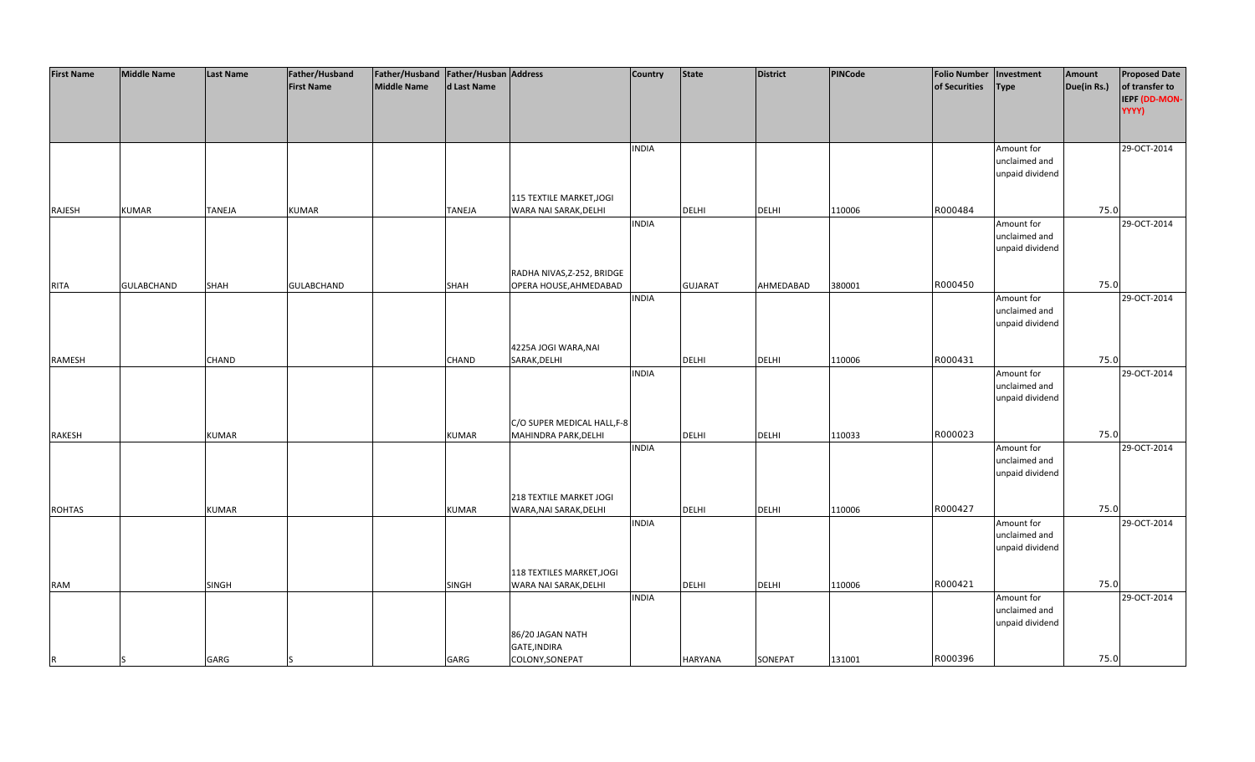| <b>First Name</b> | <b>Middle Name</b> | <b>Last Name</b> | Father/Husband    | Father/Husband   Father/Husban   Address |               |                             | <b>Country</b> | <b>State</b>   | <b>District</b> | PINCode | <b>Folio Number</b> | Investment      | Amount      | <b>Proposed Date</b> |
|-------------------|--------------------|------------------|-------------------|------------------------------------------|---------------|-----------------------------|----------------|----------------|-----------------|---------|---------------------|-----------------|-------------|----------------------|
|                   |                    |                  | <b>First Name</b> | <b>Middle Name</b>                       | d Last Name   |                             |                |                |                 |         | of Securities       | Type            | Due(in Rs.) | of transfer to       |
|                   |                    |                  |                   |                                          |               |                             |                |                |                 |         |                     |                 |             | IEPF (DD-MON-        |
|                   |                    |                  |                   |                                          |               |                             |                |                |                 |         |                     |                 |             | YYYY)                |
|                   |                    |                  |                   |                                          |               |                             |                |                |                 |         |                     |                 |             |                      |
|                   |                    |                  |                   |                                          |               |                             |                |                |                 |         |                     |                 |             |                      |
|                   |                    |                  |                   |                                          |               |                             | <b>INDIA</b>   |                |                 |         |                     | Amount for      |             | 29-OCT-2014          |
|                   |                    |                  |                   |                                          |               |                             |                |                |                 |         |                     | unclaimed and   |             |                      |
|                   |                    |                  |                   |                                          |               |                             |                |                |                 |         |                     | unpaid dividend |             |                      |
|                   |                    |                  |                   |                                          |               |                             |                |                |                 |         |                     |                 |             |                      |
|                   |                    |                  |                   |                                          |               | 115 TEXTILE MARKET, JOGI    |                |                |                 |         |                     |                 |             |                      |
| RAJESH            | <b>KUMAR</b>       | <b>TANEJA</b>    | <b>KUMAR</b>      |                                          | <b>TANEJA</b> | WARA NAI SARAK, DELHI       |                | <b>DELHI</b>   | <b>DELHI</b>    | 110006  | R000484             |                 | 75.0        |                      |
|                   |                    |                  |                   |                                          |               |                             | <b>INDIA</b>   |                |                 |         |                     | Amount for      |             | 29-OCT-2014          |
|                   |                    |                  |                   |                                          |               |                             |                |                |                 |         |                     | unclaimed and   |             |                      |
|                   |                    |                  |                   |                                          |               |                             |                |                |                 |         |                     | unpaid dividend |             |                      |
|                   |                    |                  |                   |                                          |               |                             |                |                |                 |         |                     |                 |             |                      |
|                   |                    |                  |                   |                                          |               | RADHA NIVAS, Z-252, BRIDGE  |                |                |                 |         |                     |                 |             |                      |
| <b>RITA</b>       | <b>GULABCHAND</b>  | <b>SHAH</b>      | <b>GULABCHAND</b> |                                          | SHAH          | OPERA HOUSE, AHMEDABAD      |                | <b>GUJARAT</b> | AHMEDABAD       | 380001  | R000450             |                 | 75.0        |                      |
|                   |                    |                  |                   |                                          |               |                             | <b>INDIA</b>   |                |                 |         |                     | Amount for      |             | 29-OCT-2014          |
|                   |                    |                  |                   |                                          |               |                             |                |                |                 |         |                     | unclaimed and   |             |                      |
|                   |                    |                  |                   |                                          |               |                             |                |                |                 |         |                     | unpaid dividend |             |                      |
|                   |                    |                  |                   |                                          |               |                             |                |                |                 |         |                     |                 |             |                      |
|                   |                    |                  |                   |                                          |               | 4225A JOGI WARA, NAI        |                |                |                 |         |                     |                 |             |                      |
| RAMESH            |                    | CHAND            |                   |                                          | CHAND         | SARAK, DELHI                |                | DELHI          | <b>DELHI</b>    | 110006  | R000431             |                 | 75.0        |                      |
|                   |                    |                  |                   |                                          |               |                             | <b>INDIA</b>   |                |                 |         |                     | Amount for      |             | 29-OCT-2014          |
|                   |                    |                  |                   |                                          |               |                             |                |                |                 |         |                     | unclaimed and   |             |                      |
|                   |                    |                  |                   |                                          |               |                             |                |                |                 |         |                     | unpaid dividend |             |                      |
|                   |                    |                  |                   |                                          |               |                             |                |                |                 |         |                     |                 |             |                      |
|                   |                    |                  |                   |                                          |               | C/O SUPER MEDICAL HALL, F-8 |                |                |                 |         |                     |                 |             |                      |
| RAKESH            |                    | <b>KUMAR</b>     |                   |                                          | <b>KUMAR</b>  | MAHINDRA PARK, DELHI        |                | <b>DELHI</b>   | <b>DELHI</b>    | 110033  | R000023             |                 | 75.0        |                      |
|                   |                    |                  |                   |                                          |               |                             | <b>INDIA</b>   |                |                 |         |                     | Amount for      |             | 29-OCT-2014          |
|                   |                    |                  |                   |                                          |               |                             |                |                |                 |         |                     | unclaimed and   |             |                      |
|                   |                    |                  |                   |                                          |               |                             |                |                |                 |         |                     | unpaid dividend |             |                      |
|                   |                    |                  |                   |                                          |               |                             |                |                |                 |         |                     |                 |             |                      |
|                   |                    |                  |                   |                                          |               | 218 TEXTILE MARKET JOGI     |                |                |                 |         |                     |                 |             |                      |
| <b>ROHTAS</b>     |                    | <b>KUMAR</b>     |                   |                                          | <b>KUMAR</b>  | WARA, NAI SARAK, DELHI      |                | DELHI          | <b>DELHI</b>    | 110006  | R000427             |                 | 75.0        |                      |
|                   |                    |                  |                   |                                          |               |                             | <b>INDIA</b>   |                |                 |         |                     | Amount for      |             | 29-OCT-2014          |
|                   |                    |                  |                   |                                          |               |                             |                |                |                 |         |                     | unclaimed and   |             |                      |
|                   |                    |                  |                   |                                          |               |                             |                |                |                 |         |                     | unpaid dividend |             |                      |
|                   |                    |                  |                   |                                          |               |                             |                |                |                 |         |                     |                 |             |                      |
|                   |                    |                  |                   |                                          |               | 118 TEXTILES MARKET, JOGI   |                |                |                 |         |                     |                 |             |                      |
| <b>RAM</b>        |                    | SINGH            |                   |                                          | SINGH         | WARA NAI SARAK, DELHI       |                | <b>DELHI</b>   | <b>DELHI</b>    | 110006  | R000421             |                 | 75.0        |                      |
|                   |                    |                  |                   |                                          |               |                             | <b>INDIA</b>   |                |                 |         |                     | Amount for      |             | 29-OCT-2014          |
|                   |                    |                  |                   |                                          |               |                             |                |                |                 |         |                     | unclaimed and   |             |                      |
|                   |                    |                  |                   |                                          |               |                             |                |                |                 |         |                     | unpaid dividend |             |                      |
|                   |                    |                  |                   |                                          |               | 86/20 JAGAN NATH            |                |                |                 |         |                     |                 |             |                      |
|                   |                    |                  |                   |                                          |               | GATE, INDIRA                |                |                |                 |         |                     |                 |             |                      |
| R                 |                    | GARG             |                   |                                          | GARG          | COLONY, SONEPAT             |                | <b>HARYANA</b> | SONEPAT         | 131001  | R000396             |                 | 75.0        |                      |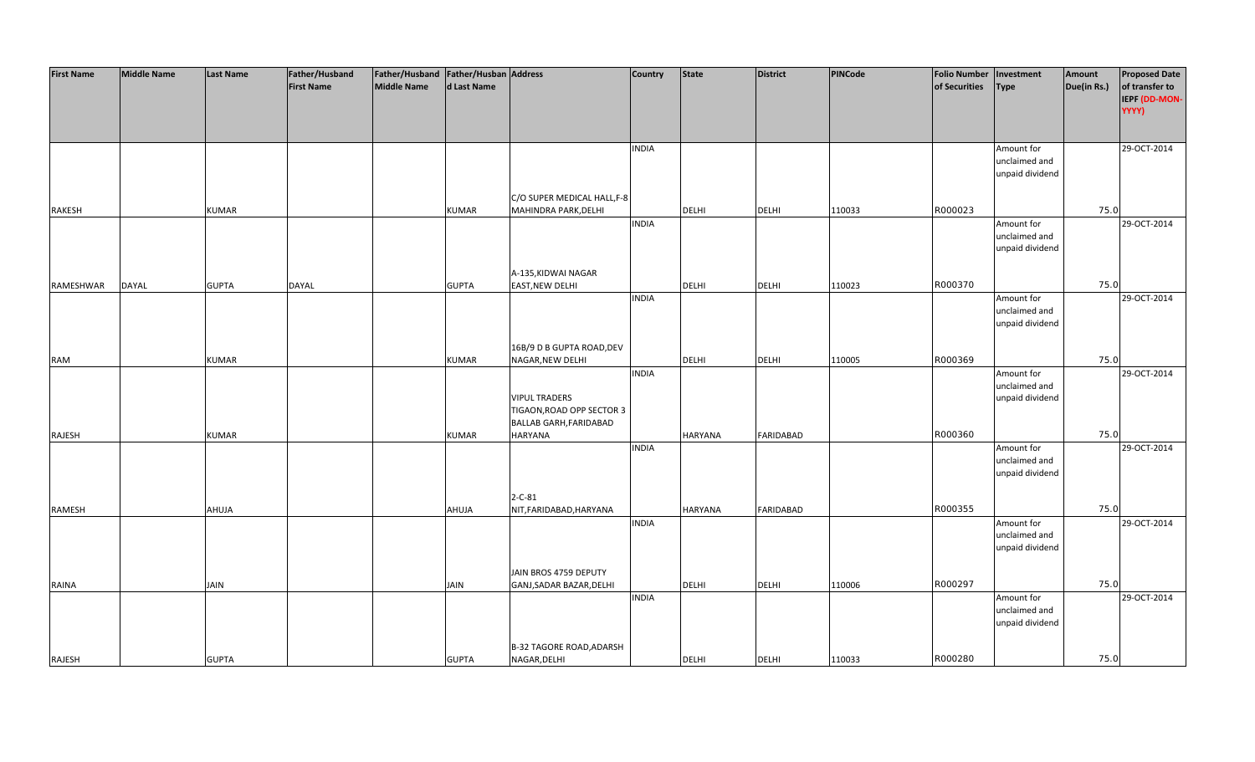| <b>First Name</b> | <b>Middle Name</b> | <b>Last Name</b> | Father/Husband    | Father/Husband Father/Husban Address |              |                                         | <b>Country</b> | <b>State</b>   | <b>District</b>  | PINCode | <b>Folio Number</b> | Investment      | Amount      | <b>Proposed Date</b> |
|-------------------|--------------------|------------------|-------------------|--------------------------------------|--------------|-----------------------------------------|----------------|----------------|------------------|---------|---------------------|-----------------|-------------|----------------------|
|                   |                    |                  | <b>First Name</b> | <b>Middle Name</b>                   | d Last Name  |                                         |                |                |                  |         | of Securities       | <b>Type</b>     | Due(in Rs.) | of transfer to       |
|                   |                    |                  |                   |                                      |              |                                         |                |                |                  |         |                     |                 |             | IEPF (DD-MON-        |
|                   |                    |                  |                   |                                      |              |                                         |                |                |                  |         |                     |                 |             | YYYY)                |
|                   |                    |                  |                   |                                      |              |                                         |                |                |                  |         |                     |                 |             |                      |
|                   |                    |                  |                   |                                      |              |                                         |                |                |                  |         |                     |                 |             |                      |
|                   |                    |                  |                   |                                      |              |                                         | <b>INDIA</b>   |                |                  |         |                     | Amount for      |             | 29-OCT-2014          |
|                   |                    |                  |                   |                                      |              |                                         |                |                |                  |         |                     | unclaimed and   |             |                      |
|                   |                    |                  |                   |                                      |              |                                         |                |                |                  |         |                     | unpaid dividend |             |                      |
|                   |                    |                  |                   |                                      |              |                                         |                |                |                  |         |                     |                 |             |                      |
|                   |                    |                  |                   |                                      |              | C/O SUPER MEDICAL HALL, F-8             |                |                |                  |         |                     |                 |             |                      |
| <b>RAKESH</b>     |                    | <b>KUMAR</b>     |                   |                                      | <b>KUMAR</b> | MAHINDRA PARK, DELHI                    |                | <b>DELHI</b>   | <b>DELHI</b>     | 110033  | R000023             |                 | 75.0        |                      |
|                   |                    |                  |                   |                                      |              |                                         | <b>INDIA</b>   |                |                  |         |                     | Amount for      |             | 29-OCT-2014          |
|                   |                    |                  |                   |                                      |              |                                         |                |                |                  |         |                     | unclaimed and   |             |                      |
|                   |                    |                  |                   |                                      |              |                                         |                |                |                  |         |                     | unpaid dividend |             |                      |
|                   |                    |                  |                   |                                      |              | A-135, KIDWAI NAGAR                     |                |                |                  |         |                     |                 |             |                      |
| RAMESHWAR         | <b>DAYAL</b>       | <b>GUPTA</b>     | DAYAL             |                                      | <b>GUPTA</b> | <b>EAST, NEW DELHI</b>                  |                | <b>DELHI</b>   | <b>DELHI</b>     | 110023  | R000370             |                 | 75.0        |                      |
|                   |                    |                  |                   |                                      |              |                                         | <b>INDIA</b>   |                |                  |         |                     | Amount for      |             | 29-OCT-2014          |
|                   |                    |                  |                   |                                      |              |                                         |                |                |                  |         |                     | unclaimed and   |             |                      |
|                   |                    |                  |                   |                                      |              |                                         |                |                |                  |         |                     | unpaid dividend |             |                      |
|                   |                    |                  |                   |                                      |              |                                         |                |                |                  |         |                     |                 |             |                      |
|                   |                    |                  |                   |                                      |              | 16B/9 D B GUPTA ROAD, DEV               |                |                |                  |         |                     |                 |             |                      |
| <b>RAM</b>        |                    | <b>KUMAR</b>     |                   |                                      | <b>KUMAR</b> | NAGAR, NEW DELHI                        |                | DELHI          | <b>DELHI</b>     | 110005  | R000369             |                 | 75.0        |                      |
|                   |                    |                  |                   |                                      |              |                                         | <b>INDIA</b>   |                |                  |         |                     | Amount for      |             | 29-OCT-2014          |
|                   |                    |                  |                   |                                      |              |                                         |                |                |                  |         |                     | unclaimed and   |             |                      |
|                   |                    |                  |                   |                                      |              | <b>VIPUL TRADERS</b>                    |                |                |                  |         |                     | unpaid dividend |             |                      |
|                   |                    |                  |                   |                                      |              | TIGAON, ROAD OPP SECTOR 3               |                |                |                  |         |                     |                 |             |                      |
|                   |                    |                  |                   |                                      |              | BALLAB GARH, FARIDABAD                  |                |                |                  |         |                     |                 |             |                      |
| RAJESH            |                    | <b>KUMAR</b>     |                   |                                      | <b>KUMAR</b> | <b>HARYANA</b>                          |                | <b>HARYANA</b> | <b>FARIDABAD</b> |         | R000360             |                 | 75.0        |                      |
|                   |                    |                  |                   |                                      |              |                                         | <b>INDIA</b>   |                |                  |         |                     | Amount for      |             | 29-OCT-2014          |
|                   |                    |                  |                   |                                      |              |                                         |                |                |                  |         |                     | unclaimed and   |             |                      |
|                   |                    |                  |                   |                                      |              |                                         |                |                |                  |         |                     | unpaid dividend |             |                      |
|                   |                    |                  |                   |                                      |              |                                         |                |                |                  |         |                     |                 |             |                      |
|                   |                    |                  |                   |                                      |              | $2 - C - 81$<br>NIT, FARIDABAD, HARYANA |                |                |                  |         | R000355             |                 | 75.0        |                      |
| RAMESH            |                    | AHUJA            |                   |                                      | AHUJA        |                                         | <b>INDIA</b>   | HARYANA        | <b>FARIDABAD</b> |         |                     | Amount for      |             | 29-OCT-2014          |
|                   |                    |                  |                   |                                      |              |                                         |                |                |                  |         |                     | unclaimed and   |             |                      |
|                   |                    |                  |                   |                                      |              |                                         |                |                |                  |         |                     | unpaid dividend |             |                      |
|                   |                    |                  |                   |                                      |              |                                         |                |                |                  |         |                     |                 |             |                      |
|                   |                    |                  |                   |                                      |              | JAIN BROS 4759 DEPUTY                   |                |                |                  |         |                     |                 |             |                      |
| <b>RAINA</b>      |                    | JAIN             |                   |                                      | <b>JAIN</b>  | GANJ, SADAR BAZAR, DELHI                |                | <b>DELHI</b>   | <b>DELHI</b>     | 110006  | R000297             |                 | 75.0        |                      |
|                   |                    |                  |                   |                                      |              |                                         | <b>INDIA</b>   |                |                  |         |                     | Amount for      |             | 29-OCT-2014          |
|                   |                    |                  |                   |                                      |              |                                         |                |                |                  |         |                     | unclaimed and   |             |                      |
|                   |                    |                  |                   |                                      |              |                                         |                |                |                  |         |                     | unpaid dividend |             |                      |
|                   |                    |                  |                   |                                      |              |                                         |                |                |                  |         |                     |                 |             |                      |
|                   |                    |                  |                   |                                      |              | <b>B-32 TAGORE ROAD, ADARSH</b>         |                |                |                  |         |                     |                 |             |                      |
| RAJESH            |                    | <b>GUPTA</b>     |                   |                                      | <b>GUPTA</b> | NAGAR, DELHI                            |                | <b>DELHI</b>   | <b>DELHI</b>     | 110033  | R000280             |                 | 75.0        |                      |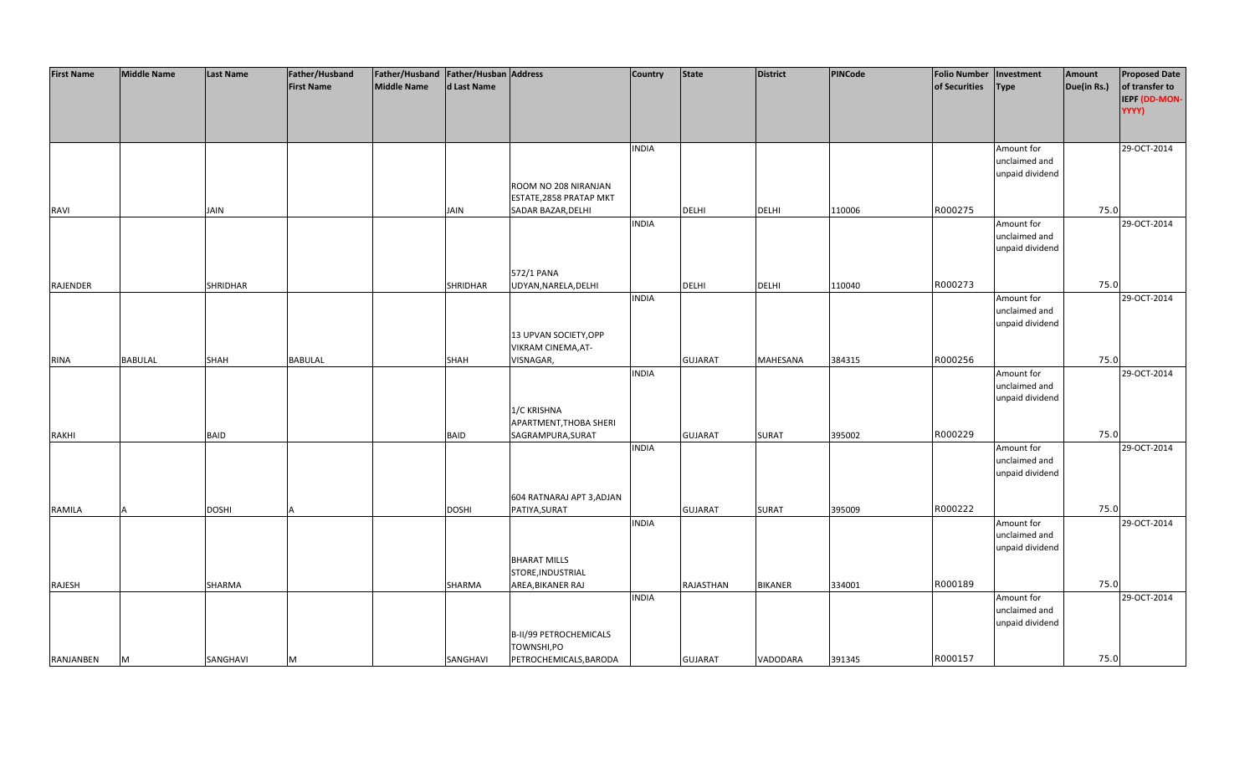| <b>First Name</b> | <b>Middle Name</b> | <b>Last Name</b> | Father/Husband    | Father/Husband Father/Husban Address |                 |                           | <b>Country</b> | <b>State</b>   | <b>District</b> | PINCode | <b>Folio Number</b> | Investment      | Amount      | <b>Proposed Date</b> |
|-------------------|--------------------|------------------|-------------------|--------------------------------------|-----------------|---------------------------|----------------|----------------|-----------------|---------|---------------------|-----------------|-------------|----------------------|
|                   |                    |                  | <b>First Name</b> | <b>Middle Name</b>                   | d Last Name     |                           |                |                |                 |         | of Securities       | <b>Type</b>     | Due(in Rs.) | of transfer to       |
|                   |                    |                  |                   |                                      |                 |                           |                |                |                 |         |                     |                 |             | IEPF (DD-MON-        |
|                   |                    |                  |                   |                                      |                 |                           |                |                |                 |         |                     |                 |             | YYYY)                |
|                   |                    |                  |                   |                                      |                 |                           |                |                |                 |         |                     |                 |             |                      |
|                   |                    |                  |                   |                                      |                 |                           |                |                |                 |         |                     |                 |             |                      |
|                   |                    |                  |                   |                                      |                 |                           |                |                |                 |         |                     |                 |             |                      |
|                   |                    |                  |                   |                                      |                 |                           | <b>INDIA</b>   |                |                 |         |                     | Amount for      |             | 29-OCT-2014          |
|                   |                    |                  |                   |                                      |                 |                           |                |                |                 |         |                     | unclaimed and   |             |                      |
|                   |                    |                  |                   |                                      |                 |                           |                |                |                 |         |                     | unpaid dividend |             |                      |
|                   |                    |                  |                   |                                      |                 | ROOM NO 208 NIRANJAN      |                |                |                 |         |                     |                 |             |                      |
|                   |                    |                  |                   |                                      |                 | ESTATE, 2858 PRATAP MKT   |                |                |                 |         |                     |                 |             |                      |
| <b>RAVI</b>       |                    | <b>JAIN</b>      |                   |                                      | <b>JAIN</b>     | SADAR BAZAR, DELHI        |                | <b>DELHI</b>   | <b>DELHI</b>    | 110006  | R000275             |                 | 75.0        |                      |
|                   |                    |                  |                   |                                      |                 |                           | <b>INDIA</b>   |                |                 |         |                     | Amount for      |             | 29-OCT-2014          |
|                   |                    |                  |                   |                                      |                 |                           |                |                |                 |         |                     | unclaimed and   |             |                      |
|                   |                    |                  |                   |                                      |                 |                           |                |                |                 |         |                     | unpaid dividend |             |                      |
|                   |                    |                  |                   |                                      |                 |                           |                |                |                 |         |                     |                 |             |                      |
|                   |                    |                  |                   |                                      |                 | 572/1 PANA                |                |                |                 |         |                     |                 |             |                      |
| <b>RAJENDER</b>   |                    | <b>SHRIDHAR</b>  |                   |                                      | <b>SHRIDHAR</b> | UDYAN, NARELA, DELHI      |                | <b>DELHI</b>   | <b>DELHI</b>    | 110040  | R000273             |                 | 75.0        |                      |
|                   |                    |                  |                   |                                      |                 |                           | <b>INDIA</b>   |                |                 |         |                     | Amount for      |             | 29-OCT-2014          |
|                   |                    |                  |                   |                                      |                 |                           |                |                |                 |         |                     | unclaimed and   |             |                      |
|                   |                    |                  |                   |                                      |                 |                           |                |                |                 |         |                     | unpaid dividend |             |                      |
|                   |                    |                  |                   |                                      |                 | 13 UPVAN SOCIETY, OPP     |                |                |                 |         |                     |                 |             |                      |
|                   |                    |                  |                   |                                      |                 | <b>VIKRAM CINEMA, AT-</b> |                |                |                 |         |                     |                 |             |                      |
| <b>RINA</b>       | <b>BABULAL</b>     | SHAH             | <b>BABULAL</b>    |                                      | SHAH            | VISNAGAR,                 |                | <b>GUJARAT</b> | MAHESANA        | 384315  | R000256             |                 | 75.0        |                      |
|                   |                    |                  |                   |                                      |                 |                           | <b>INDIA</b>   |                |                 |         |                     | Amount for      |             | 29-OCT-2014          |
|                   |                    |                  |                   |                                      |                 |                           |                |                |                 |         |                     | unclaimed and   |             |                      |
|                   |                    |                  |                   |                                      |                 |                           |                |                |                 |         |                     | unpaid dividend |             |                      |
|                   |                    |                  |                   |                                      |                 | 1/C KRISHNA               |                |                |                 |         |                     |                 |             |                      |
|                   |                    |                  |                   |                                      |                 | APARTMENT, THOBA SHERI    |                |                |                 |         |                     |                 |             |                      |
|                   |                    | <b>BAID</b>      |                   |                                      | <b>BAID</b>     |                           |                | <b>GUJARAT</b> | <b>SURAT</b>    | 395002  | R000229             |                 | 75.0        |                      |
| <b>RAKHI</b>      |                    |                  |                   |                                      |                 | SAGRAMPURA, SURAT         | <b>INDIA</b>   |                |                 |         |                     |                 |             | 29-OCT-2014          |
|                   |                    |                  |                   |                                      |                 |                           |                |                |                 |         |                     | Amount for      |             |                      |
|                   |                    |                  |                   |                                      |                 |                           |                |                |                 |         |                     | unclaimed and   |             |                      |
|                   |                    |                  |                   |                                      |                 |                           |                |                |                 |         |                     | unpaid dividend |             |                      |
|                   |                    |                  |                   |                                      |                 |                           |                |                |                 |         |                     |                 |             |                      |
|                   |                    |                  |                   |                                      |                 | 604 RATNARAJ APT 3, ADJAN |                |                |                 |         |                     |                 |             |                      |
| RAMILA            |                    | <b>DOSHI</b>     |                   |                                      | <b>DOSHI</b>    | PATIYA, SURAT             |                | <b>GUJARAT</b> | <b>SURAT</b>    | 395009  | R000222             |                 | 75.0        |                      |
|                   |                    |                  |                   |                                      |                 |                           | <b>INDIA</b>   |                |                 |         |                     | Amount for      |             | 29-OCT-2014          |
|                   |                    |                  |                   |                                      |                 |                           |                |                |                 |         |                     | unclaimed and   |             |                      |
|                   |                    |                  |                   |                                      |                 |                           |                |                |                 |         |                     | unpaid dividend |             |                      |
|                   |                    |                  |                   |                                      |                 | <b>BHARAT MILLS</b>       |                |                |                 |         |                     |                 |             |                      |
|                   |                    |                  |                   |                                      |                 | STORE, INDUSTRIAL         |                |                |                 |         |                     |                 |             |                      |
| RAJESH            |                    | SHARMA           |                   |                                      | SHARMA          | AREA, BIKANER RAJ         |                | RAJASTHAN      | <b>BIKANER</b>  | 334001  | R000189             |                 | 75.0        |                      |
|                   |                    |                  |                   |                                      |                 |                           | <b>INDIA</b>   |                |                 |         |                     | Amount for      |             | 29-OCT-2014          |
|                   |                    |                  |                   |                                      |                 |                           |                |                |                 |         |                     | unclaimed and   |             |                      |
|                   |                    |                  |                   |                                      |                 |                           |                |                |                 |         |                     | unpaid dividend |             |                      |
|                   |                    |                  |                   |                                      |                 | B-II/99 PETROCHEMICALS    |                |                |                 |         |                     |                 |             |                      |
|                   |                    |                  |                   |                                      |                 | TOWNSHI,PO                |                |                |                 |         |                     |                 |             |                      |
| RANJANBEN         | M                  | SANGHAVI         | M                 |                                      | SANGHAVI        | PETROCHEMICALS, BARODA    |                | <b>GUJARAT</b> | VADODARA        | 391345  | R000157             |                 | 75.0        |                      |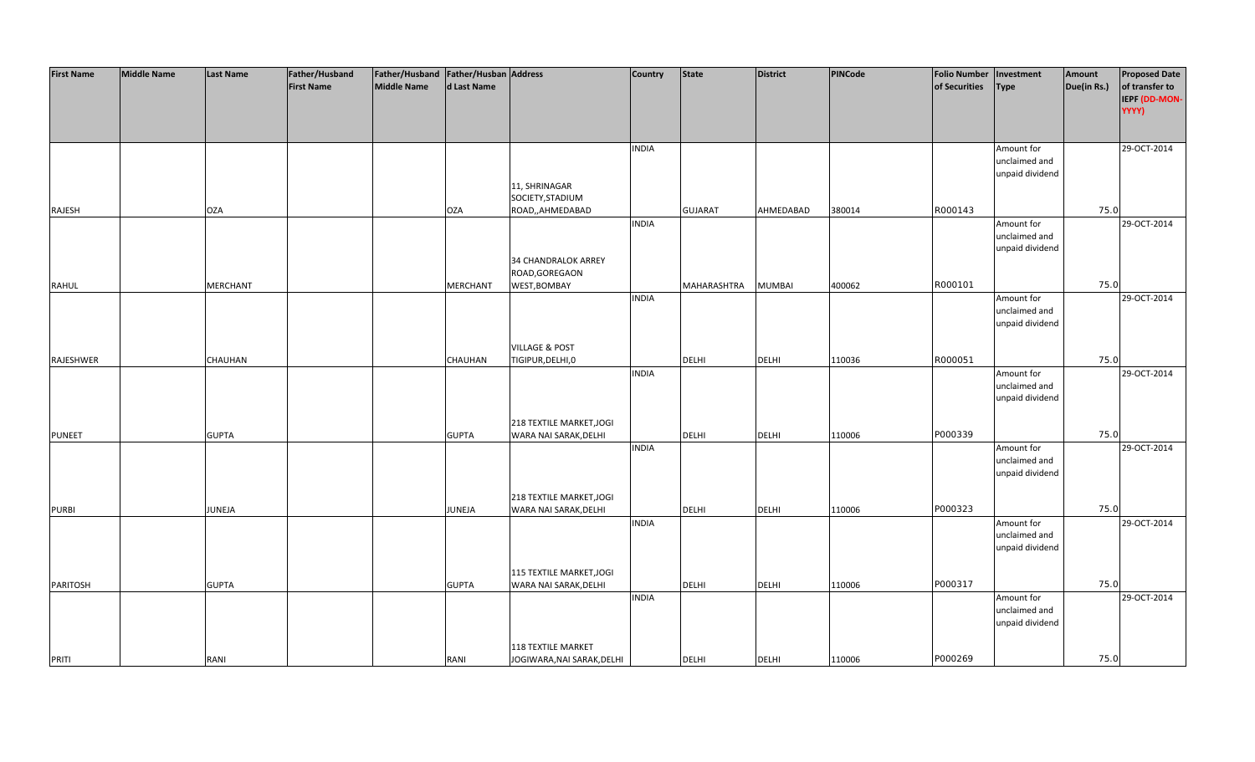| <b>First Name</b> | <b>Middle Name</b> | <b>Last Name</b> | Father/Husband    | Father/Husband Father/Husban Address |                 |                                                   | <b>Country</b> | <b>State</b>   | <b>District</b> | PINCode | <b>Folio Number</b> | Investment      | Amount      | <b>Proposed Date</b> |
|-------------------|--------------------|------------------|-------------------|--------------------------------------|-----------------|---------------------------------------------------|----------------|----------------|-----------------|---------|---------------------|-----------------|-------------|----------------------|
|                   |                    |                  | <b>First Name</b> | <b>Middle Name</b>                   | d Last Name     |                                                   |                |                |                 |         | of Securities       | Type            | Due(in Rs.) | of transfer to       |
|                   |                    |                  |                   |                                      |                 |                                                   |                |                |                 |         |                     |                 |             | IEPF (DD-MON-        |
|                   |                    |                  |                   |                                      |                 |                                                   |                |                |                 |         |                     |                 |             | YYYY)                |
|                   |                    |                  |                   |                                      |                 |                                                   |                |                |                 |         |                     |                 |             |                      |
|                   |                    |                  |                   |                                      |                 |                                                   |                |                |                 |         |                     |                 |             |                      |
|                   |                    |                  |                   |                                      |                 |                                                   | <b>INDIA</b>   |                |                 |         |                     | Amount for      |             | 29-OCT-2014          |
|                   |                    |                  |                   |                                      |                 |                                                   |                |                |                 |         |                     | unclaimed and   |             |                      |
|                   |                    |                  |                   |                                      |                 |                                                   |                |                |                 |         |                     | unpaid dividend |             |                      |
|                   |                    |                  |                   |                                      |                 | 11, SHRINAGAR<br>SOCIETY, STADIUM                 |                |                |                 |         |                     |                 |             |                      |
| RAJESH            |                    | <b>OZA</b>       |                   |                                      | <b>OZA</b>      | ROAD,,AHMEDABAD                                   |                | <b>GUJARAT</b> | AHMEDABAD       | 380014  | R000143             |                 | 75.0        |                      |
|                   |                    |                  |                   |                                      |                 |                                                   | <b>INDIA</b>   |                |                 |         |                     | Amount for      |             | 29-OCT-2014          |
|                   |                    |                  |                   |                                      |                 |                                                   |                |                |                 |         |                     | unclaimed and   |             |                      |
|                   |                    |                  |                   |                                      |                 |                                                   |                |                |                 |         |                     | unpaid dividend |             |                      |
|                   |                    |                  |                   |                                      |                 | 34 CHANDRALOK ARREY                               |                |                |                 |         |                     |                 |             |                      |
|                   |                    |                  |                   |                                      |                 | ROAD, GOREGAON                                    |                |                |                 |         |                     |                 |             |                      |
| <b>RAHUL</b>      |                    | <b>MERCHANT</b>  |                   |                                      | <b>MERCHANT</b> | WEST, BOMBAY                                      |                | MAHARASHTRA    | <b>MUMBAI</b>   | 400062  | R000101             |                 | 75.0        |                      |
|                   |                    |                  |                   |                                      |                 |                                                   | <b>INDIA</b>   |                |                 |         |                     | Amount for      |             | 29-OCT-2014          |
|                   |                    |                  |                   |                                      |                 |                                                   |                |                |                 |         |                     | unclaimed and   |             |                      |
|                   |                    |                  |                   |                                      |                 |                                                   |                |                |                 |         |                     | unpaid dividend |             |                      |
|                   |                    |                  |                   |                                      |                 |                                                   |                |                |                 |         |                     |                 |             |                      |
|                   |                    |                  |                   |                                      |                 | <b>VILLAGE &amp; POST</b>                         |                |                |                 |         |                     |                 |             |                      |
| RAJESHWER         |                    | <b>CHAUHAN</b>   |                   |                                      | CHAUHAN         | TIGIPUR, DELHI, 0                                 |                | <b>DELHI</b>   | <b>DELHI</b>    | 110036  | R000051             |                 | 75.0        |                      |
|                   |                    |                  |                   |                                      |                 |                                                   | <b>INDIA</b>   |                |                 |         |                     | Amount for      |             | 29-OCT-2014          |
|                   |                    |                  |                   |                                      |                 |                                                   |                |                |                 |         |                     | unclaimed and   |             |                      |
|                   |                    |                  |                   |                                      |                 |                                                   |                |                |                 |         |                     | unpaid dividend |             |                      |
|                   |                    |                  |                   |                                      |                 | 218 TEXTILE MARKET, JOGI                          |                |                |                 |         |                     |                 |             |                      |
| <b>PUNEET</b>     |                    | <b>GUPTA</b>     |                   |                                      | <b>GUPTA</b>    | WARA NAI SARAK, DELHI                             |                | <b>DELHI</b>   | <b>DELHI</b>    | 110006  | P000339             |                 | 75.0        |                      |
|                   |                    |                  |                   |                                      |                 |                                                   | <b>INDIA</b>   |                |                 |         |                     | Amount for      |             | 29-OCT-2014          |
|                   |                    |                  |                   |                                      |                 |                                                   |                |                |                 |         |                     | unclaimed and   |             |                      |
|                   |                    |                  |                   |                                      |                 |                                                   |                |                |                 |         |                     | unpaid dividend |             |                      |
|                   |                    |                  |                   |                                      |                 |                                                   |                |                |                 |         |                     |                 |             |                      |
|                   |                    |                  |                   |                                      |                 | 218 TEXTILE MARKET, JOGI                          |                |                |                 |         |                     |                 |             |                      |
| <b>PURBI</b>      |                    | JUNEJA           |                   |                                      | JUNEJA          | WARA NAI SARAK, DELHI                             |                | DELHI          | <b>DELHI</b>    | 110006  | P000323             |                 | 75.0        |                      |
|                   |                    |                  |                   |                                      |                 |                                                   | <b>INDIA</b>   |                |                 |         |                     | Amount for      |             | 29-OCT-2014          |
|                   |                    |                  |                   |                                      |                 |                                                   |                |                |                 |         |                     | unclaimed and   |             |                      |
|                   |                    |                  |                   |                                      |                 |                                                   |                |                |                 |         |                     | unpaid dividend |             |                      |
|                   |                    |                  |                   |                                      |                 |                                                   |                |                |                 |         |                     |                 |             |                      |
| PARITOSH          |                    | <b>GUPTA</b>     |                   |                                      | <b>GUPTA</b>    | 115 TEXTILE MARKET, JOGI<br>WARA NAI SARAK, DELHI |                | <b>DELHI</b>   | <b>DELHI</b>    | 110006  | P000317             |                 | 75.0        |                      |
|                   |                    |                  |                   |                                      |                 |                                                   | <b>INDIA</b>   |                |                 |         |                     | Amount for      |             | 29-OCT-2014          |
|                   |                    |                  |                   |                                      |                 |                                                   |                |                |                 |         |                     | unclaimed and   |             |                      |
|                   |                    |                  |                   |                                      |                 |                                                   |                |                |                 |         |                     | unpaid dividend |             |                      |
|                   |                    |                  |                   |                                      |                 |                                                   |                |                |                 |         |                     |                 |             |                      |
|                   |                    |                  |                   |                                      |                 | <b>118 TEXTILE MARKET</b>                         |                |                |                 |         |                     |                 |             |                      |
| PRITI             |                    | RANI             |                   |                                      | RANI            | JOGIWARA, NAI SARAK, DELHI                        |                | <b>DELHI</b>   | <b>DELHI</b>    | 110006  | P000269             |                 | 75.0        |                      |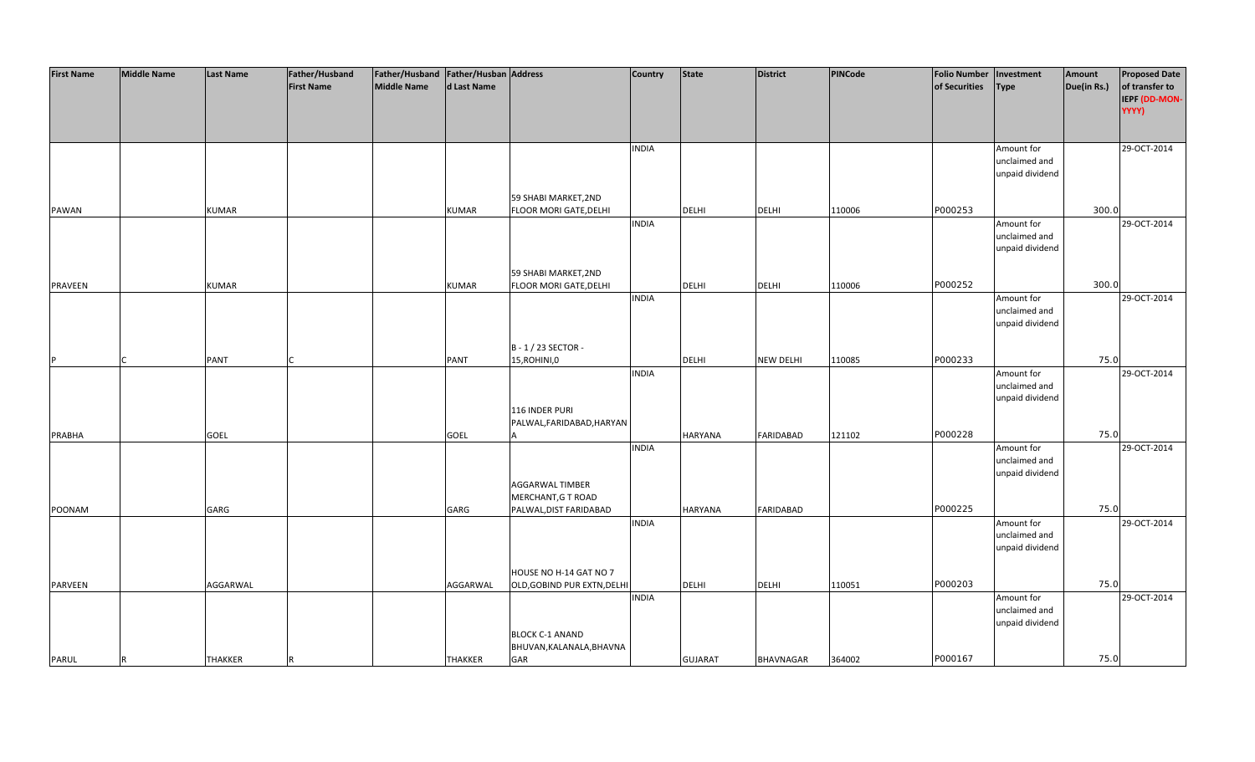| <b>First Name</b> | <b>Middle Name</b> | <b>Last Name</b> | Father/Husband    | Father/Husband Father/Husban Address |                |                               | <b>Country</b> | <b>State</b>   | <b>District</b>  | PINCode | <b>Folio Number</b> | Investment      | Amount      | <b>Proposed Date</b> |
|-------------------|--------------------|------------------|-------------------|--------------------------------------|----------------|-------------------------------|----------------|----------------|------------------|---------|---------------------|-----------------|-------------|----------------------|
|                   |                    |                  | <b>First Name</b> | <b>Middle Name</b>                   | d Last Name    |                               |                |                |                  |         | of Securities       | <b>Type</b>     | Due(in Rs.) | of transfer to       |
|                   |                    |                  |                   |                                      |                |                               |                |                |                  |         |                     |                 |             | IEPF (DD-MON-        |
|                   |                    |                  |                   |                                      |                |                               |                |                |                  |         |                     |                 |             | YYYY)                |
|                   |                    |                  |                   |                                      |                |                               |                |                |                  |         |                     |                 |             |                      |
|                   |                    |                  |                   |                                      |                |                               |                |                |                  |         |                     |                 |             |                      |
|                   |                    |                  |                   |                                      |                |                               | <b>INDIA</b>   |                |                  |         |                     | Amount for      |             | 29-OCT-2014          |
|                   |                    |                  |                   |                                      |                |                               |                |                |                  |         |                     | unclaimed and   |             |                      |
|                   |                    |                  |                   |                                      |                |                               |                |                |                  |         |                     | unpaid dividend |             |                      |
|                   |                    |                  |                   |                                      |                |                               |                |                |                  |         |                     |                 |             |                      |
|                   |                    |                  |                   |                                      |                | 59 SHABI MARKET, 2ND          |                |                |                  |         |                     |                 |             |                      |
| <b>PAWAN</b>      |                    | <b>KUMAR</b>     |                   |                                      | <b>KUMAR</b>   | FLOOR MORI GATE, DELHI        |                | <b>DELHI</b>   | <b>DELHI</b>     | 110006  | P000253             |                 | 300.0       |                      |
|                   |                    |                  |                   |                                      |                |                               | <b>INDIA</b>   |                |                  |         |                     | Amount for      |             | 29-OCT-2014          |
|                   |                    |                  |                   |                                      |                |                               |                |                |                  |         |                     | unclaimed and   |             |                      |
|                   |                    |                  |                   |                                      |                |                               |                |                |                  |         |                     | unpaid dividend |             |                      |
|                   |                    |                  |                   |                                      |                |                               |                |                |                  |         |                     |                 |             |                      |
|                   |                    |                  |                   |                                      |                | 59 SHABI MARKET, 2ND          |                |                |                  |         |                     |                 |             |                      |
| <b>PRAVEEN</b>    |                    | <b>KUMAR</b>     |                   |                                      | <b>KUMAR</b>   | <b>FLOOR MORI GATE, DELHI</b> |                | <b>DELHI</b>   | <b>DELHI</b>     | 110006  | P000252             |                 | 300.0       |                      |
|                   |                    |                  |                   |                                      |                |                               | <b>INDIA</b>   |                |                  |         |                     | Amount for      |             | 29-OCT-2014          |
|                   |                    |                  |                   |                                      |                |                               |                |                |                  |         |                     | unclaimed and   |             |                      |
|                   |                    |                  |                   |                                      |                |                               |                |                |                  |         |                     | unpaid dividend |             |                      |
|                   |                    |                  |                   |                                      |                |                               |                |                |                  |         |                     |                 |             |                      |
|                   |                    |                  |                   |                                      |                | B-1/23 SECTOR-                |                |                |                  |         |                     |                 |             |                      |
| P                 |                    | <b>PANT</b>      |                   |                                      | <b>PANT</b>    | 15, ROHINI, 0                 |                | DELHI          | <b>NEW DELHI</b> | 110085  | P000233             |                 | 75.0        |                      |
|                   |                    |                  |                   |                                      |                |                               | <b>INDIA</b>   |                |                  |         |                     | Amount for      |             | 29-OCT-2014          |
|                   |                    |                  |                   |                                      |                |                               |                |                |                  |         |                     | unclaimed and   |             |                      |
|                   |                    |                  |                   |                                      |                |                               |                |                |                  |         |                     |                 |             |                      |
|                   |                    |                  |                   |                                      |                |                               |                |                |                  |         |                     | unpaid dividend |             |                      |
|                   |                    |                  |                   |                                      |                | 116 INDER PURI                |                |                |                  |         |                     |                 |             |                      |
|                   |                    |                  |                   |                                      |                | PALWAL, FARIDABAD, HARYAN     |                |                |                  |         | P000228             |                 | 75.0        |                      |
| <b>PRABHA</b>     |                    | <b>GOEL</b>      |                   |                                      | GOEL           |                               |                | <b>HARYANA</b> | <b>FARIDABAD</b> | 121102  |                     |                 |             | 29-OCT-2014          |
|                   |                    |                  |                   |                                      |                |                               | <b>INDIA</b>   |                |                  |         |                     | Amount for      |             |                      |
|                   |                    |                  |                   |                                      |                |                               |                |                |                  |         |                     | unclaimed and   |             |                      |
|                   |                    |                  |                   |                                      |                |                               |                |                |                  |         |                     | unpaid dividend |             |                      |
|                   |                    |                  |                   |                                      |                | AGGARWAL TIMBER               |                |                |                  |         |                     |                 |             |                      |
|                   |                    |                  |                   |                                      |                | MERCHANT, G T ROAD            |                |                |                  |         | P000225             |                 | 75.0        |                      |
| POONAM            |                    | GARG             |                   |                                      | GARG           | PALWAL, DIST FARIDABAD        |                | <b>HARYANA</b> | FARIDABAD        |         |                     |                 |             |                      |
|                   |                    |                  |                   |                                      |                |                               | <b>INDIA</b>   |                |                  |         |                     | Amount for      |             | 29-OCT-2014          |
|                   |                    |                  |                   |                                      |                |                               |                |                |                  |         |                     | unclaimed and   |             |                      |
|                   |                    |                  |                   |                                      |                |                               |                |                |                  |         |                     | unpaid dividend |             |                      |
|                   |                    |                  |                   |                                      |                |                               |                |                |                  |         |                     |                 |             |                      |
|                   |                    |                  |                   |                                      |                | HOUSE NO H-14 GAT NO 7        |                |                |                  |         |                     |                 |             |                      |
| <b>PARVEEN</b>    |                    | AGGARWAL         |                   |                                      | AGGARWAL       | OLD, GOBIND PUR EXTN, DELH    |                | <b>DELHI</b>   | <b>DELHI</b>     | 110051  | P000203             |                 | 75.0        |                      |
|                   |                    |                  |                   |                                      |                |                               | <b>INDIA</b>   |                |                  |         |                     | Amount for      |             | 29-OCT-2014          |
|                   |                    |                  |                   |                                      |                |                               |                |                |                  |         |                     | unclaimed and   |             |                      |
|                   |                    |                  |                   |                                      |                |                               |                |                |                  |         |                     | unpaid dividend |             |                      |
|                   |                    |                  |                   |                                      |                | <b>BLOCK C-1 ANAND</b>        |                |                |                  |         |                     |                 |             |                      |
|                   |                    |                  |                   |                                      |                | BHUVAN, KALANALA, BHAVNA      |                |                |                  |         |                     |                 |             |                      |
| PARUL             | <b>R</b>           | <b>THAKKER</b>   |                   |                                      | <b>THAKKER</b> | GAR                           |                | <b>GUJARAT</b> | <b>BHAVNAGAR</b> | 364002  | P000167             |                 | 75.0        |                      |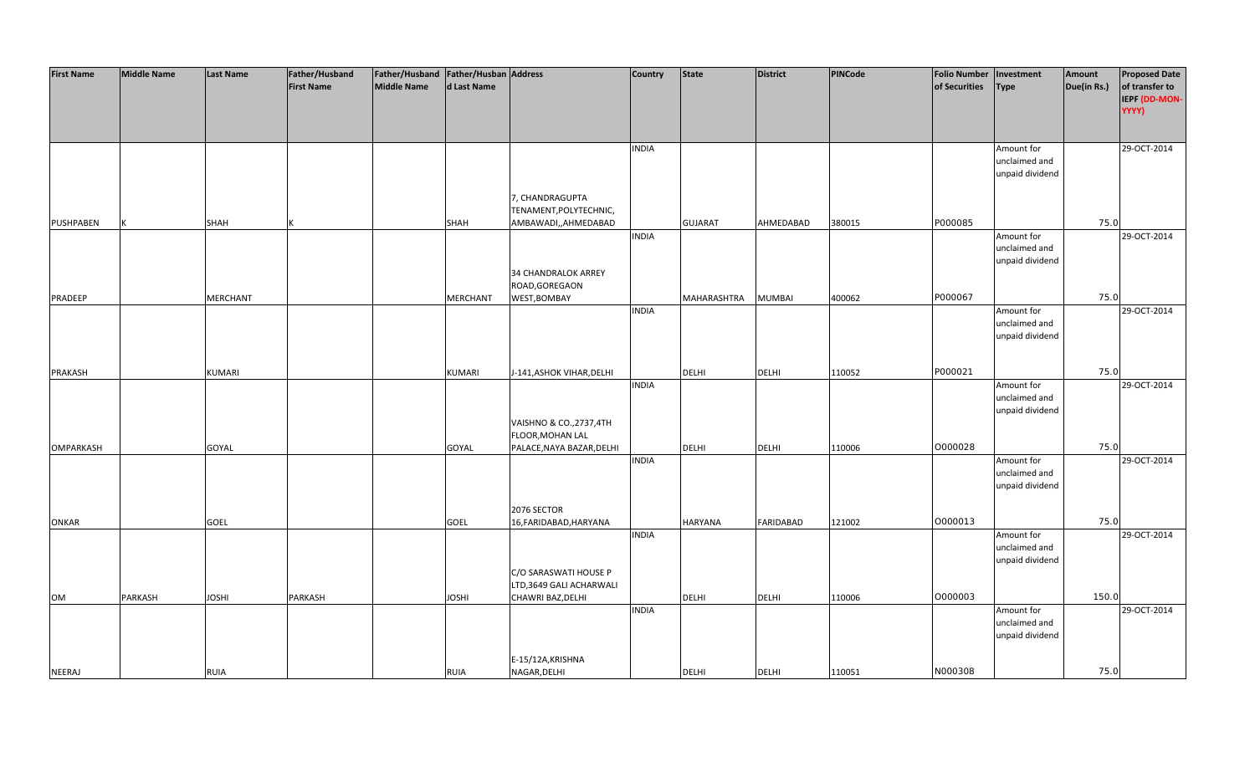| <b>First Name</b> | <b>Middle Name</b> | Last Name       | Father/Husband    | Father/Husband   Father/Husban   Address |              |                                              | <b>Country</b> | <b>State</b>   | <b>District</b>  | <b>PINCode</b> | <b>Folio Number</b> | Investment                       | Amount      | <b>Proposed Date</b>   |
|-------------------|--------------------|-----------------|-------------------|------------------------------------------|--------------|----------------------------------------------|----------------|----------------|------------------|----------------|---------------------|----------------------------------|-------------|------------------------|
|                   |                    |                 | <b>First Name</b> | Middle Name                              | d Last Name  |                                              |                |                |                  |                | of Securities       | <b>Type</b>                      | Due(in Rs.) | of transfer to         |
|                   |                    |                 |                   |                                          |              |                                              |                |                |                  |                |                     |                                  |             | IEPF (DD-MON-<br>YYYY) |
|                   |                    |                 |                   |                                          |              |                                              |                |                |                  |                |                     |                                  |             |                        |
|                   |                    |                 |                   |                                          |              |                                              |                |                |                  |                |                     |                                  |             |                        |
|                   |                    |                 |                   |                                          |              |                                              | <b>INDIA</b>   |                |                  |                |                     | Amount for<br>unclaimed and      |             | 29-OCT-2014            |
|                   |                    |                 |                   |                                          |              |                                              |                |                |                  |                |                     | unpaid dividend                  |             |                        |
|                   |                    |                 |                   |                                          |              |                                              |                |                |                  |                |                     |                                  |             |                        |
|                   |                    |                 |                   |                                          |              | 7, CHANDRAGUPTA                              |                |                |                  |                |                     |                                  |             |                        |
|                   |                    |                 |                   |                                          |              | TENAMENT, POLYTECHNIC,                       |                |                |                  |                |                     |                                  |             |                        |
| PUSHPABEN         |                    | SHAH            |                   |                                          | SHAH         | AMBAWADI,,AHMEDABAD                          |                | <b>GUJARAT</b> | AHMEDABAD        | 380015         | P000085             |                                  | 75.0        |                        |
|                   |                    |                 |                   |                                          |              |                                              | <b>INDIA</b>   |                |                  |                |                     | Amount for                       |             | 29-OCT-2014            |
|                   |                    |                 |                   |                                          |              |                                              |                |                |                  |                |                     | unclaimed and                    |             |                        |
|                   |                    |                 |                   |                                          |              | 34 CHANDRALOK ARREY                          |                |                |                  |                |                     | unpaid dividend                  |             |                        |
|                   |                    |                 |                   |                                          |              | ROAD, GOREGAON                               |                |                |                  |                |                     |                                  |             |                        |
| PRADEEP           |                    | <b>MERCHANT</b> |                   |                                          | MERCHANT     | WEST, BOMBAY                                 |                | MAHARASHTRA    | <b>MUMBAI</b>    | 400062         | P000067             |                                  | 75.0        |                        |
|                   |                    |                 |                   |                                          |              |                                              | <b>INDIA</b>   |                |                  |                |                     | Amount for                       |             | 29-OCT-2014            |
|                   |                    |                 |                   |                                          |              |                                              |                |                |                  |                |                     | unclaimed and                    |             |                        |
|                   |                    |                 |                   |                                          |              |                                              |                |                |                  |                |                     | unpaid dividend                  |             |                        |
|                   |                    |                 |                   |                                          |              |                                              |                |                |                  |                |                     |                                  |             |                        |
|                   |                    |                 |                   |                                          |              |                                              |                |                |                  |                | P000021             |                                  | 75.0        |                        |
| PRAKASH           |                    | <b>KUMARI</b>   |                   |                                          | KUMARI       | J-141, ASHOK VIHAR, DELHI                    | <b>INDIA</b>   | <b>DELHI</b>   | <b>DELHI</b>     | 110052         |                     | Amount for                       |             | 29-OCT-2014            |
|                   |                    |                 |                   |                                          |              |                                              |                |                |                  |                |                     | unclaimed and                    |             |                        |
|                   |                    |                 |                   |                                          |              |                                              |                |                |                  |                |                     | unpaid dividend                  |             |                        |
|                   |                    |                 |                   |                                          |              | VAISHNO & CO., 2737, 4TH                     |                |                |                  |                |                     |                                  |             |                        |
|                   |                    |                 |                   |                                          |              | FLOOR, MOHAN LAL                             |                |                |                  |                |                     |                                  |             |                        |
| <b>OMPARKASH</b>  |                    | GOYAL           |                   |                                          | GOYAL        | PALACE, NAYA BAZAR, DELHI                    |                | <b>DELHI</b>   | <b>DELHI</b>     | 110006         | 0000028             |                                  | 75.0        |                        |
|                   |                    |                 |                   |                                          |              |                                              | <b>INDIA</b>   |                |                  |                |                     | Amount for                       |             | 29-OCT-2014            |
|                   |                    |                 |                   |                                          |              |                                              |                |                |                  |                |                     | unclaimed and<br>unpaid dividend |             |                        |
|                   |                    |                 |                   |                                          |              |                                              |                |                |                  |                |                     |                                  |             |                        |
|                   |                    |                 |                   |                                          |              | 2076 SECTOR                                  |                |                |                  |                |                     |                                  |             |                        |
| <b>ONKAR</b>      |                    | GOEL            |                   |                                          | GOEL         | 16, FARIDABAD, HARYANA                       |                | <b>HARYANA</b> | <b>FARIDABAD</b> | 121002         | 0000013             |                                  | 75.0        |                        |
|                   |                    |                 |                   |                                          |              |                                              | <b>INDIA</b>   |                |                  |                |                     | Amount for                       |             | 29-OCT-2014            |
|                   |                    |                 |                   |                                          |              |                                              |                |                |                  |                |                     | unclaimed and                    |             |                        |
|                   |                    |                 |                   |                                          |              |                                              |                |                |                  |                |                     | unpaid dividend                  |             |                        |
|                   |                    |                 |                   |                                          |              | C/O SARASWATI HOUSE P                        |                |                |                  |                |                     |                                  |             |                        |
| OM                | PARKASH            | <b>IHZOL</b>    | PARKASH           |                                          | <b>IHZOL</b> | LTD,3649 GALI ACHARWALI<br>CHAWRI BAZ, DELHI |                | <b>DELHI</b>   | <b>DELHI</b>     | 110006         | 0000003             |                                  | 150.0       |                        |
|                   |                    |                 |                   |                                          |              |                                              | <b>INDIA</b>   |                |                  |                |                     | Amount for                       |             | 29-OCT-2014            |
|                   |                    |                 |                   |                                          |              |                                              |                |                |                  |                |                     | unclaimed and                    |             |                        |
|                   |                    |                 |                   |                                          |              |                                              |                |                |                  |                |                     | unpaid dividend                  |             |                        |
|                   |                    |                 |                   |                                          |              |                                              |                |                |                  |                |                     |                                  |             |                        |
|                   |                    |                 |                   |                                          |              | E-15/12A, KRISHNA                            |                |                |                  |                |                     |                                  |             |                        |
| <b>NEERAJ</b>     |                    | <b>RUIA</b>     |                   |                                          | <b>RUIA</b>  | NAGAR, DELHI                                 |                | <b>DELHI</b>   | <b>DELHI</b>     | 110051         | N000308             |                                  | 75.0        |                        |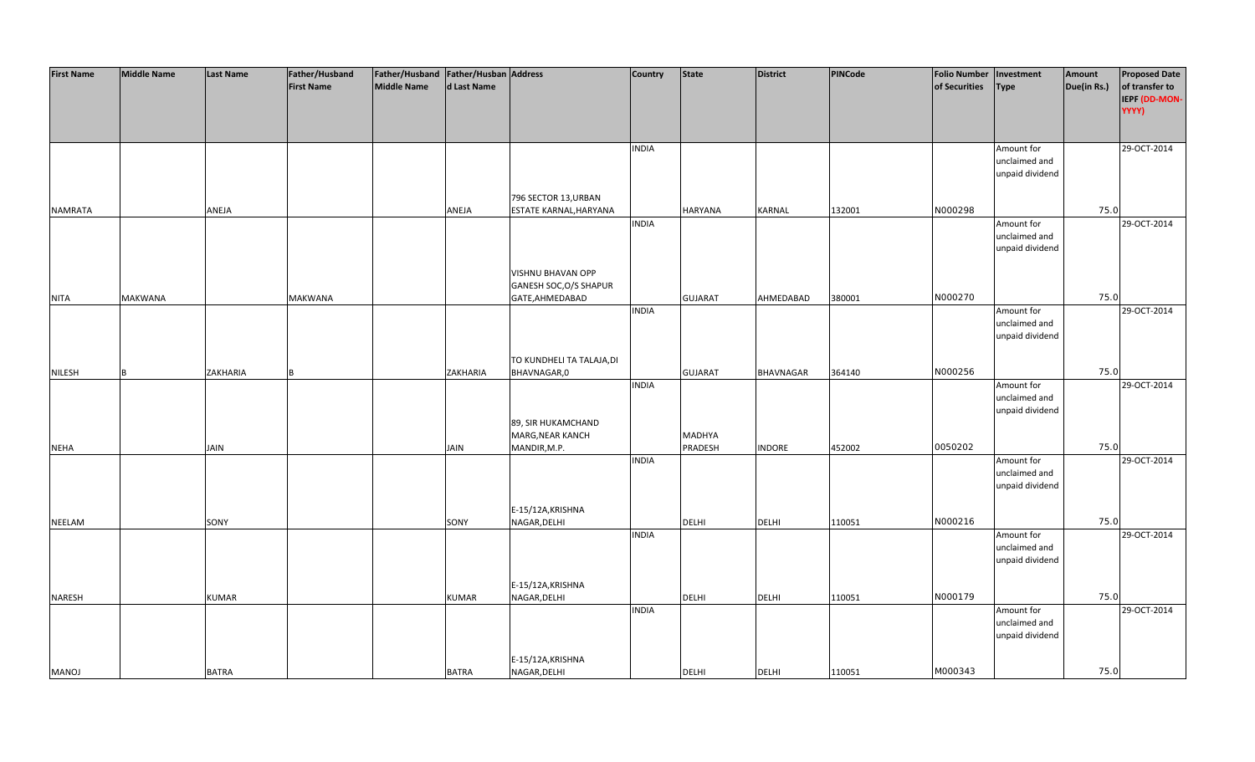| <b>First Name</b> | <b>Middle Name</b> | <b>Last Name</b> | Father/Husband    | Father/Husband Father/Husban Address |              |                           | <b>Country</b> | <b>State</b>   | District         | <b>PINCode</b> | <b>Folio Number</b> | Investment                  | Amount      | <b>Proposed Date</b> |
|-------------------|--------------------|------------------|-------------------|--------------------------------------|--------------|---------------------------|----------------|----------------|------------------|----------------|---------------------|-----------------------------|-------------|----------------------|
|                   |                    |                  | <b>First Name</b> | <b>Middle Name</b>                   | d Last Name  |                           |                |                |                  |                | of Securities       | <b>Type</b>                 | Due(in Rs.) | of transfer to       |
|                   |                    |                  |                   |                                      |              |                           |                |                |                  |                |                     |                             |             | IEPF (DD-MON-        |
|                   |                    |                  |                   |                                      |              |                           |                |                |                  |                |                     |                             |             | YYYY)                |
|                   |                    |                  |                   |                                      |              |                           |                |                |                  |                |                     |                             |             |                      |
|                   |                    |                  |                   |                                      |              |                           |                |                |                  |                |                     |                             |             |                      |
|                   |                    |                  |                   |                                      |              |                           | <b>INDIA</b>   |                |                  |                |                     | Amount for                  |             | 29-OCT-2014          |
|                   |                    |                  |                   |                                      |              |                           |                |                |                  |                |                     | unclaimed and               |             |                      |
|                   |                    |                  |                   |                                      |              |                           |                |                |                  |                |                     | unpaid dividend             |             |                      |
|                   |                    |                  |                   |                                      |              |                           |                |                |                  |                |                     |                             |             |                      |
|                   |                    |                  |                   |                                      |              | 796 SECTOR 13, URBAN      |                |                |                  |                |                     |                             |             |                      |
| <b>NAMRATA</b>    |                    | ANEJA            |                   |                                      | ANEJA        | ESTATE KARNAL, HARYANA    |                | HARYANA        | <b>KARNAL</b>    | 132001         | N000298             |                             | 75.0        |                      |
|                   |                    |                  |                   |                                      |              |                           | <b>INDIA</b>   |                |                  |                |                     | Amount for                  |             | 29-OCT-2014          |
|                   |                    |                  |                   |                                      |              |                           |                |                |                  |                |                     | unclaimed and               |             |                      |
|                   |                    |                  |                   |                                      |              |                           |                |                |                  |                |                     | unpaid dividend             |             |                      |
|                   |                    |                  |                   |                                      |              |                           |                |                |                  |                |                     |                             |             |                      |
|                   |                    |                  |                   |                                      |              | VISHNU BHAVAN OPP         |                |                |                  |                |                     |                             |             |                      |
|                   |                    |                  |                   |                                      |              | GANESH SOC, O/S SHAPUR    |                |                |                  |                |                     |                             |             |                      |
| <b>NITA</b>       | <b>MAKWANA</b>     |                  | MAKWANA           |                                      |              | GATE, AHMEDABAD           |                | <b>GUJARAT</b> | AHMEDABAD        | 380001         | N000270             |                             | 75.0        |                      |
|                   |                    |                  |                   |                                      |              |                           | <b>INDIA</b>   |                |                  |                |                     | Amount for                  |             | 29-OCT-2014          |
|                   |                    |                  |                   |                                      |              |                           |                |                |                  |                |                     | unclaimed and               |             |                      |
|                   |                    |                  |                   |                                      |              |                           |                |                |                  |                |                     | unpaid dividend             |             |                      |
|                   |                    |                  |                   |                                      |              |                           |                |                |                  |                |                     |                             |             |                      |
|                   |                    |                  |                   |                                      |              | TO KUNDHELI TA TALAJA, DI |                |                |                  |                |                     |                             |             |                      |
| <b>NILESH</b>     | B                  | ZAKHARIA         | B.                |                                      | ZAKHARIA     | BHAVNAGAR,0               |                | <b>GUJARAT</b> | <b>BHAVNAGAR</b> | 364140         | N000256             |                             | 75.0        |                      |
|                   |                    |                  |                   |                                      |              |                           | <b>INDIA</b>   |                |                  |                |                     | Amount for                  |             | 29-OCT-2014          |
|                   |                    |                  |                   |                                      |              |                           |                |                |                  |                |                     | unclaimed and               |             |                      |
|                   |                    |                  |                   |                                      |              |                           |                |                |                  |                |                     | unpaid dividend             |             |                      |
|                   |                    |                  |                   |                                      |              | 89, SIR HUKAMCHAND        |                |                |                  |                |                     |                             |             |                      |
|                   |                    |                  |                   |                                      |              | MARG, NEAR KANCH          |                | MADHYA         |                  |                | 0050202             |                             | 75.0        |                      |
| <b>NEHA</b>       |                    | JAIN             |                   |                                      | <b>JAIN</b>  | MANDIR, M.P.              |                | PRADESH        | <b>INDORE</b>    | 452002         |                     |                             |             |                      |
|                   |                    |                  |                   |                                      |              |                           | <b>INDIA</b>   |                |                  |                |                     | Amount for<br>unclaimed and |             | 29-OCT-2014          |
|                   |                    |                  |                   |                                      |              |                           |                |                |                  |                |                     |                             |             |                      |
|                   |                    |                  |                   |                                      |              |                           |                |                |                  |                |                     | unpaid dividend             |             |                      |
|                   |                    |                  |                   |                                      |              | E-15/12A, KRISHNA         |                |                |                  |                |                     |                             |             |                      |
| <b>NEELAM</b>     |                    | SONY             |                   |                                      | SONY         | NAGAR, DELHI              |                | <b>DELHI</b>   | <b>DELHI</b>     | 110051         | N000216             |                             | 75.0        |                      |
|                   |                    |                  |                   |                                      |              |                           | <b>INDIA</b>   |                |                  |                |                     | Amount for                  |             | 29-OCT-2014          |
|                   |                    |                  |                   |                                      |              |                           |                |                |                  |                |                     | unclaimed and               |             |                      |
|                   |                    |                  |                   |                                      |              |                           |                |                |                  |                |                     | unpaid dividend             |             |                      |
|                   |                    |                  |                   |                                      |              |                           |                |                |                  |                |                     |                             |             |                      |
|                   |                    |                  |                   |                                      |              | E-15/12A, KRISHNA         |                |                |                  |                |                     |                             |             |                      |
| <b>NARESH</b>     |                    | <b>KUMAR</b>     |                   |                                      | <b>KUMAR</b> | NAGAR, DELHI              |                | <b>DELHI</b>   | <b>DELHI</b>     | 110051         | N000179             |                             | 75.0        |                      |
|                   |                    |                  |                   |                                      |              |                           | <b>INDIA</b>   |                |                  |                |                     | Amount for                  |             | 29-OCT-2014          |
|                   |                    |                  |                   |                                      |              |                           |                |                |                  |                |                     | unclaimed and               |             |                      |
|                   |                    |                  |                   |                                      |              |                           |                |                |                  |                |                     | unpaid dividend             |             |                      |
|                   |                    |                  |                   |                                      |              |                           |                |                |                  |                |                     |                             |             |                      |
|                   |                    |                  |                   |                                      |              | E-15/12A, KRISHNA         |                |                |                  |                |                     |                             |             |                      |
| <b>MANOJ</b>      |                    | <b>BATRA</b>     |                   |                                      | <b>BATRA</b> | NAGAR, DELHI              |                | <b>DELHI</b>   | <b>DELHI</b>     | 110051         | M000343             |                             | 75.0        |                      |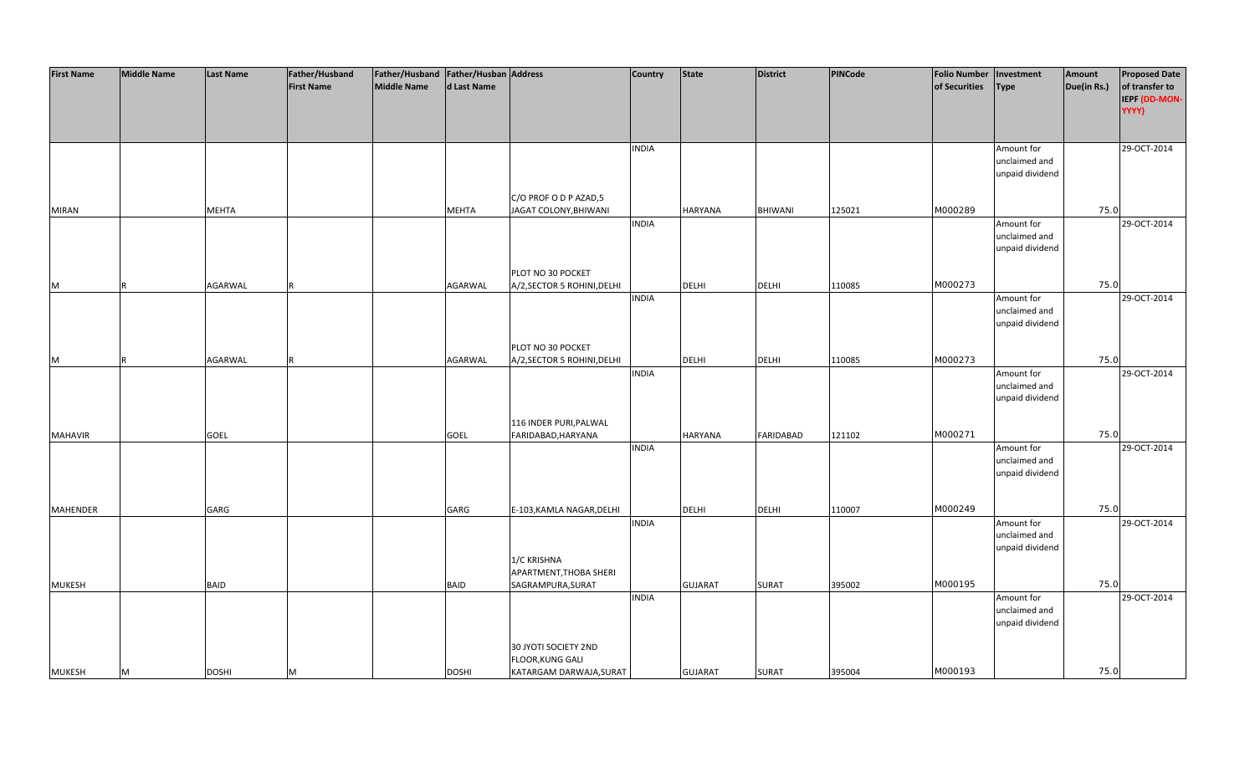| <b>First Name</b> | <b>Middle Name</b> | <b>Last Name</b> | Father/Husband    | Father/Husband   Father/Husban   Address |              |                                                | <b>Country</b> | <b>State</b>   | <b>District</b>  | PINCode | <b>Folio Number</b> | Investment                  | Amount      | <b>Proposed Date</b>   |
|-------------------|--------------------|------------------|-------------------|------------------------------------------|--------------|------------------------------------------------|----------------|----------------|------------------|---------|---------------------|-----------------------------|-------------|------------------------|
|                   |                    |                  | <b>First Name</b> | <b>Middle Name</b>                       | d Last Name  |                                                |                |                |                  |         | of Securities       | <b>Type</b>                 | Due(in Rs.) | of transfer to         |
|                   |                    |                  |                   |                                          |              |                                                |                |                |                  |         |                     |                             |             | IEPF (DD-MON-<br>YYYY) |
|                   |                    |                  |                   |                                          |              |                                                |                |                |                  |         |                     |                             |             |                        |
|                   |                    |                  |                   |                                          |              |                                                |                |                |                  |         |                     |                             |             |                        |
|                   |                    |                  |                   |                                          |              |                                                | <b>INDIA</b>   |                |                  |         |                     | Amount for                  |             | 29-OCT-2014            |
|                   |                    |                  |                   |                                          |              |                                                |                |                |                  |         |                     | unclaimed and               |             |                        |
|                   |                    |                  |                   |                                          |              |                                                |                |                |                  |         |                     | unpaid dividend             |             |                        |
|                   |                    |                  |                   |                                          |              |                                                |                |                |                  |         |                     |                             |             |                        |
| <b>MIRAN</b>      |                    | <b>MEHTA</b>     |                   |                                          | <b>MEHTA</b> | C/O PROF O D P AZAD,5<br>JAGAT COLONY, BHIWANI |                | HARYANA        | BHIWANI          | 125021  | M000289             |                             | 75.0        |                        |
|                   |                    |                  |                   |                                          |              |                                                | <b>INDIA</b>   |                |                  |         |                     | Amount for                  |             | 29-OCT-2014            |
|                   |                    |                  |                   |                                          |              |                                                |                |                |                  |         |                     | unclaimed and               |             |                        |
|                   |                    |                  |                   |                                          |              |                                                |                |                |                  |         |                     | unpaid dividend             |             |                        |
|                   |                    |                  |                   |                                          |              |                                                |                |                |                  |         |                     |                             |             |                        |
|                   |                    |                  |                   |                                          |              | PLOT NO 30 POCKET                              |                |                |                  |         |                     |                             |             |                        |
| M                 |                    | <b>AGARWAL</b>   |                   |                                          | AGARWAL      | A/2, SECTOR 5 ROHINI, DELHI                    |                | <b>DELHI</b>   | <b>DELHI</b>     | 110085  | M000273             |                             | 75.0        |                        |
|                   |                    |                  |                   |                                          |              |                                                | <b>INDIA</b>   |                |                  |         |                     | Amount for<br>unclaimed and |             | 29-OCT-2014            |
|                   |                    |                  |                   |                                          |              |                                                |                |                |                  |         |                     | unpaid dividend             |             |                        |
|                   |                    |                  |                   |                                          |              |                                                |                |                |                  |         |                     |                             |             |                        |
|                   |                    |                  |                   |                                          |              | PLOT NO 30 POCKET                              |                |                |                  |         |                     |                             |             |                        |
| M                 | R                  | AGARWAL          |                   |                                          | AGARWAL      | A/2, SECTOR 5 ROHINI, DELHI                    |                | <b>DELHI</b>   | <b>DELHI</b>     | 110085  | M000273             |                             | 75.0        |                        |
|                   |                    |                  |                   |                                          |              |                                                | <b>INDIA</b>   |                |                  |         |                     | Amount for                  |             | 29-OCT-2014            |
|                   |                    |                  |                   |                                          |              |                                                |                |                |                  |         |                     | unclaimed and               |             |                        |
|                   |                    |                  |                   |                                          |              |                                                |                |                |                  |         |                     | unpaid dividend             |             |                        |
|                   |                    |                  |                   |                                          |              | 116 INDER PURI, PALWAL                         |                |                |                  |         |                     |                             |             |                        |
| <b>MAHAVIR</b>    |                    | <b>GOEL</b>      |                   |                                          | <b>GOEL</b>  | FARIDABAD, HARYANA                             |                | HARYANA        | <b>FARIDABAD</b> | 121102  | M000271             |                             | 75.0        |                        |
|                   |                    |                  |                   |                                          |              |                                                | <b>INDIA</b>   |                |                  |         |                     | Amount for                  |             | 29-OCT-2014            |
|                   |                    |                  |                   |                                          |              |                                                |                |                |                  |         |                     | unclaimed and               |             |                        |
|                   |                    |                  |                   |                                          |              |                                                |                |                |                  |         |                     | unpaid dividend             |             |                        |
|                   |                    |                  |                   |                                          |              |                                                |                |                |                  |         |                     |                             |             |                        |
| <b>MAHENDER</b>   |                    | GARG             |                   |                                          | GARG         | E-103, KAMLA NAGAR, DELHI                      |                | <b>DELHI</b>   | <b>DELHI</b>     | 110007  | M000249             |                             | 75.0        |                        |
|                   |                    |                  |                   |                                          |              |                                                | <b>INDIA</b>   |                |                  |         |                     | Amount for                  |             | 29-OCT-2014            |
|                   |                    |                  |                   |                                          |              |                                                |                |                |                  |         |                     | unclaimed and               |             |                        |
|                   |                    |                  |                   |                                          |              |                                                |                |                |                  |         |                     | unpaid dividend             |             |                        |
|                   |                    |                  |                   |                                          |              | 1/C KRISHNA                                    |                |                |                  |         |                     |                             |             |                        |
|                   |                    |                  |                   |                                          |              | APARTMENT, THOBA SHERI                         |                |                |                  |         |                     |                             |             |                        |
| <b>MUKESH</b>     |                    | <b>BAID</b>      |                   |                                          | <b>BAID</b>  | SAGRAMPURA, SURAT                              | <b>INDIA</b>   | <b>GUJARAT</b> | <b>SURAT</b>     | 395002  | M000195             | Amount for                  | 75.0        | 29-OCT-2014            |
|                   |                    |                  |                   |                                          |              |                                                |                |                |                  |         |                     | unclaimed and               |             |                        |
|                   |                    |                  |                   |                                          |              |                                                |                |                |                  |         |                     | unpaid dividend             |             |                        |
|                   |                    |                  |                   |                                          |              |                                                |                |                |                  |         |                     |                             |             |                        |
|                   |                    |                  |                   |                                          |              | 30 JYOTI SOCIETY 2ND                           |                |                |                  |         |                     |                             |             |                        |
|                   |                    |                  |                   |                                          |              | <b>FLOOR, KUNG GALI</b>                        |                |                |                  |         |                     |                             |             |                        |
| <b>MUKESH</b>     | M                  | <b>DOSHI</b>     | м                 |                                          | <b>DOSHI</b> | KATARGAM DARWAJA, SURAT                        |                | <b>GUJARAT</b> | <b>SURAT</b>     | 395004  | M000193             |                             | 75.0        |                        |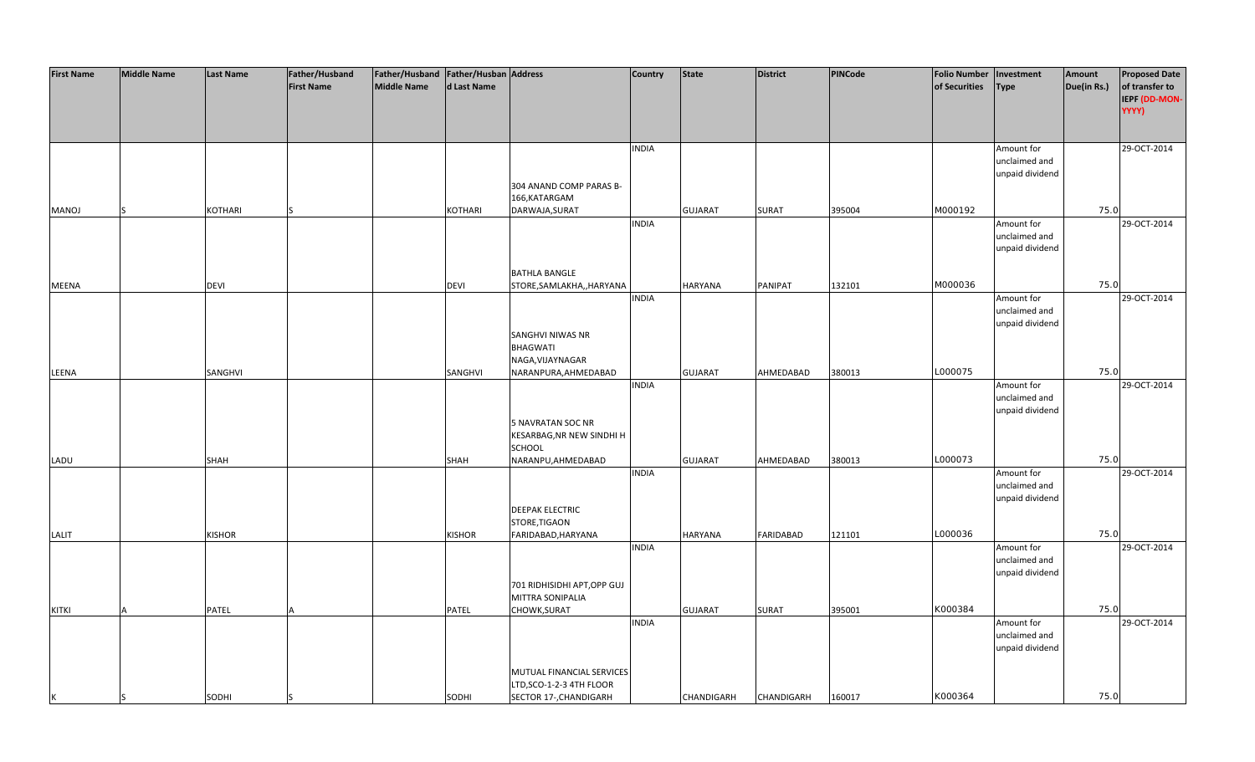| <b>First Name</b> | <b>Middle Name</b> | <b>Last Name</b> | Father/Husband    | Father/Husband   Father/Husban   Address |               |                             | <b>Country</b> | <b>State</b>   | <b>District</b>   | <b>PINCode</b> | <b>Folio Number</b> | Investment                       | Amount      | <b>Proposed Date</b>            |
|-------------------|--------------------|------------------|-------------------|------------------------------------------|---------------|-----------------------------|----------------|----------------|-------------------|----------------|---------------------|----------------------------------|-------------|---------------------------------|
|                   |                    |                  | <b>First Name</b> | <b>Middle Name</b>                       | d Last Name   |                             |                |                |                   |                | of Securities       | <b>Type</b>                      | Due(in Rs.) | of transfer to<br>IEPF (DD-MON- |
|                   |                    |                  |                   |                                          |               |                             |                |                |                   |                |                     |                                  |             | YYYY)                           |
|                   |                    |                  |                   |                                          |               |                             |                |                |                   |                |                     |                                  |             |                                 |
|                   |                    |                  |                   |                                          |               |                             | <b>INDIA</b>   |                |                   |                |                     | Amount for                       |             | 29-OCT-2014                     |
|                   |                    |                  |                   |                                          |               |                             |                |                |                   |                |                     | unclaimed and                    |             |                                 |
|                   |                    |                  |                   |                                          |               |                             |                |                |                   |                |                     | unpaid dividend                  |             |                                 |
|                   |                    |                  |                   |                                          |               | 304 ANAND COMP PARAS B-     |                |                |                   |                |                     |                                  |             |                                 |
|                   |                    |                  |                   |                                          |               | 166, KATARGAM               |                |                |                   |                |                     |                                  |             |                                 |
| MANOJ             |                    | KOTHARI          |                   |                                          | KOTHARI       | DARWAJA, SURAT              | <b>INDIA</b>   | <b>GUJARAT</b> | <b>SURAT</b>      | 395004         | M000192             |                                  | 75.0        | 29-OCT-2014                     |
|                   |                    |                  |                   |                                          |               |                             |                |                |                   |                |                     | Amount for<br>unclaimed and      |             |                                 |
|                   |                    |                  |                   |                                          |               |                             |                |                |                   |                |                     | unpaid dividend                  |             |                                 |
|                   |                    |                  |                   |                                          |               |                             |                |                |                   |                |                     |                                  |             |                                 |
|                   |                    |                  |                   |                                          |               | <b>BATHLA BANGLE</b>        |                |                |                   |                |                     |                                  |             |                                 |
| <b>MEENA</b>      |                    | <b>DEVI</b>      |                   |                                          | <b>DEVI</b>   | STORE, SAMLAKHA,, HARYANA   |                | <b>HARYANA</b> | PANIPAT           | 132101         | M000036             |                                  | 75.0        |                                 |
|                   |                    |                  |                   |                                          |               |                             | <b>INDIA</b>   |                |                   |                |                     | Amount for<br>unclaimed and      |             | 29-OCT-2014                     |
|                   |                    |                  |                   |                                          |               |                             |                |                |                   |                |                     | unpaid dividend                  |             |                                 |
|                   |                    |                  |                   |                                          |               | <b>SANGHVI NIWAS NR</b>     |                |                |                   |                |                     |                                  |             |                                 |
|                   |                    |                  |                   |                                          |               | <b>BHAGWATI</b>             |                |                |                   |                |                     |                                  |             |                                 |
|                   |                    |                  |                   |                                          |               | NAGA, VIJAYNAGAR            |                |                |                   |                |                     |                                  |             |                                 |
| LEENA             |                    | SANGHVI          |                   |                                          | SANGHVI       | NARANPURA, AHMEDABAD        |                | <b>GUJARAT</b> | AHMEDABAD         | 380013         | L000075             |                                  | 75.0        |                                 |
|                   |                    |                  |                   |                                          |               |                             | <b>INDIA</b>   |                |                   |                |                     | Amount for<br>unclaimed and      |             | 29-OCT-2014                     |
|                   |                    |                  |                   |                                          |               |                             |                |                |                   |                |                     | unpaid dividend                  |             |                                 |
|                   |                    |                  |                   |                                          |               | <b>5 NAVRATAN SOC NR</b>    |                |                |                   |                |                     |                                  |             |                                 |
|                   |                    |                  |                   |                                          |               | KESARBAG, NR NEW SINDHI H   |                |                |                   |                |                     |                                  |             |                                 |
|                   |                    |                  |                   |                                          |               | SCHOOL                      |                |                |                   |                |                     |                                  |             |                                 |
| LADU              |                    | <b>SHAH</b>      |                   |                                          | <b>SHAH</b>   | NARANPU, AHMEDABAD          | <b>INDIA</b>   | <b>GUJARAT</b> | AHMEDABAD         | 380013         | L000073             | Amount for                       | 75.0        | 29-OCT-2014                     |
|                   |                    |                  |                   |                                          |               |                             |                |                |                   |                |                     | unclaimed and                    |             |                                 |
|                   |                    |                  |                   |                                          |               |                             |                |                |                   |                |                     | unpaid dividend                  |             |                                 |
|                   |                    |                  |                   |                                          |               | <b>DEEPAK ELECTRIC</b>      |                |                |                   |                |                     |                                  |             |                                 |
|                   |                    |                  |                   |                                          |               | STORE, TIGAON               |                |                |                   |                |                     |                                  |             |                                 |
| LALIT             |                    | <b>KISHOR</b>    |                   |                                          | <b>KISHOR</b> | FARIDABAD, HARYANA          |                | <b>HARYANA</b> | <b>FARIDABAD</b>  | 121101         | L000036             |                                  | 75.0        |                                 |
|                   |                    |                  |                   |                                          |               |                             | <b>INDIA</b>   |                |                   |                |                     | Amount for<br>unclaimed and      |             | 29-OCT-2014                     |
|                   |                    |                  |                   |                                          |               |                             |                |                |                   |                |                     | unpaid dividend                  |             |                                 |
|                   |                    |                  |                   |                                          |               | 701 RIDHISIDHI APT, OPP GUJ |                |                |                   |                |                     |                                  |             |                                 |
|                   |                    |                  |                   |                                          |               | MITTRA SONIPALIA            |                |                |                   |                |                     |                                  |             |                                 |
| <b>KITKI</b>      |                    | PATEL            |                   |                                          | PATEL         | CHOWK, SURAT                |                | <b>GUJARAT</b> | <b>SURAT</b>      | 395001         | K000384             |                                  | 75.0        |                                 |
|                   |                    |                  |                   |                                          |               |                             | <b>INDIA</b>   |                |                   |                |                     | Amount for                       |             | 29-OCT-2014                     |
|                   |                    |                  |                   |                                          |               |                             |                |                |                   |                |                     | unclaimed and<br>unpaid dividend |             |                                 |
|                   |                    |                  |                   |                                          |               |                             |                |                |                   |                |                     |                                  |             |                                 |
|                   |                    |                  |                   |                                          |               | MUTUAL FINANCIAL SERVICES   |                |                |                   |                |                     |                                  |             |                                 |
|                   |                    |                  |                   |                                          |               | LTD, SCO-1-2-3 4TH FLOOR    |                |                |                   |                |                     |                                  |             |                                 |
| K                 | IS                 | SODHI            |                   |                                          | SODHI         | SECTOR 17-, CHANDIGARH      |                | CHANDIGARH     | <b>CHANDIGARH</b> | 160017         | K000364             |                                  | 75.0        |                                 |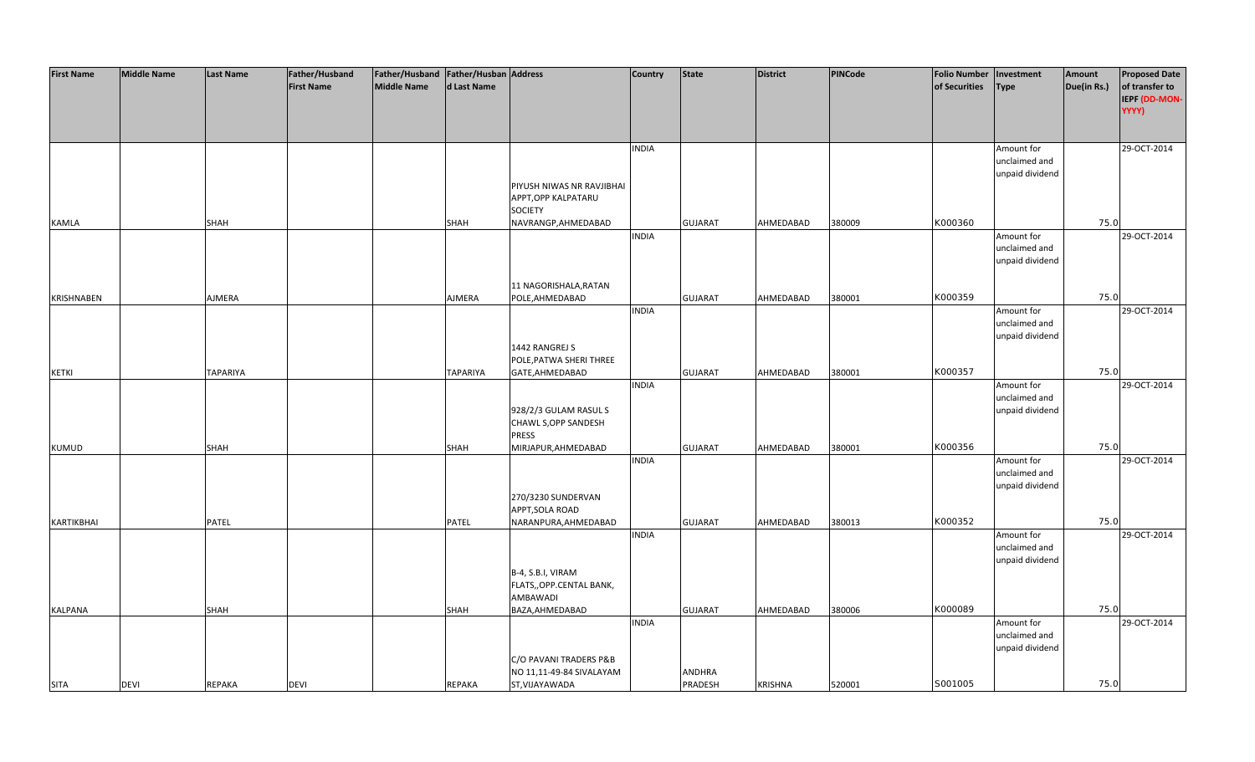| <b>First Name</b> | <b>Middle Name</b> | <b>Last Name</b> | Father/Husband    | Father/Husband   Father/Husban   Address |                 |                           | Country      | <b>State</b>   | <b>District</b> | PINCode | <b>Folio Number</b> | Investment      | Amount      | <b>Proposed Date</b> |
|-------------------|--------------------|------------------|-------------------|------------------------------------------|-----------------|---------------------------|--------------|----------------|-----------------|---------|---------------------|-----------------|-------------|----------------------|
|                   |                    |                  | <b>First Name</b> | <b>Middle Name</b>                       | d Last Name     |                           |              |                |                 |         | of Securities       | <b>Type</b>     | Due(in Rs.) | of transfer to       |
|                   |                    |                  |                   |                                          |                 |                           |              |                |                 |         |                     |                 |             | IEPF (DD-MON-        |
|                   |                    |                  |                   |                                          |                 |                           |              |                |                 |         |                     |                 |             | YYYY)                |
|                   |                    |                  |                   |                                          |                 |                           |              |                |                 |         |                     |                 |             |                      |
|                   |                    |                  |                   |                                          |                 |                           |              |                |                 |         |                     |                 |             |                      |
|                   |                    |                  |                   |                                          |                 |                           | <b>INDIA</b> |                |                 |         |                     | Amount for      |             | 29-OCT-2014          |
|                   |                    |                  |                   |                                          |                 |                           |              |                |                 |         |                     | unclaimed and   |             |                      |
|                   |                    |                  |                   |                                          |                 |                           |              |                |                 |         |                     | unpaid dividend |             |                      |
|                   |                    |                  |                   |                                          |                 | PIYUSH NIWAS NR RAVJIBHAI |              |                |                 |         |                     |                 |             |                      |
|                   |                    |                  |                   |                                          |                 | APPT, OPP KALPATARU       |              |                |                 |         |                     |                 |             |                      |
|                   |                    |                  |                   |                                          |                 | <b>SOCIETY</b>            |              |                |                 |         |                     |                 |             |                      |
| KAMLA             |                    | SHAH             |                   |                                          | SHAH            | NAVRANGP, AHMEDABAD       |              | <b>GUJARAT</b> | AHMEDABAD       | 380009  | K000360             |                 | 75.0        |                      |
|                   |                    |                  |                   |                                          |                 |                           | <b>INDIA</b> |                |                 |         |                     | Amount for      |             | 29-OCT-2014          |
|                   |                    |                  |                   |                                          |                 |                           |              |                |                 |         |                     | unclaimed and   |             |                      |
|                   |                    |                  |                   |                                          |                 |                           |              |                |                 |         |                     | unpaid dividend |             |                      |
|                   |                    |                  |                   |                                          |                 |                           |              |                |                 |         |                     |                 |             |                      |
|                   |                    |                  |                   |                                          |                 | 11 NAGORISHALA, RATAN     |              |                |                 |         |                     |                 |             |                      |
| <b>KRISHNABEN</b> |                    | AJMERA           |                   |                                          | AJMERA          | POLE, AHMEDABAD           |              | <b>GUJARAT</b> | AHMEDABAD       | 380001  | K000359             |                 | 75.0        |                      |
|                   |                    |                  |                   |                                          |                 |                           | <b>INDIA</b> |                |                 |         |                     | Amount for      |             | 29-OCT-2014          |
|                   |                    |                  |                   |                                          |                 |                           |              |                |                 |         |                     | unclaimed and   |             |                      |
|                   |                    |                  |                   |                                          |                 | 1442 RANGREJ S            |              |                |                 |         |                     | unpaid dividend |             |                      |
|                   |                    |                  |                   |                                          |                 | POLE, PATWA SHERI THREE   |              |                |                 |         |                     |                 |             |                      |
| <b>KETKI</b>      |                    | <b>TAPARIYA</b>  |                   |                                          | <b>TAPARIYA</b> | GATE, AHMEDABAD           |              | <b>GUJARAT</b> | AHMEDABAD       | 380001  | K000357             |                 | 75.0        |                      |
|                   |                    |                  |                   |                                          |                 |                           | <b>INDIA</b> |                |                 |         |                     | Amount for      |             | 29-OCT-2014          |
|                   |                    |                  |                   |                                          |                 |                           |              |                |                 |         |                     | unclaimed and   |             |                      |
|                   |                    |                  |                   |                                          |                 | 928/2/3 GULAM RASUL S     |              |                |                 |         |                     | unpaid dividend |             |                      |
|                   |                    |                  |                   |                                          |                 | CHAWL S, OPP SANDESH      |              |                |                 |         |                     |                 |             |                      |
|                   |                    |                  |                   |                                          |                 | <b>PRESS</b>              |              |                |                 |         |                     |                 |             |                      |
| <b>KUMUD</b>      |                    | SHAH             |                   |                                          | SHAH            | MIRJAPUR, AHMEDABAD       |              | <b>GUJARAT</b> | AHMEDABAD       | 380001  | K000356             |                 | 75.0        |                      |
|                   |                    |                  |                   |                                          |                 |                           | <b>INDIA</b> |                |                 |         |                     | Amount for      |             | 29-OCT-2014          |
|                   |                    |                  |                   |                                          |                 |                           |              |                |                 |         |                     | unclaimed and   |             |                      |
|                   |                    |                  |                   |                                          |                 |                           |              |                |                 |         |                     | unpaid dividend |             |                      |
|                   |                    |                  |                   |                                          |                 | 270/3230 SUNDERVAN        |              |                |                 |         |                     |                 |             |                      |
|                   |                    |                  |                   |                                          |                 | APPT, SOLA ROAD           |              |                |                 |         |                     |                 |             |                      |
| KARTIKBHAI        |                    | <b>PATEL</b>     |                   |                                          | PATEL           | NARANPURA, AHMEDABAD      |              | <b>GUJARAT</b> | AHMEDABAD       | 380013  | K000352             |                 | 75.0        |                      |
|                   |                    |                  |                   |                                          |                 |                           | <b>INDIA</b> |                |                 |         |                     | Amount for      |             | 29-OCT-2014          |
|                   |                    |                  |                   |                                          |                 |                           |              |                |                 |         |                     | unclaimed and   |             |                      |
|                   |                    |                  |                   |                                          |                 |                           |              |                |                 |         |                     | unpaid dividend |             |                      |
|                   |                    |                  |                   |                                          |                 | B-4, S.B.I, VIRAM         |              |                |                 |         |                     |                 |             |                      |
|                   |                    |                  |                   |                                          |                 | FLATS,, OPP.CENTAL BANK,  |              |                |                 |         |                     |                 |             |                      |
|                   |                    |                  |                   |                                          |                 | AMBAWADI                  |              |                |                 |         |                     |                 |             |                      |
| <b>KALPANA</b>    |                    | SHAH             |                   |                                          | <b>SHAH</b>     | BAZA, AHMEDABAD           |              | <b>GUJARAT</b> | AHMEDABAD       | 380006  | K000089             |                 | 75.0        |                      |
|                   |                    |                  |                   |                                          |                 |                           | <b>INDIA</b> |                |                 |         |                     | Amount for      |             | 29-OCT-2014          |
|                   |                    |                  |                   |                                          |                 |                           |              |                |                 |         |                     | unclaimed and   |             |                      |
|                   |                    |                  |                   |                                          |                 |                           |              |                |                 |         |                     | unpaid dividend |             |                      |
|                   |                    |                  |                   |                                          |                 | C/O PAVANI TRADERS P&B    |              |                |                 |         |                     |                 |             |                      |
|                   |                    |                  |                   |                                          |                 | NO 11,11-49-84 SIVALAYAM  |              | <b>ANDHRA</b>  |                 |         |                     |                 |             |                      |
| <b>SITA</b>       | <b>DEVI</b>        | <b>REPAKA</b>    | <b>DEVI</b>       |                                          | REPAKA          | ST, VIJAYAWADA            |              | PRADESH        | <b>KRISHNA</b>  | 520001  | S001005             |                 | 75.0        |                      |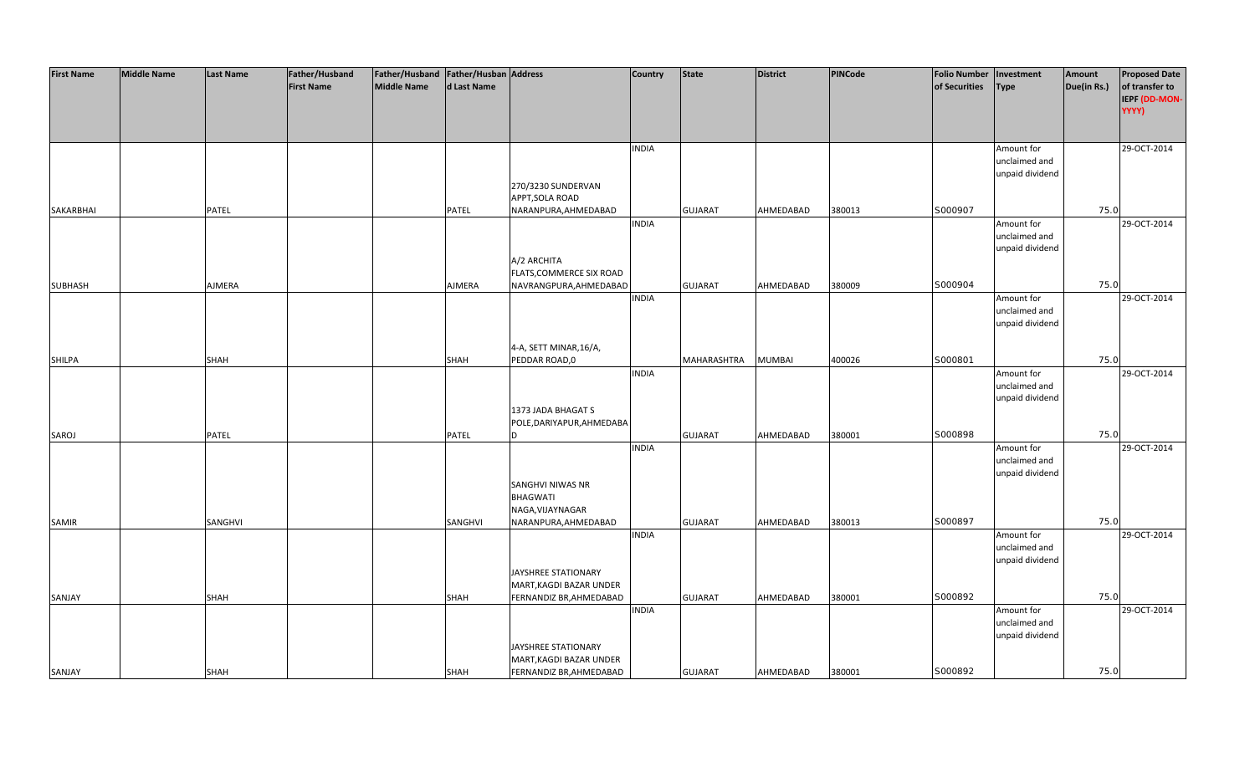| <b>First Name</b> | <b>Middle Name</b> | <b>Last Name</b> | Father/Husband    | Father/Husband Father/Husban Address |               |                           | <b>Country</b> | <b>State</b>   | <b>District</b> | <b>PINCode</b> | <b>Folio Number</b> | Investment                  | Amount      | <b>Proposed Date</b> |
|-------------------|--------------------|------------------|-------------------|--------------------------------------|---------------|---------------------------|----------------|----------------|-----------------|----------------|---------------------|-----------------------------|-------------|----------------------|
|                   |                    |                  | <b>First Name</b> | <b>Middle Name</b>                   | d Last Name   |                           |                |                |                 |                | of Securities       | <b>Type</b>                 | Due(in Rs.) | of transfer to       |
|                   |                    |                  |                   |                                      |               |                           |                |                |                 |                |                     |                             |             | IEPF (DD-MON-        |
|                   |                    |                  |                   |                                      |               |                           |                |                |                 |                |                     |                             |             | YYYY)                |
|                   |                    |                  |                   |                                      |               |                           |                |                |                 |                |                     |                             |             |                      |
|                   |                    |                  |                   |                                      |               |                           |                |                |                 |                |                     |                             |             |                      |
|                   |                    |                  |                   |                                      |               |                           | <b>INDIA</b>   |                |                 |                |                     | Amount for                  |             | 29-OCT-2014          |
|                   |                    |                  |                   |                                      |               |                           |                |                |                 |                |                     | unclaimed and               |             |                      |
|                   |                    |                  |                   |                                      |               |                           |                |                |                 |                |                     | unpaid dividend             |             |                      |
|                   |                    |                  |                   |                                      |               | 270/3230 SUNDERVAN        |                |                |                 |                |                     |                             |             |                      |
|                   |                    |                  |                   |                                      |               | APPT, SOLA ROAD           |                |                |                 |                |                     |                             |             |                      |
| SAKARBHAI         |                    | PATEL            |                   |                                      | PATEL         | NARANPURA, AHMEDABAD      |                | <b>GUJARAT</b> | AHMEDABAD       | 380013         | S000907             |                             | 75.0        |                      |
|                   |                    |                  |                   |                                      |               |                           | <b>INDIA</b>   |                |                 |                |                     | Amount for                  |             | 29-OCT-2014          |
|                   |                    |                  |                   |                                      |               |                           |                |                |                 |                |                     | unclaimed and               |             |                      |
|                   |                    |                  |                   |                                      |               |                           |                |                |                 |                |                     | unpaid dividend             |             |                      |
|                   |                    |                  |                   |                                      |               | A/2 ARCHITA               |                |                |                 |                |                     |                             |             |                      |
|                   |                    |                  |                   |                                      |               | FLATS, COMMERCE SIX ROAD  |                |                |                 |                |                     |                             |             |                      |
| SUBHASH           |                    | <b>AJMERA</b>    |                   |                                      | <b>AJMERA</b> | NAVRANGPURA, AHMEDABAD    |                | <b>GUJARAT</b> | AHMEDABAD       | 380009         | S000904             |                             | 75.0        |                      |
|                   |                    |                  |                   |                                      |               |                           | <b>INDIA</b>   |                |                 |                |                     | Amount for                  |             | 29-OCT-2014          |
|                   |                    |                  |                   |                                      |               |                           |                |                |                 |                |                     | unclaimed and               |             |                      |
|                   |                    |                  |                   |                                      |               |                           |                |                |                 |                |                     | unpaid dividend             |             |                      |
|                   |                    |                  |                   |                                      |               |                           |                |                |                 |                |                     |                             |             |                      |
|                   |                    |                  |                   |                                      |               | 4-A, SETT MINAR, 16/A,    |                |                |                 |                |                     |                             |             |                      |
| <b>SHILPA</b>     |                    | <b>SHAH</b>      |                   |                                      | <b>SHAH</b>   | PEDDAR ROAD,0             |                | MAHARASHTRA    | <b>MUMBAI</b>   | 400026         | S000801             |                             | 75.0        |                      |
|                   |                    |                  |                   |                                      |               |                           | <b>INDIA</b>   |                |                 |                |                     | Amount for<br>unclaimed and |             | 29-OCT-2014          |
|                   |                    |                  |                   |                                      |               |                           |                |                |                 |                |                     | unpaid dividend             |             |                      |
|                   |                    |                  |                   |                                      |               | 1373 JADA BHAGAT S        |                |                |                 |                |                     |                             |             |                      |
|                   |                    |                  |                   |                                      |               | POLE, DARIYAPUR, AHMEDABA |                |                |                 |                |                     |                             |             |                      |
| SAROJ             |                    | <b>PATEL</b>     |                   |                                      | PATEL         | D                         |                | <b>GUJARAT</b> | AHMEDABAD       | 380001         | S000898             |                             | 75.0        |                      |
|                   |                    |                  |                   |                                      |               |                           | <b>INDIA</b>   |                |                 |                |                     | Amount for                  |             | 29-OCT-2014          |
|                   |                    |                  |                   |                                      |               |                           |                |                |                 |                |                     | unclaimed and               |             |                      |
|                   |                    |                  |                   |                                      |               |                           |                |                |                 |                |                     | unpaid dividend             |             |                      |
|                   |                    |                  |                   |                                      |               | SANGHVI NIWAS NR          |                |                |                 |                |                     |                             |             |                      |
|                   |                    |                  |                   |                                      |               | <b>BHAGWATI</b>           |                |                |                 |                |                     |                             |             |                      |
|                   |                    |                  |                   |                                      |               | NAGA, VIJAYNAGAR          |                |                |                 |                |                     |                             |             |                      |
| SAMIR             |                    | SANGHVI          |                   |                                      | SANGHVI       | NARANPURA, AHMEDABAD      |                | <b>GUJARAT</b> | AHMEDABAD       | 380013         | S000897             |                             | 75.0        |                      |
|                   |                    |                  |                   |                                      |               |                           | <b>INDIA</b>   |                |                 |                |                     | Amount for                  |             | 29-OCT-2014          |
|                   |                    |                  |                   |                                      |               |                           |                |                |                 |                |                     | unclaimed and               |             |                      |
|                   |                    |                  |                   |                                      |               |                           |                |                |                 |                |                     | unpaid dividend             |             |                      |
|                   |                    |                  |                   |                                      |               | JAYSHREE STATIONARY       |                |                |                 |                |                     |                             |             |                      |
|                   |                    |                  |                   |                                      |               | MART, KAGDI BAZAR UNDER   |                |                |                 |                |                     |                             |             |                      |
| SANJAY            |                    | <b>SHAH</b>      |                   |                                      | <b>SHAH</b>   | FERNANDIZ BR, AHMEDABAD   |                | <b>GUJARAT</b> | AHMEDABAD       | 380001         | S000892             |                             | 75.0        |                      |
|                   |                    |                  |                   |                                      |               |                           | <b>INDIA</b>   |                |                 |                |                     | Amount for                  |             | 29-OCT-2014          |
|                   |                    |                  |                   |                                      |               |                           |                |                |                 |                |                     | unclaimed and               |             |                      |
|                   |                    |                  |                   |                                      |               |                           |                |                |                 |                |                     | unpaid dividend             |             |                      |
|                   |                    |                  |                   |                                      |               | JAYSHREE STATIONARY       |                |                |                 |                |                     |                             |             |                      |
|                   |                    |                  |                   |                                      |               | MART, KAGDI BAZAR UNDER   |                |                |                 |                |                     |                             |             |                      |
| SANJAY            |                    | <b>SHAH</b>      |                   |                                      | <b>SHAH</b>   | FERNANDIZ BR, AHMEDABAD   |                | <b>GUJARAT</b> | AHMEDABAD       | 380001         | S000892             |                             | 75.0        |                      |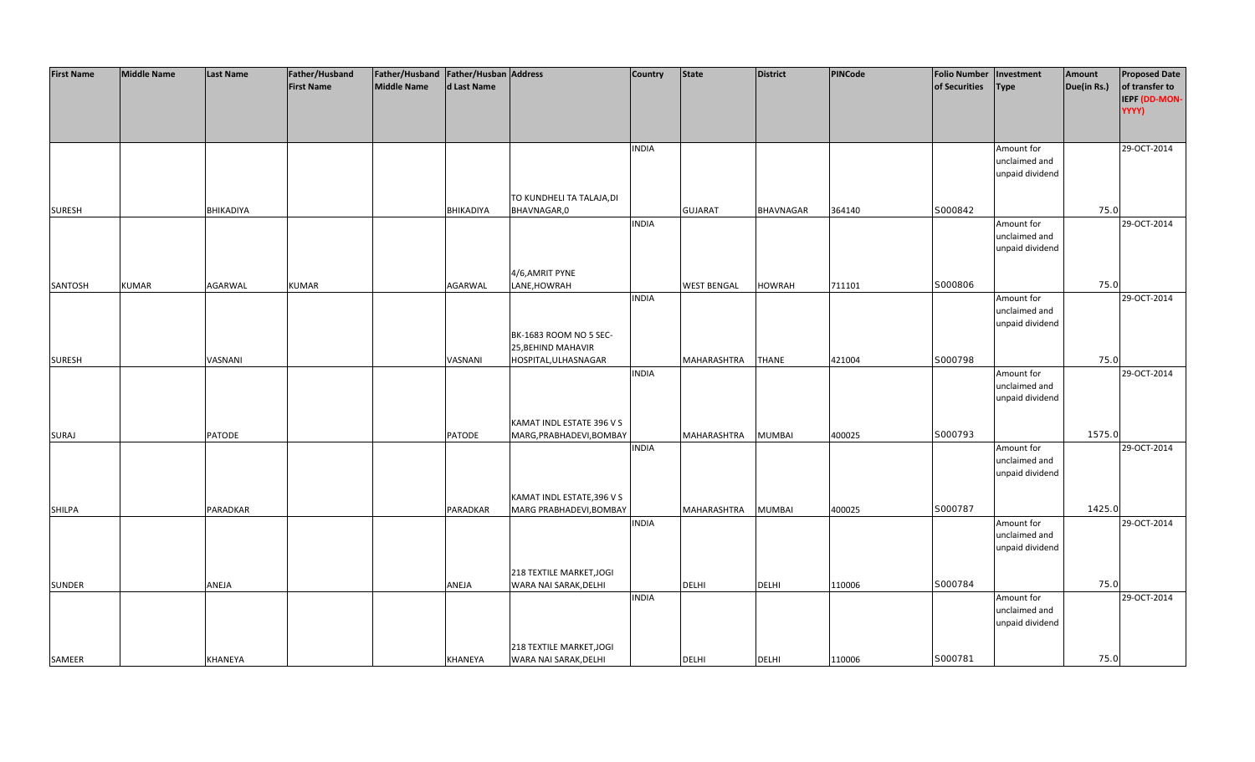| <b>First Name</b> | <b>Middle Name</b> | <b>Last Name</b> | Father/Husband    | Father/Husband Father/Husban Address |                  |                            | <b>Country</b> | <b>State</b>       | <b>District</b>  | PINCode | <b>Folio Number</b> | Investment                  | Amount      | <b>Proposed Date</b> |
|-------------------|--------------------|------------------|-------------------|--------------------------------------|------------------|----------------------------|----------------|--------------------|------------------|---------|---------------------|-----------------------------|-------------|----------------------|
|                   |                    |                  | <b>First Name</b> | <b>Middle Name</b>                   | d Last Name      |                            |                |                    |                  |         | of Securities       | <b>Type</b>                 | Due(in Rs.) | of transfer to       |
|                   |                    |                  |                   |                                      |                  |                            |                |                    |                  |         |                     |                             |             | IEPF (DD-MON-        |
|                   |                    |                  |                   |                                      |                  |                            |                |                    |                  |         |                     |                             |             | YYYY)                |
|                   |                    |                  |                   |                                      |                  |                            |                |                    |                  |         |                     |                             |             |                      |
|                   |                    |                  |                   |                                      |                  |                            |                |                    |                  |         |                     |                             |             |                      |
|                   |                    |                  |                   |                                      |                  |                            | <b>INDIA</b>   |                    |                  |         |                     | Amount for                  |             | 29-OCT-2014          |
|                   |                    |                  |                   |                                      |                  |                            |                |                    |                  |         |                     | unclaimed and               |             |                      |
|                   |                    |                  |                   |                                      |                  |                            |                |                    |                  |         |                     | unpaid dividend             |             |                      |
|                   |                    |                  |                   |                                      |                  |                            |                |                    |                  |         |                     |                             |             |                      |
|                   |                    |                  |                   |                                      |                  | TO KUNDHELI TA TALAJA, DI  |                |                    |                  |         |                     |                             |             |                      |
| <b>SURESH</b>     |                    | <b>BHIKADIYA</b> |                   |                                      | <b>BHIKADIYA</b> | BHAVNAGAR,0                |                | <b>GUJARAT</b>     | <b>BHAVNAGAR</b> | 364140  | S000842             |                             | 75.0        |                      |
|                   |                    |                  |                   |                                      |                  |                            | <b>INDIA</b>   |                    |                  |         |                     | Amount for                  |             | 29-OCT-2014          |
|                   |                    |                  |                   |                                      |                  |                            |                |                    |                  |         |                     | unclaimed and               |             |                      |
|                   |                    |                  |                   |                                      |                  |                            |                |                    |                  |         |                     | unpaid dividend             |             |                      |
|                   |                    |                  |                   |                                      |                  |                            |                |                    |                  |         |                     |                             |             |                      |
|                   |                    |                  |                   |                                      |                  | 4/6,AMRIT PYNE             |                |                    |                  |         |                     |                             |             |                      |
| SANTOSH           | <b>KUMAR</b>       | <b>AGARWAL</b>   | <b>KUMAR</b>      |                                      | AGARWAL          | LANE, HOWRAH               |                | <b>WEST BENGAL</b> | <b>HOWRAH</b>    | 711101  | S000806             |                             | 75.0        |                      |
|                   |                    |                  |                   |                                      |                  |                            | <b>INDIA</b>   |                    |                  |         |                     | Amount for                  |             | 29-OCT-2014          |
|                   |                    |                  |                   |                                      |                  |                            |                |                    |                  |         |                     | unclaimed and               |             |                      |
|                   |                    |                  |                   |                                      |                  |                            |                |                    |                  |         |                     | unpaid dividend             |             |                      |
|                   |                    |                  |                   |                                      |                  | BK-1683 ROOM NO 5 SEC-     |                |                    |                  |         |                     |                             |             |                      |
|                   |                    |                  |                   |                                      |                  | 25, BEHIND MAHAVIR         |                |                    |                  |         | S000798             |                             | 75.0        |                      |
| <b>SURESH</b>     |                    | VASNANI          |                   |                                      | VASNANI          | HOSPITAL, ULHASNAGAR       |                | MAHARASHTRA        | <b>THANE</b>     | 421004  |                     |                             |             |                      |
|                   |                    |                  |                   |                                      |                  |                            | <b>INDIA</b>   |                    |                  |         |                     | Amount for<br>unclaimed and |             | 29-OCT-2014          |
|                   |                    |                  |                   |                                      |                  |                            |                |                    |                  |         |                     | unpaid dividend             |             |                      |
|                   |                    |                  |                   |                                      |                  |                            |                |                    |                  |         |                     |                             |             |                      |
|                   |                    |                  |                   |                                      |                  | KAMAT INDL ESTATE 396 V S  |                |                    |                  |         |                     |                             |             |                      |
| <b>SURAJ</b>      |                    | <b>PATODE</b>    |                   |                                      | PATODE           | MARG, PRABHADEVI, BOMBAY   |                | MAHARASHTRA        | <b>MUMBAI</b>    | 400025  | S000793             |                             | 1575.0      |                      |
|                   |                    |                  |                   |                                      |                  |                            | <b>INDIA</b>   |                    |                  |         |                     | Amount for                  |             | 29-OCT-2014          |
|                   |                    |                  |                   |                                      |                  |                            |                |                    |                  |         |                     | unclaimed and               |             |                      |
|                   |                    |                  |                   |                                      |                  |                            |                |                    |                  |         |                     | unpaid dividend             |             |                      |
|                   |                    |                  |                   |                                      |                  |                            |                |                    |                  |         |                     |                             |             |                      |
|                   |                    |                  |                   |                                      |                  | KAMAT INDL ESTATE, 396 V S |                |                    |                  |         |                     |                             |             |                      |
| <b>SHILPA</b>     |                    | PARADKAR         |                   |                                      | PARADKAR         | MARG PRABHADEVI, BOMBAY    |                | MAHARASHTRA        | <b>MUMBAI</b>    | 400025  | S000787             |                             | 1425.0      |                      |
|                   |                    |                  |                   |                                      |                  |                            | <b>INDIA</b>   |                    |                  |         |                     | Amount for                  |             | 29-OCT-2014          |
|                   |                    |                  |                   |                                      |                  |                            |                |                    |                  |         |                     | unclaimed and               |             |                      |
|                   |                    |                  |                   |                                      |                  |                            |                |                    |                  |         |                     | unpaid dividend             |             |                      |
|                   |                    |                  |                   |                                      |                  |                            |                |                    |                  |         |                     |                             |             |                      |
|                   |                    |                  |                   |                                      |                  | 218 TEXTILE MARKET, JOGI   |                |                    |                  |         |                     |                             |             |                      |
| <b>SUNDER</b>     |                    | ANEJA            |                   |                                      | ANEJA            | WARA NAI SARAK, DELHI      |                | <b>DELHI</b>       | <b>DELHI</b>     | 110006  | S000784             |                             | 75.0        |                      |
|                   |                    |                  |                   |                                      |                  |                            | <b>INDIA</b>   |                    |                  |         |                     | Amount for<br>unclaimed and |             | 29-OCT-2014          |
|                   |                    |                  |                   |                                      |                  |                            |                |                    |                  |         |                     |                             |             |                      |
|                   |                    |                  |                   |                                      |                  |                            |                |                    |                  |         |                     | unpaid dividend             |             |                      |
|                   |                    |                  |                   |                                      |                  | 218 TEXTILE MARKET, JOGI   |                |                    |                  |         |                     |                             |             |                      |
| SAMEER            |                    | KHANEYA          |                   |                                      | KHANEYA          | WARA NAI SARAK, DELHI      |                | <b>DELHI</b>       | <b>DELHI</b>     | 110006  | S000781             |                             | 75.0        |                      |
|                   |                    |                  |                   |                                      |                  |                            |                |                    |                  |         |                     |                             |             |                      |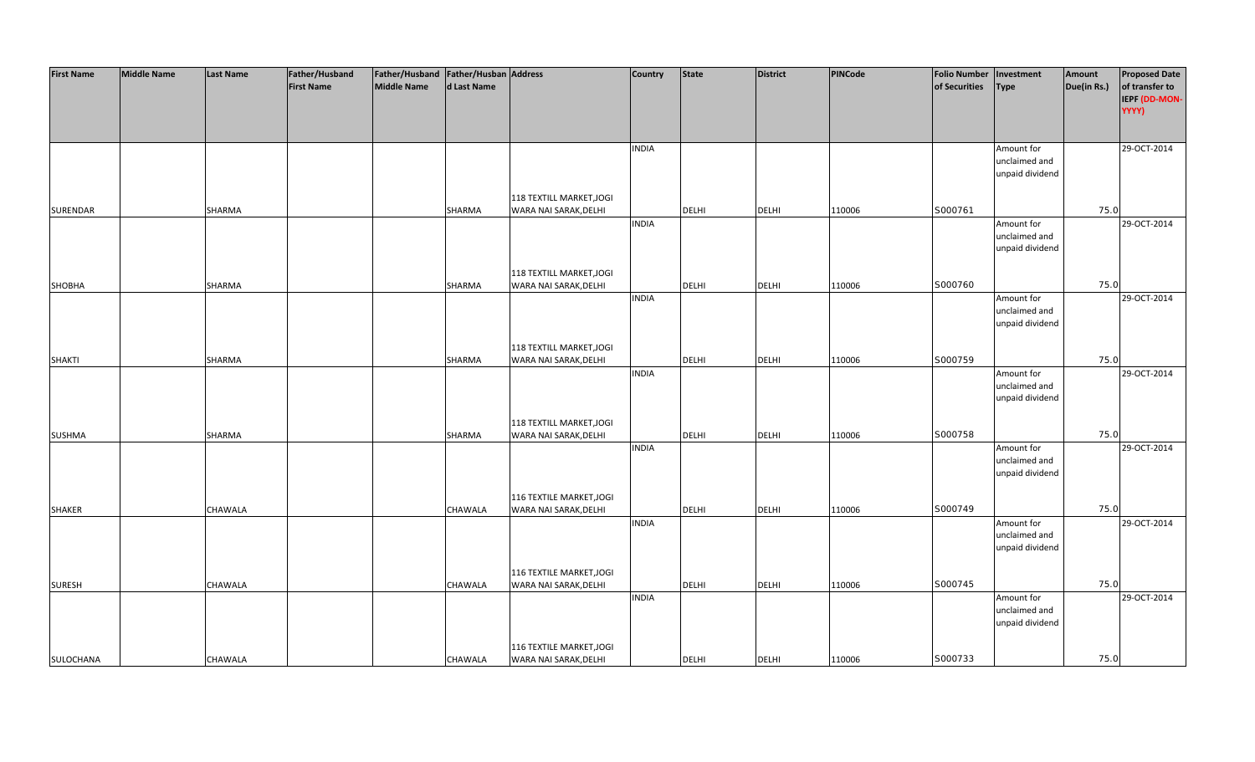| <b>First Name</b> | <b>Middle Name</b> | <b>Last Name</b> | Father/Husband    | Father/Husband Father/Husban Address |                |                          | <b>Country</b> | <b>State</b> | <b>District</b> | PINCode | <b>Folio Number</b> | Investment                  | Amount      | <b>Proposed Date</b> |
|-------------------|--------------------|------------------|-------------------|--------------------------------------|----------------|--------------------------|----------------|--------------|-----------------|---------|---------------------|-----------------------------|-------------|----------------------|
|                   |                    |                  | <b>First Name</b> | <b>Middle Name</b>                   | d Last Name    |                          |                |              |                 |         | of Securities       | <b>Type</b>                 | Due(in Rs.) | of transfer to       |
|                   |                    |                  |                   |                                      |                |                          |                |              |                 |         |                     |                             |             | IEPF (DD-MON-        |
|                   |                    |                  |                   |                                      |                |                          |                |              |                 |         |                     |                             |             | YYYY)                |
|                   |                    |                  |                   |                                      |                |                          |                |              |                 |         |                     |                             |             |                      |
|                   |                    |                  |                   |                                      |                |                          |                |              |                 |         |                     |                             |             |                      |
|                   |                    |                  |                   |                                      |                |                          | <b>INDIA</b>   |              |                 |         |                     | Amount for<br>unclaimed and |             | 29-OCT-2014          |
|                   |                    |                  |                   |                                      |                |                          |                |              |                 |         |                     | unpaid dividend             |             |                      |
|                   |                    |                  |                   |                                      |                |                          |                |              |                 |         |                     |                             |             |                      |
|                   |                    |                  |                   |                                      |                | 118 TEXTILL MARKET, JOGI |                |              |                 |         |                     |                             |             |                      |
| <b>SURENDAR</b>   |                    | SHARMA           |                   |                                      | <b>SHARMA</b>  | WARA NAI SARAK, DELHI    |                | <b>DELHI</b> | <b>DELHI</b>    | 110006  | S000761             |                             | 75.0        |                      |
|                   |                    |                  |                   |                                      |                |                          | <b>INDIA</b>   |              |                 |         |                     | Amount for                  |             | 29-OCT-2014          |
|                   |                    |                  |                   |                                      |                |                          |                |              |                 |         |                     | unclaimed and               |             |                      |
|                   |                    |                  |                   |                                      |                |                          |                |              |                 |         |                     | unpaid dividend             |             |                      |
|                   |                    |                  |                   |                                      |                |                          |                |              |                 |         |                     |                             |             |                      |
|                   |                    |                  |                   |                                      |                | 118 TEXTILL MARKET, JOGI |                |              |                 |         |                     |                             |             |                      |
| SHOBHA            |                    | SHARMA           |                   |                                      | SHARMA         | WARA NAI SARAK, DELHI    |                | <b>DELHI</b> | <b>DELHI</b>    | 110006  | S000760             |                             | 75.0        |                      |
|                   |                    |                  |                   |                                      |                |                          | <b>INDIA</b>   |              |                 |         |                     | Amount for                  |             | 29-OCT-2014          |
|                   |                    |                  |                   |                                      |                |                          |                |              |                 |         |                     | unclaimed and               |             |                      |
|                   |                    |                  |                   |                                      |                |                          |                |              |                 |         |                     | unpaid dividend             |             |                      |
|                   |                    |                  |                   |                                      |                |                          |                |              |                 |         |                     |                             |             |                      |
|                   |                    |                  |                   |                                      |                | 118 TEXTILL MARKET, JOGI |                |              |                 |         | S000759             |                             | 75.0        |                      |
| <b>SHAKTI</b>     |                    | SHARMA           |                   |                                      | <b>SHARMA</b>  | WARA NAI SARAK, DELHI    | <b>INDIA</b>   | <b>DELHI</b> | <b>DELHI</b>    | 110006  |                     | Amount for                  |             | 29-OCT-2014          |
|                   |                    |                  |                   |                                      |                |                          |                |              |                 |         |                     | unclaimed and               |             |                      |
|                   |                    |                  |                   |                                      |                |                          |                |              |                 |         |                     | unpaid dividend             |             |                      |
|                   |                    |                  |                   |                                      |                |                          |                |              |                 |         |                     |                             |             |                      |
|                   |                    |                  |                   |                                      |                | 118 TEXTILL MARKET, JOGI |                |              |                 |         |                     |                             |             |                      |
| <b>SUSHMA</b>     |                    | SHARMA           |                   |                                      | SHARMA         | WARA NAI SARAK, DELHI    |                | <b>DELHI</b> | <b>DELHI</b>    | 110006  | S000758             |                             | 75.0        |                      |
|                   |                    |                  |                   |                                      |                |                          | <b>INDIA</b>   |              |                 |         |                     | Amount for                  |             | 29-OCT-2014          |
|                   |                    |                  |                   |                                      |                |                          |                |              |                 |         |                     | unclaimed and               |             |                      |
|                   |                    |                  |                   |                                      |                |                          |                |              |                 |         |                     | unpaid dividend             |             |                      |
|                   |                    |                  |                   |                                      |                |                          |                |              |                 |         |                     |                             |             |                      |
|                   |                    |                  |                   |                                      |                | 116 TEXTILE MARKET, JOGI |                |              |                 |         |                     |                             |             |                      |
| <b>SHAKER</b>     |                    | CHAWALA          |                   |                                      | CHAWALA        | WARA NAI SARAK, DELHI    |                | DELHI        | <b>DELHI</b>    | 110006  | S000749             |                             | 75.0        |                      |
|                   |                    |                  |                   |                                      |                |                          | <b>INDIA</b>   |              |                 |         |                     | Amount for<br>unclaimed and |             | 29-OCT-2014          |
|                   |                    |                  |                   |                                      |                |                          |                |              |                 |         |                     | unpaid dividend             |             |                      |
|                   |                    |                  |                   |                                      |                |                          |                |              |                 |         |                     |                             |             |                      |
|                   |                    |                  |                   |                                      |                | 116 TEXTILE MARKET, JOGI |                |              |                 |         |                     |                             |             |                      |
| <b>SURESH</b>     |                    | <b>CHAWALA</b>   |                   |                                      | <b>CHAWALA</b> | WARA NAI SARAK, DELHI    |                | <b>DELHI</b> | <b>DELHI</b>    | 110006  | S000745             |                             | 75.0        |                      |
|                   |                    |                  |                   |                                      |                |                          | <b>INDIA</b>   |              |                 |         |                     | Amount for                  |             | 29-OCT-2014          |
|                   |                    |                  |                   |                                      |                |                          |                |              |                 |         |                     | unclaimed and               |             |                      |
|                   |                    |                  |                   |                                      |                |                          |                |              |                 |         |                     | unpaid dividend             |             |                      |
|                   |                    |                  |                   |                                      |                |                          |                |              |                 |         |                     |                             |             |                      |
|                   |                    |                  |                   |                                      |                | 116 TEXTILE MARKET, JOGI |                |              |                 |         |                     |                             |             |                      |
| SULOCHANA         |                    | CHAWALA          |                   |                                      | <b>CHAWALA</b> | WARA NAI SARAK, DELHI    |                | <b>DELHI</b> | <b>DELHI</b>    | 110006  | S000733             |                             | 75.0        |                      |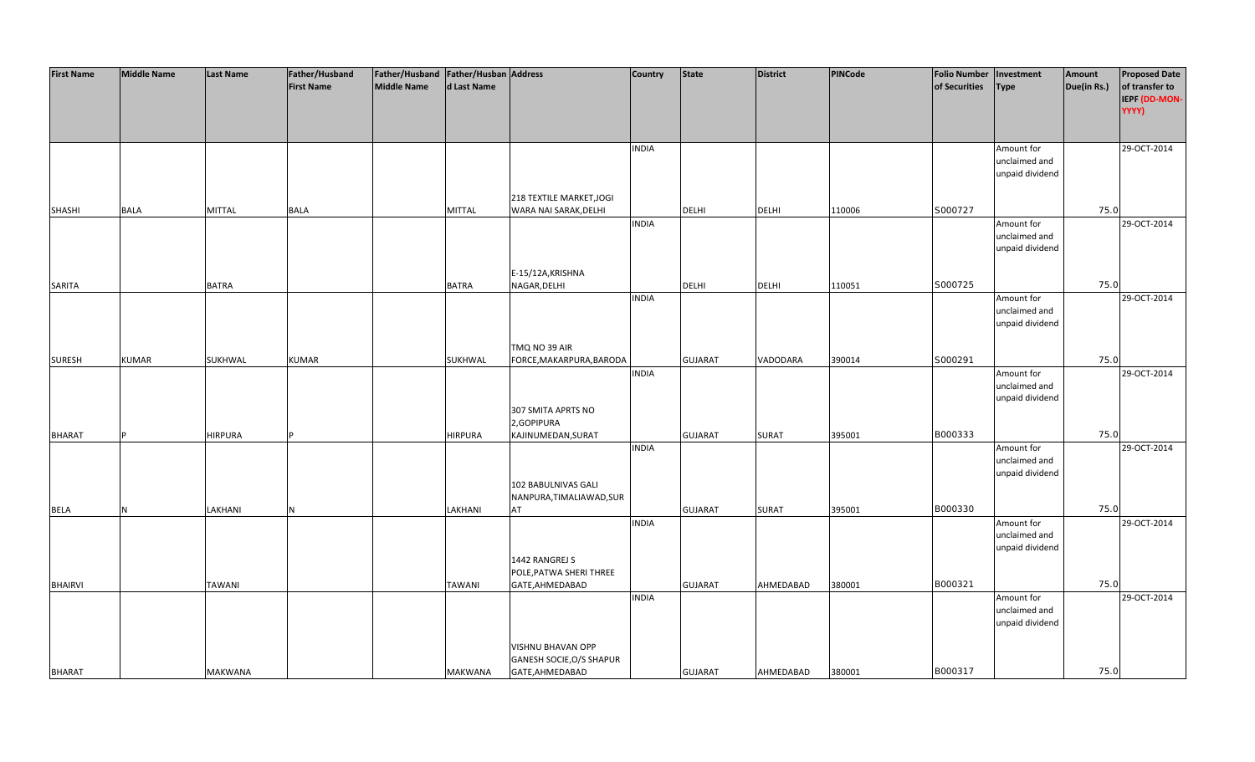| <b>First Name</b> | <b>Middle Name</b> | <b>Last Name</b> | Father/Husband    | Father/Husband Father/Husban Address |                |                                | <b>Country</b> | <b>State</b>   | <b>District</b> | <b>PINCode</b> | <b>Folio Number</b> | Investment                  | Amount      | <b>Proposed Date</b> |
|-------------------|--------------------|------------------|-------------------|--------------------------------------|----------------|--------------------------------|----------------|----------------|-----------------|----------------|---------------------|-----------------------------|-------------|----------------------|
|                   |                    |                  | <b>First Name</b> | <b>Middle Name</b>                   | d Last Name    |                                |                |                |                 |                | of Securities       | <b>Type</b>                 | Due(in Rs.) | of transfer to       |
|                   |                    |                  |                   |                                      |                |                                |                |                |                 |                |                     |                             |             | IEPF (DD-MON-        |
|                   |                    |                  |                   |                                      |                |                                |                |                |                 |                |                     |                             |             | YYYY)                |
|                   |                    |                  |                   |                                      |                |                                |                |                |                 |                |                     |                             |             |                      |
|                   |                    |                  |                   |                                      |                |                                | <b>INDIA</b>   |                |                 |                |                     | Amount for                  |             | 29-OCT-2014          |
|                   |                    |                  |                   |                                      |                |                                |                |                |                 |                |                     | unclaimed and               |             |                      |
|                   |                    |                  |                   |                                      |                |                                |                |                |                 |                |                     | unpaid dividend             |             |                      |
|                   |                    |                  |                   |                                      |                |                                |                |                |                 |                |                     |                             |             |                      |
|                   |                    |                  |                   |                                      |                | 218 TEXTILE MARKET, JOGI       |                |                |                 |                |                     |                             |             |                      |
| <b>SHASHI</b>     | <b>BALA</b>        | <b>MITTAL</b>    | BALA              |                                      | MITTAL         | WARA NAI SARAK, DELHI          |                | DELHI          | <b>DELHI</b>    | 110006         | S000727             |                             | 75.0        |                      |
|                   |                    |                  |                   |                                      |                |                                | <b>INDIA</b>   |                |                 |                |                     | Amount for                  |             | 29-OCT-2014          |
|                   |                    |                  |                   |                                      |                |                                |                |                |                 |                |                     | unclaimed and               |             |                      |
|                   |                    |                  |                   |                                      |                |                                |                |                |                 |                |                     | unpaid dividend             |             |                      |
|                   |                    |                  |                   |                                      |                | E-15/12A, KRISHNA              |                |                |                 |                |                     |                             |             |                      |
| SARITA            |                    | <b>BATRA</b>     |                   |                                      | <b>BATRA</b>   | NAGAR, DELHI                   |                | <b>DELHI</b>   | <b>DELHI</b>    | 110051         | S000725             |                             | 75.0        |                      |
|                   |                    |                  |                   |                                      |                |                                | <b>INDIA</b>   |                |                 |                |                     | Amount for                  |             | 29-OCT-2014          |
|                   |                    |                  |                   |                                      |                |                                |                |                |                 |                |                     | unclaimed and               |             |                      |
|                   |                    |                  |                   |                                      |                |                                |                |                |                 |                |                     | unpaid dividend             |             |                      |
|                   |                    |                  |                   |                                      |                |                                |                |                |                 |                |                     |                             |             |                      |
|                   |                    |                  |                   |                                      |                | TMQ NO 39 AIR                  |                |                |                 |                |                     |                             |             |                      |
| <b>SURESH</b>     | <b>KUMAR</b>       | SUKHWAL          | <b>KUMAR</b>      |                                      | SUKHWAL        | FORCE, MAKARPURA, BARODA       |                | <b>GUJARAT</b> | VADODARA        | 390014         | S000291             |                             | 75.0        |                      |
|                   |                    |                  |                   |                                      |                |                                | <b>INDIA</b>   |                |                 |                |                     | Amount for<br>unclaimed and |             | 29-OCT-2014          |
|                   |                    |                  |                   |                                      |                |                                |                |                |                 |                |                     | unpaid dividend             |             |                      |
|                   |                    |                  |                   |                                      |                | 307 SMITA APRTS NO             |                |                |                 |                |                     |                             |             |                      |
|                   |                    |                  |                   |                                      |                | 2,GOPIPURA                     |                |                |                 |                |                     |                             |             |                      |
| <b>BHARAT</b>     |                    | <b>HIRPURA</b>   |                   |                                      | <b>HIRPURA</b> | KAJINUMEDAN, SURAT             |                | <b>GUJARAT</b> | <b>SURAT</b>    | 395001         | B000333             |                             | 75.0        |                      |
|                   |                    |                  |                   |                                      |                |                                | <b>INDIA</b>   |                |                 |                |                     | Amount for                  |             | 29-OCT-2014          |
|                   |                    |                  |                   |                                      |                |                                |                |                |                 |                |                     | unclaimed and               |             |                      |
|                   |                    |                  |                   |                                      |                |                                |                |                |                 |                |                     | unpaid dividend             |             |                      |
|                   |                    |                  |                   |                                      |                | 102 BABULNIVAS GALI            |                |                |                 |                |                     |                             |             |                      |
|                   | N                  | LAKHANI          |                   |                                      | LAKHANI        | NANPURA, TIMALIAWAD, SUR<br>AT |                |                |                 |                | B000330             |                             | 75.0        |                      |
| BELA              |                    |                  | N                 |                                      |                |                                | <b>INDIA</b>   | <b>GUJARAT</b> | <b>SURAT</b>    | 395001         |                     | Amount for                  |             | 29-OCT-2014          |
|                   |                    |                  |                   |                                      |                |                                |                |                |                 |                |                     | unclaimed and               |             |                      |
|                   |                    |                  |                   |                                      |                |                                |                |                |                 |                |                     | unpaid dividend             |             |                      |
|                   |                    |                  |                   |                                      |                | 1442 RANGREJ S                 |                |                |                 |                |                     |                             |             |                      |
|                   |                    |                  |                   |                                      |                | POLE, PATWA SHERI THREE        |                |                |                 |                |                     |                             |             |                      |
| <b>BHAIRVI</b>    |                    | <b>TAWANI</b>    |                   |                                      | <b>TAWANI</b>  | GATE, AHMEDABAD                |                | <b>GUJARAT</b> | AHMEDABAD       | 380001         | B000321             |                             | 75.0        |                      |
|                   |                    |                  |                   |                                      |                |                                | <b>INDIA</b>   |                |                 |                |                     | Amount for                  |             | 29-OCT-2014          |
|                   |                    |                  |                   |                                      |                |                                |                |                |                 |                |                     | unclaimed and               |             |                      |
|                   |                    |                  |                   |                                      |                |                                |                |                |                 |                |                     | unpaid dividend             |             |                      |
|                   |                    |                  |                   |                                      |                | VISHNU BHAVAN OPP              |                |                |                 |                |                     |                             |             |                      |
|                   |                    |                  |                   |                                      |                | GANESH SOCIE, O/S SHAPUR       |                |                |                 |                |                     |                             |             |                      |
| <b>BHARAT</b>     |                    | <b>MAKWANA</b>   |                   |                                      | MAKWANA        | GATE, AHMEDABAD                |                | <b>GUJARAT</b> | AHMEDABAD       | 380001         | B000317             |                             | 75.0        |                      |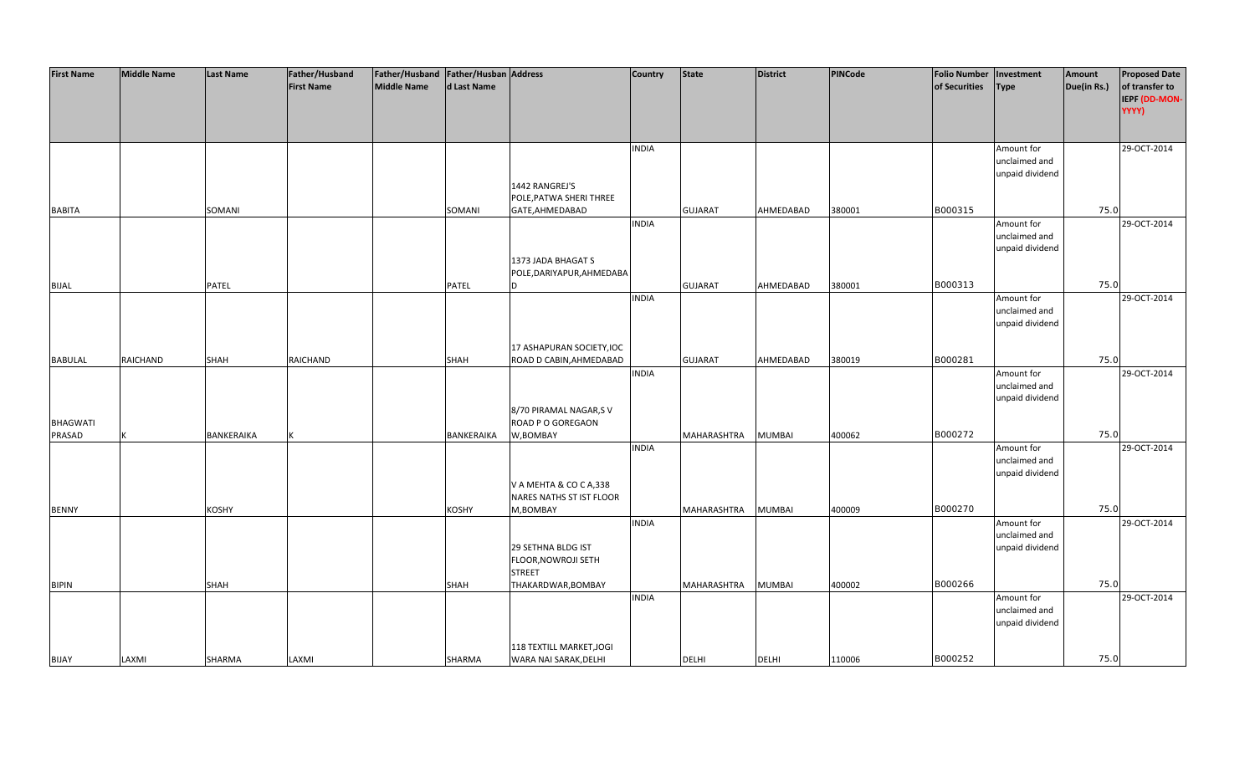| <b>First Name</b> | <b>Middle Name</b> | <b>Last Name</b> | Father/Husband    | Father/Husband Father/Husban Address |              |                           | <b>Country</b> | <b>State</b>       | <b>District</b> | PINCode | <b>Folio Number</b> | Investment      | Amount      | <b>Proposed Date</b> |
|-------------------|--------------------|------------------|-------------------|--------------------------------------|--------------|---------------------------|----------------|--------------------|-----------------|---------|---------------------|-----------------|-------------|----------------------|
|                   |                    |                  | <b>First Name</b> | <b>Middle Name</b>                   | d Last Name  |                           |                |                    |                 |         | of Securities       | <b>Type</b>     | Due(in Rs.) | of transfer to       |
|                   |                    |                  |                   |                                      |              |                           |                |                    |                 |         |                     |                 |             | IEPF (DD-MON-        |
|                   |                    |                  |                   |                                      |              |                           |                |                    |                 |         |                     |                 |             | YYYY)                |
|                   |                    |                  |                   |                                      |              |                           |                |                    |                 |         |                     |                 |             |                      |
|                   |                    |                  |                   |                                      |              |                           |                |                    |                 |         |                     |                 |             |                      |
|                   |                    |                  |                   |                                      |              |                           | <b>INDIA</b>   |                    |                 |         |                     | Amount for      |             | 29-OCT-2014          |
|                   |                    |                  |                   |                                      |              |                           |                |                    |                 |         |                     | unclaimed and   |             |                      |
|                   |                    |                  |                   |                                      |              |                           |                |                    |                 |         |                     | unpaid dividend |             |                      |
|                   |                    |                  |                   |                                      |              | 1442 RANGREJ'S            |                |                    |                 |         |                     |                 |             |                      |
|                   |                    |                  |                   |                                      |              | POLE, PATWA SHERI THREE   |                |                    |                 |         |                     |                 |             |                      |
| <b>BABITA</b>     |                    | SOMANI           |                   |                                      | SOMANI       | GATE, AHMEDABAD           |                | <b>GUJARAT</b>     | AHMEDABAD       | 380001  | B000315             |                 | 75.0        |                      |
|                   |                    |                  |                   |                                      |              |                           | <b>INDIA</b>   |                    |                 |         |                     | Amount for      |             | 29-OCT-2014          |
|                   |                    |                  |                   |                                      |              |                           |                |                    |                 |         |                     | unclaimed and   |             |                      |
|                   |                    |                  |                   |                                      |              |                           |                |                    |                 |         |                     | unpaid dividend |             |                      |
|                   |                    |                  |                   |                                      |              | 1373 JADA BHAGAT S        |                |                    |                 |         |                     |                 |             |                      |
|                   |                    |                  |                   |                                      |              | POLE, DARIYAPUR, AHMEDABA |                |                    |                 |         |                     |                 |             |                      |
| <b>BIJAL</b>      |                    | PATEL            |                   |                                      | <b>PATEL</b> | D                         |                | <b>GUJARAT</b>     | AHMEDABAD       | 380001  | B000313             |                 | 75.0        |                      |
|                   |                    |                  |                   |                                      |              |                           | <b>INDIA</b>   |                    |                 |         |                     | Amount for      |             | 29-OCT-2014          |
|                   |                    |                  |                   |                                      |              |                           |                |                    |                 |         |                     | unclaimed and   |             |                      |
|                   |                    |                  |                   |                                      |              |                           |                |                    |                 |         |                     | unpaid dividend |             |                      |
|                   |                    |                  |                   |                                      |              |                           |                |                    |                 |         |                     |                 |             |                      |
|                   |                    |                  |                   |                                      |              | 17 ASHAPURAN SOCIETY, IOC |                |                    |                 |         |                     |                 |             |                      |
| <b>BABULAL</b>    | RAICHAND           | <b>SHAH</b>      | RAICHAND          |                                      | SHAH         | ROAD D CABIN, AHMEDABAD   |                | <b>GUJARAT</b>     | AHMEDABAD       | 380019  | B000281             |                 | 75.0        |                      |
|                   |                    |                  |                   |                                      |              |                           | <b>INDIA</b>   |                    |                 |         |                     | Amount for      |             | 29-OCT-2014          |
|                   |                    |                  |                   |                                      |              |                           |                |                    |                 |         |                     | unclaimed and   |             |                      |
|                   |                    |                  |                   |                                      |              |                           |                |                    |                 |         |                     | unpaid dividend |             |                      |
|                   |                    |                  |                   |                                      |              | 8/70 PIRAMAL NAGAR, SV    |                |                    |                 |         |                     |                 |             |                      |
| <b>BHAGWATI</b>   |                    |                  |                   |                                      |              | ROAD P O GOREGAON         |                |                    |                 |         |                     |                 |             |                      |
| PRASAD            |                    | BANKERAIKA       |                   |                                      | BANKERAIKA   | W,BOMBAY                  |                | <b>MAHARASHTRA</b> | <b>MUMBAI</b>   | 400062  | B000272             |                 | 75.0        |                      |
|                   |                    |                  |                   |                                      |              |                           | <b>INDIA</b>   |                    |                 |         |                     | Amount for      |             | 29-OCT-2014          |
|                   |                    |                  |                   |                                      |              |                           |                |                    |                 |         |                     | unclaimed and   |             |                      |
|                   |                    |                  |                   |                                      |              |                           |                |                    |                 |         |                     | unpaid dividend |             |                      |
|                   |                    |                  |                   |                                      |              | V A MEHTA & CO C A,338    |                |                    |                 |         |                     |                 |             |                      |
|                   |                    |                  |                   |                                      |              | NARES NATHS ST IST FLOOR  |                |                    |                 |         |                     |                 |             |                      |
| <b>BENNY</b>      |                    | <b>KOSHY</b>     |                   |                                      | <b>KOSHY</b> | M,BOMBAY                  |                | MAHARASHTRA        | <b>MUMBAI</b>   | 400009  | B000270             |                 | 75.0        |                      |
|                   |                    |                  |                   |                                      |              |                           | <b>INDIA</b>   |                    |                 |         |                     | Amount for      |             | 29-OCT-2014          |
|                   |                    |                  |                   |                                      |              |                           |                |                    |                 |         |                     | unclaimed and   |             |                      |
|                   |                    |                  |                   |                                      |              | 29 SETHNA BLDG IST        |                |                    |                 |         |                     | unpaid dividend |             |                      |
|                   |                    |                  |                   |                                      |              | FLOOR, NOWROJI SETH       |                |                    |                 |         |                     |                 |             |                      |
|                   |                    |                  |                   |                                      |              | <b>STREET</b>             |                |                    |                 |         |                     |                 |             |                      |
| <b>BIPIN</b>      |                    | <b>SHAH</b>      |                   |                                      | <b>SHAH</b>  | THAKARDWAR, BOMBAY        |                | MAHARASHTRA        | <b>MUMBAI</b>   | 400002  | B000266             |                 | 75.0        |                      |
|                   |                    |                  |                   |                                      |              |                           | <b>INDIA</b>   |                    |                 |         |                     | Amount for      |             | 29-OCT-2014          |
|                   |                    |                  |                   |                                      |              |                           |                |                    |                 |         |                     | unclaimed and   |             |                      |
|                   |                    |                  |                   |                                      |              |                           |                |                    |                 |         |                     | unpaid dividend |             |                      |
|                   |                    |                  |                   |                                      |              |                           |                |                    |                 |         |                     |                 |             |                      |
|                   |                    |                  |                   |                                      |              | 118 TEXTILL MARKET, JOGI  |                |                    |                 |         |                     |                 |             |                      |
| <b>BIJAY</b>      | LAXMI              | SHARMA           | LAXMI             |                                      | SHARMA       | WARA NAI SARAK, DELHI     |                | <b>DELHI</b>       | <b>DELHI</b>    | 110006  | B000252             |                 | 75.0        |                      |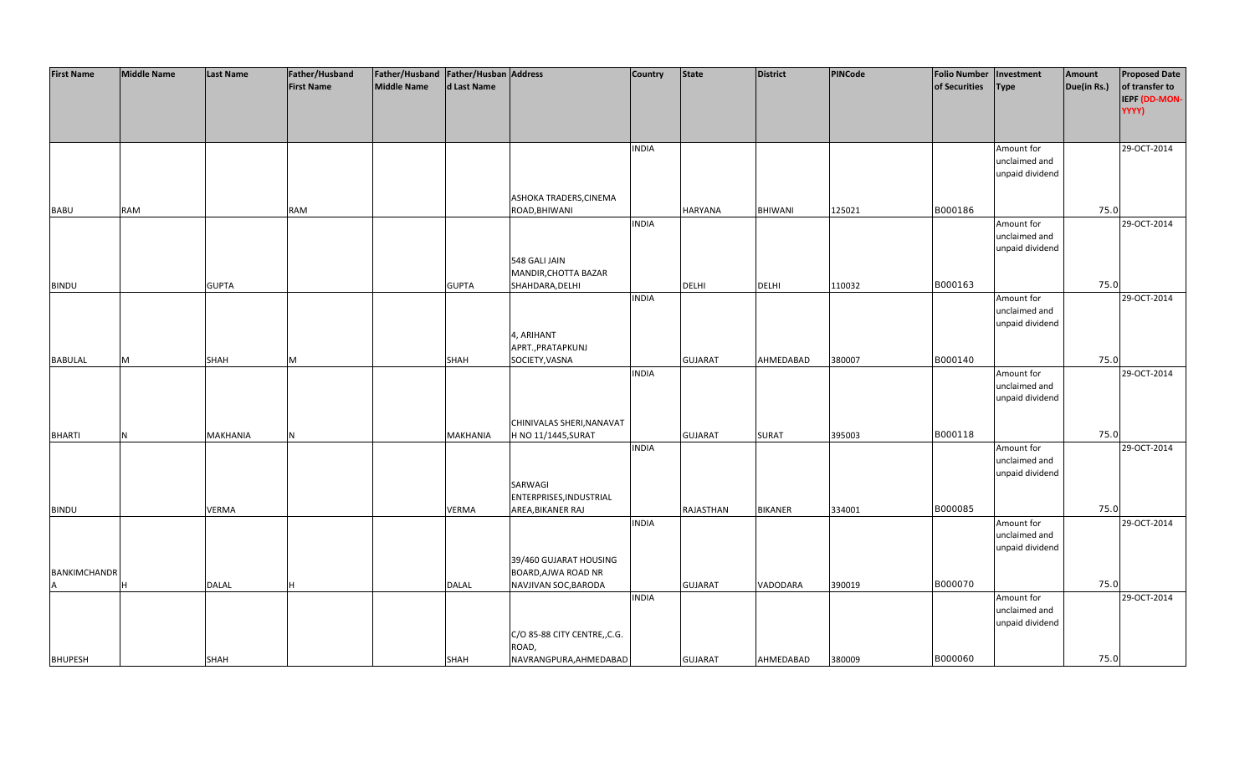| <b>First Name</b>   | <b>Middle Name</b> | <b>Last Name</b> | Father/Husband    | Father/Husband Father/Husban Address |                 |                              | <b>Country</b> | <b>State</b>     | <b>District</b> | PINCode | <b>Folio Number</b> | Investment      | Amount      | <b>Proposed Date</b> |
|---------------------|--------------------|------------------|-------------------|--------------------------------------|-----------------|------------------------------|----------------|------------------|-----------------|---------|---------------------|-----------------|-------------|----------------------|
|                     |                    |                  | <b>First Name</b> | <b>Middle Name</b>                   | d Last Name     |                              |                |                  |                 |         | of Securities       | <b>Type</b>     | Due(in Rs.) | of transfer to       |
|                     |                    |                  |                   |                                      |                 |                              |                |                  |                 |         |                     |                 |             | IEPF (DD-MON-        |
|                     |                    |                  |                   |                                      |                 |                              |                |                  |                 |         |                     |                 |             | YYYY)                |
|                     |                    |                  |                   |                                      |                 |                              |                |                  |                 |         |                     |                 |             |                      |
|                     |                    |                  |                   |                                      |                 |                              |                |                  |                 |         |                     |                 |             |                      |
|                     |                    |                  |                   |                                      |                 |                              |                |                  |                 |         |                     |                 |             |                      |
|                     |                    |                  |                   |                                      |                 |                              | <b>INDIA</b>   |                  |                 |         |                     | Amount for      |             | 29-OCT-2014          |
|                     |                    |                  |                   |                                      |                 |                              |                |                  |                 |         |                     | unclaimed and   |             |                      |
|                     |                    |                  |                   |                                      |                 |                              |                |                  |                 |         |                     | unpaid dividend |             |                      |
|                     |                    |                  |                   |                                      |                 |                              |                |                  |                 |         |                     |                 |             |                      |
|                     |                    |                  |                   |                                      |                 | ASHOKA TRADERS, CINEMA       |                |                  |                 |         |                     |                 |             |                      |
| <b>BABU</b>         | <b>RAM</b>         |                  | RAM               |                                      |                 | ROAD, BHIWANI                |                | <b>HARYANA</b>   | BHIWANI         | 125021  | B000186             |                 | 75.0        |                      |
|                     |                    |                  |                   |                                      |                 |                              | <b>INDIA</b>   |                  |                 |         |                     | Amount for      |             | 29-OCT-2014          |
|                     |                    |                  |                   |                                      |                 |                              |                |                  |                 |         |                     | unclaimed and   |             |                      |
|                     |                    |                  |                   |                                      |                 |                              |                |                  |                 |         |                     | unpaid dividend |             |                      |
|                     |                    |                  |                   |                                      |                 | 548 GALI JAIN                |                |                  |                 |         |                     |                 |             |                      |
|                     |                    |                  |                   |                                      |                 | MANDIR, CHOTTA BAZAR         |                |                  |                 |         |                     |                 |             |                      |
| <b>BINDU</b>        |                    | <b>GUPTA</b>     |                   |                                      | <b>GUPTA</b>    | SHAHDARA, DELHI              |                | <b>DELHI</b>     | <b>DELHI</b>    | 110032  | B000163             |                 | 75.0        |                      |
|                     |                    |                  |                   |                                      |                 |                              | <b>INDIA</b>   |                  |                 |         |                     | Amount for      |             | 29-OCT-2014          |
|                     |                    |                  |                   |                                      |                 |                              |                |                  |                 |         |                     | unclaimed and   |             |                      |
|                     |                    |                  |                   |                                      |                 |                              |                |                  |                 |         |                     | unpaid dividend |             |                      |
|                     |                    |                  |                   |                                      |                 | 4, ARIHANT                   |                |                  |                 |         |                     |                 |             |                      |
|                     |                    |                  |                   |                                      |                 | APRT., PRATAPKUNJ            |                |                  |                 |         |                     |                 |             |                      |
|                     |                    |                  |                   |                                      |                 | SOCIETY, VASNA               |                |                  |                 | 380007  | B000140             |                 | 75.0        |                      |
| <b>BABULAL</b>      | M                  | <b>SHAH</b>      | M                 |                                      | <b>SHAH</b>     |                              |                | <b>GUJARAT</b>   | AHMEDABAD       |         |                     |                 |             |                      |
|                     |                    |                  |                   |                                      |                 |                              | <b>INDIA</b>   |                  |                 |         |                     | Amount for      |             | 29-OCT-2014          |
|                     |                    |                  |                   |                                      |                 |                              |                |                  |                 |         |                     | unclaimed and   |             |                      |
|                     |                    |                  |                   |                                      |                 |                              |                |                  |                 |         |                     | unpaid dividend |             |                      |
|                     |                    |                  |                   |                                      |                 |                              |                |                  |                 |         |                     |                 |             |                      |
|                     |                    |                  |                   |                                      |                 | CHINIVALAS SHERI, NANAVAT    |                |                  |                 |         |                     |                 |             |                      |
| <b>BHARTI</b>       | <b>N</b>           | <b>MAKHANIA</b>  | N                 |                                      | <b>MAKHANIA</b> | H NO 11/1445, SURAT          |                | <b>GUJARAT</b>   | SURAT           | 395003  | B000118             |                 | 75.0        |                      |
|                     |                    |                  |                   |                                      |                 |                              | <b>INDIA</b>   |                  |                 |         |                     | Amount for      |             | 29-OCT-2014          |
|                     |                    |                  |                   |                                      |                 |                              |                |                  |                 |         |                     | unclaimed and   |             |                      |
|                     |                    |                  |                   |                                      |                 |                              |                |                  |                 |         |                     | unpaid dividend |             |                      |
|                     |                    |                  |                   |                                      |                 | SARWAGI                      |                |                  |                 |         |                     |                 |             |                      |
|                     |                    |                  |                   |                                      |                 | ENTERPRISES, INDUSTRIAL      |                |                  |                 |         |                     |                 |             |                      |
| <b>BINDU</b>        |                    | <b>VERMA</b>     |                   |                                      | <b>VERMA</b>    | AREA, BIKANER RAJ            |                | <b>RAJASTHAN</b> | <b>BIKANER</b>  | 334001  | B000085             |                 | 75.0        |                      |
|                     |                    |                  |                   |                                      |                 |                              | <b>INDIA</b>   |                  |                 |         |                     | Amount for      |             | 29-OCT-2014          |
|                     |                    |                  |                   |                                      |                 |                              |                |                  |                 |         |                     | unclaimed and   |             |                      |
|                     |                    |                  |                   |                                      |                 |                              |                |                  |                 |         |                     | unpaid dividend |             |                      |
|                     |                    |                  |                   |                                      |                 | 39/460 GUJARAT HOUSING       |                |                  |                 |         |                     |                 |             |                      |
| <b>BANKIMCHANDR</b> |                    |                  |                   |                                      |                 | BOARD, AJWA ROAD NR          |                |                  |                 |         |                     |                 |             |                      |
|                     | H                  | <b>DALAL</b>     |                   |                                      | <b>DALAL</b>    | NAVJIVAN SOC, BARODA         |                | <b>GUJARAT</b>   | VADODARA        | 390019  | B000070             |                 | 75.0        |                      |
|                     |                    |                  |                   |                                      |                 |                              | <b>INDIA</b>   |                  |                 |         |                     | Amount for      |             | 29-OCT-2014          |
|                     |                    |                  |                   |                                      |                 |                              |                |                  |                 |         |                     | unclaimed and   |             |                      |
|                     |                    |                  |                   |                                      |                 |                              |                |                  |                 |         |                     | unpaid dividend |             |                      |
|                     |                    |                  |                   |                                      |                 |                              |                |                  |                 |         |                     |                 |             |                      |
|                     |                    |                  |                   |                                      |                 | C/O 85-88 CITY CENTRE,, C.G. |                |                  |                 |         |                     |                 |             |                      |
|                     |                    |                  |                   |                                      |                 | ROAD,                        |                |                  |                 |         |                     |                 |             |                      |
| <b>BHUPESH</b>      |                    | <b>SHAH</b>      |                   |                                      | <b>SHAH</b>     | NAVRANGPURA, AHMEDABAD       |                | <b>GUJARAT</b>   | AHMEDABAD       | 380009  | B000060             |                 | 75.0        |                      |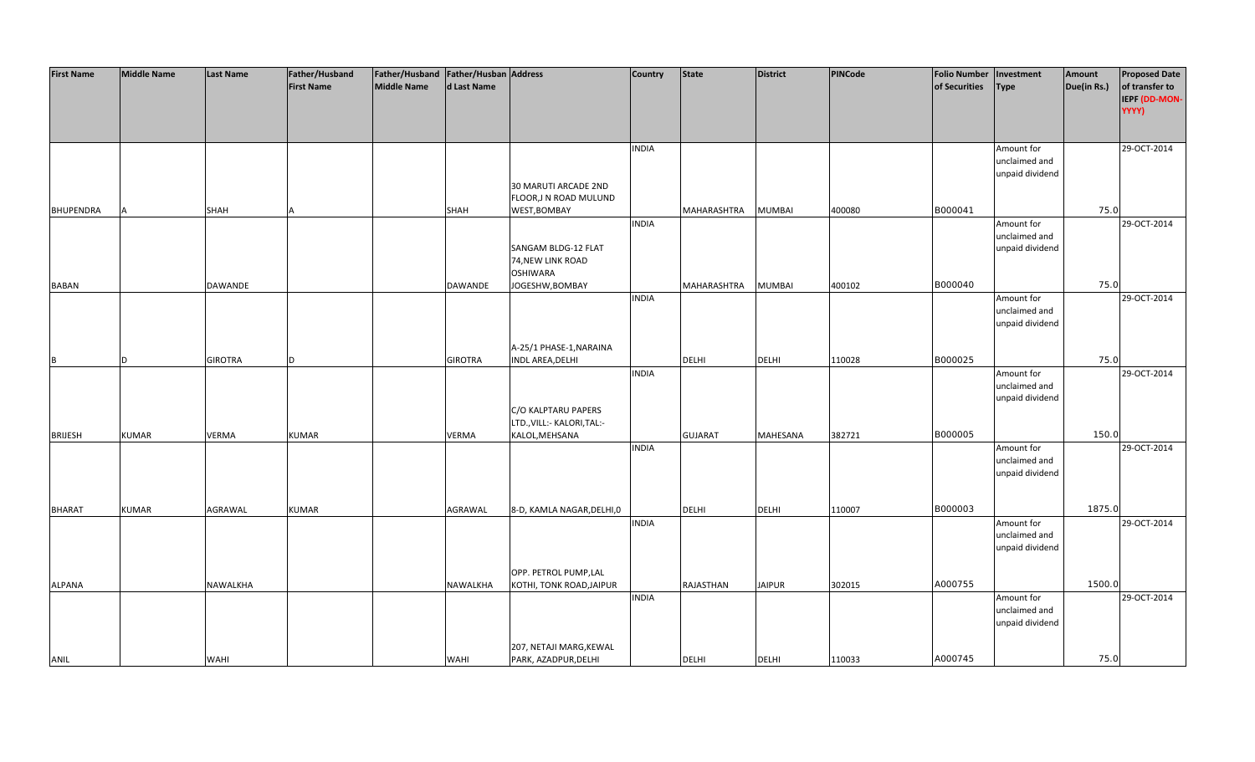| <b>First Name</b> | <b>Middle Name</b> | <b>Last Name</b> | Father/Husband    | Father/Husband Father/Husban Address |                |                            | <b>Country</b> | <b>State</b>   | <b>District</b> | PINCode | <b>Folio Number</b> | Investment      | Amount      | <b>Proposed Date</b> |
|-------------------|--------------------|------------------|-------------------|--------------------------------------|----------------|----------------------------|----------------|----------------|-----------------|---------|---------------------|-----------------|-------------|----------------------|
|                   |                    |                  | <b>First Name</b> | <b>Middle Name</b>                   | d Last Name    |                            |                |                |                 |         | of Securities       | <b>Type</b>     | Due(in Rs.) | of transfer to       |
|                   |                    |                  |                   |                                      |                |                            |                |                |                 |         |                     |                 |             | IEPF (DD-MON-        |
|                   |                    |                  |                   |                                      |                |                            |                |                |                 |         |                     |                 |             | YYYY)                |
|                   |                    |                  |                   |                                      |                |                            |                |                |                 |         |                     |                 |             |                      |
|                   |                    |                  |                   |                                      |                |                            |                |                |                 |         |                     |                 |             |                      |
|                   |                    |                  |                   |                                      |                |                            | <b>INDIA</b>   |                |                 |         |                     | Amount for      |             | 29-OCT-2014          |
|                   |                    |                  |                   |                                      |                |                            |                |                |                 |         |                     | unclaimed and   |             |                      |
|                   |                    |                  |                   |                                      |                |                            |                |                |                 |         |                     | unpaid dividend |             |                      |
|                   |                    |                  |                   |                                      |                | 30 MARUTI ARCADE 2ND       |                |                |                 |         |                     |                 |             |                      |
|                   |                    |                  |                   |                                      |                | FLOOR, JN ROAD MULUND      |                |                |                 |         |                     |                 |             |                      |
| <b>BHUPENDRA</b>  |                    | <b>SHAH</b>      |                   |                                      | <b>SHAH</b>    | WEST, BOMBAY               |                | MAHARASHTRA    | <b>MUMBAI</b>   | 400080  | B000041             |                 | 75.0        |                      |
|                   |                    |                  |                   |                                      |                |                            | <b>INDIA</b>   |                |                 |         |                     | Amount for      |             | 29-OCT-2014          |
|                   |                    |                  |                   |                                      |                |                            |                |                |                 |         |                     | unclaimed and   |             |                      |
|                   |                    |                  |                   |                                      |                | SANGAM BLDG-12 FLAT        |                |                |                 |         |                     | unpaid dividend |             |                      |
|                   |                    |                  |                   |                                      |                | 74, NEW LINK ROAD          |                |                |                 |         |                     |                 |             |                      |
|                   |                    |                  |                   |                                      |                | <b>OSHIWARA</b>            |                |                |                 |         |                     |                 |             |                      |
| <b>BABAN</b>      |                    | <b>DAWANDE</b>   |                   |                                      | <b>DAWANDE</b> | JOGESHW, BOMBAY            |                | MAHARASHTRA    | <b>MUMBAI</b>   | 400102  | B000040             |                 | 75.0        |                      |
|                   |                    |                  |                   |                                      |                |                            | <b>INDIA</b>   |                |                 |         |                     | Amount for      |             | 29-OCT-2014          |
|                   |                    |                  |                   |                                      |                |                            |                |                |                 |         |                     | unclaimed and   |             |                      |
|                   |                    |                  |                   |                                      |                |                            |                |                |                 |         |                     | unpaid dividend |             |                      |
|                   |                    |                  |                   |                                      |                |                            |                |                |                 |         |                     |                 |             |                      |
|                   |                    |                  |                   |                                      |                | A-25/1 PHASE-1, NARAINA    |                |                |                 |         |                     |                 |             |                      |
| B                 | D                  | <b>GIROTRA</b>   | D.                |                                      | <b>GIROTRA</b> | INDL AREA, DELHI           |                | DELHI          | <b>DELHI</b>    | 110028  | B000025             |                 | 75.0        |                      |
|                   |                    |                  |                   |                                      |                |                            | <b>INDIA</b>   |                |                 |         |                     | Amount for      |             | 29-OCT-2014          |
|                   |                    |                  |                   |                                      |                |                            |                |                |                 |         |                     | unclaimed and   |             |                      |
|                   |                    |                  |                   |                                      |                |                            |                |                |                 |         |                     | unpaid dividend |             |                      |
|                   |                    |                  |                   |                                      |                | C/O KALPTARU PAPERS        |                |                |                 |         |                     |                 |             |                      |
|                   |                    |                  |                   |                                      |                | LTD., VILL:- KALORI, TAL:- |                |                |                 |         |                     |                 |             |                      |
| <b>BRIJESH</b>    | <b>KUMAR</b>       | <b>VERMA</b>     | <b>KUMAR</b>      |                                      | <b>VERMA</b>   | KALOL, MEHSANA             |                | <b>GUJARAT</b> | <b>MAHESANA</b> | 382721  | B000005             |                 | 150.0       |                      |
|                   |                    |                  |                   |                                      |                |                            | <b>INDIA</b>   |                |                 |         |                     | Amount for      |             | 29-OCT-2014          |
|                   |                    |                  |                   |                                      |                |                            |                |                |                 |         |                     | unclaimed and   |             |                      |
|                   |                    |                  |                   |                                      |                |                            |                |                |                 |         |                     | unpaid dividend |             |                      |
|                   |                    |                  |                   |                                      |                |                            |                |                |                 |         |                     |                 |             |                      |
|                   |                    |                  |                   |                                      |                |                            |                |                |                 |         |                     |                 |             |                      |
| <b>BHARAT</b>     | <b>KUMAR</b>       | AGRAWAL          | <b>KUMAR</b>      |                                      | AGRAWAL        | 8-D, KAMLA NAGAR, DELHI, 0 |                | DELHI          | <b>DELHI</b>    | 110007  | B000003             |                 | 1875.0      |                      |
|                   |                    |                  |                   |                                      |                |                            | <b>INDIA</b>   |                |                 |         |                     | Amount for      |             | 29-OCT-2014          |
|                   |                    |                  |                   |                                      |                |                            |                |                |                 |         |                     | unclaimed and   |             |                      |
|                   |                    |                  |                   |                                      |                |                            |                |                |                 |         |                     | unpaid dividend |             |                      |
|                   |                    |                  |                   |                                      |                | OPP. PETROL PUMP,LAL       |                |                |                 |         |                     |                 |             |                      |
| <b>ALPANA</b>     |                    | <b>NAWALKHA</b>  |                   |                                      | NAWALKHA       | KOTHI, TONK ROAD, JAIPUR   |                | RAJASTHAN      | <b>JAIPUR</b>   | 302015  | A000755             |                 | 1500.0      |                      |
|                   |                    |                  |                   |                                      |                |                            | <b>INDIA</b>   |                |                 |         |                     | Amount for      |             | 29-OCT-2014          |
|                   |                    |                  |                   |                                      |                |                            |                |                |                 |         |                     | unclaimed and   |             |                      |
|                   |                    |                  |                   |                                      |                |                            |                |                |                 |         |                     | unpaid dividend |             |                      |
|                   |                    |                  |                   |                                      |                |                            |                |                |                 |         |                     |                 |             |                      |
|                   |                    |                  |                   |                                      |                | 207, NETAJI MARG, KEWAL    |                |                |                 |         |                     |                 |             |                      |
| ANIL              |                    | <b>WAHI</b>      |                   |                                      | WAHI           | PARK, AZADPUR, DELHI       |                | <b>DELHI</b>   | <b>DELHI</b>    | 110033  | A000745             |                 | 75.0        |                      |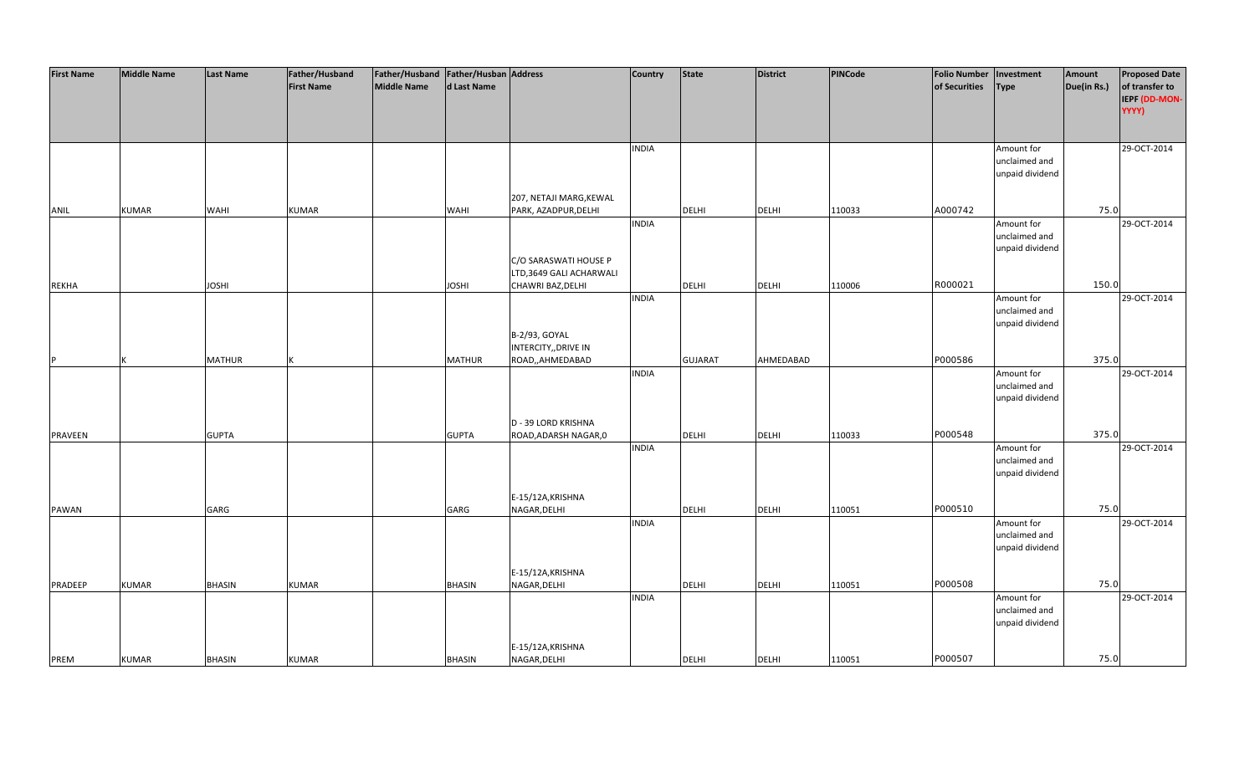| of transfer to<br><b>First Name</b><br><b>Middle Name</b><br>d Last Name<br>of Securities<br><b>Type</b><br>Due(in Rs.)<br>IEPF (DD-MON-<br>YYYY)<br>29-OCT-2014<br><b>INDIA</b><br>Amount for<br>unclaimed and<br>unpaid dividend<br>207, NETAJI MARG, KEWAL<br>A000742<br>75.0<br><b>KUMAR</b><br><b>KUMAR</b><br>PARK, AZADPUR, DELHI<br><b>DELHI</b><br><b>DELHI</b><br>110033<br>ANIL<br><b>WAHI</b><br><b>WAHI</b><br><b>INDIA</b><br>29-OCT-2014<br>Amount for<br>unclaimed and<br>unpaid dividend<br>C/O SARASWATI HOUSE P<br>LTD,3649 GALI ACHARWALI<br>R000021<br>150.0<br><b>JOSHI</b><br><b>JOSHI</b><br>CHAWRI BAZ, DELHI<br><b>DELHI</b><br><b>DELHI</b><br>110006<br><b>REKHA</b><br><b>INDIA</b><br>Amount for<br>29-OCT-2014<br>unclaimed and | <b>First Name</b> | <b>Middle Name</b> | <b>Last Name</b> | Father/Husband | Father/Husband   Father/Husban   Address |  | <b>Country</b> | <b>State</b> | <b>District</b> | PINCode | <b>Folio Number</b> | Investment | Amount | <b>Proposed Date</b> |
|----------------------------------------------------------------------------------------------------------------------------------------------------------------------------------------------------------------------------------------------------------------------------------------------------------------------------------------------------------------------------------------------------------------------------------------------------------------------------------------------------------------------------------------------------------------------------------------------------------------------------------------------------------------------------------------------------------------------------------------------------------------|-------------------|--------------------|------------------|----------------|------------------------------------------|--|----------------|--------------|-----------------|---------|---------------------|------------|--------|----------------------|
|                                                                                                                                                                                                                                                                                                                                                                                                                                                                                                                                                                                                                                                                                                                                                                |                   |                    |                  |                |                                          |  |                |              |                 |         |                     |            |        |                      |
|                                                                                                                                                                                                                                                                                                                                                                                                                                                                                                                                                                                                                                                                                                                                                                |                   |                    |                  |                |                                          |  |                |              |                 |         |                     |            |        |                      |
|                                                                                                                                                                                                                                                                                                                                                                                                                                                                                                                                                                                                                                                                                                                                                                |                   |                    |                  |                |                                          |  |                |              |                 |         |                     |            |        |                      |
|                                                                                                                                                                                                                                                                                                                                                                                                                                                                                                                                                                                                                                                                                                                                                                |                   |                    |                  |                |                                          |  |                |              |                 |         |                     |            |        |                      |
|                                                                                                                                                                                                                                                                                                                                                                                                                                                                                                                                                                                                                                                                                                                                                                |                   |                    |                  |                |                                          |  |                |              |                 |         |                     |            |        |                      |
|                                                                                                                                                                                                                                                                                                                                                                                                                                                                                                                                                                                                                                                                                                                                                                |                   |                    |                  |                |                                          |  |                |              |                 |         |                     |            |        |                      |
|                                                                                                                                                                                                                                                                                                                                                                                                                                                                                                                                                                                                                                                                                                                                                                |                   |                    |                  |                |                                          |  |                |              |                 |         |                     |            |        |                      |
|                                                                                                                                                                                                                                                                                                                                                                                                                                                                                                                                                                                                                                                                                                                                                                |                   |                    |                  |                |                                          |  |                |              |                 |         |                     |            |        |                      |
|                                                                                                                                                                                                                                                                                                                                                                                                                                                                                                                                                                                                                                                                                                                                                                |                   |                    |                  |                |                                          |  |                |              |                 |         |                     |            |        |                      |
|                                                                                                                                                                                                                                                                                                                                                                                                                                                                                                                                                                                                                                                                                                                                                                |                   |                    |                  |                |                                          |  |                |              |                 |         |                     |            |        |                      |
|                                                                                                                                                                                                                                                                                                                                                                                                                                                                                                                                                                                                                                                                                                                                                                |                   |                    |                  |                |                                          |  |                |              |                 |         |                     |            |        |                      |
|                                                                                                                                                                                                                                                                                                                                                                                                                                                                                                                                                                                                                                                                                                                                                                |                   |                    |                  |                |                                          |  |                |              |                 |         |                     |            |        |                      |
|                                                                                                                                                                                                                                                                                                                                                                                                                                                                                                                                                                                                                                                                                                                                                                |                   |                    |                  |                |                                          |  |                |              |                 |         |                     |            |        |                      |
|                                                                                                                                                                                                                                                                                                                                                                                                                                                                                                                                                                                                                                                                                                                                                                |                   |                    |                  |                |                                          |  |                |              |                 |         |                     |            |        |                      |
|                                                                                                                                                                                                                                                                                                                                                                                                                                                                                                                                                                                                                                                                                                                                                                |                   |                    |                  |                |                                          |  |                |              |                 |         |                     |            |        |                      |
|                                                                                                                                                                                                                                                                                                                                                                                                                                                                                                                                                                                                                                                                                                                                                                |                   |                    |                  |                |                                          |  |                |              |                 |         |                     |            |        |                      |
|                                                                                                                                                                                                                                                                                                                                                                                                                                                                                                                                                                                                                                                                                                                                                                |                   |                    |                  |                |                                          |  |                |              |                 |         |                     |            |        |                      |
|                                                                                                                                                                                                                                                                                                                                                                                                                                                                                                                                                                                                                                                                                                                                                                |                   |                    |                  |                |                                          |  |                |              |                 |         |                     |            |        |                      |
|                                                                                                                                                                                                                                                                                                                                                                                                                                                                                                                                                                                                                                                                                                                                                                |                   |                    |                  |                |                                          |  |                |              |                 |         |                     |            |        |                      |
|                                                                                                                                                                                                                                                                                                                                                                                                                                                                                                                                                                                                                                                                                                                                                                |                   |                    |                  |                |                                          |  |                |              |                 |         |                     |            |        |                      |
| unpaid dividend                                                                                                                                                                                                                                                                                                                                                                                                                                                                                                                                                                                                                                                                                                                                                |                   |                    |                  |                |                                          |  |                |              |                 |         |                     |            |        |                      |
| B-2/93, GOYAL                                                                                                                                                                                                                                                                                                                                                                                                                                                                                                                                                                                                                                                                                                                                                  |                   |                    |                  |                |                                          |  |                |              |                 |         |                     |            |        |                      |
| INTERCITY,, DRIVE IN                                                                                                                                                                                                                                                                                                                                                                                                                                                                                                                                                                                                                                                                                                                                           |                   |                    |                  |                |                                          |  |                |              |                 |         |                     |            |        |                      |
| P000586<br>375.0<br><b>MATHUR</b><br><b>MATHUR</b><br>ROAD,,AHMEDABAD<br><b>GUJARAT</b><br>AHMEDABAD<br>D                                                                                                                                                                                                                                                                                                                                                                                                                                                                                                                                                                                                                                                      |                   |                    |                  |                |                                          |  |                |              |                 |         |                     |            |        |                      |
| <b>INDIA</b><br>29-OCT-2014<br>Amount for                                                                                                                                                                                                                                                                                                                                                                                                                                                                                                                                                                                                                                                                                                                      |                   |                    |                  |                |                                          |  |                |              |                 |         |                     |            |        |                      |
| unclaimed and                                                                                                                                                                                                                                                                                                                                                                                                                                                                                                                                                                                                                                                                                                                                                  |                   |                    |                  |                |                                          |  |                |              |                 |         |                     |            |        |                      |
| unpaid dividend                                                                                                                                                                                                                                                                                                                                                                                                                                                                                                                                                                                                                                                                                                                                                |                   |                    |                  |                |                                          |  |                |              |                 |         |                     |            |        |                      |
|                                                                                                                                                                                                                                                                                                                                                                                                                                                                                                                                                                                                                                                                                                                                                                |                   |                    |                  |                |                                          |  |                |              |                 |         |                     |            |        |                      |
| D - 39 LORD KRISHNA                                                                                                                                                                                                                                                                                                                                                                                                                                                                                                                                                                                                                                                                                                                                            |                   |                    |                  |                |                                          |  |                |              |                 |         |                     |            |        |                      |
| P000548<br>375.0<br><b>PRAVEEN</b><br><b>GUPTA</b><br><b>GUPTA</b><br>ROAD, ADARSH NAGAR, 0<br><b>DELHI</b><br><b>DELHI</b><br>110033                                                                                                                                                                                                                                                                                                                                                                                                                                                                                                                                                                                                                          |                   |                    |                  |                |                                          |  |                |              |                 |         |                     |            |        |                      |
| <b>INDIA</b><br>Amount for<br>29-OCT-2014                                                                                                                                                                                                                                                                                                                                                                                                                                                                                                                                                                                                                                                                                                                      |                   |                    |                  |                |                                          |  |                |              |                 |         |                     |            |        |                      |
| unclaimed and                                                                                                                                                                                                                                                                                                                                                                                                                                                                                                                                                                                                                                                                                                                                                  |                   |                    |                  |                |                                          |  |                |              |                 |         |                     |            |        |                      |
| unpaid dividend                                                                                                                                                                                                                                                                                                                                                                                                                                                                                                                                                                                                                                                                                                                                                |                   |                    |                  |                |                                          |  |                |              |                 |         |                     |            |        |                      |
|                                                                                                                                                                                                                                                                                                                                                                                                                                                                                                                                                                                                                                                                                                                                                                |                   |                    |                  |                |                                          |  |                |              |                 |         |                     |            |        |                      |
| E-15/12A, KRISHNA                                                                                                                                                                                                                                                                                                                                                                                                                                                                                                                                                                                                                                                                                                                                              |                   |                    |                  |                |                                          |  |                |              |                 |         |                     |            |        |                      |
| P000510<br>75.0<br>NAGAR, DELHI<br><b>DELHI</b><br>GARG<br>DELHI<br>110051<br><b>PAWAN</b><br>GARG                                                                                                                                                                                                                                                                                                                                                                                                                                                                                                                                                                                                                                                             |                   |                    |                  |                |                                          |  |                |              |                 |         |                     |            |        |                      |
| 29-OCT-2014<br><b>INDIA</b><br>Amount for                                                                                                                                                                                                                                                                                                                                                                                                                                                                                                                                                                                                                                                                                                                      |                   |                    |                  |                |                                          |  |                |              |                 |         |                     |            |        |                      |
| unclaimed and                                                                                                                                                                                                                                                                                                                                                                                                                                                                                                                                                                                                                                                                                                                                                  |                   |                    |                  |                |                                          |  |                |              |                 |         |                     |            |        |                      |
| unpaid dividend                                                                                                                                                                                                                                                                                                                                                                                                                                                                                                                                                                                                                                                                                                                                                |                   |                    |                  |                |                                          |  |                |              |                 |         |                     |            |        |                      |
|                                                                                                                                                                                                                                                                                                                                                                                                                                                                                                                                                                                                                                                                                                                                                                |                   |                    |                  |                |                                          |  |                |              |                 |         |                     |            |        |                      |
| E-15/12A, KRISHNA                                                                                                                                                                                                                                                                                                                                                                                                                                                                                                                                                                                                                                                                                                                                              |                   |                    |                  |                |                                          |  |                |              |                 |         |                     |            |        |                      |
| P000508<br>75.0<br><b>BHASIN</b><br>NAGAR, DELHI<br><b>DELHI</b><br>PRADEEP<br><b>KUMAR</b><br><b>KUMAR</b><br><b>BHASIN</b><br><b>DELHI</b><br>110051                                                                                                                                                                                                                                                                                                                                                                                                                                                                                                                                                                                                         |                   |                    |                  |                |                                          |  |                |              |                 |         |                     |            |        |                      |
| 29-OCT-2014<br><b>INDIA</b><br>Amount for                                                                                                                                                                                                                                                                                                                                                                                                                                                                                                                                                                                                                                                                                                                      |                   |                    |                  |                |                                          |  |                |              |                 |         |                     |            |        |                      |
| unclaimed and                                                                                                                                                                                                                                                                                                                                                                                                                                                                                                                                                                                                                                                                                                                                                  |                   |                    |                  |                |                                          |  |                |              |                 |         |                     |            |        |                      |
| unpaid dividend                                                                                                                                                                                                                                                                                                                                                                                                                                                                                                                                                                                                                                                                                                                                                |                   |                    |                  |                |                                          |  |                |              |                 |         |                     |            |        |                      |
|                                                                                                                                                                                                                                                                                                                                                                                                                                                                                                                                                                                                                                                                                                                                                                |                   |                    |                  |                |                                          |  |                |              |                 |         |                     |            |        |                      |
| E-15/12A, KRISHNA                                                                                                                                                                                                                                                                                                                                                                                                                                                                                                                                                                                                                                                                                                                                              |                   |                    |                  |                |                                          |  |                |              |                 |         |                     |            |        |                      |
| P000507<br>75.0<br>PREM<br><b>KUMAR</b><br><b>BHASIN</b><br><b>KUMAR</b><br><b>BHASIN</b><br>NAGAR, DELHI<br><b>DELHI</b><br><b>DELHI</b><br>110051                                                                                                                                                                                                                                                                                                                                                                                                                                                                                                                                                                                                            |                   |                    |                  |                |                                          |  |                |              |                 |         |                     |            |        |                      |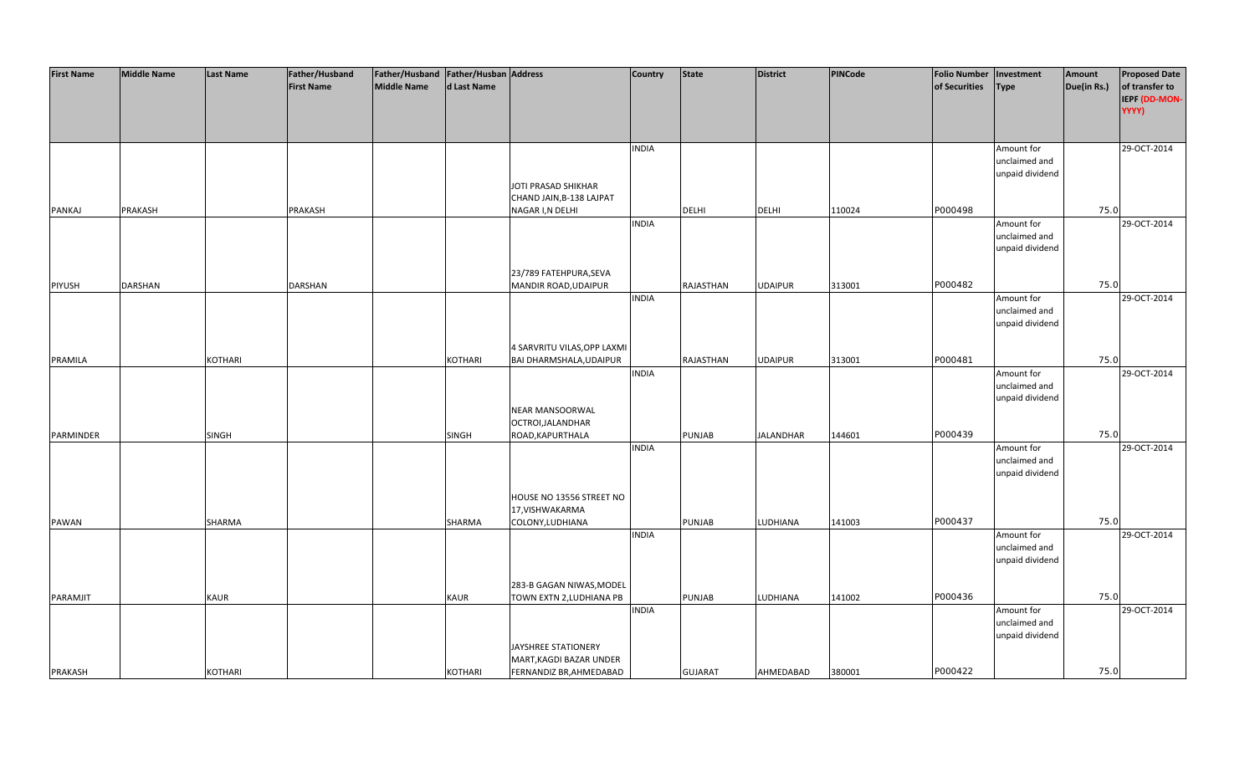| <b>First Name</b> | <b>Middle Name</b> | <b>Last Name</b> | Father/Husband    | Father/Husband Father/Husban Address |                |                             | Country      | <b>State</b>   | <b>District</b>  | <b>PINCode</b> | <b>Folio Number</b> | Investment      | Amount      | <b>Proposed Date</b> |
|-------------------|--------------------|------------------|-------------------|--------------------------------------|----------------|-----------------------------|--------------|----------------|------------------|----------------|---------------------|-----------------|-------------|----------------------|
|                   |                    |                  | <b>First Name</b> | <b>Middle Name</b>                   | d Last Name    |                             |              |                |                  |                | of Securities       | <b>Type</b>     | Due(in Rs.) | of transfer to       |
|                   |                    |                  |                   |                                      |                |                             |              |                |                  |                |                     |                 |             | IEPF (DD-MON-        |
|                   |                    |                  |                   |                                      |                |                             |              |                |                  |                |                     |                 |             | YYYY)                |
|                   |                    |                  |                   |                                      |                |                             |              |                |                  |                |                     |                 |             |                      |
|                   |                    |                  |                   |                                      |                |                             |              |                |                  |                |                     |                 |             |                      |
|                   |                    |                  |                   |                                      |                |                             | <b>INDIA</b> |                |                  |                |                     | Amount for      |             | 29-OCT-2014          |
|                   |                    |                  |                   |                                      |                |                             |              |                |                  |                |                     | unclaimed and   |             |                      |
|                   |                    |                  |                   |                                      |                |                             |              |                |                  |                |                     | unpaid dividend |             |                      |
|                   |                    |                  |                   |                                      |                | JOTI PRASAD SHIKHAR         |              |                |                  |                |                     |                 |             |                      |
|                   |                    |                  |                   |                                      |                | CHAND JAIN, B-138 LAJPAT    |              |                |                  |                |                     |                 |             |                      |
| <b>PANKAJ</b>     | PRAKASH            |                  | PRAKASH           |                                      |                | NAGAR I, N DELHI            |              | DELHI          | <b>DELHI</b>     | 110024         | P000498             |                 | 75.0        |                      |
|                   |                    |                  |                   |                                      |                |                             | <b>INDIA</b> |                |                  |                |                     | Amount for      |             | 29-OCT-2014          |
|                   |                    |                  |                   |                                      |                |                             |              |                |                  |                |                     | unclaimed and   |             |                      |
|                   |                    |                  |                   |                                      |                |                             |              |                |                  |                |                     | unpaid dividend |             |                      |
|                   |                    |                  |                   |                                      |                |                             |              |                |                  |                |                     |                 |             |                      |
|                   |                    |                  |                   |                                      |                | 23/789 FATEHPURA, SEVA      |              |                |                  |                |                     |                 |             |                      |
| <b>PIYUSH</b>     | <b>DARSHAN</b>     |                  | DARSHAN           |                                      |                | MANDIR ROAD, UDAIPUR        |              | RAJASTHAN      | <b>UDAIPUR</b>   | 313001         | P000482             |                 | 75.0        |                      |
|                   |                    |                  |                   |                                      |                |                             | <b>INDIA</b> |                |                  |                |                     | Amount for      |             | 29-OCT-2014          |
|                   |                    |                  |                   |                                      |                |                             |              |                |                  |                |                     | unclaimed and   |             |                      |
|                   |                    |                  |                   |                                      |                |                             |              |                |                  |                |                     | unpaid dividend |             |                      |
|                   |                    |                  |                   |                                      |                |                             |              |                |                  |                |                     |                 |             |                      |
|                   |                    |                  |                   |                                      |                | 4 SARVRITU VILAS, OPP LAXMI |              |                |                  |                |                     |                 |             |                      |
| PRAMILA           |                    | <b>KOTHARI</b>   |                   |                                      | KOTHARI        | BAI DHARMSHALA, UDAIPUR     |              | RAJASTHAN      | <b>UDAIPUR</b>   | 313001         | P000481             |                 | 75.0        |                      |
|                   |                    |                  |                   |                                      |                |                             | <b>INDIA</b> |                |                  |                |                     | Amount for      |             | 29-OCT-2014          |
|                   |                    |                  |                   |                                      |                |                             |              |                |                  |                |                     | unclaimed and   |             |                      |
|                   |                    |                  |                   |                                      |                |                             |              |                |                  |                |                     | unpaid dividend |             |                      |
|                   |                    |                  |                   |                                      |                | NEAR MANSOORWAL             |              |                |                  |                |                     |                 |             |                      |
|                   |                    |                  |                   |                                      |                | OCTROI, JALANDHAR           |              |                |                  |                |                     |                 |             |                      |
| PARMINDER         |                    | <b>SINGH</b>     |                   |                                      | <b>SINGH</b>   | ROAD, KAPURTHALA            |              | PUNJAB         | <b>JALANDHAR</b> | 144601         | P000439             |                 | 75.0        |                      |
|                   |                    |                  |                   |                                      |                |                             | <b>INDIA</b> |                |                  |                |                     | Amount for      |             | 29-OCT-2014          |
|                   |                    |                  |                   |                                      |                |                             |              |                |                  |                |                     | unclaimed and   |             |                      |
|                   |                    |                  |                   |                                      |                |                             |              |                |                  |                |                     | unpaid dividend |             |                      |
|                   |                    |                  |                   |                                      |                |                             |              |                |                  |                |                     |                 |             |                      |
|                   |                    |                  |                   |                                      |                | HOUSE NO 13556 STREET NO    |              |                |                  |                |                     |                 |             |                      |
|                   |                    |                  |                   |                                      |                | 17, VISHWAKARMA             |              |                |                  |                |                     |                 |             |                      |
| PAWAN             |                    | SHARMA           |                   |                                      | SHARMA         | COLONY, LUDHIANA            |              | PUNJAB         | LUDHIANA         | 141003         | P000437             |                 | 75.0        |                      |
|                   |                    |                  |                   |                                      |                |                             | <b>INDIA</b> |                |                  |                |                     | Amount for      |             | 29-OCT-2014          |
|                   |                    |                  |                   |                                      |                |                             |              |                |                  |                |                     | unclaimed and   |             |                      |
|                   |                    |                  |                   |                                      |                |                             |              |                |                  |                |                     | unpaid dividend |             |                      |
|                   |                    |                  |                   |                                      |                |                             |              |                |                  |                |                     |                 |             |                      |
|                   |                    |                  |                   |                                      |                | 283-B GAGAN NIWAS, MODEL    |              |                |                  |                |                     |                 | 75.0        |                      |
| PARAMJIT          |                    | <b>KAUR</b>      |                   |                                      | <b>KAUR</b>    | TOWN EXTN 2, LUDHIANA PB    |              | <b>PUNJAB</b>  | LUDHIANA         | 141002         | P000436             |                 |             |                      |
|                   |                    |                  |                   |                                      |                |                             | <b>INDIA</b> |                |                  |                |                     | Amount for      |             | 29-OCT-2014          |
|                   |                    |                  |                   |                                      |                |                             |              |                |                  |                |                     | unclaimed and   |             |                      |
|                   |                    |                  |                   |                                      |                |                             |              |                |                  |                |                     | unpaid dividend |             |                      |
|                   |                    |                  |                   |                                      |                | JAYSHREE STATIONERY         |              |                |                  |                |                     |                 |             |                      |
|                   |                    |                  |                   |                                      |                | MART, KAGDI BAZAR UNDER     |              |                |                  |                | P000422             |                 | 75.0        |                      |
| <b>PRAKASH</b>    |                    | <b>KOTHARI</b>   |                   |                                      | <b>KOTHARI</b> | FERNANDIZ BR, AHMEDABAD     |              | <b>GUJARAT</b> | AHMEDABAD        | 380001         |                     |                 |             |                      |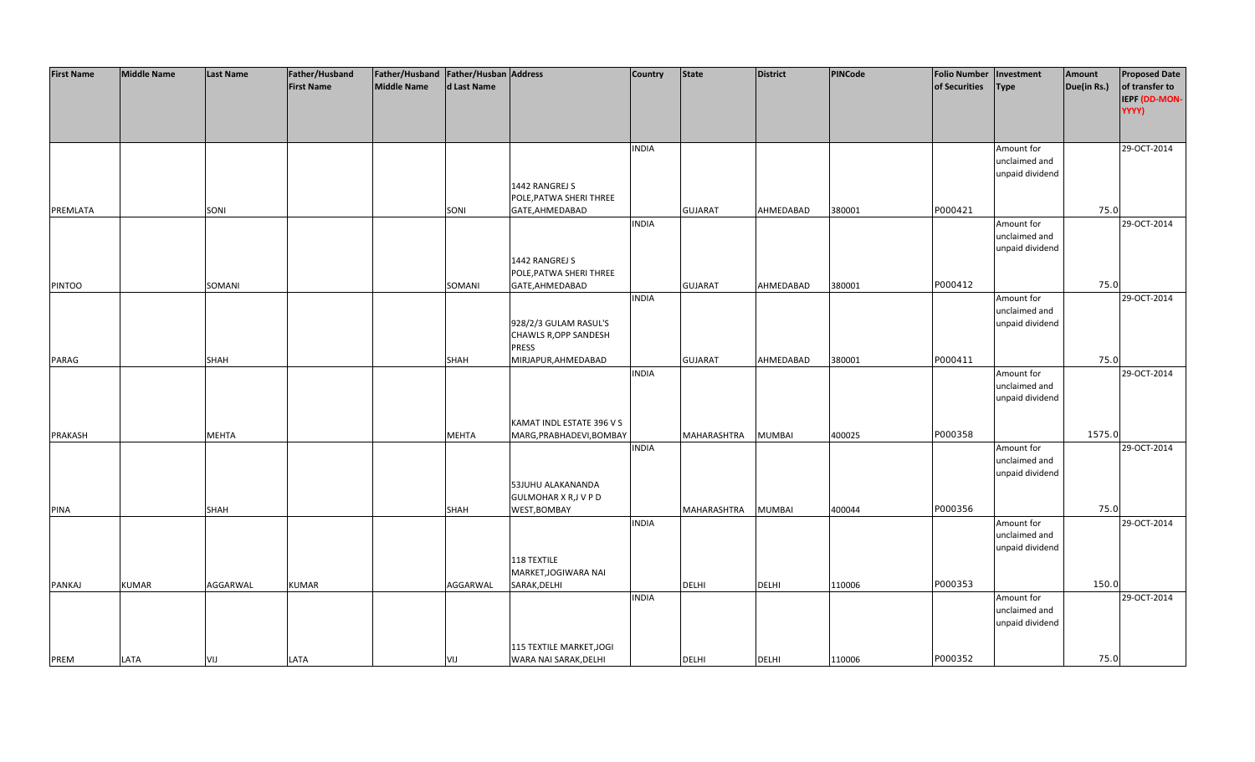| <b>First Name</b> | <b>Middle Name</b> | <b>Last Name</b> | Father/Husband    | Father/Husband   Father/Husban   Address |              |                              | <b>Country</b> | <b>State</b>   | <b>District</b> | PINCode | <b>Folio Number</b> | Investment      | Amount      | <b>Proposed Date</b> |
|-------------------|--------------------|------------------|-------------------|------------------------------------------|--------------|------------------------------|----------------|----------------|-----------------|---------|---------------------|-----------------|-------------|----------------------|
|                   |                    |                  | <b>First Name</b> | <b>Middle Name</b>                       | d Last Name  |                              |                |                |                 |         | of Securities       | <b>Type</b>     | Due(in Rs.) | of transfer to       |
|                   |                    |                  |                   |                                          |              |                              |                |                |                 |         |                     |                 |             | IEPF (DD-MON-        |
|                   |                    |                  |                   |                                          |              |                              |                |                |                 |         |                     |                 |             | YYYY)                |
|                   |                    |                  |                   |                                          |              |                              |                |                |                 |         |                     |                 |             |                      |
|                   |                    |                  |                   |                                          |              |                              |                |                |                 |         |                     |                 |             |                      |
|                   |                    |                  |                   |                                          |              |                              | <b>INDIA</b>   |                |                 |         |                     | Amount for      |             | 29-OCT-2014          |
|                   |                    |                  |                   |                                          |              |                              |                |                |                 |         |                     | unclaimed and   |             |                      |
|                   |                    |                  |                   |                                          |              |                              |                |                |                 |         |                     | unpaid dividend |             |                      |
|                   |                    |                  |                   |                                          |              | 1442 RANGREJ S               |                |                |                 |         |                     |                 |             |                      |
|                   |                    |                  |                   |                                          |              | POLE, PATWA SHERI THREE      |                |                |                 |         |                     |                 |             |                      |
| PREMLATA          |                    | SONI             |                   |                                          | SONI         | GATE, AHMEDABAD              |                | <b>GUJARAT</b> | AHMEDABAD       | 380001  | P000421             |                 | 75.0        |                      |
|                   |                    |                  |                   |                                          |              |                              | <b>INDIA</b>   |                |                 |         |                     | Amount for      |             | 29-OCT-2014          |
|                   |                    |                  |                   |                                          |              |                              |                |                |                 |         |                     | unclaimed and   |             |                      |
|                   |                    |                  |                   |                                          |              |                              |                |                |                 |         |                     | unpaid dividend |             |                      |
|                   |                    |                  |                   |                                          |              | 1442 RANGREJ S               |                |                |                 |         |                     |                 |             |                      |
|                   |                    |                  |                   |                                          |              | POLE, PATWA SHERI THREE      |                |                |                 |         |                     |                 |             |                      |
| <b>PINTOO</b>     |                    | SOMANI           |                   |                                          | SOMANI       | GATE, AHMEDABAD              |                | <b>GUJARAT</b> | AHMEDABAD       | 380001  | P000412             |                 | 75.0        |                      |
|                   |                    |                  |                   |                                          |              |                              | <b>INDIA</b>   |                |                 |         |                     | Amount for      |             | 29-OCT-2014          |
|                   |                    |                  |                   |                                          |              |                              |                |                |                 |         |                     | unclaimed and   |             |                      |
|                   |                    |                  |                   |                                          |              | 928/2/3 GULAM RASUL'S        |                |                |                 |         |                     | unpaid dividend |             |                      |
|                   |                    |                  |                   |                                          |              | CHAWLS R, OPP SANDESH        |                |                |                 |         |                     |                 |             |                      |
|                   |                    |                  |                   |                                          |              | <b>PRESS</b>                 |                |                |                 |         |                     |                 |             |                      |
| PARAG             |                    | SHAH             |                   |                                          | SHAH         | MIRJAPUR, AHMEDABAD          |                | <b>GUJARAT</b> | AHMEDABAD       | 380001  | P000411             |                 | 75.0        |                      |
|                   |                    |                  |                   |                                          |              |                              | <b>INDIA</b>   |                |                 |         |                     | Amount for      |             | 29-OCT-2014          |
|                   |                    |                  |                   |                                          |              |                              |                |                |                 |         |                     | unclaimed and   |             |                      |
|                   |                    |                  |                   |                                          |              |                              |                |                |                 |         |                     | unpaid dividend |             |                      |
|                   |                    |                  |                   |                                          |              |                              |                |                |                 |         |                     |                 |             |                      |
|                   |                    |                  |                   |                                          |              | KAMAT INDL ESTATE 396 V S    |                |                |                 |         |                     |                 |             |                      |
| <b>PRAKASH</b>    |                    | <b>MEHTA</b>     |                   |                                          | <b>MEHTA</b> | MARG, PRABHADEVI, BOMBAY     |                | MAHARASHTRA    | <b>MUMBAI</b>   | 400025  | P000358             |                 | 1575.0      |                      |
|                   |                    |                  |                   |                                          |              |                              | <b>INDIA</b>   |                |                 |         |                     | Amount for      |             | 29-OCT-2014          |
|                   |                    |                  |                   |                                          |              |                              |                |                |                 |         |                     | unclaimed and   |             |                      |
|                   |                    |                  |                   |                                          |              |                              |                |                |                 |         |                     | unpaid dividend |             |                      |
|                   |                    |                  |                   |                                          |              | 53JUHU ALAKANANDA            |                |                |                 |         |                     |                 |             |                      |
|                   |                    |                  |                   |                                          |              | <b>GULMOHAR X R, J V P D</b> |                |                |                 |         |                     |                 |             |                      |
| <b>PINA</b>       |                    | SHAH             |                   |                                          | <b>SHAH</b>  | WEST, BOMBAY                 |                | MAHARASHTRA    | <b>MUMBAI</b>   | 400044  | P000356             |                 | 75.0        |                      |
|                   |                    |                  |                   |                                          |              |                              | <b>INDIA</b>   |                |                 |         |                     | Amount for      |             | 29-OCT-2014          |
|                   |                    |                  |                   |                                          |              |                              |                |                |                 |         |                     | unclaimed and   |             |                      |
|                   |                    |                  |                   |                                          |              |                              |                |                |                 |         |                     | unpaid dividend |             |                      |
|                   |                    |                  |                   |                                          |              | 118 TEXTILE                  |                |                |                 |         |                     |                 |             |                      |
|                   |                    |                  |                   |                                          |              | MARKET, JOGIWARA NAI         |                |                |                 |         |                     |                 |             |                      |
| PANKAJ            | <b>KUMAR</b>       | AGGARWAL         | <b>KUMAR</b>      |                                          | AGGARWAL     | SARAK, DELHI                 |                | DELHI          | <b>DELHI</b>    | 110006  | P000353             |                 | 150.0       |                      |
|                   |                    |                  |                   |                                          |              |                              | <b>INDIA</b>   |                |                 |         |                     | Amount for      |             | 29-OCT-2014          |
|                   |                    |                  |                   |                                          |              |                              |                |                |                 |         |                     | unclaimed and   |             |                      |
|                   |                    |                  |                   |                                          |              |                              |                |                |                 |         |                     | unpaid dividend |             |                      |
|                   |                    |                  |                   |                                          |              |                              |                |                |                 |         |                     |                 |             |                      |
|                   |                    |                  |                   |                                          |              | 115 TEXTILE MARKET, JOGI     |                |                |                 |         |                     |                 |             |                      |
| PREM              | LATA               | VIJ              | LATA              |                                          | VIJ          | WARA NAI SARAK, DELHI        |                | <b>DELHI</b>   | <b>DELHI</b>    | 110006  | P000352             |                 | 75.0        |                      |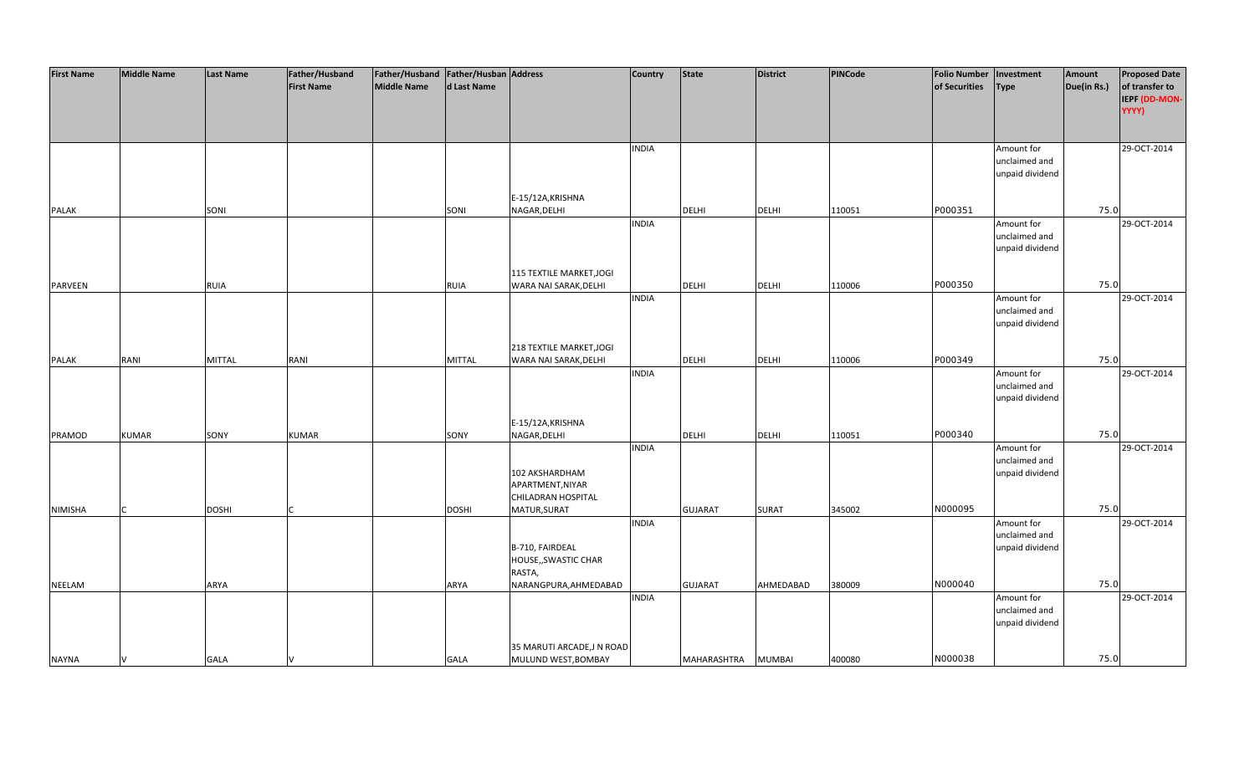| <b>First Name</b> | <b>Middle Name</b> | <b>Last Name</b> | Father/Husband    | Father/Husband   Father/Husban   Address |              |                           | <b>Country</b> | <b>State</b>   | <b>District</b> | PINCode | <b>Folio Number</b> | Investment      | Amount      | <b>Proposed Date</b> |
|-------------------|--------------------|------------------|-------------------|------------------------------------------|--------------|---------------------------|----------------|----------------|-----------------|---------|---------------------|-----------------|-------------|----------------------|
|                   |                    |                  | <b>First Name</b> | <b>Middle Name</b>                       | d Last Name  |                           |                |                |                 |         | of Securities       | <b>Type</b>     | Due(in Rs.) | of transfer to       |
|                   |                    |                  |                   |                                          |              |                           |                |                |                 |         |                     |                 |             | IEPF (DD-MON-        |
|                   |                    |                  |                   |                                          |              |                           |                |                |                 |         |                     |                 |             | YYYY)                |
|                   |                    |                  |                   |                                          |              |                           |                |                |                 |         |                     |                 |             |                      |
|                   |                    |                  |                   |                                          |              |                           |                |                |                 |         |                     |                 |             |                      |
|                   |                    |                  |                   |                                          |              |                           | <b>INDIA</b>   |                |                 |         |                     | Amount for      |             | 29-OCT-2014          |
|                   |                    |                  |                   |                                          |              |                           |                |                |                 |         |                     | unclaimed and   |             |                      |
|                   |                    |                  |                   |                                          |              |                           |                |                |                 |         |                     | unpaid dividend |             |                      |
|                   |                    |                  |                   |                                          |              |                           |                |                |                 |         |                     |                 |             |                      |
|                   |                    |                  |                   |                                          |              | E-15/12A, KRISHNA         |                |                |                 |         |                     |                 |             |                      |
| <b>PALAK</b>      |                    | SONI             |                   |                                          | SONI         | NAGAR, DELHI              |                | <b>DELHI</b>   | <b>DELHI</b>    | 110051  | P000351             |                 | 75.0        |                      |
|                   |                    |                  |                   |                                          |              |                           | <b>INDIA</b>   |                |                 |         |                     | Amount for      |             | 29-OCT-2014          |
|                   |                    |                  |                   |                                          |              |                           |                |                |                 |         |                     | unclaimed and   |             |                      |
|                   |                    |                  |                   |                                          |              |                           |                |                |                 |         |                     | unpaid dividend |             |                      |
|                   |                    |                  |                   |                                          |              |                           |                |                |                 |         |                     |                 |             |                      |
|                   |                    |                  |                   |                                          |              | 115 TEXTILE MARKET, JOGI  |                |                |                 |         |                     |                 |             |                      |
| <b>PARVEEN</b>    |                    | <b>RUIA</b>      |                   |                                          | <b>RUIA</b>  | WARA NAI SARAK, DELHI     |                | <b>DELHI</b>   | <b>DELHI</b>    | 110006  | P000350             |                 | 75.0        |                      |
|                   |                    |                  |                   |                                          |              |                           | <b>INDIA</b>   |                |                 |         |                     | Amount for      |             | 29-OCT-2014          |
|                   |                    |                  |                   |                                          |              |                           |                |                |                 |         |                     | unclaimed and   |             |                      |
|                   |                    |                  |                   |                                          |              |                           |                |                |                 |         |                     | unpaid dividend |             |                      |
|                   |                    |                  |                   |                                          |              |                           |                |                |                 |         |                     |                 |             |                      |
|                   |                    |                  |                   |                                          |              | 218 TEXTILE MARKET, JOGI  |                |                |                 |         |                     |                 |             |                      |
| <b>PALAK</b>      | RANI               | <b>MITTAL</b>    | RANI              |                                          | MITTAL       | WARA NAI SARAK, DELHI     |                | DELHI          | <b>DELHI</b>    | 110006  | P000349             |                 | 75.0        |                      |
|                   |                    |                  |                   |                                          |              |                           | <b>INDIA</b>   |                |                 |         |                     | Amount for      |             | 29-OCT-2014          |
|                   |                    |                  |                   |                                          |              |                           |                |                |                 |         |                     | unclaimed and   |             |                      |
|                   |                    |                  |                   |                                          |              |                           |                |                |                 |         |                     | unpaid dividend |             |                      |
|                   |                    |                  |                   |                                          |              |                           |                |                |                 |         |                     |                 |             |                      |
|                   |                    |                  |                   |                                          |              | E-15/12A, KRISHNA         |                |                |                 |         |                     |                 |             |                      |
| PRAMOD            | <b>KUMAR</b>       | SONY             | <b>KUMAR</b>      |                                          | SONY         | NAGAR, DELHI              |                | <b>DELHI</b>   | <b>DELHI</b>    | 110051  | P000340             |                 | 75.0        |                      |
|                   |                    |                  |                   |                                          |              |                           | <b>INDIA</b>   |                |                 |         |                     | Amount for      |             | 29-OCT-2014          |
|                   |                    |                  |                   |                                          |              |                           |                |                |                 |         |                     | unclaimed and   |             |                      |
|                   |                    |                  |                   |                                          |              | 102 AKSHARDHAM            |                |                |                 |         |                     | unpaid dividend |             |                      |
|                   |                    |                  |                   |                                          |              | APARTMENT, NIYAR          |                |                |                 |         |                     |                 |             |                      |
|                   |                    |                  |                   |                                          |              | CHILADRAN HOSPITAL        |                |                |                 |         |                     |                 |             |                      |
| <b>NIMISHA</b>    |                    | <b>DOSHI</b>     |                   |                                          | <b>DOSHI</b> | MATUR, SURAT              |                | <b>GUJARAT</b> | <b>SURAT</b>    | 345002  | N000095             |                 | 75.0        |                      |
|                   |                    |                  |                   |                                          |              |                           | <b>INDIA</b>   |                |                 |         |                     | Amount for      |             | 29-OCT-2014          |
|                   |                    |                  |                   |                                          |              |                           |                |                |                 |         |                     | unclaimed and   |             |                      |
|                   |                    |                  |                   |                                          |              | B-710, FAIRDEAL           |                |                |                 |         |                     | unpaid dividend |             |                      |
|                   |                    |                  |                   |                                          |              | HOUSE,, SWASTIC CHAR      |                |                |                 |         |                     |                 |             |                      |
|                   |                    |                  |                   |                                          |              | RASTA,                    |                |                |                 |         |                     |                 |             |                      |
| <b>NEELAM</b>     |                    | ARYA             |                   |                                          | <b>ARYA</b>  | NARANGPURA, AHMEDABAD     |                | <b>GUJARAT</b> | AHMEDABAD       | 380009  | N000040             |                 | 75.0        |                      |
|                   |                    |                  |                   |                                          |              |                           | <b>INDIA</b>   |                |                 |         |                     | Amount for      |             | 29-OCT-2014          |
|                   |                    |                  |                   |                                          |              |                           |                |                |                 |         |                     | unclaimed and   |             |                      |
|                   |                    |                  |                   |                                          |              |                           |                |                |                 |         |                     | unpaid dividend |             |                      |
|                   |                    |                  |                   |                                          |              |                           |                |                |                 |         |                     |                 |             |                      |
|                   |                    |                  |                   |                                          |              | 35 MARUTI ARCADE, JN ROAD |                |                |                 |         |                     |                 |             |                      |
| <b>NAYNA</b>      |                    | <b>GALA</b>      |                   |                                          | <b>GALA</b>  | MULUND WEST, BOMBAY       |                | MAHARASHTRA    | <b>MUMBAI</b>   | 400080  | N000038             |                 | 75.0        |                      |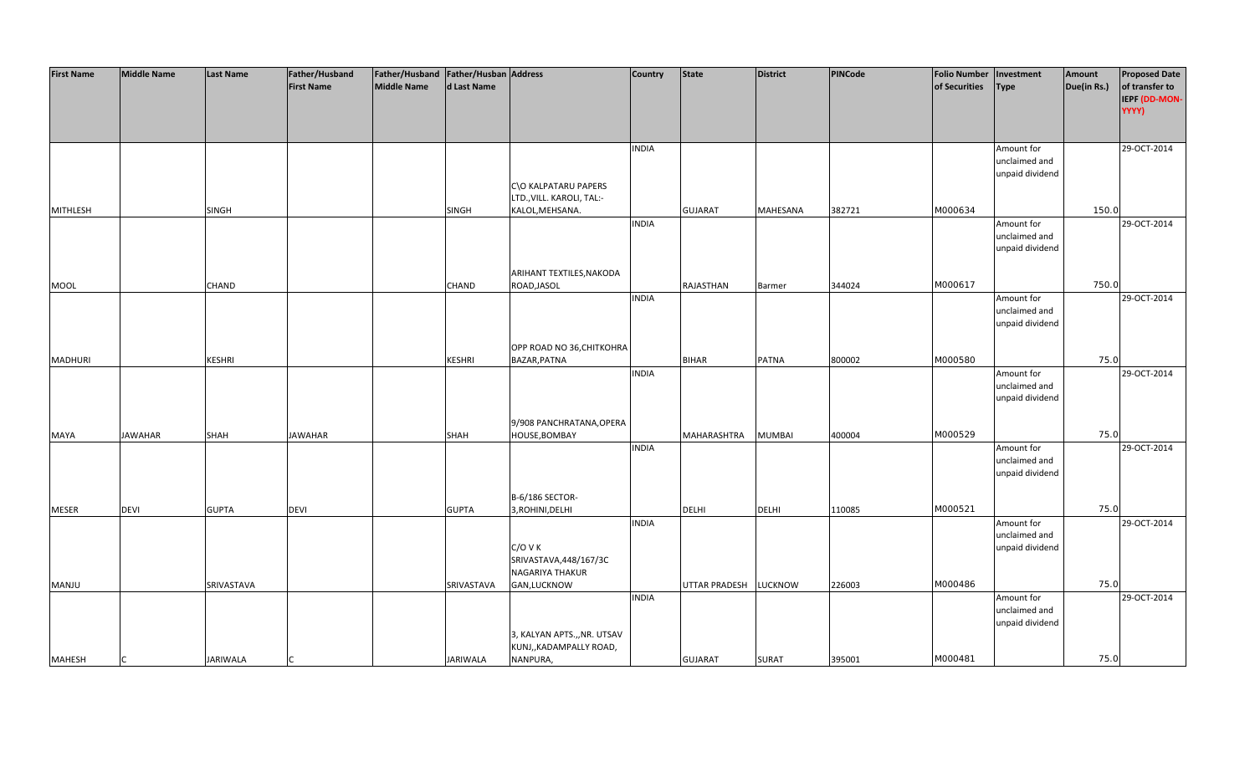| <b>First Name</b> | <b>Middle Name</b> | <b>Last Name</b> | Father/Husband    | Father/Husband Father/Husban Address |                 |                             | <b>Country</b> | <b>State</b>          | <b>District</b> | PINCode | <b>Folio Number</b> | Investment      | Amount      | <b>Proposed Date</b> |
|-------------------|--------------------|------------------|-------------------|--------------------------------------|-----------------|-----------------------------|----------------|-----------------------|-----------------|---------|---------------------|-----------------|-------------|----------------------|
|                   |                    |                  | <b>First Name</b> | <b>Middle Name</b>                   | d Last Name     |                             |                |                       |                 |         | of Securities       | <b>Type</b>     | Due(in Rs.) | of transfer to       |
|                   |                    |                  |                   |                                      |                 |                             |                |                       |                 |         |                     |                 |             | IEPF (DD-MON-        |
|                   |                    |                  |                   |                                      |                 |                             |                |                       |                 |         |                     |                 |             | YYYY)                |
|                   |                    |                  |                   |                                      |                 |                             |                |                       |                 |         |                     |                 |             |                      |
|                   |                    |                  |                   |                                      |                 |                             |                |                       |                 |         |                     |                 |             |                      |
|                   |                    |                  |                   |                                      |                 |                             |                |                       |                 |         |                     |                 |             | 29-OCT-2014          |
|                   |                    |                  |                   |                                      |                 |                             | <b>INDIA</b>   |                       |                 |         |                     | Amount for      |             |                      |
|                   |                    |                  |                   |                                      |                 |                             |                |                       |                 |         |                     | unclaimed and   |             |                      |
|                   |                    |                  |                   |                                      |                 |                             |                |                       |                 |         |                     | unpaid dividend |             |                      |
|                   |                    |                  |                   |                                      |                 | C\O KALPATARU PAPERS        |                |                       |                 |         |                     |                 |             |                      |
|                   |                    |                  |                   |                                      |                 | LTD., VILL. KAROLI, TAL:-   |                |                       |                 |         |                     |                 |             |                      |
| <b>MITHLESH</b>   |                    | <b>SINGH</b>     |                   |                                      | <b>SINGH</b>    | KALOL, MEHSANA.             |                | <b>GUJARAT</b>        | MAHESANA        | 382721  | M000634             |                 | 150.0       |                      |
|                   |                    |                  |                   |                                      |                 |                             | <b>INDIA</b>   |                       |                 |         |                     | Amount for      |             | 29-OCT-2014          |
|                   |                    |                  |                   |                                      |                 |                             |                |                       |                 |         |                     | unclaimed and   |             |                      |
|                   |                    |                  |                   |                                      |                 |                             |                |                       |                 |         |                     | unpaid dividend |             |                      |
|                   |                    |                  |                   |                                      |                 |                             |                |                       |                 |         |                     |                 |             |                      |
|                   |                    |                  |                   |                                      |                 | ARIHANT TEXTILES, NAKODA    |                |                       |                 |         |                     |                 |             |                      |
| <b>MOOL</b>       |                    | <b>CHAND</b>     |                   |                                      | <b>CHAND</b>    | ROAD, JASOL                 |                | RAJASTHAN             | Barmer          | 344024  | M000617             |                 | 750.0       |                      |
|                   |                    |                  |                   |                                      |                 |                             | <b>INDIA</b>   |                       |                 |         |                     | Amount for      |             | 29-OCT-2014          |
|                   |                    |                  |                   |                                      |                 |                             |                |                       |                 |         |                     | unclaimed and   |             |                      |
|                   |                    |                  |                   |                                      |                 |                             |                |                       |                 |         |                     | unpaid dividend |             |                      |
|                   |                    |                  |                   |                                      |                 |                             |                |                       |                 |         |                     |                 |             |                      |
|                   |                    |                  |                   |                                      |                 | OPP ROAD NO 36, CHITKOHRA   |                |                       |                 |         |                     |                 |             |                      |
| <b>MADHURI</b>    |                    | <b>KESHRI</b>    |                   |                                      | <b>KESHRI</b>   | BAZAR, PATNA                |                | <b>BIHAR</b>          | <b>PATNA</b>    | 800002  | M000580             |                 | 75.0        |                      |
|                   |                    |                  |                   |                                      |                 |                             | <b>INDIA</b>   |                       |                 |         |                     | Amount for      |             | 29-OCT-2014          |
|                   |                    |                  |                   |                                      |                 |                             |                |                       |                 |         |                     | unclaimed and   |             |                      |
|                   |                    |                  |                   |                                      |                 |                             |                |                       |                 |         |                     | unpaid dividend |             |                      |
|                   |                    |                  |                   |                                      |                 |                             |                |                       |                 |         |                     |                 |             |                      |
|                   |                    |                  |                   |                                      |                 | 9/908 PANCHRATANA, OPERA    |                |                       |                 |         |                     |                 |             |                      |
| <b>MAYA</b>       | <b>JAWAHAR</b>     | SHAH             | <b>JAWAHAR</b>    |                                      | SHAH            | HOUSE, BOMBAY               |                | MAHARASHTRA           | <b>MUMBAI</b>   | 400004  | M000529             |                 | 75.0        |                      |
|                   |                    |                  |                   |                                      |                 |                             | <b>INDIA</b>   |                       |                 |         |                     | Amount for      |             | 29-OCT-2014          |
|                   |                    |                  |                   |                                      |                 |                             |                |                       |                 |         |                     | unclaimed and   |             |                      |
|                   |                    |                  |                   |                                      |                 |                             |                |                       |                 |         |                     | unpaid dividend |             |                      |
|                   |                    |                  |                   |                                      |                 |                             |                |                       |                 |         |                     |                 |             |                      |
|                   |                    |                  |                   |                                      |                 | B-6/186 SECTOR-             |                |                       |                 |         |                     |                 |             |                      |
| <b>MESER</b>      | <b>DEVI</b>        | <b>GUPTA</b>     | <b>DEVI</b>       |                                      | <b>GUPTA</b>    | 3, ROHINI, DELHI            |                | <b>DELHI</b>          | <b>DELHI</b>    | 110085  | M000521             |                 | 75.0        |                      |
|                   |                    |                  |                   |                                      |                 |                             | <b>INDIA</b>   |                       |                 |         |                     | Amount for      |             | 29-OCT-2014          |
|                   |                    |                  |                   |                                      |                 |                             |                |                       |                 |         |                     | unclaimed and   |             |                      |
|                   |                    |                  |                   |                                      |                 | $C/O$ V K                   |                |                       |                 |         |                     | unpaid dividend |             |                      |
|                   |                    |                  |                   |                                      |                 | SRIVASTAVA, 448/167/3C      |                |                       |                 |         |                     |                 |             |                      |
|                   |                    |                  |                   |                                      |                 | NAGARIYA THAKUR             |                |                       |                 |         |                     |                 |             |                      |
| <b>MANJU</b>      |                    | SRIVASTAVA       |                   |                                      | SRIVASTAVA      | GAN, LUCKNOW                |                | UTTAR PRADESH LUCKNOW |                 | 226003  | M000486             |                 | 75.0        |                      |
|                   |                    |                  |                   |                                      |                 |                             | <b>INDIA</b>   |                       |                 |         |                     | Amount for      |             | 29-OCT-2014          |
|                   |                    |                  |                   |                                      |                 |                             |                |                       |                 |         |                     | unclaimed and   |             |                      |
|                   |                    |                  |                   |                                      |                 |                             |                |                       |                 |         |                     |                 |             |                      |
|                   |                    |                  |                   |                                      |                 |                             |                |                       |                 |         |                     | unpaid dividend |             |                      |
|                   |                    |                  |                   |                                      |                 | 3, KALYAN APTS.,, NR. UTSAV |                |                       |                 |         |                     |                 |             |                      |
|                   |                    |                  |                   |                                      |                 | KUNJ,, KADAMPALLY ROAD,     |                |                       |                 |         |                     |                 |             |                      |
| <b>MAHESH</b>     |                    | <b>JARIWALA</b>  |                   |                                      | <b>JARIWALA</b> | NANPURA,                    |                | <b>GUJARAT</b>        | <b>SURAT</b>    | 395001  | M000481             |                 | 75.0        |                      |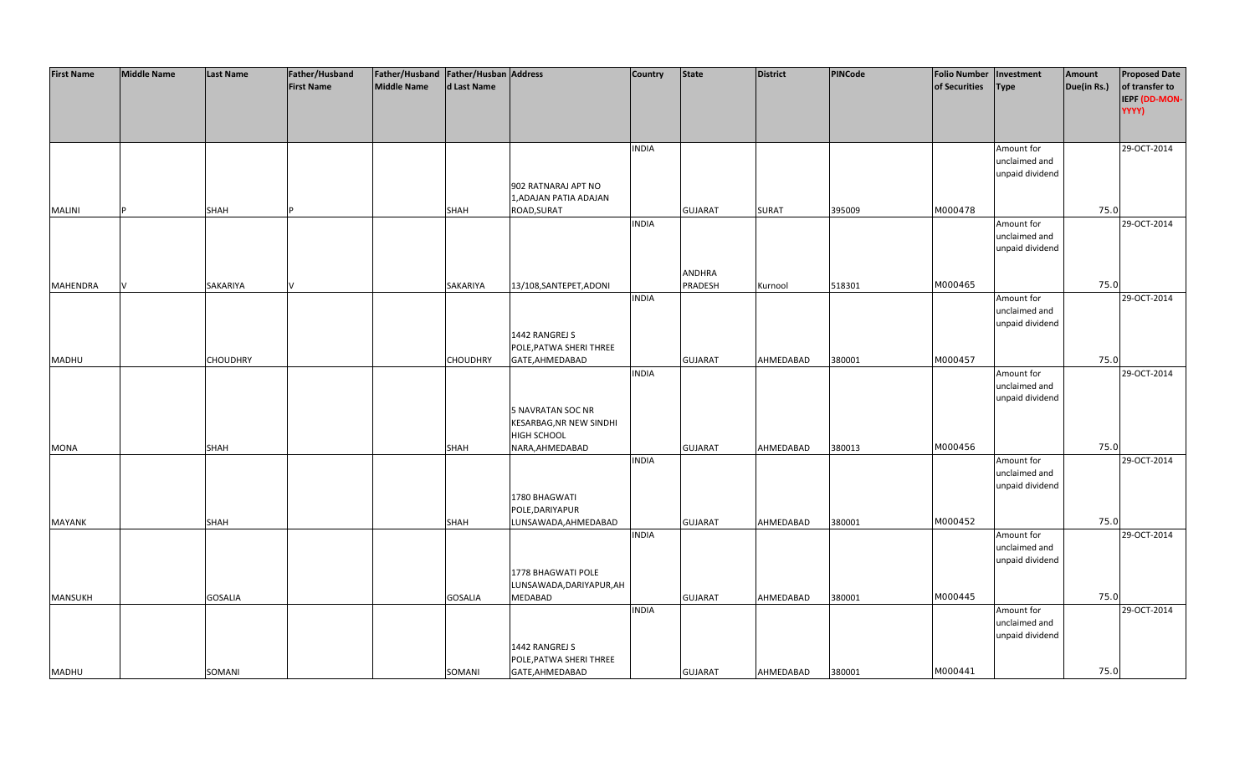| <b>First Name</b><br>Middle Name<br>d Last Name<br>of Securities<br>of transfer to<br>Type<br>Due(in Rs.)<br>IEPF (DD-MON-<br>YYYY)<br>Amount for<br>29-OCT-2014<br><b>INDIA</b><br>unclaimed and<br>unpaid dividend<br>902 RATNARAJ APT NO<br>1,ADAJAN PATIA ADAJAN<br>M000478<br>75.0<br>ROAD, SURAT<br>395009<br><b>MALINI</b><br><b>SHAH</b><br><b>GUJARAT</b><br><b>SURAT</b><br><b>SHAH</b><br>29-OCT-2014<br><b>INDIA</b><br>Amount for<br>unclaimed and<br>unpaid dividend<br><b>ANDHRA</b><br>M000465<br>75.0<br>PRADESH<br><b>MAHENDRA</b><br>SAKARIYA<br>SAKARIYA<br>13/108, SANTEPET, ADONI<br>Kurnool<br>518301<br><b>INDIA</b><br>29-OCT-2014<br>Amount for<br>unclaimed and<br>unpaid dividend<br>1442 RANGREJ S<br>POLE, PATWA SHERI THREE<br>M000457<br>75.0<br><b>CHOUDHRY</b><br>CHOUDHRY<br>AHMEDABAD<br>380001<br><b>MADHU</b><br>GATE, AHMEDABAD<br><b>GUJARAT</b><br><b>INDIA</b><br>29-OCT-2014<br>Amount for<br>unclaimed and<br>unpaid dividend<br><b>5 NAVRATAN SOC NR</b><br>KESARBAG, NR NEW SINDHI<br>HIGH SCHOOL<br>380013<br>M000456<br>75.0<br><b>SHAH</b><br>NARA, AHMEDABAD<br><b>GUJARAT</b><br>AHMEDABAD<br><b>MONA</b><br><b>SHAH</b><br><b>INDIA</b><br>Amount for<br>29-OCT-2014<br>unclaimed and<br>unpaid dividend<br>1780 BHAGWATI<br>POLE, DARIYAPUR<br>M000452<br>75.0<br><b>GUJARAT</b><br>AHMEDABAD<br>380001<br><b>MAYANK</b><br>SHAH<br>SHAH<br>LUNSAWADA, AHMEDABAD<br><b>INDIA</b><br>29-OCT-2014<br>Amount for<br>unclaimed and<br>unpaid dividend<br>1778 BHAGWATI POLE<br>LUNSAWADA, DARIYAPUR, AH<br>M000445<br>75.0<br>MANSUKH<br><b>GOSALIA</b><br><b>GOSALIA</b><br><b>MEDABAD</b><br><b>GUJARAT</b><br>AHMEDABAD<br>380001<br><b>INDIA</b><br>Amount for<br>29-OCT-2014<br>unclaimed and<br>unpaid dividend<br>1442 RANGREJ S<br>POLE, PATWA SHERI THREE | <b>First Name</b> | <b>Middle Name</b> | <b>Last Name</b> | Father/Husband | Father/Husband Father/Husban Address |        |                 | <b>Country</b> | <b>State</b>   | <b>District</b> | PINCode | <b>Folio Number</b> | Investment | Amount | <b>Proposed Date</b> |
|---------------------------------------------------------------------------------------------------------------------------------------------------------------------------------------------------------------------------------------------------------------------------------------------------------------------------------------------------------------------------------------------------------------------------------------------------------------------------------------------------------------------------------------------------------------------------------------------------------------------------------------------------------------------------------------------------------------------------------------------------------------------------------------------------------------------------------------------------------------------------------------------------------------------------------------------------------------------------------------------------------------------------------------------------------------------------------------------------------------------------------------------------------------------------------------------------------------------------------------------------------------------------------------------------------------------------------------------------------------------------------------------------------------------------------------------------------------------------------------------------------------------------------------------------------------------------------------------------------------------------------------------------------------------------------------------------------------------------------------------------------------------------------------------------------------------|-------------------|--------------------|------------------|----------------|--------------------------------------|--------|-----------------|----------------|----------------|-----------------|---------|---------------------|------------|--------|----------------------|
|                                                                                                                                                                                                                                                                                                                                                                                                                                                                                                                                                                                                                                                                                                                                                                                                                                                                                                                                                                                                                                                                                                                                                                                                                                                                                                                                                                                                                                                                                                                                                                                                                                                                                                                                                                                                                     |                   |                    |                  |                |                                      |        |                 |                |                |                 |         |                     |            |        |                      |
|                                                                                                                                                                                                                                                                                                                                                                                                                                                                                                                                                                                                                                                                                                                                                                                                                                                                                                                                                                                                                                                                                                                                                                                                                                                                                                                                                                                                                                                                                                                                                                                                                                                                                                                                                                                                                     |                   |                    |                  |                |                                      |        |                 |                |                |                 |         |                     |            |        |                      |
|                                                                                                                                                                                                                                                                                                                                                                                                                                                                                                                                                                                                                                                                                                                                                                                                                                                                                                                                                                                                                                                                                                                                                                                                                                                                                                                                                                                                                                                                                                                                                                                                                                                                                                                                                                                                                     |                   |                    |                  |                |                                      |        |                 |                |                |                 |         |                     |            |        |                      |
|                                                                                                                                                                                                                                                                                                                                                                                                                                                                                                                                                                                                                                                                                                                                                                                                                                                                                                                                                                                                                                                                                                                                                                                                                                                                                                                                                                                                                                                                                                                                                                                                                                                                                                                                                                                                                     |                   |                    |                  |                |                                      |        |                 |                |                |                 |         |                     |            |        |                      |
|                                                                                                                                                                                                                                                                                                                                                                                                                                                                                                                                                                                                                                                                                                                                                                                                                                                                                                                                                                                                                                                                                                                                                                                                                                                                                                                                                                                                                                                                                                                                                                                                                                                                                                                                                                                                                     |                   |                    |                  |                |                                      |        |                 |                |                |                 |         |                     |            |        |                      |
|                                                                                                                                                                                                                                                                                                                                                                                                                                                                                                                                                                                                                                                                                                                                                                                                                                                                                                                                                                                                                                                                                                                                                                                                                                                                                                                                                                                                                                                                                                                                                                                                                                                                                                                                                                                                                     |                   |                    |                  |                |                                      |        |                 |                |                |                 |         |                     |            |        |                      |
|                                                                                                                                                                                                                                                                                                                                                                                                                                                                                                                                                                                                                                                                                                                                                                                                                                                                                                                                                                                                                                                                                                                                                                                                                                                                                                                                                                                                                                                                                                                                                                                                                                                                                                                                                                                                                     |                   |                    |                  |                |                                      |        |                 |                |                |                 |         |                     |            |        |                      |
|                                                                                                                                                                                                                                                                                                                                                                                                                                                                                                                                                                                                                                                                                                                                                                                                                                                                                                                                                                                                                                                                                                                                                                                                                                                                                                                                                                                                                                                                                                                                                                                                                                                                                                                                                                                                                     |                   |                    |                  |                |                                      |        |                 |                |                |                 |         |                     |            |        |                      |
|                                                                                                                                                                                                                                                                                                                                                                                                                                                                                                                                                                                                                                                                                                                                                                                                                                                                                                                                                                                                                                                                                                                                                                                                                                                                                                                                                                                                                                                                                                                                                                                                                                                                                                                                                                                                                     |                   |                    |                  |                |                                      |        |                 |                |                |                 |         |                     |            |        |                      |
|                                                                                                                                                                                                                                                                                                                                                                                                                                                                                                                                                                                                                                                                                                                                                                                                                                                                                                                                                                                                                                                                                                                                                                                                                                                                                                                                                                                                                                                                                                                                                                                                                                                                                                                                                                                                                     |                   |                    |                  |                |                                      |        |                 |                |                |                 |         |                     |            |        |                      |
|                                                                                                                                                                                                                                                                                                                                                                                                                                                                                                                                                                                                                                                                                                                                                                                                                                                                                                                                                                                                                                                                                                                                                                                                                                                                                                                                                                                                                                                                                                                                                                                                                                                                                                                                                                                                                     |                   |                    |                  |                |                                      |        |                 |                |                |                 |         |                     |            |        |                      |
|                                                                                                                                                                                                                                                                                                                                                                                                                                                                                                                                                                                                                                                                                                                                                                                                                                                                                                                                                                                                                                                                                                                                                                                                                                                                                                                                                                                                                                                                                                                                                                                                                                                                                                                                                                                                                     |                   |                    |                  |                |                                      |        |                 |                |                |                 |         |                     |            |        |                      |
|                                                                                                                                                                                                                                                                                                                                                                                                                                                                                                                                                                                                                                                                                                                                                                                                                                                                                                                                                                                                                                                                                                                                                                                                                                                                                                                                                                                                                                                                                                                                                                                                                                                                                                                                                                                                                     |                   |                    |                  |                |                                      |        |                 |                |                |                 |         |                     |            |        |                      |
|                                                                                                                                                                                                                                                                                                                                                                                                                                                                                                                                                                                                                                                                                                                                                                                                                                                                                                                                                                                                                                                                                                                                                                                                                                                                                                                                                                                                                                                                                                                                                                                                                                                                                                                                                                                                                     |                   |                    |                  |                |                                      |        |                 |                |                |                 |         |                     |            |        |                      |
|                                                                                                                                                                                                                                                                                                                                                                                                                                                                                                                                                                                                                                                                                                                                                                                                                                                                                                                                                                                                                                                                                                                                                                                                                                                                                                                                                                                                                                                                                                                                                                                                                                                                                                                                                                                                                     |                   |                    |                  |                |                                      |        |                 |                |                |                 |         |                     |            |        |                      |
|                                                                                                                                                                                                                                                                                                                                                                                                                                                                                                                                                                                                                                                                                                                                                                                                                                                                                                                                                                                                                                                                                                                                                                                                                                                                                                                                                                                                                                                                                                                                                                                                                                                                                                                                                                                                                     |                   |                    |                  |                |                                      |        |                 |                |                |                 |         |                     |            |        |                      |
|                                                                                                                                                                                                                                                                                                                                                                                                                                                                                                                                                                                                                                                                                                                                                                                                                                                                                                                                                                                                                                                                                                                                                                                                                                                                                                                                                                                                                                                                                                                                                                                                                                                                                                                                                                                                                     |                   |                    |                  |                |                                      |        |                 |                |                |                 |         |                     |            |        |                      |
|                                                                                                                                                                                                                                                                                                                                                                                                                                                                                                                                                                                                                                                                                                                                                                                                                                                                                                                                                                                                                                                                                                                                                                                                                                                                                                                                                                                                                                                                                                                                                                                                                                                                                                                                                                                                                     |                   |                    |                  |                |                                      |        |                 |                |                |                 |         |                     |            |        |                      |
|                                                                                                                                                                                                                                                                                                                                                                                                                                                                                                                                                                                                                                                                                                                                                                                                                                                                                                                                                                                                                                                                                                                                                                                                                                                                                                                                                                                                                                                                                                                                                                                                                                                                                                                                                                                                                     |                   |                    |                  |                |                                      |        |                 |                |                |                 |         |                     |            |        |                      |
|                                                                                                                                                                                                                                                                                                                                                                                                                                                                                                                                                                                                                                                                                                                                                                                                                                                                                                                                                                                                                                                                                                                                                                                                                                                                                                                                                                                                                                                                                                                                                                                                                                                                                                                                                                                                                     |                   |                    |                  |                |                                      |        |                 |                |                |                 |         |                     |            |        |                      |
|                                                                                                                                                                                                                                                                                                                                                                                                                                                                                                                                                                                                                                                                                                                                                                                                                                                                                                                                                                                                                                                                                                                                                                                                                                                                                                                                                                                                                                                                                                                                                                                                                                                                                                                                                                                                                     |                   |                    |                  |                |                                      |        |                 |                |                |                 |         |                     |            |        |                      |
|                                                                                                                                                                                                                                                                                                                                                                                                                                                                                                                                                                                                                                                                                                                                                                                                                                                                                                                                                                                                                                                                                                                                                                                                                                                                                                                                                                                                                                                                                                                                                                                                                                                                                                                                                                                                                     |                   |                    |                  |                |                                      |        |                 |                |                |                 |         |                     |            |        |                      |
|                                                                                                                                                                                                                                                                                                                                                                                                                                                                                                                                                                                                                                                                                                                                                                                                                                                                                                                                                                                                                                                                                                                                                                                                                                                                                                                                                                                                                                                                                                                                                                                                                                                                                                                                                                                                                     |                   |                    |                  |                |                                      |        |                 |                |                |                 |         |                     |            |        |                      |
|                                                                                                                                                                                                                                                                                                                                                                                                                                                                                                                                                                                                                                                                                                                                                                                                                                                                                                                                                                                                                                                                                                                                                                                                                                                                                                                                                                                                                                                                                                                                                                                                                                                                                                                                                                                                                     |                   |                    |                  |                |                                      |        |                 |                |                |                 |         |                     |            |        |                      |
|                                                                                                                                                                                                                                                                                                                                                                                                                                                                                                                                                                                                                                                                                                                                                                                                                                                                                                                                                                                                                                                                                                                                                                                                                                                                                                                                                                                                                                                                                                                                                                                                                                                                                                                                                                                                                     |                   |                    |                  |                |                                      |        |                 |                |                |                 |         |                     |            |        |                      |
|                                                                                                                                                                                                                                                                                                                                                                                                                                                                                                                                                                                                                                                                                                                                                                                                                                                                                                                                                                                                                                                                                                                                                                                                                                                                                                                                                                                                                                                                                                                                                                                                                                                                                                                                                                                                                     |                   |                    |                  |                |                                      |        |                 |                |                |                 |         |                     |            |        |                      |
|                                                                                                                                                                                                                                                                                                                                                                                                                                                                                                                                                                                                                                                                                                                                                                                                                                                                                                                                                                                                                                                                                                                                                                                                                                                                                                                                                                                                                                                                                                                                                                                                                                                                                                                                                                                                                     |                   |                    |                  |                |                                      |        |                 |                |                |                 |         |                     |            |        |                      |
|                                                                                                                                                                                                                                                                                                                                                                                                                                                                                                                                                                                                                                                                                                                                                                                                                                                                                                                                                                                                                                                                                                                                                                                                                                                                                                                                                                                                                                                                                                                                                                                                                                                                                                                                                                                                                     |                   |                    |                  |                |                                      |        |                 |                |                |                 |         |                     |            |        |                      |
|                                                                                                                                                                                                                                                                                                                                                                                                                                                                                                                                                                                                                                                                                                                                                                                                                                                                                                                                                                                                                                                                                                                                                                                                                                                                                                                                                                                                                                                                                                                                                                                                                                                                                                                                                                                                                     |                   |                    |                  |                |                                      |        |                 |                |                |                 |         |                     |            |        |                      |
|                                                                                                                                                                                                                                                                                                                                                                                                                                                                                                                                                                                                                                                                                                                                                                                                                                                                                                                                                                                                                                                                                                                                                                                                                                                                                                                                                                                                                                                                                                                                                                                                                                                                                                                                                                                                                     |                   |                    |                  |                |                                      |        |                 |                |                |                 |         |                     |            |        |                      |
|                                                                                                                                                                                                                                                                                                                                                                                                                                                                                                                                                                                                                                                                                                                                                                                                                                                                                                                                                                                                                                                                                                                                                                                                                                                                                                                                                                                                                                                                                                                                                                                                                                                                                                                                                                                                                     |                   |                    |                  |                |                                      |        |                 |                |                |                 |         |                     |            |        |                      |
|                                                                                                                                                                                                                                                                                                                                                                                                                                                                                                                                                                                                                                                                                                                                                                                                                                                                                                                                                                                                                                                                                                                                                                                                                                                                                                                                                                                                                                                                                                                                                                                                                                                                                                                                                                                                                     |                   |                    |                  |                |                                      |        |                 |                |                |                 |         |                     |            |        |                      |
|                                                                                                                                                                                                                                                                                                                                                                                                                                                                                                                                                                                                                                                                                                                                                                                                                                                                                                                                                                                                                                                                                                                                                                                                                                                                                                                                                                                                                                                                                                                                                                                                                                                                                                                                                                                                                     |                   |                    |                  |                |                                      |        |                 |                |                |                 |         |                     |            |        |                      |
|                                                                                                                                                                                                                                                                                                                                                                                                                                                                                                                                                                                                                                                                                                                                                                                                                                                                                                                                                                                                                                                                                                                                                                                                                                                                                                                                                                                                                                                                                                                                                                                                                                                                                                                                                                                                                     |                   |                    |                  |                |                                      |        |                 |                |                |                 |         |                     |            |        |                      |
|                                                                                                                                                                                                                                                                                                                                                                                                                                                                                                                                                                                                                                                                                                                                                                                                                                                                                                                                                                                                                                                                                                                                                                                                                                                                                                                                                                                                                                                                                                                                                                                                                                                                                                                                                                                                                     |                   |                    |                  |                |                                      |        |                 |                |                |                 |         |                     |            |        |                      |
|                                                                                                                                                                                                                                                                                                                                                                                                                                                                                                                                                                                                                                                                                                                                                                                                                                                                                                                                                                                                                                                                                                                                                                                                                                                                                                                                                                                                                                                                                                                                                                                                                                                                                                                                                                                                                     |                   |                    |                  |                |                                      |        |                 |                |                |                 |         |                     |            |        |                      |
|                                                                                                                                                                                                                                                                                                                                                                                                                                                                                                                                                                                                                                                                                                                                                                                                                                                                                                                                                                                                                                                                                                                                                                                                                                                                                                                                                                                                                                                                                                                                                                                                                                                                                                                                                                                                                     |                   |                    |                  |                |                                      |        |                 |                |                |                 |         |                     |            |        |                      |
|                                                                                                                                                                                                                                                                                                                                                                                                                                                                                                                                                                                                                                                                                                                                                                                                                                                                                                                                                                                                                                                                                                                                                                                                                                                                                                                                                                                                                                                                                                                                                                                                                                                                                                                                                                                                                     |                   |                    |                  |                |                                      |        |                 |                |                |                 |         |                     |            |        |                      |
|                                                                                                                                                                                                                                                                                                                                                                                                                                                                                                                                                                                                                                                                                                                                                                                                                                                                                                                                                                                                                                                                                                                                                                                                                                                                                                                                                                                                                                                                                                                                                                                                                                                                                                                                                                                                                     |                   |                    |                  |                |                                      |        |                 |                |                |                 |         |                     |            |        |                      |
|                                                                                                                                                                                                                                                                                                                                                                                                                                                                                                                                                                                                                                                                                                                                                                                                                                                                                                                                                                                                                                                                                                                                                                                                                                                                                                                                                                                                                                                                                                                                                                                                                                                                                                                                                                                                                     |                   |                    |                  |                |                                      |        |                 |                |                |                 |         |                     |            |        |                      |
|                                                                                                                                                                                                                                                                                                                                                                                                                                                                                                                                                                                                                                                                                                                                                                                                                                                                                                                                                                                                                                                                                                                                                                                                                                                                                                                                                                                                                                                                                                                                                                                                                                                                                                                                                                                                                     |                   |                    |                  |                |                                      |        |                 |                |                |                 |         |                     |            |        |                      |
|                                                                                                                                                                                                                                                                                                                                                                                                                                                                                                                                                                                                                                                                                                                                                                                                                                                                                                                                                                                                                                                                                                                                                                                                                                                                                                                                                                                                                                                                                                                                                                                                                                                                                                                                                                                                                     |                   |                    |                  |                |                                      |        |                 |                |                |                 |         |                     |            |        |                      |
|                                                                                                                                                                                                                                                                                                                                                                                                                                                                                                                                                                                                                                                                                                                                                                                                                                                                                                                                                                                                                                                                                                                                                                                                                                                                                                                                                                                                                                                                                                                                                                                                                                                                                                                                                                                                                     |                   |                    |                  |                |                                      |        |                 |                |                |                 |         |                     |            |        |                      |
|                                                                                                                                                                                                                                                                                                                                                                                                                                                                                                                                                                                                                                                                                                                                                                                                                                                                                                                                                                                                                                                                                                                                                                                                                                                                                                                                                                                                                                                                                                                                                                                                                                                                                                                                                                                                                     |                   |                    |                  |                |                                      |        |                 |                |                |                 |         |                     |            |        |                      |
|                                                                                                                                                                                                                                                                                                                                                                                                                                                                                                                                                                                                                                                                                                                                                                                                                                                                                                                                                                                                                                                                                                                                                                                                                                                                                                                                                                                                                                                                                                                                                                                                                                                                                                                                                                                                                     |                   |                    |                  |                |                                      |        |                 |                |                |                 |         |                     |            |        |                      |
|                                                                                                                                                                                                                                                                                                                                                                                                                                                                                                                                                                                                                                                                                                                                                                                                                                                                                                                                                                                                                                                                                                                                                                                                                                                                                                                                                                                                                                                                                                                                                                                                                                                                                                                                                                                                                     |                   |                    |                  |                |                                      |        |                 |                |                |                 |         |                     |            |        |                      |
|                                                                                                                                                                                                                                                                                                                                                                                                                                                                                                                                                                                                                                                                                                                                                                                                                                                                                                                                                                                                                                                                                                                                                                                                                                                                                                                                                                                                                                                                                                                                                                                                                                                                                                                                                                                                                     |                   |                    |                  |                |                                      |        |                 |                |                |                 |         |                     |            |        |                      |
|                                                                                                                                                                                                                                                                                                                                                                                                                                                                                                                                                                                                                                                                                                                                                                                                                                                                                                                                                                                                                                                                                                                                                                                                                                                                                                                                                                                                                                                                                                                                                                                                                                                                                                                                                                                                                     | <b>MADHU</b>      |                    | SOMANI           |                |                                      | SOMANI | GATE, AHMEDABAD |                | <b>GUJARAT</b> | AHMEDABAD       | 380001  | M000441             |            | 75.0   |                      |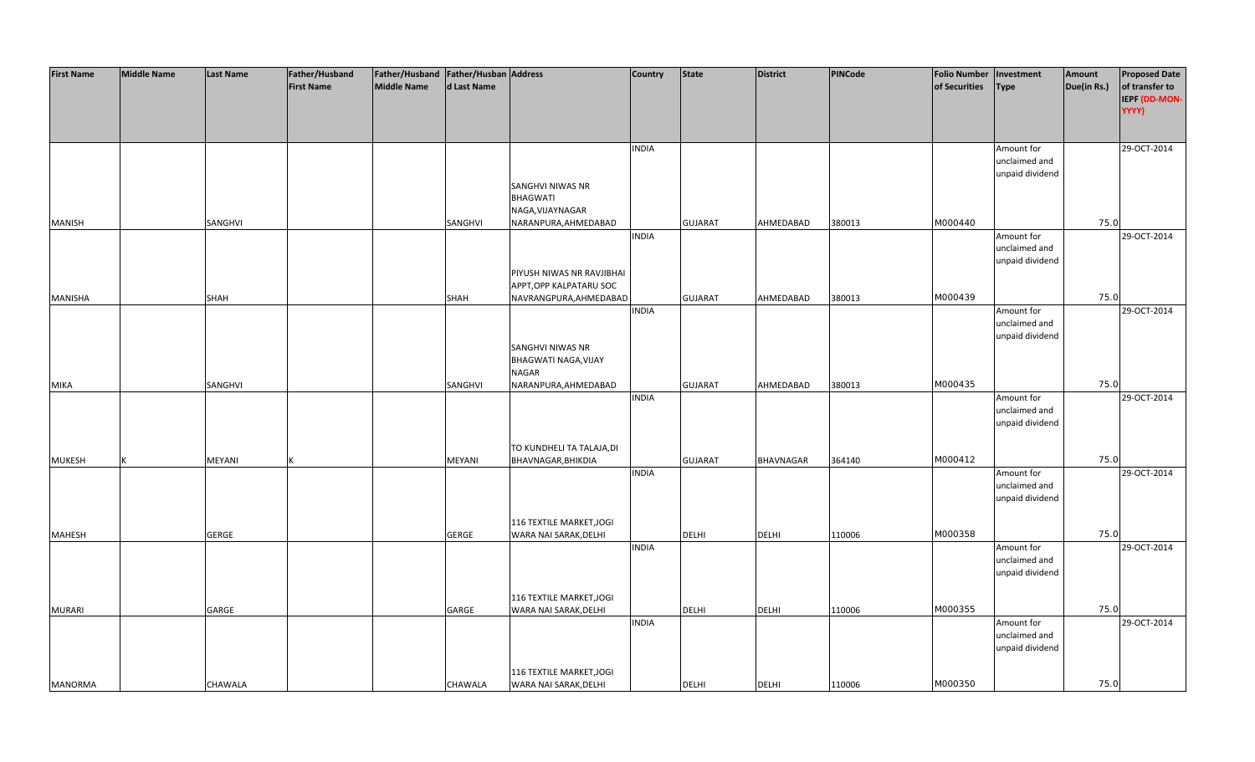| <b>First Name</b> | <b>Middle Name</b> | <b>Last Name</b> | Father/Husband    | Father/Husband   Father/Husban   Address |                |                                          | <b>Country</b> | <b>State</b>   | <b>District</b>  | PINCode | <b>Folio Number</b> | Investment                       | Amount      | <b>Proposed Date</b>            |
|-------------------|--------------------|------------------|-------------------|------------------------------------------|----------------|------------------------------------------|----------------|----------------|------------------|---------|---------------------|----------------------------------|-------------|---------------------------------|
|                   |                    |                  | <b>First Name</b> | <b>Middle Name</b>                       | d Last Name    |                                          |                |                |                  |         | of Securities       | <b>Type</b>                      | Due(in Rs.) | of transfer to<br>IEPF (DD-MON- |
|                   |                    |                  |                   |                                          |                |                                          |                |                |                  |         |                     |                                  |             | YYYY)                           |
|                   |                    |                  |                   |                                          |                |                                          |                |                |                  |         |                     |                                  |             |                                 |
|                   |                    |                  |                   |                                          |                |                                          | <b>INDIA</b>   |                |                  |         |                     | Amount for                       |             | 29-OCT-2014                     |
|                   |                    |                  |                   |                                          |                |                                          |                |                |                  |         |                     | unclaimed and<br>unpaid dividend |             |                                 |
|                   |                    |                  |                   |                                          |                | SANGHVI NIWAS NR                         |                |                |                  |         |                     |                                  |             |                                 |
|                   |                    |                  |                   |                                          |                | <b>BHAGWATI</b>                          |                |                |                  |         |                     |                                  |             |                                 |
| <b>MANISH</b>     |                    | SANGHVI          |                   |                                          | SANGHVI        | NAGA, VIJAYNAGAR<br>NARANPURA, AHMEDABAD |                | <b>GUJARAT</b> | AHMEDABAD        | 380013  | M000440             |                                  | 75.0        |                                 |
|                   |                    |                  |                   |                                          |                |                                          | <b>INDIA</b>   |                |                  |         |                     | Amount for                       |             | 29-OCT-2014                     |
|                   |                    |                  |                   |                                          |                |                                          |                |                |                  |         |                     | unclaimed and                    |             |                                 |
|                   |                    |                  |                   |                                          |                | PIYUSH NIWAS NR RAVJIBHAI                |                |                |                  |         |                     | unpaid dividend                  |             |                                 |
|                   |                    |                  |                   |                                          |                | APPT, OPP KALPATARU SOC                  |                |                |                  |         |                     |                                  |             |                                 |
| <b>MANISHA</b>    |                    | SHAH             |                   |                                          | SHAH           | NAVRANGPURA, AHMEDABAD                   | <b>INDIA</b>   | <b>GUJARAT</b> | AHMEDABAD        | 380013  | M000439             |                                  | 75.0        | 29-OCT-2014                     |
|                   |                    |                  |                   |                                          |                |                                          |                |                |                  |         |                     | Amount for<br>unclaimed and      |             |                                 |
|                   |                    |                  |                   |                                          |                |                                          |                |                |                  |         |                     | unpaid dividend                  |             |                                 |
|                   |                    |                  |                   |                                          |                | SANGHVI NIWAS NR<br>BHAGWATI NAGA, VIJAY |                |                |                  |         |                     |                                  |             |                                 |
|                   |                    |                  |                   |                                          |                | <b>NAGAR</b>                             |                |                |                  |         |                     |                                  |             |                                 |
| <b>MIKA</b>       |                    | SANGHVI          |                   |                                          | SANGHVI        | NARANPURA, AHMEDABAD                     |                | <b>GUJARAT</b> | AHMEDABAD        | 380013  | M000435             |                                  | 75.0        |                                 |
|                   |                    |                  |                   |                                          |                |                                          | <b>INDIA</b>   |                |                  |         |                     | Amount for<br>unclaimed and      |             | 29-OCT-2014                     |
|                   |                    |                  |                   |                                          |                |                                          |                |                |                  |         |                     | unpaid dividend                  |             |                                 |
|                   |                    |                  |                   |                                          |                | TO KUNDHELI TA TALAJA, DI                |                |                |                  |         |                     |                                  |             |                                 |
| <b>MUKESH</b>     |                    | <b>MEYANI</b>    |                   |                                          | MEYANI         | BHAVNAGAR, BHIKDIA                       |                | <b>GUJARAT</b> | <b>BHAVNAGAR</b> | 364140  | M000412             |                                  | 75.0        |                                 |
|                   |                    |                  |                   |                                          |                |                                          | <b>INDIA</b>   |                |                  |         |                     | Amount for                       |             | 29-OCT-2014                     |
|                   |                    |                  |                   |                                          |                |                                          |                |                |                  |         |                     | unclaimed and<br>unpaid dividend |             |                                 |
|                   |                    |                  |                   |                                          |                |                                          |                |                |                  |         |                     |                                  |             |                                 |
|                   |                    |                  |                   |                                          |                | 116 TEXTILE MARKET, JOGI                 |                |                |                  |         |                     |                                  |             |                                 |
| <b>MAHESH</b>     |                    | <b>GERGE</b>     |                   |                                          | <b>GERGE</b>   | WARA NAI SARAK, DELHI                    | <b>INDIA</b>   | <b>DELHI</b>   | <b>DELHI</b>     | 110006  | M000358             | Amount for                       | 75.0        | 29-OCT-2014                     |
|                   |                    |                  |                   |                                          |                |                                          |                |                |                  |         |                     | unclaimed and                    |             |                                 |
|                   |                    |                  |                   |                                          |                |                                          |                |                |                  |         |                     | unpaid dividend                  |             |                                 |
|                   |                    |                  |                   |                                          |                | 116 TEXTILE MARKET, JOGI                 |                |                |                  |         |                     |                                  |             |                                 |
| <b>MURARI</b>     |                    | GARGE            |                   |                                          | GARGE          | WARA NAI SARAK, DELHI                    |                | <b>DELHI</b>   | <b>DELHI</b>     | 110006  | M000355             |                                  | 75.0        |                                 |
|                   |                    |                  |                   |                                          |                |                                          | <b>INDIA</b>   |                |                  |         |                     | Amount for<br>unclaimed and      |             | 29-OCT-2014                     |
|                   |                    |                  |                   |                                          |                |                                          |                |                |                  |         |                     | unpaid dividend                  |             |                                 |
|                   |                    |                  |                   |                                          |                | 116 TEXTILE MARKET, JOGI                 |                |                |                  |         |                     |                                  |             |                                 |
| MANORMA           |                    | <b>CHAWALA</b>   |                   |                                          | <b>CHAWALA</b> | WARA NAI SARAK, DELHI                    |                | <b>DELHI</b>   | <b>DELHI</b>     | 110006  | M000350             |                                  | 75.0        |                                 |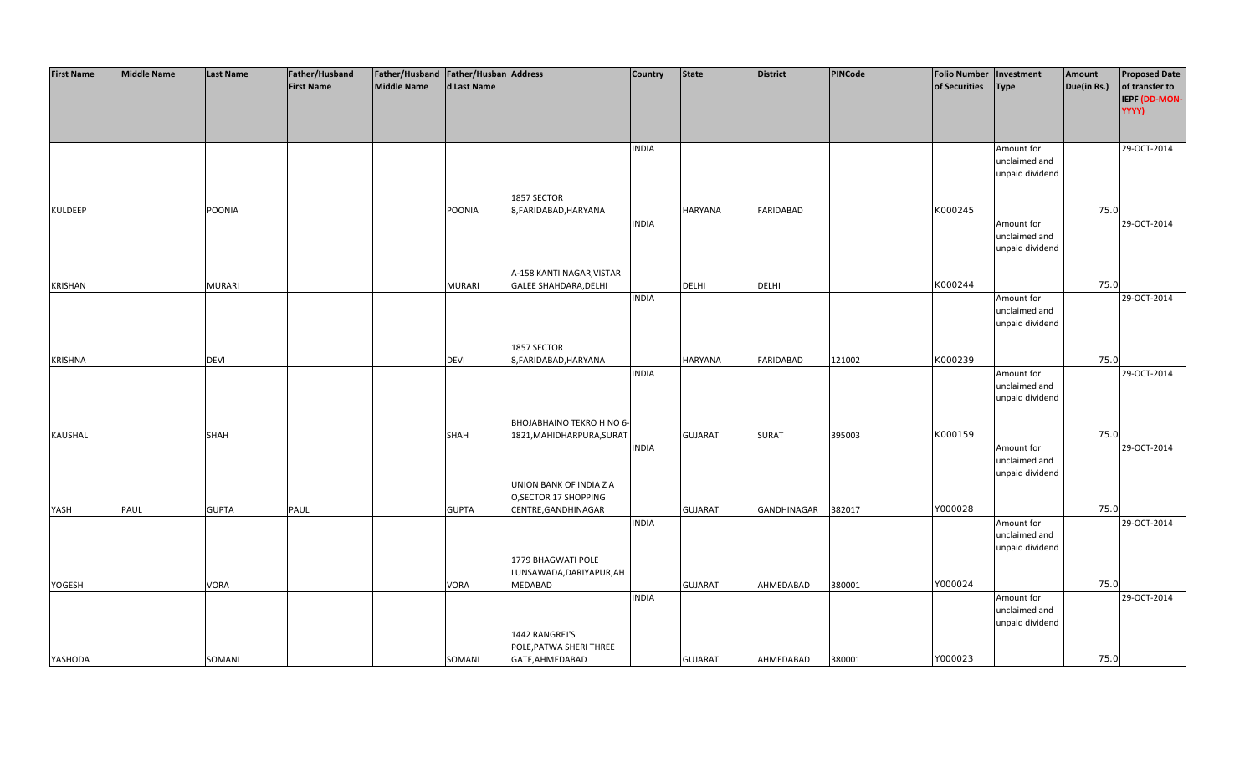| <b>First Name</b> | <b>Middle Name</b> | <b>Last Name</b> | Father/Husband    | Father/Husband Father/Husban Address |               |                              | <b>Country</b> | <b>State</b>   | <b>District</b>  | PINCode | <b>Folio Number</b> | Investment      | Amount      | <b>Proposed Date</b> |
|-------------------|--------------------|------------------|-------------------|--------------------------------------|---------------|------------------------------|----------------|----------------|------------------|---------|---------------------|-----------------|-------------|----------------------|
|                   |                    |                  | <b>First Name</b> | <b>Middle Name</b>                   | d Last Name   |                              |                |                |                  |         | of Securities       | <b>Type</b>     | Due(in Rs.) | of transfer to       |
|                   |                    |                  |                   |                                      |               |                              |                |                |                  |         |                     |                 |             | IEPF (DD-MON-        |
|                   |                    |                  |                   |                                      |               |                              |                |                |                  |         |                     |                 |             | YYYY)                |
|                   |                    |                  |                   |                                      |               |                              |                |                |                  |         |                     |                 |             |                      |
|                   |                    |                  |                   |                                      |               |                              |                |                |                  |         |                     |                 |             |                      |
|                   |                    |                  |                   |                                      |               |                              | <b>INDIA</b>   |                |                  |         |                     | Amount for      |             | 29-OCT-2014          |
|                   |                    |                  |                   |                                      |               |                              |                |                |                  |         |                     | unclaimed and   |             |                      |
|                   |                    |                  |                   |                                      |               |                              |                |                |                  |         |                     | unpaid dividend |             |                      |
|                   |                    |                  |                   |                                      |               |                              |                |                |                  |         |                     |                 |             |                      |
|                   |                    |                  |                   |                                      |               | 1857 SECTOR                  |                |                |                  |         |                     |                 |             |                      |
| <b>KULDEEP</b>    |                    | POONIA           |                   |                                      | <b>POONIA</b> | 8, FARIDABAD, HARYANA        |                | <b>HARYANA</b> | <b>FARIDABAD</b> |         | K000245             |                 | 75.0        |                      |
|                   |                    |                  |                   |                                      |               |                              | <b>INDIA</b>   |                |                  |         |                     | Amount for      |             | 29-OCT-2014          |
|                   |                    |                  |                   |                                      |               |                              |                |                |                  |         |                     | unclaimed and   |             |                      |
|                   |                    |                  |                   |                                      |               |                              |                |                |                  |         |                     | unpaid dividend |             |                      |
|                   |                    |                  |                   |                                      |               |                              |                |                |                  |         |                     |                 |             |                      |
|                   |                    |                  |                   |                                      |               | A-158 KANTI NAGAR, VISTAR    |                |                |                  |         |                     |                 |             |                      |
| <b>KRISHAN</b>    |                    | <b>MURARI</b>    |                   |                                      | <b>MURARI</b> | <b>GALEE SHAHDARA, DELHI</b> |                | <b>DELHI</b>   | <b>DELHI</b>     |         | K000244             |                 | 75.0        |                      |
|                   |                    |                  |                   |                                      |               |                              | <b>INDIA</b>   |                |                  |         |                     | Amount for      |             | 29-OCT-2014          |
|                   |                    |                  |                   |                                      |               |                              |                |                |                  |         |                     | unclaimed and   |             |                      |
|                   |                    |                  |                   |                                      |               |                              |                |                |                  |         |                     | unpaid dividend |             |                      |
|                   |                    |                  |                   |                                      |               |                              |                |                |                  |         |                     |                 |             |                      |
|                   |                    |                  |                   |                                      |               | 1857 SECTOR                  |                |                |                  |         |                     |                 |             |                      |
| <b>KRISHNA</b>    |                    | <b>DEVI</b>      |                   |                                      | <b>DEVI</b>   | 8, FARIDABAD, HARYANA        |                | <b>HARYANA</b> | <b>FARIDABAD</b> | 121002  | K000239             |                 | 75.0        |                      |
|                   |                    |                  |                   |                                      |               |                              | <b>INDIA</b>   |                |                  |         |                     | Amount for      |             | 29-OCT-2014          |
|                   |                    |                  |                   |                                      |               |                              |                |                |                  |         |                     | unclaimed and   |             |                      |
|                   |                    |                  |                   |                                      |               |                              |                |                |                  |         |                     | unpaid dividend |             |                      |
|                   |                    |                  |                   |                                      |               |                              |                |                |                  |         |                     |                 |             |                      |
|                   |                    |                  |                   |                                      |               |                              |                |                |                  |         |                     |                 |             |                      |
|                   |                    |                  |                   |                                      |               | BHOJABHAINO TEKRO H NO 6-    |                |                | <b>SURAT</b>     |         | K000159             |                 | 75.0        |                      |
| KAUSHAL           |                    | <b>SHAH</b>      |                   |                                      | <b>SHAH</b>   | 1821, MAHIDHARPURA, SURAT    |                | <b>GUJARAT</b> |                  | 395003  |                     |                 |             |                      |
|                   |                    |                  |                   |                                      |               |                              | <b>INDIA</b>   |                |                  |         |                     | Amount for      |             | 29-OCT-2014          |
|                   |                    |                  |                   |                                      |               |                              |                |                |                  |         |                     | unclaimed and   |             |                      |
|                   |                    |                  |                   |                                      |               |                              |                |                |                  |         |                     | unpaid dividend |             |                      |
|                   |                    |                  |                   |                                      |               | UNION BANK OF INDIA Z A      |                |                |                  |         |                     |                 |             |                      |
|                   |                    |                  |                   |                                      |               | O, SECTOR 17 SHOPPING        |                |                |                  |         |                     |                 |             |                      |
| YASH              | PAUL               | <b>GUPTA</b>     | PAUL              |                                      | <b>GUPTA</b>  | CENTRE, GANDHINAGAR          |                | <b>GUJARAT</b> | GANDHINAGAR      | 382017  | Y000028             |                 | 75.0        |                      |
|                   |                    |                  |                   |                                      |               |                              | <b>INDIA</b>   |                |                  |         |                     | Amount for      |             | 29-OCT-2014          |
|                   |                    |                  |                   |                                      |               |                              |                |                |                  |         |                     | unclaimed and   |             |                      |
|                   |                    |                  |                   |                                      |               |                              |                |                |                  |         |                     | unpaid dividend |             |                      |
|                   |                    |                  |                   |                                      |               | 1779 BHAGWATI POLE           |                |                |                  |         |                     |                 |             |                      |
|                   |                    |                  |                   |                                      |               | LUNSAWADA, DARIYAPUR, AH     |                |                |                  |         |                     |                 |             |                      |
| YOGESH            |                    | VORA             |                   |                                      | VORA          | <b>MEDABAD</b>               |                | <b>GUJARAT</b> | AHMEDABAD        | 380001  | Y000024             |                 | 75.0        |                      |
|                   |                    |                  |                   |                                      |               |                              | <b>INDIA</b>   |                |                  |         |                     | Amount for      |             | 29-OCT-2014          |
|                   |                    |                  |                   |                                      |               |                              |                |                |                  |         |                     | unclaimed and   |             |                      |
|                   |                    |                  |                   |                                      |               |                              |                |                |                  |         |                     | unpaid dividend |             |                      |
|                   |                    |                  |                   |                                      |               | 1442 RANGREJ'S               |                |                |                  |         |                     |                 |             |                      |
|                   |                    |                  |                   |                                      |               | POLE, PATWA SHERI THREE      |                |                |                  |         |                     |                 |             |                      |
| YASHODA           |                    | SOMANI           |                   |                                      | SOMANI        | GATE, AHMEDABAD              |                | <b>GUJARAT</b> | AHMEDABAD        | 380001  | Y000023             |                 | 75.0        |                      |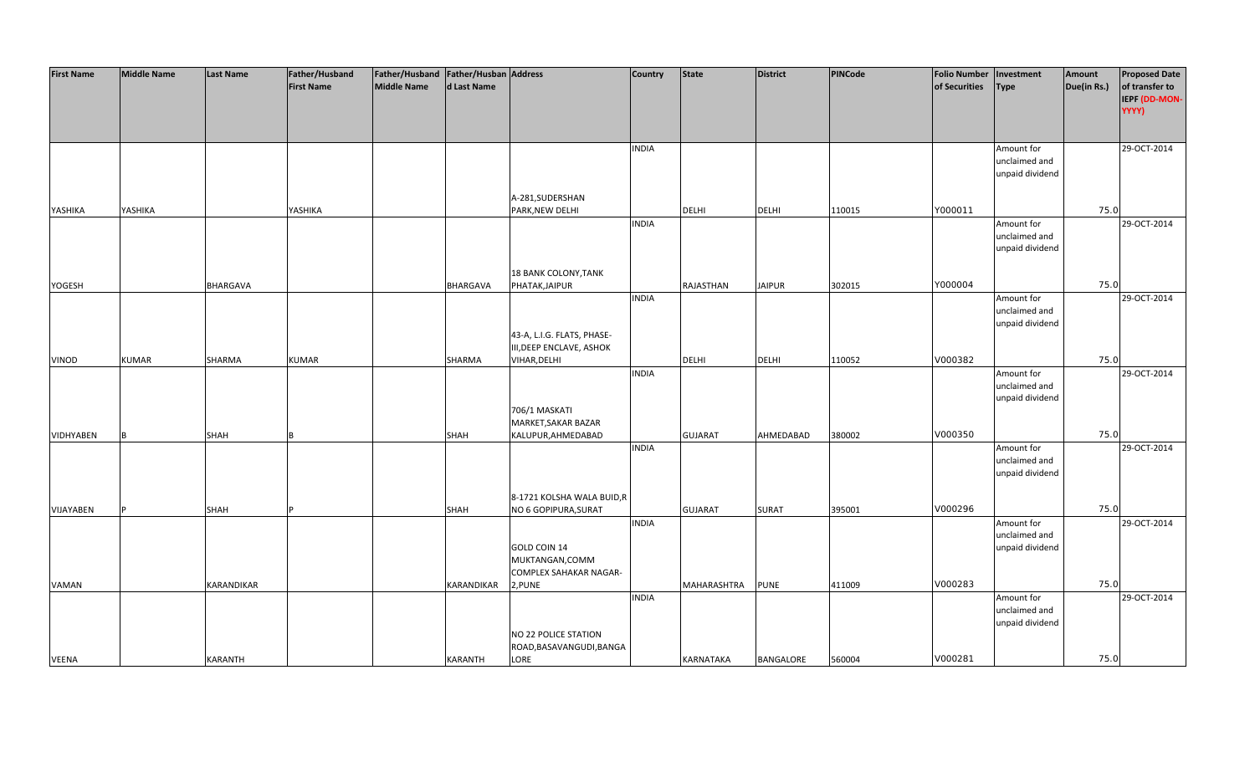| <b>First Name</b> | <b>Middle Name</b> | <b>Last Name</b>  | Father/Husband    | Father/Husband Father/Husban Address |                   |                            | <b>Country</b> | <b>State</b>     | <b>District</b> | PINCode | <b>Folio Number</b> | Investment      | Amount      | <b>Proposed Date</b> |
|-------------------|--------------------|-------------------|-------------------|--------------------------------------|-------------------|----------------------------|----------------|------------------|-----------------|---------|---------------------|-----------------|-------------|----------------------|
|                   |                    |                   | <b>First Name</b> | <b>Middle Name</b>                   | d Last Name       |                            |                |                  |                 |         | of Securities       | <b>Type</b>     | Due(in Rs.) | of transfer to       |
|                   |                    |                   |                   |                                      |                   |                            |                |                  |                 |         |                     |                 |             |                      |
|                   |                    |                   |                   |                                      |                   |                            |                |                  |                 |         |                     |                 |             | IEPF (DD-MON-        |
|                   |                    |                   |                   |                                      |                   |                            |                |                  |                 |         |                     |                 |             | YYYY)                |
|                   |                    |                   |                   |                                      |                   |                            |                |                  |                 |         |                     |                 |             |                      |
|                   |                    |                   |                   |                                      |                   |                            |                |                  |                 |         |                     |                 |             |                      |
|                   |                    |                   |                   |                                      |                   |                            | <b>INDIA</b>   |                  |                 |         |                     | Amount for      |             | 29-OCT-2014          |
|                   |                    |                   |                   |                                      |                   |                            |                |                  |                 |         |                     | unclaimed and   |             |                      |
|                   |                    |                   |                   |                                      |                   |                            |                |                  |                 |         |                     | unpaid dividend |             |                      |
|                   |                    |                   |                   |                                      |                   |                            |                |                  |                 |         |                     |                 |             |                      |
|                   |                    |                   |                   |                                      |                   | A-281, SUDERSHAN           |                |                  |                 |         |                     |                 |             |                      |
| YASHIKA           | YASHIKA            |                   | YASHIKA           |                                      |                   | PARK, NEW DELHI            |                | <b>DELHI</b>     | <b>DELHI</b>    | 110015  | Y000011             |                 | 75.0        |                      |
|                   |                    |                   |                   |                                      |                   |                            | <b>INDIA</b>   |                  |                 |         |                     | Amount for      |             | 29-OCT-2014          |
|                   |                    |                   |                   |                                      |                   |                            |                |                  |                 |         |                     |                 |             |                      |
|                   |                    |                   |                   |                                      |                   |                            |                |                  |                 |         |                     | unclaimed and   |             |                      |
|                   |                    |                   |                   |                                      |                   |                            |                |                  |                 |         |                     | unpaid dividend |             |                      |
|                   |                    |                   |                   |                                      |                   |                            |                |                  |                 |         |                     |                 |             |                      |
|                   |                    |                   |                   |                                      |                   | 18 BANK COLONY, TANK       |                |                  |                 |         |                     |                 |             |                      |
| YOGESH            |                    | <b>BHARGAVA</b>   |                   |                                      | <b>BHARGAVA</b>   | PHATAK, JAIPUR             |                | RAJASTHAN        | <b>JAIPUR</b>   | 302015  | Y000004             |                 | 75.0        |                      |
|                   |                    |                   |                   |                                      |                   |                            | <b>INDIA</b>   |                  |                 |         |                     | Amount for      |             | 29-OCT-2014          |
|                   |                    |                   |                   |                                      |                   |                            |                |                  |                 |         |                     | unclaimed and   |             |                      |
|                   |                    |                   |                   |                                      |                   |                            |                |                  |                 |         |                     | unpaid dividend |             |                      |
|                   |                    |                   |                   |                                      |                   | 43-A, L.I.G. FLATS, PHASE- |                |                  |                 |         |                     |                 |             |                      |
|                   |                    |                   |                   |                                      |                   | III, DEEP ENCLAVE, ASHOK   |                |                  |                 |         |                     |                 |             |                      |
| VINOD             | <b>KUMAR</b>       | SHARMA            | <b>KUMAR</b>      |                                      | SHARMA            | VIHAR, DELHI               |                | DELHI            | <b>DELHI</b>    | 110052  | V000382             |                 | 75.0        |                      |
|                   |                    |                   |                   |                                      |                   |                            | <b>INDIA</b>   |                  |                 |         |                     | Amount for      |             | 29-OCT-2014          |
|                   |                    |                   |                   |                                      |                   |                            |                |                  |                 |         |                     | unclaimed and   |             |                      |
|                   |                    |                   |                   |                                      |                   |                            |                |                  |                 |         |                     | unpaid dividend |             |                      |
|                   |                    |                   |                   |                                      |                   | 706/1 MASKATI              |                |                  |                 |         |                     |                 |             |                      |
|                   |                    |                   |                   |                                      |                   | MARKET, SAKAR BAZAR        |                |                  |                 |         |                     |                 |             |                      |
|                   |                    |                   |                   |                                      |                   |                            |                |                  |                 |         | V000350             |                 | 75.0        |                      |
| <b>VIDHYABEN</b>  |                    | <b>SHAH</b>       |                   |                                      | <b>SHAH</b>       | KALUPUR, AHMEDABAD         |                | <b>GUJARAT</b>   | AHMEDABAD       | 380002  |                     |                 |             |                      |
|                   |                    |                   |                   |                                      |                   |                            | <b>INDIA</b>   |                  |                 |         |                     | Amount for      |             | 29-OCT-2014          |
|                   |                    |                   |                   |                                      |                   |                            |                |                  |                 |         |                     | unclaimed and   |             |                      |
|                   |                    |                   |                   |                                      |                   |                            |                |                  |                 |         |                     | unpaid dividend |             |                      |
|                   |                    |                   |                   |                                      |                   |                            |                |                  |                 |         |                     |                 |             |                      |
|                   |                    |                   |                   |                                      |                   | 8-1721 KOLSHA WALA BUID,R  |                |                  |                 |         |                     |                 |             |                      |
| VIJAYABEN         |                    | <b>SHAH</b>       |                   |                                      | <b>SHAH</b>       | NO 6 GOPIPURA, SURAT       |                | <b>GUJARAT</b>   | SURAT           | 395001  | V000296             |                 | 75.0        |                      |
|                   |                    |                   |                   |                                      |                   |                            | <b>INDIA</b>   |                  |                 |         |                     | Amount for      |             | 29-OCT-2014          |
|                   |                    |                   |                   |                                      |                   |                            |                |                  |                 |         |                     | unclaimed and   |             |                      |
|                   |                    |                   |                   |                                      |                   | GOLD COIN 14               |                |                  |                 |         |                     | unpaid dividend |             |                      |
|                   |                    |                   |                   |                                      |                   | MUKTANGAN, COMM            |                |                  |                 |         |                     |                 |             |                      |
|                   |                    |                   |                   |                                      |                   | COMPLEX SAHAKAR NAGAR-     |                |                  |                 |         |                     |                 |             |                      |
| <b>VAMAN</b>      |                    | <b>KARANDIKAR</b> |                   |                                      | <b>KARANDIKAR</b> | 2, PUNE                    |                | MAHARASHTRA      | <b>PUNE</b>     | 411009  | V000283             |                 | 75.0        |                      |
|                   |                    |                   |                   |                                      |                   |                            | <b>INDIA</b>   |                  |                 |         |                     | Amount for      |             | 29-OCT-2014          |
|                   |                    |                   |                   |                                      |                   |                            |                |                  |                 |         |                     | unclaimed and   |             |                      |
|                   |                    |                   |                   |                                      |                   |                            |                |                  |                 |         |                     |                 |             |                      |
|                   |                    |                   |                   |                                      |                   |                            |                |                  |                 |         |                     | unpaid dividend |             |                      |
|                   |                    |                   |                   |                                      |                   | NO 22 POLICE STATION       |                |                  |                 |         |                     |                 |             |                      |
|                   |                    |                   |                   |                                      |                   | ROAD, BASAVANGUDI, BANGA   |                |                  |                 |         |                     |                 |             |                      |
| <b>VEENA</b>      |                    | <b>KARANTH</b>    |                   |                                      | KARANTH           | LORE                       |                | <b>KARNATAKA</b> | BANGALORE       | 560004  | V000281             |                 | 75.0        |                      |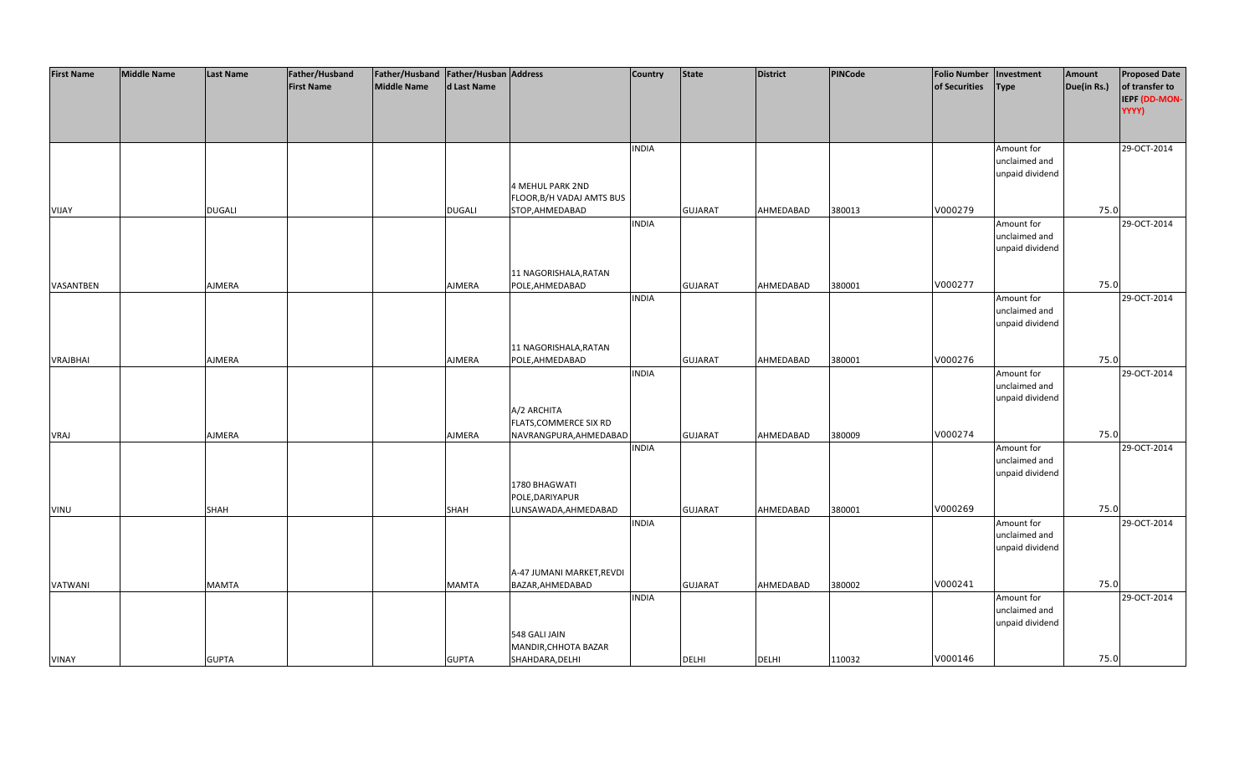| <b>First Name</b> | <b>Middle Name</b> | <b>Last Name</b> | Father/Husband    | Father/Husband Father/Husban Address |               |                           | <b>Country</b> | <b>State</b>   | <b>District</b> | PINCode | <b>Folio Number</b> | Investment      | Amount      | <b>Proposed Date</b> |
|-------------------|--------------------|------------------|-------------------|--------------------------------------|---------------|---------------------------|----------------|----------------|-----------------|---------|---------------------|-----------------|-------------|----------------------|
|                   |                    |                  | <b>First Name</b> | <b>Middle Name</b>                   | d Last Name   |                           |                |                |                 |         | of Securities       | <b>Type</b>     | Due(in Rs.) | of transfer to       |
|                   |                    |                  |                   |                                      |               |                           |                |                |                 |         |                     |                 |             | IEPF (DD-MON-        |
|                   |                    |                  |                   |                                      |               |                           |                |                |                 |         |                     |                 |             | YYYY)                |
|                   |                    |                  |                   |                                      |               |                           |                |                |                 |         |                     |                 |             |                      |
|                   |                    |                  |                   |                                      |               |                           |                |                |                 |         |                     |                 |             |                      |
|                   |                    |                  |                   |                                      |               |                           | <b>INDIA</b>   |                |                 |         |                     | Amount for      |             | 29-OCT-2014          |
|                   |                    |                  |                   |                                      |               |                           |                |                |                 |         |                     | unclaimed and   |             |                      |
|                   |                    |                  |                   |                                      |               |                           |                |                |                 |         |                     | unpaid dividend |             |                      |
|                   |                    |                  |                   |                                      |               | <b>4 MEHUL PARK 2ND</b>   |                |                |                 |         |                     |                 |             |                      |
|                   |                    |                  |                   |                                      |               | FLOOR, B/H VADAJ AMTS BUS |                |                |                 |         |                     |                 |             |                      |
| VIJAY             |                    | <b>DUGALI</b>    |                   |                                      | <b>DUGALI</b> | STOP, AHMEDABAD           |                | <b>GUJARAT</b> | AHMEDABAD       | 380013  | V000279             |                 | 75.0        |                      |
|                   |                    |                  |                   |                                      |               |                           | <b>INDIA</b>   |                |                 |         |                     | Amount for      |             | 29-OCT-2014          |
|                   |                    |                  |                   |                                      |               |                           |                |                |                 |         |                     | unclaimed and   |             |                      |
|                   |                    |                  |                   |                                      |               |                           |                |                |                 |         |                     | unpaid dividend |             |                      |
|                   |                    |                  |                   |                                      |               |                           |                |                |                 |         |                     |                 |             |                      |
|                   |                    |                  |                   |                                      |               | 11 NAGORISHALA, RATAN     |                |                |                 |         |                     |                 |             |                      |
| VASANTBEN         |                    | AJMERA           |                   |                                      | AJMERA        | POLE, AHMEDABAD           |                | <b>GUJARAT</b> | AHMEDABAD       | 380001  | V000277             |                 | 75.0        |                      |
|                   |                    |                  |                   |                                      |               |                           | <b>INDIA</b>   |                |                 |         |                     | Amount for      |             | 29-OCT-2014          |
|                   |                    |                  |                   |                                      |               |                           |                |                |                 |         |                     | unclaimed and   |             |                      |
|                   |                    |                  |                   |                                      |               |                           |                |                |                 |         |                     | unpaid dividend |             |                      |
|                   |                    |                  |                   |                                      |               |                           |                |                |                 |         |                     |                 |             |                      |
|                   |                    |                  |                   |                                      |               | 11 NAGORISHALA, RATAN     |                |                |                 |         |                     |                 |             |                      |
| <b>VRAJBHAI</b>   |                    | AJMERA           |                   |                                      | AJMERA        | POLE, AHMEDABAD           |                | <b>GUJARAT</b> | AHMEDABAD       | 380001  | V000276             |                 | 75.0        |                      |
|                   |                    |                  |                   |                                      |               |                           | <b>INDIA</b>   |                |                 |         |                     | Amount for      |             | 29-OCT-2014          |
|                   |                    |                  |                   |                                      |               |                           |                |                |                 |         |                     | unclaimed and   |             |                      |
|                   |                    |                  |                   |                                      |               |                           |                |                |                 |         |                     | unpaid dividend |             |                      |
|                   |                    |                  |                   |                                      |               | A/2 ARCHITA               |                |                |                 |         |                     |                 |             |                      |
|                   |                    |                  |                   |                                      |               | FLATS, COMMERCE SIX RD    |                |                |                 |         |                     |                 |             |                      |
| <b>VRAJ</b>       |                    | <b>AJMERA</b>    |                   |                                      | AJMERA        | NAVRANGPURA, AHMEDABAD    |                | <b>GUJARAT</b> | AHMEDABAD       | 380009  | V000274             |                 | 75.0        |                      |
|                   |                    |                  |                   |                                      |               |                           | <b>INDIA</b>   |                |                 |         |                     | Amount for      |             | 29-OCT-2014          |
|                   |                    |                  |                   |                                      |               |                           |                |                |                 |         |                     | unclaimed and   |             |                      |
|                   |                    |                  |                   |                                      |               |                           |                |                |                 |         |                     | unpaid dividend |             |                      |
|                   |                    |                  |                   |                                      |               | 1780 BHAGWATI             |                |                |                 |         |                     |                 |             |                      |
|                   |                    |                  |                   |                                      |               | POLE, DARIYAPUR           |                |                |                 |         |                     |                 |             |                      |
| <b>VINU</b>       |                    | <b>SHAH</b>      |                   |                                      | <b>SHAH</b>   | LUNSAWADA, AHMEDABAD      |                | <b>GUJARAT</b> | AHMEDABAD       | 380001  | V000269             |                 | 75.0        |                      |
|                   |                    |                  |                   |                                      |               |                           | <b>INDIA</b>   |                |                 |         |                     | Amount for      |             | 29-OCT-2014          |
|                   |                    |                  |                   |                                      |               |                           |                |                |                 |         |                     | unclaimed and   |             |                      |
|                   |                    |                  |                   |                                      |               |                           |                |                |                 |         |                     | unpaid dividend |             |                      |
|                   |                    |                  |                   |                                      |               |                           |                |                |                 |         |                     |                 |             |                      |
|                   |                    |                  |                   |                                      |               | A-47 JUMANI MARKET, REVDI |                |                |                 |         |                     |                 |             |                      |
| VATWANI           |                    | <b>MAMTA</b>     |                   |                                      | <b>MAMTA</b>  | BAZAR, AHMEDABAD          |                | <b>GUJARAT</b> | AHMEDABAD       | 380002  | V000241             |                 | 75.0        |                      |
|                   |                    |                  |                   |                                      |               |                           | <b>INDIA</b>   |                |                 |         |                     | Amount for      |             | 29-OCT-2014          |
|                   |                    |                  |                   |                                      |               |                           |                |                |                 |         |                     | unclaimed and   |             |                      |
|                   |                    |                  |                   |                                      |               |                           |                |                |                 |         |                     | unpaid dividend |             |                      |
|                   |                    |                  |                   |                                      |               | 548 GALI JAIN             |                |                |                 |         |                     |                 |             |                      |
|                   |                    |                  |                   |                                      |               | MANDIR, CHHOTA BAZAR      |                |                |                 |         |                     |                 |             |                      |
| <b>VINAY</b>      |                    | <b>GUPTA</b>     |                   |                                      | <b>GUPTA</b>  | SHAHDARA, DELHI           |                | <b>DELHI</b>   | <b>DELHI</b>    | 110032  | V000146             |                 | 75.0        |                      |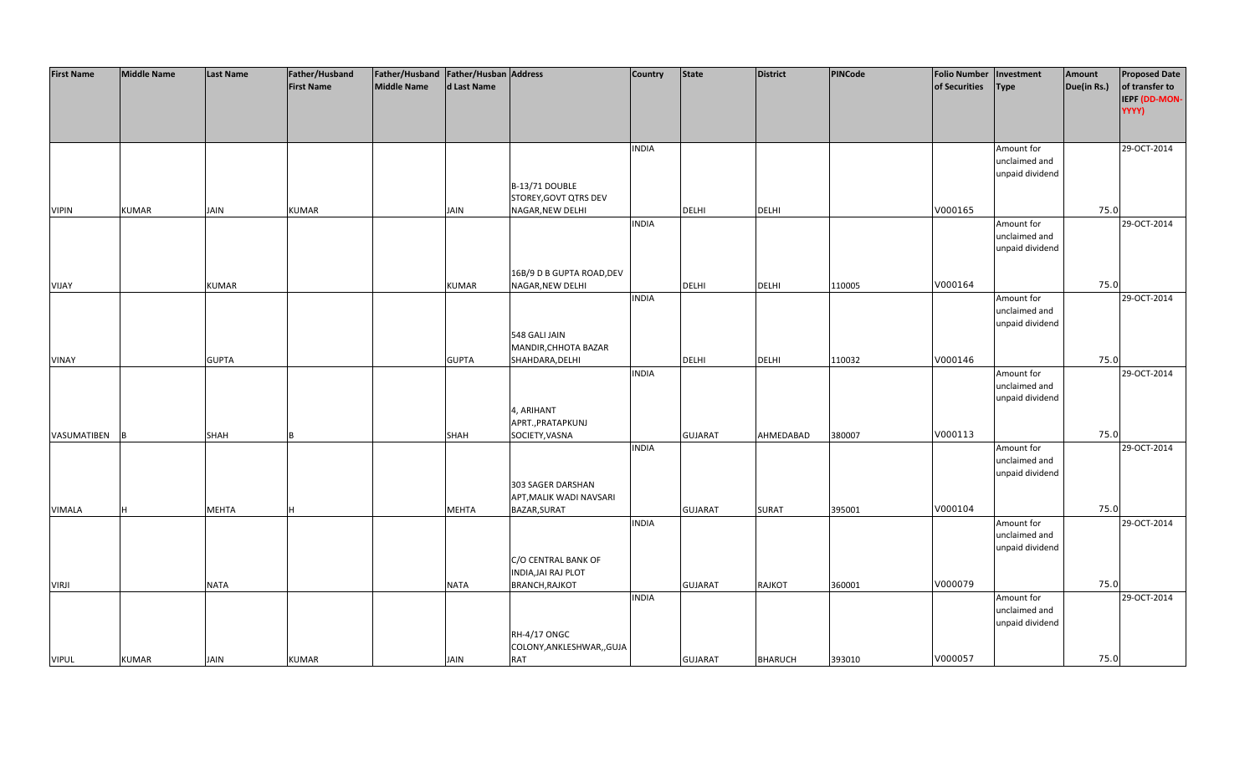| <b>First Name</b> | <b>Middle Name</b> | <b>Last Name</b> | Father/Husband    | Father/Husband   Father/Husban   Address |              |                            | <b>Country</b> | <b>State</b>   | <b>District</b> | PINCode | <b>Folio Number</b> | Investment      | Amount      | <b>Proposed Date</b> |
|-------------------|--------------------|------------------|-------------------|------------------------------------------|--------------|----------------------------|----------------|----------------|-----------------|---------|---------------------|-----------------|-------------|----------------------|
|                   |                    |                  | <b>First Name</b> | <b>Middle Name</b>                       | d Last Name  |                            |                |                |                 |         | of Securities       | <b>Type</b>     | Due(in Rs.) | of transfer to       |
|                   |                    |                  |                   |                                          |              |                            |                |                |                 |         |                     |                 |             | IEPF (DD-MON-        |
|                   |                    |                  |                   |                                          |              |                            |                |                |                 |         |                     |                 |             | YYYY)                |
|                   |                    |                  |                   |                                          |              |                            |                |                |                 |         |                     |                 |             |                      |
|                   |                    |                  |                   |                                          |              |                            |                |                |                 |         |                     |                 |             |                      |
|                   |                    |                  |                   |                                          |              |                            |                |                |                 |         |                     |                 |             |                      |
|                   |                    |                  |                   |                                          |              |                            | <b>INDIA</b>   |                |                 |         |                     | Amount for      |             | 29-OCT-2014          |
|                   |                    |                  |                   |                                          |              |                            |                |                |                 |         |                     | unclaimed and   |             |                      |
|                   |                    |                  |                   |                                          |              |                            |                |                |                 |         |                     | unpaid dividend |             |                      |
|                   |                    |                  |                   |                                          |              | B-13/71 DOUBLE             |                |                |                 |         |                     |                 |             |                      |
|                   |                    |                  |                   |                                          |              | STOREY, GOVT QTRS DEV      |                |                |                 |         |                     |                 |             |                      |
| <b>VIPIN</b>      | <b>KUMAR</b>       | JAIN             | <b>KUMAR</b>      |                                          | <b>JAIN</b>  | NAGAR, NEW DELHI           |                | <b>DELHI</b>   | <b>DELHI</b>    |         | V000165             |                 | 75.0        |                      |
|                   |                    |                  |                   |                                          |              |                            | <b>INDIA</b>   |                |                 |         |                     | Amount for      |             | 29-OCT-2014          |
|                   |                    |                  |                   |                                          |              |                            |                |                |                 |         |                     | unclaimed and   |             |                      |
|                   |                    |                  |                   |                                          |              |                            |                |                |                 |         |                     | unpaid dividend |             |                      |
|                   |                    |                  |                   |                                          |              |                            |                |                |                 |         |                     |                 |             |                      |
|                   |                    |                  |                   |                                          |              | 16B/9 D B GUPTA ROAD, DEV  |                |                |                 |         |                     |                 |             |                      |
| <b>VIJAY</b>      |                    | <b>KUMAR</b>     |                   |                                          | <b>KUMAR</b> | NAGAR, NEW DELHI           |                | <b>DELHI</b>   | <b>DELHI</b>    | 110005  | V000164             |                 | 75.0        |                      |
|                   |                    |                  |                   |                                          |              |                            | <b>INDIA</b>   |                |                 |         |                     | Amount for      |             | 29-OCT-2014          |
|                   |                    |                  |                   |                                          |              |                            |                |                |                 |         |                     | unclaimed and   |             |                      |
|                   |                    |                  |                   |                                          |              |                            |                |                |                 |         |                     | unpaid dividend |             |                      |
|                   |                    |                  |                   |                                          |              |                            |                |                |                 |         |                     |                 |             |                      |
|                   |                    |                  |                   |                                          |              | 548 GALI JAIN              |                |                |                 |         |                     |                 |             |                      |
|                   |                    |                  |                   |                                          |              | MANDIR, CHHOTA BAZAR       |                |                |                 |         |                     |                 |             |                      |
| <b>VINAY</b>      |                    | <b>GUPTA</b>     |                   |                                          | <b>GUPTA</b> | SHAHDARA, DELHI            |                | DELHI          | <b>DELHI</b>    | 110032  | V000146             |                 | 75.0        |                      |
|                   |                    |                  |                   |                                          |              |                            | <b>INDIA</b>   |                |                 |         |                     | Amount for      |             | 29-OCT-2014          |
|                   |                    |                  |                   |                                          |              |                            |                |                |                 |         |                     | unclaimed and   |             |                      |
|                   |                    |                  |                   |                                          |              |                            |                |                |                 |         |                     | unpaid dividend |             |                      |
|                   |                    |                  |                   |                                          |              | 4, ARIHANT                 |                |                |                 |         |                     |                 |             |                      |
|                   |                    |                  |                   |                                          |              | APRT., PRATAPKUNJ          |                |                |                 |         |                     |                 |             |                      |
| VASUMATIBEN       |                    | <b>SHAH</b>      |                   |                                          | <b>SHAH</b>  | SOCIETY, VASNA             |                | <b>GUJARAT</b> | AHMEDABAD       | 380007  | V000113             |                 | 75.0        |                      |
|                   |                    |                  |                   |                                          |              |                            | <b>INDIA</b>   |                |                 |         |                     | Amount for      |             | 29-OCT-2014          |
|                   |                    |                  |                   |                                          |              |                            |                |                |                 |         |                     | unclaimed and   |             |                      |
|                   |                    |                  |                   |                                          |              |                            |                |                |                 |         |                     | unpaid dividend |             |                      |
|                   |                    |                  |                   |                                          |              | 303 SAGER DARSHAN          |                |                |                 |         |                     |                 |             |                      |
|                   |                    |                  |                   |                                          |              | APT, MALIK WADI NAVSARI    |                |                |                 |         |                     |                 |             |                      |
| <b>VIMALA</b>     | н                  | <b>MEHTA</b>     |                   |                                          | <b>MEHTA</b> | BAZAR, SURAT               |                | <b>GUJARAT</b> | <b>SURAT</b>    | 395001  | V000104             |                 | 75.0        |                      |
|                   |                    |                  |                   |                                          |              |                            | <b>INDIA</b>   |                |                 |         |                     | Amount for      |             | 29-OCT-2014          |
|                   |                    |                  |                   |                                          |              |                            |                |                |                 |         |                     | unclaimed and   |             |                      |
|                   |                    |                  |                   |                                          |              |                            |                |                |                 |         |                     | unpaid dividend |             |                      |
|                   |                    |                  |                   |                                          |              | C/O CENTRAL BANK OF        |                |                |                 |         |                     |                 |             |                      |
|                   |                    |                  |                   |                                          |              | INDIA, JAI RAJ PLOT        |                |                |                 |         |                     |                 |             |                      |
|                   |                    | <b>NATA</b>      |                   |                                          |              |                            |                | <b>GUJARAT</b> | RAJKOT          | 360001  | V000079             |                 | 75.0        |                      |
| <b>VIRJI</b>      |                    |                  |                   |                                          | <b>NATA</b>  | <b>BRANCH, RAJKOT</b>      |                |                |                 |         |                     |                 |             |                      |
|                   |                    |                  |                   |                                          |              |                            | <b>INDIA</b>   |                |                 |         |                     | Amount for      |             | 29-OCT-2014          |
|                   |                    |                  |                   |                                          |              |                            |                |                |                 |         |                     | unclaimed and   |             |                      |
|                   |                    |                  |                   |                                          |              |                            |                |                |                 |         |                     | unpaid dividend |             |                      |
|                   |                    |                  |                   |                                          |              | <b>RH-4/17 ONGC</b>        |                |                |                 |         |                     |                 |             |                      |
|                   |                    |                  |                   |                                          |              | COLONY, ANKLESHWAR, , GUJA |                |                |                 |         |                     |                 |             |                      |
| <b>VIPUL</b>      | <b>KUMAR</b>       | <b>JAIN</b>      | <b>KUMAR</b>      |                                          | <b>JAIN</b>  | <b>RAT</b>                 |                | <b>GUJARAT</b> | <b>BHARUCH</b>  | 393010  | V000057             |                 | 75.0        |                      |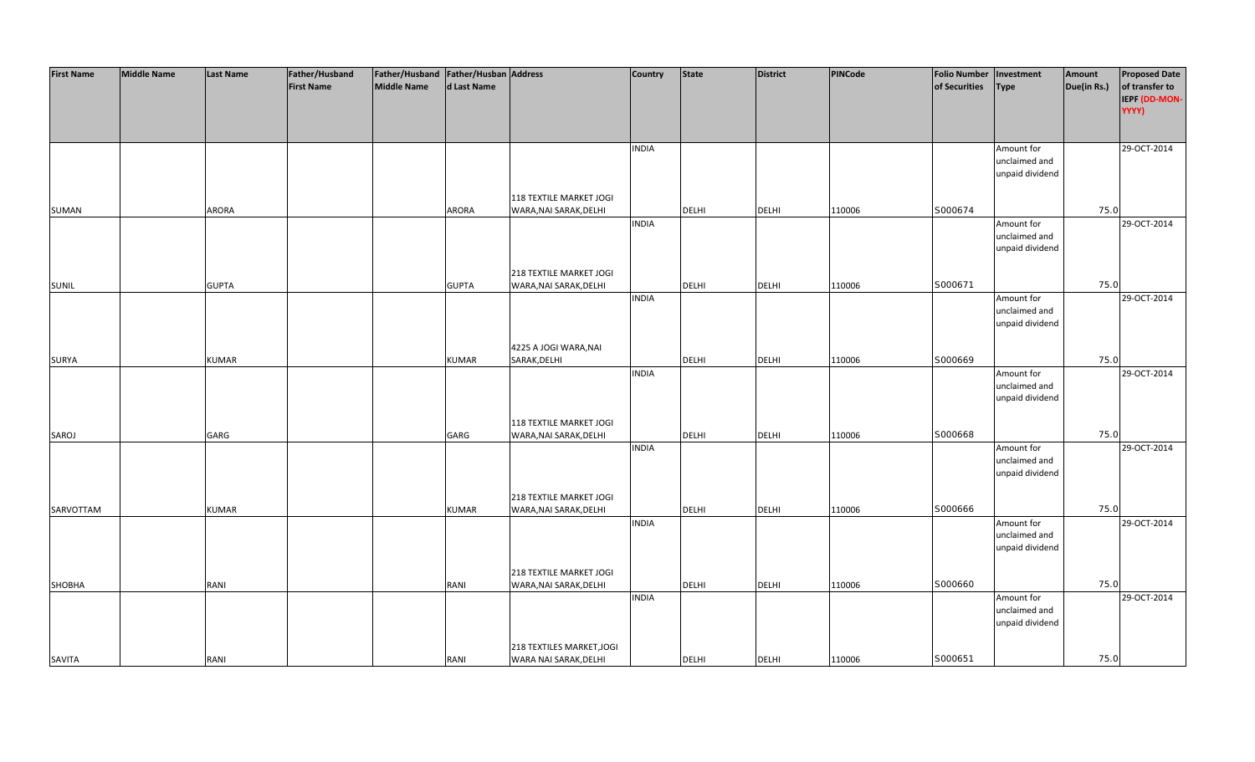| <b>First Name</b> | <b>Middle Name</b> | <b>Last Name</b> | Father/Husband    | Father/Husband   Father/Husban   Address |              |                           | <b>Country</b> | <b>State</b> | <b>District</b> | PINCode | <b>Folio Number</b> | Investment      | Amount      | <b>Proposed Date</b> |
|-------------------|--------------------|------------------|-------------------|------------------------------------------|--------------|---------------------------|----------------|--------------|-----------------|---------|---------------------|-----------------|-------------|----------------------|
|                   |                    |                  | <b>First Name</b> | <b>Middle Name</b>                       | d Last Name  |                           |                |              |                 |         | of Securities       | <b>Type</b>     | Due(in Rs.) | of transfer to       |
|                   |                    |                  |                   |                                          |              |                           |                |              |                 |         |                     |                 |             | IEPF (DD-MON-        |
|                   |                    |                  |                   |                                          |              |                           |                |              |                 |         |                     |                 |             | YYYY)                |
|                   |                    |                  |                   |                                          |              |                           |                |              |                 |         |                     |                 |             |                      |
|                   |                    |                  |                   |                                          |              |                           |                |              |                 |         |                     |                 |             |                      |
|                   |                    |                  |                   |                                          |              |                           | <b>INDIA</b>   |              |                 |         |                     | Amount for      |             | 29-OCT-2014          |
|                   |                    |                  |                   |                                          |              |                           |                |              |                 |         |                     | unclaimed and   |             |                      |
|                   |                    |                  |                   |                                          |              |                           |                |              |                 |         |                     | unpaid dividend |             |                      |
|                   |                    |                  |                   |                                          |              |                           |                |              |                 |         |                     |                 |             |                      |
|                   |                    |                  |                   |                                          |              | 118 TEXTILE MARKET JOGI   |                |              |                 |         |                     |                 |             |                      |
|                   |                    |                  |                   |                                          |              |                           |                |              |                 |         | S000674             |                 | 75.0        |                      |
| SUMAN             |                    | ARORA            |                   |                                          | <b>ARORA</b> | WARA, NAI SARAK, DELHI    |                | <b>DELHI</b> | <b>DELHI</b>    | 110006  |                     |                 |             |                      |
|                   |                    |                  |                   |                                          |              |                           | <b>INDIA</b>   |              |                 |         |                     | Amount for      |             | 29-OCT-2014          |
|                   |                    |                  |                   |                                          |              |                           |                |              |                 |         |                     | unclaimed and   |             |                      |
|                   |                    |                  |                   |                                          |              |                           |                |              |                 |         |                     | unpaid dividend |             |                      |
|                   |                    |                  |                   |                                          |              |                           |                |              |                 |         |                     |                 |             |                      |
|                   |                    |                  |                   |                                          |              | 218 TEXTILE MARKET JOGI   |                |              |                 |         |                     |                 |             |                      |
| SUNIL             |                    | <b>GUPTA</b>     |                   |                                          | <b>GUPTA</b> | WARA, NAI SARAK, DELHI    |                | <b>DELHI</b> | <b>DELHI</b>    | 110006  | S000671             |                 | 75.0        |                      |
|                   |                    |                  |                   |                                          |              |                           | <b>INDIA</b>   |              |                 |         |                     | Amount for      |             | 29-OCT-2014          |
|                   |                    |                  |                   |                                          |              |                           |                |              |                 |         |                     | unclaimed and   |             |                      |
|                   |                    |                  |                   |                                          |              |                           |                |              |                 |         |                     | unpaid dividend |             |                      |
|                   |                    |                  |                   |                                          |              |                           |                |              |                 |         |                     |                 |             |                      |
|                   |                    |                  |                   |                                          |              | 4225 A JOGI WARA, NAI     |                |              |                 |         |                     |                 |             |                      |
| <b>SURYA</b>      |                    | <b>KUMAR</b>     |                   |                                          | <b>KUMAR</b> | SARAK, DELHI              |                | <b>DELHI</b> | <b>DELHI</b>    | 110006  | S000669             |                 | 75.0        |                      |
|                   |                    |                  |                   |                                          |              |                           | <b>INDIA</b>   |              |                 |         |                     | Amount for      |             | 29-OCT-2014          |
|                   |                    |                  |                   |                                          |              |                           |                |              |                 |         |                     | unclaimed and   |             |                      |
|                   |                    |                  |                   |                                          |              |                           |                |              |                 |         |                     | unpaid dividend |             |                      |
|                   |                    |                  |                   |                                          |              |                           |                |              |                 |         |                     |                 |             |                      |
|                   |                    |                  |                   |                                          |              | 118 TEXTILE MARKET JOGI   |                |              |                 |         |                     |                 |             |                      |
| SAROJ             |                    | GARG             |                   |                                          | GARG         | WARA, NAI SARAK, DELHI    |                | <b>DELHI</b> | <b>DELHI</b>    | 110006  | S000668             |                 | 75.0        |                      |
|                   |                    |                  |                   |                                          |              |                           | <b>INDIA</b>   |              |                 |         |                     | Amount for      |             | 29-OCT-2014          |
|                   |                    |                  |                   |                                          |              |                           |                |              |                 |         |                     | unclaimed and   |             |                      |
|                   |                    |                  |                   |                                          |              |                           |                |              |                 |         |                     | unpaid dividend |             |                      |
|                   |                    |                  |                   |                                          |              |                           |                |              |                 |         |                     |                 |             |                      |
|                   |                    |                  |                   |                                          |              | 218 TEXTILE MARKET JOGI   |                |              |                 |         |                     |                 |             |                      |
| SARVOTTAM         |                    | <b>KUMAR</b>     |                   |                                          | <b>KUMAR</b> | WARA, NAI SARAK, DELHI    |                | DELHI        | <b>DELHI</b>    | 110006  | S000666             |                 | 75.0        |                      |
|                   |                    |                  |                   |                                          |              |                           | <b>INDIA</b>   |              |                 |         |                     | Amount for      |             | 29-OCT-2014          |
|                   |                    |                  |                   |                                          |              |                           |                |              |                 |         |                     | unclaimed and   |             |                      |
|                   |                    |                  |                   |                                          |              |                           |                |              |                 |         |                     | unpaid dividend |             |                      |
|                   |                    |                  |                   |                                          |              |                           |                |              |                 |         |                     |                 |             |                      |
|                   |                    |                  |                   |                                          |              | 218 TEXTILE MARKET JOGI   |                |              |                 |         |                     |                 |             |                      |
| SHOBHA            |                    | RANI             |                   |                                          | RANI         | WARA, NAI SARAK, DELHI    |                | DELHI        | <b>DELHI</b>    | 110006  | S000660             |                 | 75.0        |                      |
|                   |                    |                  |                   |                                          |              |                           | <b>INDIA</b>   |              |                 |         |                     | Amount for      |             | 29-OCT-2014          |
|                   |                    |                  |                   |                                          |              |                           |                |              |                 |         |                     | unclaimed and   |             |                      |
|                   |                    |                  |                   |                                          |              |                           |                |              |                 |         |                     | unpaid dividend |             |                      |
|                   |                    |                  |                   |                                          |              |                           |                |              |                 |         |                     |                 |             |                      |
|                   |                    |                  |                   |                                          |              | 218 TEXTILES MARKET, JOGI |                |              |                 |         |                     |                 |             |                      |
| <b>SAVITA</b>     |                    | RANI             |                   |                                          | RANI         | WARA NAI SARAK, DELHI     |                | <b>DELHI</b> | <b>DELHI</b>    | 110006  | S000651             |                 | 75.0        |                      |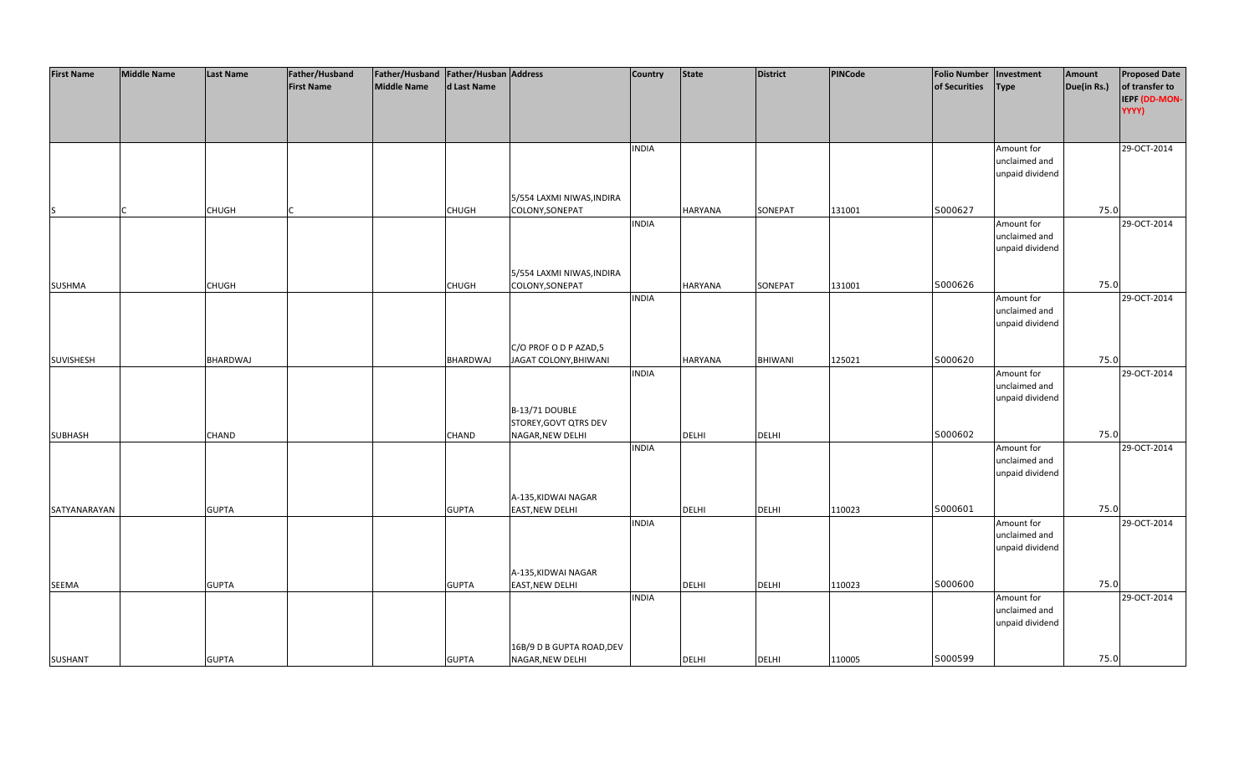| <b>First Name</b> | <b>Middle Name</b> | <b>Last Name</b> | Father/Husband    | Father/Husband   Father/Husban   Address |                 |                           | Country      | <b>State</b>   | <b>District</b> | PINCode | <b>Folio Number</b> | Investment      | Amount      | <b>Proposed Date</b> |
|-------------------|--------------------|------------------|-------------------|------------------------------------------|-----------------|---------------------------|--------------|----------------|-----------------|---------|---------------------|-----------------|-------------|----------------------|
|                   |                    |                  | <b>First Name</b> | <b>Middle Name</b>                       | d Last Name     |                           |              |                |                 |         | of Securities       | Type            | Due(in Rs.) | of transfer to       |
|                   |                    |                  |                   |                                          |                 |                           |              |                |                 |         |                     |                 |             | IEPF (DD-MON-        |
|                   |                    |                  |                   |                                          |                 |                           |              |                |                 |         |                     |                 |             | YYYY)                |
|                   |                    |                  |                   |                                          |                 |                           |              |                |                 |         |                     |                 |             |                      |
|                   |                    |                  |                   |                                          |                 |                           |              |                |                 |         |                     |                 |             |                      |
|                   |                    |                  |                   |                                          |                 |                           | <b>INDIA</b> |                |                 |         |                     | Amount for      |             | 29-OCT-2014          |
|                   |                    |                  |                   |                                          |                 |                           |              |                |                 |         |                     | unclaimed and   |             |                      |
|                   |                    |                  |                   |                                          |                 |                           |              |                |                 |         |                     | unpaid dividend |             |                      |
|                   |                    |                  |                   |                                          |                 |                           |              |                |                 |         |                     |                 |             |                      |
|                   |                    |                  |                   |                                          |                 | 5/554 LAXMI NIWAS, INDIRA |              |                |                 |         |                     |                 |             |                      |
| lS.               |                    | <b>CHUGH</b>     |                   |                                          | <b>CHUGH</b>    | COLONY, SONEPAT           |              | <b>HARYANA</b> | SONEPAT         | 131001  | S000627             |                 | 75.0        |                      |
|                   |                    |                  |                   |                                          |                 |                           | <b>INDIA</b> |                |                 |         |                     | Amount for      |             | 29-OCT-2014          |
|                   |                    |                  |                   |                                          |                 |                           |              |                |                 |         |                     | unclaimed and   |             |                      |
|                   |                    |                  |                   |                                          |                 |                           |              |                |                 |         |                     | unpaid dividend |             |                      |
|                   |                    |                  |                   |                                          |                 |                           |              |                |                 |         |                     |                 |             |                      |
|                   |                    |                  |                   |                                          |                 | 5/554 LAXMI NIWAS, INDIRA |              |                |                 |         |                     |                 |             |                      |
| SUSHMA            |                    | <b>CHUGH</b>     |                   |                                          | <b>CHUGH</b>    | COLONY, SONEPAT           |              | <b>HARYANA</b> | SONEPAT         | 131001  | S000626             |                 | 75.0        |                      |
|                   |                    |                  |                   |                                          |                 |                           | <b>INDIA</b> |                |                 |         |                     | Amount for      |             | 29-OCT-2014          |
|                   |                    |                  |                   |                                          |                 |                           |              |                |                 |         |                     | unclaimed and   |             |                      |
|                   |                    |                  |                   |                                          |                 |                           |              |                |                 |         |                     | unpaid dividend |             |                      |
|                   |                    |                  |                   |                                          |                 |                           |              |                |                 |         |                     |                 |             |                      |
|                   |                    |                  |                   |                                          |                 | C/O PROF O D P AZAD,5     |              |                |                 |         |                     |                 |             |                      |
| SUVISHESH         |                    | <b>BHARDWAJ</b>  |                   |                                          | <b>BHARDWAJ</b> | JAGAT COLONY, BHIWANI     |              | <b>HARYANA</b> | BHIWANI         | 125021  | S000620             |                 | 75.0        |                      |
|                   |                    |                  |                   |                                          |                 |                           | <b>INDIA</b> |                |                 |         |                     | Amount for      |             | 29-OCT-2014          |
|                   |                    |                  |                   |                                          |                 |                           |              |                |                 |         |                     | unclaimed and   |             |                      |
|                   |                    |                  |                   |                                          |                 |                           |              |                |                 |         |                     | unpaid dividend |             |                      |
|                   |                    |                  |                   |                                          |                 | B-13/71 DOUBLE            |              |                |                 |         |                     |                 |             |                      |
|                   |                    |                  |                   |                                          |                 | STOREY, GOVT QTRS DEV     |              |                |                 |         |                     |                 |             |                      |
| SUBHASH           |                    | <b>CHAND</b>     |                   |                                          | <b>CHAND</b>    | NAGAR, NEW DELHI          |              | <b>DELHI</b>   | <b>DELHI</b>    |         | S000602             |                 | 75.0        |                      |
|                   |                    |                  |                   |                                          |                 |                           | <b>INDIA</b> |                |                 |         |                     | Amount for      |             | 29-OCT-2014          |
|                   |                    |                  |                   |                                          |                 |                           |              |                |                 |         |                     | unclaimed and   |             |                      |
|                   |                    |                  |                   |                                          |                 |                           |              |                |                 |         |                     | unpaid dividend |             |                      |
|                   |                    |                  |                   |                                          |                 |                           |              |                |                 |         |                     |                 |             |                      |
|                   |                    |                  |                   |                                          |                 | A-135, KIDWAI NAGAR       |              |                |                 |         |                     |                 |             |                      |
| SATYANARAYAN      |                    | <b>GUPTA</b>     |                   |                                          | <b>GUPTA</b>    | EAST, NEW DELHI           |              | <b>DELHI</b>   | <b>DELHI</b>    | 110023  | S000601             |                 | 75.0        |                      |
|                   |                    |                  |                   |                                          |                 |                           | <b>INDIA</b> |                |                 |         |                     | Amount for      |             | 29-OCT-2014          |
|                   |                    |                  |                   |                                          |                 |                           |              |                |                 |         |                     | unclaimed and   |             |                      |
|                   |                    |                  |                   |                                          |                 |                           |              |                |                 |         |                     | unpaid dividend |             |                      |
|                   |                    |                  |                   |                                          |                 |                           |              |                |                 |         |                     |                 |             |                      |
|                   |                    |                  |                   |                                          |                 | A-135, KIDWAI NAGAR       |              |                |                 |         |                     |                 |             |                      |
| SEEMA             |                    | <b>GUPTA</b>     |                   |                                          | <b>GUPTA</b>    | <b>EAST, NEW DELHI</b>    |              | <b>DELHI</b>   | <b>DELHI</b>    | 110023  | S000600             |                 | 75.0        |                      |
|                   |                    |                  |                   |                                          |                 |                           | <b>INDIA</b> |                |                 |         |                     | Amount for      |             | 29-OCT-2014          |
|                   |                    |                  |                   |                                          |                 |                           |              |                |                 |         |                     | unclaimed and   |             |                      |
|                   |                    |                  |                   |                                          |                 |                           |              |                |                 |         |                     | unpaid dividend |             |                      |
|                   |                    |                  |                   |                                          |                 |                           |              |                |                 |         |                     |                 |             |                      |
|                   |                    |                  |                   |                                          |                 | 16B/9 D B GUPTA ROAD, DEV |              |                |                 |         |                     |                 |             |                      |
| <b>SUSHANT</b>    |                    | <b>GUPTA</b>     |                   |                                          | <b>GUPTA</b>    | NAGAR, NEW DELHI          |              | <b>DELHI</b>   | <b>DELHI</b>    | 110005  | S000599             |                 | 75.0        |                      |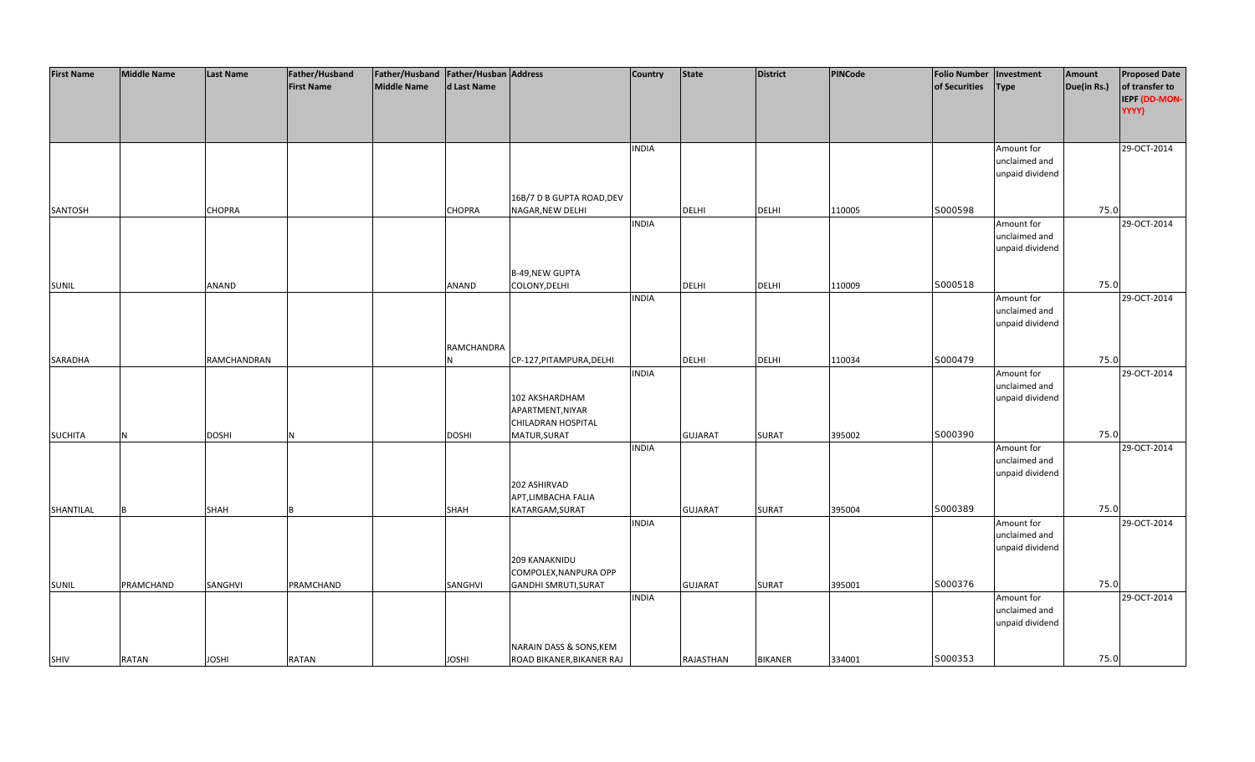| <b>First Name</b> | <b>Middle Name</b> | <b>Last Name</b> | Father/Husband    | Father/Husband Father/Husban Address |               |                             | <b>Country</b> | <b>State</b>   | <b>District</b> | PINCode | <b>Folio Number</b> | Investment      | Amount      | <b>Proposed Date</b> |
|-------------------|--------------------|------------------|-------------------|--------------------------------------|---------------|-----------------------------|----------------|----------------|-----------------|---------|---------------------|-----------------|-------------|----------------------|
|                   |                    |                  | <b>First Name</b> | <b>Middle Name</b>                   | d Last Name   |                             |                |                |                 |         | of Securities       | <b>Type</b>     | Due(in Rs.) | of transfer to       |
|                   |                    |                  |                   |                                      |               |                             |                |                |                 |         |                     |                 |             | IEPF (DD-MON-        |
|                   |                    |                  |                   |                                      |               |                             |                |                |                 |         |                     |                 |             | YYYY)                |
|                   |                    |                  |                   |                                      |               |                             |                |                |                 |         |                     |                 |             |                      |
|                   |                    |                  |                   |                                      |               |                             |                |                |                 |         |                     |                 |             |                      |
|                   |                    |                  |                   |                                      |               |                             | <b>INDIA</b>   |                |                 |         |                     | Amount for      |             | 29-OCT-2014          |
|                   |                    |                  |                   |                                      |               |                             |                |                |                 |         |                     | unclaimed and   |             |                      |
|                   |                    |                  |                   |                                      |               |                             |                |                |                 |         |                     | unpaid dividend |             |                      |
|                   |                    |                  |                   |                                      |               |                             |                |                |                 |         |                     |                 |             |                      |
|                   |                    |                  |                   |                                      |               | 16B/7 D B GUPTA ROAD, DEV   |                |                |                 |         |                     |                 |             |                      |
| SANTOSH           |                    | <b>CHOPRA</b>    |                   |                                      | <b>CHOPRA</b> | NAGAR, NEW DELHI            |                | <b>DELHI</b>   | <b>DELHI</b>    | 110005  | S000598             |                 | 75.0        |                      |
|                   |                    |                  |                   |                                      |               |                             | <b>INDIA</b>   |                |                 |         |                     | Amount for      |             | 29-OCT-2014          |
|                   |                    |                  |                   |                                      |               |                             |                |                |                 |         |                     | unclaimed and   |             |                      |
|                   |                    |                  |                   |                                      |               |                             |                |                |                 |         |                     | unpaid dividend |             |                      |
|                   |                    |                  |                   |                                      |               |                             |                |                |                 |         |                     |                 |             |                      |
|                   |                    |                  |                   |                                      |               | <b>B-49, NEW GUPTA</b>      |                |                |                 |         |                     |                 |             |                      |
| <b>SUNIL</b>      |                    | ANAND            |                   |                                      | ANAND         | COLONY, DELHI               |                | <b>DELHI</b>   | <b>DELHI</b>    | 110009  | S000518             |                 | 75.0        |                      |
|                   |                    |                  |                   |                                      |               |                             | <b>INDIA</b>   |                |                 |         |                     | Amount for      |             | 29-OCT-2014          |
|                   |                    |                  |                   |                                      |               |                             |                |                |                 |         |                     | unclaimed and   |             |                      |
|                   |                    |                  |                   |                                      |               |                             |                |                |                 |         |                     | unpaid dividend |             |                      |
|                   |                    |                  |                   |                                      |               |                             |                |                |                 |         |                     |                 |             |                      |
|                   |                    |                  |                   |                                      | RAMCHANDRA    |                             |                |                |                 |         |                     |                 |             |                      |
| SARADHA           |                    | RAMCHANDRAN      |                   |                                      |               | CP-127, PITAMPURA, DELHI    |                | <b>DELHI</b>   | <b>DELHI</b>    | 110034  | S000479             |                 | 75.0        |                      |
|                   |                    |                  |                   |                                      |               |                             | <b>INDIA</b>   |                |                 |         |                     | Amount for      |             | 29-OCT-2014          |
|                   |                    |                  |                   |                                      |               |                             |                |                |                 |         |                     | unclaimed and   |             |                      |
|                   |                    |                  |                   |                                      |               | 102 AKSHARDHAM              |                |                |                 |         |                     | unpaid dividend |             |                      |
|                   |                    |                  |                   |                                      |               | APARTMENT, NIYAR            |                |                |                 |         |                     |                 |             |                      |
|                   |                    |                  |                   |                                      |               | CHILADRAN HOSPITAL          |                |                |                 |         |                     |                 |             |                      |
| <b>SUCHITA</b>    | N                  | <b>DOSHI</b>     | N                 |                                      | <b>DOSHI</b>  | MATUR, SURAT                |                | <b>GUJARAT</b> | SURAT           | 395002  | S000390             |                 | 75.0        |                      |
|                   |                    |                  |                   |                                      |               |                             | <b>INDIA</b>   |                |                 |         |                     | Amount for      |             | 29-OCT-2014          |
|                   |                    |                  |                   |                                      |               |                             |                |                |                 |         |                     | unclaimed and   |             |                      |
|                   |                    |                  |                   |                                      |               |                             |                |                |                 |         |                     | unpaid dividend |             |                      |
|                   |                    |                  |                   |                                      |               | 202 ASHIRVAD                |                |                |                 |         |                     |                 |             |                      |
|                   |                    |                  |                   |                                      |               | APT, LIMBACHA FALIA         |                |                |                 |         |                     |                 |             |                      |
| SHANTILAL         | B                  | <b>SHAH</b>      |                   |                                      | <b>SHAH</b>   | KATARGAM, SURAT             |                | <b>GUJARAT</b> | <b>SURAT</b>    | 395004  | S000389             |                 | 75.0        |                      |
|                   |                    |                  |                   |                                      |               |                             | <b>INDIA</b>   |                |                 |         |                     | Amount for      |             | 29-OCT-2014          |
|                   |                    |                  |                   |                                      |               |                             |                |                |                 |         |                     | unclaimed and   |             |                      |
|                   |                    |                  |                   |                                      |               |                             |                |                |                 |         |                     | unpaid dividend |             |                      |
|                   |                    |                  |                   |                                      |               | 209 KANAKNIDU               |                |                |                 |         |                     |                 |             |                      |
|                   |                    |                  |                   |                                      |               | COMPOLEX, NANPURA OPP       |                |                |                 |         |                     |                 |             |                      |
| <b>SUNIL</b>      | PRAMCHAND          | SANGHVI          | PRAMCHAND         |                                      | SANGHVI       | <b>GANDHI SMRUTI, SURAT</b> |                | <b>GUJARAT</b> | <b>SURAT</b>    | 395001  | S000376             |                 | 75.0        |                      |
|                   |                    |                  |                   |                                      |               |                             | <b>INDIA</b>   |                |                 |         |                     | Amount for      |             | 29-OCT-2014          |
|                   |                    |                  |                   |                                      |               |                             |                |                |                 |         |                     | unclaimed and   |             |                      |
|                   |                    |                  |                   |                                      |               |                             |                |                |                 |         |                     | unpaid dividend |             |                      |
|                   |                    |                  |                   |                                      |               |                             |                |                |                 |         |                     |                 |             |                      |
|                   | <b>RATAN</b>       |                  |                   |                                      |               | NARAIN DASS & SONS, KEM     |                | RAJASTHAN      | <b>BIKANER</b>  |         | S000353             |                 | 75.0        |                      |
| SHIV              |                    | <b>JOSHI</b>     | <b>RATAN</b>      |                                      | <b>JOSHI</b>  | ROAD BIKANER, BIKANER RAJ   |                |                |                 | 334001  |                     |                 |             |                      |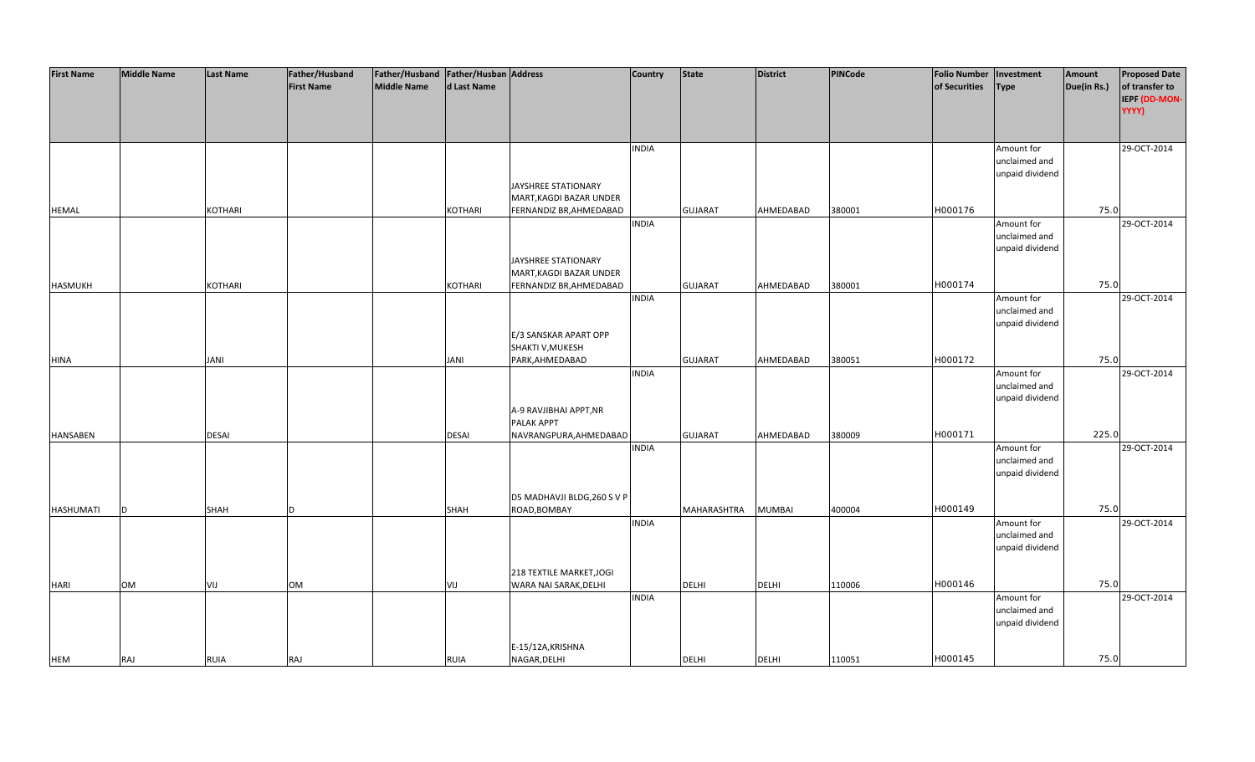| <b>First Name</b> | <b>Middle Name</b> | <b>Last Name</b> | Father/Husband    | Father/Husband Father/Husban Address |                |                             | <b>Country</b> | <b>State</b>   | <b>District</b> | PINCode | <b>Folio Number</b> | Investment      | Amount      | <b>Proposed Date</b> |
|-------------------|--------------------|------------------|-------------------|--------------------------------------|----------------|-----------------------------|----------------|----------------|-----------------|---------|---------------------|-----------------|-------------|----------------------|
|                   |                    |                  | <b>First Name</b> | <b>Middle Name</b>                   | d Last Name    |                             |                |                |                 |         | of Securities       | <b>Type</b>     | Due(in Rs.) | of transfer to       |
|                   |                    |                  |                   |                                      |                |                             |                |                |                 |         |                     |                 |             | IEPF (DD-MON-        |
|                   |                    |                  |                   |                                      |                |                             |                |                |                 |         |                     |                 |             | YYYY)                |
|                   |                    |                  |                   |                                      |                |                             |                |                |                 |         |                     |                 |             |                      |
|                   |                    |                  |                   |                                      |                |                             |                |                |                 |         |                     |                 |             |                      |
|                   |                    |                  |                   |                                      |                |                             | <b>INDIA</b>   |                |                 |         |                     | Amount for      |             | 29-OCT-2014          |
|                   |                    |                  |                   |                                      |                |                             |                |                |                 |         |                     | unclaimed and   |             |                      |
|                   |                    |                  |                   |                                      |                |                             |                |                |                 |         |                     | unpaid dividend |             |                      |
|                   |                    |                  |                   |                                      |                | JAYSHREE STATIONARY         |                |                |                 |         |                     |                 |             |                      |
|                   |                    |                  |                   |                                      |                | MART, KAGDI BAZAR UNDER     |                |                |                 |         |                     |                 |             |                      |
| <b>HEMAL</b>      |                    | <b>KOTHARI</b>   |                   |                                      | <b>KOTHARI</b> | FERNANDIZ BR, AHMEDABAD     |                | <b>GUJARAT</b> | AHMEDABAD       | 380001  | H000176             |                 | 75.0        |                      |
|                   |                    |                  |                   |                                      |                |                             | <b>INDIA</b>   |                |                 |         |                     | Amount for      |             | 29-OCT-2014          |
|                   |                    |                  |                   |                                      |                |                             |                |                |                 |         |                     | unclaimed and   |             |                      |
|                   |                    |                  |                   |                                      |                |                             |                |                |                 |         |                     | unpaid dividend |             |                      |
|                   |                    |                  |                   |                                      |                | JAYSHREE STATIONARY         |                |                |                 |         |                     |                 |             |                      |
|                   |                    |                  |                   |                                      |                | MART, KAGDI BAZAR UNDER     |                |                |                 |         |                     |                 |             |                      |
| <b>HASMUKH</b>    |                    | KOTHARI          |                   |                                      | <b>KOTHARI</b> | FERNANDIZ BR, AHMEDABAD     |                | <b>GUJARAT</b> | AHMEDABAD       | 380001  | H000174             |                 | 75.0        |                      |
|                   |                    |                  |                   |                                      |                |                             | <b>INDIA</b>   |                |                 |         |                     | Amount for      |             | 29-OCT-2014          |
|                   |                    |                  |                   |                                      |                |                             |                |                |                 |         |                     | unclaimed and   |             |                      |
|                   |                    |                  |                   |                                      |                |                             |                |                |                 |         |                     | unpaid dividend |             |                      |
|                   |                    |                  |                   |                                      |                | E/3 SANSKAR APART OPP       |                |                |                 |         |                     |                 |             |                      |
|                   |                    |                  |                   |                                      |                | SHAKTI V, MUKESH            |                |                |                 |         |                     |                 |             |                      |
| <b>HINA</b>       |                    | <b>JANI</b>      |                   |                                      | <b>JANI</b>    | PARK, AHMEDABAD             |                | <b>GUJARAT</b> | AHMEDABAD       | 380051  | H000172             |                 | 75.0        |                      |
|                   |                    |                  |                   |                                      |                |                             | <b>INDIA</b>   |                |                 |         |                     | Amount for      |             | 29-OCT-2014          |
|                   |                    |                  |                   |                                      |                |                             |                |                |                 |         |                     | unclaimed and   |             |                      |
|                   |                    |                  |                   |                                      |                |                             |                |                |                 |         |                     | unpaid dividend |             |                      |
|                   |                    |                  |                   |                                      |                | A-9 RAVJIBHAI APPT, NR      |                |                |                 |         |                     |                 |             |                      |
|                   |                    |                  |                   |                                      |                | PALAK APPT                  |                |                |                 |         |                     |                 |             |                      |
| <b>HANSABEN</b>   |                    | <b>DESAI</b>     |                   |                                      | <b>DESAI</b>   | NAVRANGPURA, AHMEDABAD      |                | <b>GUJARAT</b> | AHMEDABAD       | 380009  | H000171             |                 | 225.0       |                      |
|                   |                    |                  |                   |                                      |                |                             | <b>INDIA</b>   |                |                 |         |                     | Amount for      |             | 29-OCT-2014          |
|                   |                    |                  |                   |                                      |                |                             |                |                |                 |         |                     | unclaimed and   |             |                      |
|                   |                    |                  |                   |                                      |                |                             |                |                |                 |         |                     | unpaid dividend |             |                      |
|                   |                    |                  |                   |                                      |                |                             |                |                |                 |         |                     |                 |             |                      |
|                   |                    |                  |                   |                                      |                | D5 MADHAVJI BLDG, 260 S V P |                |                |                 |         |                     |                 |             |                      |
| HASHUMATI         | D                  | <b>SHAH</b>      | D.                |                                      | <b>SHAH</b>    | ROAD, BOMBAY                |                | MAHARASHTRA    | <b>MUMBAI</b>   | 400004  | H000149             |                 | 75.0        |                      |
|                   |                    |                  |                   |                                      |                |                             | <b>INDIA</b>   |                |                 |         |                     | Amount for      |             | 29-OCT-2014          |
|                   |                    |                  |                   |                                      |                |                             |                |                |                 |         |                     | unclaimed and   |             |                      |
|                   |                    |                  |                   |                                      |                |                             |                |                |                 |         |                     | unpaid dividend |             |                      |
|                   |                    |                  |                   |                                      |                |                             |                |                |                 |         |                     |                 |             |                      |
|                   |                    |                  |                   |                                      |                | 218 TEXTILE MARKET, JOGI    |                |                |                 |         |                     |                 |             |                      |
| <b>HARI</b>       | <b>OM</b>          | VIJ              | <b>OM</b>         |                                      | VIJ            | WARA NAI SARAK, DELHI       |                | <b>DELHI</b>   | <b>DELHI</b>    | 110006  | H000146             |                 | 75.0        |                      |
|                   |                    |                  |                   |                                      |                |                             | <b>INDIA</b>   |                |                 |         |                     | Amount for      |             | 29-OCT-2014          |
|                   |                    |                  |                   |                                      |                |                             |                |                |                 |         |                     | unclaimed and   |             |                      |
|                   |                    |                  |                   |                                      |                |                             |                |                |                 |         |                     | unpaid dividend |             |                      |
|                   |                    |                  |                   |                                      |                |                             |                |                |                 |         |                     |                 |             |                      |
|                   |                    |                  |                   |                                      |                | E-15/12A, KRISHNA           |                |                |                 |         |                     |                 |             |                      |
| <b>HEM</b>        | RAJ                | <b>RUIA</b>      | <b>RAJ</b>        |                                      | <b>RUIA</b>    | NAGAR, DELHI                |                | <b>DELHI</b>   | <b>DELHI</b>    | 110051  | H000145             |                 | 75.0        |                      |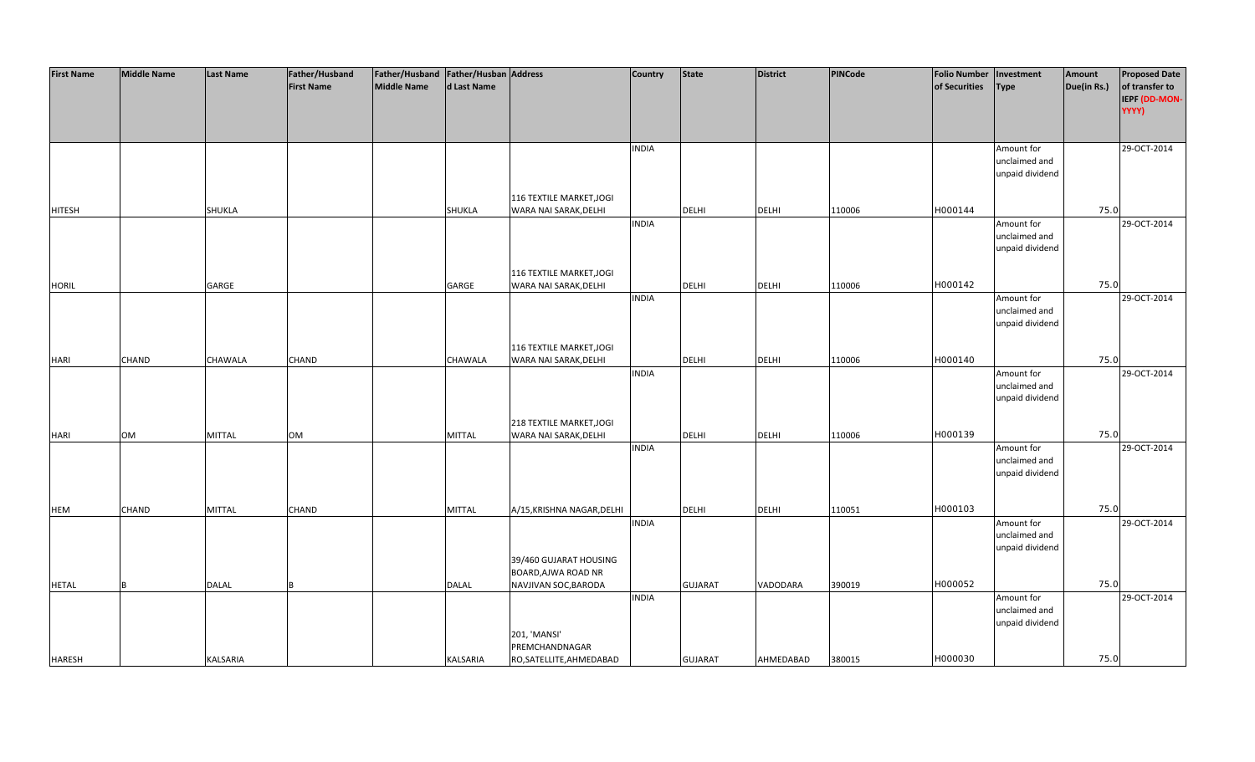| <b>First Name</b> | <b>Middle Name</b> | <b>Last Name</b> | Father/Husband    | Father/Husband   Father/Husban   Address |               |                                               | <b>Country</b> | <b>State</b>   | <b>District</b> | PINCode | <b>Folio Number</b> | Investment                  | Amount      | <b>Proposed Date</b> |
|-------------------|--------------------|------------------|-------------------|------------------------------------------|---------------|-----------------------------------------------|----------------|----------------|-----------------|---------|---------------------|-----------------------------|-------------|----------------------|
|                   |                    |                  | <b>First Name</b> | <b>Middle Name</b>                       | d Last Name   |                                               |                |                |                 |         | of Securities       | <b>Type</b>                 | Due(in Rs.) | of transfer to       |
|                   |                    |                  |                   |                                          |               |                                               |                |                |                 |         |                     |                             |             | IEPF (DD-MON-        |
|                   |                    |                  |                   |                                          |               |                                               |                |                |                 |         |                     |                             |             | YYYY)                |
|                   |                    |                  |                   |                                          |               |                                               |                |                |                 |         |                     |                             |             |                      |
|                   |                    |                  |                   |                                          |               |                                               |                |                |                 |         |                     |                             |             |                      |
|                   |                    |                  |                   |                                          |               |                                               | <b>INDIA</b>   |                |                 |         |                     |                             |             | 29-OCT-2014          |
|                   |                    |                  |                   |                                          |               |                                               |                |                |                 |         |                     | Amount for<br>unclaimed and |             |                      |
|                   |                    |                  |                   |                                          |               |                                               |                |                |                 |         |                     |                             |             |                      |
|                   |                    |                  |                   |                                          |               |                                               |                |                |                 |         |                     | unpaid dividend             |             |                      |
|                   |                    |                  |                   |                                          |               |                                               |                |                |                 |         |                     |                             |             |                      |
|                   |                    |                  |                   |                                          |               | 116 TEXTILE MARKET, JOGI                      |                |                |                 |         |                     |                             |             |                      |
| <b>HITESH</b>     |                    | <b>SHUKLA</b>    |                   |                                          | SHUKLA        | WARA NAI SARAK, DELHI                         |                | <b>DELHI</b>   | <b>DELHI</b>    | 110006  | H000144             |                             | 75.0        |                      |
|                   |                    |                  |                   |                                          |               |                                               | <b>INDIA</b>   |                |                 |         |                     | Amount for                  |             | 29-OCT-2014          |
|                   |                    |                  |                   |                                          |               |                                               |                |                |                 |         |                     | unclaimed and               |             |                      |
|                   |                    |                  |                   |                                          |               |                                               |                |                |                 |         |                     | unpaid dividend             |             |                      |
|                   |                    |                  |                   |                                          |               |                                               |                |                |                 |         |                     |                             |             |                      |
|                   |                    |                  |                   |                                          |               | 116 TEXTILE MARKET, JOGI                      |                |                |                 |         |                     |                             |             |                      |
| <b>HORIL</b>      |                    | GARGE            |                   |                                          | GARGE         | WARA NAI SARAK, DELHI                         |                | <b>DELHI</b>   | <b>DELHI</b>    | 110006  | H000142             |                             | 75.0        |                      |
|                   |                    |                  |                   |                                          |               |                                               | <b>INDIA</b>   |                |                 |         |                     | Amount for                  |             | 29-OCT-2014          |
|                   |                    |                  |                   |                                          |               |                                               |                |                |                 |         |                     | unclaimed and               |             |                      |
|                   |                    |                  |                   |                                          |               |                                               |                |                |                 |         |                     | unpaid dividend             |             |                      |
|                   |                    |                  |                   |                                          |               |                                               |                |                |                 |         |                     |                             |             |                      |
|                   |                    |                  |                   |                                          |               | 116 TEXTILE MARKET, JOGI                      |                |                |                 |         |                     |                             |             |                      |
| <b>HARI</b>       | CHAND              | CHAWALA          | CHAND             |                                          | CHAWALA       | WARA NAI SARAK, DELHI                         |                | DELHI          | <b>DELHI</b>    | 110006  | H000140             |                             | 75.0        |                      |
|                   |                    |                  |                   |                                          |               |                                               | <b>INDIA</b>   |                |                 |         |                     | Amount for                  |             | 29-OCT-2014          |
|                   |                    |                  |                   |                                          |               |                                               |                |                |                 |         |                     | unclaimed and               |             |                      |
|                   |                    |                  |                   |                                          |               |                                               |                |                |                 |         |                     | unpaid dividend             |             |                      |
|                   |                    |                  |                   |                                          |               |                                               |                |                |                 |         |                     |                             |             |                      |
|                   |                    |                  |                   |                                          |               | 218 TEXTILE MARKET, JOGI                      |                |                |                 |         |                     |                             |             |                      |
| <b>HARI</b>       | <b>OM</b>          | <b>MITTAL</b>    | <b>OM</b>         |                                          | <b>MITTAL</b> | WARA NAI SARAK, DELHI                         |                | <b>DELHI</b>   | <b>DELHI</b>    | 110006  | H000139             |                             | 75.0        |                      |
|                   |                    |                  |                   |                                          |               |                                               | <b>INDIA</b>   |                |                 |         |                     | Amount for                  |             | 29-OCT-2014          |
|                   |                    |                  |                   |                                          |               |                                               |                |                |                 |         |                     | unclaimed and               |             |                      |
|                   |                    |                  |                   |                                          |               |                                               |                |                |                 |         |                     | unpaid dividend             |             |                      |
|                   |                    |                  |                   |                                          |               |                                               |                |                |                 |         |                     |                             |             |                      |
|                   |                    |                  |                   |                                          |               |                                               |                |                |                 |         |                     |                             |             |                      |
| <b>HEM</b>        | CHAND              | MITTAL           | CHAND             |                                          | <b>MITTAL</b> | A/15, KRISHNA NAGAR, DELHI                    |                | DELHI          | <b>DELHI</b>    | 110051  | H000103             |                             | 75.0        |                      |
|                   |                    |                  |                   |                                          |               |                                               | <b>INDIA</b>   |                |                 |         |                     | Amount for                  |             | 29-OCT-2014          |
|                   |                    |                  |                   |                                          |               |                                               |                |                |                 |         |                     | unclaimed and               |             |                      |
|                   |                    |                  |                   |                                          |               |                                               |                |                |                 |         |                     | unpaid dividend             |             |                      |
|                   |                    |                  |                   |                                          |               |                                               |                |                |                 |         |                     |                             |             |                      |
|                   |                    |                  |                   |                                          |               | 39/460 GUJARAT HOUSING<br>BOARD, AJWA ROAD NR |                |                |                 |         |                     |                             |             |                      |
|                   | <b>B</b>           |                  |                   |                                          |               |                                               |                |                |                 |         | H000052             |                             | 75.0        |                      |
| <b>HETAL</b>      |                    | <b>DALAL</b>     |                   |                                          | <b>DALAL</b>  | NAVJIVAN SOC, BARODA                          |                | <b>GUJARAT</b> | VADODARA        | 390019  |                     |                             |             |                      |
|                   |                    |                  |                   |                                          |               |                                               | <b>INDIA</b>   |                |                 |         |                     | Amount for                  |             | 29-OCT-2014          |
|                   |                    |                  |                   |                                          |               |                                               |                |                |                 |         |                     | unclaimed and               |             |                      |
|                   |                    |                  |                   |                                          |               |                                               |                |                |                 |         |                     | unpaid dividend             |             |                      |
|                   |                    |                  |                   |                                          |               | 201, 'MANSI'                                  |                |                |                 |         |                     |                             |             |                      |
|                   |                    |                  |                   |                                          |               | PREMCHANDNAGAR                                |                |                |                 |         |                     |                             |             |                      |
| <b>HARESH</b>     |                    | <b>KALSARIA</b>  |                   |                                          | KALSARIA      | RO, SATELLITE, AHMEDABAD                      |                | <b>GUJARAT</b> | AHMEDABAD       | 380015  | H000030             |                             | 75.0        |                      |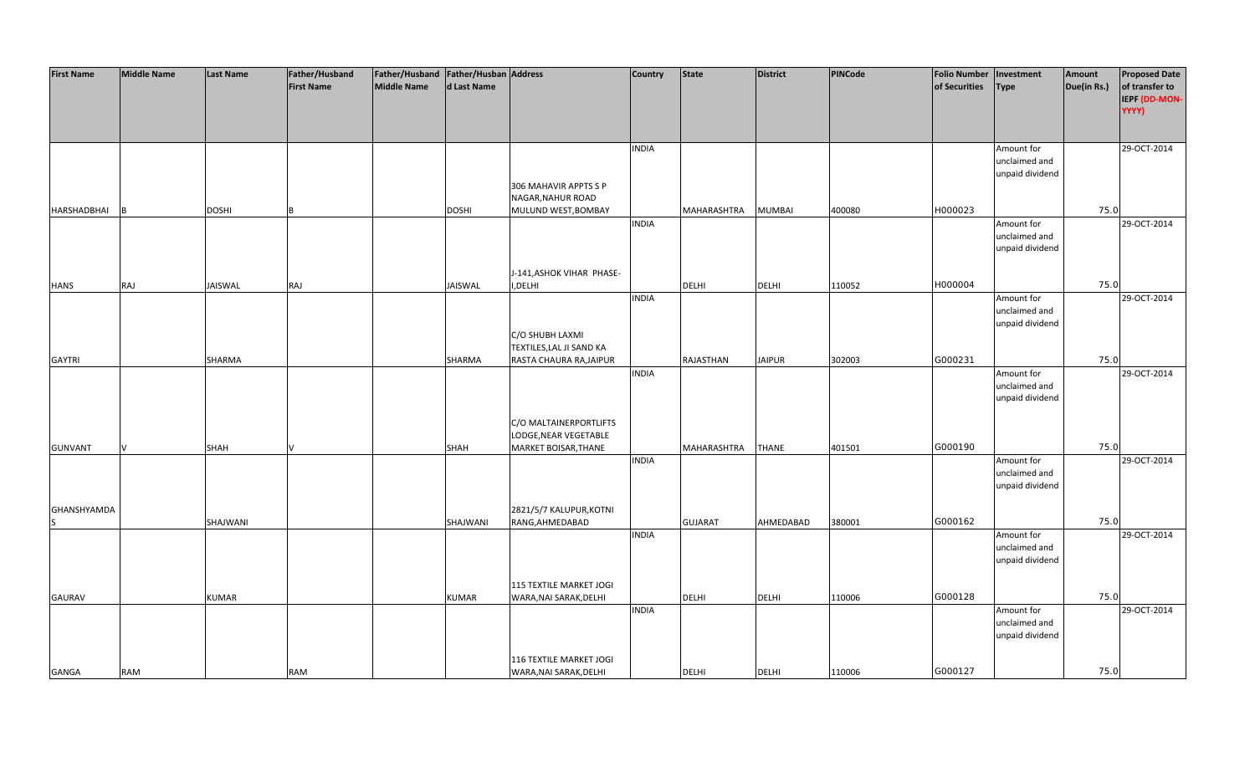| <b>First Name</b> | <b>Middle Name</b> | <b>Last Name</b> | Father/Husband    | Father/Husband Father/Husban Address |              |                           | Country      | <b>State</b>   | <b>District</b> | <b>PINCode</b> | <b>Folio Number</b> | Investment                  | Amount      | <b>Proposed Date</b> |
|-------------------|--------------------|------------------|-------------------|--------------------------------------|--------------|---------------------------|--------------|----------------|-----------------|----------------|---------------------|-----------------------------|-------------|----------------------|
|                   |                    |                  | <b>First Name</b> | <b>Middle Name</b>                   | d Last Name  |                           |              |                |                 |                | of Securities       | <b>Type</b>                 | Due(in Rs.) | of transfer to       |
|                   |                    |                  |                   |                                      |              |                           |              |                |                 |                |                     |                             |             | IEPF (DD-MON-        |
|                   |                    |                  |                   |                                      |              |                           |              |                |                 |                |                     |                             |             | YYYY)                |
|                   |                    |                  |                   |                                      |              |                           |              |                |                 |                |                     |                             |             |                      |
|                   |                    |                  |                   |                                      |              |                           |              |                |                 |                |                     |                             |             |                      |
|                   |                    |                  |                   |                                      |              |                           | <b>INDIA</b> |                |                 |                |                     | Amount for<br>unclaimed and |             | 29-OCT-2014          |
|                   |                    |                  |                   |                                      |              |                           |              |                |                 |                |                     | unpaid dividend             |             |                      |
|                   |                    |                  |                   |                                      |              | 306 MAHAVIR APPTS S P     |              |                |                 |                |                     |                             |             |                      |
|                   |                    |                  |                   |                                      |              |                           |              |                |                 |                |                     |                             |             |                      |
|                   |                    | <b>DOSHI</b>     |                   |                                      |              | NAGAR, NAHUR ROAD         |              |                |                 |                | H000023             |                             | 75.0        |                      |
| HARSHADBHAI       |                    |                  |                   |                                      | <b>DOSHI</b> | MULUND WEST, BOMBAY       |              | MAHARASHTRA    | <b>MUMBAI</b>   | 400080         |                     |                             |             | 29-OCT-2014          |
|                   |                    |                  |                   |                                      |              |                           | <b>INDIA</b> |                |                 |                |                     | Amount for                  |             |                      |
|                   |                    |                  |                   |                                      |              |                           |              |                |                 |                |                     | unclaimed and               |             |                      |
|                   |                    |                  |                   |                                      |              |                           |              |                |                 |                |                     | unpaid dividend             |             |                      |
|                   |                    |                  |                   |                                      |              |                           |              |                |                 |                |                     |                             |             |                      |
|                   |                    |                  |                   |                                      |              | J-141, ASHOK VIHAR PHASE- |              |                | <b>DELHI</b>    |                | H000004             |                             | 75.0        |                      |
| <b>HANS</b>       | RAJ                | <b>JAISWAL</b>   | RAJ               |                                      | JAISWAL      | I,DELHI                   | <b>INDIA</b> | <b>DELHI</b>   |                 | 110052         |                     |                             |             | 29-OCT-2014          |
|                   |                    |                  |                   |                                      |              |                           |              |                |                 |                |                     | Amount for<br>unclaimed and |             |                      |
|                   |                    |                  |                   |                                      |              |                           |              |                |                 |                |                     | unpaid dividend             |             |                      |
|                   |                    |                  |                   |                                      |              | C/O SHUBH LAXMI           |              |                |                 |                |                     |                             |             |                      |
|                   |                    |                  |                   |                                      |              | TEXTILES, LAL JI SAND KA  |              |                |                 |                |                     |                             |             |                      |
| <b>GAYTRI</b>     |                    | SHARMA           |                   |                                      | SHARMA       | RASTA CHAURA RA, JAIPUR   |              | RAJASTHAN      | <b>JAIPUR</b>   | 302003         | G000231             |                             | 75.0        |                      |
|                   |                    |                  |                   |                                      |              |                           | <b>INDIA</b> |                |                 |                |                     | Amount for                  |             | 29-OCT-2014          |
|                   |                    |                  |                   |                                      |              |                           |              |                |                 |                |                     | unclaimed and               |             |                      |
|                   |                    |                  |                   |                                      |              |                           |              |                |                 |                |                     | unpaid dividend             |             |                      |
|                   |                    |                  |                   |                                      |              |                           |              |                |                 |                |                     |                             |             |                      |
|                   |                    |                  |                   |                                      |              | C/O MALTAINERPORTLIFTS    |              |                |                 |                |                     |                             |             |                      |
|                   |                    |                  |                   |                                      |              | LODGE, NEAR VEGETABLE     |              |                |                 |                |                     |                             |             |                      |
| <b>GUNVANT</b>    |                    | <b>SHAH</b>      |                   |                                      | <b>SHAH</b>  | MARKET BOISAR, THANE      |              | MAHARASHTRA    | <b>THANE</b>    | 401501         | G000190             |                             | 75.0        |                      |
|                   |                    |                  |                   |                                      |              |                           | <b>INDIA</b> |                |                 |                |                     | Amount for                  |             | 29-OCT-2014          |
|                   |                    |                  |                   |                                      |              |                           |              |                |                 |                |                     | unclaimed and               |             |                      |
|                   |                    |                  |                   |                                      |              |                           |              |                |                 |                |                     | unpaid dividend             |             |                      |
|                   |                    |                  |                   |                                      |              |                           |              |                |                 |                |                     |                             |             |                      |
| GHANSHYAMDA       |                    |                  |                   |                                      |              | 2821/5/7 KALUPUR, KOTNI   |              |                |                 |                |                     |                             |             |                      |
|                   |                    | SHAJWANI         |                   |                                      | SHAJWANI     | RANG, AHMEDABAD           |              | <b>GUJARAT</b> | AHMEDABAD       | 380001         | G000162             |                             | 75.0        |                      |
|                   |                    |                  |                   |                                      |              |                           | <b>INDIA</b> |                |                 |                |                     | Amount for                  |             | 29-OCT-2014          |
|                   |                    |                  |                   |                                      |              |                           |              |                |                 |                |                     | unclaimed and               |             |                      |
|                   |                    |                  |                   |                                      |              |                           |              |                |                 |                |                     | unpaid dividend             |             |                      |
|                   |                    |                  |                   |                                      |              |                           |              |                |                 |                |                     |                             |             |                      |
|                   |                    |                  |                   |                                      |              | 115 TEXTILE MARKET JOGI   |              |                |                 |                |                     |                             |             |                      |
| <b>GAURAV</b>     |                    | <b>KUMAR</b>     |                   |                                      | <b>KUMAR</b> | WARA, NAI SARAK, DELHI    |              | <b>DELHI</b>   | <b>DELHI</b>    | 110006         | G000128             |                             | 75.0        |                      |
|                   |                    |                  |                   |                                      |              |                           | <b>INDIA</b> |                |                 |                |                     | Amount for                  |             | 29-OCT-2014          |
|                   |                    |                  |                   |                                      |              |                           |              |                |                 |                |                     | unclaimed and               |             |                      |
|                   |                    |                  |                   |                                      |              |                           |              |                |                 |                |                     | unpaid dividend             |             |                      |
|                   |                    |                  |                   |                                      |              |                           |              |                |                 |                |                     |                             |             |                      |
|                   |                    |                  |                   |                                      |              | 116 TEXTILE MARKET JOGI   |              |                |                 |                |                     |                             |             |                      |
| <b>GANGA</b>      | <b>RAM</b>         |                  | <b>RAM</b>        |                                      |              | WARA, NAI SARAK, DELHI    |              | <b>DELHI</b>   | <b>DELHI</b>    | 110006         | G000127             |                             | 75.0        |                      |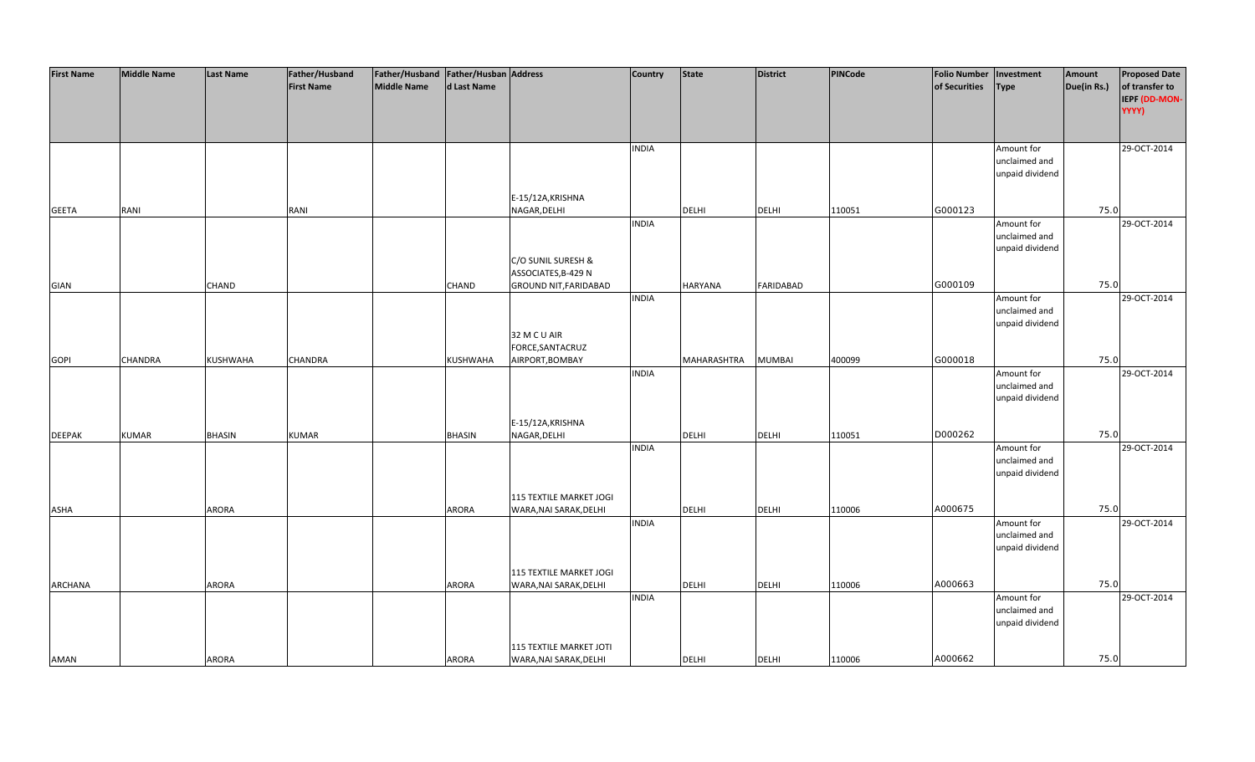| <b>First Name</b> | <b>Middle Name</b> | <b>Last Name</b> | Father/Husband    | Father/Husband   Father/Husban   Address |               |                              | <b>Country</b> | <b>State</b>   | <b>District</b>  | PINCode | <b>Folio Number</b> | Investment      | Amount      | <b>Proposed Date</b> |
|-------------------|--------------------|------------------|-------------------|------------------------------------------|---------------|------------------------------|----------------|----------------|------------------|---------|---------------------|-----------------|-------------|----------------------|
|                   |                    |                  | <b>First Name</b> | <b>Middle Name</b>                       | d Last Name   |                              |                |                |                  |         | of Securities       | Type            | Due(in Rs.) | of transfer to       |
|                   |                    |                  |                   |                                          |               |                              |                |                |                  |         |                     |                 |             | IEPF (DD-MON-        |
|                   |                    |                  |                   |                                          |               |                              |                |                |                  |         |                     |                 |             | YYYY)                |
|                   |                    |                  |                   |                                          |               |                              |                |                |                  |         |                     |                 |             |                      |
|                   |                    |                  |                   |                                          |               |                              |                |                |                  |         |                     |                 |             |                      |
|                   |                    |                  |                   |                                          |               |                              | <b>INDIA</b>   |                |                  |         |                     | Amount for      |             | 29-OCT-2014          |
|                   |                    |                  |                   |                                          |               |                              |                |                |                  |         |                     | unclaimed and   |             |                      |
|                   |                    |                  |                   |                                          |               |                              |                |                |                  |         |                     | unpaid dividend |             |                      |
|                   |                    |                  |                   |                                          |               |                              |                |                |                  |         |                     |                 |             |                      |
|                   |                    |                  |                   |                                          |               | E-15/12A, KRISHNA            |                |                |                  |         |                     |                 |             |                      |
| <b>GEETA</b>      | RANI               |                  | RANI              |                                          |               | NAGAR, DELHI                 |                | <b>DELHI</b>   | <b>DELHI</b>     | 110051  | G000123             |                 | 75.0        |                      |
|                   |                    |                  |                   |                                          |               |                              | <b>INDIA</b>   |                |                  |         |                     | Amount for      |             | 29-OCT-2014          |
|                   |                    |                  |                   |                                          |               |                              |                |                |                  |         |                     | unclaimed and   |             |                      |
|                   |                    |                  |                   |                                          |               |                              |                |                |                  |         |                     | unpaid dividend |             |                      |
|                   |                    |                  |                   |                                          |               | C/O SUNIL SURESH &           |                |                |                  |         |                     |                 |             |                      |
|                   |                    |                  |                   |                                          |               | ASSOCIATES, B-429 N          |                |                |                  |         |                     |                 |             |                      |
| GIAN              |                    | <b>CHAND</b>     |                   |                                          | <b>CHAND</b>  | <b>GROUND NIT, FARIDABAD</b> |                | <b>HARYANA</b> | <b>FARIDABAD</b> |         | G000109             |                 | 75.0        |                      |
|                   |                    |                  |                   |                                          |               |                              | <b>INDIA</b>   |                |                  |         |                     | Amount for      |             | 29-OCT-2014          |
|                   |                    |                  |                   |                                          |               |                              |                |                |                  |         |                     | unclaimed and   |             |                      |
|                   |                    |                  |                   |                                          |               |                              |                |                |                  |         |                     | unpaid dividend |             |                      |
|                   |                    |                  |                   |                                          |               | 32 M C U AIR                 |                |                |                  |         |                     |                 |             |                      |
|                   |                    |                  |                   |                                          |               | FORCE, SANTACRUZ             |                |                |                  |         |                     |                 |             |                      |
| <b>GOPI</b>       | <b>CHANDRA</b>     | KUSHWAHA         | CHANDRA           |                                          | KUSHWAHA      | AIRPORT, BOMBAY              |                | MAHARASHTRA    | <b>MUMBAI</b>    | 400099  | G000018             |                 | 75.0        |                      |
|                   |                    |                  |                   |                                          |               |                              | <b>INDIA</b>   |                |                  |         |                     | Amount for      |             | 29-OCT-2014          |
|                   |                    |                  |                   |                                          |               |                              |                |                |                  |         |                     | unclaimed and   |             |                      |
|                   |                    |                  |                   |                                          |               |                              |                |                |                  |         |                     | unpaid dividend |             |                      |
|                   |                    |                  |                   |                                          |               |                              |                |                |                  |         |                     |                 |             |                      |
|                   |                    |                  |                   |                                          |               | E-15/12A, KRISHNA            |                |                |                  |         |                     |                 |             |                      |
| <b>DEEPAK</b>     | <b>KUMAR</b>       | <b>BHASIN</b>    | <b>KUMAR</b>      |                                          | <b>BHASIN</b> | NAGAR, DELHI                 |                | <b>DELHI</b>   | <b>DELHI</b>     |         | D000262             |                 | 75.0        |                      |
|                   |                    |                  |                   |                                          |               |                              | <b>INDIA</b>   |                |                  | 110051  |                     | Amount for      |             | 29-OCT-2014          |
|                   |                    |                  |                   |                                          |               |                              |                |                |                  |         |                     | unclaimed and   |             |                      |
|                   |                    |                  |                   |                                          |               |                              |                |                |                  |         |                     | unpaid dividend |             |                      |
|                   |                    |                  |                   |                                          |               |                              |                |                |                  |         |                     |                 |             |                      |
|                   |                    |                  |                   |                                          |               | 115 TEXTILE MARKET JOGI      |                |                |                  |         |                     |                 |             |                      |
| ASHA              |                    | ARORA            |                   |                                          | <b>ARORA</b>  | WARA, NAI SARAK, DELHI       |                | DELHI          | <b>DELHI</b>     | 110006  | A000675             |                 | 75.0        |                      |
|                   |                    |                  |                   |                                          |               |                              | <b>INDIA</b>   |                |                  |         |                     | Amount for      |             | 29-OCT-2014          |
|                   |                    |                  |                   |                                          |               |                              |                |                |                  |         |                     | unclaimed and   |             |                      |
|                   |                    |                  |                   |                                          |               |                              |                |                |                  |         |                     | unpaid dividend |             |                      |
|                   |                    |                  |                   |                                          |               |                              |                |                |                  |         |                     |                 |             |                      |
|                   |                    |                  |                   |                                          |               | 115 TEXTILE MARKET JOGI      |                |                |                  |         |                     |                 |             |                      |
| ARCHANA           |                    | <b>ARORA</b>     |                   |                                          | <b>ARORA</b>  | WARA, NAI SARAK, DELHI       |                | <b>DELHI</b>   | <b>DELHI</b>     | 110006  | A000663             |                 | 75.0        |                      |
|                   |                    |                  |                   |                                          |               |                              | <b>INDIA</b>   |                |                  |         |                     | Amount for      |             | 29-OCT-2014          |
|                   |                    |                  |                   |                                          |               |                              |                |                |                  |         |                     | unclaimed and   |             |                      |
|                   |                    |                  |                   |                                          |               |                              |                |                |                  |         |                     | unpaid dividend |             |                      |
|                   |                    |                  |                   |                                          |               |                              |                |                |                  |         |                     |                 |             |                      |
|                   |                    |                  |                   |                                          |               | 115 TEXTILE MARKET JOTI      |                |                |                  |         |                     |                 |             |                      |
| <b>AMAN</b>       |                    | <b>ARORA</b>     |                   |                                          | <b>ARORA</b>  | WARA, NAI SARAK, DELHI       |                | <b>DELHI</b>   | <b>DELHI</b>     | 110006  | A000662             |                 | 75.0        |                      |
|                   |                    |                  |                   |                                          |               |                              |                |                |                  |         |                     |                 |             |                      |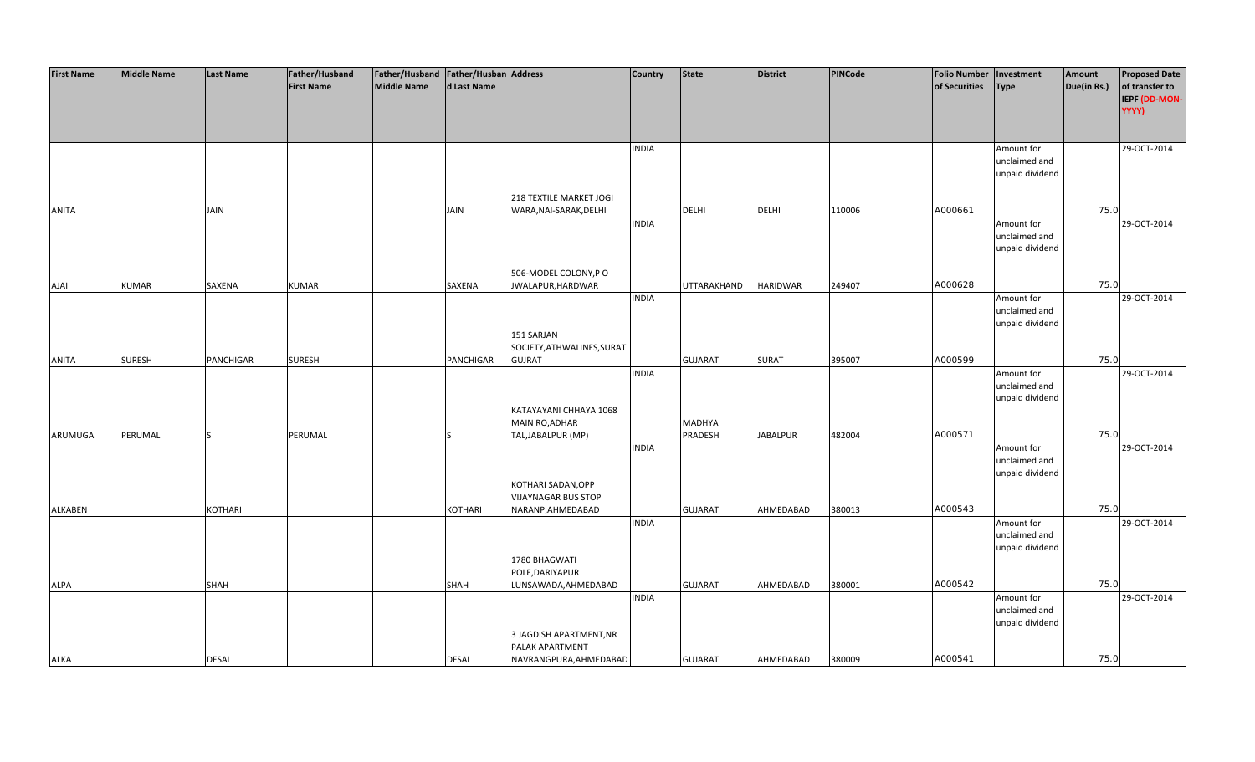| <b>First Name</b> | <b>Middle Name</b> | <b>Last Name</b> | Father/Husband    | Father/Husband   Father/Husban   Address |             |                                                   | <b>Country</b> | <b>State</b>   | District        | PINCode | <b>Folio Number</b> | Investment                  | Amount      | <b>Proposed Date</b> |
|-------------------|--------------------|------------------|-------------------|------------------------------------------|-------------|---------------------------------------------------|----------------|----------------|-----------------|---------|---------------------|-----------------------------|-------------|----------------------|
|                   |                    |                  | <b>First Name</b> | <b>Middle Name</b>                       | d Last Name |                                                   |                |                |                 |         | of Securities       | <b>Type</b>                 | Due(in Rs.) | of transfer to       |
|                   |                    |                  |                   |                                          |             |                                                   |                |                |                 |         |                     |                             |             | IEPF (DD-MON-        |
|                   |                    |                  |                   |                                          |             |                                                   |                |                |                 |         |                     |                             |             | YYYY)                |
|                   |                    |                  |                   |                                          |             |                                                   |                |                |                 |         |                     |                             |             |                      |
|                   |                    |                  |                   |                                          |             |                                                   | <b>INDIA</b>   |                |                 |         |                     | Amount for                  |             | 29-OCT-2014          |
|                   |                    |                  |                   |                                          |             |                                                   |                |                |                 |         |                     | unclaimed and               |             |                      |
|                   |                    |                  |                   |                                          |             |                                                   |                |                |                 |         |                     | unpaid dividend             |             |                      |
|                   |                    |                  |                   |                                          |             |                                                   |                |                |                 |         |                     |                             |             |                      |
| <b>ANITA</b>      |                    | JAIN             |                   |                                          | <b>JAIN</b> | 218 TEXTILE MARKET JOGI<br>WARA, NAI-SARAK, DELHI |                | <b>DELHI</b>   | <b>DELHI</b>    | 110006  | A000661             |                             | 75.0        |                      |
|                   |                    |                  |                   |                                          |             |                                                   | <b>INDIA</b>   |                |                 |         |                     | Amount for                  |             | 29-OCT-2014          |
|                   |                    |                  |                   |                                          |             |                                                   |                |                |                 |         |                     | unclaimed and               |             |                      |
|                   |                    |                  |                   |                                          |             |                                                   |                |                |                 |         |                     | unpaid dividend             |             |                      |
|                   |                    |                  |                   |                                          |             |                                                   |                |                |                 |         |                     |                             |             |                      |
|                   |                    |                  |                   |                                          |             | 506-MODEL COLONY, PO                              |                |                |                 |         |                     |                             |             |                      |
| <b>AJAI</b>       | <b>KUMAR</b>       | SAXENA           | <b>KUMAR</b>      |                                          | SAXENA      | JWALAPUR, HARDWAR                                 |                | UTTARAKHAND    | <b>HARIDWAR</b> | 249407  | A000628             |                             | 75.0        |                      |
|                   |                    |                  |                   |                                          |             |                                                   | <b>INDIA</b>   |                |                 |         |                     | Amount for                  |             | 29-OCT-2014          |
|                   |                    |                  |                   |                                          |             |                                                   |                |                |                 |         |                     | unclaimed and               |             |                      |
|                   |                    |                  |                   |                                          |             |                                                   |                |                |                 |         |                     | unpaid dividend             |             |                      |
|                   |                    |                  |                   |                                          |             | 151 SARJAN                                        |                |                |                 |         |                     |                             |             |                      |
|                   |                    |                  |                   |                                          |             | SOCIETY, ATHWALINES, SURAT                        |                |                |                 |         |                     |                             |             |                      |
| <b>ANITA</b>      | <b>SURESH</b>      | PANCHIGAR        | <b>SURESH</b>     |                                          | PANCHIGAR   | <b>GUJRAT</b>                                     |                | <b>GUJARAT</b> | <b>SURAT</b>    | 395007  | A000599             |                             | 75.0        |                      |
|                   |                    |                  |                   |                                          |             |                                                   | <b>INDIA</b>   |                |                 |         |                     | Amount for<br>unclaimed and |             | 29-OCT-2014          |
|                   |                    |                  |                   |                                          |             |                                                   |                |                |                 |         |                     | unpaid dividend             |             |                      |
|                   |                    |                  |                   |                                          |             | KATAYAYANI CHHAYA 1068                            |                |                |                 |         |                     |                             |             |                      |
|                   |                    |                  |                   |                                          |             | MAIN RO, ADHAR                                    |                | MADHYA         |                 |         |                     |                             |             |                      |
| ARUMUGA           | PERUMAL            |                  | PERUMAL           |                                          |             | TAL, JABALPUR (MP)                                |                | <b>PRADESH</b> | <b>JABALPUR</b> | 482004  | A000571             |                             | 75.0        |                      |
|                   |                    |                  |                   |                                          |             |                                                   | <b>INDIA</b>   |                |                 |         |                     | Amount for                  |             | 29-OCT-2014          |
|                   |                    |                  |                   |                                          |             |                                                   |                |                |                 |         |                     | unclaimed and               |             |                      |
|                   |                    |                  |                   |                                          |             |                                                   |                |                |                 |         |                     | unpaid dividend             |             |                      |
|                   |                    |                  |                   |                                          |             | KOTHARI SADAN, OPP                                |                |                |                 |         |                     |                             |             |                      |
|                   |                    |                  |                   |                                          |             | <b>VIJAYNAGAR BUS STOP</b>                        |                |                |                 |         |                     |                             |             |                      |
| ALKABEN           |                    | KOTHARI          |                   |                                          | KOTHARI     | NARANP, AHMEDABAD                                 |                | <b>GUJARAT</b> | AHMEDABAD       | 380013  | A000543             |                             | 75.0        |                      |
|                   |                    |                  |                   |                                          |             |                                                   | <b>INDIA</b>   |                |                 |         |                     | Amount for<br>unclaimed and |             | 29-OCT-2014          |
|                   |                    |                  |                   |                                          |             |                                                   |                |                |                 |         |                     | unpaid dividend             |             |                      |
|                   |                    |                  |                   |                                          |             | 1780 BHAGWATI                                     |                |                |                 |         |                     |                             |             |                      |
|                   |                    |                  |                   |                                          |             | POLE, DARIYAPUR                                   |                |                |                 |         |                     |                             |             |                      |
| <b>ALPA</b>       |                    | SHAH             |                   |                                          | SHAH        | LUNSAWADA, AHMEDABAD                              |                | <b>GUJARAT</b> | AHMEDABAD       | 380001  | A000542             |                             | 75.0        |                      |
|                   |                    |                  |                   |                                          |             |                                                   | <b>INDIA</b>   |                |                 |         |                     | Amount for                  |             | 29-OCT-2014          |
|                   |                    |                  |                   |                                          |             |                                                   |                |                |                 |         |                     | unclaimed and               |             |                      |
|                   |                    |                  |                   |                                          |             |                                                   |                |                |                 |         |                     | unpaid dividend             |             |                      |
|                   |                    |                  |                   |                                          |             | 3 JAGDISH APARTMENT,NR                            |                |                |                 |         |                     |                             |             |                      |
|                   |                    |                  |                   |                                          |             | PALAK APARTMENT                                   |                |                |                 |         |                     |                             |             |                      |
| <b>ALKA</b>       |                    | <b>DESAI</b>     |                   |                                          | DESAI       | NAVRANGPURA, AHMEDABAD                            |                | <b>GUJARAT</b> | AHMEDABAD       | 380009  | A000541             |                             | 75.0        |                      |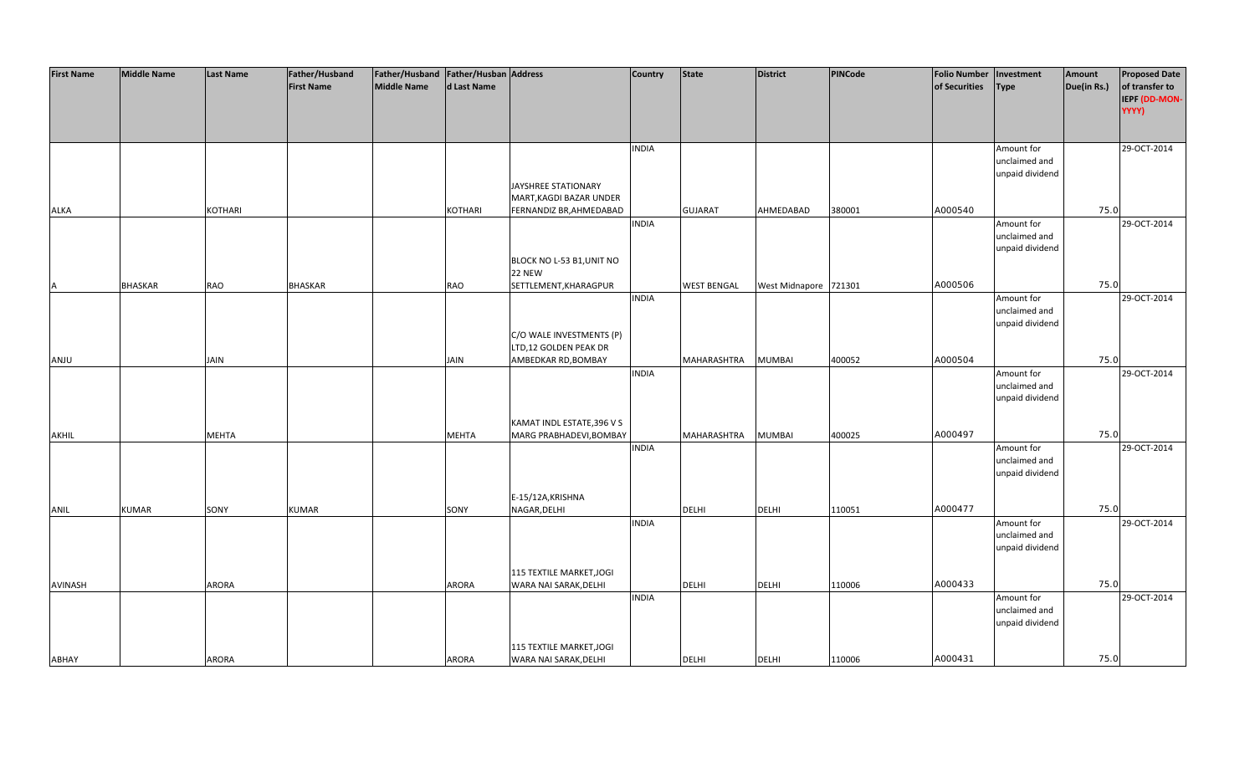| <b>First Name</b> | <b>Middle Name</b> | <b>Last Name</b> | <b>Father/Husband</b> | Father/Husband Father/Husban Address |              |                            | <b>Country</b> | <b>State</b>       | <b>District</b>       | PINCode | <b>Folio Number</b> | Investment      | Amount      | <b>Proposed Date</b> |
|-------------------|--------------------|------------------|-----------------------|--------------------------------------|--------------|----------------------------|----------------|--------------------|-----------------------|---------|---------------------|-----------------|-------------|----------------------|
|                   |                    |                  | <b>First Name</b>     | <b>Middle Name</b>                   | d Last Name  |                            |                |                    |                       |         | of Securities       | <b>Type</b>     | Due(in Rs.) | of transfer to       |
|                   |                    |                  |                       |                                      |              |                            |                |                    |                       |         |                     |                 |             | IEPF (DD-MON-        |
|                   |                    |                  |                       |                                      |              |                            |                |                    |                       |         |                     |                 |             | YYYY)                |
|                   |                    |                  |                       |                                      |              |                            |                |                    |                       |         |                     |                 |             |                      |
|                   |                    |                  |                       |                                      |              |                            |                |                    |                       |         |                     |                 |             |                      |
|                   |                    |                  |                       |                                      |              |                            | <b>INDIA</b>   |                    |                       |         |                     | Amount for      |             | 29-OCT-2014          |
|                   |                    |                  |                       |                                      |              |                            |                |                    |                       |         |                     | unclaimed and   |             |                      |
|                   |                    |                  |                       |                                      |              |                            |                |                    |                       |         |                     | unpaid dividend |             |                      |
|                   |                    |                  |                       |                                      |              | JAYSHREE STATIONARY        |                |                    |                       |         |                     |                 |             |                      |
|                   |                    |                  |                       |                                      |              | MART, KAGDI BAZAR UNDER    |                |                    |                       |         |                     |                 |             |                      |
| <b>ALKA</b>       |                    | <b>KOTHARI</b>   |                       |                                      | KOTHARI      | FERNANDIZ BR, AHMEDABAD    |                | <b>GUJARAT</b>     | AHMEDABAD             | 380001  | A000540             |                 | 75.0        |                      |
|                   |                    |                  |                       |                                      |              |                            | <b>INDIA</b>   |                    |                       |         |                     | Amount for      |             | 29-OCT-2014          |
|                   |                    |                  |                       |                                      |              |                            |                |                    |                       |         |                     | unclaimed and   |             |                      |
|                   |                    |                  |                       |                                      |              |                            |                |                    |                       |         |                     | unpaid dividend |             |                      |
|                   |                    |                  |                       |                                      |              | BLOCK NO L-53 B1, UNIT NO  |                |                    |                       |         |                     |                 |             |                      |
|                   |                    |                  |                       |                                      |              | 22 NEW                     |                |                    |                       |         |                     |                 |             |                      |
| <b>A</b>          | <b>BHASKAR</b>     | <b>RAO</b>       | <b>BHASKAR</b>        |                                      | <b>RAO</b>   | SETTLEMENT, KHARAGPUR      |                | <b>WEST BENGAL</b> | West Midnapore 721301 |         | A000506             |                 | 75.0        |                      |
|                   |                    |                  |                       |                                      |              |                            | <b>INDIA</b>   |                    |                       |         |                     | Amount for      |             | 29-OCT-2014          |
|                   |                    |                  |                       |                                      |              |                            |                |                    |                       |         |                     | unclaimed and   |             |                      |
|                   |                    |                  |                       |                                      |              |                            |                |                    |                       |         |                     | unpaid dividend |             |                      |
|                   |                    |                  |                       |                                      |              | C/O WALE INVESTMENTS (P)   |                |                    |                       |         |                     |                 |             |                      |
|                   |                    |                  |                       |                                      |              | LTD,12 GOLDEN PEAK DR      |                |                    |                       |         |                     |                 |             |                      |
| ANJU              |                    | JAIN             |                       |                                      | <b>JAIN</b>  | AMBEDKAR RD, BOMBAY        |                | MAHARASHTRA        | <b>MUMBAI</b>         | 400052  | A000504             |                 | 75.0        |                      |
|                   |                    |                  |                       |                                      |              |                            | <b>INDIA</b>   |                    |                       |         |                     | Amount for      |             | 29-OCT-2014          |
|                   |                    |                  |                       |                                      |              |                            |                |                    |                       |         |                     | unclaimed and   |             |                      |
|                   |                    |                  |                       |                                      |              |                            |                |                    |                       |         |                     | unpaid dividend |             |                      |
|                   |                    |                  |                       |                                      |              |                            |                |                    |                       |         |                     |                 |             |                      |
|                   |                    |                  |                       |                                      |              | KAMAT INDL ESTATE, 396 V S |                |                    |                       |         |                     |                 |             |                      |
| AKHIL             |                    | <b>MEHTA</b>     |                       |                                      | <b>MEHTA</b> | MARG PRABHADEVI, BOMBAY    |                | <b>MAHARASHTRA</b> | <b>MUMBAI</b>         | 400025  | A000497             |                 | 75.0        |                      |
|                   |                    |                  |                       |                                      |              |                            | <b>INDIA</b>   |                    |                       |         |                     | Amount for      |             | 29-OCT-2014          |
|                   |                    |                  |                       |                                      |              |                            |                |                    |                       |         |                     | unclaimed and   |             |                      |
|                   |                    |                  |                       |                                      |              |                            |                |                    |                       |         |                     | unpaid dividend |             |                      |
|                   |                    |                  |                       |                                      |              |                            |                |                    |                       |         |                     |                 |             |                      |
|                   |                    |                  |                       |                                      |              | E-15/12A, KRISHNA          |                |                    |                       |         |                     |                 |             |                      |
| ANIL              | <b>KUMAR</b>       | SONY             | <b>KUMAR</b>          |                                      | SONY         | NAGAR, DELHI               |                | <b>DELHI</b>       | <b>DELHI</b>          | 110051  | A000477             |                 | 75.0        |                      |
|                   |                    |                  |                       |                                      |              |                            | <b>INDIA</b>   |                    |                       |         |                     | Amount for      |             | 29-OCT-2014          |
|                   |                    |                  |                       |                                      |              |                            |                |                    |                       |         |                     | unclaimed and   |             |                      |
|                   |                    |                  |                       |                                      |              |                            |                |                    |                       |         |                     | unpaid dividend |             |                      |
|                   |                    |                  |                       |                                      |              |                            |                |                    |                       |         |                     |                 |             |                      |
|                   |                    |                  |                       |                                      |              | 115 TEXTILE MARKET, JOGI   |                |                    |                       |         |                     |                 |             |                      |
| AVINASH           |                    | <b>ARORA</b>     |                       |                                      | <b>ARORA</b> | WARA NAI SARAK, DELHI      |                | <b>DELHI</b>       | <b>DELHI</b>          | 110006  | A000433             |                 | 75.0        |                      |
|                   |                    |                  |                       |                                      |              |                            | <b>INDIA</b>   |                    |                       |         |                     | Amount for      |             | 29-OCT-2014          |
|                   |                    |                  |                       |                                      |              |                            |                |                    |                       |         |                     | unclaimed and   |             |                      |
|                   |                    |                  |                       |                                      |              |                            |                |                    |                       |         |                     | unpaid dividend |             |                      |
|                   |                    |                  |                       |                                      |              |                            |                |                    |                       |         |                     |                 |             |                      |
|                   |                    |                  |                       |                                      |              | 115 TEXTILE MARKET, JOGI   |                |                    |                       |         |                     |                 |             |                      |
| ABHAY             |                    | <b>ARORA</b>     |                       |                                      | ARORA        | WARA NAI SARAK, DELHI      |                | <b>DELHI</b>       | <b>DELHI</b>          | 110006  | A000431             |                 | 75.0        |                      |
|                   |                    |                  |                       |                                      |              |                            |                |                    |                       |         |                     |                 |             |                      |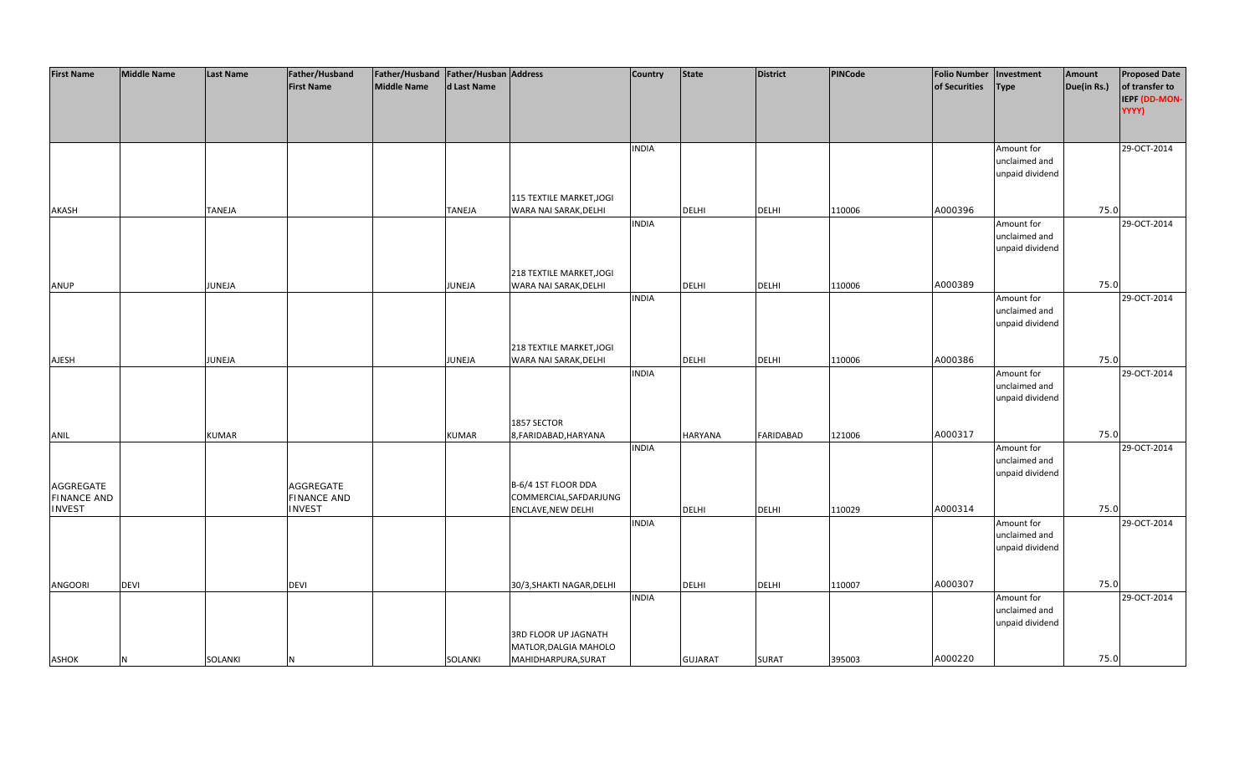| <b>First Name</b>  | <b>Middle Name</b> | <b>Last Name</b> | Father/Husband     | Father/Husband Father/Husban Address |               |                                              | <b>Country</b> | <b>State</b>   | <b>District</b>  | PINCode | <b>Folio Number</b> | Investment      | Amount      | <b>Proposed Date</b> |
|--------------------|--------------------|------------------|--------------------|--------------------------------------|---------------|----------------------------------------------|----------------|----------------|------------------|---------|---------------------|-----------------|-------------|----------------------|
|                    |                    |                  | <b>First Name</b>  | <b>Middle Name</b>                   | d Last Name   |                                              |                |                |                  |         | of Securities       | <b>Type</b>     | Due(in Rs.) | of transfer to       |
|                    |                    |                  |                    |                                      |               |                                              |                |                |                  |         |                     |                 |             | IEPF (DD-MON-        |
|                    |                    |                  |                    |                                      |               |                                              |                |                |                  |         |                     |                 |             | YYYY)                |
|                    |                    |                  |                    |                                      |               |                                              |                |                |                  |         |                     |                 |             |                      |
|                    |                    |                  |                    |                                      |               |                                              |                |                |                  |         |                     |                 |             |                      |
|                    |                    |                  |                    |                                      |               |                                              | <b>INDIA</b>   |                |                  |         |                     | Amount for      |             | 29-OCT-2014          |
|                    |                    |                  |                    |                                      |               |                                              |                |                |                  |         |                     | unclaimed and   |             |                      |
|                    |                    |                  |                    |                                      |               |                                              |                |                |                  |         |                     | unpaid dividend |             |                      |
|                    |                    |                  |                    |                                      |               |                                              |                |                |                  |         |                     |                 |             |                      |
|                    |                    |                  |                    |                                      |               | 115 TEXTILE MARKET, JOGI                     |                |                |                  |         |                     |                 |             |                      |
| AKASH              |                    | <b>TANEJA</b>    |                    |                                      | <b>TANEJA</b> | WARA NAI SARAK, DELHI                        |                | <b>DELHI</b>   | <b>DELHI</b>     | 110006  | A000396             |                 | 75.0        |                      |
|                    |                    |                  |                    |                                      |               |                                              | <b>INDIA</b>   |                |                  |         |                     | Amount for      |             | 29-OCT-2014          |
|                    |                    |                  |                    |                                      |               |                                              |                |                |                  |         |                     | unclaimed and   |             |                      |
|                    |                    |                  |                    |                                      |               |                                              |                |                |                  |         |                     | unpaid dividend |             |                      |
|                    |                    |                  |                    |                                      |               |                                              |                |                |                  |         |                     |                 |             |                      |
|                    |                    |                  |                    |                                      |               | 218 TEXTILE MARKET, JOGI                     |                |                |                  |         |                     |                 |             |                      |
| ANUP               |                    | JUNEJA           |                    |                                      | JUNEJA        | WARA NAI SARAK, DELHI                        |                | <b>DELHI</b>   | <b>DELHI</b>     | 110006  | A000389             |                 | 75.0        |                      |
|                    |                    |                  |                    |                                      |               |                                              | <b>INDIA</b>   |                |                  |         |                     | Amount for      |             | 29-OCT-2014          |
|                    |                    |                  |                    |                                      |               |                                              |                |                |                  |         |                     | unclaimed and   |             |                      |
|                    |                    |                  |                    |                                      |               |                                              |                |                |                  |         |                     | unpaid dividend |             |                      |
|                    |                    |                  |                    |                                      |               |                                              |                |                |                  |         |                     |                 |             |                      |
|                    |                    |                  |                    |                                      |               | 218 TEXTILE MARKET, JOGI                     |                |                |                  |         | A000386             |                 | 75.0        |                      |
| <b>AJESH</b>       |                    | JUNEJA           |                    |                                      | JUNEJA        | WARA NAI SARAK, DELHI                        | <b>INDIA</b>   | DELHI          | <b>DELHI</b>     | 110006  |                     | Amount for      |             | 29-OCT-2014          |
|                    |                    |                  |                    |                                      |               |                                              |                |                |                  |         |                     | unclaimed and   |             |                      |
|                    |                    |                  |                    |                                      |               |                                              |                |                |                  |         |                     | unpaid dividend |             |                      |
|                    |                    |                  |                    |                                      |               |                                              |                |                |                  |         |                     |                 |             |                      |
|                    |                    |                  |                    |                                      |               | 1857 SECTOR                                  |                |                |                  |         |                     |                 |             |                      |
| ANIL               |                    | <b>KUMAR</b>     |                    |                                      | <b>KUMAR</b>  | 8, FARIDABAD, HARYANA                        |                | <b>HARYANA</b> | <b>FARIDABAD</b> | 121006  | A000317             |                 | 75.0        |                      |
|                    |                    |                  |                    |                                      |               |                                              | <b>INDIA</b>   |                |                  |         |                     | Amount for      |             | 29-OCT-2014          |
|                    |                    |                  |                    |                                      |               |                                              |                |                |                  |         |                     | unclaimed and   |             |                      |
|                    |                    |                  |                    |                                      |               |                                              |                |                |                  |         |                     | unpaid dividend |             |                      |
| AGGREGATE          |                    |                  | AGGREGATE          |                                      |               | B-6/4 1ST FLOOR DDA                          |                |                |                  |         |                     |                 |             |                      |
| <b>FINANCE AND</b> |                    |                  | <b>FINANCE AND</b> |                                      |               | COMMERCIAL, SAFDARJUNG                       |                |                |                  |         |                     |                 |             |                      |
| <b>INVEST</b>      |                    |                  | <b>INVEST</b>      |                                      |               | <b>ENCLAVE, NEW DELHI</b>                    |                | DELHI          | <b>DELHI</b>     | 110029  | A000314             |                 | 75.0        |                      |
|                    |                    |                  |                    |                                      |               |                                              | <b>INDIA</b>   |                |                  |         |                     | Amount for      |             | 29-OCT-2014          |
|                    |                    |                  |                    |                                      |               |                                              |                |                |                  |         |                     | unclaimed and   |             |                      |
|                    |                    |                  |                    |                                      |               |                                              |                |                |                  |         |                     | unpaid dividend |             |                      |
|                    |                    |                  |                    |                                      |               |                                              |                |                |                  |         |                     |                 |             |                      |
|                    |                    |                  |                    |                                      |               |                                              |                |                |                  |         |                     |                 |             |                      |
| ANGOORI            | <b>DEVI</b>        |                  | <b>DEVI</b>        |                                      |               | 30/3, SHAKTI NAGAR, DELHI                    |                | <b>DELHI</b>   | <b>DELHI</b>     | 110007  | A000307             |                 | 75.0        |                      |
|                    |                    |                  |                    |                                      |               |                                              | <b>INDIA</b>   |                |                  |         |                     | Amount for      |             | 29-OCT-2014          |
|                    |                    |                  |                    |                                      |               |                                              |                |                |                  |         |                     | unclaimed and   |             |                      |
|                    |                    |                  |                    |                                      |               |                                              |                |                |                  |         |                     | unpaid dividend |             |                      |
|                    |                    |                  |                    |                                      |               | 3RD FLOOR UP JAGNATH                         |                |                |                  |         |                     |                 |             |                      |
| <b>ASHOK</b>       | <b>N</b>           | SOLANKI          | N                  |                                      | SOLANKI       | MATLOR, DALGIA MAHOLO<br>MAHIDHARPURA, SURAT |                | <b>GUJARAT</b> | <b>SURAT</b>     | 395003  | A000220             |                 | 75.0        |                      |
|                    |                    |                  |                    |                                      |               |                                              |                |                |                  |         |                     |                 |             |                      |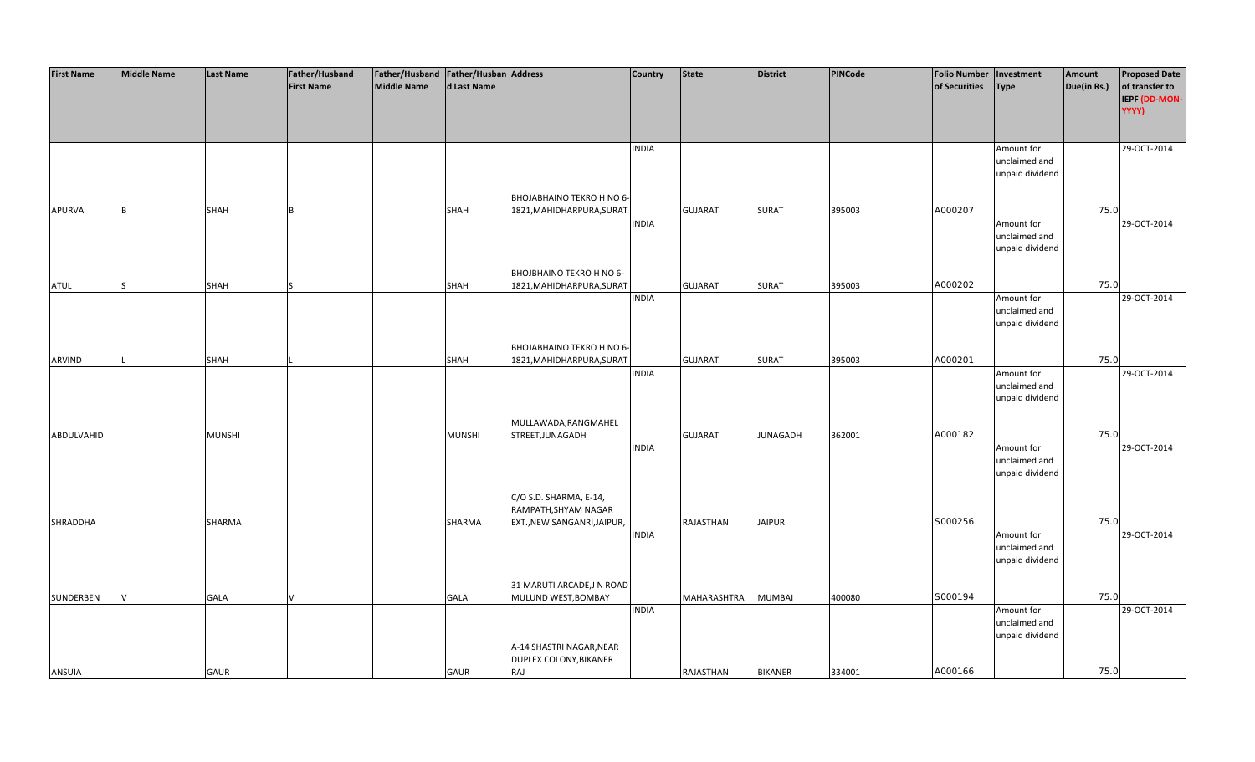| <b>First Name</b> | <b>Middle Name</b> | <b>Last Name</b> | Father/Husband    | Father/Husband Father/Husban Address |               |                             | <b>Country</b> | <b>State</b>   | <b>District</b> | <b>PINCode</b> | <b>Folio Number</b> | Investment                       | Amount      | <b>Proposed Date</b>   |
|-------------------|--------------------|------------------|-------------------|--------------------------------------|---------------|-----------------------------|----------------|----------------|-----------------|----------------|---------------------|----------------------------------|-------------|------------------------|
|                   |                    |                  | <b>First Name</b> | <b>Middle Name</b>                   | d Last Name   |                             |                |                |                 |                | of Securities       | <b>Type</b>                      | Due(in Rs.) | of transfer to         |
|                   |                    |                  |                   |                                      |               |                             |                |                |                 |                |                     |                                  |             | IEPF (DD-MON-<br>YYYY) |
|                   |                    |                  |                   |                                      |               |                             |                |                |                 |                |                     |                                  |             |                        |
|                   |                    |                  |                   |                                      |               |                             |                |                |                 |                |                     |                                  |             |                        |
|                   |                    |                  |                   |                                      |               |                             | <b>INDIA</b>   |                |                 |                |                     | Amount for                       |             | 29-OCT-2014            |
|                   |                    |                  |                   |                                      |               |                             |                |                |                 |                |                     | unclaimed and                    |             |                        |
|                   |                    |                  |                   |                                      |               |                             |                |                |                 |                |                     | unpaid dividend                  |             |                        |
|                   |                    |                  |                   |                                      |               | BHOJABHAINO TEKRO H NO 6-   |                |                |                 |                |                     |                                  |             |                        |
| <b>APURVA</b>     |                    | <b>SHAH</b>      |                   |                                      | <b>SHAH</b>   | 1821, MAHIDHARPURA, SURAT   |                | <b>GUJARAT</b> | <b>SURAT</b>    | 395003         | A000207             |                                  | 75.0        |                        |
|                   |                    |                  |                   |                                      |               |                             | <b>INDIA</b>   |                |                 |                |                     | Amount for                       |             | 29-OCT-2014            |
|                   |                    |                  |                   |                                      |               |                             |                |                |                 |                |                     | unclaimed and                    |             |                        |
|                   |                    |                  |                   |                                      |               |                             |                |                |                 |                |                     | unpaid dividend                  |             |                        |
|                   |                    |                  |                   |                                      |               |                             |                |                |                 |                |                     |                                  |             |                        |
|                   |                    |                  |                   |                                      |               | BHOJBHAINO TEKRO H NO 6-    |                |                |                 |                |                     |                                  |             |                        |
| <b>ATUL</b>       |                    | <b>SHAH</b>      |                   |                                      | <b>SHAH</b>   | 1821, MAHIDHARPURA, SURAT   | <b>INDIA</b>   | <b>GUJARAT</b> | <b>SURAT</b>    | 395003         | A000202             |                                  | 75.0        | 29-OCT-2014            |
|                   |                    |                  |                   |                                      |               |                             |                |                |                 |                |                     | Amount for<br>unclaimed and      |             |                        |
|                   |                    |                  |                   |                                      |               |                             |                |                |                 |                |                     | unpaid dividend                  |             |                        |
|                   |                    |                  |                   |                                      |               |                             |                |                |                 |                |                     |                                  |             |                        |
|                   |                    |                  |                   |                                      |               | BHOJABHAINO TEKRO H NO 6-   |                |                |                 |                |                     |                                  |             |                        |
| ARVIND            |                    | <b>SHAH</b>      |                   |                                      | <b>SHAH</b>   | 1821, MAHIDHARPURA, SURAT   |                | <b>GUJARAT</b> | <b>SURAT</b>    | 395003         | A000201             |                                  | 75.0        |                        |
|                   |                    |                  |                   |                                      |               |                             | <b>INDIA</b>   |                |                 |                |                     | Amount for                       |             | 29-OCT-2014            |
|                   |                    |                  |                   |                                      |               |                             |                |                |                 |                |                     | unclaimed and<br>unpaid dividend |             |                        |
|                   |                    |                  |                   |                                      |               |                             |                |                |                 |                |                     |                                  |             |                        |
|                   |                    |                  |                   |                                      |               | MULLAWADA, RANGMAHEL        |                |                |                 |                |                     |                                  |             |                        |
| ABDULVAHID        |                    | <b>MUNSHI</b>    |                   |                                      | <b>MUNSHI</b> | STREET, JUNAGADH            |                | <b>GUJARAT</b> | <b>JUNAGADH</b> | 362001         | A000182             |                                  | 75.0        |                        |
|                   |                    |                  |                   |                                      |               |                             | <b>INDIA</b>   |                |                 |                |                     | Amount for                       |             | 29-OCT-2014            |
|                   |                    |                  |                   |                                      |               |                             |                |                |                 |                |                     | unclaimed and                    |             |                        |
|                   |                    |                  |                   |                                      |               |                             |                |                |                 |                |                     | unpaid dividend                  |             |                        |
|                   |                    |                  |                   |                                      |               | C/O S.D. SHARMA, E-14,      |                |                |                 |                |                     |                                  |             |                        |
|                   |                    |                  |                   |                                      |               | RAMPATH, SHYAM NAGAR        |                |                |                 |                |                     |                                  |             |                        |
| SHRADDHA          |                    | SHARMA           |                   |                                      | SHARMA        | EXT., NEW SANGANRI, JAIPUR, |                | RAJASTHAN      | <b>JAIPUR</b>   |                | S000256             |                                  | 75.0        |                        |
|                   |                    |                  |                   |                                      |               |                             | <b>INDIA</b>   |                |                 |                |                     | Amount for                       |             | 29-OCT-2014            |
|                   |                    |                  |                   |                                      |               |                             |                |                |                 |                |                     | unclaimed and                    |             |                        |
|                   |                    |                  |                   |                                      |               |                             |                |                |                 |                |                     | unpaid dividend                  |             |                        |
|                   |                    |                  |                   |                                      |               | 31 MARUTI ARCADE, JN ROAD   |                |                |                 |                |                     |                                  |             |                        |
| SUNDERBEN         |                    | <b>GALA</b>      |                   |                                      | <b>GALA</b>   | MULUND WEST, BOMBAY         |                | MAHARASHTRA    | <b>MUMBAI</b>   | 400080         | S000194             |                                  | 75.0        |                        |
|                   |                    |                  |                   |                                      |               |                             | <b>INDIA</b>   |                |                 |                |                     | Amount for                       |             | 29-OCT-2014            |
|                   |                    |                  |                   |                                      |               |                             |                |                |                 |                |                     | unclaimed and                    |             |                        |
|                   |                    |                  |                   |                                      |               |                             |                |                |                 |                |                     | unpaid dividend                  |             |                        |
|                   |                    |                  |                   |                                      |               | A-14 SHASTRI NAGAR, NEAR    |                |                |                 |                |                     |                                  |             |                        |
|                   |                    |                  |                   |                                      |               | DUPLEX COLONY, BIKANER      |                |                |                 |                |                     |                                  |             |                        |
| <b>ANSUIA</b>     |                    | GAUR             |                   |                                      | <b>GAUR</b>   | RAJ                         |                | RAJASTHAN      | <b>BIKANER</b>  | 334001         | A000166             |                                  | 75.0        |                        |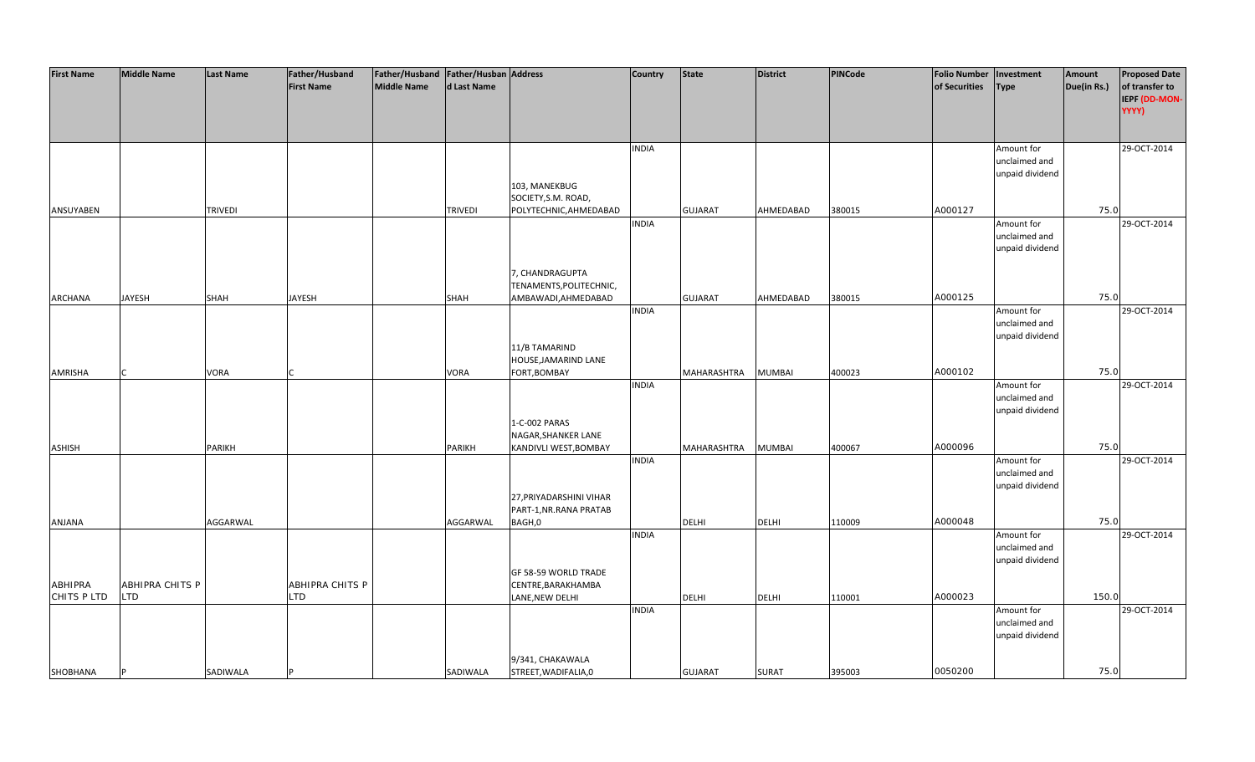| <b>First Name</b> | <b>Middle Name</b>     | <b>Last Name</b> | Father/Husband    | Father/Husband Father/Husban Address |                |                         | <b>Country</b> | <b>State</b>   | <b>District</b> | <b>PINCode</b> | <b>Folio Number</b> | Investment      | Amount      | <b>Proposed Date</b> |
|-------------------|------------------------|------------------|-------------------|--------------------------------------|----------------|-------------------------|----------------|----------------|-----------------|----------------|---------------------|-----------------|-------------|----------------------|
|                   |                        |                  | <b>First Name</b> | Middle Name                          | d Last Name    |                         |                |                |                 |                | of Securities       | <b>Type</b>     | Due(in Rs.) | of transfer to       |
|                   |                        |                  |                   |                                      |                |                         |                |                |                 |                |                     |                 |             | IEPF (DD-MON-        |
|                   |                        |                  |                   |                                      |                |                         |                |                |                 |                |                     |                 |             | YYYY)                |
|                   |                        |                  |                   |                                      |                |                         |                |                |                 |                |                     |                 |             |                      |
|                   |                        |                  |                   |                                      |                |                         |                |                |                 |                |                     |                 |             |                      |
|                   |                        |                  |                   |                                      |                |                         | <b>INDIA</b>   |                |                 |                |                     | Amount for      |             | 29-OCT-2014          |
|                   |                        |                  |                   |                                      |                |                         |                |                |                 |                |                     | unclaimed and   |             |                      |
|                   |                        |                  |                   |                                      |                |                         |                |                |                 |                |                     | unpaid dividend |             |                      |
|                   |                        |                  |                   |                                      |                | 103, MANEKBUG           |                |                |                 |                |                     |                 |             |                      |
|                   |                        |                  |                   |                                      |                | SOCIETY, S.M. ROAD,     |                |                |                 |                |                     |                 |             |                      |
| ANSUYABEN         |                        | <b>TRIVEDI</b>   |                   |                                      | <b>TRIVEDI</b> | POLYTECHNIC, AHMEDABAD  |                | <b>GUJARAT</b> | AHMEDABAD       | 380015         | A000127             |                 | 75.0        |                      |
|                   |                        |                  |                   |                                      |                |                         | <b>INDIA</b>   |                |                 |                |                     | Amount for      |             | 29-OCT-2014          |
|                   |                        |                  |                   |                                      |                |                         |                |                |                 |                |                     | unclaimed and   |             |                      |
|                   |                        |                  |                   |                                      |                |                         |                |                |                 |                |                     | unpaid dividend |             |                      |
|                   |                        |                  |                   |                                      |                |                         |                |                |                 |                |                     |                 |             |                      |
|                   |                        |                  |                   |                                      |                | 7, CHANDRAGUPTA         |                |                |                 |                |                     |                 |             |                      |
|                   |                        |                  |                   |                                      |                | TENAMENTS, POLITECHNIC, |                |                |                 |                |                     |                 |             |                      |
| <b>ARCHANA</b>    | <b>JAYESH</b>          | <b>SHAH</b>      | <b>JAYESH</b>     |                                      | <b>SHAH</b>    | AMBAWADI, AHMEDABAD     |                | <b>GUJARAT</b> | AHMEDABAD       | 380015         | A000125             |                 | 75.0        |                      |
|                   |                        |                  |                   |                                      |                |                         | <b>INDIA</b>   |                |                 |                |                     | Amount for      |             | 29-OCT-2014          |
|                   |                        |                  |                   |                                      |                |                         |                |                |                 |                |                     | unclaimed and   |             |                      |
|                   |                        |                  |                   |                                      |                |                         |                |                |                 |                |                     | unpaid dividend |             |                      |
|                   |                        |                  |                   |                                      |                | 11/B TAMARIND           |                |                |                 |                |                     |                 |             |                      |
|                   |                        |                  |                   |                                      |                | HOUSE, JAMARIND LANE    |                |                |                 |                |                     |                 |             |                      |
| AMRISHA           |                        | <b>VORA</b>      |                   |                                      | VORA           | FORT, BOMBAY            |                | MAHARASHTRA    | <b>MUMBAI</b>   | 400023         | A000102             |                 | 75.0        |                      |
|                   |                        |                  |                   |                                      |                |                         | <b>INDIA</b>   |                |                 |                |                     | Amount for      |             | 29-OCT-2014          |
|                   |                        |                  |                   |                                      |                |                         |                |                |                 |                |                     | unclaimed and   |             |                      |
|                   |                        |                  |                   |                                      |                |                         |                |                |                 |                |                     | unpaid dividend |             |                      |
|                   |                        |                  |                   |                                      |                | 1-C-002 PARAS           |                |                |                 |                |                     |                 |             |                      |
|                   |                        |                  |                   |                                      |                | NAGAR, SHANKER LANE     |                |                |                 |                |                     |                 |             |                      |
| <b>ASHISH</b>     |                        | <b>PARIKH</b>    |                   |                                      | <b>PARIKH</b>  | KANDIVLI WEST, BOMBAY   |                | MAHARASHTRA    | <b>MUMBAI</b>   | 400067         | A000096             |                 | 75.0        |                      |
|                   |                        |                  |                   |                                      |                |                         | <b>INDIA</b>   |                |                 |                |                     | Amount for      |             | 29-OCT-2014          |
|                   |                        |                  |                   |                                      |                |                         |                |                |                 |                |                     | unclaimed and   |             |                      |
|                   |                        |                  |                   |                                      |                |                         |                |                |                 |                |                     | unpaid dividend |             |                      |
|                   |                        |                  |                   |                                      |                | 27, PRIYADARSHINI VIHAR |                |                |                 |                |                     |                 |             |                      |
|                   |                        |                  |                   |                                      |                | PART-1, NR.RANA PRATAB  |                |                |                 |                |                     |                 |             |                      |
| <b>ANJANA</b>     |                        | AGGARWAL         |                   |                                      | AGGARWAL       | BAGH,0                  |                | <b>DELHI</b>   | <b>DELHI</b>    | 110009         | A000048             |                 | 75.0        |                      |
|                   |                        |                  |                   |                                      |                |                         | <b>INDIA</b>   |                |                 |                |                     | Amount for      |             | 29-OCT-2014          |
|                   |                        |                  |                   |                                      |                |                         |                |                |                 |                |                     | unclaimed and   |             |                      |
|                   |                        |                  |                   |                                      |                |                         |                |                |                 |                |                     | unpaid dividend |             |                      |
|                   |                        |                  |                   |                                      |                | GF 58-59 WORLD TRADE    |                |                |                 |                |                     |                 |             |                      |
| <b>ABHIPRA</b>    | <b>ABHIPRA CHITS P</b> |                  | ABHIPRA CHITS P   |                                      |                | CENTRE, BARAKHAMBA      |                |                |                 |                |                     |                 |             |                      |
| CHITS P LTD       | <b>LTD</b>             |                  | LTD.              |                                      |                | LANE, NEW DELHI         |                | <b>DELHI</b>   | <b>DELHI</b>    | 110001         | A000023             |                 | 150.0       |                      |
|                   |                        |                  |                   |                                      |                |                         | <b>INDIA</b>   |                |                 |                |                     | Amount for      |             | 29-OCT-2014          |
|                   |                        |                  |                   |                                      |                |                         |                |                |                 |                |                     | unclaimed and   |             |                      |
|                   |                        |                  |                   |                                      |                |                         |                |                |                 |                |                     | unpaid dividend |             |                      |
|                   |                        |                  |                   |                                      |                |                         |                |                |                 |                |                     |                 |             |                      |
|                   |                        |                  |                   |                                      |                | 9/341, CHAKAWALA        |                |                |                 |                |                     |                 |             |                      |
| SHOBHANA          |                        | SADIWALA         |                   |                                      | SADIWALA       | STREET, WADIFALIA, 0    |                | <b>GUJARAT</b> | <b>SURAT</b>    | 395003         | 0050200             |                 | 75.0        |                      |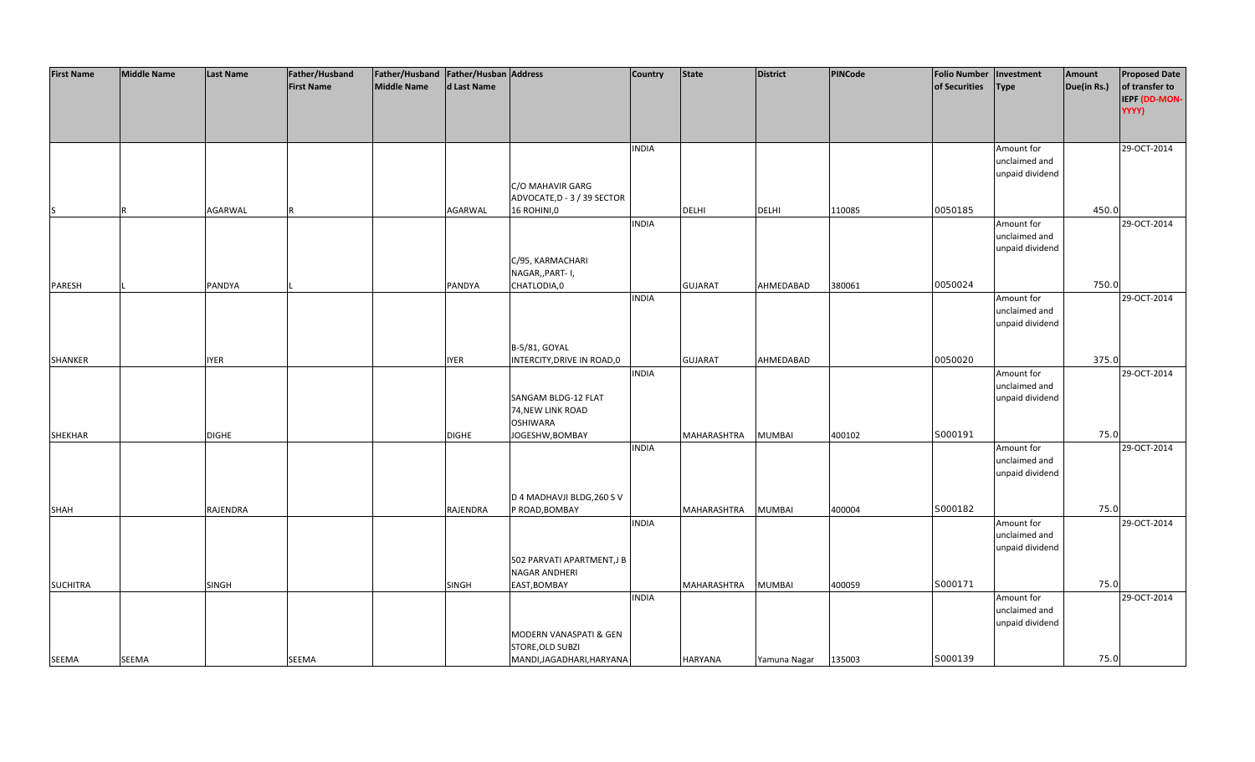| <b>First Name</b> | <b>Middle Name</b> | <b>Last Name</b> | Father/Husband    | Father/Husband   Father/Husban   Address |              |                             | <b>Country</b> | <b>State</b>   | <b>District</b> | PINCode | <b>Folio Number</b> | Investment      | Amount      | <b>Proposed Date</b> |
|-------------------|--------------------|------------------|-------------------|------------------------------------------|--------------|-----------------------------|----------------|----------------|-----------------|---------|---------------------|-----------------|-------------|----------------------|
|                   |                    |                  | <b>First Name</b> | <b>Middle Name</b>                       | d Last Name  |                             |                |                |                 |         | of Securities       | <b>Type</b>     | Due(in Rs.) | of transfer to       |
|                   |                    |                  |                   |                                          |              |                             |                |                |                 |         |                     |                 |             | IEPF (DD-MON-        |
|                   |                    |                  |                   |                                          |              |                             |                |                |                 |         |                     |                 |             | YYYY)                |
|                   |                    |                  |                   |                                          |              |                             |                |                |                 |         |                     |                 |             |                      |
|                   |                    |                  |                   |                                          |              |                             |                |                |                 |         |                     |                 |             |                      |
|                   |                    |                  |                   |                                          |              |                             |                |                |                 |         |                     |                 |             |                      |
|                   |                    |                  |                   |                                          |              |                             | <b>INDIA</b>   |                |                 |         |                     | Amount for      |             | 29-OCT-2014          |
|                   |                    |                  |                   |                                          |              |                             |                |                |                 |         |                     | unclaimed and   |             |                      |
|                   |                    |                  |                   |                                          |              |                             |                |                |                 |         |                     | unpaid dividend |             |                      |
|                   |                    |                  |                   |                                          |              | C/O MAHAVIR GARG            |                |                |                 |         |                     |                 |             |                      |
|                   |                    |                  |                   |                                          |              | ADVOCATE, D - 3 / 39 SECTOR |                |                |                 |         |                     |                 |             |                      |
| IS                |                    | AGARWAL          |                   |                                          | AGARWAL      | 16 ROHINI,0                 |                | <b>DELHI</b>   | <b>DELHI</b>    | 110085  | 0050185             |                 | 450.0       |                      |
|                   |                    |                  |                   |                                          |              |                             | <b>INDIA</b>   |                |                 |         |                     | Amount for      |             | 29-OCT-2014          |
|                   |                    |                  |                   |                                          |              |                             |                |                |                 |         |                     | unclaimed and   |             |                      |
|                   |                    |                  |                   |                                          |              |                             |                |                |                 |         |                     | unpaid dividend |             |                      |
|                   |                    |                  |                   |                                          |              | C/95, KARMACHARI            |                |                |                 |         |                     |                 |             |                      |
|                   |                    |                  |                   |                                          |              | NAGAR,, PART- I,            |                |                |                 |         |                     |                 |             |                      |
| PARESH            |                    | PANDYA           |                   |                                          | PANDYA       | CHATLODIA,0                 |                | <b>GUJARAT</b> | AHMEDABAD       | 380061  | 0050024             |                 | 750.0       |                      |
|                   |                    |                  |                   |                                          |              |                             | <b>INDIA</b>   |                |                 |         |                     | Amount for      |             | 29-OCT-2014          |
|                   |                    |                  |                   |                                          |              |                             |                |                |                 |         |                     | unclaimed and   |             |                      |
|                   |                    |                  |                   |                                          |              |                             |                |                |                 |         |                     | unpaid dividend |             |                      |
|                   |                    |                  |                   |                                          |              |                             |                |                |                 |         |                     |                 |             |                      |
|                   |                    |                  |                   |                                          |              | B-5/81, GOYAL               |                |                |                 |         |                     |                 |             |                      |
| SHANKER           |                    | <b>IYER</b>      |                   |                                          | <b>IYER</b>  | INTERCITY, DRIVE IN ROAD, 0 |                | <b>GUJARAT</b> | AHMEDABAD       |         | 0050020             |                 | 375.0       |                      |
|                   |                    |                  |                   |                                          |              |                             | <b>INDIA</b>   |                |                 |         |                     | Amount for      |             | 29-OCT-2014          |
|                   |                    |                  |                   |                                          |              |                             |                |                |                 |         |                     | unclaimed and   |             |                      |
|                   |                    |                  |                   |                                          |              | SANGAM BLDG-12 FLAT         |                |                |                 |         |                     | unpaid dividend |             |                      |
|                   |                    |                  |                   |                                          |              | 74, NEW LINK ROAD           |                |                |                 |         |                     |                 |             |                      |
|                   |                    |                  |                   |                                          |              | <b>OSHIWARA</b>             |                |                |                 |         |                     |                 |             |                      |
|                   |                    |                  |                   |                                          |              |                             |                |                |                 | 400102  | S000191             |                 | 75.0        |                      |
| <b>SHEKHAR</b>    |                    | <b>DIGHE</b>     |                   |                                          | <b>DIGHE</b> | JOGESHW, BOMBAY             |                | MAHARASHTRA    | <b>MUMBAI</b>   |         |                     |                 |             | 29-OCT-2014          |
|                   |                    |                  |                   |                                          |              |                             | <b>INDIA</b>   |                |                 |         |                     | Amount for      |             |                      |
|                   |                    |                  |                   |                                          |              |                             |                |                |                 |         |                     | unclaimed and   |             |                      |
|                   |                    |                  |                   |                                          |              |                             |                |                |                 |         |                     | unpaid dividend |             |                      |
|                   |                    |                  |                   |                                          |              |                             |                |                |                 |         |                     |                 |             |                      |
|                   |                    |                  |                   |                                          |              | D 4 MADHAVJI BLDG, 260 S V  |                |                |                 |         |                     |                 |             |                      |
| SHAH              |                    | RAJENDRA         |                   |                                          | RAJENDRA     | P ROAD, BOMBAY              |                | MAHARASHTRA    | <b>MUMBAI</b>   | 400004  | S000182             |                 | 75.0        |                      |
|                   |                    |                  |                   |                                          |              |                             | <b>INDIA</b>   |                |                 |         |                     | Amount for      |             | 29-OCT-2014          |
|                   |                    |                  |                   |                                          |              |                             |                |                |                 |         |                     | unclaimed and   |             |                      |
|                   |                    |                  |                   |                                          |              |                             |                |                |                 |         |                     | unpaid dividend |             |                      |
|                   |                    |                  |                   |                                          |              | 502 PARVATI APARTMENT,J B   |                |                |                 |         |                     |                 |             |                      |
|                   |                    |                  |                   |                                          |              | NAGAR ANDHERI               |                |                |                 |         |                     |                 |             |                      |
| <b>SUCHITRA</b>   |                    | SINGH            |                   |                                          | <b>SINGH</b> | EAST, BOMBAY                |                | MAHARASHTRA    | <b>MUMBAI</b>   | 400059  | S000171             |                 | 75.0        |                      |
|                   |                    |                  |                   |                                          |              |                             | <b>INDIA</b>   |                |                 |         |                     | Amount for      |             | 29-OCT-2014          |
|                   |                    |                  |                   |                                          |              |                             |                |                |                 |         |                     | unclaimed and   |             |                      |
|                   |                    |                  |                   |                                          |              |                             |                |                |                 |         |                     | unpaid dividend |             |                      |
|                   |                    |                  |                   |                                          |              | MODERN VANASPATI & GEN      |                |                |                 |         |                     |                 |             |                      |
|                   |                    |                  |                   |                                          |              | <b>STORE, OLD SUBZI</b>     |                |                |                 |         |                     |                 |             |                      |
| SEEMA             | <b>SEEMA</b>       |                  | SEEMA             |                                          |              | MANDI, JAGADHARI, HARYANA   |                | <b>HARYANA</b> | Yamuna Nagar    | 135003  | S000139             |                 | 75.0        |                      |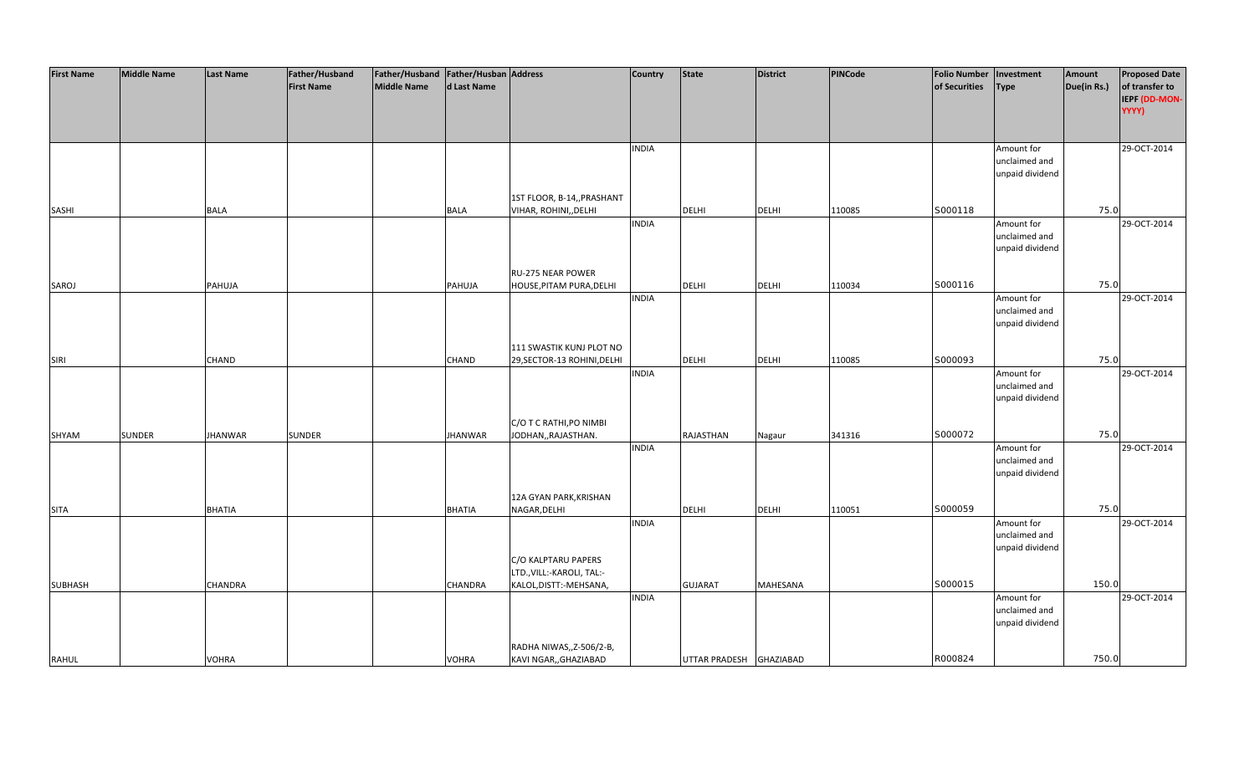| <b>First Name</b> | <b>Middle Name</b> | <b>Last Name</b> | Father/Husband    | Father/Husband Father/Husban Address |                |                             | <b>Country</b> | <b>State</b>            | <b>District</b> | PINCode | <b>Folio Number</b> | Investment      | Amount      | <b>Proposed Date</b> |
|-------------------|--------------------|------------------|-------------------|--------------------------------------|----------------|-----------------------------|----------------|-------------------------|-----------------|---------|---------------------|-----------------|-------------|----------------------|
|                   |                    |                  | <b>First Name</b> | <b>Middle Name</b>                   | d Last Name    |                             |                |                         |                 |         | of Securities       | <b>Type</b>     | Due(in Rs.) | of transfer to       |
|                   |                    |                  |                   |                                      |                |                             |                |                         |                 |         |                     |                 |             | IEPF (DD-MON-        |
|                   |                    |                  |                   |                                      |                |                             |                |                         |                 |         |                     |                 |             | YYYY)                |
|                   |                    |                  |                   |                                      |                |                             |                |                         |                 |         |                     |                 |             |                      |
|                   |                    |                  |                   |                                      |                |                             |                |                         |                 |         |                     |                 |             |                      |
|                   |                    |                  |                   |                                      |                |                             | <b>INDIA</b>   |                         |                 |         |                     | Amount for      |             | 29-OCT-2014          |
|                   |                    |                  |                   |                                      |                |                             |                |                         |                 |         |                     | unclaimed and   |             |                      |
|                   |                    |                  |                   |                                      |                |                             |                |                         |                 |         |                     | unpaid dividend |             |                      |
|                   |                    |                  |                   |                                      |                |                             |                |                         |                 |         |                     |                 |             |                      |
|                   |                    |                  |                   |                                      |                | 1ST FLOOR, B-14,, PRASHANT  |                |                         |                 |         |                     |                 |             |                      |
| SASHI             |                    | <b>BALA</b>      |                   |                                      | <b>BALA</b>    | VIHAR, ROHINI,, DELHI       |                | <b>DELHI</b>            | <b>DELHI</b>    | 110085  | S000118             |                 | 75.0        |                      |
|                   |                    |                  |                   |                                      |                |                             | <b>INDIA</b>   |                         |                 |         |                     | Amount for      |             | 29-OCT-2014          |
|                   |                    |                  |                   |                                      |                |                             |                |                         |                 |         |                     | unclaimed and   |             |                      |
|                   |                    |                  |                   |                                      |                |                             |                |                         |                 |         |                     | unpaid dividend |             |                      |
|                   |                    |                  |                   |                                      |                |                             |                |                         |                 |         |                     |                 |             |                      |
|                   |                    |                  |                   |                                      |                | RU-275 NEAR POWER           |                |                         |                 |         |                     |                 |             |                      |
| SAROJ             |                    | PAHUJA           |                   |                                      | PAHUJA         | HOUSE, PITAM PURA, DELHI    |                | DELHI                   | <b>DELHI</b>    | 110034  | S000116             |                 | 75.0        |                      |
|                   |                    |                  |                   |                                      |                |                             | <b>INDIA</b>   |                         |                 |         |                     | Amount for      |             | 29-OCT-2014          |
|                   |                    |                  |                   |                                      |                |                             |                |                         |                 |         |                     | unclaimed and   |             |                      |
|                   |                    |                  |                   |                                      |                |                             |                |                         |                 |         |                     | unpaid dividend |             |                      |
|                   |                    |                  |                   |                                      |                |                             |                |                         |                 |         |                     |                 |             |                      |
|                   |                    |                  |                   |                                      |                | 111 SWASTIK KUNJ PLOT NO    |                |                         |                 |         |                     |                 |             |                      |
| SIRI              |                    | <b>CHAND</b>     |                   |                                      | <b>CHAND</b>   | 29, SECTOR-13 ROHINI, DELHI |                | <b>DELHI</b>            | <b>DELHI</b>    | 110085  | S000093             |                 | 75.0        |                      |
|                   |                    |                  |                   |                                      |                |                             | <b>INDIA</b>   |                         |                 |         |                     | Amount for      |             | 29-OCT-2014          |
|                   |                    |                  |                   |                                      |                |                             |                |                         |                 |         |                     | unclaimed and   |             |                      |
|                   |                    |                  |                   |                                      |                |                             |                |                         |                 |         |                     | unpaid dividend |             |                      |
|                   |                    |                  |                   |                                      |                |                             |                |                         |                 |         |                     |                 |             |                      |
|                   |                    |                  |                   |                                      |                | C/O T C RATHI, PO NIMBI     |                |                         |                 |         |                     |                 |             |                      |
| SHYAM             | <b>SUNDER</b>      | <b>JHANWAR</b>   | <b>SUNDER</b>     |                                      | <b>JHANWAR</b> | JODHAN,, RAJASTHAN.         |                | RAJASTHAN               | Nagaur          | 341316  | S000072             |                 | 75.0        |                      |
|                   |                    |                  |                   |                                      |                |                             | <b>INDIA</b>   |                         |                 |         |                     | Amount for      |             | 29-OCT-2014          |
|                   |                    |                  |                   |                                      |                |                             |                |                         |                 |         |                     | unclaimed and   |             |                      |
|                   |                    |                  |                   |                                      |                |                             |                |                         |                 |         |                     | unpaid dividend |             |                      |
|                   |                    |                  |                   |                                      |                |                             |                |                         |                 |         |                     |                 |             |                      |
|                   |                    |                  |                   |                                      |                | 12A GYAN PARK, KRISHAN      |                |                         |                 |         |                     |                 |             |                      |
| <b>SITA</b>       |                    | <b>BHATIA</b>    |                   |                                      | <b>BHATIA</b>  | NAGAR, DELHI                |                | <b>DELHI</b>            | <b>DELHI</b>    | 110051  | S000059             |                 | 75.0        |                      |
|                   |                    |                  |                   |                                      |                |                             | <b>INDIA</b>   |                         |                 |         |                     | Amount for      |             | 29-OCT-2014          |
|                   |                    |                  |                   |                                      |                |                             |                |                         |                 |         |                     | unclaimed and   |             |                      |
|                   |                    |                  |                   |                                      |                |                             |                |                         |                 |         |                     | unpaid dividend |             |                      |
|                   |                    |                  |                   |                                      |                | C/O KALPTARU PAPERS         |                |                         |                 |         |                     |                 |             |                      |
|                   |                    |                  |                   |                                      |                | LTD., VILL:-KAROLI, TAL:-   |                |                         |                 |         |                     |                 |             |                      |
| <b>SUBHASH</b>    |                    | <b>CHANDRA</b>   |                   |                                      | <b>CHANDRA</b> | KALOL, DISTT: - MEHSANA,    |                | <b>GUJARAT</b>          | <b>MAHESANA</b> |         | S000015             |                 | 150.0       |                      |
|                   |                    |                  |                   |                                      |                |                             | <b>INDIA</b>   |                         |                 |         |                     | Amount for      |             | 29-OCT-2014          |
|                   |                    |                  |                   |                                      |                |                             |                |                         |                 |         |                     | unclaimed and   |             |                      |
|                   |                    |                  |                   |                                      |                |                             |                |                         |                 |         |                     | unpaid dividend |             |                      |
|                   |                    |                  |                   |                                      |                |                             |                |                         |                 |         |                     |                 |             |                      |
|                   |                    |                  |                   |                                      |                | RADHA NIWAS,, Z-506/2-B,    |                |                         |                 |         |                     |                 |             |                      |
| <b>RAHUL</b>      |                    | <b>VOHRA</b>     |                   |                                      | <b>VOHRA</b>   | KAVI NGAR,, GHAZIABAD       |                | UTTAR PRADESH GHAZIABAD |                 |         | R000824             |                 | 750.0       |                      |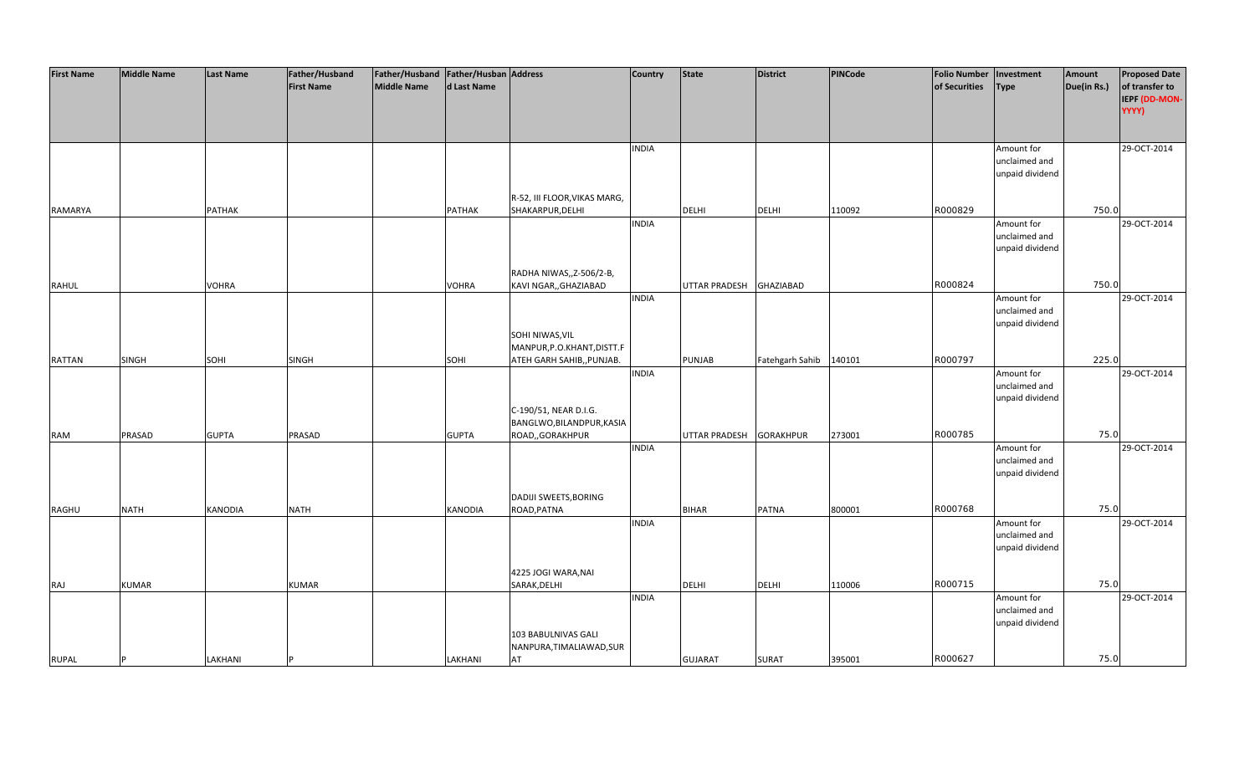| of transfer to<br><b>First Name</b><br><b>Middle Name</b><br>d Last Name<br>of Securities<br>Due(in Rs.)<br><b>Type</b><br>IEPF (DD-MON-<br>YYYY)<br>29-OCT-2014<br><b>INDIA</b><br>Amount for<br>unclaimed and<br>unpaid dividend<br>R-52, III FLOOR, VIKAS MARG,<br>R000829<br>750.0<br><b>PATHAK</b><br>SHAKARPUR, DELHI<br><b>DELHI</b><br><b>DELHI</b><br>110092<br>RAMARYA<br><b>PATHAK</b><br><b>INDIA</b><br>29-OCT-2014<br>Amount for<br>unclaimed and<br>unpaid dividend<br>RADHA NIWAS,, Z-506/2-B,<br>R000824<br>750.0<br><b>VOHRA</b><br><b>VOHRA</b><br>KAVI NGAR,, GHAZIABAD<br><b>UTTAR PRADESH</b><br><b>GHAZIABAD</b><br><b>RAHUL</b><br><b>INDIA</b><br>Amount for<br>29-OCT-2014 | <b>First Name</b> | <b>Middle Name</b> | <b>Last Name</b> | Father/Husband | Father/Husband Father/Husban Address |  | <b>Country</b> | <b>State</b> | <b>District</b> | PINCode | <b>Folio Number</b> | Investment | Amount | <b>Proposed Date</b> |
|------------------------------------------------------------------------------------------------------------------------------------------------------------------------------------------------------------------------------------------------------------------------------------------------------------------------------------------------------------------------------------------------------------------------------------------------------------------------------------------------------------------------------------------------------------------------------------------------------------------------------------------------------------------------------------------------------|-------------------|--------------------|------------------|----------------|--------------------------------------|--|----------------|--------------|-----------------|---------|---------------------|------------|--------|----------------------|
|                                                                                                                                                                                                                                                                                                                                                                                                                                                                                                                                                                                                                                                                                                      |                   |                    |                  |                |                                      |  |                |              |                 |         |                     |            |        |                      |
|                                                                                                                                                                                                                                                                                                                                                                                                                                                                                                                                                                                                                                                                                                      |                   |                    |                  |                |                                      |  |                |              |                 |         |                     |            |        |                      |
|                                                                                                                                                                                                                                                                                                                                                                                                                                                                                                                                                                                                                                                                                                      |                   |                    |                  |                |                                      |  |                |              |                 |         |                     |            |        |                      |
|                                                                                                                                                                                                                                                                                                                                                                                                                                                                                                                                                                                                                                                                                                      |                   |                    |                  |                |                                      |  |                |              |                 |         |                     |            |        |                      |
|                                                                                                                                                                                                                                                                                                                                                                                                                                                                                                                                                                                                                                                                                                      |                   |                    |                  |                |                                      |  |                |              |                 |         |                     |            |        |                      |
|                                                                                                                                                                                                                                                                                                                                                                                                                                                                                                                                                                                                                                                                                                      |                   |                    |                  |                |                                      |  |                |              |                 |         |                     |            |        |                      |
|                                                                                                                                                                                                                                                                                                                                                                                                                                                                                                                                                                                                                                                                                                      |                   |                    |                  |                |                                      |  |                |              |                 |         |                     |            |        |                      |
|                                                                                                                                                                                                                                                                                                                                                                                                                                                                                                                                                                                                                                                                                                      |                   |                    |                  |                |                                      |  |                |              |                 |         |                     |            |        |                      |
|                                                                                                                                                                                                                                                                                                                                                                                                                                                                                                                                                                                                                                                                                                      |                   |                    |                  |                |                                      |  |                |              |                 |         |                     |            |        |                      |
|                                                                                                                                                                                                                                                                                                                                                                                                                                                                                                                                                                                                                                                                                                      |                   |                    |                  |                |                                      |  |                |              |                 |         |                     |            |        |                      |
|                                                                                                                                                                                                                                                                                                                                                                                                                                                                                                                                                                                                                                                                                                      |                   |                    |                  |                |                                      |  |                |              |                 |         |                     |            |        |                      |
|                                                                                                                                                                                                                                                                                                                                                                                                                                                                                                                                                                                                                                                                                                      |                   |                    |                  |                |                                      |  |                |              |                 |         |                     |            |        |                      |
|                                                                                                                                                                                                                                                                                                                                                                                                                                                                                                                                                                                                                                                                                                      |                   |                    |                  |                |                                      |  |                |              |                 |         |                     |            |        |                      |
|                                                                                                                                                                                                                                                                                                                                                                                                                                                                                                                                                                                                                                                                                                      |                   |                    |                  |                |                                      |  |                |              |                 |         |                     |            |        |                      |
|                                                                                                                                                                                                                                                                                                                                                                                                                                                                                                                                                                                                                                                                                                      |                   |                    |                  |                |                                      |  |                |              |                 |         |                     |            |        |                      |
|                                                                                                                                                                                                                                                                                                                                                                                                                                                                                                                                                                                                                                                                                                      |                   |                    |                  |                |                                      |  |                |              |                 |         |                     |            |        |                      |
|                                                                                                                                                                                                                                                                                                                                                                                                                                                                                                                                                                                                                                                                                                      |                   |                    |                  |                |                                      |  |                |              |                 |         |                     |            |        |                      |
|                                                                                                                                                                                                                                                                                                                                                                                                                                                                                                                                                                                                                                                                                                      |                   |                    |                  |                |                                      |  |                |              |                 |         |                     |            |        |                      |
|                                                                                                                                                                                                                                                                                                                                                                                                                                                                                                                                                                                                                                                                                                      |                   |                    |                  |                |                                      |  |                |              |                 |         |                     |            |        |                      |
| unclaimed and                                                                                                                                                                                                                                                                                                                                                                                                                                                                                                                                                                                                                                                                                        |                   |                    |                  |                |                                      |  |                |              |                 |         |                     |            |        |                      |
| unpaid dividend                                                                                                                                                                                                                                                                                                                                                                                                                                                                                                                                                                                                                                                                                      |                   |                    |                  |                |                                      |  |                |              |                 |         |                     |            |        |                      |
| SOHI NIWAS, VIL                                                                                                                                                                                                                                                                                                                                                                                                                                                                                                                                                                                                                                                                                      |                   |                    |                  |                |                                      |  |                |              |                 |         |                     |            |        |                      |
| MANPUR, P.O.KHANT, DISTT.F                                                                                                                                                                                                                                                                                                                                                                                                                                                                                                                                                                                                                                                                           |                   |                    |                  |                |                                      |  |                |              |                 |         |                     |            |        |                      |
| R000797<br>225.0<br><b>SINGH</b><br>140101<br>SOHI<br>SINGH<br>SOHI<br>ATEH GARH SAHIB,, PUNJAB.<br>PUNJAB<br>Fatehgarh Sahib<br><b>RATTAN</b>                                                                                                                                                                                                                                                                                                                                                                                                                                                                                                                                                       |                   |                    |                  |                |                                      |  |                |              |                 |         |                     |            |        |                      |
| <b>INDIA</b><br>29-OCT-2014<br>Amount for                                                                                                                                                                                                                                                                                                                                                                                                                                                                                                                                                                                                                                                            |                   |                    |                  |                |                                      |  |                |              |                 |         |                     |            |        |                      |
| unclaimed and                                                                                                                                                                                                                                                                                                                                                                                                                                                                                                                                                                                                                                                                                        |                   |                    |                  |                |                                      |  |                |              |                 |         |                     |            |        |                      |
| unpaid dividend                                                                                                                                                                                                                                                                                                                                                                                                                                                                                                                                                                                                                                                                                      |                   |                    |                  |                |                                      |  |                |              |                 |         |                     |            |        |                      |
|                                                                                                                                                                                                                                                                                                                                                                                                                                                                                                                                                                                                                                                                                                      |                   |                    |                  |                |                                      |  |                |              |                 |         |                     |            |        |                      |
| C-190/51, NEAR D.I.G.                                                                                                                                                                                                                                                                                                                                                                                                                                                                                                                                                                                                                                                                                |                   |                    |                  |                |                                      |  |                |              |                 |         |                     |            |        |                      |
| BANGLWO, BILANDPUR, KASIA                                                                                                                                                                                                                                                                                                                                                                                                                                                                                                                                                                                                                                                                            |                   |                    |                  |                |                                      |  |                |              |                 |         |                     |            |        |                      |
| R000785<br>75.0<br><b>PRASAD</b><br><b>GUPTA</b><br>PRASAD<br><b>GUPTA</b><br>ROAD,,GORAKHPUR<br>UTTAR PRADESH<br><b>GORAKHPUR</b><br>273001<br><b>RAM</b>                                                                                                                                                                                                                                                                                                                                                                                                                                                                                                                                           |                   |                    |                  |                |                                      |  |                |              |                 |         |                     |            |        |                      |
| <b>INDIA</b><br>29-OCT-2014<br>Amount for                                                                                                                                                                                                                                                                                                                                                                                                                                                                                                                                                                                                                                                            |                   |                    |                  |                |                                      |  |                |              |                 |         |                     |            |        |                      |
| unclaimed and                                                                                                                                                                                                                                                                                                                                                                                                                                                                                                                                                                                                                                                                                        |                   |                    |                  |                |                                      |  |                |              |                 |         |                     |            |        |                      |
| unpaid dividend                                                                                                                                                                                                                                                                                                                                                                                                                                                                                                                                                                                                                                                                                      |                   |                    |                  |                |                                      |  |                |              |                 |         |                     |            |        |                      |
|                                                                                                                                                                                                                                                                                                                                                                                                                                                                                                                                                                                                                                                                                                      |                   |                    |                  |                |                                      |  |                |              |                 |         |                     |            |        |                      |
| DADIJI SWEETS, BORING                                                                                                                                                                                                                                                                                                                                                                                                                                                                                                                                                                                                                                                                                |                   |                    |                  |                |                                      |  |                |              |                 |         |                     |            |        |                      |
| R000768<br>75.0<br><b>NATH</b><br><b>KANODIA</b><br><b>NATH</b><br>KANODIA<br>ROAD, PATNA<br><b>BIHAR</b><br><b>PATNA</b><br>800001<br>RAGHU                                                                                                                                                                                                                                                                                                                                                                                                                                                                                                                                                         |                   |                    |                  |                |                                      |  |                |              |                 |         |                     |            |        |                      |
| 29-OCT-2014<br><b>INDIA</b><br>Amount for                                                                                                                                                                                                                                                                                                                                                                                                                                                                                                                                                                                                                                                            |                   |                    |                  |                |                                      |  |                |              |                 |         |                     |            |        |                      |
| unclaimed and                                                                                                                                                                                                                                                                                                                                                                                                                                                                                                                                                                                                                                                                                        |                   |                    |                  |                |                                      |  |                |              |                 |         |                     |            |        |                      |
| unpaid dividend                                                                                                                                                                                                                                                                                                                                                                                                                                                                                                                                                                                                                                                                                      |                   |                    |                  |                |                                      |  |                |              |                 |         |                     |            |        |                      |
|                                                                                                                                                                                                                                                                                                                                                                                                                                                                                                                                                                                                                                                                                                      |                   |                    |                  |                |                                      |  |                |              |                 |         |                     |            |        |                      |
| 4225 JOGI WARA, NAI                                                                                                                                                                                                                                                                                                                                                                                                                                                                                                                                                                                                                                                                                  |                   |                    |                  |                |                                      |  |                |              |                 |         |                     |            |        |                      |
| R000715<br>75.0<br>SARAK, DELHI<br><b>DELHI</b><br><b>KUMAR</b><br><b>KUMAR</b><br><b>DELHI</b><br>110006<br>RAJ                                                                                                                                                                                                                                                                                                                                                                                                                                                                                                                                                                                     |                   |                    |                  |                |                                      |  |                |              |                 |         |                     |            |        |                      |
| <b>INDIA</b><br>Amount for<br>29-OCT-2014                                                                                                                                                                                                                                                                                                                                                                                                                                                                                                                                                                                                                                                            |                   |                    |                  |                |                                      |  |                |              |                 |         |                     |            |        |                      |
| unclaimed and                                                                                                                                                                                                                                                                                                                                                                                                                                                                                                                                                                                                                                                                                        |                   |                    |                  |                |                                      |  |                |              |                 |         |                     |            |        |                      |
| unpaid dividend                                                                                                                                                                                                                                                                                                                                                                                                                                                                                                                                                                                                                                                                                      |                   |                    |                  |                |                                      |  |                |              |                 |         |                     |            |        |                      |
| 103 BABULNIVAS GALI                                                                                                                                                                                                                                                                                                                                                                                                                                                                                                                                                                                                                                                                                  |                   |                    |                  |                |                                      |  |                |              |                 |         |                     |            |        |                      |
| NANPURA, TIMALIAWAD, SUR                                                                                                                                                                                                                                                                                                                                                                                                                                                                                                                                                                                                                                                                             |                   |                    |                  |                |                                      |  |                |              |                 |         |                     |            |        |                      |
| R000627<br>75.0<br><b>RUPAL</b><br>LAKHANI<br>LAKHANI<br><b>GUJARAT</b><br><b>SURAT</b><br>395001<br>AT                                                                                                                                                                                                                                                                                                                                                                                                                                                                                                                                                                                              |                   |                    |                  |                |                                      |  |                |              |                 |         |                     |            |        |                      |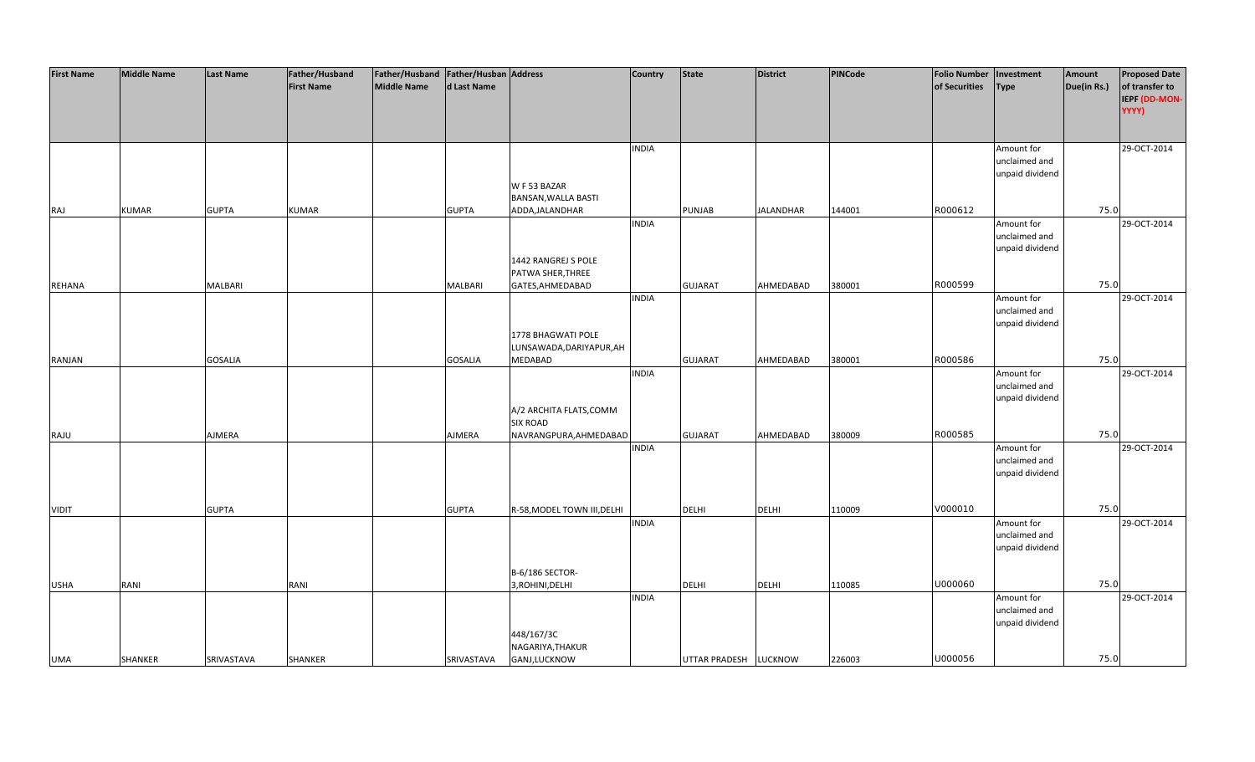| <b>First Name</b> | <b>Middle Name</b> | <b>Last Name</b> | Father/Husband    | Father/Husband Father/Husban Address |                |                             | <b>Country</b> | <b>State</b>          | <b>District</b>  | PINCode | <b>Folio Number</b> | Investment                  | Amount      | <b>Proposed Date</b> |
|-------------------|--------------------|------------------|-------------------|--------------------------------------|----------------|-----------------------------|----------------|-----------------------|------------------|---------|---------------------|-----------------------------|-------------|----------------------|
|                   |                    |                  | <b>First Name</b> | <b>Middle Name</b>                   | d Last Name    |                             |                |                       |                  |         | of Securities       | <b>Type</b>                 | Due(in Rs.) | of transfer to       |
|                   |                    |                  |                   |                                      |                |                             |                |                       |                  |         |                     |                             |             | IEPF (DD-MON-        |
|                   |                    |                  |                   |                                      |                |                             |                |                       |                  |         |                     |                             |             | YYYY)                |
|                   |                    |                  |                   |                                      |                |                             |                |                       |                  |         |                     |                             |             |                      |
|                   |                    |                  |                   |                                      |                |                             |                |                       |                  |         |                     |                             |             |                      |
|                   |                    |                  |                   |                                      |                |                             | <b>INDIA</b>   |                       |                  |         |                     |                             |             | 29-OCT-2014          |
|                   |                    |                  |                   |                                      |                |                             |                |                       |                  |         |                     | Amount for<br>unclaimed and |             |                      |
|                   |                    |                  |                   |                                      |                |                             |                |                       |                  |         |                     | unpaid dividend             |             |                      |
|                   |                    |                  |                   |                                      |                | W F 53 BAZAR                |                |                       |                  |         |                     |                             |             |                      |
|                   |                    |                  |                   |                                      |                |                             |                |                       |                  |         |                     |                             |             |                      |
|                   |                    |                  |                   |                                      |                | BANSAN, WALLA BASTI         |                |                       |                  |         | R000612             |                             | 75.0        |                      |
| RAJ               | <b>KUMAR</b>       | <b>GUPTA</b>     | <b>KUMAR</b>      |                                      | <b>GUPTA</b>   | ADDA, JALANDHAR             |                | PUNJAB                | <b>JALANDHAR</b> | 144001  |                     |                             |             |                      |
|                   |                    |                  |                   |                                      |                |                             | <b>INDIA</b>   |                       |                  |         |                     | Amount for                  |             | 29-OCT-2014          |
|                   |                    |                  |                   |                                      |                |                             |                |                       |                  |         |                     | unclaimed and               |             |                      |
|                   |                    |                  |                   |                                      |                |                             |                |                       |                  |         |                     | unpaid dividend             |             |                      |
|                   |                    |                  |                   |                                      |                | 1442 RANGREJ S POLE         |                |                       |                  |         |                     |                             |             |                      |
|                   |                    |                  |                   |                                      |                | PATWA SHER, THREE           |                |                       |                  |         |                     |                             |             |                      |
| <b>REHANA</b>     |                    | <b>MALBARI</b>   |                   |                                      | <b>MALBARI</b> | GATES, AHMEDABAD            |                | <b>GUJARAT</b>        | AHMEDABAD        | 380001  | R000599             |                             | 75.0        |                      |
|                   |                    |                  |                   |                                      |                |                             | <b>INDIA</b>   |                       |                  |         |                     | Amount for                  |             | 29-OCT-2014          |
|                   |                    |                  |                   |                                      |                |                             |                |                       |                  |         |                     | unclaimed and               |             |                      |
|                   |                    |                  |                   |                                      |                |                             |                |                       |                  |         |                     | unpaid dividend             |             |                      |
|                   |                    |                  |                   |                                      |                | 1778 BHAGWATI POLE          |                |                       |                  |         |                     |                             |             |                      |
|                   |                    |                  |                   |                                      |                | LUNSAWADA, DARIYAPUR, AH    |                |                       |                  |         |                     |                             |             |                      |
| <b>RANJAN</b>     |                    | <b>GOSALIA</b>   |                   |                                      | <b>GOSALIA</b> | <b>MEDABAD</b>              |                | <b>GUJARAT</b>        | AHMEDABAD        | 380001  | R000586             |                             | 75.0        |                      |
|                   |                    |                  |                   |                                      |                |                             | <b>INDIA</b>   |                       |                  |         |                     | Amount for                  |             | 29-OCT-2014          |
|                   |                    |                  |                   |                                      |                |                             |                |                       |                  |         |                     | unclaimed and               |             |                      |
|                   |                    |                  |                   |                                      |                |                             |                |                       |                  |         |                     | unpaid dividend             |             |                      |
|                   |                    |                  |                   |                                      |                | A/2 ARCHITA FLATS, COMM     |                |                       |                  |         |                     |                             |             |                      |
|                   |                    |                  |                   |                                      |                | <b>SIX ROAD</b>             |                |                       |                  |         |                     |                             |             |                      |
| RAJU              |                    | AJMERA           |                   |                                      | AJMERA         | NAVRANGPURA, AHMEDABAD      |                | <b>GUJARAT</b>        | AHMEDABAD        | 380009  | R000585             |                             | 75.0        |                      |
|                   |                    |                  |                   |                                      |                |                             | <b>INDIA</b>   |                       |                  |         |                     | Amount for                  |             | 29-OCT-2014          |
|                   |                    |                  |                   |                                      |                |                             |                |                       |                  |         |                     | unclaimed and               |             |                      |
|                   |                    |                  |                   |                                      |                |                             |                |                       |                  |         |                     | unpaid dividend             |             |                      |
|                   |                    |                  |                   |                                      |                |                             |                |                       |                  |         |                     |                             |             |                      |
|                   |                    |                  |                   |                                      |                |                             |                |                       |                  |         |                     |                             |             |                      |
| <b>VIDIT</b>      |                    | <b>GUPTA</b>     |                   |                                      | <b>GUPTA</b>   | R-58, MODEL TOWN III, DELHI |                | <b>DELHI</b>          | <b>DELHI</b>     | 110009  | V000010             |                             | 75.0        |                      |
|                   |                    |                  |                   |                                      |                |                             | <b>INDIA</b>   |                       |                  |         |                     | Amount for                  |             | 29-OCT-2014          |
|                   |                    |                  |                   |                                      |                |                             |                |                       |                  |         |                     | unclaimed and               |             |                      |
|                   |                    |                  |                   |                                      |                |                             |                |                       |                  |         |                     | unpaid dividend             |             |                      |
|                   |                    |                  |                   |                                      |                |                             |                |                       |                  |         |                     |                             |             |                      |
|                   |                    |                  |                   |                                      |                | B-6/186 SECTOR-             |                |                       |                  |         |                     |                             |             |                      |
| <b>USHA</b>       | RANI               |                  | RANI              |                                      |                | 3, ROHINI, DELHI            |                | DELHI                 | <b>DELHI</b>     | 110085  | U000060             |                             | 75.0        |                      |
|                   |                    |                  |                   |                                      |                |                             | <b>INDIA</b>   |                       |                  |         |                     | Amount for                  |             | 29-OCT-2014          |
|                   |                    |                  |                   |                                      |                |                             |                |                       |                  |         |                     | unclaimed and               |             |                      |
|                   |                    |                  |                   |                                      |                |                             |                |                       |                  |         |                     | unpaid dividend             |             |                      |
|                   |                    |                  |                   |                                      |                | 448/167/3C                  |                |                       |                  |         |                     |                             |             |                      |
|                   |                    |                  |                   |                                      |                | NAGARIYA, THAKUR            |                |                       |                  |         |                     |                             |             |                      |
| <b>UMA</b>        | <b>SHANKER</b>     | SRIVASTAVA       | SHANKER           |                                      | SRIVASTAVA     | GANJ,LUCKNOW                |                | UTTAR PRADESH LUCKNOW |                  | 226003  | U000056             |                             | 75.0        |                      |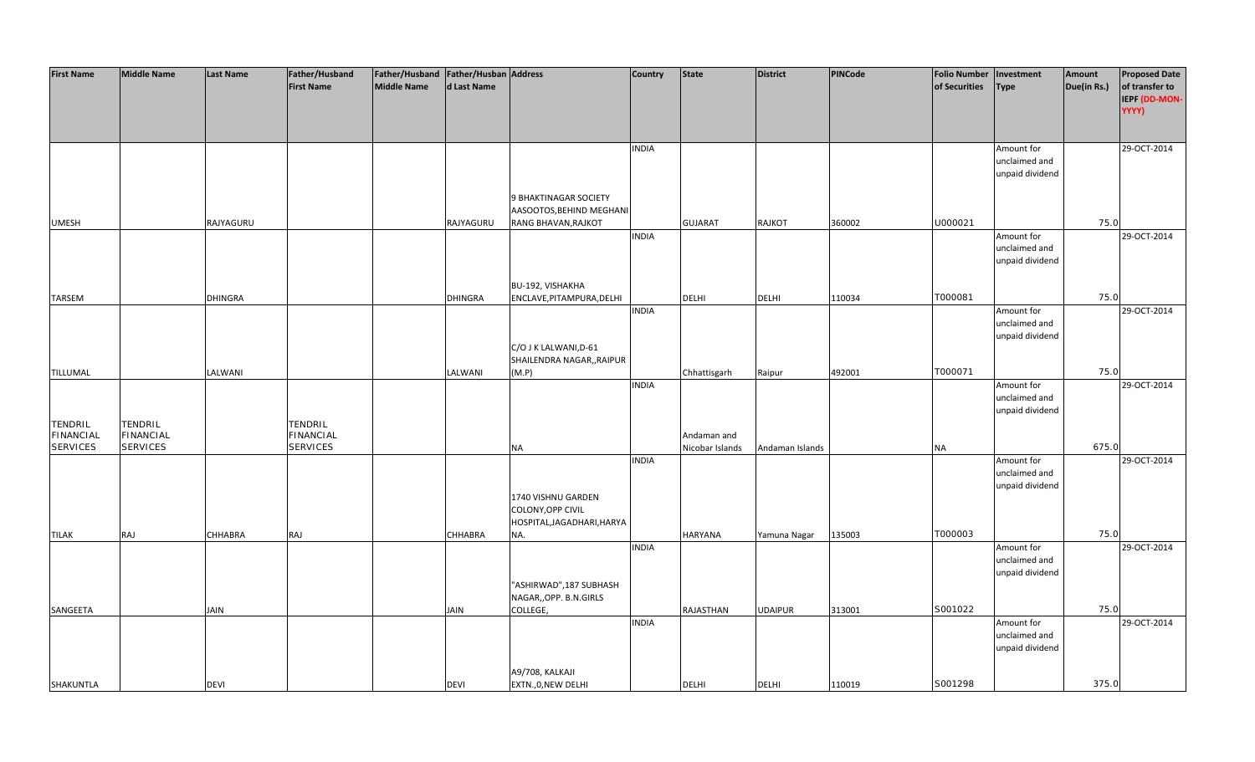| <b>First Name</b>                                     | <b>Middle Name</b>                             | <b>Last Name</b> | Father/Husband<br><b>First Name</b>            | Father/Husband   Father/Husban   Address<br>Middle Name | d Last Name    |                                                                          | <b>Country</b> | <b>State</b>                   | District        | <b>PINCode</b> | <b>Folio Number</b><br>of Securities | Investment<br><b>Type</b>                      | Amount<br>Due(in Rs.) | <b>Proposed Date</b><br>of transfer to |
|-------------------------------------------------------|------------------------------------------------|------------------|------------------------------------------------|---------------------------------------------------------|----------------|--------------------------------------------------------------------------|----------------|--------------------------------|-----------------|----------------|--------------------------------------|------------------------------------------------|-----------------------|----------------------------------------|
|                                                       |                                                |                  |                                                |                                                         |                |                                                                          |                |                                |                 |                |                                      |                                                |                       | IEPF (DD-MON-<br>YYYY)                 |
|                                                       |                                                |                  |                                                |                                                         |                |                                                                          | <b>INDIA</b>   |                                |                 |                |                                      | Amount for<br>unclaimed and<br>unpaid dividend |                       | 29-OCT-2014                            |
| <b>UMESH</b>                                          |                                                | RAJYAGURU        |                                                |                                                         | RAJYAGURU      | 9 BHAKTINAGAR SOCIETY<br>AASOOTOS, BEHIND MEGHANI<br>RANG BHAVAN, RAJKOT |                | <b>GUJARAT</b>                 | RAJKOT          | 360002         | U000021                              |                                                | 75.0                  |                                        |
|                                                       |                                                |                  |                                                |                                                         |                |                                                                          | <b>INDIA</b>   |                                |                 |                |                                      | Amount for<br>unclaimed and<br>unpaid dividend |                       | 29-OCT-2014                            |
| <b>TARSEM</b>                                         |                                                | <b>DHINGRA</b>   |                                                |                                                         | <b>DHINGRA</b> | BU-192, VISHAKHA<br>ENCLAVE, PITAMPURA, DELHI                            | <b>INDIA</b>   | <b>DELHI</b>                   | <b>DELHI</b>    | 110034         | T000081                              | Amount for                                     | 75.0                  | 29-OCT-2014                            |
|                                                       |                                                |                  |                                                |                                                         |                | C/O J K LALWANI, D-61                                                    |                |                                |                 |                |                                      | unclaimed and<br>unpaid dividend               |                       |                                        |
| TILLUMAL                                              |                                                | LALWANI          |                                                |                                                         | LALWANI        | SHAILENDRA NAGAR,, RAIPUR<br>(M.P)                                       |                | Chhattisgarh                   | Raipur          | 492001         | T000071                              |                                                | 75.0                  |                                        |
|                                                       |                                                |                  |                                                |                                                         |                |                                                                          | <b>INDIA</b>   |                                |                 |                |                                      | Amount for<br>unclaimed and<br>unpaid dividend |                       | 29-OCT-2014                            |
| <b>TENDRIL</b><br><b>FINANCIAL</b><br><b>SERVICES</b> | TENDRIL<br><b>FINANCIAL</b><br><b>SERVICES</b> |                  | TENDRIL<br><b>FINANCIAL</b><br><b>SERVICES</b> |                                                         |                | <b>NA</b>                                                                |                | Andaman and<br>Nicobar Islands | Andaman Islands |                | NA                                   |                                                | 675.0                 |                                        |
|                                                       |                                                |                  |                                                |                                                         |                |                                                                          | <b>INDIA</b>   |                                |                 |                |                                      | Amount for<br>unclaimed and<br>unpaid dividend |                       | 29-OCT-2014                            |
|                                                       |                                                |                  |                                                |                                                         |                | 1740 VISHNU GARDEN<br>COLONY, OPP CIVIL<br>HOSPITAL, JAGADHARI, HARYA    |                |                                |                 |                |                                      |                                                |                       |                                        |
| <b>TILAK</b>                                          | RAJ                                            | <b>CHHABRA</b>   | RAJ                                            |                                                         | <b>CHHABRA</b> | NA.                                                                      | <b>INDIA</b>   | <b>HARYANA</b>                 | Yamuna Nagar    | 135003         | T000003                              | Amount for<br>unclaimed and<br>unpaid dividend | 75.0                  | 29-OCT-2014                            |
| SANGEETA                                              |                                                | <b>JAIN</b>      |                                                |                                                         | JAIN           | "ASHIRWAD",187 SUBHASH<br>NAGAR,, OPP. B.N.GIRLS<br>COLLEGE,             |                | RAJASTHAN                      | <b>UDAIPUR</b>  | 313001         | S001022                              |                                                | 75.0                  |                                        |
|                                                       |                                                |                  |                                                |                                                         |                |                                                                          | <b>INDIA</b>   |                                |                 |                |                                      | Amount for<br>unclaimed and<br>unpaid dividend |                       | 29-OCT-2014                            |
| SHAKUNTLA                                             |                                                | <b>DEVI</b>      |                                                |                                                         | <b>DEVI</b>    | A9/708, KALKAJI<br>EXTN., 0, NEW DELHI                                   |                | <b>DELHI</b>                   | <b>DELHI</b>    | 110019         | S001298                              |                                                | 375.0                 |                                        |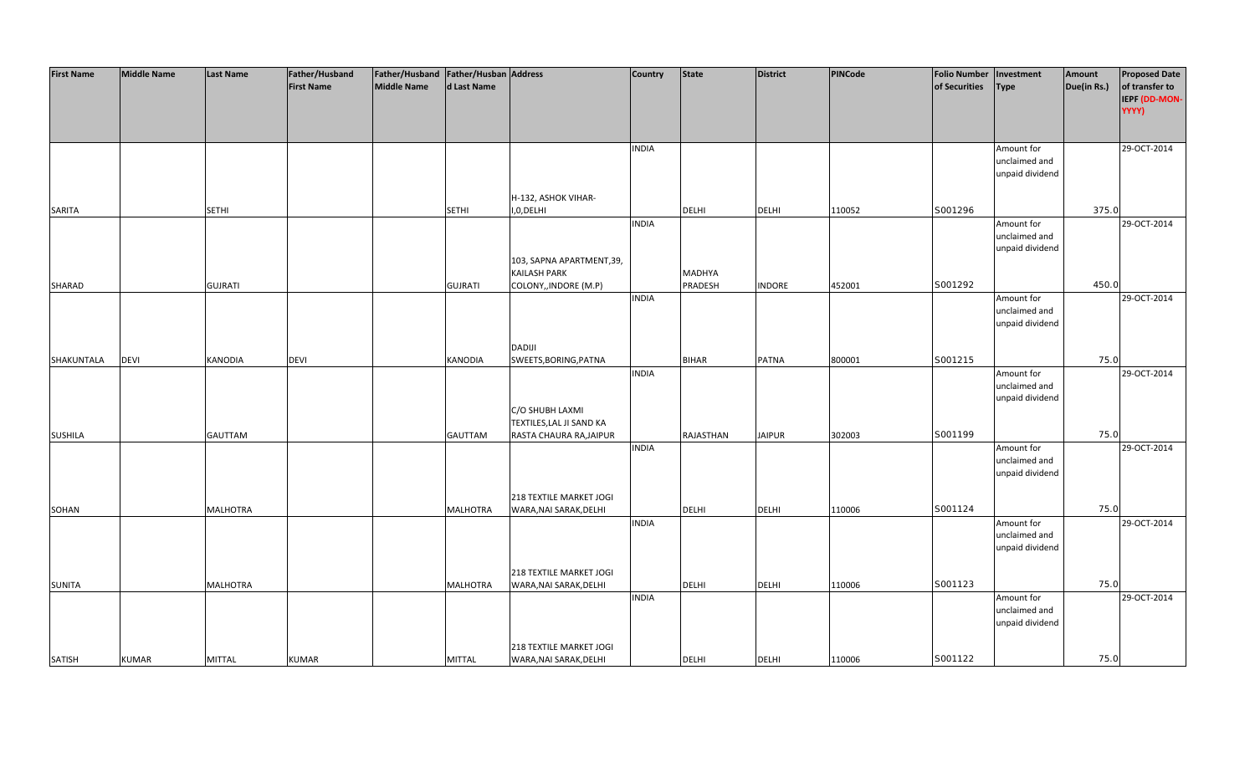| <b>First Name</b> | <b>Middle Name</b> | <b>Last Name</b> | Father/Husband    | Father/Husband   Father/Husban   Address |                 |                           | <b>Country</b> | <b>State</b>  | <b>District</b> | PINCode | <b>Folio Number</b> | Investment      | Amount      | <b>Proposed Date</b> |
|-------------------|--------------------|------------------|-------------------|------------------------------------------|-----------------|---------------------------|----------------|---------------|-----------------|---------|---------------------|-----------------|-------------|----------------------|
|                   |                    |                  | <b>First Name</b> | <b>Middle Name</b>                       | d Last Name     |                           |                |               |                 |         | of Securities       | Type            | Due(in Rs.) | of transfer to       |
|                   |                    |                  |                   |                                          |                 |                           |                |               |                 |         |                     |                 |             | IEPF (DD-MON-        |
|                   |                    |                  |                   |                                          |                 |                           |                |               |                 |         |                     |                 |             | YYYY)                |
|                   |                    |                  |                   |                                          |                 |                           |                |               |                 |         |                     |                 |             |                      |
|                   |                    |                  |                   |                                          |                 |                           |                |               |                 |         |                     |                 |             |                      |
|                   |                    |                  |                   |                                          |                 |                           | <b>INDIA</b>   |               |                 |         |                     | Amount for      |             | 29-OCT-2014          |
|                   |                    |                  |                   |                                          |                 |                           |                |               |                 |         |                     | unclaimed and   |             |                      |
|                   |                    |                  |                   |                                          |                 |                           |                |               |                 |         |                     | unpaid dividend |             |                      |
|                   |                    |                  |                   |                                          |                 |                           |                |               |                 |         |                     |                 |             |                      |
|                   |                    |                  |                   |                                          |                 | H-132, ASHOK VIHAR-       |                |               |                 |         |                     |                 |             |                      |
| SARITA            |                    | <b>SETHI</b>     |                   |                                          | <b>SETHI</b>    | I,0,DELHI                 |                | <b>DELHI</b>  | <b>DELHI</b>    | 110052  | S001296             |                 | 375.0       |                      |
|                   |                    |                  |                   |                                          |                 |                           | <b>INDIA</b>   |               |                 |         |                     | Amount for      |             | 29-OCT-2014          |
|                   |                    |                  |                   |                                          |                 |                           |                |               |                 |         |                     | unclaimed and   |             |                      |
|                   |                    |                  |                   |                                          |                 |                           |                |               |                 |         |                     | unpaid dividend |             |                      |
|                   |                    |                  |                   |                                          |                 | 103, SAPNA APARTMENT, 39, |                |               |                 |         |                     |                 |             |                      |
|                   |                    |                  |                   |                                          |                 | <b>KAILASH PARK</b>       |                | <b>MADHYA</b> |                 |         |                     |                 |             |                      |
| SHARAD            |                    | <b>GUJRATI</b>   |                   |                                          | <b>GUJRATI</b>  | COLONY,, INDORE (M.P)     |                | PRADESH       | <b>INDORE</b>   | 452001  | S001292             |                 | 450.0       |                      |
|                   |                    |                  |                   |                                          |                 |                           | <b>INDIA</b>   |               |                 |         |                     | Amount for      |             | 29-OCT-2014          |
|                   |                    |                  |                   |                                          |                 |                           |                |               |                 |         |                     | unclaimed and   |             |                      |
|                   |                    |                  |                   |                                          |                 |                           |                |               |                 |         |                     | unpaid dividend |             |                      |
|                   |                    |                  |                   |                                          |                 |                           |                |               |                 |         |                     |                 |             |                      |
|                   |                    |                  |                   |                                          |                 | <b>DADIJI</b>             |                |               |                 |         |                     |                 |             |                      |
| SHAKUNTALA        | <b>DEVI</b>        | <b>KANODIA</b>   | <b>DEVI</b>       |                                          | <b>KANODIA</b>  | SWEETS, BORING, PATNA     |                | <b>BIHAR</b>  | <b>PATNA</b>    | 800001  | S001215             |                 | 75.0        |                      |
|                   |                    |                  |                   |                                          |                 |                           | <b>INDIA</b>   |               |                 |         |                     | Amount for      |             | 29-OCT-2014          |
|                   |                    |                  |                   |                                          |                 |                           |                |               |                 |         |                     | unclaimed and   |             |                      |
|                   |                    |                  |                   |                                          |                 |                           |                |               |                 |         |                     | unpaid dividend |             |                      |
|                   |                    |                  |                   |                                          |                 | C/O SHUBH LAXMI           |                |               |                 |         |                     |                 |             |                      |
|                   |                    |                  |                   |                                          |                 | TEXTILES, LAL JI SAND KA  |                |               |                 |         |                     |                 |             |                      |
| <b>SUSHILA</b>    |                    | <b>GAUTTAM</b>   |                   |                                          | <b>GAUTTAM</b>  | RASTA CHAURA RA, JAIPUR   |                | RAJASTHAN     | <b>JAIPUR</b>   | 302003  | S001199             |                 | 75.0        |                      |
|                   |                    |                  |                   |                                          |                 |                           | <b>INDIA</b>   |               |                 |         |                     | Amount for      |             | 29-OCT-2014          |
|                   |                    |                  |                   |                                          |                 |                           |                |               |                 |         |                     | unclaimed and   |             |                      |
|                   |                    |                  |                   |                                          |                 |                           |                |               |                 |         |                     | unpaid dividend |             |                      |
|                   |                    |                  |                   |                                          |                 |                           |                |               |                 |         |                     |                 |             |                      |
|                   |                    |                  |                   |                                          |                 | 218 TEXTILE MARKET JOGI   |                |               |                 |         |                     |                 |             |                      |
| SOHAN             |                    | <b>MALHOTRA</b>  |                   |                                          | <b>MALHOTRA</b> | WARA, NAI SARAK, DELHI    |                | DELHI         | <b>DELHI</b>    | 110006  | S001124             |                 | 75.0        |                      |
|                   |                    |                  |                   |                                          |                 |                           | <b>INDIA</b>   |               |                 |         |                     | Amount for      |             | 29-OCT-2014          |
|                   |                    |                  |                   |                                          |                 |                           |                |               |                 |         |                     | unclaimed and   |             |                      |
|                   |                    |                  |                   |                                          |                 |                           |                |               |                 |         |                     | unpaid dividend |             |                      |
|                   |                    |                  |                   |                                          |                 |                           |                |               |                 |         |                     |                 |             |                      |
|                   |                    |                  |                   |                                          |                 | 218 TEXTILE MARKET JOGI   |                |               |                 |         |                     |                 |             |                      |
| <b>SUNITA</b>     |                    | <b>MALHOTRA</b>  |                   |                                          | <b>MALHOTRA</b> | WARA, NAI SARAK, DELHI    |                | <b>DELHI</b>  | <b>DELHI</b>    | 110006  | S001123             |                 | 75.0        |                      |
|                   |                    |                  |                   |                                          |                 |                           | <b>INDIA</b>   |               |                 |         |                     | Amount for      |             | 29-OCT-2014          |
|                   |                    |                  |                   |                                          |                 |                           |                |               |                 |         |                     | unclaimed and   |             |                      |
|                   |                    |                  |                   |                                          |                 |                           |                |               |                 |         |                     | unpaid dividend |             |                      |
|                   |                    |                  |                   |                                          |                 |                           |                |               |                 |         |                     |                 |             |                      |
|                   |                    |                  |                   |                                          |                 | 218 TEXTILE MARKET JOGI   |                |               |                 |         |                     |                 |             |                      |
| <b>SATISH</b>     | <b>KUMAR</b>       | <b>MITTAL</b>    | <b>KUMAR</b>      |                                          | <b>MITTAL</b>   | WARA, NAI SARAK, DELHI    |                | <b>DELHI</b>  | <b>DELHI</b>    | 110006  | S001122             |                 | 75.0        |                      |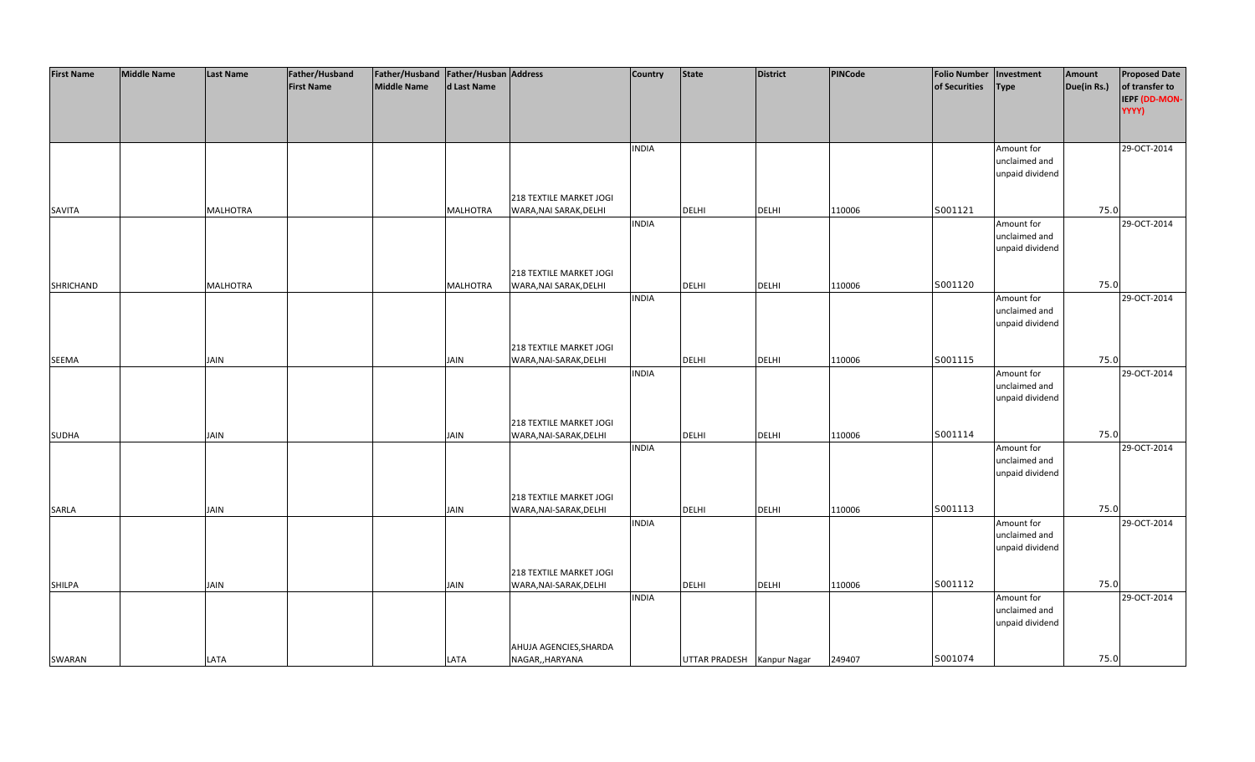| <b>First Name</b> | <b>Middle Name</b> | <b>Last Name</b> | Father/Husband    | Father/Husband Father/Husban Address |                 |                         | <b>Country</b> | <b>State</b>               | <b>District</b> | PINCode | <b>Folio Number</b> | Investment      | Amount      | <b>Proposed Date</b> |
|-------------------|--------------------|------------------|-------------------|--------------------------------------|-----------------|-------------------------|----------------|----------------------------|-----------------|---------|---------------------|-----------------|-------------|----------------------|
|                   |                    |                  | <b>First Name</b> | <b>Middle Name</b>                   | d Last Name     |                         |                |                            |                 |         | of Securities       | Type            | Due(in Rs.) | of transfer to       |
|                   |                    |                  |                   |                                      |                 |                         |                |                            |                 |         |                     |                 |             | IEPF (DD-MON-        |
|                   |                    |                  |                   |                                      |                 |                         |                |                            |                 |         |                     |                 |             | YYYY)                |
|                   |                    |                  |                   |                                      |                 |                         |                |                            |                 |         |                     |                 |             |                      |
|                   |                    |                  |                   |                                      |                 |                         | <b>INDIA</b>   |                            |                 |         |                     | Amount for      |             | 29-OCT-2014          |
|                   |                    |                  |                   |                                      |                 |                         |                |                            |                 |         |                     | unclaimed and   |             |                      |
|                   |                    |                  |                   |                                      |                 |                         |                |                            |                 |         |                     | unpaid dividend |             |                      |
|                   |                    |                  |                   |                                      |                 |                         |                |                            |                 |         |                     |                 |             |                      |
|                   |                    |                  |                   |                                      |                 | 218 TEXTILE MARKET JOGI |                |                            |                 |         |                     |                 |             |                      |
| SAVITA            |                    | <b>MALHOTRA</b>  |                   |                                      | <b>MALHOTRA</b> | WARA, NAI SARAK, DELHI  |                | <b>DELHI</b>               | <b>DELHI</b>    | 110006  | S001121             |                 | 75.0        |                      |
|                   |                    |                  |                   |                                      |                 |                         | <b>INDIA</b>   |                            |                 |         |                     | Amount for      |             | 29-OCT-2014          |
|                   |                    |                  |                   |                                      |                 |                         |                |                            |                 |         |                     | unclaimed and   |             |                      |
|                   |                    |                  |                   |                                      |                 |                         |                |                            |                 |         |                     | unpaid dividend |             |                      |
|                   |                    |                  |                   |                                      |                 |                         |                |                            |                 |         |                     |                 |             |                      |
|                   |                    |                  |                   |                                      |                 | 218 TEXTILE MARKET JOGI |                |                            |                 |         |                     |                 |             |                      |
| <b>SHRICHAND</b>  |                    | <b>MALHOTRA</b>  |                   |                                      | <b>MALHOTRA</b> | WARA, NAI SARAK, DELHI  |                | <b>DELHI</b>               | <b>DELHI</b>    | 110006  | S001120             |                 | 75.0        |                      |
|                   |                    |                  |                   |                                      |                 |                         | <b>INDIA</b>   |                            |                 |         |                     | Amount for      |             | 29-OCT-2014          |
|                   |                    |                  |                   |                                      |                 |                         |                |                            |                 |         |                     | unclaimed and   |             |                      |
|                   |                    |                  |                   |                                      |                 |                         |                |                            |                 |         |                     | unpaid dividend |             |                      |
|                   |                    |                  |                   |                                      |                 |                         |                |                            |                 |         |                     |                 |             |                      |
|                   |                    |                  |                   |                                      |                 | 218 TEXTILE MARKET JOGI |                |                            |                 |         |                     |                 |             |                      |
| <b>SEEMA</b>      |                    | <b>JAIN</b>      |                   |                                      | <b>JAIN</b>     | WARA, NAI-SARAK, DELHI  |                | DELHI                      | <b>DELHI</b>    | 110006  | S001115             |                 | 75.0        |                      |
|                   |                    |                  |                   |                                      |                 |                         | <b>INDIA</b>   |                            |                 |         |                     | Amount for      |             | 29-OCT-2014          |
|                   |                    |                  |                   |                                      |                 |                         |                |                            |                 |         |                     | unclaimed and   |             |                      |
|                   |                    |                  |                   |                                      |                 |                         |                |                            |                 |         |                     | unpaid dividend |             |                      |
|                   |                    |                  |                   |                                      |                 |                         |                |                            |                 |         |                     |                 |             |                      |
|                   |                    |                  |                   |                                      |                 | 218 TEXTILE MARKET JOGI |                | <b>DELHI</b>               | <b>DELHI</b>    |         | S001114             |                 | 75.0        |                      |
| <b>SUDHA</b>      |                    | <b>JAIN</b>      |                   |                                      | <b>JAIN</b>     | WARA, NAI-SARAK, DELHI  | <b>INDIA</b>   |                            |                 | 110006  |                     | Amount for      |             | 29-OCT-2014          |
|                   |                    |                  |                   |                                      |                 |                         |                |                            |                 |         |                     | unclaimed and   |             |                      |
|                   |                    |                  |                   |                                      |                 |                         |                |                            |                 |         |                     | unpaid dividend |             |                      |
|                   |                    |                  |                   |                                      |                 |                         |                |                            |                 |         |                     |                 |             |                      |
|                   |                    |                  |                   |                                      |                 | 218 TEXTILE MARKET JOGI |                |                            |                 |         |                     |                 |             |                      |
| SARLA             |                    | <b>JAIN</b>      |                   |                                      | <b>JAIN</b>     | WARA, NAI-SARAK, DELHI  |                | DELHI                      | <b>DELHI</b>    | 110006  | S001113             |                 | 75.0        |                      |
|                   |                    |                  |                   |                                      |                 |                         | <b>INDIA</b>   |                            |                 |         |                     | Amount for      |             | 29-OCT-2014          |
|                   |                    |                  |                   |                                      |                 |                         |                |                            |                 |         |                     | unclaimed and   |             |                      |
|                   |                    |                  |                   |                                      |                 |                         |                |                            |                 |         |                     | unpaid dividend |             |                      |
|                   |                    |                  |                   |                                      |                 |                         |                |                            |                 |         |                     |                 |             |                      |
|                   |                    |                  |                   |                                      |                 | 218 TEXTILE MARKET JOGI |                |                            |                 |         |                     |                 |             |                      |
| <b>SHILPA</b>     |                    | JAIN             |                   |                                      | <b>JAIN</b>     | WARA, NAI-SARAK, DELHI  |                | <b>DELHI</b>               | <b>DELHI</b>    | 110006  | S001112             |                 | 75.0        |                      |
|                   |                    |                  |                   |                                      |                 |                         | <b>INDIA</b>   |                            |                 |         |                     | Amount for      |             | 29-OCT-2014          |
|                   |                    |                  |                   |                                      |                 |                         |                |                            |                 |         |                     | unclaimed and   |             |                      |
|                   |                    |                  |                   |                                      |                 |                         |                |                            |                 |         |                     | unpaid dividend |             |                      |
|                   |                    |                  |                   |                                      |                 |                         |                |                            |                 |         |                     |                 |             |                      |
|                   |                    |                  |                   |                                      |                 | AHUJA AGENCIES, SHARDA  |                |                            |                 |         |                     |                 |             |                      |
| SWARAN            |                    | LATA             |                   |                                      | LATA            | NAGAR,, HARYANA         |                | UTTAR PRADESH Kanpur Nagar |                 | 249407  | S001074             |                 | 75.0        |                      |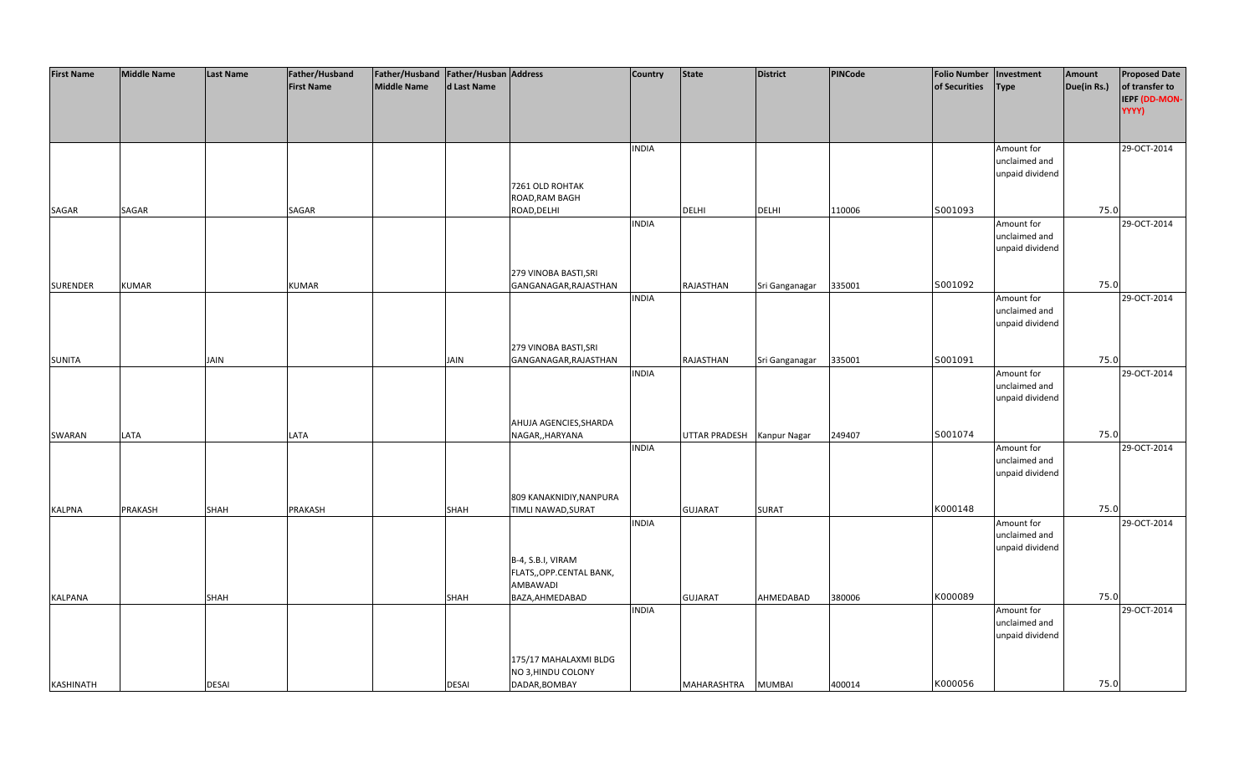| Father/Husband<br><b>First Name</b><br><b>Middle Name</b> | d Last Name | 7261 OLD ROHTAK<br>ROAD, RAM BAGH<br>ROAD, DELHI             | <b>INDIA</b> |                            |                |        | <b>Folio Number</b><br>of Securities | <b>Type</b><br>Amount for                      | Amount<br>Due(in Rs.) | <b>Proposed Date</b><br>of transfer to<br>IEPF (DD-MON-<br>YYYY)<br>29-OCT-2014 |
|-----------------------------------------------------------|-------------|--------------------------------------------------------------|--------------|----------------------------|----------------|--------|--------------------------------------|------------------------------------------------|-----------------------|---------------------------------------------------------------------------------|
|                                                           |             |                                                              |              |                            |                |        |                                      |                                                |                       |                                                                                 |
|                                                           |             |                                                              |              |                            |                |        |                                      |                                                |                       |                                                                                 |
|                                                           |             |                                                              |              |                            |                |        |                                      | unclaimed and                                  |                       |                                                                                 |
|                                                           |             |                                                              |              |                            |                |        |                                      | unpaid dividend                                |                       |                                                                                 |
| SAGAR<br>SAGAR<br>SAGAR                                   |             |                                                              |              | <b>DELHI</b>               | <b>DELHI</b>   | 110006 | S001093                              |                                                | 75.0                  |                                                                                 |
|                                                           |             |                                                              | <b>INDIA</b> |                            |                |        |                                      | Amount for<br>unclaimed and<br>unpaid dividend |                       | 29-OCT-2014                                                                     |
| <b>SURENDER</b><br><b>KUMAR</b><br><b>KUMAR</b>           |             | 279 VINOBA BASTI, SRI<br>GANGANAGAR, RAJASTHAN               |              | RAJASTHAN                  | Sri Ganganagar | 335001 | S001092                              |                                                | 75.0                  |                                                                                 |
|                                                           |             |                                                              | <b>INDIA</b> |                            |                |        |                                      | Amount for<br>unclaimed and<br>unpaid dividend |                       | 29-OCT-2014                                                                     |
|                                                           |             | 279 VINOBA BASTI, SRI                                        |              |                            |                |        |                                      |                                                |                       |                                                                                 |
| <b>SUNITA</b><br>JAIN                                     | <b>JAIN</b> | GANGANAGAR, RAJASTHAN                                        |              | RAJASTHAN                  | Sri Ganganagar | 335001 | S001091                              |                                                | 75.0                  |                                                                                 |
|                                                           |             |                                                              | <b>INDIA</b> |                            |                |        |                                      | Amount for<br>unclaimed and<br>unpaid dividend |                       | 29-OCT-2014                                                                     |
|                                                           |             | AHUJA AGENCIES, SHARDA                                       |              |                            |                |        |                                      |                                                |                       |                                                                                 |
| LATA<br>LATA<br>SWARAN                                    |             | NAGAR,, HARYANA                                              |              | UTTAR PRADESH Kanpur Nagar |                | 249407 | S001074                              |                                                | 75.0                  |                                                                                 |
|                                                           |             |                                                              | <b>INDIA</b> |                            |                |        |                                      | Amount for<br>unclaimed and<br>unpaid dividend |                       | 29-OCT-2014                                                                     |
|                                                           |             | 809 KANAKNIDIY, NANPURA                                      |              |                            |                |        |                                      |                                                |                       |                                                                                 |
| <b>KALPNA</b><br>PRAKASH<br>SHAH<br>PRAKASH               | SHAH        | <b>TIMLI NAWAD, SURAT</b>                                    |              | <b>GUJARAT</b>             | <b>SURAT</b>   |        | K000148                              |                                                | 75.0                  |                                                                                 |
|                                                           |             |                                                              | <b>INDIA</b> |                            |                |        |                                      | Amount for<br>unclaimed and<br>unpaid dividend |                       | 29-OCT-2014                                                                     |
|                                                           |             | B-4, S.B.I, VIRAM<br>FLATS,, OPP.CENTAL BANK,<br>AMBAWADI    |              |                            |                |        |                                      |                                                |                       |                                                                                 |
| KALPANA<br>SHAH                                           | SHAH        | BAZA, AHMEDABAD                                              |              | <b>GUJARAT</b>             | AHMEDABAD      | 380006 | K000089                              |                                                | 75.0                  |                                                                                 |
|                                                           |             |                                                              | <b>INDIA</b> |                            |                |        |                                      | Amount for<br>unclaimed and<br>unpaid dividend |                       | 29-OCT-2014                                                                     |
| KASHINATH<br><b>DESAI</b>                                 | DESAI       | 175/17 MAHALAXMI BLDG<br>NO 3, HINDU COLONY<br>DADAR, BOMBAY |              | MAHARASHTRA                | <b>MUMBAI</b>  | 400014 | K000056                              |                                                | 75.0                  |                                                                                 |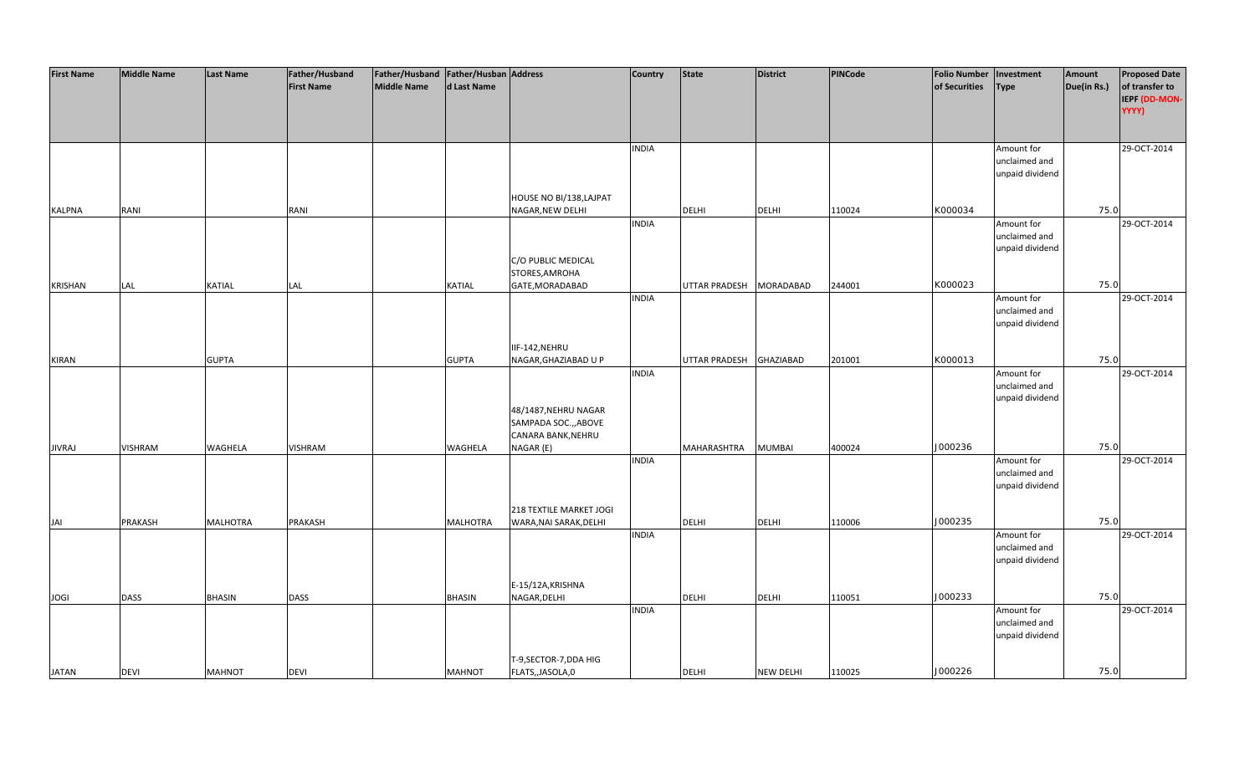| <b>First Name</b> | <b>Middle Name</b> | <b>Last Name</b> | Father/Husband    | Father/Husband Father/Husban Address |                 |                         | <b>Country</b> | <b>State</b>         | <b>District</b>  | <b>PINCode</b> | <b>Folio Number</b> | Investment      | Amount      | <b>Proposed Date</b> |
|-------------------|--------------------|------------------|-------------------|--------------------------------------|-----------------|-------------------------|----------------|----------------------|------------------|----------------|---------------------|-----------------|-------------|----------------------|
|                   |                    |                  | <b>First Name</b> | <b>Middle Name</b>                   | d Last Name     |                         |                |                      |                  |                | of Securities       | <b>Type</b>     | Due(in Rs.) | of transfer to       |
|                   |                    |                  |                   |                                      |                 |                         |                |                      |                  |                |                     |                 |             | IEPF (DD-MON-        |
|                   |                    |                  |                   |                                      |                 |                         |                |                      |                  |                |                     |                 |             | YYYY)                |
|                   |                    |                  |                   |                                      |                 |                         |                |                      |                  |                |                     |                 |             |                      |
|                   |                    |                  |                   |                                      |                 |                         |                |                      |                  |                |                     |                 |             |                      |
|                   |                    |                  |                   |                                      |                 |                         | <b>INDIA</b>   |                      |                  |                |                     | Amount for      |             | 29-OCT-2014          |
|                   |                    |                  |                   |                                      |                 |                         |                |                      |                  |                |                     | unclaimed and   |             |                      |
|                   |                    |                  |                   |                                      |                 |                         |                |                      |                  |                |                     | unpaid dividend |             |                      |
|                   |                    |                  |                   |                                      |                 |                         |                |                      |                  |                |                     |                 |             |                      |
|                   |                    |                  |                   |                                      |                 | HOUSE NO BI/138, LAJPAT |                |                      |                  |                |                     |                 |             |                      |
| <b>KALPNA</b>     | RANI               |                  | RANI              |                                      |                 | NAGAR, NEW DELHI        |                | <b>DELHI</b>         | <b>DELHI</b>     | 110024         | K000034             |                 | 75.0        |                      |
|                   |                    |                  |                   |                                      |                 |                         | <b>INDIA</b>   |                      |                  |                |                     | Amount for      |             | 29-OCT-2014          |
|                   |                    |                  |                   |                                      |                 |                         |                |                      |                  |                |                     | unclaimed and   |             |                      |
|                   |                    |                  |                   |                                      |                 |                         |                |                      |                  |                |                     | unpaid dividend |             |                      |
|                   |                    |                  |                   |                                      |                 | C/O PUBLIC MEDICAL      |                |                      |                  |                |                     |                 |             |                      |
|                   |                    |                  |                   |                                      |                 | STORES, AMROHA          |                |                      |                  |                |                     |                 |             |                      |
| <b>KRISHAN</b>    | LAL                | KATIAL           | LAL               |                                      | <b>KATIAL</b>   | GATE, MORADABAD         |                | <b>UTTAR PRADESH</b> | <b>MORADABAD</b> | 244001         | K000023             |                 | 75.0        |                      |
|                   |                    |                  |                   |                                      |                 |                         | <b>INDIA</b>   |                      |                  |                |                     | Amount for      |             | 29-OCT-2014          |
|                   |                    |                  |                   |                                      |                 |                         |                |                      |                  |                |                     | unclaimed and   |             |                      |
|                   |                    |                  |                   |                                      |                 |                         |                |                      |                  |                |                     | unpaid dividend |             |                      |
|                   |                    |                  |                   |                                      |                 |                         |                |                      |                  |                |                     |                 |             |                      |
|                   |                    |                  |                   |                                      |                 | IIF-142, NEHRU          |                |                      |                  |                |                     |                 |             |                      |
| <b>KIRAN</b>      |                    | <b>GUPTA</b>     |                   |                                      | <b>GUPTA</b>    | NAGAR, GHAZIABAD U P    |                | <b>UTTAR PRADESH</b> | GHAZIABAD        | 201001         | K000013             |                 | 75.0        |                      |
|                   |                    |                  |                   |                                      |                 |                         | <b>INDIA</b>   |                      |                  |                |                     | Amount for      |             | 29-OCT-2014          |
|                   |                    |                  |                   |                                      |                 |                         |                |                      |                  |                |                     | unclaimed and   |             |                      |
|                   |                    |                  |                   |                                      |                 |                         |                |                      |                  |                |                     | unpaid dividend |             |                      |
|                   |                    |                  |                   |                                      |                 | 48/1487, NEHRU NAGAR    |                |                      |                  |                |                     |                 |             |                      |
|                   |                    |                  |                   |                                      |                 | SAMPADA SOC., ABOVE     |                |                      |                  |                |                     |                 |             |                      |
|                   |                    |                  |                   |                                      |                 | CANARA BANK, NEHRU      |                |                      |                  |                |                     |                 |             |                      |
| <b>JIVRAJ</b>     | <b>VISHRAM</b>     | <b>WAGHELA</b>   | <b>VISHRAM</b>    |                                      | WAGHELA         | NAGAR (E)               |                | MAHARASHTRA          | <b>MUMBAI</b>    | 400024         | J000236             |                 | 75.0        |                      |
|                   |                    |                  |                   |                                      |                 |                         | <b>INDIA</b>   |                      |                  |                |                     | Amount for      |             | 29-OCT-2014          |
|                   |                    |                  |                   |                                      |                 |                         |                |                      |                  |                |                     | unclaimed and   |             |                      |
|                   |                    |                  |                   |                                      |                 |                         |                |                      |                  |                |                     | unpaid dividend |             |                      |
|                   |                    |                  |                   |                                      |                 |                         |                |                      |                  |                |                     |                 |             |                      |
|                   |                    |                  |                   |                                      |                 | 218 TEXTILE MARKET JOGI |                |                      |                  |                |                     |                 |             |                      |
| JAI               | PRAKASH            | <b>MALHOTRA</b>  | PRAKASH           |                                      | <b>MALHOTRA</b> | WARA, NAI SARAK, DELHI  |                | <b>DELHI</b>         | <b>DELHI</b>     | 110006         | J000235             |                 | 75.0        |                      |
|                   |                    |                  |                   |                                      |                 |                         | <b>INDIA</b>   |                      |                  |                |                     | Amount for      |             | 29-OCT-2014          |
|                   |                    |                  |                   |                                      |                 |                         |                |                      |                  |                |                     | unclaimed and   |             |                      |
|                   |                    |                  |                   |                                      |                 |                         |                |                      |                  |                |                     | unpaid dividend |             |                      |
|                   |                    |                  |                   |                                      |                 | E-15/12A, KRISHNA       |                |                      |                  |                |                     |                 |             |                      |
|                   | <b>DASS</b>        | <b>BHASIN</b>    | <b>DASS</b>       |                                      |                 | NAGAR, DELHI            |                | <b>DELHI</b>         | <b>DELHI</b>     |                | J000233             |                 | 75.0        |                      |
| <b>JOGI</b>       |                    |                  |                   |                                      | <b>BHASIN</b>   |                         | <b>INDIA</b>   |                      |                  | 110051         |                     | Amount for      |             | 29-OCT-2014          |
|                   |                    |                  |                   |                                      |                 |                         |                |                      |                  |                |                     | unclaimed and   |             |                      |
|                   |                    |                  |                   |                                      |                 |                         |                |                      |                  |                |                     | unpaid dividend |             |                      |
|                   |                    |                  |                   |                                      |                 |                         |                |                      |                  |                |                     |                 |             |                      |
|                   |                    |                  |                   |                                      |                 | T-9, SECTOR-7, DDA HIG  |                |                      |                  |                |                     |                 |             |                      |
| <b>JATAN</b>      | <b>DEVI</b>        | <b>MAHNOT</b>    | <b>DEVI</b>       |                                      | <b>MAHNOT</b>   | FLATS,, JASOLA, 0       |                | <b>DELHI</b>         | <b>NEW DELHI</b> | 110025         | J000226             |                 | 75.0        |                      |
|                   |                    |                  |                   |                                      |                 |                         |                |                      |                  |                |                     |                 |             |                      |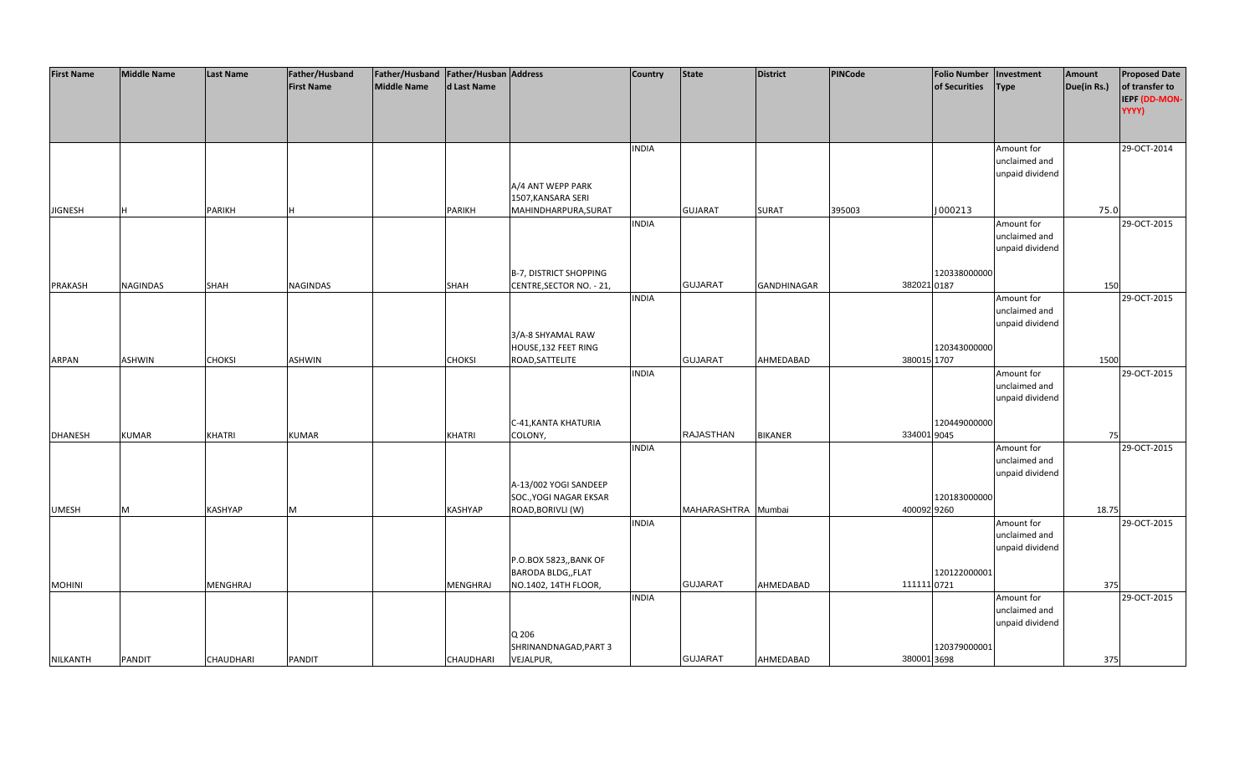| <b>First Name</b> | <b>Middle Name</b> | <b>Last Name</b> | Father/Husband    | Father/Husband   Father/Husban   Address |                  |                          | <b>Country</b> | State              | <b>District</b>    | PINCode     | <b>Folio Number</b> | Investment      | Amount      | <b>Proposed Date</b> |
|-------------------|--------------------|------------------|-------------------|------------------------------------------|------------------|--------------------------|----------------|--------------------|--------------------|-------------|---------------------|-----------------|-------------|----------------------|
|                   |                    |                  | <b>First Name</b> | <b>Middle Name</b>                       | d Last Name      |                          |                |                    |                    |             | of Securities       | <b>Type</b>     | Due(in Rs.) | of transfer to       |
|                   |                    |                  |                   |                                          |                  |                          |                |                    |                    |             |                     |                 |             | IEPF (DD-MON-        |
|                   |                    |                  |                   |                                          |                  |                          |                |                    |                    |             |                     |                 |             | YYYY)                |
|                   |                    |                  |                   |                                          |                  |                          |                |                    |                    |             |                     |                 |             |                      |
|                   |                    |                  |                   |                                          |                  |                          |                |                    |                    |             |                     |                 |             |                      |
|                   |                    |                  |                   |                                          |                  |                          |                |                    |                    |             |                     |                 |             |                      |
|                   |                    |                  |                   |                                          |                  |                          | <b>INDIA</b>   |                    |                    |             |                     | Amount for      |             | 29-OCT-2014          |
|                   |                    |                  |                   |                                          |                  |                          |                |                    |                    |             |                     | unclaimed and   |             |                      |
|                   |                    |                  |                   |                                          |                  |                          |                |                    |                    |             |                     | unpaid dividend |             |                      |
|                   |                    |                  |                   |                                          |                  | A/4 ANT WEPP PARK        |                |                    |                    |             |                     |                 |             |                      |
|                   |                    |                  |                   |                                          |                  | 1507, KANSARA SERI       |                |                    |                    |             |                     |                 |             |                      |
| <b>JIGNESH</b>    | н                  | <b>PARIKH</b>    |                   |                                          | <b>PARIKH</b>    | MAHINDHARPURA, SURAT     |                | <b>GUJARAT</b>     | <b>SURAT</b>       | 395003      | J000213             |                 | 75.0        |                      |
|                   |                    |                  |                   |                                          |                  |                          | <b>INDIA</b>   |                    |                    |             |                     | Amount for      |             | 29-OCT-2015          |
|                   |                    |                  |                   |                                          |                  |                          |                |                    |                    |             |                     | unclaimed and   |             |                      |
|                   |                    |                  |                   |                                          |                  |                          |                |                    |                    |             |                     | unpaid dividend |             |                      |
|                   |                    |                  |                   |                                          |                  |                          |                |                    |                    |             |                     |                 |             |                      |
|                   |                    |                  |                   |                                          |                  | B-7, DISTRICT SHOPPING   |                |                    |                    |             | 120338000000        |                 |             |                      |
| <b>PRAKASH</b>    | NAGINDAS           | <b>SHAH</b>      | NAGINDAS          |                                          | SHAH             | CENTRE, SECTOR NO. - 21, |                | <b>GUJARAT</b>     | <b>GANDHINAGAR</b> |             | 382021 0187         |                 | 150         |                      |
|                   |                    |                  |                   |                                          |                  |                          | <b>INDIA</b>   |                    |                    |             |                     | Amount for      |             | 29-OCT-2015          |
|                   |                    |                  |                   |                                          |                  |                          |                |                    |                    |             |                     | unclaimed and   |             |                      |
|                   |                    |                  |                   |                                          |                  |                          |                |                    |                    |             |                     | unpaid dividend |             |                      |
|                   |                    |                  |                   |                                          |                  | 3/A-8 SHYAMAL RAW        |                |                    |                    |             |                     |                 |             |                      |
|                   |                    |                  |                   |                                          |                  | HOUSE, 132 FEET RING     |                |                    |                    |             | 120343000000        |                 |             |                      |
| <b>ARPAN</b>      | <b>ASHWIN</b>      | <b>CHOKSI</b>    | ASHWIN            |                                          | <b>CHOKSI</b>    | ROAD, SATTELITE          |                | <b>GUJARAT</b>     | AHMEDABAD          |             | 380015 1707         |                 | 1500        |                      |
|                   |                    |                  |                   |                                          |                  |                          | <b>INDIA</b>   |                    |                    |             |                     | Amount for      |             | 29-OCT-2015          |
|                   |                    |                  |                   |                                          |                  |                          |                |                    |                    |             |                     | unclaimed and   |             |                      |
|                   |                    |                  |                   |                                          |                  |                          |                |                    |                    |             |                     | unpaid dividend |             |                      |
|                   |                    |                  |                   |                                          |                  |                          |                |                    |                    |             |                     |                 |             |                      |
|                   |                    |                  |                   |                                          |                  | C-41, KANTA KHATURIA     |                |                    |                    |             | 120449000000        |                 |             |                      |
| <b>DHANESH</b>    | <b>KUMAR</b>       | <b>KHATRI</b>    | <b>KUMAR</b>      |                                          | <b>KHATRI</b>    | COLONY,                  |                | <b>RAJASTHAN</b>   | <b>BIKANER</b>     |             | 334001 9045         |                 | 75          |                      |
|                   |                    |                  |                   |                                          |                  |                          | <b>INDIA</b>   |                    |                    |             |                     | Amount for      |             | 29-OCT-2015          |
|                   |                    |                  |                   |                                          |                  |                          |                |                    |                    |             |                     | unclaimed and   |             |                      |
|                   |                    |                  |                   |                                          |                  |                          |                |                    |                    |             |                     | unpaid dividend |             |                      |
|                   |                    |                  |                   |                                          |                  | A-13/002 YOGI SANDEEP    |                |                    |                    |             |                     |                 |             |                      |
|                   |                    |                  |                   |                                          |                  | SOC., YOGI NAGAR EKSAR   |                |                    |                    |             | 120183000000        |                 |             |                      |
| <b>UMESH</b>      | M                  | <b>KASHYAP</b>   | M                 |                                          | <b>KASHYAP</b>   | ROAD, BORIVLI (W)        |                | MAHARASHTRA Mumbai |                    |             | 400092 9260         |                 | 18.75       |                      |
|                   |                    |                  |                   |                                          |                  |                          | <b>INDIA</b>   |                    |                    |             |                     | Amount for      |             | 29-OCT-2015          |
|                   |                    |                  |                   |                                          |                  |                          |                |                    |                    |             |                     | unclaimed and   |             |                      |
|                   |                    |                  |                   |                                          |                  |                          |                |                    |                    |             |                     | unpaid dividend |             |                      |
|                   |                    |                  |                   |                                          |                  | P.O.BOX 5823,, BANK OF   |                |                    |                    |             |                     |                 |             |                      |
|                   |                    |                  |                   |                                          |                  | BARODA BLDG,, FLAT       |                |                    |                    |             | 120122000001        |                 |             |                      |
| <b>MOHINI</b>     |                    | <b>MENGHRAJ</b>  |                   |                                          | <b>MENGHRAJ</b>  | NO.1402, 14TH FLOOR,     |                | <b>GUJARAT</b>     | AHMEDABAD          | 111111 0721 |                     |                 | 375         |                      |
|                   |                    |                  |                   |                                          |                  |                          | <b>INDIA</b>   |                    |                    |             |                     | Amount for      |             | 29-OCT-2015          |
|                   |                    |                  |                   |                                          |                  |                          |                |                    |                    |             |                     | unclaimed and   |             |                      |
|                   |                    |                  |                   |                                          |                  |                          |                |                    |                    |             |                     | unpaid dividend |             |                      |
|                   |                    |                  |                   |                                          |                  | Q 206                    |                |                    |                    |             |                     |                 |             |                      |
|                   |                    |                  |                   |                                          |                  | SHRINANDNAGAD, PART 3    |                |                    |                    |             | 120379000001        |                 |             |                      |
| NILKANTH          | <b>PANDIT</b>      | <b>CHAUDHARI</b> | <b>PANDIT</b>     |                                          | <b>CHAUDHARI</b> | VEJALPUR,                |                | <b>GUJARAT</b>     | AHMEDABAD          |             | 380001 3698         |                 | 375         |                      |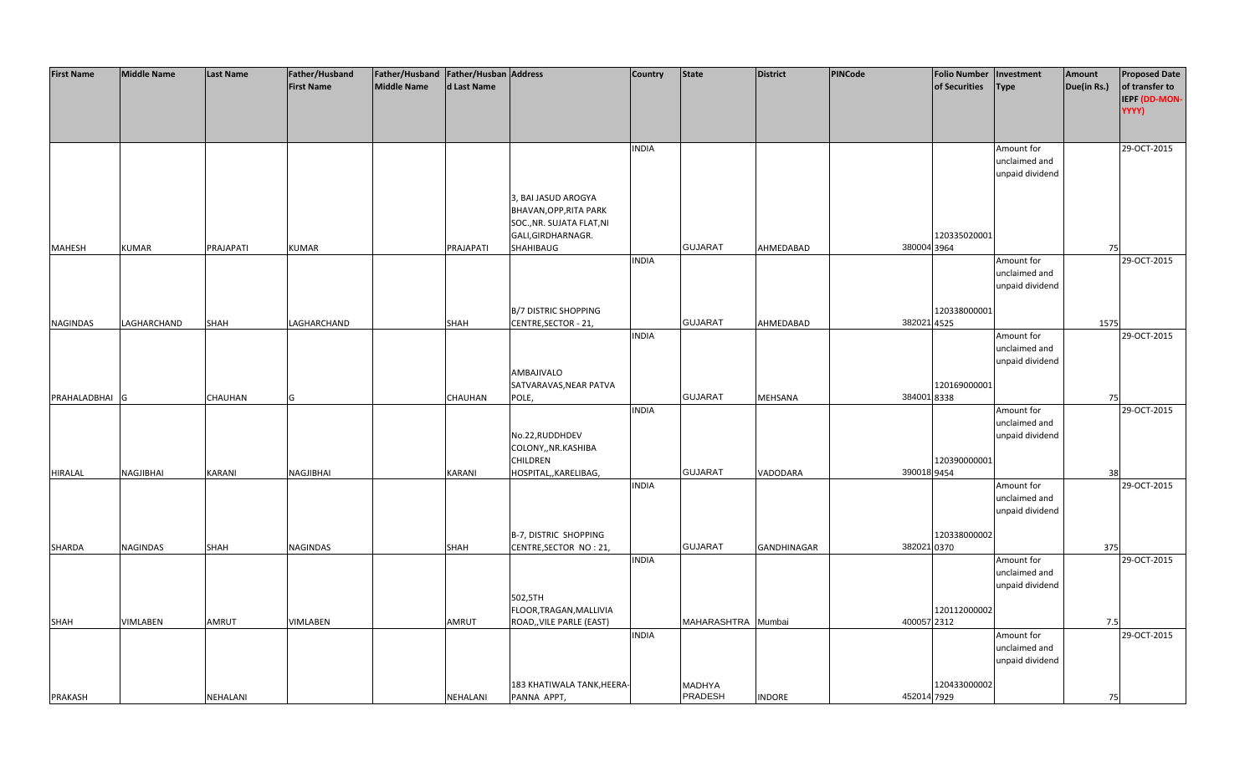| <b>First Name</b> | <b>Middle Name</b> | <b>Last Name</b> | Father/Husband<br><b>First Name</b> | Father/Husband   Father/Husban   Address<br><b>Middle Name</b> | d Last Name  |                                                                                                  | <b>Country</b> | <b>State</b>       | <b>District</b>    | PINCode     | <b>Folio Number</b><br>of Securities | Investment<br><b>Type</b>                      | <b>Amount</b><br>Due(in Rs.) | <b>Proposed Date</b><br>of transfer to |
|-------------------|--------------------|------------------|-------------------------------------|----------------------------------------------------------------|--------------|--------------------------------------------------------------------------------------------------|----------------|--------------------|--------------------|-------------|--------------------------------------|------------------------------------------------|------------------------------|----------------------------------------|
|                   |                    |                  |                                     |                                                                |              |                                                                                                  |                |                    |                    |             |                                      |                                                |                              | IEPF (DD-MON-<br>YYYY)                 |
|                   |                    |                  |                                     |                                                                |              |                                                                                                  | <b>INDIA</b>   |                    |                    |             |                                      | Amount for                                     |                              | 29-OCT-2015                            |
|                   |                    |                  |                                     |                                                                |              |                                                                                                  |                |                    |                    |             |                                      | unclaimed and<br>unpaid dividend               |                              |                                        |
|                   |                    |                  |                                     |                                                                |              | 3, BAI JASUD AROGYA<br>BHAVAN, OPP, RITA PARK<br>SOC., NR. SUJATA FLAT, NI<br>GALI, GIRDHARNAGR. |                |                    |                    |             | 120335020001                         |                                                |                              |                                        |
| <b>MAHESH</b>     | <b>KUMAR</b>       | PRAJAPATI        | <b>KUMAR</b>                        |                                                                | PRAJAPATI    | SHAHIBAUG                                                                                        |                | <b>GUJARAT</b>     | AHMEDABAD          | 380004 3964 |                                      |                                                | 75                           |                                        |
|                   |                    |                  |                                     |                                                                |              |                                                                                                  | <b>INDIA</b>   |                    |                    |             |                                      | Amount for<br>unclaimed and<br>unpaid dividend |                              | 29-OCT-2015                            |
| <b>NAGINDAS</b>   | LAGHARCHAND        | SHAH             | LAGHARCHAND                         |                                                                | SHAH         | <b>B/7 DISTRIC SHOPPING</b><br>CENTRE, SECTOR - 21,                                              |                | <b>GUJARAT</b>     | AHMEDABAD          | 382021 4525 | 120338000001                         |                                                | 1575                         |                                        |
|                   |                    |                  |                                     |                                                                |              |                                                                                                  | <b>INDIA</b>   |                    |                    |             |                                      | Amount for                                     |                              | 29-OCT-2015                            |
|                   |                    |                  |                                     |                                                                |              | AMBAJIVALO                                                                                       |                |                    |                    |             |                                      | unclaimed and<br>unpaid dividend               |                              |                                        |
|                   |                    |                  |                                     |                                                                |              | SATVARAVAS, NEAR PATVA                                                                           |                |                    |                    |             | 120169000001                         |                                                |                              |                                        |
| PRAHALADBHAI G    |                    | <b>CHAUHAN</b>   | G                                   |                                                                | CHAUHAN      | POLE,                                                                                            |                | <b>GUJARAT</b>     | MEHSANA            | 3840018338  |                                      |                                                | 75                           |                                        |
|                   |                    |                  |                                     |                                                                |              |                                                                                                  | <b>INDIA</b>   |                    |                    |             |                                      | Amount for                                     |                              | 29-OCT-2015                            |
|                   |                    |                  |                                     |                                                                |              | No.22, RUDDHDEV<br>COLONY,, NR.KASHIBA<br><b>CHILDREN</b>                                        |                |                    |                    |             | 120390000001                         | unclaimed and<br>unpaid dividend               |                              |                                        |
| <b>HIRALAL</b>    | NAGJIBHAI          | <b>KARANI</b>    | NAGJIBHAI                           |                                                                | KARANI       | HOSPITAL,, KARELIBAG,                                                                            |                | <b>GUJARAT</b>     | VADODARA           | 390018 9454 |                                      |                                                | 38                           |                                        |
|                   |                    |                  |                                     |                                                                |              |                                                                                                  | <b>INDIA</b>   |                    |                    |             |                                      | Amount for<br>unclaimed and<br>unpaid dividend |                              | 29-OCT-2015                            |
|                   |                    |                  |                                     |                                                                |              | B-7, DISTRIC SHOPPING                                                                            |                |                    |                    |             | 120338000002                         |                                                |                              |                                        |
| <b>SHARDA</b>     | <b>NAGINDAS</b>    | SHAH             | <b>NAGINDAS</b>                     |                                                                | SHAH         | CENTRE, SECTOR NO: 21,                                                                           |                | <b>GUJARAT</b>     | <b>GANDHINAGAR</b> | 382021 0370 |                                      |                                                | 375                          |                                        |
|                   |                    |                  |                                     |                                                                |              |                                                                                                  | <b>INDIA</b>   |                    |                    |             |                                      | Amount for<br>unclaimed and<br>unpaid dividend |                              | 29-OCT-2015                            |
| SHAH              | <b>VIMLABEN</b>    | AMRUT            | VIMLABEN                            |                                                                | <b>AMRUT</b> | 502,5TH<br>FLOOR, TRAGAN, MALLIVIA<br>ROAD,, VILE PARLE (EAST)                                   |                | MAHARASHTRA Mumbai |                    | 400057 2312 | 120112000002                         |                                                | 7.5                          |                                        |
|                   |                    |                  |                                     |                                                                |              |                                                                                                  | <b>INDIA</b>   |                    |                    |             |                                      | Amount for<br>unclaimed and<br>unpaid dividend |                              | 29-OCT-2015                            |
| <b>PRAKASH</b>    |                    | <b>NEHALANI</b>  |                                     |                                                                | NEHALANI     | 183 KHATIWALA TANK, HEERA-<br>PANNA APPT,                                                        |                | MADHYA<br>PRADESH  | <b>INDORE</b>      | 452014 7929 | 120433000002                         |                                                | 75                           |                                        |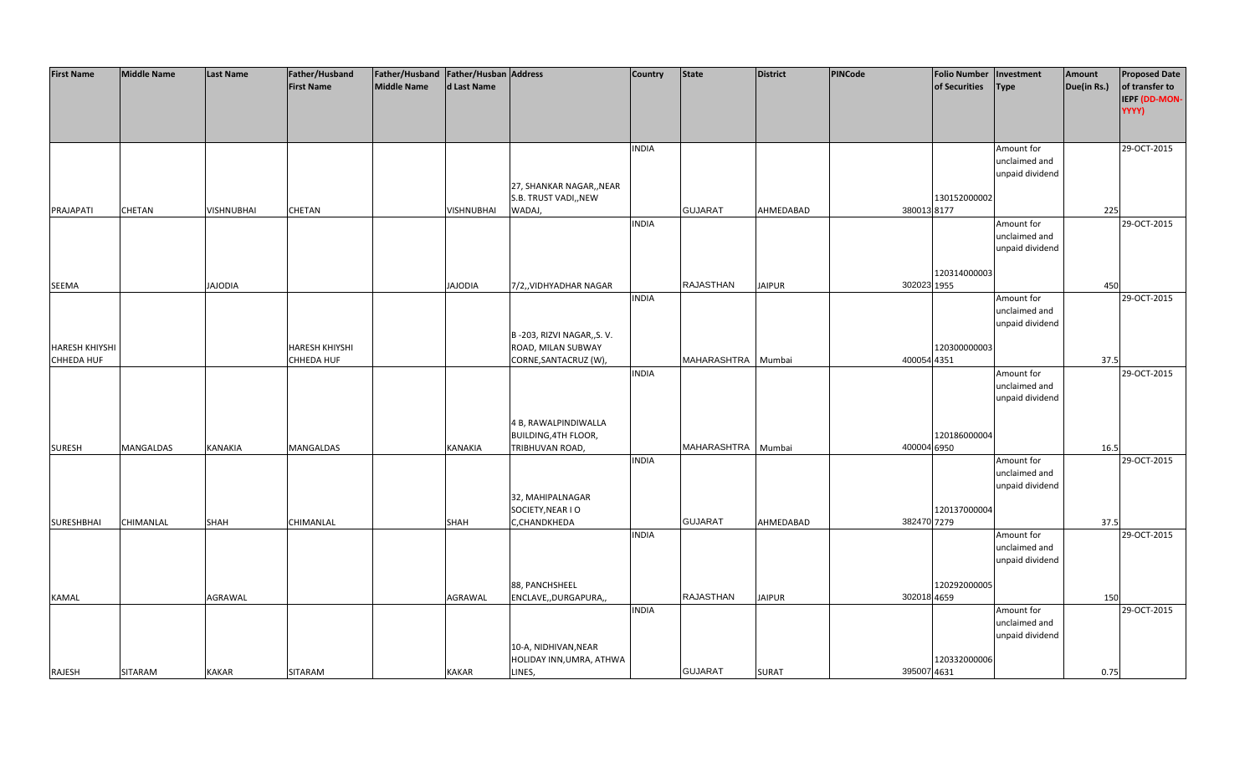| <b>First Name</b>     | <b>Middle Name</b> | <b>Last Name</b> | Father/Husband        | Father/Husband Father/Husban Address |                   |                             | <b>Country</b> | <b>State</b>       | <b>District</b> | <b>PINCode</b> | <b>Folio Number</b> | Investment      | Amount      | <b>Proposed Date</b> |
|-----------------------|--------------------|------------------|-----------------------|--------------------------------------|-------------------|-----------------------------|----------------|--------------------|-----------------|----------------|---------------------|-----------------|-------------|----------------------|
|                       |                    |                  | <b>First Name</b>     | <b>Middle Name</b>                   | d Last Name       |                             |                |                    |                 |                | of Securities       | <b>Type</b>     | Due(in Rs.) | of transfer to       |
|                       |                    |                  |                       |                                      |                   |                             |                |                    |                 |                |                     |                 |             | IEPF (DD-MON-        |
|                       |                    |                  |                       |                                      |                   |                             |                |                    |                 |                |                     |                 |             | YYYY)                |
|                       |                    |                  |                       |                                      |                   |                             |                |                    |                 |                |                     |                 |             |                      |
|                       |                    |                  |                       |                                      |                   |                             |                |                    |                 |                |                     |                 |             |                      |
|                       |                    |                  |                       |                                      |                   |                             | <b>INDIA</b>   |                    |                 |                |                     | Amount for      |             | 29-OCT-2015          |
|                       |                    |                  |                       |                                      |                   |                             |                |                    |                 |                |                     | unclaimed and   |             |                      |
|                       |                    |                  |                       |                                      |                   |                             |                |                    |                 |                |                     | unpaid dividend |             |                      |
|                       |                    |                  |                       |                                      |                   | 27, SHANKAR NAGAR,, NEAR    |                |                    |                 |                |                     |                 |             |                      |
|                       |                    |                  |                       |                                      |                   | S.B. TRUST VADI,, NEW       |                |                    |                 |                | 130152000002        |                 |             |                      |
| PRAJAPATI             | CHETAN             | VISHNUBHAI       | CHETAN                |                                      | <b>VISHNUBHAI</b> | WADAJ,                      |                | <b>GUJARAT</b>     | AHMEDABAD       | 380013 8177    |                     |                 | 225         |                      |
|                       |                    |                  |                       |                                      |                   |                             | <b>INDIA</b>   |                    |                 |                |                     | Amount for      |             | 29-OCT-2015          |
|                       |                    |                  |                       |                                      |                   |                             |                |                    |                 |                |                     | unclaimed and   |             |                      |
|                       |                    |                  |                       |                                      |                   |                             |                |                    |                 |                |                     | unpaid dividend |             |                      |
|                       |                    |                  |                       |                                      |                   |                             |                |                    |                 |                |                     |                 |             |                      |
|                       |                    |                  |                       |                                      |                   |                             |                |                    |                 |                | 120314000003        |                 |             |                      |
| <b>SEEMA</b>          |                    | <b>JAJODIA</b>   |                       |                                      | <b>JAJODIA</b>    | 7/2,, VIDHYADHAR NAGAR      |                | <b>RAJASTHAN</b>   | <b>JAIPUR</b>   | 302023 1955    |                     |                 | 450         |                      |
|                       |                    |                  |                       |                                      |                   |                             | <b>INDIA</b>   |                    |                 |                |                     | Amount for      |             | 29-OCT-2015          |
|                       |                    |                  |                       |                                      |                   |                             |                |                    |                 |                |                     | unclaimed and   |             |                      |
|                       |                    |                  |                       |                                      |                   |                             |                |                    |                 |                |                     | unpaid dividend |             |                      |
|                       |                    |                  |                       |                                      |                   | B-203, RIZVI NAGAR,, S.V.   |                |                    |                 |                |                     |                 |             |                      |
| <b>HARESH KHIYSHI</b> |                    |                  | <b>HARESH KHIYSHI</b> |                                      |                   | ROAD, MILAN SUBWAY          |                |                    |                 |                | 120300000003        |                 |             |                      |
| CHHEDA HUF            |                    |                  | CHHEDA HUF            |                                      |                   | CORNE, SANTACRUZ (W),       |                | MAHARASHTRA Mumbai |                 | 400054 4351    |                     |                 | 37.5        |                      |
|                       |                    |                  |                       |                                      |                   |                             | <b>INDIA</b>   |                    |                 |                |                     | Amount for      |             | 29-OCT-2015          |
|                       |                    |                  |                       |                                      |                   |                             |                |                    |                 |                |                     | unclaimed and   |             |                      |
|                       |                    |                  |                       |                                      |                   |                             |                |                    |                 |                |                     | unpaid dividend |             |                      |
|                       |                    |                  |                       |                                      |                   |                             |                |                    |                 |                |                     |                 |             |                      |
|                       |                    |                  |                       |                                      |                   | 4 B, RAWALPINDIWALLA        |                |                    |                 |                |                     |                 |             |                      |
|                       |                    |                  |                       |                                      |                   | <b>BUILDING, 4TH FLOOR,</b> |                |                    |                 |                | 120186000004        |                 |             |                      |
| <b>SURESH</b>         | MANGALDAS          | <b>KANAKIA</b>   | MANGALDAS             |                                      | KANAKIA           | TRIBHUVAN ROAD,             |                | MAHARASHTRA Mumbai |                 | 400004 6950    |                     |                 | 16.5        |                      |
|                       |                    |                  |                       |                                      |                   |                             | <b>INDIA</b>   |                    |                 |                |                     | Amount for      |             | 29-OCT-2015          |
|                       |                    |                  |                       |                                      |                   |                             |                |                    |                 |                |                     | unclaimed and   |             |                      |
|                       |                    |                  |                       |                                      |                   |                             |                |                    |                 |                |                     | unpaid dividend |             |                      |
|                       |                    |                  |                       |                                      |                   | 32, MAHIPALNAGAR            |                |                    |                 |                |                     |                 |             |                      |
|                       |                    |                  |                       |                                      |                   | SOCIETY, NEAR I O           |                |                    |                 |                | 120137000004        |                 |             |                      |
| <b>SURESHBHAI</b>     | CHIMANLAL          | <b>SHAH</b>      | CHIMANLAL             |                                      | <b>SHAH</b>       | C,CHANDKHEDA                |                | <b>GUJARAT</b>     | AHMEDABAD       | 382470 7279    |                     |                 | 37.5        |                      |
|                       |                    |                  |                       |                                      |                   |                             | <b>INDIA</b>   |                    |                 |                |                     | Amount for      |             | 29-OCT-2015          |
|                       |                    |                  |                       |                                      |                   |                             |                |                    |                 |                |                     | unclaimed and   |             |                      |
|                       |                    |                  |                       |                                      |                   |                             |                |                    |                 |                |                     | unpaid dividend |             |                      |
|                       |                    |                  |                       |                                      |                   |                             |                |                    |                 |                |                     |                 |             |                      |
|                       |                    |                  |                       |                                      |                   | 88, PANCHSHEEL              |                | <b>RAJASTHAN</b>   | <b>JAIPUR</b>   | 302018 4659    | 120292000005        |                 |             |                      |
| <b>KAMAL</b>          |                    | AGRAWAL          |                       |                                      | AGRAWAL           | ENCLAVE,, DURGAPURA,,       | <b>INDIA</b>   |                    |                 |                |                     | Amount for      | 150         | 29-OCT-2015          |
|                       |                    |                  |                       |                                      |                   |                             |                |                    |                 |                |                     | unclaimed and   |             |                      |
|                       |                    |                  |                       |                                      |                   |                             |                |                    |                 |                |                     | unpaid dividend |             |                      |
|                       |                    |                  |                       |                                      |                   | 10-A, NIDHIVAN, NEAR        |                |                    |                 |                |                     |                 |             |                      |
|                       |                    |                  |                       |                                      |                   | HOLIDAY INN, UMRA, ATHWA    |                |                    |                 |                | 120332000006        |                 |             |                      |
| RAJESH                | SITARAM            | <b>KAKAR</b>     | <b>SITARAM</b>        |                                      | <b>KAKAR</b>      | LINES,                      |                | <b>GUJARAT</b>     | <b>SURAT</b>    | 395007 4631    |                     |                 | 0.75        |                      |
|                       |                    |                  |                       |                                      |                   |                             |                |                    |                 |                |                     |                 |             |                      |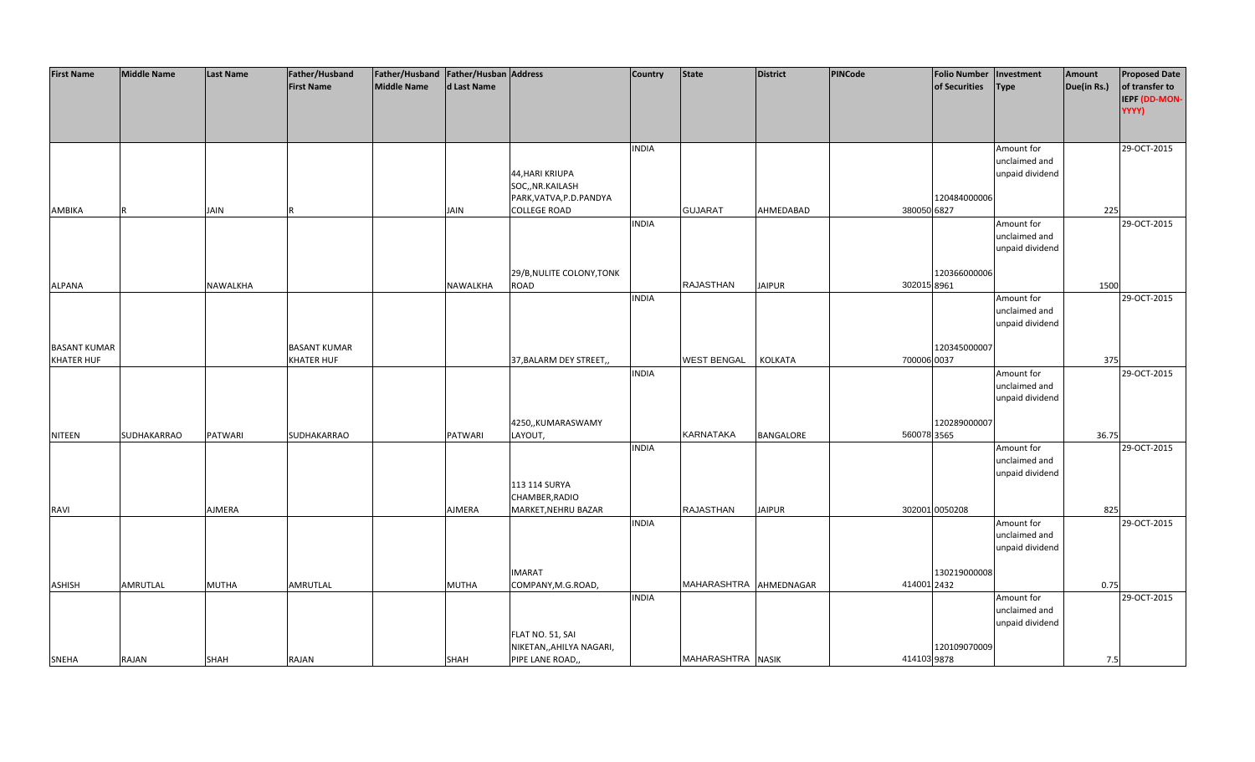| <b>First Name</b>   | <b>Middle Name</b> | <b>Last Name</b> | Father/Husband      | Father/Husband Father/Husban Address |                |                           | <b>Country</b> | <b>State</b>           | <b>District</b> | PINCode     | <b>Folio Number</b> | Investment      | Amount      | <b>Proposed Date</b> |
|---------------------|--------------------|------------------|---------------------|--------------------------------------|----------------|---------------------------|----------------|------------------------|-----------------|-------------|---------------------|-----------------|-------------|----------------------|
|                     |                    |                  | <b>First Name</b>   | <b>Middle Name</b>                   | d Last Name    |                           |                |                        |                 |             | of Securities       | <b>Type</b>     | Due(in Rs.) | of transfer to       |
|                     |                    |                  |                     |                                      |                |                           |                |                        |                 |             |                     |                 |             |                      |
|                     |                    |                  |                     |                                      |                |                           |                |                        |                 |             |                     |                 |             | IEPF (DD-MON-        |
|                     |                    |                  |                     |                                      |                |                           |                |                        |                 |             |                     |                 |             | YYYY)                |
|                     |                    |                  |                     |                                      |                |                           |                |                        |                 |             |                     |                 |             |                      |
|                     |                    |                  |                     |                                      |                |                           |                |                        |                 |             |                     |                 |             |                      |
|                     |                    |                  |                     |                                      |                |                           | <b>INDIA</b>   |                        |                 |             |                     | Amount for      |             | 29-OCT-2015          |
|                     |                    |                  |                     |                                      |                |                           |                |                        |                 |             |                     | unclaimed and   |             |                      |
|                     |                    |                  |                     |                                      |                | 44, HARI KRIUPA           |                |                        |                 |             |                     | unpaid dividend |             |                      |
|                     |                    |                  |                     |                                      |                | SOC,, NR.KAILASH          |                |                        |                 |             |                     |                 |             |                      |
|                     |                    |                  |                     |                                      |                | PARK, VATVA, P.D. PANDYA  |                |                        |                 |             | 120484000006        |                 |             |                      |
|                     |                    |                  |                     |                                      |                |                           |                | <b>GUJARAT</b>         |                 | 380050 6827 |                     |                 |             |                      |
| AMBIKA              |                    | <b>JAIN</b>      |                     |                                      | <b>JAIN</b>    | <b>COLLEGE ROAD</b>       |                |                        | AHMEDABAD       |             |                     |                 | 225         |                      |
|                     |                    |                  |                     |                                      |                |                           | <b>INDIA</b>   |                        |                 |             |                     | Amount for      |             | 29-OCT-2015          |
|                     |                    |                  |                     |                                      |                |                           |                |                        |                 |             |                     | unclaimed and   |             |                      |
|                     |                    |                  |                     |                                      |                |                           |                |                        |                 |             |                     | unpaid dividend |             |                      |
|                     |                    |                  |                     |                                      |                |                           |                |                        |                 |             |                     |                 |             |                      |
|                     |                    |                  |                     |                                      |                | 29/B, NULITE COLONY, TONK |                |                        |                 |             | 120366000006        |                 |             |                      |
| <b>ALPANA</b>       |                    | NAWALKHA         |                     |                                      | NAWALKHA       | ROAD                      |                | <b>RAJASTHAN</b>       | <b>JAIPUR</b>   | 302015 8961 |                     |                 | 1500        |                      |
|                     |                    |                  |                     |                                      |                |                           | <b>INDIA</b>   |                        |                 |             |                     | Amount for      |             | 29-OCT-2015          |
|                     |                    |                  |                     |                                      |                |                           |                |                        |                 |             |                     | unclaimed and   |             |                      |
|                     |                    |                  |                     |                                      |                |                           |                |                        |                 |             |                     | unpaid dividend |             |                      |
|                     |                    |                  |                     |                                      |                |                           |                |                        |                 |             |                     |                 |             |                      |
|                     |                    |                  |                     |                                      |                |                           |                |                        |                 |             |                     |                 |             |                      |
| <b>BASANT KUMAR</b> |                    |                  | <b>BASANT KUMAR</b> |                                      |                |                           |                |                        |                 |             | 120345000007        |                 |             |                      |
| <b>KHATER HUF</b>   |                    |                  | <b>KHATER HUF</b>   |                                      |                | 37, BALARM DEY STREET,    |                | <b>WEST BENGAL</b>     | KOLKATA         | 700006 0037 |                     |                 | 375         |                      |
|                     |                    |                  |                     |                                      |                |                           | <b>INDIA</b>   |                        |                 |             |                     | Amount for      |             | 29-OCT-2015          |
|                     |                    |                  |                     |                                      |                |                           |                |                        |                 |             |                     | unclaimed and   |             |                      |
|                     |                    |                  |                     |                                      |                |                           |                |                        |                 |             |                     | unpaid dividend |             |                      |
|                     |                    |                  |                     |                                      |                |                           |                |                        |                 |             |                     |                 |             |                      |
|                     |                    |                  |                     |                                      |                | 4250,,KUMARASWAMY         |                |                        |                 |             | 120289000007        |                 |             |                      |
| <b>NITEEN</b>       | SUDHAKARRAO        | <b>PATWARI</b>   | SUDHAKARRAO         |                                      | <b>PATWARI</b> | LAYOUT,                   |                | <b>KARNATAKA</b>       | BANGALORE       | 560078 3565 |                     |                 | 36.75       |                      |
|                     |                    |                  |                     |                                      |                |                           | <b>INDIA</b>   |                        |                 |             |                     | Amount for      |             | 29-OCT-2015          |
|                     |                    |                  |                     |                                      |                |                           |                |                        |                 |             |                     | unclaimed and   |             |                      |
|                     |                    |                  |                     |                                      |                |                           |                |                        |                 |             |                     | unpaid dividend |             |                      |
|                     |                    |                  |                     |                                      |                |                           |                |                        |                 |             |                     |                 |             |                      |
|                     |                    |                  |                     |                                      |                | 113 114 SURYA             |                |                        |                 |             |                     |                 |             |                      |
|                     |                    |                  |                     |                                      |                | CHAMBER, RADIO            |                |                        |                 |             |                     |                 |             |                      |
| <b>RAVI</b>         |                    | AJMERA           |                     |                                      | AJMERA         | MARKET, NEHRU BAZAR       |                | <b>RAJASTHAN</b>       | <b>JAIPUR</b>   |             | 302001 0050208      |                 | 825         |                      |
|                     |                    |                  |                     |                                      |                |                           | <b>INDIA</b>   |                        |                 |             |                     | Amount for      |             | 29-OCT-2015          |
|                     |                    |                  |                     |                                      |                |                           |                |                        |                 |             |                     | unclaimed and   |             |                      |
|                     |                    |                  |                     |                                      |                |                           |                |                        |                 |             |                     | unpaid dividend |             |                      |
|                     |                    |                  |                     |                                      |                |                           |                |                        |                 |             |                     |                 |             |                      |
|                     |                    |                  |                     |                                      |                | <b>IMARAT</b>             |                |                        |                 |             | 130219000008        |                 |             |                      |
| <b>ASHISH</b>       | AMRUTLAL           | <b>MUTHA</b>     | AMRUTLAL            |                                      | <b>MUTHA</b>   | COMPANY, M.G.ROAD,        |                | MAHARASHTRA AHMEDNAGAR |                 | 414001 2432 |                     |                 | 0.75        |                      |
|                     |                    |                  |                     |                                      |                |                           | <b>INDIA</b>   |                        |                 |             |                     | Amount for      |             | 29-OCT-2015          |
|                     |                    |                  |                     |                                      |                |                           |                |                        |                 |             |                     | unclaimed and   |             |                      |
|                     |                    |                  |                     |                                      |                |                           |                |                        |                 |             |                     |                 |             |                      |
|                     |                    |                  |                     |                                      |                |                           |                |                        |                 |             |                     | unpaid dividend |             |                      |
|                     |                    |                  |                     |                                      |                | FLAT NO. 51, SAI          |                |                        |                 |             |                     |                 |             |                      |
|                     |                    |                  |                     |                                      |                | NIKETAN,, AHILYA NAGARI,  |                |                        |                 |             | 120109070009        |                 |             |                      |
| <b>SNEHA</b>        | RAJAN              | <b>SHAH</b>      | RAJAN               |                                      | <b>SHAH</b>    | PIPE LANE ROAD,,          |                | MAHARASHTRA NASIK      |                 | 414103 9878 |                     |                 | 7.5         |                      |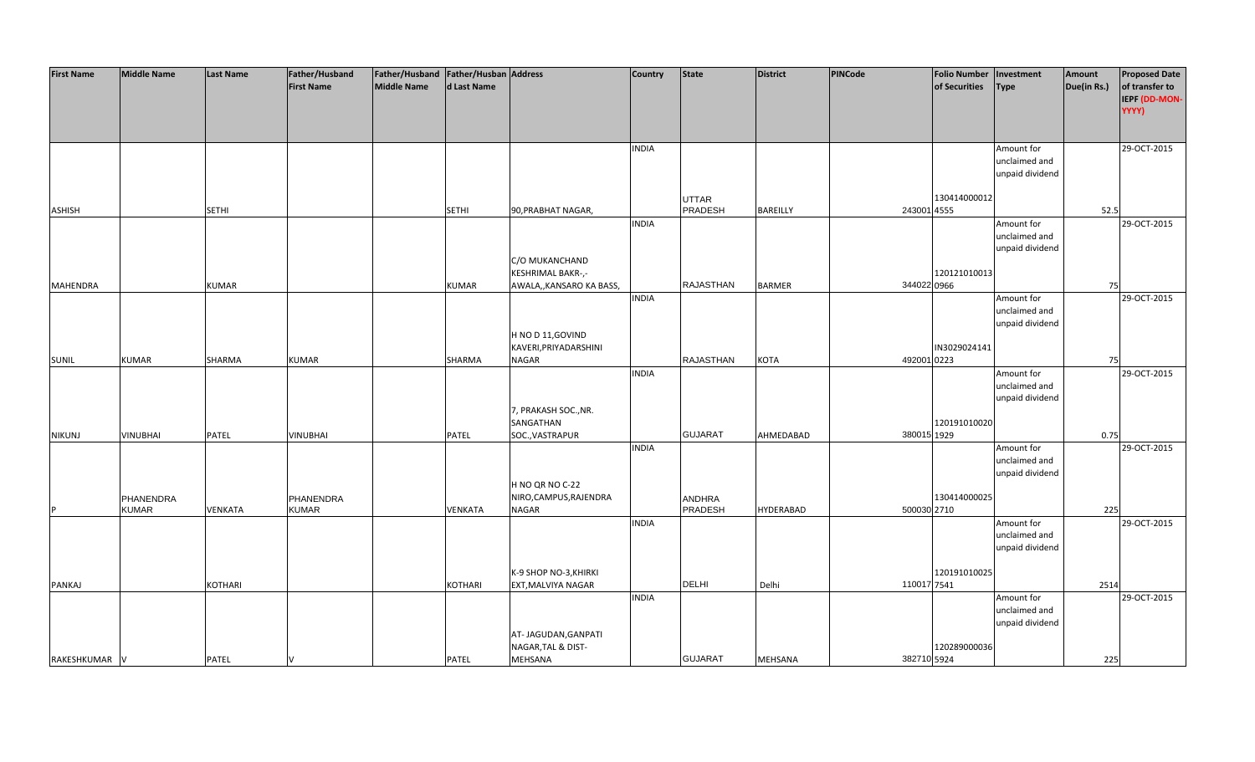| <b>First Name</b> | <b>Middle Name</b> | <b>Last Name</b> | Father/Husband    | Father/Husband   Father/Husban   Address |             |                         | <b>Country</b> | <b>State</b>     | District         | PINCode     | <b>Folio Number</b> | Investment      | Amount      | <b>Proposed Date</b> |
|-------------------|--------------------|------------------|-------------------|------------------------------------------|-------------|-------------------------|----------------|------------------|------------------|-------------|---------------------|-----------------|-------------|----------------------|
|                   |                    |                  | <b>First Name</b> | <b>Middle Name</b>                       | d Last Name |                         |                |                  |                  |             | of Securities       | <b>Type</b>     | Due(in Rs.) | of transfer to       |
|                   |                    |                  |                   |                                          |             |                         |                |                  |                  |             |                     |                 |             | IEPF (DD-MON-        |
|                   |                    |                  |                   |                                          |             |                         |                |                  |                  |             |                     |                 |             | YYYY)                |
|                   |                    |                  |                   |                                          |             |                         |                |                  |                  |             |                     |                 |             |                      |
|                   |                    |                  |                   |                                          |             |                         |                |                  |                  |             |                     |                 |             |                      |
|                   |                    |                  |                   |                                          |             |                         | <b>INDIA</b>   |                  |                  |             |                     | Amount for      |             | 29-OCT-2015          |
|                   |                    |                  |                   |                                          |             |                         |                |                  |                  |             |                     | unclaimed and   |             |                      |
|                   |                    |                  |                   |                                          |             |                         |                |                  |                  |             |                     | unpaid dividend |             |                      |
|                   |                    |                  |                   |                                          |             |                         |                |                  |                  |             |                     |                 |             |                      |
|                   |                    |                  |                   |                                          |             |                         |                | <b>UTTAR</b>     |                  |             | 130414000012        |                 |             |                      |
| <b>ASHISH</b>     |                    | <b>SETHI</b>     |                   |                                          | SETHI       | 90, PRABHAT NAGAR,      |                | PRADESH          | <b>BAREILLY</b>  |             | 243001 4555         |                 | 52.5        |                      |
|                   |                    |                  |                   |                                          |             |                         | <b>INDIA</b>   |                  |                  |             |                     | Amount for      |             | 29-OCT-2015          |
|                   |                    |                  |                   |                                          |             |                         |                |                  |                  |             |                     | unclaimed and   |             |                      |
|                   |                    |                  |                   |                                          |             |                         |                |                  |                  |             |                     | unpaid dividend |             |                      |
|                   |                    |                  |                   |                                          |             | C/O MUKANCHAND          |                |                  |                  |             |                     |                 |             |                      |
|                   |                    |                  |                   |                                          |             | KESHRIMAL BAKR-,-       |                |                  |                  |             | 120121010013        |                 |             |                      |
| <b>MAHENDRA</b>   |                    | <b>KUMAR</b>     |                   |                                          |             |                         |                | RAJASTHAN        | <b>BARMER</b>    |             | 344022 0966         |                 | 75          |                      |
|                   |                    |                  |                   |                                          | KUMAR       | AWALA,,KANSARO KA BASS, | <b>INDIA</b>   |                  |                  |             |                     |                 |             | 29-OCT-2015          |
|                   |                    |                  |                   |                                          |             |                         |                |                  |                  |             |                     | Amount for      |             |                      |
|                   |                    |                  |                   |                                          |             |                         |                |                  |                  |             |                     | unclaimed and   |             |                      |
|                   |                    |                  |                   |                                          |             |                         |                |                  |                  |             |                     | unpaid dividend |             |                      |
|                   |                    |                  |                   |                                          |             | H NO D 11, GOVIND       |                |                  |                  |             |                     |                 |             |                      |
|                   |                    |                  |                   |                                          |             | KAVERI, PRIYADARSHINI   |                |                  |                  |             | IN3029024141        |                 |             |                      |
| <b>SUNIL</b>      | <b>KUMAR</b>       | SHARMA           | <b>KUMAR</b>      |                                          | SHARMA      | <b>NAGAR</b>            |                | <b>RAJASTHAN</b> | KOTA             | 492001 0223 |                     |                 | 75          |                      |
|                   |                    |                  |                   |                                          |             |                         | <b>INDIA</b>   |                  |                  |             |                     | Amount for      |             | 29-OCT-2015          |
|                   |                    |                  |                   |                                          |             |                         |                |                  |                  |             |                     | unclaimed and   |             |                      |
|                   |                    |                  |                   |                                          |             |                         |                |                  |                  |             |                     | unpaid dividend |             |                      |
|                   |                    |                  |                   |                                          |             | 7, PRAKASH SOC., NR.    |                |                  |                  |             |                     |                 |             |                      |
|                   |                    |                  |                   |                                          |             | SANGATHAN               |                |                  |                  |             | 120191010020        |                 |             |                      |
| <b>NIKUNJ</b>     | VINUBHAI           | PATEL            | <b>VINUBHAI</b>   |                                          | PATEL       | SOC., VASTRAPUR         |                | <b>GUJARAT</b>   | AHMEDABAD        |             | 380015 1929         |                 | 0.75        |                      |
|                   |                    |                  |                   |                                          |             |                         | <b>INDIA</b>   |                  |                  |             |                     | Amount for      |             | 29-OCT-2015          |
|                   |                    |                  |                   |                                          |             |                         |                |                  |                  |             |                     | unclaimed and   |             |                      |
|                   |                    |                  |                   |                                          |             |                         |                |                  |                  |             |                     | unpaid dividend |             |                      |
|                   |                    |                  |                   |                                          |             | H NO QR NO C-22         |                |                  |                  |             |                     |                 |             |                      |
|                   | PHANENDRA          |                  | PHANENDRA         |                                          |             | NIRO, CAMPUS, RAJENDRA  |                | ANDHRA           |                  |             | 130414000025        |                 |             |                      |
|                   | <b>KUMAR</b>       | VENKATA          | <b>KUMAR</b>      |                                          | VENKATA     | <b>NAGAR</b>            |                | PRADESH          | <b>HYDERABAD</b> |             | 500030 2710         |                 | 225         |                      |
|                   |                    |                  |                   |                                          |             |                         | <b>INDIA</b>   |                  |                  |             |                     | Amount for      |             | 29-OCT-2015          |
|                   |                    |                  |                   |                                          |             |                         |                |                  |                  |             |                     | unclaimed and   |             |                      |
|                   |                    |                  |                   |                                          |             |                         |                |                  |                  |             |                     | unpaid dividend |             |                      |
|                   |                    |                  |                   |                                          |             |                         |                |                  |                  |             |                     |                 |             |                      |
|                   |                    |                  |                   |                                          |             | K-9 SHOP NO-3, KHIRKI   |                |                  |                  |             | 120191010025        |                 |             |                      |
| PANKAJ            |                    | KOTHARI          |                   |                                          | KOTHARI     | EXT, MALVIYA NAGAR      |                | DELHI            | Delhi            | 110017 7541 |                     |                 | 2514        |                      |
|                   |                    |                  |                   |                                          |             |                         | <b>INDIA</b>   |                  |                  |             |                     | Amount for      |             | 29-OCT-2015          |
|                   |                    |                  |                   |                                          |             |                         |                |                  |                  |             |                     | unclaimed and   |             |                      |
|                   |                    |                  |                   |                                          |             |                         |                |                  |                  |             |                     | unpaid dividend |             |                      |
|                   |                    |                  |                   |                                          |             | AT- JAGUDAN, GANPATI    |                |                  |                  |             |                     |                 |             |                      |
|                   |                    |                  |                   |                                          |             | NAGAR, TAL & DIST-      |                |                  |                  |             | 120289000036        |                 |             |                      |
| RAKESHKUMAR V     |                    | <b>PATEL</b>     |                   |                                          | PATEL       | MEHSANA                 |                | <b>GUJARAT</b>   | <b>MEHSANA</b>   |             | 382710 5924         |                 | 225         |                      |
|                   |                    |                  |                   |                                          |             |                         |                |                  |                  |             |                     |                 |             |                      |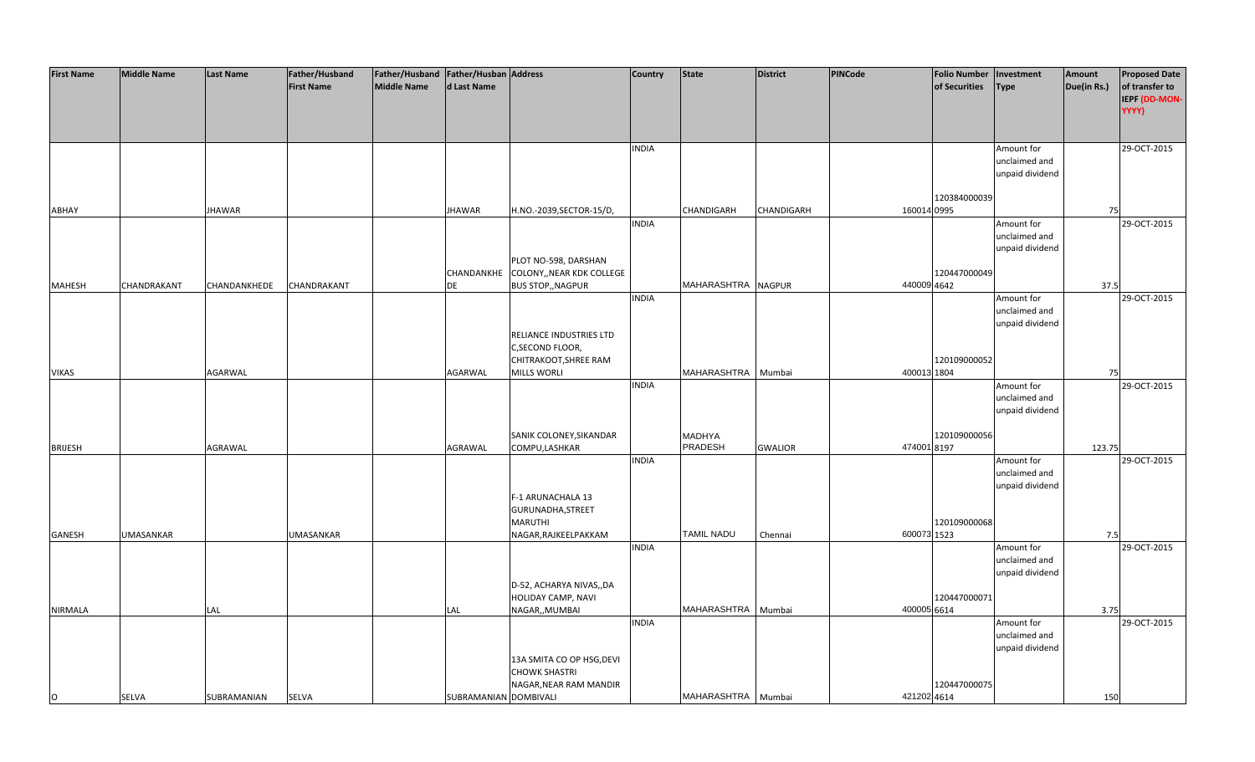| <b>First Name</b> | <b>Middle Name</b> | <b>Last Name</b> | Father/Husband    | Father/Husband   Father/Husban   Address |                       |                           | <b>Country</b> | <b>State</b>       | <b>District</b> | <b>PINCode</b> | <b>Folio Number</b> | Investment      | Amount      | <b>Proposed Date</b> |
|-------------------|--------------------|------------------|-------------------|------------------------------------------|-----------------------|---------------------------|----------------|--------------------|-----------------|----------------|---------------------|-----------------|-------------|----------------------|
|                   |                    |                  | <b>First Name</b> | <b>Middle Name</b>                       | d Last Name           |                           |                |                    |                 |                | of Securities       | <b>Type</b>     | Due(in Rs.) | of transfer to       |
|                   |                    |                  |                   |                                          |                       |                           |                |                    |                 |                |                     |                 |             | <b>IEPF (DD-MON-</b> |
|                   |                    |                  |                   |                                          |                       |                           |                |                    |                 |                |                     |                 |             | YYYY)                |
|                   |                    |                  |                   |                                          |                       |                           |                |                    |                 |                |                     |                 |             |                      |
|                   |                    |                  |                   |                                          |                       |                           |                |                    |                 |                |                     |                 |             |                      |
|                   |                    |                  |                   |                                          |                       |                           | <b>INDIA</b>   |                    |                 |                |                     | Amount for      |             | 29-OCT-2015          |
|                   |                    |                  |                   |                                          |                       |                           |                |                    |                 |                |                     | unclaimed and   |             |                      |
|                   |                    |                  |                   |                                          |                       |                           |                |                    |                 |                |                     | unpaid dividend |             |                      |
|                   |                    |                  |                   |                                          |                       |                           |                |                    |                 |                |                     |                 |             |                      |
|                   |                    |                  |                   |                                          |                       |                           |                |                    |                 |                | 120384000039        |                 |             |                      |
| ABHAY             |                    | <b>JHAWAR</b>    |                   |                                          | <b>JHAWAR</b>         | H.NO.-2039, SECTOR-15/D,  |                | CHANDIGARH         | CHANDIGARH      | 160014 0995    |                     |                 | 75          |                      |
|                   |                    |                  |                   |                                          |                       |                           | <b>INDIA</b>   |                    |                 |                |                     | Amount for      |             | 29-OCT-2015          |
|                   |                    |                  |                   |                                          |                       |                           |                |                    |                 |                |                     | unclaimed and   |             |                      |
|                   |                    |                  |                   |                                          |                       |                           |                |                    |                 |                |                     | unpaid dividend |             |                      |
|                   |                    |                  |                   |                                          |                       | PLOT NO-598, DARSHAN      |                |                    |                 |                |                     |                 |             |                      |
|                   |                    |                  |                   |                                          | CHANDANKHE            | COLONY, NEAR KDK COLLEGE  |                |                    |                 |                | 120447000049        |                 |             |                      |
| <b>MAHESH</b>     | CHANDRAKANT        | CHANDANKHEDE     | CHANDRAKANT       |                                          | DE                    | <b>BUS STOP,, NAGPUR</b>  |                | MAHARASHTRA NAGPUR |                 | 440009 4642    |                     |                 | 37.5        |                      |
|                   |                    |                  |                   |                                          |                       |                           | <b>INDIA</b>   |                    |                 |                |                     | Amount for      |             | 29-OCT-2015          |
|                   |                    |                  |                   |                                          |                       |                           |                |                    |                 |                |                     | unclaimed and   |             |                      |
|                   |                    |                  |                   |                                          |                       |                           |                |                    |                 |                |                     | unpaid dividend |             |                      |
|                   |                    |                  |                   |                                          |                       | RELIANCE INDUSTRIES LTD   |                |                    |                 |                |                     |                 |             |                      |
|                   |                    |                  |                   |                                          |                       | C,SECOND FLOOR,           |                |                    |                 |                |                     |                 |             |                      |
|                   |                    |                  |                   |                                          |                       | CHITRAKOOT, SHREE RAM     |                |                    |                 |                | 120109000052        |                 |             |                      |
| <b>VIKAS</b>      |                    | <b>AGARWAL</b>   |                   |                                          | AGARWAL               | <b>MILLS WORLI</b>        |                | MAHARASHTRA Mumbai |                 | 400013 1804    |                     |                 | 75          |                      |
|                   |                    |                  |                   |                                          |                       |                           | <b>INDIA</b>   |                    |                 |                |                     | Amount for      |             | 29-OCT-2015          |
|                   |                    |                  |                   |                                          |                       |                           |                |                    |                 |                |                     | unclaimed and   |             |                      |
|                   |                    |                  |                   |                                          |                       |                           |                |                    |                 |                |                     | unpaid dividend |             |                      |
|                   |                    |                  |                   |                                          |                       |                           |                |                    |                 |                |                     |                 |             |                      |
|                   |                    |                  |                   |                                          |                       | SANIK COLONEY, SIKANDAR   |                | <b>MADHYA</b>      |                 |                | 120109000056        |                 |             |                      |
| <b>BRIJESH</b>    |                    | AGRAWAL          |                   |                                          | AGRAWAL               | COMPU, LASHKAR            |                | PRADESH            | <b>GWALIOR</b>  | 474001 8197    |                     |                 | 123.75      |                      |
|                   |                    |                  |                   |                                          |                       |                           | <b>INDIA</b>   |                    |                 |                |                     | Amount for      |             | 29-OCT-2015          |
|                   |                    |                  |                   |                                          |                       |                           |                |                    |                 |                |                     | unclaimed and   |             |                      |
|                   |                    |                  |                   |                                          |                       |                           |                |                    |                 |                |                     | unpaid dividend |             |                      |
|                   |                    |                  |                   |                                          |                       | F-1 ARUNACHALA 13         |                |                    |                 |                |                     |                 |             |                      |
|                   |                    |                  |                   |                                          |                       | GURUNADHA, STREET         |                |                    |                 |                |                     |                 |             |                      |
|                   |                    |                  |                   |                                          |                       | <b>MARUTHI</b>            |                |                    |                 |                | 120109000068        |                 |             |                      |
| <b>GANESH</b>     | UMASANKAR          |                  | UMASANKAR         |                                          |                       | NAGAR, RAJKEELPAKKAM      |                | <b>TAMIL NADU</b>  | Chennai         | 600073 1523    |                     |                 | 7.5         |                      |
|                   |                    |                  |                   |                                          |                       |                           | <b>INDIA</b>   |                    |                 |                |                     | Amount for      |             | 29-OCT-2015          |
|                   |                    |                  |                   |                                          |                       |                           |                |                    |                 |                |                     | unclaimed and   |             |                      |
|                   |                    |                  |                   |                                          |                       |                           |                |                    |                 |                |                     | unpaid dividend |             |                      |
|                   |                    |                  |                   |                                          |                       | D-52, ACHARYA NIVAS,, DA  |                |                    |                 |                |                     |                 |             |                      |
|                   |                    |                  |                   |                                          |                       | HOLIDAY CAMP, NAVI        |                |                    |                 |                | 120447000071        |                 |             |                      |
| NIRMALA           |                    | LAL              |                   |                                          | LAL                   | NAGAR,, MUMBAI            |                | MAHARASHTRA Mumbai |                 | 400005 6614    |                     |                 | 3.75        |                      |
|                   |                    |                  |                   |                                          |                       |                           | <b>INDIA</b>   |                    |                 |                |                     | Amount for      |             | 29-OCT-2015          |
|                   |                    |                  |                   |                                          |                       |                           |                |                    |                 |                |                     | unclaimed and   |             |                      |
|                   |                    |                  |                   |                                          |                       |                           |                |                    |                 |                |                     | unpaid dividend |             |                      |
|                   |                    |                  |                   |                                          |                       | 13A SMITA CO OP HSG, DEVI |                |                    |                 |                |                     |                 |             |                      |
|                   |                    |                  |                   |                                          |                       | <b>CHOWK SHASTRI</b>      |                |                    |                 |                |                     |                 |             |                      |
|                   |                    |                  |                   |                                          |                       | NAGAR, NEAR RAM MANDIR    |                |                    |                 |                | 120447000075        |                 |             |                      |
| O                 | SELVA              | SUBRAMANIAN      | <b>SELVA</b>      |                                          | SUBRAMANIAN DOMBIVALI |                           |                | MAHARASHTRA Mumbai |                 | 421202 4614    |                     |                 | 150         |                      |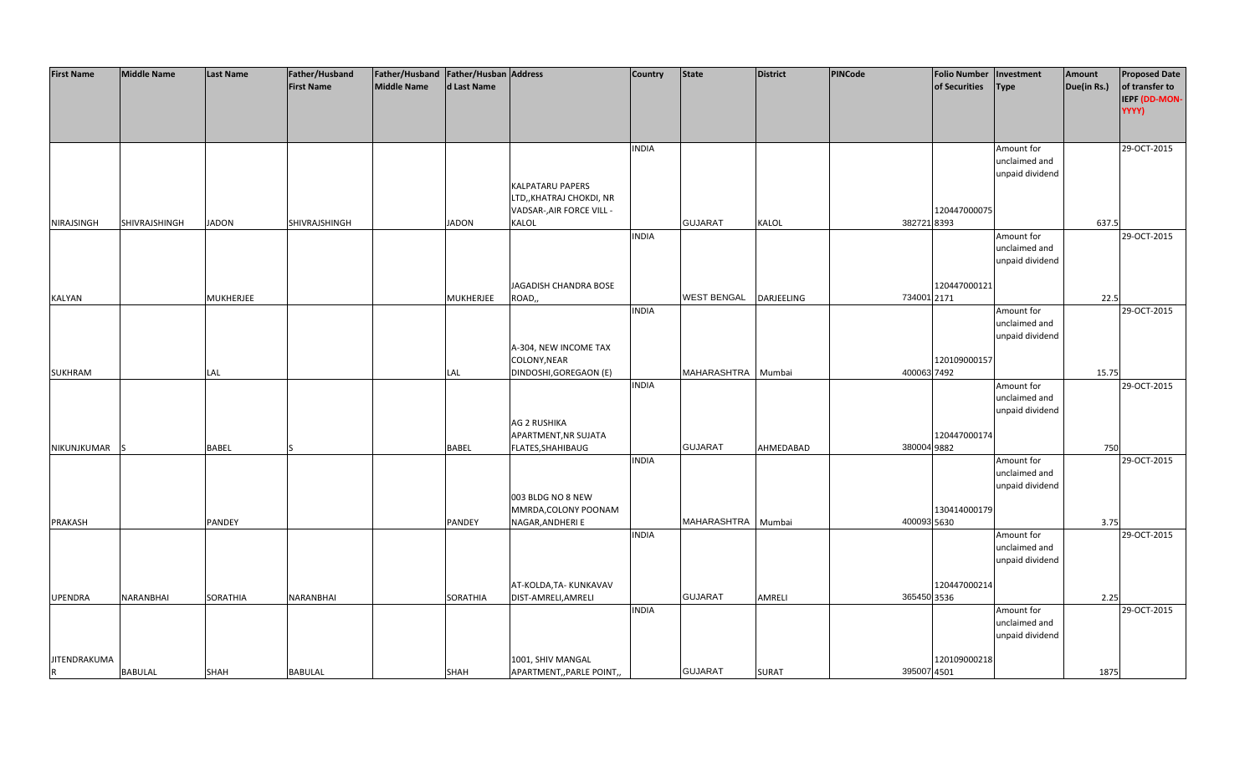| <b>First Name</b>   | <b>Middle Name</b> | <b>Last Name</b> | Father/Husband    | Father/Husband   Father/Husban   Address |                  |                                    | <b>Country</b> | <b>State</b>       | <b>District</b>   | <b>PINCode</b> | <b>Folio Number</b> | Investment      | Amount      | <b>Proposed Date</b>            |
|---------------------|--------------------|------------------|-------------------|------------------------------------------|------------------|------------------------------------|----------------|--------------------|-------------------|----------------|---------------------|-----------------|-------------|---------------------------------|
|                     |                    |                  | <b>First Name</b> | <b>Middle Name</b>                       | d Last Name      |                                    |                |                    |                   |                | of Securities       | <b>Type</b>     | Due(in Rs.) | of transfer to<br>IEPF (DD-MON- |
|                     |                    |                  |                   |                                          |                  |                                    |                |                    |                   |                |                     |                 |             | YYYY)                           |
|                     |                    |                  |                   |                                          |                  |                                    | <b>INDIA</b>   |                    |                   |                |                     | Amount for      |             | 29-OCT-2015                     |
|                     |                    |                  |                   |                                          |                  |                                    |                |                    |                   |                |                     | unclaimed and   |             |                                 |
|                     |                    |                  |                   |                                          |                  |                                    |                |                    |                   |                |                     | unpaid dividend |             |                                 |
|                     |                    |                  |                   |                                          |                  | <b>KALPATARU PAPERS</b>            |                |                    |                   |                |                     |                 |             |                                 |
|                     |                    |                  |                   |                                          |                  | LTD,, KHATRAJ CHOKDI, NR           |                |                    |                   |                |                     |                 |             |                                 |
|                     | SHIVRAJSHINGH      | <b>JADON</b>     | SHIVRAJSHINGH     |                                          | <b>JADON</b>     | VADSAR-, AIR FORCE VILL -<br>KALOL |                | <b>GUJARAT</b>     | KALOL             | 382721 8393    | 120447000075        |                 | 637.5       |                                 |
| NIRAJSINGH          |                    |                  |                   |                                          |                  |                                    | <b>INDIA</b>   |                    |                   |                |                     | Amount for      |             | 29-OCT-2015                     |
|                     |                    |                  |                   |                                          |                  |                                    |                |                    |                   |                |                     | unclaimed and   |             |                                 |
|                     |                    |                  |                   |                                          |                  |                                    |                |                    |                   |                |                     | unpaid dividend |             |                                 |
|                     |                    |                  |                   |                                          |                  |                                    |                |                    |                   |                |                     |                 |             |                                 |
|                     |                    |                  |                   |                                          |                  | JAGADISH CHANDRA BOSE              |                |                    |                   |                | 120447000121        |                 |             |                                 |
| <b>KALYAN</b>       |                    | MUKHERJEE        |                   |                                          | <b>MUKHERJEE</b> | ROAD,,                             |                | <b>WEST BENGAL</b> | <b>DARJEELING</b> | 734001 2171    |                     |                 | 22.5        |                                 |
|                     |                    |                  |                   |                                          |                  |                                    | <b>INDIA</b>   |                    |                   |                |                     | Amount for      |             | 29-OCT-2015                     |
|                     |                    |                  |                   |                                          |                  |                                    |                |                    |                   |                |                     | unclaimed and   |             |                                 |
|                     |                    |                  |                   |                                          |                  | A-304, NEW INCOME TAX              |                |                    |                   |                |                     | unpaid dividend |             |                                 |
|                     |                    |                  |                   |                                          |                  | COLONY, NEAR                       |                |                    |                   |                | 120109000157        |                 |             |                                 |
| SUKHRAM             |                    | LAL              |                   |                                          | <b>LAL</b>       | DINDOSHI, GOREGAON (E)             |                | MAHARASHTRA        | Mumbai            | 400063 7492    |                     |                 | 15.75       |                                 |
|                     |                    |                  |                   |                                          |                  |                                    | <b>INDIA</b>   |                    |                   |                |                     | Amount for      |             | 29-OCT-2015                     |
|                     |                    |                  |                   |                                          |                  |                                    |                |                    |                   |                |                     | unclaimed and   |             |                                 |
|                     |                    |                  |                   |                                          |                  |                                    |                |                    |                   |                |                     | unpaid dividend |             |                                 |
|                     |                    |                  |                   |                                          |                  | AG 2 RUSHIKA                       |                |                    |                   |                |                     |                 |             |                                 |
|                     |                    |                  |                   |                                          |                  | APARTMENT, NR SUJATA               |                |                    |                   |                | 120447000174        |                 |             |                                 |
| NIKUNJKUMAR         | IS.                | BABEL            |                   |                                          | BABEL            | FLATES, SHAHIBAUG                  | <b>INDIA</b>   | <b>GUJARAT</b>     | AHMEDABAD         | 380004 9882    |                     | Amount for      | 750         | 29-OCT-2015                     |
|                     |                    |                  |                   |                                          |                  |                                    |                |                    |                   |                |                     | unclaimed and   |             |                                 |
|                     |                    |                  |                   |                                          |                  |                                    |                |                    |                   |                |                     | unpaid dividend |             |                                 |
|                     |                    |                  |                   |                                          |                  | 003 BLDG NO 8 NEW                  |                |                    |                   |                |                     |                 |             |                                 |
|                     |                    |                  |                   |                                          |                  | MMRDA, COLONY POONAM               |                |                    |                   |                | 130414000179        |                 |             |                                 |
| <b>PRAKASH</b>      |                    | PANDEY           |                   |                                          | PANDEY           | NAGAR, ANDHERI E                   |                | MAHARASHTRA        | Mumbai            | 400093 5630    |                     |                 | 3.75        |                                 |
|                     |                    |                  |                   |                                          |                  |                                    | <b>INDIA</b>   |                    |                   |                |                     | Amount for      |             | 29-OCT-2015                     |
|                     |                    |                  |                   |                                          |                  |                                    |                |                    |                   |                |                     | unclaimed and   |             |                                 |
|                     |                    |                  |                   |                                          |                  |                                    |                |                    |                   |                |                     | unpaid dividend |             |                                 |
|                     |                    |                  |                   |                                          |                  | AT-KOLDA, TA-KUNKAVAV              |                |                    |                   |                | 120447000214        |                 |             |                                 |
| <b>UPENDRA</b>      | <b>NARANBHAI</b>   | SORATHIA         | NARANBHAI         |                                          | SORATHIA         | DIST-AMRELI, AMRELI                |                | <b>GUJARAT</b>     | <b>AMRELI</b>     | 365450 3536    |                     |                 | 2.25        |                                 |
|                     |                    |                  |                   |                                          |                  |                                    | <b>INDIA</b>   |                    |                   |                |                     | Amount for      |             | 29-OCT-2015                     |
|                     |                    |                  |                   |                                          |                  |                                    |                |                    |                   |                |                     | unclaimed and   |             |                                 |
|                     |                    |                  |                   |                                          |                  |                                    |                |                    |                   |                |                     | unpaid dividend |             |                                 |
|                     |                    |                  |                   |                                          |                  |                                    |                |                    |                   |                |                     |                 |             |                                 |
| <b>JITENDRAKUMA</b> |                    |                  |                   |                                          |                  | 1001, SHIV MANGAL                  |                |                    |                   |                | 120109000218        |                 |             |                                 |
| R                   | <b>BABULAL</b>     | SHAH             | <b>BABULAL</b>    |                                          | <b>SHAH</b>      | APARTMENT,, PARLE POINT,,          |                | <b>GUJARAT</b>     | <b>SURAT</b>      | 395007 4501    |                     |                 | 1875        |                                 |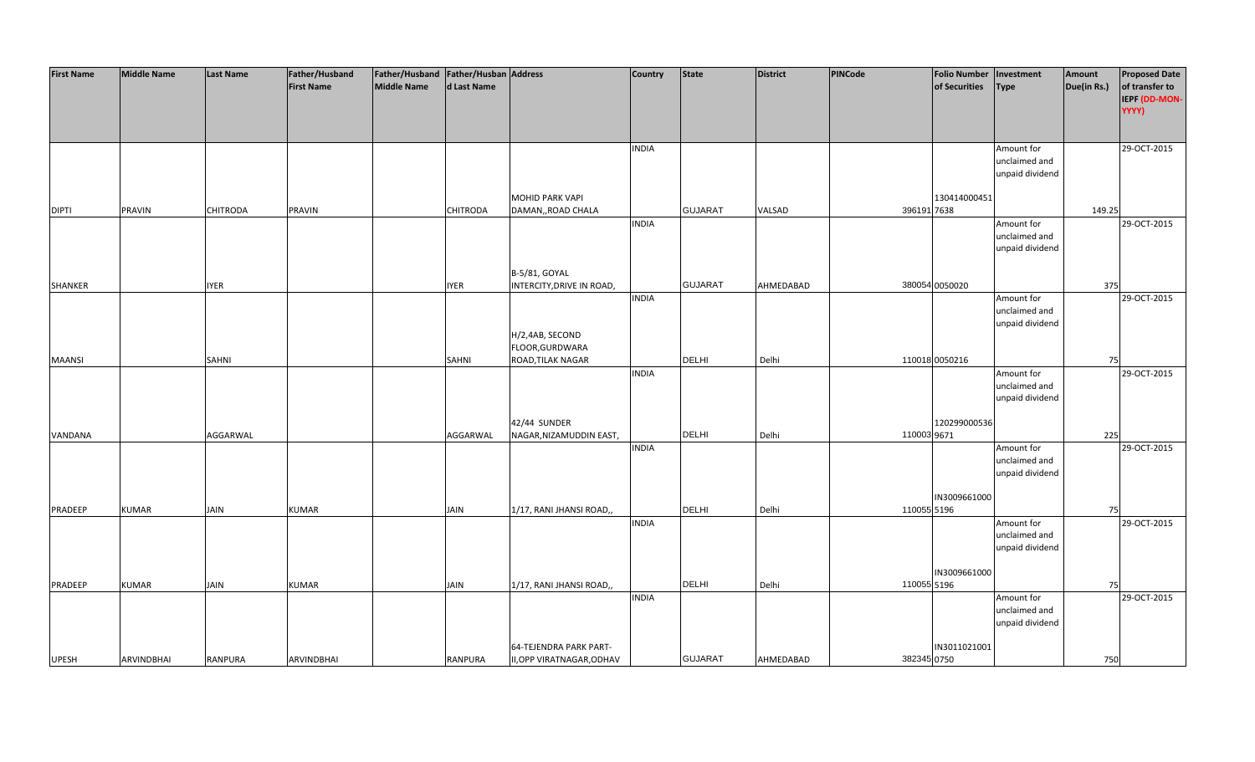| <b>First Name</b> | <b>Middle Name</b> | <b>Last Name</b> | Father/Husband    | Father/Husband   Father/Husban   Address |                 |                                                     | <b>Country</b> | <b>State</b>   | <b>District</b> | PINCode     | Folio Number   Investment |                 | Amount      | <b>Proposed Date</b> |
|-------------------|--------------------|------------------|-------------------|------------------------------------------|-----------------|-----------------------------------------------------|----------------|----------------|-----------------|-------------|---------------------------|-----------------|-------------|----------------------|
|                   |                    |                  | <b>First Name</b> | Middle Name                              | d Last Name     |                                                     |                |                |                 |             | of Securities             | <b>Type</b>     | Due(in Rs.) | of transfer to       |
|                   |                    |                  |                   |                                          |                 |                                                     |                |                |                 |             |                           |                 |             | IEPF (DD-MON-        |
|                   |                    |                  |                   |                                          |                 |                                                     |                |                |                 |             |                           |                 |             | YYYY)                |
|                   |                    |                  |                   |                                          |                 |                                                     |                |                |                 |             |                           |                 |             |                      |
|                   |                    |                  |                   |                                          |                 |                                                     | <b>INDIA</b>   |                |                 |             |                           | Amount for      |             | 29-OCT-2015          |
|                   |                    |                  |                   |                                          |                 |                                                     |                |                |                 |             |                           | unclaimed and   |             |                      |
|                   |                    |                  |                   |                                          |                 |                                                     |                |                |                 |             |                           | unpaid dividend |             |                      |
|                   |                    |                  |                   |                                          |                 | <b>MOHID PARK VAPI</b>                              |                |                |                 |             | 130414000451              |                 |             |                      |
| <b>DIPTI</b>      | <b>PRAVIN</b>      | <b>CHITRODA</b>  | PRAVIN            |                                          | <b>CHITRODA</b> | DAMAN,, ROAD CHALA                                  |                | <b>GUJARAT</b> | VALSAD          | 396191 7638 |                           |                 | 149.25      |                      |
|                   |                    |                  |                   |                                          |                 |                                                     | <b>INDIA</b>   |                |                 |             |                           | Amount for      |             | 29-OCT-2015          |
|                   |                    |                  |                   |                                          |                 |                                                     |                |                |                 |             |                           | unclaimed and   |             |                      |
|                   |                    |                  |                   |                                          |                 |                                                     |                |                |                 |             |                           | unpaid dividend |             |                      |
|                   |                    |                  |                   |                                          |                 |                                                     |                |                |                 |             |                           |                 |             |                      |
|                   |                    |                  |                   |                                          |                 | B-5/81, GOYAL                                       |                |                |                 |             |                           |                 |             |                      |
| <b>SHANKER</b>    |                    | <b>IYER</b>      |                   |                                          | <b>IYER</b>     | INTERCITY, DRIVE IN ROAD,                           |                | <b>GUJARAT</b> | AHMEDABAD       |             | 380054 0050020            |                 | 375         |                      |
|                   |                    |                  |                   |                                          |                 |                                                     | <b>INDIA</b>   |                |                 |             |                           | Amount for      |             | 29-OCT-2015          |
|                   |                    |                  |                   |                                          |                 |                                                     |                |                |                 |             |                           | unclaimed and   |             |                      |
|                   |                    |                  |                   |                                          |                 |                                                     |                |                |                 |             |                           | unpaid dividend |             |                      |
|                   |                    |                  |                   |                                          |                 | H/2,4AB, SECOND<br>FLOOR, GURDWARA                  |                |                |                 |             |                           |                 |             |                      |
| <b>MAANSI</b>     |                    | SAHNI            |                   |                                          | SAHNI           | ROAD, TILAK NAGAR                                   |                | <b>DELHI</b>   | Delhi           |             | 110018 0050216            |                 | 75          |                      |
|                   |                    |                  |                   |                                          |                 |                                                     | <b>INDIA</b>   |                |                 |             |                           | Amount for      |             | 29-OCT-2015          |
|                   |                    |                  |                   |                                          |                 |                                                     |                |                |                 |             |                           | unclaimed and   |             |                      |
|                   |                    |                  |                   |                                          |                 |                                                     |                |                |                 |             |                           | unpaid dividend |             |                      |
|                   |                    |                  |                   |                                          |                 |                                                     |                |                |                 |             |                           |                 |             |                      |
|                   |                    |                  |                   |                                          |                 | 42/44 SUNDER                                        |                |                |                 |             | 120299000536              |                 |             |                      |
| VANDANA           |                    | AGGARWAL         |                   |                                          | AGGARWAL        | NAGAR, NIZAMUDDIN EAST,                             |                | <b>DELHI</b>   | Delhi           | 110003 9671 |                           |                 | 225         |                      |
|                   |                    |                  |                   |                                          |                 |                                                     | <b>INDIA</b>   |                |                 |             |                           | Amount for      |             | 29-OCT-2015          |
|                   |                    |                  |                   |                                          |                 |                                                     |                |                |                 |             |                           | unclaimed and   |             |                      |
|                   |                    |                  |                   |                                          |                 |                                                     |                |                |                 |             |                           | unpaid dividend |             |                      |
|                   |                    |                  |                   |                                          |                 |                                                     |                |                |                 |             | IN3009661000              |                 |             |                      |
| PRADEEP           | <b>KUMAR</b>       | <b>JAIN</b>      | <b>KUMAR</b>      |                                          | JAIN            | 1/17, RANI JHANSI ROAD,,                            |                | <b>DELHI</b>   | Delhi           | 110055 5196 |                           |                 | 75          |                      |
|                   |                    |                  |                   |                                          |                 |                                                     | <b>INDIA</b>   |                |                 |             |                           | Amount for      |             | 29-OCT-2015          |
|                   |                    |                  |                   |                                          |                 |                                                     |                |                |                 |             |                           | unclaimed and   |             |                      |
|                   |                    |                  |                   |                                          |                 |                                                     |                |                |                 |             |                           | unpaid dividend |             |                      |
|                   |                    |                  |                   |                                          |                 |                                                     |                |                |                 |             |                           |                 |             |                      |
|                   |                    |                  |                   |                                          |                 |                                                     |                |                |                 |             | IN3009661000              |                 |             |                      |
| PRADEEP           | <b>KUMAR</b>       | JAIN             | <b>KUMAR</b>      |                                          | JAIN            | 1/17, RANI JHANSI ROAD,                             |                | <b>DELHI</b>   | Delhi           | 110055 5196 |                           |                 | 75          |                      |
|                   |                    |                  |                   |                                          |                 |                                                     | <b>INDIA</b>   |                |                 |             |                           | Amount for      |             | 29-OCT-2015          |
|                   |                    |                  |                   |                                          |                 |                                                     |                |                |                 |             |                           | unclaimed and   |             |                      |
|                   |                    |                  |                   |                                          |                 |                                                     |                |                |                 |             |                           | unpaid dividend |             |                      |
|                   |                    |                  |                   |                                          |                 |                                                     |                |                |                 |             |                           |                 |             |                      |
| <b>UPESH</b>      | <b>ARVINDBHAI</b>  | <b>RANPURA</b>   | <b>ARVINDBHAI</b> |                                          | RANPURA         | 64-TEJENDRA PARK PART-<br>II, OPP VIRATNAGAR, ODHAV |                | <b>GUJARAT</b> | AHMEDABAD       | 382345 0750 | IN3011021001              |                 | 750         |                      |
|                   |                    |                  |                   |                                          |                 |                                                     |                |                |                 |             |                           |                 |             |                      |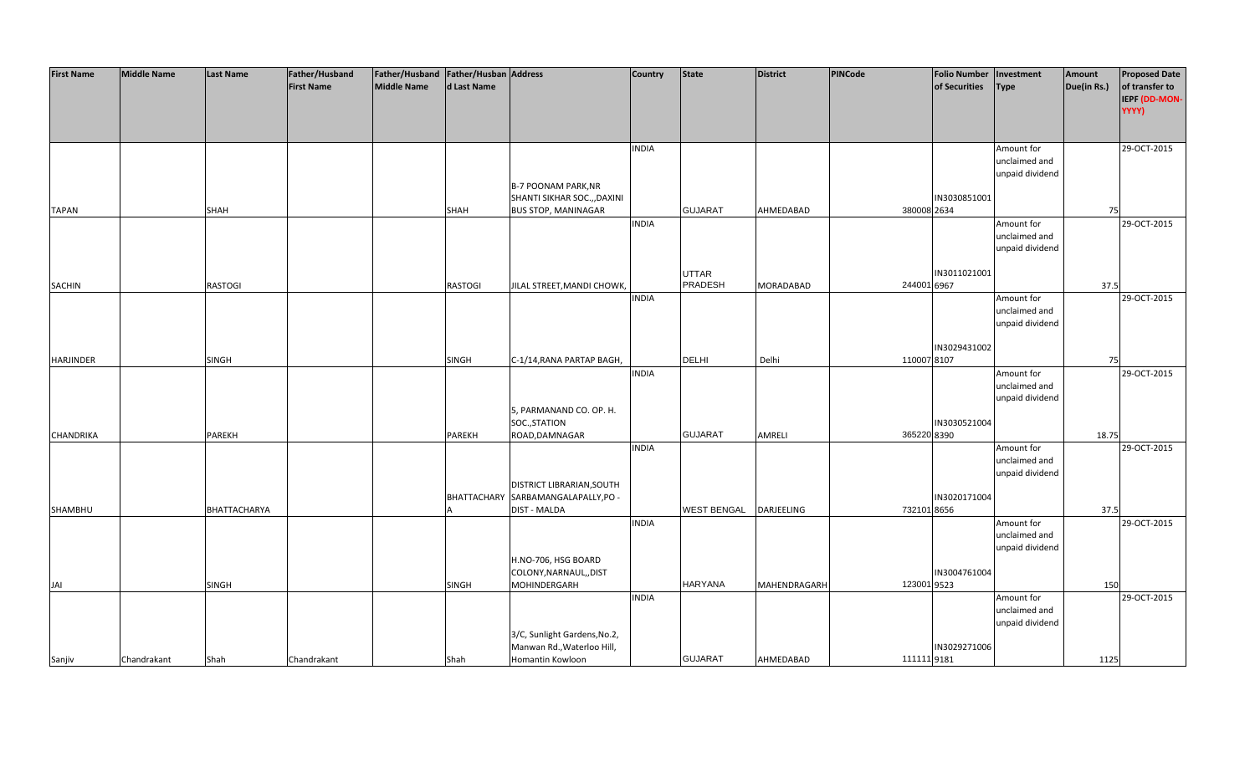| <b>First Name</b> | <b>Middle Name</b> | <b>Last Name</b> | Father/Husband    | Father/Husband Father/Husban Address |                |                                     | <b>Country</b> | <b>State</b>       | District         | <b>PINCode</b> | <b>Folio Number</b> | Investment                  | Amount      | <b>Proposed Date</b> |
|-------------------|--------------------|------------------|-------------------|--------------------------------------|----------------|-------------------------------------|----------------|--------------------|------------------|----------------|---------------------|-----------------------------|-------------|----------------------|
|                   |                    |                  | <b>First Name</b> | <b>Middle Name</b>                   | d Last Name    |                                     |                |                    |                  |                | of Securities       | <b>Type</b>                 | Due(in Rs.) | of transfer to       |
|                   |                    |                  |                   |                                      |                |                                     |                |                    |                  |                |                     |                             |             | IEPF (DD-MON-        |
|                   |                    |                  |                   |                                      |                |                                     |                |                    |                  |                |                     |                             |             | YYYY)                |
|                   |                    |                  |                   |                                      |                |                                     |                |                    |                  |                |                     |                             |             |                      |
|                   |                    |                  |                   |                                      |                |                                     | <b>INDIA</b>   |                    |                  |                |                     | Amount for                  |             | 29-OCT-2015          |
|                   |                    |                  |                   |                                      |                |                                     |                |                    |                  |                |                     | unclaimed and               |             |                      |
|                   |                    |                  |                   |                                      |                |                                     |                |                    |                  |                |                     | unpaid dividend             |             |                      |
|                   |                    |                  |                   |                                      |                | <b>B-7 POONAM PARK, NR</b>          |                |                    |                  |                |                     |                             |             |                      |
|                   |                    |                  |                   |                                      |                | SHANTI SIKHAR SOC.,, DAXINI         |                |                    |                  |                | IN3030851001        |                             |             |                      |
| <b>TAPAN</b>      |                    | <b>SHAH</b>      |                   |                                      | SHAH           | <b>BUS STOP, MANINAGAR</b>          |                | <b>GUJARAT</b>     | AHMEDABAD        | 380008 2634    |                     |                             | 75          |                      |
|                   |                    |                  |                   |                                      |                |                                     | <b>INDIA</b>   |                    |                  |                |                     | Amount for                  |             | 29-OCT-2015          |
|                   |                    |                  |                   |                                      |                |                                     |                |                    |                  |                |                     | unclaimed and               |             |                      |
|                   |                    |                  |                   |                                      |                |                                     |                |                    |                  |                |                     | unpaid dividend             |             |                      |
|                   |                    |                  |                   |                                      |                |                                     |                | <b>UTTAR</b>       |                  |                | IN3011021001        |                             |             |                      |
| <b>SACHIN</b>     |                    | RASTOGI          |                   |                                      | <b>RASTOGI</b> | JILAL STREET, MANDI CHOWK,          |                | PRADESH            | <b>MORADABAD</b> | 244001 6967    |                     |                             | 37.5        |                      |
|                   |                    |                  |                   |                                      |                |                                     | <b>INDIA</b>   |                    |                  |                |                     | Amount for                  |             | 29-OCT-2015          |
|                   |                    |                  |                   |                                      |                |                                     |                |                    |                  |                |                     | unclaimed and               |             |                      |
|                   |                    |                  |                   |                                      |                |                                     |                |                    |                  |                |                     | unpaid dividend             |             |                      |
|                   |                    |                  |                   |                                      |                |                                     |                |                    |                  |                |                     |                             |             |                      |
|                   |                    |                  |                   |                                      |                |                                     |                |                    |                  |                | IN3029431002        |                             |             |                      |
| HARJINDER         |                    | <b>SINGH</b>     |                   |                                      | SINGH          | C-1/14, RANA PARTAP BAGH,           |                | <b>DELHI</b>       | Delhi            | 110007 8107    |                     |                             | 75          |                      |
|                   |                    |                  |                   |                                      |                |                                     | <b>INDIA</b>   |                    |                  |                |                     | Amount for                  |             | 29-OCT-2015          |
|                   |                    |                  |                   |                                      |                |                                     |                |                    |                  |                |                     | unclaimed and               |             |                      |
|                   |                    |                  |                   |                                      |                |                                     |                |                    |                  |                |                     | unpaid dividend             |             |                      |
|                   |                    |                  |                   |                                      |                | 5, PARMANAND CO. OP. H.             |                |                    |                  |                |                     |                             |             |                      |
| <b>CHANDRIKA</b>  |                    | <b>PAREKH</b>    |                   |                                      | PAREKH         | SOC., STATION                       |                | <b>GUJARAT</b>     | AMRELI           | 365220 8390    | IN3030521004        |                             | 18.75       |                      |
|                   |                    |                  |                   |                                      |                | ROAD, DAMNAGAR                      | <b>INDIA</b>   |                    |                  |                |                     | Amount for                  |             | 29-OCT-2015          |
|                   |                    |                  |                   |                                      |                |                                     |                |                    |                  |                |                     | unclaimed and               |             |                      |
|                   |                    |                  |                   |                                      |                |                                     |                |                    |                  |                |                     | unpaid dividend             |             |                      |
|                   |                    |                  |                   |                                      |                | DISTRICT LIBRARIAN, SOUTH           |                |                    |                  |                |                     |                             |             |                      |
|                   |                    |                  |                   |                                      |                | BHATTACHARY SARBAMANGALAPALLY, PO - |                |                    |                  |                | IN3020171004        |                             |             |                      |
| SHAMBHU           |                    | BHATTACHARYA     |                   |                                      |                | <b>DIST - MALDA</b>                 |                | <b>WEST BENGAL</b> | DARJEELING       | 732101 8656    |                     |                             | 37.5        |                      |
|                   |                    |                  |                   |                                      |                |                                     | <b>INDIA</b>   |                    |                  |                |                     | Amount for                  |             | 29-OCT-2015          |
|                   |                    |                  |                   |                                      |                |                                     |                |                    |                  |                |                     | unclaimed and               |             |                      |
|                   |                    |                  |                   |                                      |                |                                     |                |                    |                  |                |                     | unpaid dividend             |             |                      |
|                   |                    |                  |                   |                                      |                | H.NO-706, HSG BOARD                 |                |                    |                  |                |                     |                             |             |                      |
|                   |                    |                  |                   |                                      |                | COLONY, NARNAUL,, DIST              |                |                    |                  |                | IN3004761004        |                             |             |                      |
| JAI               |                    | <b>SINGH</b>     |                   |                                      | <b>SINGH</b>   | MOHINDERGARH                        |                | <b>HARYANA</b>     | MAHENDRAGARH     | 123001 9523    |                     |                             | 150         |                      |
|                   |                    |                  |                   |                                      |                |                                     | <b>INDIA</b>   |                    |                  |                |                     | Amount for<br>unclaimed and |             | 29-OCT-2015          |
|                   |                    |                  |                   |                                      |                |                                     |                |                    |                  |                |                     | unpaid dividend             |             |                      |
|                   |                    |                  |                   |                                      |                | 3/C, Sunlight Gardens, No.2,        |                |                    |                  |                |                     |                             |             |                      |
|                   |                    |                  |                   |                                      |                | Manwan Rd., Waterloo Hill,          |                |                    |                  |                | IN3029271006        |                             |             |                      |
| Sanjiv            | Chandrakant        | Shah             | Chandrakant       |                                      | Shah           | Homantin Kowloon                    |                | <b>GUJARAT</b>     | AHMEDABAD        | 111111 9181    |                     |                             | 1125        |                      |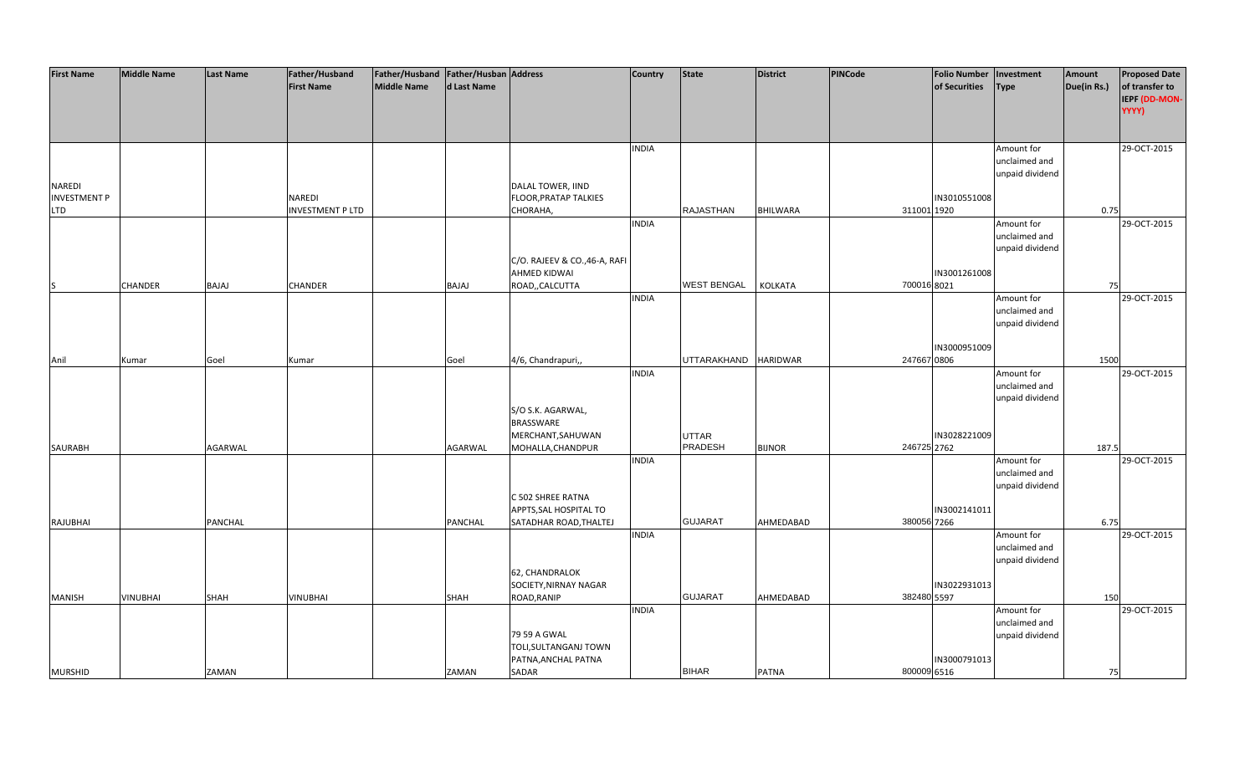| <b>First Name</b>   | <b>Middle Name</b> | <b>Last Name</b> | Father/Husband          | Father/Husband   Father/Husban   Address |              |                               | <b>Country</b> | <b>State</b>         | <b>District</b> | PINCode     | <b>Folio Number</b> | Investment      | Amount      | <b>Proposed Date</b> |
|---------------------|--------------------|------------------|-------------------------|------------------------------------------|--------------|-------------------------------|----------------|----------------------|-----------------|-------------|---------------------|-----------------|-------------|----------------------|
|                     |                    |                  | <b>First Name</b>       | Middle Name                              | d Last Name  |                               |                |                      |                 |             | of Securities       | <b>Type</b>     | Due(in Rs.) | of transfer to       |
|                     |                    |                  |                         |                                          |              |                               |                |                      |                 |             |                     |                 |             | IEPF (DD-MON-        |
|                     |                    |                  |                         |                                          |              |                               |                |                      |                 |             |                     |                 |             | YYYY)                |
|                     |                    |                  |                         |                                          |              |                               |                |                      |                 |             |                     |                 |             |                      |
|                     |                    |                  |                         |                                          |              |                               |                |                      |                 |             |                     |                 |             |                      |
|                     |                    |                  |                         |                                          |              |                               | <b>INDIA</b>   |                      |                 |             |                     | Amount for      |             | 29-OCT-2015          |
|                     |                    |                  |                         |                                          |              |                               |                |                      |                 |             |                     | unclaimed and   |             |                      |
|                     |                    |                  |                         |                                          |              |                               |                |                      |                 |             |                     | unpaid dividend |             |                      |
| NAREDI              |                    |                  |                         |                                          |              | DALAL TOWER, IIND             |                |                      |                 |             |                     |                 |             |                      |
| <b>INVESTMENT P</b> |                    |                  | NAREDI                  |                                          |              | FLOOR, PRATAP TALKIES         |                |                      |                 |             | IN3010551008        |                 |             |                      |
| <b>LTD</b>          |                    |                  | <b>INVESTMENT P LTD</b> |                                          |              | CHORAHA,                      |                | <b>RAJASTHAN</b>     | <b>BHILWARA</b> | 311001 1920 |                     |                 | 0.75        |                      |
|                     |                    |                  |                         |                                          |              |                               | <b>INDIA</b>   |                      |                 |             |                     | Amount for      |             | 29-OCT-2015          |
|                     |                    |                  |                         |                                          |              |                               |                |                      |                 |             |                     | unclaimed and   |             |                      |
|                     |                    |                  |                         |                                          |              |                               |                |                      |                 |             |                     | unpaid dividend |             |                      |
|                     |                    |                  |                         |                                          |              | C/O. RAJEEV & CO., 46-A, RAFI |                |                      |                 |             |                     |                 |             |                      |
|                     |                    |                  |                         |                                          |              | AHMED KIDWAI                  |                |                      |                 |             | IN3001261008        |                 |             |                      |
|                     | <b>CHANDER</b>     | BAJAJ            | <b>CHANDER</b>          |                                          | <b>BAJAJ</b> | ROAD,,CALCUTTA                |                | <b>WEST BENGAL</b>   | <b>KOLKATA</b>  | 700016 8021 |                     |                 | 75          |                      |
|                     |                    |                  |                         |                                          |              |                               | <b>INDIA</b>   |                      |                 |             |                     | Amount for      |             | 29-OCT-2015          |
|                     |                    |                  |                         |                                          |              |                               |                |                      |                 |             |                     | unclaimed and   |             |                      |
|                     |                    |                  |                         |                                          |              |                               |                |                      |                 |             |                     | unpaid dividend |             |                      |
|                     |                    |                  |                         |                                          |              |                               |                |                      |                 |             |                     |                 |             |                      |
|                     |                    |                  |                         |                                          |              |                               |                |                      |                 |             | IN3000951009        |                 |             |                      |
| Anil                | Kumar              | Goel             | Kumar                   |                                          | Goel         | 4/6, Chandrapuri,,            |                | UTTARAKHAND HARIDWAR |                 | 247667 0806 |                     |                 | 1500        |                      |
|                     |                    |                  |                         |                                          |              |                               | <b>INDIA</b>   |                      |                 |             |                     | Amount for      |             | 29-OCT-2015          |
|                     |                    |                  |                         |                                          |              |                               |                |                      |                 |             |                     | unclaimed and   |             |                      |
|                     |                    |                  |                         |                                          |              |                               |                |                      |                 |             |                     | unpaid dividend |             |                      |
|                     |                    |                  |                         |                                          |              | S/O S.K. AGARWAL,             |                |                      |                 |             |                     |                 |             |                      |
|                     |                    |                  |                         |                                          |              | BRASSWARE                     |                |                      |                 |             |                     |                 |             |                      |
|                     |                    |                  |                         |                                          |              | MERCHANT, SAHUWAN             |                | UTTAR                |                 |             | IN3028221009        |                 |             |                      |
| SAURABH             |                    | AGARWAL          |                         |                                          | AGARWAL      | MOHALLA, CHANDPUR             |                | <b>PRADESH</b>       | <b>BIJNOR</b>   | 246725 2762 |                     |                 | 187.5       |                      |
|                     |                    |                  |                         |                                          |              |                               | <b>INDIA</b>   |                      |                 |             |                     | Amount for      |             | 29-OCT-2015          |
|                     |                    |                  |                         |                                          |              |                               |                |                      |                 |             |                     | unclaimed and   |             |                      |
|                     |                    |                  |                         |                                          |              |                               |                |                      |                 |             |                     | unpaid dividend |             |                      |
|                     |                    |                  |                         |                                          |              | C 502 SHREE RATNA             |                |                      |                 |             |                     |                 |             |                      |
|                     |                    |                  |                         |                                          |              | APPTS, SAL HOSPITAL TO        |                |                      |                 |             | IN3002141011        |                 |             |                      |
| RAJUBHAI            |                    | <b>PANCHAL</b>   |                         |                                          | PANCHAL      | SATADHAR ROAD, THALTEJ        |                | <b>GUJARAT</b>       | AHMEDABAD       | 380056 7266 |                     |                 | 6.75        |                      |
|                     |                    |                  |                         |                                          |              |                               | <b>INDIA</b>   |                      |                 |             |                     | Amount for      |             | 29-OCT-2015          |
|                     |                    |                  |                         |                                          |              |                               |                |                      |                 |             |                     | unclaimed and   |             |                      |
|                     |                    |                  |                         |                                          |              |                               |                |                      |                 |             |                     | unpaid dividend |             |                      |
|                     |                    |                  |                         |                                          |              | 62, CHANDRALOK                |                |                      |                 |             |                     |                 |             |                      |
|                     |                    |                  |                         |                                          |              | SOCIETY, NIRNAY NAGAR         |                |                      |                 |             | IN3022931013        |                 |             |                      |
| <b>MANISH</b>       | <b>VINUBHAI</b>    | SHAH             | <b>VINUBHAI</b>         |                                          | SHAH         | ROAD, RANIP                   |                | <b>GUJARAT</b>       | AHMEDABAD       | 382480 5597 |                     |                 | 150         |                      |
|                     |                    |                  |                         |                                          |              |                               | <b>INDIA</b>   |                      |                 |             |                     | Amount for      |             | 29-OCT-2015          |
|                     |                    |                  |                         |                                          |              |                               |                |                      |                 |             |                     | unclaimed and   |             |                      |
|                     |                    |                  |                         |                                          |              | 79 59 A GWAL                  |                |                      |                 |             |                     | unpaid dividend |             |                      |
|                     |                    |                  |                         |                                          |              | TOLI, SULTANGANJ TOWN         |                |                      |                 |             |                     |                 |             |                      |
|                     |                    |                  |                         |                                          |              | PATNA, ANCHAL PATNA           |                |                      |                 |             | IN3000791013        |                 |             |                      |
| <b>MURSHID</b>      |                    | ZAMAN            |                         |                                          | ZAMAN        | SADAR                         |                | <b>BIHAR</b>         | <b>PATNA</b>    | 800009 6516 |                     |                 | 75          |                      |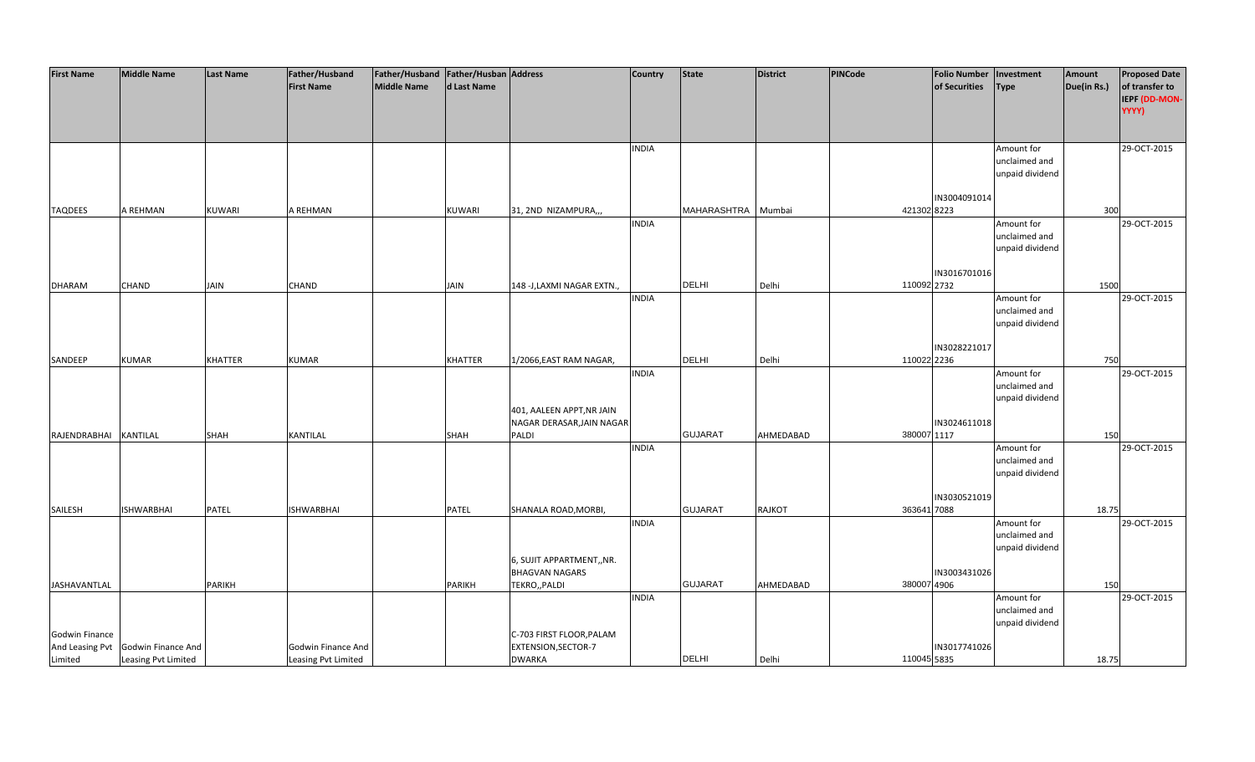| <b>First Name</b>   | <b>Middle Name</b>  | <b>Last Name</b> | Father/Husband      | Father/Husband   Father/Husban   Address |                |                             | <b>Country</b> | <b>State</b>   | District  | PINCode     | <b>Folio Number</b> | Investment      | Amount      | <b>Proposed Date</b> |
|---------------------|---------------------|------------------|---------------------|------------------------------------------|----------------|-----------------------------|----------------|----------------|-----------|-------------|---------------------|-----------------|-------------|----------------------|
|                     |                     |                  | <b>First Name</b>   | <b>Middle Name</b>                       | d Last Name    |                             |                |                |           |             | of Securities       | <b>Type</b>     | Due(in Rs.) | of transfer to       |
|                     |                     |                  |                     |                                          |                |                             |                |                |           |             |                     |                 |             | IEPF (DD-MON-        |
|                     |                     |                  |                     |                                          |                |                             |                |                |           |             |                     |                 |             | YYYY)                |
|                     |                     |                  |                     |                                          |                |                             |                |                |           |             |                     |                 |             |                      |
|                     |                     |                  |                     |                                          |                |                             |                |                |           |             |                     |                 |             |                      |
|                     |                     |                  |                     |                                          |                |                             | <b>INDIA</b>   |                |           |             |                     | Amount for      |             | 29-OCT-2015          |
|                     |                     |                  |                     |                                          |                |                             |                |                |           |             |                     | unclaimed and   |             |                      |
|                     |                     |                  |                     |                                          |                |                             |                |                |           |             |                     | unpaid dividend |             |                      |
|                     |                     |                  |                     |                                          |                |                             |                |                |           |             |                     |                 |             |                      |
|                     |                     |                  |                     |                                          |                |                             |                |                |           |             | IN3004091014        |                 |             |                      |
| <b>TAQDEES</b>      | A REHMAN            | <b>KUWARI</b>    | A REHMAN            |                                          | <b>KUWARI</b>  | 31, 2ND NIZAMPURA,,,        |                | MAHARASHTRA    | Mumbai    | 421302 8223 |                     |                 | 300         |                      |
|                     |                     |                  |                     |                                          |                |                             | <b>INDIA</b>   |                |           |             |                     | Amount for      |             | 29-OCT-2015          |
|                     |                     |                  |                     |                                          |                |                             |                |                |           |             |                     | unclaimed and   |             |                      |
|                     |                     |                  |                     |                                          |                |                             |                |                |           |             |                     | unpaid dividend |             |                      |
|                     |                     |                  |                     |                                          |                |                             |                |                |           |             |                     |                 |             |                      |
|                     |                     |                  |                     |                                          |                |                             |                | <b>DELHI</b>   |           |             | IN3016701016        |                 |             |                      |
| <b>DHARAM</b>       | <b>CHAND</b>        | <b>JAIN</b>      | <b>CHAND</b>        |                                          | <b>JAIN</b>    | 148 - J, LAXMI NAGAR EXTN., | <b>INDIA</b>   |                | Delhi     | 110092 2732 |                     | Amount for      | 1500        | 29-OCT-2015          |
|                     |                     |                  |                     |                                          |                |                             |                |                |           |             |                     | unclaimed and   |             |                      |
|                     |                     |                  |                     |                                          |                |                             |                |                |           |             |                     | unpaid dividend |             |                      |
|                     |                     |                  |                     |                                          |                |                             |                |                |           |             |                     |                 |             |                      |
|                     |                     |                  |                     |                                          |                |                             |                |                |           |             | IN3028221017        |                 |             |                      |
| SANDEEP             | <b>KUMAR</b>        | <b>KHATTER</b>   | <b>KUMAR</b>        |                                          | <b>KHATTER</b> | 1/2066, EAST RAM NAGAR,     |                | DELHI          | Delhi     | 110022 2236 |                     |                 | 750         |                      |
|                     |                     |                  |                     |                                          |                |                             | <b>INDIA</b>   |                |           |             |                     | Amount for      |             | 29-OCT-2015          |
|                     |                     |                  |                     |                                          |                |                             |                |                |           |             |                     | unclaimed and   |             |                      |
|                     |                     |                  |                     |                                          |                |                             |                |                |           |             |                     | unpaid dividend |             |                      |
|                     |                     |                  |                     |                                          |                | 401, AALEEN APPT, NR JAIN   |                |                |           |             |                     |                 |             |                      |
|                     |                     |                  |                     |                                          |                | NAGAR DERASAR, JAIN NAGAR   |                |                |           |             | IN3024611018        |                 |             |                      |
| RAJENDRABHAI        | KANTILAL            | SHAH             | KANTILAL            |                                          | SHAH           | PALDI                       |                | <b>GUJARAT</b> | AHMEDABAD | 380007 1117 |                     |                 | 150         |                      |
|                     |                     |                  |                     |                                          |                |                             | <b>INDIA</b>   |                |           |             |                     | Amount for      |             | 29-OCT-2015          |
|                     |                     |                  |                     |                                          |                |                             |                |                |           |             |                     | unclaimed and   |             |                      |
|                     |                     |                  |                     |                                          |                |                             |                |                |           |             |                     | unpaid dividend |             |                      |
|                     |                     |                  |                     |                                          |                |                             |                |                |           |             |                     |                 |             |                      |
|                     |                     |                  |                     |                                          |                |                             |                |                |           |             | IN3030521019        |                 |             |                      |
| SAILESH             | <b>ISHWARBHAI</b>   | <b>PATEL</b>     | <b>ISHWARBHAI</b>   |                                          | PATEL          | SHANALA ROAD, MORBI,        |                | <b>GUJARAT</b> | RAJKOT    | 363641 7088 |                     |                 | 18.75       |                      |
|                     |                     |                  |                     |                                          |                |                             | <b>INDIA</b>   |                |           |             |                     | Amount for      |             | 29-OCT-2015          |
|                     |                     |                  |                     |                                          |                |                             |                |                |           |             |                     | unclaimed and   |             |                      |
|                     |                     |                  |                     |                                          |                |                             |                |                |           |             |                     | unpaid dividend |             |                      |
|                     |                     |                  |                     |                                          |                | 6, SUJIT APPARTMENT,, NR.   |                |                |           |             |                     |                 |             |                      |
|                     |                     |                  |                     |                                          |                | <b>BHAGVAN NAGARS</b>       |                |                |           |             | IN3003431026        |                 |             |                      |
| <b>JASHAVANTLAL</b> |                     | <b>PARIKH</b>    |                     |                                          | <b>PARIKH</b>  | TEKRO,, PALDI               |                | <b>GUJARAT</b> | AHMEDABAD | 380007 4906 |                     |                 | 150         |                      |
|                     |                     |                  |                     |                                          |                |                             | <b>INDIA</b>   |                |           |             |                     | Amount for      |             | 29-OCT-2015          |
|                     |                     |                  |                     |                                          |                |                             |                |                |           |             |                     | unclaimed and   |             |                      |
|                     |                     |                  |                     |                                          |                |                             |                |                |           |             |                     | unpaid dividend |             |                      |
| Godwin Finance      |                     |                  |                     |                                          |                | C-703 FIRST FLOOR, PALAM    |                |                |           |             |                     |                 |             |                      |
| And Leasing Pvt     | Godwin Finance And  |                  | Godwin Finance And  |                                          |                | EXTENSION, SECTOR-7         |                |                |           |             | IN3017741026        |                 |             |                      |
| Limited             | Leasing Pvt Limited |                  | Leasing Pvt Limited |                                          |                | <b>DWARKA</b>               |                | <b>DELHI</b>   | Delhi     | 110045 5835 |                     |                 | 18.75       |                      |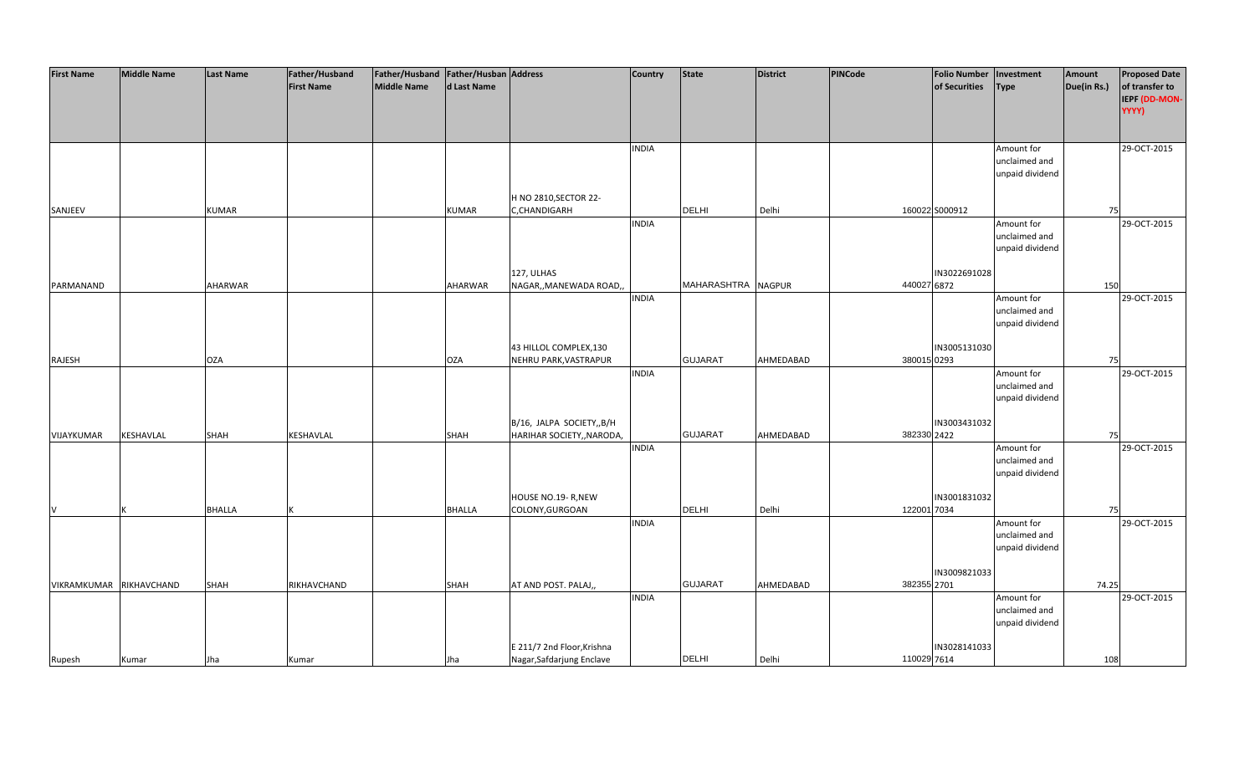| <b>First Name</b>       | <b>Middle Name</b> | <b>Last Name</b> | Father/Husband    | Father/Husband Father/Husban Address |               |                            | <b>Country</b> | <b>State</b>       | <b>District</b> | PINCode     | <b>Folio Number</b> | Investment      | Amount      | <b>Proposed Date</b> |
|-------------------------|--------------------|------------------|-------------------|--------------------------------------|---------------|----------------------------|----------------|--------------------|-----------------|-------------|---------------------|-----------------|-------------|----------------------|
|                         |                    |                  | <b>First Name</b> | <b>Middle Name</b>                   | d Last Name   |                            |                |                    |                 |             | of Securities       | <b>Type</b>     | Due(in Rs.) | of transfer to       |
|                         |                    |                  |                   |                                      |               |                            |                |                    |                 |             |                     |                 |             |                      |
|                         |                    |                  |                   |                                      |               |                            |                |                    |                 |             |                     |                 |             | IEPF (DD-MON-        |
|                         |                    |                  |                   |                                      |               |                            |                |                    |                 |             |                     |                 |             | YYYY)                |
|                         |                    |                  |                   |                                      |               |                            |                |                    |                 |             |                     |                 |             |                      |
|                         |                    |                  |                   |                                      |               |                            |                |                    |                 |             |                     |                 |             |                      |
|                         |                    |                  |                   |                                      |               |                            | <b>INDIA</b>   |                    |                 |             |                     | Amount for      |             | 29-OCT-2015          |
|                         |                    |                  |                   |                                      |               |                            |                |                    |                 |             |                     | unclaimed and   |             |                      |
|                         |                    |                  |                   |                                      |               |                            |                |                    |                 |             |                     | unpaid dividend |             |                      |
|                         |                    |                  |                   |                                      |               |                            |                |                    |                 |             |                     |                 |             |                      |
|                         |                    |                  |                   |                                      |               | H NO 2810, SECTOR 22-      |                |                    |                 |             |                     |                 |             |                      |
|                         |                    |                  |                   |                                      |               |                            |                | <b>DELHI</b>       |                 |             |                     |                 |             |                      |
| SANJEEV                 |                    | <b>KUMAR</b>     |                   |                                      | <b>KUMAR</b>  | C,CHANDIGARH               |                |                    | Delhi           |             | 160022 S000912      |                 | 75          |                      |
|                         |                    |                  |                   |                                      |               |                            | <b>INDIA</b>   |                    |                 |             |                     | Amount for      |             | 29-OCT-2015          |
|                         |                    |                  |                   |                                      |               |                            |                |                    |                 |             |                     | unclaimed and   |             |                      |
|                         |                    |                  |                   |                                      |               |                            |                |                    |                 |             |                     | unpaid dividend |             |                      |
|                         |                    |                  |                   |                                      |               |                            |                |                    |                 |             |                     |                 |             |                      |
|                         |                    |                  |                   |                                      |               | 127, ULHAS                 |                |                    |                 |             | IN3022691028        |                 |             |                      |
| PARMANAND               |                    | <b>AHARWAR</b>   |                   |                                      | AHARWAR       | NAGAR,, MANEWADA ROAD,,    |                | MAHARASHTRA NAGPUR |                 | 440027 6872 |                     |                 | 150         |                      |
|                         |                    |                  |                   |                                      |               |                            | <b>INDIA</b>   |                    |                 |             |                     | Amount for      |             | 29-OCT-2015          |
|                         |                    |                  |                   |                                      |               |                            |                |                    |                 |             |                     | unclaimed and   |             |                      |
|                         |                    |                  |                   |                                      |               |                            |                |                    |                 |             |                     |                 |             |                      |
|                         |                    |                  |                   |                                      |               |                            |                |                    |                 |             |                     | unpaid dividend |             |                      |
|                         |                    |                  |                   |                                      |               |                            |                |                    |                 |             |                     |                 |             |                      |
|                         |                    |                  |                   |                                      |               | 43 HILLOL COMPLEX, 130     |                |                    |                 |             | IN3005131030        |                 |             |                      |
| RAJESH                  |                    | <b>OZA</b>       |                   |                                      | <b>OZA</b>    | NEHRU PARK, VASTRAPUR      |                | <b>GUJARAT</b>     | AHMEDABAD       | 380015 0293 |                     |                 | 75          |                      |
|                         |                    |                  |                   |                                      |               |                            | <b>INDIA</b>   |                    |                 |             |                     | Amount for      |             | 29-OCT-2015          |
|                         |                    |                  |                   |                                      |               |                            |                |                    |                 |             |                     | unclaimed and   |             |                      |
|                         |                    |                  |                   |                                      |               |                            |                |                    |                 |             |                     | unpaid dividend |             |                      |
|                         |                    |                  |                   |                                      |               |                            |                |                    |                 |             |                     |                 |             |                      |
|                         |                    |                  |                   |                                      |               | B/16, JALPA SOCIETY,, B/H  |                |                    |                 |             | IN3003431032        |                 |             |                      |
| VIJAYKUMAR              | KESHAVLAL          | <b>SHAH</b>      | KESHAVLAL         |                                      | <b>SHAH</b>   | HARIHAR SOCIETY,, NARODA,  |                | <b>GUJARAT</b>     | AHMEDABAD       | 382330 2422 |                     |                 | 75          |                      |
|                         |                    |                  |                   |                                      |               |                            |                |                    |                 |             |                     |                 |             |                      |
|                         |                    |                  |                   |                                      |               |                            | <b>INDIA</b>   |                    |                 |             |                     | Amount for      |             | 29-OCT-2015          |
|                         |                    |                  |                   |                                      |               |                            |                |                    |                 |             |                     | unclaimed and   |             |                      |
|                         |                    |                  |                   |                                      |               |                            |                |                    |                 |             |                     | unpaid dividend |             |                      |
|                         |                    |                  |                   |                                      |               |                            |                |                    |                 |             |                     |                 |             |                      |
|                         |                    |                  |                   |                                      |               | HOUSE NO.19- R, NEW        |                |                    |                 |             | IN3001831032        |                 |             |                      |
| <b>V</b>                |                    | <b>BHALLA</b>    |                   |                                      | <b>BHALLA</b> | COLONY, GURGOAN            |                | <b>DELHI</b>       | Delhi           | 122001 7034 |                     |                 | 75          |                      |
|                         |                    |                  |                   |                                      |               |                            | <b>INDIA</b>   |                    |                 |             |                     | Amount for      |             | 29-OCT-2015          |
|                         |                    |                  |                   |                                      |               |                            |                |                    |                 |             |                     | unclaimed and   |             |                      |
|                         |                    |                  |                   |                                      |               |                            |                |                    |                 |             |                     | unpaid dividend |             |                      |
|                         |                    |                  |                   |                                      |               |                            |                |                    |                 |             |                     |                 |             |                      |
|                         |                    |                  |                   |                                      |               |                            |                |                    |                 |             | IN3009821033        |                 |             |                      |
|                         |                    |                  |                   |                                      |               |                            |                | <b>GUJARAT</b>     |                 |             |                     |                 |             |                      |
| VIKRAMKUMAR RIKHAVCHAND |                    | SHAH             | RIKHAVCHAND       |                                      | SHAH          | AT AND POST. PALAJ,,       |                |                    | AHMEDABAD       | 382355 2701 |                     |                 | 74.25       |                      |
|                         |                    |                  |                   |                                      |               |                            | <b>INDIA</b>   |                    |                 |             |                     | Amount for      |             | 29-OCT-2015          |
|                         |                    |                  |                   |                                      |               |                            |                |                    |                 |             |                     | unclaimed and   |             |                      |
|                         |                    |                  |                   |                                      |               |                            |                |                    |                 |             |                     | unpaid dividend |             |                      |
|                         |                    |                  |                   |                                      |               |                            |                |                    |                 |             |                     |                 |             |                      |
|                         |                    |                  |                   |                                      |               | E 211/7 2nd Floor, Krishna |                |                    |                 |             | IN3028141033        |                 |             |                      |
| Rupesh                  | Kumar              | Jha              | Kumar             |                                      | Jha           | Nagar, Safdarjung Enclave  |                | <b>DELHI</b>       | Delhi           | 110029 7614 |                     |                 | 108         |                      |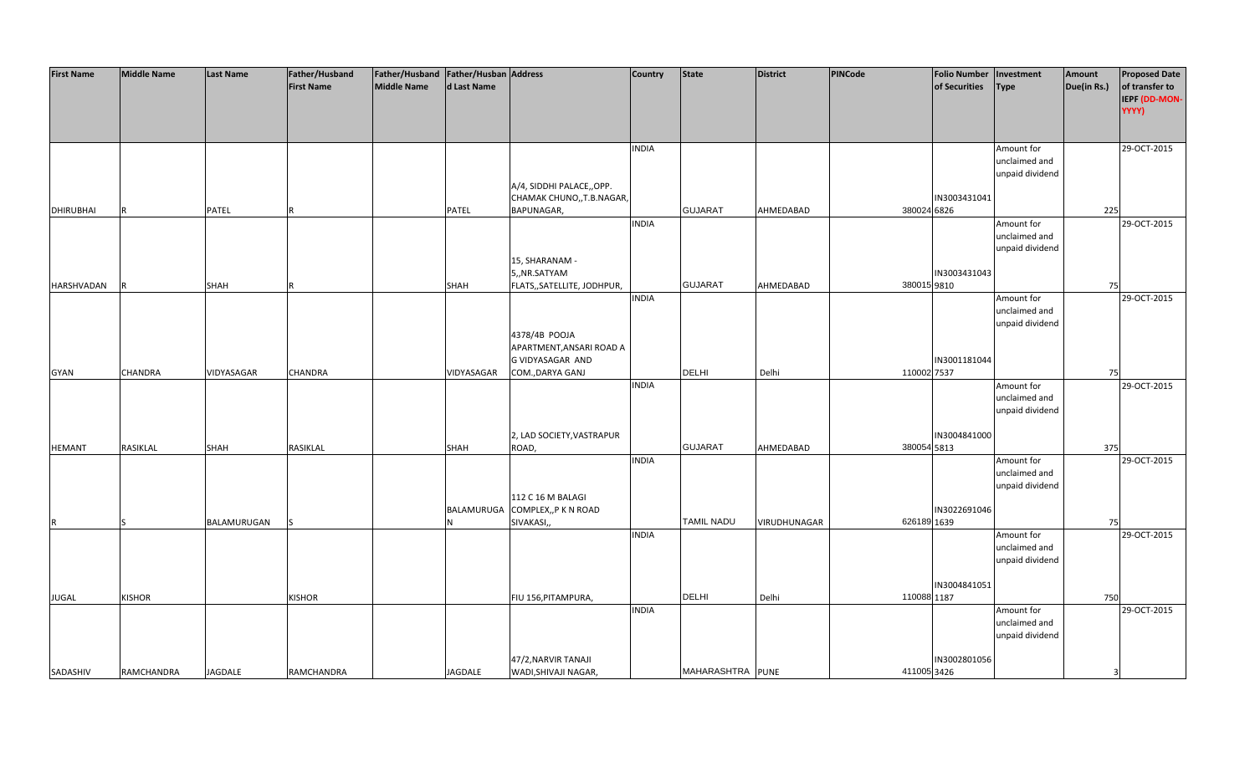| <b>First Name</b> | <b>Middle Name</b> | Last Name   | Father/Husband    | Father/Husband   Father/Husban   Address |                |                             | <b>Country</b> | <b>State</b>      | <b>District</b>     | <b>PINCode</b> | <b>Folio Number</b> | Investment                       | Amount      | <b>Proposed Date</b> |
|-------------------|--------------------|-------------|-------------------|------------------------------------------|----------------|-----------------------------|----------------|-------------------|---------------------|----------------|---------------------|----------------------------------|-------------|----------------------|
|                   |                    |             | <b>First Name</b> | Middle Name                              | d Last Name    |                             |                |                   |                     |                | of Securities       | <b>Type</b>                      | Due(in Rs.) | of transfer to       |
|                   |                    |             |                   |                                          |                |                             |                |                   |                     |                |                     |                                  |             | IEPF (DD-MON-        |
|                   |                    |             |                   |                                          |                |                             |                |                   |                     |                |                     |                                  |             | YYYY)                |
|                   |                    |             |                   |                                          |                |                             |                |                   |                     |                |                     |                                  |             |                      |
|                   |                    |             |                   |                                          |                |                             | <b>INDIA</b>   |                   |                     |                |                     | Amount for                       |             | 29-OCT-2015          |
|                   |                    |             |                   |                                          |                |                             |                |                   |                     |                |                     | unclaimed and                    |             |                      |
|                   |                    |             |                   |                                          |                |                             |                |                   |                     |                |                     | unpaid dividend                  |             |                      |
|                   |                    |             |                   |                                          |                | A/4, SIDDHI PALACE,,OPP.    |                |                   |                     |                |                     |                                  |             |                      |
|                   |                    |             |                   |                                          |                | CHAMAK CHUNO,, T.B.NAGAR,   |                |                   |                     |                | IN3003431041        |                                  |             |                      |
| <b>DHIRUBHAI</b>  | R                  | PATEL       |                   |                                          | PATEL          | BAPUNAGAR,                  |                | <b>GUJARAT</b>    | AHMEDABAD           | 380024 6826    |                     |                                  | 225         |                      |
|                   |                    |             |                   |                                          |                |                             | <b>INDIA</b>   |                   |                     |                |                     | Amount for                       |             | 29-OCT-2015          |
|                   |                    |             |                   |                                          |                |                             |                |                   |                     |                |                     | unclaimed and<br>unpaid dividend |             |                      |
|                   |                    |             |                   |                                          |                | 15, SHARANAM -              |                |                   |                     |                |                     |                                  |             |                      |
|                   |                    |             |                   |                                          |                | 5,,NR.SATYAM                |                |                   |                     |                | IN3003431043        |                                  |             |                      |
| HARSHVADAN        |                    | SHAH        |                   |                                          | SHAH           | FLATS,, SATELLITE, JODHPUR, |                | <b>GUJARAT</b>    | AHMEDABAD           | 380015 9810    |                     |                                  | 75          |                      |
|                   |                    |             |                   |                                          |                |                             | <b>INDIA</b>   |                   |                     |                |                     | Amount for                       |             | 29-OCT-2015          |
|                   |                    |             |                   |                                          |                |                             |                |                   |                     |                |                     | unclaimed and                    |             |                      |
|                   |                    |             |                   |                                          |                |                             |                |                   |                     |                |                     | unpaid dividend                  |             |                      |
|                   |                    |             |                   |                                          |                | 4378/4B POOJA               |                |                   |                     |                |                     |                                  |             |                      |
|                   |                    |             |                   |                                          |                | APARTMENT, ANSARI ROAD A    |                |                   |                     |                |                     |                                  |             |                      |
|                   |                    |             |                   |                                          |                | G VIDYASAGAR AND            |                |                   |                     |                | IN3001181044        |                                  |             |                      |
| <b>GYAN</b>       | CHANDRA            | VIDYASAGAR  | CHANDRA           |                                          | VIDYASAGAR     | COM., DARYA GANJ            |                | <b>DELHI</b>      | Delhi               | 110002 7537    |                     |                                  | 75          |                      |
|                   |                    |             |                   |                                          |                |                             | <b>INDIA</b>   |                   |                     |                |                     | Amount for                       |             | 29-OCT-2015          |
|                   |                    |             |                   |                                          |                |                             |                |                   |                     |                |                     | unclaimed and                    |             |                      |
|                   |                    |             |                   |                                          |                |                             |                |                   |                     |                |                     | unpaid dividend                  |             |                      |
|                   |                    |             |                   |                                          |                | 2, LAD SOCIETY, VASTRAPUR   |                |                   |                     |                | IN3004841000        |                                  |             |                      |
| <b>HEMANT</b>     | RASIKLAL           | SHAH        | RASIKLAL          |                                          | SHAH           | ROAD,                       |                | <b>GUJARAT</b>    | AHMEDABAD           | 380054 5813    |                     |                                  | 375         |                      |
|                   |                    |             |                   |                                          |                |                             | <b>INDIA</b>   |                   |                     |                |                     | Amount for                       |             | 29-OCT-2015          |
|                   |                    |             |                   |                                          |                |                             |                |                   |                     |                |                     | unclaimed and                    |             |                      |
|                   |                    |             |                   |                                          |                |                             |                |                   |                     |                |                     | unpaid dividend                  |             |                      |
|                   |                    |             |                   |                                          |                | 112 C 16 M BALAGI           |                |                   |                     |                |                     |                                  |             |                      |
|                   |                    |             |                   |                                          | BALAMURUGA     | COMPLEX,, P K N ROAD        |                |                   |                     |                | IN3022691046        |                                  |             |                      |
|                   |                    | BALAMURUGAN |                   |                                          |                | SIVAKASI,                   |                | <b>TAMIL NADU</b> | <b>VIRUDHUNAGAR</b> | 626189 1639    |                     |                                  | 75          |                      |
|                   |                    |             |                   |                                          |                |                             | <b>INDIA</b>   |                   |                     |                |                     | Amount for                       |             | 29-OCT-2015          |
|                   |                    |             |                   |                                          |                |                             |                |                   |                     |                |                     | unclaimed and                    |             |                      |
|                   |                    |             |                   |                                          |                |                             |                |                   |                     |                |                     | unpaid dividend                  |             |                      |
|                   |                    |             |                   |                                          |                |                             |                |                   |                     |                | IN3004841051        |                                  |             |                      |
| <b>JUGAL</b>      | <b>KISHOR</b>      |             | <b>KISHOR</b>     |                                          |                | FIU 156, PITAMPURA,         |                | <b>DELHI</b>      | Delhi               | 110088 1187    |                     |                                  | 750         |                      |
|                   |                    |             |                   |                                          |                |                             | <b>INDIA</b>   |                   |                     |                |                     | Amount for                       |             | 29-OCT-2015          |
|                   |                    |             |                   |                                          |                |                             |                |                   |                     |                |                     | unclaimed and                    |             |                      |
|                   |                    |             |                   |                                          |                |                             |                |                   |                     |                |                     | unpaid dividend                  |             |                      |
|                   |                    |             |                   |                                          |                |                             |                |                   |                     |                |                     |                                  |             |                      |
|                   |                    |             |                   |                                          |                | 47/2, NARVIR TANAJI         |                |                   |                     |                | IN3002801056        |                                  |             |                      |
| SADASHIV          | RAMCHANDRA         | JAGDALE     | <b>RAMCHANDRA</b> |                                          | <b>JAGDALE</b> | WADI, SHIVAJI NAGAR,        |                | MAHARASHTRA PUNE  |                     | 411005 3426    |                     |                                  | 3           |                      |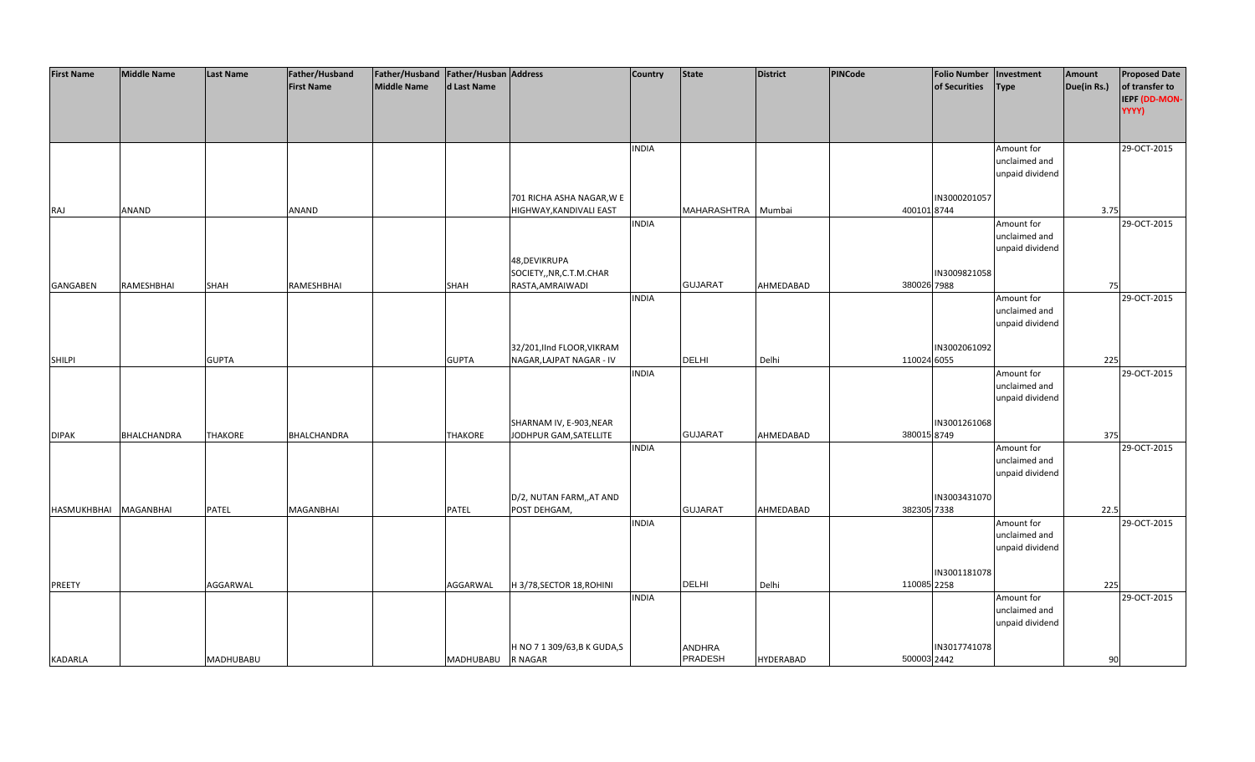| <b>First Name</b>     | <b>Middle Name</b> | <b>Last Name</b> | Father/Husband    | Father/Husband   Father/Husban   Address |                   |                                                        | <b>Country</b> | <b>State</b>   | <b>District</b>  | <b>PINCode</b> | Folio Number   Investment |                             | Amount      | <b>Proposed Date</b> |
|-----------------------|--------------------|------------------|-------------------|------------------------------------------|-------------------|--------------------------------------------------------|----------------|----------------|------------------|----------------|---------------------------|-----------------------------|-------------|----------------------|
|                       |                    |                  | <b>First Name</b> | Middle Name                              | d Last Name       |                                                        |                |                |                  |                | of Securities             | <b>Type</b>                 | Due(in Rs.) | of transfer to       |
|                       |                    |                  |                   |                                          |                   |                                                        |                |                |                  |                |                           |                             |             | IEPF (DD-MON-        |
|                       |                    |                  |                   |                                          |                   |                                                        |                |                |                  |                |                           |                             |             | YYYY)                |
|                       |                    |                  |                   |                                          |                   |                                                        |                |                |                  |                |                           |                             |             |                      |
|                       |                    |                  |                   |                                          |                   |                                                        | <b>INDIA</b>   |                |                  |                |                           | Amount for                  |             | 29-OCT-2015          |
|                       |                    |                  |                   |                                          |                   |                                                        |                |                |                  |                |                           | unclaimed and               |             |                      |
|                       |                    |                  |                   |                                          |                   |                                                        |                |                |                  |                |                           | unpaid dividend             |             |                      |
|                       |                    |                  |                   |                                          |                   | 701 RICHA ASHA NAGAR, W E                              |                |                |                  |                | IN3000201057              |                             |             |                      |
| RAJ                   | ANAND              |                  | ANAND             |                                          |                   | HIGHWAY, KANDIVALI EAST                                |                | MAHARASHTRA    | Mumbai           | 400101 8744    |                           |                             | 3.75        |                      |
|                       |                    |                  |                   |                                          |                   |                                                        | <b>INDIA</b>   |                |                  |                |                           | Amount for                  |             | 29-OCT-2015          |
|                       |                    |                  |                   |                                          |                   |                                                        |                |                |                  |                |                           | unclaimed and               |             |                      |
|                       |                    |                  |                   |                                          |                   |                                                        |                |                |                  |                |                           | unpaid dividend             |             |                      |
|                       |                    |                  |                   |                                          |                   | 48, DEVIKRUPA<br>SOCIETY,, NR, C.T.M.CHAR              |                |                |                  |                | IN3009821058              |                             |             |                      |
| GANGABEN              | RAMESHBHAI         | SHAH             | RAMESHBHAI        |                                          | SHAH              | RASTA, AMRAIWADI                                       |                | <b>GUJARAT</b> | AHMEDABAD        | 380026 7988    |                           |                             | 75          |                      |
|                       |                    |                  |                   |                                          |                   |                                                        | <b>INDIA</b>   |                |                  |                |                           | Amount for                  |             | 29-OCT-2015          |
|                       |                    |                  |                   |                                          |                   |                                                        |                |                |                  |                |                           | unclaimed and               |             |                      |
|                       |                    |                  |                   |                                          |                   |                                                        |                |                |                  |                |                           | unpaid dividend             |             |                      |
|                       |                    |                  |                   |                                          |                   |                                                        |                |                |                  |                |                           |                             |             |                      |
| <b>SHILPI</b>         |                    | <b>GUPTA</b>     |                   |                                          | <b>GUPTA</b>      | 32/201, IInd FLOOR, VIKRAM<br>NAGAR, LAJPAT NAGAR - IV |                | <b>DELHI</b>   | Delhi            | 110024 6055    | IN3002061092              |                             | 225         |                      |
|                       |                    |                  |                   |                                          |                   |                                                        | <b>INDIA</b>   |                |                  |                |                           | Amount for                  |             | 29-OCT-2015          |
|                       |                    |                  |                   |                                          |                   |                                                        |                |                |                  |                |                           | unclaimed and               |             |                      |
|                       |                    |                  |                   |                                          |                   |                                                        |                |                |                  |                |                           | unpaid dividend             |             |                      |
|                       |                    |                  |                   |                                          |                   |                                                        |                |                |                  |                |                           |                             |             |                      |
|                       |                    |                  |                   |                                          |                   | SHARNAM IV, E-903, NEAR                                |                | <b>GUJARAT</b> |                  | 380015 8749    | IN3001261068              |                             |             |                      |
| <b>DIPAK</b>          | BHALCHANDRA        | THAKORE          | BHALCHANDRA       |                                          | <b>THAKORE</b>    | JODHPUR GAM, SATELLITE                                 | <b>INDIA</b>   |                | AHMEDABAD        |                |                           | Amount for                  | 375         | 29-OCT-2015          |
|                       |                    |                  |                   |                                          |                   |                                                        |                |                |                  |                |                           | unclaimed and               |             |                      |
|                       |                    |                  |                   |                                          |                   |                                                        |                |                |                  |                |                           | unpaid dividend             |             |                      |
|                       |                    |                  |                   |                                          |                   |                                                        |                |                |                  |                |                           |                             |             |                      |
|                       |                    |                  |                   |                                          |                   | D/2, NUTAN FARM,, AT AND                               |                |                |                  |                | IN3003431070              |                             |             |                      |
| HASMUKHBHAI MAGANBHAI |                    | PATEL            | MAGANBHAI         |                                          | PATEL             | POST DEHGAM,                                           | <b>INDIA</b>   | <b>GUJARAT</b> | AHMEDABAD        | 382305 7338    |                           | Amount for                  | 22.5        | 29-OCT-2015          |
|                       |                    |                  |                   |                                          |                   |                                                        |                |                |                  |                |                           | unclaimed and               |             |                      |
|                       |                    |                  |                   |                                          |                   |                                                        |                |                |                  |                |                           | unpaid dividend             |             |                      |
|                       |                    |                  |                   |                                          |                   |                                                        |                |                |                  |                |                           |                             |             |                      |
|                       |                    |                  |                   |                                          |                   |                                                        |                |                |                  |                | IN3001181078              |                             |             |                      |
| <b>PREETY</b>         |                    | AGGARWAL         |                   |                                          | AGGARWAL          | H 3/78, SECTOR 18, ROHINI                              |                | <b>DELHI</b>   | Delhi            | 110085 2258    |                           |                             | 225         |                      |
|                       |                    |                  |                   |                                          |                   |                                                        | <b>INDIA</b>   |                |                  |                |                           | Amount for<br>unclaimed and |             | 29-OCT-2015          |
|                       |                    |                  |                   |                                          |                   |                                                        |                |                |                  |                |                           | unpaid dividend             |             |                      |
|                       |                    |                  |                   |                                          |                   |                                                        |                |                |                  |                |                           |                             |             |                      |
|                       |                    |                  |                   |                                          |                   | H NO 7 1 309/63, B K GUDA, S                           |                | ANDHRA         |                  |                | IN3017741078              |                             |             |                      |
| <b>KADARLA</b>        |                    | <b>MADHUBABU</b> |                   |                                          | MADHUBABU R NAGAR |                                                        |                | <b>PRADESH</b> | <b>HYDERABAD</b> | 500003 2442    |                           |                             | 90          |                      |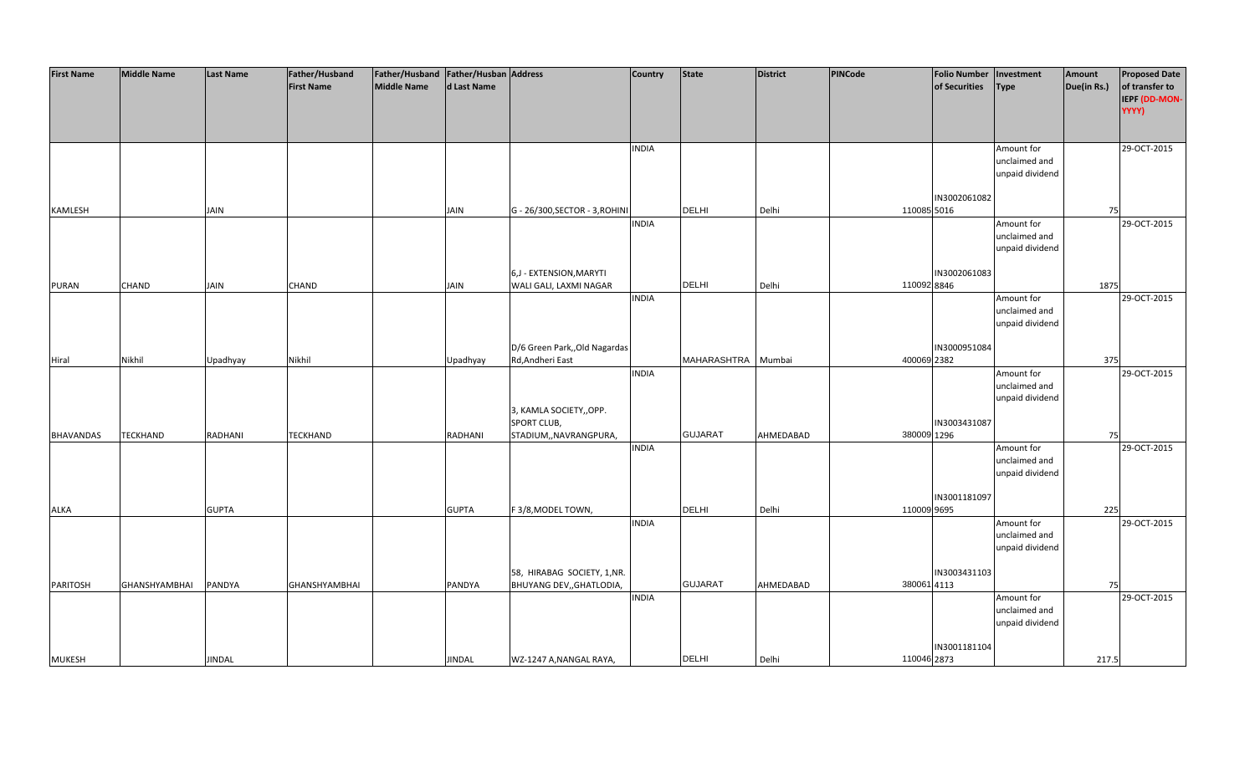| <b>First Name</b> | <b>Middle Name</b>   | <b>Last Name</b> | Father/Husband       | Father/Husband   Father/Husban   Address |               |                                                        | <b>Country</b> | <b>State</b>       | District  | PINCode | <b>Folio Number</b>         | Investment      | Amount      | <b>Proposed Date</b> |
|-------------------|----------------------|------------------|----------------------|------------------------------------------|---------------|--------------------------------------------------------|----------------|--------------------|-----------|---------|-----------------------------|-----------------|-------------|----------------------|
|                   |                      |                  | <b>First Name</b>    | Middle Name                              | d Last Name   |                                                        |                |                    |           |         | of Securities               | <b>Type</b>     | Due(in Rs.) | of transfer to       |
|                   |                      |                  |                      |                                          |               |                                                        |                |                    |           |         |                             |                 |             | IEPF (DD-MON-        |
|                   |                      |                  |                      |                                          |               |                                                        |                |                    |           |         |                             |                 |             | YYYY)                |
|                   |                      |                  |                      |                                          |               |                                                        |                |                    |           |         |                             |                 |             |                      |
|                   |                      |                  |                      |                                          |               |                                                        | <b>INDIA</b>   |                    |           |         |                             | Amount for      |             | 29-OCT-2015          |
|                   |                      |                  |                      |                                          |               |                                                        |                |                    |           |         |                             | unclaimed and   |             |                      |
|                   |                      |                  |                      |                                          |               |                                                        |                |                    |           |         |                             | unpaid dividend |             |                      |
|                   |                      |                  |                      |                                          |               |                                                        |                |                    |           |         |                             |                 |             |                      |
|                   |                      |                  |                      |                                          |               |                                                        |                |                    |           |         | IN3002061082                |                 |             |                      |
| KAMLESH           |                      | JAIN             |                      |                                          | <b>JAIN</b>   | G - 26/300, SECTOR - 3, ROHINI                         |                | <b>DELHI</b>       | Delhi     |         | 110085 5016                 |                 | 75          |                      |
|                   |                      |                  |                      |                                          |               |                                                        | <b>INDIA</b>   |                    |           |         |                             | Amount for      |             | 29-OCT-2015          |
|                   |                      |                  |                      |                                          |               |                                                        |                |                    |           |         |                             | unclaimed and   |             |                      |
|                   |                      |                  |                      |                                          |               |                                                        |                |                    |           |         |                             | unpaid dividend |             |                      |
|                   |                      |                  |                      |                                          |               |                                                        |                |                    |           |         |                             |                 |             |                      |
|                   |                      |                  |                      |                                          |               | 6,J - EXTENSION, MARYTI                                |                | <b>DELHI</b>       |           |         | IN3002061083<br>110092 8846 |                 |             |                      |
| PURAN             | CHAND                | JAIN             | CHAND                |                                          | JAIN          | WALI GALI, LAXMI NAGAR                                 | <b>INDIA</b>   |                    | Delhi     |         |                             | Amount for      | 1875        | 29-OCT-2015          |
|                   |                      |                  |                      |                                          |               |                                                        |                |                    |           |         |                             | unclaimed and   |             |                      |
|                   |                      |                  |                      |                                          |               |                                                        |                |                    |           |         |                             | unpaid dividend |             |                      |
|                   |                      |                  |                      |                                          |               |                                                        |                |                    |           |         |                             |                 |             |                      |
|                   |                      |                  |                      |                                          |               | D/6 Green Park,, Old Nagardas                          |                |                    |           |         | IN3000951084                |                 |             |                      |
| Hiral             | Nikhil               | Upadhyay         | Nikhil               |                                          | Upadhyay      | Rd, Andheri East                                       |                | MAHARASHTRA Mumbai |           |         | 400069 2382                 |                 | 375         |                      |
|                   |                      |                  |                      |                                          |               |                                                        | <b>INDIA</b>   |                    |           |         |                             | Amount for      |             | 29-OCT-2015          |
|                   |                      |                  |                      |                                          |               |                                                        |                |                    |           |         |                             | unclaimed and   |             |                      |
|                   |                      |                  |                      |                                          |               |                                                        |                |                    |           |         |                             | unpaid dividend |             |                      |
|                   |                      |                  |                      |                                          |               | 3, KAMLA SOCIETY,, OPP.                                |                |                    |           |         |                             |                 |             |                      |
|                   |                      |                  |                      |                                          |               | SPORT CLUB,                                            |                | <b>GUJARAT</b>     |           |         | IN3003431087<br>380009 1296 |                 |             |                      |
| BHAVANDAS         | TECKHAND             | RADHANI          | <b>TECKHAND</b>      |                                          | RADHANI       | STADIUM,, NAVRANGPURA,                                 | <b>INDIA</b>   |                    | AHMEDABAD |         |                             | Amount for      | 75          | 29-OCT-2015          |
|                   |                      |                  |                      |                                          |               |                                                        |                |                    |           |         |                             | unclaimed and   |             |                      |
|                   |                      |                  |                      |                                          |               |                                                        |                |                    |           |         |                             | unpaid dividend |             |                      |
|                   |                      |                  |                      |                                          |               |                                                        |                |                    |           |         |                             |                 |             |                      |
|                   |                      |                  |                      |                                          |               |                                                        |                |                    |           |         | IN3001181097                |                 |             |                      |
| <b>ALKA</b>       |                      | <b>GUPTA</b>     |                      |                                          | <b>GUPTA</b>  | F 3/8, MODEL TOWN,                                     |                | <b>DELHI</b>       | Delhi     |         | 110009 9695                 |                 | 225         |                      |
|                   |                      |                  |                      |                                          |               |                                                        | <b>INDIA</b>   |                    |           |         |                             | Amount for      |             | 29-OCT-2015          |
|                   |                      |                  |                      |                                          |               |                                                        |                |                    |           |         |                             | unclaimed and   |             |                      |
|                   |                      |                  |                      |                                          |               |                                                        |                |                    |           |         |                             | unpaid dividend |             |                      |
|                   |                      |                  |                      |                                          |               |                                                        |                |                    |           |         |                             |                 |             |                      |
| PARITOSH          | <b>GHANSHYAMBHAI</b> | PANDYA           | <b>GHANSHYAMBHAI</b> |                                          | PANDYA        | 58, HIRABAG SOCIETY, 1,NR.<br>BHUYANG DEV,, GHATLODIA, |                | <b>GUJARAT</b>     | AHMEDABAD |         | IN3003431103<br>380061 4113 |                 | 75          |                      |
|                   |                      |                  |                      |                                          |               |                                                        | <b>INDIA</b>   |                    |           |         |                             | Amount for      |             | 29-OCT-2015          |
|                   |                      |                  |                      |                                          |               |                                                        |                |                    |           |         |                             | unclaimed and   |             |                      |
|                   |                      |                  |                      |                                          |               |                                                        |                |                    |           |         |                             | unpaid dividend |             |                      |
|                   |                      |                  |                      |                                          |               |                                                        |                |                    |           |         |                             |                 |             |                      |
|                   |                      |                  |                      |                                          |               |                                                        |                |                    |           |         | IN3001181104                |                 |             |                      |
| <b>MUKESH</b>     |                      | <b>JINDAL</b>    |                      |                                          | <b>JINDAL</b> | WZ-1247 A, NANGAL RAYA,                                |                | <b>DELHI</b>       | Delhi     |         | 110046 2873                 |                 | 217.5       |                      |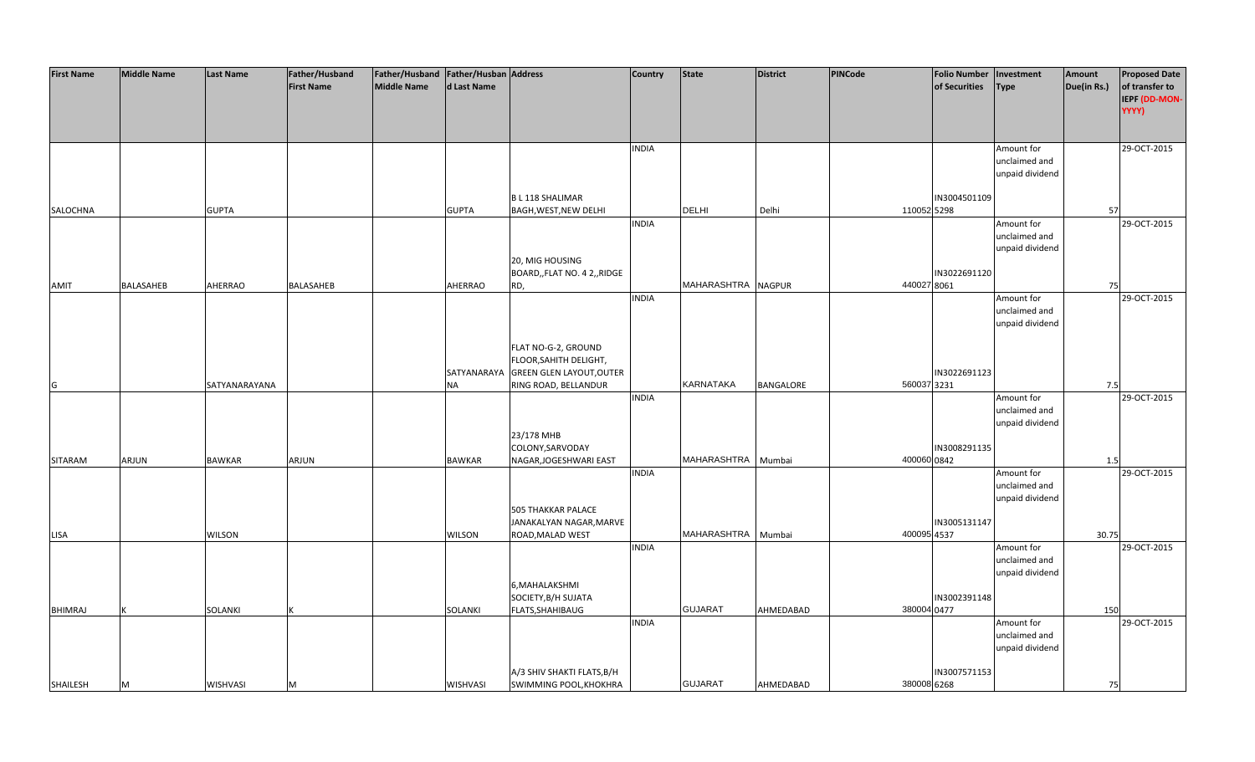| <b>First Name</b> | <b>Middle Name</b> | <b>Last Name</b> | Father/Husband    | Father/Husband Father/Husban Address |               |                                 | <b>Country</b> | State              | <b>District</b> | <b>PINCode</b> | <b>Folio Number</b> | Investment      | Amount      | <b>Proposed Date</b> |
|-------------------|--------------------|------------------|-------------------|--------------------------------------|---------------|---------------------------------|----------------|--------------------|-----------------|----------------|---------------------|-----------------|-------------|----------------------|
|                   |                    |                  | <b>First Name</b> | <b>Middle Name</b>                   | d Last Name   |                                 |                |                    |                 |                | of Securities       | <b>Type</b>     | Due(in Rs.) | of transfer to       |
|                   |                    |                  |                   |                                      |               |                                 |                |                    |                 |                |                     |                 |             | IEPF (DD-MON-        |
|                   |                    |                  |                   |                                      |               |                                 |                |                    |                 |                |                     |                 |             | YYYY)                |
|                   |                    |                  |                   |                                      |               |                                 |                |                    |                 |                |                     |                 |             |                      |
|                   |                    |                  |                   |                                      |               |                                 |                |                    |                 |                |                     |                 |             |                      |
|                   |                    |                  |                   |                                      |               |                                 | <b>INDIA</b>   |                    |                 |                |                     | Amount for      |             | 29-OCT-2015          |
|                   |                    |                  |                   |                                      |               |                                 |                |                    |                 |                |                     | unclaimed and   |             |                      |
|                   |                    |                  |                   |                                      |               |                                 |                |                    |                 |                |                     | unpaid dividend |             |                      |
|                   |                    |                  |                   |                                      |               |                                 |                |                    |                 |                |                     |                 |             |                      |
|                   |                    |                  |                   |                                      |               | <b>BL118 SHALIMAR</b>           |                |                    |                 |                | IN3004501109        |                 |             |                      |
| SALOCHNA          |                    | <b>GUPTA</b>     |                   |                                      | <b>GUPTA</b>  | <b>BAGH, WEST, NEW DELHI</b>    |                | <b>DELHI</b>       | Delhi           | 110052 5298    |                     |                 | 57          |                      |
|                   |                    |                  |                   |                                      |               |                                 |                |                    |                 |                |                     |                 |             |                      |
|                   |                    |                  |                   |                                      |               |                                 | <b>INDIA</b>   |                    |                 |                |                     | Amount for      |             | 29-OCT-2015          |
|                   |                    |                  |                   |                                      |               |                                 |                |                    |                 |                |                     | unclaimed and   |             |                      |
|                   |                    |                  |                   |                                      |               |                                 |                |                    |                 |                |                     | unpaid dividend |             |                      |
|                   |                    |                  |                   |                                      |               | 20, MIG HOUSING                 |                |                    |                 |                |                     |                 |             |                      |
|                   |                    |                  |                   |                                      |               | BOARD,, FLAT NO. 4 2,, RIDGE    |                |                    |                 |                | IN3022691120        |                 |             |                      |
| AMIT              | BALASAHEB          | <b>AHERRAO</b>   | BALASAHEB         |                                      | AHERRAO       | RD,                             |                | MAHARASHTRA NAGPUR |                 | 440027 8061    |                     |                 | 75          |                      |
|                   |                    |                  |                   |                                      |               |                                 | <b>INDIA</b>   |                    |                 |                |                     | Amount for      |             | 29-OCT-2015          |
|                   |                    |                  |                   |                                      |               |                                 |                |                    |                 |                |                     | unclaimed and   |             |                      |
|                   |                    |                  |                   |                                      |               |                                 |                |                    |                 |                |                     | unpaid dividend |             |                      |
|                   |                    |                  |                   |                                      |               |                                 |                |                    |                 |                |                     |                 |             |                      |
|                   |                    |                  |                   |                                      |               | FLAT NO-G-2, GROUND             |                |                    |                 |                |                     |                 |             |                      |
|                   |                    |                  |                   |                                      |               | FLOOR, SAHITH DELIGHT,          |                |                    |                 |                |                     |                 |             |                      |
|                   |                    |                  |                   |                                      | SATYANARAYA   | <b>GREEN GLEN LAYOUT, OUTER</b> |                |                    |                 |                | IN3022691123        |                 |             |                      |
| G                 |                    | SATYANARAYANA    |                   |                                      | <b>NA</b>     | RING ROAD, BELLANDUR            |                | KARNATAKA          | BANGALORE       | 560037 3231    |                     |                 | 7.5         |                      |
|                   |                    |                  |                   |                                      |               |                                 | <b>INDIA</b>   |                    |                 |                |                     | Amount for      |             | 29-OCT-2015          |
|                   |                    |                  |                   |                                      |               |                                 |                |                    |                 |                |                     | unclaimed and   |             |                      |
|                   |                    |                  |                   |                                      |               |                                 |                |                    |                 |                |                     | unpaid dividend |             |                      |
|                   |                    |                  |                   |                                      |               | 23/178 MHB                      |                |                    |                 |                |                     |                 |             |                      |
|                   |                    |                  |                   |                                      |               | COLONY, SARVODAY                |                |                    |                 |                | IN3008291135        |                 |             |                      |
| SITARAM           | ARJUN              | <b>BAWKAR</b>    | ARJUN             |                                      | <b>BAWKAR</b> | NAGAR, JOGESHWARI EAST          |                | MAHARASHTRA        | Mumbai          | 400060 0842    |                     |                 | 1.5         |                      |
|                   |                    |                  |                   |                                      |               |                                 | <b>INDIA</b>   |                    |                 |                |                     | Amount for      |             | 29-OCT-2015          |
|                   |                    |                  |                   |                                      |               |                                 |                |                    |                 |                |                     | unclaimed and   |             |                      |
|                   |                    |                  |                   |                                      |               |                                 |                |                    |                 |                |                     |                 |             |                      |
|                   |                    |                  |                   |                                      |               |                                 |                |                    |                 |                |                     | unpaid dividend |             |                      |
|                   |                    |                  |                   |                                      |               | <b>505 THAKKAR PALACE</b>       |                |                    |                 |                |                     |                 |             |                      |
|                   |                    |                  |                   |                                      |               | JANAKALYAN NAGAR, MARVE         |                |                    |                 |                | IN3005131147        |                 |             |                      |
| LISA              |                    | <b>WILSON</b>    |                   |                                      | <b>WILSON</b> | ROAD, MALAD WEST                |                | MAHARASHTRA        | Mumbai          | 400095 4537    |                     |                 | 30.75       |                      |
|                   |                    |                  |                   |                                      |               |                                 | <b>INDIA</b>   |                    |                 |                |                     | Amount for      |             | 29-OCT-2015          |
|                   |                    |                  |                   |                                      |               |                                 |                |                    |                 |                |                     | unclaimed and   |             |                      |
|                   |                    |                  |                   |                                      |               |                                 |                |                    |                 |                |                     | unpaid dividend |             |                      |
|                   |                    |                  |                   |                                      |               | 6, MAHALAKSHMI                  |                |                    |                 |                |                     |                 |             |                      |
|                   |                    |                  |                   |                                      |               | SOCIETY, B/H SUJATA             |                |                    |                 |                | IN3002391148        |                 |             |                      |
| <b>BHIMRAJ</b>    |                    | SOLANKI          |                   |                                      | SOLANKI       | FLATS, SHAHIBAUG                |                | <b>GUJARAT</b>     | AHMEDABAD       | 380004 0477    |                     |                 | 150         |                      |
|                   |                    |                  |                   |                                      |               |                                 | <b>INDIA</b>   |                    |                 |                |                     | Amount for      |             | 29-OCT-2015          |
|                   |                    |                  |                   |                                      |               |                                 |                |                    |                 |                |                     | unclaimed and   |             |                      |
|                   |                    |                  |                   |                                      |               |                                 |                |                    |                 |                |                     | unpaid dividend |             |                      |
|                   |                    |                  |                   |                                      |               |                                 |                |                    |                 |                |                     |                 |             |                      |
|                   |                    |                  |                   |                                      |               | A/3 SHIV SHAKTI FLATS, B/H      |                |                    |                 |                | IN3007571153        |                 |             |                      |
| SHAILESH          | M                  | WISHVASI         | м                 |                                      | WISHVASI      | SWIMMING POOL, KHOKHRA          |                | <b>GUJARAT</b>     | AHMEDABAD       | 380008 6268    |                     |                 | 75          |                      |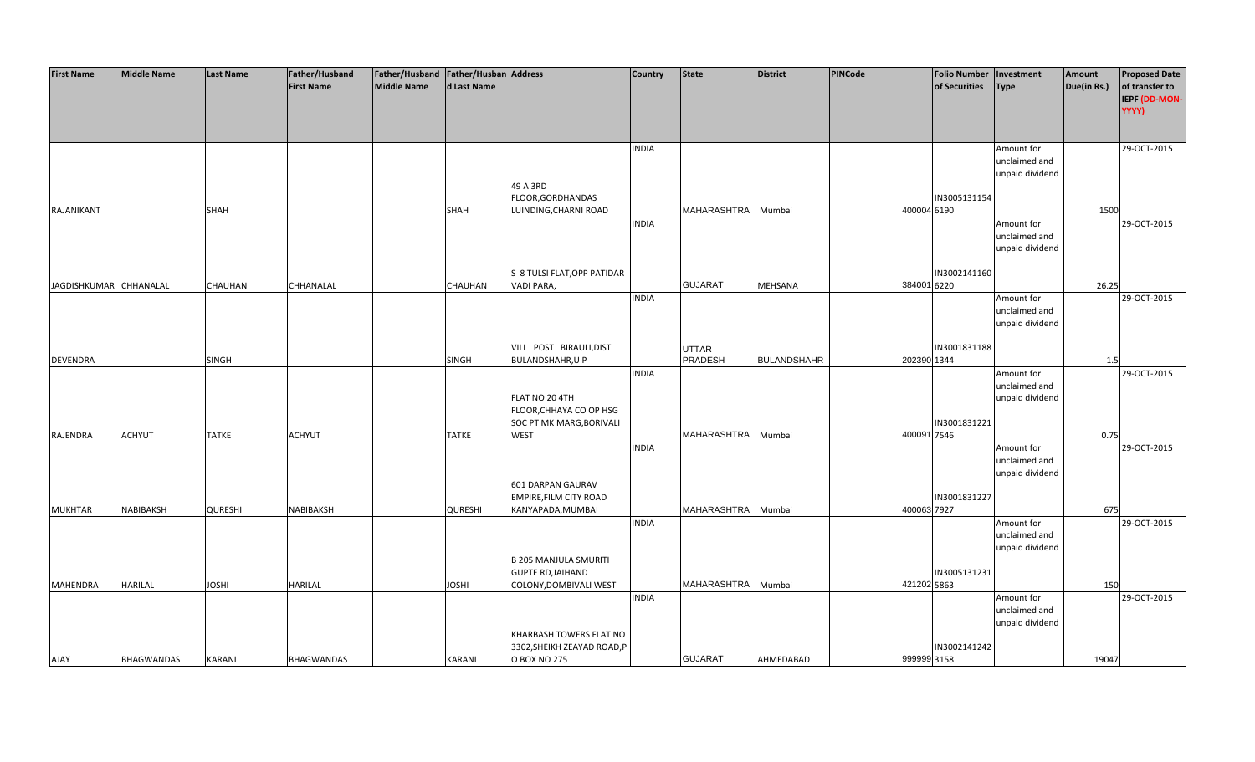| <b>First Name</b>      | <b>Middle Name</b> | <b>Last Name</b> | Father/Husband    | Father/Husband   Father/Husban   Address |                |                              | <b>Country</b> | <b>State</b>       | District           | PINCode     | <b>Folio Number</b> | Investment      | Amount      | <b>Proposed Date</b> |
|------------------------|--------------------|------------------|-------------------|------------------------------------------|----------------|------------------------------|----------------|--------------------|--------------------|-------------|---------------------|-----------------|-------------|----------------------|
|                        |                    |                  | <b>First Name</b> | <b>Middle Name</b>                       | d Last Name    |                              |                |                    |                    |             | of Securities       | <b>Type</b>     | Due(in Rs.) | of transfer to       |
|                        |                    |                  |                   |                                          |                |                              |                |                    |                    |             |                     |                 |             | IEPF (DD-MON-        |
|                        |                    |                  |                   |                                          |                |                              |                |                    |                    |             |                     |                 |             | YYYY)                |
|                        |                    |                  |                   |                                          |                |                              |                |                    |                    |             |                     |                 |             |                      |
|                        |                    |                  |                   |                                          |                |                              |                |                    |                    |             |                     |                 |             |                      |
|                        |                    |                  |                   |                                          |                |                              | <b>INDIA</b>   |                    |                    |             |                     | Amount for      |             | 29-OCT-2015          |
|                        |                    |                  |                   |                                          |                |                              |                |                    |                    |             |                     | unclaimed and   |             |                      |
|                        |                    |                  |                   |                                          |                |                              |                |                    |                    |             |                     | unpaid dividend |             |                      |
|                        |                    |                  |                   |                                          |                | 49 A 3RD                     |                |                    |                    |             |                     |                 |             |                      |
|                        |                    |                  |                   |                                          |                | FLOOR, GORDHANDAS            |                |                    |                    |             | IN3005131154        |                 |             |                      |
| RAJANIKANT             |                    | SHAH             |                   |                                          | SHAH           | LUINDING, CHARNI ROAD        |                | MAHARASHTRA        | Mumbai             | 400004 6190 |                     |                 | 1500        |                      |
|                        |                    |                  |                   |                                          |                |                              | <b>INDIA</b>   |                    |                    |             |                     | Amount for      |             | 29-OCT-2015          |
|                        |                    |                  |                   |                                          |                |                              |                |                    |                    |             |                     | unclaimed and   |             |                      |
|                        |                    |                  |                   |                                          |                |                              |                |                    |                    |             |                     | unpaid dividend |             |                      |
|                        |                    |                  |                   |                                          |                |                              |                |                    |                    |             |                     |                 |             |                      |
|                        |                    |                  |                   |                                          |                | S 8 TULSI FLAT, OPP PATIDAR  |                |                    |                    |             | IN3002141160        |                 |             |                      |
| JAGDISHKUMAR CHHANALAL |                    | CHAUHAN          | CHHANALAL         |                                          | CHAUHAN        | VADI PARA,                   |                | <b>GUJARAT</b>     | <b>MEHSANA</b>     | 384001 6220 |                     |                 | 26.25       |                      |
|                        |                    |                  |                   |                                          |                |                              | <b>INDIA</b>   |                    |                    |             |                     | Amount for      |             | 29-OCT-2015          |
|                        |                    |                  |                   |                                          |                |                              |                |                    |                    |             |                     | unclaimed and   |             |                      |
|                        |                    |                  |                   |                                          |                |                              |                |                    |                    |             |                     | unpaid dividend |             |                      |
|                        |                    |                  |                   |                                          |                |                              |                |                    |                    |             |                     |                 |             |                      |
|                        |                    |                  |                   |                                          |                | VILL POST BIRAULI, DIST      |                | <b>UTTAR</b>       |                    |             | IN3001831188        |                 |             |                      |
| <b>DEVENDRA</b>        |                    | SINGH            |                   |                                          | SINGH          | <b>BULANDSHAHR, U P</b>      |                | PRADESH            | <b>BULANDSHAHR</b> | 202390 1344 |                     |                 | 1.5         |                      |
|                        |                    |                  |                   |                                          |                |                              | <b>INDIA</b>   |                    |                    |             |                     | Amount for      |             | 29-OCT-2015          |
|                        |                    |                  |                   |                                          |                |                              |                |                    |                    |             |                     | unclaimed and   |             |                      |
|                        |                    |                  |                   |                                          |                | FLAT NO 20 4TH               |                |                    |                    |             |                     | unpaid dividend |             |                      |
|                        |                    |                  |                   |                                          |                | FLOOR, CHHAYA CO OP HSG      |                |                    |                    |             |                     |                 |             |                      |
|                        |                    |                  |                   |                                          |                | SOC PT MK MARG, BORIVALI     |                |                    |                    |             | IN3001831221        |                 |             |                      |
| RAJENDRA               | <b>ACHYUT</b>      | <b>TATKE</b>     | <b>ACHYUT</b>     |                                          | <b>TATKE</b>   | <b>WEST</b>                  |                | MAHARASHTRA        | Mumbai             | 400091 7546 |                     |                 | 0.75        |                      |
|                        |                    |                  |                   |                                          |                |                              | <b>INDIA</b>   |                    |                    |             |                     | Amount for      |             | 29-OCT-2015          |
|                        |                    |                  |                   |                                          |                |                              |                |                    |                    |             |                     | unclaimed and   |             |                      |
|                        |                    |                  |                   |                                          |                |                              |                |                    |                    |             |                     | unpaid dividend |             |                      |
|                        |                    |                  |                   |                                          |                | 601 DARPAN GAURAV            |                |                    |                    |             |                     |                 |             |                      |
|                        |                    |                  |                   |                                          |                | EMPIRE, FILM CITY ROAD       |                |                    |                    |             | IN3001831227        |                 |             |                      |
| <b>MUKHTAR</b>         | NABIBAKSH          | <b>QURESHI</b>   | NABIBAKSH         |                                          | <b>QURESHI</b> | KANYAPADA, MUMBAI            |                | MAHARASHTRA        | Mumbai             | 400063 7927 |                     |                 | 675         |                      |
|                        |                    |                  |                   |                                          |                |                              | <b>INDIA</b>   |                    |                    |             |                     | Amount for      |             | 29-OCT-2015          |
|                        |                    |                  |                   |                                          |                |                              |                |                    |                    |             |                     | unclaimed and   |             |                      |
|                        |                    |                  |                   |                                          |                |                              |                |                    |                    |             |                     | unpaid dividend |             |                      |
|                        |                    |                  |                   |                                          |                | <b>B 205 MANJULA SMURITI</b> |                |                    |                    |             |                     |                 |             |                      |
|                        |                    |                  |                   |                                          |                | <b>GUPTE RD, JAIHAND</b>     |                |                    |                    |             | IN3005131231        |                 |             |                      |
| <b>MAHENDRA</b>        | <b>HARILAL</b>     | <b>IHZOL</b>     | <b>HARILAL</b>    |                                          | <b>JOSHI</b>   | COLONY, DOMBIVALI WEST       |                | MAHARASHTRA Mumbai |                    | 421202 5863 |                     |                 | 150         |                      |
|                        |                    |                  |                   |                                          |                |                              | <b>INDIA</b>   |                    |                    |             |                     | Amount for      |             | 29-OCT-2015          |
|                        |                    |                  |                   |                                          |                |                              |                |                    |                    |             |                     | unclaimed and   |             |                      |
|                        |                    |                  |                   |                                          |                |                              |                |                    |                    |             |                     | unpaid dividend |             |                      |
|                        |                    |                  |                   |                                          |                | KHARBASH TOWERS FLAT NO      |                |                    |                    |             |                     |                 |             |                      |
|                        |                    |                  |                   |                                          |                | 3302, SHEIKH ZEAYAD ROAD, P  |                |                    |                    |             | IN3002141242        |                 |             |                      |
| AJAY                   | <b>BHAGWANDAS</b>  | <b>KARANI</b>    | <b>BHAGWANDAS</b> |                                          | KARANI         | O BOX NO 275                 |                | <b>GUJARAT</b>     | AHMEDABAD          | 999999 3158 |                     |                 | 19047       |                      |
|                        |                    |                  |                   |                                          |                |                              |                |                    |                    |             |                     |                 |             |                      |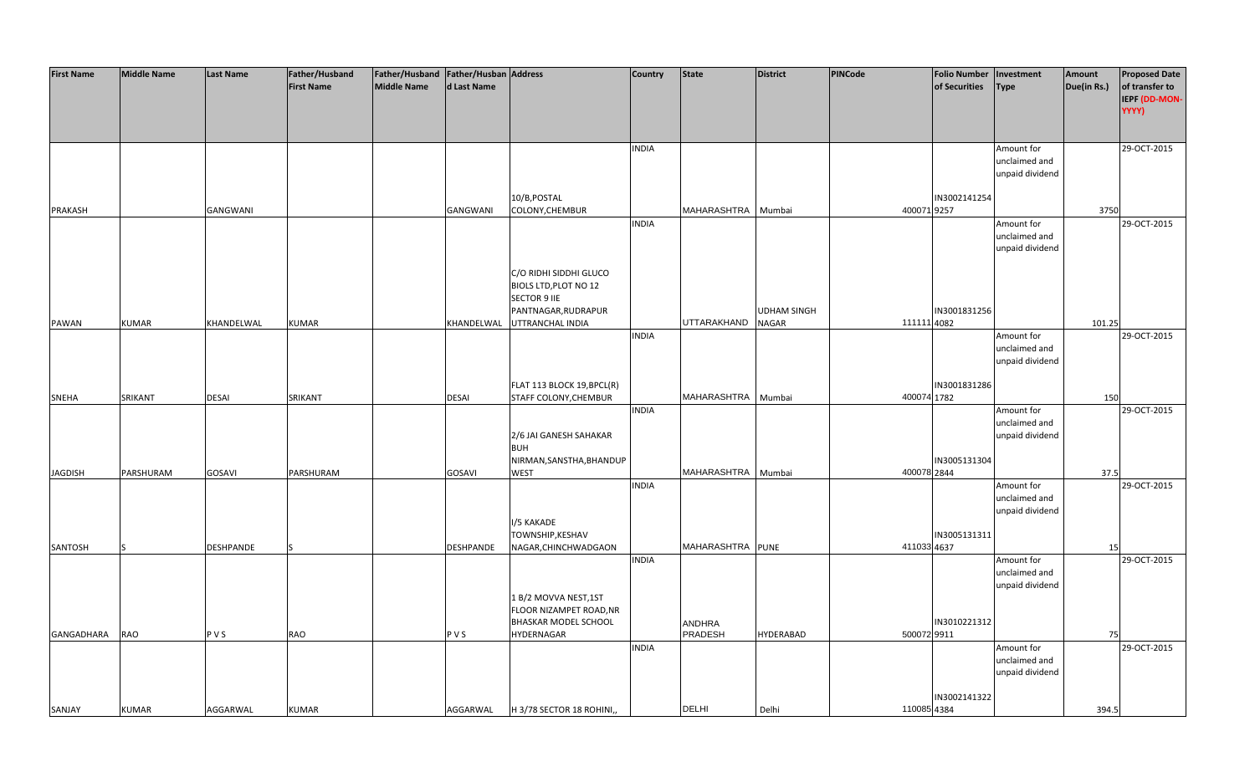| <b>First Name</b> | <b>Middle Name</b> | <b>Last Name</b> | Father/Husband    | Father/Husband Father/Husban Address |              |                            | <b>Country</b> | <b>State</b>       | <b>District</b>    | <b>PINCode</b> | <b>Folio Number</b> | Investment      | Amount      | <b>Proposed Date</b> |
|-------------------|--------------------|------------------|-------------------|--------------------------------------|--------------|----------------------------|----------------|--------------------|--------------------|----------------|---------------------|-----------------|-------------|----------------------|
|                   |                    |                  | <b>First Name</b> | <b>Middle Name</b>                   | d Last Name  |                            |                |                    |                    |                | of Securities       | <b>Type</b>     | Due(in Rs.) | of transfer to       |
|                   |                    |                  |                   |                                      |              |                            |                |                    |                    |                |                     |                 |             | IEPF (DD-MON-        |
|                   |                    |                  |                   |                                      |              |                            |                |                    |                    |                |                     |                 |             | YYYY)                |
|                   |                    |                  |                   |                                      |              |                            |                |                    |                    |                |                     |                 |             |                      |
|                   |                    |                  |                   |                                      |              |                            |                |                    |                    |                |                     |                 |             |                      |
|                   |                    |                  |                   |                                      |              |                            | <b>INDIA</b>   |                    |                    |                |                     | Amount for      |             | 29-OCT-2015          |
|                   |                    |                  |                   |                                      |              |                            |                |                    |                    |                |                     | unclaimed and   |             |                      |
|                   |                    |                  |                   |                                      |              |                            |                |                    |                    |                |                     | unpaid dividend |             |                      |
|                   |                    |                  |                   |                                      |              |                            |                |                    |                    |                |                     |                 |             |                      |
|                   |                    |                  |                   |                                      |              | 10/B, POSTAL               |                |                    |                    |                | IN3002141254        |                 |             |                      |
| <b>PRAKASH</b>    |                    | GANGWANI         |                   |                                      | GANGWANI     | COLONY, CHEMBUR            |                | MAHARASHTRA        | Mumbai             | 400071 9257    |                     |                 | 3750        |                      |
|                   |                    |                  |                   |                                      |              |                            | <b>INDIA</b>   |                    |                    |                |                     | Amount for      |             | 29-OCT-2015          |
|                   |                    |                  |                   |                                      |              |                            |                |                    |                    |                |                     | unclaimed and   |             |                      |
|                   |                    |                  |                   |                                      |              |                            |                |                    |                    |                |                     | unpaid dividend |             |                      |
|                   |                    |                  |                   |                                      |              |                            |                |                    |                    |                |                     |                 |             |                      |
|                   |                    |                  |                   |                                      |              | C/O RIDHI SIDDHI GLUCO     |                |                    |                    |                |                     |                 |             |                      |
|                   |                    |                  |                   |                                      |              | BIOLS LTD, PLOT NO 12      |                |                    |                    |                |                     |                 |             |                      |
|                   |                    |                  |                   |                                      |              | <b>SECTOR 9 IIE</b>        |                |                    |                    |                |                     |                 |             |                      |
|                   |                    |                  |                   |                                      |              | PANTNAGAR, RUDRAPUR        |                |                    | <b>UDHAM SINGH</b> |                | IN3001831256        |                 |             |                      |
| PAWAN             | <b>KUMAR</b>       | KHANDELWAL       | <b>KUMAR</b>      |                                      | KHANDELWAL   | UTTRANCHAL INDIA           |                | UTTARAKHAND        | <b>NAGAR</b>       | 111111 4082    |                     |                 | 101.25      |                      |
|                   |                    |                  |                   |                                      |              |                            | <b>INDIA</b>   |                    |                    |                |                     | Amount for      |             | 29-OCT-2015          |
|                   |                    |                  |                   |                                      |              |                            |                |                    |                    |                |                     | unclaimed and   |             |                      |
|                   |                    |                  |                   |                                      |              |                            |                |                    |                    |                |                     | unpaid dividend |             |                      |
|                   |                    |                  |                   |                                      |              |                            |                |                    |                    |                |                     |                 |             |                      |
|                   |                    |                  |                   |                                      |              | FLAT 113 BLOCK 19, BPCL(R) |                |                    |                    |                | IN3001831286        |                 |             |                      |
| <b>SNEHA</b>      | SRIKANT            | <b>DESAI</b>     | SRIKANT           |                                      | <b>DESAI</b> | STAFF COLONY, CHEMBUR      |                | MAHARASHTRA        | Mumbai             | 400074 1782    |                     |                 | 150         |                      |
|                   |                    |                  |                   |                                      |              |                            | <b>INDIA</b>   |                    |                    |                |                     | Amount for      |             | 29-OCT-2015          |
|                   |                    |                  |                   |                                      |              |                            |                |                    |                    |                |                     | unclaimed and   |             |                      |
|                   |                    |                  |                   |                                      |              | 2/6 JAI GANESH SAHAKAR     |                |                    |                    |                |                     | unpaid dividend |             |                      |
|                   |                    |                  |                   |                                      |              | <b>BUH</b>                 |                |                    |                    |                |                     |                 |             |                      |
|                   |                    |                  |                   |                                      |              | NIRMAN, SANSTHA, BHANDUP   |                |                    |                    |                | IN3005131304        |                 |             |                      |
| <b>JAGDISH</b>    | PARSHURAM          | GOSAVI           | PARSHURAM         |                                      | GOSAVI       | <b>WEST</b>                |                | MAHARASHTRA Mumbai |                    | 400078 2844    |                     |                 | 37.5        |                      |
|                   |                    |                  |                   |                                      |              |                            | <b>INDIA</b>   |                    |                    |                |                     | Amount for      |             | 29-OCT-2015          |
|                   |                    |                  |                   |                                      |              |                            |                |                    |                    |                |                     | unclaimed and   |             |                      |
|                   |                    |                  |                   |                                      |              |                            |                |                    |                    |                |                     | unpaid dividend |             |                      |
|                   |                    |                  |                   |                                      |              | I/5 KAKADE                 |                |                    |                    |                |                     |                 |             |                      |
|                   |                    |                  |                   |                                      |              | TOWNSHIP, KESHAV           |                |                    |                    |                | IN3005131311        |                 |             |                      |
| SANTOSH           |                    | DESHPANDE        |                   |                                      | DESHPANDE    | NAGAR, CHINCHWADGAON       |                | MAHARASHTRA PUNE   |                    | 411033 4637    |                     |                 | 15          |                      |
|                   |                    |                  |                   |                                      |              |                            | <b>INDIA</b>   |                    |                    |                |                     | Amount for      |             | 29-OCT-2015          |
|                   |                    |                  |                   |                                      |              |                            |                |                    |                    |                |                     | unclaimed and   |             |                      |
|                   |                    |                  |                   |                                      |              |                            |                |                    |                    |                |                     | unpaid dividend |             |                      |
|                   |                    |                  |                   |                                      |              | 1 B/2 MOVVA NEST,1ST       |                |                    |                    |                |                     |                 |             |                      |
|                   |                    |                  |                   |                                      |              | FLOOR NIZAMPET ROAD, NR    |                |                    |                    |                |                     |                 |             |                      |
|                   |                    |                  |                   |                                      |              | BHASKAR MODEL SCHOOL       |                | <b>ANDHRA</b>      |                    |                | IN3010221312        |                 |             |                      |
| GANGADHARA        | <b>RAO</b>         | PVS              | RAO               |                                      | P V S        | HYDERNAGAR                 |                | PRADESH            | <b>HYDERABAD</b>   | 500072 9911    |                     |                 | 75          |                      |
|                   |                    |                  |                   |                                      |              |                            | <b>INDIA</b>   |                    |                    |                |                     | Amount for      |             | 29-OCT-2015          |
|                   |                    |                  |                   |                                      |              |                            |                |                    |                    |                |                     | unclaimed and   |             |                      |
|                   |                    |                  |                   |                                      |              |                            |                |                    |                    |                |                     | unpaid dividend |             |                      |
|                   |                    |                  |                   |                                      |              |                            |                |                    |                    |                |                     |                 |             |                      |
|                   |                    |                  |                   |                                      |              |                            |                | <b>DELHI</b>       |                    |                | IN3002141322        |                 |             |                      |
| SANJAY            | <b>KUMAR</b>       | AGGARWAL         | <b>KUMAR</b>      |                                      | AGGARWAL     | H 3/78 SECTOR 18 ROHINI,   |                |                    | Delhi              | 110085 4384    |                     |                 | 394.5       |                      |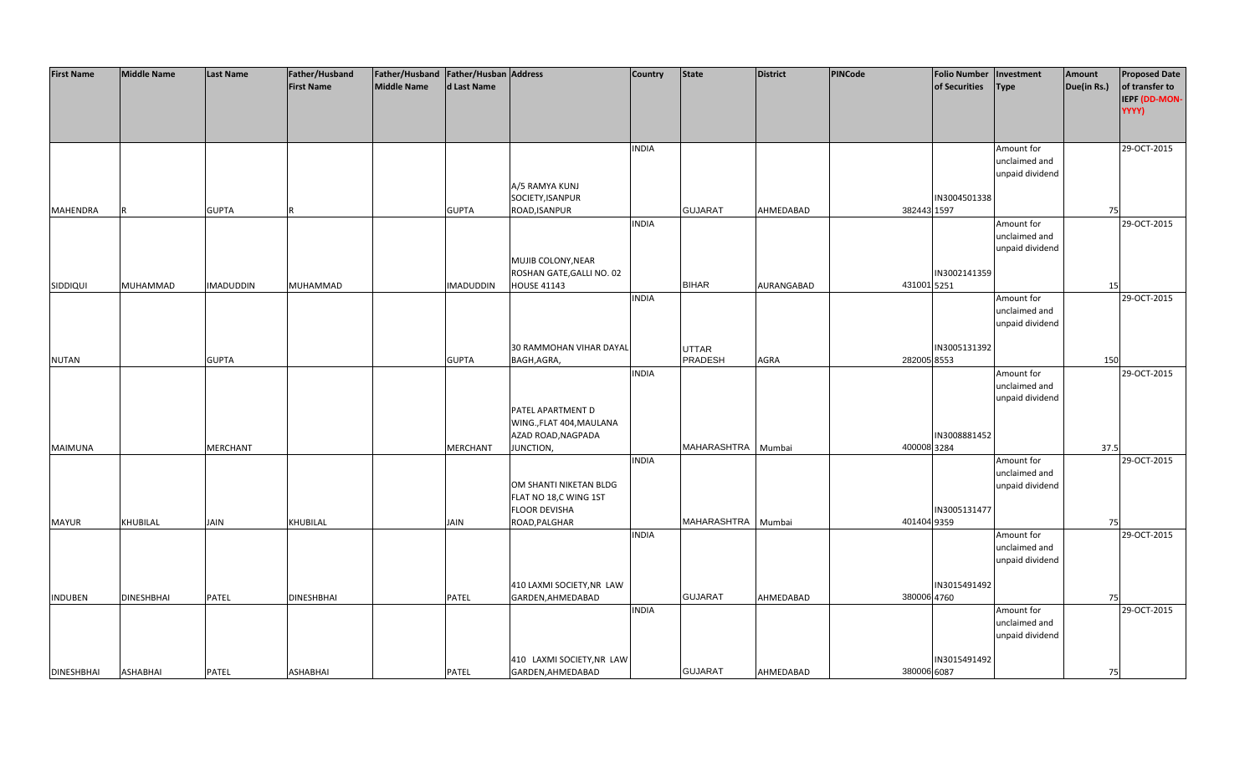| <b>First Name</b> | <b>Middle Name</b> | <b>Last Name</b> | Father/Husband    | Father/Husband   Father/Husban   Address |                  |                                                | <b>Country</b> | <b>State</b>       | <b>District</b> | <b>PINCode</b> | <b>Folio Number</b> | Investment      | Amount      | <b>Proposed Date</b> |
|-------------------|--------------------|------------------|-------------------|------------------------------------------|------------------|------------------------------------------------|----------------|--------------------|-----------------|----------------|---------------------|-----------------|-------------|----------------------|
|                   |                    |                  | <b>First Name</b> | <b>Middle Name</b>                       | d Last Name      |                                                |                |                    |                 |                | of Securities       | <b>Type</b>     | Due(in Rs.) | of transfer to       |
|                   |                    |                  |                   |                                          |                  |                                                |                |                    |                 |                |                     |                 |             | IEPF (DD-MON-        |
|                   |                    |                  |                   |                                          |                  |                                                |                |                    |                 |                |                     |                 |             | YYYY)                |
|                   |                    |                  |                   |                                          |                  |                                                |                |                    |                 |                |                     |                 |             |                      |
|                   |                    |                  |                   |                                          |                  |                                                |                |                    |                 |                |                     |                 |             |                      |
|                   |                    |                  |                   |                                          |                  |                                                | <b>INDIA</b>   |                    |                 |                |                     | Amount for      |             | 29-OCT-2015          |
|                   |                    |                  |                   |                                          |                  |                                                |                |                    |                 |                |                     | unclaimed and   |             |                      |
|                   |                    |                  |                   |                                          |                  |                                                |                |                    |                 |                |                     | unpaid dividend |             |                      |
|                   |                    |                  |                   |                                          |                  | A/5 RAMYA KUNJ                                 |                |                    |                 |                |                     |                 |             |                      |
|                   |                    |                  |                   |                                          |                  | SOCIETY, ISANPUR                               |                |                    |                 |                | IN3004501338        |                 |             |                      |
| <b>MAHENDRA</b>   |                    | <b>GUPTA</b>     |                   |                                          | <b>GUPTA</b>     | ROAD, ISANPUR                                  |                | <b>GUJARAT</b>     | AHMEDABAD       | 382443 1597    |                     |                 | 75          |                      |
|                   |                    |                  |                   |                                          |                  |                                                | <b>INDIA</b>   |                    |                 |                |                     | Amount for      |             | 29-OCT-2015          |
|                   |                    |                  |                   |                                          |                  |                                                |                |                    |                 |                |                     | unclaimed and   |             |                      |
|                   |                    |                  |                   |                                          |                  |                                                |                |                    |                 |                |                     | unpaid dividend |             |                      |
|                   |                    |                  |                   |                                          |                  | MUJIB COLONY, NEAR                             |                |                    |                 |                |                     |                 |             |                      |
|                   |                    |                  |                   |                                          |                  | ROSHAN GATE, GALLI NO. 02                      |                |                    |                 |                | IN3002141359        |                 |             |                      |
| SIDDIQUI          | MUHAMMAD           | <b>IMADUDDIN</b> | MUHAMMAD          |                                          | <b>IMADUDDIN</b> | <b>HOUSE 41143</b>                             |                | <b>BIHAR</b>       | AURANGABAD      | 431001 5251    |                     |                 | 15          |                      |
|                   |                    |                  |                   |                                          |                  |                                                | <b>INDIA</b>   |                    |                 |                |                     | Amount for      |             | 29-OCT-2015          |
|                   |                    |                  |                   |                                          |                  |                                                |                |                    |                 |                |                     | unclaimed and   |             |                      |
|                   |                    |                  |                   |                                          |                  |                                                |                |                    |                 |                |                     | unpaid dividend |             |                      |
|                   |                    |                  |                   |                                          |                  |                                                |                |                    |                 |                |                     |                 |             |                      |
|                   |                    |                  |                   |                                          |                  | 30 RAMMOHAN VIHAR DAYAL                        |                | <b>UTTAR</b>       |                 |                | IN3005131392        |                 |             |                      |
| <b>NUTAN</b>      |                    | <b>GUPTA</b>     |                   |                                          | <b>GUPTA</b>     | BAGH, AGRA,                                    |                | PRADESH            | AGRA            | 282005 8553    |                     |                 | 150         |                      |
|                   |                    |                  |                   |                                          |                  |                                                | <b>INDIA</b>   |                    |                 |                |                     | Amount for      |             | 29-OCT-2015          |
|                   |                    |                  |                   |                                          |                  |                                                |                |                    |                 |                |                     | unclaimed and   |             |                      |
|                   |                    |                  |                   |                                          |                  |                                                |                |                    |                 |                |                     | unpaid dividend |             |                      |
|                   |                    |                  |                   |                                          |                  | PATEL APARTMENT D                              |                |                    |                 |                |                     |                 |             |                      |
|                   |                    |                  |                   |                                          |                  | WING., FLAT 404, MAULANA                       |                |                    |                 |                |                     |                 |             |                      |
|                   |                    |                  |                   |                                          |                  | AZAD ROAD, NAGPADA                             |                |                    |                 |                | IN3008881452        |                 |             |                      |
| MAIMUNA           |                    | <b>MERCHANT</b>  |                   |                                          | MERCHANT         | JUNCTION,                                      |                | MAHARASHTRA Mumbai |                 | 400008 3284    |                     |                 | 37.5        |                      |
|                   |                    |                  |                   |                                          |                  |                                                | <b>INDIA</b>   |                    |                 |                |                     | Amount for      |             | 29-OCT-2015          |
|                   |                    |                  |                   |                                          |                  |                                                |                |                    |                 |                |                     | unclaimed and   |             |                      |
|                   |                    |                  |                   |                                          |                  | OM SHANTI NIKETAN BLDG                         |                |                    |                 |                |                     | unpaid dividend |             |                      |
|                   |                    |                  |                   |                                          |                  | FLAT NO 18,C WING 1ST                          |                |                    |                 |                |                     |                 |             |                      |
|                   |                    |                  |                   |                                          |                  | <b>FLOOR DEVISHA</b>                           |                |                    |                 |                | IN3005131477        |                 |             |                      |
| <b>MAYUR</b>      | KHUBILAL           | JAIN             | KHUBILAL          |                                          | <b>JAIN</b>      | ROAD, PALGHAR                                  |                | MAHARASHTRA Mumbai |                 | 401404 9359    |                     |                 | 75          |                      |
|                   |                    |                  |                   |                                          |                  |                                                | <b>INDIA</b>   |                    |                 |                |                     | Amount for      |             | 29-OCT-2015          |
|                   |                    |                  |                   |                                          |                  |                                                |                |                    |                 |                |                     | unclaimed and   |             |                      |
|                   |                    |                  |                   |                                          |                  |                                                |                |                    |                 |                |                     | unpaid dividend |             |                      |
|                   |                    |                  |                   |                                          |                  |                                                |                |                    |                 |                |                     |                 |             |                      |
|                   |                    |                  |                   |                                          |                  | 410 LAXMI SOCIETY, NR LAW                      |                |                    |                 |                | IN3015491492        |                 |             |                      |
| <b>INDUBEN</b>    | <b>DINESHBHAI</b>  | PATEL            | <b>DINESHBHAI</b> |                                          | PATEL            | GARDEN, AHMEDABAD                              |                | <b>GUJARAT</b>     | AHMEDABAD       | 380006 4760    |                     |                 | 75          |                      |
|                   |                    |                  |                   |                                          |                  |                                                | <b>INDIA</b>   |                    |                 |                |                     | Amount for      |             | 29-OCT-2015          |
|                   |                    |                  |                   |                                          |                  |                                                |                |                    |                 |                |                     | unclaimed and   |             |                      |
|                   |                    |                  |                   |                                          |                  |                                                |                |                    |                 |                |                     | unpaid dividend |             |                      |
|                   |                    |                  |                   |                                          |                  |                                                |                |                    |                 |                | IN3015491492        |                 |             |                      |
| <b>DINESHBHAI</b> | <b>ASHABHAI</b>    | <b>PATEL</b>     | ASHABHAI          |                                          | <b>PATEL</b>     | 410 LAXMI SOCIETY, NR LAW<br>GARDEN, AHMEDABAD |                | <b>GUJARAT</b>     | AHMEDABAD       | 380006 6087    |                     |                 | 75          |                      |
|                   |                    |                  |                   |                                          |                  |                                                |                |                    |                 |                |                     |                 |             |                      |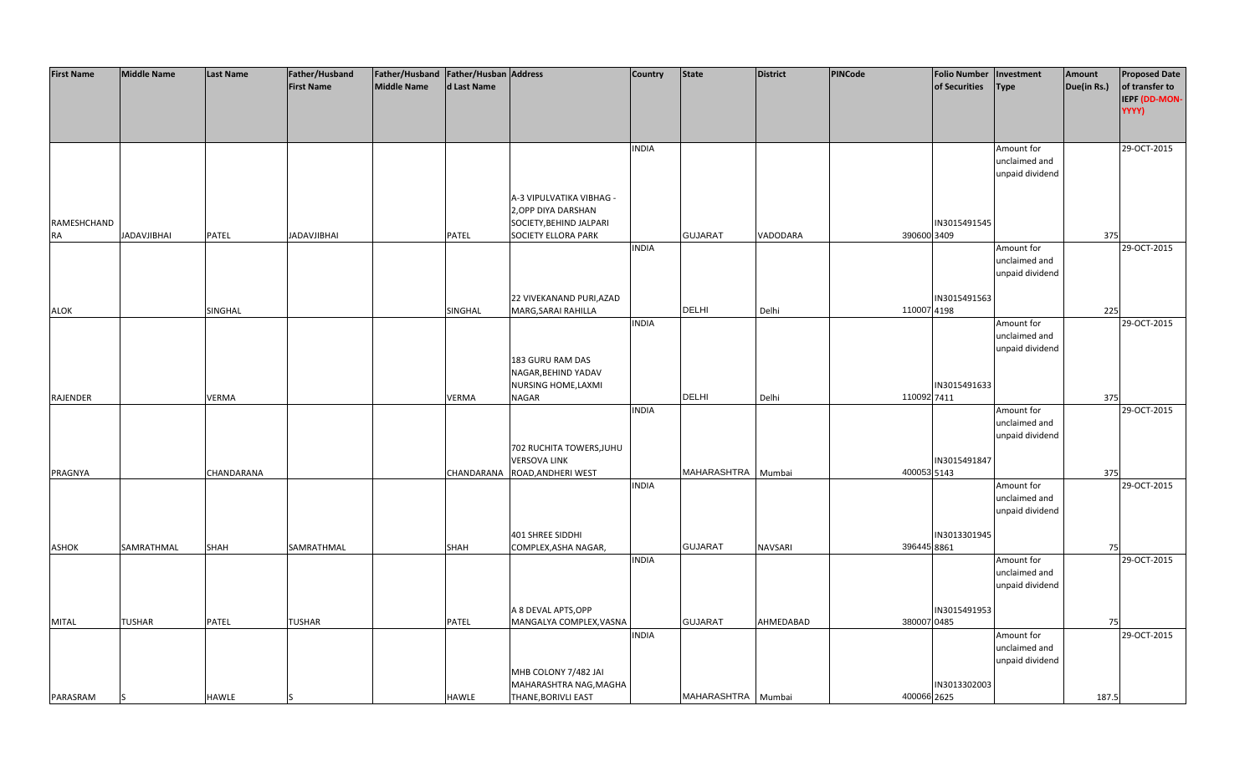| <b>First Name</b> | <b>Middle Name</b> | <b>Last Name</b>  | Father/Husband     | Father/Husband   Father/Husban   Address |                   |                            | <b>Country</b> | <b>State</b>       | <b>District</b> | PINCode     | <b>Folio Number</b> | Investment      | Amount      | <b>Proposed Date</b> |
|-------------------|--------------------|-------------------|--------------------|------------------------------------------|-------------------|----------------------------|----------------|--------------------|-----------------|-------------|---------------------|-----------------|-------------|----------------------|
|                   |                    |                   | <b>First Name</b>  | <b>Middle Name</b>                       | d Last Name       |                            |                |                    |                 |             | of Securities       | <b>Type</b>     | Due(in Rs.) | of transfer to       |
|                   |                    |                   |                    |                                          |                   |                            |                |                    |                 |             |                     |                 |             | IEPF (DD-MON-        |
|                   |                    |                   |                    |                                          |                   |                            |                |                    |                 |             |                     |                 |             |                      |
|                   |                    |                   |                    |                                          |                   |                            |                |                    |                 |             |                     |                 |             | YYYY)                |
|                   |                    |                   |                    |                                          |                   |                            |                |                    |                 |             |                     |                 |             |                      |
|                   |                    |                   |                    |                                          |                   |                            |                |                    |                 |             |                     |                 |             |                      |
|                   |                    |                   |                    |                                          |                   |                            | <b>INDIA</b>   |                    |                 |             |                     | Amount for      |             | 29-OCT-2015          |
|                   |                    |                   |                    |                                          |                   |                            |                |                    |                 |             |                     | unclaimed and   |             |                      |
|                   |                    |                   |                    |                                          |                   |                            |                |                    |                 |             |                     | unpaid dividend |             |                      |
|                   |                    |                   |                    |                                          |                   |                            |                |                    |                 |             |                     |                 |             |                      |
|                   |                    |                   |                    |                                          |                   | A-3 VIPULVATIKA VIBHAG -   |                |                    |                 |             |                     |                 |             |                      |
|                   |                    |                   |                    |                                          |                   | 2, OPP DIYA DARSHAN        |                |                    |                 |             |                     |                 |             |                      |
|                   |                    |                   |                    |                                          |                   |                            |                |                    |                 |             |                     |                 |             |                      |
| RAMESHCHAND       |                    |                   |                    |                                          |                   | SOCIETY, BEHIND JALPARI    |                |                    |                 |             | IN3015491545        |                 |             |                      |
| <b>RA</b>         | <b>JADAVJIBHAI</b> | PATEL             | <b>JADAVJIBHAI</b> |                                          | PATEL             | <b>SOCIETY ELLORA PARK</b> |                | <b>GUJARAT</b>     | VADODARA        | 390600 3409 |                     |                 | 375         |                      |
|                   |                    |                   |                    |                                          |                   |                            | <b>INDIA</b>   |                    |                 |             |                     | Amount for      |             | 29-OCT-2015          |
|                   |                    |                   |                    |                                          |                   |                            |                |                    |                 |             |                     | unclaimed and   |             |                      |
|                   |                    |                   |                    |                                          |                   |                            |                |                    |                 |             |                     | unpaid dividend |             |                      |
|                   |                    |                   |                    |                                          |                   |                            |                |                    |                 |             |                     |                 |             |                      |
|                   |                    |                   |                    |                                          |                   | 22 VIVEKANAND PURI, AZAD   |                |                    |                 |             | IN3015491563        |                 |             |                      |
| ALOK              |                    | SINGHAL           |                    |                                          | SINGHAL           | MARG, SARAI RAHILLA        |                | <b>DELHI</b>       | Delhi           | 110007 4198 |                     |                 | 225         |                      |
|                   |                    |                   |                    |                                          |                   |                            |                |                    |                 |             |                     |                 |             |                      |
|                   |                    |                   |                    |                                          |                   |                            | <b>INDIA</b>   |                    |                 |             |                     | Amount for      |             | 29-OCT-2015          |
|                   |                    |                   |                    |                                          |                   |                            |                |                    |                 |             |                     | unclaimed and   |             |                      |
|                   |                    |                   |                    |                                          |                   |                            |                |                    |                 |             |                     | unpaid dividend |             |                      |
|                   |                    |                   |                    |                                          |                   | 183 GURU RAM DAS           |                |                    |                 |             |                     |                 |             |                      |
|                   |                    |                   |                    |                                          |                   | NAGAR, BEHIND YADAV        |                |                    |                 |             |                     |                 |             |                      |
|                   |                    |                   |                    |                                          |                   | NURSING HOME, LAXMI        |                |                    |                 |             | IN3015491633        |                 |             |                      |
| <b>RAJENDER</b>   |                    | <b>VERMA</b>      |                    |                                          | <b>VERMA</b>      | <b>NAGAR</b>               |                | <b>DELHI</b>       | Delhi           | 110092 7411 |                     |                 | 375         |                      |
|                   |                    |                   |                    |                                          |                   |                            | <b>INDIA</b>   |                    |                 |             |                     | Amount for      |             | 29-OCT-2015          |
|                   |                    |                   |                    |                                          |                   |                            |                |                    |                 |             |                     | unclaimed and   |             |                      |
|                   |                    |                   |                    |                                          |                   |                            |                |                    |                 |             |                     | unpaid dividend |             |                      |
|                   |                    |                   |                    |                                          |                   |                            |                |                    |                 |             |                     |                 |             |                      |
|                   |                    |                   |                    |                                          |                   | 702 RUCHITA TOWERS, JUHU   |                |                    |                 |             |                     |                 |             |                      |
|                   |                    |                   |                    |                                          |                   | <b>VERSOVA LINK</b>        |                |                    |                 |             | IN3015491847        |                 |             |                      |
| PRAGNYA           |                    | <b>CHANDARANA</b> |                    |                                          | <b>CHANDARANA</b> | ROAD, ANDHERI WEST         |                | MAHARASHTRA Mumbai |                 | 400053 5143 |                     |                 | 375         |                      |
|                   |                    |                   |                    |                                          |                   |                            | <b>INDIA</b>   |                    |                 |             |                     | Amount for      |             | 29-OCT-2015          |
|                   |                    |                   |                    |                                          |                   |                            |                |                    |                 |             |                     | unclaimed and   |             |                      |
|                   |                    |                   |                    |                                          |                   |                            |                |                    |                 |             |                     | unpaid dividend |             |                      |
|                   |                    |                   |                    |                                          |                   |                            |                |                    |                 |             |                     |                 |             |                      |
|                   |                    |                   |                    |                                          |                   | 401 SHREE SIDDHI           |                |                    |                 |             | IN3013301945        |                 |             |                      |
| <b>ASHOK</b>      | SAMRATHMAL         | SHAH              | SAMRATHMAL         |                                          | SHAH              | COMPLEX, ASHA NAGAR,       |                | <b>GUJARAT</b>     | <b>NAVSARI</b>  | 396445 8861 |                     |                 | 75          |                      |
|                   |                    |                   |                    |                                          |                   |                            | <b>INDIA</b>   |                    |                 |             |                     |                 |             | 29-OCT-2015          |
|                   |                    |                   |                    |                                          |                   |                            |                |                    |                 |             |                     | Amount for      |             |                      |
|                   |                    |                   |                    |                                          |                   |                            |                |                    |                 |             |                     | unclaimed and   |             |                      |
|                   |                    |                   |                    |                                          |                   |                            |                |                    |                 |             |                     | unpaid dividend |             |                      |
|                   |                    |                   |                    |                                          |                   |                            |                |                    |                 |             |                     |                 |             |                      |
|                   |                    |                   |                    |                                          |                   | A 8 DEVAL APTS, OPP        |                |                    |                 |             | IN3015491953        |                 |             |                      |
| <b>MITAL</b>      | <b>TUSHAR</b>      | PATEL             | <b>TUSHAR</b>      |                                          | PATEL             | MANGALYA COMPLEX, VASNA    |                | <b>GUJARAT</b>     | AHMEDABAD       | 380007 0485 |                     |                 | 75          |                      |
|                   |                    |                   |                    |                                          |                   |                            | <b>INDIA</b>   |                    |                 |             |                     | Amount for      |             | 29-OCT-2015          |
|                   |                    |                   |                    |                                          |                   |                            |                |                    |                 |             |                     | unclaimed and   |             |                      |
|                   |                    |                   |                    |                                          |                   |                            |                |                    |                 |             |                     | unpaid dividend |             |                      |
|                   |                    |                   |                    |                                          |                   |                            |                |                    |                 |             |                     |                 |             |                      |
|                   |                    |                   |                    |                                          |                   | MHB COLONY 7/482 JAI       |                |                    |                 |             |                     |                 |             |                      |
|                   |                    |                   |                    |                                          |                   | MAHARASHTRA NAG, MAGHA     |                |                    |                 |             | IN3013302003        |                 |             |                      |
| PARASRAM          | ß                  | <b>HAWLE</b>      |                    |                                          | <b>HAWLE</b>      | THANE, BORIVLI EAST        |                | MAHARASHTRA Mumbai |                 | 400066 2625 |                     |                 | 187.5       |                      |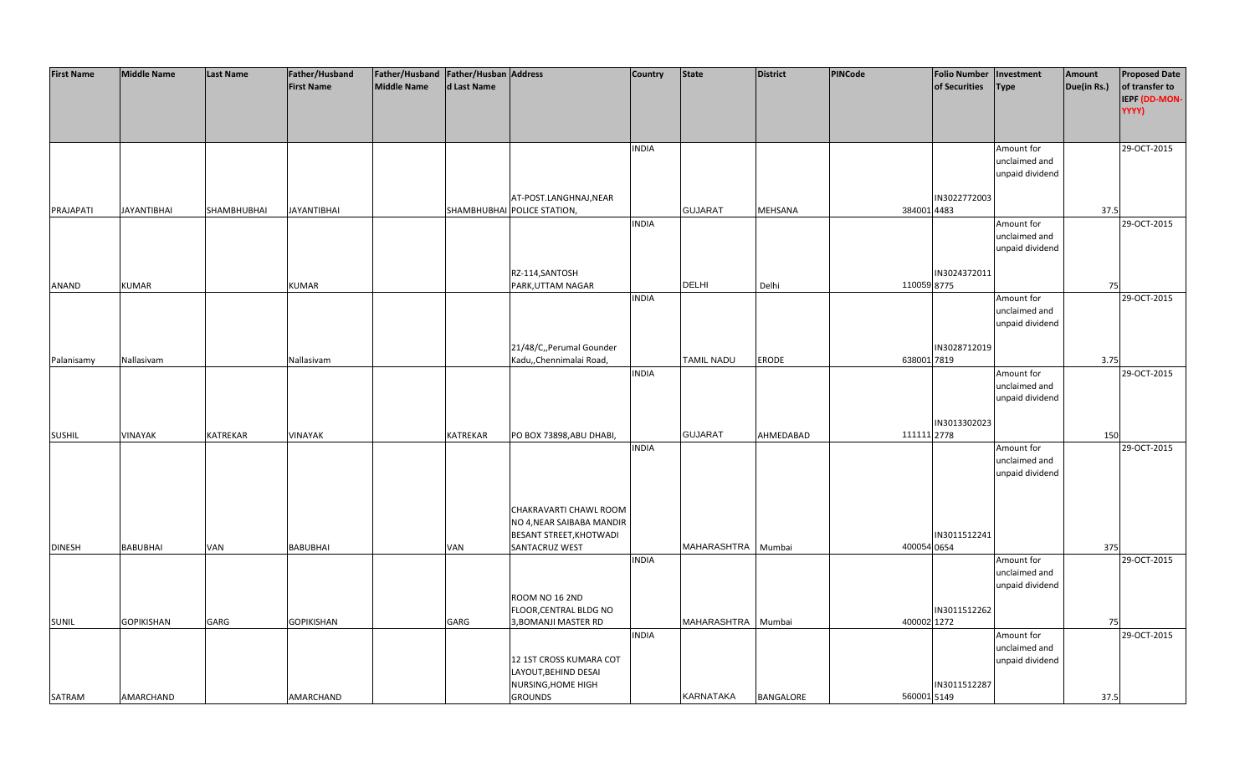| <b>First Name</b> | <b>Middle Name</b> | <b>Last Name</b> | Father/Husband<br><b>First Name</b> | Father/Husband   Father/Husban   Address<br><b>Middle Name</b> | d Last Name     |                                                                                         | <b>Country</b> | <b>State</b>       | <b>District</b>  | <b>PINCode</b> | <b>Folio Number</b><br>of Securities | Investment<br><b>Type</b>                      | Amount<br>Due(in Rs.) | <b>Proposed Date</b><br>of transfer to<br>IEPF (DD-MON-<br>YYYY) |
|-------------------|--------------------|------------------|-------------------------------------|----------------------------------------------------------------|-----------------|-----------------------------------------------------------------------------------------|----------------|--------------------|------------------|----------------|--------------------------------------|------------------------------------------------|-----------------------|------------------------------------------------------------------|
|                   |                    |                  |                                     |                                                                |                 |                                                                                         | <b>INDIA</b>   |                    |                  |                |                                      | Amount for<br>unclaimed and<br>unpaid dividend |                       | 29-OCT-2015                                                      |
| PRAJAPATI         | <b>JAYANTIBHAI</b> | SHAMBHUBHAI      | <b>JAYANTIBHAI</b>                  |                                                                |                 | AT-POST.LANGHNAJ, NEAR<br>SHAMBHUBHAI POLICE STATION,                                   |                | <b>GUJARAT</b>     | <b>MEHSANA</b>   | 384001 4483    | IN3022772003                         |                                                | 37.5                  |                                                                  |
|                   |                    |                  |                                     |                                                                |                 |                                                                                         | <b>INDIA</b>   |                    |                  |                |                                      | Amount for<br>unclaimed and<br>unpaid dividend |                       | 29-OCT-2015                                                      |
| ANAND             | <b>KUMAR</b>       |                  | <b>KUMAR</b>                        |                                                                |                 | RZ-114, SANTOSH<br>PARK, UTTAM NAGAR                                                    |                | <b>DELHI</b>       | Delhi            | 110059 8775    | IN3024372011                         |                                                | 75                    |                                                                  |
|                   |                    |                  |                                     |                                                                |                 |                                                                                         | <b>INDIA</b>   |                    |                  |                |                                      | Amount for<br>unclaimed and<br>unpaid dividend |                       | 29-OCT-2015                                                      |
| Palanisamy        | Nallasivam         |                  | Nallasivam                          |                                                                |                 | 21/48/C,, Perumal Gounder<br>Kadu,, Chennimalai Road,                                   |                | TAMIL NADU         | ERODE            | 638001 7819    | IN3028712019                         |                                                | 3.75                  |                                                                  |
|                   |                    |                  |                                     |                                                                |                 |                                                                                         | <b>INDIA</b>   |                    |                  |                |                                      | Amount for<br>unclaimed and<br>unpaid dividend |                       | 29-OCT-2015                                                      |
| <b>SUSHIL</b>     | VINAYAK            | <b>KATREKAR</b>  | <b>VINAYAK</b>                      |                                                                | <b>KATREKAR</b> | PO BOX 73898, ABU DHABI,                                                                |                | <b>GUJARAT</b>     | AHMEDABAD        | 111111 2778    | IN3013302023                         |                                                | 150                   |                                                                  |
|                   |                    |                  |                                     |                                                                |                 | CHAKRAVARTI CHAWL ROOM<br>NO 4, NEAR SAIBABA MANDIR<br>BESANT STREET, KHOTWADI          | <b>INDIA</b>   |                    |                  |                | IN3011512241                         | Amount for<br>unclaimed and<br>unpaid dividend |                       | 29-OCT-2015                                                      |
| <b>DINESH</b>     | <b>BABUBHAI</b>    | VAN              | <b>BABUBHAI</b>                     |                                                                | VAN             | SANTACRUZ WEST                                                                          | <b>INDIA</b>   | MAHARASHTRA Mumbai |                  | 400054 0654    |                                      | Amount for                                     | 375                   | 29-OCT-2015                                                      |
| SUNIL             | <b>GOPIKISHAN</b>  | GARG             | <b>GOPIKISHAN</b>                   |                                                                | GARG            | ROOM NO 16 2ND<br>FLOOR, CENTRAL BLDG NO<br>3, BOMANJI MASTER RD                        |                | MAHARASHTRA        | Mumbai           | 400002 1272    | IN3011512262                         | unclaimed and<br>unpaid dividend               | 75                    |                                                                  |
| SATRAM            | AMARCHAND          |                  | AMARCHAND                           |                                                                |                 | 12 1ST CROSS KUMARA COT<br>LAYOUT, BEHIND DESAI<br>NURSING, HOME HIGH<br><b>GROUNDS</b> | <b>INDIA</b>   | KARNATAKA          | <b>BANGALORE</b> | 560001 5149    | IN3011512287                         | Amount for<br>unclaimed and<br>unpaid dividend | 37.5                  | 29-OCT-2015                                                      |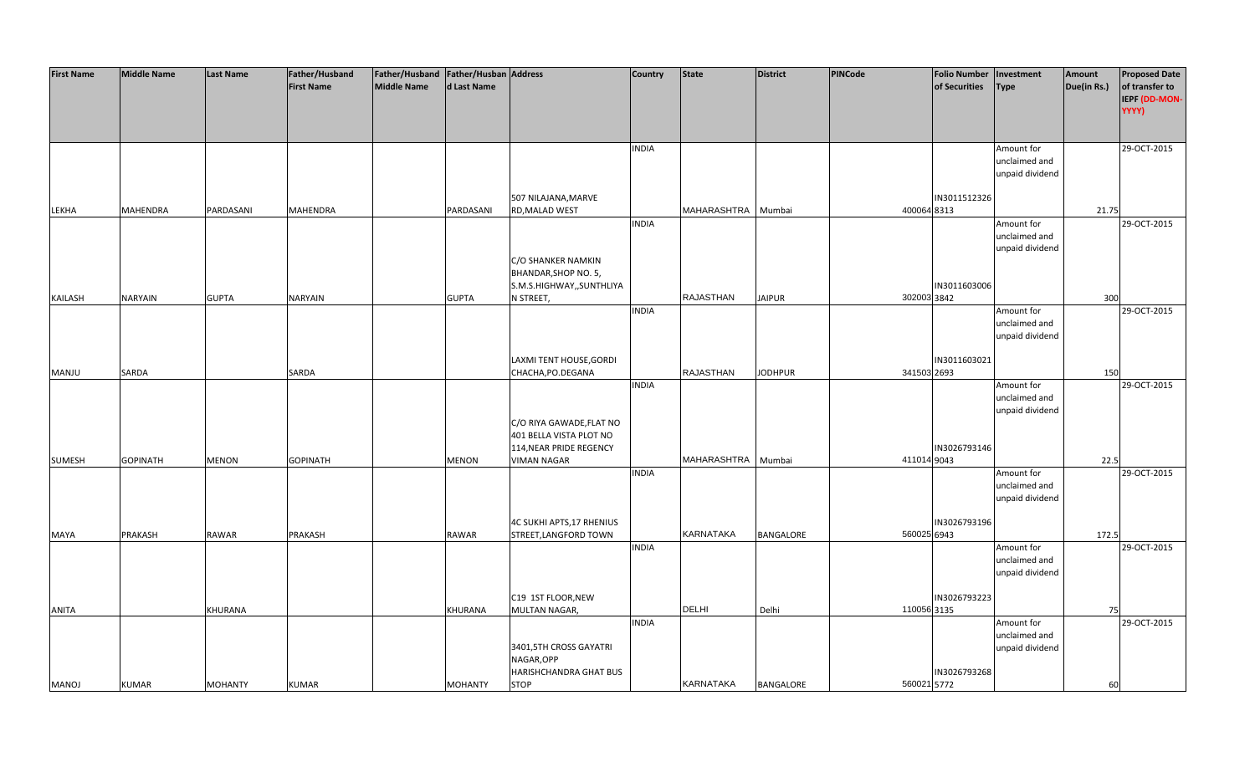| <b>First Name</b> | <b>Middle Name</b> | <b>Last Name</b> | Father/Husband    | Father/Husband Father/Husban Address |                |                           | <b>Country</b> | State            | <b>District</b>  | <b>PINCode</b> | <b>Folio Number</b> | Investment      | Amount      | <b>Proposed Date</b> |
|-------------------|--------------------|------------------|-------------------|--------------------------------------|----------------|---------------------------|----------------|------------------|------------------|----------------|---------------------|-----------------|-------------|----------------------|
|                   |                    |                  | <b>First Name</b> | <b>Middle Name</b>                   | d Last Name    |                           |                |                  |                  |                | of Securities       | <b>Type</b>     | Due(in Rs.) | of transfer to       |
|                   |                    |                  |                   |                                      |                |                           |                |                  |                  |                |                     |                 |             | IEPF (DD-MON-        |
|                   |                    |                  |                   |                                      |                |                           |                |                  |                  |                |                     |                 |             | YYYY)                |
|                   |                    |                  |                   |                                      |                |                           |                |                  |                  |                |                     |                 |             |                      |
|                   |                    |                  |                   |                                      |                |                           |                |                  |                  |                |                     |                 |             |                      |
|                   |                    |                  |                   |                                      |                |                           | <b>INDIA</b>   |                  |                  |                |                     | Amount for      |             | 29-OCT-2015          |
|                   |                    |                  |                   |                                      |                |                           |                |                  |                  |                |                     | unclaimed and   |             |                      |
|                   |                    |                  |                   |                                      |                |                           |                |                  |                  |                |                     | unpaid dividend |             |                      |
|                   |                    |                  |                   |                                      |                |                           |                |                  |                  |                |                     |                 |             |                      |
|                   |                    |                  |                   |                                      |                | 507 NILAJANA, MARVE       |                |                  |                  |                | IN3011512326        |                 |             |                      |
| LEKHA             | <b>MAHENDRA</b>    | PARDASANI        | MAHENDRA          |                                      | PARDASANI      | RD, MALAD WEST            |                | MAHARASHTRA      | Mumbai           | 400064 8313    |                     |                 | 21.75       |                      |
|                   |                    |                  |                   |                                      |                |                           | <b>INDIA</b>   |                  |                  |                |                     | Amount for      |             | 29-OCT-2015          |
|                   |                    |                  |                   |                                      |                |                           |                |                  |                  |                |                     |                 |             |                      |
|                   |                    |                  |                   |                                      |                |                           |                |                  |                  |                |                     | unclaimed and   |             |                      |
|                   |                    |                  |                   |                                      |                |                           |                |                  |                  |                |                     | unpaid dividend |             |                      |
|                   |                    |                  |                   |                                      |                | C/O SHANKER NAMKIN        |                |                  |                  |                |                     |                 |             |                      |
|                   |                    |                  |                   |                                      |                | BHANDAR, SHOP NO. 5,      |                |                  |                  |                |                     |                 |             |                      |
|                   |                    |                  |                   |                                      |                | S.M.S.HIGHWAY,,SUNTHLIYA  |                |                  |                  |                | IN3011603006        |                 |             |                      |
| <b>KAILASH</b>    | <b>NARYAIN</b>     | <b>GUPTA</b>     | NARYAIN           |                                      | <b>GUPTA</b>   | N STREET,                 |                | <b>RAJASTHAN</b> | <b>JAIPUR</b>    | 302003 3842    |                     |                 | 300         |                      |
|                   |                    |                  |                   |                                      |                |                           | <b>INDIA</b>   |                  |                  |                |                     | Amount for      |             | 29-OCT-2015          |
|                   |                    |                  |                   |                                      |                |                           |                |                  |                  |                |                     | unclaimed and   |             |                      |
|                   |                    |                  |                   |                                      |                |                           |                |                  |                  |                |                     | unpaid dividend |             |                      |
|                   |                    |                  |                   |                                      |                |                           |                |                  |                  |                |                     |                 |             |                      |
|                   |                    |                  |                   |                                      |                | LAXMI TENT HOUSE, GORDI   |                |                  |                  |                | IN3011603021        |                 |             |                      |
| <b>MANJU</b>      | SARDA              |                  | SARDA             |                                      |                | CHACHA, PO. DEGANA        |                | <b>RAJASTHAN</b> | <b>JODHPUR</b>   | 341503 2693    |                     |                 | 150         |                      |
|                   |                    |                  |                   |                                      |                |                           | <b>INDIA</b>   |                  |                  |                |                     | Amount for      |             | 29-OCT-2015          |
|                   |                    |                  |                   |                                      |                |                           |                |                  |                  |                |                     | unclaimed and   |             |                      |
|                   |                    |                  |                   |                                      |                |                           |                |                  |                  |                |                     | unpaid dividend |             |                      |
|                   |                    |                  |                   |                                      |                | C/O RIYA GAWADE, FLAT NO  |                |                  |                  |                |                     |                 |             |                      |
|                   |                    |                  |                   |                                      |                | 401 BELLA VISTA PLOT NO   |                |                  |                  |                |                     |                 |             |                      |
|                   |                    |                  |                   |                                      |                | 114, NEAR PRIDE REGENCY   |                |                  |                  |                | IN3026793146        |                 |             |                      |
| SUMESH            | <b>GOPINATH</b>    | <b>MENON</b>     | <b>GOPINATH</b>   |                                      | <b>MENON</b>   | <b>VIMAN NAGAR</b>        |                | MAHARASHTRA      | Mumbai           | 411014 9043    |                     |                 | 22.5        |                      |
|                   |                    |                  |                   |                                      |                |                           | <b>INDIA</b>   |                  |                  |                |                     | Amount for      |             | 29-OCT-2015          |
|                   |                    |                  |                   |                                      |                |                           |                |                  |                  |                |                     | unclaimed and   |             |                      |
|                   |                    |                  |                   |                                      |                |                           |                |                  |                  |                |                     | unpaid dividend |             |                      |
|                   |                    |                  |                   |                                      |                |                           |                |                  |                  |                |                     |                 |             |                      |
|                   |                    |                  |                   |                                      |                | 4C SUKHI APTS, 17 RHENIUS |                |                  |                  |                | IN3026793196        |                 |             |                      |
| <b>MAYA</b>       | PRAKASH            | <b>RAWAR</b>     | PRAKASH           |                                      | RAWAR          | STREET, LANGFORD TOWN     |                | <b>KARNATAKA</b> | BANGALORE        | 560025 6943    |                     |                 | 172.5       |                      |
|                   |                    |                  |                   |                                      |                |                           | <b>INDIA</b>   |                  |                  |                |                     | Amount for      |             | 29-OCT-2015          |
|                   |                    |                  |                   |                                      |                |                           |                |                  |                  |                |                     | unclaimed and   |             |                      |
|                   |                    |                  |                   |                                      |                |                           |                |                  |                  |                |                     | unpaid dividend |             |                      |
|                   |                    |                  |                   |                                      |                |                           |                |                  |                  |                |                     |                 |             |                      |
|                   |                    |                  |                   |                                      |                | C19 1ST FLOOR, NEW        |                |                  |                  |                | IN3026793223        |                 |             |                      |
| <b>ANITA</b>      |                    | <b>KHURANA</b>   |                   |                                      | KHURANA        | <b>MULTAN NAGAR,</b>      |                | <b>DELHI</b>     | Delhi            | 110056 3135    |                     |                 | 75          |                      |
|                   |                    |                  |                   |                                      |                |                           | <b>INDIA</b>   |                  |                  |                |                     | Amount for      |             | 29-OCT-2015          |
|                   |                    |                  |                   |                                      |                |                           |                |                  |                  |                |                     | unclaimed and   |             |                      |
|                   |                    |                  |                   |                                      |                | 3401,5TH CROSS GAYATRI    |                |                  |                  |                |                     | unpaid dividend |             |                      |
|                   |                    |                  |                   |                                      |                | NAGAR, OPP                |                |                  |                  |                |                     |                 |             |                      |
|                   |                    |                  |                   |                                      |                | HARISHCHANDRA GHAT BUS    |                |                  |                  |                | IN3026793268        |                 |             |                      |
| <b>MANOJ</b>      | <b>KUMAR</b>       | <b>MOHANTY</b>   | <b>KUMAR</b>      |                                      | <b>MOHANTY</b> | <b>STOP</b>               |                | KARNATAKA        | <b>BANGALORE</b> | 560021 5772    |                     |                 | 60          |                      |
|                   |                    |                  |                   |                                      |                |                           |                |                  |                  |                |                     |                 |             |                      |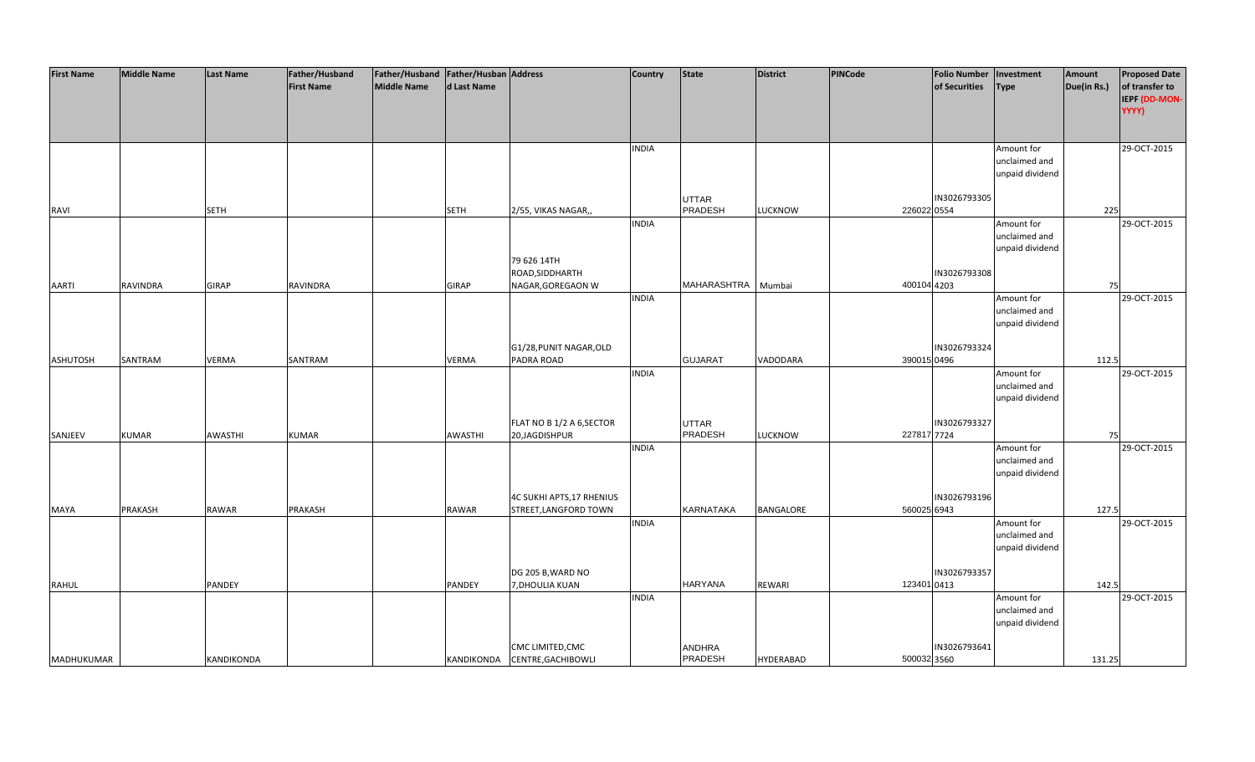| <b>First Name</b> | <b>Middle Name</b> | <b>Last Name</b>  | Father/Husband    | Father/Husband   Father/Husban   Address |              |                                | <b>Country</b> | <b>State</b>     | District         | PINCode     | <b>Folio Number</b> | Investment                  | Amount      | <b>Proposed Date</b> |
|-------------------|--------------------|-------------------|-------------------|------------------------------------------|--------------|--------------------------------|----------------|------------------|------------------|-------------|---------------------|-----------------------------|-------------|----------------------|
|                   |                    |                   | <b>First Name</b> | Middle Name                              | d Last Name  |                                |                |                  |                  |             | of Securities       | <b>Type</b>                 | Due(in Rs.) | of transfer to       |
|                   |                    |                   |                   |                                          |              |                                |                |                  |                  |             |                     |                             |             | IEPF (DD-MON-        |
|                   |                    |                   |                   |                                          |              |                                |                |                  |                  |             |                     |                             |             | YYYY)                |
|                   |                    |                   |                   |                                          |              |                                |                |                  |                  |             |                     |                             |             |                      |
|                   |                    |                   |                   |                                          |              |                                | <b>INDIA</b>   |                  |                  |             |                     | Amount for                  |             | 29-OCT-2015          |
|                   |                    |                   |                   |                                          |              |                                |                |                  |                  |             |                     | unclaimed and               |             |                      |
|                   |                    |                   |                   |                                          |              |                                |                |                  |                  |             |                     | unpaid dividend             |             |                      |
|                   |                    |                   |                   |                                          |              |                                |                |                  |                  |             |                     |                             |             |                      |
|                   |                    |                   |                   |                                          |              |                                |                | UTTAR            |                  |             | IN3026793305        |                             |             |                      |
| RAVI              |                    | <b>SETH</b>       |                   |                                          | <b>SETH</b>  | 2/55, VIKAS NAGAR,,            |                | <b>PRADESH</b>   | <b>LUCKNOW</b>   | 226022 0554 |                     |                             | 225         |                      |
|                   |                    |                   |                   |                                          |              |                                | <b>INDIA</b>   |                  |                  |             |                     | Amount for                  |             | 29-OCT-2015          |
|                   |                    |                   |                   |                                          |              |                                |                |                  |                  |             |                     | unclaimed and               |             |                      |
|                   |                    |                   |                   |                                          |              |                                |                |                  |                  |             |                     | unpaid dividend             |             |                      |
|                   |                    |                   |                   |                                          |              | 79 626 14TH<br>ROAD, SIDDHARTH |                |                  |                  |             | IN3026793308        |                             |             |                      |
| <b>AARTI</b>      | <b>RAVINDRA</b>    | <b>GIRAP</b>      | RAVINDRA          |                                          | <b>GIRAP</b> | NAGAR, GOREGAON W              |                | MAHARASHTRA      | Mumbai           | 400104 4203 |                     |                             | 75          |                      |
|                   |                    |                   |                   |                                          |              |                                | <b>INDIA</b>   |                  |                  |             |                     | Amount for                  |             | 29-OCT-2015          |
|                   |                    |                   |                   |                                          |              |                                |                |                  |                  |             |                     | unclaimed and               |             |                      |
|                   |                    |                   |                   |                                          |              |                                |                |                  |                  |             |                     | unpaid dividend             |             |                      |
|                   |                    |                   |                   |                                          |              |                                |                |                  |                  |             |                     |                             |             |                      |
|                   |                    |                   |                   |                                          |              | G1/28, PUNIT NAGAR, OLD        |                |                  |                  |             | IN3026793324        |                             |             |                      |
| <b>ASHUTOSH</b>   | SANTRAM            | <b>VERMA</b>      | SANTRAM           |                                          | <b>VERMA</b> | PADRA ROAD                     |                | <b>GUJARAT</b>   | VADODARA         | 390015 0496 |                     |                             | 112.5       |                      |
|                   |                    |                   |                   |                                          |              |                                | <b>INDIA</b>   |                  |                  |             |                     | Amount for                  |             | 29-OCT-2015          |
|                   |                    |                   |                   |                                          |              |                                |                |                  |                  |             |                     | unclaimed and               |             |                      |
|                   |                    |                   |                   |                                          |              |                                |                |                  |                  |             |                     | unpaid dividend             |             |                      |
|                   |                    |                   |                   |                                          |              |                                |                |                  |                  |             |                     |                             |             |                      |
|                   |                    |                   |                   |                                          |              | FLAT NO B 1/2 A 6, SECTOR      |                | <b>UTTAR</b>     |                  |             | IN3026793327        |                             |             |                      |
| SANJEEV           | <b>KUMAR</b>       | AWASTHI           | <b>KUMAR</b>      |                                          | AWASTHI      | 20,JAGDISHPUR                  |                | PRADESH          | <b>LUCKNOW</b>   | 227817 7724 |                     |                             | 75          |                      |
|                   |                    |                   |                   |                                          |              |                                | <b>INDIA</b>   |                  |                  |             |                     | Amount for<br>unclaimed and |             | 29-OCT-2015          |
|                   |                    |                   |                   |                                          |              |                                |                |                  |                  |             |                     | unpaid dividend             |             |                      |
|                   |                    |                   |                   |                                          |              |                                |                |                  |                  |             |                     |                             |             |                      |
|                   |                    |                   |                   |                                          |              | 4C SUKHI APTS, 17 RHENIUS      |                |                  |                  |             | IN3026793196        |                             |             |                      |
| <b>MAYA</b>       | PRAKASH            | RAWAR             | PRAKASH           |                                          | RAWAR        | STREET, LANGFORD TOWN          |                | <b>KARNATAKA</b> | <b>BANGALORE</b> | 560025 6943 |                     |                             | 127.5       |                      |
|                   |                    |                   |                   |                                          |              |                                | <b>INDIA</b>   |                  |                  |             |                     | Amount for                  |             | 29-OCT-2015          |
|                   |                    |                   |                   |                                          |              |                                |                |                  |                  |             |                     | unclaimed and               |             |                      |
|                   |                    |                   |                   |                                          |              |                                |                |                  |                  |             |                     | unpaid dividend             |             |                      |
|                   |                    |                   |                   |                                          |              |                                |                |                  |                  |             |                     |                             |             |                      |
|                   |                    |                   |                   |                                          |              | DG 205 B, WARD NO              |                |                  |                  |             | IN3026793357        |                             |             |                      |
| <b>RAHUL</b>      |                    | <b>PANDEY</b>     |                   |                                          | PANDEY       | 7, DHOULIA KUAN                |                | <b>HARYANA</b>   | <b>REWARI</b>    | 123401 0413 |                     |                             | 142.5       |                      |
|                   |                    |                   |                   |                                          |              |                                | <b>INDIA</b>   |                  |                  |             |                     | Amount for                  |             | 29-OCT-2015          |
|                   |                    |                   |                   |                                          |              |                                |                |                  |                  |             |                     | unclaimed and               |             |                      |
|                   |                    |                   |                   |                                          |              |                                |                |                  |                  |             |                     | unpaid dividend             |             |                      |
|                   |                    |                   |                   |                                          |              | CMC LIMITED, CMC               |                | ANDHRA           |                  |             | IN3026793641        |                             |             |                      |
| <b>MADHUKUMAR</b> |                    | <b>KANDIKONDA</b> |                   |                                          |              | KANDIKONDA CENTRE, GACHIBOWLI  |                | PRADESH          | <b>HYDERABAD</b> | 500032 3560 |                     |                             | 131.25      |                      |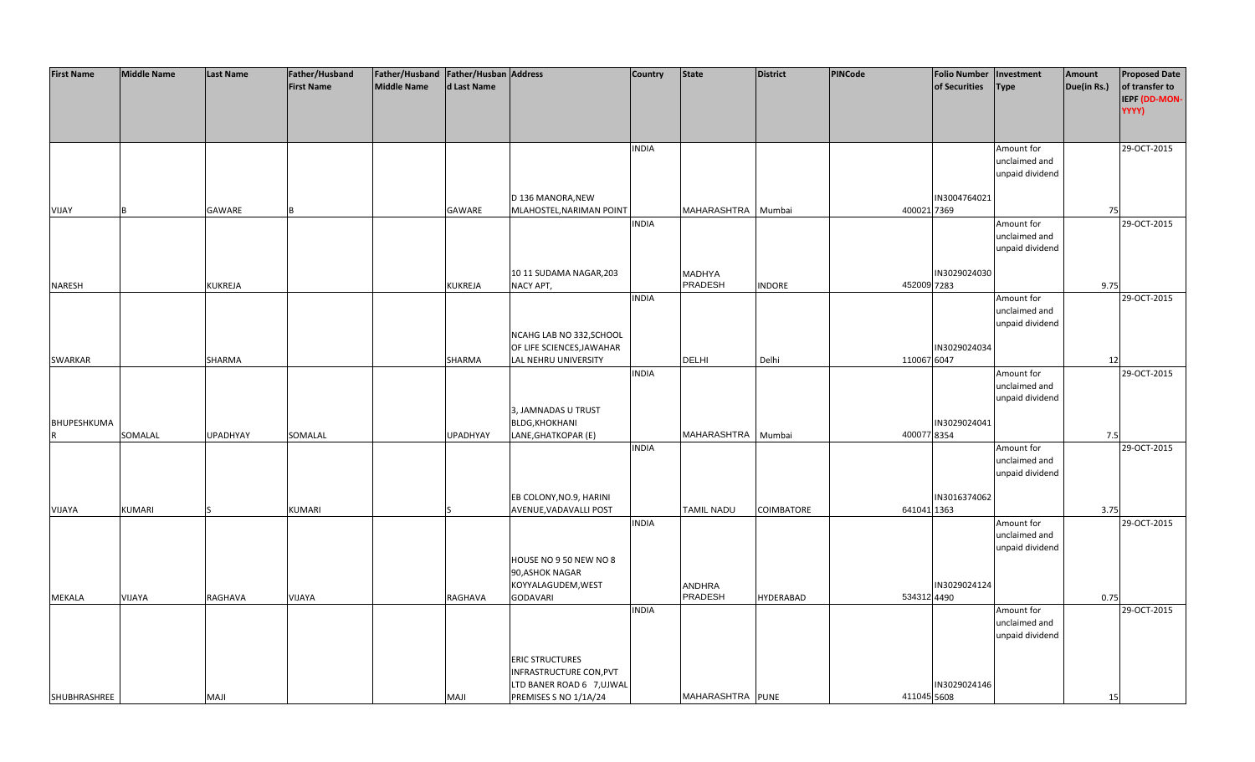| <b>First Name</b> | <b>Middle Name</b> | <b>Last Name</b> | Father/Husband    | Father/Husband   Father/Husban   Address |                 |                                                       | <b>Country</b> | <b>State</b>       | <b>District</b>   | PINCode     | <b>Folio Number</b> | Investment      | Amount      | <b>Proposed Date</b> |
|-------------------|--------------------|------------------|-------------------|------------------------------------------|-----------------|-------------------------------------------------------|----------------|--------------------|-------------------|-------------|---------------------|-----------------|-------------|----------------------|
|                   |                    |                  | <b>First Name</b> | <b>Middle Name</b>                       | d Last Name     |                                                       |                |                    |                   |             | of Securities       | <b>Type</b>     | Due(in Rs.) | of transfer to       |
|                   |                    |                  |                   |                                          |                 |                                                       |                |                    |                   |             |                     |                 |             | IEPF (DD-MON-        |
|                   |                    |                  |                   |                                          |                 |                                                       |                |                    |                   |             |                     |                 |             | YYYY)                |
|                   |                    |                  |                   |                                          |                 |                                                       |                |                    |                   |             |                     |                 |             |                      |
|                   |                    |                  |                   |                                          |                 |                                                       |                |                    |                   |             |                     |                 |             |                      |
|                   |                    |                  |                   |                                          |                 |                                                       | <b>INDIA</b>   |                    |                   |             |                     | Amount for      |             | 29-OCT-2015          |
|                   |                    |                  |                   |                                          |                 |                                                       |                |                    |                   |             |                     | unclaimed and   |             |                      |
|                   |                    |                  |                   |                                          |                 |                                                       |                |                    |                   |             |                     | unpaid dividend |             |                      |
|                   |                    |                  |                   |                                          |                 |                                                       |                |                    |                   |             |                     |                 |             |                      |
|                   |                    |                  |                   |                                          |                 | D 136 MANORA, NEW                                     |                |                    |                   |             | IN3004764021        |                 |             |                      |
| VIJAY             |                    | GAWARE           |                   |                                          | GAWARE          | MLAHOSTEL, NARIMAN POINT                              |                | MAHARASHTRA Mumbai |                   | 400021 7369 |                     |                 | 75          |                      |
|                   |                    |                  |                   |                                          |                 |                                                       | <b>INDIA</b>   |                    |                   |             |                     | Amount for      |             | 29-OCT-2015          |
|                   |                    |                  |                   |                                          |                 |                                                       |                |                    |                   |             |                     | unclaimed and   |             |                      |
|                   |                    |                  |                   |                                          |                 |                                                       |                |                    |                   |             |                     | unpaid dividend |             |                      |
|                   |                    |                  |                   |                                          |                 |                                                       |                |                    |                   |             |                     |                 |             |                      |
|                   |                    |                  |                   |                                          |                 | 10 11 SUDAMA NAGAR, 203                               |                | <b>MADHYA</b>      |                   |             | IN3029024030        |                 |             |                      |
| <b>NARESH</b>     |                    | <b>KUKREJA</b>   |                   |                                          | <b>KUKREJA</b>  | NACY APT,                                             |                | PRADESH            | <b>INDORE</b>     | 452009 7283 |                     |                 | 9.75        |                      |
|                   |                    |                  |                   |                                          |                 |                                                       | <b>INDIA</b>   |                    |                   |             |                     | Amount for      |             | 29-OCT-2015          |
|                   |                    |                  |                   |                                          |                 |                                                       |                |                    |                   |             |                     | unclaimed and   |             |                      |
|                   |                    |                  |                   |                                          |                 |                                                       |                |                    |                   |             |                     | unpaid dividend |             |                      |
|                   |                    |                  |                   |                                          |                 | NCAHG LAB NO 332, SCHOOL<br>OF LIFE SCIENCES, JAWAHAR |                |                    |                   |             | IN3029024034        |                 |             |                      |
| SWARKAR           |                    | SHARMA           |                   |                                          | SHARMA          | LAL NEHRU UNIVERSITY                                  |                | <b>DELHI</b>       | Delhi             | 110067 6047 |                     |                 | 12          |                      |
|                   |                    |                  |                   |                                          |                 |                                                       | <b>INDIA</b>   |                    |                   |             |                     | Amount for      |             | 29-OCT-2015          |
|                   |                    |                  |                   |                                          |                 |                                                       |                |                    |                   |             |                     | unclaimed and   |             |                      |
|                   |                    |                  |                   |                                          |                 |                                                       |                |                    |                   |             |                     | unpaid dividend |             |                      |
|                   |                    |                  |                   |                                          |                 | 3, JAMNADAS U TRUST                                   |                |                    |                   |             |                     |                 |             |                      |
| BHUPESHKUMA       |                    |                  |                   |                                          |                 | <b>BLDG, KHOKHANI</b>                                 |                |                    |                   |             | IN3029024041        |                 |             |                      |
| R                 | SOMALAL            | <b>UPADHYAY</b>  | SOMALAL           |                                          | <b>UPADHYAY</b> | LANE, GHATKOPAR (E)                                   |                | MAHARASHTRA        | Mumbai            | 400077 8354 |                     |                 | 7.5         |                      |
|                   |                    |                  |                   |                                          |                 |                                                       | <b>INDIA</b>   |                    |                   |             |                     | Amount for      |             | 29-OCT-2015          |
|                   |                    |                  |                   |                                          |                 |                                                       |                |                    |                   |             |                     | unclaimed and   |             |                      |
|                   |                    |                  |                   |                                          |                 |                                                       |                |                    |                   |             |                     | unpaid dividend |             |                      |
|                   |                    |                  |                   |                                          |                 |                                                       |                |                    |                   |             |                     |                 |             |                      |
|                   |                    |                  |                   |                                          |                 | EB COLONY, NO.9, HARINI                               |                |                    |                   |             | IN3016374062        |                 |             |                      |
| VIJAYA            | <b>KUMARI</b>      |                  | <b>KUMARI</b>     |                                          |                 | AVENUE, VADAVALLI POST                                |                | <b>TAMIL NADU</b>  | <b>COIMBATORE</b> | 641041 1363 |                     |                 | 3.75        |                      |
|                   |                    |                  |                   |                                          |                 |                                                       | <b>INDIA</b>   |                    |                   |             |                     | Amount for      |             | 29-OCT-2015          |
|                   |                    |                  |                   |                                          |                 |                                                       |                |                    |                   |             |                     | unclaimed and   |             |                      |
|                   |                    |                  |                   |                                          |                 |                                                       |                |                    |                   |             |                     | unpaid dividend |             |                      |
|                   |                    |                  |                   |                                          |                 | HOUSE NO 9 50 NEW NO 8                                |                |                    |                   |             |                     |                 |             |                      |
|                   |                    |                  |                   |                                          |                 | 90, ASHOK NAGAR                                       |                |                    |                   |             |                     |                 |             |                      |
|                   |                    |                  |                   |                                          |                 | KOYYALAGUDEM, WEST                                    |                | <b>ANDHRA</b>      |                   |             | IN3029024124        |                 |             |                      |
| <b>MEKALA</b>     | VIJAYA             | RAGHAVA          | VIJAYA            |                                          | RAGHAVA         | <b>GODAVARI</b>                                       |                | PRADESH            | <b>HYDERABAD</b>  | 534312 4490 |                     |                 | 0.75        |                      |
|                   |                    |                  |                   |                                          |                 |                                                       | <b>INDIA</b>   |                    |                   |             |                     | Amount for      |             | 29-OCT-2015          |
|                   |                    |                  |                   |                                          |                 |                                                       |                |                    |                   |             |                     | unclaimed and   |             |                      |
|                   |                    |                  |                   |                                          |                 |                                                       |                |                    |                   |             |                     | unpaid dividend |             |                      |
|                   |                    |                  |                   |                                          |                 | <b>ERIC STRUCTURES</b>                                |                |                    |                   |             |                     |                 |             |                      |
|                   |                    |                  |                   |                                          |                 | INFRASTRUCTURE CON, PVT                               |                |                    |                   |             |                     |                 |             |                      |
|                   |                    |                  |                   |                                          |                 | LTD BANER ROAD 6 7, UJ WAL                            |                |                    |                   |             | IN3029024146        |                 |             |                      |
| SHUBHRASHREE      |                    | <b>MAJI</b>      |                   |                                          | <b>MAJI</b>     | PREMISES S NO 1/1A/24                                 |                | MAHARASHTRA PUNE   |                   | 411045 5608 |                     |                 | 15          |                      |
|                   |                    |                  |                   |                                          |                 |                                                       |                |                    |                   |             |                     |                 |             |                      |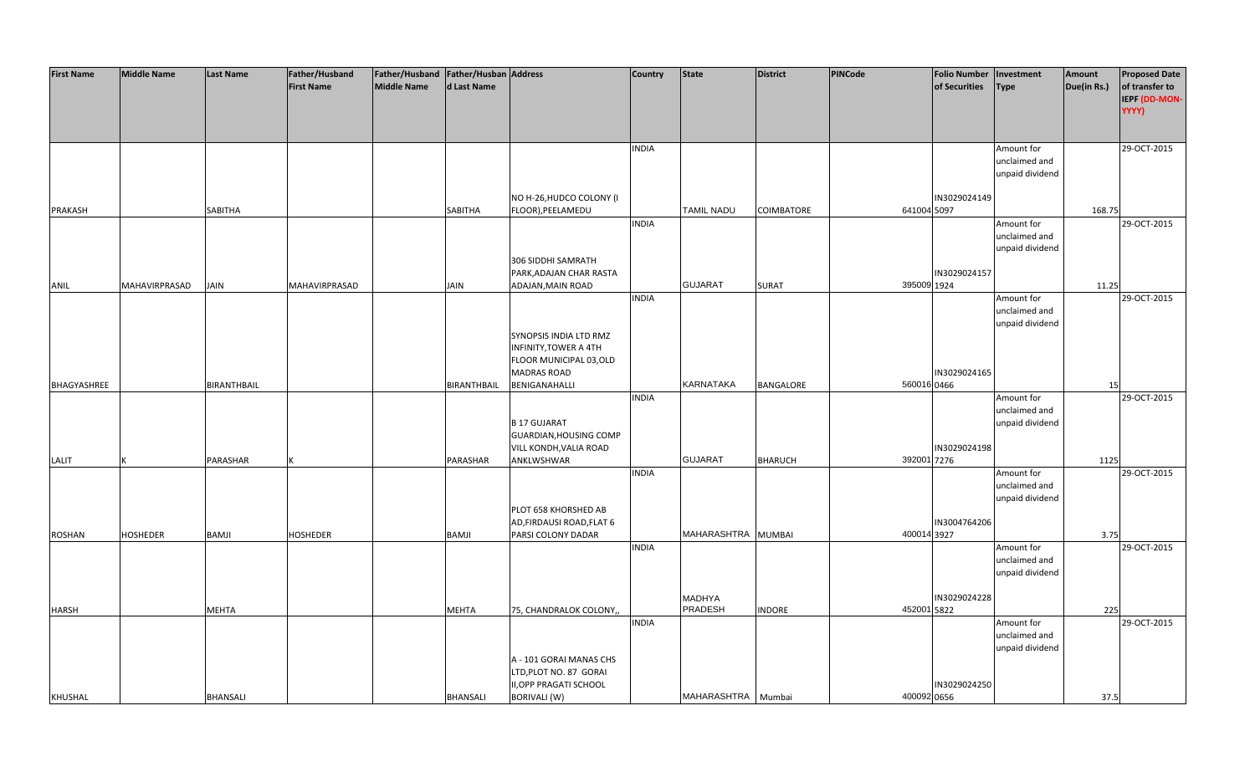| <b>First Name</b> | <b>Middle Name</b> | <b>Last Name</b>   | Father/Husband    | Father/Husband   Father/Husban   Address |                    |                                                     | <b>Country</b> | <b>State</b>                    | <b>District</b>   | <b>PINCode</b> | <b>Folio Number</b> | Investment      | Amount      | <b>Proposed Date</b> |
|-------------------|--------------------|--------------------|-------------------|------------------------------------------|--------------------|-----------------------------------------------------|----------------|---------------------------------|-------------------|----------------|---------------------|-----------------|-------------|----------------------|
|                   |                    |                    | <b>First Name</b> | <b>Middle Name</b>                       | d Last Name        |                                                     |                |                                 |                   |                | of Securities       | <b>Type</b>     | Due(in Rs.) | of transfer to       |
|                   |                    |                    |                   |                                          |                    |                                                     |                |                                 |                   |                |                     |                 |             | IEPF (DD-MON-        |
|                   |                    |                    |                   |                                          |                    |                                                     |                |                                 |                   |                |                     |                 |             | YYYY)                |
|                   |                    |                    |                   |                                          |                    |                                                     |                |                                 |                   |                |                     |                 |             |                      |
|                   |                    |                    |                   |                                          |                    |                                                     | <b>INDIA</b>   |                                 |                   |                |                     | Amount for      |             | 29-OCT-2015          |
|                   |                    |                    |                   |                                          |                    |                                                     |                |                                 |                   |                |                     | unclaimed and   |             |                      |
|                   |                    |                    |                   |                                          |                    |                                                     |                |                                 |                   |                |                     | unpaid dividend |             |                      |
|                   |                    |                    |                   |                                          |                    |                                                     |                |                                 |                   |                |                     |                 |             |                      |
|                   |                    |                    |                   |                                          |                    | NO H-26, HUDCO COLONY (I                            |                |                                 |                   |                | IN3029024149        |                 |             |                      |
| <b>PRAKASH</b>    |                    | SABITHA            |                   |                                          | <b>SABITHA</b>     | FLOOR), PEELAMEDU                                   |                | <b>TAMIL NADU</b>               | <b>COIMBATORE</b> | 641004 5097    |                     |                 | 168.75      |                      |
|                   |                    |                    |                   |                                          |                    |                                                     | <b>INDIA</b>   |                                 |                   |                |                     | Amount for      |             | 29-OCT-2015          |
|                   |                    |                    |                   |                                          |                    |                                                     |                |                                 |                   |                |                     | unclaimed and   |             |                      |
|                   |                    |                    |                   |                                          |                    |                                                     |                |                                 |                   |                |                     | unpaid dividend |             |                      |
|                   |                    |                    |                   |                                          |                    | 306 SIDDHI SAMRATH<br>PARK, ADAJAN CHAR RASTA       |                |                                 |                   |                | IN3029024157        |                 |             |                      |
| ANIL              | MAHAVIRPRASAD      | JAIN               | MAHAVIRPRASAD     |                                          | <b>JAIN</b>        | ADAJAN, MAIN ROAD                                   |                | <b>GUJARAT</b>                  | <b>SURAT</b>      | 395009 1924    |                     |                 | 11.25       |                      |
|                   |                    |                    |                   |                                          |                    |                                                     | <b>INDIA</b>   |                                 |                   |                |                     | Amount for      |             | 29-OCT-2015          |
|                   |                    |                    |                   |                                          |                    |                                                     |                |                                 |                   |                |                     | unclaimed and   |             |                      |
|                   |                    |                    |                   |                                          |                    |                                                     |                |                                 |                   |                |                     | unpaid dividend |             |                      |
|                   |                    |                    |                   |                                          |                    | SYNOPSIS INDIA LTD RMZ                              |                |                                 |                   |                |                     |                 |             |                      |
|                   |                    |                    |                   |                                          |                    | INFINITY, TOWER A 4TH                               |                |                                 |                   |                |                     |                 |             |                      |
|                   |                    |                    |                   |                                          |                    | FLOOR MUNICIPAL 03, OLD                             |                |                                 |                   |                |                     |                 |             |                      |
|                   |                    |                    |                   |                                          |                    | <b>MADRAS ROAD</b>                                  |                |                                 |                   |                | IN3029024165        |                 |             |                      |
| BHAGYASHREE       |                    | <b>BIRANTHBAIL</b> |                   |                                          | <b>BIRANTHBAIL</b> | BENIGANAHALLI                                       |                | KARNATAKA                       | BANGALORE         | 560016 0466    |                     |                 | 15          |                      |
|                   |                    |                    |                   |                                          |                    |                                                     | <b>INDIA</b>   |                                 |                   |                |                     | Amount for      |             | 29-OCT-2015          |
|                   |                    |                    |                   |                                          |                    |                                                     |                |                                 |                   |                |                     | unclaimed and   |             |                      |
|                   |                    |                    |                   |                                          |                    | <b>B17 GUJARAT</b><br><b>GUARDIAN, HOUSING COMP</b> |                |                                 |                   |                |                     | unpaid dividend |             |                      |
|                   |                    |                    |                   |                                          |                    | VILL KONDH, VALIA ROAD                              |                |                                 |                   |                | IN3029024198        |                 |             |                      |
| LALIT             |                    | PARASHAR           |                   |                                          | PARASHAR           | ANKLWSHWAR                                          |                | <b>GUJARAT</b>                  | <b>BHARUCH</b>    | 392001 7276    |                     |                 | 1125        |                      |
|                   |                    |                    |                   |                                          |                    |                                                     | <b>INDIA</b>   |                                 |                   |                |                     | Amount for      |             | 29-OCT-2015          |
|                   |                    |                    |                   |                                          |                    |                                                     |                |                                 |                   |                |                     | unclaimed and   |             |                      |
|                   |                    |                    |                   |                                          |                    |                                                     |                |                                 |                   |                |                     | unpaid dividend |             |                      |
|                   |                    |                    |                   |                                          |                    | PLOT 658 KHORSHED AB                                |                |                                 |                   |                |                     |                 |             |                      |
|                   |                    |                    |                   |                                          |                    | AD, FIRDAUSI ROAD, FLAT 6                           |                |                                 |                   |                | IN3004764206        |                 |             |                      |
| <b>ROSHAN</b>     | <b>HOSHEDER</b>    | <b>BAMJI</b>       | <b>HOSHEDER</b>   |                                          | <b>BAMJI</b>       | PARSI COLONY DADAR                                  |                | MAHARASHTRA MUMBAI              |                   | 400014 3927    |                     |                 | 3.75        |                      |
|                   |                    |                    |                   |                                          |                    |                                                     | <b>INDIA</b>   |                                 |                   |                |                     | Amount for      |             | 29-OCT-2015          |
|                   |                    |                    |                   |                                          |                    |                                                     |                |                                 |                   |                |                     | unclaimed and   |             |                      |
|                   |                    |                    |                   |                                          |                    |                                                     |                |                                 |                   |                |                     | unpaid dividend |             |                      |
|                   |                    |                    |                   |                                          |                    |                                                     |                |                                 |                   |                |                     |                 |             |                      |
| <b>HARSH</b>      |                    | <b>MEHTA</b>       |                   |                                          | <b>MEHTA</b>       | 75, CHANDRALOK COLONY,,                             |                | <b>MADHYA</b><br><b>PRADESH</b> | <b>INDORE</b>     | 452001 5822    | IN3029024228        |                 | 225         |                      |
|                   |                    |                    |                   |                                          |                    |                                                     | <b>INDIA</b>   |                                 |                   |                |                     | Amount for      |             | 29-OCT-2015          |
|                   |                    |                    |                   |                                          |                    |                                                     |                |                                 |                   |                |                     | unclaimed and   |             |                      |
|                   |                    |                    |                   |                                          |                    |                                                     |                |                                 |                   |                |                     | unpaid dividend |             |                      |
|                   |                    |                    |                   |                                          |                    | A - 101 GORAI MANAS CHS                             |                |                                 |                   |                |                     |                 |             |                      |
|                   |                    |                    |                   |                                          |                    | LTD, PLOT NO. 87 GORAI                              |                |                                 |                   |                |                     |                 |             |                      |
|                   |                    |                    |                   |                                          |                    | <b>II, OPP PRAGATI SCHOOL</b>                       |                |                                 |                   |                | IN3029024250        |                 |             |                      |
| KHUSHAL           |                    | <b>BHANSALI</b>    |                   |                                          | <b>BHANSALI</b>    | <b>BORIVALI (W)</b>                                 |                | MAHARASHTRA Mumbai              |                   | 400092 0656    |                     |                 | 37.5        |                      |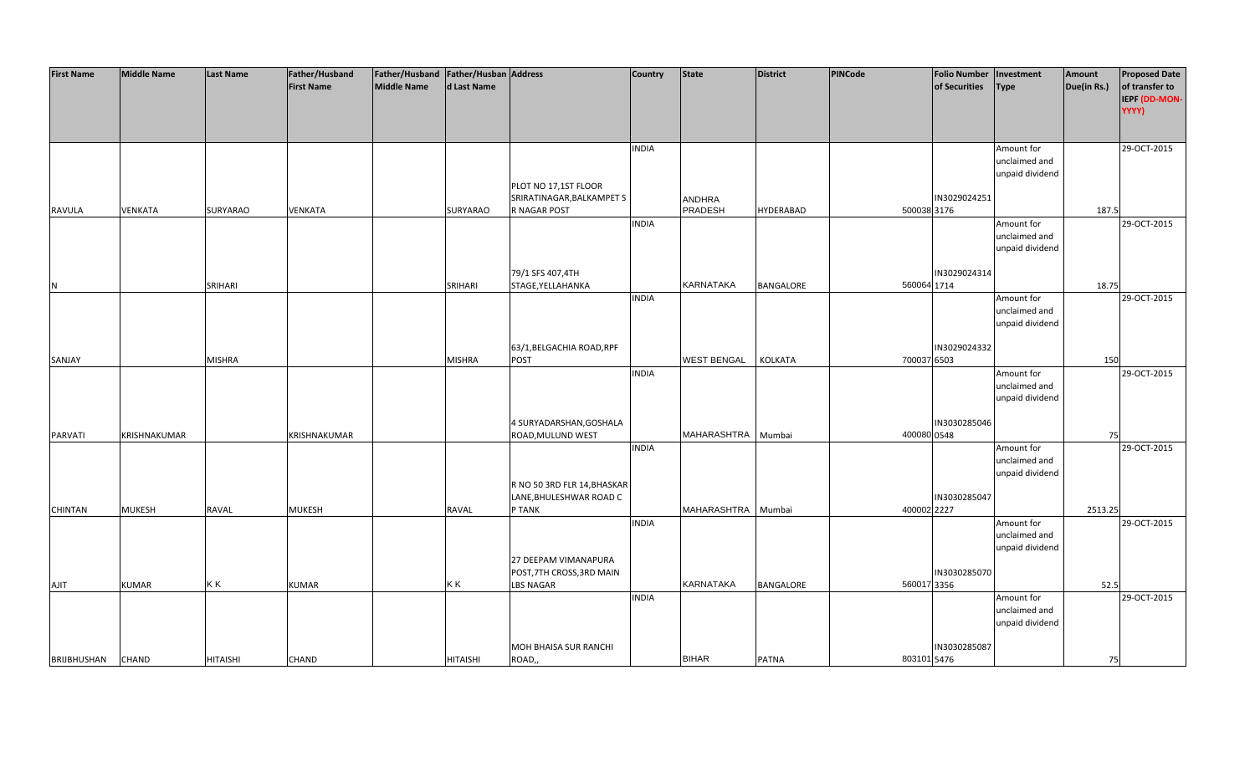| <b>First Name</b>  | <b>Middle Name</b> | <b>Last Name</b> | Father/Husband    | Father/Husband Father/Husban Address |                 |                                | <b>Country</b> | <b>State</b>       | <b>District</b>  | PINCode     | <b>Folio Number</b> | Investment      | Amount      | <b>Proposed Date</b> |
|--------------------|--------------------|------------------|-------------------|--------------------------------------|-----------------|--------------------------------|----------------|--------------------|------------------|-------------|---------------------|-----------------|-------------|----------------------|
|                    |                    |                  | <b>First Name</b> | <b>Middle Name</b>                   | d Last Name     |                                |                |                    |                  |             | of Securities       | <b>Type</b>     | Due(in Rs.) | of transfer to       |
|                    |                    |                  |                   |                                      |                 |                                |                |                    |                  |             |                     |                 |             | IEPF (DD-MON-        |
|                    |                    |                  |                   |                                      |                 |                                |                |                    |                  |             |                     |                 |             | YYYY)                |
|                    |                    |                  |                   |                                      |                 |                                |                |                    |                  |             |                     |                 |             |                      |
|                    |                    |                  |                   |                                      |                 |                                |                |                    |                  |             |                     |                 |             |                      |
|                    |                    |                  |                   |                                      |                 |                                |                |                    |                  |             |                     |                 |             |                      |
|                    |                    |                  |                   |                                      |                 |                                | <b>INDIA</b>   |                    |                  |             |                     | Amount for      |             | 29-OCT-2015          |
|                    |                    |                  |                   |                                      |                 |                                |                |                    |                  |             |                     | unclaimed and   |             |                      |
|                    |                    |                  |                   |                                      |                 |                                |                |                    |                  |             |                     | unpaid dividend |             |                      |
|                    |                    |                  |                   |                                      |                 | PLOT NO 17,1ST FLOOR           |                |                    |                  |             |                     |                 |             |                      |
|                    |                    |                  |                   |                                      |                 | SRIRATINAGAR, BALKAMPET S      |                | <b>ANDHRA</b>      |                  |             | IN3029024251        |                 |             |                      |
| <b>RAVULA</b>      | VENKATA            | SURYARAO         | VENKATA           |                                      | SURYARAO        | R NAGAR POST                   |                | PRADESH            | <b>HYDERABAD</b> | 500038 3176 |                     |                 | 187.5       |                      |
|                    |                    |                  |                   |                                      |                 |                                | <b>INDIA</b>   |                    |                  |             |                     | Amount for      |             | 29-OCT-2015          |
|                    |                    |                  |                   |                                      |                 |                                |                |                    |                  |             |                     | unclaimed and   |             |                      |
|                    |                    |                  |                   |                                      |                 |                                |                |                    |                  |             |                     | unpaid dividend |             |                      |
|                    |                    |                  |                   |                                      |                 |                                |                |                    |                  |             |                     |                 |             |                      |
|                    |                    |                  |                   |                                      |                 | 79/1 SFS 407,4TH               |                |                    |                  |             | IN3029024314        |                 |             |                      |
| N                  |                    | SRIHARI          |                   |                                      | SRIHARI         | STAGE, YELLAHANKA              |                | <b>KARNATAKA</b>   | <b>BANGALORE</b> | 560064 1714 |                     |                 | 18.75       |                      |
|                    |                    |                  |                   |                                      |                 |                                | <b>INDIA</b>   |                    |                  |             |                     | Amount for      |             | 29-OCT-2015          |
|                    |                    |                  |                   |                                      |                 |                                |                |                    |                  |             |                     | unclaimed and   |             |                      |
|                    |                    |                  |                   |                                      |                 |                                |                |                    |                  |             |                     | unpaid dividend |             |                      |
|                    |                    |                  |                   |                                      |                 |                                |                |                    |                  |             |                     |                 |             |                      |
|                    |                    |                  |                   |                                      |                 | 63/1, BELGACHIA ROAD, RPF      |                |                    |                  |             | IN3029024332        |                 |             |                      |
| SANJAY             |                    | <b>MISHRA</b>    |                   |                                      | <b>MISHRA</b>   | <b>POST</b>                    |                | <b>WEST BENGAL</b> | KOLKATA          | 700037 6503 |                     |                 | 150         |                      |
|                    |                    |                  |                   |                                      |                 |                                | <b>INDIA</b>   |                    |                  |             |                     | Amount for      |             | 29-OCT-2015          |
|                    |                    |                  |                   |                                      |                 |                                |                |                    |                  |             |                     | unclaimed and   |             |                      |
|                    |                    |                  |                   |                                      |                 |                                |                |                    |                  |             |                     | unpaid dividend |             |                      |
|                    |                    |                  |                   |                                      |                 |                                |                |                    |                  |             |                     |                 |             |                      |
|                    |                    |                  |                   |                                      |                 | 4 SURYADARSHAN, GOSHALA        |                |                    |                  |             | IN3030285046        |                 |             |                      |
| <b>PARVATI</b>     | KRISHNAKUMAR       |                  | KRISHNAKUMAR      |                                      |                 | ROAD, MULUND WEST              |                | MAHARASHTRA        | Mumbai           | 400080 0548 |                     |                 | 75          |                      |
|                    |                    |                  |                   |                                      |                 |                                | <b>INDIA</b>   |                    |                  |             |                     | Amount for      |             | 29-OCT-2015          |
|                    |                    |                  |                   |                                      |                 |                                |                |                    |                  |             |                     | unclaimed and   |             |                      |
|                    |                    |                  |                   |                                      |                 |                                |                |                    |                  |             |                     | unpaid dividend |             |                      |
|                    |                    |                  |                   |                                      |                 | R NO 50 3RD FLR 14, BHASKAR    |                |                    |                  |             |                     |                 |             |                      |
|                    |                    |                  |                   |                                      |                 | LANE, BHULESHWAR ROAD C        |                |                    |                  |             | IN3030285047        |                 |             |                      |
| <b>CHINTAN</b>     | <b>MUKESH</b>      | RAVAL            | <b>MUKESH</b>     |                                      | RAVAL           | P TANK                         |                | MAHARASHTRA        | Mumbai           | 400002 2227 |                     |                 | 2513.25     |                      |
|                    |                    |                  |                   |                                      |                 |                                | <b>INDIA</b>   |                    |                  |             |                     | Amount for      |             | 29-OCT-2015          |
|                    |                    |                  |                   |                                      |                 |                                |                |                    |                  |             |                     | unclaimed and   |             |                      |
|                    |                    |                  |                   |                                      |                 |                                |                |                    |                  |             |                     | unpaid dividend |             |                      |
|                    |                    |                  |                   |                                      |                 | 27 DEEPAM VIMANAPURA           |                |                    |                  |             |                     |                 |             |                      |
|                    |                    |                  |                   |                                      |                 | POST, 7TH CROSS, 3RD MAIN      |                |                    |                  |             | IN3030285070        |                 |             |                      |
| AJIT               | <b>KUMAR</b>       | K K              | <b>KUMAR</b>      |                                      | K K             | <b>LBS NAGAR</b>               |                | KARNATAKA          | <b>BANGALORE</b> | 560017 3356 |                     |                 | 52.5        |                      |
|                    |                    |                  |                   |                                      |                 |                                | <b>INDIA</b>   |                    |                  |             |                     | Amount for      |             | 29-OCT-2015          |
|                    |                    |                  |                   |                                      |                 |                                |                |                    |                  |             |                     | unclaimed and   |             |                      |
|                    |                    |                  |                   |                                      |                 |                                |                |                    |                  |             |                     | unpaid dividend |             |                      |
|                    |                    |                  |                   |                                      |                 |                                |                |                    |                  |             |                     |                 |             |                      |
|                    |                    |                  |                   |                                      |                 |                                |                |                    |                  |             | IN3030285087        |                 |             |                      |
| <b>BRIJBHUSHAN</b> | <b>CHAND</b>       | <b>HITAISHI</b>  | <b>CHAND</b>      |                                      | <b>HITAISHI</b> | MOH BHAISA SUR RANCHI<br>ROAD, |                | <b>BIHAR</b>       | <b>PATNA</b>     | 803101 5476 |                     |                 | 75          |                      |
|                    |                    |                  |                   |                                      |                 |                                |                |                    |                  |             |                     |                 |             |                      |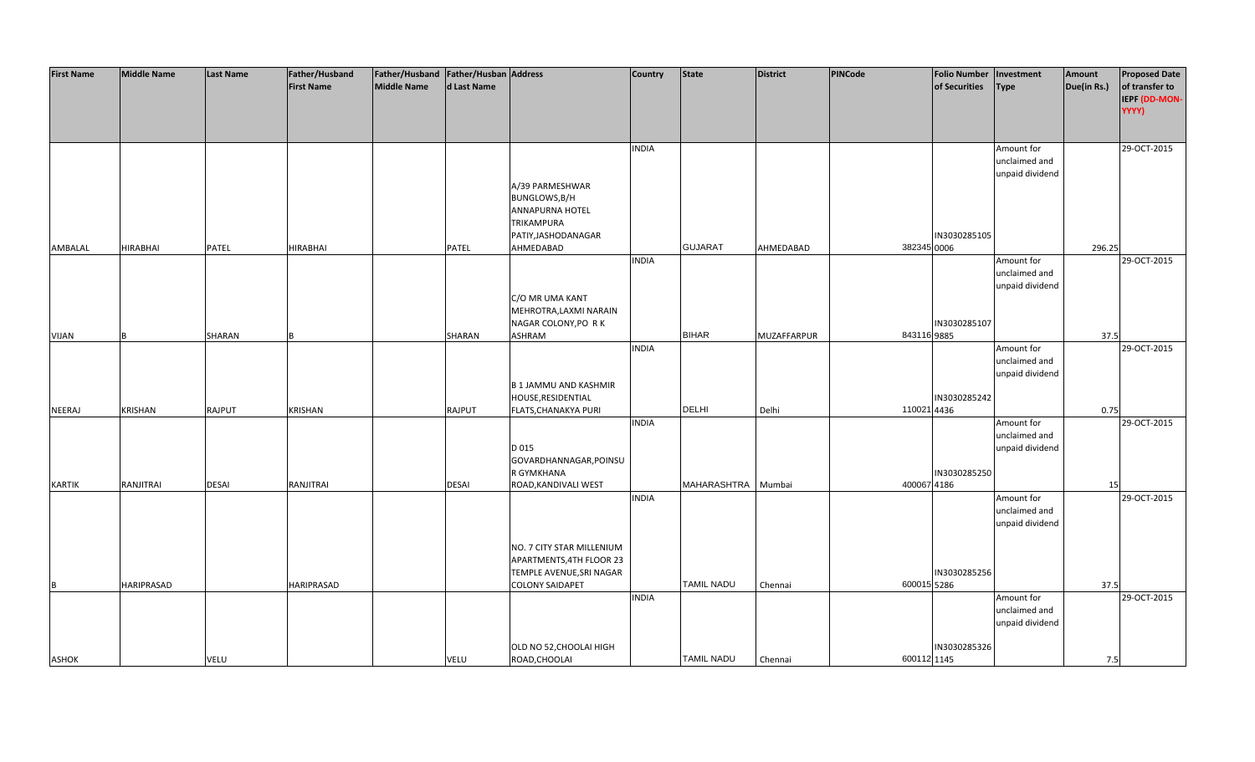| <b>First Name</b> | <b>Middle Name</b> | <b>Last Name</b> | Father/Husband    | Father/Husband   Father/Husban   Address |               |                              | <b>Country</b> | <b>State</b>       | District    | PINCode     | <b>Folio Number</b> | Investment      | Amount      | <b>Proposed Date</b> |
|-------------------|--------------------|------------------|-------------------|------------------------------------------|---------------|------------------------------|----------------|--------------------|-------------|-------------|---------------------|-----------------|-------------|----------------------|
|                   |                    |                  | <b>First Name</b> | <b>Middle Name</b>                       | d Last Name   |                              |                |                    |             |             | of Securities       | <b>Type</b>     | Due(in Rs.) | of transfer to       |
|                   |                    |                  |                   |                                          |               |                              |                |                    |             |             |                     |                 |             | IEPF (DD-MON-        |
|                   |                    |                  |                   |                                          |               |                              |                |                    |             |             |                     |                 |             | YYYY)                |
|                   |                    |                  |                   |                                          |               |                              |                |                    |             |             |                     |                 |             |                      |
|                   |                    |                  |                   |                                          |               |                              |                |                    |             |             |                     |                 |             |                      |
|                   |                    |                  |                   |                                          |               |                              |                |                    |             |             |                     |                 |             |                      |
|                   |                    |                  |                   |                                          |               |                              | <b>INDIA</b>   |                    |             |             |                     | Amount for      |             | 29-OCT-2015          |
|                   |                    |                  |                   |                                          |               |                              |                |                    |             |             |                     | unclaimed and   |             |                      |
|                   |                    |                  |                   |                                          |               |                              |                |                    |             |             |                     | unpaid dividend |             |                      |
|                   |                    |                  |                   |                                          |               | A/39 PARMESHWAR              |                |                    |             |             |                     |                 |             |                      |
|                   |                    |                  |                   |                                          |               | BUNGLOWS, B/H                |                |                    |             |             |                     |                 |             |                      |
|                   |                    |                  |                   |                                          |               | ANNAPURNA HOTEL              |                |                    |             |             |                     |                 |             |                      |
|                   |                    |                  |                   |                                          |               | <b>TRIKAMPURA</b>            |                |                    |             |             |                     |                 |             |                      |
|                   |                    |                  |                   |                                          |               | PATIY, JASHODANAGAR          |                |                    |             |             | IN3030285105        |                 |             |                      |
| AMBALAL           | <b>HIRABHAI</b>    | PATEL            | <b>HIRABHAI</b>   |                                          | <b>PATEL</b>  | AHMEDABAD                    |                | <b>GUJARAT</b>     | AHMEDABAD   | 382345 0006 |                     |                 | 296.25      |                      |
|                   |                    |                  |                   |                                          |               |                              | <b>INDIA</b>   |                    |             |             |                     | Amount for      |             | 29-OCT-2015          |
|                   |                    |                  |                   |                                          |               |                              |                |                    |             |             |                     | unclaimed and   |             |                      |
|                   |                    |                  |                   |                                          |               |                              |                |                    |             |             |                     | unpaid dividend |             |                      |
|                   |                    |                  |                   |                                          |               | C/O MR UMA KANT              |                |                    |             |             |                     |                 |             |                      |
|                   |                    |                  |                   |                                          |               | MEHROTRA, LAXMI NARAIN       |                |                    |             |             |                     |                 |             |                      |
|                   |                    |                  |                   |                                          |               | NAGAR COLONY, PO RK          |                |                    |             |             | IN3030285107        |                 |             |                      |
| <b>VIJAN</b>      |                    | SHARAN           |                   |                                          | SHARAN        | ASHRAM                       |                | <b>BIHAR</b>       | MUZAFFARPUR | 843116 9885 |                     |                 | 37.5        |                      |
|                   |                    |                  |                   |                                          |               |                              | <b>INDIA</b>   |                    |             |             |                     | Amount for      |             | 29-OCT-2015          |
|                   |                    |                  |                   |                                          |               |                              |                |                    |             |             |                     | unclaimed and   |             |                      |
|                   |                    |                  |                   |                                          |               |                              |                |                    |             |             |                     | unpaid dividend |             |                      |
|                   |                    |                  |                   |                                          |               | <b>B 1 JAMMU AND KASHMIR</b> |                |                    |             |             |                     |                 |             |                      |
|                   |                    |                  |                   |                                          |               | HOUSE, RESIDENTIAL           |                |                    |             |             | IN3030285242        |                 |             |                      |
| NEERAJ            | <b>KRISHAN</b>     | <b>RAJPUT</b>    | <b>KRISHAN</b>    |                                          | <b>RAJPUT</b> | FLATS, CHANAKYA PURI         |                | <b>DELHI</b>       | Delhi       | 110021 4436 |                     |                 | 0.75        |                      |
|                   |                    |                  |                   |                                          |               |                              | <b>INDIA</b>   |                    |             |             |                     | Amount for      |             | 29-OCT-2015          |
|                   |                    |                  |                   |                                          |               |                              |                |                    |             |             |                     | unclaimed and   |             |                      |
|                   |                    |                  |                   |                                          |               | D 015                        |                |                    |             |             |                     | unpaid dividend |             |                      |
|                   |                    |                  |                   |                                          |               | GOVARDHANNAGAR, POINSU       |                |                    |             |             |                     |                 |             |                      |
|                   |                    |                  |                   |                                          |               | R GYMKHANA                   |                |                    |             |             | IN3030285250        |                 |             |                      |
| <b>KARTIK</b>     | RANJITRAI          | <b>DESAI</b>     | RANJITRAI         |                                          | <b>DESAI</b>  | ROAD, KANDIVALI WEST         |                | <b>MAHARASHTRA</b> | Mumbai      | 400067 4186 |                     |                 | 15          |                      |
|                   |                    |                  |                   |                                          |               |                              | <b>INDIA</b>   |                    |             |             |                     | Amount for      |             | 29-OCT-2015          |
|                   |                    |                  |                   |                                          |               |                              |                |                    |             |             |                     | unclaimed and   |             |                      |
|                   |                    |                  |                   |                                          |               |                              |                |                    |             |             |                     | unpaid dividend |             |                      |
|                   |                    |                  |                   |                                          |               |                              |                |                    |             |             |                     |                 |             |                      |
|                   |                    |                  |                   |                                          |               | NO. 7 CITY STAR MILLENIUM    |                |                    |             |             |                     |                 |             |                      |
|                   |                    |                  |                   |                                          |               | APARTMENTS, 4TH FLOOR 23     |                |                    |             |             |                     |                 |             |                      |
|                   |                    |                  |                   |                                          |               | TEMPLE AVENUE, SRI NAGAR     |                |                    |             |             | IN3030285256        |                 |             |                      |
| B                 | <b>HARIPRASAD</b>  |                  | <b>HARIPRASAD</b> |                                          |               | <b>COLONY SAIDAPET</b>       |                | <b>TAMIL NADU</b>  | Chennai     | 600015 5286 |                     |                 | 37.5        |                      |
|                   |                    |                  |                   |                                          |               |                              | <b>INDIA</b>   |                    |             |             |                     | Amount for      |             | 29-OCT-2015          |
|                   |                    |                  |                   |                                          |               |                              |                |                    |             |             |                     | unclaimed and   |             |                      |
|                   |                    |                  |                   |                                          |               |                              |                |                    |             |             |                     | unpaid dividend |             |                      |
|                   |                    |                  |                   |                                          |               |                              |                |                    |             |             |                     |                 |             |                      |
|                   |                    |                  |                   |                                          |               | OLD NO 52, CHOOLAI HIGH      |                |                    |             |             | IN3030285326        |                 |             |                      |
| ASHOK             |                    | VELU             |                   |                                          | <b>VELU</b>   | ROAD, CHOOLAI                |                | <b>TAMIL NADU</b>  | Chennai     | 600112 1145 |                     |                 | 7.5         |                      |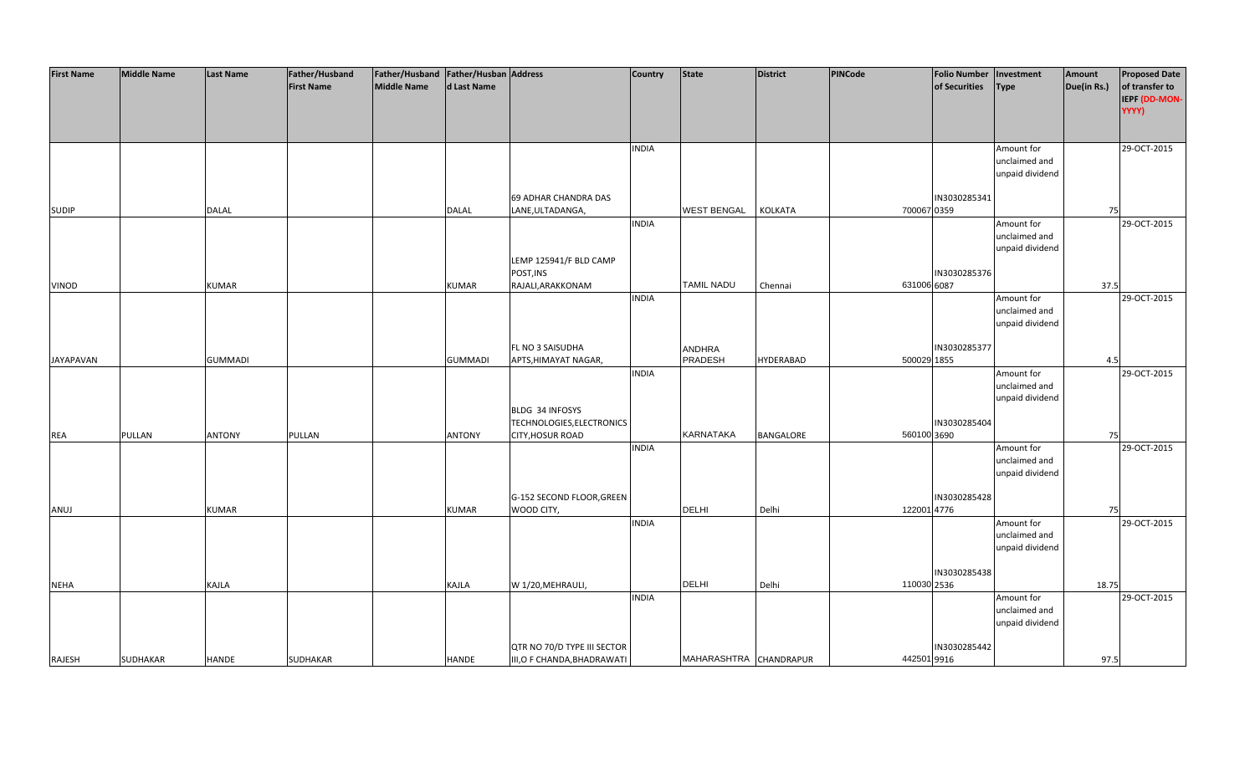| <b>First Name</b> | <b>Middle Name</b> | <b>Last Name</b> | Father/Husband    | Father/Husband   Father/Husban   Address |                |                             | <b>Country</b> | <b>State</b>           | District         | PINCode     | <b>Folio Number</b> | Investment                       | Amount      | <b>Proposed Date</b> |
|-------------------|--------------------|------------------|-------------------|------------------------------------------|----------------|-----------------------------|----------------|------------------------|------------------|-------------|---------------------|----------------------------------|-------------|----------------------|
|                   |                    |                  | <b>First Name</b> | <b>Middle Name</b>                       | d Last Name    |                             |                |                        |                  |             | of Securities       | <b>Type</b>                      | Due(in Rs.) | of transfer to       |
|                   |                    |                  |                   |                                          |                |                             |                |                        |                  |             |                     |                                  |             | IEPF (DD-MON-        |
|                   |                    |                  |                   |                                          |                |                             |                |                        |                  |             |                     |                                  |             | YYYY)                |
|                   |                    |                  |                   |                                          |                |                             |                |                        |                  |             |                     |                                  |             |                      |
|                   |                    |                  |                   |                                          |                |                             |                |                        |                  |             |                     |                                  |             |                      |
|                   |                    |                  |                   |                                          |                |                             | <b>INDIA</b>   |                        |                  |             |                     | Amount for                       |             | 29-OCT-2015          |
|                   |                    |                  |                   |                                          |                |                             |                |                        |                  |             |                     | unclaimed and                    |             |                      |
|                   |                    |                  |                   |                                          |                |                             |                |                        |                  |             |                     | unpaid dividend                  |             |                      |
|                   |                    |                  |                   |                                          |                |                             |                |                        |                  |             |                     |                                  |             |                      |
|                   |                    |                  |                   |                                          |                | 69 ADHAR CHANDRA DAS        |                |                        |                  |             | IN3030285341        |                                  |             |                      |
| <b>SUDIP</b>      |                    | <b>DALAL</b>     |                   |                                          | <b>DALAL</b>   | LANE, ULTADANGA,            |                | <b>WEST BENGAL</b>     | <b>KOLKATA</b>   | 700067 0359 |                     |                                  | 75          |                      |
|                   |                    |                  |                   |                                          |                |                             | <b>INDIA</b>   |                        |                  |             |                     | Amount for                       |             | 29-OCT-2015          |
|                   |                    |                  |                   |                                          |                |                             |                |                        |                  |             |                     | unclaimed and<br>unpaid dividend |             |                      |
|                   |                    |                  |                   |                                          |                | LEMP 125941/F BLD CAMP      |                |                        |                  |             |                     |                                  |             |                      |
|                   |                    |                  |                   |                                          |                | POST, INS                   |                |                        |                  |             | IN3030285376        |                                  |             |                      |
| VINOD             |                    | <b>KUMAR</b>     |                   |                                          | KUMAR          | RAJALI, ARAKKONAM           |                | TAMIL NADU             | Chennai          | 631006 6087 |                     |                                  | 37.5        |                      |
|                   |                    |                  |                   |                                          |                |                             | <b>INDIA</b>   |                        |                  |             |                     | Amount for                       |             | 29-OCT-2015          |
|                   |                    |                  |                   |                                          |                |                             |                |                        |                  |             |                     | unclaimed and                    |             |                      |
|                   |                    |                  |                   |                                          |                |                             |                |                        |                  |             |                     | unpaid dividend                  |             |                      |
|                   |                    |                  |                   |                                          |                |                             |                |                        |                  |             |                     |                                  |             |                      |
|                   |                    |                  |                   |                                          |                | FL NO 3 SAISUDHA            |                | ANDHRA                 |                  |             | IN3030285377        |                                  |             |                      |
| <b>JAYAPAVAN</b>  |                    | <b>GUMMADI</b>   |                   |                                          | <b>GUMMADI</b> | APTS, HIMAYAT NAGAR,        |                | PRADESH                | <b>HYDERABAD</b> | 500029 1855 |                     |                                  | 4.5         |                      |
|                   |                    |                  |                   |                                          |                |                             | <b>INDIA</b>   |                        |                  |             |                     | Amount for                       |             | 29-OCT-2015          |
|                   |                    |                  |                   |                                          |                |                             |                |                        |                  |             |                     | unclaimed and                    |             |                      |
|                   |                    |                  |                   |                                          |                |                             |                |                        |                  |             |                     | unpaid dividend                  |             |                      |
|                   |                    |                  |                   |                                          |                | BLDG 34 INFOSYS             |                |                        |                  |             |                     |                                  |             |                      |
|                   |                    |                  |                   |                                          |                | TECHNOLOGIES, ELECTRONICS   |                |                        |                  |             | IN3030285404        |                                  |             |                      |
| REA               | PULLAN             | <b>ANTONY</b>    | PULLAN            |                                          | <b>ANTONY</b>  | CITY, HOSUR ROAD            |                | <b>KARNATAKA</b>       | BANGALORE        | 560100 3690 |                     |                                  | 75          |                      |
|                   |                    |                  |                   |                                          |                |                             | <b>INDIA</b>   |                        |                  |             |                     | Amount for                       |             | 29-OCT-2015          |
|                   |                    |                  |                   |                                          |                |                             |                |                        |                  |             |                     | unclaimed and                    |             |                      |
|                   |                    |                  |                   |                                          |                |                             |                |                        |                  |             |                     | unpaid dividend                  |             |                      |
|                   |                    |                  |                   |                                          |                |                             |                |                        |                  |             |                     |                                  |             |                      |
|                   |                    |                  |                   |                                          |                | G-152 SECOND FLOOR, GREEN   |                |                        |                  |             | IN3030285428        |                                  |             |                      |
| ANUJ              |                    | <b>KUMAR</b>     |                   |                                          | <b>KUMAR</b>   | WOOD CITY,                  |                | <b>DELHI</b>           | Delhi            | 122001 4776 |                     |                                  | 75          |                      |
|                   |                    |                  |                   |                                          |                |                             | <b>INDIA</b>   |                        |                  |             |                     | Amount for                       |             | 29-OCT-2015          |
|                   |                    |                  |                   |                                          |                |                             |                |                        |                  |             |                     | unclaimed and                    |             |                      |
|                   |                    |                  |                   |                                          |                |                             |                |                        |                  |             |                     | unpaid dividend                  |             |                      |
|                   |                    |                  |                   |                                          |                |                             |                |                        |                  |             | IN3030285438        |                                  |             |                      |
| <b>NEHA</b>       |                    | KAJLA            |                   |                                          | KAJLA          | W 1/20, MEHRAULI,           |                | <b>DELHI</b>           | Delhi            | 110030 2536 |                     |                                  | 18.75       |                      |
|                   |                    |                  |                   |                                          |                |                             | <b>INDIA</b>   |                        |                  |             |                     | Amount for                       |             | 29-OCT-2015          |
|                   |                    |                  |                   |                                          |                |                             |                |                        |                  |             |                     | unclaimed and                    |             |                      |
|                   |                    |                  |                   |                                          |                |                             |                |                        |                  |             |                     | unpaid dividend                  |             |                      |
|                   |                    |                  |                   |                                          |                |                             |                |                        |                  |             |                     |                                  |             |                      |
|                   |                    |                  |                   |                                          |                | QTR NO 70/D TYPE III SECTOR |                |                        |                  |             | IN3030285442        |                                  |             |                      |
| RAJESH            | SUDHAKAR           | <b>HANDE</b>     | <b>SUDHAKAR</b>   |                                          | HANDE          | III, O F CHANDA, BHADRAWATI |                | MAHARASHTRA CHANDRAPUR |                  | 442501 9916 |                     |                                  | 97.5        |                      |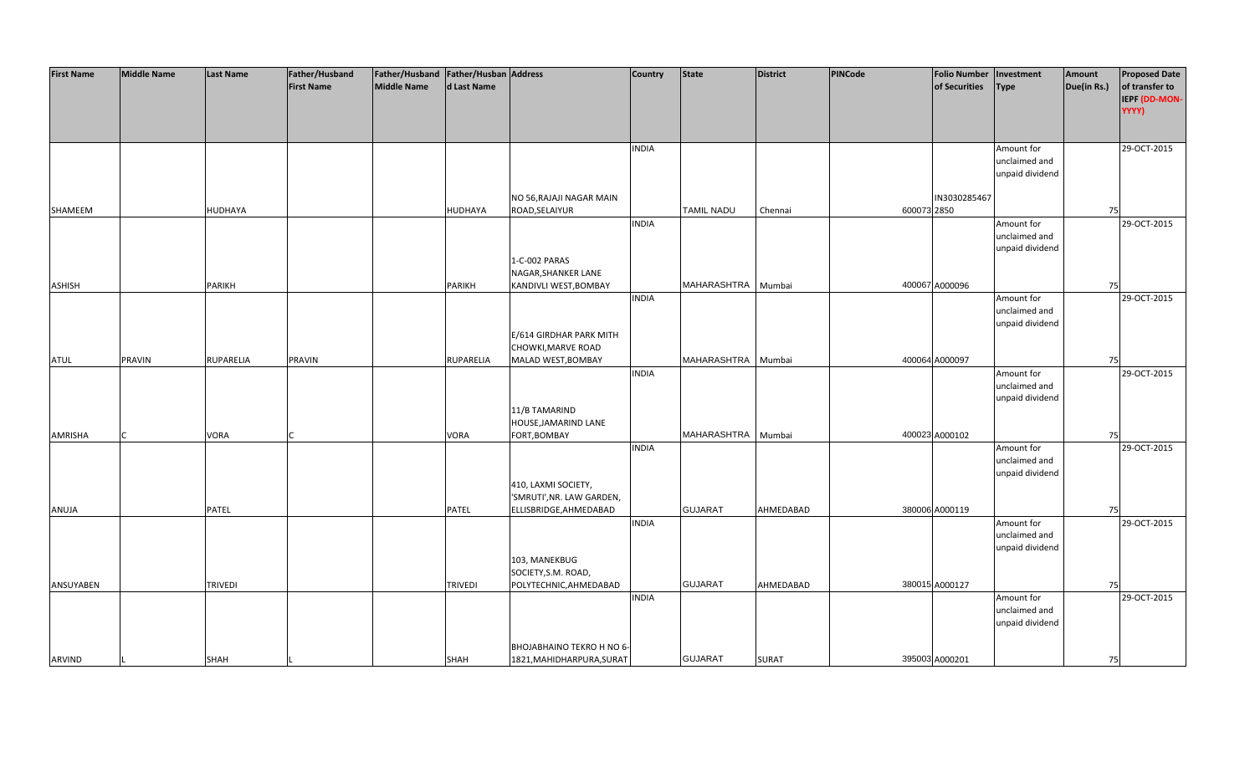| <b>First Name</b> | <b>Middle Name</b> | <b>Last Name</b> | Father/Husband    | Father/Husband Father/Husban Address |                |                           | <b>Country</b> | <b>State</b>       | <b>District</b> | PINCode     | <b>Folio Number</b> | Investment      | Amount      | <b>Proposed Date</b> |
|-------------------|--------------------|------------------|-------------------|--------------------------------------|----------------|---------------------------|----------------|--------------------|-----------------|-------------|---------------------|-----------------|-------------|----------------------|
|                   |                    |                  | <b>First Name</b> | <b>Middle Name</b>                   | d Last Name    |                           |                |                    |                 |             | of Securities       | <b>Type</b>     | Due(in Rs.) | of transfer to       |
|                   |                    |                  |                   |                                      |                |                           |                |                    |                 |             |                     |                 |             | IEPF (DD-MON-        |
|                   |                    |                  |                   |                                      |                |                           |                |                    |                 |             |                     |                 |             | YYYY)                |
|                   |                    |                  |                   |                                      |                |                           |                |                    |                 |             |                     |                 |             |                      |
|                   |                    |                  |                   |                                      |                |                           |                |                    |                 |             |                     |                 |             |                      |
|                   |                    |                  |                   |                                      |                |                           |                |                    |                 |             |                     |                 |             | 29-OCT-2015          |
|                   |                    |                  |                   |                                      |                |                           | <b>INDIA</b>   |                    |                 |             |                     | Amount for      |             |                      |
|                   |                    |                  |                   |                                      |                |                           |                |                    |                 |             |                     | unclaimed and   |             |                      |
|                   |                    |                  |                   |                                      |                |                           |                |                    |                 |             |                     | unpaid dividend |             |                      |
|                   |                    |                  |                   |                                      |                |                           |                |                    |                 |             |                     |                 |             |                      |
|                   |                    |                  |                   |                                      |                | NO 56, RAJAJI NAGAR MAIN  |                |                    |                 |             | IN3030285467        |                 |             |                      |
| SHAMEEM           |                    | HUDHAYA          |                   |                                      | <b>HUDHAYA</b> | ROAD, SELAIYUR            |                | <b>TAMIL NADU</b>  | Chennai         | 600073 2850 |                     |                 | 75          |                      |
|                   |                    |                  |                   |                                      |                |                           | <b>INDIA</b>   |                    |                 |             |                     | Amount for      |             | 29-OCT-2015          |
|                   |                    |                  |                   |                                      |                |                           |                |                    |                 |             |                     | unclaimed and   |             |                      |
|                   |                    |                  |                   |                                      |                |                           |                |                    |                 |             |                     | unpaid dividend |             |                      |
|                   |                    |                  |                   |                                      |                | 1-C-002 PARAS             |                |                    |                 |             |                     |                 |             |                      |
|                   |                    |                  |                   |                                      |                | NAGAR, SHANKER LANE       |                |                    |                 |             |                     |                 |             |                      |
| <b>ASHISH</b>     |                    | <b>PARIKH</b>    |                   |                                      | <b>PARIKH</b>  | KANDIVLI WEST, BOMBAY     |                | MAHARASHTRA        | Mumbai          |             | 400067 A000096      |                 | 75          |                      |
|                   |                    |                  |                   |                                      |                |                           | <b>INDIA</b>   |                    |                 |             |                     | Amount for      |             | 29-OCT-2015          |
|                   |                    |                  |                   |                                      |                |                           |                |                    |                 |             |                     | unclaimed and   |             |                      |
|                   |                    |                  |                   |                                      |                |                           |                |                    |                 |             |                     | unpaid dividend |             |                      |
|                   |                    |                  |                   |                                      |                | E/614 GIRDHAR PARK MITH   |                |                    |                 |             |                     |                 |             |                      |
|                   |                    |                  |                   |                                      |                | CHOWKI, MARVE ROAD        |                |                    |                 |             |                     |                 |             |                      |
| <b>ATUL</b>       | <b>PRAVIN</b>      | RUPARELIA        | PRAVIN            |                                      | RUPARELIA      | MALAD WEST, BOMBAY        |                | MAHARASHTRA Mumbai |                 |             | 400064 A000097      |                 | 75          |                      |
|                   |                    |                  |                   |                                      |                |                           | <b>INDIA</b>   |                    |                 |             |                     | Amount for      |             | 29-OCT-2015          |
|                   |                    |                  |                   |                                      |                |                           |                |                    |                 |             |                     | unclaimed and   |             |                      |
|                   |                    |                  |                   |                                      |                |                           |                |                    |                 |             |                     | unpaid dividend |             |                      |
|                   |                    |                  |                   |                                      |                | 11/B TAMARIND             |                |                    |                 |             |                     |                 |             |                      |
|                   |                    |                  |                   |                                      |                | HOUSE, JAMARIND LANE      |                |                    |                 |             |                     |                 |             |                      |
| AMRISHA           |                    | VORA             |                   |                                      | VORA           | FORT, BOMBAY              |                | MAHARASHTRA        | Mumbai          |             | 400023 A000102      |                 | 75          |                      |
|                   |                    |                  |                   |                                      |                |                           | <b>INDIA</b>   |                    |                 |             |                     | Amount for      |             | 29-OCT-2015          |
|                   |                    |                  |                   |                                      |                |                           |                |                    |                 |             |                     | unclaimed and   |             |                      |
|                   |                    |                  |                   |                                      |                |                           |                |                    |                 |             |                     | unpaid dividend |             |                      |
|                   |                    |                  |                   |                                      |                | 410, LAXMI SOCIETY,       |                |                    |                 |             |                     |                 |             |                      |
|                   |                    |                  |                   |                                      |                | 'SMRUTI', NR. LAW GARDEN, |                |                    |                 |             |                     |                 |             |                      |
| ANUJA             |                    | PATEL            |                   |                                      | PATEL          | ELLISBRIDGE, AHMEDABAD    |                | <b>GUJARAT</b>     | AHMEDABAD       |             | 380006 A000119      |                 | 75          |                      |
|                   |                    |                  |                   |                                      |                |                           | <b>INDIA</b>   |                    |                 |             |                     | Amount for      |             | 29-OCT-2015          |
|                   |                    |                  |                   |                                      |                |                           |                |                    |                 |             |                     | unclaimed and   |             |                      |
|                   |                    |                  |                   |                                      |                |                           |                |                    |                 |             |                     | unpaid dividend |             |                      |
|                   |                    |                  |                   |                                      |                | 103, MANEKBUG             |                |                    |                 |             |                     |                 |             |                      |
|                   |                    |                  |                   |                                      |                | SOCIETY, S.M. ROAD,       |                |                    |                 |             |                     |                 |             |                      |
| ANSUYABEN         |                    | <b>TRIVEDI</b>   |                   |                                      | <b>TRIVEDI</b> | POLYTECHNIC, AHMEDABAD    |                | <b>GUJARAT</b>     | AHMEDABAD       |             | 380015 A000127      |                 | 75          |                      |
|                   |                    |                  |                   |                                      |                |                           | <b>INDIA</b>   |                    |                 |             |                     | Amount for      |             | 29-OCT-2015          |
|                   |                    |                  |                   |                                      |                |                           |                |                    |                 |             |                     | unclaimed and   |             |                      |
|                   |                    |                  |                   |                                      |                |                           |                |                    |                 |             |                     | unpaid dividend |             |                      |
|                   |                    |                  |                   |                                      |                |                           |                |                    |                 |             |                     |                 |             |                      |
|                   |                    |                  |                   |                                      |                | BHOJABHAINO TEKRO H NO 6- |                |                    |                 |             |                     |                 |             |                      |
| ARVIND            |                    | <b>SHAH</b>      |                   |                                      | SHAH           | 1821, MAHIDHARPURA, SURAT |                | <b>GUJARAT</b>     | <b>SURAT</b>    |             | 395003 A000201      |                 | 75          |                      |
|                   |                    |                  |                   |                                      |                |                           |                |                    |                 |             |                     |                 |             |                      |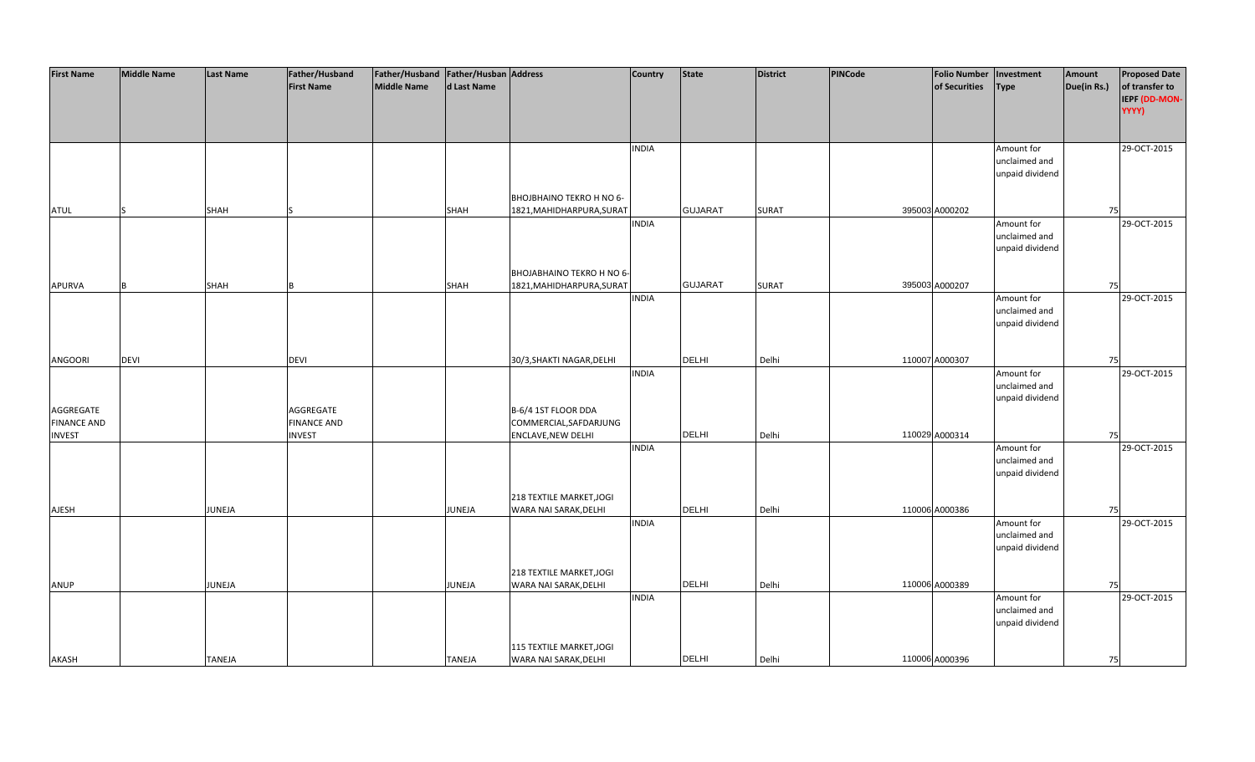| <b>First Name</b>  | <b>Middle Name</b> | <b>Last Name</b> | Father/Husband     | Father/Husband Father/Husban Address |               |                           | <b>Country</b> | <b>State</b>   | <b>District</b> | PINCode | <b>Folio Number</b> | Investment      | Amount      | <b>Proposed Date</b> |
|--------------------|--------------------|------------------|--------------------|--------------------------------------|---------------|---------------------------|----------------|----------------|-----------------|---------|---------------------|-----------------|-------------|----------------------|
|                    |                    |                  | <b>First Name</b>  | <b>Middle Name</b>                   | d Last Name   |                           |                |                |                 |         | of Securities       | Type            | Due(in Rs.) | of transfer to       |
|                    |                    |                  |                    |                                      |               |                           |                |                |                 |         |                     |                 |             | IEPF (DD-MON-        |
|                    |                    |                  |                    |                                      |               |                           |                |                |                 |         |                     |                 |             | YYYY)                |
|                    |                    |                  |                    |                                      |               |                           |                |                |                 |         |                     |                 |             |                      |
|                    |                    |                  |                    |                                      |               |                           |                |                |                 |         |                     |                 |             |                      |
|                    |                    |                  |                    |                                      |               |                           | <b>INDIA</b>   |                |                 |         |                     | Amount for      |             | 29-OCT-2015          |
|                    |                    |                  |                    |                                      |               |                           |                |                |                 |         |                     | unclaimed and   |             |                      |
|                    |                    |                  |                    |                                      |               |                           |                |                |                 |         |                     | unpaid dividend |             |                      |
|                    |                    |                  |                    |                                      |               |                           |                |                |                 |         |                     |                 |             |                      |
|                    |                    |                  |                    |                                      |               | BHOJBHAINO TEKRO H NO 6-  |                |                |                 |         |                     |                 |             |                      |
| <b>ATUL</b>        | S                  | <b>SHAH</b>      |                    |                                      | <b>SHAH</b>   | 1821, MAHIDHARPURA, SURAT |                | <b>GUJARAT</b> | <b>SURAT</b>    |         | 395003 A000202      |                 | 75          |                      |
|                    |                    |                  |                    |                                      |               |                           | <b>INDIA</b>   |                |                 |         |                     | Amount for      |             | 29-OCT-2015          |
|                    |                    |                  |                    |                                      |               |                           |                |                |                 |         |                     | unclaimed and   |             |                      |
|                    |                    |                  |                    |                                      |               |                           |                |                |                 |         |                     | unpaid dividend |             |                      |
|                    |                    |                  |                    |                                      |               |                           |                |                |                 |         |                     |                 |             |                      |
|                    |                    |                  |                    |                                      |               | BHOJABHAINO TEKRO H NO 6- |                |                |                 |         |                     |                 |             |                      |
| APURVA             |                    | <b>SHAH</b>      |                    |                                      | <b>SHAH</b>   | 1821, MAHIDHARPURA, SURAT | <b>INDIA</b>   | <b>GUJARAT</b> | <b>SURAT</b>    |         | 395003 A000207      | Amount for      | 75          | 29-OCT-2015          |
|                    |                    |                  |                    |                                      |               |                           |                |                |                 |         |                     | unclaimed and   |             |                      |
|                    |                    |                  |                    |                                      |               |                           |                |                |                 |         |                     | unpaid dividend |             |                      |
|                    |                    |                  |                    |                                      |               |                           |                |                |                 |         |                     |                 |             |                      |
|                    |                    |                  |                    |                                      |               |                           |                |                |                 |         |                     |                 |             |                      |
| <b>ANGOORI</b>     | <b>DEVI</b>        |                  | <b>DEVI</b>        |                                      |               | 30/3, SHAKTI NAGAR, DELHI |                | DELHI          | Delhi           |         | 110007 A000307      |                 | 75          |                      |
|                    |                    |                  |                    |                                      |               |                           | <b>INDIA</b>   |                |                 |         |                     | Amount for      |             | 29-OCT-2015          |
|                    |                    |                  |                    |                                      |               |                           |                |                |                 |         |                     | unclaimed and   |             |                      |
|                    |                    |                  |                    |                                      |               |                           |                |                |                 |         |                     | unpaid dividend |             |                      |
| AGGREGATE          |                    |                  | AGGREGATE          |                                      |               | B-6/4 1ST FLOOR DDA       |                |                |                 |         |                     |                 |             |                      |
| <b>FINANCE AND</b> |                    |                  | <b>FINANCE AND</b> |                                      |               | COMMERCIAL, SAFDARJUNG    |                |                |                 |         |                     |                 |             |                      |
| <b>INVEST</b>      |                    |                  | <b>INVEST</b>      |                                      |               | ENCLAVE, NEW DELHI        |                | <b>DELHI</b>   | Delhi           |         | 110029 A000314      |                 | 75          |                      |
|                    |                    |                  |                    |                                      |               |                           | <b>INDIA</b>   |                |                 |         |                     | Amount for      |             | 29-OCT-2015          |
|                    |                    |                  |                    |                                      |               |                           |                |                |                 |         |                     | unclaimed and   |             |                      |
|                    |                    |                  |                    |                                      |               |                           |                |                |                 |         |                     | unpaid dividend |             |                      |
|                    |                    |                  |                    |                                      |               |                           |                |                |                 |         |                     |                 |             |                      |
|                    |                    |                  |                    |                                      |               | 218 TEXTILE MARKET, JOGI  |                |                |                 |         |                     |                 |             |                      |
| AJESH              |                    | JUNEJA           |                    |                                      | JUNEJA        | WARA NAI SARAK, DELHI     |                | <b>DELHI</b>   | Delhi           |         | 110006 A000386      |                 | 75          |                      |
|                    |                    |                  |                    |                                      |               |                           | <b>INDIA</b>   |                |                 |         |                     | Amount for      |             | 29-OCT-2015          |
|                    |                    |                  |                    |                                      |               |                           |                |                |                 |         |                     | unclaimed and   |             |                      |
|                    |                    |                  |                    |                                      |               |                           |                |                |                 |         |                     | unpaid dividend |             |                      |
|                    |                    |                  |                    |                                      |               | 218 TEXTILE MARKET, JOGI  |                |                |                 |         |                     |                 |             |                      |
| ANUP               |                    | JUNEJA           |                    |                                      | <b>JUNEJA</b> | WARA NAI SARAK, DELHI     |                | <b>DELHI</b>   | Delhi           |         | 110006 A000389      |                 | 75          |                      |
|                    |                    |                  |                    |                                      |               |                           | <b>INDIA</b>   |                |                 |         |                     | Amount for      |             | 29-OCT-2015          |
|                    |                    |                  |                    |                                      |               |                           |                |                |                 |         |                     | unclaimed and   |             |                      |
|                    |                    |                  |                    |                                      |               |                           |                |                |                 |         |                     | unpaid dividend |             |                      |
|                    |                    |                  |                    |                                      |               |                           |                |                |                 |         |                     |                 |             |                      |
|                    |                    |                  |                    |                                      |               | 115 TEXTILE MARKET, JOGI  |                |                |                 |         |                     |                 |             |                      |
| AKASH              |                    | <b>TANEJA</b>    |                    |                                      | <b>TANEJA</b> | WARA NAI SARAK, DELHI     |                | <b>DELHI</b>   | Delhi           |         | 110006 A000396      |                 | 75          |                      |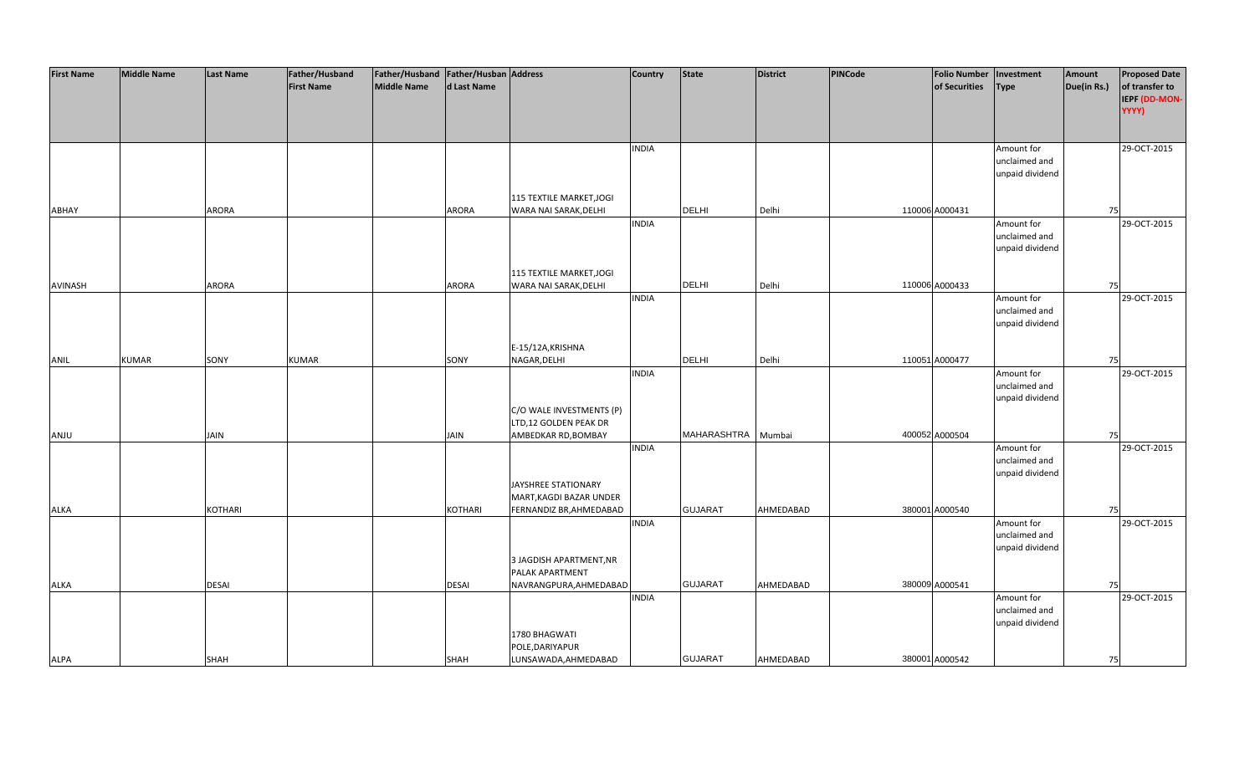| <b>First Name</b> | <b>Middle Name</b> | <b>Last Name</b> | Father/Husband    | Father/Husband Father/Husban Address |              |                          | <b>Country</b> | <b>State</b>   | <b>District</b> | PINCode | <b>Folio Number</b> | Investment      | Amount      | <b>Proposed Date</b> |
|-------------------|--------------------|------------------|-------------------|--------------------------------------|--------------|--------------------------|----------------|----------------|-----------------|---------|---------------------|-----------------|-------------|----------------------|
|                   |                    |                  | <b>First Name</b> | <b>Middle Name</b>                   | d Last Name  |                          |                |                |                 |         | of Securities       | <b>Type</b>     | Due(in Rs.) | of transfer to       |
|                   |                    |                  |                   |                                      |              |                          |                |                |                 |         |                     |                 |             | IEPF (DD-MON-        |
|                   |                    |                  |                   |                                      |              |                          |                |                |                 |         |                     |                 |             | YYYY)                |
|                   |                    |                  |                   |                                      |              |                          |                |                |                 |         |                     |                 |             |                      |
|                   |                    |                  |                   |                                      |              |                          |                |                |                 |         |                     |                 |             |                      |
|                   |                    |                  |                   |                                      |              |                          | <b>INDIA</b>   |                |                 |         |                     | Amount for      |             | 29-OCT-2015          |
|                   |                    |                  |                   |                                      |              |                          |                |                |                 |         |                     | unclaimed and   |             |                      |
|                   |                    |                  |                   |                                      |              |                          |                |                |                 |         |                     | unpaid dividend |             |                      |
|                   |                    |                  |                   |                                      |              |                          |                |                |                 |         |                     |                 |             |                      |
|                   |                    |                  |                   |                                      |              | 115 TEXTILE MARKET, JOGI |                |                |                 |         |                     |                 |             |                      |
| ABHAY             |                    | ARORA            |                   |                                      | <b>ARORA</b> | WARA NAI SARAK, DELHI    |                | <b>DELHI</b>   | Delhi           |         | 110006 A000431      |                 | 75          |                      |
|                   |                    |                  |                   |                                      |              |                          | <b>INDIA</b>   |                |                 |         |                     | Amount for      |             | 29-OCT-2015          |
|                   |                    |                  |                   |                                      |              |                          |                |                |                 |         |                     | unclaimed and   |             |                      |
|                   |                    |                  |                   |                                      |              |                          |                |                |                 |         |                     | unpaid dividend |             |                      |
|                   |                    |                  |                   |                                      |              |                          |                |                |                 |         |                     |                 |             |                      |
|                   |                    |                  |                   |                                      |              | 115 TEXTILE MARKET, JOGI |                |                |                 |         |                     |                 |             |                      |
| AVINASH           |                    | <b>ARORA</b>     |                   |                                      | ARORA        | WARA NAI SARAK, DELHI    |                | <b>DELHI</b>   | Delhi           |         | 110006 A000433      |                 | 75          |                      |
|                   |                    |                  |                   |                                      |              |                          | <b>INDIA</b>   |                |                 |         |                     | Amount for      |             | 29-OCT-2015          |
|                   |                    |                  |                   |                                      |              |                          |                |                |                 |         |                     | unclaimed and   |             |                      |
|                   |                    |                  |                   |                                      |              |                          |                |                |                 |         |                     | unpaid dividend |             |                      |
|                   |                    |                  |                   |                                      |              |                          |                |                |                 |         |                     |                 |             |                      |
|                   |                    |                  |                   |                                      |              | E-15/12A, KRISHNA        |                |                |                 |         |                     |                 |             |                      |
| ANIL              | <b>KUMAR</b>       | SONY             | <b>KUMAR</b>      |                                      | SONY         | NAGAR, DELHI             |                | DELHI          | Delhi           |         | 110051 A000477      |                 | 75          |                      |
|                   |                    |                  |                   |                                      |              |                          | <b>INDIA</b>   |                |                 |         |                     | Amount for      |             | 29-OCT-2015          |
|                   |                    |                  |                   |                                      |              |                          |                |                |                 |         |                     | unclaimed and   |             |                      |
|                   |                    |                  |                   |                                      |              |                          |                |                |                 |         |                     | unpaid dividend |             |                      |
|                   |                    |                  |                   |                                      |              | C/O WALE INVESTMENTS (P) |                |                |                 |         |                     |                 |             |                      |
|                   |                    |                  |                   |                                      |              | LTD,12 GOLDEN PEAK DR    |                |                |                 |         |                     |                 |             |                      |
| ANJU              |                    | <b>JAIN</b>      |                   |                                      | <b>JAIN</b>  | AMBEDKAR RD, BOMBAY      |                | MAHARASHTRA    | Mumbai          |         | 400052 A000504      |                 | 75          |                      |
|                   |                    |                  |                   |                                      |              |                          | <b>INDIA</b>   |                |                 |         |                     | Amount for      |             | 29-OCT-2015          |
|                   |                    |                  |                   |                                      |              |                          |                |                |                 |         |                     | unclaimed and   |             |                      |
|                   |                    |                  |                   |                                      |              |                          |                |                |                 |         |                     | unpaid dividend |             |                      |
|                   |                    |                  |                   |                                      |              | JAYSHREE STATIONARY      |                |                |                 |         |                     |                 |             |                      |
|                   |                    |                  |                   |                                      |              | MART, KAGDI BAZAR UNDER  |                |                |                 |         |                     |                 |             |                      |
| <b>ALKA</b>       |                    | <b>KOTHARI</b>   |                   |                                      | KOTHARI      | FERNANDIZ BR, AHMEDABAD  |                | <b>GUJARAT</b> | AHMEDABAD       |         | 380001 A000540      |                 | 75          |                      |
|                   |                    |                  |                   |                                      |              |                          | <b>INDIA</b>   |                |                 |         |                     | Amount for      |             | 29-OCT-2015          |
|                   |                    |                  |                   |                                      |              |                          |                |                |                 |         |                     | unclaimed and   |             |                      |
|                   |                    |                  |                   |                                      |              |                          |                |                |                 |         |                     | unpaid dividend |             |                      |
|                   |                    |                  |                   |                                      |              | 3 JAGDISH APARTMENT, NR  |                |                |                 |         |                     |                 |             |                      |
|                   |                    |                  |                   |                                      |              | PALAK APARTMENT          |                |                |                 |         |                     |                 |             |                      |
| <b>ALKA</b>       |                    | <b>DESAI</b>     |                   |                                      | <b>DESAI</b> | NAVRANGPURA, AHMEDABAD   |                | <b>GUJARAT</b> | AHMEDABAD       |         | 380009 A000541      |                 | 75          |                      |
|                   |                    |                  |                   |                                      |              |                          | <b>INDIA</b>   |                |                 |         |                     | Amount for      |             | 29-OCT-2015          |
|                   |                    |                  |                   |                                      |              |                          |                |                |                 |         |                     | unclaimed and   |             |                      |
|                   |                    |                  |                   |                                      |              |                          |                |                |                 |         |                     | unpaid dividend |             |                      |
|                   |                    |                  |                   |                                      |              | 1780 BHAGWATI            |                |                |                 |         |                     |                 |             |                      |
|                   |                    |                  |                   |                                      |              | POLE, DARIYAPUR          |                |                |                 |         |                     |                 |             |                      |
| <b>ALPA</b>       |                    | <b>SHAH</b>      |                   |                                      | <b>SHAH</b>  | LUNSAWADA, AHMEDABAD     |                | <b>GUJARAT</b> | AHMEDABAD       |         | 380001 A000542      |                 | 75          |                      |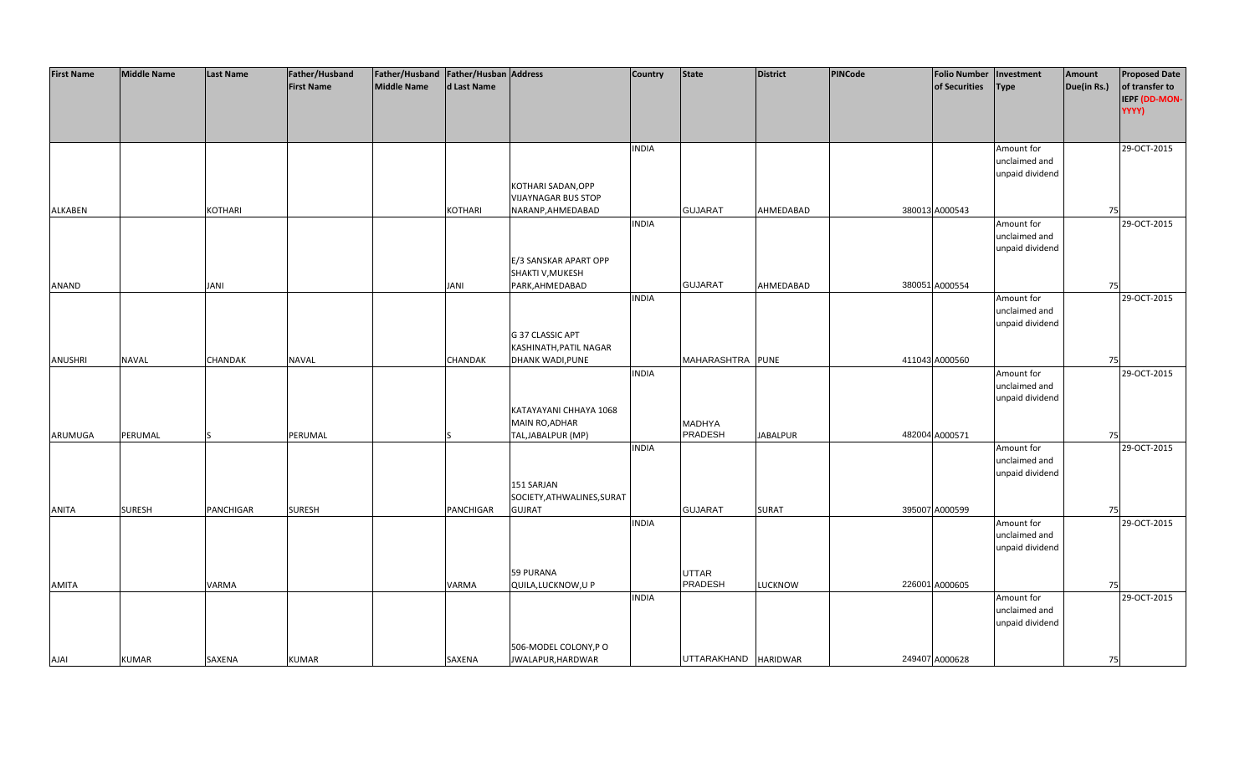| <b>First Name</b> | <b>Middle Name</b> | <b>Last Name</b> | Father/Husband    | Father/Husband Father/Husban Address |                |                            | <b>Country</b> | <b>State</b>             | <b>District</b> | PINCode | <b>Folio Number</b> | Investment      | Amount      | <b>Proposed Date</b> |
|-------------------|--------------------|------------------|-------------------|--------------------------------------|----------------|----------------------------|----------------|--------------------------|-----------------|---------|---------------------|-----------------|-------------|----------------------|
|                   |                    |                  | <b>First Name</b> | <b>Middle Name</b>                   | d Last Name    |                            |                |                          |                 |         | of Securities       | <b>Type</b>     | Due(in Rs.) | of transfer to       |
|                   |                    |                  |                   |                                      |                |                            |                |                          |                 |         |                     |                 |             | IEPF (DD-MON-        |
|                   |                    |                  |                   |                                      |                |                            |                |                          |                 |         |                     |                 |             | YYYY)                |
|                   |                    |                  |                   |                                      |                |                            |                |                          |                 |         |                     |                 |             |                      |
|                   |                    |                  |                   |                                      |                |                            |                |                          |                 |         |                     |                 |             |                      |
|                   |                    |                  |                   |                                      |                |                            |                |                          |                 |         |                     |                 |             |                      |
|                   |                    |                  |                   |                                      |                |                            | <b>INDIA</b>   |                          |                 |         |                     | Amount for      |             | 29-OCT-2015          |
|                   |                    |                  |                   |                                      |                |                            |                |                          |                 |         |                     | unclaimed and   |             |                      |
|                   |                    |                  |                   |                                      |                |                            |                |                          |                 |         |                     | unpaid dividend |             |                      |
|                   |                    |                  |                   |                                      |                | KOTHARI SADAN, OPP         |                |                          |                 |         |                     |                 |             |                      |
|                   |                    |                  |                   |                                      |                | <b>VIJAYNAGAR BUS STOP</b> |                |                          |                 |         |                     |                 |             |                      |
| <b>ALKABEN</b>    |                    | <b>KOTHARI</b>   |                   |                                      | <b>KOTHARI</b> | NARANP, AHMEDABAD          |                | <b>GUJARAT</b>           | AHMEDABAD       |         | 380013 A000543      |                 | 75          |                      |
|                   |                    |                  |                   |                                      |                |                            | <b>INDIA</b>   |                          |                 |         |                     | Amount for      |             | 29-OCT-2015          |
|                   |                    |                  |                   |                                      |                |                            |                |                          |                 |         |                     | unclaimed and   |             |                      |
|                   |                    |                  |                   |                                      |                |                            |                |                          |                 |         |                     | unpaid dividend |             |                      |
|                   |                    |                  |                   |                                      |                | E/3 SANSKAR APART OPP      |                |                          |                 |         |                     |                 |             |                      |
|                   |                    |                  |                   |                                      |                | SHAKTI V, MUKESH           |                |                          |                 |         |                     |                 |             |                      |
| ANAND             |                    | JANI             |                   |                                      | JANI           | PARK, AHMEDABAD            |                | <b>GUJARAT</b>           | AHMEDABAD       |         | 380051 A000554      |                 | 75          |                      |
|                   |                    |                  |                   |                                      |                |                            | <b>INDIA</b>   |                          |                 |         |                     | Amount for      |             | 29-OCT-2015          |
|                   |                    |                  |                   |                                      |                |                            |                |                          |                 |         |                     | unclaimed and   |             |                      |
|                   |                    |                  |                   |                                      |                |                            |                |                          |                 |         |                     | unpaid dividend |             |                      |
|                   |                    |                  |                   |                                      |                | G 37 CLASSIC APT           |                |                          |                 |         |                     |                 |             |                      |
|                   |                    |                  |                   |                                      |                | KASHINATH, PATIL NAGAR     |                |                          |                 |         |                     |                 |             |                      |
| <b>ANUSHRI</b>    | <b>NAVAL</b>       | <b>CHANDAK</b>   | <b>NAVAL</b>      |                                      | <b>CHANDAK</b> | <b>DHANK WADI, PUNE</b>    |                | MAHARASHTRA PUNE         |                 |         | 411043 A000560      |                 | 75          |                      |
|                   |                    |                  |                   |                                      |                |                            | <b>INDIA</b>   |                          |                 |         |                     | Amount for      |             | 29-OCT-2015          |
|                   |                    |                  |                   |                                      |                |                            |                |                          |                 |         |                     | unclaimed and   |             |                      |
|                   |                    |                  |                   |                                      |                |                            |                |                          |                 |         |                     | unpaid dividend |             |                      |
|                   |                    |                  |                   |                                      |                | KATAYAYANI CHHAYA 1068     |                |                          |                 |         |                     |                 |             |                      |
|                   |                    |                  |                   |                                      |                | MAIN RO, ADHAR             |                |                          |                 |         |                     |                 |             |                      |
|                   |                    |                  |                   |                                      |                |                            |                | <b>MADHYA</b><br>PRADESH |                 |         | 482004 A000571      |                 |             |                      |
| ARUMUGA           | PERUMAL            |                  | PERUMAL           |                                      |                | TAL, JABALPUR (MP)         |                |                          | <b>JABALPUR</b> |         |                     |                 | 75          |                      |
|                   |                    |                  |                   |                                      |                |                            | <b>INDIA</b>   |                          |                 |         |                     | Amount for      |             | 29-OCT-2015          |
|                   |                    |                  |                   |                                      |                |                            |                |                          |                 |         |                     | unclaimed and   |             |                      |
|                   |                    |                  |                   |                                      |                |                            |                |                          |                 |         |                     | unpaid dividend |             |                      |
|                   |                    |                  |                   |                                      |                | 151 SARJAN                 |                |                          |                 |         |                     |                 |             |                      |
|                   |                    |                  |                   |                                      |                | SOCIETY, ATHWALINES, SURAT |                |                          |                 |         |                     |                 |             |                      |
| <b>ANITA</b>      | <b>SURESH</b>      | PANCHIGAR        | <b>SURESH</b>     |                                      | PANCHIGAR      | <b>GUJRAT</b>              |                | <b>GUJARAT</b>           | <b>SURAT</b>    |         | 395007 A000599      |                 | 75          |                      |
|                   |                    |                  |                   |                                      |                |                            | <b>INDIA</b>   |                          |                 |         |                     | Amount for      |             | 29-OCT-2015          |
|                   |                    |                  |                   |                                      |                |                            |                |                          |                 |         |                     | unclaimed and   |             |                      |
|                   |                    |                  |                   |                                      |                |                            |                |                          |                 |         |                     | unpaid dividend |             |                      |
|                   |                    |                  |                   |                                      |                |                            |                |                          |                 |         |                     |                 |             |                      |
|                   |                    |                  |                   |                                      |                | <b>59 PURANA</b>           |                | <b>UTTAR</b>             |                 |         |                     |                 |             |                      |
| <b>AMITA</b>      |                    | <b>VARMA</b>     |                   |                                      | VARMA          | QUILA, LUCKNOW, U P        |                | PRADESH                  | <b>LUCKNOW</b>  |         | 226001 A000605      |                 | 75          |                      |
|                   |                    |                  |                   |                                      |                |                            | <b>INDIA</b>   |                          |                 |         |                     | Amount for      |             | 29-OCT-2015          |
|                   |                    |                  |                   |                                      |                |                            |                |                          |                 |         |                     | unclaimed and   |             |                      |
|                   |                    |                  |                   |                                      |                |                            |                |                          |                 |         |                     | unpaid dividend |             |                      |
|                   |                    |                  |                   |                                      |                |                            |                |                          |                 |         |                     |                 |             |                      |
|                   |                    |                  |                   |                                      |                | 506-MODEL COLONY, PO       |                |                          |                 |         |                     |                 |             |                      |
| <b>AJAI</b>       | <b>KUMAR</b>       | SAXENA           | <b>KUMAR</b>      |                                      | SAXENA         | JWALAPUR, HARDWAR          |                | UTTARAKHAND HARIDWAR     |                 |         | 249407 A000628      |                 | 75          |                      |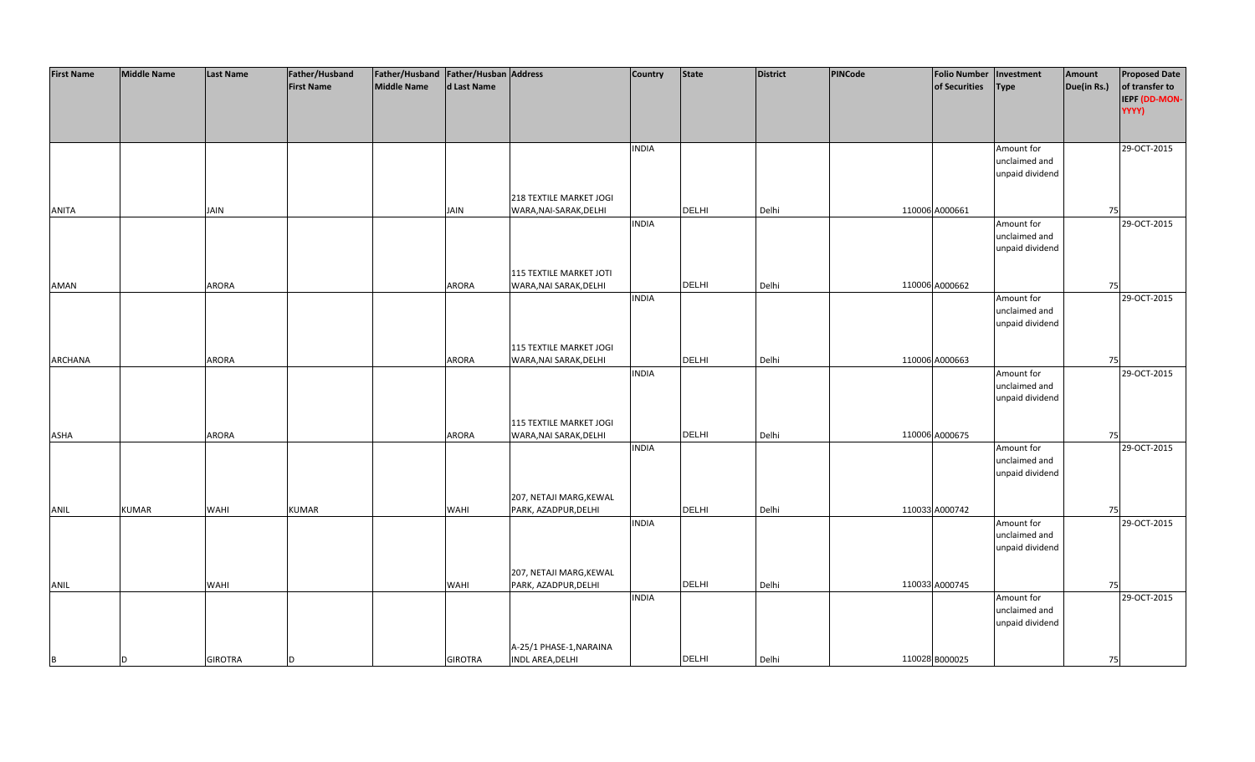| <b>First Name</b> | <b>Middle Name</b> | <b>Last Name</b> | Father/Husband    | Father/Husband Father/Husban Address |                |                         | Country      | State        | <b>District</b> | PINCode | Folio Number Investment |                 | Amount      | <b>Proposed Date</b> |
|-------------------|--------------------|------------------|-------------------|--------------------------------------|----------------|-------------------------|--------------|--------------|-----------------|---------|-------------------------|-----------------|-------------|----------------------|
|                   |                    |                  | <b>First Name</b> | <b>Middle Name</b>                   | d Last Name    |                         |              |              |                 |         | of Securities           | <b>Type</b>     | Due(in Rs.) | of transfer to       |
|                   |                    |                  |                   |                                      |                |                         |              |              |                 |         |                         |                 |             | IEPF (DD-MON-        |
|                   |                    |                  |                   |                                      |                |                         |              |              |                 |         |                         |                 |             | YYYY)                |
|                   |                    |                  |                   |                                      |                |                         |              |              |                 |         |                         |                 |             |                      |
|                   |                    |                  |                   |                                      |                |                         |              |              |                 |         |                         |                 |             |                      |
|                   |                    |                  |                   |                                      |                |                         | <b>INDIA</b> |              |                 |         |                         | Amount for      |             | 29-OCT-2015          |
|                   |                    |                  |                   |                                      |                |                         |              |              |                 |         |                         | unclaimed and   |             |                      |
|                   |                    |                  |                   |                                      |                |                         |              |              |                 |         |                         | unpaid dividend |             |                      |
|                   |                    |                  |                   |                                      |                |                         |              |              |                 |         |                         |                 |             |                      |
|                   |                    |                  |                   |                                      |                | 218 TEXTILE MARKET JOGI |              |              |                 |         |                         |                 |             |                      |
| <b>ANITA</b>      |                    | JAIN             |                   |                                      | JAIN           | WARA, NAI-SARAK, DELHI  |              | <b>DELHI</b> | Delhi           |         | 110006 A000661          |                 | 75          |                      |
|                   |                    |                  |                   |                                      |                |                         | <b>INDIA</b> |              |                 |         |                         | Amount for      |             | 29-OCT-2015          |
|                   |                    |                  |                   |                                      |                |                         |              |              |                 |         |                         | unclaimed and   |             |                      |
|                   |                    |                  |                   |                                      |                |                         |              |              |                 |         |                         | unpaid dividend |             |                      |
|                   |                    |                  |                   |                                      |                |                         |              |              |                 |         |                         |                 |             |                      |
|                   |                    |                  |                   |                                      |                | 115 TEXTILE MARKET JOTI |              |              |                 |         |                         |                 |             |                      |
| AMAN              |                    | ARORA            |                   |                                      | ARORA          | WARA, NAI SARAK, DELHI  |              | <b>DELHI</b> | Delhi           |         | 110006 A000662          |                 | 75          |                      |
|                   |                    |                  |                   |                                      |                |                         | <b>INDIA</b> |              |                 |         |                         | Amount for      |             | 29-OCT-2015          |
|                   |                    |                  |                   |                                      |                |                         |              |              |                 |         |                         | unclaimed and   |             |                      |
|                   |                    |                  |                   |                                      |                |                         |              |              |                 |         |                         | unpaid dividend |             |                      |
|                   |                    |                  |                   |                                      |                |                         |              |              |                 |         |                         |                 |             |                      |
|                   |                    |                  |                   |                                      |                | 115 TEXTILE MARKET JOGI |              |              |                 |         |                         |                 |             |                      |
| <b>ARCHANA</b>    |                    | ARORA            |                   |                                      | ARORA          | WARA, NAI SARAK, DELHI  |              | <b>DELHI</b> | Delhi           |         | 110006 A000663          |                 | 75          |                      |
|                   |                    |                  |                   |                                      |                |                         | <b>INDIA</b> |              |                 |         |                         | Amount for      |             | 29-OCT-2015          |
|                   |                    |                  |                   |                                      |                |                         |              |              |                 |         |                         | unclaimed and   |             |                      |
|                   |                    |                  |                   |                                      |                |                         |              |              |                 |         |                         | unpaid dividend |             |                      |
|                   |                    |                  |                   |                                      |                |                         |              |              |                 |         |                         |                 |             |                      |
|                   |                    |                  |                   |                                      |                | 115 TEXTILE MARKET JOGI |              |              |                 |         |                         |                 |             |                      |
| ASHA              |                    | ARORA            |                   |                                      | ARORA          | WARA, NAI SARAK, DELHI  |              | <b>DELHI</b> | Delhi           |         | 110006 A000675          |                 | 75          |                      |
|                   |                    |                  |                   |                                      |                |                         | <b>INDIA</b> |              |                 |         |                         | Amount for      |             | 29-OCT-2015          |
|                   |                    |                  |                   |                                      |                |                         |              |              |                 |         |                         | unclaimed and   |             |                      |
|                   |                    |                  |                   |                                      |                |                         |              |              |                 |         |                         | unpaid dividend |             |                      |
|                   |                    |                  |                   |                                      |                |                         |              |              |                 |         |                         |                 |             |                      |
|                   |                    |                  |                   |                                      |                | 207, NETAJI MARG, KEWAL |              |              |                 |         |                         |                 |             |                      |
| ANIL              | KUMAR              | WAHI             | <b>KUMAR</b>      |                                      | WAHI           | PARK, AZADPUR, DELHI    |              | <b>DELHI</b> | Delhi           |         | 110033 A000742          |                 | 75          |                      |
|                   |                    |                  |                   |                                      |                |                         | <b>INDIA</b> |              |                 |         |                         | Amount for      |             | 29-OCT-2015          |
|                   |                    |                  |                   |                                      |                |                         |              |              |                 |         |                         | unclaimed and   |             |                      |
|                   |                    |                  |                   |                                      |                |                         |              |              |                 |         |                         | unpaid dividend |             |                      |
|                   |                    |                  |                   |                                      |                |                         |              |              |                 |         |                         |                 |             |                      |
|                   |                    |                  |                   |                                      |                | 207, NETAJI MARG, KEWAL |              |              |                 |         |                         |                 |             |                      |
| ANIL              |                    | <b>WAHI</b>      |                   |                                      | <b>WAHI</b>    | PARK, AZADPUR, DELHI    |              | <b>DELHI</b> | Delhi           |         | 110033 A000745          |                 | 75          |                      |
|                   |                    |                  |                   |                                      |                |                         | <b>INDIA</b> |              |                 |         |                         | Amount for      |             | 29-OCT-2015          |
|                   |                    |                  |                   |                                      |                |                         |              |              |                 |         |                         | unclaimed and   |             |                      |
|                   |                    |                  |                   |                                      |                |                         |              |              |                 |         |                         | unpaid dividend |             |                      |
|                   |                    |                  |                   |                                      |                |                         |              |              |                 |         |                         |                 |             |                      |
|                   |                    |                  |                   |                                      |                | A-25/1 PHASE-1, NARAINA |              |              |                 |         |                         |                 |             |                      |
| B                 | D                  | <b>GIROTRA</b>   | <sub>D</sub>      |                                      | <b>GIROTRA</b> | INDL AREA, DELHI        |              | <b>DELHI</b> | Delhi           |         | 110028 B000025          |                 | 75          |                      |
|                   |                    |                  |                   |                                      |                |                         |              |              |                 |         |                         |                 |             |                      |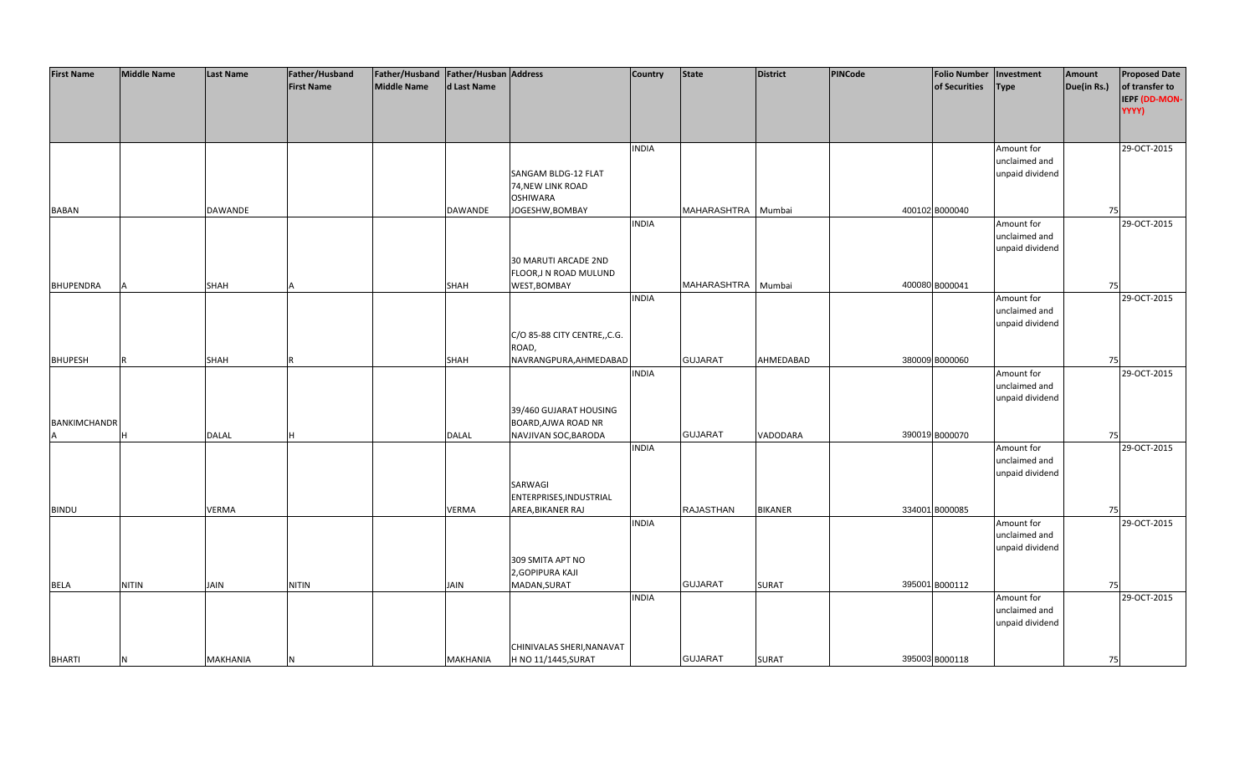| <b>First Name</b>   | <b>Middle Name</b> | <b>Last Name</b> | Father/Husband    | Father/Husband Father/Husban Address |                 |                                               | <b>Country</b> | <b>State</b>     | <b>District</b> | PINCode | <b>Folio Number</b> | Investment                  | Amount      | <b>Proposed Date</b> |
|---------------------|--------------------|------------------|-------------------|--------------------------------------|-----------------|-----------------------------------------------|----------------|------------------|-----------------|---------|---------------------|-----------------------------|-------------|----------------------|
|                     |                    |                  | <b>First Name</b> | <b>Middle Name</b>                   | d Last Name     |                                               |                |                  |                 |         | of Securities       | <b>Type</b>                 | Due(in Rs.) | of transfer to       |
|                     |                    |                  |                   |                                      |                 |                                               |                |                  |                 |         |                     |                             |             | IEPF (DD-MON-        |
|                     |                    |                  |                   |                                      |                 |                                               |                |                  |                 |         |                     |                             |             | YYYY)                |
|                     |                    |                  |                   |                                      |                 |                                               |                |                  |                 |         |                     |                             |             |                      |
|                     |                    |                  |                   |                                      |                 |                                               |                |                  |                 |         |                     |                             |             |                      |
|                     |                    |                  |                   |                                      |                 |                                               | <b>INDIA</b>   |                  |                 |         |                     | Amount for                  |             | 29-OCT-2015          |
|                     |                    |                  |                   |                                      |                 |                                               |                |                  |                 |         |                     | unclaimed and               |             |                      |
|                     |                    |                  |                   |                                      |                 | SANGAM BLDG-12 FLAT                           |                |                  |                 |         |                     | unpaid dividend             |             |                      |
|                     |                    |                  |                   |                                      |                 | 74, NEW LINK ROAD                             |                |                  |                 |         |                     |                             |             |                      |
|                     |                    |                  |                   |                                      |                 | <b>OSHIWARA</b>                               |                |                  |                 |         |                     |                             |             |                      |
| <b>BABAN</b>        |                    | <b>DAWANDE</b>   |                   |                                      | DAWANDE         | JOGESHW, BOMBAY                               |                | MAHARASHTRA      | Mumbai          |         | 400102 B000040      |                             | 75          |                      |
|                     |                    |                  |                   |                                      |                 |                                               | <b>INDIA</b>   |                  |                 |         |                     | Amount for                  |             | 29-OCT-2015          |
|                     |                    |                  |                   |                                      |                 |                                               |                |                  |                 |         |                     | unclaimed and               |             |                      |
|                     |                    |                  |                   |                                      |                 |                                               |                |                  |                 |         |                     | unpaid dividend             |             |                      |
|                     |                    |                  |                   |                                      |                 | 30 MARUTI ARCADE 2ND                          |                |                  |                 |         |                     |                             |             |                      |
|                     |                    |                  |                   |                                      |                 | FLOOR, JN ROAD MULUND                         |                |                  |                 |         |                     |                             |             |                      |
| <b>BHUPENDRA</b>    |                    |                  |                   |                                      |                 |                                               |                | MAHARASHTRA      |                 |         | 400080 B000041      |                             | 75          |                      |
|                     |                    | <b>SHAH</b>      |                   |                                      | SHAH            | WEST, BOMBAY                                  | <b>INDIA</b>   |                  | Mumbai          |         |                     |                             |             |                      |
|                     |                    |                  |                   |                                      |                 |                                               |                |                  |                 |         |                     | Amount for                  |             | 29-OCT-2015          |
|                     |                    |                  |                   |                                      |                 |                                               |                |                  |                 |         |                     | unclaimed and               |             |                      |
|                     |                    |                  |                   |                                      |                 |                                               |                |                  |                 |         |                     | unpaid dividend             |             |                      |
|                     |                    |                  |                   |                                      |                 | C/O 85-88 CITY CENTRE,, C.G.                  |                |                  |                 |         |                     |                             |             |                      |
|                     |                    |                  |                   |                                      |                 | ROAD,                                         |                | <b>GUJARAT</b>   |                 |         | 380009 B000060      |                             |             |                      |
| <b>BHUPESH</b>      |                    | <b>SHAH</b>      |                   |                                      | <b>SHAH</b>     | NAVRANGPURA, AHMEDABAD                        |                |                  | AHMEDABAD       |         |                     |                             | 75          |                      |
|                     |                    |                  |                   |                                      |                 |                                               | <b>INDIA</b>   |                  |                 |         |                     | Amount for<br>unclaimed and |             | 29-OCT-2015          |
|                     |                    |                  |                   |                                      |                 |                                               |                |                  |                 |         |                     |                             |             |                      |
|                     |                    |                  |                   |                                      |                 |                                               |                |                  |                 |         |                     | unpaid dividend             |             |                      |
| <b>BANKIMCHANDR</b> |                    |                  |                   |                                      |                 | 39/460 GUJARAT HOUSING<br>BOARD, AJWA ROAD NR |                |                  |                 |         |                     |                             |             |                      |
|                     | н                  | <b>DALAL</b>     |                   |                                      | <b>DALAL</b>    | NAVJIVAN SOC, BARODA                          |                | <b>GUJARAT</b>   | VADODARA        |         | 390019 B000070      |                             | 75          |                      |
|                     |                    |                  |                   |                                      |                 |                                               | <b>INDIA</b>   |                  |                 |         |                     | Amount for                  |             | 29-OCT-2015          |
|                     |                    |                  |                   |                                      |                 |                                               |                |                  |                 |         |                     | unclaimed and               |             |                      |
|                     |                    |                  |                   |                                      |                 |                                               |                |                  |                 |         |                     | unpaid dividend             |             |                      |
|                     |                    |                  |                   |                                      |                 | SARWAGI                                       |                |                  |                 |         |                     |                             |             |                      |
|                     |                    |                  |                   |                                      |                 | ENTERPRISES, INDUSTRIAL                       |                |                  |                 |         |                     |                             |             |                      |
| <b>BINDU</b>        |                    | <b>VERMA</b>     |                   |                                      | VERMA           | AREA, BIKANER RAJ                             |                | <b>RAJASTHAN</b> | <b>BIKANER</b>  |         | 334001 B000085      |                             | 75          |                      |
|                     |                    |                  |                   |                                      |                 |                                               | <b>INDIA</b>   |                  |                 |         |                     | Amount for                  |             | 29-OCT-2015          |
|                     |                    |                  |                   |                                      |                 |                                               |                |                  |                 |         |                     | unclaimed and               |             |                      |
|                     |                    |                  |                   |                                      |                 |                                               |                |                  |                 |         |                     | unpaid dividend             |             |                      |
|                     |                    |                  |                   |                                      |                 | 309 SMITA APT NO                              |                |                  |                 |         |                     |                             |             |                      |
|                     |                    |                  |                   |                                      |                 | 2, GOPIPURA KAJI                              |                |                  |                 |         |                     |                             |             |                      |
| <b>BELA</b>         | <b>NITIN</b>       | JAIN             | <b>NITIN</b>      |                                      | <b>JAIN</b>     | MADAN, SURAT                                  |                | <b>GUJARAT</b>   | <b>SURAT</b>    |         | 395001 B000112      |                             | 75          |                      |
|                     |                    |                  |                   |                                      |                 |                                               | <b>INDIA</b>   |                  |                 |         |                     | Amount for                  |             | 29-OCT-2015          |
|                     |                    |                  |                   |                                      |                 |                                               |                |                  |                 |         |                     | unclaimed and               |             |                      |
|                     |                    |                  |                   |                                      |                 |                                               |                |                  |                 |         |                     | unpaid dividend             |             |                      |
|                     |                    |                  |                   |                                      |                 |                                               |                |                  |                 |         |                     |                             |             |                      |
|                     |                    |                  |                   |                                      |                 | CHINIVALAS SHERI, NANAVAT                     |                |                  |                 |         |                     |                             |             |                      |
| <b>BHARTI</b>       | <b>N</b>           | <b>MAKHANIA</b>  | N                 |                                      | <b>MAKHANIA</b> | H NO 11/1445, SURAT                           |                | <b>GUJARAT</b>   | <b>SURAT</b>    |         | 395003 B000118      |                             | 75          |                      |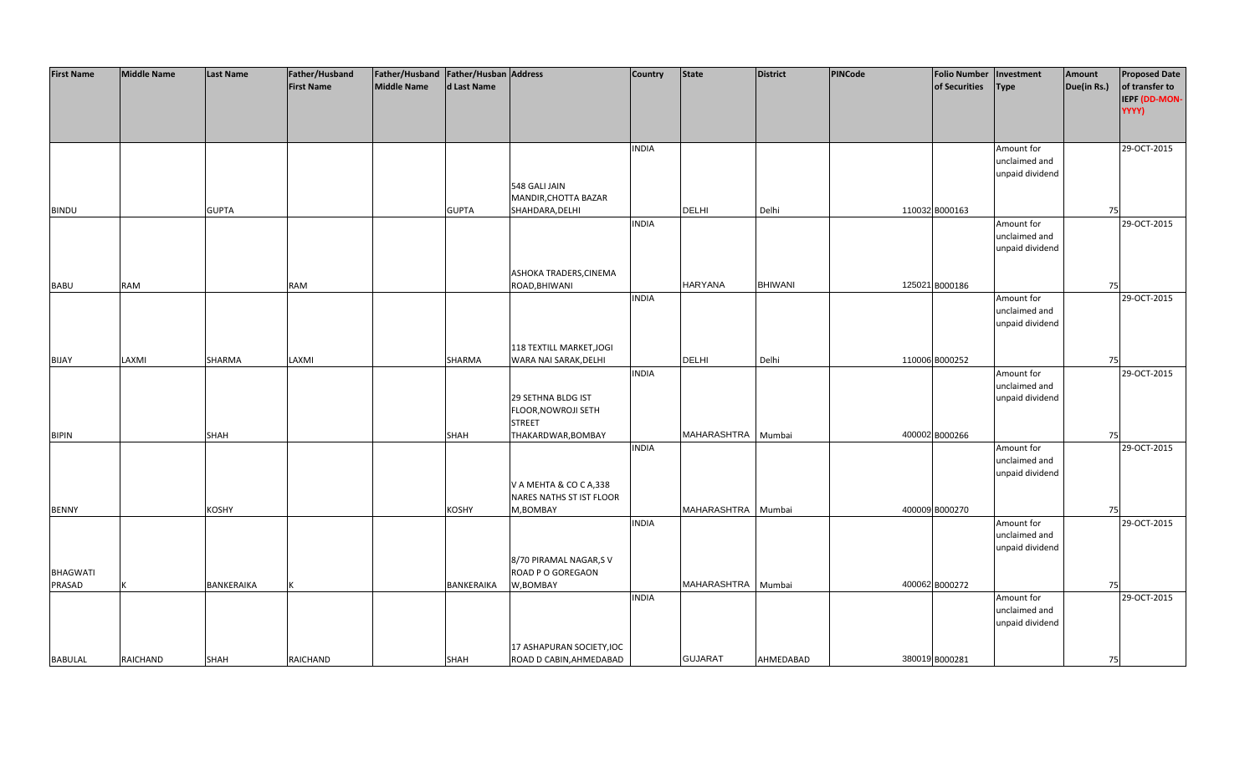| <b>First Name</b> | <b>Middle Name</b> | <b>Last Name</b> | Father/Husband    | Father/Husband   Father/Husban   Address |              |                           | <b>Country</b> | <b>State</b>       | <b>District</b> | PINCode | <b>Folio Number</b> | Investment      | Amount      | <b>Proposed Date</b> |
|-------------------|--------------------|------------------|-------------------|------------------------------------------|--------------|---------------------------|----------------|--------------------|-----------------|---------|---------------------|-----------------|-------------|----------------------|
|                   |                    |                  | <b>First Name</b> | <b>Middle Name</b>                       | d Last Name  |                           |                |                    |                 |         | of Securities       | <b>Type</b>     | Due(in Rs.) | of transfer to       |
|                   |                    |                  |                   |                                          |              |                           |                |                    |                 |         |                     |                 |             | IEPF (DD-MON-        |
|                   |                    |                  |                   |                                          |              |                           |                |                    |                 |         |                     |                 |             | YYYY)                |
|                   |                    |                  |                   |                                          |              |                           |                |                    |                 |         |                     |                 |             |                      |
|                   |                    |                  |                   |                                          |              |                           |                |                    |                 |         |                     |                 |             |                      |
|                   |                    |                  |                   |                                          |              |                           | <b>INDIA</b>   |                    |                 |         |                     | Amount for      |             | 29-OCT-2015          |
|                   |                    |                  |                   |                                          |              |                           |                |                    |                 |         |                     | unclaimed and   |             |                      |
|                   |                    |                  |                   |                                          |              |                           |                |                    |                 |         |                     | unpaid dividend |             |                      |
|                   |                    |                  |                   |                                          |              | 548 GALI JAIN             |                |                    |                 |         |                     |                 |             |                      |
|                   |                    |                  |                   |                                          |              | MANDIR, CHOTTA BAZAR      |                |                    |                 |         |                     |                 |             |                      |
|                   |                    | <b>GUPTA</b>     |                   |                                          |              | SHAHDARA, DELHI           |                | DELHI              | Delhi           |         | 110032 B000163      |                 | 75          |                      |
| <b>BINDU</b>      |                    |                  |                   |                                          | <b>GUPTA</b> |                           | <b>INDIA</b>   |                    |                 |         |                     |                 |             | 29-OCT-2015          |
|                   |                    |                  |                   |                                          |              |                           |                |                    |                 |         |                     | Amount for      |             |                      |
|                   |                    |                  |                   |                                          |              |                           |                |                    |                 |         |                     | unclaimed and   |             |                      |
|                   |                    |                  |                   |                                          |              |                           |                |                    |                 |         |                     | unpaid dividend |             |                      |
|                   |                    |                  |                   |                                          |              |                           |                |                    |                 |         |                     |                 |             |                      |
|                   |                    |                  |                   |                                          |              | ASHOKA TRADERS, CINEMA    |                |                    |                 |         |                     |                 |             |                      |
| <b>BABU</b>       | <b>RAM</b>         |                  | RAM               |                                          |              | ROAD, BHIWANI             |                | <b>HARYANA</b>     | <b>BHIWANI</b>  |         | 125021 B000186      |                 | 75          |                      |
|                   |                    |                  |                   |                                          |              |                           | <b>INDIA</b>   |                    |                 |         |                     | Amount for      |             | 29-OCT-2015          |
|                   |                    |                  |                   |                                          |              |                           |                |                    |                 |         |                     | unclaimed and   |             |                      |
|                   |                    |                  |                   |                                          |              |                           |                |                    |                 |         |                     | unpaid dividend |             |                      |
|                   |                    |                  |                   |                                          |              |                           |                |                    |                 |         |                     |                 |             |                      |
|                   |                    |                  |                   |                                          |              | 118 TEXTILL MARKET, JOGI  |                |                    |                 |         |                     |                 |             |                      |
| <b>BIJAY</b>      | LAXMI              | SHARMA           | LAXMI             |                                          | SHARMA       | WARA NAI SARAK, DELHI     |                | DELHI              | Delhi           |         | 110006 B000252      |                 | 75          |                      |
|                   |                    |                  |                   |                                          |              |                           | <b>INDIA</b>   |                    |                 |         |                     | Amount for      |             | 29-OCT-2015          |
|                   |                    |                  |                   |                                          |              |                           |                |                    |                 |         |                     | unclaimed and   |             |                      |
|                   |                    |                  |                   |                                          |              | 29 SETHNA BLDG IST        |                |                    |                 |         |                     | unpaid dividend |             |                      |
|                   |                    |                  |                   |                                          |              | FLOOR, NOWROJI SETH       |                |                    |                 |         |                     |                 |             |                      |
|                   |                    |                  |                   |                                          |              | <b>STREET</b>             |                |                    |                 |         |                     |                 |             |                      |
| <b>BIPIN</b>      |                    | <b>SHAH</b>      |                   |                                          | <b>SHAH</b>  | THAKARDWAR, BOMBAY        |                | MAHARASHTRA        | Mumbai          |         | 400002 B000266      |                 | 75          |                      |
|                   |                    |                  |                   |                                          |              |                           | <b>INDIA</b>   |                    |                 |         |                     | Amount for      |             | 29-OCT-2015          |
|                   |                    |                  |                   |                                          |              |                           |                |                    |                 |         |                     | unclaimed and   |             |                      |
|                   |                    |                  |                   |                                          |              |                           |                |                    |                 |         |                     | unpaid dividend |             |                      |
|                   |                    |                  |                   |                                          |              | V A MEHTA & CO C A,338    |                |                    |                 |         |                     |                 |             |                      |
|                   |                    |                  |                   |                                          |              | NARES NATHS ST IST FLOOR  |                |                    |                 |         |                     |                 |             |                      |
| <b>BENNY</b>      |                    | <b>KOSHY</b>     |                   |                                          | <b>KOSHY</b> | M,BOMBAY                  |                | MAHARASHTRA        | Mumbai          |         | 400009 B000270      |                 | 75          |                      |
|                   |                    |                  |                   |                                          |              |                           | <b>INDIA</b>   |                    |                 |         |                     | Amount for      |             | 29-OCT-2015          |
|                   |                    |                  |                   |                                          |              |                           |                |                    |                 |         |                     | unclaimed and   |             |                      |
|                   |                    |                  |                   |                                          |              |                           |                |                    |                 |         |                     | unpaid dividend |             |                      |
|                   |                    |                  |                   |                                          |              | 8/70 PIRAMAL NAGAR, SV    |                |                    |                 |         |                     |                 |             |                      |
| <b>BHAGWATI</b>   |                    |                  |                   |                                          |              | ROAD P O GOREGAON         |                |                    |                 |         |                     |                 |             |                      |
| PRASAD            |                    | BANKERAIKA       |                   |                                          | BANKERAIKA   | W,BOMBAY                  |                | MAHARASHTRA Mumbai |                 |         | 400062 B000272      |                 | 75          |                      |
|                   |                    |                  |                   |                                          |              |                           | <b>INDIA</b>   |                    |                 |         |                     | Amount for      |             | 29-OCT-2015          |
|                   |                    |                  |                   |                                          |              |                           |                |                    |                 |         |                     | unclaimed and   |             |                      |
|                   |                    |                  |                   |                                          |              |                           |                |                    |                 |         |                     | unpaid dividend |             |                      |
|                   |                    |                  |                   |                                          |              |                           |                |                    |                 |         |                     |                 |             |                      |
|                   |                    |                  |                   |                                          |              | 17 ASHAPURAN SOCIETY, IOC |                |                    |                 |         |                     |                 |             |                      |
| <b>BABULAL</b>    | <b>RAICHAND</b>    | <b>SHAH</b>      | RAICHAND          |                                          | <b>SHAH</b>  | ROAD D CABIN, AHMEDABAD   |                | <b>GUJARAT</b>     | AHMEDABAD       |         | 380019 B000281      |                 | 75          |                      |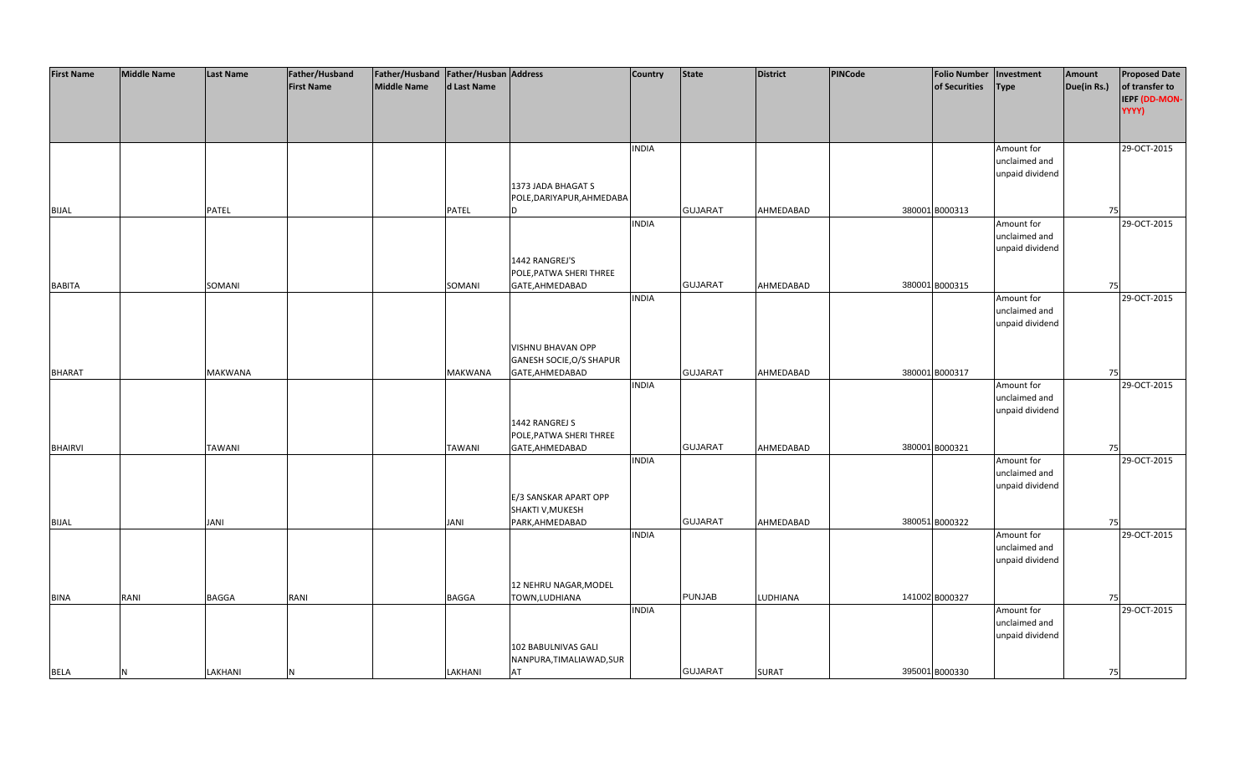| <b>First Name</b> | <b>Middle Name</b> | <b>Last Name</b> | Father/Husband    | Father/Husband Father/Husban Address |                |                           | <b>Country</b> | <b>State</b>   | <b>District</b> | <b>PINCode</b> | <b>Folio Number</b> | Investment      | Amount      | <b>Proposed Date</b> |
|-------------------|--------------------|------------------|-------------------|--------------------------------------|----------------|---------------------------|----------------|----------------|-----------------|----------------|---------------------|-----------------|-------------|----------------------|
|                   |                    |                  | <b>First Name</b> | <b>Middle Name</b>                   | d Last Name    |                           |                |                |                 |                | of Securities       | <b>Type</b>     | Due(in Rs.) | of transfer to       |
|                   |                    |                  |                   |                                      |                |                           |                |                |                 |                |                     |                 |             | IEPF (DD-MON-        |
|                   |                    |                  |                   |                                      |                |                           |                |                |                 |                |                     |                 |             | YYYY)                |
|                   |                    |                  |                   |                                      |                |                           |                |                |                 |                |                     |                 |             |                      |
|                   |                    |                  |                   |                                      |                |                           |                |                |                 |                |                     |                 |             |                      |
|                   |                    |                  |                   |                                      |                |                           | <b>INDIA</b>   |                |                 |                |                     | Amount for      |             | 29-OCT-2015          |
|                   |                    |                  |                   |                                      |                |                           |                |                |                 |                |                     | unclaimed and   |             |                      |
|                   |                    |                  |                   |                                      |                |                           |                |                |                 |                |                     | unpaid dividend |             |                      |
|                   |                    |                  |                   |                                      |                | 1373 JADA BHAGAT S        |                |                |                 |                |                     |                 |             |                      |
|                   |                    |                  |                   |                                      |                |                           |                |                |                 |                |                     |                 |             |                      |
|                   |                    |                  |                   |                                      |                | POLE, DARIYAPUR, AHMEDABA |                | <b>GUJARAT</b> |                 |                |                     |                 |             |                      |
| <b>BIJAL</b>      |                    | PATEL            |                   |                                      | PATEL          | n                         |                |                | AHMEDABAD       |                | 380001 B000313      |                 | 75          |                      |
|                   |                    |                  |                   |                                      |                |                           | <b>INDIA</b>   |                |                 |                |                     | Amount for      |             | 29-OCT-2015          |
|                   |                    |                  |                   |                                      |                |                           |                |                |                 |                |                     | unclaimed and   |             |                      |
|                   |                    |                  |                   |                                      |                |                           |                |                |                 |                |                     | unpaid dividend |             |                      |
|                   |                    |                  |                   |                                      |                | 1442 RANGREJ'S            |                |                |                 |                |                     |                 |             |                      |
|                   |                    |                  |                   |                                      |                | POLE, PATWA SHERI THREE   |                |                |                 |                |                     |                 |             |                      |
| <b>BABITA</b>     |                    | SOMANI           |                   |                                      | SOMANI         | GATE, AHMEDABAD           |                | <b>GUJARAT</b> | AHMEDABAD       |                | 380001 B000315      |                 | 75          |                      |
|                   |                    |                  |                   |                                      |                |                           | <b>INDIA</b>   |                |                 |                |                     | Amount for      |             | 29-OCT-2015          |
|                   |                    |                  |                   |                                      |                |                           |                |                |                 |                |                     | unclaimed and   |             |                      |
|                   |                    |                  |                   |                                      |                |                           |                |                |                 |                |                     | unpaid dividend |             |                      |
|                   |                    |                  |                   |                                      |                |                           |                |                |                 |                |                     |                 |             |                      |
|                   |                    |                  |                   |                                      |                | VISHNU BHAVAN OPP         |                |                |                 |                |                     |                 |             |                      |
|                   |                    |                  |                   |                                      |                | GANESH SOCIE, O/S SHAPUR  |                |                |                 |                |                     |                 |             |                      |
| <b>BHARAT</b>     |                    | <b>MAKWANA</b>   |                   |                                      | <b>MAKWANA</b> | GATE, AHMEDABAD           |                | <b>GUJARAT</b> | AHMEDABAD       |                | 380001 B000317      |                 | 75          |                      |
|                   |                    |                  |                   |                                      |                |                           | <b>INDIA</b>   |                |                 |                |                     | Amount for      |             | 29-OCT-2015          |
|                   |                    |                  |                   |                                      |                |                           |                |                |                 |                |                     | unclaimed and   |             |                      |
|                   |                    |                  |                   |                                      |                |                           |                |                |                 |                |                     | unpaid dividend |             |                      |
|                   |                    |                  |                   |                                      |                | 1442 RANGREJ S            |                |                |                 |                |                     |                 |             |                      |
|                   |                    |                  |                   |                                      |                | POLE, PATWA SHERI THREE   |                |                |                 |                |                     |                 |             |                      |
| <b>BHAIRVI</b>    |                    | <b>TAWANI</b>    |                   |                                      | <b>TAWANI</b>  | GATE, AHMEDABAD           |                | <b>GUJARAT</b> | AHMEDABAD       |                | 380001 B000321      |                 | 75          |                      |
|                   |                    |                  |                   |                                      |                |                           | <b>INDIA</b>   |                |                 |                |                     | Amount for      |             | 29-OCT-2015          |
|                   |                    |                  |                   |                                      |                |                           |                |                |                 |                |                     | unclaimed and   |             |                      |
|                   |                    |                  |                   |                                      |                |                           |                |                |                 |                |                     | unpaid dividend |             |                      |
|                   |                    |                  |                   |                                      |                | E/3 SANSKAR APART OPP     |                |                |                 |                |                     |                 |             |                      |
|                   |                    |                  |                   |                                      |                | SHAKTI V, MUKESH          |                |                |                 |                |                     |                 |             |                      |
| <b>BIJAL</b>      |                    | JANI             |                   |                                      | JANI           | PARK, AHMEDABAD           |                | <b>GUJARAT</b> | AHMEDABAD       |                | 380051 B000322      |                 | 75          |                      |
|                   |                    |                  |                   |                                      |                |                           | <b>INDIA</b>   |                |                 |                |                     | Amount for      |             | 29-OCT-2015          |
|                   |                    |                  |                   |                                      |                |                           |                |                |                 |                |                     | unclaimed and   |             |                      |
|                   |                    |                  |                   |                                      |                |                           |                |                |                 |                |                     |                 |             |                      |
|                   |                    |                  |                   |                                      |                |                           |                |                |                 |                |                     | unpaid dividend |             |                      |
|                   |                    |                  |                   |                                      |                |                           |                |                |                 |                |                     |                 |             |                      |
|                   |                    |                  |                   |                                      |                | 12 NEHRU NAGAR, MODEL     |                |                |                 |                |                     |                 |             |                      |
| <b>BINA</b>       | RANI               | <b>BAGGA</b>     | RANI              |                                      | <b>BAGGA</b>   | TOWN, LUDHIANA            |                | <b>PUNJAB</b>  | LUDHIANA        |                | 141002 B000327      |                 | 75          |                      |
|                   |                    |                  |                   |                                      |                |                           | <b>INDIA</b>   |                |                 |                |                     | Amount for      |             | 29-OCT-2015          |
|                   |                    |                  |                   |                                      |                |                           |                |                |                 |                |                     | unclaimed and   |             |                      |
|                   |                    |                  |                   |                                      |                |                           |                |                |                 |                |                     | unpaid dividend |             |                      |
|                   |                    |                  |                   |                                      |                | 102 BABULNIVAS GALI       |                |                |                 |                |                     |                 |             |                      |
|                   |                    |                  |                   |                                      |                | NANPURA, TIMALIAWAD, SUR  |                |                |                 |                |                     |                 |             |                      |
| <b>BELA</b>       | N                  | LAKHANI          | N                 |                                      | LAKHANI        | AT                        |                | <b>GUJARAT</b> | <b>SURAT</b>    |                | 395001 B000330      |                 | 75          |                      |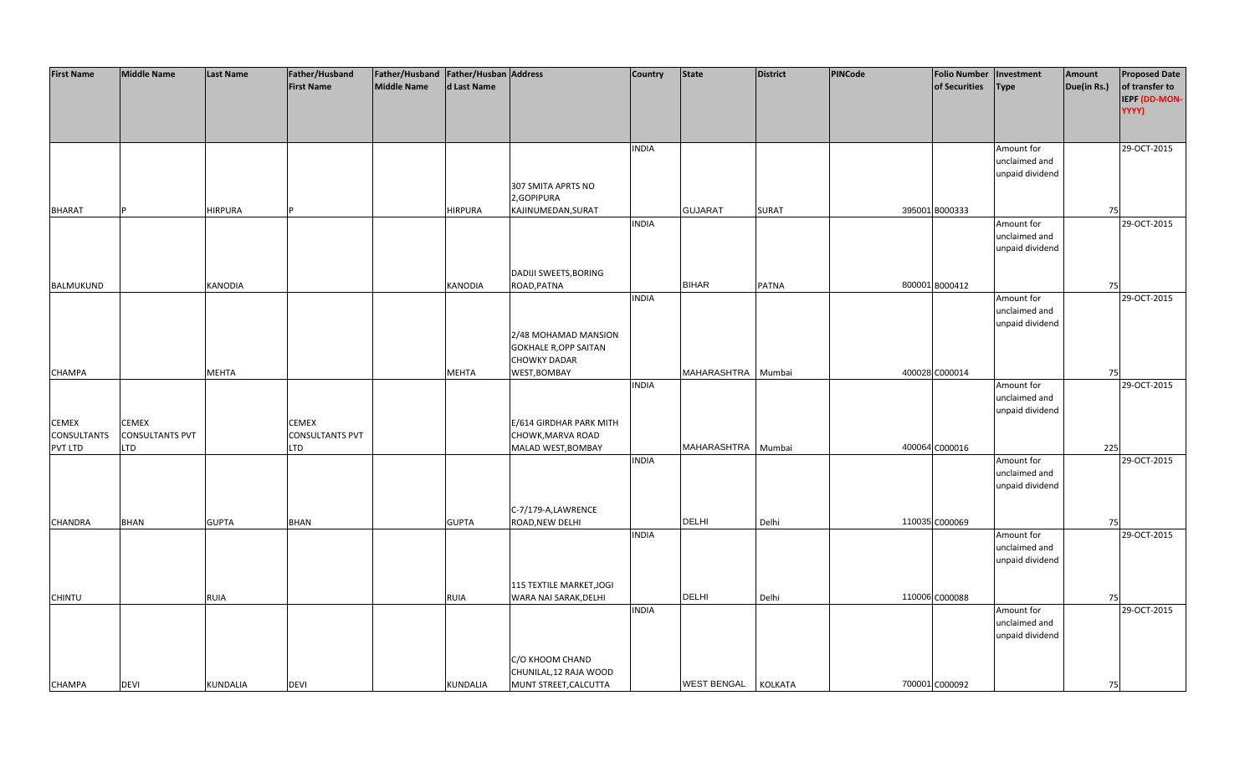| of transfer to<br><b>First Name</b><br><b>Middle Name</b><br>d Last Name<br>of Securities<br>Due(in Rs.)<br><b>Type</b><br>IEPF (DD-MON-<br>YYYY)<br>29-OCT-2015<br><b>INDIA</b><br>Amount for<br>unclaimed and<br>unpaid dividend<br>307 SMITA APRTS NO<br>2,GOPIPURA<br><b>GUJARAT</b><br>395001 B000333<br><b>BHARAT</b><br><b>HIRPURA</b><br><b>HIRPURA</b><br>KAJINUMEDAN, SURAT<br><b>SURAT</b><br>75<br><b>INDIA</b><br>Amount for<br>29-OCT-2015<br>unclaimed and<br>unpaid dividend<br>DADIJI SWEETS, BORING<br><b>BIHAR</b><br><b>KANODIA</b><br><b>PATNA</b><br>800001 B000412<br>BALMUKUND<br>KANODIA<br>ROAD, PATNA<br>75<br>29-OCT-2015<br><b>INDIA</b><br>Amount for<br>unclaimed and<br>unpaid dividend<br>2/48 MOHAMAD MANSION<br><b>GOKHALE R, OPP SAITAN</b><br><b>CHOWKY DADAR</b><br>MAHARASHTRA Mumbai<br>400028 C000014<br>MEHTA<br>WEST, BOMBAY<br><b>CHAMPA</b><br>MEHTA<br>75<br><b>INDIA</b><br>Amount for<br>29-OCT-2015<br>unclaimed and<br>unpaid dividend<br><b>CEMEX</b><br><b>CEMEX</b><br><b>CEMEX</b><br>E/614 GIRDHAR PARK MITH<br><b>CONSULTANTS PVT</b><br><b>CONSULTANTS</b><br><b>CONSULTANTS PVT</b><br>CHOWK, MARVA ROAD<br>MAHARASHTRA<br>400064 C000016<br>MALAD WEST, BOMBAY<br>Mumbai<br>225<br>PVT LTD<br>LTD<br><b>LTD</b><br>29-OCT-2015<br><b>INDIA</b><br>Amount for<br>unclaimed and<br>unpaid dividend<br>C-7/179-A,LAWRENCE<br><b>DELHI</b><br>110035 C000069<br><b>BHAN</b><br><b>GUPTA</b><br>Delhi<br><b>BHAN</b><br><b>GUPTA</b><br>ROAD, NEW DELHI<br>75<br>29-OCT-2015<br><b>INDIA</b><br>Amount for<br>unclaimed and<br>unpaid dividend<br>115 TEXTILE MARKET, JOGI<br><b>DELHI</b><br>110006 C000088<br>RUIA<br>WARA NAI SARAK, DELHI<br>Delhi<br><b>CHINTU</b><br>RUIA<br>75<br>29-OCT-2015<br><b>INDIA</b><br>Amount for<br>unclaimed and<br>unpaid dividend<br>C/O KHOOM CHAND<br>CHUNILAL, 12 RAJA WOOD<br>700001 C000092 | <b>First Name</b> | <b>Middle Name</b> | <b>Last Name</b> | Father/Husband | Father/Husband   Father/Husban   Address |          |                       | <b>Country</b> | <b>State</b>       | <b>District</b> | <b>PINCode</b> | <b>Folio Number</b> | Investment | Amount | <b>Proposed Date</b> |
|---------------------------------------------------------------------------------------------------------------------------------------------------------------------------------------------------------------------------------------------------------------------------------------------------------------------------------------------------------------------------------------------------------------------------------------------------------------------------------------------------------------------------------------------------------------------------------------------------------------------------------------------------------------------------------------------------------------------------------------------------------------------------------------------------------------------------------------------------------------------------------------------------------------------------------------------------------------------------------------------------------------------------------------------------------------------------------------------------------------------------------------------------------------------------------------------------------------------------------------------------------------------------------------------------------------------------------------------------------------------------------------------------------------------------------------------------------------------------------------------------------------------------------------------------------------------------------------------------------------------------------------------------------------------------------------------------------------------------------------------------------------------------------------------------------------------------------------------------------------------------------------------|-------------------|--------------------|------------------|----------------|------------------------------------------|----------|-----------------------|----------------|--------------------|-----------------|----------------|---------------------|------------|--------|----------------------|
|                                                                                                                                                                                                                                                                                                                                                                                                                                                                                                                                                                                                                                                                                                                                                                                                                                                                                                                                                                                                                                                                                                                                                                                                                                                                                                                                                                                                                                                                                                                                                                                                                                                                                                                                                                                                                                                                                             |                   |                    |                  |                |                                          |          |                       |                |                    |                 |                |                     |            |        |                      |
|                                                                                                                                                                                                                                                                                                                                                                                                                                                                                                                                                                                                                                                                                                                                                                                                                                                                                                                                                                                                                                                                                                                                                                                                                                                                                                                                                                                                                                                                                                                                                                                                                                                                                                                                                                                                                                                                                             |                   |                    |                  |                |                                          |          |                       |                |                    |                 |                |                     |            |        |                      |
|                                                                                                                                                                                                                                                                                                                                                                                                                                                                                                                                                                                                                                                                                                                                                                                                                                                                                                                                                                                                                                                                                                                                                                                                                                                                                                                                                                                                                                                                                                                                                                                                                                                                                                                                                                                                                                                                                             |                   |                    |                  |                |                                          |          |                       |                |                    |                 |                |                     |            |        |                      |
|                                                                                                                                                                                                                                                                                                                                                                                                                                                                                                                                                                                                                                                                                                                                                                                                                                                                                                                                                                                                                                                                                                                                                                                                                                                                                                                                                                                                                                                                                                                                                                                                                                                                                                                                                                                                                                                                                             |                   |                    |                  |                |                                          |          |                       |                |                    |                 |                |                     |            |        |                      |
|                                                                                                                                                                                                                                                                                                                                                                                                                                                                                                                                                                                                                                                                                                                                                                                                                                                                                                                                                                                                                                                                                                                                                                                                                                                                                                                                                                                                                                                                                                                                                                                                                                                                                                                                                                                                                                                                                             |                   |                    |                  |                |                                          |          |                       |                |                    |                 |                |                     |            |        |                      |
|                                                                                                                                                                                                                                                                                                                                                                                                                                                                                                                                                                                                                                                                                                                                                                                                                                                                                                                                                                                                                                                                                                                                                                                                                                                                                                                                                                                                                                                                                                                                                                                                                                                                                                                                                                                                                                                                                             |                   |                    |                  |                |                                          |          |                       |                |                    |                 |                |                     |            |        |                      |
|                                                                                                                                                                                                                                                                                                                                                                                                                                                                                                                                                                                                                                                                                                                                                                                                                                                                                                                                                                                                                                                                                                                                                                                                                                                                                                                                                                                                                                                                                                                                                                                                                                                                                                                                                                                                                                                                                             |                   |                    |                  |                |                                          |          |                       |                |                    |                 |                |                     |            |        |                      |
|                                                                                                                                                                                                                                                                                                                                                                                                                                                                                                                                                                                                                                                                                                                                                                                                                                                                                                                                                                                                                                                                                                                                                                                                                                                                                                                                                                                                                                                                                                                                                                                                                                                                                                                                                                                                                                                                                             |                   |                    |                  |                |                                          |          |                       |                |                    |                 |                |                     |            |        |                      |
|                                                                                                                                                                                                                                                                                                                                                                                                                                                                                                                                                                                                                                                                                                                                                                                                                                                                                                                                                                                                                                                                                                                                                                                                                                                                                                                                                                                                                                                                                                                                                                                                                                                                                                                                                                                                                                                                                             |                   |                    |                  |                |                                          |          |                       |                |                    |                 |                |                     |            |        |                      |
|                                                                                                                                                                                                                                                                                                                                                                                                                                                                                                                                                                                                                                                                                                                                                                                                                                                                                                                                                                                                                                                                                                                                                                                                                                                                                                                                                                                                                                                                                                                                                                                                                                                                                                                                                                                                                                                                                             |                   |                    |                  |                |                                          |          |                       |                |                    |                 |                |                     |            |        |                      |
|                                                                                                                                                                                                                                                                                                                                                                                                                                                                                                                                                                                                                                                                                                                                                                                                                                                                                                                                                                                                                                                                                                                                                                                                                                                                                                                                                                                                                                                                                                                                                                                                                                                                                                                                                                                                                                                                                             |                   |                    |                  |                |                                          |          |                       |                |                    |                 |                |                     |            |        |                      |
|                                                                                                                                                                                                                                                                                                                                                                                                                                                                                                                                                                                                                                                                                                                                                                                                                                                                                                                                                                                                                                                                                                                                                                                                                                                                                                                                                                                                                                                                                                                                                                                                                                                                                                                                                                                                                                                                                             |                   |                    |                  |                |                                          |          |                       |                |                    |                 |                |                     |            |        |                      |
|                                                                                                                                                                                                                                                                                                                                                                                                                                                                                                                                                                                                                                                                                                                                                                                                                                                                                                                                                                                                                                                                                                                                                                                                                                                                                                                                                                                                                                                                                                                                                                                                                                                                                                                                                                                                                                                                                             |                   |                    |                  |                |                                          |          |                       |                |                    |                 |                |                     |            |        |                      |
|                                                                                                                                                                                                                                                                                                                                                                                                                                                                                                                                                                                                                                                                                                                                                                                                                                                                                                                                                                                                                                                                                                                                                                                                                                                                                                                                                                                                                                                                                                                                                                                                                                                                                                                                                                                                                                                                                             |                   |                    |                  |                |                                          |          |                       |                |                    |                 |                |                     |            |        |                      |
|                                                                                                                                                                                                                                                                                                                                                                                                                                                                                                                                                                                                                                                                                                                                                                                                                                                                                                                                                                                                                                                                                                                                                                                                                                                                                                                                                                                                                                                                                                                                                                                                                                                                                                                                                                                                                                                                                             |                   |                    |                  |                |                                          |          |                       |                |                    |                 |                |                     |            |        |                      |
|                                                                                                                                                                                                                                                                                                                                                                                                                                                                                                                                                                                                                                                                                                                                                                                                                                                                                                                                                                                                                                                                                                                                                                                                                                                                                                                                                                                                                                                                                                                                                                                                                                                                                                                                                                                                                                                                                             |                   |                    |                  |                |                                          |          |                       |                |                    |                 |                |                     |            |        |                      |
|                                                                                                                                                                                                                                                                                                                                                                                                                                                                                                                                                                                                                                                                                                                                                                                                                                                                                                                                                                                                                                                                                                                                                                                                                                                                                                                                                                                                                                                                                                                                                                                                                                                                                                                                                                                                                                                                                             |                   |                    |                  |                |                                          |          |                       |                |                    |                 |                |                     |            |        |                      |
|                                                                                                                                                                                                                                                                                                                                                                                                                                                                                                                                                                                                                                                                                                                                                                                                                                                                                                                                                                                                                                                                                                                                                                                                                                                                                                                                                                                                                                                                                                                                                                                                                                                                                                                                                                                                                                                                                             |                   |                    |                  |                |                                          |          |                       |                |                    |                 |                |                     |            |        |                      |
|                                                                                                                                                                                                                                                                                                                                                                                                                                                                                                                                                                                                                                                                                                                                                                                                                                                                                                                                                                                                                                                                                                                                                                                                                                                                                                                                                                                                                                                                                                                                                                                                                                                                                                                                                                                                                                                                                             |                   |                    |                  |                |                                          |          |                       |                |                    |                 |                |                     |            |        |                      |
|                                                                                                                                                                                                                                                                                                                                                                                                                                                                                                                                                                                                                                                                                                                                                                                                                                                                                                                                                                                                                                                                                                                                                                                                                                                                                                                                                                                                                                                                                                                                                                                                                                                                                                                                                                                                                                                                                             |                   |                    |                  |                |                                          |          |                       |                |                    |                 |                |                     |            |        |                      |
|                                                                                                                                                                                                                                                                                                                                                                                                                                                                                                                                                                                                                                                                                                                                                                                                                                                                                                                                                                                                                                                                                                                                                                                                                                                                                                                                                                                                                                                                                                                                                                                                                                                                                                                                                                                                                                                                                             |                   |                    |                  |                |                                          |          |                       |                |                    |                 |                |                     |            |        |                      |
|                                                                                                                                                                                                                                                                                                                                                                                                                                                                                                                                                                                                                                                                                                                                                                                                                                                                                                                                                                                                                                                                                                                                                                                                                                                                                                                                                                                                                                                                                                                                                                                                                                                                                                                                                                                                                                                                                             |                   |                    |                  |                |                                          |          |                       |                |                    |                 |                |                     |            |        |                      |
|                                                                                                                                                                                                                                                                                                                                                                                                                                                                                                                                                                                                                                                                                                                                                                                                                                                                                                                                                                                                                                                                                                                                                                                                                                                                                                                                                                                                                                                                                                                                                                                                                                                                                                                                                                                                                                                                                             |                   |                    |                  |                |                                          |          |                       |                |                    |                 |                |                     |            |        |                      |
|                                                                                                                                                                                                                                                                                                                                                                                                                                                                                                                                                                                                                                                                                                                                                                                                                                                                                                                                                                                                                                                                                                                                                                                                                                                                                                                                                                                                                                                                                                                                                                                                                                                                                                                                                                                                                                                                                             |                   |                    |                  |                |                                          |          |                       |                |                    |                 |                |                     |            |        |                      |
|                                                                                                                                                                                                                                                                                                                                                                                                                                                                                                                                                                                                                                                                                                                                                                                                                                                                                                                                                                                                                                                                                                                                                                                                                                                                                                                                                                                                                                                                                                                                                                                                                                                                                                                                                                                                                                                                                             |                   |                    |                  |                |                                          |          |                       |                |                    |                 |                |                     |            |        |                      |
|                                                                                                                                                                                                                                                                                                                                                                                                                                                                                                                                                                                                                                                                                                                                                                                                                                                                                                                                                                                                                                                                                                                                                                                                                                                                                                                                                                                                                                                                                                                                                                                                                                                                                                                                                                                                                                                                                             |                   |                    |                  |                |                                          |          |                       |                |                    |                 |                |                     |            |        |                      |
|                                                                                                                                                                                                                                                                                                                                                                                                                                                                                                                                                                                                                                                                                                                                                                                                                                                                                                                                                                                                                                                                                                                                                                                                                                                                                                                                                                                                                                                                                                                                                                                                                                                                                                                                                                                                                                                                                             |                   |                    |                  |                |                                          |          |                       |                |                    |                 |                |                     |            |        |                      |
|                                                                                                                                                                                                                                                                                                                                                                                                                                                                                                                                                                                                                                                                                                                                                                                                                                                                                                                                                                                                                                                                                                                                                                                                                                                                                                                                                                                                                                                                                                                                                                                                                                                                                                                                                                                                                                                                                             |                   |                    |                  |                |                                          |          |                       |                |                    |                 |                |                     |            |        |                      |
|                                                                                                                                                                                                                                                                                                                                                                                                                                                                                                                                                                                                                                                                                                                                                                                                                                                                                                                                                                                                                                                                                                                                                                                                                                                                                                                                                                                                                                                                                                                                                                                                                                                                                                                                                                                                                                                                                             |                   |                    |                  |                |                                          |          |                       |                |                    |                 |                |                     |            |        |                      |
|                                                                                                                                                                                                                                                                                                                                                                                                                                                                                                                                                                                                                                                                                                                                                                                                                                                                                                                                                                                                                                                                                                                                                                                                                                                                                                                                                                                                                                                                                                                                                                                                                                                                                                                                                                                                                                                                                             |                   |                    |                  |                |                                          |          |                       |                |                    |                 |                |                     |            |        |                      |
|                                                                                                                                                                                                                                                                                                                                                                                                                                                                                                                                                                                                                                                                                                                                                                                                                                                                                                                                                                                                                                                                                                                                                                                                                                                                                                                                                                                                                                                                                                                                                                                                                                                                                                                                                                                                                                                                                             |                   |                    |                  |                |                                          |          |                       |                |                    |                 |                |                     |            |        |                      |
|                                                                                                                                                                                                                                                                                                                                                                                                                                                                                                                                                                                                                                                                                                                                                                                                                                                                                                                                                                                                                                                                                                                                                                                                                                                                                                                                                                                                                                                                                                                                                                                                                                                                                                                                                                                                                                                                                             |                   |                    |                  |                |                                          |          |                       |                |                    |                 |                |                     |            |        |                      |
|                                                                                                                                                                                                                                                                                                                                                                                                                                                                                                                                                                                                                                                                                                                                                                                                                                                                                                                                                                                                                                                                                                                                                                                                                                                                                                                                                                                                                                                                                                                                                                                                                                                                                                                                                                                                                                                                                             |                   |                    |                  |                |                                          |          |                       |                |                    |                 |                |                     |            |        |                      |
|                                                                                                                                                                                                                                                                                                                                                                                                                                                                                                                                                                                                                                                                                                                                                                                                                                                                                                                                                                                                                                                                                                                                                                                                                                                                                                                                                                                                                                                                                                                                                                                                                                                                                                                                                                                                                                                                                             |                   |                    |                  |                |                                          |          |                       |                |                    |                 |                |                     |            |        |                      |
|                                                                                                                                                                                                                                                                                                                                                                                                                                                                                                                                                                                                                                                                                                                                                                                                                                                                                                                                                                                                                                                                                                                                                                                                                                                                                                                                                                                                                                                                                                                                                                                                                                                                                                                                                                                                                                                                                             | <b>CHANDRA</b>    |                    |                  |                |                                          |          |                       |                |                    |                 |                |                     |            |        |                      |
|                                                                                                                                                                                                                                                                                                                                                                                                                                                                                                                                                                                                                                                                                                                                                                                                                                                                                                                                                                                                                                                                                                                                                                                                                                                                                                                                                                                                                                                                                                                                                                                                                                                                                                                                                                                                                                                                                             |                   |                    |                  |                |                                          |          |                       |                |                    |                 |                |                     |            |        |                      |
|                                                                                                                                                                                                                                                                                                                                                                                                                                                                                                                                                                                                                                                                                                                                                                                                                                                                                                                                                                                                                                                                                                                                                                                                                                                                                                                                                                                                                                                                                                                                                                                                                                                                                                                                                                                                                                                                                             |                   |                    |                  |                |                                          |          |                       |                |                    |                 |                |                     |            |        |                      |
|                                                                                                                                                                                                                                                                                                                                                                                                                                                                                                                                                                                                                                                                                                                                                                                                                                                                                                                                                                                                                                                                                                                                                                                                                                                                                                                                                                                                                                                                                                                                                                                                                                                                                                                                                                                                                                                                                             |                   |                    |                  |                |                                          |          |                       |                |                    |                 |                |                     |            |        |                      |
|                                                                                                                                                                                                                                                                                                                                                                                                                                                                                                                                                                                                                                                                                                                                                                                                                                                                                                                                                                                                                                                                                                                                                                                                                                                                                                                                                                                                                                                                                                                                                                                                                                                                                                                                                                                                                                                                                             |                   |                    |                  |                |                                          |          |                       |                |                    |                 |                |                     |            |        |                      |
|                                                                                                                                                                                                                                                                                                                                                                                                                                                                                                                                                                                                                                                                                                                                                                                                                                                                                                                                                                                                                                                                                                                                                                                                                                                                                                                                                                                                                                                                                                                                                                                                                                                                                                                                                                                                                                                                                             |                   |                    |                  |                |                                          |          |                       |                |                    |                 |                |                     |            |        |                      |
|                                                                                                                                                                                                                                                                                                                                                                                                                                                                                                                                                                                                                                                                                                                                                                                                                                                                                                                                                                                                                                                                                                                                                                                                                                                                                                                                                                                                                                                                                                                                                                                                                                                                                                                                                                                                                                                                                             |                   |                    |                  |                |                                          |          |                       |                |                    |                 |                |                     |            |        |                      |
|                                                                                                                                                                                                                                                                                                                                                                                                                                                                                                                                                                                                                                                                                                                                                                                                                                                                                                                                                                                                                                                                                                                                                                                                                                                                                                                                                                                                                                                                                                                                                                                                                                                                                                                                                                                                                                                                                             |                   |                    |                  |                |                                          |          |                       |                |                    |                 |                |                     |            |        |                      |
|                                                                                                                                                                                                                                                                                                                                                                                                                                                                                                                                                                                                                                                                                                                                                                                                                                                                                                                                                                                                                                                                                                                                                                                                                                                                                                                                                                                                                                                                                                                                                                                                                                                                                                                                                                                                                                                                                             |                   |                    |                  |                |                                          |          |                       |                |                    |                 |                |                     |            |        |                      |
|                                                                                                                                                                                                                                                                                                                                                                                                                                                                                                                                                                                                                                                                                                                                                                                                                                                                                                                                                                                                                                                                                                                                                                                                                                                                                                                                                                                                                                                                                                                                                                                                                                                                                                                                                                                                                                                                                             |                   |                    |                  |                |                                          |          |                       |                |                    |                 |                |                     |            |        |                      |
|                                                                                                                                                                                                                                                                                                                                                                                                                                                                                                                                                                                                                                                                                                                                                                                                                                                                                                                                                                                                                                                                                                                                                                                                                                                                                                                                                                                                                                                                                                                                                                                                                                                                                                                                                                                                                                                                                             |                   |                    |                  |                |                                          |          |                       |                |                    |                 |                |                     |            |        |                      |
|                                                                                                                                                                                                                                                                                                                                                                                                                                                                                                                                                                                                                                                                                                                                                                                                                                                                                                                                                                                                                                                                                                                                                                                                                                                                                                                                                                                                                                                                                                                                                                                                                                                                                                                                                                                                                                                                                             |                   |                    |                  |                |                                          |          |                       |                |                    |                 |                |                     |            |        |                      |
|                                                                                                                                                                                                                                                                                                                                                                                                                                                                                                                                                                                                                                                                                                                                                                                                                                                                                                                                                                                                                                                                                                                                                                                                                                                                                                                                                                                                                                                                                                                                                                                                                                                                                                                                                                                                                                                                                             | <b>CHAMPA</b>     | <b>DEVI</b>        | <b>KUNDALIA</b>  | <b>DEVI</b>    |                                          | KUNDALIA | MUNT STREET, CALCUTTA |                | <b>WEST BENGAL</b> | KOLKATA         |                |                     |            | 75     |                      |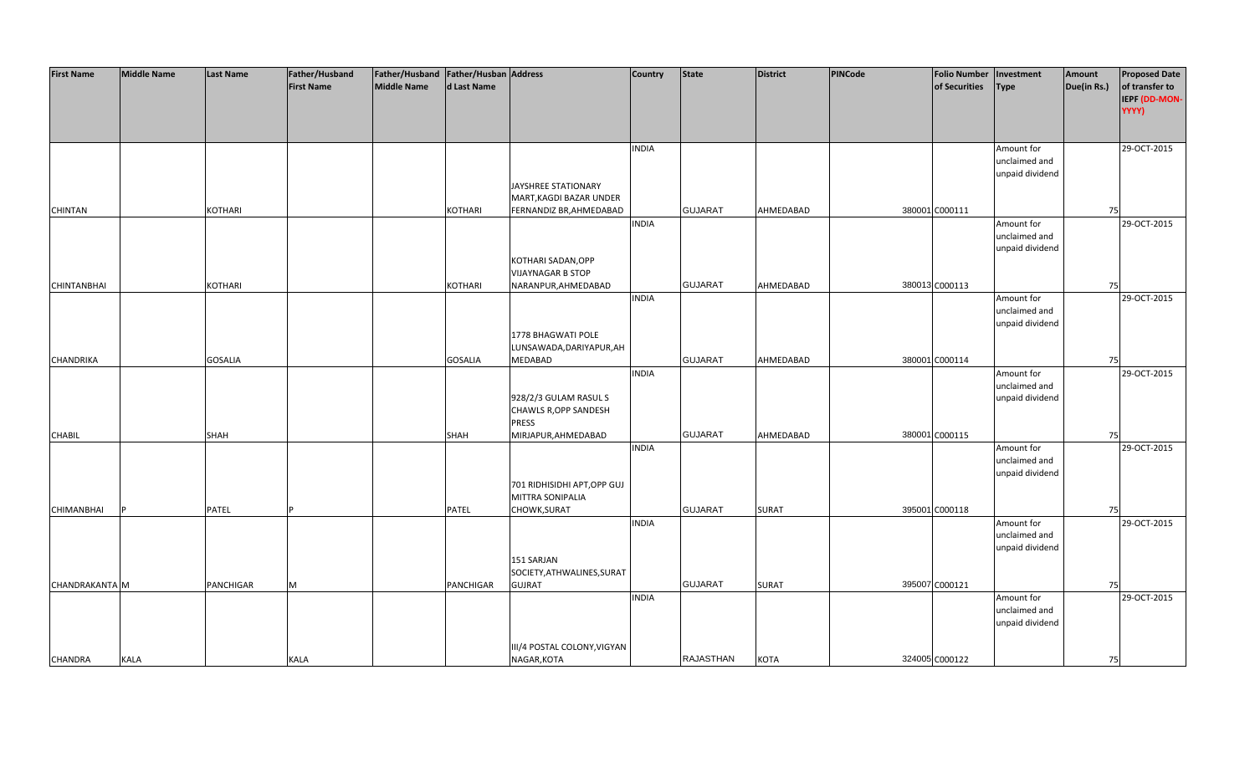| <b>First Name</b>  | <b>Middle Name</b> | <b>Last Name</b> | Father/Husband    | Father/Husband Father/Husban Address |                |                                             | <b>Country</b> | <b>State</b>     | <b>District</b> | PINCode | <b>Folio Number</b> | Investment      | Amount      | <b>Proposed Date</b> |
|--------------------|--------------------|------------------|-------------------|--------------------------------------|----------------|---------------------------------------------|----------------|------------------|-----------------|---------|---------------------|-----------------|-------------|----------------------|
|                    |                    |                  | <b>First Name</b> | <b>Middle Name</b>                   | d Last Name    |                                             |                |                  |                 |         | of Securities       | <b>Type</b>     | Due(in Rs.) | of transfer to       |
|                    |                    |                  |                   |                                      |                |                                             |                |                  |                 |         |                     |                 |             | IEPF (DD-MON-        |
|                    |                    |                  |                   |                                      |                |                                             |                |                  |                 |         |                     |                 |             | YYYY)                |
|                    |                    |                  |                   |                                      |                |                                             |                |                  |                 |         |                     |                 |             |                      |
|                    |                    |                  |                   |                                      |                |                                             |                |                  |                 |         |                     |                 |             |                      |
|                    |                    |                  |                   |                                      |                |                                             | <b>INDIA</b>   |                  |                 |         |                     | Amount for      |             | 29-OCT-2015          |
|                    |                    |                  |                   |                                      |                |                                             |                |                  |                 |         |                     | unclaimed and   |             |                      |
|                    |                    |                  |                   |                                      |                |                                             |                |                  |                 |         |                     | unpaid dividend |             |                      |
|                    |                    |                  |                   |                                      |                | JAYSHREE STATIONARY                         |                |                  |                 |         |                     |                 |             |                      |
|                    |                    |                  |                   |                                      |                | MART, KAGDI BAZAR UNDER                     |                |                  |                 |         |                     |                 |             |                      |
| <b>CHINTAN</b>     |                    | <b>KOTHARI</b>   |                   |                                      | <b>KOTHARI</b> | FERNANDIZ BR, AHMEDABAD                     |                | <b>GUJARAT</b>   | AHMEDABAD       |         | 380001 C000111      |                 | 75          |                      |
|                    |                    |                  |                   |                                      |                |                                             | <b>INDIA</b>   |                  |                 |         |                     | Amount for      |             | 29-OCT-2015          |
|                    |                    |                  |                   |                                      |                |                                             |                |                  |                 |         |                     | unclaimed and   |             |                      |
|                    |                    |                  |                   |                                      |                |                                             |                |                  |                 |         |                     | unpaid dividend |             |                      |
|                    |                    |                  |                   |                                      |                | KOTHARI SADAN, OPP                          |                |                  |                 |         |                     |                 |             |                      |
|                    |                    |                  |                   |                                      |                | <b>VIJAYNAGAR B STOP</b>                    |                |                  |                 |         |                     |                 |             |                      |
| <b>CHINTANBHAI</b> |                    | <b>KOTHARI</b>   |                   |                                      | KOTHARI        | NARANPUR, AHMEDABAD                         |                | <b>GUJARAT</b>   | AHMEDABAD       |         | 380013 C000113      |                 | 75          |                      |
|                    |                    |                  |                   |                                      |                |                                             | <b>INDIA</b>   |                  |                 |         |                     | Amount for      |             | 29-OCT-2015          |
|                    |                    |                  |                   |                                      |                |                                             |                |                  |                 |         |                     | unclaimed and   |             |                      |
|                    |                    |                  |                   |                                      |                |                                             |                |                  |                 |         |                     | unpaid dividend |             |                      |
|                    |                    |                  |                   |                                      |                | 1778 BHAGWATI POLE                          |                |                  |                 |         |                     |                 |             |                      |
|                    |                    |                  |                   |                                      |                | LUNSAWADA, DARIYAPUR, AH                    |                |                  |                 |         |                     |                 |             |                      |
| <b>CHANDRIKA</b>   |                    | <b>GOSALIA</b>   |                   |                                      | <b>GOSALIA</b> | <b>MEDABAD</b>                              |                | <b>GUJARAT</b>   | AHMEDABAD       |         | 380001 C000114      |                 | 75          |                      |
|                    |                    |                  |                   |                                      |                |                                             | <b>INDIA</b>   |                  |                 |         |                     | Amount for      |             | 29-OCT-2015          |
|                    |                    |                  |                   |                                      |                |                                             |                |                  |                 |         |                     | unclaimed and   |             |                      |
|                    |                    |                  |                   |                                      |                | 928/2/3 GULAM RASUL S                       |                |                  |                 |         |                     | unpaid dividend |             |                      |
|                    |                    |                  |                   |                                      |                | CHAWLS R, OPP SANDESH                       |                |                  |                 |         |                     |                 |             |                      |
|                    |                    |                  |                   |                                      |                | <b>PRESS</b>                                |                |                  |                 |         |                     |                 |             |                      |
| <b>CHABIL</b>      |                    | <b>SHAH</b>      |                   |                                      | <b>SHAH</b>    | MIRJAPUR, AHMEDABAD                         |                | <b>GUJARAT</b>   | AHMEDABAD       |         | 380001 C000115      |                 | 75          |                      |
|                    |                    |                  |                   |                                      |                |                                             | <b>INDIA</b>   |                  |                 |         |                     | Amount for      |             | 29-OCT-2015          |
|                    |                    |                  |                   |                                      |                |                                             |                |                  |                 |         |                     | unclaimed and   |             |                      |
|                    |                    |                  |                   |                                      |                |                                             |                |                  |                 |         |                     | unpaid dividend |             |                      |
|                    |                    |                  |                   |                                      |                | 701 RIDHISIDHI APT, OPP GUJ                 |                |                  |                 |         |                     |                 |             |                      |
|                    |                    |                  |                   |                                      |                | MITTRA SONIPALIA                            |                |                  |                 |         |                     |                 |             |                      |
| <b>CHIMANBHAI</b>  |                    | PATEL            |                   |                                      | <b>PATEL</b>   | CHOWK, SURAT                                |                | <b>GUJARAT</b>   | <b>SURAT</b>    |         | 395001 C000118      |                 | 75          |                      |
|                    |                    |                  |                   |                                      |                |                                             | <b>INDIA</b>   |                  |                 |         |                     | Amount for      |             | 29-OCT-2015          |
|                    |                    |                  |                   |                                      |                |                                             |                |                  |                 |         |                     | unclaimed and   |             |                      |
|                    |                    |                  |                   |                                      |                |                                             |                |                  |                 |         |                     | unpaid dividend |             |                      |
|                    |                    |                  |                   |                                      |                | 151 SARJAN                                  |                |                  |                 |         |                     |                 |             |                      |
| CHANDRAKANTA M     |                    | <b>PANCHIGAR</b> | M                 |                                      | PANCHIGAR      | SOCIETY, ATHWALINES, SURAT<br><b>GUJRAT</b> |                | <b>GUJARAT</b>   | <b>SURAT</b>    |         | 395007 C000121      |                 | 75          |                      |
|                    |                    |                  |                   |                                      |                |                                             | <b>INDIA</b>   |                  |                 |         |                     | Amount for      |             | 29-OCT-2015          |
|                    |                    |                  |                   |                                      |                |                                             |                |                  |                 |         |                     | unclaimed and   |             |                      |
|                    |                    |                  |                   |                                      |                |                                             |                |                  |                 |         |                     | unpaid dividend |             |                      |
|                    |                    |                  |                   |                                      |                |                                             |                |                  |                 |         |                     |                 |             |                      |
|                    |                    |                  |                   |                                      |                | III/4 POSTAL COLONY, VIGYAN                 |                |                  |                 |         |                     |                 |             |                      |
| <b>CHANDRA</b>     | KALA               |                  | KALA              |                                      |                | NAGAR, KOTA                                 |                | <b>RAJASTHAN</b> | <b>KOTA</b>     |         | 324005 C000122      |                 | 75          |                      |
|                    |                    |                  |                   |                                      |                |                                             |                |                  |                 |         |                     |                 |             |                      |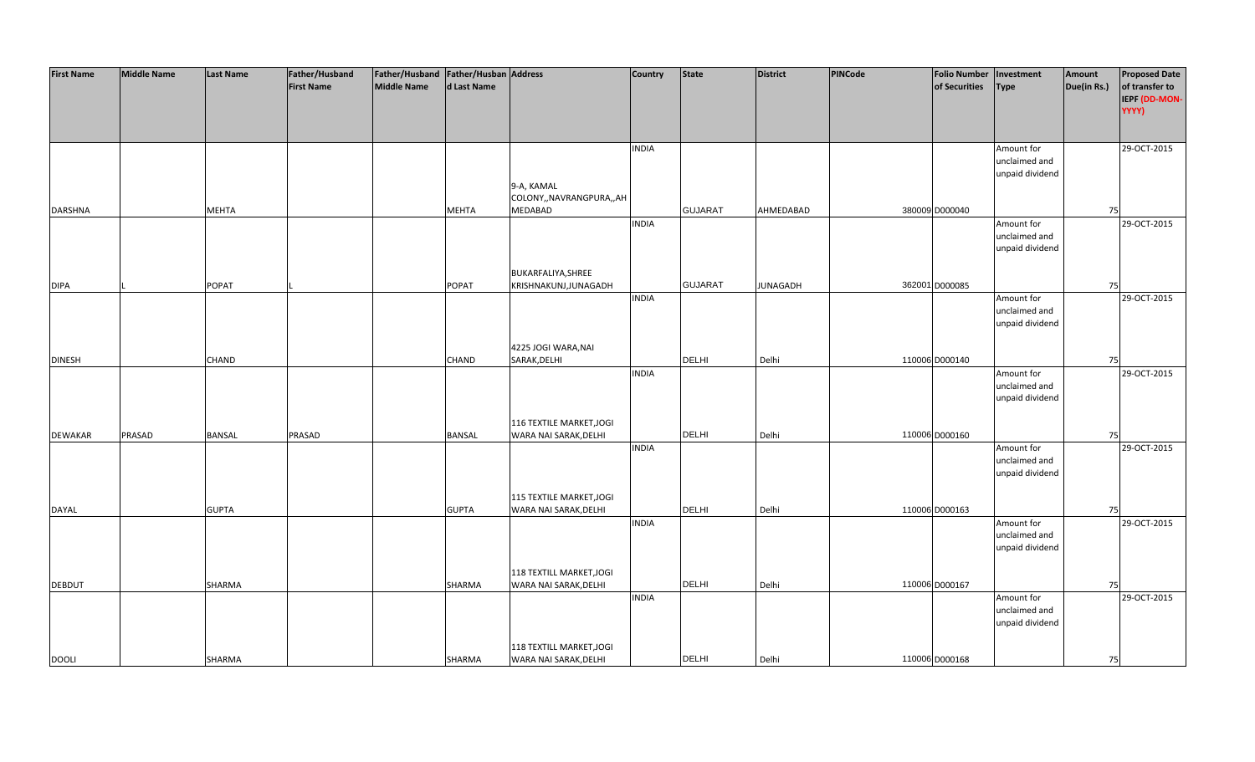| <b>First Name</b> | <b>Middle Name</b> | <b>Last Name</b> | Father/Husband    | Father/Husband Father/Husban Address |              |                           | <b>Country</b> | <b>State</b>   | <b>District</b> | PINCode | <b>Folio Number</b> | Investment      | Amount      | <b>Proposed Date</b> |
|-------------------|--------------------|------------------|-------------------|--------------------------------------|--------------|---------------------------|----------------|----------------|-----------------|---------|---------------------|-----------------|-------------|----------------------|
|                   |                    |                  | <b>First Name</b> | <b>Middle Name</b>                   | d Last Name  |                           |                |                |                 |         | of Securities       | <b>Type</b>     | Due(in Rs.) | of transfer to       |
|                   |                    |                  |                   |                                      |              |                           |                |                |                 |         |                     |                 |             | IEPF (DD-MON-        |
|                   |                    |                  |                   |                                      |              |                           |                |                |                 |         |                     |                 |             | YYYY)                |
|                   |                    |                  |                   |                                      |              |                           |                |                |                 |         |                     |                 |             |                      |
|                   |                    |                  |                   |                                      |              |                           |                |                |                 |         |                     |                 |             |                      |
|                   |                    |                  |                   |                                      |              |                           | <b>INDIA</b>   |                |                 |         |                     | Amount for      |             | 29-OCT-2015          |
|                   |                    |                  |                   |                                      |              |                           |                |                |                 |         |                     | unclaimed and   |             |                      |
|                   |                    |                  |                   |                                      |              |                           |                |                |                 |         |                     | unpaid dividend |             |                      |
|                   |                    |                  |                   |                                      |              | 9-A, KAMAL                |                |                |                 |         |                     |                 |             |                      |
|                   |                    |                  |                   |                                      |              | COLONY,, NAVRANGPURA,, AH |                |                |                 |         |                     |                 |             |                      |
| <b>DARSHNA</b>    |                    | <b>MEHTA</b>     |                   |                                      | <b>MEHTA</b> | <b>MEDABAD</b>            |                | <b>GUJARAT</b> | AHMEDABAD       |         | 380009 D000040      |                 | 75          |                      |
|                   |                    |                  |                   |                                      |              |                           | <b>INDIA</b>   |                |                 |         |                     | Amount for      |             | 29-OCT-2015          |
|                   |                    |                  |                   |                                      |              |                           |                |                |                 |         |                     | unclaimed and   |             |                      |
|                   |                    |                  |                   |                                      |              |                           |                |                |                 |         |                     | unpaid dividend |             |                      |
|                   |                    |                  |                   |                                      |              |                           |                |                |                 |         |                     |                 |             |                      |
|                   |                    |                  |                   |                                      |              | BUKARFALIYA, SHREE        |                |                |                 |         |                     |                 |             |                      |
| <b>DIPA</b>       |                    | <b>POPAT</b>     |                   |                                      | <b>POPAT</b> | KRISHNAKUNJ, JUNAGADH     |                | <b>GUJARAT</b> | <b>JUNAGADH</b> |         | 362001 D000085      |                 | 75          |                      |
|                   |                    |                  |                   |                                      |              |                           | <b>INDIA</b>   |                |                 |         |                     | Amount for      |             | 29-OCT-2015          |
|                   |                    |                  |                   |                                      |              |                           |                |                |                 |         |                     | unclaimed and   |             |                      |
|                   |                    |                  |                   |                                      |              |                           |                |                |                 |         |                     | unpaid dividend |             |                      |
|                   |                    |                  |                   |                                      |              |                           |                |                |                 |         |                     |                 |             |                      |
|                   |                    |                  |                   |                                      |              | 4225 JOGI WARA, NAI       |                |                |                 |         |                     |                 |             |                      |
| <b>DINESH</b>     |                    | <b>CHAND</b>     |                   |                                      | <b>CHAND</b> | SARAK, DELHI              |                | DELHI          | Delhi           |         | 110006 D000140      |                 | 75          |                      |
|                   |                    |                  |                   |                                      |              |                           | <b>INDIA</b>   |                |                 |         |                     | Amount for      |             | 29-OCT-2015          |
|                   |                    |                  |                   |                                      |              |                           |                |                |                 |         |                     | unclaimed and   |             |                      |
|                   |                    |                  |                   |                                      |              |                           |                |                |                 |         |                     | unpaid dividend |             |                      |
|                   |                    |                  |                   |                                      |              |                           |                |                |                 |         |                     |                 |             |                      |
|                   |                    |                  |                   |                                      |              | 116 TEXTILE MARKET, JOGI  |                |                |                 |         |                     |                 |             |                      |
| <b>DEWAKAR</b>    | PRASAD             | <b>BANSAL</b>    | PRASAD            |                                      | BANSAL       | WARA NAI SARAK, DELHI     |                | <b>DELHI</b>   | Delhi           |         | 110006 D000160      |                 | 75          |                      |
|                   |                    |                  |                   |                                      |              |                           | <b>INDIA</b>   |                |                 |         |                     | Amount for      |             | 29-OCT-2015          |
|                   |                    |                  |                   |                                      |              |                           |                |                |                 |         |                     | unclaimed and   |             |                      |
|                   |                    |                  |                   |                                      |              |                           |                |                |                 |         |                     | unpaid dividend |             |                      |
|                   |                    |                  |                   |                                      |              |                           |                |                |                 |         |                     |                 |             |                      |
|                   |                    |                  |                   |                                      |              | 115 TEXTILE MARKET, JOGI  |                |                |                 |         |                     |                 |             |                      |
| DAYAL             |                    | <b>GUPTA</b>     |                   |                                      | <b>GUPTA</b> | WARA NAI SARAK, DELHI     |                | <b>DELHI</b>   | Delhi           |         | 110006 D000163      |                 | 75          |                      |
|                   |                    |                  |                   |                                      |              |                           | <b>INDIA</b>   |                |                 |         |                     | Amount for      |             | 29-OCT-2015          |
|                   |                    |                  |                   |                                      |              |                           |                |                |                 |         |                     | unclaimed and   |             |                      |
|                   |                    |                  |                   |                                      |              |                           |                |                |                 |         |                     | unpaid dividend |             |                      |
|                   |                    |                  |                   |                                      |              |                           |                |                |                 |         |                     |                 |             |                      |
|                   |                    |                  |                   |                                      |              | 118 TEXTILL MARKET, JOGI  |                |                |                 |         |                     |                 |             |                      |
| <b>DEBDUT</b>     |                    | SHARMA           |                   |                                      | SHARMA       | WARA NAI SARAK, DELHI     |                | <b>DELHI</b>   | Delhi           |         | 110006 D000167      |                 | 75          |                      |
|                   |                    |                  |                   |                                      |              |                           | <b>INDIA</b>   |                |                 |         |                     | Amount for      |             | 29-OCT-2015          |
|                   |                    |                  |                   |                                      |              |                           |                |                |                 |         |                     | unclaimed and   |             |                      |
|                   |                    |                  |                   |                                      |              |                           |                |                |                 |         |                     | unpaid dividend |             |                      |
|                   |                    |                  |                   |                                      |              |                           |                |                |                 |         |                     |                 |             |                      |
|                   |                    |                  |                   |                                      |              | 118 TEXTILL MARKET, JOGI  |                |                |                 |         |                     |                 |             |                      |
| <b>DOOLI</b>      |                    | SHARMA           |                   |                                      | SHARMA       | WARA NAI SARAK, DELHI     |                | <b>DELHI</b>   | Delhi           |         | 110006 D000168      |                 | 75          |                      |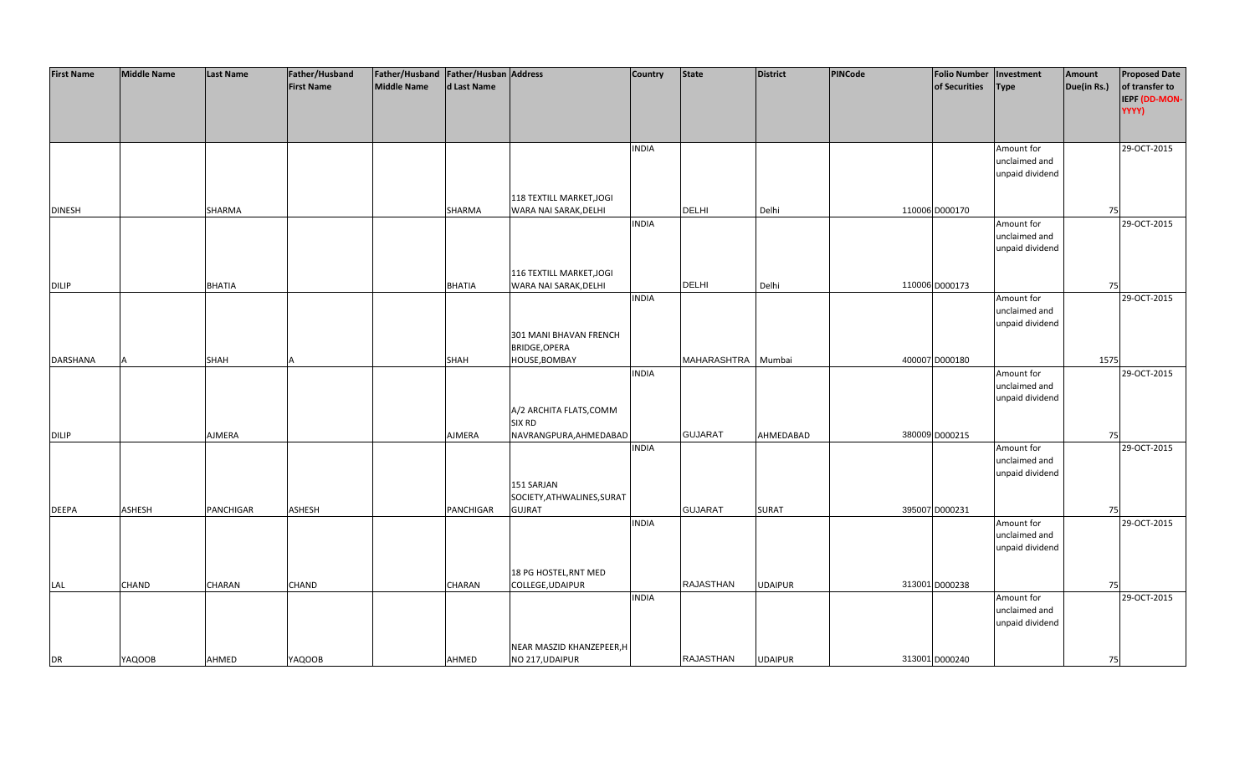| <b>First Name</b> | <b>Middle Name</b> | <b>Last Name</b> | Father/Husband    | Father/Husband Father/Husban Address |               |                            | <b>Country</b> | <b>State</b>       | <b>District</b> | PINCode | <b>Folio Number</b> | Investment      | Amount      | <b>Proposed Date</b> |
|-------------------|--------------------|------------------|-------------------|--------------------------------------|---------------|----------------------------|----------------|--------------------|-----------------|---------|---------------------|-----------------|-------------|----------------------|
|                   |                    |                  | <b>First Name</b> | <b>Middle Name</b>                   | d Last Name   |                            |                |                    |                 |         | of Securities       | <b>Type</b>     | Due(in Rs.) | of transfer to       |
|                   |                    |                  |                   |                                      |               |                            |                |                    |                 |         |                     |                 |             | IEPF (DD-MON-        |
|                   |                    |                  |                   |                                      |               |                            |                |                    |                 |         |                     |                 |             | YYYY)                |
|                   |                    |                  |                   |                                      |               |                            |                |                    |                 |         |                     |                 |             |                      |
|                   |                    |                  |                   |                                      |               |                            |                |                    |                 |         |                     |                 |             |                      |
|                   |                    |                  |                   |                                      |               |                            | <b>INDIA</b>   |                    |                 |         |                     | Amount for      |             | 29-OCT-2015          |
|                   |                    |                  |                   |                                      |               |                            |                |                    |                 |         |                     | unclaimed and   |             |                      |
|                   |                    |                  |                   |                                      |               |                            |                |                    |                 |         |                     | unpaid dividend |             |                      |
|                   |                    |                  |                   |                                      |               |                            |                |                    |                 |         |                     |                 |             |                      |
|                   |                    |                  |                   |                                      |               |                            |                |                    |                 |         |                     |                 |             |                      |
|                   |                    |                  |                   |                                      |               | 118 TEXTILL MARKET, JOGI   |                | <b>DELHI</b>       |                 |         | 110006 D000170      |                 |             |                      |
| <b>DINESH</b>     |                    | SHARMA           |                   |                                      | SHARMA        | WARA NAI SARAK, DELHI      |                |                    | Delhi           |         |                     |                 | 75          |                      |
|                   |                    |                  |                   |                                      |               |                            | <b>INDIA</b>   |                    |                 |         |                     | Amount for      |             | 29-OCT-2015          |
|                   |                    |                  |                   |                                      |               |                            |                |                    |                 |         |                     | unclaimed and   |             |                      |
|                   |                    |                  |                   |                                      |               |                            |                |                    |                 |         |                     | unpaid dividend |             |                      |
|                   |                    |                  |                   |                                      |               |                            |                |                    |                 |         |                     |                 |             |                      |
|                   |                    |                  |                   |                                      |               | 116 TEXTILL MARKET, JOGI   |                |                    |                 |         |                     |                 |             |                      |
| <b>DILIP</b>      |                    | <b>BHATIA</b>    |                   |                                      | <b>BHATIA</b> | WARA NAI SARAK, DELHI      |                | <b>DELHI</b>       | Delhi           |         | 110006 D000173      |                 | 75          |                      |
|                   |                    |                  |                   |                                      |               |                            | <b>INDIA</b>   |                    |                 |         |                     | Amount for      |             | 29-OCT-2015          |
|                   |                    |                  |                   |                                      |               |                            |                |                    |                 |         |                     | unclaimed and   |             |                      |
|                   |                    |                  |                   |                                      |               |                            |                |                    |                 |         |                     | unpaid dividend |             |                      |
|                   |                    |                  |                   |                                      |               | 301 MANI BHAVAN FRENCH     |                |                    |                 |         |                     |                 |             |                      |
|                   |                    |                  |                   |                                      |               | BRIDGE, OPERA              |                |                    |                 |         |                     |                 |             |                      |
| <b>DARSHANA</b>   |                    | <b>SHAH</b>      |                   |                                      | SHAH          | HOUSE, BOMBAY              |                | MAHARASHTRA Mumbai |                 |         | 400007 D000180      |                 | 1575        |                      |
|                   |                    |                  |                   |                                      |               |                            | <b>INDIA</b>   |                    |                 |         |                     | Amount for      |             | 29-OCT-2015          |
|                   |                    |                  |                   |                                      |               |                            |                |                    |                 |         |                     | unclaimed and   |             |                      |
|                   |                    |                  |                   |                                      |               |                            |                |                    |                 |         |                     | unpaid dividend |             |                      |
|                   |                    |                  |                   |                                      |               | A/2 ARCHITA FLATS, COMM    |                |                    |                 |         |                     |                 |             |                      |
|                   |                    |                  |                   |                                      |               | <b>SIX RD</b>              |                |                    |                 |         |                     |                 |             |                      |
| <b>DILIP</b>      |                    | AJMERA           |                   |                                      | AJMERA        | NAVRANGPURA, AHMEDABAD     |                | <b>GUJARAT</b>     | AHMEDABAD       |         | 380009 D000215      |                 | 75          |                      |
|                   |                    |                  |                   |                                      |               |                            | <b>INDIA</b>   |                    |                 |         |                     | Amount for      |             | 29-OCT-2015          |
|                   |                    |                  |                   |                                      |               |                            |                |                    |                 |         |                     | unclaimed and   |             |                      |
|                   |                    |                  |                   |                                      |               |                            |                |                    |                 |         |                     | unpaid dividend |             |                      |
|                   |                    |                  |                   |                                      |               | 151 SARJAN                 |                |                    |                 |         |                     |                 |             |                      |
|                   |                    |                  |                   |                                      |               | SOCIETY, ATHWALINES, SURAT |                |                    |                 |         |                     |                 |             |                      |
| <b>DEEPA</b>      | <b>ASHESH</b>      | PANCHIGAR        | ASHESH            |                                      | PANCHIGAR     | <b>GUJRAT</b>              |                | <b>GUJARAT</b>     | <b>SURAT</b>    |         | 395007 D000231      |                 | 75          |                      |
|                   |                    |                  |                   |                                      |               |                            | <b>INDIA</b>   |                    |                 |         |                     | Amount for      |             | 29-OCT-2015          |
|                   |                    |                  |                   |                                      |               |                            |                |                    |                 |         |                     | unclaimed and   |             |                      |
|                   |                    |                  |                   |                                      |               |                            |                |                    |                 |         |                     | unpaid dividend |             |                      |
|                   |                    |                  |                   |                                      |               |                            |                |                    |                 |         |                     |                 |             |                      |
|                   |                    |                  |                   |                                      |               | 18 PG HOSTEL, RNT MED      |                |                    |                 |         |                     |                 |             |                      |
| LAL               | <b>CHAND</b>       | CHARAN           | CHAND             |                                      | CHARAN        | COLLEGE, UDAIPUR           |                | <b>RAJASTHAN</b>   | <b>UDAIPUR</b>  |         | 313001 D000238      |                 | 75          |                      |
|                   |                    |                  |                   |                                      |               |                            | <b>INDIA</b>   |                    |                 |         |                     | Amount for      |             | 29-OCT-2015          |
|                   |                    |                  |                   |                                      |               |                            |                |                    |                 |         |                     | unclaimed and   |             |                      |
|                   |                    |                  |                   |                                      |               |                            |                |                    |                 |         |                     | unpaid dividend |             |                      |
|                   |                    |                  |                   |                                      |               |                            |                |                    |                 |         |                     |                 |             |                      |
|                   |                    |                  |                   |                                      |               | NEAR MASZID KHANZEPEER, H  |                |                    |                 |         |                     |                 |             |                      |
| <b>DR</b>         | <b>YAQOOB</b>      | AHMED            | <b>YAQOOB</b>     |                                      | AHMED         | NO 217, UDAIPUR            |                | <b>RAJASTHAN</b>   | <b>UDAIPUR</b>  |         | 313001 D000240      |                 | 75          |                      |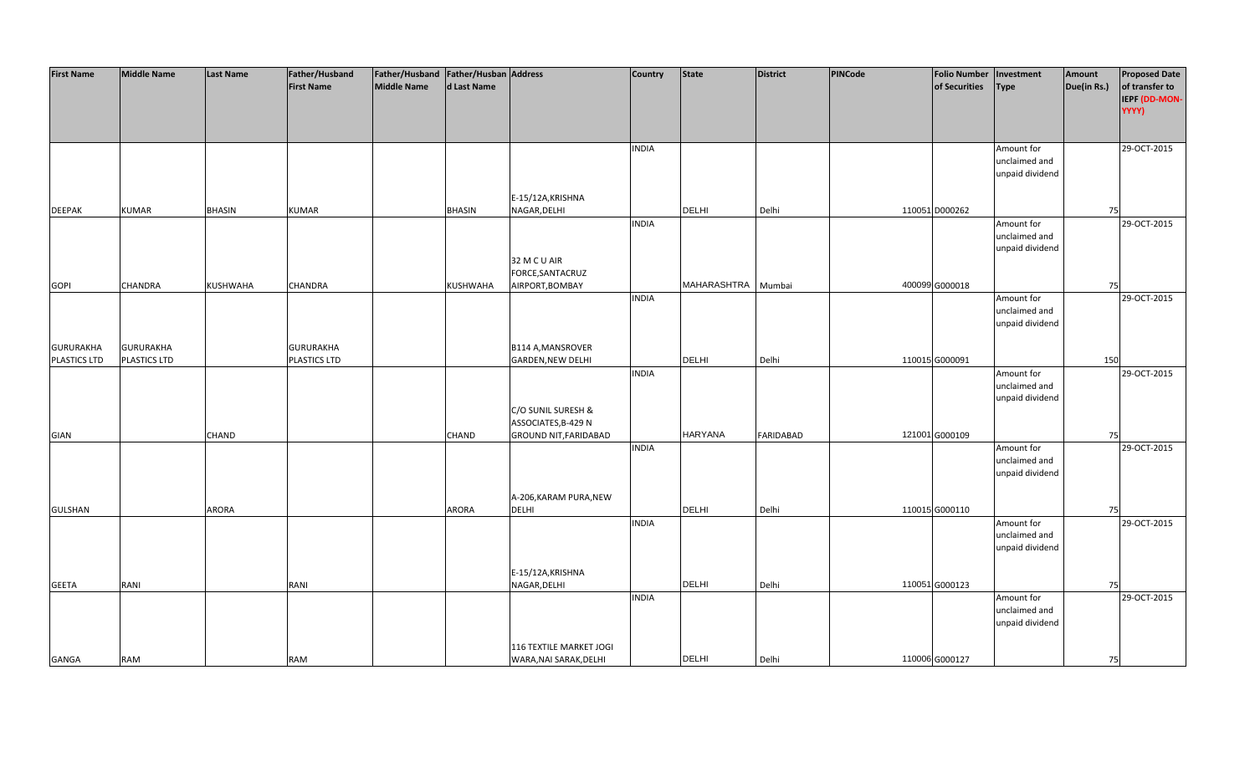| <b>First Name</b>   | <b>Middle Name</b> | <b>Last Name</b> | Father/Husband    | Father/Husband Father/Husban Address |               |                              | <b>Country</b> | <b>State</b>   | <b>District</b>  | PINCode | <b>Folio Number</b> | Investment      | Amount      | <b>Proposed Date</b> |
|---------------------|--------------------|------------------|-------------------|--------------------------------------|---------------|------------------------------|----------------|----------------|------------------|---------|---------------------|-----------------|-------------|----------------------|
|                     |                    |                  | <b>First Name</b> | <b>Middle Name</b>                   | d Last Name   |                              |                |                |                  |         | of Securities       | <b>Type</b>     | Due(in Rs.) | of transfer to       |
|                     |                    |                  |                   |                                      |               |                              |                |                |                  |         |                     |                 |             | IEPF (DD-MON-        |
|                     |                    |                  |                   |                                      |               |                              |                |                |                  |         |                     |                 |             | YYYY)                |
|                     |                    |                  |                   |                                      |               |                              |                |                |                  |         |                     |                 |             |                      |
|                     |                    |                  |                   |                                      |               |                              |                |                |                  |         |                     |                 |             |                      |
|                     |                    |                  |                   |                                      |               |                              | <b>INDIA</b>   |                |                  |         |                     | Amount for      |             | 29-OCT-2015          |
|                     |                    |                  |                   |                                      |               |                              |                |                |                  |         |                     | unclaimed and   |             |                      |
|                     |                    |                  |                   |                                      |               |                              |                |                |                  |         |                     | unpaid dividend |             |                      |
|                     |                    |                  |                   |                                      |               |                              |                |                |                  |         |                     |                 |             |                      |
|                     |                    |                  |                   |                                      |               | E-15/12A, KRISHNA            |                |                |                  |         |                     |                 |             |                      |
| <b>DEEPAK</b>       | <b>KUMAR</b>       | <b>BHASIN</b>    | <b>KUMAR</b>      |                                      | <b>BHASIN</b> | NAGAR, DELHI                 |                | DELHI          | Delhi            |         | 110051 D000262      |                 | 75          |                      |
|                     |                    |                  |                   |                                      |               |                              | <b>INDIA</b>   |                |                  |         |                     | Amount for      |             | 29-OCT-2015          |
|                     |                    |                  |                   |                                      |               |                              |                |                |                  |         |                     | unclaimed and   |             |                      |
|                     |                    |                  |                   |                                      |               |                              |                |                |                  |         |                     | unpaid dividend |             |                      |
|                     |                    |                  |                   |                                      |               | 32 M C U AIR                 |                |                |                  |         |                     |                 |             |                      |
|                     |                    |                  |                   |                                      |               | FORCE, SANTACRUZ             |                |                |                  |         |                     |                 |             |                      |
| <b>GOPI</b>         | <b>CHANDRA</b>     | <b>KUSHWAHA</b>  | CHANDRA           |                                      | KUSHWAHA      | AIRPORT, BOMBAY              |                | MAHARASHTRA    | Mumbai           |         | 400099 G000018      |                 | 75          |                      |
|                     |                    |                  |                   |                                      |               |                              | <b>INDIA</b>   |                |                  |         |                     | Amount for      |             | 29-OCT-2015          |
|                     |                    |                  |                   |                                      |               |                              |                |                |                  |         |                     | unclaimed and   |             |                      |
|                     |                    |                  |                   |                                      |               |                              |                |                |                  |         |                     | unpaid dividend |             |                      |
|                     |                    |                  |                   |                                      |               |                              |                |                |                  |         |                     |                 |             |                      |
| <b>GURURAKHA</b>    | <b>GURURAKHA</b>   |                  | <b>GURURAKHA</b>  |                                      |               | B114 A, MANSROVER            |                |                |                  |         |                     |                 |             |                      |
| <b>PLASTICS LTD</b> | PLASTICS LTD       |                  | PLASTICS LTD      |                                      |               | GARDEN, NEW DELHI            |                | DELHI          | Delhi            |         | 110015 G000091      |                 | 150         |                      |
|                     |                    |                  |                   |                                      |               |                              | <b>INDIA</b>   |                |                  |         |                     | Amount for      |             | 29-OCT-2015          |
|                     |                    |                  |                   |                                      |               |                              |                |                |                  |         |                     | unclaimed and   |             |                      |
|                     |                    |                  |                   |                                      |               |                              |                |                |                  |         |                     | unpaid dividend |             |                      |
|                     |                    |                  |                   |                                      |               | C/O SUNIL SURESH &           |                |                |                  |         |                     |                 |             |                      |
|                     |                    |                  |                   |                                      |               | ASSOCIATES, B-429 N          |                |                |                  |         |                     |                 |             |                      |
| <b>GIAN</b>         |                    | <b>CHAND</b>     |                   |                                      | <b>CHAND</b>  | <b>GROUND NIT, FARIDABAD</b> |                | <b>HARYANA</b> | <b>FARIDABAD</b> |         | 121001 G000109      |                 | 75          |                      |
|                     |                    |                  |                   |                                      |               |                              | <b>INDIA</b>   |                |                  |         |                     | Amount for      |             | 29-OCT-2015          |
|                     |                    |                  |                   |                                      |               |                              |                |                |                  |         |                     | unclaimed and   |             |                      |
|                     |                    |                  |                   |                                      |               |                              |                |                |                  |         |                     | unpaid dividend |             |                      |
|                     |                    |                  |                   |                                      |               |                              |                |                |                  |         |                     |                 |             |                      |
|                     |                    |                  |                   |                                      |               | A-206, KARAM PURA, NEW       |                |                |                  |         |                     |                 |             |                      |
| <b>GULSHAN</b>      |                    | ARORA            |                   |                                      | ARORA         | <b>DELHI</b>                 |                | <b>DELHI</b>   | Delhi            |         | 110015 G000110      |                 | 75          |                      |
|                     |                    |                  |                   |                                      |               |                              | <b>INDIA</b>   |                |                  |         |                     | Amount for      |             | 29-OCT-2015          |
|                     |                    |                  |                   |                                      |               |                              |                |                |                  |         |                     | unclaimed and   |             |                      |
|                     |                    |                  |                   |                                      |               |                              |                |                |                  |         |                     | unpaid dividend |             |                      |
|                     |                    |                  |                   |                                      |               |                              |                |                |                  |         |                     |                 |             |                      |
|                     |                    |                  |                   |                                      |               | E-15/12A, KRISHNA            |                | DELHI          |                  |         |                     |                 |             |                      |
| <b>GEETA</b>        | RANI               |                  | RANI              |                                      |               | NAGAR, DELHI                 |                |                | Delhi            |         | 110051 G000123      |                 | 75          |                      |
|                     |                    |                  |                   |                                      |               |                              | <b>INDIA</b>   |                |                  |         |                     | Amount for      |             | 29-OCT-2015          |
|                     |                    |                  |                   |                                      |               |                              |                |                |                  |         |                     | unclaimed and   |             |                      |
|                     |                    |                  |                   |                                      |               |                              |                |                |                  |         |                     | unpaid dividend |             |                      |
|                     |                    |                  |                   |                                      |               | 116 TEXTILE MARKET JOGI      |                |                |                  |         |                     |                 |             |                      |
| <b>GANGA</b>        | <b>RAM</b>         |                  | <b>RAM</b>        |                                      |               | WARA, NAI SARAK, DELHI       |                | <b>DELHI</b>   | Delhi            |         | 110006 G000127      |                 | 75          |                      |
|                     |                    |                  |                   |                                      |               |                              |                |                |                  |         |                     |                 |             |                      |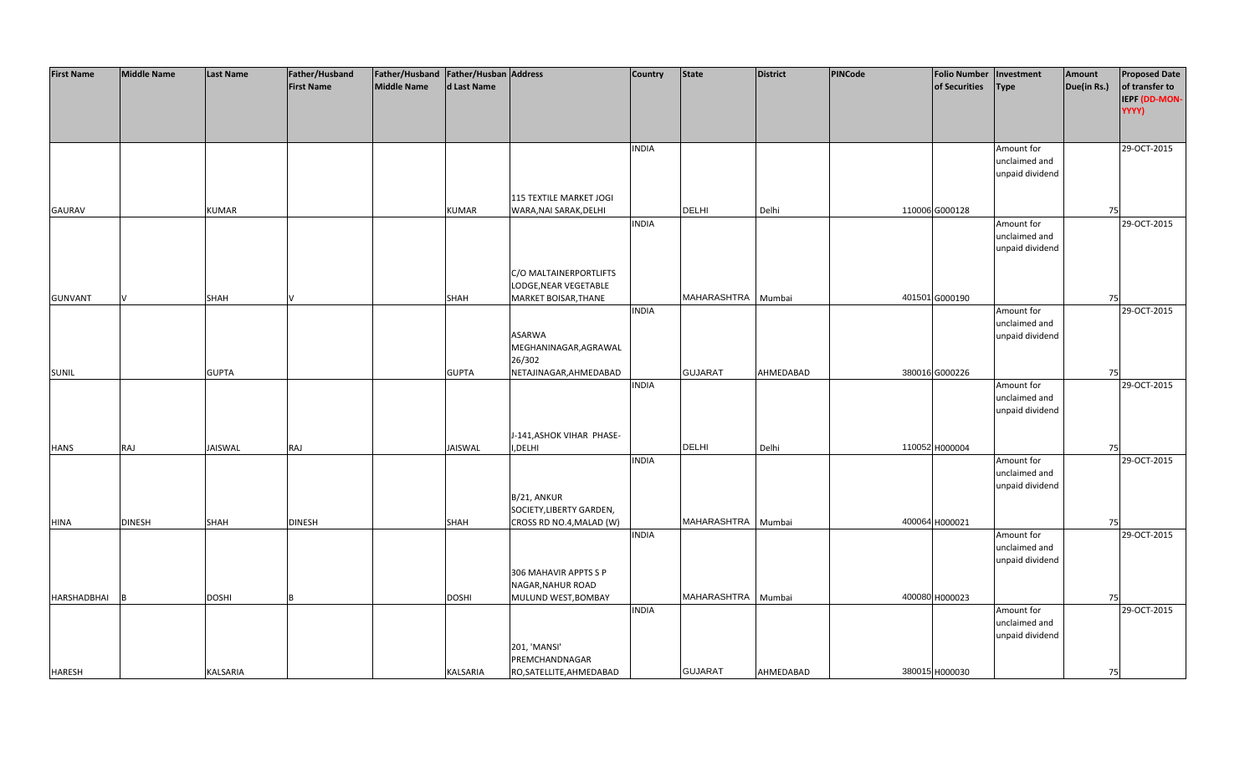| <b>First Name</b> | <b>Middle Name</b> | <b>Last Name</b> | Father/Husband    | Father/Husband Father/Husban Address |                |                           | <b>Country</b> | <b>State</b>       | <b>District</b> | <b>PINCode</b> | <b>Folio Number</b> | Investment      | Amount      | <b>Proposed Date</b> |
|-------------------|--------------------|------------------|-------------------|--------------------------------------|----------------|---------------------------|----------------|--------------------|-----------------|----------------|---------------------|-----------------|-------------|----------------------|
|                   |                    |                  | <b>First Name</b> | <b>Middle Name</b>                   | d Last Name    |                           |                |                    |                 |                | of Securities       | <b>Type</b>     | Due(in Rs.) | of transfer to       |
|                   |                    |                  |                   |                                      |                |                           |                |                    |                 |                |                     |                 |             | IEPF (DD-MON-        |
|                   |                    |                  |                   |                                      |                |                           |                |                    |                 |                |                     |                 |             | YYYY)                |
|                   |                    |                  |                   |                                      |                |                           |                |                    |                 |                |                     |                 |             |                      |
|                   |                    |                  |                   |                                      |                |                           |                |                    |                 |                |                     |                 |             |                      |
|                   |                    |                  |                   |                                      |                |                           | <b>INDIA</b>   |                    |                 |                |                     | Amount for      |             | 29-OCT-2015          |
|                   |                    |                  |                   |                                      |                |                           |                |                    |                 |                |                     | unclaimed and   |             |                      |
|                   |                    |                  |                   |                                      |                |                           |                |                    |                 |                |                     | unpaid dividend |             |                      |
|                   |                    |                  |                   |                                      |                |                           |                |                    |                 |                |                     |                 |             |                      |
|                   |                    |                  |                   |                                      |                | 115 TEXTILE MARKET JOGI   |                |                    |                 |                |                     |                 |             |                      |
| <b>GAURAV</b>     |                    | <b>KUMAR</b>     |                   |                                      | <b>KUMAR</b>   | WARA, NAI SARAK, DELHI    |                | <b>DELHI</b>       | Delhi           |                | 110006 G000128      |                 | 75          |                      |
|                   |                    |                  |                   |                                      |                |                           | <b>INDIA</b>   |                    |                 |                |                     | Amount for      |             | 29-OCT-2015          |
|                   |                    |                  |                   |                                      |                |                           |                |                    |                 |                |                     | unclaimed and   |             |                      |
|                   |                    |                  |                   |                                      |                |                           |                |                    |                 |                |                     | unpaid dividend |             |                      |
|                   |                    |                  |                   |                                      |                |                           |                |                    |                 |                |                     |                 |             |                      |
|                   |                    |                  |                   |                                      |                | C/O MALTAINERPORTLIFTS    |                |                    |                 |                |                     |                 |             |                      |
|                   |                    |                  |                   |                                      |                |                           |                |                    |                 |                |                     |                 |             |                      |
|                   |                    |                  |                   |                                      |                | LODGE, NEAR VEGETABLE     |                | MAHARASHTRA        |                 |                | 401501 G000190      |                 |             |                      |
| <b>GUNVANT</b>    |                    | <b>SHAH</b>      |                   |                                      | <b>SHAH</b>    | MARKET BOISAR, THANE      |                |                    | Mumbai          |                |                     |                 | 75          |                      |
|                   |                    |                  |                   |                                      |                |                           | <b>INDIA</b>   |                    |                 |                |                     | Amount for      |             | 29-OCT-2015          |
|                   |                    |                  |                   |                                      |                |                           |                |                    |                 |                |                     | unclaimed and   |             |                      |
|                   |                    |                  |                   |                                      |                | ASARWA                    |                |                    |                 |                |                     | unpaid dividend |             |                      |
|                   |                    |                  |                   |                                      |                | MEGHANINAGAR, AGRAWAL     |                |                    |                 |                |                     |                 |             |                      |
|                   |                    |                  |                   |                                      |                | 26/302                    |                |                    |                 |                |                     |                 |             |                      |
| <b>SUNIL</b>      |                    | <b>GUPTA</b>     |                   |                                      | <b>GUPTA</b>   | NETAJINAGAR, AHMEDABAD    |                | <b>GUJARAT</b>     | AHMEDABAD       |                | 380016 G000226      |                 | 75          |                      |
|                   |                    |                  |                   |                                      |                |                           | <b>INDIA</b>   |                    |                 |                |                     | Amount for      |             | 29-OCT-2015          |
|                   |                    |                  |                   |                                      |                |                           |                |                    |                 |                |                     | unclaimed and   |             |                      |
|                   |                    |                  |                   |                                      |                |                           |                |                    |                 |                |                     | unpaid dividend |             |                      |
|                   |                    |                  |                   |                                      |                |                           |                |                    |                 |                |                     |                 |             |                      |
|                   |                    |                  |                   |                                      |                | J-141, ASHOK VIHAR PHASE- |                |                    |                 |                |                     |                 |             |                      |
| <b>HANS</b>       | RAJ                | JAISWAL          | RAJ               |                                      | <b>JAISWAL</b> | I, DELHI                  |                | DELHI              | Delhi           |                | 110052 H000004      |                 | 75          |                      |
|                   |                    |                  |                   |                                      |                |                           | <b>INDIA</b>   |                    |                 |                |                     | Amount for      |             | 29-OCT-2015          |
|                   |                    |                  |                   |                                      |                |                           |                |                    |                 |                |                     | unclaimed and   |             |                      |
|                   |                    |                  |                   |                                      |                |                           |                |                    |                 |                |                     | unpaid dividend |             |                      |
|                   |                    |                  |                   |                                      |                | B/21, ANKUR               |                |                    |                 |                |                     |                 |             |                      |
|                   |                    |                  |                   |                                      |                | SOCIETY, LIBERTY GARDEN,  |                |                    |                 |                |                     |                 |             |                      |
| <b>HINA</b>       | <b>DINESH</b>      | <b>SHAH</b>      | <b>DINESH</b>     |                                      | <b>SHAH</b>    | CROSS RD NO.4, MALAD (W)  |                | MAHARASHTRA Mumbai |                 |                | 400064 H000021      |                 | 75          |                      |
|                   |                    |                  |                   |                                      |                |                           | <b>INDIA</b>   |                    |                 |                |                     | Amount for      |             | 29-OCT-2015          |
|                   |                    |                  |                   |                                      |                |                           |                |                    |                 |                |                     | unclaimed and   |             |                      |
|                   |                    |                  |                   |                                      |                |                           |                |                    |                 |                |                     | unpaid dividend |             |                      |
|                   |                    |                  |                   |                                      |                | 306 MAHAVIR APPTS S P     |                |                    |                 |                |                     |                 |             |                      |
|                   |                    |                  |                   |                                      |                | NAGAR, NAHUR ROAD         |                |                    |                 |                |                     |                 |             |                      |
| HARSHADBHAI       |                    | <b>DOSHI</b>     |                   |                                      | <b>DOSHI</b>   | MULUND WEST, BOMBAY       |                | MAHARASHTRA        | Mumbai          |                | 400080 H000023      |                 | 75          |                      |
|                   |                    |                  |                   |                                      |                |                           | <b>INDIA</b>   |                    |                 |                |                     | Amount for      |             | 29-OCT-2015          |
|                   |                    |                  |                   |                                      |                |                           |                |                    |                 |                |                     | unclaimed and   |             |                      |
|                   |                    |                  |                   |                                      |                |                           |                |                    |                 |                |                     | unpaid dividend |             |                      |
|                   |                    |                  |                   |                                      |                | 201, 'MANSI'              |                |                    |                 |                |                     |                 |             |                      |
|                   |                    |                  |                   |                                      |                | PREMCHANDNAGAR            |                |                    |                 |                |                     |                 |             |                      |
| <b>HARESH</b>     |                    | <b>KALSARIA</b>  |                   |                                      | KALSARIA       | RO, SATELLITE, AHMEDABAD  |                | <b>GUJARAT</b>     | AHMEDABAD       |                | 380015 H000030      |                 | 75          |                      |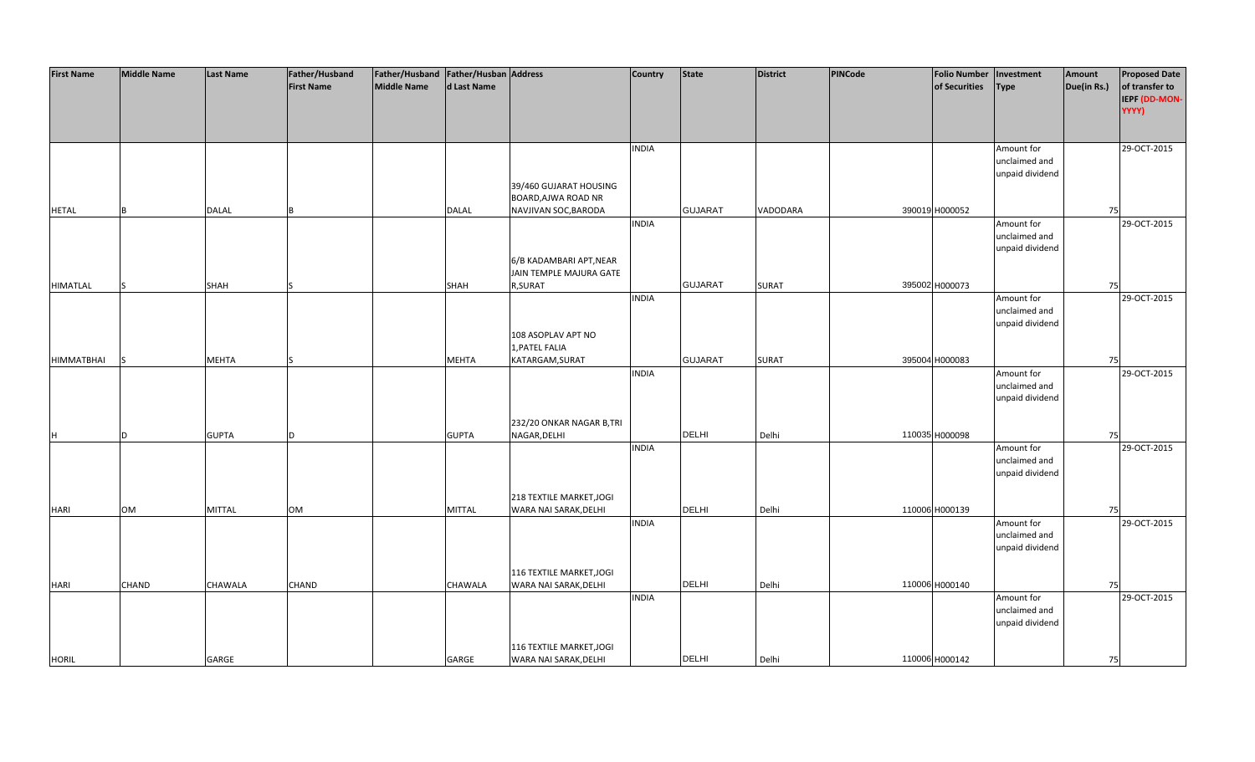| <b>First Name</b> | <b>Middle Name</b> | <b>Last Name</b> | Father/Husband    | Father/Husband   Father/Husban   Address |                |                          | <b>Country</b> | <b>State</b>   | <b>District</b> | PINCode | <b>Folio Number</b> | Investment      | Amount      | <b>Proposed Date</b> |
|-------------------|--------------------|------------------|-------------------|------------------------------------------|----------------|--------------------------|----------------|----------------|-----------------|---------|---------------------|-----------------|-------------|----------------------|
|                   |                    |                  | <b>First Name</b> | <b>Middle Name</b>                       | d Last Name    |                          |                |                |                 |         | of Securities       | Type            | Due(in Rs.) | of transfer to       |
|                   |                    |                  |                   |                                          |                |                          |                |                |                 |         |                     |                 |             | IEPF (DD-MON-        |
|                   |                    |                  |                   |                                          |                |                          |                |                |                 |         |                     |                 |             | YYYY)                |
|                   |                    |                  |                   |                                          |                |                          |                |                |                 |         |                     |                 |             |                      |
|                   |                    |                  |                   |                                          |                |                          |                |                |                 |         |                     |                 |             |                      |
|                   |                    |                  |                   |                                          |                |                          |                |                |                 |         |                     |                 |             |                      |
|                   |                    |                  |                   |                                          |                |                          | <b>INDIA</b>   |                |                 |         |                     | Amount for      |             | 29-OCT-2015          |
|                   |                    |                  |                   |                                          |                |                          |                |                |                 |         |                     | unclaimed and   |             |                      |
|                   |                    |                  |                   |                                          |                |                          |                |                |                 |         |                     | unpaid dividend |             |                      |
|                   |                    |                  |                   |                                          |                | 39/460 GUJARAT HOUSING   |                |                |                 |         |                     |                 |             |                      |
|                   |                    |                  |                   |                                          |                | BOARD, AJWA ROAD NR      |                |                |                 |         |                     |                 |             |                      |
| <b>HETAL</b>      | <b>B</b>           | <b>DALAL</b>     |                   |                                          | <b>DALAL</b>   | NAVJIVAN SOC, BARODA     |                | <b>GUJARAT</b> | VADODARA        |         | 390019 H000052      |                 | 75          |                      |
|                   |                    |                  |                   |                                          |                |                          | <b>INDIA</b>   |                |                 |         |                     | Amount for      |             | 29-OCT-2015          |
|                   |                    |                  |                   |                                          |                |                          |                |                |                 |         |                     | unclaimed and   |             |                      |
|                   |                    |                  |                   |                                          |                |                          |                |                |                 |         |                     | unpaid dividend |             |                      |
|                   |                    |                  |                   |                                          |                | 6/B KADAMBARI APT, NEAR  |                |                |                 |         |                     |                 |             |                      |
|                   |                    |                  |                   |                                          |                | JAIN TEMPLE MAJURA GATE  |                |                |                 |         |                     |                 |             |                      |
| <b>HIMATLAL</b>   |                    | <b>SHAH</b>      |                   |                                          | <b>SHAH</b>    | R, SURAT                 |                | <b>GUJARAT</b> | <b>SURAT</b>    |         | 395002 H000073      |                 | 75          |                      |
|                   |                    |                  |                   |                                          |                |                          | <b>INDIA</b>   |                |                 |         |                     | Amount for      |             | 29-OCT-2015          |
|                   |                    |                  |                   |                                          |                |                          |                |                |                 |         |                     | unclaimed and   |             |                      |
|                   |                    |                  |                   |                                          |                |                          |                |                |                 |         |                     | unpaid dividend |             |                      |
|                   |                    |                  |                   |                                          |                | 108 ASOPLAV APT NO       |                |                |                 |         |                     |                 |             |                      |
|                   |                    |                  |                   |                                          |                | 1, PATEL FALIA           |                |                |                 |         |                     |                 |             |                      |
| <b>HIMMATBHAI</b> | S                  | <b>MEHTA</b>     |                   |                                          | <b>MEHTA</b>   | KATARGAM, SURAT          |                | <b>GUJARAT</b> | <b>SURAT</b>    |         | 395004 H000083      |                 | 75          |                      |
|                   |                    |                  |                   |                                          |                |                          | <b>INDIA</b>   |                |                 |         |                     | Amount for      |             | 29-OCT-2015          |
|                   |                    |                  |                   |                                          |                |                          |                |                |                 |         |                     | unclaimed and   |             |                      |
|                   |                    |                  |                   |                                          |                |                          |                |                |                 |         |                     | unpaid dividend |             |                      |
|                   |                    |                  |                   |                                          |                |                          |                |                |                 |         |                     |                 |             |                      |
|                   |                    |                  |                   |                                          |                | 232/20 ONKAR NAGAR B,TRI |                |                |                 |         |                     |                 |             |                      |
| H                 | D                  | <b>GUPTA</b>     | D.                |                                          | <b>GUPTA</b>   | NAGAR, DELHI             |                | <b>DELHI</b>   | Delhi           |         | 110035 H000098      |                 | 75          |                      |
|                   |                    |                  |                   |                                          |                |                          | <b>INDIA</b>   |                |                 |         |                     | Amount for      |             | 29-OCT-2015          |
|                   |                    |                  |                   |                                          |                |                          |                |                |                 |         |                     | unclaimed and   |             |                      |
|                   |                    |                  |                   |                                          |                |                          |                |                |                 |         |                     | unpaid dividend |             |                      |
|                   |                    |                  |                   |                                          |                |                          |                |                |                 |         |                     |                 |             |                      |
|                   |                    |                  |                   |                                          |                | 218 TEXTILE MARKET, JOGI |                |                |                 |         |                     |                 |             |                      |
| <b>HARI</b>       | <b>OM</b>          | <b>MITTAL</b>    | <b>OM</b>         |                                          | <b>MITTAL</b>  | WARA NAI SARAK, DELHI    |                | <b>DELHI</b>   | Delhi           |         | 110006 H000139      |                 | 75          |                      |
|                   |                    |                  |                   |                                          |                |                          | <b>INDIA</b>   |                |                 |         |                     | Amount for      |             | 29-OCT-2015          |
|                   |                    |                  |                   |                                          |                |                          |                |                |                 |         |                     | unclaimed and   |             |                      |
|                   |                    |                  |                   |                                          |                |                          |                |                |                 |         |                     | unpaid dividend |             |                      |
|                   |                    |                  |                   |                                          |                |                          |                |                |                 |         |                     |                 |             |                      |
|                   |                    |                  |                   |                                          |                | 116 TEXTILE MARKET, JOGI |                |                |                 |         |                     |                 |             |                      |
| <b>HARI</b>       | <b>CHAND</b>       | CHAWALA          | CHAND             |                                          | <b>CHAWALA</b> | WARA NAI SARAK, DELHI    |                | <b>DELHI</b>   | Delhi           |         | 110006 H000140      |                 | 75          |                      |
|                   |                    |                  |                   |                                          |                |                          | <b>INDIA</b>   |                |                 |         |                     | Amount for      |             | 29-OCT-2015          |
|                   |                    |                  |                   |                                          |                |                          |                |                |                 |         |                     | unclaimed and   |             |                      |
|                   |                    |                  |                   |                                          |                |                          |                |                |                 |         |                     | unpaid dividend |             |                      |
|                   |                    |                  |                   |                                          |                |                          |                |                |                 |         |                     |                 |             |                      |
|                   |                    |                  |                   |                                          |                | 116 TEXTILE MARKET, JOGI |                |                |                 |         |                     |                 |             |                      |
| <b>HORIL</b>      |                    | GARGE            |                   |                                          | GARGE          | WARA NAI SARAK, DELHI    |                | <b>DELHI</b>   | Delhi           |         | 110006 H000142      |                 | 75          |                      |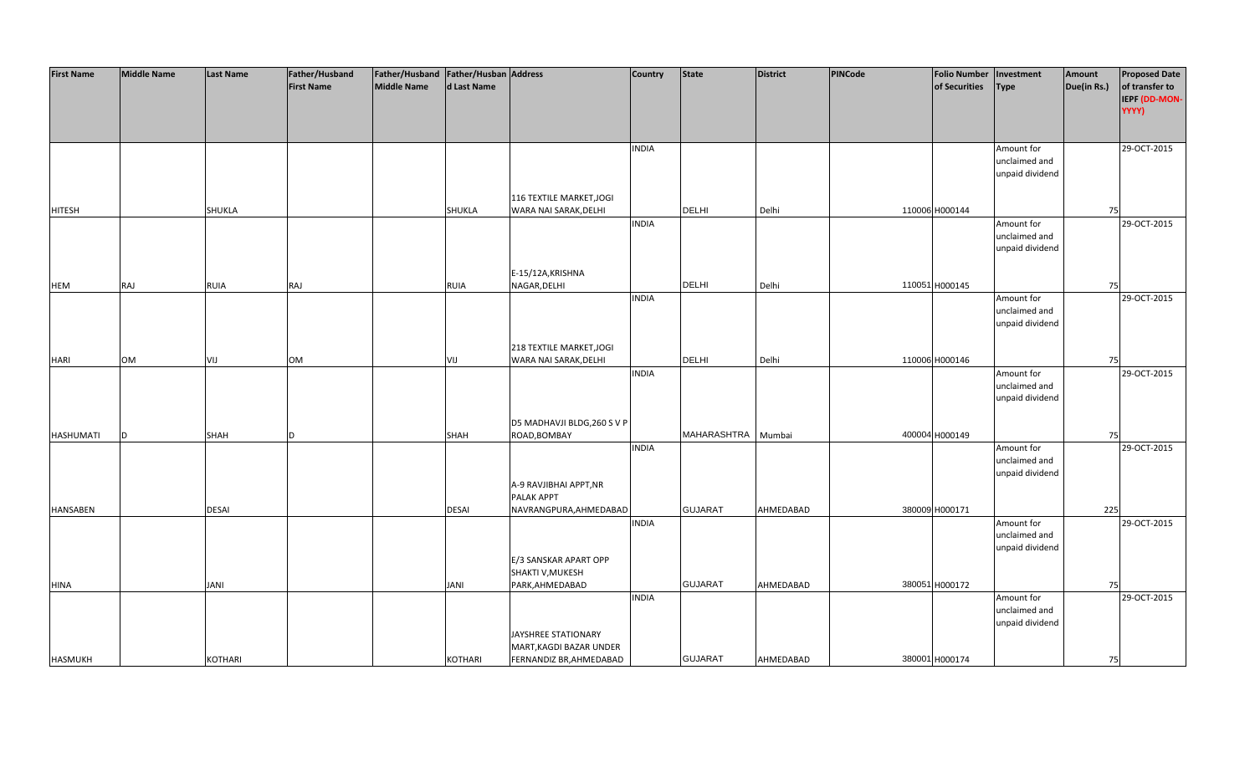| <b>First Name</b> | <b>Middle Name</b> | <b>Last Name</b> | Father/Husband    | Father/Husband   Father/Husban   Address |             |                             | <b>Country</b> | <b>State</b>   | <b>District</b> | <b>PINCode</b> | Folio Number   Investment |                             | Amount      | <b>Proposed Date</b> |
|-------------------|--------------------|------------------|-------------------|------------------------------------------|-------------|-----------------------------|----------------|----------------|-----------------|----------------|---------------------------|-----------------------------|-------------|----------------------|
|                   |                    |                  | <b>First Name</b> | Middle Name                              | d Last Name |                             |                |                |                 |                | of Securities             | <b>Type</b>                 | Due(in Rs.) | of transfer to       |
|                   |                    |                  |                   |                                          |             |                             |                |                |                 |                |                           |                             |             | IEPF (DD-MON-        |
|                   |                    |                  |                   |                                          |             |                             |                |                |                 |                |                           |                             |             | YYYY)                |
|                   |                    |                  |                   |                                          |             |                             |                |                |                 |                |                           |                             |             |                      |
|                   |                    |                  |                   |                                          |             |                             | <b>INDIA</b>   |                |                 |                |                           | Amount for                  |             | 29-OCT-2015          |
|                   |                    |                  |                   |                                          |             |                             |                |                |                 |                |                           | unclaimed and               |             |                      |
|                   |                    |                  |                   |                                          |             |                             |                |                |                 |                |                           | unpaid dividend             |             |                      |
|                   |                    |                  |                   |                                          |             |                             |                |                |                 |                |                           |                             |             |                      |
|                   |                    |                  |                   |                                          |             | 116 TEXTILE MARKET, JOGI    |                |                |                 |                |                           |                             |             |                      |
| <b>HITESH</b>     |                    | SHUKLA           |                   |                                          | SHUKLA      | WARA NAI SARAK, DELHI       |                | <b>DELHI</b>   | Delhi           |                | 110006 H000144            |                             | 75          |                      |
|                   |                    |                  |                   |                                          |             |                             | <b>INDIA</b>   |                |                 |                |                           | Amount for                  |             | 29-OCT-2015          |
|                   |                    |                  |                   |                                          |             |                             |                |                |                 |                |                           | unclaimed and               |             |                      |
|                   |                    |                  |                   |                                          |             |                             |                |                |                 |                |                           | unpaid dividend             |             |                      |
|                   |                    |                  |                   |                                          |             | E-15/12A, KRISHNA           |                |                |                 |                |                           |                             |             |                      |
| <b>HEM</b>        | <b>RAJ</b>         | RUIA             | RAJ               |                                          | <b>RUIA</b> | NAGAR, DELHI                |                | <b>DELHI</b>   | Delhi           |                | 110051 H000145            |                             | 75          |                      |
|                   |                    |                  |                   |                                          |             |                             | <b>INDIA</b>   |                |                 |                |                           | Amount for                  |             | 29-OCT-2015          |
|                   |                    |                  |                   |                                          |             |                             |                |                |                 |                |                           | unclaimed and               |             |                      |
|                   |                    |                  |                   |                                          |             |                             |                |                |                 |                |                           | unpaid dividend             |             |                      |
|                   |                    |                  |                   |                                          |             |                             |                |                |                 |                |                           |                             |             |                      |
|                   |                    |                  |                   |                                          |             | 218 TEXTILE MARKET, JOGI    |                |                |                 |                |                           |                             |             |                      |
| <b>HARI</b>       | <b>OM</b>          | VIJ              | OM                |                                          | VIJ         | WARA NAI SARAK, DELHI       |                | <b>DELHI</b>   | Delhi           |                | 110006 H000146            |                             | 75          |                      |
|                   |                    |                  |                   |                                          |             |                             | <b>INDIA</b>   |                |                 |                |                           | Amount for                  |             | 29-OCT-2015          |
|                   |                    |                  |                   |                                          |             |                             |                |                |                 |                |                           | unclaimed and               |             |                      |
|                   |                    |                  |                   |                                          |             |                             |                |                |                 |                |                           | unpaid dividend             |             |                      |
|                   |                    |                  |                   |                                          |             |                             |                |                |                 |                |                           |                             |             |                      |
|                   |                    |                  |                   |                                          |             | D5 MADHAVJI BLDG, 260 S V P |                | MAHARASHTRA    |                 |                |                           |                             |             |                      |
| HASHUMATI         | D                  | SHAH             | <sub>D</sub>      |                                          | SHAH        | ROAD, BOMBAY                | <b>INDIA</b>   |                | Mumbai          |                | 400004 H000149            | Amount for                  | 75          | 29-OCT-2015          |
|                   |                    |                  |                   |                                          |             |                             |                |                |                 |                |                           | unclaimed and               |             |                      |
|                   |                    |                  |                   |                                          |             |                             |                |                |                 |                |                           | unpaid dividend             |             |                      |
|                   |                    |                  |                   |                                          |             | A-9 RAVJIBHAI APPT, NR      |                |                |                 |                |                           |                             |             |                      |
|                   |                    |                  |                   |                                          |             | PALAK APPT                  |                |                |                 |                |                           |                             |             |                      |
| <b>HANSABEN</b>   |                    | DESAI            |                   |                                          | DESAI       | NAVRANGPURA, AHMEDABAD      |                | <b>GUJARAT</b> | AHMEDABAD       |                | 380009 H000171            |                             | 225         |                      |
|                   |                    |                  |                   |                                          |             |                             | <b>INDIA</b>   |                |                 |                |                           | Amount for                  |             | 29-OCT-2015          |
|                   |                    |                  |                   |                                          |             |                             |                |                |                 |                |                           | unclaimed and               |             |                      |
|                   |                    |                  |                   |                                          |             |                             |                |                |                 |                |                           | unpaid dividend             |             |                      |
|                   |                    |                  |                   |                                          |             | E/3 SANSKAR APART OPP       |                |                |                 |                |                           |                             |             |                      |
|                   |                    |                  |                   |                                          |             | SHAKTI V, MUKESH            |                |                |                 |                |                           |                             |             |                      |
| <b>HINA</b>       |                    | <b>JANI</b>      |                   |                                          | JANI        | PARK, AHMEDABAD             |                | <b>GUJARAT</b> | AHMEDABAD       |                | 380051 H000172            |                             | 75          |                      |
|                   |                    |                  |                   |                                          |             |                             | <b>INDIA</b>   |                |                 |                |                           | Amount for<br>unclaimed and |             | 29-OCT-2015          |
|                   |                    |                  |                   |                                          |             |                             |                |                |                 |                |                           | unpaid dividend             |             |                      |
|                   |                    |                  |                   |                                          |             | JAYSHREE STATIONARY         |                |                |                 |                |                           |                             |             |                      |
|                   |                    |                  |                   |                                          |             | MART, KAGDI BAZAR UNDER     |                |                |                 |                |                           |                             |             |                      |
| <b>HASMUKH</b>    |                    | <b>KOTHARI</b>   |                   |                                          | KOTHARI     | FERNANDIZ BR, AHMEDABAD     |                | <b>GUJARAT</b> | AHMEDABAD       |                | 380001 H000174            |                             | 75          |                      |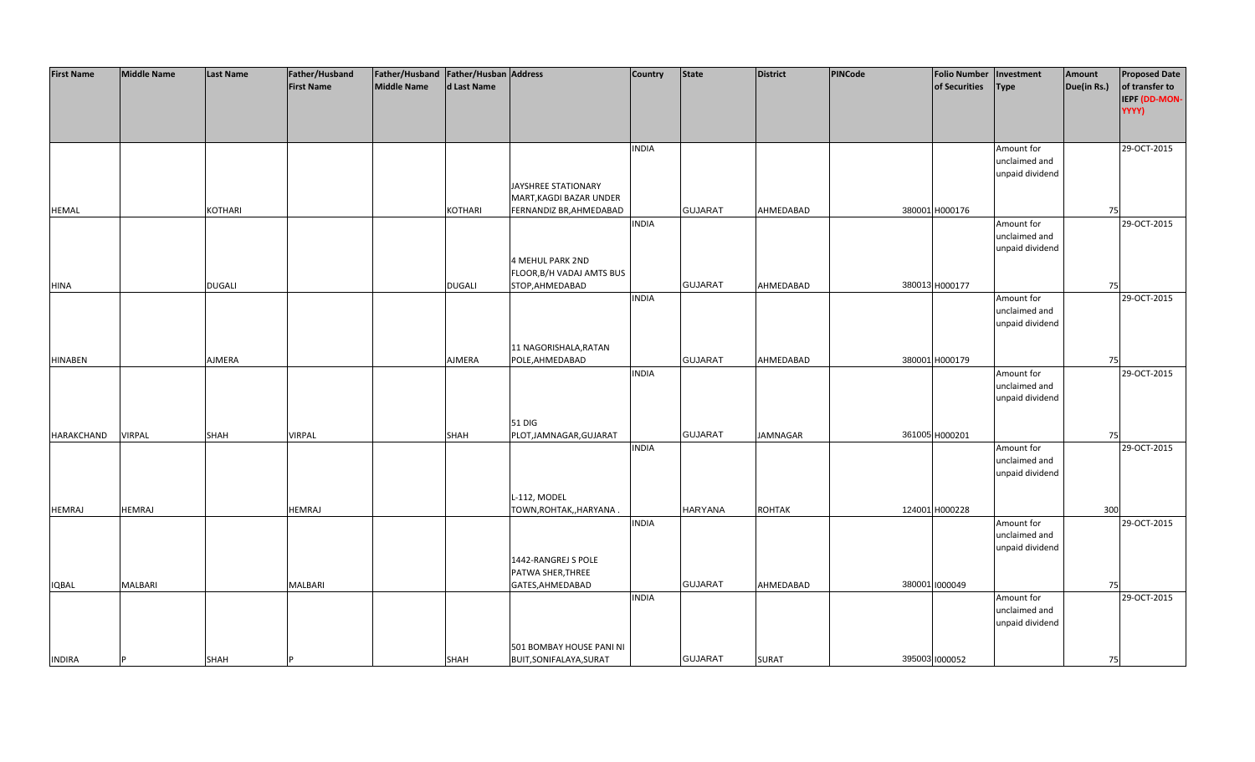| <b>First Name</b> | <b>Middle Name</b> | <b>Last Name</b> | Father/Husband    | Father/Husband   Father/Husban   Address |               |                           | <b>Country</b> | <b>State</b>   | District        | PINCode | <b>Folio Number</b> | Investment      | Amount      | <b>Proposed Date</b> |
|-------------------|--------------------|------------------|-------------------|------------------------------------------|---------------|---------------------------|----------------|----------------|-----------------|---------|---------------------|-----------------|-------------|----------------------|
|                   |                    |                  | <b>First Name</b> | Middle Name                              | d Last Name   |                           |                |                |                 |         | of Securities       | Type            | Due(in Rs.) | of transfer to       |
|                   |                    |                  |                   |                                          |               |                           |                |                |                 |         |                     |                 |             | IEPF (DD-MON-        |
|                   |                    |                  |                   |                                          |               |                           |                |                |                 |         |                     |                 |             | YYYY)                |
|                   |                    |                  |                   |                                          |               |                           |                |                |                 |         |                     |                 |             |                      |
|                   |                    |                  |                   |                                          |               |                           |                |                |                 |         |                     |                 |             |                      |
|                   |                    |                  |                   |                                          |               |                           | <b>INDIA</b>   |                |                 |         |                     | Amount for      |             | 29-OCT-2015          |
|                   |                    |                  |                   |                                          |               |                           |                |                |                 |         |                     | unclaimed and   |             |                      |
|                   |                    |                  |                   |                                          |               |                           |                |                |                 |         |                     | unpaid dividend |             |                      |
|                   |                    |                  |                   |                                          |               | JAYSHREE STATIONARY       |                |                |                 |         |                     |                 |             |                      |
|                   |                    |                  |                   |                                          |               | MART, KAGDI BAZAR UNDER   |                |                |                 |         |                     |                 |             |                      |
| <b>HEMAL</b>      |                    | KOTHARI          |                   |                                          | KOTHARI       | FERNANDIZ BR, AHMEDABAD   |                | <b>GUJARAT</b> | AHMEDABAD       |         | 380001 H000176      |                 | 75          |                      |
|                   |                    |                  |                   |                                          |               |                           | <b>INDIA</b>   |                |                 |         |                     | Amount for      |             | 29-OCT-2015          |
|                   |                    |                  |                   |                                          |               |                           |                |                |                 |         |                     | unclaimed and   |             |                      |
|                   |                    |                  |                   |                                          |               |                           |                |                |                 |         |                     | unpaid dividend |             |                      |
|                   |                    |                  |                   |                                          |               | <b>4 MEHUL PARK 2ND</b>   |                |                |                 |         |                     |                 |             |                      |
|                   |                    |                  |                   |                                          |               | FLOOR, B/H VADAJ AMTS BUS |                |                |                 |         |                     |                 |             |                      |
| <b>HINA</b>       |                    | <b>DUGALI</b>    |                   |                                          | <b>DUGALI</b> | STOP, AHMEDABAD           |                | <b>GUJARAT</b> | AHMEDABAD       |         | 380013 H000177      |                 | 75          |                      |
|                   |                    |                  |                   |                                          |               |                           | <b>INDIA</b>   |                |                 |         |                     | Amount for      |             | 29-OCT-2015          |
|                   |                    |                  |                   |                                          |               |                           |                |                |                 |         |                     | unclaimed and   |             |                      |
|                   |                    |                  |                   |                                          |               |                           |                |                |                 |         |                     | unpaid dividend |             |                      |
|                   |                    |                  |                   |                                          |               |                           |                |                |                 |         |                     |                 |             |                      |
|                   |                    |                  |                   |                                          |               | 11 NAGORISHALA, RATAN     |                |                |                 |         |                     |                 |             |                      |
| <b>HINABEN</b>    |                    | AJMERA           |                   |                                          | <b>AJMERA</b> | POLE, AHMEDABAD           |                | <b>GUJARAT</b> | AHMEDABAD       |         | 380001 H000179      |                 | 75          |                      |
|                   |                    |                  |                   |                                          |               |                           | <b>INDIA</b>   |                |                 |         |                     | Amount for      |             | 29-OCT-2015          |
|                   |                    |                  |                   |                                          |               |                           |                |                |                 |         |                     | unclaimed and   |             |                      |
|                   |                    |                  |                   |                                          |               |                           |                |                |                 |         |                     | unpaid dividend |             |                      |
|                   |                    |                  |                   |                                          |               |                           |                |                |                 |         |                     |                 |             |                      |
|                   |                    |                  |                   |                                          |               | 51 DIG                    |                |                |                 |         |                     |                 |             |                      |
| HARAKCHAND        | <b>VIRPAL</b>      | SHAH             | <b>VIRPAL</b>     |                                          | SHAH          | PLOT, JAMNAGAR, GUJARAT   |                | <b>GUJARAT</b> | <b>JAMNAGAR</b> |         | 361005 H000201      |                 | 75          |                      |
|                   |                    |                  |                   |                                          |               |                           | <b>INDIA</b>   |                |                 |         |                     | Amount for      |             | 29-OCT-2015          |
|                   |                    |                  |                   |                                          |               |                           |                |                |                 |         |                     | unclaimed and   |             |                      |
|                   |                    |                  |                   |                                          |               |                           |                |                |                 |         |                     | unpaid dividend |             |                      |
|                   |                    |                  |                   |                                          |               | L-112, MODEL              |                |                |                 |         |                     |                 |             |                      |
| HEMRAJ            | <b>HEMRAJ</b>      |                  | <b>HEMRAJ</b>     |                                          |               | TOWN, ROHTAK, , HARYANA.  |                | <b>HARYANA</b> | <b>ROHTAK</b>   |         | 124001 H000228      |                 | 300         |                      |
|                   |                    |                  |                   |                                          |               |                           | <b>INDIA</b>   |                |                 |         |                     | Amount for      |             | 29-OCT-2015          |
|                   |                    |                  |                   |                                          |               |                           |                |                |                 |         |                     | unclaimed and   |             |                      |
|                   |                    |                  |                   |                                          |               |                           |                |                |                 |         |                     | unpaid dividend |             |                      |
|                   |                    |                  |                   |                                          |               | 1442-RANGREJ S POLE       |                |                |                 |         |                     |                 |             |                      |
|                   |                    |                  |                   |                                          |               | PATWA SHER, THREE         |                |                |                 |         |                     |                 |             |                      |
| <b>IQBAL</b>      | MALBARI            |                  | MALBARI           |                                          |               | GATES, AHMEDABAD          |                | <b>GUJARAT</b> | AHMEDABAD       |         | 380001 1000049      |                 | 75          |                      |
|                   |                    |                  |                   |                                          |               |                           | <b>INDIA</b>   |                |                 |         |                     | Amount for      |             | 29-OCT-2015          |
|                   |                    |                  |                   |                                          |               |                           |                |                |                 |         |                     | unclaimed and   |             |                      |
|                   |                    |                  |                   |                                          |               |                           |                |                |                 |         |                     | unpaid dividend |             |                      |
|                   |                    |                  |                   |                                          |               |                           |                |                |                 |         |                     |                 |             |                      |
|                   |                    |                  |                   |                                          |               | 501 BOMBAY HOUSE PANI NI  |                |                |                 |         |                     |                 |             |                      |
| <b>INDIRA</b>     |                    | SHAH             |                   |                                          | SHAH          | BUIT, SONIFALAYA, SURAT   |                | <b>GUJARAT</b> | <b>SURAT</b>    |         | 395003 1000052      |                 | 75          |                      |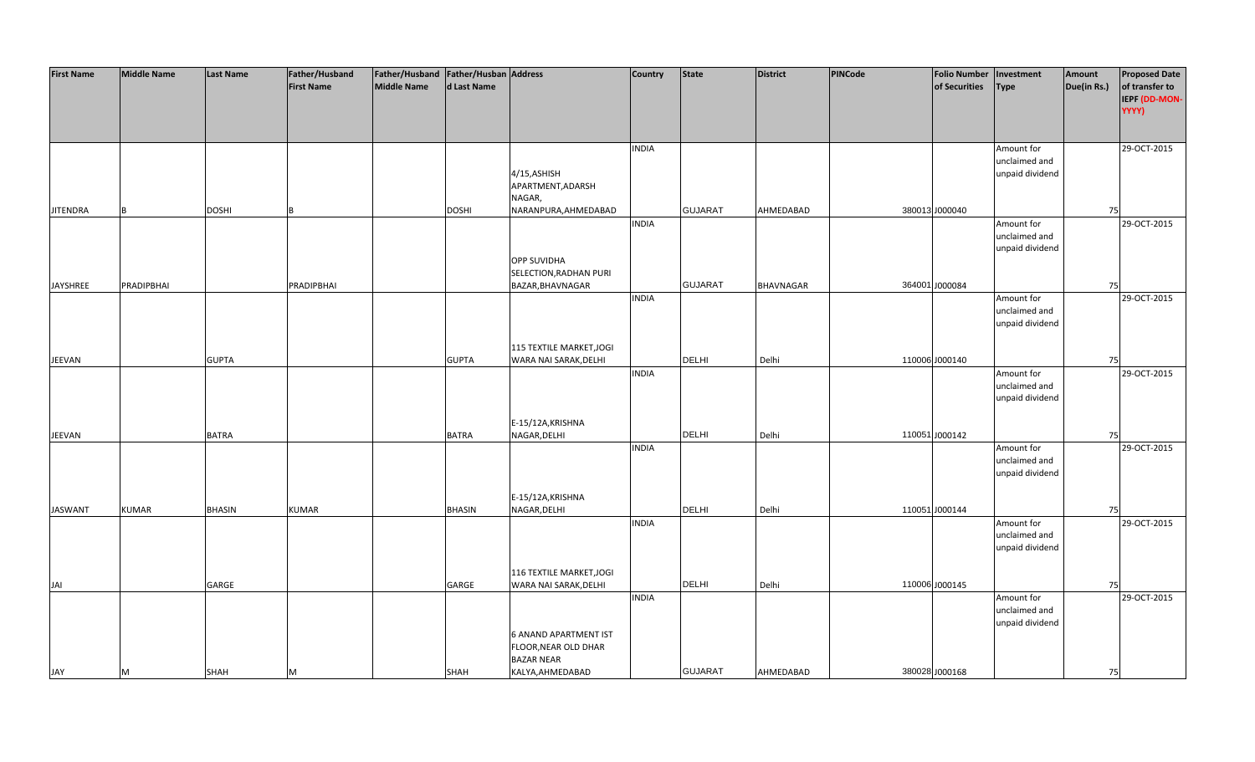| <b>First Name</b> | <b>Middle Name</b> | Last Name     | Father/Husband    | Father/Husband   Father/Husban   Address |               |                              | <b>Country</b> | <b>State</b>   | <b>District</b>  | <b>PINCode</b> | <b>Folio Number</b> | Investment                  | Amount      | <b>Proposed Date</b> |
|-------------------|--------------------|---------------|-------------------|------------------------------------------|---------------|------------------------------|----------------|----------------|------------------|----------------|---------------------|-----------------------------|-------------|----------------------|
|                   |                    |               | <b>First Name</b> | <b>Middle Name</b>                       | d Last Name   |                              |                |                |                  |                | of Securities       | <b>Type</b>                 | Due(in Rs.) | of transfer to       |
|                   |                    |               |                   |                                          |               |                              |                |                |                  |                |                     |                             |             | IEPF (DD-MON-        |
|                   |                    |               |                   |                                          |               |                              |                |                |                  |                |                     |                             |             | YYYY)                |
|                   |                    |               |                   |                                          |               |                              |                |                |                  |                |                     |                             |             |                      |
|                   |                    |               |                   |                                          |               |                              | <b>INDIA</b>   |                |                  |                |                     | Amount for                  |             | 29-OCT-2015          |
|                   |                    |               |                   |                                          |               |                              |                |                |                  |                |                     | unclaimed and               |             |                      |
|                   |                    |               |                   |                                          |               | 4/15, ASHISH                 |                |                |                  |                |                     | unpaid dividend             |             |                      |
|                   |                    |               |                   |                                          |               | APARTMENT, ADARSH            |                |                |                  |                |                     |                             |             |                      |
|                   |                    |               |                   |                                          |               | NAGAR,                       |                |                |                  |                |                     |                             |             |                      |
| <b>JITENDRA</b>   |                    | <b>DOSHI</b>  |                   |                                          | <b>DOSHI</b>  | NARANPURA, AHMEDABAD         |                | <b>GUJARAT</b> | AHMEDABAD        |                | 380013 J000040      |                             | 75          |                      |
|                   |                    |               |                   |                                          |               |                              | <b>INDIA</b>   |                |                  |                |                     | Amount for                  |             | 29-OCT-2015          |
|                   |                    |               |                   |                                          |               |                              |                |                |                  |                |                     | unclaimed and               |             |                      |
|                   |                    |               |                   |                                          |               |                              |                |                |                  |                |                     | unpaid dividend             |             |                      |
|                   |                    |               |                   |                                          |               | <b>OPP SUVIDHA</b>           |                |                |                  |                |                     |                             |             |                      |
|                   |                    |               |                   |                                          |               | SELECTION, RADHAN PURI       |                |                |                  |                |                     |                             |             |                      |
| JAYSHREE          | <b>PRADIPBHAI</b>  |               | PRADIPBHAI        |                                          |               | BAZAR, BHAVNAGAR             | <b>INDIA</b>   | <b>GUJARAT</b> | <b>BHAVNAGAR</b> |                | 364001 J000084      |                             | 75          |                      |
|                   |                    |               |                   |                                          |               |                              |                |                |                  |                |                     | Amount for<br>unclaimed and |             | 29-OCT-2015          |
|                   |                    |               |                   |                                          |               |                              |                |                |                  |                |                     | unpaid dividend             |             |                      |
|                   |                    |               |                   |                                          |               |                              |                |                |                  |                |                     |                             |             |                      |
|                   |                    |               |                   |                                          |               | 115 TEXTILE MARKET, JOGI     |                |                |                  |                |                     |                             |             |                      |
| JEEVAN            |                    | <b>GUPTA</b>  |                   |                                          | <b>GUPTA</b>  | WARA NAI SARAK, DELHI        |                | <b>DELHI</b>   | Delhi            |                | 110006 J000140      |                             | 75          |                      |
|                   |                    |               |                   |                                          |               |                              | <b>INDIA</b>   |                |                  |                |                     | Amount for                  |             | 29-OCT-2015          |
|                   |                    |               |                   |                                          |               |                              |                |                |                  |                |                     | unclaimed and               |             |                      |
|                   |                    |               |                   |                                          |               |                              |                |                |                  |                |                     | unpaid dividend             |             |                      |
|                   |                    |               |                   |                                          |               |                              |                |                |                  |                |                     |                             |             |                      |
|                   |                    |               |                   |                                          |               | E-15/12A, KRISHNA            |                |                |                  |                |                     |                             |             |                      |
| JEEVAN            |                    | BATRA         |                   |                                          | <b>BATRA</b>  | NAGAR, DELHI                 |                | <b>DELHI</b>   | Delhi            |                | 110051 J000142      |                             | 75          |                      |
|                   |                    |               |                   |                                          |               |                              | <b>INDIA</b>   |                |                  |                |                     | Amount for                  |             | 29-OCT-2015          |
|                   |                    |               |                   |                                          |               |                              |                |                |                  |                |                     | unclaimed and               |             |                      |
|                   |                    |               |                   |                                          |               |                              |                |                |                  |                |                     | unpaid dividend             |             |                      |
|                   |                    |               |                   |                                          |               |                              |                |                |                  |                |                     |                             |             |                      |
|                   |                    |               |                   |                                          |               | E-15/12A, KRISHNA            |                |                |                  |                |                     |                             |             |                      |
| <b>JASWANT</b>    | <b>KUMAR</b>       | <b>BHASIN</b> | <b>KUMAR</b>      |                                          | <b>BHASIN</b> | NAGAR, DELHI                 |                | <b>DELHI</b>   | Delhi            |                | 110051 J000144      |                             | 75          |                      |
|                   |                    |               |                   |                                          |               |                              | <b>INDIA</b>   |                |                  |                |                     | Amount for                  |             | 29-OCT-2015          |
|                   |                    |               |                   |                                          |               |                              |                |                |                  |                |                     | unclaimed and               |             |                      |
|                   |                    |               |                   |                                          |               |                              |                |                |                  |                |                     | unpaid dividend             |             |                      |
|                   |                    |               |                   |                                          |               | 116 TEXTILE MARKET, JOGI     |                |                |                  |                |                     |                             |             |                      |
| JAI               |                    | GARGE         |                   |                                          | GARGE         | WARA NAI SARAK, DELHI        |                | <b>DELHI</b>   | Delhi            |                | 110006 J000145      |                             | 75          |                      |
|                   |                    |               |                   |                                          |               |                              | <b>INDIA</b>   |                |                  |                |                     | Amount for                  |             | 29-OCT-2015          |
|                   |                    |               |                   |                                          |               |                              |                |                |                  |                |                     | unclaimed and               |             |                      |
|                   |                    |               |                   |                                          |               |                              |                |                |                  |                |                     | unpaid dividend             |             |                      |
|                   |                    |               |                   |                                          |               | <b>6 ANAND APARTMENT IST</b> |                |                |                  |                |                     |                             |             |                      |
|                   |                    |               |                   |                                          |               | FLOOR, NEAR OLD DHAR         |                |                |                  |                |                     |                             |             |                      |
|                   |                    |               |                   |                                          |               | <b>BAZAR NEAR</b>            |                |                |                  |                |                     |                             |             |                      |
| JAY               | M                  | SHAH          | M                 |                                          | SHAH          | KALYA, AHMEDABAD             |                | <b>GUJARAT</b> | AHMEDABAD        |                | 380028 J000168      |                             | 75          |                      |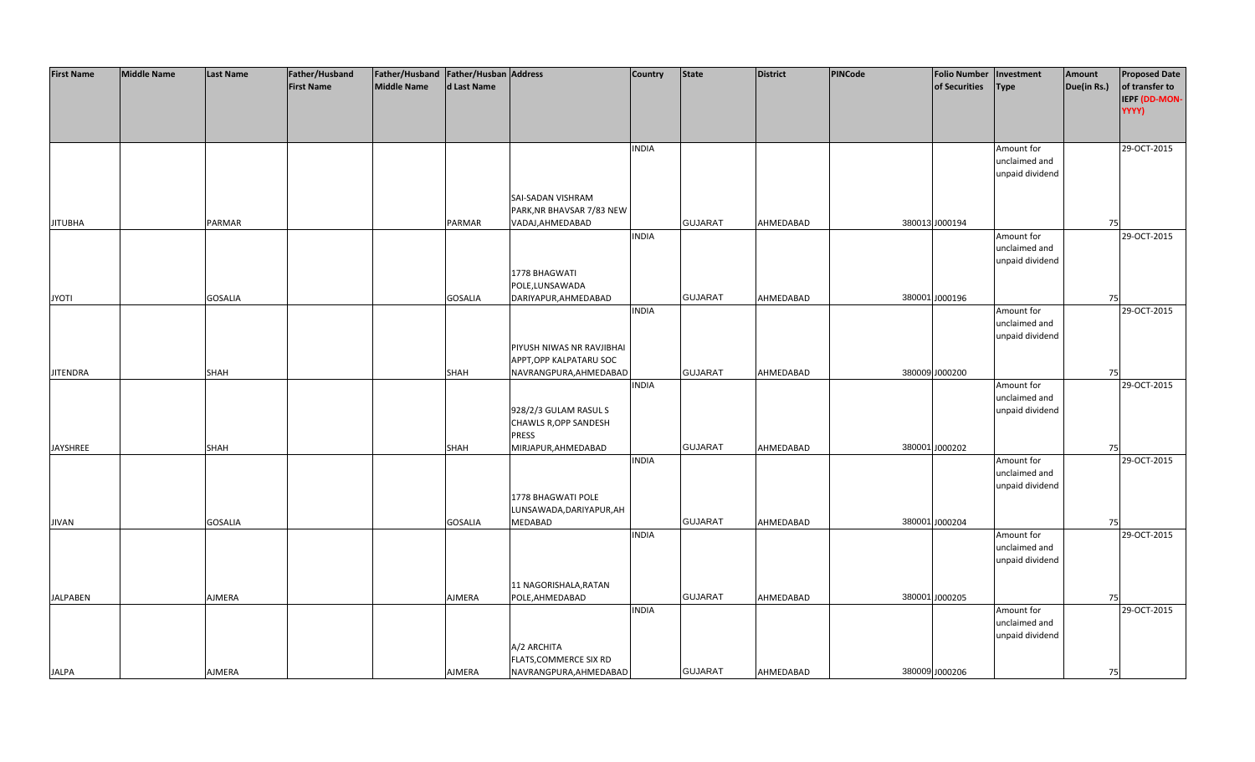| <b>First Name</b> | <b>Middle Name</b> | <b>Last Name</b> | Father/Husband    | Father/Husband Father/Husban Address |                |                           | <b>Country</b> | <b>State</b>   | <b>District</b> | PINCode | <b>Folio Number</b> | Investment      | Amount      | <b>Proposed Date</b> |
|-------------------|--------------------|------------------|-------------------|--------------------------------------|----------------|---------------------------|----------------|----------------|-----------------|---------|---------------------|-----------------|-------------|----------------------|
|                   |                    |                  | <b>First Name</b> | <b>Middle Name</b>                   | d Last Name    |                           |                |                |                 |         | of Securities       | <b>Type</b>     | Due(in Rs.) | of transfer to       |
|                   |                    |                  |                   |                                      |                |                           |                |                |                 |         |                     |                 |             | <b>IEPF (DD-MON-</b> |
|                   |                    |                  |                   |                                      |                |                           |                |                |                 |         |                     |                 |             | YYYY)                |
|                   |                    |                  |                   |                                      |                |                           |                |                |                 |         |                     |                 |             |                      |
|                   |                    |                  |                   |                                      |                |                           |                |                |                 |         |                     |                 |             |                      |
|                   |                    |                  |                   |                                      |                |                           | <b>INDIA</b>   |                |                 |         |                     | Amount for      |             | 29-OCT-2015          |
|                   |                    |                  |                   |                                      |                |                           |                |                |                 |         |                     | unclaimed and   |             |                      |
|                   |                    |                  |                   |                                      |                |                           |                |                |                 |         |                     | unpaid dividend |             |                      |
|                   |                    |                  |                   |                                      |                |                           |                |                |                 |         |                     |                 |             |                      |
|                   |                    |                  |                   |                                      |                | SAI-SADAN VISHRAM         |                |                |                 |         |                     |                 |             |                      |
|                   |                    |                  |                   |                                      |                | PARK, NR BHAVSAR 7/83 NEW |                |                |                 |         |                     |                 |             |                      |
| <b>JITUBHA</b>    |                    | PARMAR           |                   |                                      | PARMAR         | VADAJ, AHMEDABAD          |                | <b>GUJARAT</b> | AHMEDABAD       |         | 380013 J000194      |                 | 75          |                      |
|                   |                    |                  |                   |                                      |                |                           | <b>INDIA</b>   |                |                 |         |                     | Amount for      |             | 29-OCT-2015          |
|                   |                    |                  |                   |                                      |                |                           |                |                |                 |         |                     | unclaimed and   |             |                      |
|                   |                    |                  |                   |                                      |                |                           |                |                |                 |         |                     | unpaid dividend |             |                      |
|                   |                    |                  |                   |                                      |                | 1778 BHAGWATI             |                |                |                 |         |                     |                 |             |                      |
|                   |                    |                  |                   |                                      |                | POLE,LUNSAWADA            |                |                |                 |         |                     |                 |             |                      |
| <b>JYOTI</b>      |                    | <b>GOSALIA</b>   |                   |                                      | <b>GOSALIA</b> | DARIYAPUR, AHMEDABAD      |                | <b>GUJARAT</b> | AHMEDABAD       |         | 380001 J000196      |                 | 75          |                      |
|                   |                    |                  |                   |                                      |                |                           | <b>INDIA</b>   |                |                 |         |                     | Amount for      |             | 29-OCT-2015          |
|                   |                    |                  |                   |                                      |                |                           |                |                |                 |         |                     | unclaimed and   |             |                      |
|                   |                    |                  |                   |                                      |                |                           |                |                |                 |         |                     | unpaid dividend |             |                      |
|                   |                    |                  |                   |                                      |                | PIYUSH NIWAS NR RAVJIBHAI |                |                |                 |         |                     |                 |             |                      |
|                   |                    |                  |                   |                                      |                | APPT, OPP KALPATARU SOC   |                |                |                 |         |                     |                 |             |                      |
| <b>JITENDRA</b>   |                    | SHAH             |                   |                                      | SHAH           | NAVRANGPURA, AHMEDABAD    |                | <b>GUJARAT</b> | AHMEDABAD       |         | 380009 J000200      |                 | 75          |                      |
|                   |                    |                  |                   |                                      |                |                           | <b>INDIA</b>   |                |                 |         |                     | Amount for      |             | 29-OCT-2015          |
|                   |                    |                  |                   |                                      |                |                           |                |                |                 |         |                     | unclaimed and   |             |                      |
|                   |                    |                  |                   |                                      |                | 928/2/3 GULAM RASUL S     |                |                |                 |         |                     | unpaid dividend |             |                      |
|                   |                    |                  |                   |                                      |                | CHAWLS R, OPP SANDESH     |                |                |                 |         |                     |                 |             |                      |
|                   |                    |                  |                   |                                      |                | <b>PRESS</b>              |                |                |                 |         |                     |                 |             |                      |
| <b>JAYSHREE</b>   |                    | SHAH             |                   |                                      | SHAH           | MIRJAPUR, AHMEDABAD       |                | <b>GUJARAT</b> | AHMEDABAD       |         | 380001 J000202      |                 | 75          |                      |
|                   |                    |                  |                   |                                      |                |                           | <b>INDIA</b>   |                |                 |         |                     | Amount for      |             | 29-OCT-2015          |
|                   |                    |                  |                   |                                      |                |                           |                |                |                 |         |                     | unclaimed and   |             |                      |
|                   |                    |                  |                   |                                      |                |                           |                |                |                 |         |                     | unpaid dividend |             |                      |
|                   |                    |                  |                   |                                      |                | 1778 BHAGWATI POLE        |                |                |                 |         |                     |                 |             |                      |
|                   |                    |                  |                   |                                      |                | LUNSAWADA, DARIYAPUR, AH  |                |                |                 |         |                     |                 |             |                      |
| <b>JIVAN</b>      |                    | <b>GOSALIA</b>   |                   |                                      | <b>GOSALIA</b> | MEDABAD                   |                | <b>GUJARAT</b> | AHMEDABAD       |         | 380001 J000204      |                 | 75          |                      |
|                   |                    |                  |                   |                                      |                |                           | <b>INDIA</b>   |                |                 |         |                     | Amount for      |             | 29-OCT-2015          |
|                   |                    |                  |                   |                                      |                |                           |                |                |                 |         |                     | unclaimed and   |             |                      |
|                   |                    |                  |                   |                                      |                |                           |                |                |                 |         |                     | unpaid dividend |             |                      |
|                   |                    |                  |                   |                                      |                |                           |                |                |                 |         |                     |                 |             |                      |
|                   |                    |                  |                   |                                      |                | 11 NAGORISHALA, RATAN     |                |                |                 |         |                     |                 |             |                      |
| <b>JALPABEN</b>   |                    | AJMERA           |                   |                                      | AJMERA         | POLE, AHMEDABAD           |                | <b>GUJARAT</b> | AHMEDABAD       |         | 380001 J000205      |                 | 75          |                      |
|                   |                    |                  |                   |                                      |                |                           | <b>INDIA</b>   |                |                 |         |                     | Amount for      |             | 29-OCT-2015          |
|                   |                    |                  |                   |                                      |                |                           |                |                |                 |         |                     | unclaimed and   |             |                      |
|                   |                    |                  |                   |                                      |                |                           |                |                |                 |         |                     | unpaid dividend |             |                      |
|                   |                    |                  |                   |                                      |                | A/2 ARCHITA               |                |                |                 |         |                     |                 |             |                      |
|                   |                    |                  |                   |                                      |                | FLATS, COMMERCE SIX RD    |                |                |                 |         |                     |                 |             |                      |
| <b>JALPA</b>      |                    | <b>AJMERA</b>    |                   |                                      | AJMERA         | NAVRANGPURA, AHMEDABAD    |                | <b>GUJARAT</b> | AHMEDABAD       |         | 380009 J000206      |                 | 75          |                      |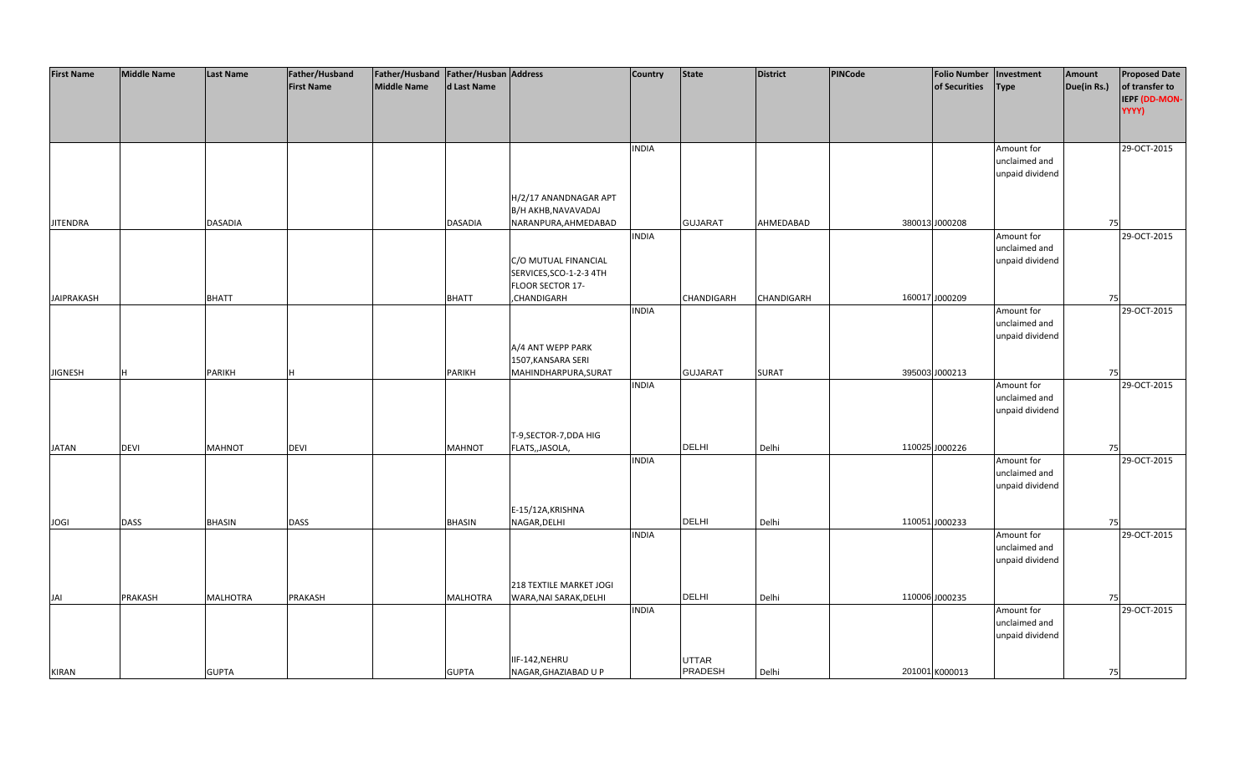| <b>First Name</b> | <b>Middle Name</b> | Last Name       | Father/Husband    | Father/Husband   Father/Husban   Address |                 |                                              | <b>Country</b> | <b>State</b>   | <b>District</b> | <b>PINCode</b> | <b>Folio Number</b> | Investment                  | Amount      | <b>Proposed Date</b> |
|-------------------|--------------------|-----------------|-------------------|------------------------------------------|-----------------|----------------------------------------------|----------------|----------------|-----------------|----------------|---------------------|-----------------------------|-------------|----------------------|
|                   |                    |                 | <b>First Name</b> | Middle Name                              | d Last Name     |                                              |                |                |                 |                | of Securities       | <b>Type</b>                 | Due(in Rs.) | of transfer to       |
|                   |                    |                 |                   |                                          |                 |                                              |                |                |                 |                |                     |                             |             | IEPF (DD-MON-        |
|                   |                    |                 |                   |                                          |                 |                                              |                |                |                 |                |                     |                             |             | YYYY)                |
|                   |                    |                 |                   |                                          |                 |                                              |                |                |                 |                |                     |                             |             |                      |
|                   |                    |                 |                   |                                          |                 |                                              | <b>INDIA</b>   |                |                 |                |                     | Amount for                  |             | 29-OCT-2015          |
|                   |                    |                 |                   |                                          |                 |                                              |                |                |                 |                |                     | unclaimed and               |             |                      |
|                   |                    |                 |                   |                                          |                 |                                              |                |                |                 |                |                     | unpaid dividend             |             |                      |
|                   |                    |                 |                   |                                          |                 |                                              |                |                |                 |                |                     |                             |             |                      |
|                   |                    |                 |                   |                                          |                 | H/2/17 ANANDNAGAR APT<br>B/H AKHB, NAVAVADAJ |                |                |                 |                |                     |                             |             |                      |
| <b>JITENDRA</b>   |                    | <b>DASADIA</b>  |                   |                                          | DASADIA         | NARANPURA, AHMEDABAD                         |                | <b>GUJARAT</b> | AHMEDABAD       |                | 380013 J000208      |                             | 75          |                      |
|                   |                    |                 |                   |                                          |                 |                                              | <b>INDIA</b>   |                |                 |                |                     | Amount for                  |             | 29-OCT-2015          |
|                   |                    |                 |                   |                                          |                 |                                              |                |                |                 |                |                     | unclaimed and               |             |                      |
|                   |                    |                 |                   |                                          |                 | C/O MUTUAL FINANCIAL                         |                |                |                 |                |                     | unpaid dividend             |             |                      |
|                   |                    |                 |                   |                                          |                 | SERVICES, SCO-1-2-3 4TH                      |                |                |                 |                |                     |                             |             |                      |
|                   |                    |                 |                   |                                          |                 | FLOOR SECTOR 17-                             |                |                |                 |                |                     |                             |             |                      |
| <b>JAIPRAKASH</b> |                    | <b>BHATT</b>    |                   |                                          | <b>BHATT</b>    | CHANDIGARH,                                  | <b>INDIA</b>   | CHANDIGARH     | CHANDIGARH      |                | 160017 J000209      |                             | 75          | 29-OCT-2015          |
|                   |                    |                 |                   |                                          |                 |                                              |                |                |                 |                |                     | Amount for<br>unclaimed and |             |                      |
|                   |                    |                 |                   |                                          |                 |                                              |                |                |                 |                |                     | unpaid dividend             |             |                      |
|                   |                    |                 |                   |                                          |                 | A/4 ANT WEPP PARK                            |                |                |                 |                |                     |                             |             |                      |
|                   |                    |                 |                   |                                          |                 | 1507, KANSARA SERI                           |                |                |                 |                |                     |                             |             |                      |
| <b>JIGNESH</b>    | H                  | PARIKH          |                   |                                          | PARIKH          | MAHINDHARPURA, SURAT                         |                | <b>GUJARAT</b> | <b>SURAT</b>    |                | 395003 J000213      |                             | 75          |                      |
|                   |                    |                 |                   |                                          |                 |                                              | <b>INDIA</b>   |                |                 |                |                     | Amount for                  |             | 29-OCT-2015          |
|                   |                    |                 |                   |                                          |                 |                                              |                |                |                 |                |                     | unclaimed and               |             |                      |
|                   |                    |                 |                   |                                          |                 |                                              |                |                |                 |                |                     | unpaid dividend             |             |                      |
|                   |                    |                 |                   |                                          |                 | T-9, SECTOR-7, DDA HIG                       |                |                |                 |                |                     |                             |             |                      |
| <b>JATAN</b>      | <b>DEVI</b>        | <b>MAHNOT</b>   | <b>DEVI</b>       |                                          | <b>MAHNOT</b>   | FLATS,, JASOLA,                              |                | DELHI          | Delhi           |                | 110025 J000226      |                             | 75          |                      |
|                   |                    |                 |                   |                                          |                 |                                              | <b>INDIA</b>   |                |                 |                |                     | Amount for                  |             | 29-OCT-2015          |
|                   |                    |                 |                   |                                          |                 |                                              |                |                |                 |                |                     | unclaimed and               |             |                      |
|                   |                    |                 |                   |                                          |                 |                                              |                |                |                 |                |                     | unpaid dividend             |             |                      |
|                   |                    |                 |                   |                                          |                 | E-15/12A, KRISHNA                            |                |                |                 |                |                     |                             |             |                      |
| <b>JOGI</b>       | <b>DASS</b>        | <b>BHASIN</b>   | <b>DASS</b>       |                                          | <b>BHASIN</b>   | NAGAR, DELHI                                 |                | <b>DELHI</b>   | Delhi           |                | 110051 J000233      |                             | 75          |                      |
|                   |                    |                 |                   |                                          |                 |                                              | <b>INDIA</b>   |                |                 |                |                     | Amount for                  |             | 29-OCT-2015          |
|                   |                    |                 |                   |                                          |                 |                                              |                |                |                 |                |                     | unclaimed and               |             |                      |
|                   |                    |                 |                   |                                          |                 |                                              |                |                |                 |                |                     | unpaid dividend             |             |                      |
|                   |                    |                 |                   |                                          |                 |                                              |                |                |                 |                |                     |                             |             |                      |
|                   |                    |                 |                   |                                          |                 | 218 TEXTILE MARKET JOGI                      |                |                |                 |                |                     |                             |             |                      |
| JAI               | PRAKASH            | <b>MALHOTRA</b> | PRAKASH           |                                          | <b>MALHOTRA</b> | WARA, NAI SARAK, DELHI                       | <b>INDIA</b>   | <b>DELHI</b>   | Delhi           |                | 110006 J000235      | Amount for                  | 75          | 29-OCT-2015          |
|                   |                    |                 |                   |                                          |                 |                                              |                |                |                 |                |                     | unclaimed and               |             |                      |
|                   |                    |                 |                   |                                          |                 |                                              |                |                |                 |                |                     | unpaid dividend             |             |                      |
|                   |                    |                 |                   |                                          |                 |                                              |                |                |                 |                |                     |                             |             |                      |
|                   |                    |                 |                   |                                          |                 | IIF-142,NEHRU                                |                | UTTAR          |                 |                |                     |                             |             |                      |
| <b>KIRAN</b>      |                    | <b>GUPTA</b>    |                   |                                          | <b>GUPTA</b>    | NAGAR, GHAZIABAD U P                         |                | PRADESH        | Delhi           |                | 201001 K000013      |                             | 75          |                      |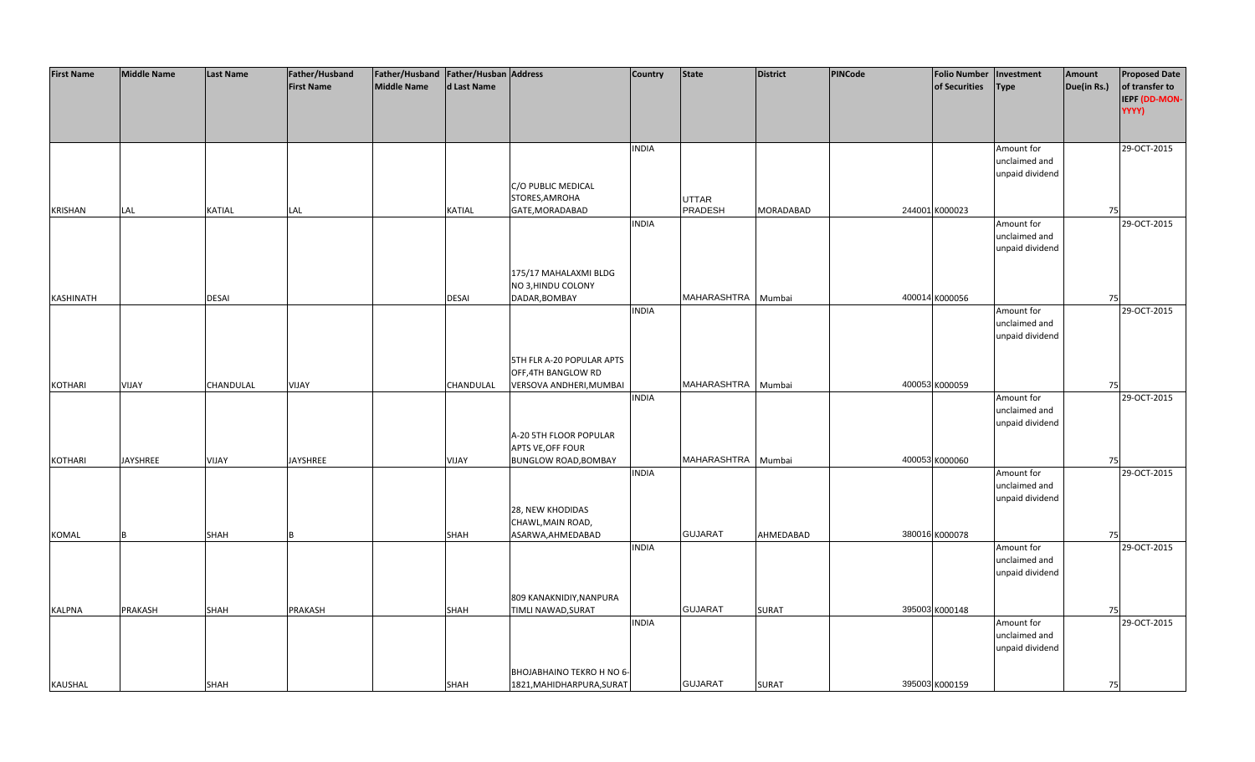| <b>First Name</b> | <b>Middle Name</b> | <b>Last Name</b> | Father/Husband    | Father/Husband   Father/Husban   Address |               |                                                 | <b>Country</b> | State              | <b>District</b>  | <b>PINCode</b> | <b>Folio Number</b> | Investment      | Amount      | <b>Proposed Date</b> |
|-------------------|--------------------|------------------|-------------------|------------------------------------------|---------------|-------------------------------------------------|----------------|--------------------|------------------|----------------|---------------------|-----------------|-------------|----------------------|
|                   |                    |                  | <b>First Name</b> | <b>Middle Name</b>                       | d Last Name   |                                                 |                |                    |                  |                | of Securities       | <b>Type</b>     | Due(in Rs.) | of transfer to       |
|                   |                    |                  |                   |                                          |               |                                                 |                |                    |                  |                |                     |                 |             | IEPF (DD-MON-        |
|                   |                    |                  |                   |                                          |               |                                                 |                |                    |                  |                |                     |                 |             | YYYY)                |
|                   |                    |                  |                   |                                          |               |                                                 |                |                    |                  |                |                     |                 |             |                      |
|                   |                    |                  |                   |                                          |               |                                                 |                |                    |                  |                |                     |                 |             |                      |
|                   |                    |                  |                   |                                          |               |                                                 | <b>INDIA</b>   |                    |                  |                |                     | Amount for      |             | 29-OCT-2015          |
|                   |                    |                  |                   |                                          |               |                                                 |                |                    |                  |                |                     | unclaimed and   |             |                      |
|                   |                    |                  |                   |                                          |               |                                                 |                |                    |                  |                |                     | unpaid dividend |             |                      |
|                   |                    |                  |                   |                                          |               | C/O PUBLIC MEDICAL                              |                |                    |                  |                |                     |                 |             |                      |
|                   |                    |                  |                   |                                          |               | STORES, AMROHA                                  |                | UTTAR              |                  |                |                     |                 |             |                      |
| <b>KRISHAN</b>    | LAL                | KATIAL           | LAL               |                                          | <b>KATIAL</b> | GATE, MORADABAD                                 |                | PRADESH            | <b>MORADABAD</b> |                | 244001 K000023      |                 | 75          |                      |
|                   |                    |                  |                   |                                          |               |                                                 | <b>INDIA</b>   |                    |                  |                |                     | Amount for      |             | 29-OCT-2015          |
|                   |                    |                  |                   |                                          |               |                                                 |                |                    |                  |                |                     | unclaimed and   |             |                      |
|                   |                    |                  |                   |                                          |               |                                                 |                |                    |                  |                |                     | unpaid dividend |             |                      |
|                   |                    |                  |                   |                                          |               |                                                 |                |                    |                  |                |                     |                 |             |                      |
|                   |                    |                  |                   |                                          |               | 175/17 MAHALAXMI BLDG                           |                |                    |                  |                |                     |                 |             |                      |
|                   |                    |                  |                   |                                          |               | NO 3, HINDU COLONY                              |                |                    |                  |                |                     |                 |             |                      |
| KASHINATH         |                    | <b>DESAI</b>     |                   |                                          | <b>DESAI</b>  | DADAR, BOMBAY                                   |                | MAHARASHTRA Mumbai |                  |                | 400014 K000056      |                 | 75          |                      |
|                   |                    |                  |                   |                                          |               |                                                 | <b>INDIA</b>   |                    |                  |                |                     | Amount for      |             | 29-OCT-2015          |
|                   |                    |                  |                   |                                          |               |                                                 |                |                    |                  |                |                     | unclaimed and   |             |                      |
|                   |                    |                  |                   |                                          |               |                                                 |                |                    |                  |                |                     | unpaid dividend |             |                      |
|                   |                    |                  |                   |                                          |               |                                                 |                |                    |                  |                |                     |                 |             |                      |
|                   |                    |                  |                   |                                          |               |                                                 |                |                    |                  |                |                     |                 |             |                      |
|                   |                    |                  |                   |                                          |               | 5TH FLR A-20 POPULAR APTS<br>OFF,4TH BANGLOW RD |                |                    |                  |                |                     |                 |             |                      |
|                   |                    |                  |                   |                                          |               |                                                 |                | MAHARASHTRA        |                  |                |                     |                 |             |                      |
| <b>KOTHARI</b>    | VIJAY              | CHANDULAL        | <b>VIJAY</b>      |                                          | CHANDULAL     | VERSOVA ANDHERI, MUMBAI                         |                |                    | Mumbai           |                | 400053 K000059      |                 | 75          |                      |
|                   |                    |                  |                   |                                          |               |                                                 | <b>INDIA</b>   |                    |                  |                |                     | Amount for      |             | 29-OCT-2015          |
|                   |                    |                  |                   |                                          |               |                                                 |                |                    |                  |                |                     | unclaimed and   |             |                      |
|                   |                    |                  |                   |                                          |               |                                                 |                |                    |                  |                |                     | unpaid dividend |             |                      |
|                   |                    |                  |                   |                                          |               | A-20 5TH FLOOR POPULAR                          |                |                    |                  |                |                     |                 |             |                      |
|                   |                    |                  |                   |                                          |               | APTS VE, OFF FOUR                               |                |                    |                  |                |                     |                 |             |                      |
| <b>KOTHARI</b>    | JAYSHREE           | <b>VIJAY</b>     | <b>JAYSHREE</b>   |                                          | VIJAY         | <b>BUNGLOW ROAD, BOMBAY</b>                     |                | MAHARASHTRA        | Mumbai           |                | 400053 K000060      |                 | 75          |                      |
|                   |                    |                  |                   |                                          |               |                                                 | <b>INDIA</b>   |                    |                  |                |                     | Amount for      |             | 29-OCT-2015          |
|                   |                    |                  |                   |                                          |               |                                                 |                |                    |                  |                |                     | unclaimed and   |             |                      |
|                   |                    |                  |                   |                                          |               |                                                 |                |                    |                  |                |                     | unpaid dividend |             |                      |
|                   |                    |                  |                   |                                          |               | 28, NEW KHODIDAS                                |                |                    |                  |                |                     |                 |             |                      |
|                   |                    |                  |                   |                                          |               | CHAWL, MAIN ROAD,                               |                |                    |                  |                |                     |                 |             |                      |
| <b>KOMAL</b>      |                    | <b>SHAH</b>      |                   |                                          | <b>SHAH</b>   | ASARWA, AHMEDABAD                               |                | <b>GUJARAT</b>     | AHMEDABAD        |                | 380016 K000078      |                 | 75          |                      |
|                   |                    |                  |                   |                                          |               |                                                 | <b>INDIA</b>   |                    |                  |                |                     | Amount for      |             | 29-OCT-2015          |
|                   |                    |                  |                   |                                          |               |                                                 |                |                    |                  |                |                     | unclaimed and   |             |                      |
|                   |                    |                  |                   |                                          |               |                                                 |                |                    |                  |                |                     | unpaid dividend |             |                      |
|                   |                    |                  |                   |                                          |               |                                                 |                |                    |                  |                |                     |                 |             |                      |
|                   |                    |                  |                   |                                          |               | 809 KANAKNIDIY, NANPURA                         |                |                    |                  |                |                     |                 |             |                      |
| <b>KALPNA</b>     | PRAKASH            | <b>SHAH</b>      | PRAKASH           |                                          | SHAH          | TIMLI NAWAD, SURAT                              |                | <b>GUJARAT</b>     | <b>SURAT</b>     |                | 395003 K000148      |                 | 75          |                      |
|                   |                    |                  |                   |                                          |               |                                                 | <b>INDIA</b>   |                    |                  |                |                     | Amount for      |             | 29-OCT-2015          |
|                   |                    |                  |                   |                                          |               |                                                 |                |                    |                  |                |                     | unclaimed and   |             |                      |
|                   |                    |                  |                   |                                          |               |                                                 |                |                    |                  |                |                     | unpaid dividend |             |                      |
|                   |                    |                  |                   |                                          |               |                                                 |                |                    |                  |                |                     |                 |             |                      |
|                   |                    |                  |                   |                                          |               | BHOJABHAINO TEKRO H NO 6-                       |                |                    |                  |                |                     |                 |             |                      |
| KAUSHAL           |                    | <b>SHAH</b>      |                   |                                          | <b>SHAH</b>   | 1821, MAHIDHARPURA, SURAT                       |                | <b>GUJARAT</b>     | <b>SURAT</b>     |                | 395003 K000159      |                 | 75          |                      |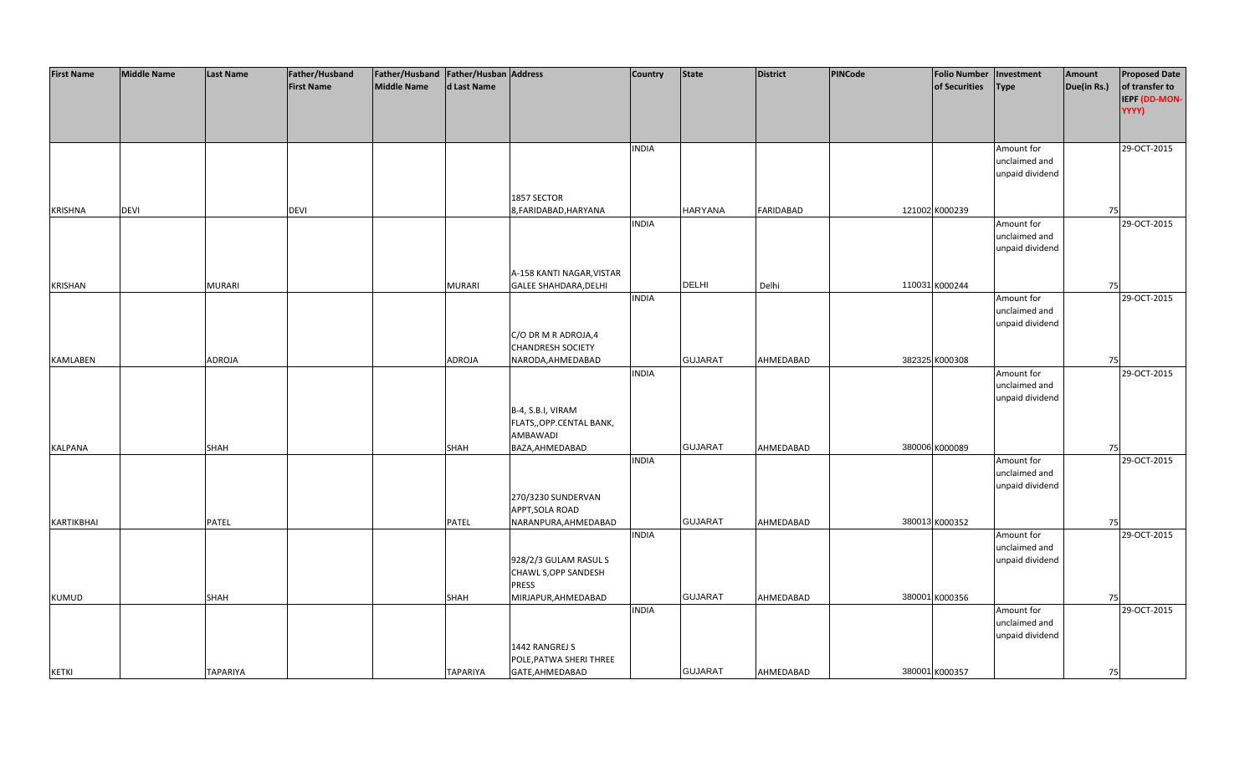| <b>First Name</b> | <b>Middle Name</b> | <b>Last Name</b> | Father/Husband    | Father/Husband   Father/Husban   Address |                 |                              | Country      | <b>State</b>   | <b>District</b> | PINCode | <b>Folio Number</b> | Investment      | Amount      | <b>Proposed Date</b> |
|-------------------|--------------------|------------------|-------------------|------------------------------------------|-----------------|------------------------------|--------------|----------------|-----------------|---------|---------------------|-----------------|-------------|----------------------|
|                   |                    |                  | <b>First Name</b> | <b>Middle Name</b>                       | d Last Name     |                              |              |                |                 |         | of Securities       | <b>Type</b>     | Due(in Rs.) | of transfer to       |
|                   |                    |                  |                   |                                          |                 |                              |              |                |                 |         |                     |                 |             | IEPF (DD-MON-        |
|                   |                    |                  |                   |                                          |                 |                              |              |                |                 |         |                     |                 |             | YYYY)                |
|                   |                    |                  |                   |                                          |                 |                              |              |                |                 |         |                     |                 |             |                      |
|                   |                    |                  |                   |                                          |                 |                              |              |                |                 |         |                     |                 |             |                      |
|                   |                    |                  |                   |                                          |                 |                              | <b>INDIA</b> |                |                 |         |                     | Amount for      |             | 29-OCT-2015          |
|                   |                    |                  |                   |                                          |                 |                              |              |                |                 |         |                     | unclaimed and   |             |                      |
|                   |                    |                  |                   |                                          |                 |                              |              |                |                 |         |                     | unpaid dividend |             |                      |
|                   |                    |                  |                   |                                          |                 |                              |              |                |                 |         |                     |                 |             |                      |
|                   |                    |                  |                   |                                          |                 | 1857 SECTOR                  |              |                |                 |         |                     |                 |             |                      |
| <b>KRISHNA</b>    | <b>DEVI</b>        |                  | <b>DEVI</b>       |                                          |                 | 8, FARIDABAD, HARYANA        |              | <b>HARYANA</b> | FARIDABAD       |         | 121002 K000239      |                 | 75          |                      |
|                   |                    |                  |                   |                                          |                 |                              | <b>INDIA</b> |                |                 |         |                     | Amount for      |             | 29-OCT-2015          |
|                   |                    |                  |                   |                                          |                 |                              |              |                |                 |         |                     | unclaimed and   |             |                      |
|                   |                    |                  |                   |                                          |                 |                              |              |                |                 |         |                     | unpaid dividend |             |                      |
|                   |                    |                  |                   |                                          |                 |                              |              |                |                 |         |                     |                 |             |                      |
|                   |                    |                  |                   |                                          |                 | A-158 KANTI NAGAR, VISTAR    |              |                |                 |         |                     |                 |             |                      |
| KRISHAN           |                    | <b>MURARI</b>    |                   |                                          | <b>MURARI</b>   | <b>GALEE SHAHDARA, DELHI</b> |              | <b>DELHI</b>   | Delhi           |         | 110031 K000244      |                 | 75          |                      |
|                   |                    |                  |                   |                                          |                 |                              | <b>INDIA</b> |                |                 |         |                     | Amount for      |             | 29-OCT-2015          |
|                   |                    |                  |                   |                                          |                 |                              |              |                |                 |         |                     | unclaimed and   |             |                      |
|                   |                    |                  |                   |                                          |                 |                              |              |                |                 |         |                     | unpaid dividend |             |                      |
|                   |                    |                  |                   |                                          |                 | C/O DR M R ADROJA,4          |              |                |                 |         |                     |                 |             |                      |
|                   |                    |                  |                   |                                          |                 | <b>CHANDRESH SOCIETY</b>     |              |                |                 |         |                     |                 |             |                      |
| <b>KAMLABEN</b>   |                    | <b>ADROJA</b>    |                   |                                          | <b>ADROJA</b>   | NARODA, AHMEDABAD            |              | <b>GUJARAT</b> | AHMEDABAD       |         | 382325 K000308      |                 | 75          |                      |
|                   |                    |                  |                   |                                          |                 |                              | <b>INDIA</b> |                |                 |         |                     | Amount for      |             | 29-OCT-2015          |
|                   |                    |                  |                   |                                          |                 |                              |              |                |                 |         |                     | unclaimed and   |             |                      |
|                   |                    |                  |                   |                                          |                 |                              |              |                |                 |         |                     | unpaid dividend |             |                      |
|                   |                    |                  |                   |                                          |                 | B-4, S.B.I, VIRAM            |              |                |                 |         |                     |                 |             |                      |
|                   |                    |                  |                   |                                          |                 | FLATS,, OPP.CENTAL BANK,     |              |                |                 |         |                     |                 |             |                      |
|                   |                    |                  |                   |                                          |                 | AMBAWADI                     |              |                |                 |         |                     |                 |             |                      |
| KALPANA           |                    | SHAH             |                   |                                          | <b>SHAH</b>     | BAZA, AHMEDABAD              |              | <b>GUJARAT</b> | AHMEDABAD       |         | 380006 K000089      |                 | 75          |                      |
|                   |                    |                  |                   |                                          |                 |                              | <b>INDIA</b> |                |                 |         |                     | Amount for      |             | 29-OCT-2015          |
|                   |                    |                  |                   |                                          |                 |                              |              |                |                 |         |                     | unclaimed and   |             |                      |
|                   |                    |                  |                   |                                          |                 |                              |              |                |                 |         |                     | unpaid dividend |             |                      |
|                   |                    |                  |                   |                                          |                 | 270/3230 SUNDERVAN           |              |                |                 |         |                     |                 |             |                      |
|                   |                    |                  |                   |                                          |                 | APPT, SOLA ROAD              |              |                |                 |         |                     |                 |             |                      |
| KARTIKBHAI        |                    | <b>PATEL</b>     |                   |                                          | <b>PATEL</b>    | NARANPURA, AHMEDABAD         |              | <b>GUJARAT</b> | AHMEDABAD       |         | 380013 K000352      |                 | 75          |                      |
|                   |                    |                  |                   |                                          |                 |                              | <b>INDIA</b> |                |                 |         |                     | Amount for      |             | 29-OCT-2015          |
|                   |                    |                  |                   |                                          |                 |                              |              |                |                 |         |                     | unclaimed and   |             |                      |
|                   |                    |                  |                   |                                          |                 | 928/2/3 GULAM RASUL S        |              |                |                 |         |                     | unpaid dividend |             |                      |
|                   |                    |                  |                   |                                          |                 | CHAWL S, OPP SANDESH         |              |                |                 |         |                     |                 |             |                      |
|                   |                    |                  |                   |                                          |                 | <b>PRESS</b>                 |              |                |                 |         |                     |                 |             |                      |
| <b>KUMUD</b>      |                    | SHAH             |                   |                                          | SHAH            | MIRJAPUR, AHMEDABAD          |              | <b>GUJARAT</b> | AHMEDABAD       |         | 380001 K000356      |                 | 75          |                      |
|                   |                    |                  |                   |                                          |                 |                              | <b>INDIA</b> |                |                 |         |                     | Amount for      |             | 29-OCT-2015          |
|                   |                    |                  |                   |                                          |                 |                              |              |                |                 |         |                     | unclaimed and   |             |                      |
|                   |                    |                  |                   |                                          |                 |                              |              |                |                 |         |                     | unpaid dividend |             |                      |
|                   |                    |                  |                   |                                          |                 | 1442 RANGREJ S               |              |                |                 |         |                     |                 |             |                      |
|                   |                    |                  |                   |                                          |                 | POLE, PATWA SHERI THREE      |              |                |                 |         |                     |                 |             |                      |
| <b>KETKI</b>      |                    | <b>TAPARIYA</b>  |                   |                                          | <b>TAPARIYA</b> | GATE, AHMEDABAD              |              | <b>GUJARAT</b> | AHMEDABAD       |         | 380001 K000357      |                 | 75          |                      |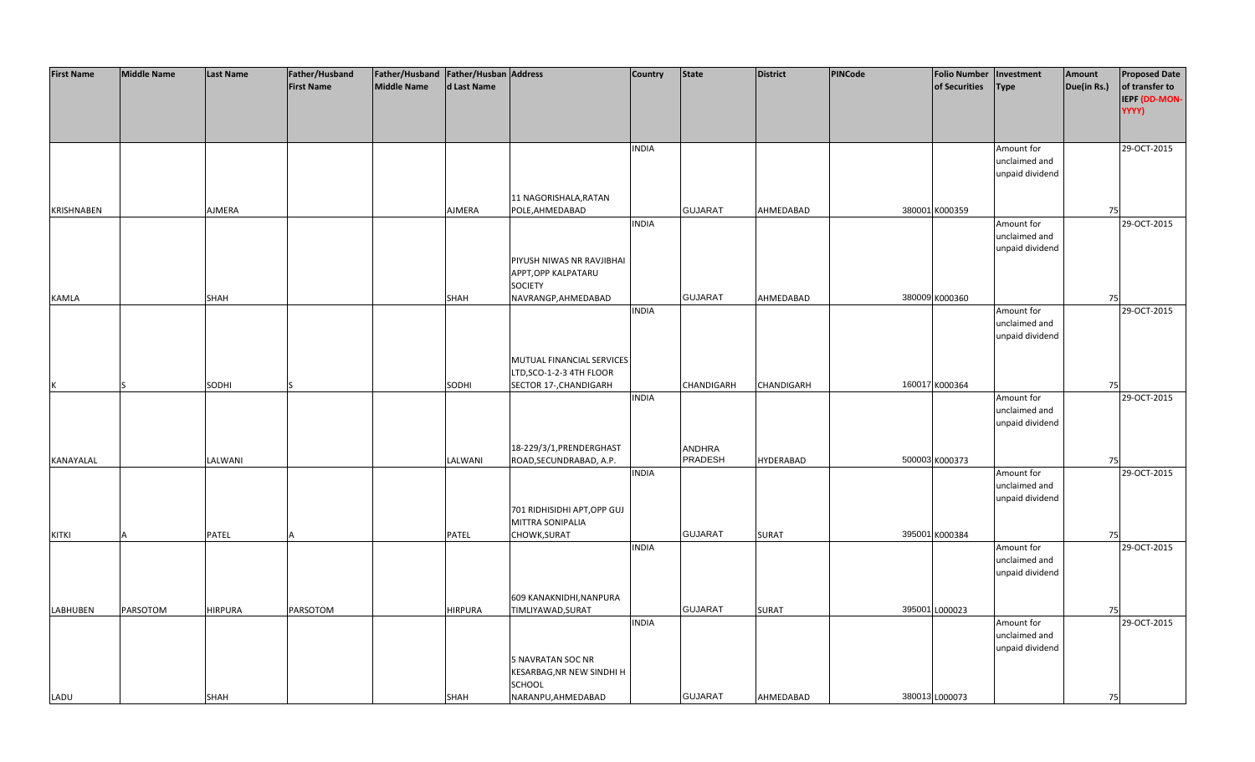| <b>First Name</b> | <b>Middle Name</b> | <b>Last Name</b> | Father/Husband    | Father/Husband   Father/Husban   Address |             |                                  | <b>Country</b> | <b>State</b>   | <b>District</b>  | PINCode |                | <b>Folio Number</b> | Investment      | Amount      | <b>Proposed Date</b> |
|-------------------|--------------------|------------------|-------------------|------------------------------------------|-------------|----------------------------------|----------------|----------------|------------------|---------|----------------|---------------------|-----------------|-------------|----------------------|
|                   |                    |                  | <b>First Name</b> | <b>Middle Name</b>                       | d Last Name |                                  |                |                |                  |         |                | of Securities       | <b>Type</b>     | Due(in Rs.) | of transfer to       |
|                   |                    |                  |                   |                                          |             |                                  |                |                |                  |         |                |                     |                 |             | IEPF (DD-MON-        |
|                   |                    |                  |                   |                                          |             |                                  |                |                |                  |         |                |                     |                 |             | YYYY)                |
|                   |                    |                  |                   |                                          |             |                                  |                |                |                  |         |                |                     |                 |             |                      |
|                   |                    |                  |                   |                                          |             |                                  |                |                |                  |         |                |                     |                 |             |                      |
|                   |                    |                  |                   |                                          |             |                                  | <b>INDIA</b>   |                |                  |         |                |                     | Amount for      |             | 29-OCT-2015          |
|                   |                    |                  |                   |                                          |             |                                  |                |                |                  |         |                |                     | unclaimed and   |             |                      |
|                   |                    |                  |                   |                                          |             |                                  |                |                |                  |         |                |                     | unpaid dividend |             |                      |
|                   |                    |                  |                   |                                          |             |                                  |                |                |                  |         |                |                     |                 |             |                      |
|                   |                    |                  |                   |                                          |             | 11 NAGORISHALA, RATAN            |                |                |                  |         |                |                     |                 |             |                      |
| KRISHNABEN        |                    | AJMERA           |                   |                                          | AJMERA      | POLE, AHMEDABAD                  |                | <b>GUJARAT</b> | AHMEDABAD        |         |                | 380001 K000359      |                 | 75          |                      |
|                   |                    |                  |                   |                                          |             |                                  | <b>INDIA</b>   |                |                  |         |                |                     | Amount for      |             | 29-OCT-2015          |
|                   |                    |                  |                   |                                          |             |                                  |                |                |                  |         |                |                     | unclaimed and   |             |                      |
|                   |                    |                  |                   |                                          |             |                                  |                |                |                  |         |                |                     | unpaid dividend |             |                      |
|                   |                    |                  |                   |                                          |             | PIYUSH NIWAS NR RAVJIBHAI        |                |                |                  |         |                |                     |                 |             |                      |
|                   |                    |                  |                   |                                          |             | APPT, OPP KALPATARU              |                |                |                  |         |                |                     |                 |             |                      |
|                   |                    |                  |                   |                                          |             | <b>SOCIETY</b>                   |                |                |                  |         |                |                     |                 |             |                      |
| KAMLA             |                    | <b>SHAH</b>      |                   |                                          | SHAH        | NAVRANGP, AHMEDABAD              |                | <b>GUJARAT</b> | AHMEDABAD        |         |                | 380009 K000360      |                 | 75          |                      |
|                   |                    |                  |                   |                                          |             |                                  | <b>INDIA</b>   |                |                  |         |                |                     | Amount for      |             | 29-OCT-2015          |
|                   |                    |                  |                   |                                          |             |                                  |                |                |                  |         |                |                     | unclaimed and   |             |                      |
|                   |                    |                  |                   |                                          |             |                                  |                |                |                  |         |                |                     | unpaid dividend |             |                      |
|                   |                    |                  |                   |                                          |             |                                  |                |                |                  |         |                |                     |                 |             |                      |
|                   |                    |                  |                   |                                          |             | MUTUAL FINANCIAL SERVICES        |                |                |                  |         |                |                     |                 |             |                      |
|                   |                    |                  |                   |                                          |             | LTD, SCO-1-2-3 4TH FLOOR         |                |                |                  |         |                |                     |                 |             |                      |
| К                 |                    | SODHI            |                   |                                          | SODHI       | SECTOR 17-, CHANDIGARH           |                | CHANDIGARH     | CHANDIGARH       |         |                | 160017 K000364      |                 | 75          |                      |
|                   |                    |                  |                   |                                          |             |                                  | <b>INDIA</b>   |                |                  |         |                |                     | Amount for      |             | 29-OCT-2015          |
|                   |                    |                  |                   |                                          |             |                                  |                |                |                  |         |                |                     | unclaimed and   |             |                      |
|                   |                    |                  |                   |                                          |             |                                  |                |                |                  |         |                |                     | unpaid dividend |             |                      |
|                   |                    |                  |                   |                                          |             |                                  |                |                |                  |         |                |                     |                 |             |                      |
|                   |                    |                  |                   |                                          |             | 18-229/3/1, PRENDERGHAST         |                | <b>ANDHRA</b>  |                  |         |                |                     |                 |             |                      |
| KANAYALAL         |                    | LALWANI          |                   |                                          | LALWANI     | ROAD, SECUNDRABAD, A.P.          |                | <b>PRADESH</b> | <b>HYDERABAD</b> |         |                | 500003 K000373      |                 | 75          |                      |
|                   |                    |                  |                   |                                          |             |                                  | <b>INDIA</b>   |                |                  |         |                |                     | Amount for      |             | 29-OCT-2015          |
|                   |                    |                  |                   |                                          |             |                                  |                |                |                  |         |                |                     | unclaimed and   |             |                      |
|                   |                    |                  |                   |                                          |             |                                  |                |                |                  |         |                |                     | unpaid dividend |             |                      |
|                   |                    |                  |                   |                                          |             | 701 RIDHISIDHI APT, OPP GUJ      |                |                |                  |         |                |                     |                 |             |                      |
|                   |                    |                  |                   |                                          |             | MITTRA SONIPALIA                 |                |                |                  |         |                |                     |                 |             |                      |
| <b>KITKI</b>      |                    | PATEL            |                   |                                          | PATEL       | CHOWK, SURAT                     |                | <b>GUJARAT</b> | <b>SURAT</b>     |         |                | 395001 K000384      |                 | 75          |                      |
|                   |                    |                  |                   |                                          |             |                                  | <b>INDIA</b>   |                |                  |         |                |                     | Amount for      |             | 29-OCT-2015          |
|                   |                    |                  |                   |                                          |             |                                  |                |                |                  |         |                |                     | unclaimed and   |             |                      |
|                   |                    |                  |                   |                                          |             |                                  |                |                |                  |         |                |                     | unpaid dividend |             |                      |
|                   |                    |                  |                   |                                          |             |                                  |                |                |                  |         |                |                     |                 |             |                      |
|                   |                    |                  |                   |                                          |             | 609 KANAKNIDHI, NANPURA          |                |                |                  |         |                |                     |                 |             |                      |
| <b>LABHUBEN</b>   | PARSOTOM           | <b>HIRPURA</b>   | PARSOTOM          |                                          | HIRPURA     | TIMLIYAWAD, SURAT                |                | <b>GUJARAT</b> | <b>SURAT</b>     |         | 395001 L000023 |                     |                 | 75          |                      |
|                   |                    |                  |                   |                                          |             |                                  | <b>INDIA</b>   |                |                  |         |                |                     | Amount for      |             | 29-OCT-2015          |
|                   |                    |                  |                   |                                          |             |                                  |                |                |                  |         |                |                     | unclaimed and   |             |                      |
|                   |                    |                  |                   |                                          |             |                                  |                |                |                  |         |                |                     | unpaid dividend |             |                      |
|                   |                    |                  |                   |                                          |             | 5 NAVRATAN SOC NR                |                |                |                  |         |                |                     |                 |             |                      |
|                   |                    |                  |                   |                                          |             | <b>KESARBAG, NR NEW SINDHI H</b> |                |                |                  |         |                |                     |                 |             |                      |
|                   |                    |                  |                   |                                          |             | SCHOOL                           |                |                |                  |         |                |                     |                 |             |                      |
| LADU              |                    | SHAH             |                   |                                          | <b>SHAH</b> | NARANPU, AHMEDABAD               |                | <b>GUJARAT</b> | AHMEDABAD        |         |                | 380013 L000073      |                 | 75          |                      |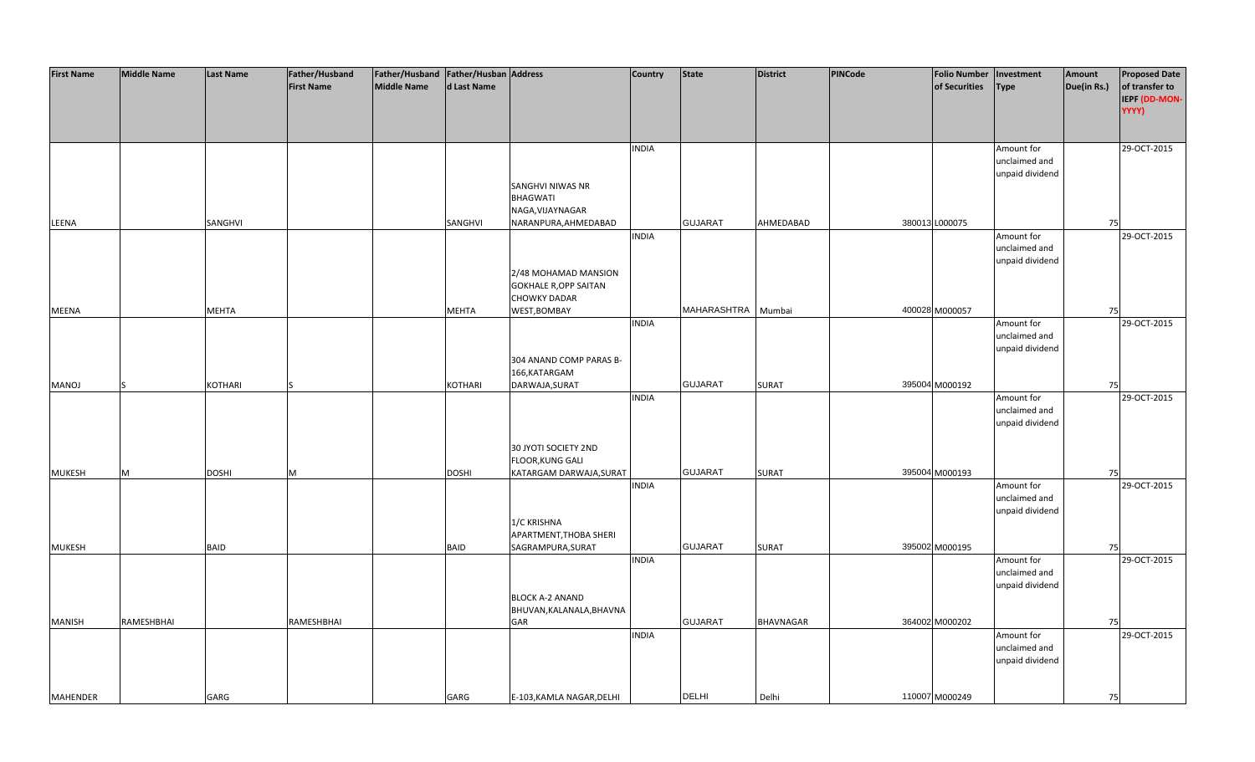| <b>First Name</b> | <b>Middle Name</b> | <b>Last Name</b> | Father/Husband    | Father/Husband   Father/Husban   Address |                |                                                      | <b>Country</b> | <b>State</b>       | <b>District</b> | <b>PINCode</b> | <b>Folio Number</b> | Investment                       | Amount      | <b>Proposed Date</b>            |
|-------------------|--------------------|------------------|-------------------|------------------------------------------|----------------|------------------------------------------------------|----------------|--------------------|-----------------|----------------|---------------------|----------------------------------|-------------|---------------------------------|
|                   |                    |                  | <b>First Name</b> | <b>Middle Name</b>                       | d Last Name    |                                                      |                |                    |                 |                | of Securities       | <b>Type</b>                      | Due(in Rs.) | of transfer to<br>IEPF (DD-MON- |
|                   |                    |                  |                   |                                          |                |                                                      |                |                    |                 |                |                     |                                  |             | YYYY)                           |
|                   |                    |                  |                   |                                          |                |                                                      |                |                    |                 |                |                     |                                  |             |                                 |
|                   |                    |                  |                   |                                          |                |                                                      | <b>INDIA</b>   |                    |                 |                |                     | Amount for                       |             | 29-OCT-2015                     |
|                   |                    |                  |                   |                                          |                |                                                      |                |                    |                 |                |                     | unclaimed and                    |             |                                 |
|                   |                    |                  |                   |                                          |                |                                                      |                |                    |                 |                |                     | unpaid dividend                  |             |                                 |
|                   |                    |                  |                   |                                          |                | SANGHVI NIWAS NR<br><b>BHAGWATI</b>                  |                |                    |                 |                |                     |                                  |             |                                 |
|                   |                    |                  |                   |                                          |                | NAGA, VIJAYNAGAR                                     |                |                    |                 |                |                     |                                  |             |                                 |
| LEENA             |                    | SANGHVI          |                   |                                          | SANGHVI        | NARANPURA, AHMEDABAD                                 |                | <b>GUJARAT</b>     | AHMEDABAD       |                | 380013 L000075      |                                  | 75          |                                 |
|                   |                    |                  |                   |                                          |                |                                                      | <b>INDIA</b>   |                    |                 |                |                     | Amount for                       |             | 29-OCT-2015                     |
|                   |                    |                  |                   |                                          |                |                                                      |                |                    |                 |                |                     | unclaimed and                    |             |                                 |
|                   |                    |                  |                   |                                          |                |                                                      |                |                    |                 |                |                     | unpaid dividend                  |             |                                 |
|                   |                    |                  |                   |                                          |                | 2/48 MOHAMAD MANSION<br><b>GOKHALE R, OPP SAITAN</b> |                |                    |                 |                |                     |                                  |             |                                 |
|                   |                    |                  |                   |                                          |                | <b>CHOWKY DADAR</b>                                  |                |                    |                 |                |                     |                                  |             |                                 |
| <b>MEENA</b>      |                    | <b>MEHTA</b>     |                   |                                          | <b>MEHTA</b>   | WEST, BOMBAY                                         |                | MAHARASHTRA Mumbai |                 |                | 400028 M000057      |                                  | 75          |                                 |
|                   |                    |                  |                   |                                          |                |                                                      | <b>INDIA</b>   |                    |                 |                |                     | Amount for                       |             | 29-OCT-2015                     |
|                   |                    |                  |                   |                                          |                |                                                      |                |                    |                 |                |                     | unclaimed and                    |             |                                 |
|                   |                    |                  |                   |                                          |                | 304 ANAND COMP PARAS B-                              |                |                    |                 |                |                     | unpaid dividend                  |             |                                 |
|                   |                    |                  |                   |                                          |                | 166, KATARGAM                                        |                |                    |                 |                |                     |                                  |             |                                 |
| MANOJ             |                    | <b>KOTHARI</b>   |                   |                                          | <b>KOTHARI</b> | DARWAJA, SURAT                                       |                | <b>GUJARAT</b>     | <b>SURAT</b>    |                | 395004 M000192      |                                  | 75          |                                 |
|                   |                    |                  |                   |                                          |                |                                                      | <b>INDIA</b>   |                    |                 |                |                     | Amount for                       |             | 29-OCT-2015                     |
|                   |                    |                  |                   |                                          |                |                                                      |                |                    |                 |                |                     | unclaimed and                    |             |                                 |
|                   |                    |                  |                   |                                          |                |                                                      |                |                    |                 |                |                     | unpaid dividend                  |             |                                 |
|                   |                    |                  |                   |                                          |                | 30 JYOTI SOCIETY 2ND                                 |                |                    |                 |                |                     |                                  |             |                                 |
|                   |                    |                  |                   |                                          |                | FLOOR, KUNG GALI                                     |                |                    |                 |                |                     |                                  |             |                                 |
| <b>MUKESH</b>     | M                  | <b>DOSHI</b>     | M                 |                                          | <b>DOSHI</b>   | KATARGAM DARWAJA, SURAT                              |                | <b>GUJARAT</b>     | <b>SURAT</b>    |                | 395004 M000193      |                                  | 75          |                                 |
|                   |                    |                  |                   |                                          |                |                                                      | <b>INDIA</b>   |                    |                 |                |                     | Amount for                       |             | 29-OCT-2015                     |
|                   |                    |                  |                   |                                          |                |                                                      |                |                    |                 |                |                     | unclaimed and<br>unpaid dividend |             |                                 |
|                   |                    |                  |                   |                                          |                | 1/C KRISHNA                                          |                |                    |                 |                |                     |                                  |             |                                 |
|                   |                    |                  |                   |                                          |                | APARTMENT, THOBA SHERI                               |                |                    |                 |                |                     |                                  |             |                                 |
| <b>MUKESH</b>     |                    | <b>BAID</b>      |                   |                                          | <b>BAID</b>    | SAGRAMPURA, SURAT                                    |                | <b>GUJARAT</b>     | <b>SURAT</b>    |                | 395002 M000195      |                                  | 75          |                                 |
|                   |                    |                  |                   |                                          |                |                                                      | <b>INDIA</b>   |                    |                 |                |                     | Amount for                       |             | 29-OCT-2015                     |
|                   |                    |                  |                   |                                          |                |                                                      |                |                    |                 |                |                     | unclaimed and                    |             |                                 |
|                   |                    |                  |                   |                                          |                | <b>BLOCK A-2 ANAND</b>                               |                |                    |                 |                |                     | unpaid dividend                  |             |                                 |
|                   |                    |                  |                   |                                          |                | BHUVAN, KALANALA, BHAVNA                             |                |                    |                 |                |                     |                                  |             |                                 |
| <b>MANISH</b>     | RAMESHBHAI         |                  | RAMESHBHAI        |                                          |                | GAR                                                  |                | <b>GUJARAT</b>     | BHAVNAGAR       |                | 364002 M000202      |                                  | 75          |                                 |
|                   |                    |                  |                   |                                          |                |                                                      | <b>INDIA</b>   |                    |                 |                |                     | Amount for                       |             | 29-OCT-2015                     |
|                   |                    |                  |                   |                                          |                |                                                      |                |                    |                 |                |                     | unclaimed and                    |             |                                 |
|                   |                    |                  |                   |                                          |                |                                                      |                |                    |                 |                |                     | unpaid dividend                  |             |                                 |
|                   |                    |                  |                   |                                          |                |                                                      |                |                    |                 |                |                     |                                  |             |                                 |
| <b>MAHENDER</b>   |                    | GARG             |                   |                                          | GARG           | E-103, KAMLA NAGAR, DELHI                            |                | <b>DELHI</b>       | Delhi           |                | 110007 M000249      |                                  | 75          |                                 |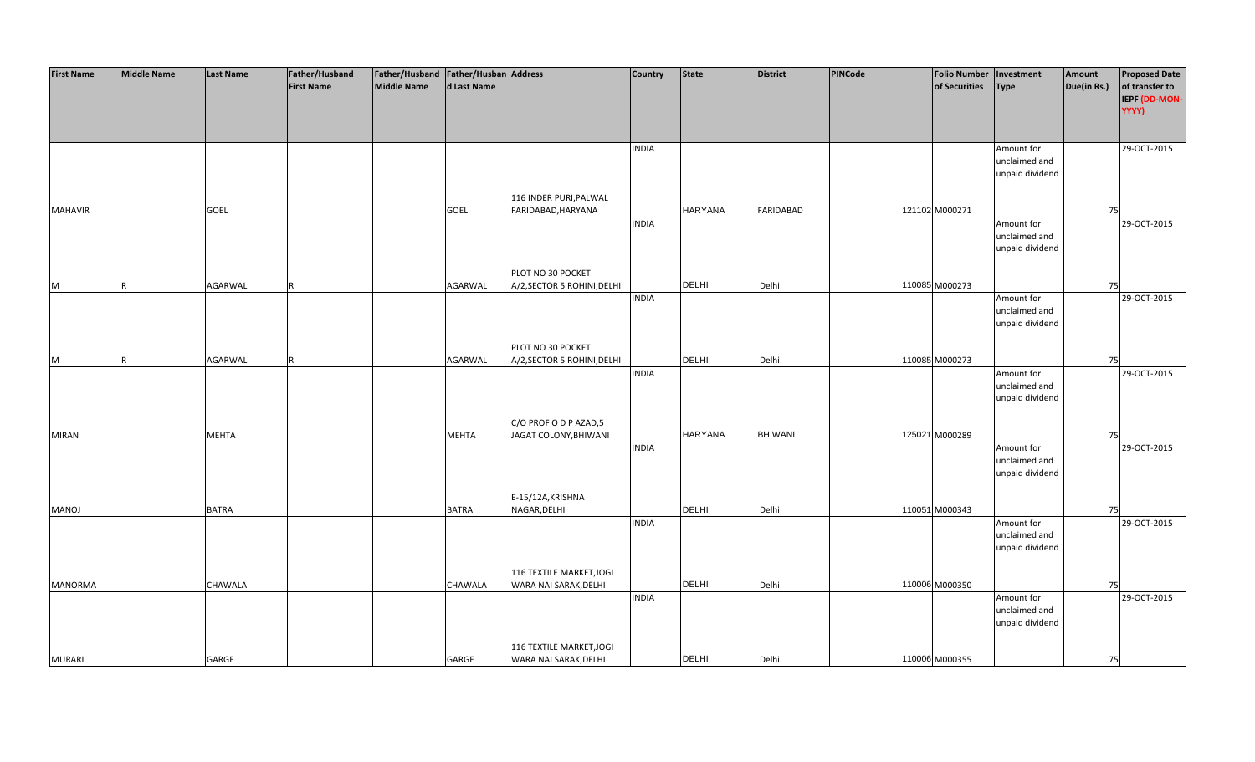| <b>First Name</b> | <b>Middle Name</b> | <b>Last Name</b> | Father/Husband    | Father/Husband Father/Husban Address |              |                             | <b>Country</b> | <b>State</b>   | <b>District</b>  | PINCode | <b>Folio Number</b> | Investment      | Amount      | <b>Proposed Date</b> |
|-------------------|--------------------|------------------|-------------------|--------------------------------------|--------------|-----------------------------|----------------|----------------|------------------|---------|---------------------|-----------------|-------------|----------------------|
|                   |                    |                  | <b>First Name</b> | <b>Middle Name</b>                   | d Last Name  |                             |                |                |                  |         | of Securities       | <b>Type</b>     | Due(in Rs.) | of transfer to       |
|                   |                    |                  |                   |                                      |              |                             |                |                |                  |         |                     |                 |             | IEPF (DD-MON-        |
|                   |                    |                  |                   |                                      |              |                             |                |                |                  |         |                     |                 |             | YYYY)                |
|                   |                    |                  |                   |                                      |              |                             |                |                |                  |         |                     |                 |             |                      |
|                   |                    |                  |                   |                                      |              |                             |                |                |                  |         |                     |                 |             |                      |
|                   |                    |                  |                   |                                      |              |                             | <b>INDIA</b>   |                |                  |         |                     | Amount for      |             | 29-OCT-2015          |
|                   |                    |                  |                   |                                      |              |                             |                |                |                  |         |                     | unclaimed and   |             |                      |
|                   |                    |                  |                   |                                      |              |                             |                |                |                  |         |                     | unpaid dividend |             |                      |
|                   |                    |                  |                   |                                      |              |                             |                |                |                  |         |                     |                 |             |                      |
|                   |                    |                  |                   |                                      |              | 116 INDER PURI, PALWAL      |                |                |                  |         |                     |                 |             |                      |
| <b>MAHAVIR</b>    |                    | <b>GOEL</b>      |                   |                                      | <b>GOEL</b>  | FARIDABAD, HARYANA          |                | <b>HARYANA</b> | <b>FARIDABAD</b> |         | 121102 M000271      |                 | 75          |                      |
|                   |                    |                  |                   |                                      |              |                             | <b>INDIA</b>   |                |                  |         |                     | Amount for      |             | 29-OCT-2015          |
|                   |                    |                  |                   |                                      |              |                             |                |                |                  |         |                     | unclaimed and   |             |                      |
|                   |                    |                  |                   |                                      |              |                             |                |                |                  |         |                     | unpaid dividend |             |                      |
|                   |                    |                  |                   |                                      |              |                             |                |                |                  |         |                     |                 |             |                      |
|                   |                    |                  |                   |                                      |              | PLOT NO 30 POCKET           |                |                |                  |         |                     |                 |             |                      |
| M                 |                    | AGARWAL          |                   |                                      | AGARWAL      | A/2, SECTOR 5 ROHINI, DELHI |                | <b>DELHI</b>   | Delhi            |         | 110085 M000273      |                 | 75          |                      |
|                   |                    |                  |                   |                                      |              |                             | <b>INDIA</b>   |                |                  |         |                     | Amount for      |             | 29-OCT-2015          |
|                   |                    |                  |                   |                                      |              |                             |                |                |                  |         |                     | unclaimed and   |             |                      |
|                   |                    |                  |                   |                                      |              |                             |                |                |                  |         |                     | unpaid dividend |             |                      |
|                   |                    |                  |                   |                                      |              |                             |                |                |                  |         |                     |                 |             |                      |
|                   |                    |                  |                   |                                      |              | PLOT NO 30 POCKET           |                |                |                  |         |                     |                 |             |                      |
| M                 |                    | AGARWAL          |                   |                                      | AGARWAL      | A/2, SECTOR 5 ROHINI, DELHI |                | <b>DELHI</b>   | Delhi            |         | 110085 M000273      |                 | 75          |                      |
|                   |                    |                  |                   |                                      |              |                             | <b>INDIA</b>   |                |                  |         |                     | Amount for      |             | 29-OCT-2015          |
|                   |                    |                  |                   |                                      |              |                             |                |                |                  |         |                     | unclaimed and   |             |                      |
|                   |                    |                  |                   |                                      |              |                             |                |                |                  |         |                     | unpaid dividend |             |                      |
|                   |                    |                  |                   |                                      |              | C/O PROF O D P AZAD,5       |                |                |                  |         |                     |                 |             |                      |
| <b>MIRAN</b>      |                    | <b>MEHTA</b>     |                   |                                      | <b>MEHTA</b> | JAGAT COLONY, BHIWANI       |                | <b>HARYANA</b> | <b>BHIWANI</b>   |         | 125021 M000289      |                 | 75          |                      |
|                   |                    |                  |                   |                                      |              |                             | <b>INDIA</b>   |                |                  |         |                     | Amount for      |             | 29-OCT-2015          |
|                   |                    |                  |                   |                                      |              |                             |                |                |                  |         |                     | unclaimed and   |             |                      |
|                   |                    |                  |                   |                                      |              |                             |                |                |                  |         |                     | unpaid dividend |             |                      |
|                   |                    |                  |                   |                                      |              |                             |                |                |                  |         |                     |                 |             |                      |
|                   |                    |                  |                   |                                      |              | E-15/12A, KRISHNA           |                |                |                  |         |                     |                 |             |                      |
| <b>MANOJ</b>      |                    | <b>BATRA</b>     |                   |                                      | <b>BATRA</b> | NAGAR, DELHI                |                | <b>DELHI</b>   | Delhi            |         | 110051 M000343      |                 | 75          |                      |
|                   |                    |                  |                   |                                      |              |                             | <b>INDIA</b>   |                |                  |         |                     | Amount for      |             | 29-OCT-2015          |
|                   |                    |                  |                   |                                      |              |                             |                |                |                  |         |                     | unclaimed and   |             |                      |
|                   |                    |                  |                   |                                      |              |                             |                |                |                  |         |                     | unpaid dividend |             |                      |
|                   |                    |                  |                   |                                      |              |                             |                |                |                  |         |                     |                 |             |                      |
|                   |                    |                  |                   |                                      |              | 116 TEXTILE MARKET, JOGI    |                |                |                  |         |                     |                 |             |                      |
| <b>MANORMA</b>    |                    | <b>CHAWALA</b>   |                   |                                      | CHAWALA      | WARA NAI SARAK, DELHI       |                | <b>DELHI</b>   | Delhi            |         | 110006 M000350      |                 | 75          |                      |
|                   |                    |                  |                   |                                      |              |                             | <b>INDIA</b>   |                |                  |         |                     | Amount for      |             | 29-OCT-2015          |
|                   |                    |                  |                   |                                      |              |                             |                |                |                  |         |                     | unclaimed and   |             |                      |
|                   |                    |                  |                   |                                      |              |                             |                |                |                  |         |                     | unpaid dividend |             |                      |
|                   |                    |                  |                   |                                      |              |                             |                |                |                  |         |                     |                 |             |                      |
|                   |                    |                  |                   |                                      |              | 116 TEXTILE MARKET, JOGI    |                |                |                  |         |                     |                 |             |                      |
| <b>MURARI</b>     |                    | GARGE            |                   |                                      | GARGE        | WARA NAI SARAK, DELHI       |                | <b>DELHI</b>   | Delhi            |         | 110006 M000355      |                 | 75          |                      |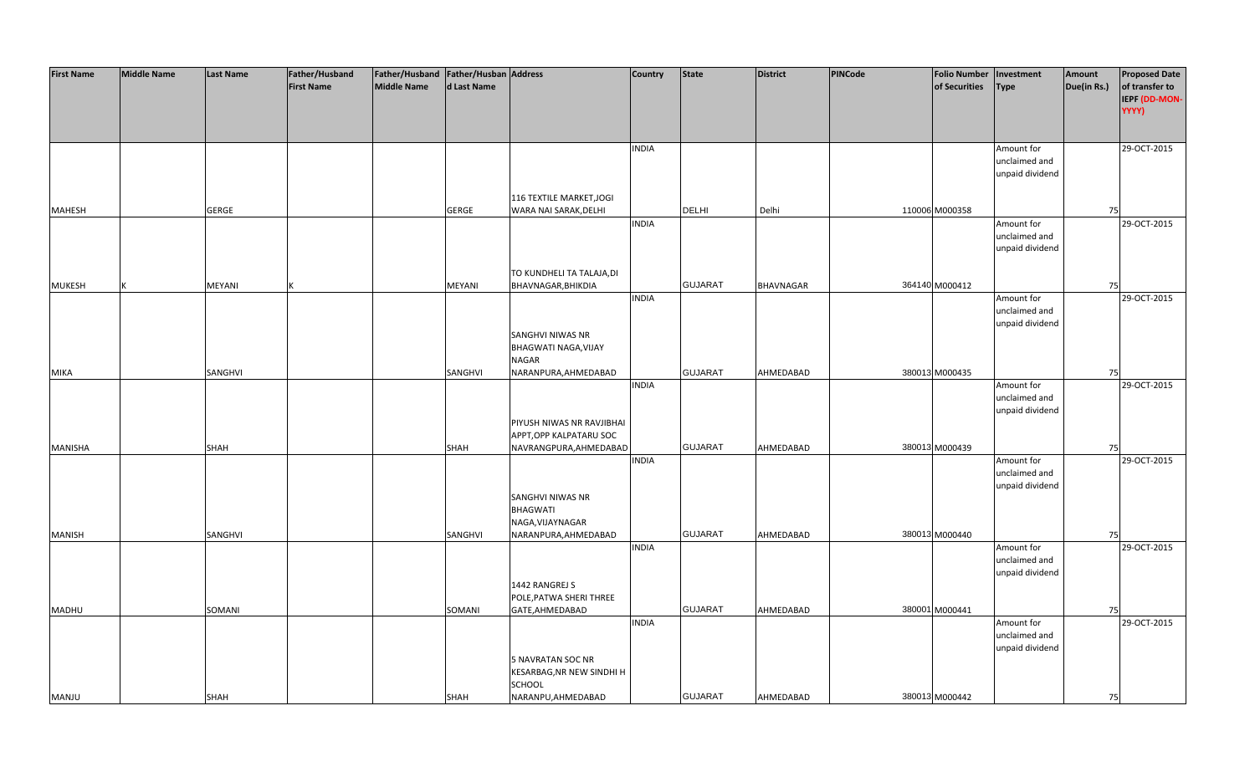| <b>First Name</b> | <b>Middle Name</b> | <b>Last Name</b> | Father/Husband    | Father/Husband   Father/Husban   Address |               |                           | Country      | <b>State</b>   | <b>District</b>  | PINCode | <b>Folio Number</b> | Investment      | Amount      | <b>Proposed Date</b> |
|-------------------|--------------------|------------------|-------------------|------------------------------------------|---------------|---------------------------|--------------|----------------|------------------|---------|---------------------|-----------------|-------------|----------------------|
|                   |                    |                  | <b>First Name</b> | <b>Middle Name</b>                       | d Last Name   |                           |              |                |                  |         | of Securities       | <b>Type</b>     | Due(in Rs.) | of transfer to       |
|                   |                    |                  |                   |                                          |               |                           |              |                |                  |         |                     |                 |             | IEPF (DD-MON-        |
|                   |                    |                  |                   |                                          |               |                           |              |                |                  |         |                     |                 |             | YYYY)                |
|                   |                    |                  |                   |                                          |               |                           |              |                |                  |         |                     |                 |             |                      |
|                   |                    |                  |                   |                                          |               |                           |              |                |                  |         |                     |                 |             |                      |
|                   |                    |                  |                   |                                          |               |                           | <b>INDIA</b> |                |                  |         |                     | Amount for      |             | 29-OCT-2015          |
|                   |                    |                  |                   |                                          |               |                           |              |                |                  |         |                     | unclaimed and   |             |                      |
|                   |                    |                  |                   |                                          |               |                           |              |                |                  |         |                     | unpaid dividend |             |                      |
|                   |                    |                  |                   |                                          |               |                           |              |                |                  |         |                     |                 |             |                      |
|                   |                    |                  |                   |                                          |               | 116 TEXTILE MARKET, JOGI  |              |                |                  |         |                     |                 |             |                      |
| <b>MAHESH</b>     |                    | <b>GERGE</b>     |                   |                                          | <b>GERGE</b>  | WARA NAI SARAK, DELHI     |              | <b>DELHI</b>   | Delhi            |         | 110006 M000358      |                 | 75          |                      |
|                   |                    |                  |                   |                                          |               |                           | <b>INDIA</b> |                |                  |         |                     | Amount for      |             | 29-OCT-2015          |
|                   |                    |                  |                   |                                          |               |                           |              |                |                  |         |                     | unclaimed and   |             |                      |
|                   |                    |                  |                   |                                          |               |                           |              |                |                  |         |                     | unpaid dividend |             |                      |
|                   |                    |                  |                   |                                          |               |                           |              |                |                  |         |                     |                 |             |                      |
|                   |                    |                  |                   |                                          |               | TO KUNDHELI TA TALAJA, DI |              |                |                  |         |                     |                 |             |                      |
| <b>MUKESH</b>     |                    | MEYANI           |                   |                                          | <b>MEYANI</b> | BHAVNAGAR, BHIKDIA        |              | <b>GUJARAT</b> | <b>BHAVNAGAR</b> |         | 364140 M000412      |                 | 75          |                      |
|                   |                    |                  |                   |                                          |               |                           | <b>INDIA</b> |                |                  |         |                     | Amount for      |             | 29-OCT-2015          |
|                   |                    |                  |                   |                                          |               |                           |              |                |                  |         |                     | unclaimed and   |             |                      |
|                   |                    |                  |                   |                                          |               |                           |              |                |                  |         |                     | unpaid dividend |             |                      |
|                   |                    |                  |                   |                                          |               | SANGHVI NIWAS NR          |              |                |                  |         |                     |                 |             |                      |
|                   |                    |                  |                   |                                          |               | BHAGWATI NAGA, VIJAY      |              |                |                  |         |                     |                 |             |                      |
|                   |                    |                  |                   |                                          |               | <b>NAGAR</b>              |              |                |                  |         |                     |                 |             |                      |
| MIKA              |                    | SANGHVI          |                   |                                          | SANGHVI       | NARANPURA, AHMEDABAD      |              | <b>GUJARAT</b> | AHMEDABAD        |         | 380013 M000435      |                 | 75          |                      |
|                   |                    |                  |                   |                                          |               |                           | <b>INDIA</b> |                |                  |         |                     | Amount for      |             | 29-OCT-2015          |
|                   |                    |                  |                   |                                          |               |                           |              |                |                  |         |                     | unclaimed and   |             |                      |
|                   |                    |                  |                   |                                          |               |                           |              |                |                  |         |                     | unpaid dividend |             |                      |
|                   |                    |                  |                   |                                          |               | PIYUSH NIWAS NR RAVJIBHAI |              |                |                  |         |                     |                 |             |                      |
|                   |                    |                  |                   |                                          |               | APPT, OPP KALPATARU SOC   |              |                |                  |         |                     |                 |             |                      |
| MANISHA           |                    | SHAH             |                   |                                          | SHAH          | NAVRANGPURA, AHMEDABAD    |              | <b>GUJARAT</b> | AHMEDABAD        |         | 380013 M000439      |                 | 75          |                      |
|                   |                    |                  |                   |                                          |               |                           | <b>INDIA</b> |                |                  |         |                     | Amount for      |             | 29-OCT-2015          |
|                   |                    |                  |                   |                                          |               |                           |              |                |                  |         |                     | unclaimed and   |             |                      |
|                   |                    |                  |                   |                                          |               |                           |              |                |                  |         |                     | unpaid dividend |             |                      |
|                   |                    |                  |                   |                                          |               | SANGHVI NIWAS NR          |              |                |                  |         |                     |                 |             |                      |
|                   |                    |                  |                   |                                          |               | <b>BHAGWATI</b>           |              |                |                  |         |                     |                 |             |                      |
|                   |                    |                  |                   |                                          |               | NAGA, VIJAYNAGAR          |              |                |                  |         |                     |                 |             |                      |
| <b>MANISH</b>     |                    | SANGHVI          |                   |                                          | SANGHVI       | NARANPURA, AHMEDABAD      |              | <b>GUJARAT</b> | AHMEDABAD        |         | 380013 M000440      |                 | 75          |                      |
|                   |                    |                  |                   |                                          |               |                           | <b>INDIA</b> |                |                  |         |                     | Amount for      |             | 29-OCT-2015          |
|                   |                    |                  |                   |                                          |               |                           |              |                |                  |         |                     | unclaimed and   |             |                      |
|                   |                    |                  |                   |                                          |               |                           |              |                |                  |         |                     | unpaid dividend |             |                      |
|                   |                    |                  |                   |                                          |               | 1442 RANGREJ S            |              |                |                  |         |                     |                 |             |                      |
|                   |                    |                  |                   |                                          |               | POLE, PATWA SHERI THREE   |              |                |                  |         |                     |                 |             |                      |
| MADHU             |                    | SOMANI           |                   |                                          | SOMANI        | GATE, AHMEDABAD           |              | <b>GUJARAT</b> | AHMEDABAD        |         | 380001 M000441      |                 | 75          |                      |
|                   |                    |                  |                   |                                          |               |                           | <b>INDIA</b> |                |                  |         |                     | Amount for      |             | 29-OCT-2015          |
|                   |                    |                  |                   |                                          |               |                           |              |                |                  |         |                     | unclaimed and   |             |                      |
|                   |                    |                  |                   |                                          |               |                           |              |                |                  |         |                     | unpaid dividend |             |                      |
|                   |                    |                  |                   |                                          |               | 5 NAVRATAN SOC NR         |              |                |                  |         |                     |                 |             |                      |
|                   |                    |                  |                   |                                          |               | KESARBAG, NR NEW SINDHI H |              |                |                  |         |                     |                 |             |                      |
|                   |                    |                  |                   |                                          |               | <b>SCHOOL</b>             |              |                |                  |         |                     |                 |             |                      |
| <b>MANJU</b>      |                    | <b>SHAH</b>      |                   |                                          | SHAH          | NARANPU, AHMEDABAD        |              | <b>GUJARAT</b> | AHMEDABAD        |         | 380013 M000442      |                 | 75          |                      |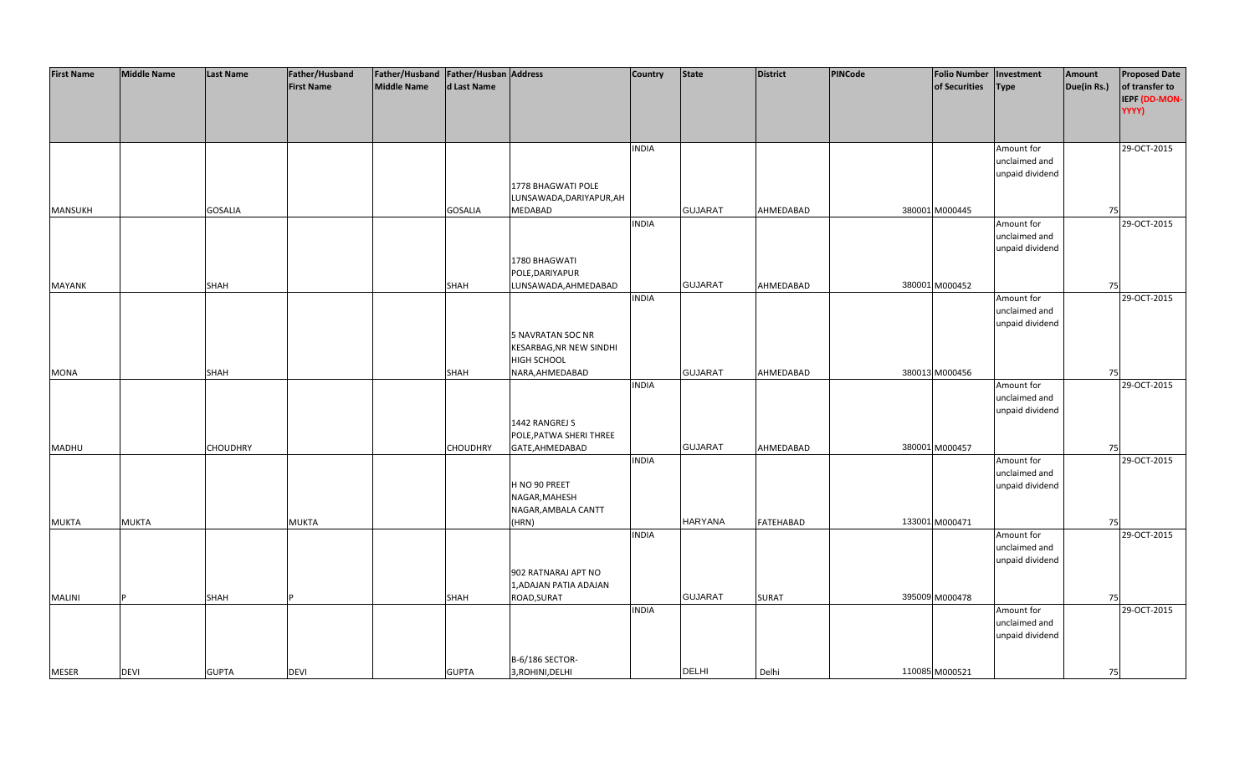| <b>First Name</b> | <b>Middle Name</b> | <b>Last Name</b> | Father/Husband    | Father/Husband Father/Husban Address |                 |                                | Country      | <b>State</b>   | <b>District</b>  | PINCode | <b>Folio Number</b> | Investment      | Amount      | <b>Proposed Date</b> |
|-------------------|--------------------|------------------|-------------------|--------------------------------------|-----------------|--------------------------------|--------------|----------------|------------------|---------|---------------------|-----------------|-------------|----------------------|
|                   |                    |                  | <b>First Name</b> | <b>Middle Name</b>                   | d Last Name     |                                |              |                |                  |         | of Securities       | <b>Type</b>     | Due(in Rs.) | of transfer to       |
|                   |                    |                  |                   |                                      |                 |                                |              |                |                  |         |                     |                 |             | <b>IEPF (DD-MON-</b> |
|                   |                    |                  |                   |                                      |                 |                                |              |                |                  |         |                     |                 |             | YYYY)                |
|                   |                    |                  |                   |                                      |                 |                                |              |                |                  |         |                     |                 |             |                      |
|                   |                    |                  |                   |                                      |                 |                                |              |                |                  |         |                     |                 |             |                      |
|                   |                    |                  |                   |                                      |                 |                                | <b>INDIA</b> |                |                  |         |                     | Amount for      |             | 29-OCT-2015          |
|                   |                    |                  |                   |                                      |                 |                                |              |                |                  |         |                     | unclaimed and   |             |                      |
|                   |                    |                  |                   |                                      |                 |                                |              |                |                  |         |                     | unpaid dividend |             |                      |
|                   |                    |                  |                   |                                      |                 | 1778 BHAGWATI POLE             |              |                |                  |         |                     |                 |             |                      |
|                   |                    |                  |                   |                                      |                 | LUNSAWADA, DARIYAPUR, AH       |              |                |                  |         |                     |                 |             |                      |
| MANSUKH           |                    | <b>GOSALIA</b>   |                   |                                      | <b>GOSALIA</b>  | MEDABAD                        |              | <b>GUJARAT</b> | AHMEDABAD        |         | 380001 M000445      |                 | 75          |                      |
|                   |                    |                  |                   |                                      |                 |                                | <b>INDIA</b> |                |                  |         |                     | Amount for      |             | 29-OCT-2015          |
|                   |                    |                  |                   |                                      |                 |                                |              |                |                  |         |                     | unclaimed and   |             |                      |
|                   |                    |                  |                   |                                      |                 |                                |              |                |                  |         |                     | unpaid dividend |             |                      |
|                   |                    |                  |                   |                                      |                 | 1780 BHAGWATI                  |              |                |                  |         |                     |                 |             |                      |
|                   |                    |                  |                   |                                      |                 | POLE, DARIYAPUR                |              |                |                  |         |                     |                 |             |                      |
| <b>MAYANK</b>     |                    | <b>SHAH</b>      |                   |                                      | SHAH            | LUNSAWADA, AHMEDABAD           |              | <b>GUJARAT</b> | AHMEDABAD        |         | 380001 M000452      |                 | 75          |                      |
|                   |                    |                  |                   |                                      |                 |                                | <b>INDIA</b> |                |                  |         |                     | Amount for      |             | 29-OCT-2015          |
|                   |                    |                  |                   |                                      |                 |                                |              |                |                  |         |                     | unclaimed and   |             |                      |
|                   |                    |                  |                   |                                      |                 |                                |              |                |                  |         |                     | unpaid dividend |             |                      |
|                   |                    |                  |                   |                                      |                 | 5 NAVRATAN SOC NR              |              |                |                  |         |                     |                 |             |                      |
|                   |                    |                  |                   |                                      |                 | <b>KESARBAG, NR NEW SINDHI</b> |              |                |                  |         |                     |                 |             |                      |
|                   |                    |                  |                   |                                      |                 | HIGH SCHOOL                    |              |                |                  |         |                     |                 |             |                      |
| <b>MONA</b>       |                    | SHAH             |                   |                                      | SHAH            | NARA, AHMEDABAD                |              | <b>GUJARAT</b> | AHMEDABAD        |         | 380013 M000456      |                 | 75          |                      |
|                   |                    |                  |                   |                                      |                 |                                | <b>INDIA</b> |                |                  |         |                     | Amount for      |             | 29-OCT-2015          |
|                   |                    |                  |                   |                                      |                 |                                |              |                |                  |         |                     | unclaimed and   |             |                      |
|                   |                    |                  |                   |                                      |                 |                                |              |                |                  |         |                     | unpaid dividend |             |                      |
|                   |                    |                  |                   |                                      |                 | 1442 RANGREJ S                 |              |                |                  |         |                     |                 |             |                      |
|                   |                    |                  |                   |                                      |                 | POLE, PATWA SHERI THREE        |              |                |                  |         |                     |                 |             |                      |
| <b>MADHU</b>      |                    | <b>CHOUDHRY</b>  |                   |                                      | <b>CHOUDHRY</b> | GATE, AHMEDABAD                |              | <b>GUJARAT</b> | AHMEDABAD        |         | 380001 M000457      |                 | 75          |                      |
|                   |                    |                  |                   |                                      |                 |                                | <b>INDIA</b> |                |                  |         |                     | Amount for      |             | 29-OCT-2015          |
|                   |                    |                  |                   |                                      |                 |                                |              |                |                  |         |                     | unclaimed and   |             |                      |
|                   |                    |                  |                   |                                      |                 | H NO 90 PREET                  |              |                |                  |         |                     | unpaid dividend |             |                      |
|                   |                    |                  |                   |                                      |                 | NAGAR, MAHESH                  |              |                |                  |         |                     |                 |             |                      |
|                   |                    |                  |                   |                                      |                 | NAGAR, AMBALA CANTT            |              |                |                  |         |                     |                 |             |                      |
| <b>MUKTA</b>      | <b>MUKTA</b>       |                  | <b>MUKTA</b>      |                                      |                 | (HRN)                          |              | <b>HARYANA</b> | <b>FATEHABAD</b> |         | 133001 M000471      |                 | <b>75</b>   |                      |
|                   |                    |                  |                   |                                      |                 |                                | <b>INDIA</b> |                |                  |         |                     | Amount for      |             | 29-OCT-2015          |
|                   |                    |                  |                   |                                      |                 |                                |              |                |                  |         |                     | unclaimed and   |             |                      |
|                   |                    |                  |                   |                                      |                 |                                |              |                |                  |         |                     | unpaid dividend |             |                      |
|                   |                    |                  |                   |                                      |                 | 902 RATNARAJ APT NO            |              |                |                  |         |                     |                 |             |                      |
|                   |                    |                  |                   |                                      |                 | 1, ADAJAN PATIA ADAJAN         |              |                |                  |         |                     |                 |             |                      |
| <b>MALINI</b>     |                    | <b>SHAH</b>      |                   |                                      | SHAH            | ROAD, SURAT                    |              | <b>GUJARAT</b> | <b>SURAT</b>     |         | 395009 M000478      |                 | 75          |                      |
|                   |                    |                  |                   |                                      |                 |                                | <b>INDIA</b> |                |                  |         |                     | Amount for      |             | 29-OCT-2015          |
|                   |                    |                  |                   |                                      |                 |                                |              |                |                  |         |                     | unclaimed and   |             |                      |
|                   |                    |                  |                   |                                      |                 |                                |              |                |                  |         |                     | unpaid dividend |             |                      |
|                   |                    |                  |                   |                                      |                 |                                |              |                |                  |         |                     |                 |             |                      |
|                   |                    |                  |                   |                                      |                 | B-6/186 SECTOR-                |              |                |                  |         |                     |                 |             |                      |
| <b>MESER</b>      | <b>DEVI</b>        | <b>GUPTA</b>     | <b>DEVI</b>       |                                      | <b>GUPTA</b>    | 3, ROHINI, DELHI               |              | <b>DELHI</b>   | Delhi            |         | 110085 M000521      |                 | 75          |                      |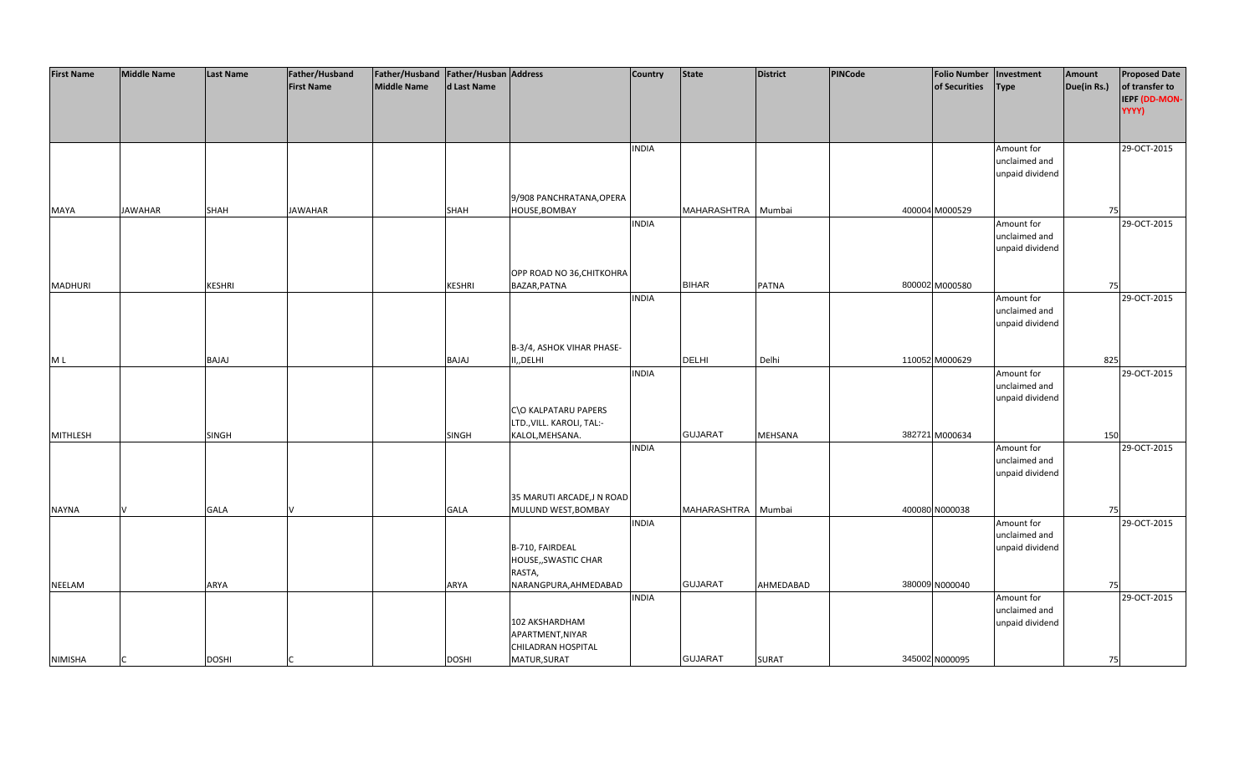| <b>First Name</b> | <b>Middle Name</b> | <b>Last Name</b> | Father/Husband    | Father/Husband   Father/Husban   Address |               |                           | <b>Country</b> | <b>State</b>   | <b>District</b> | PINCode | Folio Number   Investment |                 | Amount      | <b>Proposed Date</b> |
|-------------------|--------------------|------------------|-------------------|------------------------------------------|---------------|---------------------------|----------------|----------------|-----------------|---------|---------------------------|-----------------|-------------|----------------------|
|                   |                    |                  | <b>First Name</b> | Middle Name                              | d Last Name   |                           |                |                |                 |         | of Securities             | <b>Type</b>     | Due(in Rs.) | of transfer to       |
|                   |                    |                  |                   |                                          |               |                           |                |                |                 |         |                           |                 |             | IEPF (DD-MON-        |
|                   |                    |                  |                   |                                          |               |                           |                |                |                 |         |                           |                 |             | YYYY)                |
|                   |                    |                  |                   |                                          |               |                           |                |                |                 |         |                           |                 |             |                      |
|                   |                    |                  |                   |                                          |               |                           |                |                |                 |         |                           |                 |             |                      |
|                   |                    |                  |                   |                                          |               |                           | <b>INDIA</b>   |                |                 |         |                           | Amount for      |             | 29-OCT-2015          |
|                   |                    |                  |                   |                                          |               |                           |                |                |                 |         |                           | unclaimed and   |             |                      |
|                   |                    |                  |                   |                                          |               |                           |                |                |                 |         |                           | unpaid dividend |             |                      |
|                   |                    |                  |                   |                                          |               |                           |                |                |                 |         |                           |                 |             |                      |
|                   |                    |                  |                   |                                          |               | 9/908 PANCHRATANA, OPERA  |                |                |                 |         |                           |                 |             |                      |
| <b>MAYA</b>       | <b>JAWAHAR</b>     | <b>SHAH</b>      | <b>JAWAHAR</b>    |                                          | SHAH          | HOUSE, BOMBAY             |                | MAHARASHTRA    | Mumbai          |         | 400004 M000529            |                 | 75          |                      |
|                   |                    |                  |                   |                                          |               |                           | <b>INDIA</b>   |                |                 |         |                           | Amount for      |             | 29-OCT-2015          |
|                   |                    |                  |                   |                                          |               |                           |                |                |                 |         |                           | unclaimed and   |             |                      |
|                   |                    |                  |                   |                                          |               |                           |                |                |                 |         |                           | unpaid dividend |             |                      |
|                   |                    |                  |                   |                                          |               |                           |                |                |                 |         |                           |                 |             |                      |
|                   |                    |                  |                   |                                          |               | OPP ROAD NO 36, CHITKOHRA |                |                |                 |         |                           |                 |             |                      |
| <b>MADHURI</b>    |                    | KESHRI           |                   |                                          | <b>KESHRI</b> | BAZAR, PATNA              |                | <b>BIHAR</b>   | <b>PATNA</b>    |         | 800002 M000580            |                 | 75          |                      |
|                   |                    |                  |                   |                                          |               |                           | <b>INDIA</b>   |                |                 |         |                           | Amount for      |             | 29-OCT-2015          |
|                   |                    |                  |                   |                                          |               |                           |                |                |                 |         |                           | unclaimed and   |             |                      |
|                   |                    |                  |                   |                                          |               |                           |                |                |                 |         |                           | unpaid dividend |             |                      |
|                   |                    |                  |                   |                                          |               |                           |                |                |                 |         |                           |                 |             |                      |
|                   |                    |                  |                   |                                          |               |                           |                |                |                 |         |                           |                 |             |                      |
|                   |                    |                  |                   |                                          |               | B-3/4, ASHOK VIHAR PHASE- |                | <b>DELHI</b>   | Delhi           |         |                           |                 |             |                      |
| M L               |                    | BAJAJ            |                   |                                          | BAJAJ         | II,, DELHI                |                |                |                 |         | 110052 M000629            |                 | 825         |                      |
|                   |                    |                  |                   |                                          |               |                           | <b>INDIA</b>   |                |                 |         |                           | Amount for      |             | 29-OCT-2015          |
|                   |                    |                  |                   |                                          |               |                           |                |                |                 |         |                           | unclaimed and   |             |                      |
|                   |                    |                  |                   |                                          |               |                           |                |                |                 |         |                           | unpaid dividend |             |                      |
|                   |                    |                  |                   |                                          |               | C\O KALPATARU PAPERS      |                |                |                 |         |                           |                 |             |                      |
|                   |                    |                  |                   |                                          |               | LTD., VILL. KAROLI, TAL:- |                |                |                 |         |                           |                 |             |                      |
| <b>MITHLESH</b>   |                    | <b>SINGH</b>     |                   |                                          | <b>SINGH</b>  | KALOL, MEHSANA.           |                | <b>GUJARAT</b> | MEHSANA         |         | 382721 M000634            |                 | 150         |                      |
|                   |                    |                  |                   |                                          |               |                           | <b>INDIA</b>   |                |                 |         |                           | Amount for      |             | 29-OCT-2015          |
|                   |                    |                  |                   |                                          |               |                           |                |                |                 |         |                           | unclaimed and   |             |                      |
|                   |                    |                  |                   |                                          |               |                           |                |                |                 |         |                           | unpaid dividend |             |                      |
|                   |                    |                  |                   |                                          |               |                           |                |                |                 |         |                           |                 |             |                      |
|                   |                    |                  |                   |                                          |               | 35 MARUTI ARCADE, JN ROAD |                |                |                 |         |                           |                 |             |                      |
| <b>NAYNA</b>      |                    | <b>GALA</b>      |                   |                                          | GALA          | MULUND WEST, BOMBAY       |                | MAHARASHTRA    | Mumbai          |         | 400080 N000038            |                 | 75          |                      |
|                   |                    |                  |                   |                                          |               |                           | <b>INDIA</b>   |                |                 |         |                           | Amount for      |             | 29-OCT-2015          |
|                   |                    |                  |                   |                                          |               |                           |                |                |                 |         |                           | unclaimed and   |             |                      |
|                   |                    |                  |                   |                                          |               | B-710, FAIRDEAL           |                |                |                 |         |                           | unpaid dividend |             |                      |
|                   |                    |                  |                   |                                          |               | HOUSE,, SWASTIC CHAR      |                |                |                 |         |                           |                 |             |                      |
|                   |                    |                  |                   |                                          |               | RASTA,                    |                |                |                 |         |                           |                 |             |                      |
| <b>NEELAM</b>     |                    | ARYA             |                   |                                          | ARYA          | NARANGPURA, AHMEDABAD     |                | <b>GUJARAT</b> | AHMEDABAD       |         | 380009 N000040            |                 | 75          |                      |
|                   |                    |                  |                   |                                          |               |                           | <b>INDIA</b>   |                |                 |         |                           | Amount for      |             | 29-OCT-2015          |
|                   |                    |                  |                   |                                          |               |                           |                |                |                 |         |                           | unclaimed and   |             |                      |
|                   |                    |                  |                   |                                          |               | 102 AKSHARDHAM            |                |                |                 |         |                           | unpaid dividend |             |                      |
|                   |                    |                  |                   |                                          |               | APARTMENT, NIYAR          |                |                |                 |         |                           |                 |             |                      |
|                   |                    |                  |                   |                                          |               | CHILADRAN HOSPITAL        |                |                |                 |         |                           |                 |             |                      |
| <b>NIMISHA</b>    |                    | <b>DOSHI</b>     |                   |                                          | <b>DOSHI</b>  | MATUR, SURAT              |                | <b>GUJARAT</b> | <b>SURAT</b>    |         | 345002 N000095            |                 | 75          |                      |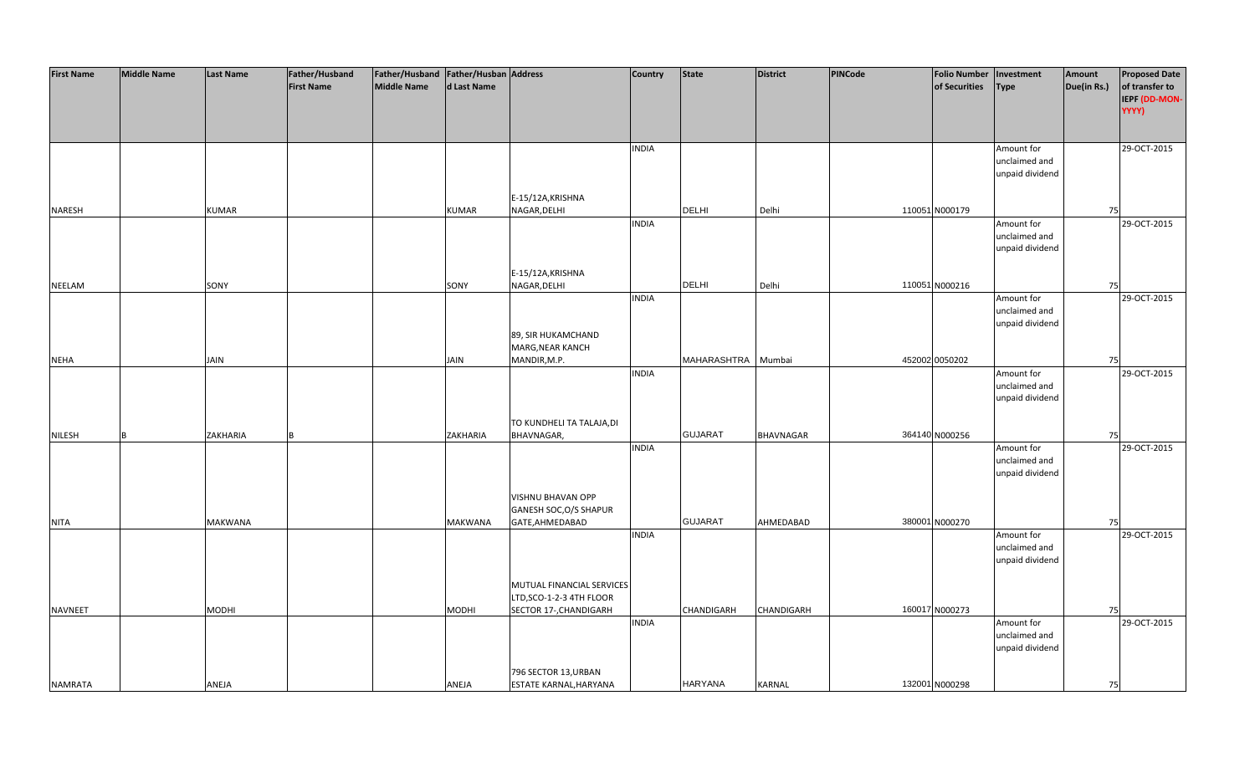| <b>First Name</b> | <b>Middle Name</b> | <b>Last Name</b> | Father/Husband    | Father/Husband   Father/Husban   Address |                |                                             | Country      | <b>State</b>      | <b>District</b>  | PINCode | <b>Folio Number</b> | Investment      | Amount      | <b>Proposed Date</b> |
|-------------------|--------------------|------------------|-------------------|------------------------------------------|----------------|---------------------------------------------|--------------|-------------------|------------------|---------|---------------------|-----------------|-------------|----------------------|
|                   |                    |                  | <b>First Name</b> | <b>Middle Name</b>                       | d Last Name    |                                             |              |                   |                  |         | of Securities       | <b>Type</b>     | Due(in Rs.) | of transfer to       |
|                   |                    |                  |                   |                                          |                |                                             |              |                   |                  |         |                     |                 |             | IEPF (DD-MON-        |
|                   |                    |                  |                   |                                          |                |                                             |              |                   |                  |         |                     |                 |             | YYYY)                |
|                   |                    |                  |                   |                                          |                |                                             |              |                   |                  |         |                     |                 |             |                      |
|                   |                    |                  |                   |                                          |                |                                             |              |                   |                  |         |                     |                 |             |                      |
|                   |                    |                  |                   |                                          |                |                                             | <b>INDIA</b> |                   |                  |         |                     | Amount for      |             | 29-OCT-2015          |
|                   |                    |                  |                   |                                          |                |                                             |              |                   |                  |         |                     | unclaimed and   |             |                      |
|                   |                    |                  |                   |                                          |                |                                             |              |                   |                  |         |                     | unpaid dividend |             |                      |
|                   |                    |                  |                   |                                          |                |                                             |              |                   |                  |         |                     |                 |             |                      |
|                   |                    |                  |                   |                                          |                | E-15/12A, KRISHNA                           |              |                   |                  |         |                     |                 |             |                      |
| NARESH            |                    | <b>KUMAR</b>     |                   |                                          | <b>KUMAR</b>   | NAGAR, DELHI                                |              | <b>DELHI</b>      | Delhi            |         | 110051 N000179      |                 | 75          |                      |
|                   |                    |                  |                   |                                          |                |                                             | <b>INDIA</b> |                   |                  |         |                     | Amount for      |             | 29-OCT-2015          |
|                   |                    |                  |                   |                                          |                |                                             |              |                   |                  |         |                     | unclaimed and   |             |                      |
|                   |                    |                  |                   |                                          |                |                                             |              |                   |                  |         |                     | unpaid dividend |             |                      |
|                   |                    |                  |                   |                                          |                |                                             |              |                   |                  |         |                     |                 |             |                      |
|                   |                    |                  |                   |                                          |                | E-15/12A, KRISHNA                           |              |                   |                  |         |                     |                 |             |                      |
| NEELAM            |                    | SONY             |                   |                                          | SONY           | NAGAR, DELHI                                |              | <b>DELHI</b>      | Delhi            |         | 110051 N000216      |                 | 75          |                      |
|                   |                    |                  |                   |                                          |                |                                             | <b>INDIA</b> |                   |                  |         |                     | Amount for      |             | 29-OCT-2015          |
|                   |                    |                  |                   |                                          |                |                                             |              |                   |                  |         |                     | unclaimed and   |             |                      |
|                   |                    |                  |                   |                                          |                |                                             |              |                   |                  |         |                     | unpaid dividend |             |                      |
|                   |                    |                  |                   |                                          |                | 89, SIR HUKAMCHAND                          |              |                   |                  |         |                     |                 |             |                      |
|                   |                    |                  |                   |                                          |                | MARG, NEAR KANCH                            |              |                   |                  |         |                     |                 |             |                      |
| <b>NEHA</b>       |                    | <b>JAIN</b>      |                   |                                          | <b>JAIN</b>    | MANDIR, M.P.                                |              | MAHARASHTRA       | Mumbai           |         | 452002 0050202      |                 | 75          |                      |
|                   |                    |                  |                   |                                          |                |                                             | <b>INDIA</b> |                   |                  |         |                     | Amount for      |             | 29-OCT-2015          |
|                   |                    |                  |                   |                                          |                |                                             |              |                   |                  |         |                     | unclaimed and   |             |                      |
|                   |                    |                  |                   |                                          |                |                                             |              |                   |                  |         |                     | unpaid dividend |             |                      |
|                   |                    |                  |                   |                                          |                |                                             |              |                   |                  |         |                     |                 |             |                      |
|                   |                    |                  |                   |                                          |                | TO KUNDHELI TA TALAJA, DI                   |              |                   |                  |         |                     |                 |             |                      |
| NILESH            |                    | ZAKHARIA         |                   |                                          | ZAKHARIA       | BHAVNAGAR,                                  |              | <b>GUJARAT</b>    | <b>BHAVNAGAR</b> |         | 364140 N000256      |                 | 75          |                      |
|                   |                    |                  |                   |                                          |                |                                             | <b>INDIA</b> |                   |                  |         |                     | Amount for      |             | 29-OCT-2015          |
|                   |                    |                  |                   |                                          |                |                                             |              |                   |                  |         |                     | unclaimed and   |             |                      |
|                   |                    |                  |                   |                                          |                |                                             |              |                   |                  |         |                     | unpaid dividend |             |                      |
|                   |                    |                  |                   |                                          |                |                                             |              |                   |                  |         |                     |                 |             |                      |
|                   |                    |                  |                   |                                          |                | VISHNU BHAVAN OPP<br>GANESH SOC, O/S SHAPUR |              |                   |                  |         |                     |                 |             |                      |
| <b>NITA</b>       |                    | <b>MAKWANA</b>   |                   |                                          | <b>MAKWANA</b> | GATE, AHMEDABAD                             |              | <b>GUJARAT</b>    | AHMEDABAD        |         | 380001 N000270      |                 | 75          |                      |
|                   |                    |                  |                   |                                          |                |                                             | <b>INDIA</b> |                   |                  |         |                     | Amount for      |             | 29-OCT-2015          |
|                   |                    |                  |                   |                                          |                |                                             |              |                   |                  |         |                     | unclaimed and   |             |                      |
|                   |                    |                  |                   |                                          |                |                                             |              |                   |                  |         |                     | unpaid dividend |             |                      |
|                   |                    |                  |                   |                                          |                |                                             |              |                   |                  |         |                     |                 |             |                      |
|                   |                    |                  |                   |                                          |                | MUTUAL FINANCIAL SERVICES                   |              |                   |                  |         |                     |                 |             |                      |
|                   |                    |                  |                   |                                          |                | LTD, SCO-1-2-3 4TH FLOOR                    |              |                   |                  |         |                     |                 |             |                      |
| NAVNEET           |                    | <b>MODHI</b>     |                   |                                          | <b>MODHI</b>   | SECTOR 17-, CHANDIGARH                      |              | <b>CHANDIGARH</b> | CHANDIGARH       |         | 160017 N000273      |                 | 75          |                      |
|                   |                    |                  |                   |                                          |                |                                             | <b>INDIA</b> |                   |                  |         |                     | Amount for      |             | 29-OCT-2015          |
|                   |                    |                  |                   |                                          |                |                                             |              |                   |                  |         |                     | unclaimed and   |             |                      |
|                   |                    |                  |                   |                                          |                |                                             |              |                   |                  |         |                     | unpaid dividend |             |                      |
|                   |                    |                  |                   |                                          |                |                                             |              |                   |                  |         |                     |                 |             |                      |
|                   |                    |                  |                   |                                          |                | 796 SECTOR 13, URBAN                        |              |                   |                  |         |                     |                 |             |                      |
| <b>NAMRATA</b>    |                    | ANEJA            |                   |                                          | ANEJA          | ESTATE KARNAL, HARYANA                      |              | <b>HARYANA</b>    | <b>KARNAL</b>    |         | 132001 N000298      |                 | 75          |                      |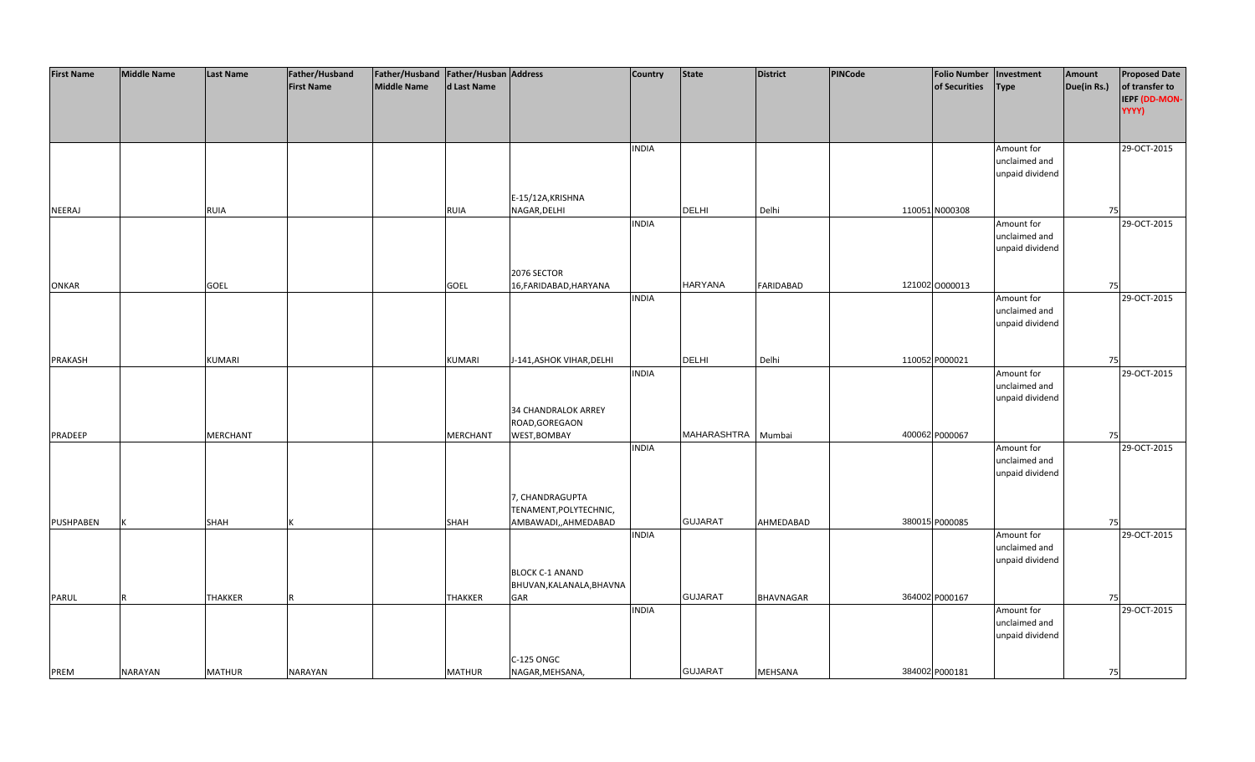| <b>First Name</b> | <b>Middle Name</b> | <b>Last Name</b> | Father/Husband    | Father/Husband Father/Husban Address |                 |                           | <b>Country</b> | <b>State</b>   | District         | <b>PINCode</b> | <b>Folio Number</b> | Investment      | Amount      | <b>Proposed Date</b> |
|-------------------|--------------------|------------------|-------------------|--------------------------------------|-----------------|---------------------------|----------------|----------------|------------------|----------------|---------------------|-----------------|-------------|----------------------|
|                   |                    |                  | <b>First Name</b> | Middle Name                          | d Last Name     |                           |                |                |                  |                | of Securities       | <b>Type</b>     | Due(in Rs.) | of transfer to       |
|                   |                    |                  |                   |                                      |                 |                           |                |                |                  |                |                     |                 |             | IEPF (DD-MON-        |
|                   |                    |                  |                   |                                      |                 |                           |                |                |                  |                |                     |                 |             | YYYY)                |
|                   |                    |                  |                   |                                      |                 |                           |                |                |                  |                |                     |                 |             |                      |
|                   |                    |                  |                   |                                      |                 |                           |                |                |                  |                |                     |                 |             |                      |
|                   |                    |                  |                   |                                      |                 |                           | <b>INDIA</b>   |                |                  |                |                     | Amount for      |             | 29-OCT-2015          |
|                   |                    |                  |                   |                                      |                 |                           |                |                |                  |                |                     | unclaimed and   |             |                      |
|                   |                    |                  |                   |                                      |                 |                           |                |                |                  |                |                     | unpaid dividend |             |                      |
|                   |                    |                  |                   |                                      |                 |                           |                |                |                  |                |                     |                 |             |                      |
|                   |                    |                  |                   |                                      |                 | E-15/12A, KRISHNA         |                |                |                  |                |                     |                 |             |                      |
| NEERAJ            |                    | RUIA             |                   |                                      | <b>RUIA</b>     | NAGAR, DELHI              |                | <b>DELHI</b>   | Delhi            |                | 110051 N000308      |                 | 75          |                      |
|                   |                    |                  |                   |                                      |                 |                           | <b>INDIA</b>   |                |                  |                |                     | Amount for      |             | 29-OCT-2015          |
|                   |                    |                  |                   |                                      |                 |                           |                |                |                  |                |                     | unclaimed and   |             |                      |
|                   |                    |                  |                   |                                      |                 |                           |                |                |                  |                |                     | unpaid dividend |             |                      |
|                   |                    |                  |                   |                                      |                 |                           |                |                |                  |                |                     |                 |             |                      |
|                   |                    |                  |                   |                                      |                 | 2076 SECTOR               |                |                |                  |                |                     |                 |             |                      |
| <b>ONKAR</b>      |                    | <b>GOEL</b>      |                   |                                      | <b>GOEL</b>     | 16, FARIDABAD, HARYANA    |                | <b>HARYANA</b> | <b>FARIDABAD</b> |                | 121002 0000013      |                 | 75          |                      |
|                   |                    |                  |                   |                                      |                 |                           | <b>INDIA</b>   |                |                  |                |                     | Amount for      |             | 29-OCT-2015          |
|                   |                    |                  |                   |                                      |                 |                           |                |                |                  |                |                     | unclaimed and   |             |                      |
|                   |                    |                  |                   |                                      |                 |                           |                |                |                  |                |                     | unpaid dividend |             |                      |
|                   |                    |                  |                   |                                      |                 |                           |                |                |                  |                |                     |                 |             |                      |
|                   |                    |                  |                   |                                      |                 |                           |                |                |                  |                |                     |                 |             |                      |
| <b>PRAKASH</b>    |                    | <b>KUMARI</b>    |                   |                                      | <b>KUMARI</b>   | J-141, ASHOK VIHAR, DELHI |                | <b>DELHI</b>   | Delhi            |                | 110052 P000021      |                 | 75          |                      |
|                   |                    |                  |                   |                                      |                 |                           | <b>INDIA</b>   |                |                  |                |                     | Amount for      |             | 29-OCT-2015          |
|                   |                    |                  |                   |                                      |                 |                           |                |                |                  |                |                     | unclaimed and   |             |                      |
|                   |                    |                  |                   |                                      |                 |                           |                |                |                  |                |                     | unpaid dividend |             |                      |
|                   |                    |                  |                   |                                      |                 | 34 CHANDRALOK ARREY       |                |                |                  |                |                     |                 |             |                      |
|                   |                    |                  |                   |                                      |                 | ROAD, GOREGAON            |                |                |                  |                |                     |                 |             |                      |
| PRADEEP           |                    | <b>MERCHANT</b>  |                   |                                      | <b>MERCHANT</b> | WEST, BOMBAY              |                | MAHARASHTRA    | Mumbai           |                | 400062 P000067      |                 | 75          |                      |
|                   |                    |                  |                   |                                      |                 |                           | <b>INDIA</b>   |                |                  |                |                     | Amount for      |             | 29-OCT-2015          |
|                   |                    |                  |                   |                                      |                 |                           |                |                |                  |                |                     | unclaimed and   |             |                      |
|                   |                    |                  |                   |                                      |                 |                           |                |                |                  |                |                     | unpaid dividend |             |                      |
|                   |                    |                  |                   |                                      |                 |                           |                |                |                  |                |                     |                 |             |                      |
|                   |                    |                  |                   |                                      |                 | 7, CHANDRAGUPTA           |                |                |                  |                |                     |                 |             |                      |
|                   |                    |                  |                   |                                      |                 | TENAMENT, POLYTECHNIC,    |                |                |                  |                |                     |                 |             |                      |
| PUSHPABEN         |                    | <b>SHAH</b>      |                   |                                      | <b>SHAH</b>     | AMBAWADI,,AHMEDABAD       |                | <b>GUJARAT</b> | AHMEDABAD        |                | 380015 P000085      |                 | 75          |                      |
|                   |                    |                  |                   |                                      |                 |                           | <b>INDIA</b>   |                |                  |                |                     | Amount for      |             | 29-OCT-2015          |
|                   |                    |                  |                   |                                      |                 |                           |                |                |                  |                |                     | unclaimed and   |             |                      |
|                   |                    |                  |                   |                                      |                 |                           |                |                |                  |                |                     | unpaid dividend |             |                      |
|                   |                    |                  |                   |                                      |                 | <b>BLOCK C-1 ANAND</b>    |                |                |                  |                |                     |                 |             |                      |
|                   |                    |                  |                   |                                      |                 | BHUVAN, KALANALA, BHAVNA  |                |                |                  |                |                     |                 |             |                      |
| PARUL             |                    | <b>THAKKER</b>   |                   |                                      | <b>THAKKER</b>  | GAR                       |                | <b>GUJARAT</b> | <b>BHAVNAGAR</b> |                | 364002 P000167      |                 | 75          |                      |
|                   |                    |                  |                   |                                      |                 |                           | <b>INDIA</b>   |                |                  |                |                     | Amount for      |             | 29-OCT-2015          |
|                   |                    |                  |                   |                                      |                 |                           |                |                |                  |                |                     | unclaimed and   |             |                      |
|                   |                    |                  |                   |                                      |                 |                           |                |                |                  |                |                     | unpaid dividend |             |                      |
|                   |                    |                  |                   |                                      |                 |                           |                |                |                  |                |                     |                 |             |                      |
|                   |                    |                  |                   |                                      |                 | C-125 ONGC                |                |                |                  |                |                     |                 |             |                      |
| PREM              | <b>NARAYAN</b>     | <b>MATHUR</b>    | <b>NARAYAN</b>    |                                      | <b>MATHUR</b>   | NAGAR, MEHSANA,           |                | <b>GUJARAT</b> | <b>MEHSANA</b>   |                | 384002 P000181      |                 | 75          |                      |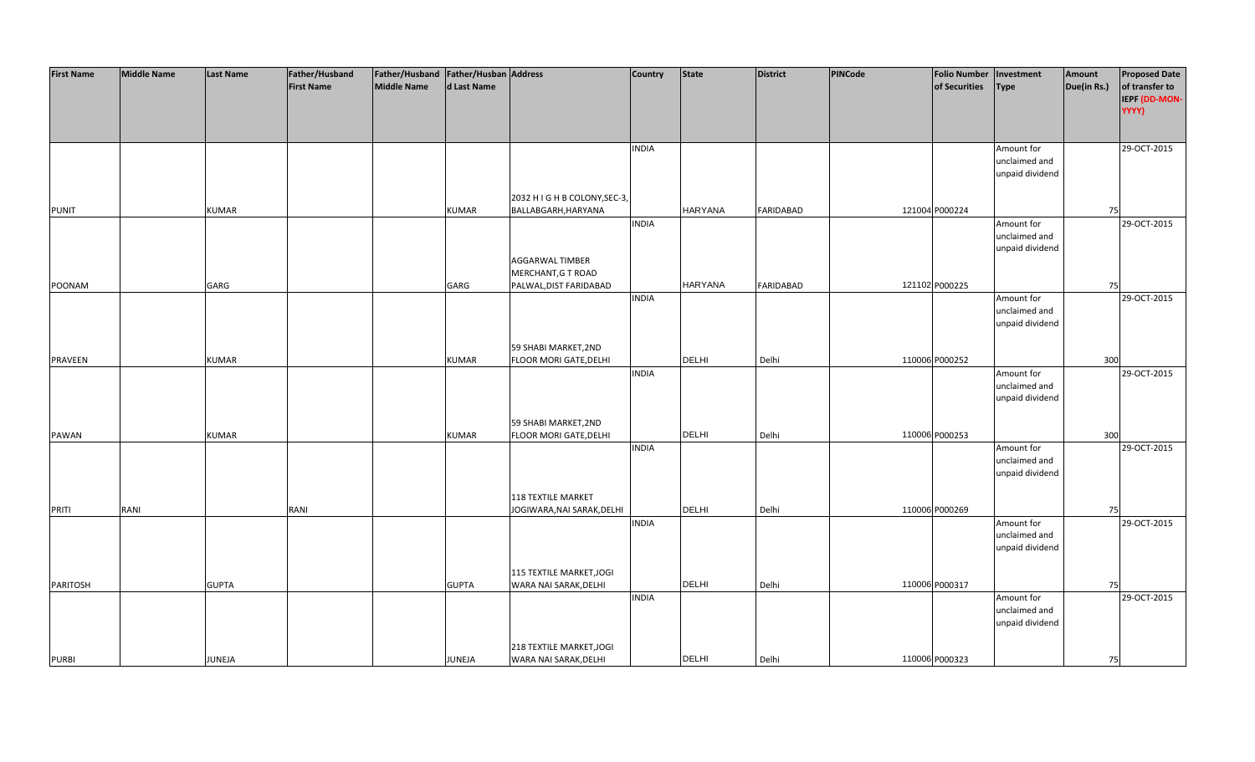| <b>First Name</b> | <b>Middle Name</b> | <b>Last Name</b> | Father/Husband    | Father/Husband   Father/Husban   Address |              |                                                   | <b>Country</b> | <b>State</b>   | <b>District</b>  | PINCode | Folio Number   Investment |                                  | Amount      | <b>Proposed Date</b>   |
|-------------------|--------------------|------------------|-------------------|------------------------------------------|--------------|---------------------------------------------------|----------------|----------------|------------------|---------|---------------------------|----------------------------------|-------------|------------------------|
|                   |                    |                  | <b>First Name</b> | <b>Middle Name</b>                       | d Last Name  |                                                   |                |                |                  |         | of Securities             | <b>Type</b>                      | Due(in Rs.) | of transfer to         |
|                   |                    |                  |                   |                                          |              |                                                   |                |                |                  |         |                           |                                  |             | IEPF (DD-MON-<br>YYYY) |
|                   |                    |                  |                   |                                          |              |                                                   |                |                |                  |         |                           |                                  |             |                        |
|                   |                    |                  |                   |                                          |              |                                                   |                |                |                  |         |                           |                                  |             |                        |
|                   |                    |                  |                   |                                          |              |                                                   | <b>INDIA</b>   |                |                  |         |                           | Amount for                       |             | 29-OCT-2015            |
|                   |                    |                  |                   |                                          |              |                                                   |                |                |                  |         |                           | unclaimed and                    |             |                        |
|                   |                    |                  |                   |                                          |              |                                                   |                |                |                  |         |                           | unpaid dividend                  |             |                        |
|                   |                    |                  |                   |                                          |              |                                                   |                |                |                  |         |                           |                                  |             |                        |
|                   |                    |                  |                   |                                          |              | 2032 H I G H B COLONY, SEC-3,                     |                |                |                  |         |                           |                                  |             |                        |
| <b>PUNIT</b>      |                    | <b>KUMAR</b>     |                   |                                          | <b>KUMAR</b> | BALLABGARH, HARYANA                               |                | <b>HARYANA</b> | <b>FARIDABAD</b> |         | 121004 P000224            |                                  | 75          |                        |
|                   |                    |                  |                   |                                          |              |                                                   | <b>INDIA</b>   |                |                  |         |                           | Amount for                       |             | 29-OCT-2015            |
|                   |                    |                  |                   |                                          |              |                                                   |                |                |                  |         |                           | unclaimed and<br>unpaid dividend |             |                        |
|                   |                    |                  |                   |                                          |              | <b>AGGARWAL TIMBER</b>                            |                |                |                  |         |                           |                                  |             |                        |
|                   |                    |                  |                   |                                          |              | MERCHANT, G T ROAD                                |                |                |                  |         |                           |                                  |             |                        |
| POONAM            |                    | GARG             |                   |                                          | GARG         | PALWAL, DIST FARIDABAD                            |                | <b>HARYANA</b> | FARIDABAD        |         | 121102 P000225            |                                  | 75          |                        |
|                   |                    |                  |                   |                                          |              |                                                   | <b>INDIA</b>   |                |                  |         |                           | Amount for                       |             | 29-OCT-2015            |
|                   |                    |                  |                   |                                          |              |                                                   |                |                |                  |         |                           | unclaimed and                    |             |                        |
|                   |                    |                  |                   |                                          |              |                                                   |                |                |                  |         |                           | unpaid dividend                  |             |                        |
|                   |                    |                  |                   |                                          |              |                                                   |                |                |                  |         |                           |                                  |             |                        |
|                   |                    |                  |                   |                                          |              | 59 SHABI MARKET, 2ND                              |                |                |                  |         |                           |                                  |             |                        |
| <b>PRAVEEN</b>    |                    | <b>KUMAR</b>     |                   |                                          | KUMAR        | <b>FLOOR MORI GATE, DELHI</b>                     |                | <b>DELHI</b>   | Delhi            |         | 110006 P000252            |                                  | 300         |                        |
|                   |                    |                  |                   |                                          |              |                                                   | <b>INDIA</b>   |                |                  |         |                           | Amount for                       |             | 29-OCT-2015            |
|                   |                    |                  |                   |                                          |              |                                                   |                |                |                  |         |                           | unclaimed and                    |             |                        |
|                   |                    |                  |                   |                                          |              |                                                   |                |                |                  |         |                           | unpaid dividend                  |             |                        |
|                   |                    |                  |                   |                                          |              | 59 SHABI MARKET, 2ND                              |                |                |                  |         |                           |                                  |             |                        |
| <b>PAWAN</b>      |                    | KUMAR            |                   |                                          | KUMAR        | FLOOR MORI GATE, DELHI                            |                | <b>DELHI</b>   | Delhi            |         | 110006 P000253            |                                  | 300         |                        |
|                   |                    |                  |                   |                                          |              |                                                   | <b>INDIA</b>   |                |                  |         |                           | Amount for                       |             | 29-OCT-2015            |
|                   |                    |                  |                   |                                          |              |                                                   |                |                |                  |         |                           | unclaimed and                    |             |                        |
|                   |                    |                  |                   |                                          |              |                                                   |                |                |                  |         |                           | unpaid dividend                  |             |                        |
|                   |                    |                  |                   |                                          |              |                                                   |                |                |                  |         |                           |                                  |             |                        |
|                   |                    |                  |                   |                                          |              | <b>118 TEXTILE MARKET</b>                         |                |                |                  |         |                           |                                  |             |                        |
| PRITI             | RANI               |                  | RANI              |                                          |              | JOGIWARA, NAI SARAK, DELHI                        |                | <b>DELHI</b>   | Delhi            |         | 110006 P000269            |                                  | 75          |                        |
|                   |                    |                  |                   |                                          |              |                                                   | <b>INDIA</b>   |                |                  |         |                           | Amount for                       |             | 29-OCT-2015            |
|                   |                    |                  |                   |                                          |              |                                                   |                |                |                  |         |                           | unclaimed and                    |             |                        |
|                   |                    |                  |                   |                                          |              |                                                   |                |                |                  |         |                           | unpaid dividend                  |             |                        |
|                   |                    |                  |                   |                                          |              |                                                   |                |                |                  |         |                           |                                  |             |                        |
| <b>PARITOSH</b>   |                    | <b>GUPTA</b>     |                   |                                          | <b>GUPTA</b> | 115 TEXTILE MARKET, JOGI<br>WARA NAI SARAK, DELHI |                | <b>DELHI</b>   | Delhi            |         | 110006 P000317            |                                  | 75          |                        |
|                   |                    |                  |                   |                                          |              |                                                   | <b>INDIA</b>   |                |                  |         |                           | Amount for                       |             | 29-OCT-2015            |
|                   |                    |                  |                   |                                          |              |                                                   |                |                |                  |         |                           | unclaimed and                    |             |                        |
|                   |                    |                  |                   |                                          |              |                                                   |                |                |                  |         |                           | unpaid dividend                  |             |                        |
|                   |                    |                  |                   |                                          |              |                                                   |                |                |                  |         |                           |                                  |             |                        |
|                   |                    |                  |                   |                                          |              | 218 TEXTILE MARKET, JOGI                          |                |                |                  |         |                           |                                  |             |                        |
| <b>PURBI</b>      |                    | JUNEJA           |                   |                                          | JUNEJA       | WARA NAI SARAK, DELHI                             |                | <b>DELHI</b>   | Delhi            |         | 110006 P000323            |                                  | 75          |                        |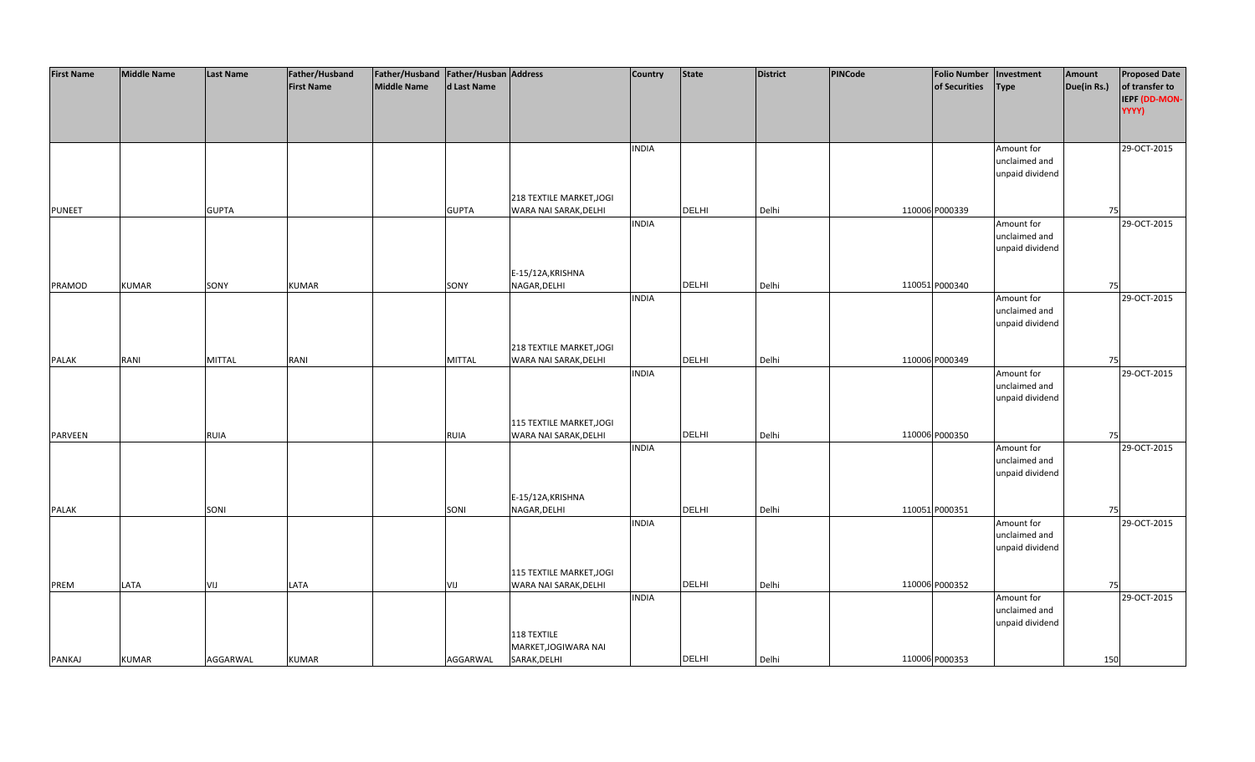| <b>First Name</b> | <b>Middle Name</b> | Last Name     | Father/Husband    | Father/Husband   Father/Husban   Address |               |                          | <b>Country</b> | <b>State</b> | <b>District</b> | PINCode | <b>Folio Number</b> | Investment                  | Amount      | <b>Proposed Date</b> |
|-------------------|--------------------|---------------|-------------------|------------------------------------------|---------------|--------------------------|----------------|--------------|-----------------|---------|---------------------|-----------------------------|-------------|----------------------|
|                   |                    |               | <b>First Name</b> | Middle Name                              | d Last Name   |                          |                |              |                 |         | of Securities       | <b>Type</b>                 | Due(in Rs.) | of transfer to       |
|                   |                    |               |                   |                                          |               |                          |                |              |                 |         |                     |                             |             | IEPF (DD-MON-        |
|                   |                    |               |                   |                                          |               |                          |                |              |                 |         |                     |                             |             | YYYY)                |
|                   |                    |               |                   |                                          |               |                          |                |              |                 |         |                     |                             |             |                      |
|                   |                    |               |                   |                                          |               |                          | <b>INDIA</b>   |              |                 |         |                     | Amount for                  |             | 29-OCT-2015          |
|                   |                    |               |                   |                                          |               |                          |                |              |                 |         |                     | unclaimed and               |             |                      |
|                   |                    |               |                   |                                          |               |                          |                |              |                 |         |                     | unpaid dividend             |             |                      |
|                   |                    |               |                   |                                          |               |                          |                |              |                 |         |                     |                             |             |                      |
|                   |                    |               |                   |                                          |               | 218 TEXTILE MARKET, JOGI |                |              |                 |         |                     |                             |             |                      |
| <b>PUNEET</b>     |                    | <b>GUPTA</b>  |                   |                                          | <b>GUPTA</b>  | WARA NAI SARAK, DELHI    |                | DELHI        | Delhi           |         | 110006 P000339      |                             | 75          |                      |
|                   |                    |               |                   |                                          |               |                          | <b>INDIA</b>   |              |                 |         |                     | Amount for                  |             | 29-OCT-2015          |
|                   |                    |               |                   |                                          |               |                          |                |              |                 |         |                     | unclaimed and               |             |                      |
|                   |                    |               |                   |                                          |               |                          |                |              |                 |         |                     | unpaid dividend             |             |                      |
|                   |                    |               |                   |                                          |               |                          |                |              |                 |         |                     |                             |             |                      |
|                   |                    |               |                   |                                          |               | E-15/12A, KRISHNA        |                |              |                 |         |                     |                             |             |                      |
| PRAMOD            | <b>KUMAR</b>       | SONY          | <b>KUMAR</b>      |                                          | SONY          | NAGAR, DELHI             |                | <b>DELHI</b> | Delhi           |         | 110051 P000340      |                             | 75          |                      |
|                   |                    |               |                   |                                          |               |                          | <b>INDIA</b>   |              |                 |         |                     | Amount for                  |             | 29-OCT-2015          |
|                   |                    |               |                   |                                          |               |                          |                |              |                 |         |                     | unclaimed and               |             |                      |
|                   |                    |               |                   |                                          |               |                          |                |              |                 |         |                     | unpaid dividend             |             |                      |
|                   |                    |               |                   |                                          |               | 218 TEXTILE MARKET, JOGI |                |              |                 |         |                     |                             |             |                      |
| <b>PALAK</b>      | RANI               | <b>MITTAL</b> | RANI              |                                          | <b>MITTAL</b> | WARA NAI SARAK, DELHI    |                | DELHI        | Delhi           |         | 110006 P000349      |                             | 75          |                      |
|                   |                    |               |                   |                                          |               |                          | <b>INDIA</b>   |              |                 |         |                     | Amount for                  |             | 29-OCT-2015          |
|                   |                    |               |                   |                                          |               |                          |                |              |                 |         |                     | unclaimed and               |             |                      |
|                   |                    |               |                   |                                          |               |                          |                |              |                 |         |                     | unpaid dividend             |             |                      |
|                   |                    |               |                   |                                          |               |                          |                |              |                 |         |                     |                             |             |                      |
|                   |                    |               |                   |                                          |               | 115 TEXTILE MARKET, JOGI |                |              |                 |         |                     |                             |             |                      |
| <b>PARVEEN</b>    |                    | <b>RUIA</b>   |                   |                                          | <b>RUIA</b>   | WARA NAI SARAK, DELHI    |                | <b>DELHI</b> | Delhi           |         | 110006 P000350      |                             | 75          |                      |
|                   |                    |               |                   |                                          |               |                          | <b>INDIA</b>   |              |                 |         |                     | Amount for                  |             | 29-OCT-2015          |
|                   |                    |               |                   |                                          |               |                          |                |              |                 |         |                     | unclaimed and               |             |                      |
|                   |                    |               |                   |                                          |               |                          |                |              |                 |         |                     | unpaid dividend             |             |                      |
|                   |                    |               |                   |                                          |               |                          |                |              |                 |         |                     |                             |             |                      |
|                   |                    |               |                   |                                          |               | E-15/12A, KRISHNA        |                |              |                 |         |                     |                             |             |                      |
| <b>PALAK</b>      |                    | SONI          |                   |                                          | SONI          | NAGAR, DELHI             | <b>INDIA</b>   | <b>DELHI</b> | Delhi           |         | 110051 P000351      |                             | 75          |                      |
|                   |                    |               |                   |                                          |               |                          |                |              |                 |         |                     | Amount for<br>unclaimed and |             | 29-OCT-2015          |
|                   |                    |               |                   |                                          |               |                          |                |              |                 |         |                     | unpaid dividend             |             |                      |
|                   |                    |               |                   |                                          |               |                          |                |              |                 |         |                     |                             |             |                      |
|                   |                    |               |                   |                                          |               | 115 TEXTILE MARKET, JOGI |                |              |                 |         |                     |                             |             |                      |
| PREM              | LATA               | VIJ           | LATA              |                                          | VIJ           | WARA NAI SARAK, DELHI    |                | DELHI        | Delhi           |         | 110006 P000352      |                             | 75          |                      |
|                   |                    |               |                   |                                          |               |                          | <b>INDIA</b>   |              |                 |         |                     | Amount for                  |             | 29-OCT-2015          |
|                   |                    |               |                   |                                          |               |                          |                |              |                 |         |                     | unclaimed and               |             |                      |
|                   |                    |               |                   |                                          |               |                          |                |              |                 |         |                     | unpaid dividend             |             |                      |
|                   |                    |               |                   |                                          |               | 118 TEXTILE              |                |              |                 |         |                     |                             |             |                      |
|                   |                    |               |                   |                                          |               | MARKET, JOGIWARA NAI     |                |              |                 |         |                     |                             |             |                      |
| PANKAJ            | <b>KUMAR</b>       | AGGARWAL      | <b>KUMAR</b>      |                                          | AGGARWAL      | SARAK, DELHI             |                | <b>DELHI</b> | Delhi           |         | 110006 P000353      |                             | 150         |                      |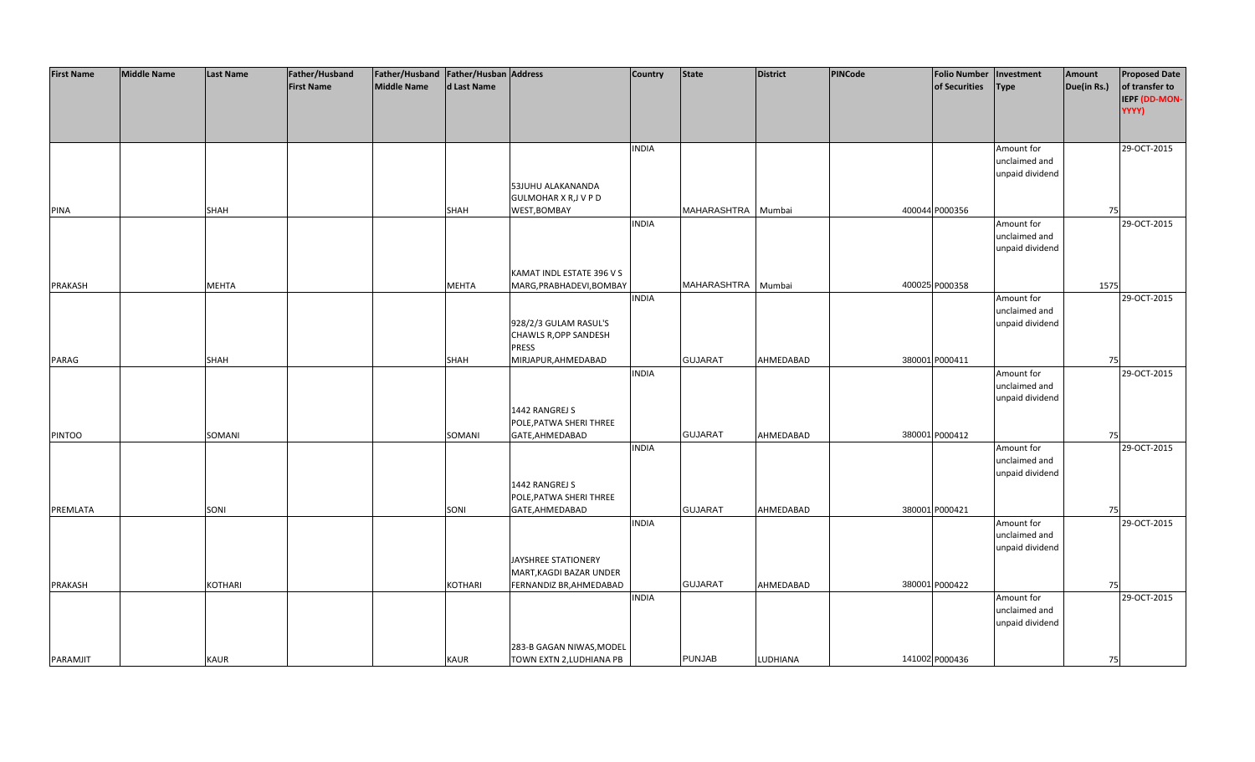| <b>First Name</b> | <b>Middle Name</b> | <b>Last Name</b> | Father/Husband    | Father/Husband Father/Husban Address |                |                              | <b>Country</b> | <b>State</b>   | <b>District</b> | PINCode | <b>Folio Number</b> | Investment      | Amount      | <b>Proposed Date</b> |
|-------------------|--------------------|------------------|-------------------|--------------------------------------|----------------|------------------------------|----------------|----------------|-----------------|---------|---------------------|-----------------|-------------|----------------------|
|                   |                    |                  | <b>First Name</b> | <b>Middle Name</b>                   | d Last Name    |                              |                |                |                 |         | of Securities       | <b>Type</b>     | Due(in Rs.) | of transfer to       |
|                   |                    |                  |                   |                                      |                |                              |                |                |                 |         |                     |                 |             | IEPF (DD-MON-        |
|                   |                    |                  |                   |                                      |                |                              |                |                |                 |         |                     |                 |             | YYYY)                |
|                   |                    |                  |                   |                                      |                |                              |                |                |                 |         |                     |                 |             |                      |
|                   |                    |                  |                   |                                      |                |                              |                |                |                 |         |                     |                 |             |                      |
|                   |                    |                  |                   |                                      |                |                              | <b>INDIA</b>   |                |                 |         |                     | Amount for      |             | 29-OCT-2015          |
|                   |                    |                  |                   |                                      |                |                              |                |                |                 |         |                     | unclaimed and   |             |                      |
|                   |                    |                  |                   |                                      |                |                              |                |                |                 |         |                     | unpaid dividend |             |                      |
|                   |                    |                  |                   |                                      |                | 53JUHU ALAKANANDA            |                |                |                 |         |                     |                 |             |                      |
|                   |                    |                  |                   |                                      |                | <b>GULMOHAR X R, J V P D</b> |                |                |                 |         |                     |                 |             |                      |
| <b>PINA</b>       |                    | <b>SHAH</b>      |                   |                                      | <b>SHAH</b>    | WEST, BOMBAY                 |                | MAHARASHTRA    | Mumbai          |         | 400044 P000356      |                 | 75          |                      |
|                   |                    |                  |                   |                                      |                |                              | <b>INDIA</b>   |                |                 |         |                     | Amount for      |             | 29-OCT-2015          |
|                   |                    |                  |                   |                                      |                |                              |                |                |                 |         |                     | unclaimed and   |             |                      |
|                   |                    |                  |                   |                                      |                |                              |                |                |                 |         |                     | unpaid dividend |             |                      |
|                   |                    |                  |                   |                                      |                |                              |                |                |                 |         |                     |                 |             |                      |
|                   |                    |                  |                   |                                      |                | KAMAT INDL ESTATE 396 V S    |                |                |                 |         |                     |                 |             |                      |
| <b>PRAKASH</b>    |                    | <b>MEHTA</b>     |                   |                                      | <b>MEHTA</b>   | MARG, PRABHADEVI, BOMBAY     |                | MAHARASHTRA    | Mumbai          |         | 400025 P000358      |                 | 1575        |                      |
|                   |                    |                  |                   |                                      |                |                              | <b>INDIA</b>   |                |                 |         |                     | Amount for      |             | 29-OCT-2015          |
|                   |                    |                  |                   |                                      |                |                              |                |                |                 |         |                     | unclaimed and   |             |                      |
|                   |                    |                  |                   |                                      |                | 928/2/3 GULAM RASUL'S        |                |                |                 |         |                     | unpaid dividend |             |                      |
|                   |                    |                  |                   |                                      |                | CHAWLS R, OPP SANDESH        |                |                |                 |         |                     |                 |             |                      |
|                   |                    |                  |                   |                                      |                | <b>PRESS</b>                 |                |                |                 |         |                     |                 |             |                      |
| PARAG             |                    | <b>SHAH</b>      |                   |                                      | SHAH           | MIRJAPUR, AHMEDABAD          |                | <b>GUJARAT</b> | AHMEDABAD       |         | 380001 P000411      |                 | 75          |                      |
|                   |                    |                  |                   |                                      |                |                              | <b>INDIA</b>   |                |                 |         |                     | Amount for      |             | 29-OCT-2015          |
|                   |                    |                  |                   |                                      |                |                              |                |                |                 |         |                     | unclaimed and   |             |                      |
|                   |                    |                  |                   |                                      |                |                              |                |                |                 |         |                     | unpaid dividend |             |                      |
|                   |                    |                  |                   |                                      |                | 1442 RANGREJ S               |                |                |                 |         |                     |                 |             |                      |
|                   |                    |                  |                   |                                      |                | POLE, PATWA SHERI THREE      |                |                |                 |         |                     |                 |             |                      |
| <b>PINTOO</b>     |                    | SOMANI           |                   |                                      | SOMANI         | GATE, AHMEDABAD              |                | <b>GUJARAT</b> | AHMEDABAD       |         | 380001 P000412      |                 | 75          |                      |
|                   |                    |                  |                   |                                      |                |                              | <b>INDIA</b>   |                |                 |         |                     | Amount for      |             | 29-OCT-2015          |
|                   |                    |                  |                   |                                      |                |                              |                |                |                 |         |                     | unclaimed and   |             |                      |
|                   |                    |                  |                   |                                      |                |                              |                |                |                 |         |                     | unpaid dividend |             |                      |
|                   |                    |                  |                   |                                      |                | 1442 RANGREJ S               |                |                |                 |         |                     |                 |             |                      |
|                   |                    |                  |                   |                                      |                | POLE, PATWA SHERI THREE      |                |                |                 |         |                     |                 |             |                      |
| PREMLATA          |                    | SONI             |                   |                                      | SONI           | GATE, AHMEDABAD              |                | <b>GUJARAT</b> | AHMEDABAD       |         | 380001 P000421      |                 | 75          |                      |
|                   |                    |                  |                   |                                      |                |                              | <b>INDIA</b>   |                |                 |         |                     | Amount for      |             | 29-OCT-2015          |
|                   |                    |                  |                   |                                      |                |                              |                |                |                 |         |                     | unclaimed and   |             |                      |
|                   |                    |                  |                   |                                      |                |                              |                |                |                 |         |                     | unpaid dividend |             |                      |
|                   |                    |                  |                   |                                      |                | JAYSHREE STATIONERY          |                |                |                 |         |                     |                 |             |                      |
|                   |                    |                  |                   |                                      |                | MART, KAGDI BAZAR UNDER      |                |                |                 |         |                     |                 |             |                      |
| <b>PRAKASH</b>    |                    | <b>KOTHARI</b>   |                   |                                      | <b>KOTHARI</b> | FERNANDIZ BR, AHMEDABAD      |                | <b>GUJARAT</b> | AHMEDABAD       |         | 380001 P000422      |                 | 75          |                      |
|                   |                    |                  |                   |                                      |                |                              | <b>INDIA</b>   |                |                 |         |                     | Amount for      |             | 29-OCT-2015          |
|                   |                    |                  |                   |                                      |                |                              |                |                |                 |         |                     | unclaimed and   |             |                      |
|                   |                    |                  |                   |                                      |                |                              |                |                |                 |         |                     | unpaid dividend |             |                      |
|                   |                    |                  |                   |                                      |                |                              |                |                |                 |         |                     |                 |             |                      |
|                   |                    |                  |                   |                                      |                | 283-B GAGAN NIWAS, MODEL     |                | <b>PUNJAB</b>  |                 |         | 141002 P000436      |                 |             |                      |
| PARAMJIT          |                    | <b>KAUR</b>      |                   |                                      | <b>KAUR</b>    | TOWN EXTN 2, LUDHIANA PB     |                |                | <b>LUDHIANA</b> |         |                     |                 | 75          |                      |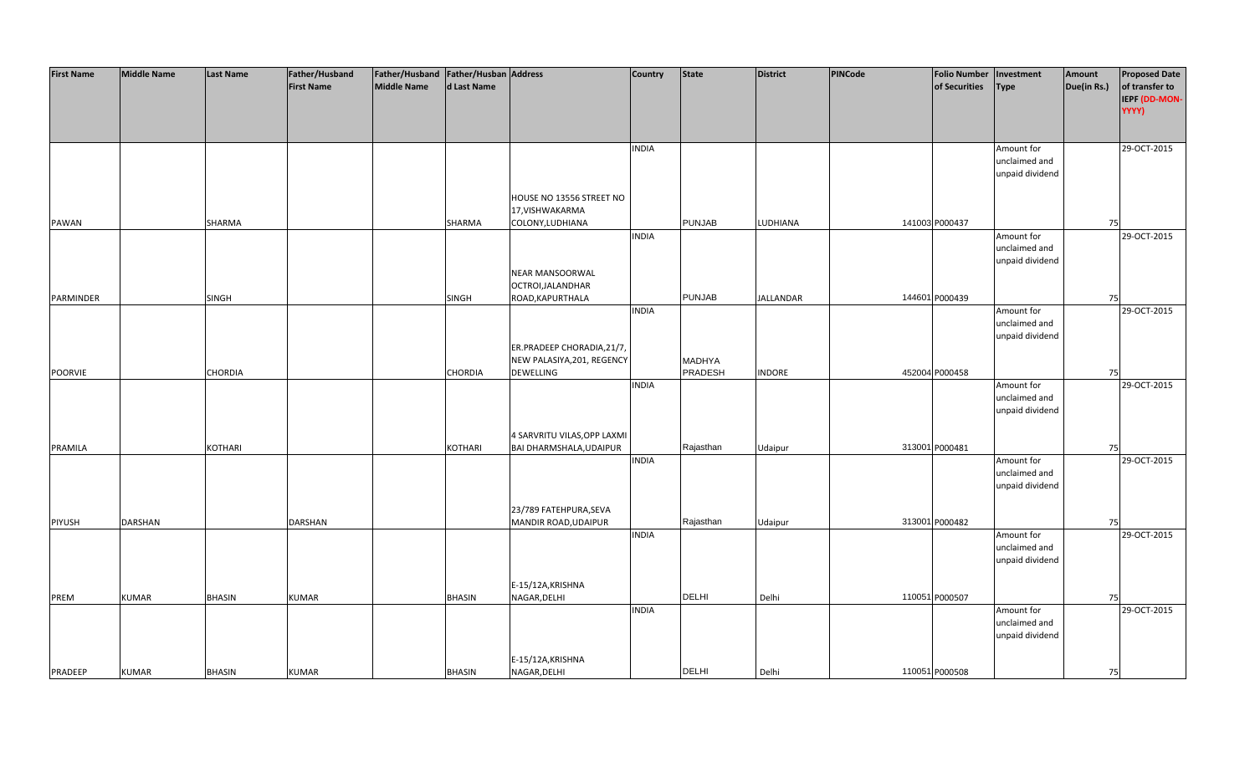| <b>First Name</b> | <b>Middle Name</b> | Last Name      | Father/Husband    | Father/Husband   Father/Husban   Address |               |                                                        | <b>Country</b> | <b>State</b>  | <b>District</b>  | <b>PINCode</b> | <b>Folio Number</b> | Investment                       | Amount      | <b>Proposed Date</b> |
|-------------------|--------------------|----------------|-------------------|------------------------------------------|---------------|--------------------------------------------------------|----------------|---------------|------------------|----------------|---------------------|----------------------------------|-------------|----------------------|
|                   |                    |                | <b>First Name</b> | Middle Name                              | d Last Name   |                                                        |                |               |                  |                | of Securities       | <b>Type</b>                      | Due(in Rs.) | of transfer to       |
|                   |                    |                |                   |                                          |               |                                                        |                |               |                  |                |                     |                                  |             | IEPF (DD-MON-        |
|                   |                    |                |                   |                                          |               |                                                        |                |               |                  |                |                     |                                  |             | YYYY)                |
|                   |                    |                |                   |                                          |               |                                                        |                |               |                  |                |                     |                                  |             |                      |
|                   |                    |                |                   |                                          |               |                                                        | <b>INDIA</b>   |               |                  |                |                     | Amount for                       |             | 29-OCT-2015          |
|                   |                    |                |                   |                                          |               |                                                        |                |               |                  |                |                     | unclaimed and                    |             |                      |
|                   |                    |                |                   |                                          |               |                                                        |                |               |                  |                |                     | unpaid dividend                  |             |                      |
|                   |                    |                |                   |                                          |               |                                                        |                |               |                  |                |                     |                                  |             |                      |
|                   |                    |                |                   |                                          |               | HOUSE NO 13556 STREET NO<br>17, VISHWAKARMA            |                |               |                  |                |                     |                                  |             |                      |
| PAWAN             |                    | SHARMA         |                   |                                          | SHARMA        | COLONY, LUDHIANA                                       |                | <b>PUNJAB</b> | LUDHIANA         |                | 141003 P000437      |                                  | 75          |                      |
|                   |                    |                |                   |                                          |               |                                                        | <b>INDIA</b>   |               |                  |                |                     | Amount for                       |             | 29-OCT-2015          |
|                   |                    |                |                   |                                          |               |                                                        |                |               |                  |                |                     | unclaimed and                    |             |                      |
|                   |                    |                |                   |                                          |               |                                                        |                |               |                  |                |                     | unpaid dividend                  |             |                      |
|                   |                    |                |                   |                                          |               | NEAR MANSOORWAL                                        |                |               |                  |                |                     |                                  |             |                      |
|                   |                    |                |                   |                                          |               | OCTROI, JALANDHAR                                      |                |               |                  |                |                     |                                  |             |                      |
| PARMINDER         |                    | <b>SINGH</b>   |                   |                                          | <b>SINGH</b>  | ROAD, KAPURTHALA                                       |                | <b>PUNJAB</b> | <b>JALLANDAR</b> |                | 144601 P000439      |                                  | 75          |                      |
|                   |                    |                |                   |                                          |               |                                                        | <b>INDIA</b>   |               |                  |                |                     | Amount for                       |             | 29-OCT-2015          |
|                   |                    |                |                   |                                          |               |                                                        |                |               |                  |                |                     | unclaimed and<br>unpaid dividend |             |                      |
|                   |                    |                |                   |                                          |               | ER.PRADEEP CHORADIA, 21/7,                             |                |               |                  |                |                     |                                  |             |                      |
|                   |                    |                |                   |                                          |               | NEW PALASIYA, 201, REGENCY                             |                | <b>MADHYA</b> |                  |                |                     |                                  |             |                      |
| POORVIE           |                    | <b>CHORDIA</b> |                   |                                          | CHORDIA       | <b>DEWELLING</b>                                       |                | PRADESH       | <b>INDORE</b>    |                | 452004 P000458      |                                  | 75          |                      |
|                   |                    |                |                   |                                          |               |                                                        | <b>INDIA</b>   |               |                  |                |                     | Amount for                       |             | 29-OCT-2015          |
|                   |                    |                |                   |                                          |               |                                                        |                |               |                  |                |                     | unclaimed and                    |             |                      |
|                   |                    |                |                   |                                          |               |                                                        |                |               |                  |                |                     | unpaid dividend                  |             |                      |
|                   |                    |                |                   |                                          |               |                                                        |                |               |                  |                |                     |                                  |             |                      |
| PRAMILA           |                    | KOTHARI        |                   |                                          | KOTHARI       | 4 SARVRITU VILAS, OPP LAXMI<br>BAI DHARMSHALA, UDAIPUR |                | Rajasthan     | Udaipur          |                | 313001 P000481      |                                  | 75          |                      |
|                   |                    |                |                   |                                          |               |                                                        | <b>INDIA</b>   |               |                  |                |                     | Amount for                       |             | 29-OCT-2015          |
|                   |                    |                |                   |                                          |               |                                                        |                |               |                  |                |                     | unclaimed and                    |             |                      |
|                   |                    |                |                   |                                          |               |                                                        |                |               |                  |                |                     | unpaid dividend                  |             |                      |
|                   |                    |                |                   |                                          |               |                                                        |                |               |                  |                |                     |                                  |             |                      |
|                   |                    |                |                   |                                          |               | 23/789 FATEHPURA, SEVA                                 |                |               |                  |                |                     |                                  |             |                      |
| PIYUSH            | <b>DARSHAN</b>     |                | <b>DARSHAN</b>    |                                          |               | MANDIR ROAD, UDAIPUR                                   |                | Rajasthan     | Udaipur          |                | 313001 P000482      |                                  | 75          |                      |
|                   |                    |                |                   |                                          |               |                                                        | <b>INDIA</b>   |               |                  |                |                     | Amount for                       |             | 29-OCT-2015          |
|                   |                    |                |                   |                                          |               |                                                        |                |               |                  |                |                     | unclaimed and<br>unpaid dividend |             |                      |
|                   |                    |                |                   |                                          |               |                                                        |                |               |                  |                |                     |                                  |             |                      |
|                   |                    |                |                   |                                          |               | E-15/12A, KRISHNA                                      |                |               |                  |                |                     |                                  |             |                      |
| PREM              | <b>KUMAR</b>       | <b>BHASIN</b>  | <b>KUMAR</b>      |                                          | <b>BHASIN</b> | NAGAR, DELHI                                           |                | <b>DELHI</b>  | Delhi            |                | 110051 P000507      |                                  | 75          |                      |
|                   |                    |                |                   |                                          |               |                                                        | <b>INDIA</b>   |               |                  |                |                     | Amount for                       |             | 29-OCT-2015          |
|                   |                    |                |                   |                                          |               |                                                        |                |               |                  |                |                     | unclaimed and                    |             |                      |
|                   |                    |                |                   |                                          |               |                                                        |                |               |                  |                |                     | unpaid dividend                  |             |                      |
|                   |                    |                |                   |                                          |               |                                                        |                |               |                  |                |                     |                                  |             |                      |
| PRADEEP           | <b>KUMAR</b>       | <b>BHASIN</b>  | <b>KUMAR</b>      |                                          | <b>BHASIN</b> | E-15/12A, KRISHNA<br>NAGAR, DELHI                      |                | <b>DELHI</b>  | Delhi            |                | 110051 P000508      |                                  | 75          |                      |
|                   |                    |                |                   |                                          |               |                                                        |                |               |                  |                |                     |                                  |             |                      |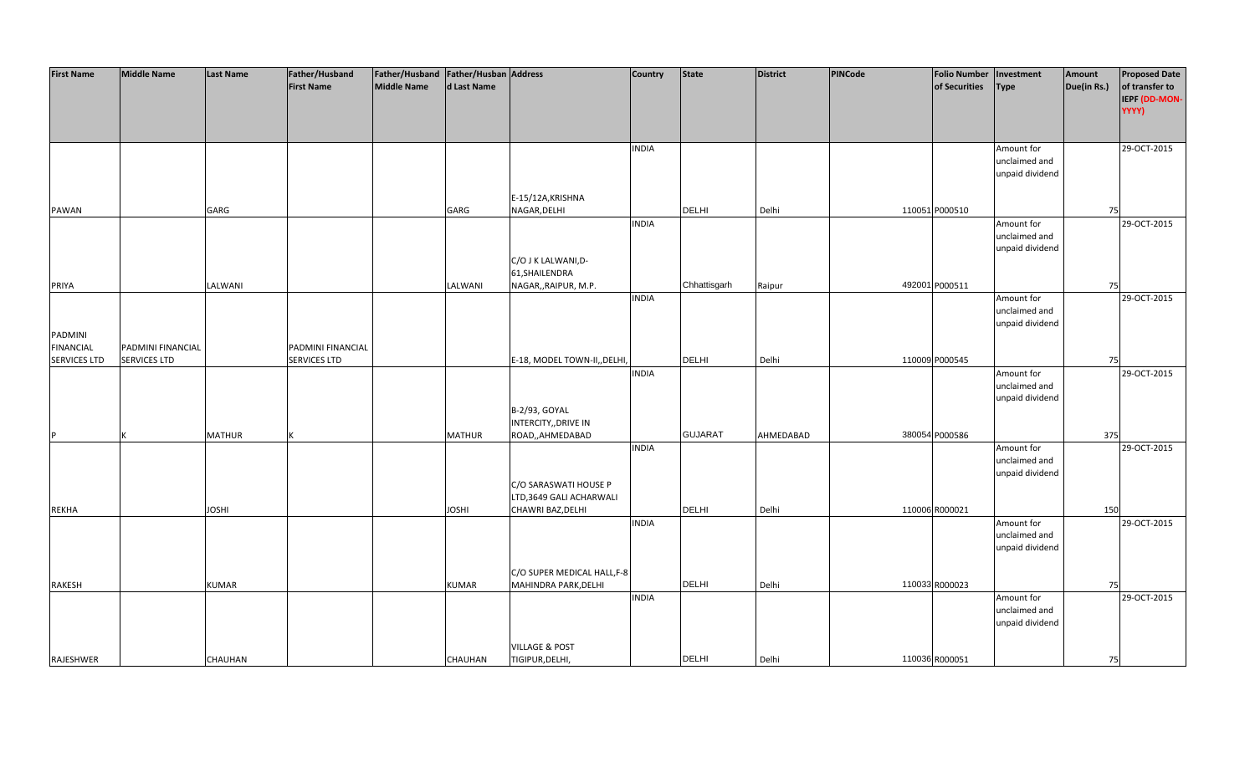| <b>First Name</b>   | <b>Middle Name</b>  | <b>Last Name</b> | Father/Husband      | Father/Husband Father/Husban Address |                |                              | <b>Country</b> | <b>State</b>   | <b>District</b> | PINCode | <b>Folio Number</b> | Investment      | Amount      | <b>Proposed Date</b> |
|---------------------|---------------------|------------------|---------------------|--------------------------------------|----------------|------------------------------|----------------|----------------|-----------------|---------|---------------------|-----------------|-------------|----------------------|
|                     |                     |                  | <b>First Name</b>   | <b>Middle Name</b>                   | d Last Name    |                              |                |                |                 |         | of Securities       | <b>Type</b>     | Due(in Rs.) | of transfer to       |
|                     |                     |                  |                     |                                      |                |                              |                |                |                 |         |                     |                 |             | IEPF (DD-MON-        |
|                     |                     |                  |                     |                                      |                |                              |                |                |                 |         |                     |                 |             | YYYY)                |
|                     |                     |                  |                     |                                      |                |                              |                |                |                 |         |                     |                 |             |                      |
|                     |                     |                  |                     |                                      |                |                              |                |                |                 |         |                     |                 |             |                      |
|                     |                     |                  |                     |                                      |                |                              |                |                |                 |         |                     |                 |             |                      |
|                     |                     |                  |                     |                                      |                |                              | <b>INDIA</b>   |                |                 |         |                     | Amount for      |             | 29-OCT-2015          |
|                     |                     |                  |                     |                                      |                |                              |                |                |                 |         |                     | unclaimed and   |             |                      |
|                     |                     |                  |                     |                                      |                |                              |                |                |                 |         |                     | unpaid dividend |             |                      |
|                     |                     |                  |                     |                                      |                |                              |                |                |                 |         |                     |                 |             |                      |
|                     |                     |                  |                     |                                      |                | E-15/12A, KRISHNA            |                |                |                 |         |                     |                 |             |                      |
| <b>PAWAN</b>        |                     | GARG             |                     |                                      | GARG           | NAGAR, DELHI                 |                | DELHI          | Delhi           |         | 110051 P000510      |                 | 75          |                      |
|                     |                     |                  |                     |                                      |                |                              | <b>INDIA</b>   |                |                 |         |                     | Amount for      |             | 29-OCT-2015          |
|                     |                     |                  |                     |                                      |                |                              |                |                |                 |         |                     | unclaimed and   |             |                      |
|                     |                     |                  |                     |                                      |                |                              |                |                |                 |         |                     | unpaid dividend |             |                      |
|                     |                     |                  |                     |                                      |                | C/O J K LALWANI, D-          |                |                |                 |         |                     |                 |             |                      |
|                     |                     |                  |                     |                                      |                | 61, SHAILENDRA               |                |                |                 |         |                     |                 |             |                      |
| PRIYA               |                     | LALWANI          |                     |                                      | LALWANI        | NAGAR,, RAIPUR, M.P.         |                | Chhattisgarh   | Raipur          |         | 492001 P000511      |                 | 75          |                      |
|                     |                     |                  |                     |                                      |                |                              | <b>INDIA</b>   |                |                 |         |                     | Amount for      |             | 29-OCT-2015          |
|                     |                     |                  |                     |                                      |                |                              |                |                |                 |         |                     | unclaimed and   |             |                      |
|                     |                     |                  |                     |                                      |                |                              |                |                |                 |         |                     | unpaid dividend |             |                      |
| <b>PADMINI</b>      |                     |                  |                     |                                      |                |                              |                |                |                 |         |                     |                 |             |                      |
| <b>FINANCIAL</b>    | PADMINI FINANCIAL   |                  | PADMINI FINANCIAL   |                                      |                |                              |                |                |                 |         |                     |                 |             |                      |
| <b>SERVICES LTD</b> | <b>SERVICES LTD</b> |                  | <b>SERVICES LTD</b> |                                      |                | E-18, MODEL TOWN-II,, DELHI, |                | DELHI          | Delhi           |         | 110009 P000545      |                 | 75          |                      |
|                     |                     |                  |                     |                                      |                |                              | <b>INDIA</b>   |                |                 |         |                     | Amount for      |             | 29-OCT-2015          |
|                     |                     |                  |                     |                                      |                |                              |                |                |                 |         |                     | unclaimed and   |             |                      |
|                     |                     |                  |                     |                                      |                |                              |                |                |                 |         |                     | unpaid dividend |             |                      |
|                     |                     |                  |                     |                                      |                | B-2/93, GOYAL                |                |                |                 |         |                     |                 |             |                      |
|                     |                     |                  |                     |                                      |                | INTERCITY,, DRIVE IN         |                |                |                 |         |                     |                 |             |                      |
| <b>D</b>            |                     | <b>MATHUR</b>    |                     |                                      | <b>MATHUR</b>  | ROAD,,AHMEDABAD              |                | <b>GUJARAT</b> | AHMEDABAD       |         | 380054 P000586      |                 | 375         |                      |
|                     |                     |                  |                     |                                      |                |                              | <b>INDIA</b>   |                |                 |         |                     | Amount for      |             | 29-OCT-2015          |
|                     |                     |                  |                     |                                      |                |                              |                |                |                 |         |                     | unclaimed and   |             |                      |
|                     |                     |                  |                     |                                      |                |                              |                |                |                 |         |                     | unpaid dividend |             |                      |
|                     |                     |                  |                     |                                      |                | C/O SARASWATI HOUSE P        |                |                |                 |         |                     |                 |             |                      |
|                     |                     |                  |                     |                                      |                | LTD,3649 GALI ACHARWALI      |                |                |                 |         |                     |                 |             |                      |
| <b>REKHA</b>        |                     | <b>JOSHI</b>     |                     |                                      | <b>JOSHI</b>   | CHAWRI BAZ, DELHI            |                | <b>DELHI</b>   | Delhi           |         | 110006 R000021      |                 | 150         |                      |
|                     |                     |                  |                     |                                      |                |                              | <b>INDIA</b>   |                |                 |         |                     | Amount for      |             | 29-OCT-2015          |
|                     |                     |                  |                     |                                      |                |                              |                |                |                 |         |                     | unclaimed and   |             |                      |
|                     |                     |                  |                     |                                      |                |                              |                |                |                 |         |                     | unpaid dividend |             |                      |
|                     |                     |                  |                     |                                      |                |                              |                |                |                 |         |                     |                 |             |                      |
|                     |                     |                  |                     |                                      |                | C/O SUPER MEDICAL HALL, F-8  |                |                |                 |         |                     |                 |             |                      |
| RAKESH              |                     | <b>KUMAR</b>     |                     |                                      | <b>KUMAR</b>   | MAHINDRA PARK, DELHI         |                | DELHI          | Delhi           |         | 110033 R000023      |                 | 75          |                      |
|                     |                     |                  |                     |                                      |                |                              | <b>INDIA</b>   |                |                 |         |                     | Amount for      |             | 29-OCT-2015          |
|                     |                     |                  |                     |                                      |                |                              |                |                |                 |         |                     | unclaimed and   |             |                      |
|                     |                     |                  |                     |                                      |                |                              |                |                |                 |         |                     | unpaid dividend |             |                      |
|                     |                     |                  |                     |                                      |                |                              |                |                |                 |         |                     |                 |             |                      |
|                     |                     |                  |                     |                                      |                | <b>VILLAGE &amp; POST</b>    |                |                |                 |         |                     |                 |             |                      |
| RAJESHWER           |                     | <b>CHAUHAN</b>   |                     |                                      | <b>CHAUHAN</b> | TIGIPUR, DELHI,              |                | <b>DELHI</b>   | Delhi           |         | 110036 R000051      |                 | 75          |                      |
|                     |                     |                  |                     |                                      |                |                              |                |                |                 |         |                     |                 |             |                      |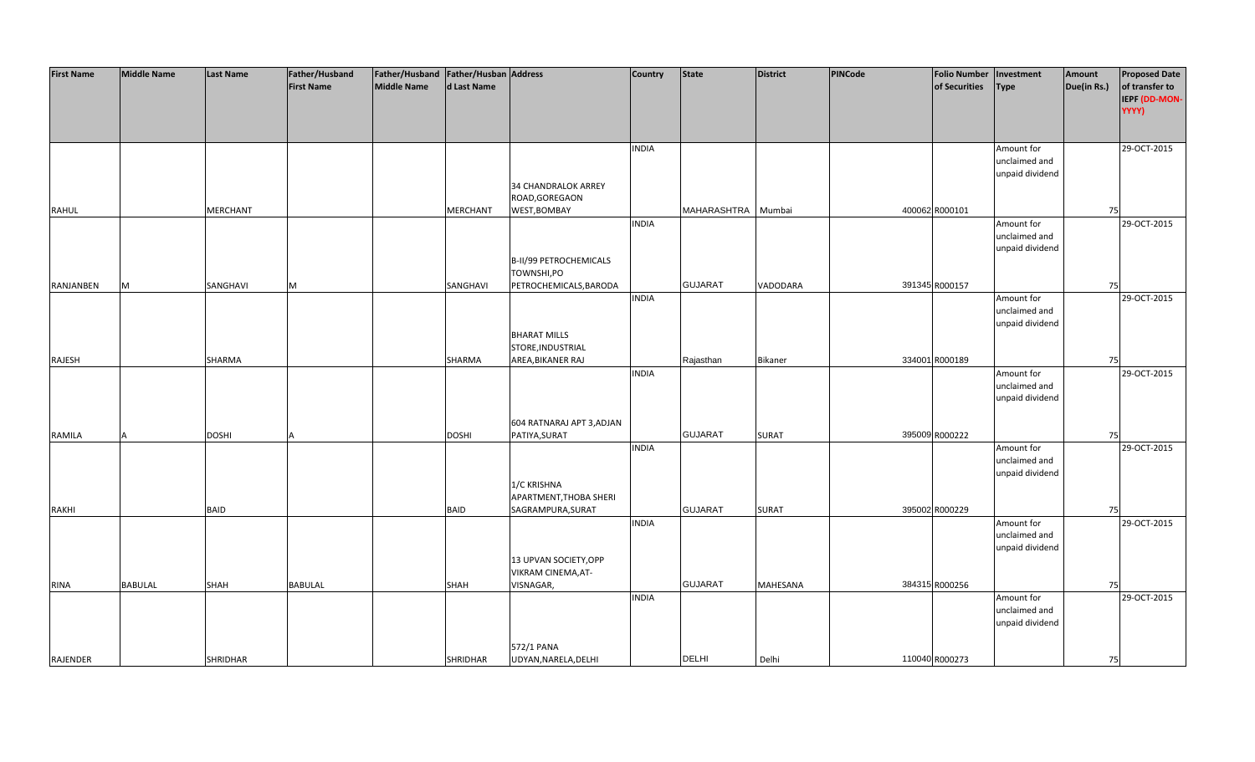| <b>First Name</b> | <b>Middle Name</b> | <b>Last Name</b> | Father/Husband    | Father/Husband Father/Husban Address |                 |                           | <b>Country</b> | <b>State</b>   | <b>District</b> | PINCode | <b>Folio Number</b> | Investment      | Amount      | <b>Proposed Date</b> |
|-------------------|--------------------|------------------|-------------------|--------------------------------------|-----------------|---------------------------|----------------|----------------|-----------------|---------|---------------------|-----------------|-------------|----------------------|
|                   |                    |                  | <b>First Name</b> | <b>Middle Name</b>                   | d Last Name     |                           |                |                |                 |         | of Securities       | <b>Type</b>     | Due(in Rs.) | of transfer to       |
|                   |                    |                  |                   |                                      |                 |                           |                |                |                 |         |                     |                 |             | IEPF (DD-MON-        |
|                   |                    |                  |                   |                                      |                 |                           |                |                |                 |         |                     |                 |             | YYYY)                |
|                   |                    |                  |                   |                                      |                 |                           |                |                |                 |         |                     |                 |             |                      |
|                   |                    |                  |                   |                                      |                 |                           |                |                |                 |         |                     |                 |             |                      |
|                   |                    |                  |                   |                                      |                 |                           |                |                |                 |         |                     |                 |             | 29-OCT-2015          |
|                   |                    |                  |                   |                                      |                 |                           | <b>INDIA</b>   |                |                 |         |                     | Amount for      |             |                      |
|                   |                    |                  |                   |                                      |                 |                           |                |                |                 |         |                     | unclaimed and   |             |                      |
|                   |                    |                  |                   |                                      |                 |                           |                |                |                 |         |                     | unpaid dividend |             |                      |
|                   |                    |                  |                   |                                      |                 | 34 CHANDRALOK ARREY       |                |                |                 |         |                     |                 |             |                      |
|                   |                    |                  |                   |                                      |                 | ROAD, GOREGAON            |                |                |                 |         |                     |                 |             |                      |
| <b>RAHUL</b>      |                    | <b>MERCHANT</b>  |                   |                                      | <b>MERCHANT</b> | WEST, BOMBAY              |                | MAHARASHTRA    | Mumbai          |         | 400062 R000101      |                 | 75          |                      |
|                   |                    |                  |                   |                                      |                 |                           | <b>INDIA</b>   |                |                 |         |                     | Amount for      |             | 29-OCT-2015          |
|                   |                    |                  |                   |                                      |                 |                           |                |                |                 |         |                     | unclaimed and   |             |                      |
|                   |                    |                  |                   |                                      |                 |                           |                |                |                 |         |                     | unpaid dividend |             |                      |
|                   |                    |                  |                   |                                      |                 | B-II/99 PETROCHEMICALS    |                |                |                 |         |                     |                 |             |                      |
|                   |                    |                  |                   |                                      |                 | TOWNSHI,PO                |                |                |                 |         |                     |                 |             |                      |
| RANJANBEN         | M                  | SANGHAVI         | M                 |                                      | SANGHAVI        | PETROCHEMICALS, BARODA    |                | <b>GUJARAT</b> | VADODARA        |         | 391345 R000157      |                 | 75          |                      |
|                   |                    |                  |                   |                                      |                 |                           | <b>INDIA</b>   |                |                 |         |                     | Amount for      |             | 29-OCT-2015          |
|                   |                    |                  |                   |                                      |                 |                           |                |                |                 |         |                     | unclaimed and   |             |                      |
|                   |                    |                  |                   |                                      |                 |                           |                |                |                 |         |                     | unpaid dividend |             |                      |
|                   |                    |                  |                   |                                      |                 | <b>BHARAT MILLS</b>       |                |                |                 |         |                     |                 |             |                      |
|                   |                    |                  |                   |                                      |                 | STORE, INDUSTRIAL         |                |                |                 |         |                     |                 |             |                      |
| RAJESH            |                    | SHARMA           |                   |                                      | SHARMA          | AREA, BIKANER RAJ         |                | Rajasthan      | Bikaner         |         | 334001 R000189      |                 | 75          |                      |
|                   |                    |                  |                   |                                      |                 |                           | <b>INDIA</b>   |                |                 |         |                     | Amount for      |             | 29-OCT-2015          |
|                   |                    |                  |                   |                                      |                 |                           |                |                |                 |         |                     | unclaimed and   |             |                      |
|                   |                    |                  |                   |                                      |                 |                           |                |                |                 |         |                     | unpaid dividend |             |                      |
|                   |                    |                  |                   |                                      |                 |                           |                |                |                 |         |                     |                 |             |                      |
|                   |                    |                  |                   |                                      |                 | 604 RATNARAJ APT 3, ADJAN |                |                |                 |         |                     |                 |             |                      |
| RAMILA            |                    | <b>DOSHI</b>     |                   |                                      | <b>DOSHI</b>    | PATIYA, SURAT             |                | <b>GUJARAT</b> | SURAT           |         | 395009 R000222      |                 | 75          |                      |
|                   |                    |                  |                   |                                      |                 |                           | <b>INDIA</b>   |                |                 |         |                     | Amount for      |             | 29-OCT-2015          |
|                   |                    |                  |                   |                                      |                 |                           |                |                |                 |         |                     | unclaimed and   |             |                      |
|                   |                    |                  |                   |                                      |                 |                           |                |                |                 |         |                     | unpaid dividend |             |                      |
|                   |                    |                  |                   |                                      |                 | 1/C KRISHNA               |                |                |                 |         |                     |                 |             |                      |
|                   |                    |                  |                   |                                      |                 | APARTMENT, THOBA SHERI    |                |                |                 |         |                     |                 |             |                      |
| <b>RAKHI</b>      |                    | <b>BAID</b>      |                   |                                      | <b>BAID</b>     | SAGRAMPURA, SURAT         |                | <b>GUJARAT</b> | <b>SURAT</b>    |         | 395002 R000229      |                 | 75          |                      |
|                   |                    |                  |                   |                                      |                 |                           | <b>INDIA</b>   |                |                 |         |                     | Amount for      |             | 29-OCT-2015          |
|                   |                    |                  |                   |                                      |                 |                           |                |                |                 |         |                     | unclaimed and   |             |                      |
|                   |                    |                  |                   |                                      |                 |                           |                |                |                 |         |                     | unpaid dividend |             |                      |
|                   |                    |                  |                   |                                      |                 | 13 UPVAN SOCIETY, OPP     |                |                |                 |         |                     |                 |             |                      |
|                   |                    |                  |                   |                                      |                 | VIKRAM CINEMA, AT-        |                |                |                 |         |                     |                 |             |                      |
| <b>RINA</b>       | <b>BABULAL</b>     | SHAH             | <b>BABULAL</b>    |                                      | <b>SHAH</b>     | VISNAGAR,                 |                | <b>GUJARAT</b> | <b>MAHESANA</b> |         | 384315 R000256      |                 | 75          |                      |
|                   |                    |                  |                   |                                      |                 |                           | <b>INDIA</b>   |                |                 |         |                     | Amount for      |             | 29-OCT-2015          |
|                   |                    |                  |                   |                                      |                 |                           |                |                |                 |         |                     | unclaimed and   |             |                      |
|                   |                    |                  |                   |                                      |                 |                           |                |                |                 |         |                     | unpaid dividend |             |                      |
|                   |                    |                  |                   |                                      |                 |                           |                |                |                 |         |                     |                 |             |                      |
|                   |                    |                  |                   |                                      |                 | 572/1 PANA                |                |                |                 |         |                     |                 |             |                      |
| RAJENDER          |                    | <b>SHRIDHAR</b>  |                   |                                      | <b>SHRIDHAR</b> | UDYAN, NARELA, DELHI      |                | <b>DELHI</b>   | Delhi           |         | 110040 R000273      |                 | 75          |                      |
|                   |                    |                  |                   |                                      |                 |                           |                |                |                 |         |                     |                 |             |                      |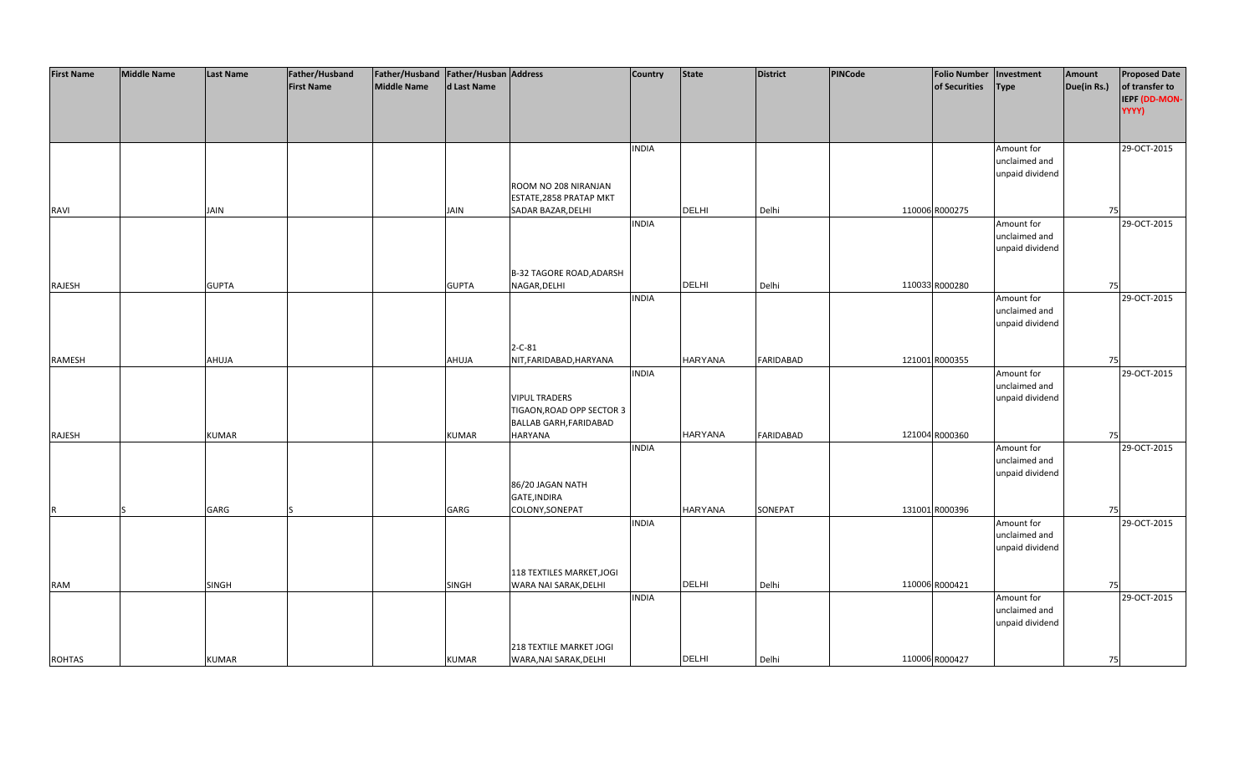| <b>First Name</b> | <b>Middle Name</b> | <b>Last Name</b> | Father/Husband    | Father/Husband Father/Husban Address |              |                                 | <b>Country</b> | <b>State</b>   | <b>District</b>  | PINCode | <b>Folio Number</b> | Investment                  | Amount      | <b>Proposed Date</b> |
|-------------------|--------------------|------------------|-------------------|--------------------------------------|--------------|---------------------------------|----------------|----------------|------------------|---------|---------------------|-----------------------------|-------------|----------------------|
|                   |                    |                  | <b>First Name</b> | <b>Middle Name</b>                   | d Last Name  |                                 |                |                |                  |         | of Securities       | <b>Type</b>                 | Due(in Rs.) | of transfer to       |
|                   |                    |                  |                   |                                      |              |                                 |                |                |                  |         |                     |                             |             | IEPF (DD-MON-        |
|                   |                    |                  |                   |                                      |              |                                 |                |                |                  |         |                     |                             |             | YYYY)                |
|                   |                    |                  |                   |                                      |              |                                 |                |                |                  |         |                     |                             |             |                      |
|                   |                    |                  |                   |                                      |              |                                 |                |                |                  |         |                     |                             |             |                      |
|                   |                    |                  |                   |                                      |              |                                 | <b>INDIA</b>   |                |                  |         |                     | Amount for                  |             | 29-OCT-2015          |
|                   |                    |                  |                   |                                      |              |                                 |                |                |                  |         |                     | unclaimed and               |             |                      |
|                   |                    |                  |                   |                                      |              |                                 |                |                |                  |         |                     | unpaid dividend             |             |                      |
|                   |                    |                  |                   |                                      |              | ROOM NO 208 NIRANJAN            |                |                |                  |         |                     |                             |             |                      |
|                   |                    |                  |                   |                                      |              | ESTATE, 2858 PRATAP MKT         |                |                |                  |         |                     |                             |             |                      |
| RAVI              |                    | <b>JAIN</b>      |                   |                                      | <b>JAIN</b>  | SADAR BAZAR, DELHI              |                | <b>DELHI</b>   | Delhi            |         | 110006 R000275      |                             | 75          |                      |
|                   |                    |                  |                   |                                      |              |                                 | <b>INDIA</b>   |                |                  |         |                     | Amount for                  |             | 29-OCT-2015          |
|                   |                    |                  |                   |                                      |              |                                 |                |                |                  |         |                     | unclaimed and               |             |                      |
|                   |                    |                  |                   |                                      |              |                                 |                |                |                  |         |                     | unpaid dividend             |             |                      |
|                   |                    |                  |                   |                                      |              |                                 |                |                |                  |         |                     |                             |             |                      |
|                   |                    |                  |                   |                                      |              | <b>B-32 TAGORE ROAD, ADARSH</b> |                |                |                  |         |                     |                             |             |                      |
| RAJESH            |                    | <b>GUPTA</b>     |                   |                                      | <b>GUPTA</b> | NAGAR, DELHI                    |                | <b>DELHI</b>   | Delhi            |         | 110033 R000280      |                             | 75          |                      |
|                   |                    |                  |                   |                                      |              |                                 | <b>INDIA</b>   |                |                  |         |                     | Amount for                  |             | 29-OCT-2015          |
|                   |                    |                  |                   |                                      |              |                                 |                |                |                  |         |                     | unclaimed and               |             |                      |
|                   |                    |                  |                   |                                      |              |                                 |                |                |                  |         |                     | unpaid dividend             |             |                      |
|                   |                    |                  |                   |                                      |              |                                 |                |                |                  |         |                     |                             |             |                      |
|                   |                    |                  |                   |                                      |              | $2 - C - 81$                    |                |                |                  |         |                     |                             |             |                      |
| RAMESH            |                    | AHUJA            |                   |                                      | AHUJA        | NIT, FARIDABAD, HARYANA         |                | <b>HARYANA</b> | <b>FARIDABAD</b> |         | 121001 R000355      |                             | 75          |                      |
|                   |                    |                  |                   |                                      |              |                                 | <b>INDIA</b>   |                |                  |         |                     | Amount for                  |             | 29-OCT-2015          |
|                   |                    |                  |                   |                                      |              |                                 |                |                |                  |         |                     | unclaimed and               |             |                      |
|                   |                    |                  |                   |                                      |              | <b>VIPUL TRADERS</b>            |                |                |                  |         |                     | unpaid dividend             |             |                      |
|                   |                    |                  |                   |                                      |              | TIGAON, ROAD OPP SECTOR 3       |                |                |                  |         |                     |                             |             |                      |
|                   |                    |                  |                   |                                      |              | <b>BALLAB GARH, FARIDABAD</b>   |                |                |                  |         |                     |                             |             |                      |
| RAJESH            |                    | <b>KUMAR</b>     |                   |                                      | <b>KUMAR</b> | <b>HARYANA</b>                  |                | <b>HARYANA</b> | <b>FARIDABAD</b> |         | 121004 R000360      |                             | 75          |                      |
|                   |                    |                  |                   |                                      |              |                                 | <b>INDIA</b>   |                |                  |         |                     | Amount for                  |             | 29-OCT-2015          |
|                   |                    |                  |                   |                                      |              |                                 |                |                |                  |         |                     | unclaimed and               |             |                      |
|                   |                    |                  |                   |                                      |              |                                 |                |                |                  |         |                     | unpaid dividend             |             |                      |
|                   |                    |                  |                   |                                      |              | 86/20 JAGAN NATH                |                |                |                  |         |                     |                             |             |                      |
|                   |                    |                  |                   |                                      |              | GATE, INDIRA                    |                |                |                  |         |                     |                             |             |                      |
| R                 | S                  | GARG             |                   |                                      | GARG         | COLONY, SONEPAT                 |                | <b>HARYANA</b> | SONEPAT          |         | 131001 R000396      |                             | 75          |                      |
|                   |                    |                  |                   |                                      |              |                                 | <b>INDIA</b>   |                |                  |         |                     | Amount for                  |             | 29-OCT-2015          |
|                   |                    |                  |                   |                                      |              |                                 |                |                |                  |         |                     | unclaimed and               |             |                      |
|                   |                    |                  |                   |                                      |              |                                 |                |                |                  |         |                     | unpaid dividend             |             |                      |
|                   |                    |                  |                   |                                      |              |                                 |                |                |                  |         |                     |                             |             |                      |
|                   |                    |                  |                   |                                      |              | 118 TEXTILES MARKET, JOGI       |                |                |                  |         |                     |                             |             |                      |
| <b>RAM</b>        |                    | <b>SINGH</b>     |                   |                                      | <b>SINGH</b> | WARA NAI SARAK, DELHI           |                | <b>DELHI</b>   | Delhi            |         | 110006 R000421      |                             | 75          |                      |
|                   |                    |                  |                   |                                      |              |                                 | <b>INDIA</b>   |                |                  |         |                     | Amount for<br>unclaimed and |             | 29-OCT-2015          |
|                   |                    |                  |                   |                                      |              |                                 |                |                |                  |         |                     |                             |             |                      |
|                   |                    |                  |                   |                                      |              |                                 |                |                |                  |         |                     | unpaid dividend             |             |                      |
|                   |                    |                  |                   |                                      |              | 218 TEXTILE MARKET JOGI         |                |                |                  |         |                     |                             |             |                      |
| <b>ROHTAS</b>     |                    | <b>KUMAR</b>     |                   |                                      | <b>KUMAR</b> | WARA, NAI SARAK, DELHI          |                | <b>DELHI</b>   | Delhi            |         | 110006 R000427      |                             | 75          |                      |
|                   |                    |                  |                   |                                      |              |                                 |                |                |                  |         |                     |                             |             |                      |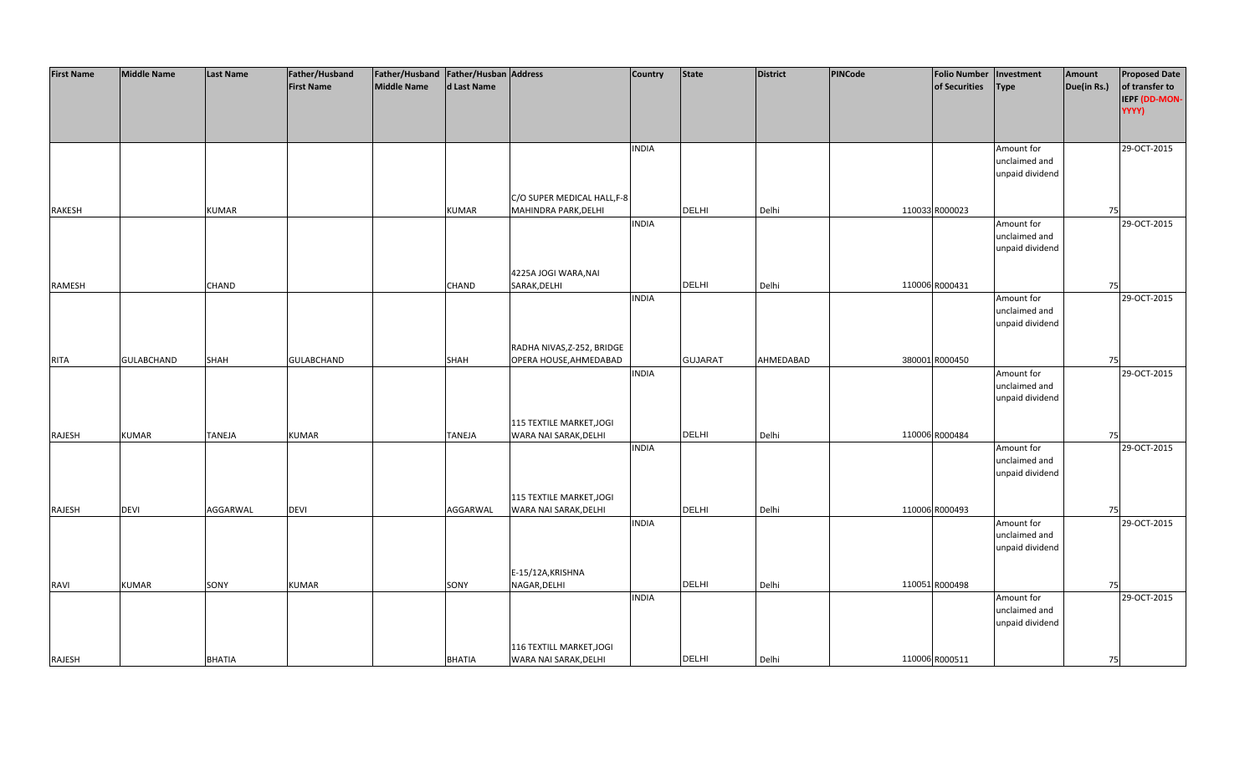| <b>First Name</b> | <b>Middle Name</b> | <b>Last Name</b> | Father/Husband    | Father/Husband Father/Husban Address |               |                             | <b>Country</b> | <b>State</b>   | <b>District</b> | PINCode | <b>Folio Number</b> | Investment      | Amount      | <b>Proposed Date</b> |
|-------------------|--------------------|------------------|-------------------|--------------------------------------|---------------|-----------------------------|----------------|----------------|-----------------|---------|---------------------|-----------------|-------------|----------------------|
|                   |                    |                  | <b>First Name</b> | <b>Middle Name</b>                   | d Last Name   |                             |                |                |                 |         | of Securities       | Type            | Due(in Rs.) | of transfer to       |
|                   |                    |                  |                   |                                      |               |                             |                |                |                 |         |                     |                 |             | IEPF (DD-MON-        |
|                   |                    |                  |                   |                                      |               |                             |                |                |                 |         |                     |                 |             | YYYY)                |
|                   |                    |                  |                   |                                      |               |                             |                |                |                 |         |                     |                 |             |                      |
|                   |                    |                  |                   |                                      |               |                             |                |                |                 |         |                     |                 |             |                      |
|                   |                    |                  |                   |                                      |               |                             | <b>INDIA</b>   |                |                 |         |                     | Amount for      |             | 29-OCT-2015          |
|                   |                    |                  |                   |                                      |               |                             |                |                |                 |         |                     | unclaimed and   |             |                      |
|                   |                    |                  |                   |                                      |               |                             |                |                |                 |         |                     | unpaid dividend |             |                      |
|                   |                    |                  |                   |                                      |               |                             |                |                |                 |         |                     |                 |             |                      |
|                   |                    |                  |                   |                                      |               | C/O SUPER MEDICAL HALL, F-8 |                |                |                 |         |                     |                 |             |                      |
| RAKESH            |                    | <b>KUMAR</b>     |                   |                                      | <b>KUMAR</b>  | MAHINDRA PARK, DELHI        |                | <b>DELHI</b>   | Delhi           |         | 110033 R000023      |                 | 75          |                      |
|                   |                    |                  |                   |                                      |               |                             | <b>INDIA</b>   |                |                 |         |                     | Amount for      |             | 29-OCT-2015          |
|                   |                    |                  |                   |                                      |               |                             |                |                |                 |         |                     | unclaimed and   |             |                      |
|                   |                    |                  |                   |                                      |               |                             |                |                |                 |         |                     | unpaid dividend |             |                      |
|                   |                    |                  |                   |                                      |               |                             |                |                |                 |         |                     |                 |             |                      |
|                   |                    |                  |                   |                                      |               | 4225A JOGI WARA, NAI        |                |                |                 |         |                     |                 |             |                      |
| RAMESH            |                    | CHAND            |                   |                                      | CHAND         | SARAK, DELHI                |                | <b>DELHI</b>   | Delhi           |         | 110006 R000431      |                 | 75          |                      |
|                   |                    |                  |                   |                                      |               |                             | <b>INDIA</b>   |                |                 |         |                     | Amount for      |             | 29-OCT-2015          |
|                   |                    |                  |                   |                                      |               |                             |                |                |                 |         |                     | unclaimed and   |             |                      |
|                   |                    |                  |                   |                                      |               |                             |                |                |                 |         |                     | unpaid dividend |             |                      |
|                   |                    |                  |                   |                                      |               |                             |                |                |                 |         |                     |                 |             |                      |
|                   |                    |                  |                   |                                      |               | RADHA NIVAS, Z-252, BRIDGE  |                |                |                 |         |                     |                 |             |                      |
| <b>RITA</b>       | <b>GULABCHAND</b>  | SHAH             | <b>GULABCHAND</b> |                                      | SHAH          | OPERA HOUSE, AHMEDABAD      |                | <b>GUJARAT</b> | AHMEDABAD       |         | 380001 R000450      |                 | 75          |                      |
|                   |                    |                  |                   |                                      |               |                             | <b>INDIA</b>   |                |                 |         |                     | Amount for      |             | 29-OCT-2015          |
|                   |                    |                  |                   |                                      |               |                             |                |                |                 |         |                     | unclaimed and   |             |                      |
|                   |                    |                  |                   |                                      |               |                             |                |                |                 |         |                     | unpaid dividend |             |                      |
|                   |                    |                  |                   |                                      |               |                             |                |                |                 |         |                     |                 |             |                      |
|                   |                    |                  |                   |                                      |               | 115 TEXTILE MARKET, JOGI    |                |                |                 |         |                     |                 |             |                      |
| RAJESH            | <b>KUMAR</b>       | <b>TANEJA</b>    | <b>KUMAR</b>      |                                      | <b>TANEJA</b> | WARA NAI SARAK, DELHI       |                | <b>DELHI</b>   | Delhi           |         | 110006 R000484      |                 | 75          |                      |
|                   |                    |                  |                   |                                      |               |                             | <b>INDIA</b>   |                |                 |         |                     | Amount for      |             | 29-OCT-2015          |
|                   |                    |                  |                   |                                      |               |                             |                |                |                 |         |                     | unclaimed and   |             |                      |
|                   |                    |                  |                   |                                      |               |                             |                |                |                 |         |                     | unpaid dividend |             |                      |
|                   |                    |                  |                   |                                      |               |                             |                |                |                 |         |                     |                 |             |                      |
|                   |                    |                  |                   |                                      |               | 115 TEXTILE MARKET, JOGI    |                |                |                 |         |                     |                 |             |                      |
| RAJESH            | <b>DEVI</b>        | AGGARWAL         | <b>DEVI</b>       |                                      | AGGARWAL      | WARA NAI SARAK, DELHI       |                | <b>DELHI</b>   | Delhi           |         | 110006 R000493      |                 | 75          |                      |
|                   |                    |                  |                   |                                      |               |                             | <b>INDIA</b>   |                |                 |         |                     | Amount for      |             | 29-OCT-2015          |
|                   |                    |                  |                   |                                      |               |                             |                |                |                 |         |                     | unclaimed and   |             |                      |
|                   |                    |                  |                   |                                      |               |                             |                |                |                 |         |                     | unpaid dividend |             |                      |
|                   |                    |                  |                   |                                      |               |                             |                |                |                 |         |                     |                 |             |                      |
|                   |                    |                  |                   |                                      |               | E-15/12A, KRISHNA           |                |                |                 |         |                     |                 |             |                      |
| <b>RAVI</b>       | <b>KUMAR</b>       | SONY             | <b>KUMAR</b>      |                                      | SONY          | NAGAR, DELHI                |                | <b>DELHI</b>   | Delhi           |         | 110051 R000498      |                 | 75          |                      |
|                   |                    |                  |                   |                                      |               |                             | <b>INDIA</b>   |                |                 |         |                     | Amount for      |             | 29-OCT-2015          |
|                   |                    |                  |                   |                                      |               |                             |                |                |                 |         |                     | unclaimed and   |             |                      |
|                   |                    |                  |                   |                                      |               |                             |                |                |                 |         |                     | unpaid dividend |             |                      |
|                   |                    |                  |                   |                                      |               |                             |                |                |                 |         |                     |                 |             |                      |
|                   |                    |                  |                   |                                      |               | 116 TEXTILL MARKET, JOGI    |                |                |                 |         |                     |                 |             |                      |
| RAJESH            |                    | <b>BHATIA</b>    |                   |                                      | <b>BHATIA</b> | WARA NAI SARAK, DELHI       |                | <b>DELHI</b>   | Delhi           |         | 110006 R000511      |                 | 75          |                      |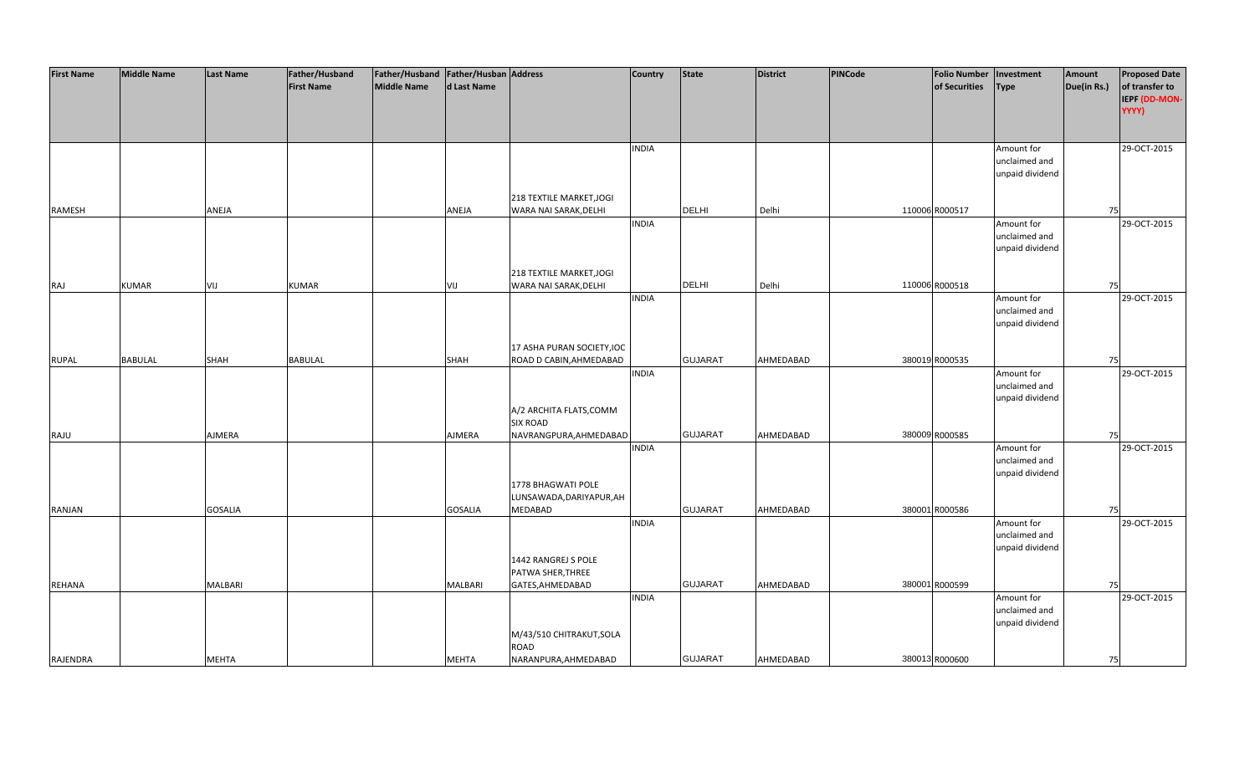| <b>First Name</b> | <b>Middle Name</b> | <b>Last Name</b> | Father/Husband    | Father/Husband   Father/Husban   Address |                |                            | <b>Country</b> | <b>State</b>   | <b>District</b> | <b>PINCode</b> | Folio Number   Investment |                 | Amount      | <b>Proposed Date</b> |
|-------------------|--------------------|------------------|-------------------|------------------------------------------|----------------|----------------------------|----------------|----------------|-----------------|----------------|---------------------------|-----------------|-------------|----------------------|
|                   |                    |                  | <b>First Name</b> | Middle Name                              | d Last Name    |                            |                |                |                 |                | of Securities             | <b>Type</b>     | Due(in Rs.) | of transfer to       |
|                   |                    |                  |                   |                                          |                |                            |                |                |                 |                |                           |                 |             | IEPF (DD-MON-        |
|                   |                    |                  |                   |                                          |                |                            |                |                |                 |                |                           |                 |             | YYYY)                |
|                   |                    |                  |                   |                                          |                |                            |                |                |                 |                |                           |                 |             |                      |
|                   |                    |                  |                   |                                          |                |                            | <b>INDIA</b>   |                |                 |                |                           | Amount for      |             | 29-OCT-2015          |
|                   |                    |                  |                   |                                          |                |                            |                |                |                 |                |                           | unclaimed and   |             |                      |
|                   |                    |                  |                   |                                          |                |                            |                |                |                 |                |                           | unpaid dividend |             |                      |
|                   |                    |                  |                   |                                          |                |                            |                |                |                 |                |                           |                 |             |                      |
|                   |                    |                  |                   |                                          |                | 218 TEXTILE MARKET, JOGI   |                |                |                 |                |                           |                 |             |                      |
| RAMESH            |                    | ANEJA            |                   |                                          | ANEJA          | WARA NAI SARAK, DELHI      |                | <b>DELHI</b>   | Delhi           |                | 110006 R000517            |                 | 75          |                      |
|                   |                    |                  |                   |                                          |                |                            | <b>INDIA</b>   |                |                 |                |                           | Amount for      |             | 29-OCT-2015          |
|                   |                    |                  |                   |                                          |                |                            |                |                |                 |                |                           | unclaimed and   |             |                      |
|                   |                    |                  |                   |                                          |                |                            |                |                |                 |                |                           | unpaid dividend |             |                      |
|                   |                    |                  |                   |                                          |                | 218 TEXTILE MARKET, JOGI   |                |                |                 |                |                           |                 |             |                      |
| RAJ               | <b>KUMAR</b>       | VIJ              | <b>KUMAR</b>      |                                          | VIJ            | WARA NAI SARAK, DELHI      |                | <b>DELHI</b>   | Delhi           |                | 110006 R000518            |                 | 75          |                      |
|                   |                    |                  |                   |                                          |                |                            | <b>INDIA</b>   |                |                 |                |                           | Amount for      |             | 29-OCT-2015          |
|                   |                    |                  |                   |                                          |                |                            |                |                |                 |                |                           | unclaimed and   |             |                      |
|                   |                    |                  |                   |                                          |                |                            |                |                |                 |                |                           | unpaid dividend |             |                      |
|                   |                    |                  |                   |                                          |                |                            |                |                |                 |                |                           |                 |             |                      |
|                   |                    |                  |                   |                                          |                | 17 ASHA PURAN SOCIETY, IOC |                |                |                 |                |                           |                 |             |                      |
| <b>RUPAL</b>      | <b>BABULAL</b>     | SHAH             | <b>BABULAL</b>    |                                          | SHAH           | ROAD D CABIN, AHMEDABAD    |                | <b>GUJARAT</b> | AHMEDABAD       |                | 380019 R000535            |                 | 75          |                      |
|                   |                    |                  |                   |                                          |                |                            | <b>INDIA</b>   |                |                 |                |                           | Amount for      |             | 29-OCT-2015          |
|                   |                    |                  |                   |                                          |                |                            |                |                |                 |                |                           | unclaimed and   |             |                      |
|                   |                    |                  |                   |                                          |                |                            |                |                |                 |                |                           | unpaid dividend |             |                      |
|                   |                    |                  |                   |                                          |                | A/2 ARCHITA FLATS, COMM    |                |                |                 |                |                           |                 |             |                      |
|                   |                    | AJMERA           |                   |                                          | AJMERA         | <b>SIX ROAD</b>            |                | <b>GUJARAT</b> | AHMEDABAD       |                | 380009 R000585            |                 | 75          |                      |
| RAJU              |                    |                  |                   |                                          |                | NAVRANGPURA, AHMEDABAD     | <b>INDIA</b>   |                |                 |                |                           | Amount for      |             | 29-OCT-2015          |
|                   |                    |                  |                   |                                          |                |                            |                |                |                 |                |                           | unclaimed and   |             |                      |
|                   |                    |                  |                   |                                          |                |                            |                |                |                 |                |                           | unpaid dividend |             |                      |
|                   |                    |                  |                   |                                          |                | 1778 BHAGWATI POLE         |                |                |                 |                |                           |                 |             |                      |
|                   |                    |                  |                   |                                          |                | LUNSAWADA, DARIYAPUR, AH   |                |                |                 |                |                           |                 |             |                      |
| <b>RANJAN</b>     |                    | <b>GOSALIA</b>   |                   |                                          | <b>GOSALIA</b> | MEDABAD                    |                | <b>GUJARAT</b> | AHMEDABAD       |                | 380001 R000586            |                 | 75          |                      |
|                   |                    |                  |                   |                                          |                |                            | <b>INDIA</b>   |                |                 |                |                           | Amount for      |             | 29-OCT-2015          |
|                   |                    |                  |                   |                                          |                |                            |                |                |                 |                |                           | unclaimed and   |             |                      |
|                   |                    |                  |                   |                                          |                |                            |                |                |                 |                |                           | unpaid dividend |             |                      |
|                   |                    |                  |                   |                                          |                | 1442 RANGREJ S POLE        |                |                |                 |                |                           |                 |             |                      |
|                   |                    | MALBARI          |                   |                                          | MALBARI        | PATWA SHER, THREE          |                | <b>GUJARAT</b> | AHMEDABAD       |                | 380001 R000599            |                 |             |                      |
| <b>REHANA</b>     |                    |                  |                   |                                          |                | GATES, AHMEDABAD           | <b>INDIA</b>   |                |                 |                |                           | Amount for      | 75          | 29-OCT-2015          |
|                   |                    |                  |                   |                                          |                |                            |                |                |                 |                |                           | unclaimed and   |             |                      |
|                   |                    |                  |                   |                                          |                |                            |                |                |                 |                |                           | unpaid dividend |             |                      |
|                   |                    |                  |                   |                                          |                | M/43/510 CHITRAKUT, SOLA   |                |                |                 |                |                           |                 |             |                      |
|                   |                    |                  |                   |                                          |                | ROAD                       |                |                |                 |                |                           |                 |             |                      |
| RAJENDRA          |                    | <b>MEHTA</b>     |                   |                                          | MEHTA          | NARANPURA, AHMEDABAD       |                | <b>GUJARAT</b> | AHMEDABAD       |                | 380013 R000600            |                 | 75          |                      |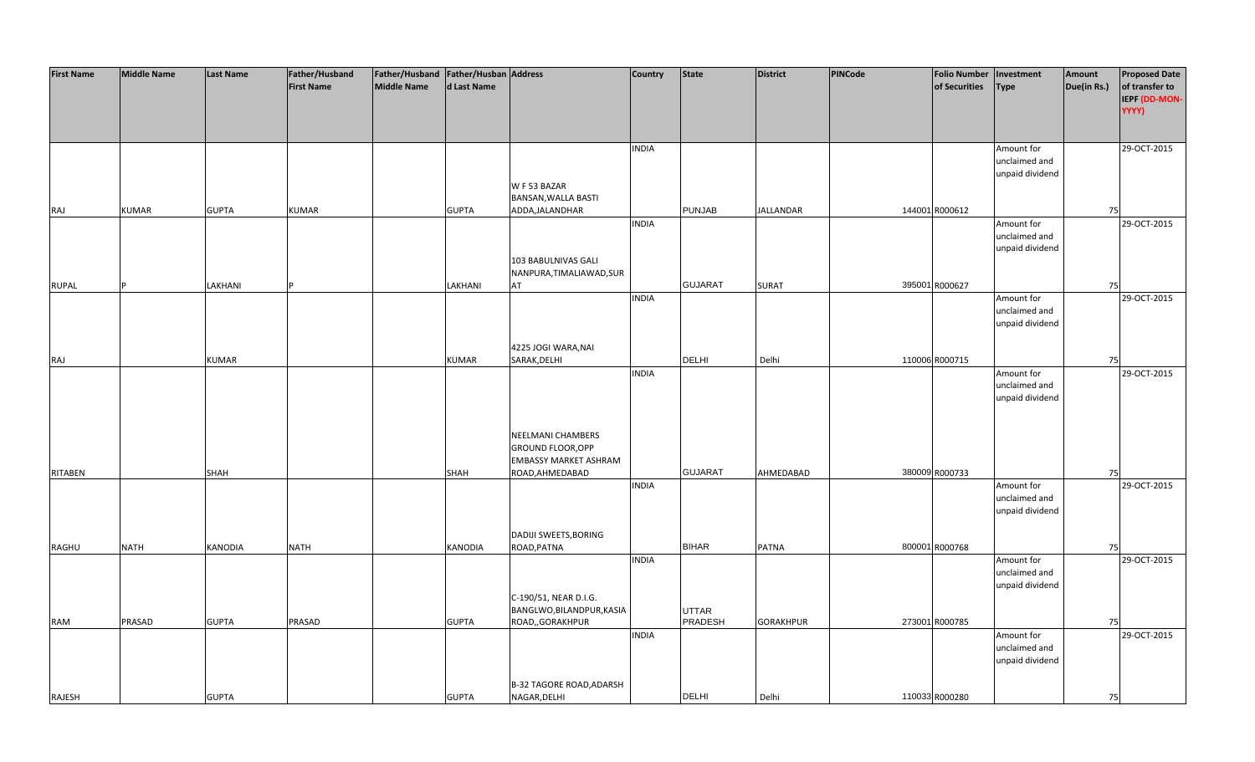| <b>First Name</b> | <b>Middle Name</b> | <b>Last Name</b> | Father/Husband    | Father/Husband   Father/Husban   Address |                |                                 | <b>Country</b> | <b>State</b>   | <b>District</b>  | <b>PINCode</b> | <b>Folio Number</b> | Investment                       | Amount      | <b>Proposed Date</b> |
|-------------------|--------------------|------------------|-------------------|------------------------------------------|----------------|---------------------------------|----------------|----------------|------------------|----------------|---------------------|----------------------------------|-------------|----------------------|
|                   |                    |                  | <b>First Name</b> | <b>Middle Name</b>                       | d Last Name    |                                 |                |                |                  |                | of Securities       | <b>Type</b>                      | Due(in Rs.) | of transfer to       |
|                   |                    |                  |                   |                                          |                |                                 |                |                |                  |                |                     |                                  |             | IEPF (DD-MON-        |
|                   |                    |                  |                   |                                          |                |                                 |                |                |                  |                |                     |                                  |             | YYYY)                |
|                   |                    |                  |                   |                                          |                |                                 |                |                |                  |                |                     |                                  |             |                      |
|                   |                    |                  |                   |                                          |                |                                 | <b>INDIA</b>   |                |                  |                |                     | Amount for                       |             | 29-OCT-2015          |
|                   |                    |                  |                   |                                          |                |                                 |                |                |                  |                |                     | unclaimed and                    |             |                      |
|                   |                    |                  |                   |                                          |                |                                 |                |                |                  |                |                     | unpaid dividend                  |             |                      |
|                   |                    |                  |                   |                                          |                | W F 53 BAZAR                    |                |                |                  |                |                     |                                  |             |                      |
|                   |                    |                  |                   |                                          |                | BANSAN, WALLA BASTI             |                |                |                  |                |                     |                                  |             |                      |
| RAJ               | <b>KUMAR</b>       | <b>GUPTA</b>     | <b>KUMAR</b>      |                                          | <b>GUPTA</b>   | ADDA, JALANDHAR                 |                | <b>PUNJAB</b>  | <b>JALLANDAR</b> |                | 144001 R000612      |                                  | 75          |                      |
|                   |                    |                  |                   |                                          |                |                                 | <b>INDIA</b>   |                |                  |                |                     | Amount for                       |             | 29-OCT-2015          |
|                   |                    |                  |                   |                                          |                |                                 |                |                |                  |                |                     | unclaimed and                    |             |                      |
|                   |                    |                  |                   |                                          |                |                                 |                |                |                  |                |                     | unpaid dividend                  |             |                      |
|                   |                    |                  |                   |                                          |                | 103 BABULNIVAS GALI             |                |                |                  |                |                     |                                  |             |                      |
|                   |                    | LAKHANI          |                   |                                          | LAKHANI        | NANPURA, TIMALIAWAD, SUR<br>AT  |                | <b>GUJARAT</b> | <b>SURAT</b>     |                | 395001 R000627      |                                  |             |                      |
| <b>RUPAL</b>      |                    |                  |                   |                                          |                |                                 | <b>INDIA</b>   |                |                  |                |                     | Amount for                       | 75          | 29-OCT-2015          |
|                   |                    |                  |                   |                                          |                |                                 |                |                |                  |                |                     | unclaimed and                    |             |                      |
|                   |                    |                  |                   |                                          |                |                                 |                |                |                  |                |                     | unpaid dividend                  |             |                      |
|                   |                    |                  |                   |                                          |                |                                 |                |                |                  |                |                     |                                  |             |                      |
|                   |                    |                  |                   |                                          |                | 4225 JOGI WARA, NAI             |                |                |                  |                |                     |                                  |             |                      |
| RAJ               |                    | <b>KUMAR</b>     |                   |                                          | <b>KUMAR</b>   | SARAK, DELHI                    |                | <b>DELHI</b>   | Delhi            |                | 110006 R000715      |                                  | 75          |                      |
|                   |                    |                  |                   |                                          |                |                                 | <b>INDIA</b>   |                |                  |                |                     | Amount for                       |             | 29-OCT-2015          |
|                   |                    |                  |                   |                                          |                |                                 |                |                |                  |                |                     | unclaimed and                    |             |                      |
|                   |                    |                  |                   |                                          |                |                                 |                |                |                  |                |                     | unpaid dividend                  |             |                      |
|                   |                    |                  |                   |                                          |                |                                 |                |                |                  |                |                     |                                  |             |                      |
|                   |                    |                  |                   |                                          |                |                                 |                |                |                  |                |                     |                                  |             |                      |
|                   |                    |                  |                   |                                          |                | NEELMANI CHAMBERS               |                |                |                  |                |                     |                                  |             |                      |
|                   |                    |                  |                   |                                          |                | GROUND FLOOR, OPP               |                |                |                  |                |                     |                                  |             |                      |
|                   |                    |                  |                   |                                          |                | <b>EMBASSY MARKET ASHRAM</b>    |                | <b>GUJARAT</b> |                  |                |                     |                                  |             |                      |
| <b>RITABEN</b>    |                    | SHAH             |                   |                                          | <b>SHAH</b>    | ROAD, AHMEDABAD                 | <b>INDIA</b>   |                | AHMEDABAD        |                | 380009 R000733      | Amount for                       | 75          | 29-OCT-2015          |
|                   |                    |                  |                   |                                          |                |                                 |                |                |                  |                |                     | unclaimed and                    |             |                      |
|                   |                    |                  |                   |                                          |                |                                 |                |                |                  |                |                     | unpaid dividend                  |             |                      |
|                   |                    |                  |                   |                                          |                |                                 |                |                |                  |                |                     |                                  |             |                      |
|                   |                    |                  |                   |                                          |                | DADIJI SWEETS, BORING           |                |                |                  |                |                     |                                  |             |                      |
| RAGHU             | <b>NATH</b>        | <b>KANODIA</b>   | <b>NATH</b>       |                                          | <b>KANODIA</b> | ROAD, PATNA                     |                | <b>BIHAR</b>   | PATNA            |                | 800001 R000768      |                                  | 75          |                      |
|                   |                    |                  |                   |                                          |                |                                 | <b>INDIA</b>   |                |                  |                |                     | Amount for                       |             | 29-OCT-2015          |
|                   |                    |                  |                   |                                          |                |                                 |                |                |                  |                |                     | unclaimed and                    |             |                      |
|                   |                    |                  |                   |                                          |                |                                 |                |                |                  |                |                     | unpaid dividend                  |             |                      |
|                   |                    |                  |                   |                                          |                | C-190/51, NEAR D.I.G.           |                |                |                  |                |                     |                                  |             |                      |
|                   |                    |                  |                   |                                          |                | BANGLWO, BILANDPUR, KASIA       |                | <b>UTTAR</b>   |                  |                |                     |                                  |             |                      |
| <b>RAM</b>        | PRASAD             | <b>GUPTA</b>     | PRASAD            |                                          | <b>GUPTA</b>   | ROAD,, GORAKHPUR                |                | PRADESH        | <b>GORAKHPUR</b> |                | 273001 R000785      |                                  | 75          |                      |
|                   |                    |                  |                   |                                          |                |                                 | <b>INDIA</b>   |                |                  |                |                     | Amount for                       |             | 29-OCT-2015          |
|                   |                    |                  |                   |                                          |                |                                 |                |                |                  |                |                     | unclaimed and<br>unpaid dividend |             |                      |
|                   |                    |                  |                   |                                          |                |                                 |                |                |                  |                |                     |                                  |             |                      |
|                   |                    |                  |                   |                                          |                | <b>B-32 TAGORE ROAD, ADARSH</b> |                |                |                  |                |                     |                                  |             |                      |
| RAJESH            |                    | <b>GUPTA</b>     |                   |                                          | <b>GUPTA</b>   | NAGAR, DELHI                    |                | <b>DELHI</b>   | Delhi            |                | 110033 R000280      |                                  | 75          |                      |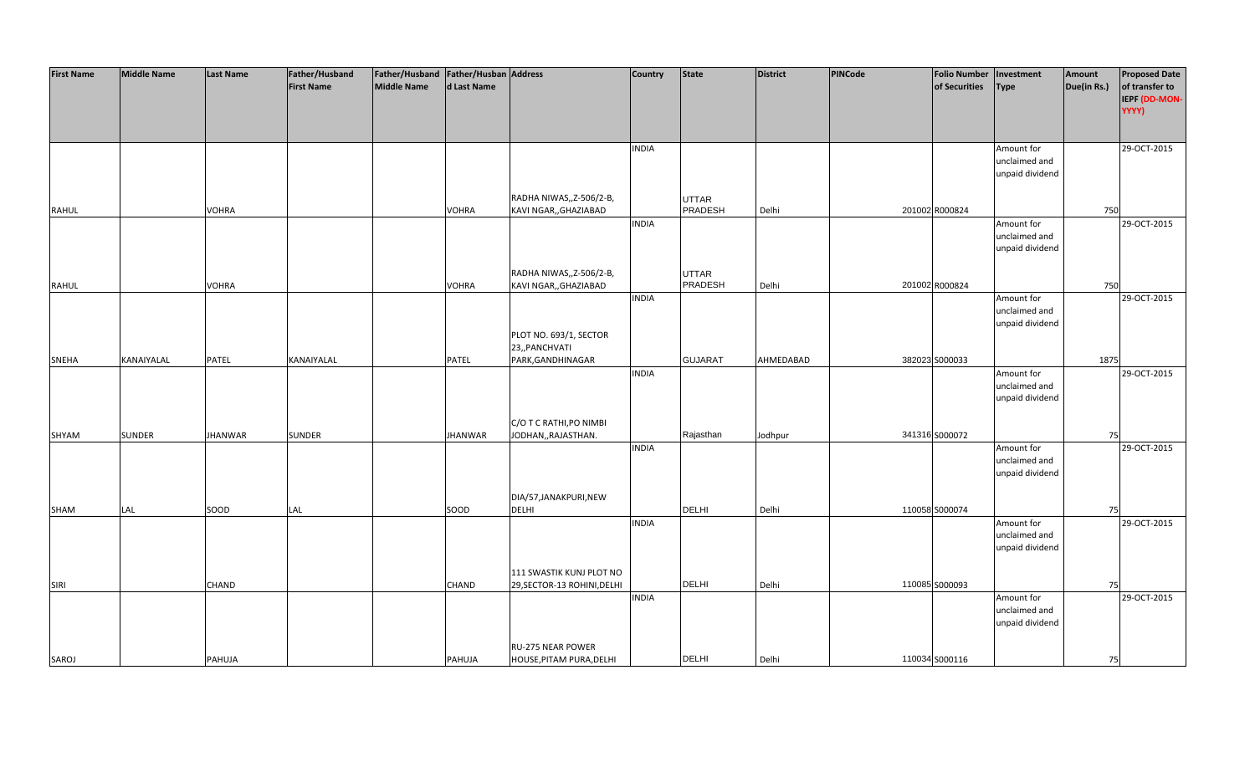| <b>First Name</b> | <b>Middle Name</b> | Last Name      | Father/Husband    | Father/Husband   Father/Husban   Address |                |                             | <b>Country</b> | <b>State</b>                   | District  | PINCode | <b>Folio Number</b> | Investment                  | Amount      | <b>Proposed Date</b> |
|-------------------|--------------------|----------------|-------------------|------------------------------------------|----------------|-----------------------------|----------------|--------------------------------|-----------|---------|---------------------|-----------------------------|-------------|----------------------|
|                   |                    |                | <b>First Name</b> | <b>Middle Name</b>                       | d Last Name    |                             |                |                                |           |         | of Securities       | <b>Type</b>                 | Due(in Rs.) | of transfer to       |
|                   |                    |                |                   |                                          |                |                             |                |                                |           |         |                     |                             |             | IEPF (DD-MON-        |
|                   |                    |                |                   |                                          |                |                             |                |                                |           |         |                     |                             |             | YYYY)                |
|                   |                    |                |                   |                                          |                |                             |                |                                |           |         |                     |                             |             |                      |
|                   |                    |                |                   |                                          |                |                             |                |                                |           |         |                     |                             |             |                      |
|                   |                    |                |                   |                                          |                |                             | <b>INDIA</b>   |                                |           |         |                     | Amount for                  |             | 29-OCT-2015          |
|                   |                    |                |                   |                                          |                |                             |                |                                |           |         |                     | unclaimed and               |             |                      |
|                   |                    |                |                   |                                          |                |                             |                |                                |           |         |                     | unpaid dividend             |             |                      |
|                   |                    |                |                   |                                          |                |                             |                |                                |           |         |                     |                             |             |                      |
|                   |                    |                |                   |                                          |                | RADHA NIWAS,, Z-506/2-B,    |                | <b>UTTAR</b><br><b>PRADESH</b> |           |         |                     |                             |             |                      |
| <b>RAHUL</b>      |                    | VOHRA          |                   |                                          | VOHRA          | KAVI NGAR,, GHAZIABAD       |                |                                | Delhi     |         | 201002 R000824      |                             | 750         |                      |
|                   |                    |                |                   |                                          |                |                             | <b>INDIA</b>   |                                |           |         |                     | Amount for                  |             | 29-OCT-2015          |
|                   |                    |                |                   |                                          |                |                             |                |                                |           |         |                     | unclaimed and               |             |                      |
|                   |                    |                |                   |                                          |                |                             |                |                                |           |         |                     | unpaid dividend             |             |                      |
|                   |                    |                |                   |                                          |                | RADHA NIWAS,, Z-506/2-B,    |                | <b>UTTAR</b>                   |           |         |                     |                             |             |                      |
| RAHUL             |                    | <b>VOHRA</b>   |                   |                                          | VOHRA          | KAVI NGAR,, GHAZIABAD       |                | PRADESH                        | Delhi     |         | 201002 R000824      |                             | 750         |                      |
|                   |                    |                |                   |                                          |                |                             | <b>INDIA</b>   |                                |           |         |                     | Amount for                  |             | 29-OCT-2015          |
|                   |                    |                |                   |                                          |                |                             |                |                                |           |         |                     | unclaimed and               |             |                      |
|                   |                    |                |                   |                                          |                |                             |                |                                |           |         |                     | unpaid dividend             |             |                      |
|                   |                    |                |                   |                                          |                | PLOT NO. 693/1, SECTOR      |                |                                |           |         |                     |                             |             |                      |
|                   |                    |                |                   |                                          |                | 23,, PANCHVATI              |                |                                |           |         |                     |                             |             |                      |
| SNEHA             | KANAIYALAL         | PATEL          | KANAIYALAL        |                                          | PATEL          | PARK, GANDHINAGAR           |                | <b>GUJARAT</b>                 | AHMEDABAD |         | 382023 S000033      |                             | 1875        |                      |
|                   |                    |                |                   |                                          |                |                             | <b>INDIA</b>   |                                |           |         |                     | Amount for                  |             | 29-OCT-2015          |
|                   |                    |                |                   |                                          |                |                             |                |                                |           |         |                     | unclaimed and               |             |                      |
|                   |                    |                |                   |                                          |                |                             |                |                                |           |         |                     | unpaid dividend             |             |                      |
|                   |                    |                |                   |                                          |                |                             |                |                                |           |         |                     |                             |             |                      |
|                   |                    |                |                   |                                          |                | C/O T C RATHI, PO NIMBI     |                |                                |           |         |                     |                             |             |                      |
| SHYAM             | <b>SUNDER</b>      | <b>JHANWAR</b> | <b>SUNDER</b>     |                                          | <b>JHANWAR</b> | JODHAN,, RAJASTHAN.         |                | Rajasthan                      | Jodhpur   |         | 341316 S000072      |                             | 75          |                      |
|                   |                    |                |                   |                                          |                |                             | <b>INDIA</b>   |                                |           |         |                     | Amount for                  |             | 29-OCT-2015          |
|                   |                    |                |                   |                                          |                |                             |                |                                |           |         |                     | unclaimed and               |             |                      |
|                   |                    |                |                   |                                          |                |                             |                |                                |           |         |                     | unpaid dividend             |             |                      |
|                   |                    |                |                   |                                          |                |                             |                |                                |           |         |                     |                             |             |                      |
|                   |                    |                |                   |                                          |                | DIA/57, JANAKPURI, NEW      |                |                                |           |         |                     |                             |             |                      |
| SHAM              | LAL                | SOOD           | LAL               |                                          | SOOD           | <b>DELHI</b>                |                | <b>DELHI</b>                   | Delhi     |         | 110058 S000074      |                             | 75          |                      |
|                   |                    |                |                   |                                          |                |                             | <b>INDIA</b>   |                                |           |         |                     | Amount for<br>unclaimed and |             | 29-OCT-2015          |
|                   |                    |                |                   |                                          |                |                             |                |                                |           |         |                     | unpaid dividend             |             |                      |
|                   |                    |                |                   |                                          |                |                             |                |                                |           |         |                     |                             |             |                      |
|                   |                    |                |                   |                                          |                | 111 SWASTIK KUNJ PLOT NO    |                |                                |           |         |                     |                             |             |                      |
| <b>SIRI</b>       |                    | CHAND          |                   |                                          | CHAND          | 29, SECTOR-13 ROHINI, DELHI |                | <b>DELHI</b>                   | Delhi     |         | 110085 S000093      |                             | 75          |                      |
|                   |                    |                |                   |                                          |                |                             | <b>INDIA</b>   |                                |           |         |                     | Amount for                  |             | 29-OCT-2015          |
|                   |                    |                |                   |                                          |                |                             |                |                                |           |         |                     | unclaimed and               |             |                      |
|                   |                    |                |                   |                                          |                |                             |                |                                |           |         |                     | unpaid dividend             |             |                      |
|                   |                    |                |                   |                                          |                |                             |                |                                |           |         |                     |                             |             |                      |
|                   |                    |                |                   |                                          |                | RU-275 NEAR POWER           |                |                                |           |         |                     |                             |             |                      |
| SAROJ             |                    | PAHUJA         |                   |                                          | PAHUJA         | HOUSE, PITAM PURA, DELHI    |                | <b>DELHI</b>                   | Delhi     |         | 110034 S000116      |                             | 75          |                      |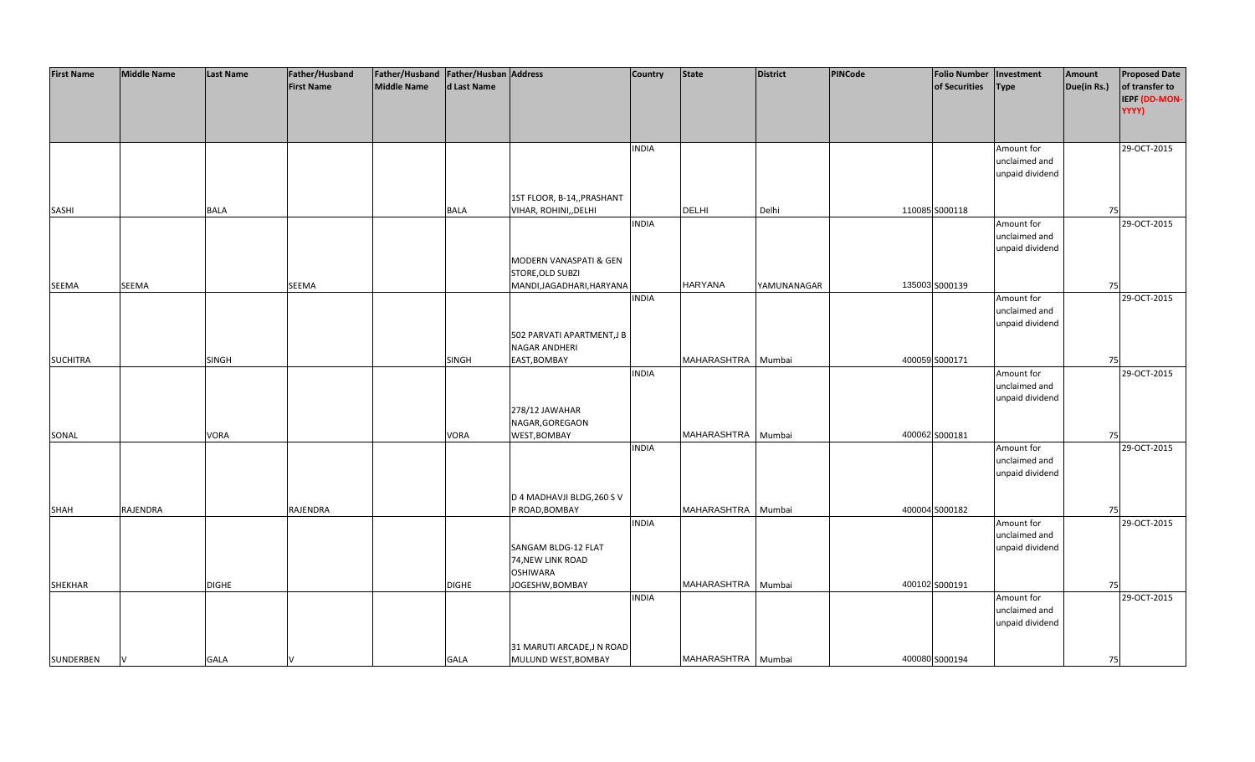| <b>First Name</b> | <b>Middle Name</b> | <b>Last Name</b> | Father/Husband    | Father/Husband   Father/Husban   Address |              |                                            | <b>Country</b> | <b>State</b>       | <b>District</b> | <b>PINCode</b> | Folio Number   Investment |                 | Amount      | <b>Proposed Date</b> |
|-------------------|--------------------|------------------|-------------------|------------------------------------------|--------------|--------------------------------------------|----------------|--------------------|-----------------|----------------|---------------------------|-----------------|-------------|----------------------|
|                   |                    |                  | <b>First Name</b> | Middle Name                              | d Last Name  |                                            |                |                    |                 |                | of Securities             | <b>Type</b>     | Due(in Rs.) | of transfer to       |
|                   |                    |                  |                   |                                          |              |                                            |                |                    |                 |                |                           |                 |             | IEPF (DD-MON-        |
|                   |                    |                  |                   |                                          |              |                                            |                |                    |                 |                |                           |                 |             | YYYY)                |
|                   |                    |                  |                   |                                          |              |                                            |                |                    |                 |                |                           |                 |             |                      |
|                   |                    |                  |                   |                                          |              |                                            | <b>INDIA</b>   |                    |                 |                |                           | Amount for      |             | 29-OCT-2015          |
|                   |                    |                  |                   |                                          |              |                                            |                |                    |                 |                |                           | unclaimed and   |             |                      |
|                   |                    |                  |                   |                                          |              |                                            |                |                    |                 |                |                           | unpaid dividend |             |                      |
|                   |                    |                  |                   |                                          |              |                                            |                |                    |                 |                |                           |                 |             |                      |
|                   |                    |                  |                   |                                          |              | 1ST FLOOR, B-14,, PRASHANT                 |                |                    |                 |                |                           |                 |             |                      |
| SASHI             |                    | <b>BALA</b>      |                   |                                          | BALA         | VIHAR, ROHINI,, DELHI                      |                | <b>DELHI</b>       | Delhi           |                | 110085 S000118            |                 | 75          |                      |
|                   |                    |                  |                   |                                          |              |                                            | <b>INDIA</b>   |                    |                 |                |                           | Amount for      |             | 29-OCT-2015          |
|                   |                    |                  |                   |                                          |              |                                            |                |                    |                 |                |                           | unclaimed and   |             |                      |
|                   |                    |                  |                   |                                          |              |                                            |                |                    |                 |                |                           | unpaid dividend |             |                      |
|                   |                    |                  |                   |                                          |              | MODERN VANASPATI & GEN                     |                |                    |                 |                |                           |                 |             |                      |
|                   |                    |                  |                   |                                          |              | STORE, OLD SUBZI                           |                |                    |                 |                |                           |                 |             |                      |
| SEEMA             | SEEMA              |                  | SEEMA             |                                          |              | MANDI, JAGADHARI, HARYANA                  |                | <b>HARYANA</b>     | YAMUNANAGAR     |                | 135003 S000139            |                 | 75          |                      |
|                   |                    |                  |                   |                                          |              |                                            | <b>INDIA</b>   |                    |                 |                |                           | Amount for      |             | 29-OCT-2015          |
|                   |                    |                  |                   |                                          |              |                                            |                |                    |                 |                |                           | unclaimed and   |             |                      |
|                   |                    |                  |                   |                                          |              |                                            |                |                    |                 |                |                           | unpaid dividend |             |                      |
|                   |                    |                  |                   |                                          |              | 502 PARVATI APARTMENT, JB<br>NAGAR ANDHERI |                |                    |                 |                |                           |                 |             |                      |
| <b>SUCHITRA</b>   |                    | <b>SINGH</b>     |                   |                                          | <b>SINGH</b> | EAST, BOMBAY                               |                | MAHARASHTRA        | Mumbai          |                | 400059 S000171            |                 | 75          |                      |
|                   |                    |                  |                   |                                          |              |                                            | <b>INDIA</b>   |                    |                 |                |                           | Amount for      |             | 29-OCT-2015          |
|                   |                    |                  |                   |                                          |              |                                            |                |                    |                 |                |                           | unclaimed and   |             |                      |
|                   |                    |                  |                   |                                          |              |                                            |                |                    |                 |                |                           | unpaid dividend |             |                      |
|                   |                    |                  |                   |                                          |              | 278/12 JAWAHAR                             |                |                    |                 |                |                           |                 |             |                      |
|                   |                    |                  |                   |                                          |              | NAGAR, GOREGAON                            |                |                    |                 |                |                           |                 |             |                      |
| SONAL             |                    | VORA             |                   |                                          | VORA         | WEST, BOMBAY                               |                | MAHARASHTRA        | Mumbai          |                | 400062 S000181            |                 | 75          |                      |
|                   |                    |                  |                   |                                          |              |                                            | <b>INDIA</b>   |                    |                 |                |                           | Amount for      |             | 29-OCT-2015          |
|                   |                    |                  |                   |                                          |              |                                            |                |                    |                 |                |                           | unclaimed and   |             |                      |
|                   |                    |                  |                   |                                          |              |                                            |                |                    |                 |                |                           | unpaid dividend |             |                      |
|                   |                    |                  |                   |                                          |              |                                            |                |                    |                 |                |                           |                 |             |                      |
|                   |                    |                  |                   |                                          |              | D 4 MADHAVJI BLDG, 260 S V                 |                |                    |                 |                |                           |                 |             |                      |
| SHAH              | RAJENDRA           |                  | RAJENDRA          |                                          |              | P ROAD, BOMBAY                             |                | MAHARASHTRA        | Mumbai          |                | 400004 S000182            |                 | 75          |                      |
|                   |                    |                  |                   |                                          |              |                                            | <b>INDIA</b>   |                    |                 |                |                           | Amount for      |             | 29-OCT-2015          |
|                   |                    |                  |                   |                                          |              |                                            |                |                    |                 |                |                           | unclaimed and   |             |                      |
|                   |                    |                  |                   |                                          |              | SANGAM BLDG-12 FLAT<br>74, NEW LINK ROAD   |                |                    |                 |                |                           | unpaid dividend |             |                      |
|                   |                    |                  |                   |                                          |              | <b>OSHIWARA</b>                            |                |                    |                 |                |                           |                 |             |                      |
| <b>SHEKHAR</b>    |                    | <b>DIGHE</b>     |                   |                                          | <b>DIGHE</b> | JOGESHW, BOMBAY                            |                | MAHARASHTRA Mumbai |                 |                | 400102 S000191            |                 | 75          |                      |
|                   |                    |                  |                   |                                          |              |                                            | <b>INDIA</b>   |                    |                 |                |                           | Amount for      |             | 29-OCT-2015          |
|                   |                    |                  |                   |                                          |              |                                            |                |                    |                 |                |                           | unclaimed and   |             |                      |
|                   |                    |                  |                   |                                          |              |                                            |                |                    |                 |                |                           | unpaid dividend |             |                      |
|                   |                    |                  |                   |                                          |              |                                            |                |                    |                 |                |                           |                 |             |                      |
|                   |                    |                  |                   |                                          |              | 31 MARUTI ARCADE, JN ROAD                  |                |                    |                 |                |                           |                 |             |                      |
| SUNDERBEN         | V                  | <b>GALA</b>      |                   |                                          | <b>GALA</b>  | MULUND WEST, BOMBAY                        |                | MAHARASHTRA Mumbai |                 |                | 400080 S000194            |                 | 75          |                      |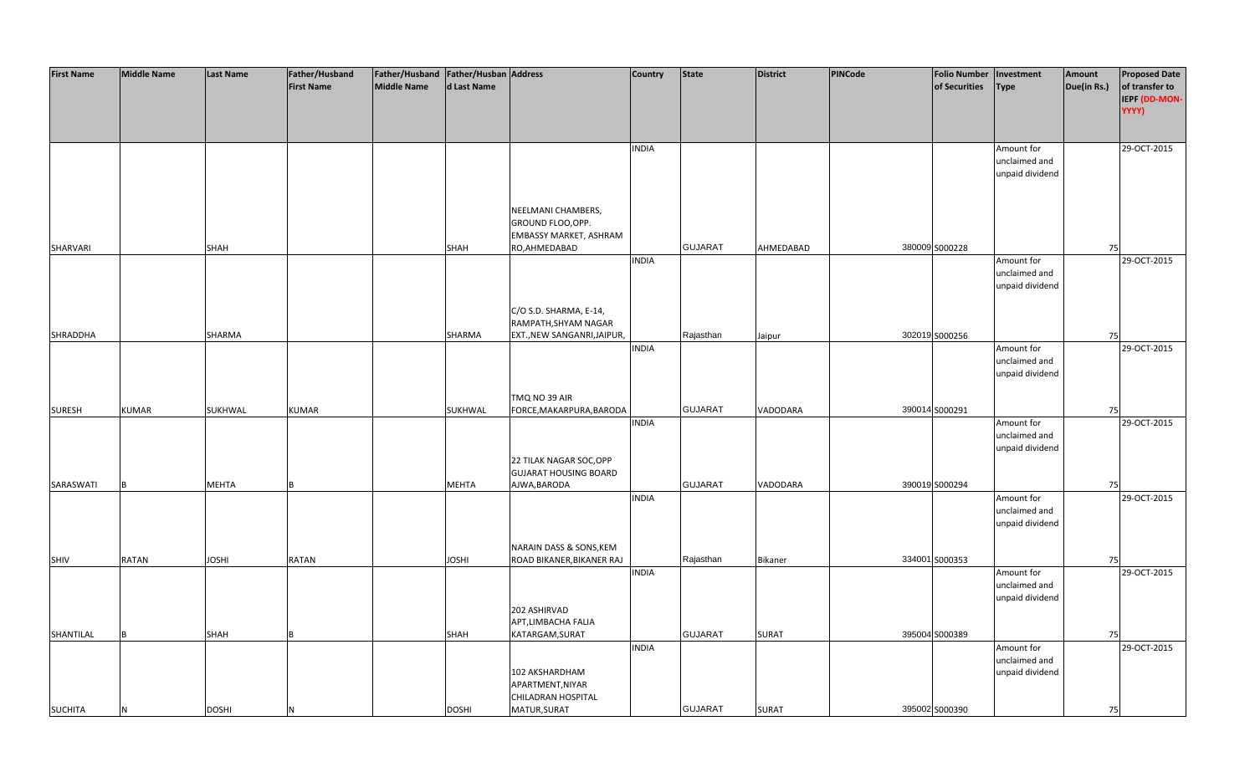| <b>First Name</b> | <b>Middle Name</b> | <b>Last Name</b> | Father/Husband    | Father/Husband   Father/Husban   Address |                |                                        | <b>Country</b> | <b>State</b>   | <b>District</b> | <b>PINCode</b> | Folio Number   Investment |                                  | Amount      | <b>Proposed Date</b>          |
|-------------------|--------------------|------------------|-------------------|------------------------------------------|----------------|----------------------------------------|----------------|----------------|-----------------|----------------|---------------------------|----------------------------------|-------------|-------------------------------|
|                   |                    |                  | <b>First Name</b> | <b>Middle Name</b>                       | d Last Name    |                                        |                |                |                 |                | of Securities             | <b>Type</b>                      | Due(in Rs.) | of transfer to                |
|                   |                    |                  |                   |                                          |                |                                        |                |                |                 |                |                           |                                  |             | <b>IEPF (DD-MON-</b><br>YYYY) |
|                   |                    |                  |                   |                                          |                |                                        |                |                |                 |                |                           |                                  |             |                               |
|                   |                    |                  |                   |                                          |                |                                        |                |                |                 |                |                           |                                  |             |                               |
|                   |                    |                  |                   |                                          |                |                                        | <b>INDIA</b>   |                |                 |                |                           | Amount for                       |             | 29-OCT-2015                   |
|                   |                    |                  |                   |                                          |                |                                        |                |                |                 |                |                           | unclaimed and                    |             |                               |
|                   |                    |                  |                   |                                          |                |                                        |                |                |                 |                |                           | unpaid dividend                  |             |                               |
|                   |                    |                  |                   |                                          |                |                                        |                |                |                 |                |                           |                                  |             |                               |
|                   |                    |                  |                   |                                          |                | NEELMANI CHAMBERS,                     |                |                |                 |                |                           |                                  |             |                               |
|                   |                    |                  |                   |                                          |                | GROUND FLOO, OPP.                      |                |                |                 |                |                           |                                  |             |                               |
|                   |                    |                  |                   |                                          |                | EMBASSY MARKET, ASHRAM                 |                |                |                 |                |                           |                                  |             |                               |
| SHARVARI          |                    | <b>SHAH</b>      |                   |                                          | <b>SHAH</b>    | RO, AHMEDABAD                          |                | <b>GUJARAT</b> | AHMEDABAD       |                | 380009 S000228            |                                  | <b>75</b>   |                               |
|                   |                    |                  |                   |                                          |                |                                        | <b>INDIA</b>   |                |                 |                |                           | Amount for<br>unclaimed and      |             | 29-OCT-2015                   |
|                   |                    |                  |                   |                                          |                |                                        |                |                |                 |                |                           | unpaid dividend                  |             |                               |
|                   |                    |                  |                   |                                          |                |                                        |                |                |                 |                |                           |                                  |             |                               |
|                   |                    |                  |                   |                                          |                | C/O S.D. SHARMA, E-14,                 |                |                |                 |                |                           |                                  |             |                               |
|                   |                    |                  |                   |                                          |                | RAMPATH, SHYAM NAGAR                   |                |                |                 |                |                           |                                  |             |                               |
| SHRADDHA          |                    | SHARMA           |                   |                                          | SHARMA         | EXT., NEW SANGANRI, JAIPUR,            |                | Rajasthan      | Jaipur          |                | 302019 S000256            |                                  | <b>75</b>   |                               |
|                   |                    |                  |                   |                                          |                |                                        | <b>INDIA</b>   |                |                 |                |                           | Amount for                       |             | 29-OCT-2015                   |
|                   |                    |                  |                   |                                          |                |                                        |                |                |                 |                |                           | unclaimed and<br>unpaid dividend |             |                               |
|                   |                    |                  |                   |                                          |                |                                        |                |                |                 |                |                           |                                  |             |                               |
|                   |                    |                  |                   |                                          |                | TMQ NO 39 AIR                          |                |                |                 |                |                           |                                  |             |                               |
| <b>SURESH</b>     | <b>KUMAR</b>       | SUKHWAL          | KUMAR             |                                          | <b>SUKHWAL</b> | FORCE, MAKARPURA, BARODA               |                | <b>GUJARAT</b> | VADODARA        |                | 390014 S000291            |                                  | 75          |                               |
|                   |                    |                  |                   |                                          |                |                                        | <b>INDIA</b>   |                |                 |                |                           | Amount for                       |             | 29-OCT-2015                   |
|                   |                    |                  |                   |                                          |                |                                        |                |                |                 |                |                           | unclaimed and                    |             |                               |
|                   |                    |                  |                   |                                          |                | 22 TILAK NAGAR SOC, OPP                |                |                |                 |                |                           | unpaid dividend                  |             |                               |
|                   |                    |                  |                   |                                          |                | <b>GUJARAT HOUSING BOARD</b>           |                |                |                 |                |                           |                                  |             |                               |
| SARASWATI         |                    | <b>MEHTA</b>     |                   |                                          | <b>MEHTA</b>   | AJWA, BARODA                           |                | <b>GUJARAT</b> | VADODARA        |                | 390019 S000294            |                                  | 75          |                               |
|                   |                    |                  |                   |                                          |                |                                        | <b>INDIA</b>   |                |                 |                |                           | Amount for                       |             | 29-OCT-2015                   |
|                   |                    |                  |                   |                                          |                |                                        |                |                |                 |                |                           | unclaimed and                    |             |                               |
|                   |                    |                  |                   |                                          |                |                                        |                |                |                 |                |                           | unpaid dividend                  |             |                               |
|                   |                    |                  |                   |                                          |                | NARAIN DASS & SONS, KEM                |                |                |                 |                |                           |                                  |             |                               |
| SHIV              | <b>RATAN</b>       | <b>JOSHI</b>     | RATAN             |                                          | <b>JOSHI</b>   | ROAD BIKANER, BIKANER RAJ              |                | Rajasthan      | Bikaner         |                | 334001 S000353            |                                  | 75          |                               |
|                   |                    |                  |                   |                                          |                |                                        | <b>INDIA</b>   |                |                 |                |                           | Amount for                       |             | 29-OCT-2015                   |
|                   |                    |                  |                   |                                          |                |                                        |                |                |                 |                |                           | unclaimed and                    |             |                               |
|                   |                    |                  |                   |                                          |                |                                        |                |                |                 |                |                           | unpaid dividend                  |             |                               |
|                   |                    |                  |                   |                                          |                | 202 ASHIRVAD                           |                |                |                 |                |                           |                                  |             |                               |
| SHANTILAL         |                    | SHAH             |                   |                                          | <b>SHAH</b>    | APT, LIMBACHA FALIA<br>KATARGAM, SURAT |                | <b>GUJARAT</b> | <b>SURAT</b>    |                | 395004 S000389            |                                  | 75          |                               |
|                   |                    |                  |                   |                                          |                |                                        | <b>INDIA</b>   |                |                 |                |                           | Amount for                       |             | 29-OCT-2015                   |
|                   |                    |                  |                   |                                          |                |                                        |                |                |                 |                |                           | unclaimed and                    |             |                               |
|                   |                    |                  |                   |                                          |                | 102 AKSHARDHAM                         |                |                |                 |                |                           | unpaid dividend                  |             |                               |
|                   |                    |                  |                   |                                          |                | APARTMENT, NIYAR                       |                |                |                 |                |                           |                                  |             |                               |
|                   |                    |                  |                   |                                          |                | CHILADRAN HOSPITAL                     |                |                |                 |                |                           |                                  |             |                               |
| <b>SUCHITA</b>    |                    | <b>DOSHI</b>     |                   |                                          | <b>DOSHI</b>   | MATUR, SURAT                           |                | <b>GUJARAT</b> | <b>SURAT</b>    |                | 395002 S000390            |                                  | 75          |                               |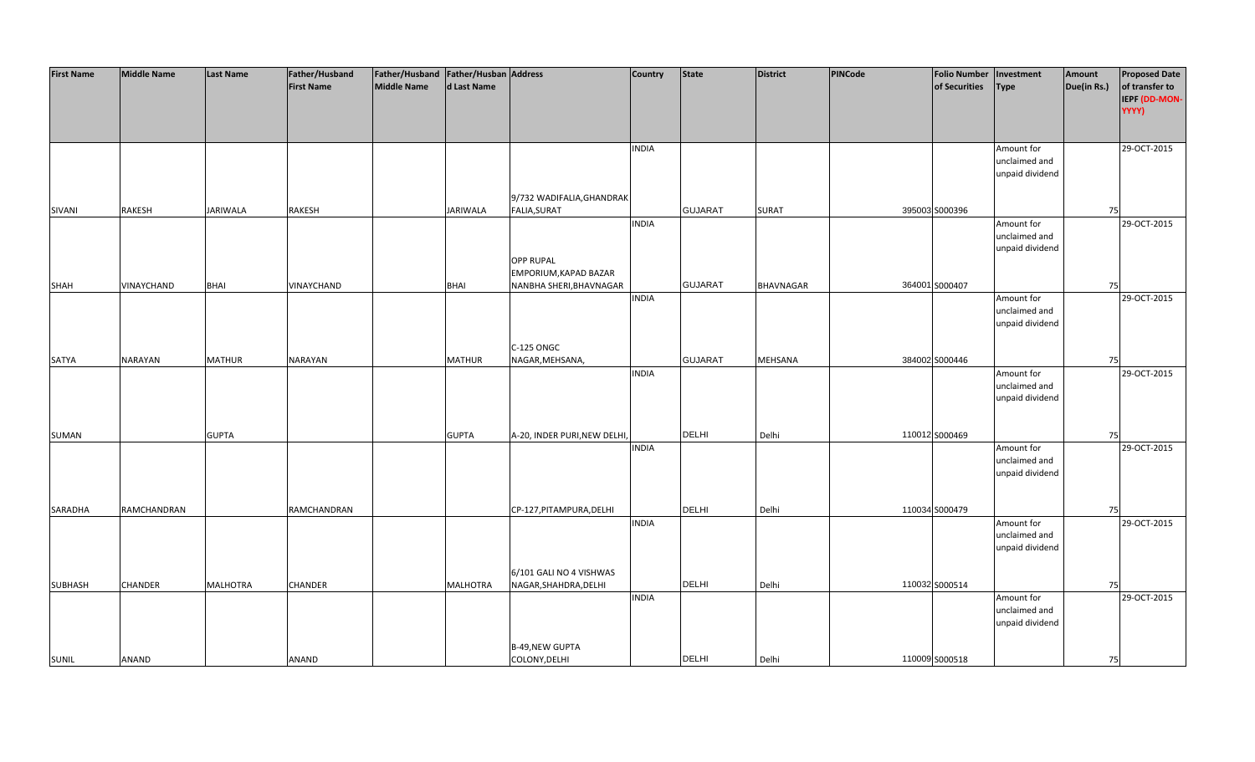| <b>First Name</b> | <b>Middle Name</b> | <b>Last Name</b> | Father/Husband    | Father/Husband   Father/Husban   Address |                 |                              | <b>Country</b> | <b>State</b>   | <b>District</b>  | PINCode | <b>Folio Number</b> | Investment                  | Amount      | <b>Proposed Date</b> |
|-------------------|--------------------|------------------|-------------------|------------------------------------------|-----------------|------------------------------|----------------|----------------|------------------|---------|---------------------|-----------------------------|-------------|----------------------|
|                   |                    |                  | <b>First Name</b> | <b>Middle Name</b>                       | d Last Name     |                              |                |                |                  |         | of Securities       | <b>Type</b>                 | Due(in Rs.) | of transfer to       |
|                   |                    |                  |                   |                                          |                 |                              |                |                |                  |         |                     |                             |             | IEPF (DD-MON-        |
|                   |                    |                  |                   |                                          |                 |                              |                |                |                  |         |                     |                             |             | YYYY)                |
|                   |                    |                  |                   |                                          |                 |                              |                |                |                  |         |                     |                             |             |                      |
|                   |                    |                  |                   |                                          |                 |                              |                |                |                  |         |                     |                             |             |                      |
|                   |                    |                  |                   |                                          |                 |                              | <b>INDIA</b>   |                |                  |         |                     | Amount for                  |             | 29-OCT-2015          |
|                   |                    |                  |                   |                                          |                 |                              |                |                |                  |         |                     | unclaimed and               |             |                      |
|                   |                    |                  |                   |                                          |                 |                              |                |                |                  |         |                     | unpaid dividend             |             |                      |
|                   |                    |                  |                   |                                          |                 |                              |                |                |                  |         |                     |                             |             |                      |
|                   |                    |                  |                   |                                          |                 | 9/732 WADIFALIA, GHANDRAK    |                |                |                  |         |                     |                             |             |                      |
| SIVANI            | <b>RAKESH</b>      | <b>JARIWALA</b>  | RAKESH            |                                          | <b>JARIWALA</b> | FALIA, SURAT                 |                | <b>GUJARAT</b> | <b>SURAT</b>     |         | 395003 S000396      |                             | 75          |                      |
|                   |                    |                  |                   |                                          |                 |                              | <b>INDIA</b>   |                |                  |         |                     | Amount for                  |             | 29-OCT-2015          |
|                   |                    |                  |                   |                                          |                 |                              |                |                |                  |         |                     | unclaimed and               |             |                      |
|                   |                    |                  |                   |                                          |                 |                              |                |                |                  |         |                     | unpaid dividend             |             |                      |
|                   |                    |                  |                   |                                          |                 | <b>OPP RUPAL</b>             |                |                |                  |         |                     |                             |             |                      |
|                   |                    |                  |                   |                                          |                 | EMPORIUM, KAPAD BAZAR        |                |                |                  |         |                     |                             |             |                      |
| SHAH              | VINAYCHAND         | <b>BHAI</b>      | VINAYCHAND        |                                          | <b>BHAI</b>     | NANBHA SHERI, BHAVNAGAR      |                | <b>GUJARAT</b> | <b>BHAVNAGAR</b> |         | 364001 S000407      |                             | 75          |                      |
|                   |                    |                  |                   |                                          |                 |                              | <b>INDIA</b>   |                |                  |         |                     | Amount for                  |             | 29-OCT-2015          |
|                   |                    |                  |                   |                                          |                 |                              |                |                |                  |         |                     | unclaimed and               |             |                      |
|                   |                    |                  |                   |                                          |                 |                              |                |                |                  |         |                     | unpaid dividend             |             |                      |
|                   |                    |                  |                   |                                          |                 | C-125 ONGC                   |                |                |                  |         |                     |                             |             |                      |
| SATYA             | NARAYAN            | <b>MATHUR</b>    | NARAYAN           |                                          | <b>MATHUR</b>   | NAGAR, MEHSANA,              |                | <b>GUJARAT</b> | <b>MEHSANA</b>   |         | 384002 S000446      |                             | 75          |                      |
|                   |                    |                  |                   |                                          |                 |                              | <b>INDIA</b>   |                |                  |         |                     | Amount for                  |             | 29-OCT-2015          |
|                   |                    |                  |                   |                                          |                 |                              |                |                |                  |         |                     | unclaimed and               |             |                      |
|                   |                    |                  |                   |                                          |                 |                              |                |                |                  |         |                     | unpaid dividend             |             |                      |
|                   |                    |                  |                   |                                          |                 |                              |                |                |                  |         |                     |                             |             |                      |
|                   |                    |                  |                   |                                          |                 |                              |                |                |                  |         |                     |                             |             |                      |
| SUMAN             |                    | <b>GUPTA</b>     |                   |                                          | <b>GUPTA</b>    | A-20, INDER PURI, NEW DELHI, |                | <b>DELHI</b>   | Delhi            |         | 110012 S000469      |                             | 75          |                      |
|                   |                    |                  |                   |                                          |                 |                              | <b>INDIA</b>   |                |                  |         |                     | Amount for                  |             | 29-OCT-2015          |
|                   |                    |                  |                   |                                          |                 |                              |                |                |                  |         |                     | unclaimed and               |             |                      |
|                   |                    |                  |                   |                                          |                 |                              |                |                |                  |         |                     | unpaid dividend             |             |                      |
|                   |                    |                  |                   |                                          |                 |                              |                |                |                  |         |                     |                             |             |                      |
|                   |                    |                  |                   |                                          |                 |                              |                |                |                  |         |                     |                             |             |                      |
| SARADHA           | RAMCHANDRAN        |                  | RAMCHANDRAN       |                                          |                 | CP-127, PITAMPURA, DELHI     |                | <b>DELHI</b>   | Delhi            |         | 110034 S000479      |                             | 75          |                      |
|                   |                    |                  |                   |                                          |                 |                              | <b>INDIA</b>   |                |                  |         |                     | Amount for                  |             | 29-OCT-2015          |
|                   |                    |                  |                   |                                          |                 |                              |                |                |                  |         |                     | unclaimed and               |             |                      |
|                   |                    |                  |                   |                                          |                 |                              |                |                |                  |         |                     | unpaid dividend             |             |                      |
|                   |                    |                  |                   |                                          |                 |                              |                |                |                  |         |                     |                             |             |                      |
|                   |                    |                  |                   |                                          |                 | 6/101 GALI NO 4 VISHWAS      |                | DELHI          |                  |         |                     |                             |             |                      |
| SUBHASH           | <b>CHANDER</b>     | <b>MALHOTRA</b>  | CHANDER           |                                          | <b>MALHOTRA</b> | NAGAR, SHAHDRA, DELHI        | <b>INDIA</b>   |                | Delhi            |         | 110032 S000514      |                             | 75          |                      |
|                   |                    |                  |                   |                                          |                 |                              |                |                |                  |         |                     | Amount for<br>unclaimed and |             | 29-OCT-2015          |
|                   |                    |                  |                   |                                          |                 |                              |                |                |                  |         |                     | unpaid dividend             |             |                      |
|                   |                    |                  |                   |                                          |                 |                              |                |                |                  |         |                     |                             |             |                      |
|                   |                    |                  |                   |                                          |                 | <b>B-49, NEW GUPTA</b>       |                |                |                  |         |                     |                             |             |                      |
| <b>SUNIL</b>      | ANAND              |                  | ANAND             |                                          |                 | COLONY, DELHI                |                | <b>DELHI</b>   | Delhi            |         | 110009 S000518      |                             | 75          |                      |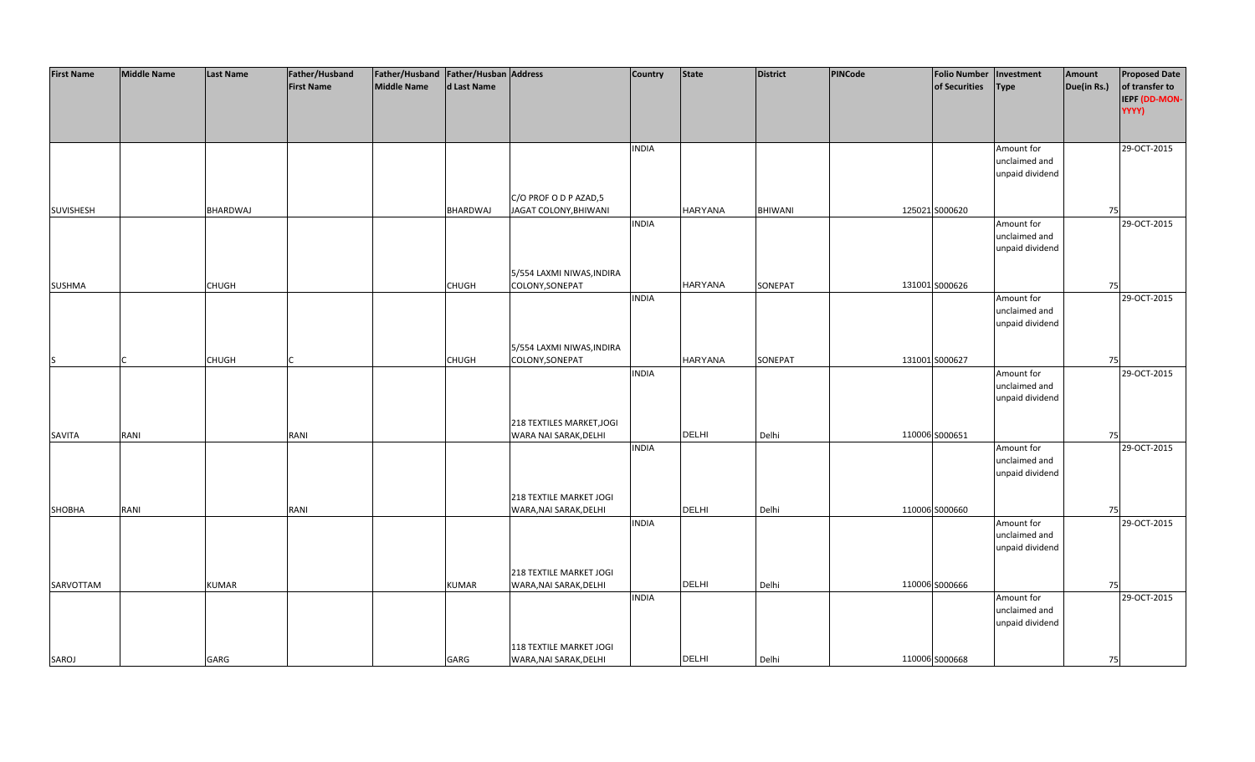| <b>First Name</b> | <b>Middle Name</b> | <b>Last Name</b> | Father/Husband    | Father/Husband Father/Husban Address |                 |                                | <b>Country</b> | <b>State</b>   | <b>District</b> | PINCode | <b>Folio Number</b> | Investment      | Amount      | <b>Proposed Date</b> |
|-------------------|--------------------|------------------|-------------------|--------------------------------------|-----------------|--------------------------------|----------------|----------------|-----------------|---------|---------------------|-----------------|-------------|----------------------|
|                   |                    |                  | <b>First Name</b> | <b>Middle Name</b>                   | d Last Name     |                                |                |                |                 |         | of Securities       | <b>Type</b>     | Due(in Rs.) | of transfer to       |
|                   |                    |                  |                   |                                      |                 |                                |                |                |                 |         |                     |                 |             | IEPF (DD-MON-        |
|                   |                    |                  |                   |                                      |                 |                                |                |                |                 |         |                     |                 |             | YYYY)                |
|                   |                    |                  |                   |                                      |                 |                                |                |                |                 |         |                     |                 |             |                      |
|                   |                    |                  |                   |                                      |                 |                                |                |                |                 |         |                     |                 |             |                      |
|                   |                    |                  |                   |                                      |                 |                                | <b>INDIA</b>   |                |                 |         |                     | Amount for      |             | 29-OCT-2015          |
|                   |                    |                  |                   |                                      |                 |                                |                |                |                 |         |                     | unclaimed and   |             |                      |
|                   |                    |                  |                   |                                      |                 |                                |                |                |                 |         |                     | unpaid dividend |             |                      |
|                   |                    |                  |                   |                                      |                 |                                |                |                |                 |         |                     |                 |             |                      |
|                   |                    |                  |                   |                                      |                 | C/O PROF O D P AZAD,5          |                |                |                 |         |                     |                 |             |                      |
| <b>SUVISHESH</b>  |                    | <b>BHARDWAJ</b>  |                   |                                      | <b>BHARDWAJ</b> | JAGAT COLONY, BHIWANI          |                | <b>HARYANA</b> | <b>BHIWANI</b>  |         | 125021 S000620      |                 | 75          |                      |
|                   |                    |                  |                   |                                      |                 |                                | <b>INDIA</b>   |                |                 |         |                     | Amount for      |             | 29-OCT-2015          |
|                   |                    |                  |                   |                                      |                 |                                |                |                |                 |         |                     | unclaimed and   |             |                      |
|                   |                    |                  |                   |                                      |                 |                                |                |                |                 |         |                     | unpaid dividend |             |                      |
|                   |                    |                  |                   |                                      |                 |                                |                |                |                 |         |                     |                 |             |                      |
|                   |                    |                  |                   |                                      |                 | 5/554 LAXMI NIWAS, INDIRA      |                |                |                 |         |                     |                 |             |                      |
| SUSHMA            |                    | <b>CHUGH</b>     |                   |                                      | <b>CHUGH</b>    | COLONY, SONEPAT                |                | HARYANA        | SONEPAT         |         | 131001 S000626      |                 | 75          |                      |
|                   |                    |                  |                   |                                      |                 |                                | <b>INDIA</b>   |                |                 |         |                     | Amount for      |             | 29-OCT-2015          |
|                   |                    |                  |                   |                                      |                 |                                |                |                |                 |         |                     | unclaimed and   |             |                      |
|                   |                    |                  |                   |                                      |                 |                                |                |                |                 |         |                     | unpaid dividend |             |                      |
|                   |                    |                  |                   |                                      |                 |                                |                |                |                 |         |                     |                 |             |                      |
|                   |                    |                  |                   |                                      |                 | 5/554 LAXMI NIWAS, INDIRA      |                |                |                 |         |                     |                 |             |                      |
| S                 |                    | <b>CHUGH</b>     |                   |                                      | <b>CHUGH</b>    | COLONY, SONEPAT                |                | <b>HARYANA</b> | SONEPAT         |         | 131001 S000627      |                 | 75          |                      |
|                   |                    |                  |                   |                                      |                 |                                | <b>INDIA</b>   |                |                 |         |                     | Amount for      |             | 29-OCT-2015          |
|                   |                    |                  |                   |                                      |                 |                                |                |                |                 |         |                     | unclaimed and   |             |                      |
|                   |                    |                  |                   |                                      |                 |                                |                |                |                 |         |                     | unpaid dividend |             |                      |
|                   |                    |                  |                   |                                      |                 |                                |                |                |                 |         |                     |                 |             |                      |
|                   |                    |                  |                   |                                      |                 | 218 TEXTILES MARKET, JOGI      |                |                |                 |         |                     |                 |             |                      |
| <b>SAVITA</b>     | RANI               |                  | RANI              |                                      |                 | WARA NAI SARAK, DELHI          |                | <b>DELHI</b>   | Delhi           |         | 110006 S000651      |                 | 75          |                      |
|                   |                    |                  |                   |                                      |                 |                                | <b>INDIA</b>   |                |                 |         |                     | Amount for      |             | 29-OCT-2015          |
|                   |                    |                  |                   |                                      |                 |                                |                |                |                 |         |                     | unclaimed and   |             |                      |
|                   |                    |                  |                   |                                      |                 |                                |                |                |                 |         |                     | unpaid dividend |             |                      |
|                   |                    |                  |                   |                                      |                 |                                |                |                |                 |         |                     |                 |             |                      |
|                   |                    |                  |                   |                                      |                 | 218 TEXTILE MARKET JOGI        |                |                |                 |         |                     |                 |             |                      |
| SHOBHA            | RANI               |                  | RANI              |                                      |                 | WARA, NAI SARAK, DELHI         |                | <b>DELHI</b>   | Delhi           |         | 110006 S000660      |                 | 75          |                      |
|                   |                    |                  |                   |                                      |                 |                                | <b>INDIA</b>   |                |                 |         |                     | Amount for      |             | 29-OCT-2015          |
|                   |                    |                  |                   |                                      |                 |                                |                |                |                 |         |                     | unclaimed and   |             |                      |
|                   |                    |                  |                   |                                      |                 |                                |                |                |                 |         |                     | unpaid dividend |             |                      |
|                   |                    |                  |                   |                                      |                 |                                |                |                |                 |         |                     |                 |             |                      |
|                   |                    |                  |                   |                                      |                 | 218 TEXTILE MARKET JOGI        |                |                |                 |         |                     |                 |             |                      |
| SARVOTTAM         |                    | <b>KUMAR</b>     |                   |                                      | <b>KUMAR</b>    | WARA, NAI SARAK, DELHI         |                | <b>DELHI</b>   | Delhi           |         | 110006 S000666      |                 | 75          |                      |
|                   |                    |                  |                   |                                      |                 |                                | <b>INDIA</b>   |                |                 |         |                     | Amount for      |             | 29-OCT-2015          |
|                   |                    |                  |                   |                                      |                 |                                |                |                |                 |         |                     | unclaimed and   |             |                      |
|                   |                    |                  |                   |                                      |                 |                                |                |                |                 |         |                     | unpaid dividend |             |                      |
|                   |                    |                  |                   |                                      |                 |                                |                |                |                 |         |                     |                 |             |                      |
|                   |                    |                  |                   |                                      |                 | <b>118 TEXTILE MARKET JOGI</b> |                |                |                 |         |                     |                 |             |                      |
| SAROJ             |                    | GARG             |                   |                                      | GARG            | WARA, NAI SARAK, DELHI         |                | <b>DELHI</b>   | Delhi           |         | 110006 S000668      |                 | 75          |                      |
|                   |                    |                  |                   |                                      |                 |                                |                |                |                 |         |                     |                 |             |                      |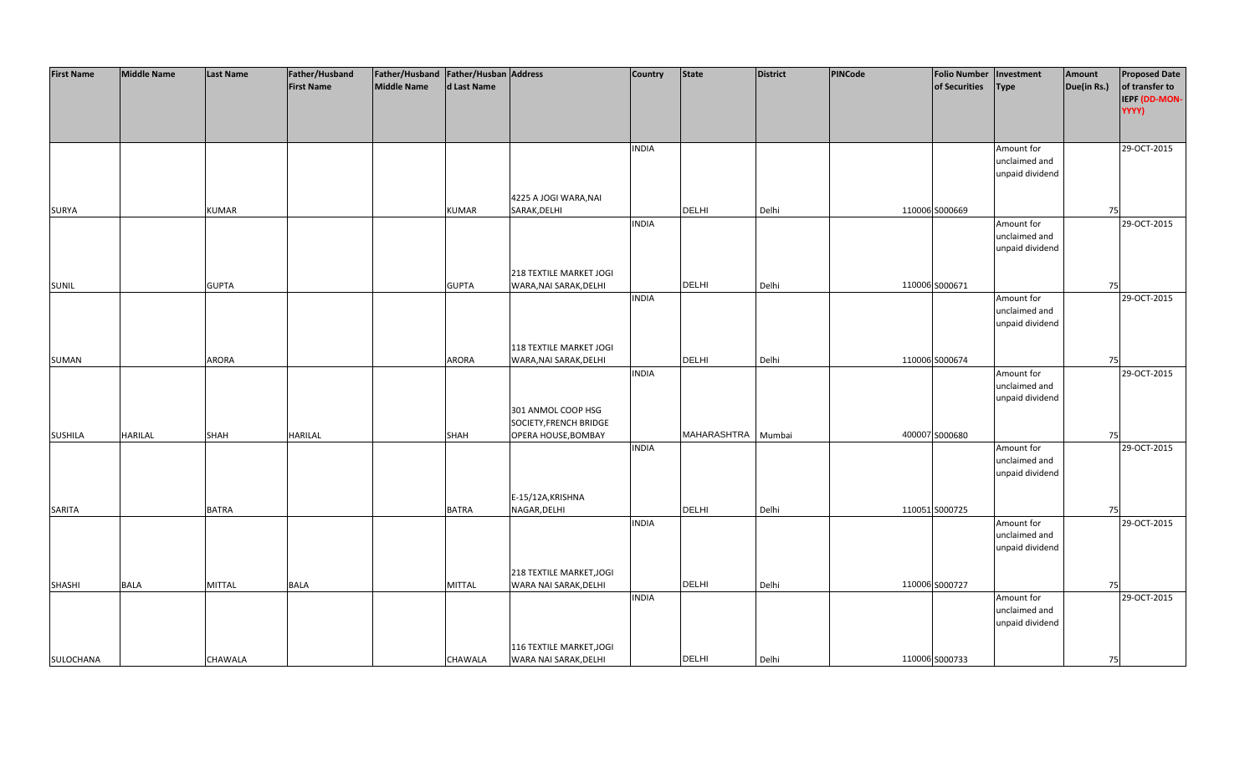| <b>First Name</b> | <b>Middle Name</b> | <b>Last Name</b> | Father/Husband    | Father/Husband Father/Husban Address |               |                          | <b>Country</b> | <b>State</b> | <b>District</b> | PINCode | <b>Folio Number</b> | Investment      | Amount      | <b>Proposed Date</b> |
|-------------------|--------------------|------------------|-------------------|--------------------------------------|---------------|--------------------------|----------------|--------------|-----------------|---------|---------------------|-----------------|-------------|----------------------|
|                   |                    |                  | <b>First Name</b> | <b>Middle Name</b>                   | d Last Name   |                          |                |              |                 |         | of Securities       | <b>Type</b>     | Due(in Rs.) | of transfer to       |
|                   |                    |                  |                   |                                      |               |                          |                |              |                 |         |                     |                 |             | IEPF (DD-MON-        |
|                   |                    |                  |                   |                                      |               |                          |                |              |                 |         |                     |                 |             | YYYY)                |
|                   |                    |                  |                   |                                      |               |                          |                |              |                 |         |                     |                 |             |                      |
|                   |                    |                  |                   |                                      |               |                          |                |              |                 |         |                     |                 |             |                      |
|                   |                    |                  |                   |                                      |               |                          | <b>INDIA</b>   |              |                 |         |                     | Amount for      |             | 29-OCT-2015          |
|                   |                    |                  |                   |                                      |               |                          |                |              |                 |         |                     | unclaimed and   |             |                      |
|                   |                    |                  |                   |                                      |               |                          |                |              |                 |         |                     | unpaid dividend |             |                      |
|                   |                    |                  |                   |                                      |               |                          |                |              |                 |         |                     |                 |             |                      |
|                   |                    |                  |                   |                                      |               | 4225 A JOGI WARA, NAI    |                |              |                 |         |                     |                 |             |                      |
| <b>SURYA</b>      |                    | <b>KUMAR</b>     |                   |                                      | <b>KUMAR</b>  | SARAK, DELHI             |                | <b>DELHI</b> | Delhi           |         | 110006 S000669      |                 | 75          |                      |
|                   |                    |                  |                   |                                      |               |                          | <b>INDIA</b>   |              |                 |         |                     | Amount for      |             | 29-OCT-2015          |
|                   |                    |                  |                   |                                      |               |                          |                |              |                 |         |                     | unclaimed and   |             |                      |
|                   |                    |                  |                   |                                      |               |                          |                |              |                 |         |                     | unpaid dividend |             |                      |
|                   |                    |                  |                   |                                      |               |                          |                |              |                 |         |                     |                 |             |                      |
|                   |                    |                  |                   |                                      |               | 218 TEXTILE MARKET JOGI  |                |              |                 |         |                     |                 |             |                      |
| <b>SUNIL</b>      |                    | <b>GUPTA</b>     |                   |                                      | <b>GUPTA</b>  | WARA, NAI SARAK, DELHI   |                | <b>DELHI</b> | Delhi           |         | 110006 S000671      |                 | 75          |                      |
|                   |                    |                  |                   |                                      |               |                          | <b>INDIA</b>   |              |                 |         |                     | Amount for      |             | 29-OCT-2015          |
|                   |                    |                  |                   |                                      |               |                          |                |              |                 |         |                     | unclaimed and   |             |                      |
|                   |                    |                  |                   |                                      |               |                          |                |              |                 |         |                     | unpaid dividend |             |                      |
|                   |                    |                  |                   |                                      |               |                          |                |              |                 |         |                     |                 |             |                      |
|                   |                    |                  |                   |                                      |               | 118 TEXTILE MARKET JOGI  |                |              |                 |         |                     |                 |             |                      |
| SUMAN             |                    | <b>ARORA</b>     |                   |                                      | <b>ARORA</b>  | WARA, NAI SARAK, DELHI   |                | DELHI        | Delhi           |         | 110006 S000674      |                 | 75          |                      |
|                   |                    |                  |                   |                                      |               |                          | <b>INDIA</b>   |              |                 |         |                     | Amount for      |             | 29-OCT-2015          |
|                   |                    |                  |                   |                                      |               |                          |                |              |                 |         |                     | unclaimed and   |             |                      |
|                   |                    |                  |                   |                                      |               |                          |                |              |                 |         |                     | unpaid dividend |             |                      |
|                   |                    |                  |                   |                                      |               | 301 ANMOL COOP HSG       |                |              |                 |         |                     |                 |             |                      |
|                   |                    |                  |                   |                                      |               | SOCIETY, FRENCH BRIDGE   |                |              |                 |         |                     |                 |             |                      |
| <b>SUSHILA</b>    | <b>HARILAL</b>     | <b>SHAH</b>      | <b>HARILAL</b>    |                                      | <b>SHAH</b>   | OPERA HOUSE, BOMBAY      |                | MAHARASHTRA  | Mumbai          |         | 400007 S000680      |                 | 75          |                      |
|                   |                    |                  |                   |                                      |               |                          | <b>INDIA</b>   |              |                 |         |                     | Amount for      |             | 29-OCT-2015          |
|                   |                    |                  |                   |                                      |               |                          |                |              |                 |         |                     | unclaimed and   |             |                      |
|                   |                    |                  |                   |                                      |               |                          |                |              |                 |         |                     | unpaid dividend |             |                      |
|                   |                    |                  |                   |                                      |               |                          |                |              |                 |         |                     |                 |             |                      |
|                   |                    |                  |                   |                                      |               | E-15/12A, KRISHNA        |                |              |                 |         |                     |                 |             |                      |
| SARITA            |                    | <b>BATRA</b>     |                   |                                      | <b>BATRA</b>  | NAGAR, DELHI             |                | <b>DELHI</b> | Delhi           |         | 110051 S000725      |                 | 75          |                      |
|                   |                    |                  |                   |                                      |               |                          | <b>INDIA</b>   |              |                 |         |                     | Amount for      |             | 29-OCT-2015          |
|                   |                    |                  |                   |                                      |               |                          |                |              |                 |         |                     | unclaimed and   |             |                      |
|                   |                    |                  |                   |                                      |               |                          |                |              |                 |         |                     | unpaid dividend |             |                      |
|                   |                    |                  |                   |                                      |               |                          |                |              |                 |         |                     |                 |             |                      |
|                   |                    |                  |                   |                                      |               | 218 TEXTILE MARKET, JOGI |                |              |                 |         |                     |                 |             |                      |
| <b>SHASHI</b>     | <b>BALA</b>        | <b>MITTAL</b>    | <b>BALA</b>       |                                      | <b>MITTAL</b> | WARA NAI SARAK, DELHI    |                | <b>DELHI</b> | Delhi           |         | 110006 S000727      |                 | 75          |                      |
|                   |                    |                  |                   |                                      |               |                          | <b>INDIA</b>   |              |                 |         |                     | Amount for      |             | 29-OCT-2015          |
|                   |                    |                  |                   |                                      |               |                          |                |              |                 |         |                     | unclaimed and   |             |                      |
|                   |                    |                  |                   |                                      |               |                          |                |              |                 |         |                     | unpaid dividend |             |                      |
|                   |                    |                  |                   |                                      |               |                          |                |              |                 |         |                     |                 |             |                      |
|                   |                    |                  |                   |                                      |               | 116 TEXTILE MARKET, JOGI |                |              |                 |         |                     |                 |             |                      |
| SULOCHANA         |                    | CHAWALA          |                   |                                      | CHAWALA       | WARA NAI SARAK, DELHI    |                | <b>DELHI</b> | Delhi           |         | 110006 S000733      |                 | 75          |                      |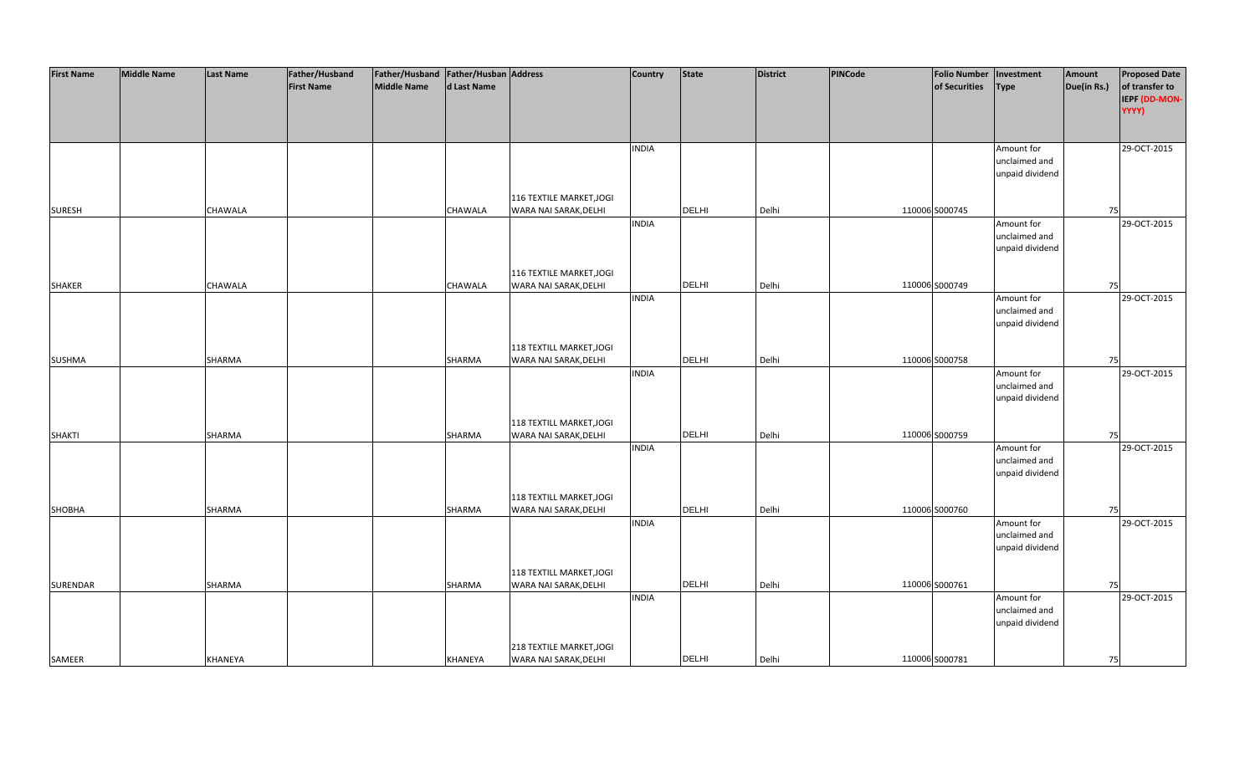| <b>First Name</b> | <b>Middle Name</b> | <b>Last Name</b> | Father/Husband    | Father/Husband Father/Husban Address |             |                                                   | <b>Country</b> | <b>State</b> | <b>District</b> | PINCode | <b>Folio Number</b> | Investment                  | Amount      | <b>Proposed Date</b> |
|-------------------|--------------------|------------------|-------------------|--------------------------------------|-------------|---------------------------------------------------|----------------|--------------|-----------------|---------|---------------------|-----------------------------|-------------|----------------------|
|                   |                    |                  | <b>First Name</b> | <b>Middle Name</b>                   | d Last Name |                                                   |                |              |                 |         | of Securities       | <b>Type</b>                 | Due(in Rs.) | of transfer to       |
|                   |                    |                  |                   |                                      |             |                                                   |                |              |                 |         |                     |                             |             | IEPF (DD-MON-        |
|                   |                    |                  |                   |                                      |             |                                                   |                |              |                 |         |                     |                             |             | YYYY)                |
|                   |                    |                  |                   |                                      |             |                                                   |                |              |                 |         |                     |                             |             |                      |
|                   |                    |                  |                   |                                      |             |                                                   |                |              |                 |         |                     |                             |             |                      |
|                   |                    |                  |                   |                                      |             |                                                   | <b>INDIA</b>   |              |                 |         |                     | Amount for                  |             | 29-OCT-2015          |
|                   |                    |                  |                   |                                      |             |                                                   |                |              |                 |         |                     | unclaimed and               |             |                      |
|                   |                    |                  |                   |                                      |             |                                                   |                |              |                 |         |                     | unpaid dividend             |             |                      |
|                   |                    |                  |                   |                                      |             |                                                   |                |              |                 |         |                     |                             |             |                      |
|                   |                    |                  |                   |                                      |             | 116 TEXTILE MARKET, JOGI                          |                |              |                 |         |                     |                             |             |                      |
| <b>SURESH</b>     |                    | CHAWALA          |                   |                                      | CHAWALA     | WARA NAI SARAK, DELHI                             |                | <b>DELHI</b> | Delhi           |         | 110006 S000745      |                             | 75          |                      |
|                   |                    |                  |                   |                                      |             |                                                   | <b>INDIA</b>   |              |                 |         |                     | Amount for                  |             | 29-OCT-2015          |
|                   |                    |                  |                   |                                      |             |                                                   |                |              |                 |         |                     | unclaimed and               |             |                      |
|                   |                    |                  |                   |                                      |             |                                                   |                |              |                 |         |                     | unpaid dividend             |             |                      |
|                   |                    |                  |                   |                                      |             |                                                   |                |              |                 |         |                     |                             |             |                      |
|                   |                    |                  |                   |                                      |             | 116 TEXTILE MARKET, JOGI<br>WARA NAI SARAK, DELHI |                | <b>DELHI</b> |                 |         | 110006 S000749      |                             |             |                      |
| <b>SHAKER</b>     |                    | CHAWALA          |                   |                                      | CHAWALA     |                                                   | <b>INDIA</b>   |              | Delhi           |         |                     | Amount for                  | 75          | 29-OCT-2015          |
|                   |                    |                  |                   |                                      |             |                                                   |                |              |                 |         |                     | unclaimed and               |             |                      |
|                   |                    |                  |                   |                                      |             |                                                   |                |              |                 |         |                     | unpaid dividend             |             |                      |
|                   |                    |                  |                   |                                      |             |                                                   |                |              |                 |         |                     |                             |             |                      |
|                   |                    |                  |                   |                                      |             | 118 TEXTILL MARKET, JOGI                          |                |              |                 |         |                     |                             |             |                      |
| <b>SUSHMA</b>     |                    | SHARMA           |                   |                                      | SHARMA      | WARA NAI SARAK, DELHI                             |                | <b>DELHI</b> | Delhi           |         | 110006 S000758      |                             | 75          |                      |
|                   |                    |                  |                   |                                      |             |                                                   | <b>INDIA</b>   |              |                 |         |                     | Amount for                  |             | 29-OCT-2015          |
|                   |                    |                  |                   |                                      |             |                                                   |                |              |                 |         |                     | unclaimed and               |             |                      |
|                   |                    |                  |                   |                                      |             |                                                   |                |              |                 |         |                     | unpaid dividend             |             |                      |
|                   |                    |                  |                   |                                      |             |                                                   |                |              |                 |         |                     |                             |             |                      |
|                   |                    |                  |                   |                                      |             | 118 TEXTILL MARKET, JOGI                          |                |              |                 |         |                     |                             |             |                      |
| <b>SHAKTI</b>     |                    | SHARMA           |                   |                                      | SHARMA      | WARA NAI SARAK, DELHI                             |                | <b>DELHI</b> | Delhi           |         | 110006 S000759      |                             | 75          |                      |
|                   |                    |                  |                   |                                      |             |                                                   | <b>INDIA</b>   |              |                 |         |                     | Amount for                  |             | 29-OCT-2015          |
|                   |                    |                  |                   |                                      |             |                                                   |                |              |                 |         |                     | unclaimed and               |             |                      |
|                   |                    |                  |                   |                                      |             |                                                   |                |              |                 |         |                     | unpaid dividend             |             |                      |
|                   |                    |                  |                   |                                      |             |                                                   |                |              |                 |         |                     |                             |             |                      |
|                   |                    |                  |                   |                                      |             | 118 TEXTILL MARKET, JOGI                          |                |              |                 |         |                     |                             |             |                      |
| SHOBHA            |                    | SHARMA           |                   |                                      | SHARMA      | WARA NAI SARAK, DELHI                             |                | <b>DELHI</b> | Delhi           |         | 110006 S000760      |                             | 75          |                      |
|                   |                    |                  |                   |                                      |             |                                                   | <b>INDIA</b>   |              |                 |         |                     | Amount for<br>unclaimed and |             | 29-OCT-2015          |
|                   |                    |                  |                   |                                      |             |                                                   |                |              |                 |         |                     | unpaid dividend             |             |                      |
|                   |                    |                  |                   |                                      |             |                                                   |                |              |                 |         |                     |                             |             |                      |
|                   |                    |                  |                   |                                      |             | 118 TEXTILL MARKET, JOGI                          |                |              |                 |         |                     |                             |             |                      |
| SURENDAR          |                    | SHARMA           |                   |                                      | SHARMA      | WARA NAI SARAK, DELHI                             |                | <b>DELHI</b> | Delhi           |         | 110006 S000761      |                             | 75          |                      |
|                   |                    |                  |                   |                                      |             |                                                   | <b>INDIA</b>   |              |                 |         |                     | Amount for                  |             | 29-OCT-2015          |
|                   |                    |                  |                   |                                      |             |                                                   |                |              |                 |         |                     | unclaimed and               |             |                      |
|                   |                    |                  |                   |                                      |             |                                                   |                |              |                 |         |                     | unpaid dividend             |             |                      |
|                   |                    |                  |                   |                                      |             |                                                   |                |              |                 |         |                     |                             |             |                      |
|                   |                    |                  |                   |                                      |             | 218 TEXTILE MARKET, JOGI                          |                |              |                 |         |                     |                             |             |                      |
| SAMEER            |                    | <b>KHANEYA</b>   |                   |                                      | KHANEYA     | WARA NAI SARAK, DELHI                             |                | <b>DELHI</b> | Delhi           |         | 110006 S000781      |                             | 75          |                      |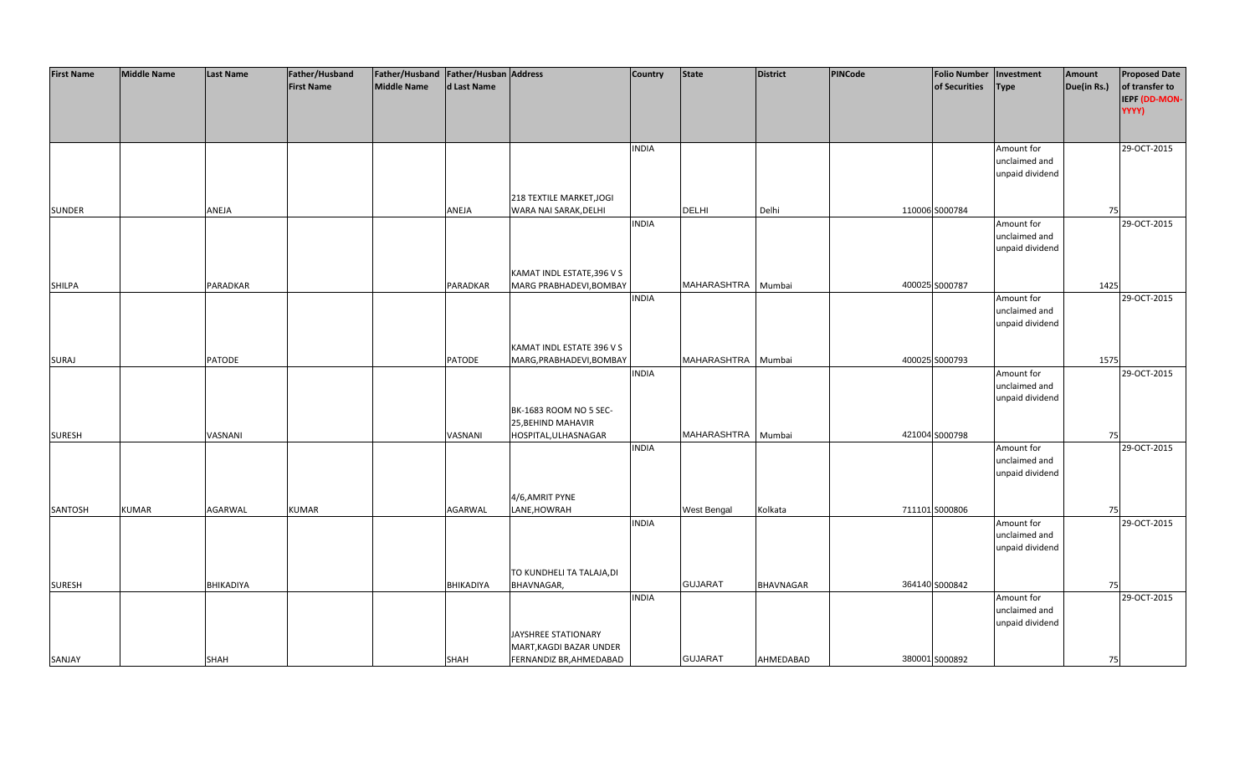| <b>First Name</b> | <b>Middle Name</b> | <b>Last Name</b> | Father/Husband    | Father/Husband Father/Husban Address |                  |                                         | <b>Country</b> | <b>State</b>       | <b>District</b>  | PINCode | <b>Folio Number</b> | Investment      | Amount      | <b>Proposed Date</b> |
|-------------------|--------------------|------------------|-------------------|--------------------------------------|------------------|-----------------------------------------|----------------|--------------------|------------------|---------|---------------------|-----------------|-------------|----------------------|
|                   |                    |                  | <b>First Name</b> | <b>Middle Name</b>                   | d Last Name      |                                         |                |                    |                  |         | of Securities       | <b>Type</b>     | Due(in Rs.) | of transfer to       |
|                   |                    |                  |                   |                                      |                  |                                         |                |                    |                  |         |                     |                 |             |                      |
|                   |                    |                  |                   |                                      |                  |                                         |                |                    |                  |         |                     |                 |             | IEPF (DD-MON-        |
|                   |                    |                  |                   |                                      |                  |                                         |                |                    |                  |         |                     |                 |             | YYYY)                |
|                   |                    |                  |                   |                                      |                  |                                         |                |                    |                  |         |                     |                 |             |                      |
|                   |                    |                  |                   |                                      |                  |                                         |                |                    |                  |         |                     |                 |             |                      |
|                   |                    |                  |                   |                                      |                  |                                         | <b>INDIA</b>   |                    |                  |         |                     | Amount for      |             | 29-OCT-2015          |
|                   |                    |                  |                   |                                      |                  |                                         |                |                    |                  |         |                     | unclaimed and   |             |                      |
|                   |                    |                  |                   |                                      |                  |                                         |                |                    |                  |         |                     | unpaid dividend |             |                      |
|                   |                    |                  |                   |                                      |                  |                                         |                |                    |                  |         |                     |                 |             |                      |
|                   |                    |                  |                   |                                      |                  | 218 TEXTILE MARKET, JOGI                |                |                    |                  |         |                     |                 |             |                      |
| <b>SUNDER</b>     |                    | ANEJA            |                   |                                      | ANEJA            | WARA NAI SARAK, DELHI                   |                | <b>DELHI</b>       | Delhi            |         | 110006 S000784      |                 | 75          |                      |
|                   |                    |                  |                   |                                      |                  |                                         | <b>INDIA</b>   |                    |                  |         |                     | Amount for      |             | 29-OCT-2015          |
|                   |                    |                  |                   |                                      |                  |                                         |                |                    |                  |         |                     | unclaimed and   |             |                      |
|                   |                    |                  |                   |                                      |                  |                                         |                |                    |                  |         |                     | unpaid dividend |             |                      |
|                   |                    |                  |                   |                                      |                  |                                         |                |                    |                  |         |                     |                 |             |                      |
|                   |                    |                  |                   |                                      |                  | KAMAT INDL ESTATE, 396 V S              |                |                    |                  |         |                     |                 |             |                      |
| <b>SHILPA</b>     |                    | PARADKAR         |                   |                                      | <b>PARADKAR</b>  | MARG PRABHADEVI, BOMBAY                 |                | MAHARASHTRA        | Mumbai           |         | 400025 S000787      |                 | 1425        |                      |
|                   |                    |                  |                   |                                      |                  |                                         | <b>INDIA</b>   |                    |                  |         |                     | Amount for      |             | 29-OCT-2015          |
|                   |                    |                  |                   |                                      |                  |                                         |                |                    |                  |         |                     | unclaimed and   |             |                      |
|                   |                    |                  |                   |                                      |                  |                                         |                |                    |                  |         |                     | unpaid dividend |             |                      |
|                   |                    |                  |                   |                                      |                  |                                         |                |                    |                  |         |                     |                 |             |                      |
|                   |                    |                  |                   |                                      |                  | KAMAT INDL ESTATE 396 V S               |                |                    |                  |         |                     |                 |             |                      |
| <b>SURAJ</b>      |                    | <b>PATODE</b>    |                   |                                      | <b>PATODE</b>    | MARG, PRABHADEVI, BOMBAY                |                | MAHARASHTRA Mumbai |                  |         | 400025 S000793      |                 | 1575        |                      |
|                   |                    |                  |                   |                                      |                  |                                         | <b>INDIA</b>   |                    |                  |         |                     | Amount for      |             | 29-OCT-2015          |
|                   |                    |                  |                   |                                      |                  |                                         |                |                    |                  |         |                     | unclaimed and   |             |                      |
|                   |                    |                  |                   |                                      |                  |                                         |                |                    |                  |         |                     | unpaid dividend |             |                      |
|                   |                    |                  |                   |                                      |                  | BK-1683 ROOM NO 5 SEC-                  |                |                    |                  |         |                     |                 |             |                      |
|                   |                    |                  |                   |                                      |                  | 25, BEHIND MAHAVIR                      |                |                    |                  |         |                     |                 |             |                      |
| <b>SURESH</b>     |                    | VASNANI          |                   |                                      | VASNANI          | HOSPITAL, ULHASNAGAR                    |                | MAHARASHTRA        | Mumbai           |         | 421004 S000798      |                 | 75          |                      |
|                   |                    |                  |                   |                                      |                  |                                         | <b>INDIA</b>   |                    |                  |         |                     | Amount for      |             | 29-OCT-2015          |
|                   |                    |                  |                   |                                      |                  |                                         |                |                    |                  |         |                     | unclaimed and   |             |                      |
|                   |                    |                  |                   |                                      |                  |                                         |                |                    |                  |         |                     | unpaid dividend |             |                      |
|                   |                    |                  |                   |                                      |                  |                                         |                |                    |                  |         |                     |                 |             |                      |
|                   |                    |                  |                   |                                      |                  | 4/6,AMRIT PYNE                          |                |                    |                  |         |                     |                 |             |                      |
| SANTOSH           | <b>KUMAR</b>       | <b>AGARWAL</b>   | <b>KUMAR</b>      |                                      | AGARWAL          | LANE, HOWRAH                            |                | West Bengal        | Kolkata          |         | 711101 S000806      |                 | 75          |                      |
|                   |                    |                  |                   |                                      |                  |                                         | <b>INDIA</b>   |                    |                  |         |                     | Amount for      |             | 29-OCT-2015          |
|                   |                    |                  |                   |                                      |                  |                                         |                |                    |                  |         |                     | unclaimed and   |             |                      |
|                   |                    |                  |                   |                                      |                  |                                         |                |                    |                  |         |                     | unpaid dividend |             |                      |
|                   |                    |                  |                   |                                      |                  |                                         |                |                    |                  |         |                     |                 |             |                      |
|                   |                    |                  |                   |                                      |                  |                                         |                |                    |                  |         |                     |                 |             |                      |
|                   |                    | BHIKADIYA        |                   |                                      | <b>BHIKADIYA</b> | TO KUNDHELI TA TALAJA, DI<br>BHAVNAGAR, |                | <b>GUJARAT</b>     | <b>BHAVNAGAR</b> |         | 364140 S000842      |                 |             |                      |
| <b>SURESH</b>     |                    |                  |                   |                                      |                  |                                         |                |                    |                  |         |                     |                 | 75          |                      |
|                   |                    |                  |                   |                                      |                  |                                         | <b>INDIA</b>   |                    |                  |         |                     | Amount for      |             | 29-OCT-2015          |
|                   |                    |                  |                   |                                      |                  |                                         |                |                    |                  |         |                     | unclaimed and   |             |                      |
|                   |                    |                  |                   |                                      |                  |                                         |                |                    |                  |         |                     | unpaid dividend |             |                      |
|                   |                    |                  |                   |                                      |                  | JAYSHREE STATIONARY                     |                |                    |                  |         |                     |                 |             |                      |
|                   |                    |                  |                   |                                      |                  | MART, KAGDI BAZAR UNDER                 |                |                    |                  |         |                     |                 |             |                      |
| SANJAY            |                    | <b>SHAH</b>      |                   |                                      | <b>SHAH</b>      | FERNANDIZ BR, AHMEDABAD                 |                | <b>GUJARAT</b>     | AHMEDABAD        |         | 380001 S000892      |                 | 75          |                      |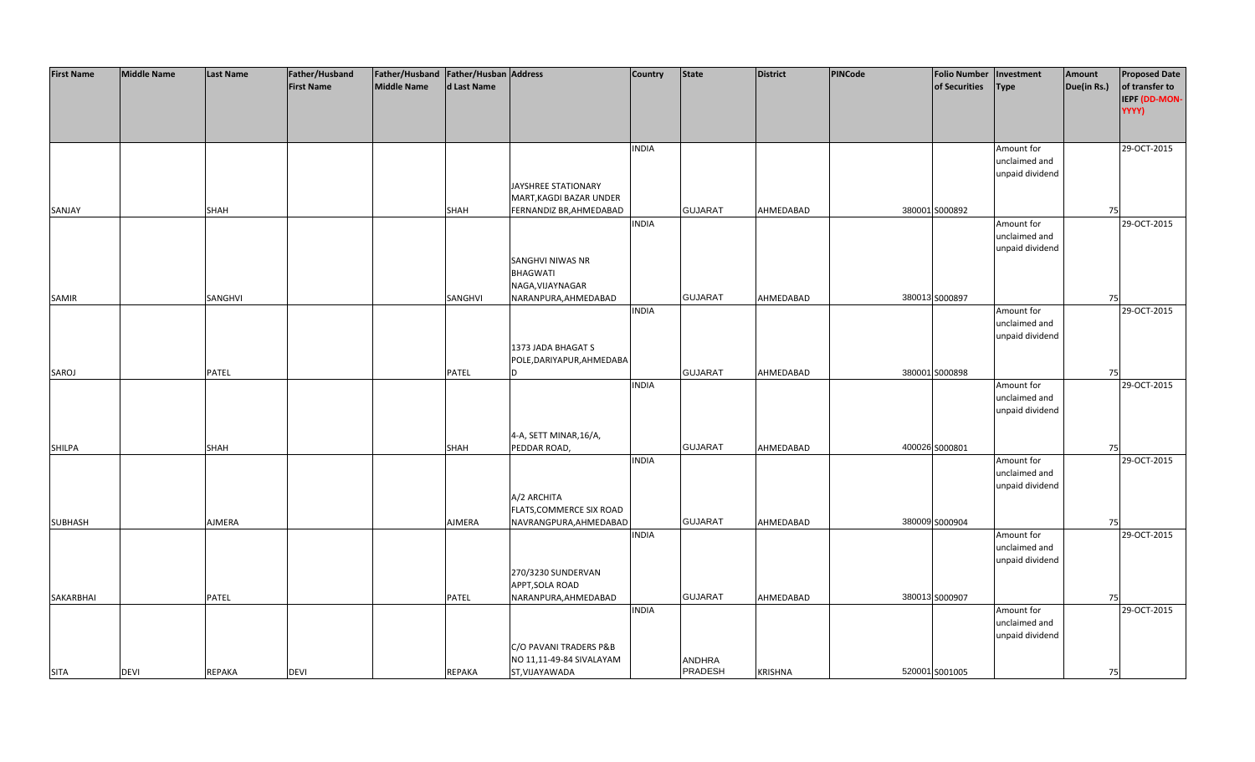| <b>First Name</b> | <b>Middle Name</b> | <b>Last Name</b> | Father/Husband    | Father/Husband Father/Husban Address |               |                            | <b>Country</b> | <b>State</b>   | <b>District</b> | PINCode | <b>Folio Number</b> | Investment      | Amount      | <b>Proposed Date</b> |
|-------------------|--------------------|------------------|-------------------|--------------------------------------|---------------|----------------------------|----------------|----------------|-----------------|---------|---------------------|-----------------|-------------|----------------------|
|                   |                    |                  | <b>First Name</b> | Middle Name                          | d Last Name   |                            |                |                |                 |         | of Securities       | <b>Type</b>     | Due(in Rs.) | of transfer to       |
|                   |                    |                  |                   |                                      |               |                            |                |                |                 |         |                     |                 |             | IEPF (DD-MON-        |
|                   |                    |                  |                   |                                      |               |                            |                |                |                 |         |                     |                 |             | YYYY)                |
|                   |                    |                  |                   |                                      |               |                            |                |                |                 |         |                     |                 |             |                      |
|                   |                    |                  |                   |                                      |               |                            |                |                |                 |         |                     |                 |             |                      |
|                   |                    |                  |                   |                                      |               |                            | <b>INDIA</b>   |                |                 |         |                     | Amount for      |             | 29-OCT-2015          |
|                   |                    |                  |                   |                                      |               |                            |                |                |                 |         |                     | unclaimed and   |             |                      |
|                   |                    |                  |                   |                                      |               |                            |                |                |                 |         |                     | unpaid dividend |             |                      |
|                   |                    |                  |                   |                                      |               |                            |                |                |                 |         |                     |                 |             |                      |
|                   |                    |                  |                   |                                      |               | <b>JAYSHREE STATIONARY</b> |                |                |                 |         |                     |                 |             |                      |
|                   |                    |                  |                   |                                      |               | MART, KAGDI BAZAR UNDER    |                |                |                 |         |                     |                 |             |                      |
| SANJAY            |                    | <b>SHAH</b>      |                   |                                      | <b>SHAH</b>   | FERNANDIZ BR, AHMEDABAD    |                | <b>GUJARAT</b> | AHMEDABAD       |         | 380001 S000892      |                 | 75          |                      |
|                   |                    |                  |                   |                                      |               |                            | <b>INDIA</b>   |                |                 |         |                     | Amount for      |             | 29-OCT-2015          |
|                   |                    |                  |                   |                                      |               |                            |                |                |                 |         |                     | unclaimed and   |             |                      |
|                   |                    |                  |                   |                                      |               |                            |                |                |                 |         |                     | unpaid dividend |             |                      |
|                   |                    |                  |                   |                                      |               | SANGHVI NIWAS NR           |                |                |                 |         |                     |                 |             |                      |
|                   |                    |                  |                   |                                      |               | <b>BHAGWATI</b>            |                |                |                 |         |                     |                 |             |                      |
|                   |                    |                  |                   |                                      |               | NAGA, VIJAYNAGAR           |                |                |                 |         |                     |                 |             |                      |
| <b>SAMIR</b>      |                    | SANGHVI          |                   |                                      | SANGHVI       | NARANPURA, AHMEDABAD       |                | <b>GUJARAT</b> | AHMEDABAD       |         | 380013 S000897      |                 | 75          |                      |
|                   |                    |                  |                   |                                      |               |                            | <b>INDIA</b>   |                |                 |         |                     | Amount for      |             | 29-OCT-2015          |
|                   |                    |                  |                   |                                      |               |                            |                |                |                 |         |                     | unclaimed and   |             |                      |
|                   |                    |                  |                   |                                      |               |                            |                |                |                 |         |                     | unpaid dividend |             |                      |
|                   |                    |                  |                   |                                      |               | 1373 JADA BHAGAT S         |                |                |                 |         |                     |                 |             |                      |
|                   |                    |                  |                   |                                      |               | POLE, DARIYAPUR, AHMEDABA  |                |                |                 |         |                     |                 |             |                      |
| SAROJ             |                    | PATEL            |                   |                                      | PATEL         | ID                         |                | <b>GUJARAT</b> | AHMEDABAD       |         | 380001 S000898      |                 | 75          |                      |
|                   |                    |                  |                   |                                      |               |                            | <b>INDIA</b>   |                |                 |         |                     | Amount for      |             | 29-OCT-2015          |
|                   |                    |                  |                   |                                      |               |                            |                |                |                 |         |                     | unclaimed and   |             |                      |
|                   |                    |                  |                   |                                      |               |                            |                |                |                 |         |                     |                 |             |                      |
|                   |                    |                  |                   |                                      |               |                            |                |                |                 |         |                     | unpaid dividend |             |                      |
|                   |                    |                  |                   |                                      |               |                            |                |                |                 |         |                     |                 |             |                      |
|                   |                    |                  |                   |                                      |               | 4-A, SETT MINAR, 16/A,     |                |                |                 |         |                     |                 |             |                      |
| SHILPA            |                    | <b>SHAH</b>      |                   |                                      | <b>SHAH</b>   | PEDDAR ROAD,               |                | <b>GUJARAT</b> | AHMEDABAD       |         | 400026 S000801      |                 | 75          |                      |
|                   |                    |                  |                   |                                      |               |                            | <b>INDIA</b>   |                |                 |         |                     | Amount for      |             | 29-OCT-2015          |
|                   |                    |                  |                   |                                      |               |                            |                |                |                 |         |                     | unclaimed and   |             |                      |
|                   |                    |                  |                   |                                      |               |                            |                |                |                 |         |                     | unpaid dividend |             |                      |
|                   |                    |                  |                   |                                      |               | A/2 ARCHITA                |                |                |                 |         |                     |                 |             |                      |
|                   |                    |                  |                   |                                      |               | FLATS, COMMERCE SIX ROAD   |                |                |                 |         |                     |                 |             |                      |
| <b>SUBHASH</b>    |                    | <b>AJMERA</b>    |                   |                                      | <b>AJMERA</b> | NAVRANGPURA, AHMEDABAD     |                | <b>GUJARAT</b> | AHMEDABAD       |         | 380009 S000904      |                 | 75          |                      |
|                   |                    |                  |                   |                                      |               |                            | <b>INDIA</b>   |                |                 |         |                     | Amount for      |             | 29-OCT-2015          |
|                   |                    |                  |                   |                                      |               |                            |                |                |                 |         |                     | unclaimed and   |             |                      |
|                   |                    |                  |                   |                                      |               |                            |                |                |                 |         |                     | unpaid dividend |             |                      |
|                   |                    |                  |                   |                                      |               | 270/3230 SUNDERVAN         |                |                |                 |         |                     |                 |             |                      |
|                   |                    |                  |                   |                                      |               | APPT, SOLA ROAD            |                |                |                 |         |                     |                 |             |                      |
| SAKARBHAI         |                    | PATEL            |                   |                                      | <b>PATEL</b>  | NARANPURA, AHMEDABAD       |                | <b>GUJARAT</b> | AHMEDABAD       |         | 380013 S000907      |                 | 75          |                      |
|                   |                    |                  |                   |                                      |               |                            | <b>INDIA</b>   |                |                 |         |                     | Amount for      |             | 29-OCT-2015          |
|                   |                    |                  |                   |                                      |               |                            |                |                |                 |         |                     | unclaimed and   |             |                      |
|                   |                    |                  |                   |                                      |               |                            |                |                |                 |         |                     | unpaid dividend |             |                      |
|                   |                    |                  |                   |                                      |               | C/O PAVANI TRADERS P&B     |                |                |                 |         |                     |                 |             |                      |
|                   |                    |                  |                   |                                      |               | NO 11,11-49-84 SIVALAYAM   |                | <b>ANDHRA</b>  |                 |         |                     |                 |             |                      |
| <b>SITA</b>       | <b>DEVI</b>        | REPAKA           | <b>DEVI</b>       |                                      | REPAKA        | ST, VIJAYAWADA             |                | PRADESH        | <b>KRISHNA</b>  |         | 520001 S001005      |                 | 75          |                      |
|                   |                    |                  |                   |                                      |               |                            |                |                |                 |         |                     |                 |             |                      |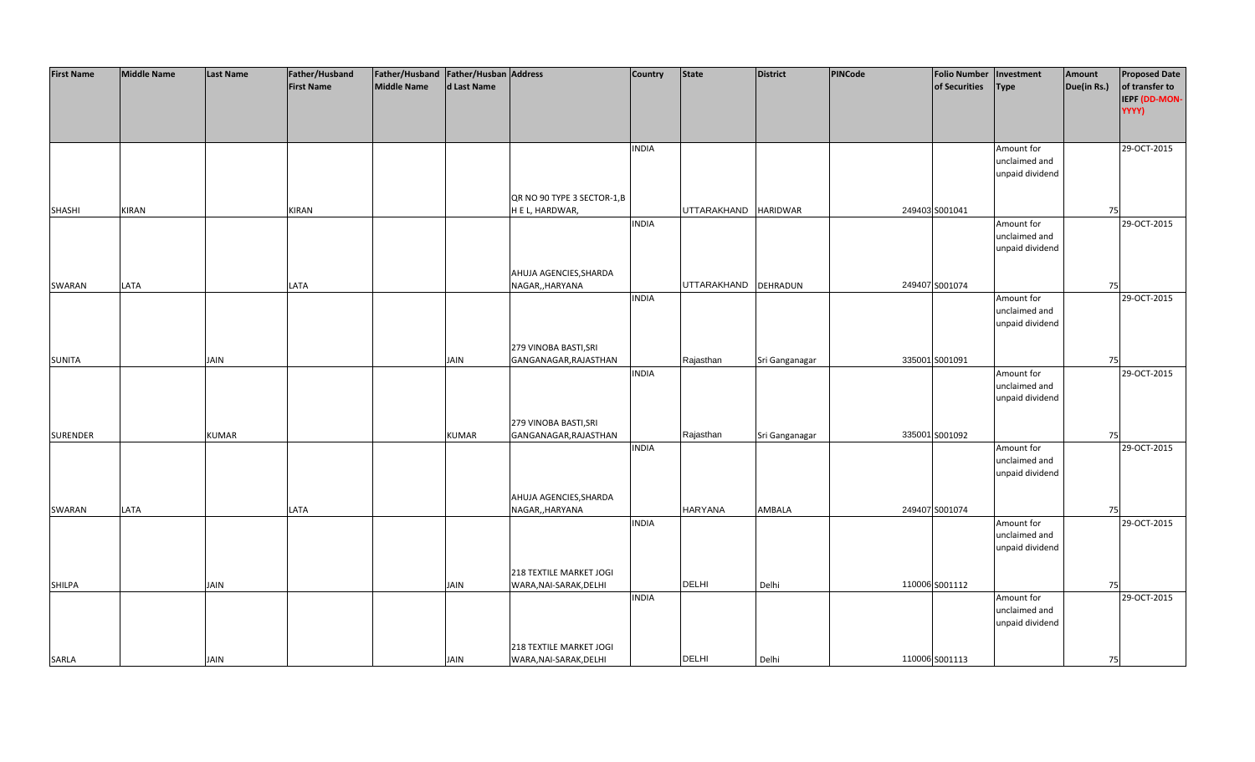| <b>First Name</b> | <b>Middle Name</b> | <b>Last Name</b> | Father/Husband    | Father/Husband Father/Husban Address |              |                             | <b>Country</b> | <b>State</b>         | <b>District</b> | PINCode | <b>Folio Number</b> | Investment      | Amount      | <b>Proposed Date</b> |
|-------------------|--------------------|------------------|-------------------|--------------------------------------|--------------|-----------------------------|----------------|----------------------|-----------------|---------|---------------------|-----------------|-------------|----------------------|
|                   |                    |                  | <b>First Name</b> | <b>Middle Name</b>                   | d Last Name  |                             |                |                      |                 |         | of Securities       | <b>Type</b>     | Due(in Rs.) | of transfer to       |
|                   |                    |                  |                   |                                      |              |                             |                |                      |                 |         |                     |                 |             | IEPF (DD-MON-        |
|                   |                    |                  |                   |                                      |              |                             |                |                      |                 |         |                     |                 |             | YYYY)                |
|                   |                    |                  |                   |                                      |              |                             |                |                      |                 |         |                     |                 |             |                      |
|                   |                    |                  |                   |                                      |              |                             |                |                      |                 |         |                     |                 |             |                      |
|                   |                    |                  |                   |                                      |              |                             | <b>INDIA</b>   |                      |                 |         |                     | Amount for      |             | 29-OCT-2015          |
|                   |                    |                  |                   |                                      |              |                             |                |                      |                 |         |                     | unclaimed and   |             |                      |
|                   |                    |                  |                   |                                      |              |                             |                |                      |                 |         |                     | unpaid dividend |             |                      |
|                   |                    |                  |                   |                                      |              |                             |                |                      |                 |         |                     |                 |             |                      |
|                   |                    |                  |                   |                                      |              | QR NO 90 TYPE 3 SECTOR-1, B |                |                      |                 |         |                     |                 |             |                      |
| <b>SHASHI</b>     | <b>KIRAN</b>       |                  | KIRAN             |                                      |              | H E L, HARDWAR,             |                | <b>UTTARAKHAND</b>   | <b>HARIDWAR</b> |         | 249403 S001041      |                 | 75          |                      |
|                   |                    |                  |                   |                                      |              |                             | <b>INDIA</b>   |                      |                 |         |                     | Amount for      |             | 29-OCT-2015          |
|                   |                    |                  |                   |                                      |              |                             |                |                      |                 |         |                     | unclaimed and   |             |                      |
|                   |                    |                  |                   |                                      |              |                             |                |                      |                 |         |                     | unpaid dividend |             |                      |
|                   |                    |                  |                   |                                      |              |                             |                |                      |                 |         |                     |                 |             |                      |
|                   |                    |                  |                   |                                      |              | AHUJA AGENCIES, SHARDA      |                |                      |                 |         |                     |                 |             |                      |
| SWARAN            | LATA               |                  | LATA              |                                      |              | NAGAR,, HARYANA             |                | UTTARAKHAND DEHRADUN |                 |         | 249407 S001074      |                 | 75          |                      |
|                   |                    |                  |                   |                                      |              |                             | <b>INDIA</b>   |                      |                 |         |                     | Amount for      |             | 29-OCT-2015          |
|                   |                    |                  |                   |                                      |              |                             |                |                      |                 |         |                     | unclaimed and   |             |                      |
|                   |                    |                  |                   |                                      |              |                             |                |                      |                 |         |                     | unpaid dividend |             |                      |
|                   |                    |                  |                   |                                      |              |                             |                |                      |                 |         |                     |                 |             |                      |
|                   |                    |                  |                   |                                      |              | 279 VINOBA BASTI, SRI       |                |                      |                 |         |                     |                 |             |                      |
| <b>SUNITA</b>     |                    | JAIN             |                   |                                      | <b>JAIN</b>  | GANGANAGAR, RAJASTHAN       |                | Rajasthan            | Sri Ganganagar  |         | 335001 S001091      |                 | 75          |                      |
|                   |                    |                  |                   |                                      |              |                             | <b>INDIA</b>   |                      |                 |         |                     | Amount for      |             | 29-OCT-2015          |
|                   |                    |                  |                   |                                      |              |                             |                |                      |                 |         |                     | unclaimed and   |             |                      |
|                   |                    |                  |                   |                                      |              |                             |                |                      |                 |         |                     | unpaid dividend |             |                      |
|                   |                    |                  |                   |                                      |              |                             |                |                      |                 |         |                     |                 |             |                      |
|                   |                    |                  |                   |                                      |              | 279 VINOBA BASTI, SRI       |                |                      |                 |         |                     |                 |             |                      |
| <b>SURENDER</b>   |                    | <b>KUMAR</b>     |                   |                                      | <b>KUMAR</b> | GANGANAGAR, RAJASTHAN       |                | Rajasthan            | Sri Ganganagar  |         | 335001 S001092      |                 | 75          |                      |
|                   |                    |                  |                   |                                      |              |                             | <b>INDIA</b>   |                      |                 |         |                     | Amount for      |             | 29-OCT-2015          |
|                   |                    |                  |                   |                                      |              |                             |                |                      |                 |         |                     | unclaimed and   |             |                      |
|                   |                    |                  |                   |                                      |              |                             |                |                      |                 |         |                     | unpaid dividend |             |                      |
|                   |                    |                  |                   |                                      |              |                             |                |                      |                 |         |                     |                 |             |                      |
|                   |                    |                  |                   |                                      |              | AHUJA AGENCIES, SHARDA      |                |                      |                 |         |                     |                 |             |                      |
| SWARAN            | LATA               |                  | LATA              |                                      |              | NAGAR,, HARYANA             |                | <b>HARYANA</b>       | AMBALA          |         | 249407 S001074      |                 | 75          |                      |
|                   |                    |                  |                   |                                      |              |                             | <b>INDIA</b>   |                      |                 |         |                     | Amount for      |             | 29-OCT-2015          |
|                   |                    |                  |                   |                                      |              |                             |                |                      |                 |         |                     | unclaimed and   |             |                      |
|                   |                    |                  |                   |                                      |              |                             |                |                      |                 |         |                     | unpaid dividend |             |                      |
|                   |                    |                  |                   |                                      |              |                             |                |                      |                 |         |                     |                 |             |                      |
|                   |                    |                  |                   |                                      |              | 218 TEXTILE MARKET JOGI     |                |                      |                 |         |                     |                 |             |                      |
| <b>SHILPA</b>     |                    | JAIN             |                   |                                      | <b>JAIN</b>  | WARA, NAI-SARAK, DELHI      |                | <b>DELHI</b>         | Delhi           |         | 110006 S001112      |                 | 75          |                      |
|                   |                    |                  |                   |                                      |              |                             | <b>INDIA</b>   |                      |                 |         |                     | Amount for      |             | 29-OCT-2015          |
|                   |                    |                  |                   |                                      |              |                             |                |                      |                 |         |                     | unclaimed and   |             |                      |
|                   |                    |                  |                   |                                      |              |                             |                |                      |                 |         |                     | unpaid dividend |             |                      |
|                   |                    |                  |                   |                                      |              |                             |                |                      |                 |         |                     |                 |             |                      |
|                   |                    |                  |                   |                                      |              | 218 TEXTILE MARKET JOGI     |                |                      |                 |         |                     |                 |             |                      |
| SARLA             |                    | <b>JAIN</b>      |                   |                                      | <b>JAIN</b>  | WARA, NAI-SARAK, DELHI      |                | <b>DELHI</b>         | Delhi           |         | 110006 S001113      |                 | 75          |                      |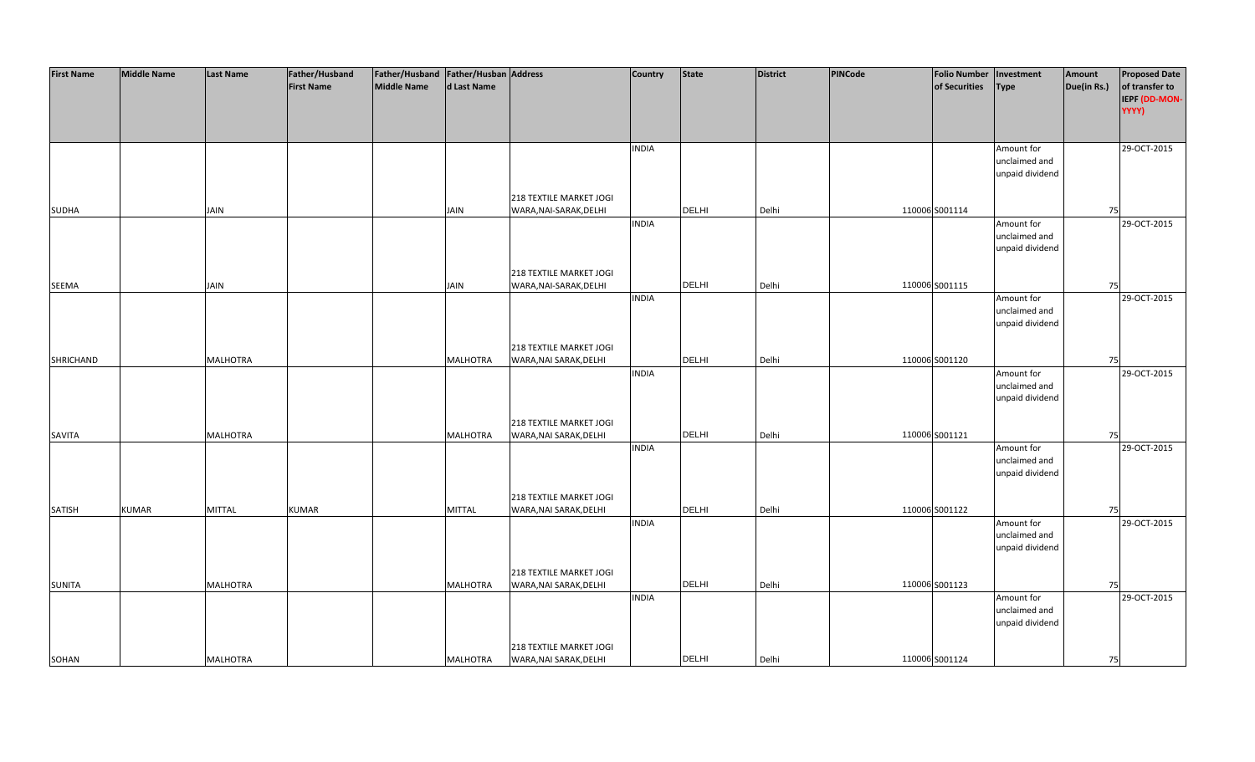| <b>First Name</b> | <b>Middle Name</b> | <b>Last Name</b> | Father/Husband    | Father/Husband Father/Husban Address |                 |                         | <b>Country</b> | <b>State</b> | <b>District</b> | PINCode | <b>Folio Number</b> | Investment      | Amount      | <b>Proposed Date</b> |
|-------------------|--------------------|------------------|-------------------|--------------------------------------|-----------------|-------------------------|----------------|--------------|-----------------|---------|---------------------|-----------------|-------------|----------------------|
|                   |                    |                  | <b>First Name</b> | <b>Middle Name</b>                   | d Last Name     |                         |                |              |                 |         | of Securities       | <b>Type</b>     | Due(in Rs.) | of transfer to       |
|                   |                    |                  |                   |                                      |                 |                         |                |              |                 |         |                     |                 |             | IEPF (DD-MON-        |
|                   |                    |                  |                   |                                      |                 |                         |                |              |                 |         |                     |                 |             | YYYY)                |
|                   |                    |                  |                   |                                      |                 |                         |                |              |                 |         |                     |                 |             |                      |
|                   |                    |                  |                   |                                      |                 |                         |                |              |                 |         |                     |                 |             |                      |
|                   |                    |                  |                   |                                      |                 |                         | <b>INDIA</b>   |              |                 |         |                     | Amount for      |             | 29-OCT-2015          |
|                   |                    |                  |                   |                                      |                 |                         |                |              |                 |         |                     | unclaimed and   |             |                      |
|                   |                    |                  |                   |                                      |                 |                         |                |              |                 |         |                     | unpaid dividend |             |                      |
|                   |                    |                  |                   |                                      |                 |                         |                |              |                 |         |                     |                 |             |                      |
|                   |                    |                  |                   |                                      |                 | 218 TEXTILE MARKET JOGI |                |              |                 |         |                     |                 |             |                      |
| <b>SUDHA</b>      |                    | <b>JAIN</b>      |                   |                                      | <b>JAIN</b>     | WARA, NAI-SARAK, DELHI  |                | <b>DELHI</b> | Delhi           |         | 110006 S001114      |                 | 75          |                      |
|                   |                    |                  |                   |                                      |                 |                         | <b>INDIA</b>   |              |                 |         |                     | Amount for      |             | 29-OCT-2015          |
|                   |                    |                  |                   |                                      |                 |                         |                |              |                 |         |                     | unclaimed and   |             |                      |
|                   |                    |                  |                   |                                      |                 |                         |                |              |                 |         |                     | unpaid dividend |             |                      |
|                   |                    |                  |                   |                                      |                 |                         |                |              |                 |         |                     |                 |             |                      |
|                   |                    |                  |                   |                                      |                 | 218 TEXTILE MARKET JOGI |                |              |                 |         |                     |                 |             |                      |
| SEEMA             |                    | <b>JAIN</b>      |                   |                                      | <b>JAIN</b>     | WARA, NAI-SARAK, DELHI  |                | <b>DELHI</b> | Delhi           |         | 110006 S001115      |                 | 75          |                      |
|                   |                    |                  |                   |                                      |                 |                         | <b>INDIA</b>   |              |                 |         |                     | Amount for      |             | 29-OCT-2015          |
|                   |                    |                  |                   |                                      |                 |                         |                |              |                 |         |                     | unclaimed and   |             |                      |
|                   |                    |                  |                   |                                      |                 |                         |                |              |                 |         |                     | unpaid dividend |             |                      |
|                   |                    |                  |                   |                                      |                 |                         |                |              |                 |         |                     |                 |             |                      |
|                   |                    |                  |                   |                                      |                 | 218 TEXTILE MARKET JOGI |                |              |                 |         |                     |                 |             |                      |
| <b>SHRICHAND</b>  |                    | <b>MALHOTRA</b>  |                   |                                      | <b>MALHOTRA</b> | WARA, NAI SARAK, DELHI  |                | <b>DELHI</b> | Delhi           |         | 110006 S001120      |                 | 75          |                      |
|                   |                    |                  |                   |                                      |                 |                         | <b>INDIA</b>   |              |                 |         |                     | Amount for      |             | 29-OCT-2015          |
|                   |                    |                  |                   |                                      |                 |                         |                |              |                 |         |                     | unclaimed and   |             |                      |
|                   |                    |                  |                   |                                      |                 |                         |                |              |                 |         |                     | unpaid dividend |             |                      |
|                   |                    |                  |                   |                                      |                 |                         |                |              |                 |         |                     |                 |             |                      |
|                   |                    |                  |                   |                                      |                 | 218 TEXTILE MARKET JOGI |                |              |                 |         |                     |                 |             |                      |
| SAVITA            |                    | <b>MALHOTRA</b>  |                   |                                      | <b>MALHOTRA</b> | WARA, NAI SARAK, DELHI  |                | DELHI        | Delhi           |         | 110006 S001121      |                 | 75          |                      |
|                   |                    |                  |                   |                                      |                 |                         | <b>INDIA</b>   |              |                 |         |                     | Amount for      |             | 29-OCT-2015          |
|                   |                    |                  |                   |                                      |                 |                         |                |              |                 |         |                     | unclaimed and   |             |                      |
|                   |                    |                  |                   |                                      |                 |                         |                |              |                 |         |                     | unpaid dividend |             |                      |
|                   |                    |                  |                   |                                      |                 |                         |                |              |                 |         |                     |                 |             |                      |
|                   |                    |                  |                   |                                      |                 | 218 TEXTILE MARKET JOGI |                |              |                 |         |                     |                 |             |                      |
| SATISH            | <b>KUMAR</b>       | <b>MITTAL</b>    | <b>KUMAR</b>      |                                      | <b>MITTAL</b>   | WARA, NAI SARAK, DELHI  |                | <b>DELHI</b> | Delhi           |         | 110006 S001122      |                 | 75          |                      |
|                   |                    |                  |                   |                                      |                 |                         | <b>INDIA</b>   |              |                 |         |                     | Amount for      |             | 29-OCT-2015          |
|                   |                    |                  |                   |                                      |                 |                         |                |              |                 |         |                     | unclaimed and   |             |                      |
|                   |                    |                  |                   |                                      |                 |                         |                |              |                 |         |                     | unpaid dividend |             |                      |
|                   |                    |                  |                   |                                      |                 |                         |                |              |                 |         |                     |                 |             |                      |
|                   |                    |                  |                   |                                      |                 | 218 TEXTILE MARKET JOGI |                |              |                 |         |                     |                 |             |                      |
| <b>SUNITA</b>     |                    | <b>MALHOTRA</b>  |                   |                                      | <b>MALHOTRA</b> | WARA, NAI SARAK, DELHI  |                | <b>DELHI</b> | Delhi           |         | 110006 S001123      |                 | 75          |                      |
|                   |                    |                  |                   |                                      |                 |                         | <b>INDIA</b>   |              |                 |         |                     | Amount for      |             | 29-OCT-2015          |
|                   |                    |                  |                   |                                      |                 |                         |                |              |                 |         |                     | unclaimed and   |             |                      |
|                   |                    |                  |                   |                                      |                 |                         |                |              |                 |         |                     | unpaid dividend |             |                      |
|                   |                    |                  |                   |                                      |                 |                         |                |              |                 |         |                     |                 |             |                      |
|                   |                    |                  |                   |                                      |                 | 218 TEXTILE MARKET JOGI |                |              |                 |         |                     |                 |             |                      |
| SOHAN             |                    | <b>MALHOTRA</b>  |                   |                                      | <b>MALHOTRA</b> | WARA, NAI SARAK, DELHI  |                | <b>DELHI</b> | Delhi           |         | 110006 S001124      |                 | 75          |                      |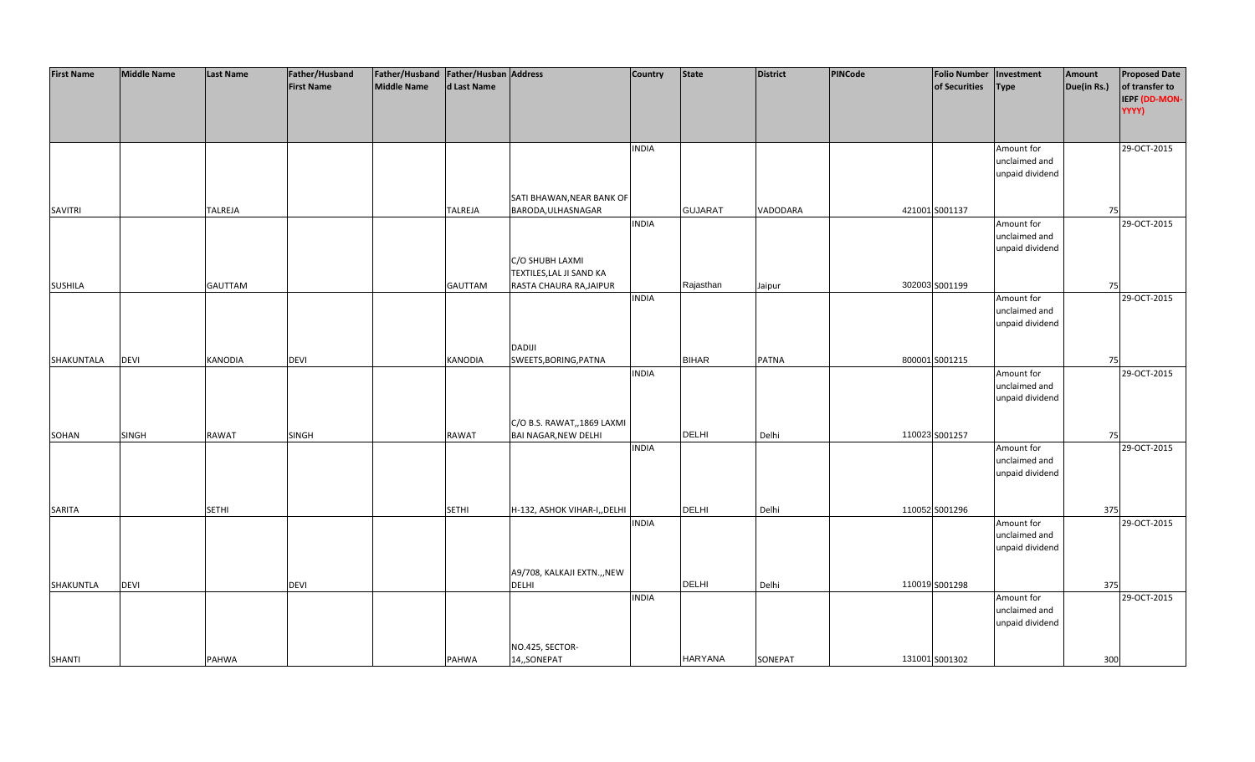| <b>First Name</b> | <b>Middle Name</b> | <b>Last Name</b> | Father/Husband    | Father/Husband   Father/Husban   Address |                |                              | <b>Country</b> | <b>State</b>   | <b>District</b> | PINCode | <b>Folio Number</b> | Investment      | Amount      | <b>Proposed Date</b> |
|-------------------|--------------------|------------------|-------------------|------------------------------------------|----------------|------------------------------|----------------|----------------|-----------------|---------|---------------------|-----------------|-------------|----------------------|
|                   |                    |                  | <b>First Name</b> | <b>Middle Name</b>                       | d Last Name    |                              |                |                |                 |         | of Securities       | <b>Type</b>     | Due(in Rs.) | of transfer to       |
|                   |                    |                  |                   |                                          |                |                              |                |                |                 |         |                     |                 |             | IEPF (DD-MON-        |
|                   |                    |                  |                   |                                          |                |                              |                |                |                 |         |                     |                 |             | YYYY)                |
|                   |                    |                  |                   |                                          |                |                              |                |                |                 |         |                     |                 |             |                      |
|                   |                    |                  |                   |                                          |                |                              |                |                |                 |         |                     |                 |             |                      |
|                   |                    |                  |                   |                                          |                |                              | <b>INDIA</b>   |                |                 |         |                     | Amount for      |             | 29-OCT-2015          |
|                   |                    |                  |                   |                                          |                |                              |                |                |                 |         |                     | unclaimed and   |             |                      |
|                   |                    |                  |                   |                                          |                |                              |                |                |                 |         |                     | unpaid dividend |             |                      |
|                   |                    |                  |                   |                                          |                |                              |                |                |                 |         |                     |                 |             |                      |
|                   |                    |                  |                   |                                          |                | SATI BHAWAN, NEAR BANK OF    |                |                |                 |         |                     |                 |             |                      |
| <b>SAVITRI</b>    |                    | <b>TALREJA</b>   |                   |                                          | <b>TALREJA</b> | BARODA, ULHASNAGAR           |                | <b>GUJARAT</b> | VADODARA        |         | 421001 S001137      |                 | 75          |                      |
|                   |                    |                  |                   |                                          |                |                              | <b>INDIA</b>   |                |                 |         |                     | Amount for      |             | 29-OCT-2015          |
|                   |                    |                  |                   |                                          |                |                              |                |                |                 |         |                     | unclaimed and   |             |                      |
|                   |                    |                  |                   |                                          |                |                              |                |                |                 |         |                     | unpaid dividend |             |                      |
|                   |                    |                  |                   |                                          |                | C/O SHUBH LAXMI              |                |                |                 |         |                     |                 |             |                      |
|                   |                    |                  |                   |                                          |                | TEXTILES, LAL JI SAND KA     |                |                |                 |         |                     |                 |             |                      |
| <b>SUSHILA</b>    |                    | <b>GAUTTAM</b>   |                   |                                          | <b>GAUTTAM</b> | RASTA CHAURA RA, JAIPUR      |                | Rajasthan      | Jaipur          |         | 302003 S001199      |                 | 75          |                      |
|                   |                    |                  |                   |                                          |                |                              | <b>INDIA</b>   |                |                 |         |                     | Amount for      |             | 29-OCT-2015          |
|                   |                    |                  |                   |                                          |                |                              |                |                |                 |         |                     | unclaimed and   |             |                      |
|                   |                    |                  |                   |                                          |                |                              |                |                |                 |         |                     | unpaid dividend |             |                      |
|                   |                    |                  |                   |                                          |                |                              |                |                |                 |         |                     |                 |             |                      |
|                   |                    |                  |                   |                                          |                | <b>DADIJI</b>                |                |                |                 |         |                     |                 |             |                      |
| SHAKUNTALA        | <b>DEVI</b>        | <b>KANODIA</b>   | <b>DEVI</b>       |                                          | <b>KANODIA</b> | SWEETS, BORING, PATNA        |                | <b>BIHAR</b>   | <b>PATNA</b>    |         | 800001 S001215      |                 | 75          |                      |
|                   |                    |                  |                   |                                          |                |                              | <b>INDIA</b>   |                |                 |         |                     | Amount for      |             | 29-OCT-2015          |
|                   |                    |                  |                   |                                          |                |                              |                |                |                 |         |                     | unclaimed and   |             |                      |
|                   |                    |                  |                   |                                          |                |                              |                |                |                 |         |                     |                 |             |                      |
|                   |                    |                  |                   |                                          |                |                              |                |                |                 |         |                     | unpaid dividend |             |                      |
|                   |                    |                  |                   |                                          |                |                              |                |                |                 |         |                     |                 |             |                      |
|                   |                    |                  |                   |                                          |                | C/O B.S. RAWAT,,1869 LAXMI   |                | <b>DELHI</b>   |                 |         |                     |                 |             |                      |
| SOHAN             | <b>SINGH</b>       | <b>RAWAT</b>     | SINGH             |                                          | <b>RAWAT</b>   | <b>BAI NAGAR, NEW DELHI</b>  |                |                | Delhi           |         | 110023 S001257      |                 | 75          |                      |
|                   |                    |                  |                   |                                          |                |                              | <b>INDIA</b>   |                |                 |         |                     | Amount for      |             | 29-OCT-2015          |
|                   |                    |                  |                   |                                          |                |                              |                |                |                 |         |                     | unclaimed and   |             |                      |
|                   |                    |                  |                   |                                          |                |                              |                |                |                 |         |                     | unpaid dividend |             |                      |
|                   |                    |                  |                   |                                          |                |                              |                |                |                 |         |                     |                 |             |                      |
|                   |                    |                  |                   |                                          |                |                              |                |                |                 |         |                     |                 |             |                      |
| SARITA            |                    | <b>SETHI</b>     |                   |                                          | <b>SETHI</b>   | H-132, ASHOK VIHAR-I,, DELHI |                | <b>DELHI</b>   | Delhi           |         | 110052 S001296      |                 | 375         |                      |
|                   |                    |                  |                   |                                          |                |                              | <b>INDIA</b>   |                |                 |         |                     | Amount for      |             | 29-OCT-2015          |
|                   |                    |                  |                   |                                          |                |                              |                |                |                 |         |                     | unclaimed and   |             |                      |
|                   |                    |                  |                   |                                          |                |                              |                |                |                 |         |                     | unpaid dividend |             |                      |
|                   |                    |                  |                   |                                          |                |                              |                |                |                 |         |                     |                 |             |                      |
|                   |                    |                  |                   |                                          |                | A9/708, KALKAJI EXTN.,, NEW  |                |                |                 |         |                     |                 |             |                      |
| SHAKUNTLA         | <b>DEVI</b>        |                  | <b>DEVI</b>       |                                          |                | <b>DELHI</b>                 |                | DELHI          | Delhi           |         | 110019 S001298      |                 | 375         |                      |
|                   |                    |                  |                   |                                          |                |                              | <b>INDIA</b>   |                |                 |         |                     | Amount for      |             | 29-OCT-2015          |
|                   |                    |                  |                   |                                          |                |                              |                |                |                 |         |                     | unclaimed and   |             |                      |
|                   |                    |                  |                   |                                          |                |                              |                |                |                 |         |                     | unpaid dividend |             |                      |
|                   |                    |                  |                   |                                          |                |                              |                |                |                 |         |                     |                 |             |                      |
|                   |                    |                  |                   |                                          |                | NO.425, SECTOR-              |                |                |                 |         |                     |                 |             |                      |
| <b>SHANTI</b>     |                    | PAHWA            |                   |                                          | PAHWA          | 14,,SONEPAT                  |                | <b>HARYANA</b> | SONEPAT         |         | 131001 S001302      |                 | 300         |                      |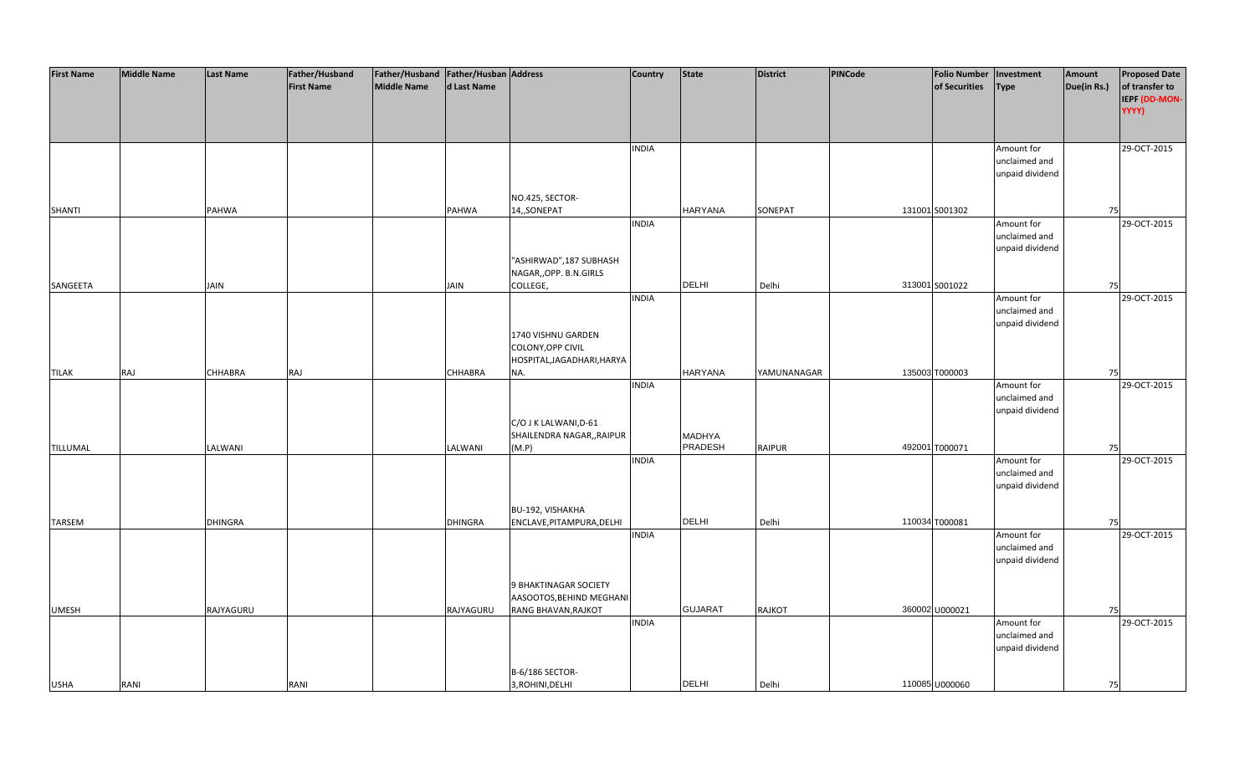| <b>First Name</b> | <b>Middle Name</b> | <b>Last Name</b> | Father/Husband    | Father/Husband Father/Husban Address |                |                            | <b>Country</b> | <b>State</b>             | <b>District</b> | <b>PINCode</b> | <b>Folio Number</b> | Investment      | Amount      | <b>Proposed Date</b> |
|-------------------|--------------------|------------------|-------------------|--------------------------------------|----------------|----------------------------|----------------|--------------------------|-----------------|----------------|---------------------|-----------------|-------------|----------------------|
|                   |                    |                  | <b>First Name</b> | <b>Middle Name</b>                   | d Last Name    |                            |                |                          |                 |                | of Securities       | <b>Type</b>     | Due(in Rs.) | of transfer to       |
|                   |                    |                  |                   |                                      |                |                            |                |                          |                 |                |                     |                 |             | IEPF (DD-MON-        |
|                   |                    |                  |                   |                                      |                |                            |                |                          |                 |                |                     |                 |             | YYYY)                |
|                   |                    |                  |                   |                                      |                |                            |                |                          |                 |                |                     |                 |             |                      |
|                   |                    |                  |                   |                                      |                |                            |                |                          |                 |                |                     |                 |             |                      |
|                   |                    |                  |                   |                                      |                |                            | <b>INDIA</b>   |                          |                 |                |                     | Amount for      |             | 29-OCT-2015          |
|                   |                    |                  |                   |                                      |                |                            |                |                          |                 |                |                     | unclaimed and   |             |                      |
|                   |                    |                  |                   |                                      |                |                            |                |                          |                 |                |                     | unpaid dividend |             |                      |
|                   |                    |                  |                   |                                      |                |                            |                |                          |                 |                |                     |                 |             |                      |
|                   |                    |                  |                   |                                      |                | NO.425, SECTOR-            |                |                          |                 |                |                     |                 |             |                      |
| <b>SHANTI</b>     |                    | PAHWA            |                   |                                      | PAHWA          | 14,,SONEPAT                |                | <b>HARYANA</b>           | SONEPAT         |                | 131001 S001302      |                 | 75          |                      |
|                   |                    |                  |                   |                                      |                |                            | <b>INDIA</b>   |                          |                 |                |                     | Amount for      |             | 29-OCT-2015          |
|                   |                    |                  |                   |                                      |                |                            |                |                          |                 |                |                     | unclaimed and   |             |                      |
|                   |                    |                  |                   |                                      |                |                            |                |                          |                 |                |                     | unpaid dividend |             |                      |
|                   |                    |                  |                   |                                      |                | "ASHIRWAD",187 SUBHASH     |                |                          |                 |                |                     |                 |             |                      |
|                   |                    |                  |                   |                                      |                | NAGAR,, OPP. B.N.GIRLS     |                |                          |                 |                |                     |                 |             |                      |
| SANGEETA          |                    | JAIN             |                   |                                      | JAIN           | COLLEGE,                   |                | <b>DELHI</b>             | Delhi           |                | 313001 S001022      |                 | 75          |                      |
|                   |                    |                  |                   |                                      |                |                            | <b>INDIA</b>   |                          |                 |                |                     | Amount for      |             | 29-OCT-2015          |
|                   |                    |                  |                   |                                      |                |                            |                |                          |                 |                |                     | unclaimed and   |             |                      |
|                   |                    |                  |                   |                                      |                |                            |                |                          |                 |                |                     |                 |             |                      |
|                   |                    |                  |                   |                                      |                | 1740 VISHNU GARDEN         |                |                          |                 |                |                     | unpaid dividend |             |                      |
|                   |                    |                  |                   |                                      |                |                            |                |                          |                 |                |                     |                 |             |                      |
|                   |                    |                  |                   |                                      |                | COLONY, OPP CIVIL          |                |                          |                 |                |                     |                 |             |                      |
|                   |                    |                  |                   |                                      |                | HOSPITAL, JAGADHARI, HARYA |                | <b>HARYANA</b>           |                 |                | 135003 T000003      |                 |             |                      |
| <b>TILAK</b>      | RAJ                | CHHABRA          | RAJ               |                                      | <b>CHHABRA</b> | NA.                        |                |                          | YAMUNANAGAR     |                |                     |                 | 75          |                      |
|                   |                    |                  |                   |                                      |                |                            | <b>INDIA</b>   |                          |                 |                |                     | Amount for      |             | 29-OCT-2015          |
|                   |                    |                  |                   |                                      |                |                            |                |                          |                 |                |                     | unclaimed and   |             |                      |
|                   |                    |                  |                   |                                      |                |                            |                |                          |                 |                |                     | unpaid dividend |             |                      |
|                   |                    |                  |                   |                                      |                | C/O J K LALWANI, D-61      |                |                          |                 |                |                     |                 |             |                      |
|                   |                    |                  |                   |                                      |                | SHAILENDRA NAGAR,, RAIPUR  |                | <b>MADHYA</b><br>PRADESH |                 |                |                     |                 |             |                      |
| TILLUMAL          |                    | LALWANI          |                   |                                      | LALWANI        | (M.P)                      |                |                          | RAIPUR          |                | 492001 T000071      |                 | 75          |                      |
|                   |                    |                  |                   |                                      |                |                            | <b>INDIA</b>   |                          |                 |                |                     | Amount for      |             | 29-OCT-2015          |
|                   |                    |                  |                   |                                      |                |                            |                |                          |                 |                |                     | unclaimed and   |             |                      |
|                   |                    |                  |                   |                                      |                |                            |                |                          |                 |                |                     | unpaid dividend |             |                      |
|                   |                    |                  |                   |                                      |                |                            |                |                          |                 |                |                     |                 |             |                      |
|                   |                    |                  |                   |                                      |                | BU-192, VISHAKHA           |                |                          |                 |                |                     |                 |             |                      |
| <b>TARSEM</b>     |                    | <b>DHINGRA</b>   |                   |                                      | <b>DHINGRA</b> | ENCLAVE, PITAMPURA, DELHI  |                | <b>DELHI</b>             | Delhi           |                | 110034 T000081      |                 | 75          |                      |
|                   |                    |                  |                   |                                      |                |                            | <b>INDIA</b>   |                          |                 |                |                     | Amount for      |             | 29-OCT-2015          |
|                   |                    |                  |                   |                                      |                |                            |                |                          |                 |                |                     | unclaimed and   |             |                      |
|                   |                    |                  |                   |                                      |                |                            |                |                          |                 |                |                     | unpaid dividend |             |                      |
|                   |                    |                  |                   |                                      |                |                            |                |                          |                 |                |                     |                 |             |                      |
|                   |                    |                  |                   |                                      |                | 9 BHAKTINAGAR SOCIETY      |                |                          |                 |                |                     |                 |             |                      |
|                   |                    |                  |                   |                                      |                | AASOOTOS, BEHIND MEGHANI   |                |                          |                 |                |                     |                 |             |                      |
| <b>UMESH</b>      |                    | RAJYAGURU        |                   |                                      | RAJYAGURU      | RANG BHAVAN, RAJKOT        |                | <b>GUJARAT</b>           | <b>RAJKOT</b>   |                | 360002 U000021      |                 | 75          |                      |
|                   |                    |                  |                   |                                      |                |                            | <b>INDIA</b>   |                          |                 |                |                     | Amount for      |             | 29-OCT-2015          |
|                   |                    |                  |                   |                                      |                |                            |                |                          |                 |                |                     | unclaimed and   |             |                      |
|                   |                    |                  |                   |                                      |                |                            |                |                          |                 |                |                     | unpaid dividend |             |                      |
|                   |                    |                  |                   |                                      |                |                            |                |                          |                 |                |                     |                 |             |                      |
|                   |                    |                  |                   |                                      |                | B-6/186 SECTOR-            |                |                          |                 |                |                     |                 |             |                      |
| <b>USHA</b>       | RANI               |                  | RANI              |                                      |                | 3, ROHINI, DELHI           |                | <b>DELHI</b>             | Delhi           |                | 110085 U000060      |                 | 75          |                      |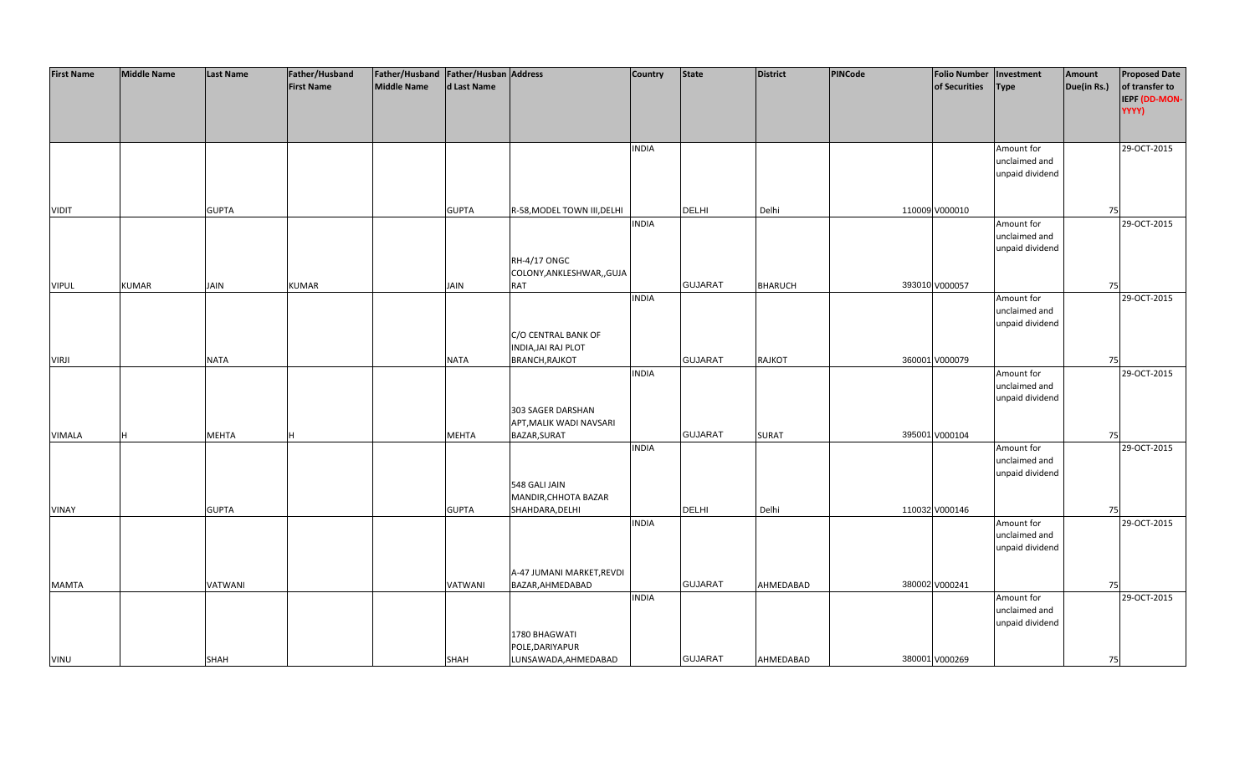| <b>First Name</b> | <b>Middle Name</b> | <b>Last Name</b> | Father/Husband    | Father/Husband   Father/Husban   Address |              |                             | <b>Country</b> | <b>State</b>   | <b>District</b> | PINCode | <b>Folio Number</b> | Investment      | Amount      | <b>Proposed Date</b> |
|-------------------|--------------------|------------------|-------------------|------------------------------------------|--------------|-----------------------------|----------------|----------------|-----------------|---------|---------------------|-----------------|-------------|----------------------|
|                   |                    |                  | <b>First Name</b> | <b>Middle Name</b>                       | d Last Name  |                             |                |                |                 |         | of Securities       | <b>Type</b>     | Due(in Rs.) | of transfer to       |
|                   |                    |                  |                   |                                          |              |                             |                |                |                 |         |                     |                 |             | IEPF (DD-MON-        |
|                   |                    |                  |                   |                                          |              |                             |                |                |                 |         |                     |                 |             | YYYY)                |
|                   |                    |                  |                   |                                          |              |                             |                |                |                 |         |                     |                 |             |                      |
|                   |                    |                  |                   |                                          |              |                             |                |                |                 |         |                     |                 |             |                      |
|                   |                    |                  |                   |                                          |              |                             | <b>INDIA</b>   |                |                 |         |                     | Amount for      |             | 29-OCT-2015          |
|                   |                    |                  |                   |                                          |              |                             |                |                |                 |         |                     | unclaimed and   |             |                      |
|                   |                    |                  |                   |                                          |              |                             |                |                |                 |         |                     | unpaid dividend |             |                      |
|                   |                    |                  |                   |                                          |              |                             |                |                |                 |         |                     |                 |             |                      |
|                   |                    |                  |                   |                                          |              |                             |                |                |                 |         |                     |                 |             |                      |
| <b>VIDIT</b>      |                    | <b>GUPTA</b>     |                   |                                          | <b>GUPTA</b> | R-58, MODEL TOWN III, DELHI |                | DELHI          | Delhi           |         | 110009 V000010      |                 | 75          |                      |
|                   |                    |                  |                   |                                          |              |                             | <b>INDIA</b>   |                |                 |         |                     | Amount for      |             | 29-OCT-2015          |
|                   |                    |                  |                   |                                          |              |                             |                |                |                 |         |                     |                 |             |                      |
|                   |                    |                  |                   |                                          |              |                             |                |                |                 |         |                     | unclaimed and   |             |                      |
|                   |                    |                  |                   |                                          |              | <b>RH-4/17 ONGC</b>         |                |                |                 |         |                     | unpaid dividend |             |                      |
|                   |                    |                  |                   |                                          |              |                             |                |                |                 |         |                     |                 |             |                      |
|                   |                    |                  |                   |                                          |              | COLONY, ANKLESHWAR, , GUJA  |                |                |                 |         |                     |                 |             |                      |
| <b>VIPUL</b>      | <b>KUMAR</b>       | JAIN             | <b>KUMAR</b>      |                                          | <b>JAIN</b>  | <b>RAT</b>                  |                | <b>GUJARAT</b> | <b>BHARUCH</b>  |         | 393010 V000057      |                 | 75          |                      |
|                   |                    |                  |                   |                                          |              |                             | <b>INDIA</b>   |                |                 |         |                     | Amount for      |             | 29-OCT-2015          |
|                   |                    |                  |                   |                                          |              |                             |                |                |                 |         |                     | unclaimed and   |             |                      |
|                   |                    |                  |                   |                                          |              |                             |                |                |                 |         |                     | unpaid dividend |             |                      |
|                   |                    |                  |                   |                                          |              | C/O CENTRAL BANK OF         |                |                |                 |         |                     |                 |             |                      |
|                   |                    |                  |                   |                                          |              | INDIA, JAI RAJ PLOT         |                |                |                 |         |                     |                 |             |                      |
| <b>VIRJI</b>      |                    | <b>NATA</b>      |                   |                                          | <b>NATA</b>  | <b>BRANCH, RAJKOT</b>       |                | <b>GUJARAT</b> | <b>RAJKOT</b>   |         | 360001 V000079      |                 | 75          |                      |
|                   |                    |                  |                   |                                          |              |                             | <b>INDIA</b>   |                |                 |         |                     | Amount for      |             | 29-OCT-2015          |
|                   |                    |                  |                   |                                          |              |                             |                |                |                 |         |                     | unclaimed and   |             |                      |
|                   |                    |                  |                   |                                          |              |                             |                |                |                 |         |                     | unpaid dividend |             |                      |
|                   |                    |                  |                   |                                          |              | 303 SAGER DARSHAN           |                |                |                 |         |                     |                 |             |                      |
|                   |                    |                  |                   |                                          |              | APT, MALIK WADI NAVSARI     |                |                |                 |         |                     |                 |             |                      |
| <b>VIMALA</b>     |                    | <b>MEHTA</b>     |                   |                                          | <b>MEHTA</b> | BAZAR, SURAT                |                | <b>GUJARAT</b> | <b>SURAT</b>    |         | 395001 V000104      |                 | 75          |                      |
|                   |                    |                  |                   |                                          |              |                             | <b>INDIA</b>   |                |                 |         |                     | Amount for      |             | 29-OCT-2015          |
|                   |                    |                  |                   |                                          |              |                             |                |                |                 |         |                     | unclaimed and   |             |                      |
|                   |                    |                  |                   |                                          |              |                             |                |                |                 |         |                     | unpaid dividend |             |                      |
|                   |                    |                  |                   |                                          |              | 548 GALI JAIN               |                |                |                 |         |                     |                 |             |                      |
|                   |                    |                  |                   |                                          |              | MANDIR, CHHOTA BAZAR        |                |                |                 |         |                     |                 |             |                      |
| <b>VINAY</b>      |                    | <b>GUPTA</b>     |                   |                                          | <b>GUPTA</b> | SHAHDARA, DELHI             |                | <b>DELHI</b>   | Delhi           |         | 110032 V000146      |                 | 75          |                      |
|                   |                    |                  |                   |                                          |              |                             | <b>INDIA</b>   |                |                 |         |                     | Amount for      |             | 29-OCT-2015          |
|                   |                    |                  |                   |                                          |              |                             |                |                |                 |         |                     | unclaimed and   |             |                      |
|                   |                    |                  |                   |                                          |              |                             |                |                |                 |         |                     | unpaid dividend |             |                      |
|                   |                    |                  |                   |                                          |              |                             |                |                |                 |         |                     |                 |             |                      |
|                   |                    |                  |                   |                                          |              | A-47 JUMANI MARKET, REVDI   |                |                |                 |         |                     |                 |             |                      |
| <b>MAMTA</b>      |                    | VATWANI          |                   |                                          | VATWANI      | BAZAR, AHMEDABAD            |                | <b>GUJARAT</b> | AHMEDABAD       |         | 380002 V000241      |                 | 75          |                      |
|                   |                    |                  |                   |                                          |              |                             | <b>INDIA</b>   |                |                 |         |                     | Amount for      |             | 29-OCT-2015          |
|                   |                    |                  |                   |                                          |              |                             |                |                |                 |         |                     | unclaimed and   |             |                      |
|                   |                    |                  |                   |                                          |              |                             |                |                |                 |         |                     | unpaid dividend |             |                      |
|                   |                    |                  |                   |                                          |              | 1780 BHAGWATI               |                |                |                 |         |                     |                 |             |                      |
|                   |                    |                  |                   |                                          |              | POLE, DARIYAPUR             |                |                |                 |         |                     |                 |             |                      |
| VINU              |                    | <b>SHAH</b>      |                   |                                          | <b>SHAH</b>  | LUNSAWADA, AHMEDABAD        |                | <b>GUJARAT</b> | AHMEDABAD       |         | 380001 V000269      |                 | 75          |                      |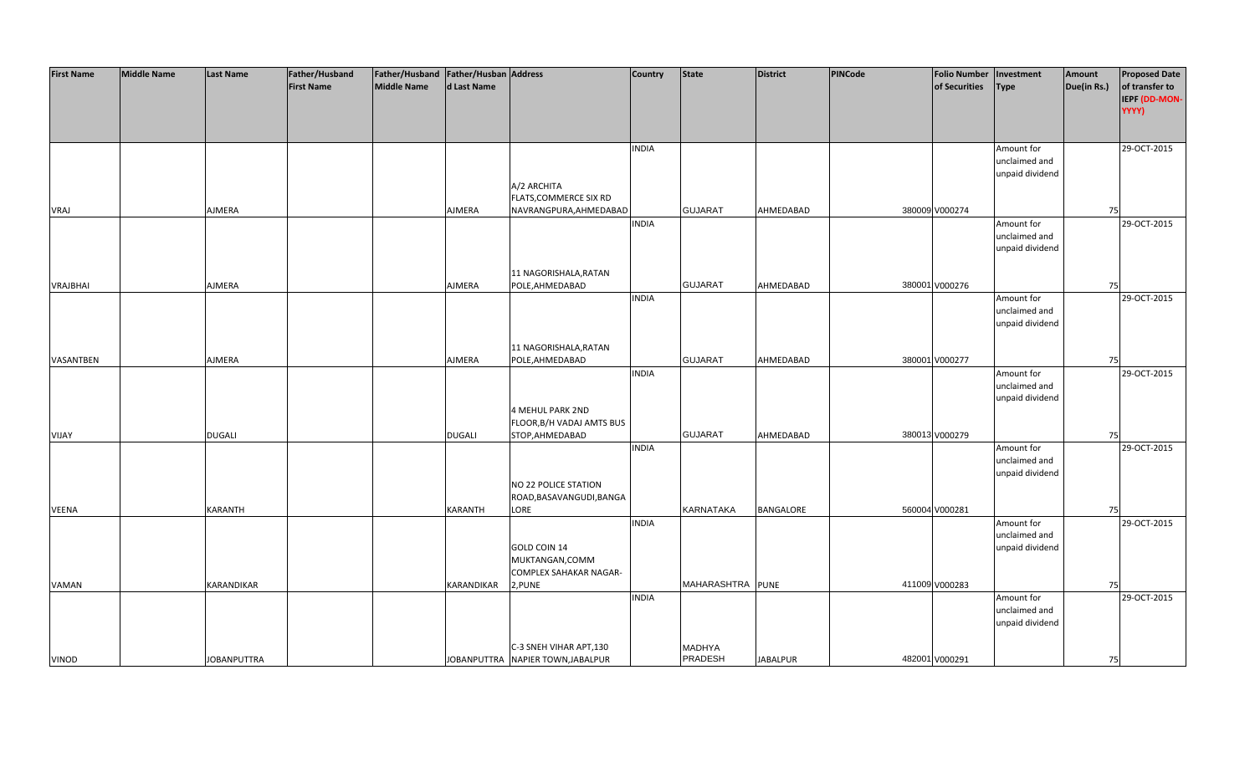| <b>First Name</b> | <b>Middle Name</b> | <b>Last Name</b>   | Father/Husband    | Father/Husband Father/Husban Address |                   |                                   | <b>Country</b> | <b>State</b>             | <b>District</b> | PINCode | <b>Folio Number</b> | Investment      | Amount      | <b>Proposed Date</b> |
|-------------------|--------------------|--------------------|-------------------|--------------------------------------|-------------------|-----------------------------------|----------------|--------------------------|-----------------|---------|---------------------|-----------------|-------------|----------------------|
|                   |                    |                    | <b>First Name</b> | <b>Middle Name</b>                   | d Last Name       |                                   |                |                          |                 |         | of Securities       | <b>Type</b>     | Due(in Rs.) | of transfer to       |
|                   |                    |                    |                   |                                      |                   |                                   |                |                          |                 |         |                     |                 |             |                      |
|                   |                    |                    |                   |                                      |                   |                                   |                |                          |                 |         |                     |                 |             | IEPF (DD-MON-        |
|                   |                    |                    |                   |                                      |                   |                                   |                |                          |                 |         |                     |                 |             | YYYY)                |
|                   |                    |                    |                   |                                      |                   |                                   |                |                          |                 |         |                     |                 |             |                      |
|                   |                    |                    |                   |                                      |                   |                                   |                |                          |                 |         |                     |                 |             |                      |
|                   |                    |                    |                   |                                      |                   |                                   | <b>INDIA</b>   |                          |                 |         |                     | Amount for      |             | 29-OCT-2015          |
|                   |                    |                    |                   |                                      |                   |                                   |                |                          |                 |         |                     | unclaimed and   |             |                      |
|                   |                    |                    |                   |                                      |                   |                                   |                |                          |                 |         |                     | unpaid dividend |             |                      |
|                   |                    |                    |                   |                                      |                   | A/2 ARCHITA                       |                |                          |                 |         |                     |                 |             |                      |
|                   |                    |                    |                   |                                      |                   | FLATS, COMMERCE SIX RD            |                |                          |                 |         |                     |                 |             |                      |
| <b>VRAJ</b>       |                    | AJMERA             |                   |                                      | AJMERA            | NAVRANGPURA, AHMEDABAD            |                | <b>GUJARAT</b>           | AHMEDABAD       |         | 380009 V000274      |                 | 75          |                      |
|                   |                    |                    |                   |                                      |                   |                                   | <b>INDIA</b>   |                          |                 |         |                     | Amount for      |             | 29-OCT-2015          |
|                   |                    |                    |                   |                                      |                   |                                   |                |                          |                 |         |                     | unclaimed and   |             |                      |
|                   |                    |                    |                   |                                      |                   |                                   |                |                          |                 |         |                     | unpaid dividend |             |                      |
|                   |                    |                    |                   |                                      |                   |                                   |                |                          |                 |         |                     |                 |             |                      |
|                   |                    |                    |                   |                                      |                   | 11 NAGORISHALA, RATAN             |                |                          |                 |         |                     |                 |             |                      |
| <b>VRAJBHAI</b>   |                    | AJMERA             |                   |                                      | AJMERA            | POLE, AHMEDABAD                   |                | <b>GUJARAT</b>           | AHMEDABAD       |         | 380001 V000276      |                 | 75          |                      |
|                   |                    |                    |                   |                                      |                   |                                   | <b>INDIA</b>   |                          |                 |         |                     | Amount for      |             | 29-OCT-2015          |
|                   |                    |                    |                   |                                      |                   |                                   |                |                          |                 |         |                     | unclaimed and   |             |                      |
|                   |                    |                    |                   |                                      |                   |                                   |                |                          |                 |         |                     | unpaid dividend |             |                      |
|                   |                    |                    |                   |                                      |                   |                                   |                |                          |                 |         |                     |                 |             |                      |
|                   |                    |                    |                   |                                      |                   | 11 NAGORISHALA, RATAN             |                |                          |                 |         |                     |                 |             |                      |
| VASANTBEN         |                    | <b>AJMERA</b>      |                   |                                      | AJMERA            | POLE, AHMEDABAD                   |                | <b>GUJARAT</b>           | AHMEDABAD       |         | 380001 V000277      |                 | 75          |                      |
|                   |                    |                    |                   |                                      |                   |                                   | <b>INDIA</b>   |                          |                 |         |                     | Amount for      |             | 29-OCT-2015          |
|                   |                    |                    |                   |                                      |                   |                                   |                |                          |                 |         |                     | unclaimed and   |             |                      |
|                   |                    |                    |                   |                                      |                   |                                   |                |                          |                 |         |                     | unpaid dividend |             |                      |
|                   |                    |                    |                   |                                      |                   | <b>4 MEHUL PARK 2ND</b>           |                |                          |                 |         |                     |                 |             |                      |
|                   |                    |                    |                   |                                      |                   | FLOOR, B/H VADAJ AMTS BUS         |                |                          |                 |         |                     |                 |             |                      |
| VIJAY             |                    | <b>DUGALI</b>      |                   |                                      | <b>DUGALI</b>     | STOP, AHMEDABAD                   |                | <b>GUJARAT</b>           | AHMEDABAD       |         | 380013 V000279      |                 | 75          |                      |
|                   |                    |                    |                   |                                      |                   |                                   | <b>INDIA</b>   |                          |                 |         |                     | Amount for      |             | 29-OCT-2015          |
|                   |                    |                    |                   |                                      |                   |                                   |                |                          |                 |         |                     | unclaimed and   |             |                      |
|                   |                    |                    |                   |                                      |                   |                                   |                |                          |                 |         |                     | unpaid dividend |             |                      |
|                   |                    |                    |                   |                                      |                   | NO 22 POLICE STATION              |                |                          |                 |         |                     |                 |             |                      |
|                   |                    |                    |                   |                                      |                   | ROAD, BASAVANGUDI, BANGA          |                |                          |                 |         |                     |                 |             |                      |
| VEENA             |                    | <b>KARANTH</b>     |                   |                                      | <b>KARANTH</b>    | LORE                              |                | <b>KARNATAKA</b>         | BANGALORE       |         | 560004 V000281      |                 | 75          |                      |
|                   |                    |                    |                   |                                      |                   |                                   | <b>INDIA</b>   |                          |                 |         |                     | Amount for      |             | 29-OCT-2015          |
|                   |                    |                    |                   |                                      |                   |                                   |                |                          |                 |         |                     | unclaimed and   |             |                      |
|                   |                    |                    |                   |                                      |                   | GOLD COIN 14                      |                |                          |                 |         |                     | unpaid dividend |             |                      |
|                   |                    |                    |                   |                                      |                   | MUKTANGAN, COMM                   |                |                          |                 |         |                     |                 |             |                      |
|                   |                    |                    |                   |                                      |                   | <b>COMPLEX SAHAKAR NAGAR-</b>     |                |                          |                 |         |                     |                 |             |                      |
| VAMAN             |                    | <b>KARANDIKAR</b>  |                   |                                      | <b>KARANDIKAR</b> | 2, PUNE                           |                | MAHARASHTRA PUNE         |                 |         | 411009 V000283      |                 | 75          |                      |
|                   |                    |                    |                   |                                      |                   |                                   | <b>INDIA</b>   |                          |                 |         |                     | Amount for      |             | 29-OCT-2015          |
|                   |                    |                    |                   |                                      |                   |                                   |                |                          |                 |         |                     | unclaimed and   |             |                      |
|                   |                    |                    |                   |                                      |                   |                                   |                |                          |                 |         |                     | unpaid dividend |             |                      |
|                   |                    |                    |                   |                                      |                   |                                   |                |                          |                 |         |                     |                 |             |                      |
|                   |                    |                    |                   |                                      |                   | C-3 SNEH VIHAR APT, 130           |                |                          |                 |         |                     |                 |             |                      |
| VINOD             |                    | <b>JOBANPUTTRA</b> |                   |                                      |                   | JOBANPUTTRA NAPIER TOWN, JABALPUR |                | MADHYA<br><b>PRADESH</b> | <b>JABALPUR</b> |         | 482001 V000291      |                 | 75          |                      |
|                   |                    |                    |                   |                                      |                   |                                   |                |                          |                 |         |                     |                 |             |                      |